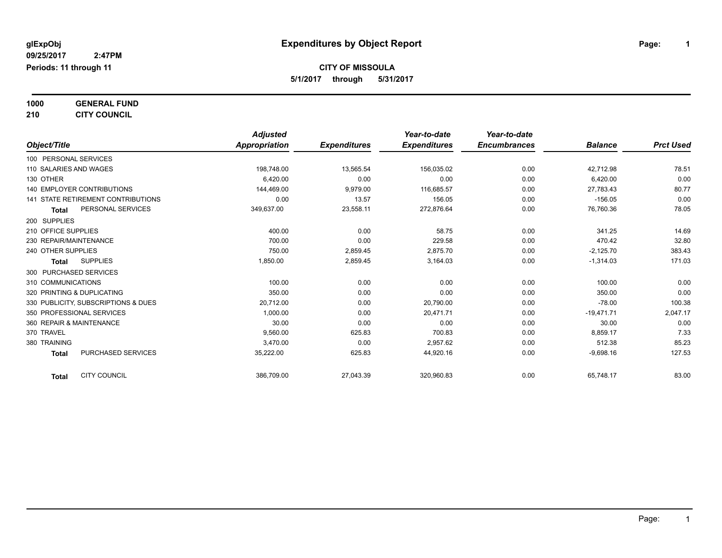**1000 GENERAL FUND**

**210 CITY COUNCIL**

|                                           | <b>Adjusted</b> |                     | Year-to-date        | Year-to-date        |                |                  |
|-------------------------------------------|-----------------|---------------------|---------------------|---------------------|----------------|------------------|
| Object/Title                              | Appropriation   | <b>Expenditures</b> | <b>Expenditures</b> | <b>Encumbrances</b> | <b>Balance</b> | <b>Prct Used</b> |
| 100 PERSONAL SERVICES                     |                 |                     |                     |                     |                |                  |
| 110 SALARIES AND WAGES                    | 198,748.00      | 13,565.54           | 156,035.02          | 0.00                | 42,712.98      | 78.51            |
| 130 OTHER                                 | 6,420.00        | 0.00                | 0.00                | 0.00                | 6,420.00       | 0.00             |
| 140 EMPLOYER CONTRIBUTIONS                | 144,469.00      | 9,979.00            | 116,685.57          | 0.00                | 27.783.43      | 80.77            |
| <b>141 STATE RETIREMENT CONTRIBUTIONS</b> | 0.00            | 13.57               | 156.05              | 0.00                | $-156.05$      | 0.00             |
| PERSONAL SERVICES<br><b>Total</b>         | 349,637.00      | 23,558.11           | 272,876.64          | 0.00                | 76,760.36      | 78.05            |
| 200 SUPPLIES                              |                 |                     |                     |                     |                |                  |
| 210 OFFICE SUPPLIES                       | 400.00          | 0.00                | 58.75               | 0.00                | 341.25         | 14.69            |
| 230 REPAIR/MAINTENANCE                    | 700.00          | 0.00                | 229.58              | 0.00                | 470.42         | 32.80            |
| 240 OTHER SUPPLIES                        | 750.00          | 2,859.45            | 2,875.70            | 0.00                | $-2,125.70$    | 383.43           |
| <b>SUPPLIES</b><br><b>Total</b>           | 1,850.00        | 2,859.45            | 3,164.03            | 0.00                | $-1,314.03$    | 171.03           |
| 300 PURCHASED SERVICES                    |                 |                     |                     |                     |                |                  |
| 310 COMMUNICATIONS                        | 100.00          | 0.00                | 0.00                | 0.00                | 100.00         | 0.00             |
| 320 PRINTING & DUPLICATING                | 350.00          | 0.00                | 0.00                | 0.00                | 350.00         | 0.00             |
| 330 PUBLICITY, SUBSCRIPTIONS & DUES       | 20,712.00       | 0.00                | 20,790.00           | 0.00                | $-78.00$       | 100.38           |
| 350 PROFESSIONAL SERVICES                 | 1.000.00        | 0.00                | 20.471.71           | 0.00                | $-19,471.71$   | 2,047.17         |
| 360 REPAIR & MAINTENANCE                  | 30.00           | 0.00                | 0.00                | 0.00                | 30.00          | 0.00             |
| 370 TRAVEL                                | 9.560.00        | 625.83              | 700.83              | 0.00                | 8,859.17       | 7.33             |
| 380 TRAINING                              | 3,470.00        | 0.00                | 2,957.62            | 0.00                | 512.38         | 85.23            |
| PURCHASED SERVICES<br><b>Total</b>        | 35,222.00       | 625.83              | 44,920.16           | 0.00                | $-9.698.16$    | 127.53           |
| <b>CITY COUNCIL</b><br>Total              | 386,709.00      | 27,043.39           | 320,960.83          | 0.00                | 65,748.17      | 83.00            |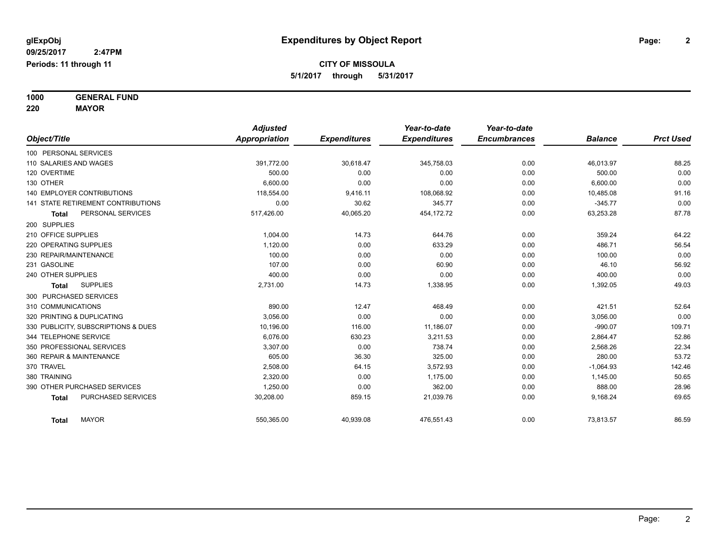**1000 GENERAL FUND**

**220 MAYOR**

| Object/Title                              | <b>Adjusted</b><br>Appropriation |                     | Year-to-date<br><b>Expenditures</b> | Year-to-date<br><b>Encumbrances</b> | <b>Balance</b> | <b>Prct Used</b> |
|-------------------------------------------|----------------------------------|---------------------|-------------------------------------|-------------------------------------|----------------|------------------|
|                                           |                                  | <b>Expenditures</b> |                                     |                                     |                |                  |
| 100 PERSONAL SERVICES                     |                                  |                     |                                     |                                     |                |                  |
| 110 SALARIES AND WAGES                    | 391,772.00                       | 30,618.47           | 345,758.03                          | 0.00                                | 46,013.97      | 88.25            |
| 120 OVERTIME                              | 500.00                           | 0.00                | 0.00                                | 0.00                                | 500.00         | 0.00             |
| 130 OTHER                                 | 6.600.00                         | 0.00                | 0.00                                | 0.00                                | 6,600.00       | 0.00             |
| <b>140 EMPLOYER CONTRIBUTIONS</b>         | 118.554.00                       | 9,416.11            | 108,068.92                          | 0.00                                | 10,485.08      | 91.16            |
| <b>141 STATE RETIREMENT CONTRIBUTIONS</b> | 0.00                             | 30.62               | 345.77                              | 0.00                                | $-345.77$      | 0.00             |
| PERSONAL SERVICES<br><b>Total</b>         | 517,426.00                       | 40,065.20           | 454,172.72                          | 0.00                                | 63,253.28      | 87.78            |
| 200 SUPPLIES                              |                                  |                     |                                     |                                     |                |                  |
| 210 OFFICE SUPPLIES                       | 1,004.00                         | 14.73               | 644.76                              | 0.00                                | 359.24         | 64.22            |
| 220 OPERATING SUPPLIES                    | 1,120.00                         | 0.00                | 633.29                              | 0.00                                | 486.71         | 56.54            |
| 230 REPAIR/MAINTENANCE                    | 100.00                           | 0.00                | 0.00                                | 0.00                                | 100.00         | 0.00             |
| 231 GASOLINE                              | 107.00                           | 0.00                | 60.90                               | 0.00                                | 46.10          | 56.92            |
| 240 OTHER SUPPLIES                        | 400.00                           | 0.00                | 0.00                                | 0.00                                | 400.00         | 0.00             |
| <b>SUPPLIES</b><br>Total                  | 2,731.00                         | 14.73               | 1,338.95                            | 0.00                                | 1,392.05       | 49.03            |
| 300 PURCHASED SERVICES                    |                                  |                     |                                     |                                     |                |                  |
| 310 COMMUNICATIONS                        | 890.00                           | 12.47               | 468.49                              | 0.00                                | 421.51         | 52.64            |
| 320 PRINTING & DUPLICATING                | 3.056.00                         | 0.00                | 0.00                                | 0.00                                | 3,056.00       | 0.00             |
| 330 PUBLICITY, SUBSCRIPTIONS & DUES       | 10,196.00                        | 116.00              | 11,186.07                           | 0.00                                | $-990.07$      | 109.71           |
| 344 TELEPHONE SERVICE                     | 6.076.00                         | 630.23              | 3,211.53                            | 0.00                                | 2,864.47       | 52.86            |
| 350 PROFESSIONAL SERVICES                 | 3,307.00                         | 0.00                | 738.74                              | 0.00                                | 2,568.26       | 22.34            |
| 360 REPAIR & MAINTENANCE                  | 605.00                           | 36.30               | 325.00                              | 0.00                                | 280.00         | 53.72            |
| 370 TRAVEL                                | 2,508.00                         | 64.15               | 3,572.93                            | 0.00                                | $-1,064.93$    | 142.46           |
| 380 TRAINING                              | 2,320.00                         | 0.00                | 1,175.00                            | 0.00                                | 1,145.00       | 50.65            |
| 390 OTHER PURCHASED SERVICES              | 1,250.00                         | 0.00                | 362.00                              | 0.00                                | 888.00         | 28.96            |
| PURCHASED SERVICES<br><b>Total</b>        | 30,208.00                        | 859.15              | 21,039.76                           | 0.00                                | 9,168.24       | 69.65            |
| <b>MAYOR</b><br><b>Total</b>              | 550,365.00                       | 40,939.08           | 476,551.43                          | 0.00                                | 73,813.57      | 86.59            |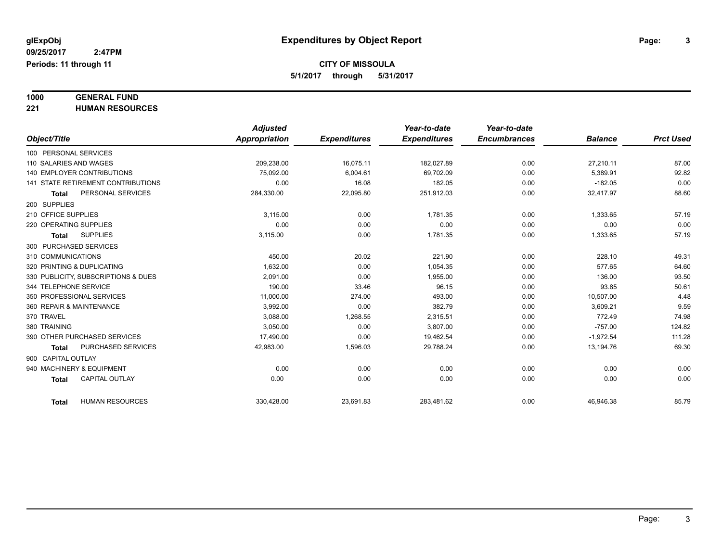# **1000 GENERAL FUND**

**221 HUMAN RESOURCES**

|                            |                                     | <b>Adjusted</b>      |                     | Year-to-date        | Year-to-date        |                |                  |
|----------------------------|-------------------------------------|----------------------|---------------------|---------------------|---------------------|----------------|------------------|
| Object/Title               |                                     | <b>Appropriation</b> | <b>Expenditures</b> | <b>Expenditures</b> | <b>Encumbrances</b> | <b>Balance</b> | <b>Prct Used</b> |
| 100 PERSONAL SERVICES      |                                     |                      |                     |                     |                     |                |                  |
| 110 SALARIES AND WAGES     |                                     | 209,238.00           | 16,075.11           | 182,027.89          | 0.00                | 27,210.11      | 87.00            |
|                            | 140 EMPLOYER CONTRIBUTIONS          | 75,092.00            | 6,004.61            | 69,702.09           | 0.00                | 5,389.91       | 92.82            |
|                            | 141 STATE RETIREMENT CONTRIBUTIONS  | 0.00                 | 16.08               | 182.05              | 0.00                | $-182.05$      | 0.00             |
| <b>Total</b>               | PERSONAL SERVICES                   | 284,330.00           | 22,095.80           | 251,912.03          | 0.00                | 32,417.97      | 88.60            |
| 200 SUPPLIES               |                                     |                      |                     |                     |                     |                |                  |
| 210 OFFICE SUPPLIES        |                                     | 3,115.00             | 0.00                | 1,781.35            | 0.00                | 1,333.65       | 57.19            |
| 220 OPERATING SUPPLIES     |                                     | 0.00                 | 0.00                | 0.00                | 0.00                | 0.00           | 0.00             |
| <b>Total</b>               | <b>SUPPLIES</b>                     | 3,115.00             | 0.00                | 1,781.35            | 0.00                | 1,333.65       | 57.19            |
| 300 PURCHASED SERVICES     |                                     |                      |                     |                     |                     |                |                  |
| 310 COMMUNICATIONS         |                                     | 450.00               | 20.02               | 221.90              | 0.00                | 228.10         | 49.31            |
| 320 PRINTING & DUPLICATING |                                     | 1,632.00             | 0.00                | 1,054.35            | 0.00                | 577.65         | 64.60            |
|                            | 330 PUBLICITY, SUBSCRIPTIONS & DUES | 2.091.00             | 0.00                | 1,955.00            | 0.00                | 136.00         | 93.50            |
| 344 TELEPHONE SERVICE      |                                     | 190.00               | 33.46               | 96.15               | 0.00                | 93.85          | 50.61            |
|                            | 350 PROFESSIONAL SERVICES           | 11,000.00            | 274.00              | 493.00              | 0.00                | 10,507.00      | 4.48             |
| 360 REPAIR & MAINTENANCE   |                                     | 3,992.00             | 0.00                | 382.79              | 0.00                | 3,609.21       | 9.59             |
| 370 TRAVEL                 |                                     | 3,088.00             | 1,268.55            | 2,315.51            | 0.00                | 772.49         | 74.98            |
| 380 TRAINING               |                                     | 3,050.00             | 0.00                | 3,807.00            | 0.00                | $-757.00$      | 124.82           |
|                            | 390 OTHER PURCHASED SERVICES        | 17,490.00            | 0.00                | 19,462.54           | 0.00                | $-1,972.54$    | 111.28           |
| <b>Total</b>               | PURCHASED SERVICES                  | 42,983.00            | 1,596.03            | 29,788.24           | 0.00                | 13,194.76      | 69.30            |
| 900 CAPITAL OUTLAY         |                                     |                      |                     |                     |                     |                |                  |
|                            | 940 MACHINERY & EQUIPMENT           | 0.00                 | 0.00                | 0.00                | 0.00                | 0.00           | 0.00             |
| <b>Total</b>               | <b>CAPITAL OUTLAY</b>               | 0.00                 | 0.00                | 0.00                | 0.00                | 0.00           | 0.00             |
|                            |                                     |                      |                     |                     |                     |                |                  |
| <b>Total</b>               | <b>HUMAN RESOURCES</b>              | 330,428.00           | 23,691.83           | 283,481.62          | 0.00                | 46,946.38      | 85.79            |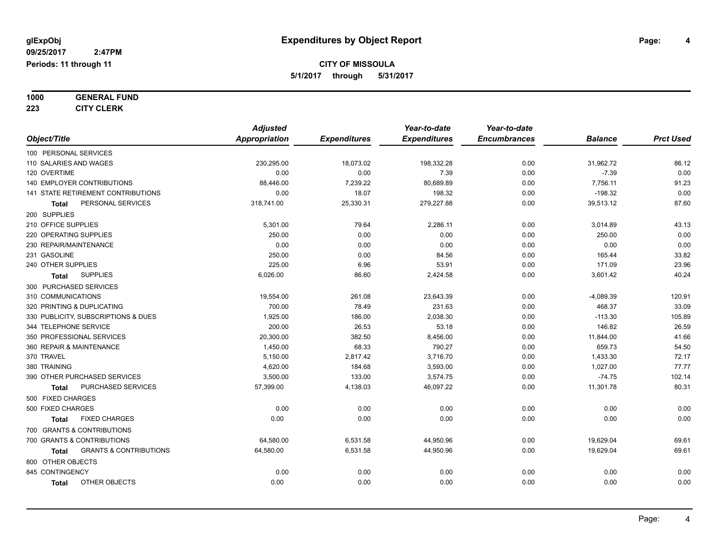**1000 GENERAL FUND**

**223 CITY CLERK**

|                                            | <b>Adjusted</b>      |                     | Year-to-date        | Year-to-date        |                |                  |
|--------------------------------------------|----------------------|---------------------|---------------------|---------------------|----------------|------------------|
| Object/Title                               | <b>Appropriation</b> | <b>Expenditures</b> | <b>Expenditures</b> | <b>Encumbrances</b> | <b>Balance</b> | <b>Prct Used</b> |
| 100 PERSONAL SERVICES                      |                      |                     |                     |                     |                |                  |
| 110 SALARIES AND WAGES                     | 230,295.00           | 18,073.02           | 198,332.28          | 0.00                | 31,962.72      | 86.12            |
| 120 OVERTIME                               | 0.00                 | 0.00                | 7.39                | 0.00                | $-7.39$        | 0.00             |
| <b>140 EMPLOYER CONTRIBUTIONS</b>          | 88,446.00            | 7,239.22            | 80,689.89           | 0.00                | 7,756.11       | 91.23            |
| 141 STATE RETIREMENT CONTRIBUTIONS         | 0.00                 | 18.07               | 198.32              | 0.00                | $-198.32$      | 0.00             |
| PERSONAL SERVICES<br>Total                 | 318,741.00           | 25,330.31           | 279,227.88          | 0.00                | 39,513.12      | 87.60            |
| 200 SUPPLIES                               |                      |                     |                     |                     |                |                  |
| 210 OFFICE SUPPLIES                        | 5,301.00             | 79.64               | 2,286.11            | 0.00                | 3,014.89       | 43.13            |
| 220 OPERATING SUPPLIES                     | 250.00               | 0.00                | 0.00                | 0.00                | 250.00         | 0.00             |
| 230 REPAIR/MAINTENANCE                     | 0.00                 | 0.00                | 0.00                | 0.00                | 0.00           | 0.00             |
| 231 GASOLINE                               | 250.00               | 0.00                | 84.56               | 0.00                | 165.44         | 33.82            |
| 240 OTHER SUPPLIES                         | 225.00               | 6.96                | 53.91               | 0.00                | 171.09         | 23.96            |
| <b>SUPPLIES</b><br><b>Total</b>            | 6,026.00             | 86.60               | 2,424.58            | 0.00                | 3,601.42       | 40.24            |
| 300 PURCHASED SERVICES                     |                      |                     |                     |                     |                |                  |
| 310 COMMUNICATIONS                         | 19,554.00            | 261.08              | 23,643.39           | 0.00                | $-4,089.39$    | 120.91           |
| 320 PRINTING & DUPLICATING                 | 700.00               | 78.49               | 231.63              | 0.00                | 468.37         | 33.09            |
| 330 PUBLICITY, SUBSCRIPTIONS & DUES        | 1,925.00             | 186.00              | 2,038.30            | 0.00                | $-113.30$      | 105.89           |
| 344 TELEPHONE SERVICE                      | 200.00               | 26.53               | 53.18               | 0.00                | 146.82         | 26.59            |
| 350 PROFESSIONAL SERVICES                  | 20,300.00            | 382.50              | 8,456.00            | 0.00                | 11,844.00      | 41.66            |
| 360 REPAIR & MAINTENANCE                   | 1,450.00             | 68.33               | 790.27              | 0.00                | 659.73         | 54.50            |
| 370 TRAVEL                                 | 5,150.00             | 2,817.42            | 3,716.70            | 0.00                | 1,433.30       | 72.17            |
| 380 TRAINING                               | 4,620.00             | 184.68              | 3,593.00            | 0.00                | 1,027.00       | 77.77            |
| 390 OTHER PURCHASED SERVICES               | 3,500.00             | 133.00              | 3,574.75            | 0.00                | $-74.75$       | 102.14           |
| PURCHASED SERVICES<br>Total                | 57,399.00            | 4,138.03            | 46,097.22           | 0.00                | 11,301.78      | 80.31            |
| 500 FIXED CHARGES                          |                      |                     |                     |                     |                |                  |
| 500 FIXED CHARGES                          | 0.00                 | 0.00                | 0.00                | 0.00                | 0.00           | 0.00             |
| <b>FIXED CHARGES</b><br>Total              | 0.00                 | 0.00                | 0.00                | 0.00                | 0.00           | 0.00             |
| 700 GRANTS & CONTRIBUTIONS                 |                      |                     |                     |                     |                |                  |
| 700 GRANTS & CONTRIBUTIONS                 | 64,580.00            | 6,531.58            | 44,950.96           | 0.00                | 19,629.04      | 69.61            |
| <b>GRANTS &amp; CONTRIBUTIONS</b><br>Total | 64,580.00            | 6,531.58            | 44,950.96           | 0.00                | 19,629.04      | 69.61            |
| 800 OTHER OBJECTS                          |                      |                     |                     |                     |                |                  |
| 845 CONTINGENCY                            | 0.00                 | 0.00                | 0.00                | 0.00                | 0.00           | 0.00             |
| OTHER OBJECTS<br>Total                     | 0.00                 | 0.00                | 0.00                | 0.00                | 0.00           | 0.00             |
|                                            |                      |                     |                     |                     |                |                  |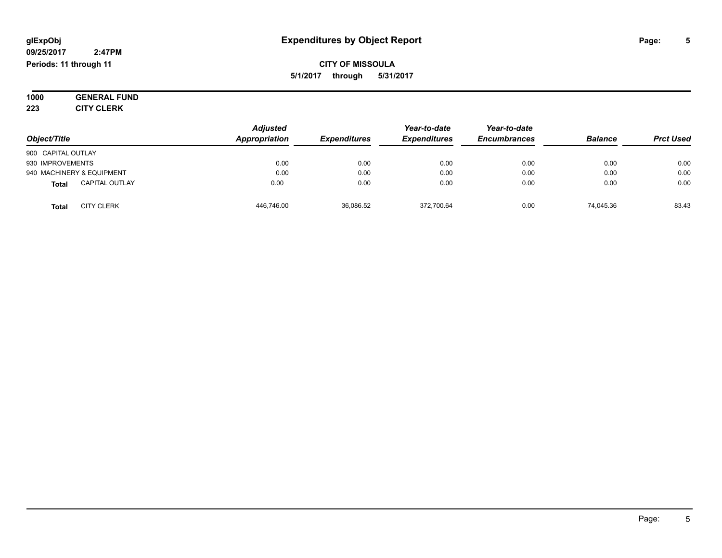#### **09/25/2017 2:47PM Periods: 11 through 11**

**CITY OF MISSOULA 5/1/2017 through 5/31/2017**

**1000 GENERAL FUND 223 CITY CLERK**

|                                       | <b>Adjusted</b> |                     | Year-to-date        | Year-to-date        |                |                  |
|---------------------------------------|-----------------|---------------------|---------------------|---------------------|----------------|------------------|
| Object/Title                          | Appropriation   | <b>Expenditures</b> | <b>Expenditures</b> | <b>Encumbrances</b> | <b>Balance</b> | <b>Prct Used</b> |
| 900 CAPITAL OUTLAY                    |                 |                     |                     |                     |                |                  |
| 930 IMPROVEMENTS                      | 0.00            | 0.00                | 0.00                | 0.00                | 0.00           | 0.00             |
| 940 MACHINERY & EQUIPMENT             | 0.00            | 0.00                | 0.00                | 0.00                | 0.00           | 0.00             |
| <b>CAPITAL OUTLAY</b><br><b>Total</b> | 0.00            | 0.00                | 0.00                | 0.00                | 0.00           | 0.00             |
| <b>CITY CLERK</b><br><b>Total</b>     | 446,746.00      | 36.086.52           | 372.700.64          | 0.00                | 74.045.36      | 83.43            |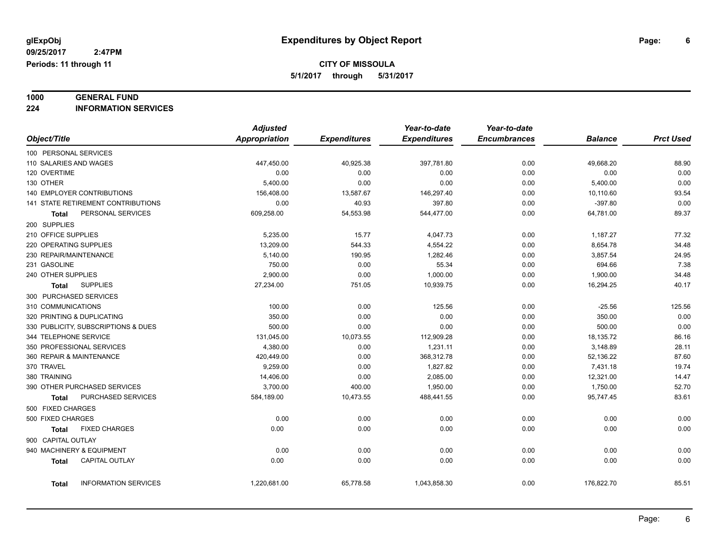# **1000 GENERAL FUND**

**224 INFORMATION SERVICES**

|                                           |                             | <b>Adjusted</b>      |                     | Year-to-date        | Year-to-date        |                |                  |
|-------------------------------------------|-----------------------------|----------------------|---------------------|---------------------|---------------------|----------------|------------------|
| Object/Title                              |                             | <b>Appropriation</b> | <b>Expenditures</b> | <b>Expenditures</b> | <b>Encumbrances</b> | <b>Balance</b> | <b>Prct Used</b> |
| 100 PERSONAL SERVICES                     |                             |                      |                     |                     |                     |                |                  |
| 110 SALARIES AND WAGES                    |                             | 447,450.00           | 40,925.38           | 397,781.80          | 0.00                | 49,668.20      | 88.90            |
| 120 OVERTIME                              |                             | 0.00                 | 0.00                | 0.00                | 0.00                | 0.00           | 0.00             |
| 130 OTHER                                 |                             | 5,400.00             | 0.00                | 0.00                | 0.00                | 5,400.00       | 0.00             |
| 140 EMPLOYER CONTRIBUTIONS                |                             | 156,408.00           | 13,587.67           | 146,297.40          | 0.00                | 10,110.60      | 93.54            |
| <b>141 STATE RETIREMENT CONTRIBUTIONS</b> |                             | 0.00                 | 40.93               | 397.80              | 0.00                | $-397.80$      | 0.00             |
| Total                                     | PERSONAL SERVICES           | 609,258.00           | 54,553.98           | 544,477.00          | 0.00                | 64,781.00      | 89.37            |
| 200 SUPPLIES                              |                             |                      |                     |                     |                     |                |                  |
| 210 OFFICE SUPPLIES                       |                             | 5,235.00             | 15.77               | 4,047.73            | 0.00                | 1,187.27       | 77.32            |
| 220 OPERATING SUPPLIES                    |                             | 13,209.00            | 544.33              | 4,554.22            | 0.00                | 8,654.78       | 34.48            |
| 230 REPAIR/MAINTENANCE                    |                             | 5,140.00             | 190.95              | 1,282.46            | 0.00                | 3,857.54       | 24.95            |
| 231 GASOLINE                              |                             | 750.00               | 0.00                | 55.34               | 0.00                | 694.66         | 7.38             |
| 240 OTHER SUPPLIES                        |                             | 2,900.00             | 0.00                | 1,000.00            | 0.00                | 1,900.00       | 34.48            |
| <b>SUPPLIES</b><br><b>Total</b>           |                             | 27,234.00            | 751.05              | 10,939.75           | 0.00                | 16,294.25      | 40.17            |
| 300 PURCHASED SERVICES                    |                             |                      |                     |                     |                     |                |                  |
| 310 COMMUNICATIONS                        |                             | 100.00               | 0.00                | 125.56              | 0.00                | $-25.56$       | 125.56           |
|                                           | 320 PRINTING & DUPLICATING  |                      | 0.00                | 0.00                | 0.00                | 350.00         | 0.00             |
| 330 PUBLICITY, SUBSCRIPTIONS & DUES       |                             | 500.00               | 0.00                | 0.00                | 0.00                | 500.00         | 0.00             |
| 344 TELEPHONE SERVICE                     |                             | 131,045.00           | 10,073.55           | 112,909.28          | 0.00                | 18,135.72      | 86.16            |
| 350 PROFESSIONAL SERVICES                 |                             | 4,380.00             | 0.00                | 1,231.11            | 0.00                | 3,148.89       | 28.11            |
| 360 REPAIR & MAINTENANCE                  |                             | 420,449.00           | 0.00                | 368,312.78          | 0.00                | 52,136.22      | 87.60            |
| 370 TRAVEL                                |                             | 9,259.00             | 0.00                | 1,827.82            | 0.00                | 7,431.18       | 19.74            |
| 380 TRAINING                              |                             | 14,406.00            | 0.00                | 2,085.00            | 0.00                | 12,321.00      | 14.47            |
| 390 OTHER PURCHASED SERVICES              |                             | 3,700.00             | 400.00              | 1,950.00            | 0.00                | 1,750.00       | 52.70            |
| Total                                     | PURCHASED SERVICES          | 584,189.00           | 10,473.55           | 488,441.55          | 0.00                | 95,747.45      | 83.61            |
| 500 FIXED CHARGES                         |                             |                      |                     |                     |                     |                |                  |
| 500 FIXED CHARGES                         |                             | 0.00                 | 0.00                | 0.00                | 0.00                | 0.00           | 0.00             |
| <b>Total</b>                              | <b>FIXED CHARGES</b>        | 0.00                 | 0.00                | 0.00                | 0.00                | 0.00           | 0.00             |
| 900 CAPITAL OUTLAY                        |                             |                      |                     |                     |                     |                |                  |
| 940 MACHINERY & EQUIPMENT                 |                             | 0.00                 | 0.00                | 0.00                | 0.00                | 0.00           | 0.00             |
| <b>Total</b>                              | <b>CAPITAL OUTLAY</b>       | 0.00                 | 0.00                | 0.00                | 0.00                | 0.00           | 0.00             |
| Total                                     | <b>INFORMATION SERVICES</b> | 1,220,681.00         | 65,778.58           | 1,043,858.30        | 0.00                | 176,822.70     | 85.51            |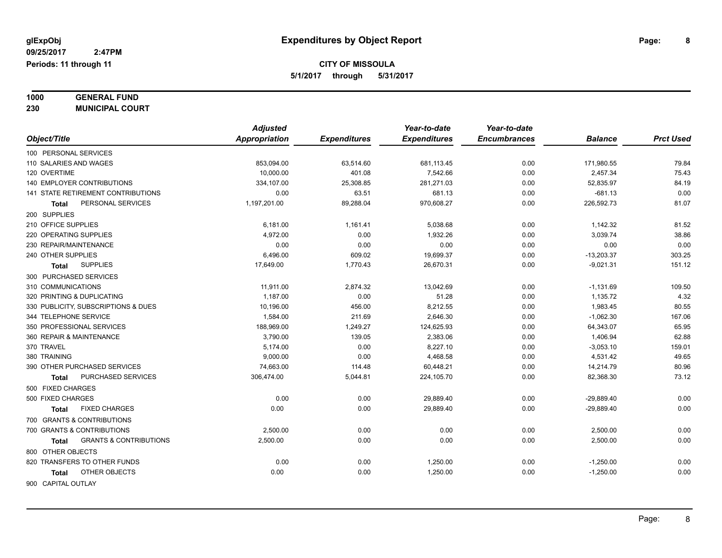# **1000 GENERAL FUND**

**230 MUNICIPAL COURT**

|                       |                                     |                                    | <b>Adjusted</b> |                     | Year-to-date        | Year-to-date        |                |                  |
|-----------------------|-------------------------------------|------------------------------------|-----------------|---------------------|---------------------|---------------------|----------------|------------------|
|                       | Object/Title                        |                                    | Appropriation   | <b>Expenditures</b> | <b>Expenditures</b> | <b>Encumbrances</b> | <b>Balance</b> | <b>Prct Used</b> |
|                       | 100 PERSONAL SERVICES               |                                    |                 |                     |                     |                     |                |                  |
|                       | 110 SALARIES AND WAGES              |                                    | 853,094.00      | 63,514.60           | 681,113.45          | 0.00                | 171,980.55     | 79.84            |
|                       | 120 OVERTIME                        |                                    | 10,000.00       | 401.08              | 7,542.66            | 0.00                | 2,457.34       | 75.43            |
|                       |                                     | <b>140 EMPLOYER CONTRIBUTIONS</b>  | 334,107.00      | 25,308.85           | 281,271.03          | 0.00                | 52,835.97      | 84.19            |
|                       |                                     | 141 STATE RETIREMENT CONTRIBUTIONS | 0.00            | 63.51               | 681.13              | 0.00                | $-681.13$      | 0.00             |
|                       | <b>Total</b>                        | PERSONAL SERVICES                  | 1,197,201.00    | 89,288.04           | 970,608.27          | 0.00                | 226,592.73     | 81.07            |
|                       | 200 SUPPLIES                        |                                    |                 |                     |                     |                     |                |                  |
|                       | 210 OFFICE SUPPLIES                 |                                    | 6,181.00        | 1,161.41            | 5,038.68            | 0.00                | 1,142.32       | 81.52            |
|                       | 220 OPERATING SUPPLIES              |                                    | 4,972.00        | 0.00                | 1,932.26            | 0.00                | 3,039.74       | 38.86            |
|                       |                                     | 230 REPAIR/MAINTENANCE             | 0.00            | 0.00                | 0.00                | 0.00                | 0.00           | 0.00             |
|                       | 240 OTHER SUPPLIES                  |                                    | 6,496.00        | 609.02              | 19,699.37           | 0.00                | $-13,203.37$   | 303.25           |
|                       | <b>Total</b>                        | <b>SUPPLIES</b>                    | 17,649.00       | 1,770.43            | 26,670.31           | 0.00                | $-9,021.31$    | 151.12           |
|                       |                                     | 300 PURCHASED SERVICES             |                 |                     |                     |                     |                |                  |
|                       | 310 COMMUNICATIONS                  |                                    | 11,911.00       | 2,874.32            | 13,042.69           | 0.00                | $-1,131.69$    | 109.50           |
|                       |                                     | 320 PRINTING & DUPLICATING         | 1,187.00        | 0.00                | 51.28               | 0.00                | 1,135.72       | 4.32             |
|                       | 330 PUBLICITY, SUBSCRIPTIONS & DUES |                                    | 10,196.00       | 456.00              | 8,212.55            | 0.00                | 1,983.45       | 80.55            |
| 344 TELEPHONE SERVICE |                                     |                                    | 1,584.00        | 211.69              | 2,646.30            | 0.00                | $-1,062.30$    | 167.06           |
|                       |                                     | 350 PROFESSIONAL SERVICES          | 188,969.00      | 1,249.27            | 124,625.93          | 0.00                | 64,343.07      | 65.95            |
|                       |                                     | 360 REPAIR & MAINTENANCE           | 3,790.00        | 139.05              | 2,383.06            | 0.00                | 1,406.94       | 62.88            |
|                       | 370 TRAVEL                          |                                    | 5,174.00        | 0.00                | 8,227.10            | 0.00                | $-3,053.10$    | 159.01           |
|                       | 380 TRAINING                        |                                    | 9,000.00        | 0.00                | 4,468.58            | 0.00                | 4,531.42       | 49.65            |
|                       |                                     | 390 OTHER PURCHASED SERVICES       | 74,663.00       | 114.48              | 60,448.21           | 0.00                | 14,214.79      | 80.96            |
|                       | <b>Total</b>                        | PURCHASED SERVICES                 | 306,474.00      | 5,044.81            | 224,105.70          | 0.00                | 82,368.30      | 73.12            |
|                       | 500 FIXED CHARGES                   |                                    |                 |                     |                     |                     |                |                  |
|                       | 500 FIXED CHARGES                   |                                    | 0.00            | 0.00                | 29,889.40           | 0.00                | $-29,889.40$   | 0.00             |
|                       | <b>Total</b>                        | <b>FIXED CHARGES</b>               | 0.00            | 0.00                | 29,889.40           | 0.00                | $-29,889.40$   | 0.00             |
|                       |                                     | 700 GRANTS & CONTRIBUTIONS         |                 |                     |                     |                     |                |                  |
|                       |                                     | 700 GRANTS & CONTRIBUTIONS         | 2,500.00        | 0.00                | 0.00                | 0.00                | 2,500.00       | 0.00             |
|                       | Total                               | <b>GRANTS &amp; CONTRIBUTIONS</b>  | 2,500.00        | 0.00                | 0.00                | 0.00                | 2,500.00       | 0.00             |
|                       | 800 OTHER OBJECTS                   |                                    |                 |                     |                     |                     |                |                  |
|                       |                                     | 820 TRANSFERS TO OTHER FUNDS       | 0.00            | 0.00                | 1,250.00            | 0.00                | $-1,250.00$    | 0.00             |
|                       | Total                               | OTHER OBJECTS                      | 0.00            | 0.00                | 1,250.00            | 0.00                | $-1,250.00$    | 0.00             |
|                       | 900 CAPITAL OUTLAY                  |                                    |                 |                     |                     |                     |                |                  |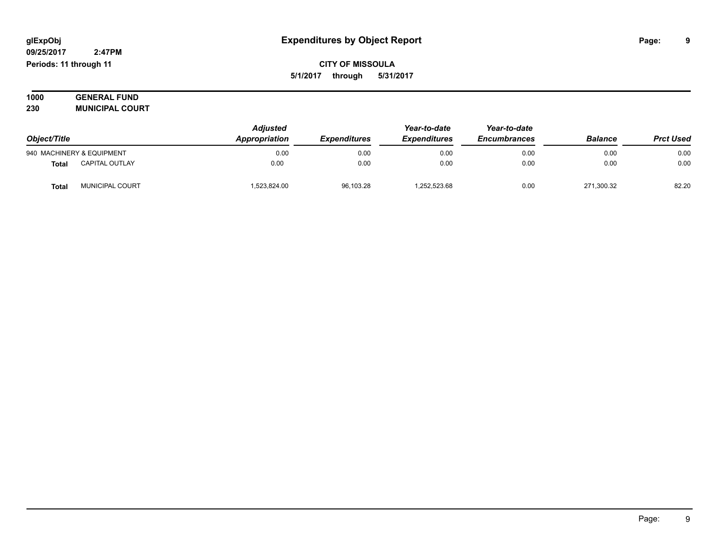#### **09/25/2017 2:47PM Periods: 11 through 11**

**CITY OF MISSOULA 5/1/2017 through 5/31/2017**

| 1000 | <b>GENERAL FUND</b>    |
|------|------------------------|
| 230  | <b>MUNICIPAL COURT</b> |

| Object/Title |                           | <b>Adjusted</b><br>Appropriation | <i><b>Expenditures</b></i> | Year-to-date<br><b>Expenditures</b> | Year-to-date<br><b>Encumbrances</b> | <b>Balance</b> | <b>Prct Used</b> |
|--------------|---------------------------|----------------------------------|----------------------------|-------------------------------------|-------------------------------------|----------------|------------------|
|              | 940 MACHINERY & EQUIPMENT | 0.00                             | 0.00                       | 0.00                                | 0.00                                | 0.00           | 0.00             |
| Total        | <b>CAPITAL OUTLAY</b>     | 0.00                             | 0.00                       | 0.00                                | 0.00                                | 0.00           | 0.00             |
| <b>Total</b> | MUNICIPAL COURT           | 1.523.824.00                     | 96,103.28                  | .252,523.68                         | 0.00                                | 271.300.32     | 82.20            |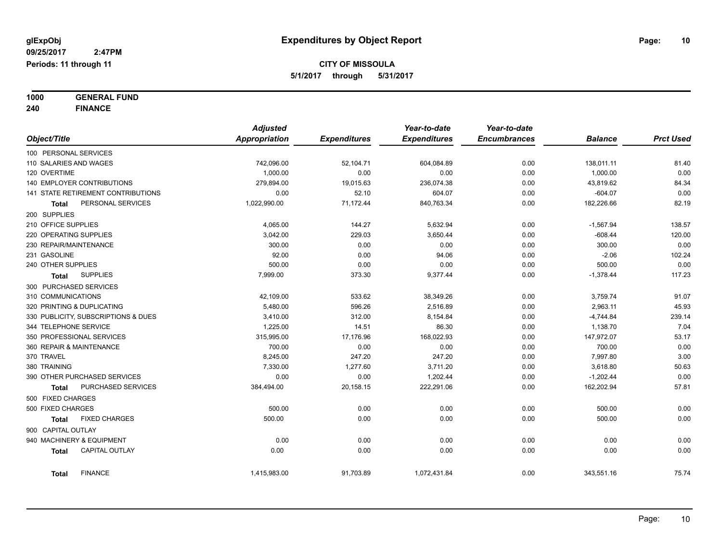**1000 GENERAL FUND 240 FINANCE**

|                          |                                           | <b>Adjusted</b> |                     | Year-to-date        | Year-to-date        |                |                  |
|--------------------------|-------------------------------------------|-----------------|---------------------|---------------------|---------------------|----------------|------------------|
| Object/Title             |                                           | Appropriation   | <b>Expenditures</b> | <b>Expenditures</b> | <b>Encumbrances</b> | <b>Balance</b> | <b>Prct Used</b> |
| 100 PERSONAL SERVICES    |                                           |                 |                     |                     |                     |                |                  |
| 110 SALARIES AND WAGES   |                                           | 742,096.00      | 52,104.71           | 604,084.89          | 0.00                | 138,011.11     | 81.40            |
| 120 OVERTIME             |                                           | 1,000.00        | 0.00                | 0.00                | 0.00                | 1,000.00       | 0.00             |
|                          | <b>140 EMPLOYER CONTRIBUTIONS</b>         | 279,894.00      | 19,015.63           | 236,074.38          | 0.00                | 43,819.62      | 84.34            |
|                          | <b>141 STATE RETIREMENT CONTRIBUTIONS</b> | 0.00            | 52.10               | 604.07              | 0.00                | $-604.07$      | 0.00             |
| <b>Total</b>             | PERSONAL SERVICES                         | 1,022,990.00    | 71,172.44           | 840,763.34          | 0.00                | 182,226.66     | 82.19            |
| 200 SUPPLIES             |                                           |                 |                     |                     |                     |                |                  |
| 210 OFFICE SUPPLIES      |                                           | 4,065.00        | 144.27              | 5,632.94            | 0.00                | $-1,567.94$    | 138.57           |
| 220 OPERATING SUPPLIES   |                                           | 3,042.00        | 229.03              | 3,650.44            | 0.00                | $-608.44$      | 120.00           |
| 230 REPAIR/MAINTENANCE   |                                           | 300.00          | 0.00                | 0.00                | 0.00                | 300.00         | 0.00             |
| 231 GASOLINE             |                                           | 92.00           | 0.00                | 94.06               | 0.00                | $-2.06$        | 102.24           |
| 240 OTHER SUPPLIES       |                                           | 500.00          | 0.00                | 0.00                | 0.00                | 500.00         | 0.00             |
| Total                    | <b>SUPPLIES</b>                           | 7,999.00        | 373.30              | 9,377.44            | 0.00                | $-1,378.44$    | 117.23           |
| 300 PURCHASED SERVICES   |                                           |                 |                     |                     |                     |                |                  |
| 310 COMMUNICATIONS       |                                           | 42,109.00       | 533.62              | 38,349.26           | 0.00                | 3,759.74       | 91.07            |
|                          | 320 PRINTING & DUPLICATING                | 5,480.00        | 596.26              | 2,516.89            | 0.00                | 2,963.11       | 45.93            |
|                          | 330 PUBLICITY, SUBSCRIPTIONS & DUES       | 3,410.00        | 312.00              | 8,154.84            | 0.00                | $-4,744.84$    | 239.14           |
| 344 TELEPHONE SERVICE    |                                           | 1,225.00        | 14.51               | 86.30               | 0.00                | 1,138.70       | 7.04             |
|                          | 350 PROFESSIONAL SERVICES                 | 315,995.00      | 17,176.96           | 168,022.93          | 0.00                | 147,972.07     | 53.17            |
| 360 REPAIR & MAINTENANCE |                                           | 700.00          | 0.00                | 0.00                | 0.00                | 700.00         | 0.00             |
| 370 TRAVEL               |                                           | 8,245.00        | 247.20              | 247.20              | 0.00                | 7,997.80       | 3.00             |
| 380 TRAINING             |                                           | 7,330.00        | 1,277.60            | 3,711.20            | 0.00                | 3,618.80       | 50.63            |
|                          | 390 OTHER PURCHASED SERVICES              | 0.00            | 0.00                | 1,202.44            | 0.00                | $-1,202.44$    | 0.00             |
| Total                    | PURCHASED SERVICES                        | 384,494.00      | 20,158.15           | 222,291.06          | 0.00                | 162,202.94     | 57.81            |
| 500 FIXED CHARGES        |                                           |                 |                     |                     |                     |                |                  |
| 500 FIXED CHARGES        |                                           | 500.00          | 0.00                | 0.00                | 0.00                | 500.00         | 0.00             |
| <b>Total</b>             | <b>FIXED CHARGES</b>                      | 500.00          | 0.00                | 0.00                | 0.00                | 500.00         | 0.00             |
| 900 CAPITAL OUTLAY       |                                           |                 |                     |                     |                     |                |                  |
|                          | 940 MACHINERY & EQUIPMENT                 | 0.00            | 0.00                | 0.00                | 0.00                | 0.00           | 0.00             |
| <b>Total</b>             | <b>CAPITAL OUTLAY</b>                     | 0.00            | 0.00                | 0.00                | 0.00                | 0.00           | 0.00             |
| <b>Total</b>             | <b>FINANCE</b>                            | 1,415,983.00    | 91,703.89           | 1,072,431.84        | 0.00                | 343,551.16     | 75.74            |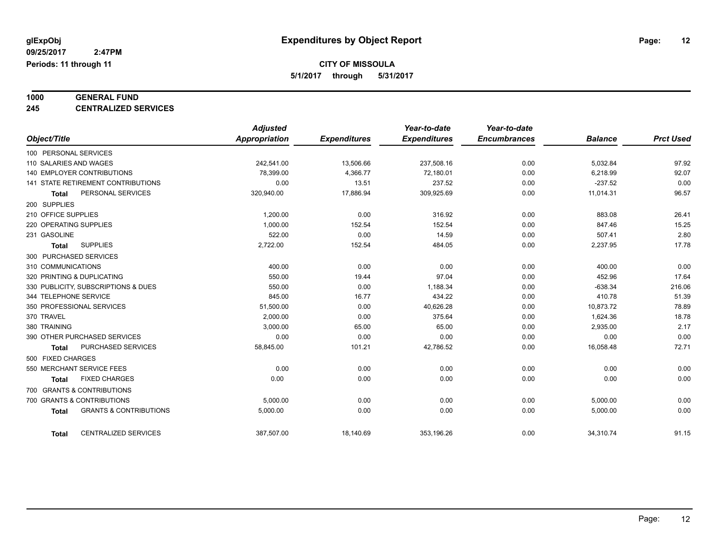**CITY OF MISSOULA**

**5/1/2017 through 5/31/2017**

# **1000 GENERAL FUND**

**245 CENTRALIZED SERVICES**

|                                                   | <b>Adjusted</b> |                     | Year-to-date        | Year-to-date        |                |                  |
|---------------------------------------------------|-----------------|---------------------|---------------------|---------------------|----------------|------------------|
| Object/Title                                      | Appropriation   | <b>Expenditures</b> | <b>Expenditures</b> | <b>Encumbrances</b> | <b>Balance</b> | <b>Prct Used</b> |
| 100 PERSONAL SERVICES                             |                 |                     |                     |                     |                |                  |
| 110 SALARIES AND WAGES                            | 242,541.00      | 13,506.66           | 237,508.16          | 0.00                | 5,032.84       | 97.92            |
| <b>140 EMPLOYER CONTRIBUTIONS</b>                 | 78,399.00       | 4,366.77            | 72,180.01           | 0.00                | 6,218.99       | 92.07            |
| 141 STATE RETIREMENT CONTRIBUTIONS                | 0.00            | 13.51               | 237.52              | 0.00                | $-237.52$      | 0.00             |
| PERSONAL SERVICES<br><b>Total</b>                 | 320,940.00      | 17,886.94           | 309,925.69          | 0.00                | 11,014.31      | 96.57            |
| 200 SUPPLIES                                      |                 |                     |                     |                     |                |                  |
| 210 OFFICE SUPPLIES                               | 1,200.00        | 0.00                | 316.92              | 0.00                | 883.08         | 26.41            |
| 220 OPERATING SUPPLIES                            | 1,000.00        | 152.54              | 152.54              | 0.00                | 847.46         | 15.25            |
| 231 GASOLINE                                      | 522.00          | 0.00                | 14.59               | 0.00                | 507.41         | 2.80             |
| <b>SUPPLIES</b><br><b>Total</b>                   | 2,722.00        | 152.54              | 484.05              | 0.00                | 2,237.95       | 17.78            |
| 300 PURCHASED SERVICES                            |                 |                     |                     |                     |                |                  |
| 310 COMMUNICATIONS                                | 400.00          | 0.00                | 0.00                | 0.00                | 400.00         | 0.00             |
| 320 PRINTING & DUPLICATING                        | 550.00          | 19.44               | 97.04               | 0.00                | 452.96         | 17.64            |
| 330 PUBLICITY, SUBSCRIPTIONS & DUES               | 550.00          | 0.00                | 1,188.34            | 0.00                | $-638.34$      | 216.06           |
| 344 TELEPHONE SERVICE                             | 845.00          | 16.77               | 434.22              | 0.00                | 410.78         | 51.39            |
| 350 PROFESSIONAL SERVICES                         | 51,500.00       | 0.00                | 40,626.28           | 0.00                | 10,873.72      | 78.89            |
| 370 TRAVEL                                        | 2,000.00        | 0.00                | 375.64              | 0.00                | 1,624.36       | 18.78            |
| 380 TRAINING                                      | 3,000.00        | 65.00               | 65.00               | 0.00                | 2,935.00       | 2.17             |
| 390 OTHER PURCHASED SERVICES                      | 0.00            | 0.00                | 0.00                | 0.00                | 0.00           | 0.00             |
| PURCHASED SERVICES<br><b>Total</b>                | 58,845.00       | 101.21              | 42,786.52           | 0.00                | 16,058.48      | 72.71            |
| 500 FIXED CHARGES                                 |                 |                     |                     |                     |                |                  |
| 550 MERCHANT SERVICE FEES                         | 0.00            | 0.00                | 0.00                | 0.00                | 0.00           | 0.00             |
| <b>FIXED CHARGES</b><br><b>Total</b>              | 0.00            | 0.00                | 0.00                | 0.00                | 0.00           | 0.00             |
| 700 GRANTS & CONTRIBUTIONS                        |                 |                     |                     |                     |                |                  |
| 700 GRANTS & CONTRIBUTIONS                        | 5,000.00        | 0.00                | 0.00                | 0.00                | 5,000.00       | 0.00             |
| <b>GRANTS &amp; CONTRIBUTIONS</b><br><b>Total</b> | 5,000.00        | 0.00                | 0.00                | 0.00                | 5,000.00       | 0.00             |
| <b>CENTRALIZED SERVICES</b><br><b>Total</b>       | 387,507.00      | 18,140.69           | 353.196.26          | 0.00                | 34,310.74      | 91.15            |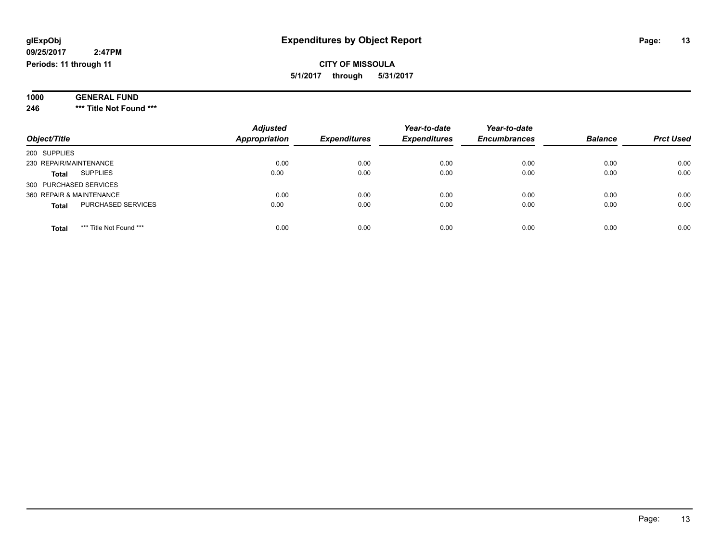#### **09/25/2017 2:47PM Periods: 11 through 11**

### **CITY OF MISSOULA 5/1/2017 through 5/31/2017**

| 1000 | <b>GENERAL</b><br>. FUND |
|------|--------------------------|
|      |                          |
| 246  | *** Title Not Found ***  |

| Object/Title                            | <b>Adjusted</b><br><b>Appropriation</b> | <b>Expenditures</b> | Year-to-date<br><b>Expenditures</b> | Year-to-date<br><b>Encumbrances</b> | <b>Balance</b> | <b>Prct Used</b> |
|-----------------------------------------|-----------------------------------------|---------------------|-------------------------------------|-------------------------------------|----------------|------------------|
| 200 SUPPLIES                            |                                         |                     |                                     |                                     |                |                  |
| 230 REPAIR/MAINTENANCE                  | 0.00                                    | 0.00                | 0.00                                | 0.00                                | 0.00           | 0.00             |
| <b>SUPPLIES</b><br><b>Total</b>         | 0.00                                    | 0.00                | 0.00                                | 0.00                                | 0.00           | 0.00             |
| 300 PURCHASED SERVICES                  |                                         |                     |                                     |                                     |                |                  |
| 360 REPAIR & MAINTENANCE                | 0.00                                    | 0.00                | 0.00                                | 0.00                                | 0.00           | 0.00             |
| PURCHASED SERVICES<br><b>Total</b>      | 0.00                                    | 0.00                | 0.00                                | 0.00                                | 0.00           | 0.00             |
| *** Title Not Found ***<br><b>Total</b> | 0.00                                    | 0.00                | 0.00                                | 0.00                                | 0.00           | 0.00             |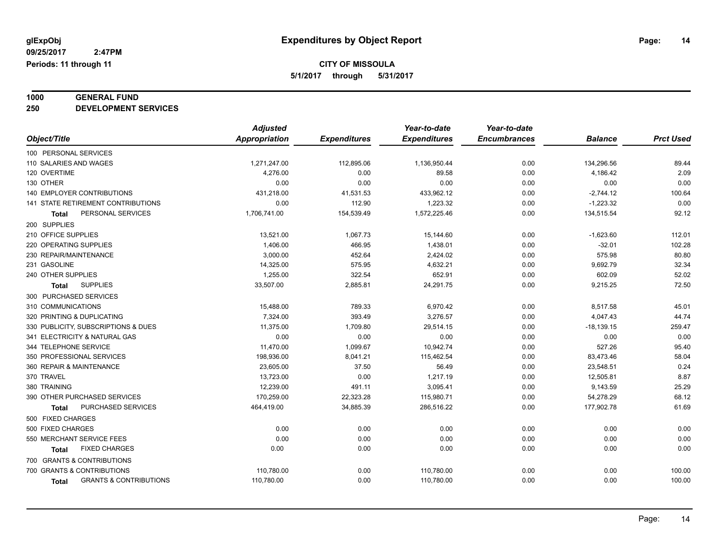# **1000 GENERAL FUND**

**250 DEVELOPMENT SERVICES**

|                                            | <b>Adjusted</b> |                     | Year-to-date        | Year-to-date        |                |                  |
|--------------------------------------------|-----------------|---------------------|---------------------|---------------------|----------------|------------------|
| Object/Title                               | Appropriation   | <b>Expenditures</b> | <b>Expenditures</b> | <b>Encumbrances</b> | <b>Balance</b> | <b>Prct Used</b> |
| 100 PERSONAL SERVICES                      |                 |                     |                     |                     |                |                  |
| 110 SALARIES AND WAGES                     | 1,271,247.00    | 112,895.06          | 1,136,950.44        | 0.00                | 134,296.56     | 89.44            |
| 120 OVERTIME                               | 4,276.00        | 0.00                | 89.58               | 0.00                | 4,186.42       | 2.09             |
| 130 OTHER                                  | 0.00            | 0.00                | 0.00                | 0.00                | 0.00           | 0.00             |
| 140 EMPLOYER CONTRIBUTIONS                 | 431,218.00      | 41,531.53           | 433,962.12          | 0.00                | $-2,744.12$    | 100.64           |
| <b>141 STATE RETIREMENT CONTRIBUTIONS</b>  | 0.00            | 112.90              | 1,223.32            | 0.00                | $-1,223.32$    | 0.00             |
| PERSONAL SERVICES<br>Total                 | 1,706,741.00    | 154,539.49          | 1,572,225.46        | 0.00                | 134,515.54     | 92.12            |
| 200 SUPPLIES                               |                 |                     |                     |                     |                |                  |
| 210 OFFICE SUPPLIES                        | 13,521.00       | 1,067.73            | 15,144.60           | 0.00                | $-1,623.60$    | 112.01           |
| 220 OPERATING SUPPLIES                     | 1,406.00        | 466.95              | 1,438.01            | 0.00                | $-32.01$       | 102.28           |
| 230 REPAIR/MAINTENANCE                     | 3,000.00        | 452.64              | 2,424.02            | 0.00                | 575.98         | 80.80            |
| 231 GASOLINE                               | 14,325.00       | 575.95              | 4,632.21            | 0.00                | 9,692.79       | 32.34            |
| 240 OTHER SUPPLIES                         | 1,255.00        | 322.54              | 652.91              | 0.00                | 602.09         | 52.02            |
| <b>SUPPLIES</b><br><b>Total</b>            | 33,507.00       | 2,885.81            | 24,291.75           | 0.00                | 9,215.25       | 72.50            |
| 300 PURCHASED SERVICES                     |                 |                     |                     |                     |                |                  |
| 310 COMMUNICATIONS                         | 15,488.00       | 789.33              | 6,970.42            | 0.00                | 8,517.58       | 45.01            |
| 320 PRINTING & DUPLICATING                 | 7,324.00        | 393.49              | 3,276.57            | 0.00                | 4,047.43       | 44.74            |
| 330 PUBLICITY, SUBSCRIPTIONS & DUES        | 11,375.00       | 1,709.80            | 29,514.15           | 0.00                | $-18,139.15$   | 259.47           |
| 341 ELECTRICITY & NATURAL GAS              | 0.00            | 0.00                | 0.00                | 0.00                | 0.00           | 0.00             |
| 344 TELEPHONE SERVICE                      | 11,470.00       | 1,099.67            | 10,942.74           | 0.00                | 527.26         | 95.40            |
| 350 PROFESSIONAL SERVICES                  | 198,936.00      | 8,041.21            | 115,462.54          | 0.00                | 83,473.46      | 58.04            |
| 360 REPAIR & MAINTENANCE                   | 23,605.00       | 37.50               | 56.49               | 0.00                | 23,548.51      | 0.24             |
| 370 TRAVEL                                 | 13,723.00       | 0.00                | 1,217.19            | 0.00                | 12,505.81      | 8.87             |
| 380 TRAINING                               | 12,239.00       | 491.11              | 3,095.41            | 0.00                | 9,143.59       | 25.29            |
| 390 OTHER PURCHASED SERVICES               | 170,259.00      | 22,323.28           | 115,980.71          | 0.00                | 54,278.29      | 68.12            |
| PURCHASED SERVICES<br><b>Total</b>         | 464,419.00      | 34,885.39           | 286,516.22          | 0.00                | 177,902.78     | 61.69            |
| 500 FIXED CHARGES                          |                 |                     |                     |                     |                |                  |
| 500 FIXED CHARGES                          | 0.00            | 0.00                | 0.00                | 0.00                | 0.00           | 0.00             |
| 550 MERCHANT SERVICE FEES                  | 0.00            | 0.00                | 0.00                | 0.00                | 0.00           | 0.00             |
| <b>FIXED CHARGES</b><br><b>Total</b>       | 0.00            | 0.00                | 0.00                | 0.00                | 0.00           | 0.00             |
| 700 GRANTS & CONTRIBUTIONS                 |                 |                     |                     |                     |                |                  |
| 700 GRANTS & CONTRIBUTIONS                 | 110,780.00      | 0.00                | 110,780.00          | 0.00                | 0.00           | 100.00           |
| <b>GRANTS &amp; CONTRIBUTIONS</b><br>Total | 110,780.00      | 0.00                | 110,780.00          | 0.00                | 0.00           | 100.00           |
|                                            |                 |                     |                     |                     |                |                  |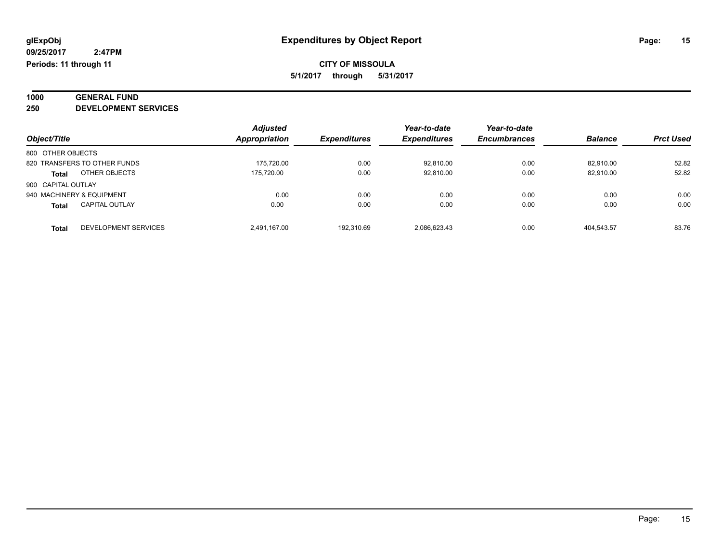# **1000 GENERAL FUND**

**250 DEVELOPMENT SERVICES**

|                                       | <b>Adjusted</b> |                     | Year-to-date        | Year-to-date        |                |                  |
|---------------------------------------|-----------------|---------------------|---------------------|---------------------|----------------|------------------|
| Object/Title                          | Appropriation   | <b>Expenditures</b> | <b>Expenditures</b> | <b>Encumbrances</b> | <b>Balance</b> | <b>Prct Used</b> |
| 800 OTHER OBJECTS                     |                 |                     |                     |                     |                |                  |
| 820 TRANSFERS TO OTHER FUNDS          | 175.720.00      | 0.00                | 92.810.00           | 0.00                | 82.910.00      | 52.82            |
| OTHER OBJECTS<br><b>Total</b>         | 175.720.00      | 0.00                | 92.810.00           | 0.00                | 82.910.00      | 52.82            |
| 900 CAPITAL OUTLAY                    |                 |                     |                     |                     |                |                  |
| 940 MACHINERY & EQUIPMENT             | 0.00            | 0.00                | 0.00                | 0.00                | 0.00           | 0.00             |
| <b>CAPITAL OUTLAY</b><br><b>Total</b> | 0.00            | 0.00                | 0.00                | 0.00                | 0.00           | 0.00             |
| DEVELOPMENT SERVICES<br><b>Total</b>  | 2.491.167.00    | 192.310.69          | 2.086.623.43        | 0.00                | 404.543.57     | 83.76            |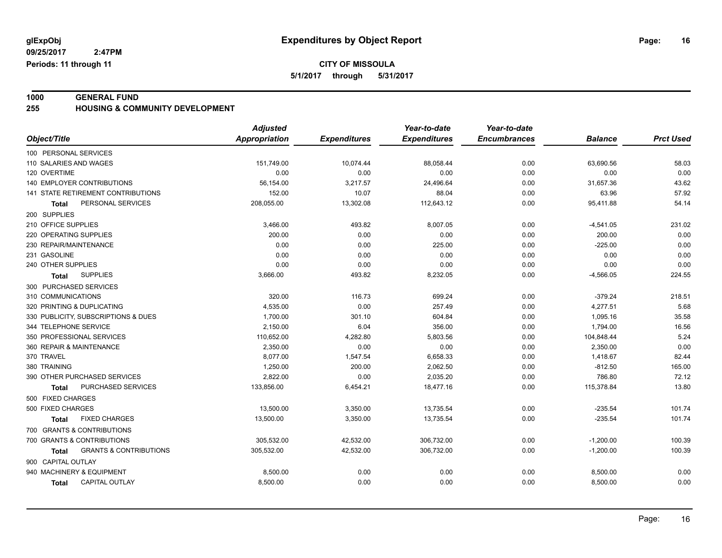**1000 GENERAL FUND 255 HOUSING & COMMUNITY DEVELOPMENT**

|                                            | <b>Adjusted</b>      |                     | Year-to-date        | Year-to-date        |                |                  |
|--------------------------------------------|----------------------|---------------------|---------------------|---------------------|----------------|------------------|
| Object/Title                               | <b>Appropriation</b> | <b>Expenditures</b> | <b>Expenditures</b> | <b>Encumbrances</b> | <b>Balance</b> | <b>Prct Used</b> |
| 100 PERSONAL SERVICES                      |                      |                     |                     |                     |                |                  |
| 110 SALARIES AND WAGES                     | 151,749.00           | 10,074.44           | 88,058.44           | 0.00                | 63,690.56      | 58.03            |
| 120 OVERTIME                               | 0.00                 | 0.00                | 0.00                | 0.00                | 0.00           | 0.00             |
| 140 EMPLOYER CONTRIBUTIONS                 | 56,154.00            | 3,217.57            | 24,496.64           | 0.00                | 31,657.36      | 43.62            |
| 141 STATE RETIREMENT CONTRIBUTIONS         | 152.00               | 10.07               | 88.04               | 0.00                | 63.96          | 57.92            |
| PERSONAL SERVICES<br><b>Total</b>          | 208,055.00           | 13,302.08           | 112,643.12          | 0.00                | 95,411.88      | 54.14            |
| 200 SUPPLIES                               |                      |                     |                     |                     |                |                  |
| 210 OFFICE SUPPLIES                        | 3,466.00             | 493.82              | 8,007.05            | 0.00                | $-4,541.05$    | 231.02           |
| 220 OPERATING SUPPLIES                     | 200.00               | 0.00                | 0.00                | 0.00                | 200.00         | 0.00             |
| 230 REPAIR/MAINTENANCE                     | 0.00                 | 0.00                | 225.00              | 0.00                | $-225.00$      | 0.00             |
| 231 GASOLINE                               | 0.00                 | 0.00                | 0.00                | 0.00                | 0.00           | 0.00             |
| 240 OTHER SUPPLIES                         | 0.00                 | 0.00                | 0.00                | 0.00                | 0.00           | 0.00             |
| <b>SUPPLIES</b><br>Total                   | 3,666.00             | 493.82              | 8,232.05            | 0.00                | $-4,566.05$    | 224.55           |
| 300 PURCHASED SERVICES                     |                      |                     |                     |                     |                |                  |
| 310 COMMUNICATIONS                         | 320.00               | 116.73              | 699.24              | 0.00                | $-379.24$      | 218.51           |
| 320 PRINTING & DUPLICATING                 | 4,535.00             | 0.00                | 257.49              | 0.00                | 4,277.51       | 5.68             |
| 330 PUBLICITY, SUBSCRIPTIONS & DUES        | 1,700.00             | 301.10              | 604.84              | 0.00                | 1,095.16       | 35.58            |
| 344 TELEPHONE SERVICE                      | 2,150.00             | 6.04                | 356.00              | 0.00                | 1,794.00       | 16.56            |
| 350 PROFESSIONAL SERVICES                  | 110,652.00           | 4,282.80            | 5,803.56            | 0.00                | 104,848.44     | 5.24             |
| 360 REPAIR & MAINTENANCE                   | 2.350.00             | 0.00                | 0.00                | 0.00                | 2,350.00       | 0.00             |
| 370 TRAVEL                                 | 8,077.00             | 1,547.54            | 6,658.33            | 0.00                | 1,418.67       | 82.44            |
| 380 TRAINING                               | 1,250.00             | 200.00              | 2,062.50            | 0.00                | $-812.50$      | 165.00           |
| 390 OTHER PURCHASED SERVICES               | 2,822.00             | 0.00                | 2,035.20            | 0.00                | 786.80         | 72.12            |
| PURCHASED SERVICES<br>Total                | 133,856.00           | 6,454.21            | 18,477.16           | 0.00                | 115,378.84     | 13.80            |
| 500 FIXED CHARGES                          |                      |                     |                     |                     |                |                  |
| 500 FIXED CHARGES                          | 13,500.00            | 3,350.00            | 13,735.54           | 0.00                | $-235.54$      | 101.74           |
| <b>FIXED CHARGES</b><br>Total              | 13,500.00            | 3,350.00            | 13,735.54           | 0.00                | $-235.54$      | 101.74           |
| 700 GRANTS & CONTRIBUTIONS                 |                      |                     |                     |                     |                |                  |
| 700 GRANTS & CONTRIBUTIONS                 | 305,532.00           | 42,532.00           | 306,732.00          | 0.00                | $-1,200.00$    | 100.39           |
| <b>GRANTS &amp; CONTRIBUTIONS</b><br>Total | 305,532.00           | 42,532.00           | 306,732.00          | 0.00                | $-1,200.00$    | 100.39           |
| 900 CAPITAL OUTLAY                         |                      |                     |                     |                     |                |                  |
| 940 MACHINERY & EQUIPMENT                  | 8,500.00             | 0.00                | 0.00                | 0.00                | 8,500.00       | 0.00             |
| CAPITAL OUTLAY<br><b>Total</b>             | 8,500.00             | 0.00                | 0.00                | 0.00                | 8,500.00       | 0.00             |
|                                            |                      |                     |                     |                     |                |                  |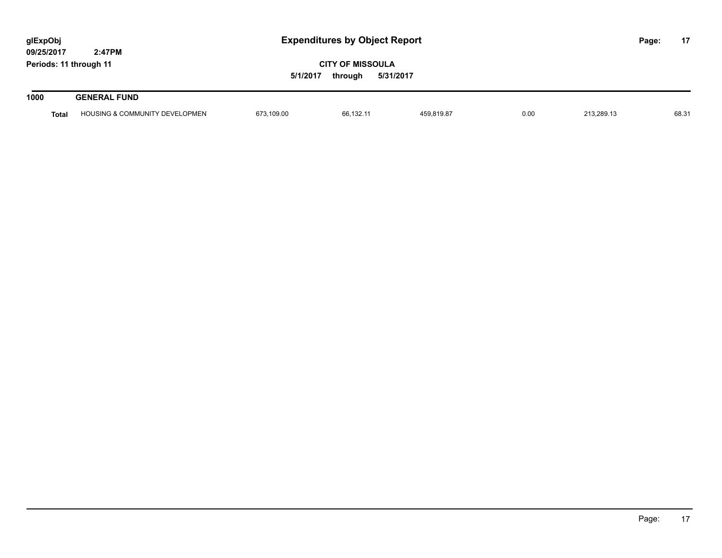| glExpObj<br>09/25/2017 | 2:47PM                                    | <b>Expenditures by Object Report</b> |                                                 |            |      |            | Page: | 17    |
|------------------------|-------------------------------------------|--------------------------------------|-------------------------------------------------|------------|------|------------|-------|-------|
| Periods: 11 through 11 |                                           | 5/1/2017                             | <b>CITY OF MISSOULA</b><br>5/31/2017<br>through |            |      |            |       |       |
| 1000                   | <b>GENERAL FUND</b>                       |                                      |                                                 |            |      |            |       |       |
| <b>Total</b>           | <b>HOUSING &amp; COMMUNITY DEVELOPMEN</b> | 673,109.00                           | 66.132.11                                       | 459,819.87 | 0.00 | 213,289.13 |       | 68.31 |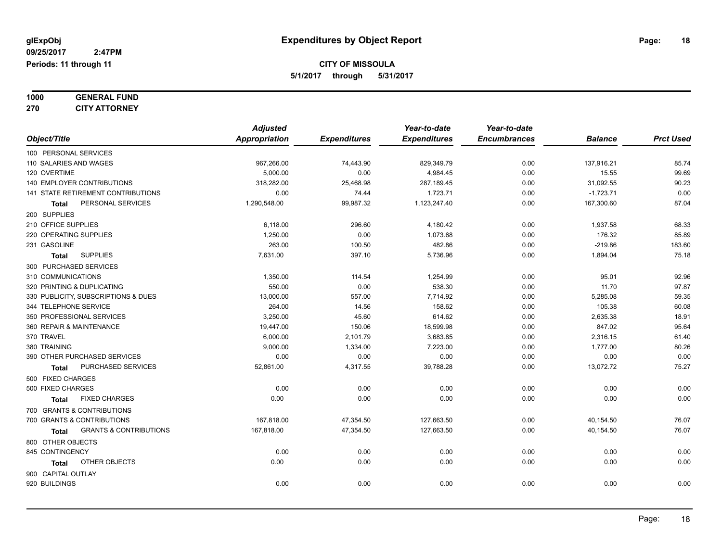| 1000 | <b>GENERAL FUND</b>  |
|------|----------------------|
| 270  | <b>CITY ATTORNEY</b> |

| Object/Title                               | <b>Adjusted</b><br>Appropriation | <b>Expenditures</b> | Year-to-date<br><b>Expenditures</b> | Year-to-date<br><b>Encumbrances</b> | <b>Balance</b> | <b>Prct Used</b> |
|--------------------------------------------|----------------------------------|---------------------|-------------------------------------|-------------------------------------|----------------|------------------|
| 100 PERSONAL SERVICES                      |                                  |                     |                                     |                                     |                |                  |
| 110 SALARIES AND WAGES                     | 967,266.00                       | 74,443.90           | 829,349.79                          | 0.00                                | 137,916.21     | 85.74            |
| 120 OVERTIME                               | 5,000.00                         | 0.00                | 4,984.45                            | 0.00                                | 15.55          | 99.69            |
| 140 EMPLOYER CONTRIBUTIONS                 | 318,282.00                       | 25,468.98           | 287,189.45                          | 0.00                                | 31,092.55      | 90.23            |
| 141 STATE RETIREMENT CONTRIBUTIONS         | 0.00                             | 74.44               | 1,723.71                            | 0.00                                | $-1,723.71$    | 0.00             |
| PERSONAL SERVICES<br><b>Total</b>          | 1,290,548.00                     | 99,987.32           | 1,123,247.40                        | 0.00                                | 167,300.60     | 87.04            |
| 200 SUPPLIES                               |                                  |                     |                                     |                                     |                |                  |
| 210 OFFICE SUPPLIES                        | 6,118.00                         | 296.60              | 4,180.42                            | 0.00                                | 1,937.58       | 68.33            |
| 220 OPERATING SUPPLIES                     | 1,250.00                         | 0.00                | 1,073.68                            | 0.00                                | 176.32         | 85.89            |
| 231 GASOLINE                               | 263.00                           | 100.50              | 482.86                              | 0.00                                | $-219.86$      | 183.60           |
| <b>SUPPLIES</b><br><b>Total</b>            | 7.631.00                         | 397.10              | 5,736.96                            | 0.00                                | 1,894.04       | 75.18            |
| 300 PURCHASED SERVICES                     |                                  |                     |                                     |                                     |                |                  |
| 310 COMMUNICATIONS                         | 1,350.00                         | 114.54              | 1,254.99                            | 0.00                                | 95.01          | 92.96            |
| 320 PRINTING & DUPLICATING                 | 550.00                           | 0.00                | 538.30                              | 0.00                                | 11.70          | 97.87            |
| 330 PUBLICITY, SUBSCRIPTIONS & DUES        | 13,000.00                        | 557.00              | 7,714.92                            | 0.00                                | 5,285.08       | 59.35            |
| 344 TELEPHONE SERVICE                      | 264.00                           | 14.56               | 158.62                              | 0.00                                | 105.38         | 60.08            |
| 350 PROFESSIONAL SERVICES                  | 3,250.00                         | 45.60               | 614.62                              | 0.00                                | 2,635.38       | 18.91            |
| 360 REPAIR & MAINTENANCE                   | 19,447.00                        | 150.06              | 18,599.98                           | 0.00                                | 847.02         | 95.64            |
| 370 TRAVEL                                 | 6,000.00                         | 2,101.79            | 3,683.85                            | 0.00                                | 2,316.15       | 61.40            |
| 380 TRAINING                               | 9,000.00                         | 1,334.00            | 7,223.00                            | 0.00                                | 1,777.00       | 80.26            |
| 390 OTHER PURCHASED SERVICES               | 0.00                             | 0.00                | 0.00                                | 0.00                                | 0.00           | 0.00             |
| PURCHASED SERVICES<br><b>Total</b>         | 52,861.00                        | 4,317.55            | 39,788.28                           | 0.00                                | 13,072.72      | 75.27            |
| 500 FIXED CHARGES                          |                                  |                     |                                     |                                     |                |                  |
| 500 FIXED CHARGES                          | 0.00                             | 0.00                | 0.00                                | 0.00                                | 0.00           | 0.00             |
| <b>FIXED CHARGES</b><br><b>Total</b>       | 0.00                             | 0.00                | 0.00                                | 0.00                                | 0.00           | 0.00             |
| 700 GRANTS & CONTRIBUTIONS                 |                                  |                     |                                     |                                     |                |                  |
| 700 GRANTS & CONTRIBUTIONS                 | 167,818.00                       | 47,354.50           | 127,663.50                          | 0.00                                | 40,154.50      | 76.07            |
| <b>GRANTS &amp; CONTRIBUTIONS</b><br>Total | 167,818.00                       | 47,354.50           | 127,663.50                          | 0.00                                | 40,154.50      | 76.07            |
| 800 OTHER OBJECTS                          |                                  |                     |                                     |                                     |                |                  |
| 845 CONTINGENCY                            | 0.00                             | 0.00                | 0.00                                | 0.00                                | 0.00           | 0.00             |
| OTHER OBJECTS<br>Total                     | 0.00                             | 0.00                | 0.00                                | 0.00                                | 0.00           | 0.00             |
| 900 CAPITAL OUTLAY                         |                                  |                     |                                     |                                     |                |                  |
| 920 BUILDINGS                              | 0.00                             | 0.00                | 0.00                                | 0.00                                | 0.00           | 0.00             |
|                                            |                                  |                     |                                     |                                     |                |                  |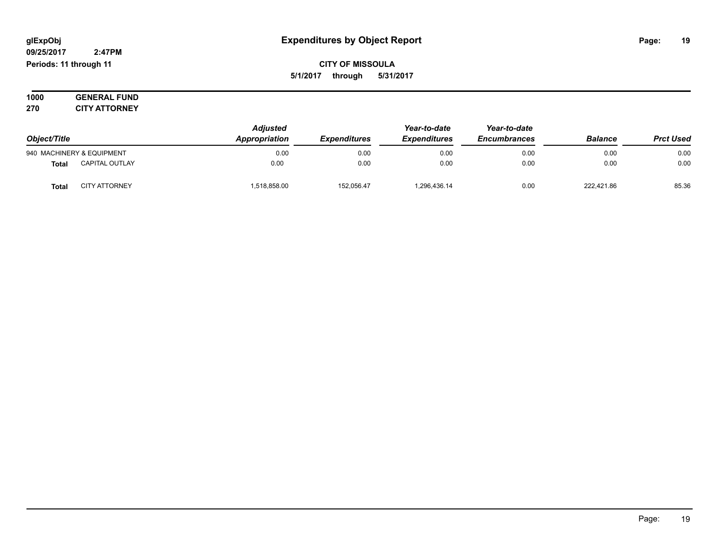#### **09/25/2017 2:47PM Periods: 11 through 11**

**CITY OF MISSOULA 5/1/2017 through 5/31/2017**

**1000 GENERAL FUND 270 CITY ATTORNEY**

| Object/Title              |                       | <b>Adjusted</b><br>Appropriation | Year-to-date<br><b>Expenditures</b><br><b>Expenditures</b> | Year-to-date<br><b>Encumbrances</b> | <b>Balance</b> | <b>Prct Used</b> |       |
|---------------------------|-----------------------|----------------------------------|------------------------------------------------------------|-------------------------------------|----------------|------------------|-------|
| 940 MACHINERY & EQUIPMENT |                       | 0.00                             | 0.00                                                       | 0.00                                | 0.00           | 0.00             | 0.00  |
| Total                     | <b>CAPITAL OUTLAY</b> | 0.00                             | 0.00                                                       | 0.00                                | 0.00           | 0.00             | 0.00  |
| <b>Tota</b>               | <b>CITY ATTORNEY</b>  | 518,858.00                       | 152,056.47                                                 | 1,296,436.14                        | 0.00           | 222.421.86       | 85.36 |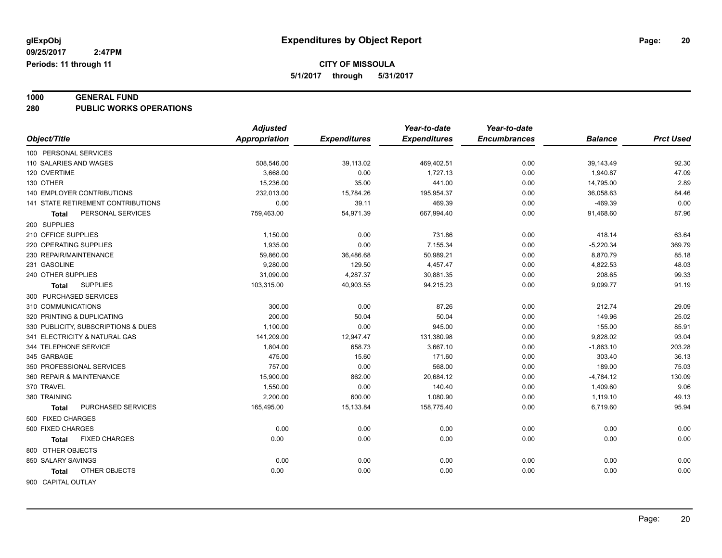# **1000 GENERAL FUND**

**280 PUBLIC WORKS OPERATIONS**

|                                     | <b>Adjusted</b>      |                     | Year-to-date        | Year-to-date        |                |                  |
|-------------------------------------|----------------------|---------------------|---------------------|---------------------|----------------|------------------|
| Object/Title                        | <b>Appropriation</b> | <b>Expenditures</b> | <b>Expenditures</b> | <b>Encumbrances</b> | <b>Balance</b> | <b>Prct Used</b> |
| 100 PERSONAL SERVICES               |                      |                     |                     |                     |                |                  |
| 110 SALARIES AND WAGES              | 508,546.00           | 39,113.02           | 469,402.51          | 0.00                | 39,143.49      | 92.30            |
| 120 OVERTIME                        | 3,668.00             | 0.00                | 1.727.13            | 0.00                | 1,940.87       | 47.09            |
| 130 OTHER                           | 15,236.00            | 35.00               | 441.00              | 0.00                | 14,795.00      | 2.89             |
| <b>140 EMPLOYER CONTRIBUTIONS</b>   | 232,013.00           | 15,784.26           | 195,954.37          | 0.00                | 36,058.63      | 84.46            |
| 141 STATE RETIREMENT CONTRIBUTIONS  | 0.00                 | 39.11               | 469.39              | 0.00                | $-469.39$      | 0.00             |
| PERSONAL SERVICES<br>Total          | 759,463.00           | 54,971.39           | 667,994.40          | 0.00                | 91,468.60      | 87.96            |
| 200 SUPPLIES                        |                      |                     |                     |                     |                |                  |
| 210 OFFICE SUPPLIES                 | 1,150.00             | 0.00                | 731.86              | 0.00                | 418.14         | 63.64            |
| 220 OPERATING SUPPLIES              | 1,935.00             | 0.00                | 7,155.34            | 0.00                | $-5,220.34$    | 369.79           |
| 230 REPAIR/MAINTENANCE              | 59,860.00            | 36,486.68           | 50,989.21           | 0.00                | 8,870.79       | 85.18            |
| 231 GASOLINE                        | 9,280.00             | 129.50              | 4,457.47            | 0.00                | 4,822.53       | 48.03            |
| 240 OTHER SUPPLIES                  | 31,090.00            | 4,287.37            | 30,881.35           | 0.00                | 208.65         | 99.33            |
| <b>SUPPLIES</b><br>Total            | 103,315.00           | 40,903.55           | 94,215.23           | 0.00                | 9,099.77       | 91.19            |
| 300 PURCHASED SERVICES              |                      |                     |                     |                     |                |                  |
| 310 COMMUNICATIONS                  | 300.00               | 0.00                | 87.26               | 0.00                | 212.74         | 29.09            |
| 320 PRINTING & DUPLICATING          | 200.00               | 50.04               | 50.04               | 0.00                | 149.96         | 25.02            |
| 330 PUBLICITY, SUBSCRIPTIONS & DUES | 1,100.00             | 0.00                | 945.00              | 0.00                | 155.00         | 85.91            |
| 341 ELECTRICITY & NATURAL GAS       | 141,209.00           | 12,947.47           | 131,380.98          | 0.00                | 9,828.02       | 93.04            |
| 344 TELEPHONE SERVICE               | 1,804.00             | 658.73              | 3,667.10            | 0.00                | $-1,863.10$    | 203.28           |
| 345 GARBAGE                         | 475.00               | 15.60               | 171.60              | 0.00                | 303.40         | 36.13            |
| 350 PROFESSIONAL SERVICES           | 757.00               | 0.00                | 568.00              | 0.00                | 189.00         | 75.03            |
| 360 REPAIR & MAINTENANCE            | 15,900.00            | 862.00              | 20,684.12           | 0.00                | $-4,784.12$    | 130.09           |
| 370 TRAVEL                          | 1,550.00             | 0.00                | 140.40              | 0.00                | 1,409.60       | 9.06             |
| 380 TRAINING                        | 2,200.00             | 600.00              | 1,080.90            | 0.00                | 1,119.10       | 49.13            |
| PURCHASED SERVICES<br><b>Total</b>  | 165,495.00           | 15,133.84           | 158,775.40          | 0.00                | 6,719.60       | 95.94            |
| 500 FIXED CHARGES                   |                      |                     |                     |                     |                |                  |
| 500 FIXED CHARGES                   | 0.00                 | 0.00                | 0.00                | 0.00                | 0.00           | 0.00             |
| <b>FIXED CHARGES</b><br>Total       | 0.00                 | 0.00                | 0.00                | 0.00                | 0.00           | 0.00             |
| 800 OTHER OBJECTS                   |                      |                     |                     |                     |                |                  |
| 850 SALARY SAVINGS                  | 0.00                 | 0.00                | 0.00                | 0.00                | 0.00           | 0.00             |
| OTHER OBJECTS<br>Total              | 0.00                 | 0.00                | 0.00                | 0.00                | 0.00           | 0.00             |
|                                     |                      |                     |                     |                     |                |                  |
| 900 CAPITAL OUTLAY                  |                      |                     |                     |                     |                |                  |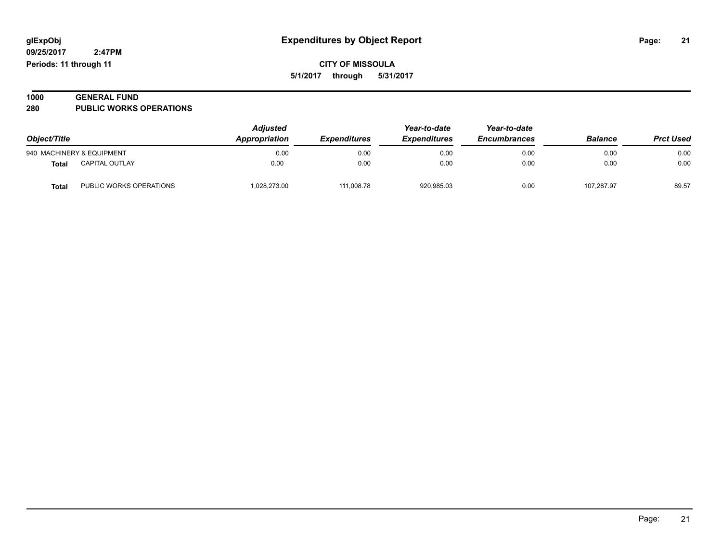**09/25/2017 2:47PM Periods: 11 through 11**

#### **1000 GENERAL FUND 280 PUBLIC WORKS OPERATIONS**

| Object/Title |                           | <b>Adjusted</b><br><b>Appropriation</b><br><b>Expenditures</b> | Year-to-date<br><b>Expenditures</b> | Year-to-date<br><b>Encumbrances</b> | <b>Balance</b> | <b>Prct Used</b> |       |
|--------------|---------------------------|----------------------------------------------------------------|-------------------------------------|-------------------------------------|----------------|------------------|-------|
|              | 940 MACHINERY & EQUIPMENT | 0.00                                                           | 0.00                                | 0.00                                | 0.00           | 0.00             | 0.00  |
| Total        | CAPITAL OUTLAY            | 0.00                                                           | 0.00                                | 0.00                                | 0.00           | 0.00             | 0.00  |
| <b>Total</b> | PUBLIC WORKS OPERATIONS   | 1,028,273.00                                                   | 111,008.78                          | 920,985.03                          | 0.00           | 107.287.97       | 89.57 |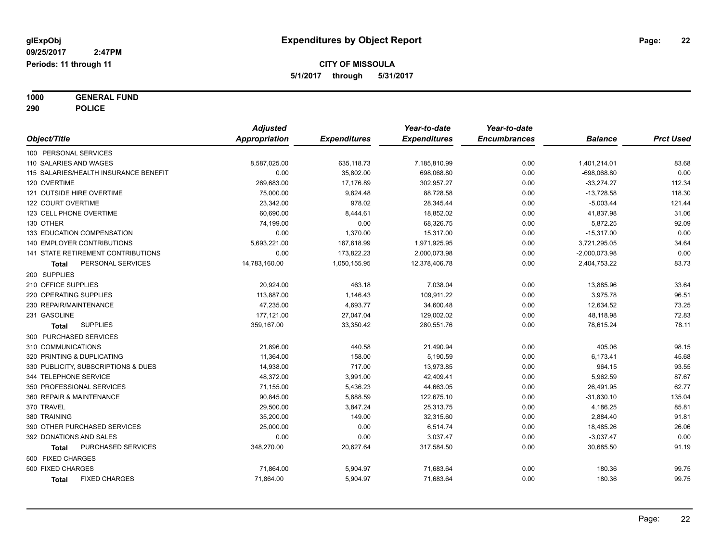**1000 GENERAL FUND 290 POLICE**

|                                       | <b>Adjusted</b>      |                     | Year-to-date        | Year-to-date        |                 |                  |
|---------------------------------------|----------------------|---------------------|---------------------|---------------------|-----------------|------------------|
| Object/Title                          | <b>Appropriation</b> | <b>Expenditures</b> | <b>Expenditures</b> | <b>Encumbrances</b> | <b>Balance</b>  | <b>Prct Used</b> |
| 100 PERSONAL SERVICES                 |                      |                     |                     |                     |                 |                  |
| 110 SALARIES AND WAGES                | 8,587,025.00         | 635,118.73          | 7,185,810.99        | 0.00                | 1,401,214.01    | 83.68            |
| 115 SALARIES/HEALTH INSURANCE BENEFIT | 0.00                 | 35,802.00           | 698,068.80          | 0.00                | $-698,068.80$   | 0.00             |
| 120 OVERTIME                          | 269,683.00           | 17,176.89           | 302,957.27          | 0.00                | $-33,274.27$    | 112.34           |
| 121 OUTSIDE HIRE OVERTIME             | 75,000.00            | 9,824.48            | 88,728.58           | 0.00                | $-13,728.58$    | 118.30           |
| 122 COURT OVERTIME                    | 23,342.00            | 978.02              | 28,345.44           | 0.00                | $-5,003.44$     | 121.44           |
| 123 CELL PHONE OVERTIME               | 60.690.00            | 8,444.61            | 18,852.02           | 0.00                | 41,837.98       | 31.06            |
| 130 OTHER                             | 74,199.00            | 0.00                | 68,326.75           | 0.00                | 5,872.25        | 92.09            |
| 133 EDUCATION COMPENSATION            | 0.00                 | 1,370.00            | 15,317.00           | 0.00                | $-15,317.00$    | 0.00             |
| 140 EMPLOYER CONTRIBUTIONS            | 5,693,221.00         | 167,618.99          | 1,971,925.95        | 0.00                | 3,721,295.05    | 34.64            |
| 141 STATE RETIREMENT CONTRIBUTIONS    | 0.00                 | 173,822.23          | 2,000,073.98        | 0.00                | $-2,000,073.98$ | 0.00             |
| PERSONAL SERVICES<br>Total            | 14,783,160.00        | 1,050,155.95        | 12,378,406.78       | 0.00                | 2,404,753.22    | 83.73            |
| 200 SUPPLIES                          |                      |                     |                     |                     |                 |                  |
| 210 OFFICE SUPPLIES                   | 20,924.00            | 463.18              | 7,038.04            | 0.00                | 13,885.96       | 33.64            |
| 220 OPERATING SUPPLIES                | 113,887.00           | 1,146.43            | 109,911.22          | 0.00                | 3,975.78        | 96.51            |
| 230 REPAIR/MAINTENANCE                | 47,235.00            | 4,693.77            | 34,600.48           | 0.00                | 12,634.52       | 73.25            |
| 231 GASOLINE                          | 177,121.00           | 27,047.04           | 129,002.02          | 0.00                | 48,118.98       | 72.83            |
| <b>SUPPLIES</b><br>Total              | 359,167.00           | 33,350.42           | 280,551.76          | 0.00                | 78,615.24       | 78.11            |
| 300 PURCHASED SERVICES                |                      |                     |                     |                     |                 |                  |
| 310 COMMUNICATIONS                    | 21,896.00            | 440.58              | 21,490.94           | 0.00                | 405.06          | 98.15            |
| 320 PRINTING & DUPLICATING            | 11,364.00            | 158.00              | 5,190.59            | 0.00                | 6,173.41        | 45.68            |
| 330 PUBLICITY, SUBSCRIPTIONS & DUES   | 14,938.00            | 717.00              | 13,973.85           | 0.00                | 964.15          | 93.55            |
| 344 TELEPHONE SERVICE                 | 48,372.00            | 3,991.00            | 42,409.41           | 0.00                | 5,962.59        | 87.67            |
| 350 PROFESSIONAL SERVICES             | 71,155.00            | 5,436.23            | 44,663.05           | 0.00                | 26,491.95       | 62.77            |
| 360 REPAIR & MAINTENANCE              | 90,845.00            | 5,888.59            | 122,675.10          | 0.00                | $-31,830.10$    | 135.04           |
| 370 TRAVEL                            | 29,500.00            | 3,847.24            | 25,313.75           | 0.00                | 4,186.25        | 85.81            |
| 380 TRAINING                          | 35,200.00            | 149.00              | 32,315.60           | 0.00                | 2,884.40        | 91.81            |
| 390 OTHER PURCHASED SERVICES          | 25,000.00            | 0.00                | 6,514.74            | 0.00                | 18,485.26       | 26.06            |
| 392 DONATIONS AND SALES               | 0.00                 | 0.00                | 3,037.47            | 0.00                | $-3,037.47$     | 0.00             |
| PURCHASED SERVICES<br>Total           | 348,270.00           | 20,627.64           | 317,584.50          | 0.00                | 30,685.50       | 91.19            |
| 500 FIXED CHARGES                     |                      |                     |                     |                     |                 |                  |
| 500 FIXED CHARGES                     | 71,864.00            | 5,904.97            | 71,683.64           | 0.00                | 180.36          | 99.75            |
| <b>FIXED CHARGES</b><br><b>Total</b>  | 71,864.00            | 5,904.97            | 71,683.64           | 0.00                | 180.36          | 99.75            |
|                                       |                      |                     |                     |                     |                 |                  |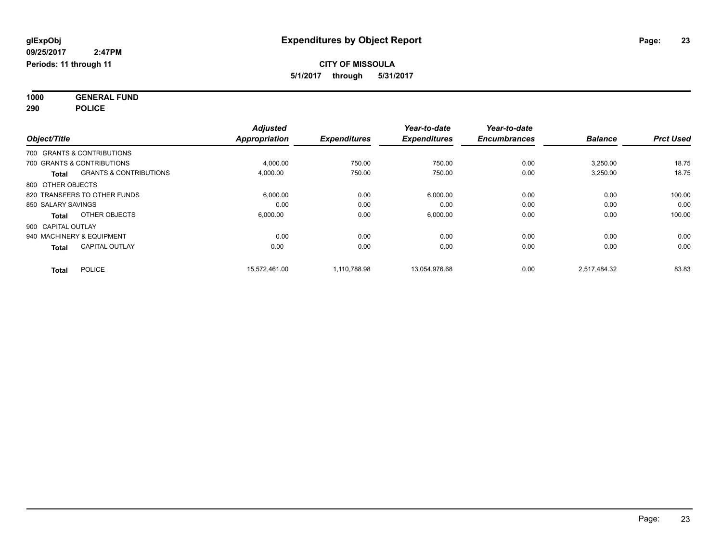**1000 GENERAL FUND 290 POLICE**

| Object/Title       |                                   | <b>Adjusted</b><br><b>Appropriation</b> | <b>Expenditures</b> | Year-to-date<br><b>Expenditures</b> | Year-to-date<br><b>Encumbrances</b> | <b>Balance</b> | <b>Prct Used</b> |
|--------------------|-----------------------------------|-----------------------------------------|---------------------|-------------------------------------|-------------------------------------|----------------|------------------|
|                    | 700 GRANTS & CONTRIBUTIONS        |                                         |                     |                                     |                                     |                |                  |
|                    | 700 GRANTS & CONTRIBUTIONS        | 4,000.00                                | 750.00              | 750.00                              | 0.00                                | 3,250.00       | 18.75            |
| <b>Total</b>       | <b>GRANTS &amp; CONTRIBUTIONS</b> | 4,000.00                                | 750.00              | 750.00                              | 0.00                                | 3,250.00       | 18.75            |
| 800 OTHER OBJECTS  |                                   |                                         |                     |                                     |                                     |                |                  |
|                    | 820 TRANSFERS TO OTHER FUNDS      | 6,000.00                                | 0.00                | 6,000.00                            | 0.00                                | 0.00           | 100.00           |
| 850 SALARY SAVINGS |                                   | 0.00                                    | 0.00                | 0.00                                | 0.00                                | 0.00           | 0.00             |
| <b>Total</b>       | OTHER OBJECTS                     | 6.000.00                                | 0.00                | 6,000.00                            | 0.00                                | 0.00           | 100.00           |
| 900 CAPITAL OUTLAY |                                   |                                         |                     |                                     |                                     |                |                  |
|                    | 940 MACHINERY & EQUIPMENT         | 0.00                                    | 0.00                | 0.00                                | 0.00                                | 0.00           | 0.00             |
| <b>Total</b>       | <b>CAPITAL OUTLAY</b>             | 0.00                                    | 0.00                | 0.00                                | 0.00                                | 0.00           | 0.00             |
| <b>Total</b>       | <b>POLICE</b>                     | 15.572.461.00                           | 1.110.788.98        | 13,054,976.68                       | 0.00                                | 2.517.484.32   | 83.83            |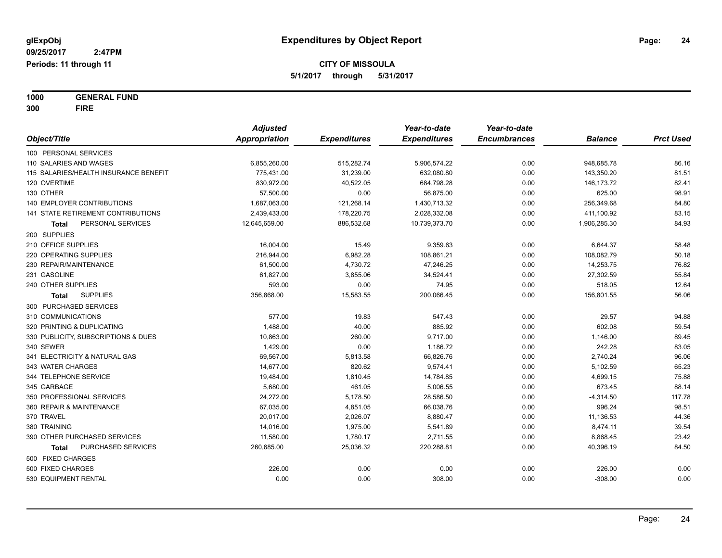**1000 GENERAL FUND 300 FIRE**

|                        |                                       | <b>Adjusted</b>      |                     | Year-to-date        | Year-to-date        |                |                  |
|------------------------|---------------------------------------|----------------------|---------------------|---------------------|---------------------|----------------|------------------|
| Object/Title           |                                       | <b>Appropriation</b> | <b>Expenditures</b> | <b>Expenditures</b> | <b>Encumbrances</b> | <b>Balance</b> | <b>Prct Used</b> |
| 100 PERSONAL SERVICES  |                                       |                      |                     |                     |                     |                |                  |
|                        | 110 SALARIES AND WAGES                | 6,855,260.00         | 515,282.74          | 5,906,574.22        | 0.00                | 948,685.78     | 86.16            |
|                        | 115 SALARIES/HEALTH INSURANCE BENEFIT | 775,431.00           | 31,239.00           | 632,080.80          | 0.00                | 143,350.20     | 81.51            |
| 120 OVERTIME           |                                       | 830,972.00           | 40,522.05           | 684,798.28          | 0.00                | 146, 173. 72   | 82.41            |
| 130 OTHER              |                                       | 57,500.00            | 0.00                | 56,875.00           | 0.00                | 625.00         | 98.91            |
|                        | <b>140 EMPLOYER CONTRIBUTIONS</b>     | 1,687,063.00         | 121,268.14          | 1,430,713.32        | 0.00                | 256,349.68     | 84.80            |
|                        | 141 STATE RETIREMENT CONTRIBUTIONS    | 2,439,433.00         | 178,220.75          | 2,028,332.08        | 0.00                | 411,100.92     | 83.15            |
| Total                  | PERSONAL SERVICES                     | 12,645,659.00        | 886,532.68          | 10,739,373.70       | 0.00                | 1,906,285.30   | 84.93            |
| 200 SUPPLIES           |                                       |                      |                     |                     |                     |                |                  |
| 210 OFFICE SUPPLIES    |                                       | 16,004.00            | 15.49               | 9,359.63            | 0.00                | 6,644.37       | 58.48            |
| 220 OPERATING SUPPLIES |                                       | 216,944.00           | 6,982.28            | 108,861.21          | 0.00                | 108,082.79     | 50.18            |
|                        | 230 REPAIR/MAINTENANCE                | 61,500.00            | 4,730.72            | 47,246.25           | 0.00                | 14,253.75      | 76.82            |
| 231 GASOLINE           |                                       | 61,827.00            | 3,855.06            | 34,524.41           | 0.00                | 27,302.59      | 55.84            |
| 240 OTHER SUPPLIES     |                                       | 593.00               | 0.00                | 74.95               | 0.00                | 518.05         | 12.64            |
| Total                  | <b>SUPPLIES</b>                       | 356,868.00           | 15,583.55           | 200,066.45          | 0.00                | 156,801.55     | 56.06            |
|                        | 300 PURCHASED SERVICES                |                      |                     |                     |                     |                |                  |
| 310 COMMUNICATIONS     |                                       | 577.00               | 19.83               | 547.43              | 0.00                | 29.57          | 94.88            |
|                        | 320 PRINTING & DUPLICATING            | 1,488.00             | 40.00               | 885.92              | 0.00                | 602.08         | 59.54            |
|                        | 330 PUBLICITY, SUBSCRIPTIONS & DUES   | 10,863.00            | 260.00              | 9,717.00            | 0.00                | 1,146.00       | 89.45            |
| 340 SEWER              |                                       | 1,429.00             | 0.00                | 1,186.72            | 0.00                | 242.28         | 83.05            |
|                        | 341 ELECTRICITY & NATURAL GAS         | 69,567.00            | 5,813.58            | 66,826.76           | 0.00                | 2,740.24       | 96.06            |
| 343 WATER CHARGES      |                                       | 14,677.00            | 820.62              | 9,574.41            | 0.00                | 5,102.59       | 65.23            |
| 344 TELEPHONE SERVICE  |                                       | 19,484.00            | 1,810.45            | 14,784.85           | 0.00                | 4,699.15       | 75.88            |
| 345 GARBAGE            |                                       | 5,680.00             | 461.05              | 5,006.55            | 0.00                | 673.45         | 88.14            |
|                        | 350 PROFESSIONAL SERVICES             | 24,272.00            | 5,178.50            | 28,586.50           | 0.00                | $-4,314.50$    | 117.78           |
|                        | 360 REPAIR & MAINTENANCE              | 67,035.00            | 4,851.05            | 66,038.76           | 0.00                | 996.24         | 98.51            |
| 370 TRAVEL             |                                       | 20,017.00            | 2,026.07            | 8,880.47            | 0.00                | 11,136.53      | 44.36            |
| 380 TRAINING           |                                       | 14,016.00            | 1,975.00            | 5,541.89            | 0.00                | 8,474.11       | 39.54            |
|                        | 390 OTHER PURCHASED SERVICES          | 11,580.00            | 1,780.17            | 2,711.55            | 0.00                | 8,868.45       | 23.42            |
| Total                  | PURCHASED SERVICES                    | 260,685.00           | 25,036.32           | 220,288.81          | 0.00                | 40,396.19      | 84.50            |
| 500 FIXED CHARGES      |                                       |                      |                     |                     |                     |                |                  |
| 500 FIXED CHARGES      |                                       | 226.00               | 0.00                | 0.00                | 0.00                | 226.00         | 0.00             |
| 530 EQUIPMENT RENTAL   |                                       | 0.00                 | 0.00                | 308.00              | 0.00                | $-308.00$      | 0.00             |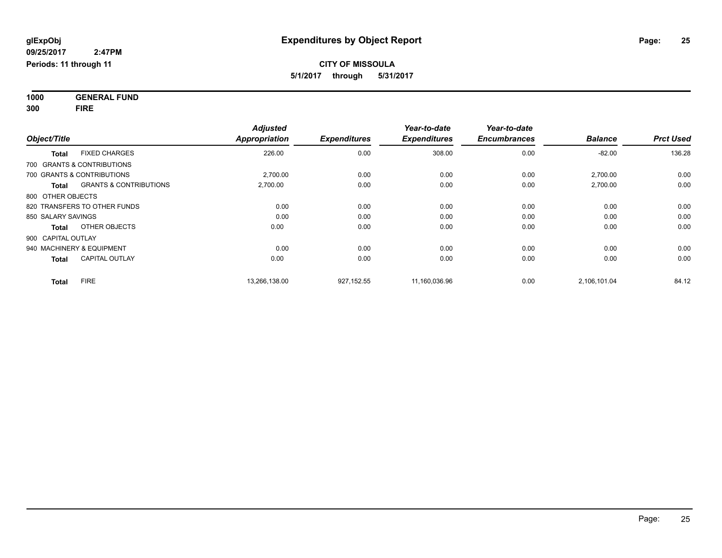**1000 GENERAL FUND 300 FIRE**

| Object/Title                               | <b>Adjusted</b><br><b>Appropriation</b> | <b>Expenditures</b> | Year-to-date<br><b>Expenditures</b> | Year-to-date<br><b>Encumbrances</b> | <b>Balance</b> | <b>Prct Used</b> |
|--------------------------------------------|-----------------------------------------|---------------------|-------------------------------------|-------------------------------------|----------------|------------------|
| <b>FIXED CHARGES</b><br><b>Total</b>       | 226.00                                  | 0.00                | 308.00                              | 0.00                                | $-82.00$       | 136.28           |
| 700 GRANTS & CONTRIBUTIONS                 |                                         |                     |                                     |                                     |                |                  |
| 700 GRANTS & CONTRIBUTIONS                 | 2,700.00                                | 0.00                | 0.00                                | 0.00                                | 2,700.00       | 0.00             |
| <b>GRANTS &amp; CONTRIBUTIONS</b><br>Total | 2,700.00                                | 0.00                | 0.00                                | 0.00                                | 2,700.00       | 0.00             |
| 800 OTHER OBJECTS                          |                                         |                     |                                     |                                     |                |                  |
| 820 TRANSFERS TO OTHER FUNDS               | 0.00                                    | 0.00                | 0.00                                | 0.00                                | 0.00           | 0.00             |
| 850 SALARY SAVINGS                         | 0.00                                    | 0.00                | 0.00                                | 0.00                                | 0.00           | 0.00             |
| OTHER OBJECTS<br><b>Total</b>              | 0.00                                    | 0.00                | 0.00                                | 0.00                                | 0.00           | 0.00             |
| 900 CAPITAL OUTLAY                         |                                         |                     |                                     |                                     |                |                  |
| 940 MACHINERY & EQUIPMENT                  | 0.00                                    | 0.00                | 0.00                                | 0.00                                | 0.00           | 0.00             |
| <b>CAPITAL OUTLAY</b><br><b>Total</b>      | 0.00                                    | 0.00                | 0.00                                | 0.00                                | 0.00           | 0.00             |
| <b>FIRE</b><br><b>Total</b>                | 13,266,138.00                           | 927,152.55          | 11,160,036.96                       | 0.00                                | 2,106,101.04   | 84.12            |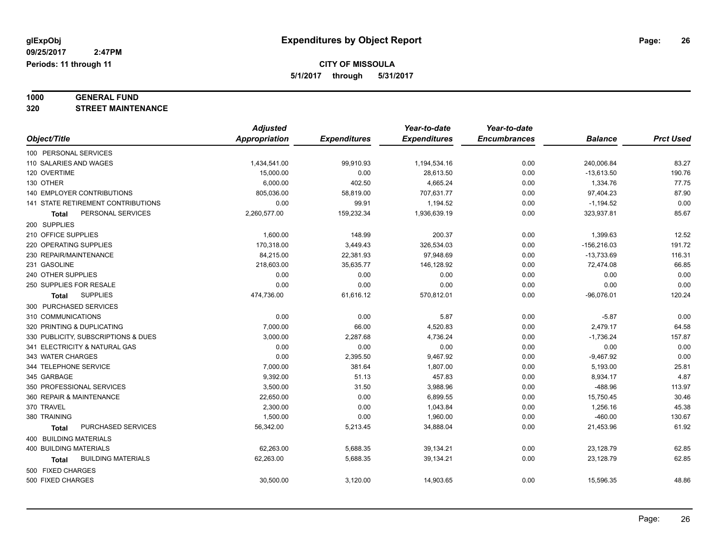# **1000 GENERAL FUND**

**320 STREET MAINTENANCE**

|                                     | <b>Adjusted</b> |                     | Year-to-date        | Year-to-date        |                |                  |
|-------------------------------------|-----------------|---------------------|---------------------|---------------------|----------------|------------------|
| Object/Title                        | Appropriation   | <b>Expenditures</b> | <b>Expenditures</b> | <b>Encumbrances</b> | <b>Balance</b> | <b>Prct Used</b> |
| 100 PERSONAL SERVICES               |                 |                     |                     |                     |                |                  |
| 110 SALARIES AND WAGES              | 1,434,541.00    | 99,910.93           | 1,194,534.16        | 0.00                | 240,006.84     | 83.27            |
| 120 OVERTIME                        | 15,000.00       | 0.00                | 28,613.50           | 0.00                | $-13,613.50$   | 190.76           |
| 130 OTHER                           | 6,000.00        | 402.50              | 4,665.24            | 0.00                | 1,334.76       | 77.75            |
| 140 EMPLOYER CONTRIBUTIONS          | 805,036.00      | 58,819.00           | 707,631.77          | 0.00                | 97,404.23      | 87.90            |
| 141 STATE RETIREMENT CONTRIBUTIONS  | 0.00            | 99.91               | 1,194.52            | 0.00                | $-1,194.52$    | 0.00             |
| PERSONAL SERVICES<br>Total          | 2,260,577.00    | 159,232.34          | 1,936,639.19        | 0.00                | 323,937.81     | 85.67            |
| 200 SUPPLIES                        |                 |                     |                     |                     |                |                  |
| 210 OFFICE SUPPLIES                 | 1,600.00        | 148.99              | 200.37              | 0.00                | 1,399.63       | 12.52            |
| 220 OPERATING SUPPLIES              | 170,318.00      | 3,449.43            | 326,534.03          | 0.00                | $-156,216.03$  | 191.72           |
| 230 REPAIR/MAINTENANCE              | 84,215.00       | 22,381.93           | 97,948.69           | 0.00                | $-13,733.69$   | 116.31           |
| 231 GASOLINE                        | 218,603.00      | 35,635.77           | 146,128.92          | 0.00                | 72,474.08      | 66.85            |
| 240 OTHER SUPPLIES                  | 0.00            | 0.00                | 0.00                | 0.00                | 0.00           | 0.00             |
| 250 SUPPLIES FOR RESALE             | 0.00            | 0.00                | 0.00                | 0.00                | 0.00           | 0.00             |
| <b>SUPPLIES</b><br><b>Total</b>     | 474,736.00      | 61,616.12           | 570,812.01          | 0.00                | $-96,076.01$   | 120.24           |
| 300 PURCHASED SERVICES              |                 |                     |                     |                     |                |                  |
| 310 COMMUNICATIONS                  | 0.00            | 0.00                | 5.87                | 0.00                | $-5.87$        | 0.00             |
| 320 PRINTING & DUPLICATING          | 7,000.00        | 66.00               | 4,520.83            | 0.00                | 2,479.17       | 64.58            |
| 330 PUBLICITY, SUBSCRIPTIONS & DUES | 3,000.00        | 2,287.68            | 4,736.24            | 0.00                | $-1,736.24$    | 157.87           |
| 341 ELECTRICITY & NATURAL GAS       | 0.00            | 0.00                | 0.00                | 0.00                | 0.00           | 0.00             |
| 343 WATER CHARGES                   | 0.00            | 2,395.50            | 9,467.92            | 0.00                | $-9,467.92$    | 0.00             |
| 344 TELEPHONE SERVICE               | 7.000.00        | 381.64              | 1,807.00            | 0.00                | 5,193.00       | 25.81            |
| 345 GARBAGE                         | 9,392.00        | 51.13               | 457.83              | 0.00                | 8,934.17       | 4.87             |
| 350 PROFESSIONAL SERVICES           | 3,500.00        | 31.50               | 3,988.96            | 0.00                | $-488.96$      | 113.97           |
| 360 REPAIR & MAINTENANCE            | 22,650.00       | 0.00                | 6,899.55            | 0.00                | 15,750.45      | 30.46            |
| 370 TRAVEL                          | 2,300.00        | 0.00                | 1,043.84            | 0.00                | 1,256.16       | 45.38            |
| 380 TRAINING                        | 1,500.00        | 0.00                | 1,960.00            | 0.00                | $-460.00$      | 130.67           |
| PURCHASED SERVICES<br><b>Total</b>  | 56,342.00       | 5,213.45            | 34,888.04           | 0.00                | 21,453.96      | 61.92            |
| 400 BUILDING MATERIALS              |                 |                     |                     |                     |                |                  |
| <b>400 BUILDING MATERIALS</b>       | 62,263.00       | 5,688.35            | 39,134.21           | 0.00                | 23,128.79      | 62.85            |
| <b>BUILDING MATERIALS</b><br>Total  | 62,263.00       | 5,688.35            | 39,134.21           | 0.00                | 23,128.79      | 62.85            |
| 500 FIXED CHARGES                   |                 |                     |                     |                     |                |                  |
| 500 FIXED CHARGES                   | 30,500.00       | 3,120.00            | 14,903.65           | 0.00                | 15,596.35      | 48.86            |
|                                     |                 |                     |                     |                     |                |                  |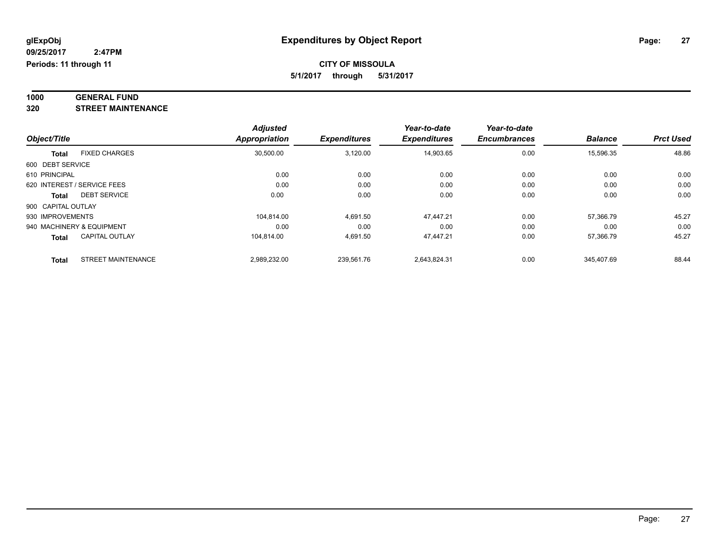#### **1000 GENERAL FUND 320 STREET MAINTENANCE**

|                    |                             | <b>Adjusted</b>      |                     | Year-to-date        | Year-to-date        |                |                  |
|--------------------|-----------------------------|----------------------|---------------------|---------------------|---------------------|----------------|------------------|
| Object/Title       |                             | <b>Appropriation</b> | <b>Expenditures</b> | <b>Expenditures</b> | <b>Encumbrances</b> | <b>Balance</b> | <b>Prct Used</b> |
| <b>Total</b>       | <b>FIXED CHARGES</b>        | 30,500.00            | 3,120.00            | 14,903.65           | 0.00                | 15,596.35      | 48.86            |
| 600 DEBT SERVICE   |                             |                      |                     |                     |                     |                |                  |
| 610 PRINCIPAL      |                             | 0.00                 | 0.00                | 0.00                | 0.00                | 0.00           | 0.00             |
|                    | 620 INTEREST / SERVICE FEES | 0.00                 | 0.00                | 0.00                | 0.00                | 0.00           | 0.00             |
| Total              | <b>DEBT SERVICE</b>         | 0.00                 | 0.00                | 0.00                | 0.00                | 0.00           | 0.00             |
| 900 CAPITAL OUTLAY |                             |                      |                     |                     |                     |                |                  |
| 930 IMPROVEMENTS   |                             | 104.814.00           | 4.691.50            | 47.447.21           | 0.00                | 57.366.79      | 45.27            |
|                    | 940 MACHINERY & EQUIPMENT   | 0.00                 | 0.00                | 0.00                | 0.00                | 0.00           | 0.00             |
| Total              | <b>CAPITAL OUTLAY</b>       | 104.814.00           | 4.691.50            | 47.447.21           | 0.00                | 57.366.79      | 45.27            |
| <b>Total</b>       | <b>STREET MAINTENANCE</b>   | 2,989,232.00         | 239,561.76          | 2,643,824.31        | 0.00                | 345.407.69     | 88.44            |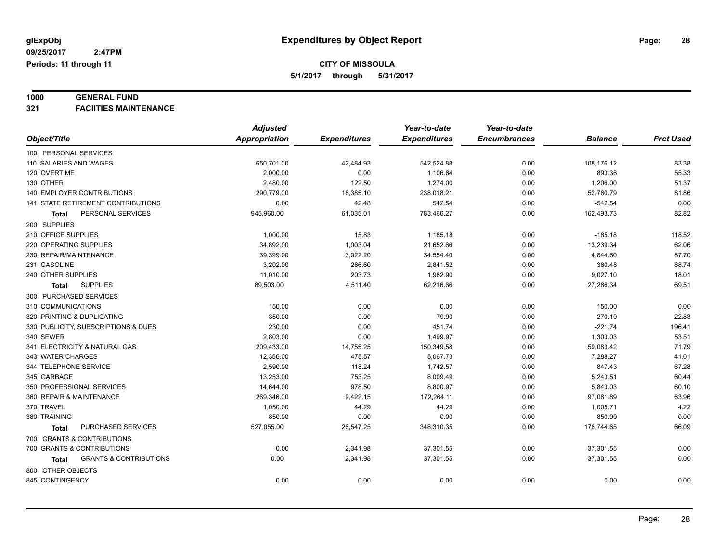# **1000 GENERAL FUND**

**321 FACIITIES MAINTENANCE**

|                                            | <b>Adjusted</b>      |                     | Year-to-date        | Year-to-date        |                |                  |
|--------------------------------------------|----------------------|---------------------|---------------------|---------------------|----------------|------------------|
| Object/Title                               | <b>Appropriation</b> | <b>Expenditures</b> | <b>Expenditures</b> | <b>Encumbrances</b> | <b>Balance</b> | <b>Prct Used</b> |
| 100 PERSONAL SERVICES                      |                      |                     |                     |                     |                |                  |
| 110 SALARIES AND WAGES                     | 650,701.00           | 42,484.93           | 542,524.88          | 0.00                | 108,176.12     | 83.38            |
| 120 OVERTIME                               | 2,000.00             | 0.00                | 1,106.64            | 0.00                | 893.36         | 55.33            |
| 130 OTHER                                  | 2,480.00             | 122.50              | 1,274.00            | 0.00                | 1,206.00       | 51.37            |
| <b>140 EMPLOYER CONTRIBUTIONS</b>          | 290,779.00           | 18,385.10           | 238,018.21          | 0.00                | 52,760.79      | 81.86            |
| <b>141 STATE RETIREMENT CONTRIBUTIONS</b>  | 0.00                 | 42.48               | 542.54              | 0.00                | $-542.54$      | 0.00             |
| PERSONAL SERVICES<br><b>Total</b>          | 945,960.00           | 61,035.01           | 783,466.27          | 0.00                | 162,493.73     | 82.82            |
| 200 SUPPLIES                               |                      |                     |                     |                     |                |                  |
| 210 OFFICE SUPPLIES                        | 1,000.00             | 15.83               | 1,185.18            | 0.00                | $-185.18$      | 118.52           |
| 220 OPERATING SUPPLIES                     | 34,892.00            | 1,003.04            | 21,652.66           | 0.00                | 13,239.34      | 62.06            |
| 230 REPAIR/MAINTENANCE                     | 39,399.00            | 3,022.20            | 34,554.40           | 0.00                | 4,844.60       | 87.70            |
| 231 GASOLINE                               | 3,202.00             | 266.60              | 2,841.52            | 0.00                | 360.48         | 88.74            |
| 240 OTHER SUPPLIES                         | 11,010.00            | 203.73              | 1,982.90            | 0.00                | 9,027.10       | 18.01            |
| <b>SUPPLIES</b><br><b>Total</b>            | 89,503.00            | 4,511.40            | 62,216.66           | 0.00                | 27,286.34      | 69.51            |
| 300 PURCHASED SERVICES                     |                      |                     |                     |                     |                |                  |
| 310 COMMUNICATIONS                         | 150.00               | 0.00                | 0.00                | 0.00                | 150.00         | 0.00             |
| 320 PRINTING & DUPLICATING                 | 350.00               | 0.00                | 79.90               | 0.00                | 270.10         | 22.83            |
| 330 PUBLICITY, SUBSCRIPTIONS & DUES        | 230.00               | 0.00                | 451.74              | 0.00                | $-221.74$      | 196.41           |
| 340 SEWER                                  | 2,803.00             | 0.00                | 1,499.97            | 0.00                | 1,303.03       | 53.51            |
| 341 ELECTRICITY & NATURAL GAS              | 209,433.00           | 14,755.25           | 150,349.58          | 0.00                | 59,083.42      | 71.79            |
| 343 WATER CHARGES                          | 12,356.00            | 475.57              | 5,067.73            | 0.00                | 7,288.27       | 41.01            |
| 344 TELEPHONE SERVICE                      | 2,590.00             | 118.24              | 1,742.57            | 0.00                | 847.43         | 67.28            |
| 345 GARBAGE                                | 13,253.00            | 753.25              | 8,009.49            | 0.00                | 5,243.51       | 60.44            |
| 350 PROFESSIONAL SERVICES                  | 14,644.00            | 978.50              | 8,800.97            | 0.00                | 5,843.03       | 60.10            |
| 360 REPAIR & MAINTENANCE                   | 269,346.00           | 9,422.15            | 172,264.11          | 0.00                | 97,081.89      | 63.96            |
| 370 TRAVEL                                 | 1,050.00             | 44.29               | 44.29               | 0.00                | 1,005.71       | 4.22             |
| 380 TRAINING                               | 850.00               | 0.00                | 0.00                | 0.00                | 850.00         | 0.00             |
| PURCHASED SERVICES<br><b>Total</b>         | 527,055.00           | 26,547.25           | 348,310.35          | 0.00                | 178,744.65     | 66.09            |
| 700 GRANTS & CONTRIBUTIONS                 |                      |                     |                     |                     |                |                  |
| 700 GRANTS & CONTRIBUTIONS                 | 0.00                 | 2,341.98            | 37,301.55           | 0.00                | $-37,301.55$   | 0.00             |
| <b>GRANTS &amp; CONTRIBUTIONS</b><br>Total | 0.00                 | 2,341.98            | 37,301.55           | 0.00                | $-37,301.55$   | 0.00             |
| 800 OTHER OBJECTS                          |                      |                     |                     |                     |                |                  |
| 845 CONTINGENCY                            | 0.00                 | 0.00                | 0.00                | 0.00                | 0.00           | 0.00             |
|                                            |                      |                     |                     |                     |                |                  |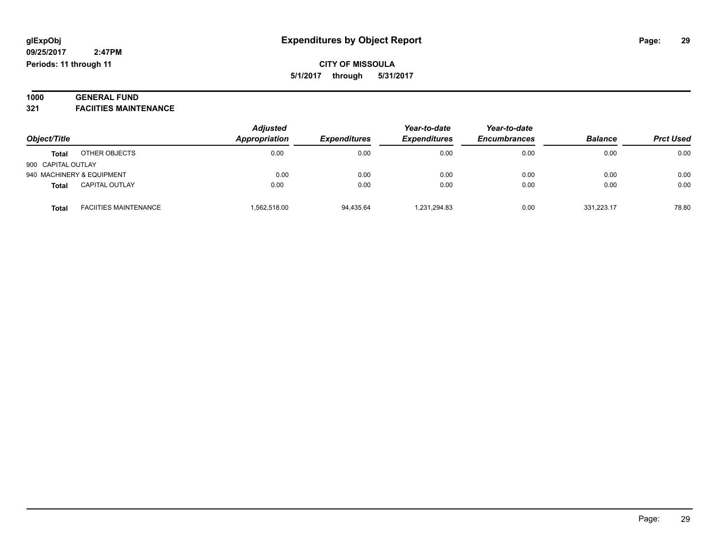#### **1000 GENERAL FUND 321 FACIITIES MAINTENANCE**

| Object/Title              |                              | <b>Adjusted</b> |                     | Year-to-date        | Year-to-date        |                | <b>Prct Used</b> |
|---------------------------|------------------------------|-----------------|---------------------|---------------------|---------------------|----------------|------------------|
|                           |                              | Appropriation   | <b>Expenditures</b> | <b>Expenditures</b> | <b>Encumbrances</b> | <b>Balance</b> |                  |
| <b>Total</b>              | OTHER OBJECTS                | 0.00            | 0.00                | 0.00                | 0.00                | 0.00           | 0.00             |
| 900 CAPITAL OUTLAY        |                              |                 |                     |                     |                     |                |                  |
| 940 MACHINERY & EQUIPMENT |                              | 0.00            | 0.00                | 0.00                | 0.00                | 0.00           | 0.00             |
| <b>Total</b>              | <b>CAPITAL OUTLAY</b>        | 0.00            | 0.00                | 0.00                | 0.00                | 0.00           | 0.00             |
| <b>Total</b>              | <b>FACIITIES MAINTENANCE</b> | 1,562,518.00    | 94,435.64           | 1.231.294.83        | 0.00                | 331.223.17     | 78.80            |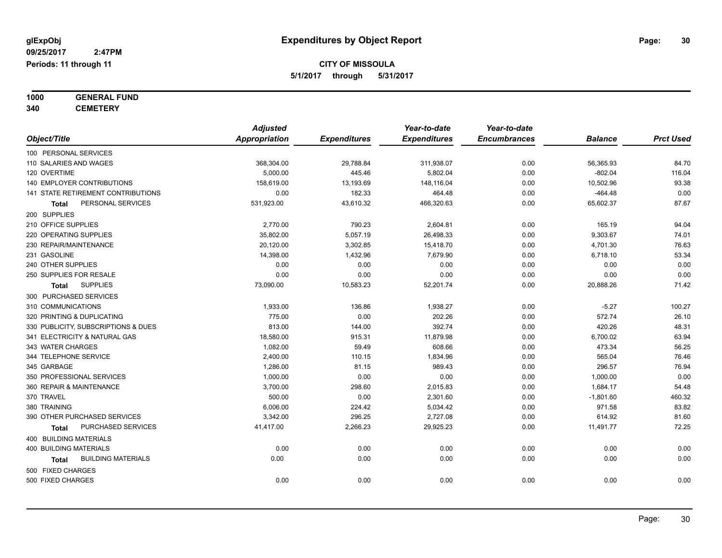# **1000 GENERAL FUND**

**340 CEMETERY**

|                                     | <b>Adjusted</b>      |                     | Year-to-date        | Year-to-date        |                |                  |
|-------------------------------------|----------------------|---------------------|---------------------|---------------------|----------------|------------------|
| Object/Title                        | <b>Appropriation</b> | <b>Expenditures</b> | <b>Expenditures</b> | <b>Encumbrances</b> | <b>Balance</b> | <b>Prct Used</b> |
| 100 PERSONAL SERVICES               |                      |                     |                     |                     |                |                  |
| 110 SALARIES AND WAGES              | 368,304.00           | 29,788.84           | 311,938.07          | 0.00                | 56,365.93      | 84.70            |
| 120 OVERTIME                        | 5,000.00             | 445.46              | 5,802.04            | 0.00                | $-802.04$      | 116.04           |
| 140 EMPLOYER CONTRIBUTIONS          | 158,619.00           | 13,193.69           | 148,116.04          | 0.00                | 10,502.96      | 93.38            |
| 141 STATE RETIREMENT CONTRIBUTIONS  | 0.00                 | 182.33              | 464.48              | 0.00                | $-464.48$      | 0.00             |
| PERSONAL SERVICES<br>Total          | 531,923.00           | 43,610.32           | 466,320.63          | 0.00                | 65,602.37      | 87.67            |
| 200 SUPPLIES                        |                      |                     |                     |                     |                |                  |
| 210 OFFICE SUPPLIES                 | 2,770.00             | 790.23              | 2,604.81            | 0.00                | 165.19         | 94.04            |
| 220 OPERATING SUPPLIES              | 35,802.00            | 5,057.19            | 26,498.33           | 0.00                | 9,303.67       | 74.01            |
| 230 REPAIR/MAINTENANCE              | 20,120.00            | 3,302.85            | 15,418.70           | 0.00                | 4,701.30       | 76.63            |
| 231 GASOLINE                        | 14,398.00            | 1,432.96            | 7,679.90            | 0.00                | 6,718.10       | 53.34            |
| 240 OTHER SUPPLIES                  | 0.00                 | 0.00                | 0.00                | 0.00                | 0.00           | 0.00             |
| 250 SUPPLIES FOR RESALE             | 0.00                 | 0.00                | 0.00                | 0.00                | 0.00           | 0.00             |
| <b>SUPPLIES</b><br><b>Total</b>     | 73,090.00            | 10,583.23           | 52,201.74           | 0.00                | 20,888.26      | 71.42            |
| 300 PURCHASED SERVICES              |                      |                     |                     |                     |                |                  |
| 310 COMMUNICATIONS                  | 1,933.00             | 136.86              | 1,938.27            | 0.00                | $-5.27$        | 100.27           |
| 320 PRINTING & DUPLICATING          | 775.00               | 0.00                | 202.26              | 0.00                | 572.74         | 26.10            |
| 330 PUBLICITY, SUBSCRIPTIONS & DUES | 813.00               | 144.00              | 392.74              | 0.00                | 420.26         | 48.31            |
| 341 ELECTRICITY & NATURAL GAS       | 18,580.00            | 915.31              | 11,879.98           | 0.00                | 6,700.02       | 63.94            |
| 343 WATER CHARGES                   | 1,082.00             | 59.49               | 608.66              | 0.00                | 473.34         | 56.25            |
| 344 TELEPHONE SERVICE               | 2,400.00             | 110.15              | 1,834.96            | 0.00                | 565.04         | 76.46            |
| 345 GARBAGE                         | 1,286.00             | 81.15               | 989.43              | 0.00                | 296.57         | 76.94            |
| 350 PROFESSIONAL SERVICES           | 1,000.00             | 0.00                | 0.00                | 0.00                | 1,000.00       | 0.00             |
| 360 REPAIR & MAINTENANCE            | 3,700.00             | 298.60              | 2,015.83            | 0.00                | 1,684.17       | 54.48            |
| 370 TRAVEL                          | 500.00               | 0.00                | 2,301.60            | 0.00                | $-1,801.60$    | 460.32           |
| 380 TRAINING                        | 6,006.00             | 224.42              | 5,034.42            | 0.00                | 971.58         | 83.82            |
| 390 OTHER PURCHASED SERVICES        | 3,342.00             | 296.25              | 2,727.08            | 0.00                | 614.92         | 81.60            |
| PURCHASED SERVICES<br>Total         | 41,417.00            | 2,266.23            | 29,925.23           | 0.00                | 11,491.77      | 72.25            |
| 400 BUILDING MATERIALS              |                      |                     |                     |                     |                |                  |
| <b>400 BUILDING MATERIALS</b>       | 0.00                 | 0.00                | 0.00                | 0.00                | 0.00           | 0.00             |
| <b>BUILDING MATERIALS</b><br>Total  | 0.00                 | 0.00                | 0.00                | 0.00                | 0.00           | 0.00             |
| 500 FIXED CHARGES                   |                      |                     |                     |                     |                |                  |
| 500 FIXED CHARGES                   | 0.00                 | 0.00                | 0.00                | 0.00                | 0.00           | 0.00             |
|                                     |                      |                     |                     |                     |                |                  |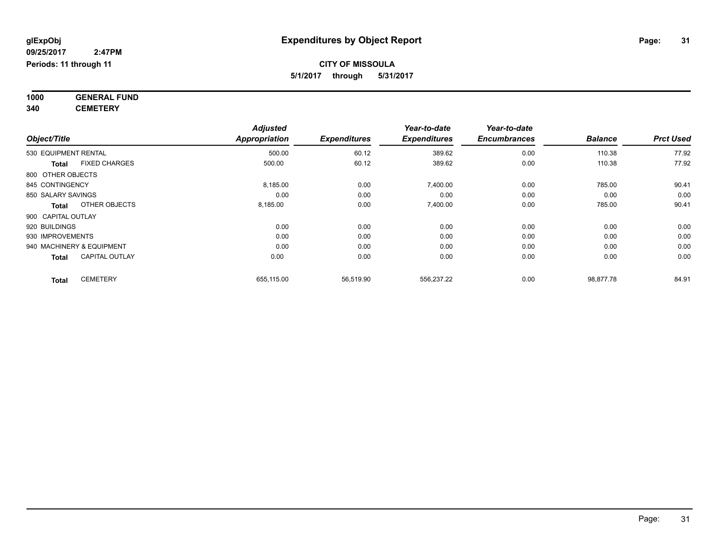**1000 GENERAL FUND 340 CEMETERY**

|                                      | <b>Adjusted</b> |                                                                   | Year-to-date   | Year-to-date     |           |       |
|--------------------------------------|-----------------|-------------------------------------------------------------------|----------------|------------------|-----------|-------|
| Object/Title                         | Appropriation   | <b>Expenditures</b><br><b>Expenditures</b><br><b>Encumbrances</b> | <b>Balance</b> | <b>Prct Used</b> |           |       |
| 530 EQUIPMENT RENTAL                 | 500.00          | 60.12                                                             | 389.62         | 0.00             | 110.38    | 77.92 |
| <b>FIXED CHARGES</b><br><b>Total</b> | 500.00          | 60.12                                                             | 389.62         | 0.00             | 110.38    | 77.92 |
| 800 OTHER OBJECTS                    |                 |                                                                   |                |                  |           |       |
| 845 CONTINGENCY                      | 8,185.00        | 0.00                                                              | 7,400.00       | 0.00             | 785.00    | 90.41 |
| 850 SALARY SAVINGS                   | 0.00            | 0.00                                                              | 0.00           | 0.00             | 0.00      | 0.00  |
| OTHER OBJECTS<br>Total               | 8,185.00        | 0.00                                                              | 7,400.00       | 0.00             | 785.00    | 90.41 |
| 900 CAPITAL OUTLAY                   |                 |                                                                   |                |                  |           |       |
| 920 BUILDINGS                        | 0.00            | 0.00                                                              | 0.00           | 0.00             | 0.00      | 0.00  |
| 930 IMPROVEMENTS                     | 0.00            | 0.00                                                              | 0.00           | 0.00             | 0.00      | 0.00  |
| 940 MACHINERY & EQUIPMENT            | 0.00            | 0.00                                                              | 0.00           | 0.00             | 0.00      | 0.00  |
| <b>CAPITAL OUTLAY</b><br>Total       | 0.00            | 0.00                                                              | 0.00           | 0.00             | 0.00      | 0.00  |
| <b>CEMETERY</b><br><b>Total</b>      | 655,115.00      | 56,519.90                                                         | 556,237.22     | 0.00             | 98,877.78 | 84.91 |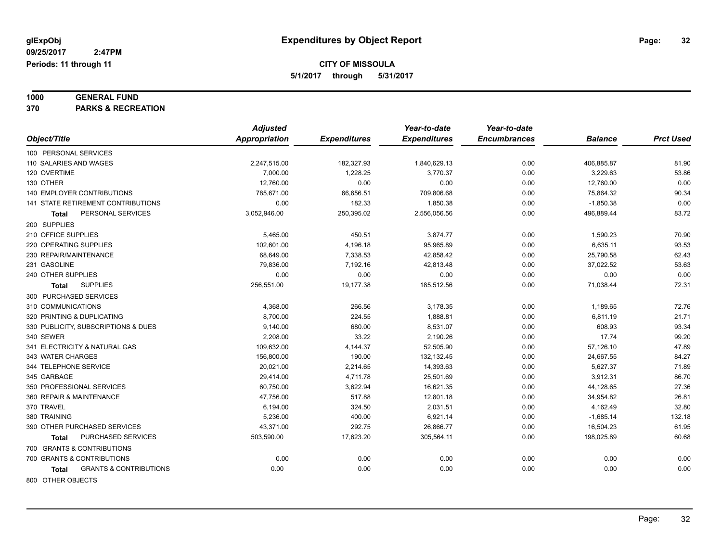# **1000 GENERAL FUND**

**370 PARKS & RECREATION**

|                                            | <b>Adjusted</b>      |                     | Year-to-date        | Year-to-date        |                |                  |
|--------------------------------------------|----------------------|---------------------|---------------------|---------------------|----------------|------------------|
| Object/Title                               | <b>Appropriation</b> | <b>Expenditures</b> | <b>Expenditures</b> | <b>Encumbrances</b> | <b>Balance</b> | <b>Prct Used</b> |
| 100 PERSONAL SERVICES                      |                      |                     |                     |                     |                |                  |
| 110 SALARIES AND WAGES                     | 2,247,515.00         | 182,327.93          | 1,840,629.13        | 0.00                | 406,885.87     | 81.90            |
| 120 OVERTIME                               | 7,000.00             | 1,228.25            | 3,770.37            | 0.00                | 3,229.63       | 53.86            |
| 130 OTHER                                  | 12,760.00            | 0.00                | 0.00                | 0.00                | 12,760.00      | 0.00             |
| <b>140 EMPLOYER CONTRIBUTIONS</b>          | 785,671.00           | 66,656.51           | 709,806.68          | 0.00                | 75,864.32      | 90.34            |
| <b>141 STATE RETIREMENT CONTRIBUTIONS</b>  | 0.00                 | 182.33              | 1,850.38            | 0.00                | $-1,850.38$    | 0.00             |
| PERSONAL SERVICES<br>Total                 | 3,052,946.00         | 250,395.02          | 2,556,056.56        | 0.00                | 496,889.44     | 83.72            |
| 200 SUPPLIES                               |                      |                     |                     |                     |                |                  |
| 210 OFFICE SUPPLIES                        | 5,465.00             | 450.51              | 3,874.77            | 0.00                | 1,590.23       | 70.90            |
| 220 OPERATING SUPPLIES                     | 102,601.00           | 4,196.18            | 95,965.89           | 0.00                | 6,635.11       | 93.53            |
| 230 REPAIR/MAINTENANCE                     | 68,649.00            | 7,338.53            | 42,858.42           | 0.00                | 25,790.58      | 62.43            |
| 231 GASOLINE                               | 79,836.00            | 7,192.16            | 42,813.48           | 0.00                | 37,022.52      | 53.63            |
| 240 OTHER SUPPLIES                         | 0.00                 | 0.00                | 0.00                | 0.00                | 0.00           | 0.00             |
| <b>SUPPLIES</b><br>Total                   | 256,551.00           | 19,177.38           | 185,512.56          | 0.00                | 71,038.44      | 72.31            |
| 300 PURCHASED SERVICES                     |                      |                     |                     |                     |                |                  |
| 310 COMMUNICATIONS                         | 4,368.00             | 266.56              | 3,178.35            | 0.00                | 1,189.65       | 72.76            |
| 320 PRINTING & DUPLICATING                 | 8,700.00             | 224.55              | 1,888.81            | 0.00                | 6,811.19       | 21.71            |
| 330 PUBLICITY, SUBSCRIPTIONS & DUES        | 9,140.00             | 680.00              | 8,531.07            | 0.00                | 608.93         | 93.34            |
| 340 SEWER                                  | 2,208.00             | 33.22               | 2,190.26            | 0.00                | 17.74          | 99.20            |
| 341 ELECTRICITY & NATURAL GAS              | 109,632.00           | 4,144.37            | 52,505.90           | 0.00                | 57,126.10      | 47.89            |
| 343 WATER CHARGES                          | 156,800.00           | 190.00              | 132,132.45          | 0.00                | 24,667.55      | 84.27            |
| 344 TELEPHONE SERVICE                      | 20,021.00            | 2,214.65            | 14,393.63           | 0.00                | 5,627.37       | 71.89            |
| 345 GARBAGE                                | 29,414.00            | 4,711.78            | 25,501.69           | 0.00                | 3,912.31       | 86.70            |
| 350 PROFESSIONAL SERVICES                  | 60,750.00            | 3,622.94            | 16,621.35           | 0.00                | 44,128.65      | 27.36            |
| 360 REPAIR & MAINTENANCE                   | 47,756.00            | 517.88              | 12,801.18           | 0.00                | 34,954.82      | 26.81            |
| 370 TRAVEL                                 | 6,194.00             | 324.50              | 2,031.51            | 0.00                | 4,162.49       | 32.80            |
| 380 TRAINING                               | 5,236.00             | 400.00              | 6,921.14            | 0.00                | $-1,685.14$    | 132.18           |
| 390 OTHER PURCHASED SERVICES               | 43,371.00            | 292.75              | 26,866.77           | 0.00                | 16,504.23      | 61.95            |
| PURCHASED SERVICES<br>Total                | 503,590.00           | 17,623.20           | 305,564.11          | 0.00                | 198,025.89     | 60.68            |
| 700 GRANTS & CONTRIBUTIONS                 |                      |                     |                     |                     |                |                  |
| 700 GRANTS & CONTRIBUTIONS                 | 0.00                 | 0.00                | 0.00                | 0.00                | 0.00           | 0.00             |
| <b>GRANTS &amp; CONTRIBUTIONS</b><br>Total | 0.00                 | 0.00                | 0.00                | 0.00                | 0.00           | 0.00             |
| 800 OTHER OBJECTS                          |                      |                     |                     |                     |                |                  |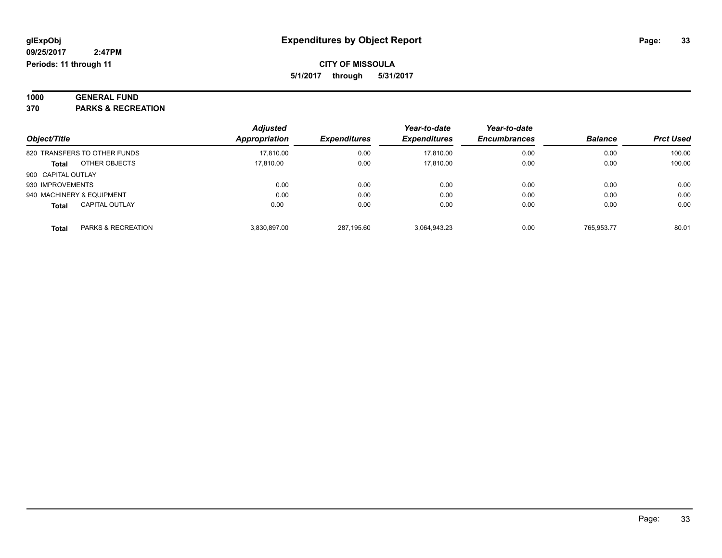| 1000       | <b>GENERAL FUND</b>        |
|------------|----------------------------|
| <b>270</b> | <b>DADIZO O DEGDEATION</b> |

**370 PARKS & RECREATION**

|                                               | <b>Adjusted</b> |                     | Year-to-date        | Year-to-date        |                |                  |
|-----------------------------------------------|-----------------|---------------------|---------------------|---------------------|----------------|------------------|
| Object/Title                                  | Appropriation   | <b>Expenditures</b> | <b>Expenditures</b> | <b>Encumbrances</b> | <b>Balance</b> | <b>Prct Used</b> |
| 820 TRANSFERS TO OTHER FUNDS                  | 17,810.00       | 0.00                | 17,810.00           | 0.00                | 0.00           | 100.00           |
| OTHER OBJECTS<br><b>Total</b>                 | 17.810.00       | 0.00                | 17.810.00           | 0.00                | 0.00           | 100.00           |
| 900 CAPITAL OUTLAY                            |                 |                     |                     |                     |                |                  |
| 930 IMPROVEMENTS                              | 0.00            | 0.00                | 0.00                | 0.00                | 0.00           | 0.00             |
| 940 MACHINERY & EQUIPMENT                     | 0.00            | 0.00                | 0.00                | 0.00                | 0.00           | 0.00             |
| <b>CAPITAL OUTLAY</b><br><b>Total</b>         | 0.00            | 0.00                | 0.00                | 0.00                | 0.00           | 0.00             |
| <b>PARKS &amp; RECREATION</b><br><b>Total</b> | 3.830.897.00    | 287.195.60          | 3,064,943.23        | 0.00                | 765.953.77     | 80.01            |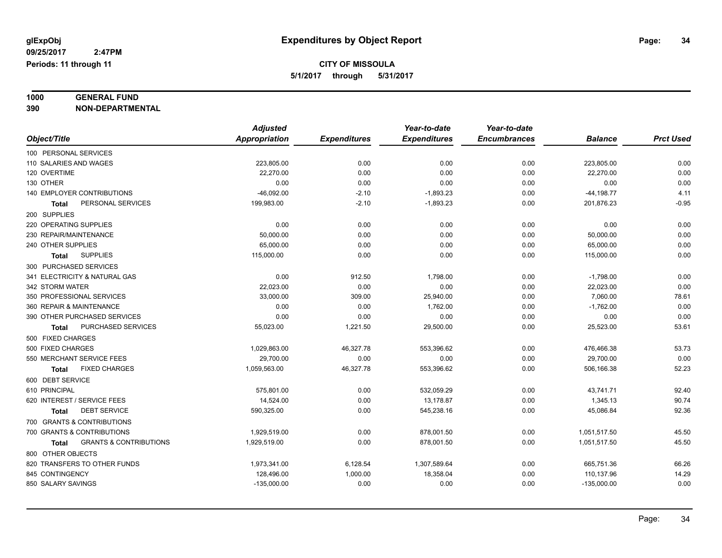# **1000 GENERAL FUND**

**390 NON-DEPARTMENTAL**

|                                                   | <b>Adjusted</b> |                     | Year-to-date        | Year-to-date        |                |                  |
|---------------------------------------------------|-----------------|---------------------|---------------------|---------------------|----------------|------------------|
| Object/Title                                      | Appropriation   | <b>Expenditures</b> | <b>Expenditures</b> | <b>Encumbrances</b> | <b>Balance</b> | <b>Prct Used</b> |
| 100 PERSONAL SERVICES                             |                 |                     |                     |                     |                |                  |
| 110 SALARIES AND WAGES                            | 223,805.00      | 0.00                | 0.00                | 0.00                | 223,805.00     | 0.00             |
| 120 OVERTIME                                      | 22.270.00       | 0.00                | 0.00                | 0.00                | 22,270.00      | 0.00             |
| 130 OTHER                                         | 0.00            | 0.00                | 0.00                | 0.00                | 0.00           | 0.00             |
| 140 EMPLOYER CONTRIBUTIONS                        | $-46,092.00$    | $-2.10$             | $-1,893.23$         | 0.00                | $-44, 198.77$  | 4.11             |
| PERSONAL SERVICES<br><b>Total</b>                 | 199,983.00      | $-2.10$             | $-1,893.23$         | 0.00                | 201,876.23     | $-0.95$          |
| 200 SUPPLIES                                      |                 |                     |                     |                     |                |                  |
| 220 OPERATING SUPPLIES                            | 0.00            | 0.00                | 0.00                | 0.00                | 0.00           | 0.00             |
| 230 REPAIR/MAINTENANCE                            | 50,000.00       | 0.00                | 0.00                | 0.00                | 50,000.00      | 0.00             |
| 240 OTHER SUPPLIES                                | 65,000.00       | 0.00                | 0.00                | 0.00                | 65,000.00      | 0.00             |
| <b>SUPPLIES</b><br><b>Total</b>                   | 115,000.00      | 0.00                | 0.00                | 0.00                | 115,000.00     | 0.00             |
| 300 PURCHASED SERVICES                            |                 |                     |                     |                     |                |                  |
| 341 ELECTRICITY & NATURAL GAS                     | 0.00            | 912.50              | 1,798.00            | 0.00                | $-1,798.00$    | 0.00             |
| 342 STORM WATER                                   | 22,023.00       | 0.00                | 0.00                | 0.00                | 22,023.00      | 0.00             |
| 350 PROFESSIONAL SERVICES                         | 33,000.00       | 309.00              | 25,940.00           | 0.00                | 7,060.00       | 78.61            |
| 360 REPAIR & MAINTENANCE                          | 0.00            | 0.00                | 1,762.00            | 0.00                | $-1,762.00$    | 0.00             |
| 390 OTHER PURCHASED SERVICES                      | 0.00            | 0.00                | 0.00                | 0.00                | 0.00           | 0.00             |
| PURCHASED SERVICES<br>Total                       | 55,023.00       | 1,221.50            | 29,500.00           | 0.00                | 25,523.00      | 53.61            |
| 500 FIXED CHARGES                                 |                 |                     |                     |                     |                |                  |
| 500 FIXED CHARGES                                 | 1,029,863.00    | 46,327.78           | 553,396.62          | 0.00                | 476,466.38     | 53.73            |
| 550 MERCHANT SERVICE FEES                         | 29,700.00       | 0.00                | 0.00                | 0.00                | 29,700.00      | 0.00             |
| <b>FIXED CHARGES</b><br>Total                     | 1,059,563.00    | 46,327.78           | 553,396.62          | 0.00                | 506,166.38     | 52.23            |
| 600 DEBT SERVICE                                  |                 |                     |                     |                     |                |                  |
| 610 PRINCIPAL                                     | 575,801.00      | 0.00                | 532,059.29          | 0.00                | 43,741.71      | 92.40            |
| 620 INTEREST / SERVICE FEES                       | 14,524.00       | 0.00                | 13,178.87           | 0.00                | 1,345.13       | 90.74            |
| <b>DEBT SERVICE</b><br><b>Total</b>               | 590,325.00      | 0.00                | 545,238.16          | 0.00                | 45,086.84      | 92.36            |
| 700 GRANTS & CONTRIBUTIONS                        |                 |                     |                     |                     |                |                  |
| 700 GRANTS & CONTRIBUTIONS                        | 1,929,519.00    | 0.00                | 878,001.50          | 0.00                | 1,051,517.50   | 45.50            |
| <b>GRANTS &amp; CONTRIBUTIONS</b><br><b>Total</b> | 1,929,519.00    | 0.00                | 878,001.50          | 0.00                | 1,051,517.50   | 45.50            |
| 800 OTHER OBJECTS                                 |                 |                     |                     |                     |                |                  |
| 820 TRANSFERS TO OTHER FUNDS                      | 1,973,341.00    | 6,128.54            | 1,307,589.64        | 0.00                | 665,751.36     | 66.26            |
| 845 CONTINGENCY                                   | 128,496.00      | 1,000.00            | 18,358.04           | 0.00                | 110,137.96     | 14.29            |
| 850 SALARY SAVINGS                                | $-135,000.00$   | 0.00                | 0.00                | 0.00                | $-135,000.00$  | 0.00             |
|                                                   |                 |                     |                     |                     |                |                  |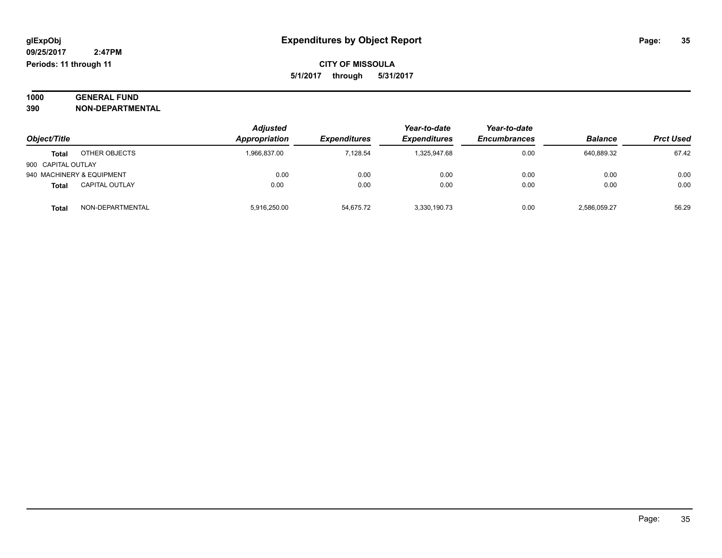#### **1000 GENERAL FUND 390 NON-DEPARTMENTAL**

| Object/Title              |                       | <b>Adjusted</b><br>Appropriation | <b>Expenditures</b> | Year-to-date<br><b>Expenditures</b> | Year-to-date<br><b>Encumbrances</b> | <b>Balance</b> | <b>Prct Used</b> |
|---------------------------|-----------------------|----------------------------------|---------------------|-------------------------------------|-------------------------------------|----------------|------------------|
| <b>Total</b>              | OTHER OBJECTS         | 1,966,837.00                     | 7.128.54            | 1.325.947.68                        | 0.00                                | 640,889.32     | 67.42            |
| 900 CAPITAL OUTLAY        |                       |                                  |                     |                                     |                                     |                |                  |
| 940 MACHINERY & EQUIPMENT |                       | 0.00                             | 0.00                | 0.00                                | 0.00                                | 0.00           | 0.00             |
| <b>Total</b>              | <b>CAPITAL OUTLAY</b> | 0.00                             | 0.00                | 0.00                                | 0.00                                | 0.00           | 0.00             |
| <b>Total</b>              | NON-DEPARTMENTAL      | 5,916,250.00                     | 54,675.72           | 3,330,190.73                        | 0.00                                | 2,586,059.27   | 56.29            |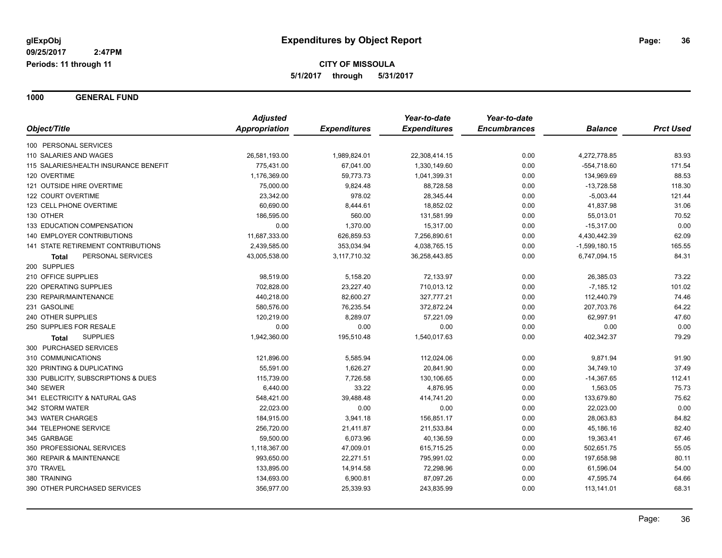**1000 GENERAL FUND**

|                                       | <b>Adjusted</b> | <b>Expenditures</b> | Year-to-date<br><b>Expenditures</b> | Year-to-date<br><b>Encumbrances</b> | <b>Balance</b>  | <b>Prct Used</b> |
|---------------------------------------|-----------------|---------------------|-------------------------------------|-------------------------------------|-----------------|------------------|
| Object/Title                          | Appropriation   |                     |                                     |                                     |                 |                  |
| 100 PERSONAL SERVICES                 |                 |                     |                                     |                                     |                 |                  |
| 110 SALARIES AND WAGES                | 26,581,193.00   | 1,989,824.01        | 22,308,414.15                       | 0.00                                | 4,272,778.85    | 83.93            |
| 115 SALARIES/HEALTH INSURANCE BENEFIT | 775,431.00      | 67,041.00           | 1,330,149.60                        | 0.00                                | $-554,718.60$   | 171.54           |
| 120 OVERTIME                          | 1,176,369.00    | 59,773.73           | 1,041,399.31                        | 0.00                                | 134,969.69      | 88.53            |
| 121 OUTSIDE HIRE OVERTIME             | 75,000.00       | 9,824.48            | 88,728.58                           | 0.00                                | $-13,728.58$    | 118.30           |
| 122 COURT OVERTIME                    | 23,342.00       | 978.02              | 28,345.44                           | 0.00                                | $-5,003.44$     | 121.44           |
| 123 CELL PHONE OVERTIME               | 60,690.00       | 8,444.61            | 18,852.02                           | 0.00                                | 41,837.98       | 31.06            |
| 130 OTHER                             | 186,595.00      | 560.00              | 131,581.99                          | 0.00                                | 55,013.01       | 70.52            |
| 133 EDUCATION COMPENSATION            | 0.00            | 1,370.00            | 15,317.00                           | 0.00                                | $-15,317.00$    | 0.00             |
| 140 EMPLOYER CONTRIBUTIONS            | 11,687,333.00   | 626,859.53          | 7,256,890.61                        | 0.00                                | 4,430,442.39    | 62.09            |
| 141 STATE RETIREMENT CONTRIBUTIONS    | 2,439,585.00    | 353,034.94          | 4,038,765.15                        | 0.00                                | $-1,599,180.15$ | 165.55           |
| PERSONAL SERVICES<br>Total            | 43,005,538.00   | 3,117,710.32        | 36,258,443.85                       | 0.00                                | 6,747,094.15    | 84.31            |
| 200 SUPPLIES                          |                 |                     |                                     |                                     |                 |                  |
| 210 OFFICE SUPPLIES                   | 98,519.00       | 5,158.20            | 72,133.97                           | 0.00                                | 26,385.03       | 73.22            |
| 220 OPERATING SUPPLIES                | 702,828.00      | 23,227.40           | 710,013.12                          | 0.00                                | $-7,185.12$     | 101.02           |
| 230 REPAIR/MAINTENANCE                | 440,218.00      | 82,600.27           | 327,777.21                          | 0.00                                | 112,440.79      | 74.46            |
| 231 GASOLINE                          | 580,576.00      | 76,235.54           | 372,872.24                          | 0.00                                | 207,703.76      | 64.22            |
| 240 OTHER SUPPLIES                    | 120,219.00      | 8,289.07            | 57,221.09                           | 0.00                                | 62,997.91       | 47.60            |
| 250 SUPPLIES FOR RESALE               | 0.00            | 0.00                | 0.00                                | 0.00                                | 0.00            | 0.00             |
| <b>SUPPLIES</b><br>Total              | 1,942,360.00    | 195,510.48          | 1,540,017.63                        | 0.00                                | 402,342.37      | 79.29            |
| 300 PURCHASED SERVICES                |                 |                     |                                     |                                     |                 |                  |
| 310 COMMUNICATIONS                    | 121,896.00      | 5,585.94            | 112,024.06                          | 0.00                                | 9,871.94        | 91.90            |
| 320 PRINTING & DUPLICATING            | 55,591.00       | 1,626.27            | 20,841.90                           | 0.00                                | 34,749.10       | 37.49            |
| 330 PUBLICITY, SUBSCRIPTIONS & DUES   | 115,739.00      | 7,726.58            | 130,106.65                          | 0.00                                | $-14,367.65$    | 112.41           |
| 340 SEWER                             | 6,440.00        | 33.22               | 4,876.95                            | 0.00                                | 1,563.05        | 75.73            |
| 341 ELECTRICITY & NATURAL GAS         | 548,421.00      | 39,488.48           | 414,741.20                          | 0.00                                | 133,679.80      | 75.62            |
| 342 STORM WATER                       | 22,023.00       | 0.00                | 0.00                                | 0.00                                | 22,023.00       | 0.00             |
| 343 WATER CHARGES                     | 184,915.00      | 3,941.18            | 156,851.17                          | 0.00                                | 28,063.83       | 84.82            |
| 344 TELEPHONE SERVICE                 | 256,720.00      | 21,411.87           | 211,533.84                          | 0.00                                | 45,186.16       | 82.40            |
| 345 GARBAGE                           | 59,500.00       | 6,073.96            | 40,136.59                           | 0.00                                | 19,363.41       | 67.46            |
| 350 PROFESSIONAL SERVICES             | 1,118,367.00    | 47,009.01           | 615,715.25                          | 0.00                                | 502,651.75      | 55.05            |
| 360 REPAIR & MAINTENANCE              | 993,650.00      | 22,271.51           | 795,991.02                          | 0.00                                | 197,658.98      | 80.11            |
| 370 TRAVEL                            | 133,895.00      | 14,914.58           | 72,298.96                           | 0.00                                | 61,596.04       | 54.00            |
| 380 TRAINING                          | 134,693.00      | 6,900.81            | 87,097.26                           | 0.00                                | 47,595.74       | 64.66            |
| 390 OTHER PURCHASED SERVICES          | 356,977.00      | 25,339.93           | 243,835.99                          | 0.00                                | 113,141.01      | 68.31            |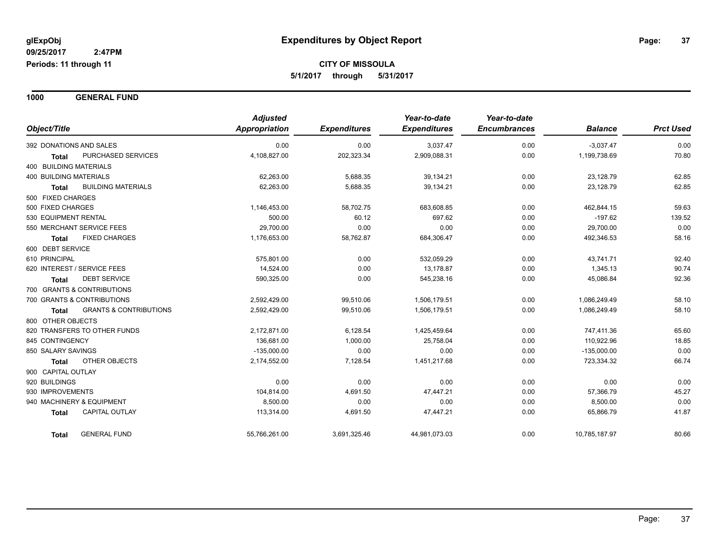**1000 GENERAL FUND**

|                                                   | <b>Adjusted</b> |                     | Year-to-date        | Year-to-date        |                |                  |
|---------------------------------------------------|-----------------|---------------------|---------------------|---------------------|----------------|------------------|
| Object/Title                                      | Appropriation   | <b>Expenditures</b> | <b>Expenditures</b> | <b>Encumbrances</b> | <b>Balance</b> | <b>Prct Used</b> |
| 392 DONATIONS AND SALES                           | 0.00            | 0.00                | 3,037.47            | 0.00                | $-3,037.47$    | 0.00             |
| PURCHASED SERVICES<br><b>Total</b>                | 4,108,827.00    | 202,323.34          | 2,909,088.31        | 0.00                | 1,199,738.69   | 70.80            |
| 400 BUILDING MATERIALS                            |                 |                     |                     |                     |                |                  |
| <b>400 BUILDING MATERIALS</b>                     | 62,263.00       | 5,688.35            | 39,134.21           | 0.00                | 23,128.79      | 62.85            |
| <b>BUILDING MATERIALS</b><br><b>Total</b>         | 62,263.00       | 5,688.35            | 39,134.21           | 0.00                | 23,128.79      | 62.85            |
| 500 FIXED CHARGES                                 |                 |                     |                     |                     |                |                  |
| 500 FIXED CHARGES                                 | 1,146,453.00    | 58,702.75           | 683,608.85          | 0.00                | 462,844.15     | 59.63            |
| 530 EQUIPMENT RENTAL                              | 500.00          | 60.12               | 697.62              | 0.00                | $-197.62$      | 139.52           |
| 550 MERCHANT SERVICE FEES                         | 29,700.00       | 0.00                | 0.00                | 0.00                | 29,700.00      | 0.00             |
| <b>FIXED CHARGES</b><br><b>Total</b>              | 1,176,653.00    | 58,762.87           | 684,306.47          | 0.00                | 492,346.53     | 58.16            |
| 600 DEBT SERVICE                                  |                 |                     |                     |                     |                |                  |
| 610 PRINCIPAL                                     | 575,801.00      | 0.00                | 532,059.29          | 0.00                | 43,741.71      | 92.40            |
| 620 INTEREST / SERVICE FEES                       | 14,524.00       | 0.00                | 13,178.87           | 0.00                | 1,345.13       | 90.74            |
| <b>DEBT SERVICE</b><br><b>Total</b>               | 590,325.00      | 0.00                | 545,238.16          | 0.00                | 45,086.84      | 92.36            |
| 700 GRANTS & CONTRIBUTIONS                        |                 |                     |                     |                     |                |                  |
| 700 GRANTS & CONTRIBUTIONS                        | 2,592,429.00    | 99,510.06           | 1,506,179.51        | 0.00                | 1,086,249.49   | 58.10            |
| <b>GRANTS &amp; CONTRIBUTIONS</b><br><b>Total</b> | 2,592,429.00    | 99,510.06           | 1,506,179.51        | 0.00                | 1,086,249.49   | 58.10            |
| 800 OTHER OBJECTS                                 |                 |                     |                     |                     |                |                  |
| 820 TRANSFERS TO OTHER FUNDS                      | 2,172,871.00    | 6,128.54            | 1,425,459.64        | 0.00                | 747,411.36     | 65.60            |
| 845 CONTINGENCY                                   | 136,681.00      | 1,000.00            | 25,758.04           | 0.00                | 110,922.96     | 18.85            |
| 850 SALARY SAVINGS                                | $-135,000.00$   | 0.00                | 0.00                | 0.00                | $-135,000.00$  | 0.00             |
| OTHER OBJECTS<br><b>Total</b>                     | 2,174,552.00    | 7,128.54            | 1,451,217.68        | 0.00                | 723,334.32     | 66.74            |
| 900 CAPITAL OUTLAY                                |                 |                     |                     |                     |                |                  |
| 920 BUILDINGS                                     | 0.00            | 0.00                | 0.00                | 0.00                | 0.00           | 0.00             |
| 930 IMPROVEMENTS                                  | 104,814.00      | 4,691.50            | 47,447.21           | 0.00                | 57,366.79      | 45.27            |
| 940 MACHINERY & EQUIPMENT                         | 8,500.00        | 0.00                | 0.00                | 0.00                | 8,500.00       | 0.00             |
| <b>CAPITAL OUTLAY</b><br><b>Total</b>             | 113,314.00      | 4,691.50            | 47,447.21           | 0.00                | 65,866.79      | 41.87            |
| <b>GENERAL FUND</b><br>Total                      | 55,766,261.00   | 3,691,325.46        | 44,981,073.03       | 0.00                | 10,785,187.97  | 80.66            |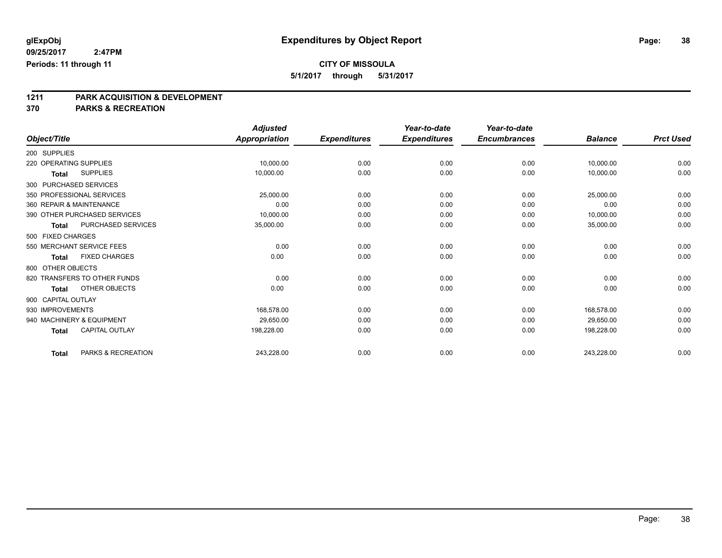**5/1/2017 through 5/31/2017**

# **1211 PARK ACQUISITION & DEVELOPMENT**

|                          |                              | <b>Adjusted</b> |                     | Year-to-date        | Year-to-date        |                |                  |
|--------------------------|------------------------------|-----------------|---------------------|---------------------|---------------------|----------------|------------------|
| Object/Title             |                              | Appropriation   | <b>Expenditures</b> | <b>Expenditures</b> | <b>Encumbrances</b> | <b>Balance</b> | <b>Prct Used</b> |
| 200 SUPPLIES             |                              |                 |                     |                     |                     |                |                  |
| 220 OPERATING SUPPLIES   |                              | 10,000.00       | 0.00                | 0.00                | 0.00                | 10,000.00      | 0.00             |
| Total                    | <b>SUPPLIES</b>              | 10,000.00       | 0.00                | 0.00                | 0.00                | 10,000.00      | 0.00             |
| 300 PURCHASED SERVICES   |                              |                 |                     |                     |                     |                |                  |
|                          | 350 PROFESSIONAL SERVICES    | 25,000.00       | 0.00                | 0.00                | 0.00                | 25,000.00      | 0.00             |
| 360 REPAIR & MAINTENANCE |                              | 0.00            | 0.00                | 0.00                | 0.00                | 0.00           | 0.00             |
|                          | 390 OTHER PURCHASED SERVICES | 10,000.00       | 0.00                | 0.00                | 0.00                | 10,000.00      | 0.00             |
| <b>Total</b>             | PURCHASED SERVICES           | 35,000.00       | 0.00                | 0.00                | 0.00                | 35,000.00      | 0.00             |
| 500 FIXED CHARGES        |                              |                 |                     |                     |                     |                |                  |
|                          | 550 MERCHANT SERVICE FEES    | 0.00            | 0.00                | 0.00                | 0.00                | 0.00           | 0.00             |
| <b>Total</b>             | <b>FIXED CHARGES</b>         | 0.00            | 0.00                | 0.00                | 0.00                | 0.00           | 0.00             |
| 800 OTHER OBJECTS        |                              |                 |                     |                     |                     |                |                  |
|                          | 820 TRANSFERS TO OTHER FUNDS | 0.00            | 0.00                | 0.00                | 0.00                | 0.00           | 0.00             |
| <b>Total</b>             | OTHER OBJECTS                | 0.00            | 0.00                | 0.00                | 0.00                | 0.00           | 0.00             |
| 900 CAPITAL OUTLAY       |                              |                 |                     |                     |                     |                |                  |
| 930 IMPROVEMENTS         |                              | 168,578.00      | 0.00                | 0.00                | 0.00                | 168,578.00     | 0.00             |
|                          | 940 MACHINERY & EQUIPMENT    | 29.650.00       | 0.00                | 0.00                | 0.00                | 29,650.00      | 0.00             |
| <b>Total</b>             | CAPITAL OUTLAY               | 198,228.00      | 0.00                | 0.00                | 0.00                | 198,228.00     | 0.00             |
| <b>Total</b>             | PARKS & RECREATION           | 243,228.00      | 0.00                | 0.00                | 0.00                | 243,228.00     | 0.00             |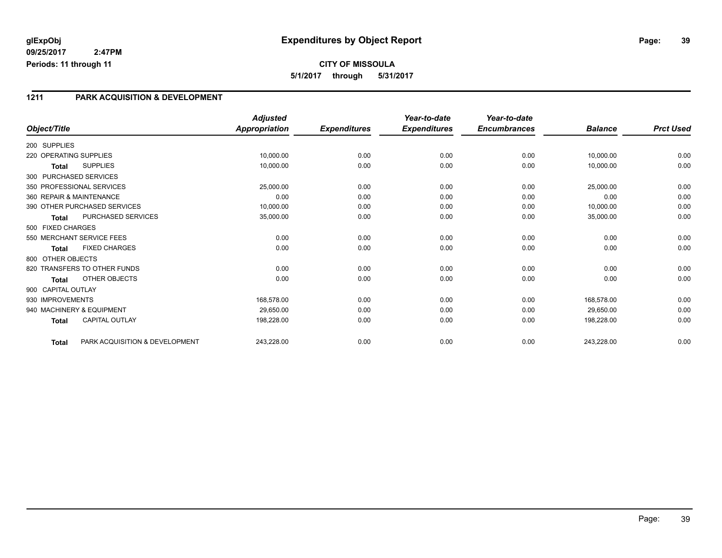# **CITY OF MISSOULA 5/1/2017 through 5/31/2017**

### **1211 PARK ACQUISITION & DEVELOPMENT**

|                           |                                | <b>Adjusted</b>      |                     | Year-to-date        | Year-to-date        |                |                  |
|---------------------------|--------------------------------|----------------------|---------------------|---------------------|---------------------|----------------|------------------|
| Object/Title              |                                | <b>Appropriation</b> | <b>Expenditures</b> | <b>Expenditures</b> | <b>Encumbrances</b> | <b>Balance</b> | <b>Prct Used</b> |
| 200 SUPPLIES              |                                |                      |                     |                     |                     |                |                  |
| 220 OPERATING SUPPLIES    |                                | 10,000.00            | 0.00                | 0.00                | 0.00                | 10,000.00      | 0.00             |
| <b>Total</b>              | <b>SUPPLIES</b>                | 10,000.00            | 0.00                | 0.00                | 0.00                | 10,000.00      | 0.00             |
| 300 PURCHASED SERVICES    |                                |                      |                     |                     |                     |                |                  |
| 350 PROFESSIONAL SERVICES |                                | 25,000.00            | 0.00                | 0.00                | 0.00                | 25,000.00      | 0.00             |
| 360 REPAIR & MAINTENANCE  |                                | 0.00                 | 0.00                | 0.00                | 0.00                | 0.00           | 0.00             |
|                           | 390 OTHER PURCHASED SERVICES   | 10,000.00            | 0.00                | 0.00                | 0.00                | 10,000.00      | 0.00             |
| <b>Total</b>              | PURCHASED SERVICES             | 35,000.00            | 0.00                | 0.00                | 0.00                | 35,000.00      | 0.00             |
| 500 FIXED CHARGES         |                                |                      |                     |                     |                     |                |                  |
|                           | 550 MERCHANT SERVICE FEES      | 0.00                 | 0.00                | 0.00                | 0.00                | 0.00           | 0.00             |
| <b>Total</b>              | <b>FIXED CHARGES</b>           | 0.00                 | 0.00                | 0.00                | 0.00                | 0.00           | 0.00             |
| 800 OTHER OBJECTS         |                                |                      |                     |                     |                     |                |                  |
|                           | 820 TRANSFERS TO OTHER FUNDS   | 0.00                 | 0.00                | 0.00                | 0.00                | 0.00           | 0.00             |
| <b>Total</b>              | OTHER OBJECTS                  | 0.00                 | 0.00                | 0.00                | 0.00                | 0.00           | 0.00             |
| 900 CAPITAL OUTLAY        |                                |                      |                     |                     |                     |                |                  |
| 930 IMPROVEMENTS          |                                | 168,578.00           | 0.00                | 0.00                | 0.00                | 168,578.00     | 0.00             |
| 940 MACHINERY & EQUIPMENT |                                | 29,650.00            | 0.00                | 0.00                | 0.00                | 29,650.00      | 0.00             |
| <b>Total</b>              | <b>CAPITAL OUTLAY</b>          | 198,228.00           | 0.00                | 0.00                | 0.00                | 198,228.00     | 0.00             |
| <b>Total</b>              | PARK ACQUISITION & DEVELOPMENT | 243,228.00           | 0.00                | 0.00                | 0.00                | 243,228.00     | 0.00             |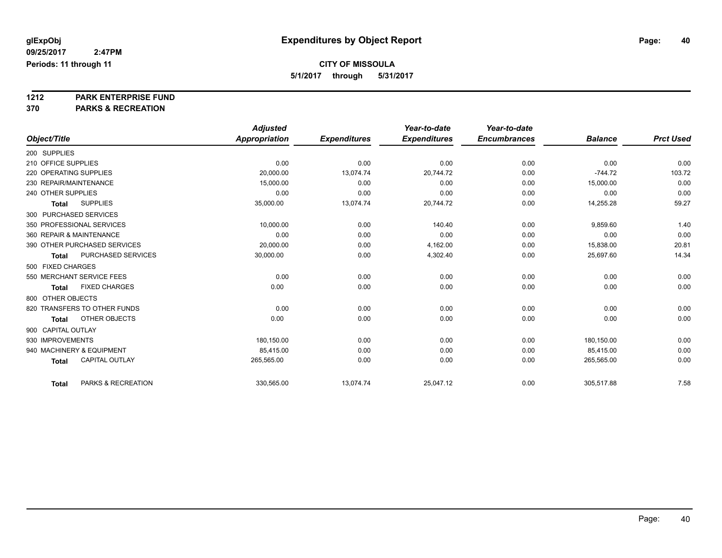**5/1/2017 through 5/31/2017**

# **1212 PARK ENTERPRISE FUND**

|                          |                              | <b>Adjusted</b> |                     | Year-to-date        | Year-to-date        |                |                  |
|--------------------------|------------------------------|-----------------|---------------------|---------------------|---------------------|----------------|------------------|
| Object/Title             |                              | Appropriation   | <b>Expenditures</b> | <b>Expenditures</b> | <b>Encumbrances</b> | <b>Balance</b> | <b>Prct Used</b> |
| 200 SUPPLIES             |                              |                 |                     |                     |                     |                |                  |
| 210 OFFICE SUPPLIES      |                              | 0.00            | 0.00                | 0.00                | 0.00                | 0.00           | 0.00             |
| 220 OPERATING SUPPLIES   |                              | 20,000.00       | 13,074.74           | 20,744.72           | 0.00                | $-744.72$      | 103.72           |
| 230 REPAIR/MAINTENANCE   |                              | 15,000.00       | 0.00                | 0.00                | 0.00                | 15,000.00      | 0.00             |
| 240 OTHER SUPPLIES       |                              | 0.00            | 0.00                | 0.00                | 0.00                | 0.00           | 0.00             |
| <b>Total</b>             | <b>SUPPLIES</b>              | 35,000.00       | 13,074.74           | 20,744.72           | 0.00                | 14,255.28      | 59.27            |
| 300 PURCHASED SERVICES   |                              |                 |                     |                     |                     |                |                  |
|                          | 350 PROFESSIONAL SERVICES    | 10,000.00       | 0.00                | 140.40              | 0.00                | 9,859.60       | 1.40             |
| 360 REPAIR & MAINTENANCE |                              | 0.00            | 0.00                | 0.00                | 0.00                | 0.00           | 0.00             |
|                          | 390 OTHER PURCHASED SERVICES | 20,000.00       | 0.00                | 4,162.00            | 0.00                | 15,838.00      | 20.81            |
| <b>Total</b>             | PURCHASED SERVICES           | 30,000.00       | 0.00                | 4,302.40            | 0.00                | 25,697.60      | 14.34            |
| 500 FIXED CHARGES        |                              |                 |                     |                     |                     |                |                  |
|                          | 550 MERCHANT SERVICE FEES    | 0.00            | 0.00                | 0.00                | 0.00                | 0.00           | 0.00             |
| <b>Total</b>             | <b>FIXED CHARGES</b>         | 0.00            | 0.00                | 0.00                | 0.00                | 0.00           | 0.00             |
| 800 OTHER OBJECTS        |                              |                 |                     |                     |                     |                |                  |
|                          | 820 TRANSFERS TO OTHER FUNDS | 0.00            | 0.00                | 0.00                | 0.00                | 0.00           | 0.00             |
| <b>Total</b>             | OTHER OBJECTS                | 0.00            | 0.00                | 0.00                | 0.00                | 0.00           | 0.00             |
| 900 CAPITAL OUTLAY       |                              |                 |                     |                     |                     |                |                  |
| 930 IMPROVEMENTS         |                              | 180,150.00      | 0.00                | 0.00                | 0.00                | 180,150.00     | 0.00             |
|                          | 940 MACHINERY & EQUIPMENT    | 85.415.00       | 0.00                | 0.00                | 0.00                | 85,415.00      | 0.00             |
| <b>Total</b>             | <b>CAPITAL OUTLAY</b>        | 265,565.00      | 0.00                | 0.00                | 0.00                | 265,565.00     | 0.00             |
| <b>Total</b>             | PARKS & RECREATION           | 330,565.00      | 13,074.74           | 25,047.12           | 0.00                | 305,517.88     | 7.58             |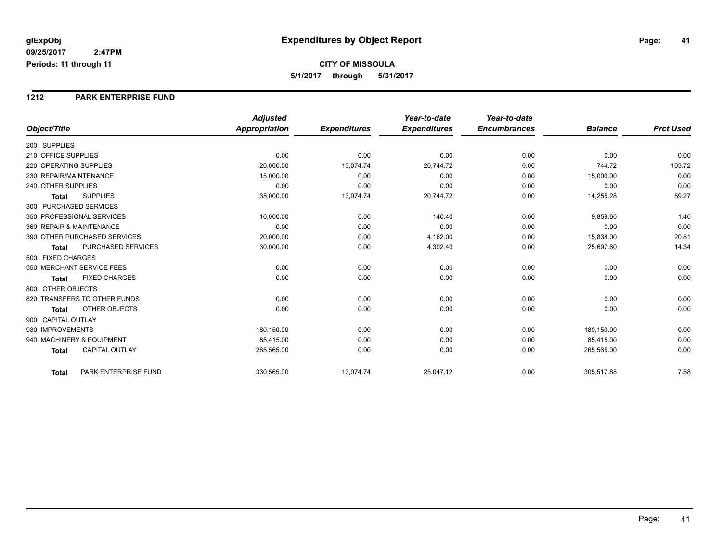#### **1212 PARK ENTERPRISE FUND**

|                                           | <b>Adjusted</b>      |                     | Year-to-date        | Year-to-date        |                |                  |
|-------------------------------------------|----------------------|---------------------|---------------------|---------------------|----------------|------------------|
| Object/Title                              | <b>Appropriation</b> | <b>Expenditures</b> | <b>Expenditures</b> | <b>Encumbrances</b> | <b>Balance</b> | <b>Prct Used</b> |
| 200 SUPPLIES                              |                      |                     |                     |                     |                |                  |
| 210 OFFICE SUPPLIES                       | 0.00                 | 0.00                | 0.00                | 0.00                | 0.00           | 0.00             |
| 220 OPERATING SUPPLIES                    | 20,000.00            | 13,074.74           | 20.744.72           | 0.00                | $-744.72$      | 103.72           |
| 230 REPAIR/MAINTENANCE                    | 15,000.00            | 0.00                | 0.00                | 0.00                | 15,000.00      | 0.00             |
| 240 OTHER SUPPLIES                        | 0.00                 | 0.00                | 0.00                | 0.00                | 0.00           | 0.00             |
| <b>SUPPLIES</b><br><b>Total</b>           | 35,000.00            | 13,074.74           | 20,744.72           | 0.00                | 14,255.28      | 59.27            |
| 300 PURCHASED SERVICES                    |                      |                     |                     |                     |                |                  |
| 350 PROFESSIONAL SERVICES                 | 10,000.00            | 0.00                | 140.40              | 0.00                | 9,859.60       | 1.40             |
| 360 REPAIR & MAINTENANCE                  | 0.00                 | 0.00                | 0.00                | 0.00                | 0.00           | 0.00             |
| 390 OTHER PURCHASED SERVICES              | 20,000.00            | 0.00                | 4,162.00            | 0.00                | 15,838.00      | 20.81            |
| <b>PURCHASED SERVICES</b><br><b>Total</b> | 30,000.00            | 0.00                | 4,302.40            | 0.00                | 25,697.60      | 14.34            |
| 500 FIXED CHARGES                         |                      |                     |                     |                     |                |                  |
| 550 MERCHANT SERVICE FEES                 | 0.00                 | 0.00                | 0.00                | 0.00                | 0.00           | 0.00             |
| <b>FIXED CHARGES</b><br><b>Total</b>      | 0.00                 | 0.00                | 0.00                | 0.00                | 0.00           | 0.00             |
| 800 OTHER OBJECTS                         |                      |                     |                     |                     |                |                  |
| 820 TRANSFERS TO OTHER FUNDS              | 0.00                 | 0.00                | 0.00                | 0.00                | 0.00           | 0.00             |
| OTHER OBJECTS<br><b>Total</b>             | 0.00                 | 0.00                | 0.00                | 0.00                | 0.00           | 0.00             |
| 900 CAPITAL OUTLAY                        |                      |                     |                     |                     |                |                  |
| 930 IMPROVEMENTS                          | 180,150.00           | 0.00                | 0.00                | 0.00                | 180,150.00     | 0.00             |
| 940 MACHINERY & EQUIPMENT                 | 85,415.00            | 0.00                | 0.00                | 0.00                | 85,415.00      | 0.00             |
| <b>CAPITAL OUTLAY</b><br><b>Total</b>     | 265,565.00           | 0.00                | 0.00                | 0.00                | 265,565.00     | 0.00             |
| PARK ENTERPRISE FUND<br><b>Total</b>      | 330,565.00           | 13,074.74           | 25,047.12           | 0.00                | 305,517.88     | 7.58             |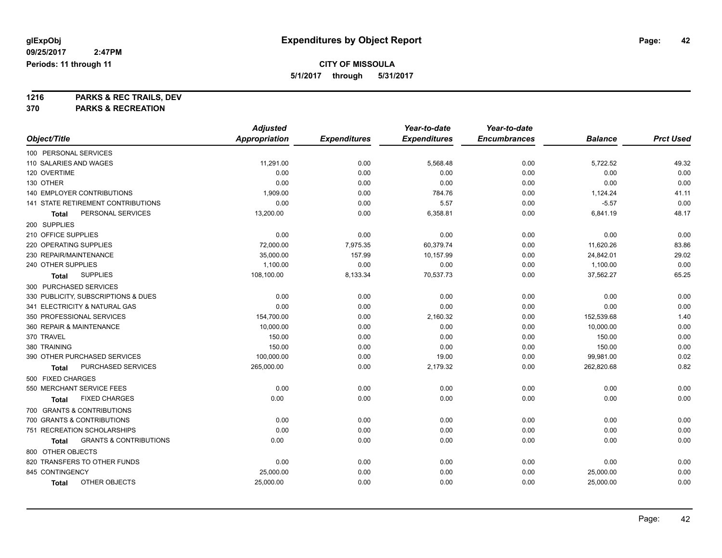**5/1/2017 through 5/31/2017**

**1216 PARKS & REC TRAILS, DEV**

|                            |                                     | <b>Adjusted</b>      |                     | Year-to-date        | Year-to-date        |                |                  |
|----------------------------|-------------------------------------|----------------------|---------------------|---------------------|---------------------|----------------|------------------|
| Object/Title               |                                     | <b>Appropriation</b> | <b>Expenditures</b> | <b>Expenditures</b> | <b>Encumbrances</b> | <b>Balance</b> | <b>Prct Used</b> |
| 100 PERSONAL SERVICES      |                                     |                      |                     |                     |                     |                |                  |
| 110 SALARIES AND WAGES     |                                     | 11,291.00            | 0.00                | 5,568.48            | 0.00                | 5,722.52       | 49.32            |
| 120 OVERTIME               |                                     | 0.00                 | 0.00                | 0.00                | 0.00                | 0.00           | 0.00             |
| 130 OTHER                  |                                     | 0.00                 | 0.00                | 0.00                | 0.00                | 0.00           | 0.00             |
|                            | <b>140 EMPLOYER CONTRIBUTIONS</b>   | 1,909.00             | 0.00                | 784.76              | 0.00                | 1,124.24       | 41.11            |
|                            | 141 STATE RETIREMENT CONTRIBUTIONS  | 0.00                 | 0.00                | 5.57                | 0.00                | $-5.57$        | 0.00             |
| Total                      | PERSONAL SERVICES                   | 13,200.00            | 0.00                | 6,358.81            | 0.00                | 6,841.19       | 48.17            |
| 200 SUPPLIES               |                                     |                      |                     |                     |                     |                |                  |
| 210 OFFICE SUPPLIES        |                                     | 0.00                 | 0.00                | 0.00                | 0.00                | 0.00           | 0.00             |
| 220 OPERATING SUPPLIES     |                                     | 72,000.00            | 7,975.35            | 60.379.74           | 0.00                | 11,620.26      | 83.86            |
| 230 REPAIR/MAINTENANCE     |                                     | 35,000.00            | 157.99              | 10,157.99           | 0.00                | 24,842.01      | 29.02            |
| 240 OTHER SUPPLIES         |                                     | 1,100.00             | 0.00                | 0.00                | 0.00                | 1,100.00       | 0.00             |
| Total                      | <b>SUPPLIES</b>                     | 108,100.00           | 8,133.34            | 70,537.73           | 0.00                | 37,562.27      | 65.25            |
| 300 PURCHASED SERVICES     |                                     |                      |                     |                     |                     |                |                  |
|                            | 330 PUBLICITY, SUBSCRIPTIONS & DUES | 0.00                 | 0.00                | 0.00                | 0.00                | 0.00           | 0.00             |
|                            | 341 ELECTRICITY & NATURAL GAS       | 0.00                 | 0.00                | 0.00                | 0.00                | 0.00           | 0.00             |
| 350 PROFESSIONAL SERVICES  |                                     | 154,700.00           | 0.00                | 2,160.32            | 0.00                | 152,539.68     | 1.40             |
| 360 REPAIR & MAINTENANCE   |                                     | 10,000.00            | 0.00                | 0.00                | 0.00                | 10,000.00      | 0.00             |
| 370 TRAVEL                 |                                     | 150.00               | 0.00                | 0.00                | 0.00                | 150.00         | 0.00             |
| 380 TRAINING               |                                     | 150.00               | 0.00                | 0.00                | 0.00                | 150.00         | 0.00             |
|                            | 390 OTHER PURCHASED SERVICES        | 100,000.00           | 0.00                | 19.00               | 0.00                | 99,981.00      | 0.02             |
| Total                      | PURCHASED SERVICES                  | 265,000.00           | 0.00                | 2,179.32            | 0.00                | 262,820.68     | 0.82             |
| 500 FIXED CHARGES          |                                     |                      |                     |                     |                     |                |                  |
| 550 MERCHANT SERVICE FEES  |                                     | 0.00                 | 0.00                | 0.00                | 0.00                | 0.00           | 0.00             |
| Total                      | <b>FIXED CHARGES</b>                | 0.00                 | 0.00                | 0.00                | 0.00                | 0.00           | 0.00             |
|                            | 700 GRANTS & CONTRIBUTIONS          |                      |                     |                     |                     |                |                  |
| 700 GRANTS & CONTRIBUTIONS |                                     | 0.00                 | 0.00                | 0.00                | 0.00                | 0.00           | 0.00             |
|                            | 751 RECREATION SCHOLARSHIPS         | 0.00                 | 0.00                | 0.00                | 0.00                | 0.00           | 0.00             |
| Total                      | <b>GRANTS &amp; CONTRIBUTIONS</b>   | 0.00                 | 0.00                | 0.00                | 0.00                | 0.00           | 0.00             |
| 800 OTHER OBJECTS          |                                     |                      |                     |                     |                     |                |                  |
|                            | 820 TRANSFERS TO OTHER FUNDS        | 0.00                 | 0.00                | 0.00                | 0.00                | 0.00           | 0.00             |
| 845 CONTINGENCY            |                                     | 25,000.00            | 0.00                | 0.00                | 0.00                | 25,000.00      | 0.00             |
| <b>Total</b>               | OTHER OBJECTS                       | 25,000.00            | 0.00                | 0.00                | 0.00                | 25,000.00      | 0.00             |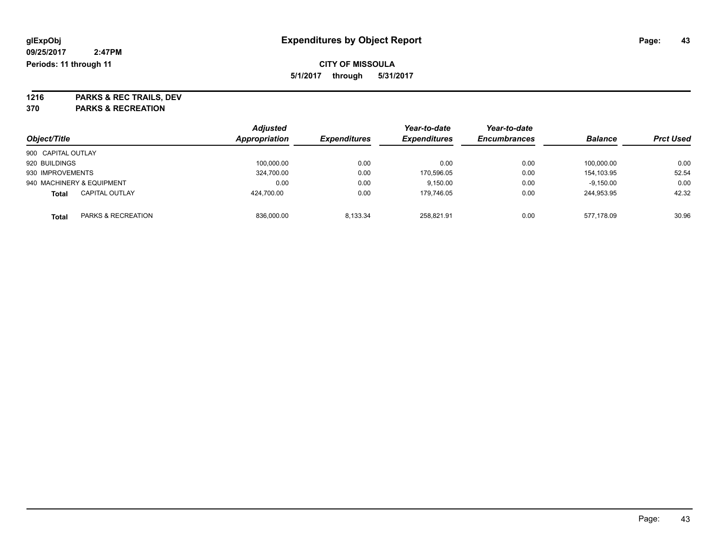**5/1/2017 through 5/31/2017**

**1216 PARKS & REC TRAILS, DEV 370 PARKS & RECREATION**

|                    |                               | <b>Adjusted</b> |                     | Year-to-date        | Year-to-date        |                |                  |
|--------------------|-------------------------------|-----------------|---------------------|---------------------|---------------------|----------------|------------------|
| Object/Title       |                               | Appropriation   | <b>Expenditures</b> | <b>Expenditures</b> | <b>Encumbrances</b> | <b>Balance</b> | <b>Prct Used</b> |
| 900 CAPITAL OUTLAY |                               |                 |                     |                     |                     |                |                  |
| 920 BUILDINGS      |                               | 100.000.00      | 0.00                | 0.00                | 0.00                | 100.000.00     | 0.00             |
| 930 IMPROVEMENTS   |                               | 324,700.00      | 0.00                | 170,596.05          | 0.00                | 154.103.95     | 52.54            |
|                    | 940 MACHINERY & EQUIPMENT     | 0.00            | 0.00                | 9.150.00            | 0.00                | $-9,150.00$    | 0.00             |
| <b>Total</b>       | <b>CAPITAL OUTLAY</b>         | 424.700.00      | 0.00                | 179.746.05          | 0.00                | 244.953.95     | 42.32            |
| <b>Total</b>       | <b>PARKS &amp; RECREATION</b> | 836,000.00      | 8.133.34            | 258.821.91          | 0.00                | 577.178.09     | 30.96            |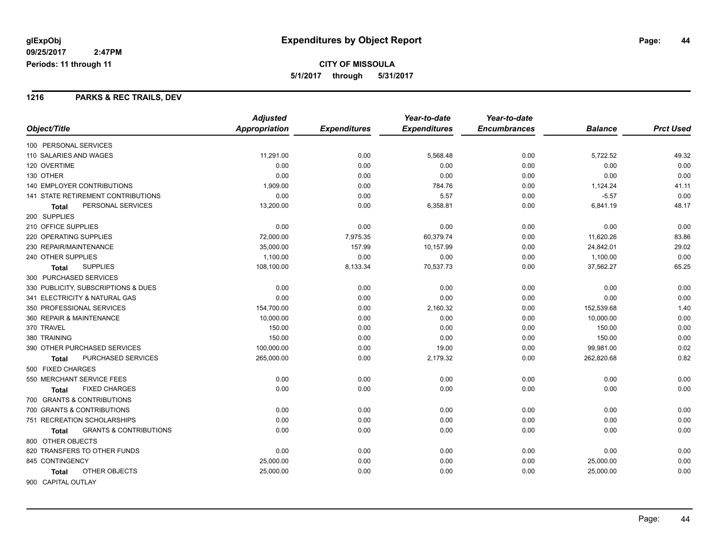#### **1216 PARKS & REC TRAILS, DEV**

|                                            | <b>Adjusted</b> |                     | Year-to-date        | Year-to-date        |                |                  |
|--------------------------------------------|-----------------|---------------------|---------------------|---------------------|----------------|------------------|
| Object/Title                               | Appropriation   | <b>Expenditures</b> | <b>Expenditures</b> | <b>Encumbrances</b> | <b>Balance</b> | <b>Prct Used</b> |
| 100 PERSONAL SERVICES                      |                 |                     |                     |                     |                |                  |
| 110 SALARIES AND WAGES                     | 11,291.00       | 0.00                | 5,568.48            | 0.00                | 5,722.52       | 49.32            |
| 120 OVERTIME                               | 0.00            | 0.00                | 0.00                | 0.00                | 0.00           | 0.00             |
| 130 OTHER                                  | 0.00            | 0.00                | 0.00                | 0.00                | 0.00           | 0.00             |
| <b>140 EMPLOYER CONTRIBUTIONS</b>          | 1,909.00        | 0.00                | 784.76              | 0.00                | 1,124.24       | 41.11            |
| 141 STATE RETIREMENT CONTRIBUTIONS         | 0.00            | 0.00                | 5.57                | 0.00                | $-5.57$        | 0.00             |
| PERSONAL SERVICES<br><b>Total</b>          | 13,200.00       | 0.00                | 6,358.81            | 0.00                | 6,841.19       | 48.17            |
| 200 SUPPLIES                               |                 |                     |                     |                     |                |                  |
| 210 OFFICE SUPPLIES                        | 0.00            | 0.00                | 0.00                | 0.00                | 0.00           | 0.00             |
| 220 OPERATING SUPPLIES                     | 72,000.00       | 7,975.35            | 60,379.74           | 0.00                | 11,620.26      | 83.86            |
| 230 REPAIR/MAINTENANCE                     | 35,000.00       | 157.99              | 10,157.99           | 0.00                | 24,842.01      | 29.02            |
| 240 OTHER SUPPLIES                         | 1,100.00        | 0.00                | 0.00                | 0.00                | 1,100.00       | 0.00             |
| <b>SUPPLIES</b><br><b>Total</b>            | 108,100.00      | 8,133.34            | 70,537.73           | 0.00                | 37,562.27      | 65.25            |
| 300 PURCHASED SERVICES                     |                 |                     |                     |                     |                |                  |
| 330 PUBLICITY, SUBSCRIPTIONS & DUES        | 0.00            | 0.00                | 0.00                | 0.00                | 0.00           | 0.00             |
| 341 ELECTRICITY & NATURAL GAS              | 0.00            | 0.00                | 0.00                | 0.00                | 0.00           | 0.00             |
| 350 PROFESSIONAL SERVICES                  | 154,700.00      | 0.00                | 2,160.32            | 0.00                | 152,539.68     | 1.40             |
| 360 REPAIR & MAINTENANCE                   | 10,000.00       | 0.00                | 0.00                | 0.00                | 10,000.00      | 0.00             |
| 370 TRAVEL                                 | 150.00          | 0.00                | 0.00                | 0.00                | 150.00         | 0.00             |
| 380 TRAINING                               | 150.00          | 0.00                | 0.00                | 0.00                | 150.00         | 0.00             |
| 390 OTHER PURCHASED SERVICES               | 100,000.00      | 0.00                | 19.00               | 0.00                | 99,981.00      | 0.02             |
| PURCHASED SERVICES<br>Total                | 265,000.00      | 0.00                | 2,179.32            | 0.00                | 262,820.68     | 0.82             |
| 500 FIXED CHARGES                          |                 |                     |                     |                     |                |                  |
| 550 MERCHANT SERVICE FEES                  | 0.00            | 0.00                | 0.00                | 0.00                | 0.00           | 0.00             |
| <b>FIXED CHARGES</b><br>Total              | 0.00            | 0.00                | 0.00                | 0.00                | 0.00           | 0.00             |
| 700 GRANTS & CONTRIBUTIONS                 |                 |                     |                     |                     |                |                  |
| 700 GRANTS & CONTRIBUTIONS                 | 0.00            | 0.00                | 0.00                | 0.00                | 0.00           | 0.00             |
| 751 RECREATION SCHOLARSHIPS                | 0.00            | 0.00                | 0.00                | 0.00                | 0.00           | 0.00             |
| <b>GRANTS &amp; CONTRIBUTIONS</b><br>Total | 0.00            | 0.00                | 0.00                | 0.00                | 0.00           | 0.00             |
| 800 OTHER OBJECTS                          |                 |                     |                     |                     |                |                  |
| 820 TRANSFERS TO OTHER FUNDS               | 0.00            | 0.00                | 0.00                | 0.00                | 0.00           | 0.00             |
| 845 CONTINGENCY                            | 25,000.00       | 0.00                | 0.00                | 0.00                | 25,000.00      | 0.00             |
| OTHER OBJECTS<br><b>Total</b>              | 25,000.00       | 0.00                | 0.00                | 0.00                | 25,000.00      | 0.00             |
| 900 CAPITAL OUTLAY                         |                 |                     |                     |                     |                |                  |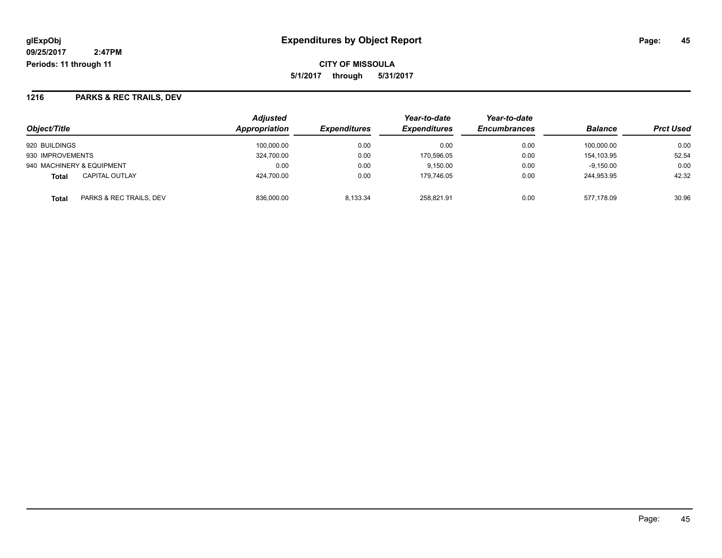**5/1/2017 through 5/31/2017**

## **1216 PARKS & REC TRAILS, DEV**

|                                         | Adjusted      |                     | Year-to-date        | Year-to-date        | <b>Balance</b> | <b>Prct Used</b> |
|-----------------------------------------|---------------|---------------------|---------------------|---------------------|----------------|------------------|
| Object/Title                            | Appropriation | <b>Expenditures</b> | <b>Expenditures</b> | <b>Encumbrances</b> |                |                  |
| 920 BUILDINGS                           | 100.000.00    | 0.00                | 0.00                | 0.00                | 100.000.00     | 0.00             |
| 930 IMPROVEMENTS                        | 324,700.00    | 0.00                | 170,596.05          | 0.00                | 154.103.95     | 52.54            |
| 940 MACHINERY & EQUIPMENT               | 0.00          | 0.00                | 9.150.00            | 0.00                | $-9,150.00$    | 0.00             |
| <b>CAPITAL OUTLAY</b><br><b>Total</b>   | 424.700.00    | 0.00                | 179.746.05          | 0.00                | 244.953.95     | 42.32            |
| PARKS & REC TRAILS, DEV<br><b>Total</b> | 836,000.00    | 8.133.34            | 258.821.91          | 0.00                | 577.178.09     | 30.96            |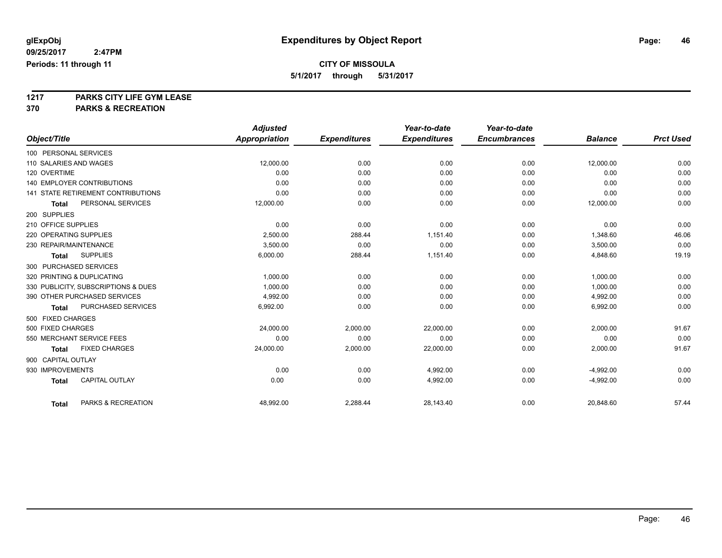**5/1/2017 through 5/31/2017**

**1217 PARKS CITY LIFE GYM LEASE**

|                                           | <b>Adjusted</b>      |                     | Year-to-date        | Year-to-date        |                |                  |
|-------------------------------------------|----------------------|---------------------|---------------------|---------------------|----------------|------------------|
| Object/Title                              | <b>Appropriation</b> | <b>Expenditures</b> | <b>Expenditures</b> | <b>Encumbrances</b> | <b>Balance</b> | <b>Prct Used</b> |
| 100 PERSONAL SERVICES                     |                      |                     |                     |                     |                |                  |
| 110 SALARIES AND WAGES                    | 12,000.00            | 0.00                | 0.00                | 0.00                | 12,000.00      | 0.00             |
| 120 OVERTIME                              | 0.00                 | 0.00                | 0.00                | 0.00                | 0.00           | 0.00             |
| <b>140 EMPLOYER CONTRIBUTIONS</b>         | 0.00                 | 0.00                | 0.00                | 0.00                | 0.00           | 0.00             |
| <b>141 STATE RETIREMENT CONTRIBUTIONS</b> | 0.00                 | 0.00                | 0.00                | 0.00                | 0.00           | 0.00             |
| PERSONAL SERVICES<br>Total                | 12,000.00            | 0.00                | 0.00                | 0.00                | 12,000.00      | 0.00             |
| 200 SUPPLIES                              |                      |                     |                     |                     |                |                  |
| 210 OFFICE SUPPLIES                       | 0.00                 | 0.00                | 0.00                | 0.00                | 0.00           | 0.00             |
| 220 OPERATING SUPPLIES                    | 2.500.00             | 288.44              | 1,151.40            | 0.00                | 1,348.60       | 46.06            |
| 230 REPAIR/MAINTENANCE                    | 3,500.00             | 0.00                | 0.00                | 0.00                | 3,500.00       | 0.00             |
| <b>SUPPLIES</b><br><b>Total</b>           | 6,000.00             | 288.44              | 1,151.40            | 0.00                | 4,848.60       | 19.19            |
| 300 PURCHASED SERVICES                    |                      |                     |                     |                     |                |                  |
| 320 PRINTING & DUPLICATING                | 1,000.00             | 0.00                | 0.00                | 0.00                | 1,000.00       | 0.00             |
| 330 PUBLICITY, SUBSCRIPTIONS & DUES       | 1.000.00             | 0.00                | 0.00                | 0.00                | 1,000.00       | 0.00             |
| 390 OTHER PURCHASED SERVICES              | 4,992.00             | 0.00                | 0.00                | 0.00                | 4,992.00       | 0.00             |
| PURCHASED SERVICES<br><b>Total</b>        | 6,992.00             | 0.00                | 0.00                | 0.00                | 6,992.00       | 0.00             |
| 500 FIXED CHARGES                         |                      |                     |                     |                     |                |                  |
| 500 FIXED CHARGES                         | 24,000.00            | 2,000.00            | 22,000.00           | 0.00                | 2,000.00       | 91.67            |
| 550 MERCHANT SERVICE FEES                 | 0.00                 | 0.00                | 0.00                | 0.00                | 0.00           | 0.00             |
| <b>FIXED CHARGES</b><br><b>Total</b>      | 24,000.00            | 2,000.00            | 22,000.00           | 0.00                | 2,000.00       | 91.67            |
| 900 CAPITAL OUTLAY                        |                      |                     |                     |                     |                |                  |
| 930 IMPROVEMENTS                          | 0.00                 | 0.00                | 4,992.00            | 0.00                | $-4,992.00$    | 0.00             |
| CAPITAL OUTLAY<br><b>Total</b>            | 0.00                 | 0.00                | 4,992.00            | 0.00                | $-4,992.00$    | 0.00             |
|                                           |                      |                     |                     |                     |                |                  |
| PARKS & RECREATION<br><b>Total</b>        | 48,992.00            | 2,288.44            | 28,143.40           | 0.00                | 20,848.60      | 57.44            |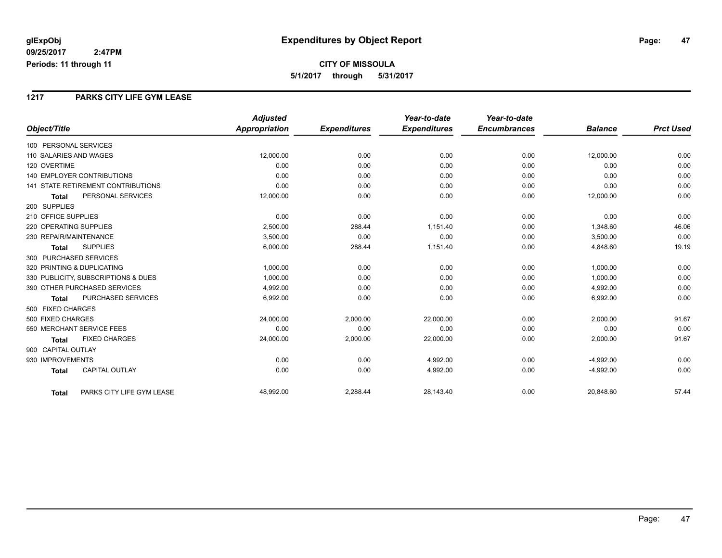### **1217 PARKS CITY LIFE GYM LEASE**

|                                           | <b>Adjusted</b>      |                     | Year-to-date        | Year-to-date        |                |                  |
|-------------------------------------------|----------------------|---------------------|---------------------|---------------------|----------------|------------------|
| Object/Title                              | <b>Appropriation</b> | <b>Expenditures</b> | <b>Expenditures</b> | <b>Encumbrances</b> | <b>Balance</b> | <b>Prct Used</b> |
| 100 PERSONAL SERVICES                     |                      |                     |                     |                     |                |                  |
| 110 SALARIES AND WAGES                    | 12,000.00            | 0.00                | 0.00                | 0.00                | 12,000.00      | 0.00             |
| 120 OVERTIME                              | 0.00                 | 0.00                | 0.00                | 0.00                | 0.00           | 0.00             |
| 140 EMPLOYER CONTRIBUTIONS                | 0.00                 | 0.00                | 0.00                | 0.00                | 0.00           | 0.00             |
| <b>141 STATE RETIREMENT CONTRIBUTIONS</b> | 0.00                 | 0.00                | 0.00                | 0.00                | 0.00           | 0.00             |
| PERSONAL SERVICES<br><b>Total</b>         | 12,000.00            | 0.00                | 0.00                | 0.00                | 12,000.00      | 0.00             |
| 200 SUPPLIES                              |                      |                     |                     |                     |                |                  |
| 210 OFFICE SUPPLIES                       | 0.00                 | 0.00                | 0.00                | 0.00                | 0.00           | 0.00             |
| 220 OPERATING SUPPLIES                    | 2,500.00             | 288.44              | 1,151.40            | 0.00                | 1,348.60       | 46.06            |
| 230 REPAIR/MAINTENANCE                    | 3,500.00             | 0.00                | 0.00                | 0.00                | 3,500.00       | 0.00             |
| <b>SUPPLIES</b><br><b>Total</b>           | 6,000.00             | 288.44              | 1,151.40            | 0.00                | 4,848.60       | 19.19            |
| 300 PURCHASED SERVICES                    |                      |                     |                     |                     |                |                  |
| 320 PRINTING & DUPLICATING                | 1,000.00             | 0.00                | 0.00                | 0.00                | 1,000.00       | 0.00             |
| 330 PUBLICITY, SUBSCRIPTIONS & DUES       | 1,000.00             | 0.00                | 0.00                | 0.00                | 1,000.00       | 0.00             |
| 390 OTHER PURCHASED SERVICES              | 4,992.00             | 0.00                | 0.00                | 0.00                | 4,992.00       | 0.00             |
| <b>PURCHASED SERVICES</b><br><b>Total</b> | 6,992.00             | 0.00                | 0.00                | 0.00                | 6,992.00       | 0.00             |
| 500 FIXED CHARGES                         |                      |                     |                     |                     |                |                  |
| 500 FIXED CHARGES                         | 24,000.00            | 2,000.00            | 22,000.00           | 0.00                | 2,000.00       | 91.67            |
| 550 MERCHANT SERVICE FEES                 | 0.00                 | 0.00                | 0.00                | 0.00                | 0.00           | 0.00             |
| <b>FIXED CHARGES</b><br><b>Total</b>      | 24,000.00            | 2,000.00            | 22,000.00           | 0.00                | 2,000.00       | 91.67            |
| 900 CAPITAL OUTLAY                        |                      |                     |                     |                     |                |                  |
| 930 IMPROVEMENTS                          | 0.00                 | 0.00                | 4,992.00            | 0.00                | $-4,992.00$    | 0.00             |
| <b>CAPITAL OUTLAY</b><br><b>Total</b>     | 0.00                 | 0.00                | 4,992.00            | 0.00                | $-4,992.00$    | 0.00             |
| PARKS CITY LIFE GYM LEASE<br><b>Total</b> | 48,992.00            | 2,288.44            | 28,143.40           | 0.00                | 20,848.60      | 57.44            |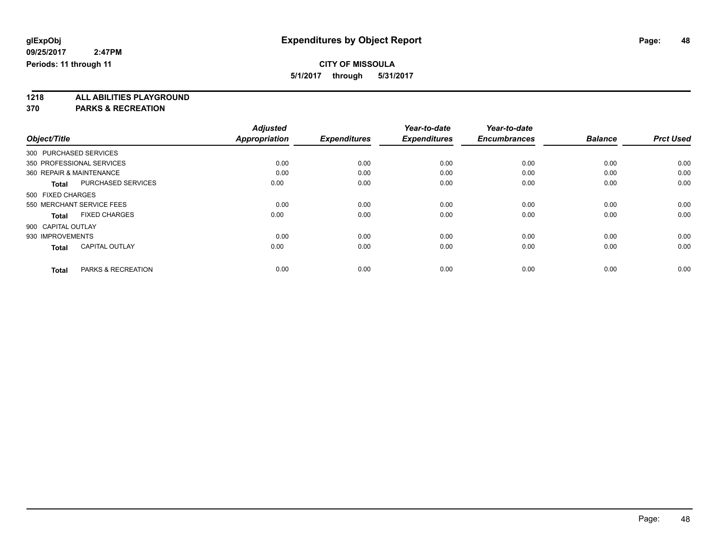**5/1/2017 through 5/31/2017**

**1218 ALL ABILITIES PLAYGROUND**

|              |                                               | <b>Adjusted</b> |                     | Year-to-date        | Year-to-date        |                |                  |
|--------------|-----------------------------------------------|-----------------|---------------------|---------------------|---------------------|----------------|------------------|
| Object/Title |                                               | Appropriation   | <b>Expenditures</b> | <b>Expenditures</b> | <b>Encumbrances</b> | <b>Balance</b> | <b>Prct Used</b> |
|              | 300 PURCHASED SERVICES                        |                 |                     |                     |                     |                |                  |
|              | 350 PROFESSIONAL SERVICES                     | 0.00            | 0.00                | 0.00                | 0.00                | 0.00           | 0.00             |
|              | 360 REPAIR & MAINTENANCE                      | 0.00            | 0.00                | 0.00                | 0.00                | 0.00           | 0.00             |
|              | <b>PURCHASED SERVICES</b><br><b>Total</b>     | 0.00            | 0.00                | 0.00                | 0.00                | 0.00           | 0.00             |
|              | 500 FIXED CHARGES                             |                 |                     |                     |                     |                |                  |
|              | 550 MERCHANT SERVICE FEES                     | 0.00            | 0.00                | 0.00                | 0.00                | 0.00           | 0.00             |
|              | <b>FIXED CHARGES</b><br><b>Total</b>          | 0.00            | 0.00                | 0.00                | 0.00                | 0.00           | 0.00             |
|              | 900 CAPITAL OUTLAY                            |                 |                     |                     |                     |                |                  |
|              | 930 IMPROVEMENTS                              | 0.00            | 0.00                | 0.00                | 0.00                | 0.00           | 0.00             |
|              | <b>CAPITAL OUTLAY</b><br><b>Total</b>         | 0.00            | 0.00                | 0.00                | 0.00                | 0.00           | 0.00             |
|              | <b>PARKS &amp; RECREATION</b><br><b>Total</b> | 0.00            | 0.00                | 0.00                | 0.00                | 0.00           | 0.00             |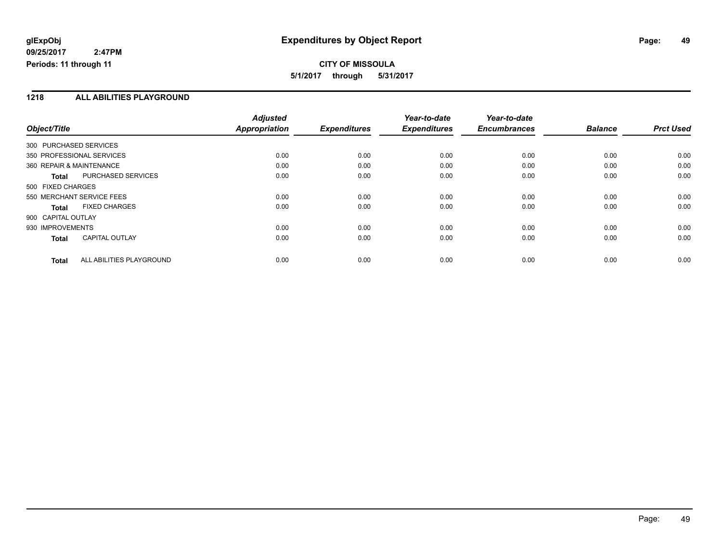# **CITY OF MISSOULA 5/1/2017 through 5/31/2017**

### **1218 ALL ABILITIES PLAYGROUND**

|                           |                          | <b>Adjusted</b>      |                     | Year-to-date        | Year-to-date        |                |                  |
|---------------------------|--------------------------|----------------------|---------------------|---------------------|---------------------|----------------|------------------|
| Object/Title              |                          | <b>Appropriation</b> | <b>Expenditures</b> | <b>Expenditures</b> | <b>Encumbrances</b> | <b>Balance</b> | <b>Prct Used</b> |
| 300 PURCHASED SERVICES    |                          |                      |                     |                     |                     |                |                  |
| 350 PROFESSIONAL SERVICES |                          | 0.00                 | 0.00                | 0.00                | 0.00                | 0.00           | 0.00             |
| 360 REPAIR & MAINTENANCE  |                          | 0.00                 | 0.00                | 0.00                | 0.00                | 0.00           | 0.00             |
| <b>Total</b>              | PURCHASED SERVICES       | 0.00                 | 0.00                | 0.00                | 0.00                | 0.00           | 0.00             |
| 500 FIXED CHARGES         |                          |                      |                     |                     |                     |                |                  |
| 550 MERCHANT SERVICE FEES |                          | 0.00                 | 0.00                | 0.00                | 0.00                | 0.00           | 0.00             |
| <b>Total</b>              | <b>FIXED CHARGES</b>     | 0.00                 | 0.00                | 0.00                | 0.00                | 0.00           | 0.00             |
| 900 CAPITAL OUTLAY        |                          |                      |                     |                     |                     |                |                  |
| 930 IMPROVEMENTS          |                          | 0.00                 | 0.00                | 0.00                | 0.00                | 0.00           | 0.00             |
| <b>Total</b>              | CAPITAL OUTLAY           | 0.00                 | 0.00                | 0.00                | 0.00                | 0.00           | 0.00             |
| <b>Total</b>              | ALL ABILITIES PLAYGROUND | 0.00                 | 0.00                | 0.00                | 0.00                | 0.00           | 0.00             |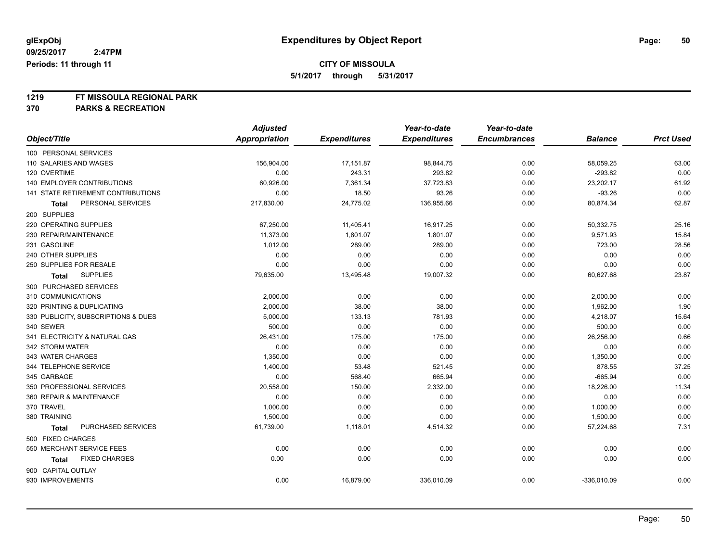**5/1/2017 through 5/31/2017**

# **1219 FT MISSOULA REGIONAL PARK**

|                                     | <b>Adjusted</b>      |                     | Year-to-date        | Year-to-date        |                |                  |
|-------------------------------------|----------------------|---------------------|---------------------|---------------------|----------------|------------------|
| Object/Title                        | <b>Appropriation</b> | <b>Expenditures</b> | <b>Expenditures</b> | <b>Encumbrances</b> | <b>Balance</b> | <b>Prct Used</b> |
| 100 PERSONAL SERVICES               |                      |                     |                     |                     |                |                  |
| 110 SALARIES AND WAGES              | 156,904.00           | 17,151.87           | 98,844.75           | 0.00                | 58,059.25      | 63.00            |
| 120 OVERTIME                        | 0.00                 | 243.31              | 293.82              | 0.00                | $-293.82$      | 0.00             |
| 140 EMPLOYER CONTRIBUTIONS          | 60,926.00            | 7,361.34            | 37,723.83           | 0.00                | 23,202.17      | 61.92            |
| 141 STATE RETIREMENT CONTRIBUTIONS  | 0.00                 | 18.50               | 93.26               | 0.00                | $-93.26$       | 0.00             |
| PERSONAL SERVICES<br>Total          | 217,830.00           | 24,775.02           | 136,955.66          | 0.00                | 80,874.34      | 62.87            |
| 200 SUPPLIES                        |                      |                     |                     |                     |                |                  |
| 220 OPERATING SUPPLIES              | 67,250.00            | 11,405.41           | 16,917.25           | 0.00                | 50,332.75      | 25.16            |
| 230 REPAIR/MAINTENANCE              | 11,373.00            | 1,801.07            | 1,801.07            | 0.00                | 9,571.93       | 15.84            |
| 231 GASOLINE                        | 1,012.00             | 289.00              | 289.00              | 0.00                | 723.00         | 28.56            |
| 240 OTHER SUPPLIES                  | 0.00                 | 0.00                | 0.00                | 0.00                | 0.00           | 0.00             |
| 250 SUPPLIES FOR RESALE             | 0.00                 | 0.00                | 0.00                | 0.00                | 0.00           | 0.00             |
| <b>SUPPLIES</b><br><b>Total</b>     | 79,635.00            | 13,495.48           | 19,007.32           | 0.00                | 60,627.68      | 23.87            |
| 300 PURCHASED SERVICES              |                      |                     |                     |                     |                |                  |
| 310 COMMUNICATIONS                  | 2,000.00             | 0.00                | 0.00                | 0.00                | 2,000.00       | 0.00             |
| 320 PRINTING & DUPLICATING          | 2,000.00             | 38.00               | 38.00               | 0.00                | 1,962.00       | 1.90             |
| 330 PUBLICITY, SUBSCRIPTIONS & DUES | 5,000.00             | 133.13              | 781.93              | 0.00                | 4,218.07       | 15.64            |
| 340 SEWER                           | 500.00               | 0.00                | 0.00                | 0.00                | 500.00         | 0.00             |
| 341 ELECTRICITY & NATURAL GAS       | 26,431.00            | 175.00              | 175.00              | 0.00                | 26,256.00      | 0.66             |
| 342 STORM WATER                     | 0.00                 | 0.00                | 0.00                | 0.00                | 0.00           | 0.00             |
| 343 WATER CHARGES                   | 1,350.00             | 0.00                | 0.00                | 0.00                | 1,350.00       | 0.00             |
| 344 TELEPHONE SERVICE               | 1,400.00             | 53.48               | 521.45              | 0.00                | 878.55         | 37.25            |
| 345 GARBAGE                         | 0.00                 | 568.40              | 665.94              | 0.00                | $-665.94$      | 0.00             |
| 350 PROFESSIONAL SERVICES           | 20,558.00            | 150.00              | 2,332.00            | 0.00                | 18,226.00      | 11.34            |
| 360 REPAIR & MAINTENANCE            | 0.00                 | 0.00                | 0.00                | 0.00                | 0.00           | 0.00             |
| 370 TRAVEL                          | 1,000.00             | 0.00                | 0.00                | 0.00                | 1,000.00       | 0.00             |
| 380 TRAINING                        | 1,500.00             | 0.00                | 0.00                | 0.00                | 1,500.00       | 0.00             |
| PURCHASED SERVICES<br><b>Total</b>  | 61,739.00            | 1,118.01            | 4,514.32            | 0.00                | 57,224.68      | 7.31             |
| 500 FIXED CHARGES                   |                      |                     |                     |                     |                |                  |
| 550 MERCHANT SERVICE FEES           | 0.00                 | 0.00                | 0.00                | 0.00                | 0.00           | 0.00             |
| <b>FIXED CHARGES</b><br>Total       | 0.00                 | 0.00                | 0.00                | 0.00                | 0.00           | 0.00             |
| 900 CAPITAL OUTLAY                  |                      |                     |                     |                     |                |                  |
| 930 IMPROVEMENTS                    | 0.00                 | 16,879.00           | 336,010.09          | 0.00                | $-336,010.09$  | 0.00             |
|                                     |                      |                     |                     |                     |                |                  |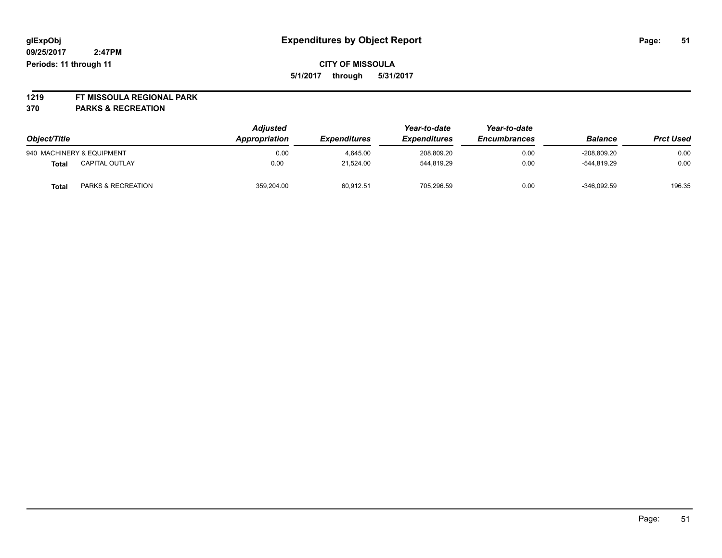**1219 FT MISSOULA REGIONAL PARK**

| Object/Title |                           | <b>Adjusted</b><br>Appropriation | <b>Expenditures</b> | Year-to-date<br><b>Expenditures</b> | Year-to-date<br><b>Encumbrances</b> | <b>Balance</b> | <b>Prct Used</b> |
|--------------|---------------------------|----------------------------------|---------------------|-------------------------------------|-------------------------------------|----------------|------------------|
|              | 940 MACHINERY & EQUIPMENT | 0.00                             | 4.645.00            | 208.809.20                          | 0.00                                | $-208.809.20$  | 0.00             |
| Total        | <b>CAPITAL OUTLAY</b>     | 0.00                             | 21.524.00           | 544,819.29                          | 0.00                                | $-544.819.29$  | 0.00             |
| Total        | PARKS & RECREATION        | 359.204.00                       | 60,912.51           | 705.296.59                          | 0.00                                | $-346,092.59$  | 196.35           |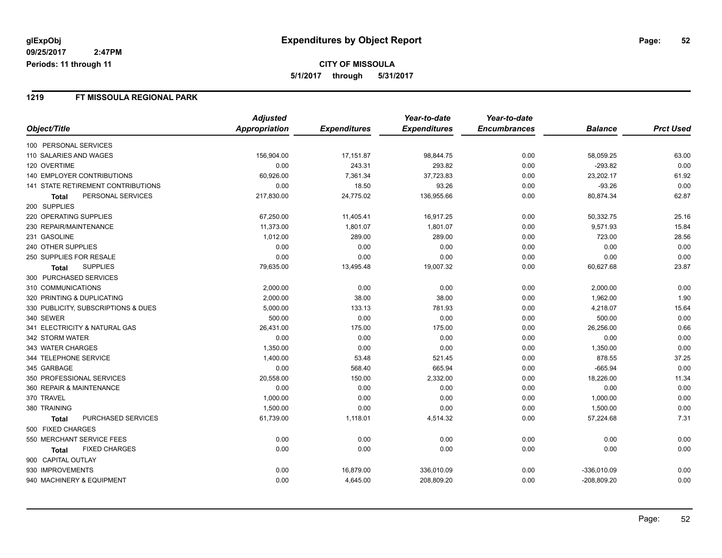**5/1/2017 through 5/31/2017**

### **1219 FT MISSOULA REGIONAL PARK**

|                                     | <b>Adjusted</b> |                     | Year-to-date        | Year-to-date        |                |                  |
|-------------------------------------|-----------------|---------------------|---------------------|---------------------|----------------|------------------|
| Object/Title                        | Appropriation   | <b>Expenditures</b> | <b>Expenditures</b> | <b>Encumbrances</b> | <b>Balance</b> | <b>Prct Used</b> |
| 100 PERSONAL SERVICES               |                 |                     |                     |                     |                |                  |
| 110 SALARIES AND WAGES              | 156,904.00      | 17,151.87           | 98,844.75           | 0.00                | 58,059.25      | 63.00            |
| 120 OVERTIME                        | 0.00            | 243.31              | 293.82              | 0.00                | $-293.82$      | 0.00             |
| <b>140 EMPLOYER CONTRIBUTIONS</b>   | 60,926.00       | 7,361.34            | 37,723.83           | 0.00                | 23,202.17      | 61.92            |
| 141 STATE RETIREMENT CONTRIBUTIONS  | 0.00            | 18.50               | 93.26               | 0.00                | $-93.26$       | 0.00             |
| PERSONAL SERVICES<br>Total          | 217,830.00      | 24,775.02           | 136,955.66          | 0.00                | 80,874.34      | 62.87            |
| 200 SUPPLIES                        |                 |                     |                     |                     |                |                  |
| 220 OPERATING SUPPLIES              | 67,250.00       | 11,405.41           | 16,917.25           | 0.00                | 50,332.75      | 25.16            |
| 230 REPAIR/MAINTENANCE              | 11,373.00       | 1,801.07            | 1,801.07            | 0.00                | 9,571.93       | 15.84            |
| 231 GASOLINE                        | 1,012.00        | 289.00              | 289.00              | 0.00                | 723.00         | 28.56            |
| 240 OTHER SUPPLIES                  | 0.00            | 0.00                | 0.00                | 0.00                | 0.00           | 0.00             |
| 250 SUPPLIES FOR RESALE             | 0.00            | 0.00                | 0.00                | 0.00                | 0.00           | 0.00             |
| <b>SUPPLIES</b><br><b>Total</b>     | 79,635.00       | 13,495.48           | 19,007.32           | 0.00                | 60,627.68      | 23.87            |
| 300 PURCHASED SERVICES              |                 |                     |                     |                     |                |                  |
| 310 COMMUNICATIONS                  | 2,000.00        | 0.00                | 0.00                | 0.00                | 2,000.00       | 0.00             |
| 320 PRINTING & DUPLICATING          | 2,000.00        | 38.00               | 38.00               | 0.00                | 1,962.00       | 1.90             |
| 330 PUBLICITY, SUBSCRIPTIONS & DUES | 5,000.00        | 133.13              | 781.93              | 0.00                | 4,218.07       | 15.64            |
| 340 SEWER                           | 500.00          | 0.00                | 0.00                | 0.00                | 500.00         | 0.00             |
| 341 ELECTRICITY & NATURAL GAS       | 26,431.00       | 175.00              | 175.00              | 0.00                | 26,256.00      | 0.66             |
| 342 STORM WATER                     | 0.00            | 0.00                | 0.00                | 0.00                | 0.00           | 0.00             |
| 343 WATER CHARGES                   | 1,350.00        | 0.00                | 0.00                | 0.00                | 1,350.00       | 0.00             |
| 344 TELEPHONE SERVICE               | 1,400.00        | 53.48               | 521.45              | 0.00                | 878.55         | 37.25            |
| 345 GARBAGE                         | 0.00            | 568.40              | 665.94              | 0.00                | $-665.94$      | 0.00             |
| 350 PROFESSIONAL SERVICES           | 20,558.00       | 150.00              | 2,332.00            | 0.00                | 18,226.00      | 11.34            |
| 360 REPAIR & MAINTENANCE            | 0.00            | 0.00                | 0.00                | 0.00                | 0.00           | 0.00             |
| 370 TRAVEL                          | 1,000.00        | 0.00                | 0.00                | 0.00                | 1,000.00       | 0.00             |
| 380 TRAINING                        | 1,500.00        | 0.00                | 0.00                | 0.00                | 1,500.00       | 0.00             |
| PURCHASED SERVICES<br>Total         | 61,739.00       | 1,118.01            | 4,514.32            | 0.00                | 57,224.68      | 7.31             |
| 500 FIXED CHARGES                   |                 |                     |                     |                     |                |                  |
| 550 MERCHANT SERVICE FEES           | 0.00            | 0.00                | 0.00                | 0.00                | 0.00           | 0.00             |
| <b>FIXED CHARGES</b><br>Total       | 0.00            | 0.00                | 0.00                | 0.00                | 0.00           | 0.00             |
| 900 CAPITAL OUTLAY                  |                 |                     |                     |                     |                |                  |
| 930 IMPROVEMENTS                    | 0.00            | 16,879.00           | 336,010.09          | 0.00                | $-336,010.09$  | 0.00             |
| 940 MACHINERY & EQUIPMENT           | 0.00            | 4,645.00            | 208,809.20          | 0.00                | $-208,809.20$  | 0.00             |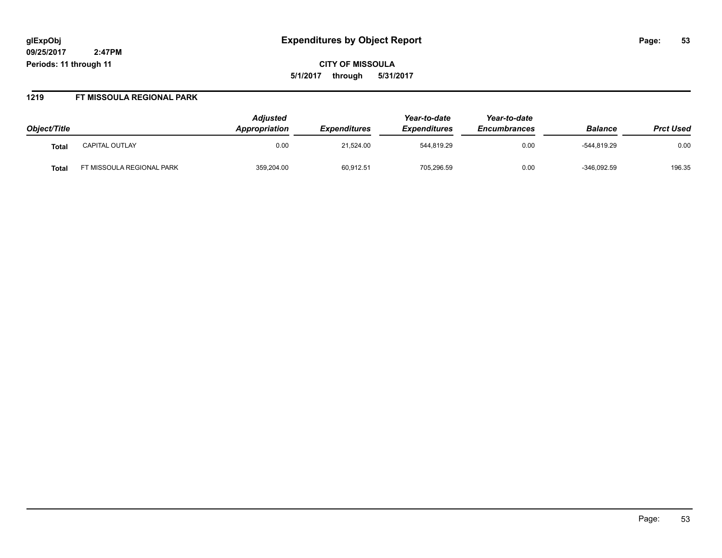**CITY OF MISSOULA 5/1/2017 through 5/31/2017**

#### **1219 FT MISSOULA REGIONAL PARK**

| Object/Title |                          | <b>Adjusted</b><br><b>Appropriation</b> | <b>Expenditures</b> | Year-to-date<br><b>Expenditures</b> | Year-to-date<br><b>Encumbrances</b> | <b>Balance</b> | <b>Prct Used</b> |
|--------------|--------------------------|-----------------------------------------|---------------------|-------------------------------------|-------------------------------------|----------------|------------------|
| Tota.        | <b>CAPITAL OUTLAY</b>    | 0.00                                    | 21.524.00           | 544.819.29                          | 0.00                                | -544.819.29    | 0.00             |
| Tota.        | T MISSOULA REGIONAL PARK | 359,204.00                              | 60,912.51           | 705,296.59                          | 0.00                                | $-346,092.59$  | 196.35           |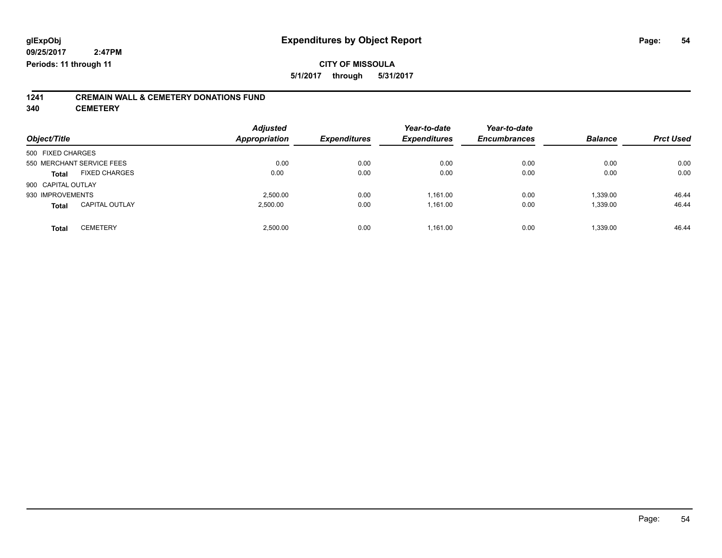# **1241 CREMAIN WALL & CEMETERY DONATIONS FUND**

**340 CEMETERY**

| Object/Title              |                       | <b>Adjusted</b><br><b>Appropriation</b> | <b>Expenditures</b> | Year-to-date<br><b>Expenditures</b> | Year-to-date<br><b>Encumbrances</b> | <b>Balance</b> | <b>Prct Used</b> |
|---------------------------|-----------------------|-----------------------------------------|---------------------|-------------------------------------|-------------------------------------|----------------|------------------|
| 500 FIXED CHARGES         |                       |                                         |                     |                                     |                                     |                |                  |
| 550 MERCHANT SERVICE FEES |                       | 0.00                                    | 0.00                | 0.00                                | 0.00                                | 0.00           | 0.00             |
| <b>Total</b>              | <b>FIXED CHARGES</b>  | 0.00                                    | 0.00                | 0.00                                | 0.00                                | 0.00           | 0.00             |
| 900 CAPITAL OUTLAY        |                       |                                         |                     |                                     |                                     |                |                  |
| 930 IMPROVEMENTS          |                       | 2,500.00                                | 0.00                | 1,161.00                            | 0.00                                | 1,339.00       | 46.44            |
| <b>Total</b>              | <b>CAPITAL OUTLAY</b> | 2,500.00                                | 0.00                | 1,161.00                            | 0.00                                | 1,339.00       | 46.44            |
| <b>Total</b>              | <b>CEMETERY</b>       | 2,500.00                                | 0.00                | 1,161.00                            | 0.00                                | 1,339.00       | 46.44            |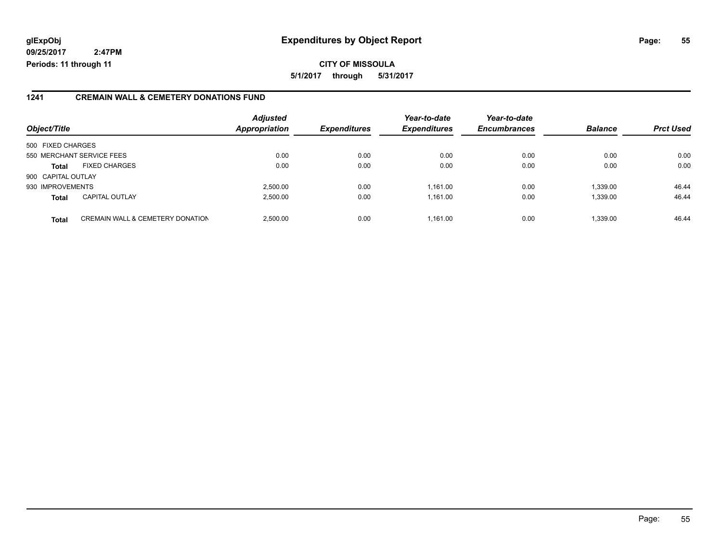**CITY OF MISSOULA 5/1/2017 through 5/31/2017**

#### **1241 CREMAIN WALL & CEMETERY DONATIONS FUND**

| Object/Title       |                                             | <b>Adjusted</b><br><b>Appropriation</b> | <b>Expenditures</b> | Year-to-date<br><b>Expenditures</b> | Year-to-date<br><b>Encumbrances</b> | <b>Balance</b> | <b>Prct Used</b> |
|--------------------|---------------------------------------------|-----------------------------------------|---------------------|-------------------------------------|-------------------------------------|----------------|------------------|
| 500 FIXED CHARGES  |                                             |                                         |                     |                                     |                                     |                |                  |
|                    | 550 MERCHANT SERVICE FEES                   | 0.00                                    | 0.00                | 0.00                                | 0.00                                | 0.00           | 0.00             |
| <b>Total</b>       | <b>FIXED CHARGES</b>                        | 0.00                                    | 0.00                | 0.00                                | 0.00                                | 0.00           | 0.00             |
| 900 CAPITAL OUTLAY |                                             |                                         |                     |                                     |                                     |                |                  |
| 930 IMPROVEMENTS   |                                             | 2.500.00                                | 0.00                | 1.161.00                            | 0.00                                | 1.339.00       | 46.44            |
| <b>Total</b>       | <b>CAPITAL OUTLAY</b>                       | 2.500.00                                | 0.00                | 1.161.00                            | 0.00                                | 1.339.00       | 46.44            |
| <b>Total</b>       | <b>CREMAIN WALL &amp; CEMETERY DONATION</b> | 2,500.00                                | 0.00                | 1.161.00                            | 0.00                                | 1,339.00       | 46.44            |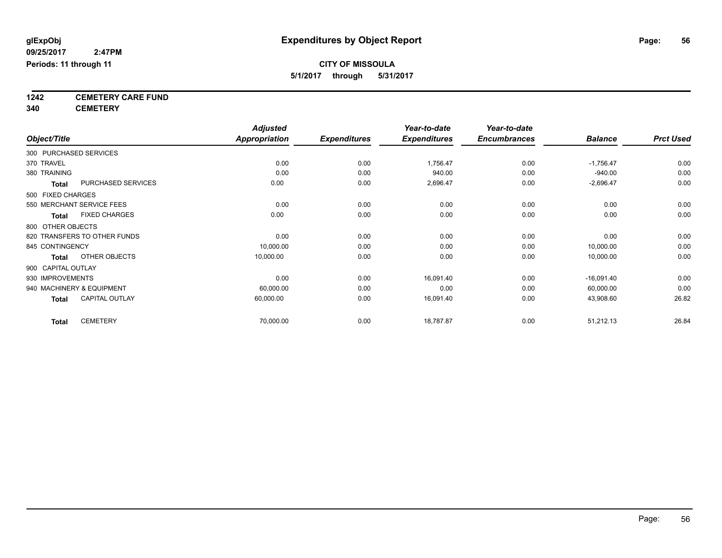**5/1/2017 through 5/31/2017**

**1242 CEMETERY CARE FUND**

**340 CEMETERY**

|                    |                              | <b>Adjusted</b>      |                     | Year-to-date        | Year-to-date        |                |                  |
|--------------------|------------------------------|----------------------|---------------------|---------------------|---------------------|----------------|------------------|
| Object/Title       |                              | <b>Appropriation</b> | <b>Expenditures</b> | <b>Expenditures</b> | <b>Encumbrances</b> | <b>Balance</b> | <b>Prct Used</b> |
|                    | 300 PURCHASED SERVICES       |                      |                     |                     |                     |                |                  |
| 370 TRAVEL         |                              | 0.00                 | 0.00                | 1,756.47            | 0.00                | $-1,756.47$    | 0.00             |
| 380 TRAINING       |                              | 0.00                 | 0.00                | 940.00              | 0.00                | $-940.00$      | 0.00             |
| <b>Total</b>       | PURCHASED SERVICES           | 0.00                 | 0.00                | 2,696.47            | 0.00                | $-2,696.47$    | 0.00             |
| 500 FIXED CHARGES  |                              |                      |                     |                     |                     |                |                  |
|                    | 550 MERCHANT SERVICE FEES    | 0.00                 | 0.00                | 0.00                | 0.00                | 0.00           | 0.00             |
| <b>Total</b>       | <b>FIXED CHARGES</b>         | 0.00                 | 0.00                | 0.00                | 0.00                | 0.00           | 0.00             |
| 800 OTHER OBJECTS  |                              |                      |                     |                     |                     |                |                  |
|                    | 820 TRANSFERS TO OTHER FUNDS | 0.00                 | 0.00                | 0.00                | 0.00                | 0.00           | 0.00             |
| 845 CONTINGENCY    |                              | 10,000.00            | 0.00                | 0.00                | 0.00                | 10,000.00      | 0.00             |
| <b>Total</b>       | OTHER OBJECTS                | 10,000.00            | 0.00                | 0.00                | 0.00                | 10,000.00      | 0.00             |
| 900 CAPITAL OUTLAY |                              |                      |                     |                     |                     |                |                  |
| 930 IMPROVEMENTS   |                              | 0.00                 | 0.00                | 16,091.40           | 0.00                | $-16,091.40$   | 0.00             |
|                    | 940 MACHINERY & EQUIPMENT    | 60,000.00            | 0.00                | 0.00                | 0.00                | 60,000.00      | 0.00             |
| <b>Total</b>       | <b>CAPITAL OUTLAY</b>        | 60,000.00            | 0.00                | 16,091.40           | 0.00                | 43,908.60      | 26.82            |
| <b>Total</b>       | <b>CEMETERY</b>              | 70,000.00            | 0.00                | 18,787.87           | 0.00                | 51,212.13      | 26.84            |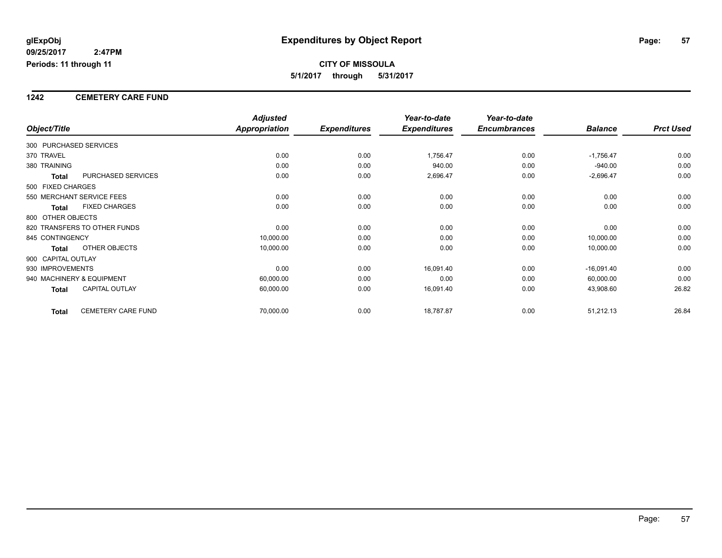#### **1242 CEMETERY CARE FUND**

|                        |                              | <b>Adjusted</b> |                     | Year-to-date        | Year-to-date        |                |                  |
|------------------------|------------------------------|-----------------|---------------------|---------------------|---------------------|----------------|------------------|
| Object/Title           |                              | Appropriation   | <b>Expenditures</b> | <b>Expenditures</b> | <b>Encumbrances</b> | <b>Balance</b> | <b>Prct Used</b> |
| 300 PURCHASED SERVICES |                              |                 |                     |                     |                     |                |                  |
| 370 TRAVEL             |                              | 0.00            | 0.00                | 1,756.47            | 0.00                | $-1,756.47$    | 0.00             |
| 380 TRAINING           |                              | 0.00            | 0.00                | 940.00              | 0.00                | $-940.00$      | 0.00             |
| Total                  | PURCHASED SERVICES           | 0.00            | 0.00                | 2,696.47            | 0.00                | $-2,696.47$    | 0.00             |
| 500 FIXED CHARGES      |                              |                 |                     |                     |                     |                |                  |
|                        | 550 MERCHANT SERVICE FEES    | 0.00            | 0.00                | 0.00                | 0.00                | 0.00           | 0.00             |
| <b>Total</b>           | <b>FIXED CHARGES</b>         | 0.00            | 0.00                | 0.00                | 0.00                | 0.00           | 0.00             |
| 800 OTHER OBJECTS      |                              |                 |                     |                     |                     |                |                  |
|                        | 820 TRANSFERS TO OTHER FUNDS | 0.00            | 0.00                | 0.00                | 0.00                | 0.00           | 0.00             |
| 845 CONTINGENCY        |                              | 10,000.00       | 0.00                | 0.00                | 0.00                | 10,000.00      | 0.00             |
| <b>Total</b>           | OTHER OBJECTS                | 10,000.00       | 0.00                | 0.00                | 0.00                | 10,000.00      | 0.00             |
| 900 CAPITAL OUTLAY     |                              |                 |                     |                     |                     |                |                  |
| 930 IMPROVEMENTS       |                              | 0.00            | 0.00                | 16,091.40           | 0.00                | $-16,091.40$   | 0.00             |
|                        | 940 MACHINERY & EQUIPMENT    | 60,000.00       | 0.00                | 0.00                | 0.00                | 60,000.00      | 0.00             |
| <b>Total</b>           | <b>CAPITAL OUTLAY</b>        | 60,000.00       | 0.00                | 16,091.40           | 0.00                | 43,908.60      | 26.82            |
| <b>Total</b>           | <b>CEMETERY CARE FUND</b>    | 70,000.00       | 0.00                | 18,787.87           | 0.00                | 51,212.13      | 26.84            |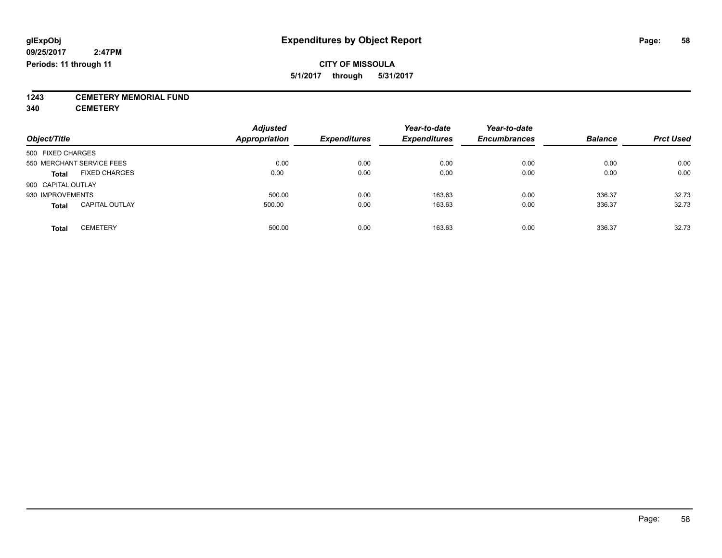**1243 CEMETERY MEMORIAL FUND**

**340 CEMETERY**

| Object/Title                          | <b>Adjusted</b><br><b>Appropriation</b> | <b>Expenditures</b> | Year-to-date<br><b>Expenditures</b> | Year-to-date<br><b>Encumbrances</b> | <b>Balance</b> | <b>Prct Used</b> |
|---------------------------------------|-----------------------------------------|---------------------|-------------------------------------|-------------------------------------|----------------|------------------|
| 500 FIXED CHARGES                     |                                         |                     |                                     |                                     |                |                  |
| 550 MERCHANT SERVICE FEES             | 0.00                                    | 0.00                | 0.00                                | 0.00                                | 0.00           | 0.00             |
| <b>FIXED CHARGES</b><br><b>Total</b>  | 0.00                                    | 0.00                | 0.00                                | 0.00                                | 0.00           | 0.00             |
| 900 CAPITAL OUTLAY                    |                                         |                     |                                     |                                     |                |                  |
| 930 IMPROVEMENTS                      | 500.00                                  | 0.00                | 163.63                              | 0.00                                | 336.37         | 32.73            |
| <b>CAPITAL OUTLAY</b><br><b>Total</b> | 500.00                                  | 0.00                | 163.63                              | 0.00                                | 336.37         | 32.73            |
| <b>CEMETERY</b><br>Total              | 500.00                                  | 0.00                | 163.63                              | 0.00                                | 336.37         | 32.73            |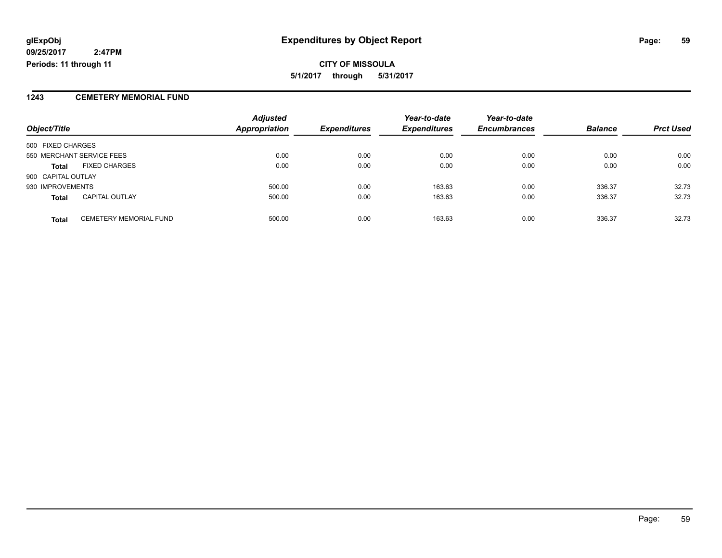**CITY OF MISSOULA 5/1/2017 through 5/31/2017**

### **1243 CEMETERY MEMORIAL FUND**

|                           |                               | <b>Adjusted</b>      |                     | Year-to-date        | Year-to-date        |                |                  |
|---------------------------|-------------------------------|----------------------|---------------------|---------------------|---------------------|----------------|------------------|
| Object/Title              |                               | <b>Appropriation</b> | <b>Expenditures</b> | <b>Expenditures</b> | <b>Encumbrances</b> | <b>Balance</b> | <b>Prct Used</b> |
| 500 FIXED CHARGES         |                               |                      |                     |                     |                     |                |                  |
| 550 MERCHANT SERVICE FEES |                               | 0.00                 | 0.00                | 0.00                | 0.00                | 0.00           | 0.00             |
| <b>Total</b>              | <b>FIXED CHARGES</b>          | 0.00                 | 0.00                | 0.00                | 0.00                | 0.00           | 0.00             |
| 900 CAPITAL OUTLAY        |                               |                      |                     |                     |                     |                |                  |
| 930 IMPROVEMENTS          |                               | 500.00               | 0.00                | 163.63              | 0.00                | 336.37         | 32.73            |
| <b>Total</b>              | <b>CAPITAL OUTLAY</b>         | 500.00               | 0.00                | 163.63              | 0.00                | 336.37         | 32.73            |
| <b>Total</b>              | <b>CEMETERY MEMORIAL FUND</b> | 500.00               | 0.00                | 163.63              | 0.00                | 336.37         | 32.73            |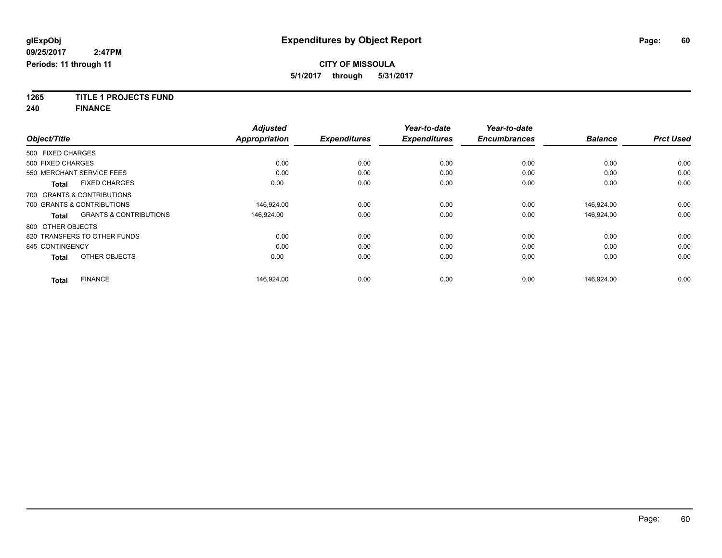**1265 TITLE 1 PROJECTS FUND**

**240 FINANCE**

| Object/Title      |                                   | <b>Adjusted</b><br><b>Appropriation</b> | <b>Expenditures</b> | Year-to-date<br><b>Expenditures</b> | Year-to-date<br><b>Encumbrances</b> | <b>Balance</b> | <b>Prct Used</b> |
|-------------------|-----------------------------------|-----------------------------------------|---------------------|-------------------------------------|-------------------------------------|----------------|------------------|
|                   |                                   |                                         |                     |                                     |                                     |                |                  |
| 500 FIXED CHARGES |                                   |                                         |                     |                                     |                                     |                |                  |
| 500 FIXED CHARGES |                                   | 0.00                                    | 0.00                | 0.00                                | 0.00                                | 0.00           | 0.00             |
|                   | 550 MERCHANT SERVICE FEES         | 0.00                                    | 0.00                | 0.00                                | 0.00                                | 0.00           | 0.00             |
| <b>Total</b>      | <b>FIXED CHARGES</b>              | 0.00                                    | 0.00                | 0.00                                | 0.00                                | 0.00           | 0.00             |
|                   | 700 GRANTS & CONTRIBUTIONS        |                                         |                     |                                     |                                     |                |                  |
|                   | 700 GRANTS & CONTRIBUTIONS        | 146.924.00                              | 0.00                | 0.00                                | 0.00                                | 146.924.00     | 0.00             |
| <b>Total</b>      | <b>GRANTS &amp; CONTRIBUTIONS</b> | 146,924.00                              | 0.00                | 0.00                                | 0.00                                | 146,924.00     | 0.00             |
| 800 OTHER OBJECTS |                                   |                                         |                     |                                     |                                     |                |                  |
|                   | 820 TRANSFERS TO OTHER FUNDS      | 0.00                                    | 0.00                | 0.00                                | 0.00                                | 0.00           | 0.00             |
| 845 CONTINGENCY   |                                   | 0.00                                    | 0.00                | 0.00                                | 0.00                                | 0.00           | 0.00             |
| <b>Total</b>      | OTHER OBJECTS                     | 0.00                                    | 0.00                | 0.00                                | 0.00                                | 0.00           | 0.00             |
| <b>Total</b>      | <b>FINANCE</b>                    | 146.924.00                              | 0.00                | 0.00                                | 0.00                                | 146.924.00     | 0.00             |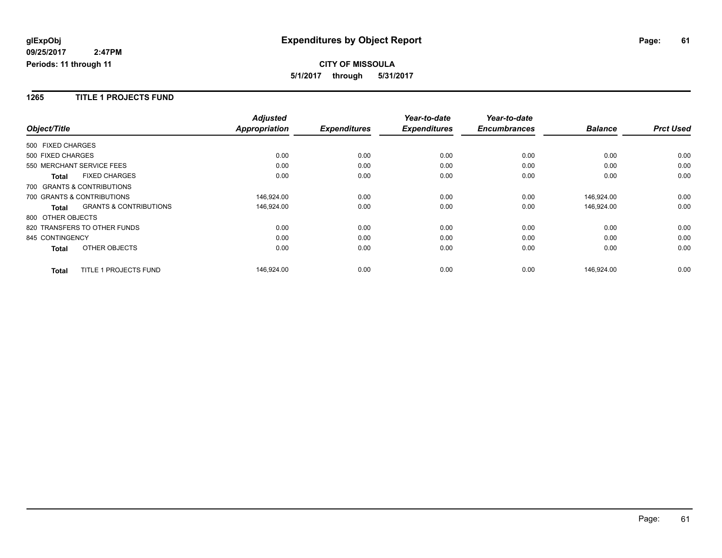#### **1265 TITLE 1 PROJECTS FUND**

|                              |                                   | <b>Adjusted</b>      |                     | Year-to-date        | Year-to-date        |                |                  |
|------------------------------|-----------------------------------|----------------------|---------------------|---------------------|---------------------|----------------|------------------|
| Object/Title                 |                                   | <b>Appropriation</b> | <b>Expenditures</b> | <b>Expenditures</b> | <b>Encumbrances</b> | <b>Balance</b> | <b>Prct Used</b> |
| 500 FIXED CHARGES            |                                   |                      |                     |                     |                     |                |                  |
| 500 FIXED CHARGES            |                                   | 0.00                 | 0.00                | 0.00                | 0.00                | 0.00           | 0.00             |
| 550 MERCHANT SERVICE FEES    |                                   | 0.00                 | 0.00                | 0.00                | 0.00                | 0.00           | 0.00             |
| <b>Total</b>                 | <b>FIXED CHARGES</b>              | 0.00                 | 0.00                | 0.00                | 0.00                | 0.00           | 0.00             |
| 700 GRANTS & CONTRIBUTIONS   |                                   |                      |                     |                     |                     |                |                  |
| 700 GRANTS & CONTRIBUTIONS   |                                   | 146,924.00           | 0.00                | 0.00                | 0.00                | 146,924.00     | 0.00             |
| <b>Total</b>                 | <b>GRANTS &amp; CONTRIBUTIONS</b> | 146,924.00           | 0.00                | 0.00                | 0.00                | 146,924.00     | 0.00             |
| 800 OTHER OBJECTS            |                                   |                      |                     |                     |                     |                |                  |
| 820 TRANSFERS TO OTHER FUNDS |                                   | 0.00                 | 0.00                | 0.00                | 0.00                | 0.00           | 0.00             |
| 845 CONTINGENCY              |                                   | 0.00                 | 0.00                | 0.00                | 0.00                | 0.00           | 0.00             |
| <b>Total</b>                 | OTHER OBJECTS                     | 0.00                 | 0.00                | 0.00                | 0.00                | 0.00           | 0.00             |
| <b>Total</b>                 | TITLE 1 PROJECTS FUND             | 146,924.00           | 0.00                | 0.00                | 0.00                | 146,924.00     | 0.00             |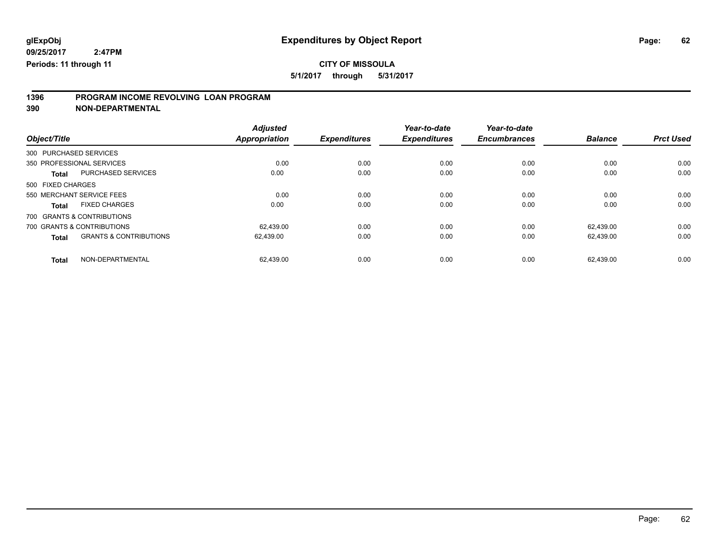**5/1/2017 through 5/31/2017**

# **1396 PROGRAM INCOME REVOLVING LOAN PROGRAM**

**390 NON-DEPARTMENTAL**

| Object/Title                                      | <b>Adjusted</b><br><b>Appropriation</b> | <b>Expenditures</b> | Year-to-date<br><b>Expenditures</b> | Year-to-date<br><b>Encumbrances</b> | <b>Balance</b> | <b>Prct Used</b> |
|---------------------------------------------------|-----------------------------------------|---------------------|-------------------------------------|-------------------------------------|----------------|------------------|
| 300 PURCHASED SERVICES                            |                                         |                     |                                     |                                     |                |                  |
| 350 PROFESSIONAL SERVICES                         | 0.00                                    | 0.00                | 0.00                                | 0.00                                | 0.00           | 0.00             |
| PURCHASED SERVICES<br><b>Total</b>                | 0.00                                    | 0.00                | 0.00                                | 0.00                                | 0.00           | 0.00             |
| 500 FIXED CHARGES                                 |                                         |                     |                                     |                                     |                |                  |
| 550 MERCHANT SERVICE FEES                         | 0.00                                    | 0.00                | 0.00                                | 0.00                                | 0.00           | 0.00             |
| <b>FIXED CHARGES</b><br><b>Total</b>              | 0.00                                    | 0.00                | 0.00                                | 0.00                                | 0.00           | 0.00             |
| 700 GRANTS & CONTRIBUTIONS                        |                                         |                     |                                     |                                     |                |                  |
| 700 GRANTS & CONTRIBUTIONS                        | 62.439.00                               | 0.00                | 0.00                                | 0.00                                | 62.439.00      | 0.00             |
| <b>GRANTS &amp; CONTRIBUTIONS</b><br><b>Total</b> | 62.439.00                               | 0.00                | 0.00                                | 0.00                                | 62.439.00      | 0.00             |
| NON-DEPARTMENTAL<br><b>Total</b>                  | 62.439.00                               | 0.00                | 0.00                                | 0.00                                | 62.439.00      | 0.00             |

Page: 62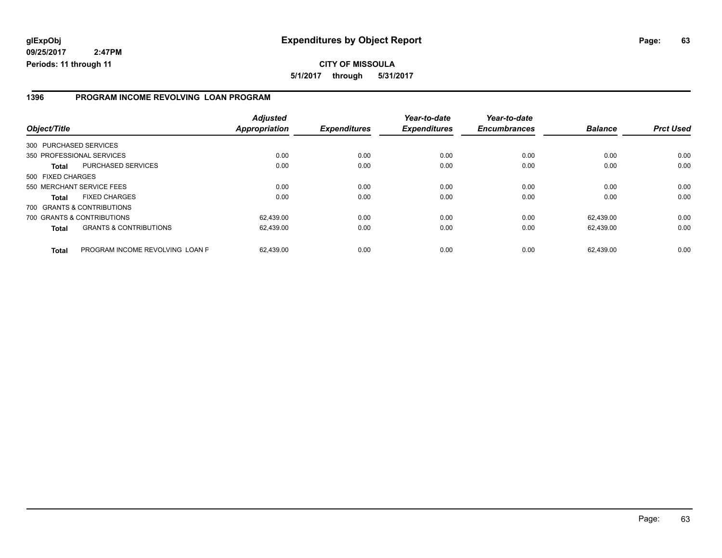#### **1396 PROGRAM INCOME REVOLVING LOAN PROGRAM**

| Object/Title                                      | <b>Adjusted</b><br><b>Appropriation</b> | <b>Expenditures</b> | Year-to-date<br><b>Expenditures</b> | Year-to-date<br><b>Encumbrances</b> | <b>Balance</b> | <b>Prct Used</b> |
|---------------------------------------------------|-----------------------------------------|---------------------|-------------------------------------|-------------------------------------|----------------|------------------|
| 300 PURCHASED SERVICES                            |                                         |                     |                                     |                                     |                |                  |
| 350 PROFESSIONAL SERVICES                         | 0.00                                    | 0.00                | 0.00                                | 0.00                                | 0.00           | 0.00             |
| PURCHASED SERVICES<br><b>Total</b>                | 0.00                                    | 0.00                | 0.00                                | 0.00                                | 0.00           | 0.00             |
| 500 FIXED CHARGES                                 |                                         |                     |                                     |                                     |                |                  |
| 550 MERCHANT SERVICE FEES                         | 0.00                                    | 0.00                | 0.00                                | 0.00                                | 0.00           | 0.00             |
| <b>FIXED CHARGES</b><br><b>Total</b>              | 0.00                                    | 0.00                | 0.00                                | 0.00                                | 0.00           | 0.00             |
| 700 GRANTS & CONTRIBUTIONS                        |                                         |                     |                                     |                                     |                |                  |
| 700 GRANTS & CONTRIBUTIONS                        | 62,439.00                               | 0.00                | 0.00                                | 0.00                                | 62.439.00      | 0.00             |
| <b>GRANTS &amp; CONTRIBUTIONS</b><br><b>Total</b> | 62,439.00                               | 0.00                | 0.00                                | 0.00                                | 62,439.00      | 0.00             |
| PROGRAM INCOME REVOLVING LOAN P<br><b>Total</b>   | 62.439.00                               | 0.00                | 0.00                                | 0.00                                | 62.439.00      | 0.00             |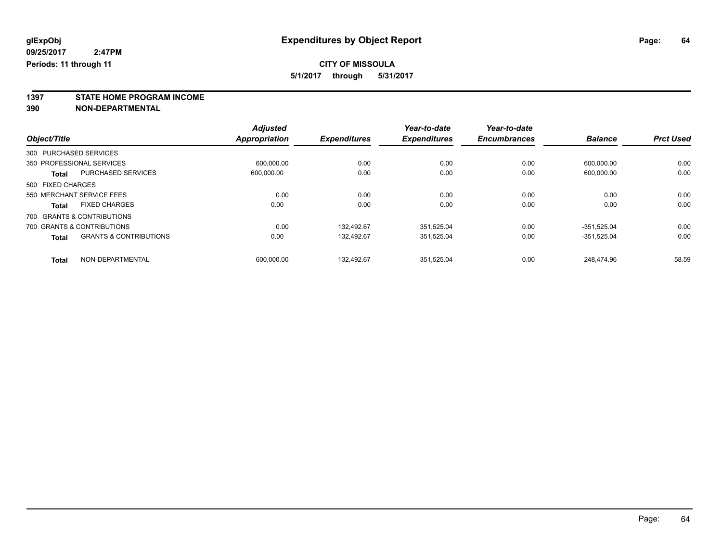**1397 STATE HOME PROGRAM INCOME**

**390 NON-DEPARTMENTAL**

|                   |                                   | <b>Adjusted</b> |                     | Year-to-date        | Year-to-date        |                |                  |
|-------------------|-----------------------------------|-----------------|---------------------|---------------------|---------------------|----------------|------------------|
| Object/Title      |                                   | Appropriation   | <b>Expenditures</b> | <b>Expenditures</b> | <b>Encumbrances</b> | <b>Balance</b> | <b>Prct Used</b> |
|                   | 300 PURCHASED SERVICES            |                 |                     |                     |                     |                |                  |
|                   | 350 PROFESSIONAL SERVICES         | 600.000.00      | 0.00                | 0.00                | 0.00                | 600.000.00     | 0.00             |
| Total             | <b>PURCHASED SERVICES</b>         | 600,000.00      | 0.00                | 0.00                | 0.00                | 600,000.00     | 0.00             |
| 500 FIXED CHARGES |                                   |                 |                     |                     |                     |                |                  |
|                   | 550 MERCHANT SERVICE FEES         | 0.00            | 0.00                | 0.00                | 0.00                | 0.00           | 0.00             |
| <b>Total</b>      | <b>FIXED CHARGES</b>              | 0.00            | 0.00                | 0.00                | 0.00                | 0.00           | 0.00             |
|                   | 700 GRANTS & CONTRIBUTIONS        |                 |                     |                     |                     |                |                  |
|                   | 700 GRANTS & CONTRIBUTIONS        | 0.00            | 132.492.67          | 351,525.04          | 0.00                | -351.525.04    | 0.00             |
| <b>Total</b>      | <b>GRANTS &amp; CONTRIBUTIONS</b> | 0.00            | 132.492.67          | 351.525.04          | 0.00                | -351.525.04    | 0.00             |
| <b>Total</b>      | NON-DEPARTMENTAL                  | 600.000.00      | 132,492.67          | 351.525.04          | 0.00                | 248.474.96     | 58.59            |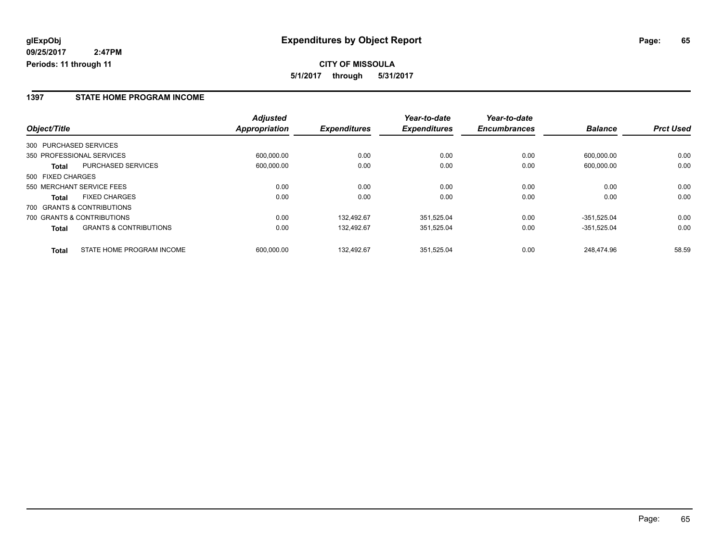### **1397 STATE HOME PROGRAM INCOME**

|                                                   |                      | <b>Adjusted</b> |                     | Year-to-date        | Year-to-date        |                |                  |
|---------------------------------------------------|----------------------|-----------------|---------------------|---------------------|---------------------|----------------|------------------|
| Object/Title                                      | <b>Appropriation</b> |                 | <b>Expenditures</b> | <b>Expenditures</b> | <b>Encumbrances</b> | <b>Balance</b> | <b>Prct Used</b> |
| 300 PURCHASED SERVICES                            |                      |                 |                     |                     |                     |                |                  |
| 350 PROFESSIONAL SERVICES                         |                      | 600.000.00      | 0.00                | 0.00                | 0.00                | 600.000.00     | 0.00             |
| <b>PURCHASED SERVICES</b><br>Total                |                      | 600.000.00      | 0.00                | 0.00                | 0.00                | 600,000.00     | 0.00             |
| 500 FIXED CHARGES                                 |                      |                 |                     |                     |                     |                |                  |
| 550 MERCHANT SERVICE FEES                         |                      | 0.00            | 0.00                | 0.00                | 0.00                | 0.00           | 0.00             |
| <b>FIXED CHARGES</b><br><b>Total</b>              |                      | 0.00            | 0.00                | 0.00                | 0.00                | 0.00           | 0.00             |
| 700 GRANTS & CONTRIBUTIONS                        |                      |                 |                     |                     |                     |                |                  |
| 700 GRANTS & CONTRIBUTIONS                        |                      | 0.00            | 132.492.67          | 351,525.04          | 0.00                | $-351.525.04$  | 0.00             |
| <b>GRANTS &amp; CONTRIBUTIONS</b><br><b>Total</b> |                      | 0.00            | 132.492.67          | 351,525.04          | 0.00                | $-351,525.04$  | 0.00             |
| STATE HOME PROGRAM INCOME<br><b>Total</b>         |                      | 600.000.00      | 132.492.67          | 351.525.04          | 0.00                | 248.474.96     | 58.59            |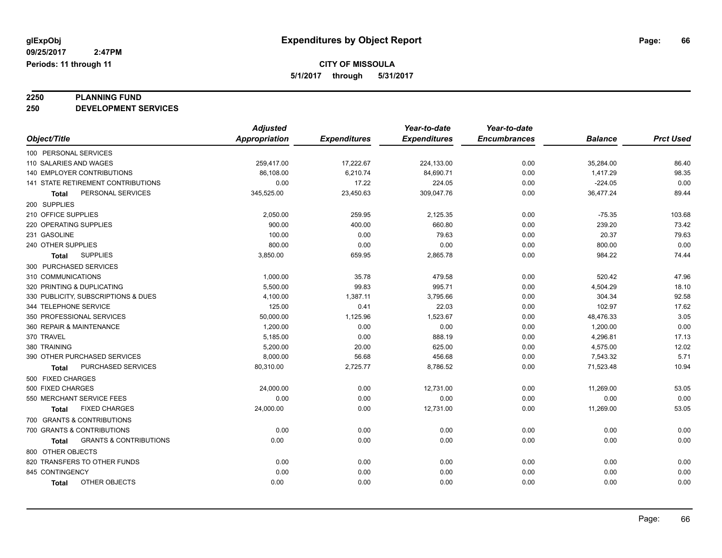# **2250 PLANNING FUND**

**250 DEVELOPMENT SERVICES**

|                                            | <b>Adjusted</b>      |                     | Year-to-date        | Year-to-date        |                |                  |
|--------------------------------------------|----------------------|---------------------|---------------------|---------------------|----------------|------------------|
| Object/Title                               | <b>Appropriation</b> | <b>Expenditures</b> | <b>Expenditures</b> | <b>Encumbrances</b> | <b>Balance</b> | <b>Prct Used</b> |
| 100 PERSONAL SERVICES                      |                      |                     |                     |                     |                |                  |
| 110 SALARIES AND WAGES                     | 259,417.00           | 17,222.67           | 224,133.00          | 0.00                | 35,284.00      | 86.40            |
| <b>140 EMPLOYER CONTRIBUTIONS</b>          | 86,108.00            | 6,210.74            | 84,690.71           | 0.00                | 1,417.29       | 98.35            |
| 141 STATE RETIREMENT CONTRIBUTIONS         | 0.00                 | 17.22               | 224.05              | 0.00                | $-224.05$      | 0.00             |
| PERSONAL SERVICES<br>Total                 | 345,525.00           | 23,450.63           | 309,047.76          | 0.00                | 36,477.24      | 89.44            |
| 200 SUPPLIES                               |                      |                     |                     |                     |                |                  |
| 210 OFFICE SUPPLIES                        | 2,050.00             | 259.95              | 2,125.35            | 0.00                | $-75.35$       | 103.68           |
| 220 OPERATING SUPPLIES                     | 900.00               | 400.00              | 660.80              | 0.00                | 239.20         | 73.42            |
| 231 GASOLINE                               | 100.00               | 0.00                | 79.63               | 0.00                | 20.37          | 79.63            |
| 240 OTHER SUPPLIES                         | 800.00               | 0.00                | 0.00                | 0.00                | 800.00         | 0.00             |
| <b>SUPPLIES</b><br><b>Total</b>            | 3,850.00             | 659.95              | 2,865.78            | 0.00                | 984.22         | 74.44            |
| 300 PURCHASED SERVICES                     |                      |                     |                     |                     |                |                  |
| 310 COMMUNICATIONS                         | 1,000.00             | 35.78               | 479.58              | 0.00                | 520.42         | 47.96            |
| 320 PRINTING & DUPLICATING                 | 5,500.00             | 99.83               | 995.71              | 0.00                | 4,504.29       | 18.10            |
| 330 PUBLICITY, SUBSCRIPTIONS & DUES        | 4,100.00             | 1,387.11            | 3,795.66            | 0.00                | 304.34         | 92.58            |
| 344 TELEPHONE SERVICE                      | 125.00               | 0.41                | 22.03               | 0.00                | 102.97         | 17.62            |
| 350 PROFESSIONAL SERVICES                  | 50,000.00            | 1,125.96            | 1,523.67            | 0.00                | 48,476.33      | 3.05             |
| 360 REPAIR & MAINTENANCE                   | 1,200.00             | 0.00                | 0.00                | 0.00                | 1,200.00       | 0.00             |
| 370 TRAVEL                                 | 5,185.00             | 0.00                | 888.19              | 0.00                | 4,296.81       | 17.13            |
| 380 TRAINING                               | 5,200.00             | 20.00               | 625.00              | 0.00                | 4,575.00       | 12.02            |
| 390 OTHER PURCHASED SERVICES               | 8,000.00             | 56.68               | 456.68              | 0.00                | 7,543.32       | 5.71             |
| <b>PURCHASED SERVICES</b><br><b>Total</b>  | 80,310.00            | 2,725.77            | 8,786.52            | 0.00                | 71,523.48      | 10.94            |
| 500 FIXED CHARGES                          |                      |                     |                     |                     |                |                  |
| 500 FIXED CHARGES                          | 24,000.00            | 0.00                | 12,731.00           | 0.00                | 11,269.00      | 53.05            |
| 550 MERCHANT SERVICE FEES                  | 0.00                 | 0.00                | 0.00                | 0.00                | 0.00           | 0.00             |
| <b>FIXED CHARGES</b><br>Total              | 24,000.00            | 0.00                | 12,731.00           | 0.00                | 11,269.00      | 53.05            |
| 700 GRANTS & CONTRIBUTIONS                 |                      |                     |                     |                     |                |                  |
| 700 GRANTS & CONTRIBUTIONS                 | 0.00                 | 0.00                | 0.00                | 0.00                | 0.00           | 0.00             |
| <b>GRANTS &amp; CONTRIBUTIONS</b><br>Total | 0.00                 | 0.00                | 0.00                | 0.00                | 0.00           | 0.00             |
| 800 OTHER OBJECTS                          |                      |                     |                     |                     |                |                  |
| 820 TRANSFERS TO OTHER FUNDS               | 0.00                 | 0.00                | 0.00                | 0.00                | 0.00           | 0.00             |
| 845 CONTINGENCY                            | 0.00                 | 0.00                | 0.00                | 0.00                | 0.00           | 0.00             |
| OTHER OBJECTS<br><b>Total</b>              | 0.00                 | 0.00                | 0.00                | 0.00                | 0.00           | 0.00             |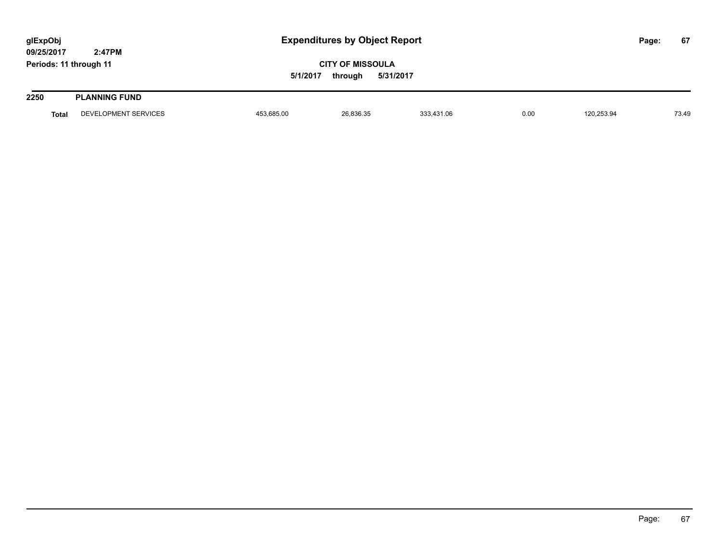| glExpObj<br>09/25/2017 | 2:47PM               |            | <b>Expenditures by Object Report</b>            |            |      |            |  | 67    |
|------------------------|----------------------|------------|-------------------------------------------------|------------|------|------------|--|-------|
| Periods: 11 through 11 |                      | 5/1/2017   | <b>CITY OF MISSOULA</b><br>5/31/2017<br>through |            |      |            |  |       |
| 2250                   | <b>PLANNING FUND</b> |            |                                                 |            |      |            |  |       |
| <b>Total</b>           | DEVELOPMENT SERVICES | 453,685.00 | 26,836.35                                       | 333,431.06 | 0.00 | 120,253.94 |  | 73.49 |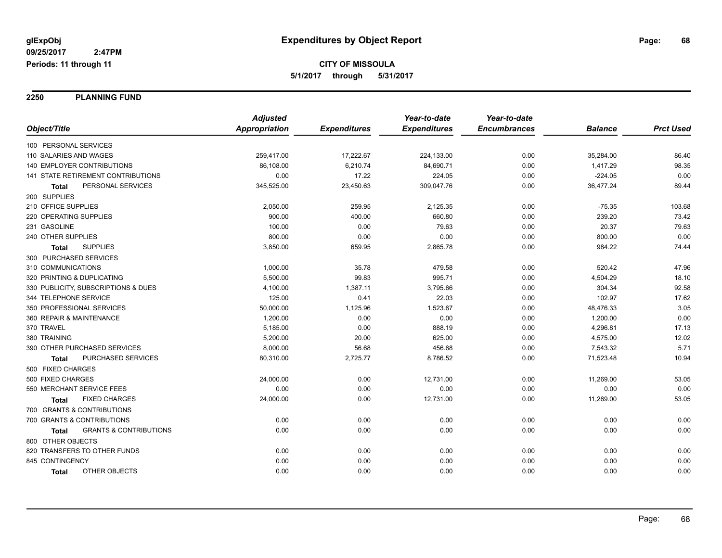**2250 PLANNING FUND**

|                                                   | <b>Adjusted</b> |                     | Year-to-date        | Year-to-date        |                |                  |
|---------------------------------------------------|-----------------|---------------------|---------------------|---------------------|----------------|------------------|
| Object/Title                                      | Appropriation   | <b>Expenditures</b> | <b>Expenditures</b> | <b>Encumbrances</b> | <b>Balance</b> | <b>Prct Used</b> |
| 100 PERSONAL SERVICES                             |                 |                     |                     |                     |                |                  |
| 110 SALARIES AND WAGES                            | 259,417.00      | 17,222.67           | 224,133.00          | 0.00                | 35,284.00      | 86.40            |
| <b>140 EMPLOYER CONTRIBUTIONS</b>                 | 86,108.00       | 6,210.74            | 84,690.71           | 0.00                | 1,417.29       | 98.35            |
| 141 STATE RETIREMENT CONTRIBUTIONS                | 0.00            | 17.22               | 224.05              | 0.00                | $-224.05$      | 0.00             |
| PERSONAL SERVICES<br><b>Total</b>                 | 345,525.00      | 23,450.63           | 309,047.76          | 0.00                | 36,477.24      | 89.44            |
| 200 SUPPLIES                                      |                 |                     |                     |                     |                |                  |
| 210 OFFICE SUPPLIES                               | 2,050.00        | 259.95              | 2,125.35            | 0.00                | $-75.35$       | 103.68           |
| 220 OPERATING SUPPLIES                            | 900.00          | 400.00              | 660.80              | 0.00                | 239.20         | 73.42            |
| 231 GASOLINE                                      | 100.00          | 0.00                | 79.63               | 0.00                | 20.37          | 79.63            |
| 240 OTHER SUPPLIES                                | 800.00          | 0.00                | 0.00                | 0.00                | 800.00         | 0.00             |
| <b>SUPPLIES</b><br>Total                          | 3,850.00        | 659.95              | 2,865.78            | 0.00                | 984.22         | 74.44            |
| 300 PURCHASED SERVICES                            |                 |                     |                     |                     |                |                  |
| 310 COMMUNICATIONS                                | 1,000.00        | 35.78               | 479.58              | 0.00                | 520.42         | 47.96            |
| 320 PRINTING & DUPLICATING                        | 5,500.00        | 99.83               | 995.71              | 0.00                | 4,504.29       | 18.10            |
| 330 PUBLICITY, SUBSCRIPTIONS & DUES               | 4,100.00        | 1,387.11            | 3,795.66            | 0.00                | 304.34         | 92.58            |
| 344 TELEPHONE SERVICE                             | 125.00          | 0.41                | 22.03               | 0.00                | 102.97         | 17.62            |
| 350 PROFESSIONAL SERVICES                         | 50,000.00       | 1,125.96            | 1,523.67            | 0.00                | 48,476.33      | 3.05             |
| 360 REPAIR & MAINTENANCE                          | 1,200.00        | 0.00                | 0.00                | 0.00                | 1,200.00       | 0.00             |
| 370 TRAVEL                                        | 5,185.00        | 0.00                | 888.19              | 0.00                | 4,296.81       | 17.13            |
| 380 TRAINING                                      | 5,200.00        | 20.00               | 625.00              | 0.00                | 4,575.00       | 12.02            |
| 390 OTHER PURCHASED SERVICES                      | 8,000.00        | 56.68               | 456.68              | 0.00                | 7,543.32       | 5.71             |
| PURCHASED SERVICES<br><b>Total</b>                | 80,310.00       | 2,725.77            | 8,786.52            | 0.00                | 71,523.48      | 10.94            |
| 500 FIXED CHARGES                                 |                 |                     |                     |                     |                |                  |
| 500 FIXED CHARGES                                 | 24,000.00       | 0.00                | 12,731.00           | 0.00                | 11,269.00      | 53.05            |
| 550 MERCHANT SERVICE FEES                         | 0.00            | 0.00                | 0.00                | 0.00                | 0.00           | 0.00             |
| <b>FIXED CHARGES</b><br>Total                     | 24,000.00       | 0.00                | 12,731.00           | 0.00                | 11,269.00      | 53.05            |
| 700 GRANTS & CONTRIBUTIONS                        |                 |                     |                     |                     |                |                  |
| 700 GRANTS & CONTRIBUTIONS                        | 0.00            | 0.00                | 0.00                | 0.00                | 0.00           | 0.00             |
| <b>GRANTS &amp; CONTRIBUTIONS</b><br><b>Total</b> | 0.00            | 0.00                | 0.00                | 0.00                | 0.00           | 0.00             |
| 800 OTHER OBJECTS                                 |                 |                     |                     |                     |                |                  |
| 820 TRANSFERS TO OTHER FUNDS                      | 0.00            | 0.00                | 0.00                | 0.00                | 0.00           | 0.00             |
| 845 CONTINGENCY                                   | 0.00            | 0.00                | 0.00                | 0.00                | 0.00           | 0.00             |
| OTHER OBJECTS<br><b>Total</b>                     | 0.00            | 0.00                | 0.00                | 0.00                | 0.00           | 0.00             |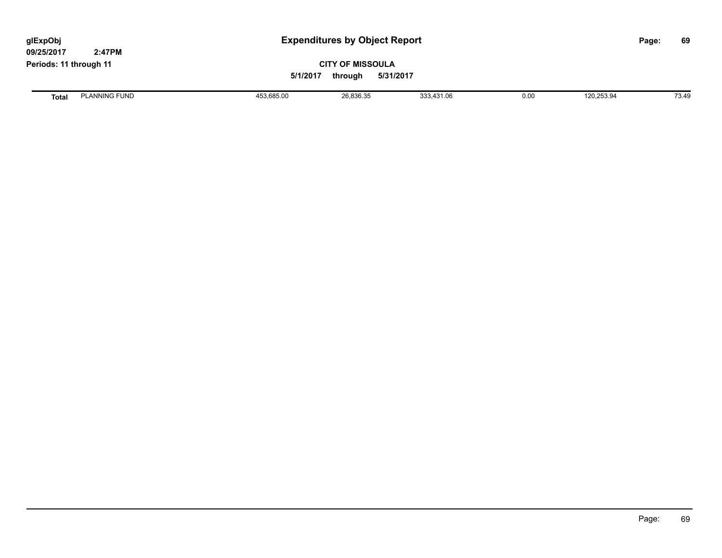| glExpObj<br>09/25/2017 | 2:47PM               |            | <b>Expenditures by Object Report</b>            |            |      |            |  | 69    |
|------------------------|----------------------|------------|-------------------------------------------------|------------|------|------------|--|-------|
| Periods: 11 through 11 |                      | 5/1/2017   | <b>CITY OF MISSOULA</b><br>5/31/2017<br>through |            |      |            |  |       |
| <b>Total</b>           | <b>PLANNING FUND</b> | 453,685.00 | 26,836.35                                       | 333,431.06 | 0.00 | 120,253.94 |  | 73.49 |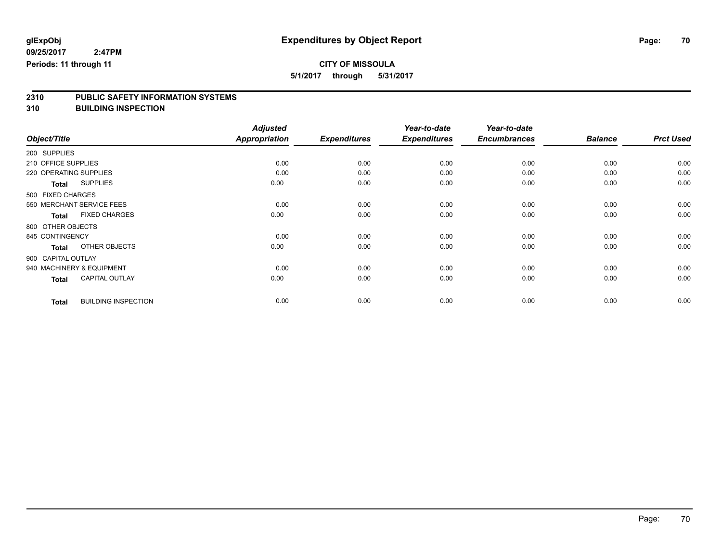**5/1/2017 through 5/31/2017**

# **2310 PUBLIC SAFETY INFORMATION SYSTEMS**

**310 BUILDING INSPECTION**

|                                            | <b>Adjusted</b> |                     | Year-to-date        | Year-to-date        |                |                  |
|--------------------------------------------|-----------------|---------------------|---------------------|---------------------|----------------|------------------|
| Object/Title                               | Appropriation   | <b>Expenditures</b> | <b>Expenditures</b> | <b>Encumbrances</b> | <b>Balance</b> | <b>Prct Used</b> |
| 200 SUPPLIES                               |                 |                     |                     |                     |                |                  |
| 210 OFFICE SUPPLIES                        | 0.00            | 0.00                | 0.00                | 0.00                | 0.00           | 0.00             |
| 220 OPERATING SUPPLIES                     | 0.00            | 0.00                | 0.00                | 0.00                | 0.00           | 0.00             |
| <b>SUPPLIES</b><br><b>Total</b>            | 0.00            | 0.00                | 0.00                | 0.00                | 0.00           | 0.00             |
| 500 FIXED CHARGES                          |                 |                     |                     |                     |                |                  |
| 550 MERCHANT SERVICE FEES                  | 0.00            | 0.00                | 0.00                | 0.00                | 0.00           | 0.00             |
| <b>FIXED CHARGES</b><br><b>Total</b>       | 0.00            | 0.00                | 0.00                | 0.00                | 0.00           | 0.00             |
| 800 OTHER OBJECTS                          |                 |                     |                     |                     |                |                  |
| 845 CONTINGENCY                            | 0.00            | 0.00                | 0.00                | 0.00                | 0.00           | 0.00             |
| OTHER OBJECTS<br><b>Total</b>              | 0.00            | 0.00                | 0.00                | 0.00                | 0.00           | 0.00             |
| 900 CAPITAL OUTLAY                         |                 |                     |                     |                     |                |                  |
| 940 MACHINERY & EQUIPMENT                  | 0.00            | 0.00                | 0.00                | 0.00                | 0.00           | 0.00             |
| <b>CAPITAL OUTLAY</b><br><b>Total</b>      | 0.00            | 0.00                | 0.00                | 0.00                | 0.00           | 0.00             |
| <b>BUILDING INSPECTION</b><br><b>Total</b> | 0.00            | 0.00                | 0.00                | 0.00                | 0.00           | 0.00             |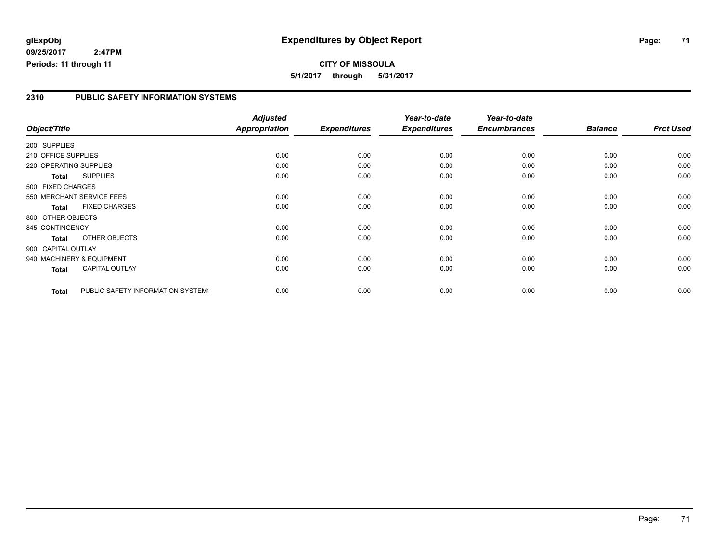### **2310 PUBLIC SAFETY INFORMATION SYSTEMS**

|                        |                                   | <b>Adjusted</b>      |                     | Year-to-date        | Year-to-date        |                |                  |
|------------------------|-----------------------------------|----------------------|---------------------|---------------------|---------------------|----------------|------------------|
| Object/Title           |                                   | <b>Appropriation</b> | <b>Expenditures</b> | <b>Expenditures</b> | <b>Encumbrances</b> | <b>Balance</b> | <b>Prct Used</b> |
| 200 SUPPLIES           |                                   |                      |                     |                     |                     |                |                  |
| 210 OFFICE SUPPLIES    |                                   | 0.00                 | 0.00                | 0.00                | 0.00                | 0.00           | 0.00             |
| 220 OPERATING SUPPLIES |                                   | 0.00                 | 0.00                | 0.00                | 0.00                | 0.00           | 0.00             |
| <b>Total</b>           | <b>SUPPLIES</b>                   | 0.00                 | 0.00                | 0.00                | 0.00                | 0.00           | 0.00             |
| 500 FIXED CHARGES      |                                   |                      |                     |                     |                     |                |                  |
|                        | 550 MERCHANT SERVICE FEES         | 0.00                 | 0.00                | 0.00                | 0.00                | 0.00           | 0.00             |
| <b>Total</b>           | <b>FIXED CHARGES</b>              | 0.00                 | 0.00                | 0.00                | 0.00                | 0.00           | 0.00             |
| 800 OTHER OBJECTS      |                                   |                      |                     |                     |                     |                |                  |
| 845 CONTINGENCY        |                                   | 0.00                 | 0.00                | 0.00                | 0.00                | 0.00           | 0.00             |
| <b>Total</b>           | OTHER OBJECTS                     | 0.00                 | 0.00                | 0.00                | 0.00                | 0.00           | 0.00             |
| 900 CAPITAL OUTLAY     |                                   |                      |                     |                     |                     |                |                  |
|                        | 940 MACHINERY & EQUIPMENT         | 0.00                 | 0.00                | 0.00                | 0.00                | 0.00           | 0.00             |
| Total                  | <b>CAPITAL OUTLAY</b>             | 0.00                 | 0.00                | 0.00                | 0.00                | 0.00           | 0.00             |
| <b>Total</b>           | PUBLIC SAFETY INFORMATION SYSTEM! | 0.00                 | 0.00                | 0.00                | 0.00                | 0.00           | 0.00             |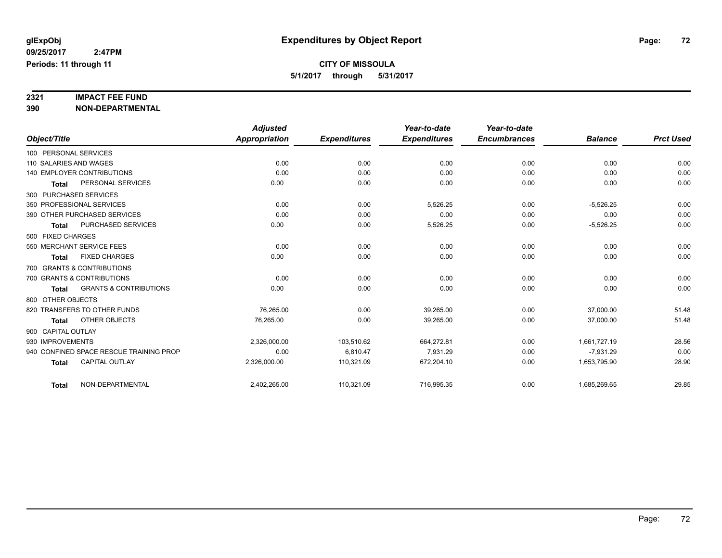# **2321 IMPACT FEE FUND**

**390 NON-DEPARTMENTAL**

|                                                   | <b>Adjusted</b>      |                     | Year-to-date        | Year-to-date        |                |                  |
|---------------------------------------------------|----------------------|---------------------|---------------------|---------------------|----------------|------------------|
| Object/Title                                      | <b>Appropriation</b> | <b>Expenditures</b> | <b>Expenditures</b> | <b>Encumbrances</b> | <b>Balance</b> | <b>Prct Used</b> |
| 100 PERSONAL SERVICES                             |                      |                     |                     |                     |                |                  |
| 110 SALARIES AND WAGES                            | 0.00                 | 0.00                | 0.00                | 0.00                | 0.00           | 0.00             |
| <b>140 EMPLOYER CONTRIBUTIONS</b>                 | 0.00                 | 0.00                | 0.00                | 0.00                | 0.00           | 0.00             |
| PERSONAL SERVICES<br><b>Total</b>                 | 0.00                 | 0.00                | 0.00                | 0.00                | 0.00           | 0.00             |
| 300 PURCHASED SERVICES                            |                      |                     |                     |                     |                |                  |
| 350 PROFESSIONAL SERVICES                         | 0.00                 | 0.00                | 5,526.25            | 0.00                | $-5,526.25$    | 0.00             |
| 390 OTHER PURCHASED SERVICES                      | 0.00                 | 0.00                | 0.00                | 0.00                | 0.00           | 0.00             |
| PURCHASED SERVICES<br><b>Total</b>                | 0.00                 | 0.00                | 5,526.25            | 0.00                | $-5,526.25$    | 0.00             |
| 500 FIXED CHARGES                                 |                      |                     |                     |                     |                |                  |
| 550 MERCHANT SERVICE FEES                         | 0.00                 | 0.00                | 0.00                | 0.00                | 0.00           | 0.00             |
| <b>FIXED CHARGES</b><br><b>Total</b>              | 0.00                 | 0.00                | 0.00                | 0.00                | 0.00           | 0.00             |
| 700 GRANTS & CONTRIBUTIONS                        |                      |                     |                     |                     |                |                  |
| 700 GRANTS & CONTRIBUTIONS                        | 0.00                 | 0.00                | 0.00                | 0.00                | 0.00           | 0.00             |
| <b>GRANTS &amp; CONTRIBUTIONS</b><br><b>Total</b> | 0.00                 | 0.00                | 0.00                | 0.00                | 0.00           | 0.00             |
| 800 OTHER OBJECTS                                 |                      |                     |                     |                     |                |                  |
| 820 TRANSFERS TO OTHER FUNDS                      | 76.265.00            | 0.00                | 39.265.00           | 0.00                | 37.000.00      | 51.48            |
| OTHER OBJECTS<br><b>Total</b>                     | 76,265.00            | 0.00                | 39,265.00           | 0.00                | 37,000.00      | 51.48            |
| 900 CAPITAL OUTLAY                                |                      |                     |                     |                     |                |                  |
| 930 IMPROVEMENTS                                  | 2,326,000.00         | 103,510.62          | 664,272.81          | 0.00                | 1,661,727.19   | 28.56            |
| 940 CONFINED SPACE RESCUE TRAINING PROP           | 0.00                 | 6,810.47            | 7,931.29            | 0.00                | $-7,931.29$    | 0.00             |
| <b>CAPITAL OUTLAY</b><br><b>Total</b>             | 2,326,000.00         | 110,321.09          | 672,204.10          | 0.00                | 1,653,795.90   | 28.90            |
|                                                   |                      |                     |                     |                     |                |                  |
| NON-DEPARTMENTAL<br><b>Total</b>                  | 2,402,265.00         | 110,321.09          | 716,995.35          | 0.00                | 1,685,269.65   | 29.85            |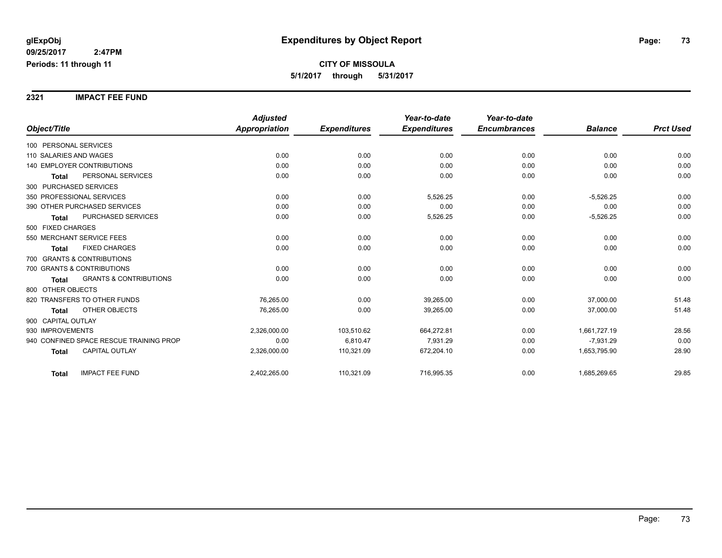**2321 IMPACT FEE FUND**

|                                                   | <b>Adjusted</b>      |                     | Year-to-date        | Year-to-date        |                |                  |
|---------------------------------------------------|----------------------|---------------------|---------------------|---------------------|----------------|------------------|
| Object/Title                                      | <b>Appropriation</b> | <b>Expenditures</b> | <b>Expenditures</b> | <b>Encumbrances</b> | <b>Balance</b> | <b>Prct Used</b> |
| 100 PERSONAL SERVICES                             |                      |                     |                     |                     |                |                  |
| 110 SALARIES AND WAGES                            | 0.00                 | 0.00                | 0.00                | 0.00                | 0.00           | 0.00             |
| <b>140 EMPLOYER CONTRIBUTIONS</b>                 | 0.00                 | 0.00                | 0.00                | 0.00                | 0.00           | 0.00             |
| PERSONAL SERVICES<br><b>Total</b>                 | 0.00                 | 0.00                | 0.00                | 0.00                | 0.00           | 0.00             |
| 300 PURCHASED SERVICES                            |                      |                     |                     |                     |                |                  |
| 350 PROFESSIONAL SERVICES                         | 0.00                 | 0.00                | 5,526.25            | 0.00                | $-5,526.25$    | 0.00             |
| 390 OTHER PURCHASED SERVICES                      | 0.00                 | 0.00                | 0.00                | 0.00                | 0.00           | 0.00             |
| PURCHASED SERVICES<br><b>Total</b>                | 0.00                 | 0.00                | 5,526.25            | 0.00                | $-5,526.25$    | 0.00             |
| 500 FIXED CHARGES                                 |                      |                     |                     |                     |                |                  |
| 550 MERCHANT SERVICE FEES                         | 0.00                 | 0.00                | 0.00                | 0.00                | 0.00           | 0.00             |
| <b>FIXED CHARGES</b><br><b>Total</b>              | 0.00                 | 0.00                | 0.00                | 0.00                | 0.00           | 0.00             |
| 700 GRANTS & CONTRIBUTIONS                        |                      |                     |                     |                     |                |                  |
| 700 GRANTS & CONTRIBUTIONS                        | 0.00                 | 0.00                | 0.00                | 0.00                | 0.00           | 0.00             |
| <b>GRANTS &amp; CONTRIBUTIONS</b><br><b>Total</b> | 0.00                 | 0.00                | 0.00                | 0.00                | 0.00           | 0.00             |
| 800 OTHER OBJECTS                                 |                      |                     |                     |                     |                |                  |
| 820 TRANSFERS TO OTHER FUNDS                      | 76,265.00            | 0.00                | 39,265.00           | 0.00                | 37,000.00      | 51.48            |
| OTHER OBJECTS<br><b>Total</b>                     | 76,265.00            | 0.00                | 39,265.00           | 0.00                | 37,000.00      | 51.48            |
| 900 CAPITAL OUTLAY                                |                      |                     |                     |                     |                |                  |
| 930 IMPROVEMENTS                                  | 2,326,000.00         | 103,510.62          | 664,272.81          | 0.00                | 1,661,727.19   | 28.56            |
| 940 CONFINED SPACE RESCUE TRAINING PROP           | 0.00                 | 6,810.47            | 7,931.29            | 0.00                | $-7,931.29$    | 0.00             |
| CAPITAL OUTLAY<br><b>Total</b>                    | 2,326,000.00         | 110,321.09          | 672,204.10          | 0.00                | 1,653,795.90   | 28.90            |
| <b>IMPACT FEE FUND</b><br><b>Total</b>            | 2,402,265.00         | 110,321.09          | 716,995.35          | 0.00                | 1,685,269.65   | 29.85            |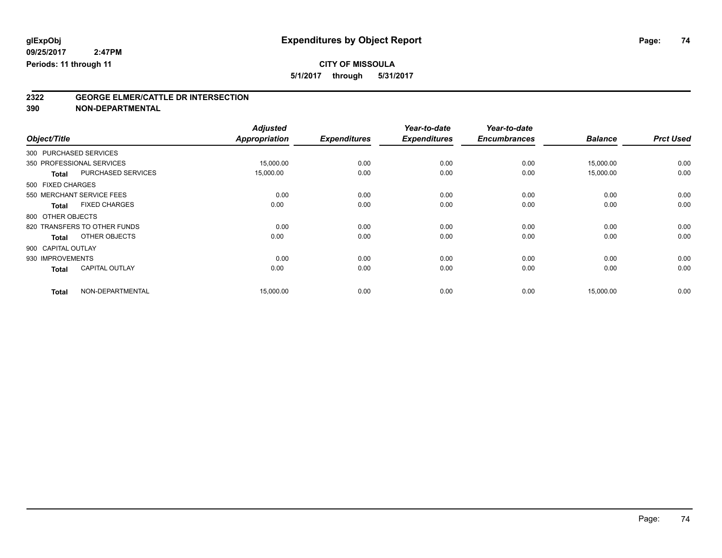**5/1/2017 through 5/31/2017**

# **2322 GEORGE ELMER/CATTLE DR INTERSECTION**

**390 NON-DEPARTMENTAL**

| Object/Title |                                       | <b>Adjusted</b><br><b>Appropriation</b> | <b>Expenditures</b> | Year-to-date<br><b>Expenditures</b> | Year-to-date<br><b>Encumbrances</b> | <b>Balance</b> | <b>Prct Used</b> |
|--------------|---------------------------------------|-----------------------------------------|---------------------|-------------------------------------|-------------------------------------|----------------|------------------|
|              | 300 PURCHASED SERVICES                |                                         |                     |                                     |                                     |                |                  |
|              |                                       |                                         |                     |                                     |                                     |                |                  |
|              | 350 PROFESSIONAL SERVICES             | 15,000.00                               | 0.00                | 0.00                                | 0.00                                | 15,000.00      | 0.00             |
|              | PURCHASED SERVICES<br><b>Total</b>    | 15,000.00                               | 0.00                | 0.00                                | 0.00                                | 15,000.00      | 0.00             |
|              | 500 FIXED CHARGES                     |                                         |                     |                                     |                                     |                |                  |
|              | 550 MERCHANT SERVICE FEES             | 0.00                                    | 0.00                | 0.00                                | 0.00                                | 0.00           | 0.00             |
|              | <b>FIXED CHARGES</b><br><b>Total</b>  | 0.00                                    | 0.00                | 0.00                                | 0.00                                | 0.00           | 0.00             |
|              | 800 OTHER OBJECTS                     |                                         |                     |                                     |                                     |                |                  |
|              | 820 TRANSFERS TO OTHER FUNDS          | 0.00                                    | 0.00                | 0.00                                | 0.00                                | 0.00           | 0.00             |
|              | OTHER OBJECTS<br><b>Total</b>         | 0.00                                    | 0.00                | 0.00                                | 0.00                                | 0.00           | 0.00             |
|              | 900 CAPITAL OUTLAY                    |                                         |                     |                                     |                                     |                |                  |
|              | 930 IMPROVEMENTS                      | 0.00                                    | 0.00                | 0.00                                | 0.00                                | 0.00           | 0.00             |
|              | <b>CAPITAL OUTLAY</b><br><b>Total</b> | 0.00                                    | 0.00                | 0.00                                | 0.00                                | 0.00           | 0.00             |
| <b>Total</b> | NON-DEPARTMENTAL                      | 15,000.00                               | 0.00                | 0.00                                | 0.00                                | 15,000.00      | 0.00             |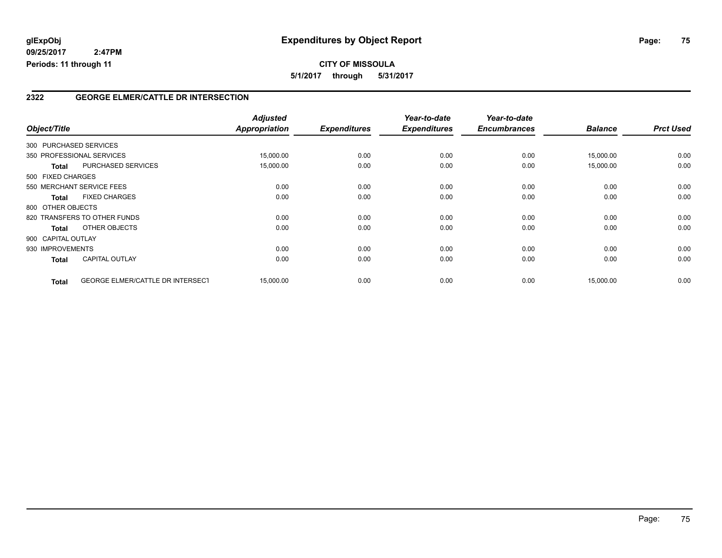### **2322 GEORGE ELMER/CATTLE DR INTERSECTION**

|                    |                                         | <b>Adjusted</b> |                     | Year-to-date        | Year-to-date        |                |                  |
|--------------------|-----------------------------------------|-----------------|---------------------|---------------------|---------------------|----------------|------------------|
| Object/Title       |                                         | Appropriation   | <b>Expenditures</b> | <b>Expenditures</b> | <b>Encumbrances</b> | <b>Balance</b> | <b>Prct Used</b> |
|                    | 300 PURCHASED SERVICES                  |                 |                     |                     |                     |                |                  |
|                    | 350 PROFESSIONAL SERVICES               | 15,000.00       | 0.00                | 0.00                | 0.00                | 15,000.00      | 0.00             |
| <b>Total</b>       | PURCHASED SERVICES                      | 15,000.00       | 0.00                | 0.00                | 0.00                | 15,000.00      | 0.00             |
| 500 FIXED CHARGES  |                                         |                 |                     |                     |                     |                |                  |
|                    | 550 MERCHANT SERVICE FEES               | 0.00            | 0.00                | 0.00                | 0.00                | 0.00           | 0.00             |
| Total              | <b>FIXED CHARGES</b>                    | 0.00            | 0.00                | 0.00                | 0.00                | 0.00           | 0.00             |
| 800 OTHER OBJECTS  |                                         |                 |                     |                     |                     |                |                  |
|                    | 820 TRANSFERS TO OTHER FUNDS            | 0.00            | 0.00                | 0.00                | 0.00                | 0.00           | 0.00             |
| Total              | OTHER OBJECTS                           | 0.00            | 0.00                | 0.00                | 0.00                | 0.00           | 0.00             |
| 900 CAPITAL OUTLAY |                                         |                 |                     |                     |                     |                |                  |
| 930 IMPROVEMENTS   |                                         | 0.00            | 0.00                | 0.00                | 0.00                | 0.00           | 0.00             |
| <b>Total</b>       | <b>CAPITAL OUTLAY</b>                   | 0.00            | 0.00                | 0.00                | 0.00                | 0.00           | 0.00             |
| <b>Total</b>       | <b>GEORGE ELMER/CATTLE DR INTERSECT</b> | 15,000.00       | 0.00                | 0.00                | 0.00                | 15,000.00      | 0.00             |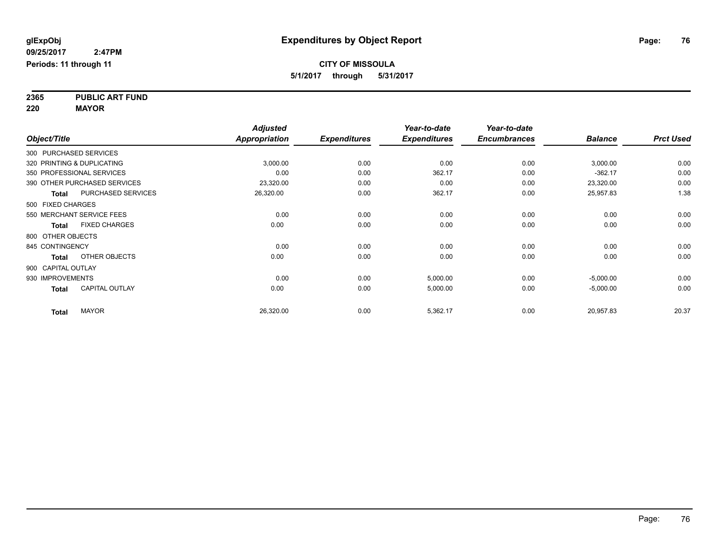**2365 PUBLIC ART FUND 220 MAYOR**

|              |                                       | <b>Adjusted</b>      |                     | Year-to-date        | Year-to-date        |                |                  |
|--------------|---------------------------------------|----------------------|---------------------|---------------------|---------------------|----------------|------------------|
| Object/Title |                                       | <b>Appropriation</b> | <b>Expenditures</b> | <b>Expenditures</b> | <b>Encumbrances</b> | <b>Balance</b> | <b>Prct Used</b> |
|              | 300 PURCHASED SERVICES                |                      |                     |                     |                     |                |                  |
|              | 320 PRINTING & DUPLICATING            | 3,000.00             | 0.00                | 0.00                | 0.00                | 3,000.00       | 0.00             |
|              | 350 PROFESSIONAL SERVICES             | 0.00                 | 0.00                | 362.17              | 0.00                | $-362.17$      | 0.00             |
|              | 390 OTHER PURCHASED SERVICES          | 23,320.00            | 0.00                | 0.00                | 0.00                | 23,320.00      | 0.00             |
|              | PURCHASED SERVICES<br><b>Total</b>    | 26,320.00            | 0.00                | 362.17              | 0.00                | 25,957.83      | 1.38             |
|              | 500 FIXED CHARGES                     |                      |                     |                     |                     |                |                  |
|              | 550 MERCHANT SERVICE FEES             | 0.00                 | 0.00                | 0.00                | 0.00                | 0.00           | 0.00             |
|              | <b>FIXED CHARGES</b><br><b>Total</b>  | 0.00                 | 0.00                | 0.00                | 0.00                | 0.00           | 0.00             |
|              | 800 OTHER OBJECTS                     |                      |                     |                     |                     |                |                  |
|              | 845 CONTINGENCY                       | 0.00                 | 0.00                | 0.00                | 0.00                | 0.00           | 0.00             |
|              | OTHER OBJECTS<br><b>Total</b>         | 0.00                 | 0.00                | 0.00                | 0.00                | 0.00           | 0.00             |
|              | 900 CAPITAL OUTLAY                    |                      |                     |                     |                     |                |                  |
|              | 930 IMPROVEMENTS                      | 0.00                 | 0.00                | 5,000.00            | 0.00                | $-5,000.00$    | 0.00             |
|              | <b>CAPITAL OUTLAY</b><br><b>Total</b> | 0.00                 | 0.00                | 5,000.00            | 0.00                | $-5,000.00$    | 0.00             |
|              | <b>MAYOR</b><br><b>Total</b>          | 26,320.00            | 0.00                | 5,362.17            | 0.00                | 20,957.83      | 20.37            |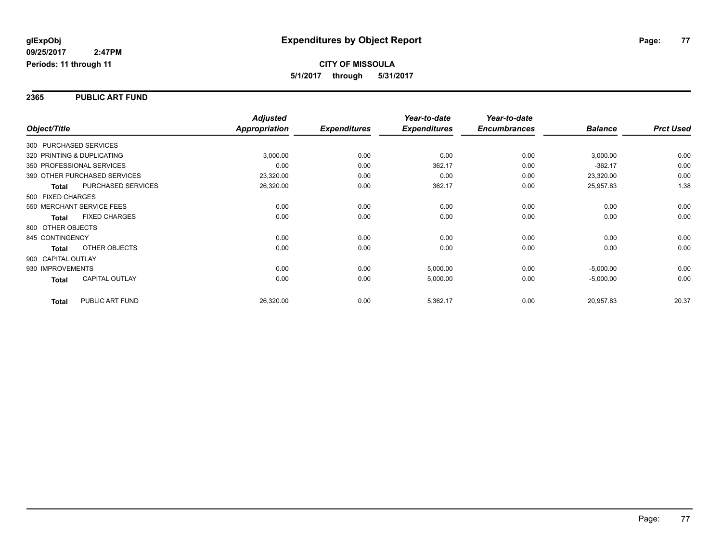#### **2365 PUBLIC ART FUND**

|                    |                              | <b>Adjusted</b>      |                     | Year-to-date        | Year-to-date        |                |                  |
|--------------------|------------------------------|----------------------|---------------------|---------------------|---------------------|----------------|------------------|
| Object/Title       |                              | <b>Appropriation</b> | <b>Expenditures</b> | <b>Expenditures</b> | <b>Encumbrances</b> | <b>Balance</b> | <b>Prct Used</b> |
|                    | 300 PURCHASED SERVICES       |                      |                     |                     |                     |                |                  |
|                    | 320 PRINTING & DUPLICATING   | 3,000.00             | 0.00                | 0.00                | 0.00                | 3,000.00       | 0.00             |
|                    | 350 PROFESSIONAL SERVICES    | 0.00                 | 0.00                | 362.17              | 0.00                | $-362.17$      | 0.00             |
|                    | 390 OTHER PURCHASED SERVICES | 23,320.00            | 0.00                | 0.00                | 0.00                | 23,320.00      | 0.00             |
| <b>Total</b>       | <b>PURCHASED SERVICES</b>    | 26,320.00            | 0.00                | 362.17              | 0.00                | 25,957.83      | 1.38             |
| 500 FIXED CHARGES  |                              |                      |                     |                     |                     |                |                  |
|                    | 550 MERCHANT SERVICE FEES    | 0.00                 | 0.00                | 0.00                | 0.00                | 0.00           | 0.00             |
| <b>Total</b>       | <b>FIXED CHARGES</b>         | 0.00                 | 0.00                | 0.00                | 0.00                | 0.00           | 0.00             |
| 800 OTHER OBJECTS  |                              |                      |                     |                     |                     |                |                  |
| 845 CONTINGENCY    |                              | 0.00                 | 0.00                | 0.00                | 0.00                | 0.00           | 0.00             |
| Total              | <b>OTHER OBJECTS</b>         | 0.00                 | 0.00                | 0.00                | 0.00                | 0.00           | 0.00             |
| 900 CAPITAL OUTLAY |                              |                      |                     |                     |                     |                |                  |
| 930 IMPROVEMENTS   |                              | 0.00                 | 0.00                | 5,000.00            | 0.00                | $-5,000.00$    | 0.00             |
| Total              | <b>CAPITAL OUTLAY</b>        | 0.00                 | 0.00                | 5,000.00            | 0.00                | $-5,000.00$    | 0.00             |
| <b>Total</b>       | PUBLIC ART FUND              | 26,320.00            | 0.00                | 5,362.17            | 0.00                | 20,957.83      | 20.37            |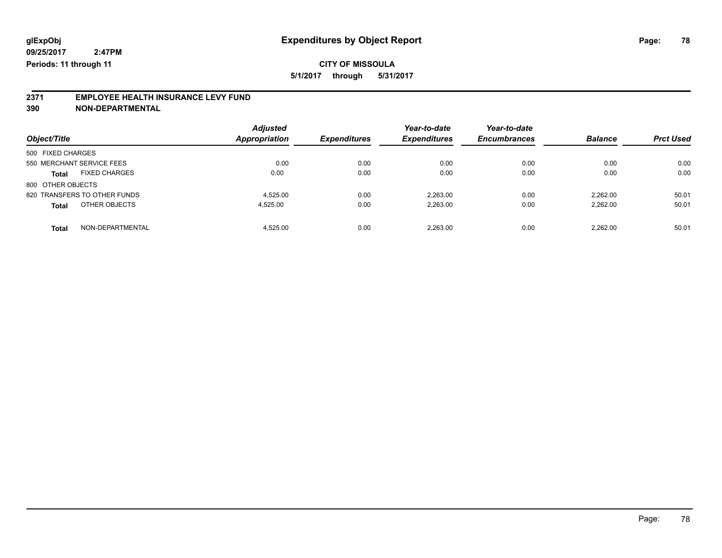**5/1/2017 through 5/31/2017**

# **2371 EMPLOYEE HEALTH INSURANCE LEVY FUND**

**390 NON-DEPARTMENTAL**

| Object/Title                     | <b>Adjusted</b><br><b>Appropriation</b> | <b>Expenditures</b> | Year-to-date<br><b>Expenditures</b> | Year-to-date<br><b>Encumbrances</b> | <b>Balance</b> | <b>Prct Used</b> |
|----------------------------------|-----------------------------------------|---------------------|-------------------------------------|-------------------------------------|----------------|------------------|
| 500 FIXED CHARGES                |                                         |                     |                                     |                                     |                |                  |
| 550 MERCHANT SERVICE FEES        | 0.00                                    | 0.00                | 0.00                                | 0.00                                | 0.00           | 0.00             |
| <b>FIXED CHARGES</b><br>Total    | 0.00                                    | 0.00                | 0.00                                | 0.00                                | 0.00           | 0.00             |
| 800 OTHER OBJECTS                |                                         |                     |                                     |                                     |                |                  |
| 820 TRANSFERS TO OTHER FUNDS     | 4.525.00                                | 0.00                | 2.263.00                            | 0.00                                | 2.262.00       | 50.01            |
| OTHER OBJECTS<br><b>Total</b>    | 4.525.00                                | 0.00                | 2,263.00                            | 0.00                                | 2.262.00       | 50.01            |
| NON-DEPARTMENTAL<br><b>Total</b> | 4.525.00                                | 0.00                | 2.263.00                            | 0.00                                | 2.262.00       | 50.01            |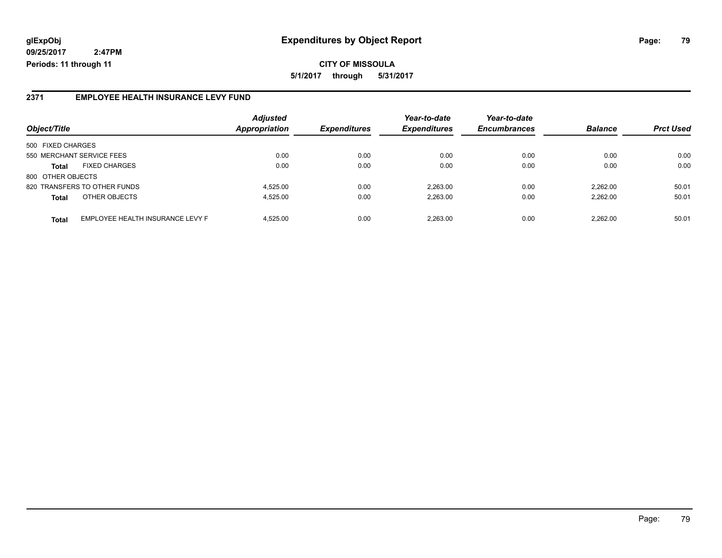**CITY OF MISSOULA 5/1/2017 through 5/31/2017**

### **2371 EMPLOYEE HEALTH INSURANCE LEVY FUND**

|                                                  | <b>Adjusted</b>      |                     | Year-to-date        | Year-to-date        | <b>Balance</b> |                  |
|--------------------------------------------------|----------------------|---------------------|---------------------|---------------------|----------------|------------------|
| Object/Title                                     | <b>Appropriation</b> | <b>Expenditures</b> | <b>Expenditures</b> | <b>Encumbrances</b> |                | <b>Prct Used</b> |
| 500 FIXED CHARGES                                |                      |                     |                     |                     |                |                  |
| 550 MERCHANT SERVICE FEES                        | 0.00                 | 0.00                | 0.00                | 0.00                | 0.00           | 0.00             |
| <b>FIXED CHARGES</b><br><b>Total</b>             | 0.00                 | 0.00                | 0.00                | 0.00                | 0.00           | 0.00             |
| 800 OTHER OBJECTS                                |                      |                     |                     |                     |                |                  |
| 820 TRANSFERS TO OTHER FUNDS                     | 4.525.00             | 0.00                | 2.263.00            | 0.00                | 2.262.00       | 50.01            |
| OTHER OBJECTS<br><b>Total</b>                    | 4.525.00             | 0.00                | 2.263.00            | 0.00                | 2.262.00       | 50.01            |
| EMPLOYEE HEALTH INSURANCE LEVY F<br><b>Total</b> | 4.525.00             | 0.00                | 2.263.00            | 0.00                | 2.262.00       | 50.01            |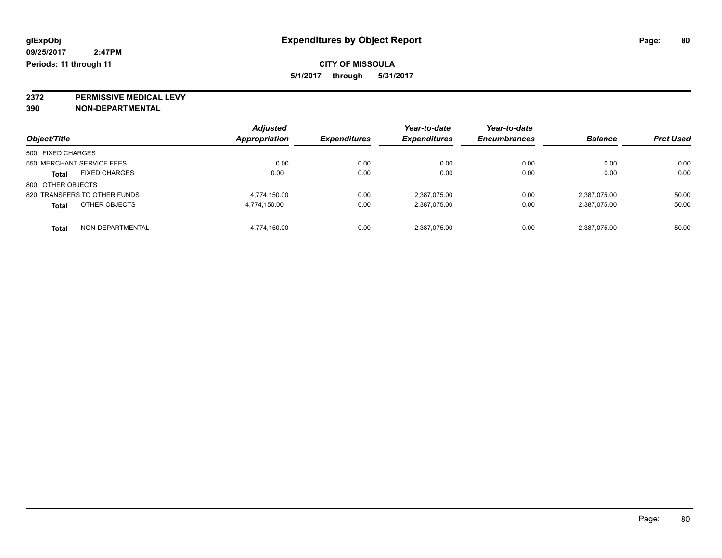**2372 PERMISSIVE MEDICAL LEVY**

**390 NON-DEPARTMENTAL**

| Object/Title                         | <b>Adjusted</b><br>Appropriation | <b>Expenditures</b> | Year-to-date<br><b>Expenditures</b> | Year-to-date<br><b>Encumbrances</b> | <b>Balance</b> | <b>Prct Used</b> |
|--------------------------------------|----------------------------------|---------------------|-------------------------------------|-------------------------------------|----------------|------------------|
|                                      |                                  |                     |                                     |                                     |                |                  |
| 500 FIXED CHARGES                    |                                  |                     |                                     |                                     |                |                  |
| 550 MERCHANT SERVICE FEES            | 0.00                             | 0.00                | 0.00                                | 0.00                                | 0.00           | 0.00             |
| <b>FIXED CHARGES</b><br><b>Total</b> | 0.00                             | 0.00                | 0.00                                | 0.00                                | 0.00           | 0.00             |
| 800 OTHER OBJECTS                    |                                  |                     |                                     |                                     |                |                  |
| 820 TRANSFERS TO OTHER FUNDS         | 4.774.150.00                     | 0.00                | 2,387,075.00                        | 0.00                                | 2,387,075.00   | 50.00            |
| OTHER OBJECTS<br>Total               | 4,774,150.00                     | 0.00                | 2,387,075.00                        | 0.00                                | 2,387,075.00   | 50.00            |
| NON-DEPARTMENTAL<br><b>Total</b>     | 4.774.150.00                     | 0.00                | 2,387,075.00                        | 0.00                                | 2,387,075.00   | 50.00            |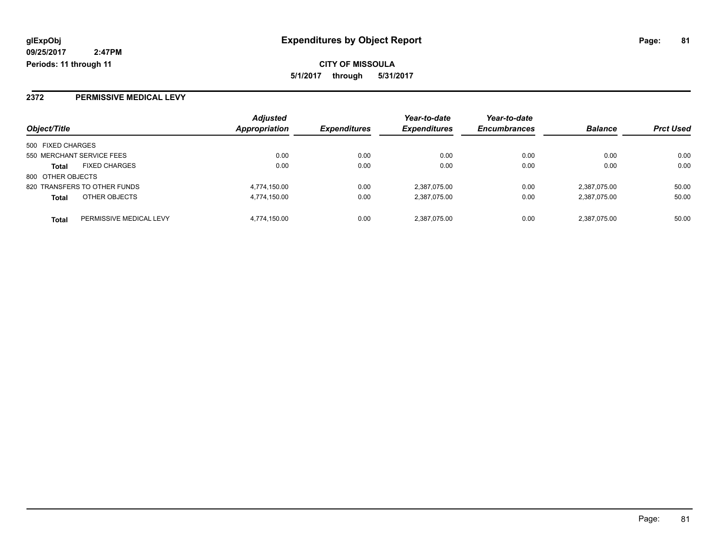## **2372 PERMISSIVE MEDICAL LEVY**

|                                         | <b>Adjusted</b> |                     | Year-to-date        | Year-to-date        |                |                  |
|-----------------------------------------|-----------------|---------------------|---------------------|---------------------|----------------|------------------|
| Object/Title                            | Appropriation   | <b>Expenditures</b> | <b>Expenditures</b> | <b>Encumbrances</b> | <b>Balance</b> | <b>Prct Used</b> |
| 500 FIXED CHARGES                       |                 |                     |                     |                     |                |                  |
| 550 MERCHANT SERVICE FEES               | 0.00            | 0.00                | 0.00                | 0.00                | 0.00           | 0.00             |
| <b>FIXED CHARGES</b><br><b>Total</b>    | 0.00            | 0.00                | 0.00                | 0.00                | 0.00           | 0.00             |
| 800 OTHER OBJECTS                       |                 |                     |                     |                     |                |                  |
| 820 TRANSFERS TO OTHER FUNDS            | 4,774,150.00    | 0.00                | 2,387,075.00        | 0.00                | 2,387,075.00   | 50.00            |
| OTHER OBJECTS<br><b>Total</b>           | 4,774,150.00    | 0.00                | 2,387,075.00        | 0.00                | 2,387,075.00   | 50.00            |
| PERMISSIVE MEDICAL LEVY<br><b>Total</b> | 4.774.150.00    | 0.00                | 2.387.075.00        | 0.00                | 2.387.075.00   | 50.00            |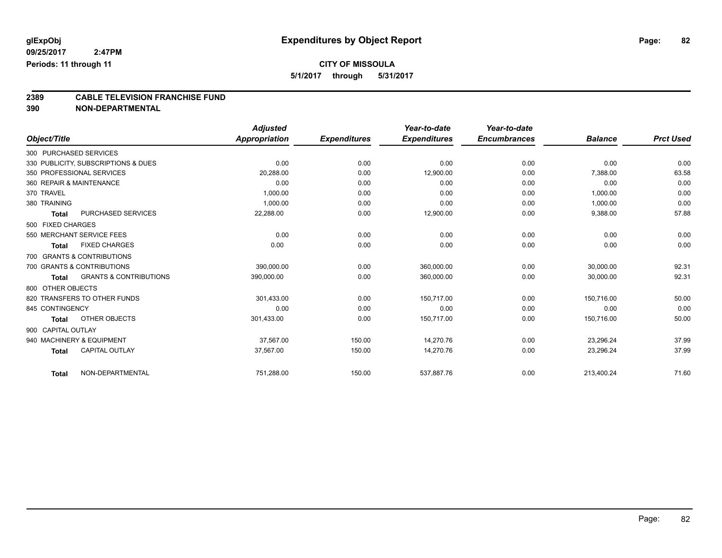**5/1/2017 through 5/31/2017**

# **2389 CABLE TELEVISION FRANCHISE FUND**

**390 NON-DEPARTMENTAL**

|                        |                                     | <b>Adjusted</b> |                     | Year-to-date        | Year-to-date        |                |                  |
|------------------------|-------------------------------------|-----------------|---------------------|---------------------|---------------------|----------------|------------------|
| Object/Title           |                                     | Appropriation   | <b>Expenditures</b> | <b>Expenditures</b> | <b>Encumbrances</b> | <b>Balance</b> | <b>Prct Used</b> |
| 300 PURCHASED SERVICES |                                     |                 |                     |                     |                     |                |                  |
|                        | 330 PUBLICITY, SUBSCRIPTIONS & DUES | 0.00            | 0.00                | 0.00                | 0.00                | 0.00           | 0.00             |
|                        | 350 PROFESSIONAL SERVICES           | 20,288.00       | 0.00                | 12,900.00           | 0.00                | 7,388.00       | 63.58            |
|                        | 360 REPAIR & MAINTENANCE            | 0.00            | 0.00                | 0.00                | 0.00                | 0.00           | 0.00             |
| 370 TRAVEL             |                                     | 1,000.00        | 0.00                | 0.00                | 0.00                | 1,000.00       | 0.00             |
| 380 TRAINING           |                                     | 1,000.00        | 0.00                | 0.00                | 0.00                | 1,000.00       | 0.00             |
| <b>Total</b>           | PURCHASED SERVICES                  | 22,288.00       | 0.00                | 12,900.00           | 0.00                | 9,388.00       | 57.88            |
| 500 FIXED CHARGES      |                                     |                 |                     |                     |                     |                |                  |
|                        | 550 MERCHANT SERVICE FEES           | 0.00            | 0.00                | 0.00                | 0.00                | 0.00           | 0.00             |
| <b>Total</b>           | <b>FIXED CHARGES</b>                | 0.00            | 0.00                | 0.00                | 0.00                | 0.00           | 0.00             |
|                        | 700 GRANTS & CONTRIBUTIONS          |                 |                     |                     |                     |                |                  |
|                        | 700 GRANTS & CONTRIBUTIONS          | 390,000.00      | 0.00                | 360,000.00          | 0.00                | 30,000.00      | 92.31            |
| <b>Total</b>           | <b>GRANTS &amp; CONTRIBUTIONS</b>   | 390,000.00      | 0.00                | 360,000.00          | 0.00                | 30,000.00      | 92.31            |
| 800 OTHER OBJECTS      |                                     |                 |                     |                     |                     |                |                  |
|                        | 820 TRANSFERS TO OTHER FUNDS        | 301,433.00      | 0.00                | 150,717.00          | 0.00                | 150,716.00     | 50.00            |
| 845 CONTINGENCY        |                                     | 0.00            | 0.00                | 0.00                | 0.00                | 0.00           | 0.00             |
| <b>Total</b>           | OTHER OBJECTS                       | 301,433.00      | 0.00                | 150,717.00          | 0.00                | 150,716.00     | 50.00            |
| 900 CAPITAL OUTLAY     |                                     |                 |                     |                     |                     |                |                  |
|                        | 940 MACHINERY & EQUIPMENT           | 37,567.00       | 150.00              | 14,270.76           | 0.00                | 23,296.24      | 37.99            |
| <b>Total</b>           | <b>CAPITAL OUTLAY</b>               | 37,567.00       | 150.00              | 14,270.76           | 0.00                | 23,296.24      | 37.99            |
| <b>Total</b>           | NON-DEPARTMENTAL                    | 751,288.00      | 150.00              | 537,887.76          | 0.00                | 213,400.24     | 71.60            |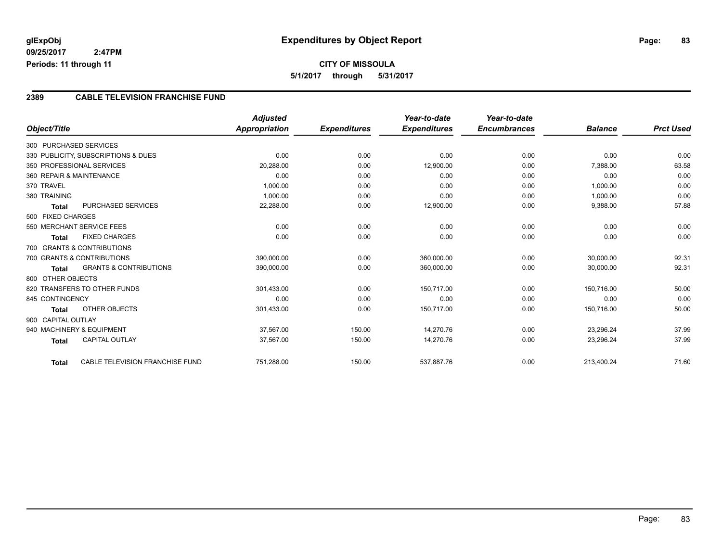## **CITY OF MISSOULA 5/1/2017 through 5/31/2017**

### **2389 CABLE TELEVISION FRANCHISE FUND**

|                                       |                                   | <b>Adjusted</b> |                     | Year-to-date        | Year-to-date        |                |                  |
|---------------------------------------|-----------------------------------|-----------------|---------------------|---------------------|---------------------|----------------|------------------|
| Object/Title                          |                                   | Appropriation   | <b>Expenditures</b> | <b>Expenditures</b> | <b>Encumbrances</b> | <b>Balance</b> | <b>Prct Used</b> |
| 300 PURCHASED SERVICES                |                                   |                 |                     |                     |                     |                |                  |
| 330 PUBLICITY, SUBSCRIPTIONS & DUES   |                                   | 0.00            | 0.00                | 0.00                | 0.00                | 0.00           | 0.00             |
| 350 PROFESSIONAL SERVICES             |                                   | 20,288.00       | 0.00                | 12,900.00           | 0.00                | 7,388.00       | 63.58            |
| 360 REPAIR & MAINTENANCE              |                                   | 0.00            | 0.00                | 0.00                | 0.00                | 0.00           | 0.00             |
| 370 TRAVEL                            |                                   | 1,000.00        | 0.00                | 0.00                | 0.00                | 1,000.00       | 0.00             |
| 380 TRAINING                          |                                   | 1,000.00        | 0.00                | 0.00                | 0.00                | 1,000.00       | 0.00             |
| Total                                 | PURCHASED SERVICES                | 22,288.00       | 0.00                | 12,900.00           | 0.00                | 9,388.00       | 57.88            |
| 500 FIXED CHARGES                     |                                   |                 |                     |                     |                     |                |                  |
| 550 MERCHANT SERVICE FEES             |                                   | 0.00            | 0.00                | 0.00                | 0.00                | 0.00           | 0.00             |
| <b>FIXED CHARGES</b><br>Total         |                                   | 0.00            | 0.00                | 0.00                | 0.00                | 0.00           | 0.00             |
| 700 GRANTS & CONTRIBUTIONS            |                                   |                 |                     |                     |                     |                |                  |
| 700 GRANTS & CONTRIBUTIONS            |                                   | 390,000.00      | 0.00                | 360,000.00          | 0.00                | 30,000.00      | 92.31            |
| Total                                 | <b>GRANTS &amp; CONTRIBUTIONS</b> | 390,000.00      | 0.00                | 360,000.00          | 0.00                | 30,000.00      | 92.31            |
| 800 OTHER OBJECTS                     |                                   |                 |                     |                     |                     |                |                  |
| 820 TRANSFERS TO OTHER FUNDS          |                                   | 301,433.00      | 0.00                | 150,717.00          | 0.00                | 150,716.00     | 50.00            |
| 845 CONTINGENCY                       |                                   | 0.00            | 0.00                | 0.00                | 0.00                | 0.00           | 0.00             |
| <b>Total</b>                          | OTHER OBJECTS                     | 301,433.00      | 0.00                | 150,717.00          | 0.00                | 150,716.00     | 50.00            |
| 900 CAPITAL OUTLAY                    |                                   |                 |                     |                     |                     |                |                  |
| 940 MACHINERY & EQUIPMENT             |                                   | 37,567.00       | 150.00              | 14,270.76           | 0.00                | 23,296.24      | 37.99            |
| <b>CAPITAL OUTLAY</b><br><b>Total</b> |                                   | 37,567.00       | 150.00              | 14,270.76           | 0.00                | 23,296.24      | 37.99            |
| <b>Total</b>                          | CABLE TELEVISION FRANCHISE FUND   | 751,288.00      | 150.00              | 537,887.76          | 0.00                | 213,400.24     | 71.60            |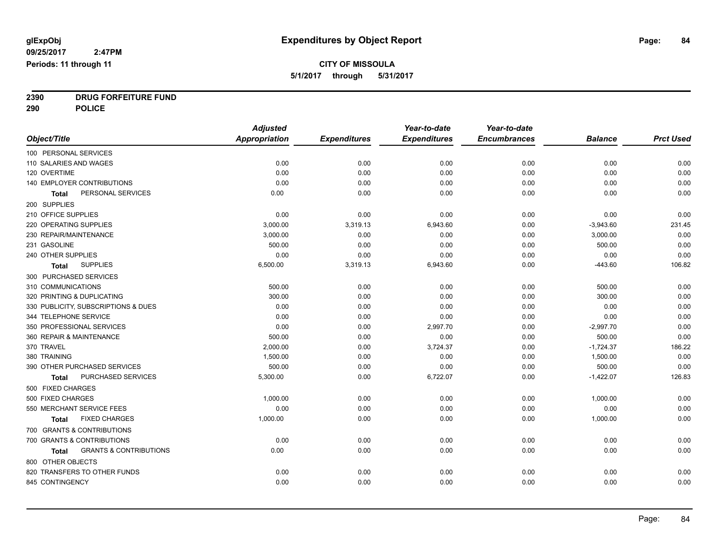**2390 DRUG FORFEITURE FUND**

**290 POLICE**

|                                                   | <b>Adjusted</b>      |                     | Year-to-date        | Year-to-date        |                |                  |
|---------------------------------------------------|----------------------|---------------------|---------------------|---------------------|----------------|------------------|
| Object/Title                                      | <b>Appropriation</b> | <b>Expenditures</b> | <b>Expenditures</b> | <b>Encumbrances</b> | <b>Balance</b> | <b>Prct Used</b> |
| 100 PERSONAL SERVICES                             |                      |                     |                     |                     |                |                  |
| 110 SALARIES AND WAGES                            | 0.00                 | 0.00                | 0.00                | 0.00                | 0.00           | 0.00             |
| 120 OVERTIME                                      | 0.00                 | 0.00                | 0.00                | 0.00                | 0.00           | 0.00             |
| 140 EMPLOYER CONTRIBUTIONS                        | 0.00                 | 0.00                | 0.00                | 0.00                | 0.00           | 0.00             |
| PERSONAL SERVICES<br>Total                        | 0.00                 | 0.00                | 0.00                | 0.00                | 0.00           | 0.00             |
| 200 SUPPLIES                                      |                      |                     |                     |                     |                |                  |
| 210 OFFICE SUPPLIES                               | 0.00                 | 0.00                | 0.00                | 0.00                | 0.00           | 0.00             |
| 220 OPERATING SUPPLIES                            | 3,000.00             | 3,319.13            | 6,943.60            | 0.00                | $-3,943.60$    | 231.45           |
| 230 REPAIR/MAINTENANCE                            | 3,000.00             | 0.00                | 0.00                | 0.00                | 3,000.00       | 0.00             |
| 231 GASOLINE                                      | 500.00               | 0.00                | 0.00                | 0.00                | 500.00         | 0.00             |
| 240 OTHER SUPPLIES                                | 0.00                 | 0.00                | 0.00                | 0.00                | 0.00           | 0.00             |
| <b>SUPPLIES</b><br>Total                          | 6,500.00             | 3,319.13            | 6,943.60            | 0.00                | $-443.60$      | 106.82           |
| 300 PURCHASED SERVICES                            |                      |                     |                     |                     |                |                  |
| 310 COMMUNICATIONS                                | 500.00               | 0.00                | 0.00                | 0.00                | 500.00         | 0.00             |
| 320 PRINTING & DUPLICATING                        | 300.00               | 0.00                | 0.00                | 0.00                | 300.00         | 0.00             |
| 330 PUBLICITY, SUBSCRIPTIONS & DUES               | 0.00                 | 0.00                | 0.00                | 0.00                | 0.00           | 0.00             |
| 344 TELEPHONE SERVICE                             | 0.00                 | 0.00                | 0.00                | 0.00                | 0.00           | 0.00             |
| 350 PROFESSIONAL SERVICES                         | 0.00                 | 0.00                | 2,997.70            | 0.00                | $-2,997.70$    | 0.00             |
| 360 REPAIR & MAINTENANCE                          | 500.00               | 0.00                | 0.00                | 0.00                | 500.00         | 0.00             |
| 370 TRAVEL                                        | 2,000.00             | 0.00                | 3,724.37            | 0.00                | $-1,724.37$    | 186.22           |
| 380 TRAINING                                      | 1,500.00             | 0.00                | 0.00                | 0.00                | 1,500.00       | 0.00             |
| 390 OTHER PURCHASED SERVICES                      | 500.00               | 0.00                | 0.00                | 0.00                | 500.00         | 0.00             |
| PURCHASED SERVICES<br><b>Total</b>                | 5,300.00             | 0.00                | 6,722.07            | 0.00                | $-1,422.07$    | 126.83           |
| 500 FIXED CHARGES                                 |                      |                     |                     |                     |                |                  |
| 500 FIXED CHARGES                                 | 1,000.00             | 0.00                | 0.00                | 0.00                | 1,000.00       | 0.00             |
| 550 MERCHANT SERVICE FEES                         | 0.00                 | 0.00                | 0.00                | 0.00                | 0.00           | 0.00             |
| <b>FIXED CHARGES</b><br><b>Total</b>              | 1,000.00             | 0.00                | 0.00                | 0.00                | 1,000.00       | 0.00             |
| 700 GRANTS & CONTRIBUTIONS                        |                      |                     |                     |                     |                |                  |
| 700 GRANTS & CONTRIBUTIONS                        | 0.00                 | 0.00                | 0.00                | 0.00                | 0.00           | 0.00             |
| <b>GRANTS &amp; CONTRIBUTIONS</b><br><b>Total</b> | 0.00                 | 0.00                | 0.00                | 0.00                | 0.00           | 0.00             |
| 800 OTHER OBJECTS                                 |                      |                     |                     |                     |                |                  |
| 820 TRANSFERS TO OTHER FUNDS                      | 0.00                 | 0.00                | 0.00                | 0.00                | 0.00           | 0.00             |
| 845 CONTINGENCY                                   | 0.00                 | 0.00                | 0.00                | 0.00                | 0.00           | 0.00             |
|                                                   |                      |                     |                     |                     |                |                  |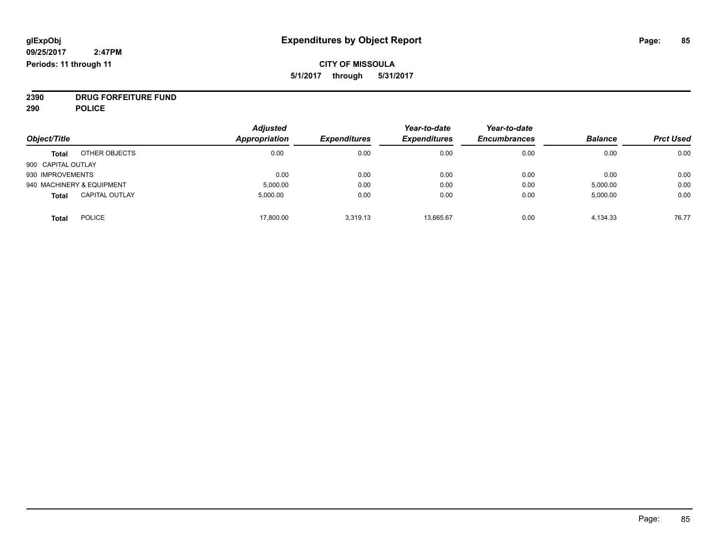## **CITY OF MISSOULA 5/1/2017 through 5/31/2017**

**2390 DRUG FORFEITURE FUND**

**290 POLICE**

|                    |                           | <b>Adjusted</b>      |                     | Year-to-date        | Year-to-date        |                |                  |
|--------------------|---------------------------|----------------------|---------------------|---------------------|---------------------|----------------|------------------|
| Object/Title       |                           | <b>Appropriation</b> | <b>Expenditures</b> | <b>Expenditures</b> | <b>Encumbrances</b> | <b>Balance</b> | <b>Prct Used</b> |
| <b>Total</b>       | OTHER OBJECTS             | 0.00                 | 0.00                | 0.00                | 0.00                | 0.00           | 0.00             |
| 900 CAPITAL OUTLAY |                           |                      |                     |                     |                     |                |                  |
| 930 IMPROVEMENTS   |                           | 0.00                 | 0.00                | 0.00                | 0.00                | 0.00           | 0.00             |
|                    | 940 MACHINERY & EQUIPMENT | 5,000.00             | 0.00                | 0.00                | 0.00                | 5,000.00       | 0.00             |
| <b>Total</b>       | <b>CAPITAL OUTLAY</b>     | 5.000.00             | 0.00                | 0.00                | 0.00                | 5,000.00       | 0.00             |
| <b>Total</b>       | <b>POLICE</b>             | 17,800.00            | 3.319.13            | 13.665.67           | 0.00                | 4,134.33       | 76.77            |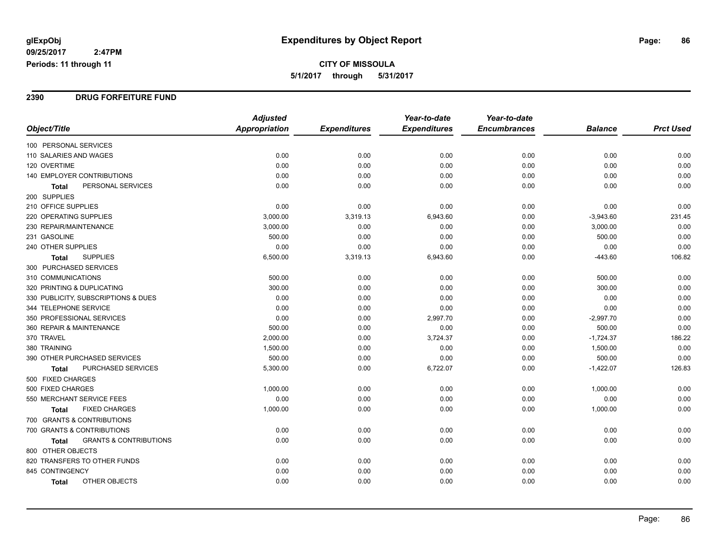#### **2390 DRUG FORFEITURE FUND**

|                                            | <b>Adjusted</b> |                     | Year-to-date        | Year-to-date        |                |                  |
|--------------------------------------------|-----------------|---------------------|---------------------|---------------------|----------------|------------------|
| Object/Title                               | Appropriation   | <b>Expenditures</b> | <b>Expenditures</b> | <b>Encumbrances</b> | <b>Balance</b> | <b>Prct Used</b> |
| 100 PERSONAL SERVICES                      |                 |                     |                     |                     |                |                  |
| 110 SALARIES AND WAGES                     | 0.00            | 0.00                | 0.00                | 0.00                | 0.00           | 0.00             |
| 120 OVERTIME                               | 0.00            | 0.00                | 0.00                | 0.00                | 0.00           | 0.00             |
| 140 EMPLOYER CONTRIBUTIONS                 | 0.00            | 0.00                | 0.00                | 0.00                | 0.00           | 0.00             |
| PERSONAL SERVICES<br><b>Total</b>          | 0.00            | 0.00                | 0.00                | 0.00                | 0.00           | 0.00             |
| 200 SUPPLIES                               |                 |                     |                     |                     |                |                  |
| 210 OFFICE SUPPLIES                        | 0.00            | 0.00                | 0.00                | 0.00                | 0.00           | 0.00             |
| 220 OPERATING SUPPLIES                     | 3,000.00        | 3,319.13            | 6,943.60            | 0.00                | $-3,943.60$    | 231.45           |
| 230 REPAIR/MAINTENANCE                     | 3,000.00        | 0.00                | 0.00                | 0.00                | 3,000.00       | 0.00             |
| 231 GASOLINE                               | 500.00          | 0.00                | 0.00                | 0.00                | 500.00         | 0.00             |
| 240 OTHER SUPPLIES                         | 0.00            | 0.00                | 0.00                | 0.00                | 0.00           | 0.00             |
| <b>SUPPLIES</b><br><b>Total</b>            | 6,500.00        | 3,319.13            | 6,943.60            | 0.00                | $-443.60$      | 106.82           |
| 300 PURCHASED SERVICES                     |                 |                     |                     |                     |                |                  |
| 310 COMMUNICATIONS                         | 500.00          | 0.00                | 0.00                | 0.00                | 500.00         | 0.00             |
| 320 PRINTING & DUPLICATING                 | 300.00          | 0.00                | 0.00                | 0.00                | 300.00         | 0.00             |
| 330 PUBLICITY, SUBSCRIPTIONS & DUES        | 0.00            | 0.00                | 0.00                | 0.00                | 0.00           | 0.00             |
| 344 TELEPHONE SERVICE                      | 0.00            | 0.00                | 0.00                | 0.00                | 0.00           | 0.00             |
| 350 PROFESSIONAL SERVICES                  | 0.00            | 0.00                | 2,997.70            | 0.00                | $-2,997.70$    | 0.00             |
| 360 REPAIR & MAINTENANCE                   | 500.00          | 0.00                | 0.00                | 0.00                | 500.00         | 0.00             |
| 370 TRAVEL                                 | 2,000.00        | 0.00                | 3,724.37            | 0.00                | $-1,724.37$    | 186.22           |
| 380 TRAINING                               | 1,500.00        | 0.00                | 0.00                | 0.00                | 1,500.00       | 0.00             |
| 390 OTHER PURCHASED SERVICES               | 500.00          | 0.00                | 0.00                | 0.00                | 500.00         | 0.00             |
| <b>PURCHASED SERVICES</b><br>Total         | 5,300.00        | 0.00                | 6,722.07            | 0.00                | $-1,422.07$    | 126.83           |
| 500 FIXED CHARGES                          |                 |                     |                     |                     |                |                  |
| 500 FIXED CHARGES                          | 1,000.00        | 0.00                | 0.00                | 0.00                | 1,000.00       | 0.00             |
| 550 MERCHANT SERVICE FEES                  | 0.00            | 0.00                | 0.00                | 0.00                | 0.00           | 0.00             |
| <b>FIXED CHARGES</b><br>Total              | 1,000.00        | 0.00                | 0.00                | 0.00                | 1,000.00       | 0.00             |
| 700 GRANTS & CONTRIBUTIONS                 |                 |                     |                     |                     |                |                  |
| 700 GRANTS & CONTRIBUTIONS                 | 0.00            | 0.00                | 0.00                | 0.00                | 0.00           | 0.00             |
| <b>GRANTS &amp; CONTRIBUTIONS</b><br>Total | 0.00            | 0.00                | 0.00                | 0.00                | 0.00           | 0.00             |
| 800 OTHER OBJECTS                          |                 |                     |                     |                     |                |                  |
| 820 TRANSFERS TO OTHER FUNDS               | 0.00            | 0.00                | 0.00                | 0.00                | 0.00           | 0.00             |
| 845 CONTINGENCY                            | 0.00            | 0.00                | 0.00                | 0.00                | 0.00           | 0.00             |
| OTHER OBJECTS<br>Total                     | 0.00            | 0.00                | 0.00                | 0.00                | 0.00           | 0.00             |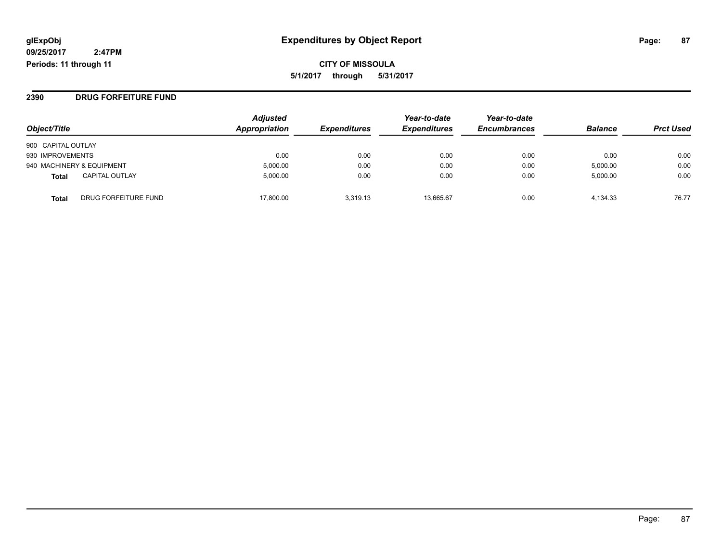**CITY OF MISSOULA 5/1/2017 through 5/31/2017**

### **2390 DRUG FORFEITURE FUND**

| Object/Title              |                       | <b>Adjusted</b><br>Appropriation | <b>Expenditures</b> | Year-to-date<br><b>Expenditures</b> | Year-to-date<br><b>Encumbrances</b> | <b>Balance</b> | <b>Prct Used</b> |
|---------------------------|-----------------------|----------------------------------|---------------------|-------------------------------------|-------------------------------------|----------------|------------------|
| 900 CAPITAL OUTLAY        |                       |                                  |                     |                                     |                                     |                |                  |
| 930 IMPROVEMENTS          |                       | 0.00                             | 0.00                | 0.00                                | 0.00                                | 0.00           | 0.00             |
| 940 MACHINERY & EQUIPMENT |                       | 5,000.00                         | 0.00                | 0.00                                | 0.00                                | 5,000.00       | 0.00             |
| Total                     | <b>CAPITAL OUTLAY</b> | 5.000.00                         | 0.00                | 0.00                                | 0.00                                | 5,000.00       | 0.00             |
| <b>Total</b>              | DRUG FORFEITURE FUND  | 17.800.00                        | 3.319.13            | 13.665.67                           | 0.00                                | 4.134.33       | 76.77            |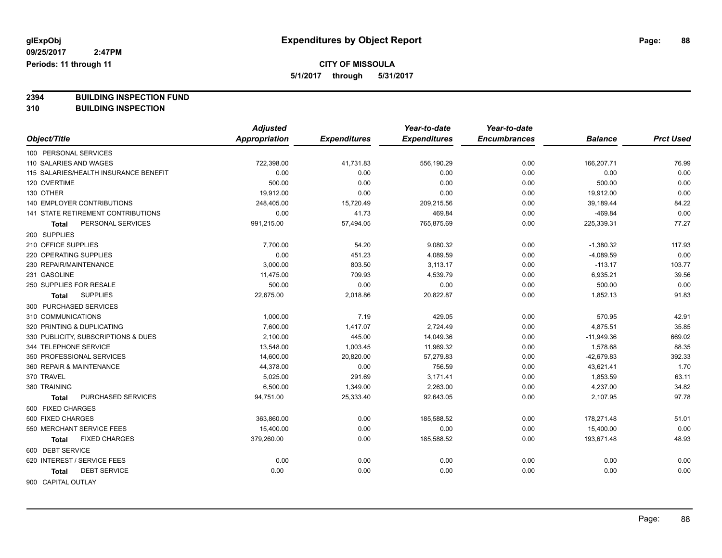**5/1/2017 through 5/31/2017**

**2394 BUILDING INSPECTION FUND**

**310 BUILDING INSPECTION**

|                                       | <b>Adjusted</b>      |                     | Year-to-date        | Year-to-date        |                |                  |
|---------------------------------------|----------------------|---------------------|---------------------|---------------------|----------------|------------------|
| Object/Title                          | <b>Appropriation</b> | <b>Expenditures</b> | <b>Expenditures</b> | <b>Encumbrances</b> | <b>Balance</b> | <b>Prct Used</b> |
| 100 PERSONAL SERVICES                 |                      |                     |                     |                     |                |                  |
| 110 SALARIES AND WAGES                | 722,398.00           | 41,731.83           | 556,190.29          | 0.00                | 166,207.71     | 76.99            |
| 115 SALARIES/HEALTH INSURANCE BENEFIT | 0.00                 | 0.00                | 0.00                | 0.00                | 0.00           | 0.00             |
| 120 OVERTIME                          | 500.00               | 0.00                | 0.00                | 0.00                | 500.00         | 0.00             |
| 130 OTHER                             | 19,912.00            | 0.00                | 0.00                | 0.00                | 19,912.00      | 0.00             |
| 140 EMPLOYER CONTRIBUTIONS            | 248,405.00           | 15,720.49           | 209,215.56          | 0.00                | 39,189.44      | 84.22            |
| 141 STATE RETIREMENT CONTRIBUTIONS    | 0.00                 | 41.73               | 469.84              | 0.00                | $-469.84$      | 0.00             |
| PERSONAL SERVICES<br><b>Total</b>     | 991,215.00           | 57,494.05           | 765,875.69          | 0.00                | 225,339.31     | 77.27            |
| 200 SUPPLIES                          |                      |                     |                     |                     |                |                  |
| 210 OFFICE SUPPLIES                   | 7,700.00             | 54.20               | 9,080.32            | 0.00                | $-1,380.32$    | 117.93           |
| 220 OPERATING SUPPLIES                | 0.00                 | 451.23              | 4,089.59            | 0.00                | $-4,089.59$    | 0.00             |
| 230 REPAIR/MAINTENANCE                | 3,000.00             | 803.50              | 3,113.17            | 0.00                | $-113.17$      | 103.77           |
| 231 GASOLINE                          | 11,475.00            | 709.93              | 4,539.79            | 0.00                | 6,935.21       | 39.56            |
| 250 SUPPLIES FOR RESALE               | 500.00               | 0.00                | 0.00                | 0.00                | 500.00         | 0.00             |
| <b>SUPPLIES</b><br><b>Total</b>       | 22,675.00            | 2,018.86            | 20,822.87           | 0.00                | 1,852.13       | 91.83            |
| 300 PURCHASED SERVICES                |                      |                     |                     |                     |                |                  |
| 310 COMMUNICATIONS                    | 1,000.00             | 7.19                | 429.05              | 0.00                | 570.95         | 42.91            |
| 320 PRINTING & DUPLICATING            | 7,600.00             | 1,417.07            | 2,724.49            | 0.00                | 4,875.51       | 35.85            |
| 330 PUBLICITY, SUBSCRIPTIONS & DUES   | 2,100.00             | 445.00              | 14,049.36           | 0.00                | $-11,949.36$   | 669.02           |
| 344 TELEPHONE SERVICE                 | 13,548.00            | 1,003.45            | 11,969.32           | 0.00                | 1,578.68       | 88.35            |
| 350 PROFESSIONAL SERVICES             | 14,600.00            | 20,820.00           | 57,279.83           | 0.00                | $-42,679.83$   | 392.33           |
| 360 REPAIR & MAINTENANCE              | 44,378.00            | 0.00                | 756.59              | 0.00                | 43,621.41      | 1.70             |
| 370 TRAVEL                            | 5,025.00             | 291.69              | 3,171.41            | 0.00                | 1,853.59       | 63.11            |
| 380 TRAINING                          | 6,500.00             | 1,349.00            | 2,263.00            | 0.00                | 4,237.00       | 34.82            |
| PURCHASED SERVICES<br><b>Total</b>    | 94,751.00            | 25,333.40           | 92,643.05           | 0.00                | 2,107.95       | 97.78            |
| 500 FIXED CHARGES                     |                      |                     |                     |                     |                |                  |
| 500 FIXED CHARGES                     | 363,860.00           | 0.00                | 185,588.52          | 0.00                | 178,271.48     | 51.01            |
| 550 MERCHANT SERVICE FEES             | 15,400.00            | 0.00                | 0.00                | 0.00                | 15,400.00      | 0.00             |
| <b>FIXED CHARGES</b><br><b>Total</b>  | 379,260.00           | 0.00                | 185,588.52          | 0.00                | 193,671.48     | 48.93            |
| 600 DEBT SERVICE                      |                      |                     |                     |                     |                |                  |
| 620 INTEREST / SERVICE FEES           | 0.00                 | 0.00                | 0.00                | 0.00                | 0.00           | 0.00             |
| <b>DEBT SERVICE</b><br><b>Total</b>   | 0.00                 | 0.00                | 0.00                | 0.00                | 0.00           | 0.00             |
| 900 CAPITAL OUTLAY                    |                      |                     |                     |                     |                |                  |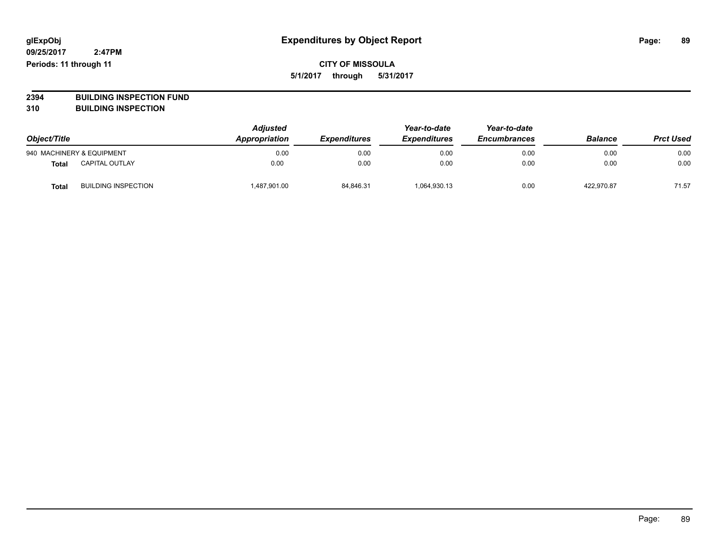**2394 BUILDING INSPECTION FUND**

**310 BUILDING INSPECTION**

| Object/Title |                            | <b>Adjusted</b><br>Appropriation | <b>Expenditures</b> | Year-to-date<br><b>Expenditures</b> | Year-to-date<br><b>Encumbrances</b> | <b>Balance</b> | <b>Prct Used</b> |
|--------------|----------------------------|----------------------------------|---------------------|-------------------------------------|-------------------------------------|----------------|------------------|
|              | 940 MACHINERY & EQUIPMENT  | 0.00                             | 0.00                | 0.00                                | 0.00                                | 0.00           | 0.00             |
| <b>Total</b> | <b>CAPITAL OUTLAY</b>      | 0.00                             | 0.00                | 0.00                                | 0.00                                | 0.00           | 0.00             |
| Tota         | <b>BUILDING INSPECTION</b> | 487,901.00                       | 84,846.31           | 1,064,930.13                        | 0.00                                | 422.970.87     | 71.57            |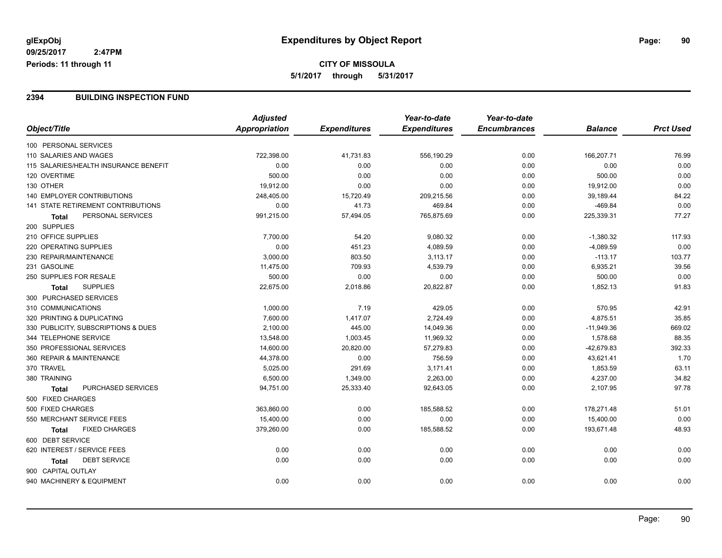### **2394 BUILDING INSPECTION FUND**

|                                           | <b>Adjusted</b> |                     | Year-to-date        | Year-to-date        |                |                  |
|-------------------------------------------|-----------------|---------------------|---------------------|---------------------|----------------|------------------|
| Object/Title                              | Appropriation   | <b>Expenditures</b> | <b>Expenditures</b> | <b>Encumbrances</b> | <b>Balance</b> | <b>Prct Used</b> |
| 100 PERSONAL SERVICES                     |                 |                     |                     |                     |                |                  |
| 110 SALARIES AND WAGES                    | 722,398.00      | 41,731.83           | 556,190.29          | 0.00                | 166,207.71     | 76.99            |
| 115 SALARIES/HEALTH INSURANCE BENEFIT     | 0.00            | 0.00                | 0.00                | 0.00                | 0.00           | 0.00             |
| 120 OVERTIME                              | 500.00          | 0.00                | 0.00                | 0.00                | 500.00         | 0.00             |
| 130 OTHER                                 | 19,912.00       | 0.00                | 0.00                | 0.00                | 19,912.00      | 0.00             |
| 140 EMPLOYER CONTRIBUTIONS                | 248,405.00      | 15,720.49           | 209,215.56          | 0.00                | 39,189.44      | 84.22            |
| <b>141 STATE RETIREMENT CONTRIBUTIONS</b> | 0.00            | 41.73               | 469.84              | 0.00                | $-469.84$      | 0.00             |
| PERSONAL SERVICES<br>Total                | 991,215.00      | 57,494.05           | 765,875.69          | 0.00                | 225,339.31     | 77.27            |
| 200 SUPPLIES                              |                 |                     |                     |                     |                |                  |
| 210 OFFICE SUPPLIES                       | 7,700.00        | 54.20               | 9,080.32            | 0.00                | $-1,380.32$    | 117.93           |
| <b>220 OPERATING SUPPLIES</b>             | 0.00            | 451.23              | 4,089.59            | 0.00                | $-4,089.59$    | 0.00             |
| 230 REPAIR/MAINTENANCE                    | 3,000.00        | 803.50              | 3,113.17            | 0.00                | $-113.17$      | 103.77           |
| 231 GASOLINE                              | 11,475.00       | 709.93              | 4,539.79            | 0.00                | 6,935.21       | 39.56            |
| 250 SUPPLIES FOR RESALE                   | 500.00          | 0.00                | 0.00                | 0.00                | 500.00         | 0.00             |
| <b>SUPPLIES</b><br><b>Total</b>           | 22,675.00       | 2,018.86            | 20,822.87           | 0.00                | 1,852.13       | 91.83            |
| 300 PURCHASED SERVICES                    |                 |                     |                     |                     |                |                  |
| 310 COMMUNICATIONS                        | 1,000.00        | 7.19                | 429.05              | 0.00                | 570.95         | 42.91            |
| 320 PRINTING & DUPLICATING                | 7,600.00        | 1,417.07            | 2,724.49            | 0.00                | 4,875.51       | 35.85            |
| 330 PUBLICITY, SUBSCRIPTIONS & DUES       | 2,100.00        | 445.00              | 14,049.36           | 0.00                | $-11,949.36$   | 669.02           |
| 344 TELEPHONE SERVICE                     | 13,548.00       | 1,003.45            | 11,969.32           | 0.00                | 1,578.68       | 88.35            |
| 350 PROFESSIONAL SERVICES                 | 14,600.00       | 20,820.00           | 57,279.83           | 0.00                | $-42,679.83$   | 392.33           |
| 360 REPAIR & MAINTENANCE                  | 44,378.00       | 0.00                | 756.59              | 0.00                | 43,621.41      | 1.70             |
| 370 TRAVEL                                | 5,025.00        | 291.69              | 3,171.41            | 0.00                | 1,853.59       | 63.11            |
| 380 TRAINING                              | 6,500.00        | 1,349.00            | 2,263.00            | 0.00                | 4,237.00       | 34.82            |
| PURCHASED SERVICES<br><b>Total</b>        | 94,751.00       | 25,333.40           | 92,643.05           | 0.00                | 2,107.95       | 97.78            |
| 500 FIXED CHARGES                         |                 |                     |                     |                     |                |                  |
| 500 FIXED CHARGES                         | 363,860.00      | 0.00                | 185,588.52          | 0.00                | 178,271.48     | 51.01            |
| 550 MERCHANT SERVICE FEES                 | 15,400.00       | 0.00                | 0.00                | 0.00                | 15,400.00      | 0.00             |
| <b>FIXED CHARGES</b><br><b>Total</b>      | 379,260.00      | 0.00                | 185,588.52          | 0.00                | 193,671.48     | 48.93            |
| 600 DEBT SERVICE                          |                 |                     |                     |                     |                |                  |
| 620 INTEREST / SERVICE FEES               | 0.00            | 0.00                | 0.00                | 0.00                | 0.00           | 0.00             |
| <b>DEBT SERVICE</b><br>Total              | 0.00            | 0.00                | 0.00                | 0.00                | 0.00           | 0.00             |
| 900 CAPITAL OUTLAY                        |                 |                     |                     |                     |                |                  |
| 940 MACHINERY & EQUIPMENT                 | 0.00            | 0.00                | 0.00                | 0.00                | 0.00           | 0.00             |
|                                           |                 |                     |                     |                     |                |                  |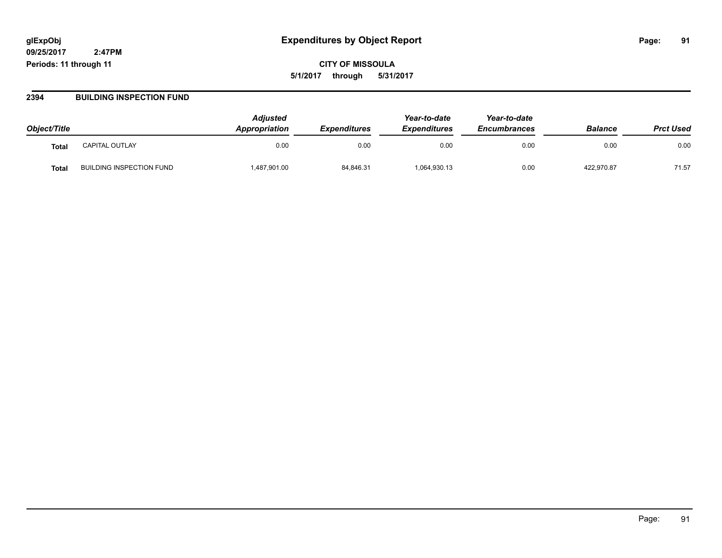**CITY OF MISSOULA 5/1/2017 through 5/31/2017**

#### **2394 BUILDING INSPECTION FUND**

| Object/Title      |                                 | <b>Adjusted</b><br><b>Appropriation</b> | <b>Expenditures</b> | Year-to-date<br><b>Expenditures</b> | Year-to-date<br><b>Encumbrances</b> | <b>Balance</b> | <b>Prct Used</b> |
|-------------------|---------------------------------|-----------------------------------------|---------------------|-------------------------------------|-------------------------------------|----------------|------------------|
| Tota <sub>l</sub> | <b>CAPITAL OUTLAY</b>           | 0.00                                    | 0.00                | 0.00                                | 0.00                                | 0.00           | 0.00             |
| Tota.             | <b>BUILDING INSPECTION FUND</b> | 1,487,901.00                            | 84,846.31           | 1,064,930.13                        | 0.00                                | 422,970.87     | 71.57            |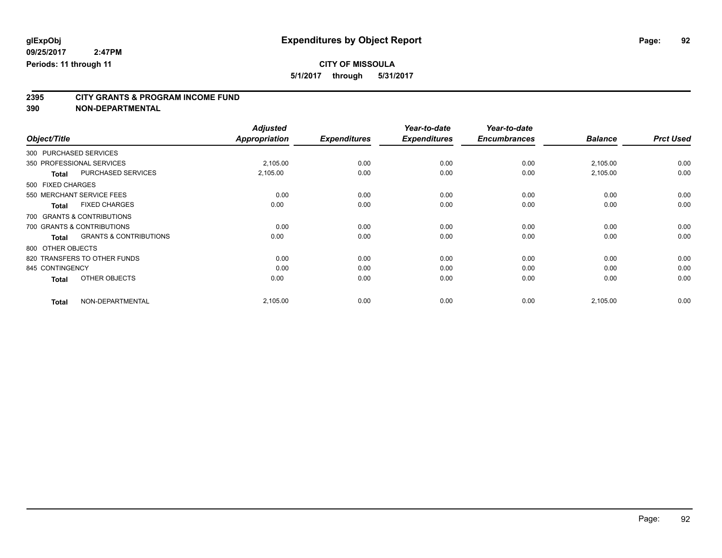**5/1/2017 through 5/31/2017**

# **2395 CITY GRANTS & PROGRAM INCOME FUND**

**390 NON-DEPARTMENTAL**

**09/25/2017**

**Periods: 11 through 11**

|                                                   | <b>Adjusted</b> |                     | Year-to-date        | Year-to-date        |                |                  |
|---------------------------------------------------|-----------------|---------------------|---------------------|---------------------|----------------|------------------|
| Object/Title                                      | Appropriation   | <b>Expenditures</b> | <b>Expenditures</b> | <b>Encumbrances</b> | <b>Balance</b> | <b>Prct Used</b> |
| 300 PURCHASED SERVICES                            |                 |                     |                     |                     |                |                  |
| 350 PROFESSIONAL SERVICES                         | 2,105.00        | 0.00                | 0.00                | 0.00                | 2,105.00       | 0.00             |
| PURCHASED SERVICES<br><b>Total</b>                | 2,105.00        | 0.00                | 0.00                | 0.00                | 2,105.00       | 0.00             |
| 500 FIXED CHARGES                                 |                 |                     |                     |                     |                |                  |
| 550 MERCHANT SERVICE FEES                         | 0.00            | 0.00                | 0.00                | 0.00                | 0.00           | 0.00             |
| <b>FIXED CHARGES</b><br><b>Total</b>              | 0.00            | 0.00                | 0.00                | 0.00                | 0.00           | 0.00             |
| 700 GRANTS & CONTRIBUTIONS                        |                 |                     |                     |                     |                |                  |
| 700 GRANTS & CONTRIBUTIONS                        | 0.00            | 0.00                | 0.00                | 0.00                | 0.00           | 0.00             |
| <b>GRANTS &amp; CONTRIBUTIONS</b><br><b>Total</b> | 0.00            | 0.00                | 0.00                | 0.00                | 0.00           | 0.00             |
| 800 OTHER OBJECTS                                 |                 |                     |                     |                     |                |                  |
| 820 TRANSFERS TO OTHER FUNDS                      | 0.00            | 0.00                | 0.00                | 0.00                | 0.00           | 0.00             |
| 845 CONTINGENCY                                   | 0.00            | 0.00                | 0.00                | 0.00                | 0.00           | 0.00             |
| OTHER OBJECTS<br><b>Total</b>                     | 0.00            | 0.00                | 0.00                | 0.00                | 0.00           | 0.00             |
| NON-DEPARTMENTAL<br><b>Total</b>                  | 2,105.00        | 0.00                | 0.00                | 0.00                | 2,105.00       | 0.00             |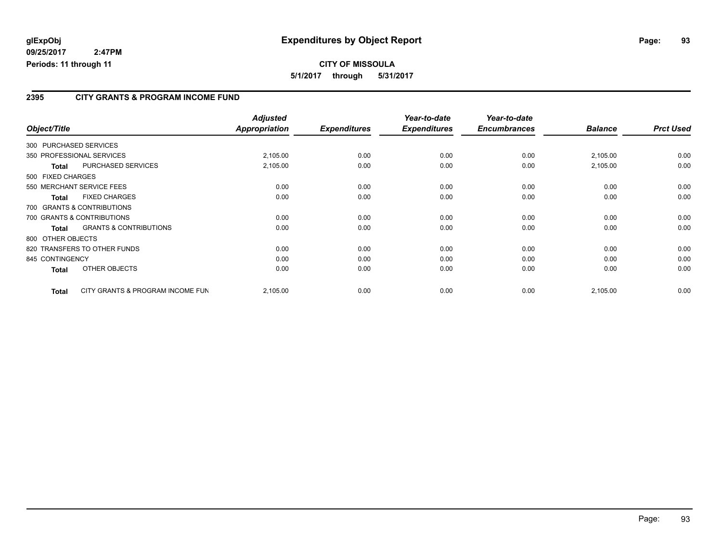### **2395 CITY GRANTS & PROGRAM INCOME FUND**

| Object/Title               |                                   | <b>Adjusted</b><br>Appropriation | <b>Expenditures</b> | Year-to-date<br><b>Expenditures</b> | Year-to-date<br><b>Encumbrances</b> | <b>Balance</b> | <b>Prct Used</b> |
|----------------------------|-----------------------------------|----------------------------------|---------------------|-------------------------------------|-------------------------------------|----------------|------------------|
|                            |                                   |                                  |                     |                                     |                                     |                |                  |
| 300 PURCHASED SERVICES     |                                   |                                  |                     |                                     |                                     |                |                  |
| 350 PROFESSIONAL SERVICES  |                                   | 2,105.00                         | 0.00                | 0.00                                | 0.00                                | 2,105.00       | 0.00             |
| Total                      | PURCHASED SERVICES                | 2,105.00                         | 0.00                | 0.00                                | 0.00                                | 2,105.00       | 0.00             |
| 500 FIXED CHARGES          |                                   |                                  |                     |                                     |                                     |                |                  |
| 550 MERCHANT SERVICE FEES  |                                   | 0.00                             | 0.00                | 0.00                                | 0.00                                | 0.00           | 0.00             |
| Total                      | <b>FIXED CHARGES</b>              | 0.00                             | 0.00                | 0.00                                | 0.00                                | 0.00           | 0.00             |
| 700 GRANTS & CONTRIBUTIONS |                                   |                                  |                     |                                     |                                     |                |                  |
| 700 GRANTS & CONTRIBUTIONS |                                   | 0.00                             | 0.00                | 0.00                                | 0.00                                | 0.00           | 0.00             |
| <b>Total</b>               | <b>GRANTS &amp; CONTRIBUTIONS</b> | 0.00                             | 0.00                | 0.00                                | 0.00                                | 0.00           | 0.00             |
| 800 OTHER OBJECTS          |                                   |                                  |                     |                                     |                                     |                |                  |
|                            | 820 TRANSFERS TO OTHER FUNDS      | 0.00                             | 0.00                | 0.00                                | 0.00                                | 0.00           | 0.00             |
| 845 CONTINGENCY            |                                   | 0.00                             | 0.00                | 0.00                                | 0.00                                | 0.00           | 0.00             |
| <b>Total</b>               | OTHER OBJECTS                     | 0.00                             | 0.00                | 0.00                                | 0.00                                | 0.00           | 0.00             |
| <b>Total</b>               | CITY GRANTS & PROGRAM INCOME FUN  | 2,105.00                         | 0.00                | 0.00                                | 0.00                                | 2,105.00       | 0.00             |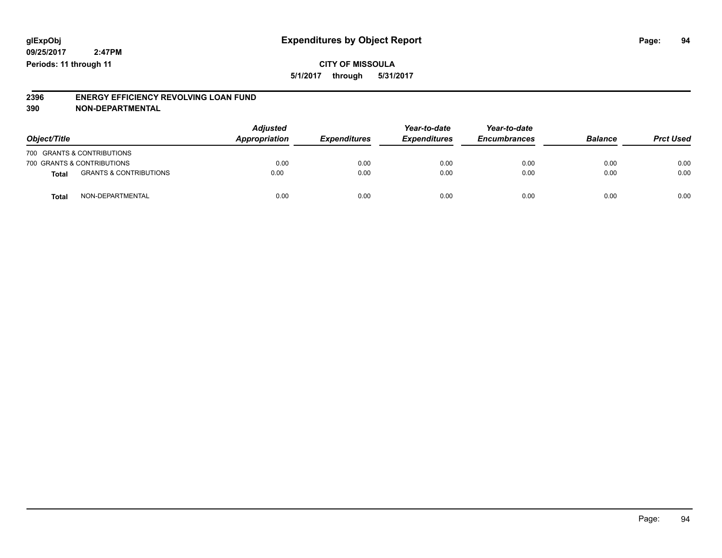## **CITY OF MISSOULA 5/1/2017 through 5/31/2017**

#### **2396 ENERGY EFFICIENCY REVOLVING LOAN FUND 390 NON-DEPARTMENTAL**

| Object/Title |                                   | <b>Adjusted</b><br>Appropriation | <b>Expenditures</b> | Year-to-date<br><b>Expenditures</b> | Year-to-date<br><b>Encumbrances</b> | <b>Balance</b> | <b>Prct Used</b> |
|--------------|-----------------------------------|----------------------------------|---------------------|-------------------------------------|-------------------------------------|----------------|------------------|
|              | 700 GRANTS & CONTRIBUTIONS        |                                  |                     |                                     |                                     |                |                  |
|              | 700 GRANTS & CONTRIBUTIONS        | 0.00                             | 0.00                | 0.00                                | 0.00                                | 0.00           | 0.00             |
| Total        | <b>GRANTS &amp; CONTRIBUTIONS</b> | 0.00                             | 0.00                | 0.00                                | 0.00                                | 0.00           | 0.00             |
| Total        | NON-DEPARTMENTAL                  | 0.00                             | 0.00                | 0.00                                | 0.00                                | 0.00           | 0.00             |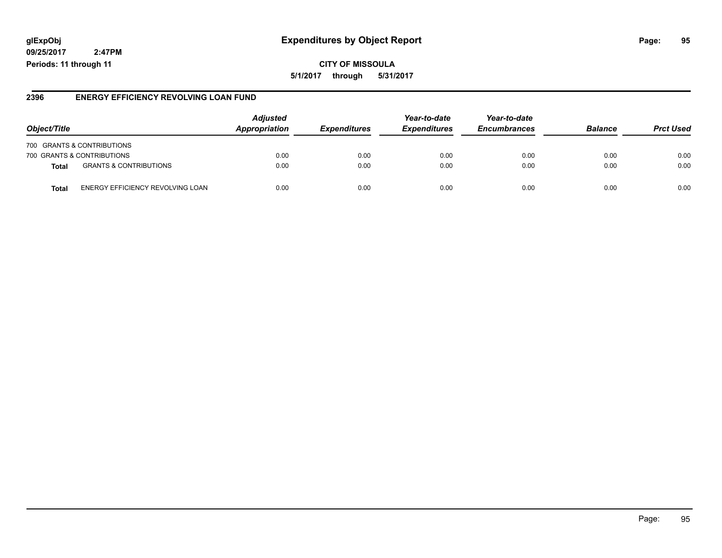## **glExpObj Expenditures by Object Report Page: 95**

**09/25/2017 2:47PM Periods: 11 through 11**

### **2396 ENERGY EFFICIENCY REVOLVING LOAN FUND**

| Object/Title                                      | <b>Adjusted</b><br>Appropriation<br><i><b>Expenditures</b></i> | Year-to-date<br><b>Expenditures</b> | Year-to-date<br><b>Encumbrances</b> | <b>Balance</b> | <b>Prct Used</b> |      |
|---------------------------------------------------|----------------------------------------------------------------|-------------------------------------|-------------------------------------|----------------|------------------|------|
| 700 GRANTS & CONTRIBUTIONS                        |                                                                |                                     |                                     |                |                  |      |
| 700 GRANTS & CONTRIBUTIONS                        | 0.00                                                           | 0.00                                | 0.00                                | 0.00           | 0.00             | 0.00 |
| <b>GRANTS &amp; CONTRIBUTIONS</b><br><b>Total</b> | 0.00                                                           | 0.00                                | 0.00                                | 0.00           | 0.00             | 0.00 |
| ENERGY EFFICIENCY REVOLVING LOAN<br>Total         | 0.00                                                           | 0.00                                | 0.00                                | 0.00           | 0.00             | 0.00 |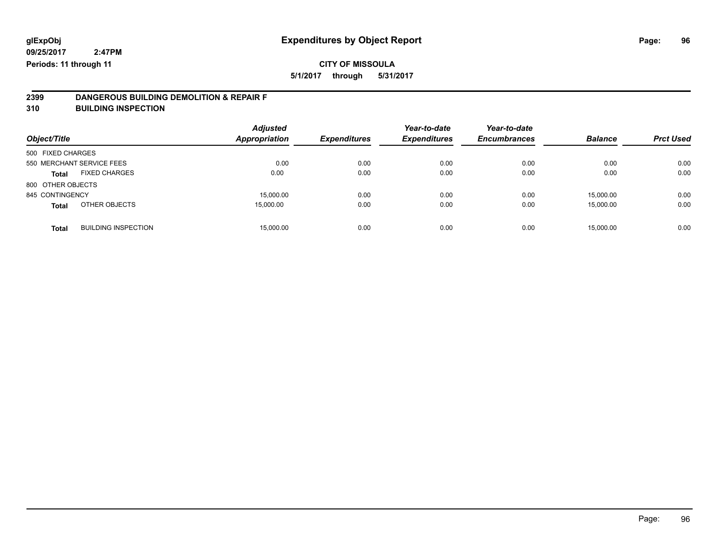**5/1/2017 through 5/31/2017**

# **2399 DANGEROUS BUILDING DEMOLITION & REPAIR F**

**310 BUILDING INSPECTION**

| Object/Title      |                            | <b>Adjusted</b><br><b>Appropriation</b> | <b>Expenditures</b> | Year-to-date<br><b>Expenditures</b> | Year-to-date<br><b>Encumbrances</b> | <b>Balance</b> | <b>Prct Used</b> |
|-------------------|----------------------------|-----------------------------------------|---------------------|-------------------------------------|-------------------------------------|----------------|------------------|
| 500 FIXED CHARGES |                            |                                         |                     |                                     |                                     |                |                  |
|                   | 550 MERCHANT SERVICE FEES  | 0.00                                    | 0.00                | 0.00                                | 0.00                                | 0.00           | 0.00             |
| <b>Total</b>      | <b>FIXED CHARGES</b>       | 0.00                                    | 0.00                | 0.00                                | 0.00                                | 0.00           | 0.00             |
| 800 OTHER OBJECTS |                            |                                         |                     |                                     |                                     |                |                  |
| 845 CONTINGENCY   |                            | 15,000.00                               | 0.00                | 0.00                                | 0.00                                | 15,000.00      | 0.00             |
| <b>Total</b>      | OTHER OBJECTS              | 15,000.00                               | 0.00                | 0.00                                | 0.00                                | 15,000.00      | 0.00             |
| <b>Total</b>      | <b>BUILDING INSPECTION</b> | 15.000.00                               | 0.00                | 0.00                                | 0.00                                | 15.000.00      | 0.00             |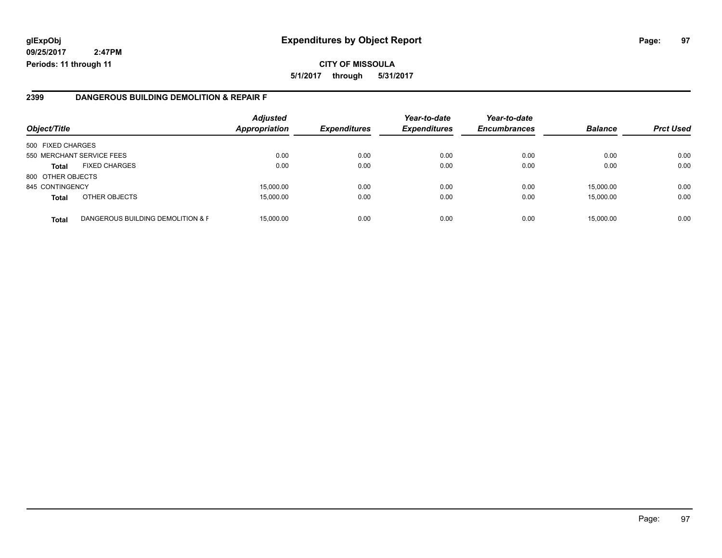**CITY OF MISSOULA 5/1/2017 through 5/31/2017**

#### **2399 DANGEROUS BUILDING DEMOLITION & REPAIR F**

| Object/Title      |                                   | <b>Adjusted</b><br><b>Appropriation</b> | <b>Expenditures</b> | Year-to-date<br><b>Expenditures</b> | Year-to-date<br><b>Encumbrances</b> | <b>Balance</b> | <b>Prct Used</b> |
|-------------------|-----------------------------------|-----------------------------------------|---------------------|-------------------------------------|-------------------------------------|----------------|------------------|
| 500 FIXED CHARGES |                                   |                                         |                     |                                     |                                     |                |                  |
|                   | 550 MERCHANT SERVICE FEES         | 0.00                                    | 0.00                | 0.00                                | 0.00                                | 0.00           | 0.00             |
| <b>Total</b>      | <b>FIXED CHARGES</b>              | 0.00                                    | 0.00                | 0.00                                | 0.00                                | 0.00           | 0.00             |
| 800 OTHER OBJECTS |                                   |                                         |                     |                                     |                                     |                |                  |
| 845 CONTINGENCY   |                                   | 15,000.00                               | 0.00                | 0.00                                | 0.00                                | 15,000.00      | 0.00             |
| <b>Total</b>      | OTHER OBJECTS                     | 15,000.00                               | 0.00                | 0.00                                | 0.00                                | 15,000.00      | 0.00             |
| <b>Total</b>      | DANGEROUS BUILDING DEMOLITION & F | 15,000.00                               | 0.00                | 0.00                                | 0.00                                | 15,000.00      | 0.00             |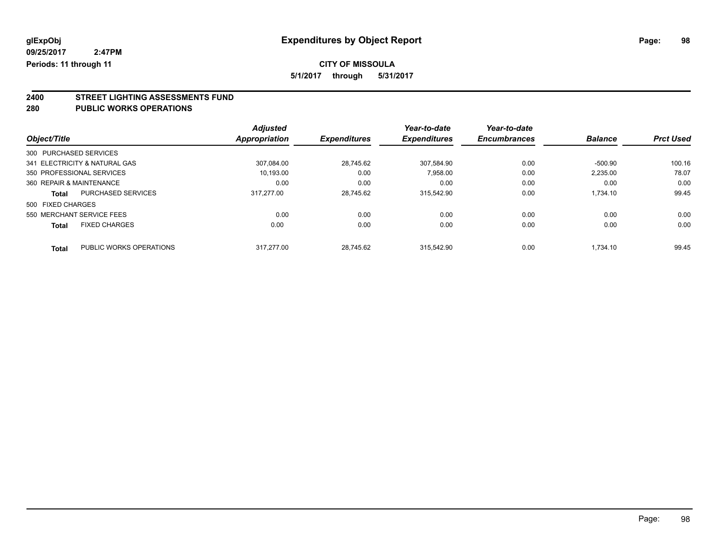**5/1/2017 through 5/31/2017**

# **2400 STREET LIGHTING ASSESSMENTS FUND**

#### **280 PUBLIC WORKS OPERATIONS**

|                          |                               | <b>Adjusted</b> |                     | Year-to-date        | Year-to-date        |                |                  |
|--------------------------|-------------------------------|-----------------|---------------------|---------------------|---------------------|----------------|------------------|
| Object/Title             |                               | Appropriation   | <b>Expenditures</b> | <b>Expenditures</b> | <b>Encumbrances</b> | <b>Balance</b> | <b>Prct Used</b> |
| 300 PURCHASED SERVICES   |                               |                 |                     |                     |                     |                |                  |
|                          | 341 ELECTRICITY & NATURAL GAS | 307.084.00      | 28.745.62           | 307.584.90          | 0.00                | $-500.90$      | 100.16           |
|                          | 350 PROFESSIONAL SERVICES     | 10.193.00       | 0.00                | 7,958.00            | 0.00                | 2,235.00       | 78.07            |
| 360 REPAIR & MAINTENANCE |                               | 0.00            | 0.00                | 0.00                | 0.00                | 0.00           | 0.00             |
| Total                    | PURCHASED SERVICES            | 317.277.00      | 28.745.62           | 315.542.90          | 0.00                | 1.734.10       | 99.45            |
| 500 FIXED CHARGES        |                               |                 |                     |                     |                     |                |                  |
|                          | 550 MERCHANT SERVICE FEES     | 0.00            | 0.00                | 0.00                | 0.00                | 0.00           | 0.00             |
| <b>Total</b>             | <b>FIXED CHARGES</b>          | 0.00            | 0.00                | 0.00                | 0.00                | 0.00           | 0.00             |
| Total                    | PUBLIC WORKS OPERATIONS       | 317.277.00      | 28.745.62           | 315.542.90          | 0.00                | 1.734.10       | 99.45            |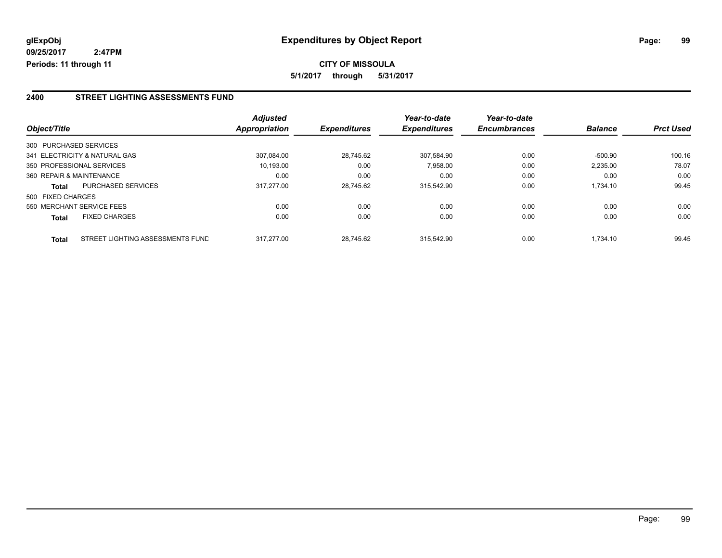### **2400 STREET LIGHTING ASSESSMENTS FUND**

|                   |                                  | <b>Adjusted</b>      |                     | Year-to-date        | Year-to-date        |                |                  |
|-------------------|----------------------------------|----------------------|---------------------|---------------------|---------------------|----------------|------------------|
| Object/Title      |                                  | <b>Appropriation</b> | <b>Expenditures</b> | <b>Expenditures</b> | <b>Encumbrances</b> | <b>Balance</b> | <b>Prct Used</b> |
|                   | 300 PURCHASED SERVICES           |                      |                     |                     |                     |                |                  |
|                   | 341 ELECTRICITY & NATURAL GAS    | 307.084.00           | 28.745.62           | 307.584.90          | 0.00                | -500.90        | 100.16           |
|                   | 350 PROFESSIONAL SERVICES        | 10,193.00            | 0.00                | 7,958.00            | 0.00                | 2,235.00       | 78.07            |
|                   | 360 REPAIR & MAINTENANCE         | 0.00                 | 0.00                | 0.00                | 0.00                | 0.00           | 0.00             |
| <b>Total</b>      | <b>PURCHASED SERVICES</b>        | 317.277.00           | 28.745.62           | 315.542.90          | 0.00                | 1,734.10       | 99.45            |
| 500 FIXED CHARGES |                                  |                      |                     |                     |                     |                |                  |
|                   | 550 MERCHANT SERVICE FEES        | 0.00                 | 0.00                | 0.00                | 0.00                | 0.00           | 0.00             |
| <b>Total</b>      | <b>FIXED CHARGES</b>             | 0.00                 | 0.00                | 0.00                | 0.00                | 0.00           | 0.00             |
| <b>Total</b>      | STREET LIGHTING ASSESSMENTS FUND | 317.277.00           | 28.745.62           | 315.542.90          | 0.00                | 1.734.10       | 99.45            |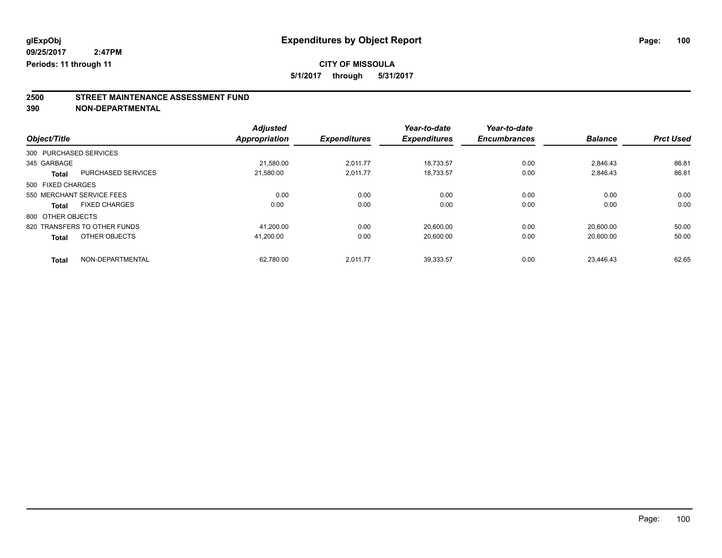**5/1/2017 through 5/31/2017**

# **2500 STREET MAINTENANCE ASSESSMENT FUND**

**390 NON-DEPARTMENTAL**

|                        |                              | <b>Adjusted</b> |                     | Year-to-date        | Year-to-date        |                |                  |
|------------------------|------------------------------|-----------------|---------------------|---------------------|---------------------|----------------|------------------|
| Object/Title           |                              | Appropriation   | <b>Expenditures</b> | <b>Expenditures</b> | <b>Encumbrances</b> | <b>Balance</b> | <b>Prct Used</b> |
| 300 PURCHASED SERVICES |                              |                 |                     |                     |                     |                |                  |
| 345 GARBAGE            |                              | 21,580.00       | 2,011.77            | 18.733.57           | 0.00                | 2.846.43       | 86.81            |
| <b>Total</b>           | <b>PURCHASED SERVICES</b>    | 21.580.00       | 2.011.77            | 18,733.57           | 0.00                | 2,846.43       | 86.81            |
| 500 FIXED CHARGES      |                              |                 |                     |                     |                     |                |                  |
|                        | 550 MERCHANT SERVICE FEES    | 0.00            | 0.00                | 0.00                | 0.00                | 0.00           | 0.00             |
| <b>Total</b>           | <b>FIXED CHARGES</b>         | 0.00            | 0.00                | 0.00                | 0.00                | 0.00           | 0.00             |
| 800 OTHER OBJECTS      |                              |                 |                     |                     |                     |                |                  |
|                        | 820 TRANSFERS TO OTHER FUNDS | 41,200.00       | 0.00                | 20,600.00           | 0.00                | 20,600.00      | 50.00            |
| <b>Total</b>           | OTHER OBJECTS                | 41.200.00       | 0.00                | 20,600.00           | 0.00                | 20,600.00      | 50.00            |
| <b>Total</b>           | NON-DEPARTMENTAL             | 62.780.00       | 2,011.77            | 39.333.57           | 0.00                | 23.446.43      | 62.65            |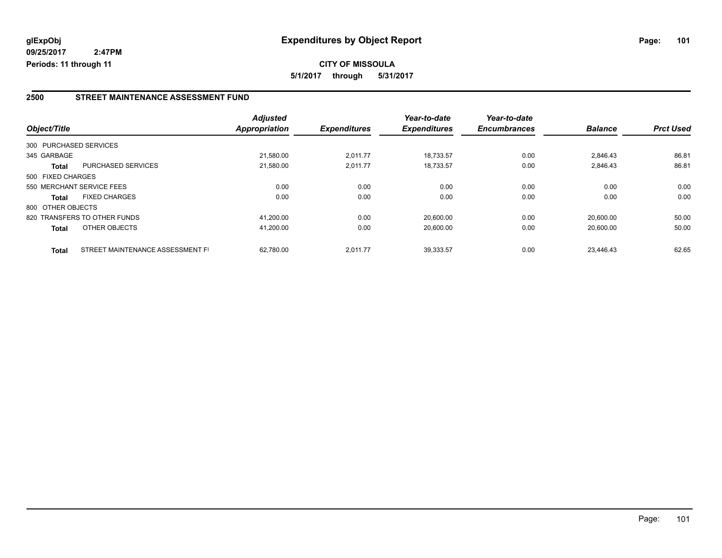### **2500 STREET MAINTENANCE ASSESSMENT FUND**

| Object/Title      |                                  | <b>Adjusted</b><br><b>Appropriation</b> | <b>Expenditures</b> | Year-to-date<br><b>Expenditures</b> | Year-to-date<br><b>Encumbrances</b> | <b>Balance</b> | <b>Prct Used</b> |
|-------------------|----------------------------------|-----------------------------------------|---------------------|-------------------------------------|-------------------------------------|----------------|------------------|
|                   | 300 PURCHASED SERVICES           |                                         |                     |                                     |                                     |                |                  |
|                   |                                  |                                         |                     |                                     |                                     |                |                  |
| 345 GARBAGE       |                                  | 21,580.00                               | 2,011.77            | 18.733.57                           | 0.00                                | 2,846.43       | 86.81            |
| <b>Total</b>      | <b>PURCHASED SERVICES</b>        | 21,580.00                               | 2,011.77            | 18,733.57                           | 0.00                                | 2,846.43       | 86.81            |
| 500 FIXED CHARGES |                                  |                                         |                     |                                     |                                     |                |                  |
|                   | 550 MERCHANT SERVICE FEES        | 0.00                                    | 0.00                | 0.00                                | 0.00                                | 0.00           | 0.00             |
| <b>Total</b>      | <b>FIXED CHARGES</b>             | 0.00                                    | 0.00                | 0.00                                | 0.00                                | 0.00           | 0.00             |
| 800 OTHER OBJECTS |                                  |                                         |                     |                                     |                                     |                |                  |
|                   | 820 TRANSFERS TO OTHER FUNDS     | 41.200.00                               | 0.00                | 20.600.00                           | 0.00                                | 20.600.00      | 50.00            |
| <b>Total</b>      | OTHER OBJECTS                    | 41,200.00                               | 0.00                | 20,600.00                           | 0.00                                | 20,600.00      | 50.00            |
| <b>Total</b>      | STREET MAINTENANCE ASSESSMENT FI | 62.780.00                               | 2,011.77            | 39,333.57                           | 0.00                                | 23.446.43      | 62.65            |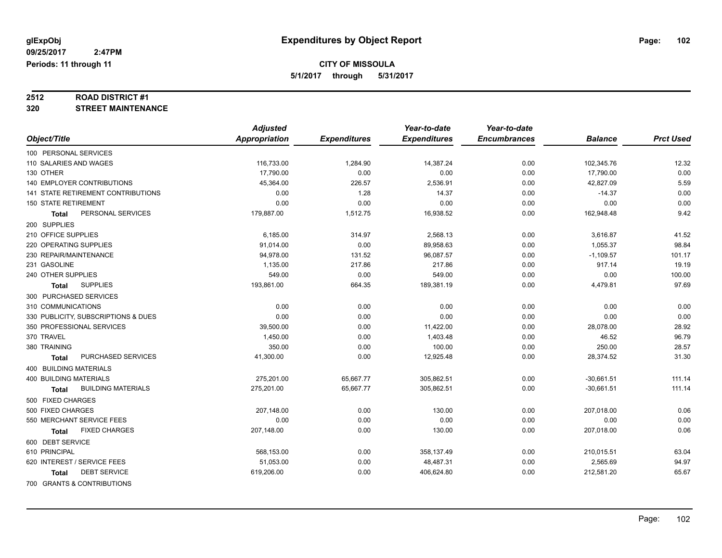# **2512 ROAD DISTRICT #1**

### **320 STREET MAINTENANCE**

|                                           | <b>Adjusted</b>      |                     | Year-to-date        | Year-to-date        |                |                  |
|-------------------------------------------|----------------------|---------------------|---------------------|---------------------|----------------|------------------|
| Object/Title                              | <b>Appropriation</b> | <b>Expenditures</b> | <b>Expenditures</b> | <b>Encumbrances</b> | <b>Balance</b> | <b>Prct Used</b> |
| 100 PERSONAL SERVICES                     |                      |                     |                     |                     |                |                  |
| 110 SALARIES AND WAGES                    | 116,733.00           | 1,284.90            | 14,387.24           | 0.00                | 102,345.76     | 12.32            |
| 130 OTHER                                 | 17,790.00            | 0.00                | 0.00                | 0.00                | 17,790.00      | 0.00             |
| 140 EMPLOYER CONTRIBUTIONS                | 45,364.00            | 226.57              | 2,536.91            | 0.00                | 42,827.09      | 5.59             |
| <b>141 STATE RETIREMENT CONTRIBUTIONS</b> | 0.00                 | 1.28                | 14.37               | 0.00                | $-14.37$       | 0.00             |
| <b>150 STATE RETIREMENT</b>               | 0.00                 | 0.00                | 0.00                | 0.00                | 0.00           | 0.00             |
| PERSONAL SERVICES<br><b>Total</b>         | 179,887.00           | 1,512.75            | 16,938.52           | 0.00                | 162,948.48     | 9.42             |
| 200 SUPPLIES                              |                      |                     |                     |                     |                |                  |
| 210 OFFICE SUPPLIES                       | 6,185.00             | 314.97              | 2,568.13            | 0.00                | 3,616.87       | 41.52            |
| 220 OPERATING SUPPLIES                    | 91,014.00            | 0.00                | 89,958.63           | 0.00                | 1,055.37       | 98.84            |
| 230 REPAIR/MAINTENANCE                    | 94,978.00            | 131.52              | 96,087.57           | 0.00                | $-1,109.57$    | 101.17           |
| 231 GASOLINE                              | 1,135.00             | 217.86              | 217.86              | 0.00                | 917.14         | 19.19            |
| 240 OTHER SUPPLIES                        | 549.00               | 0.00                | 549.00              | 0.00                | 0.00           | 100.00           |
| <b>SUPPLIES</b><br><b>Total</b>           | 193,861.00           | 664.35              | 189,381.19          | 0.00                | 4,479.81       | 97.69            |
| 300 PURCHASED SERVICES                    |                      |                     |                     |                     |                |                  |
| 310 COMMUNICATIONS                        | 0.00                 | 0.00                | 0.00                | 0.00                | 0.00           | 0.00             |
| 330 PUBLICITY, SUBSCRIPTIONS & DUES       | 0.00                 | 0.00                | 0.00                | 0.00                | 0.00           | 0.00             |
| 350 PROFESSIONAL SERVICES                 | 39,500.00            | 0.00                | 11,422.00           | 0.00                | 28,078.00      | 28.92            |
| 370 TRAVEL                                | 1,450.00             | 0.00                | 1,403.48            | 0.00                | 46.52          | 96.79            |
| 380 TRAINING                              | 350.00               | 0.00                | 100.00              | 0.00                | 250.00         | 28.57            |
| PURCHASED SERVICES<br>Total               | 41,300.00            | 0.00                | 12,925.48           | 0.00                | 28,374.52      | 31.30            |
| <b>400 BUILDING MATERIALS</b>             |                      |                     |                     |                     |                |                  |
| <b>400 BUILDING MATERIALS</b>             | 275,201.00           | 65,667.77           | 305,862.51          | 0.00                | $-30,661.51$   | 111.14           |
| <b>BUILDING MATERIALS</b><br><b>Total</b> | 275,201.00           | 65,667.77           | 305,862.51          | 0.00                | $-30,661.51$   | 111.14           |
| 500 FIXED CHARGES                         |                      |                     |                     |                     |                |                  |
| 500 FIXED CHARGES                         | 207,148.00           | 0.00                | 130.00              | 0.00                | 207,018.00     | 0.06             |
| 550 MERCHANT SERVICE FEES                 | 0.00                 | 0.00                | 0.00                | 0.00                | 0.00           | 0.00             |
| <b>FIXED CHARGES</b><br>Total             | 207,148.00           | 0.00                | 130.00              | 0.00                | 207,018.00     | 0.06             |
| 600 DEBT SERVICE                          |                      |                     |                     |                     |                |                  |
| 610 PRINCIPAL                             | 568,153.00           | 0.00                | 358,137.49          | 0.00                | 210,015.51     | 63.04            |
| 620 INTEREST / SERVICE FEES               | 51,053.00            | 0.00                | 48,487.31           | 0.00                | 2,565.69       | 94.97            |
| <b>DEBT SERVICE</b><br><b>Total</b>       | 619,206.00           | 0.00                | 406,624.80          | 0.00                | 212,581.20     | 65.67            |
| 700 GRANTS & CONTRIBUTIONS                |                      |                     |                     |                     |                |                  |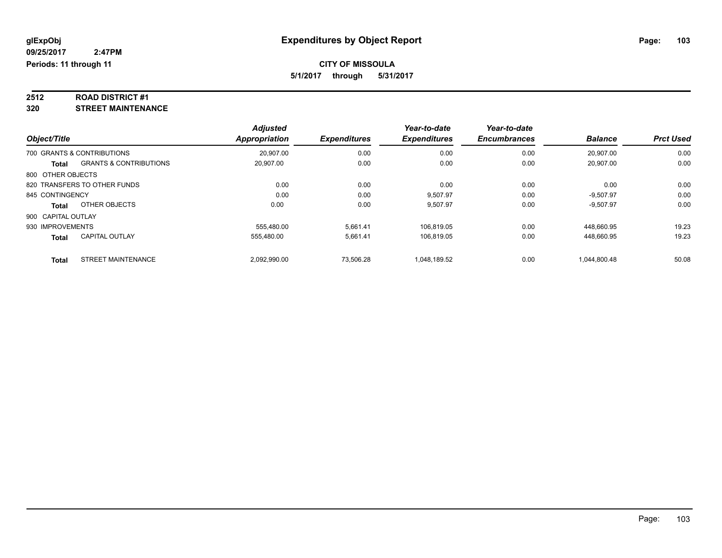# **2512 ROAD DISTRICT #1**

**320 STREET MAINTENANCE**

|                    |                                   | <b>Adjusted</b> |                     | Year-to-date        | Year-to-date        |                |                  |
|--------------------|-----------------------------------|-----------------|---------------------|---------------------|---------------------|----------------|------------------|
| Object/Title       |                                   | Appropriation   | <b>Expenditures</b> | <b>Expenditures</b> | <b>Encumbrances</b> | <b>Balance</b> | <b>Prct Used</b> |
|                    | 700 GRANTS & CONTRIBUTIONS        | 20,907.00       | 0.00                | 0.00                | 0.00                | 20,907.00      | 0.00             |
| <b>Total</b>       | <b>GRANTS &amp; CONTRIBUTIONS</b> | 20,907.00       | 0.00                | 0.00                | 0.00                | 20,907.00      | 0.00             |
| 800 OTHER OBJECTS  |                                   |                 |                     |                     |                     |                |                  |
|                    | 820 TRANSFERS TO OTHER FUNDS      | 0.00            | 0.00                | 0.00                | 0.00                | 0.00           | 0.00             |
| 845 CONTINGENCY    |                                   | 0.00            | 0.00                | 9.507.97            | 0.00                | $-9.507.97$    | 0.00             |
| Total              | OTHER OBJECTS                     | 0.00            | 0.00                | 9,507.97            | 0.00                | $-9,507.97$    | 0.00             |
| 900 CAPITAL OUTLAY |                                   |                 |                     |                     |                     |                |                  |
| 930 IMPROVEMENTS   |                                   | 555.480.00      | 5.661.41            | 106.819.05          | 0.00                | 448.660.95     | 19.23            |
| Total              | <b>CAPITAL OUTLAY</b>             | 555,480.00      | 5,661.41            | 106,819.05          | 0.00                | 448,660.95     | 19.23            |
| <b>Total</b>       | <b>STREET MAINTENANCE</b>         | 2,092,990.00    | 73,506.28           | 1.048.189.52        | 0.00                | 1.044.800.48   | 50.08            |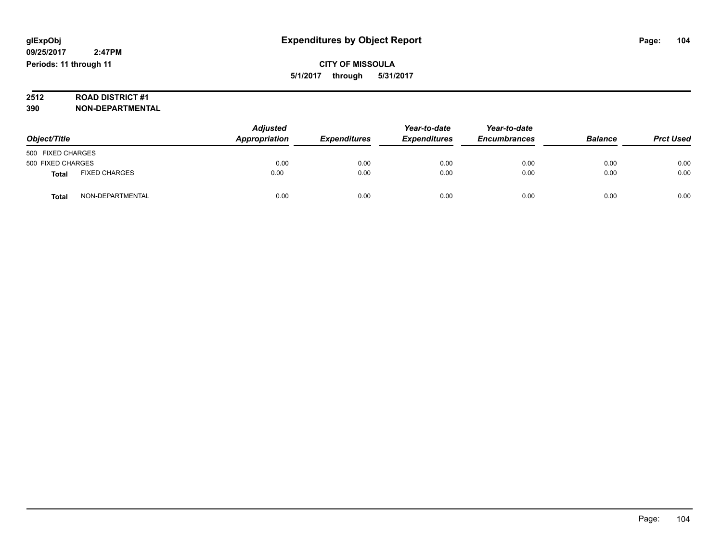# **2512 ROAD DISTRICT #1**

**390 NON-DEPARTMENTAL**

| Object/Title      |                      | <b>Adjusted</b><br>Appropriation | <b>Expenditures</b> | Year-to-date<br><b>Expenditures</b> | Year-to-date<br><b>Encumbrances</b> | <b>Balance</b> | <b>Prct Used</b> |
|-------------------|----------------------|----------------------------------|---------------------|-------------------------------------|-------------------------------------|----------------|------------------|
| 500 FIXED CHARGES |                      |                                  |                     |                                     |                                     |                |                  |
| 500 FIXED CHARGES |                      | 0.00                             | 0.00                | 0.00                                | 0.00                                | 0.00           | 0.00             |
| Total             | <b>FIXED CHARGES</b> | 0.00                             | 0.00                | 0.00                                | 0.00                                | 0.00           | 0.00             |
| Total             | NON-DEPARTMENTAL     | 0.00                             | 0.00                | 0.00                                | 0.00                                | 0.00           | 0.00             |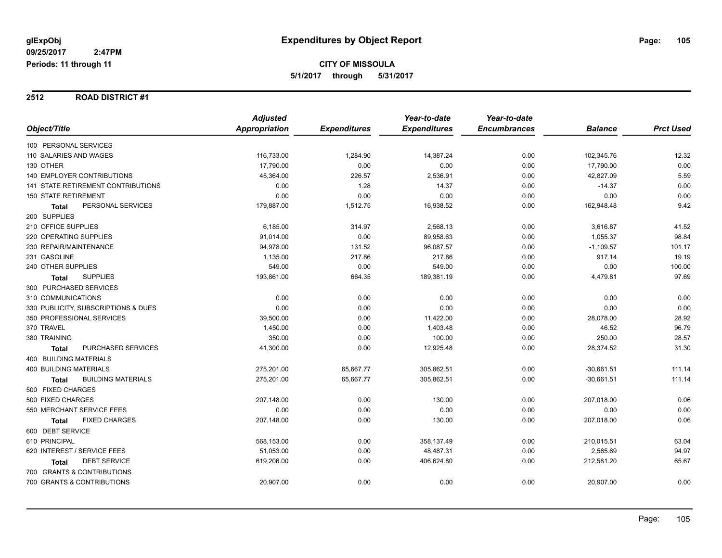#### **2512 ROAD DISTRICT #1**

|                                           | <b>Adjusted</b> |                     | Year-to-date        | Year-to-date        |                |                  |
|-------------------------------------------|-----------------|---------------------|---------------------|---------------------|----------------|------------------|
| Object/Title                              | Appropriation   | <b>Expenditures</b> | <b>Expenditures</b> | <b>Encumbrances</b> | <b>Balance</b> | <b>Prct Used</b> |
| 100 PERSONAL SERVICES                     |                 |                     |                     |                     |                |                  |
| 110 SALARIES AND WAGES                    | 116,733.00      | 1,284.90            | 14,387.24           | 0.00                | 102,345.76     | 12.32            |
| 130 OTHER                                 | 17,790.00       | 0.00                | 0.00                | 0.00                | 17,790.00      | 0.00             |
| <b>140 EMPLOYER CONTRIBUTIONS</b>         | 45,364.00       | 226.57              | 2,536.91            | 0.00                | 42,827.09      | 5.59             |
| <b>141 STATE RETIREMENT CONTRIBUTIONS</b> | 0.00            | 1.28                | 14.37               | 0.00                | $-14.37$       | 0.00             |
| <b>150 STATE RETIREMENT</b>               | 0.00            | 0.00                | 0.00                | 0.00                | 0.00           | 0.00             |
| PERSONAL SERVICES<br>Total                | 179,887.00      | 1,512.75            | 16,938.52           | 0.00                | 162,948.48     | 9.42             |
| 200 SUPPLIES                              |                 |                     |                     |                     |                |                  |
| 210 OFFICE SUPPLIES                       | 6,185.00        | 314.97              | 2,568.13            | 0.00                | 3,616.87       | 41.52            |
| 220 OPERATING SUPPLIES                    | 91,014.00       | 0.00                | 89,958.63           | 0.00                | 1,055.37       | 98.84            |
| 230 REPAIR/MAINTENANCE                    | 94,978.00       | 131.52              | 96,087.57           | 0.00                | $-1,109.57$    | 101.17           |
| 231 GASOLINE                              | 1,135.00        | 217.86              | 217.86              | 0.00                | 917.14         | 19.19            |
| 240 OTHER SUPPLIES                        | 549.00          | 0.00                | 549.00              | 0.00                | 0.00           | 100.00           |
| <b>SUPPLIES</b><br>Total                  | 193,861.00      | 664.35              | 189,381.19          | 0.00                | 4,479.81       | 97.69            |
| 300 PURCHASED SERVICES                    |                 |                     |                     |                     |                |                  |
| 310 COMMUNICATIONS                        | 0.00            | 0.00                | 0.00                | 0.00                | 0.00           | 0.00             |
| 330 PUBLICITY, SUBSCRIPTIONS & DUES       | 0.00            | 0.00                | 0.00                | 0.00                | 0.00           | 0.00             |
| 350 PROFESSIONAL SERVICES                 | 39,500.00       | 0.00                | 11,422.00           | 0.00                | 28,078.00      | 28.92            |
| 370 TRAVEL                                | 1,450.00        | 0.00                | 1,403.48            | 0.00                | 46.52          | 96.79            |
| 380 TRAINING                              | 350.00          | 0.00                | 100.00              | 0.00                | 250.00         | 28.57            |
| PURCHASED SERVICES<br><b>Total</b>        | 41,300.00       | 0.00                | 12,925.48           | 0.00                | 28,374.52      | 31.30            |
| 400 BUILDING MATERIALS                    |                 |                     |                     |                     |                |                  |
| <b>400 BUILDING MATERIALS</b>             | 275,201.00      | 65,667.77           | 305,862.51          | 0.00                | $-30,661.51$   | 111.14           |
| <b>BUILDING MATERIALS</b><br><b>Total</b> | 275,201.00      | 65,667.77           | 305,862.51          | 0.00                | $-30,661.51$   | 111.14           |
| 500 FIXED CHARGES                         |                 |                     |                     |                     |                |                  |
| 500 FIXED CHARGES                         | 207,148.00      | 0.00                | 130.00              | 0.00                | 207,018.00     | 0.06             |
| 550 MERCHANT SERVICE FEES                 | 0.00            | 0.00                | 0.00                | 0.00                | 0.00           | 0.00             |
| <b>FIXED CHARGES</b><br>Total             | 207,148.00      | 0.00                | 130.00              | 0.00                | 207,018.00     | 0.06             |
| 600 DEBT SERVICE                          |                 |                     |                     |                     |                |                  |
| 610 PRINCIPAL                             | 568,153.00      | 0.00                | 358,137.49          | 0.00                | 210,015.51     | 63.04            |
| 620 INTEREST / SERVICE FEES               | 51,053.00       | 0.00                | 48,487.31           | 0.00                | 2,565.69       | 94.97            |
| <b>DEBT SERVICE</b><br>Total              | 619,206.00      | 0.00                | 406,624.80          | 0.00                | 212,581.20     | 65.67            |
| 700 GRANTS & CONTRIBUTIONS                |                 |                     |                     |                     |                |                  |
| 700 GRANTS & CONTRIBUTIONS                | 20,907.00       | 0.00                | 0.00                | 0.00                | 20,907.00      | 0.00             |
|                                           |                 |                     |                     |                     |                |                  |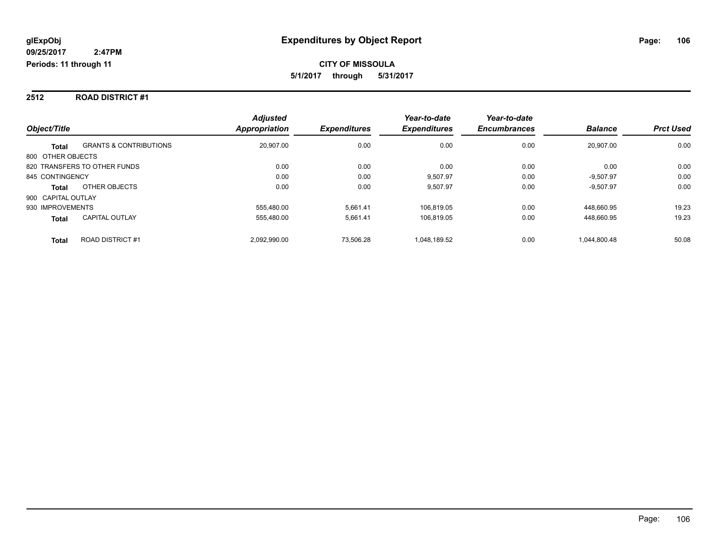#### **2512 ROAD DISTRICT #1**

|                                                   | <b>Adjusted</b>      |                     | Year-to-date        | Year-to-date        |                |                  |
|---------------------------------------------------|----------------------|---------------------|---------------------|---------------------|----------------|------------------|
| Object/Title                                      | <b>Appropriation</b> | <b>Expenditures</b> | <b>Expenditures</b> | <b>Encumbrances</b> | <b>Balance</b> | <b>Prct Used</b> |
| <b>GRANTS &amp; CONTRIBUTIONS</b><br><b>Total</b> | 20,907.00            | 0.00                | 0.00                | 0.00                | 20.907.00      | 0.00             |
| 800 OTHER OBJECTS                                 |                      |                     |                     |                     |                |                  |
| 820 TRANSFERS TO OTHER FUNDS                      | 0.00                 | 0.00                | 0.00                | 0.00                | 0.00           | 0.00             |
| 845 CONTINGENCY                                   | 0.00                 | 0.00                | 9.507.97            | 0.00                | $-9.507.97$    | 0.00             |
| OTHER OBJECTS<br><b>Total</b>                     | 0.00                 | 0.00                | 9.507.97            | 0.00                | $-9,507.97$    | 0.00             |
| 900 CAPITAL OUTLAY                                |                      |                     |                     |                     |                |                  |
| 930 IMPROVEMENTS                                  | 555.480.00           | 5.661.41            | 106.819.05          | 0.00                | 448.660.95     | 19.23            |
| <b>CAPITAL OUTLAY</b><br><b>Total</b>             | 555,480.00           | 5,661.41            | 106.819.05          | 0.00                | 448.660.95     | 19.23            |
| <b>ROAD DISTRICT#1</b><br><b>Total</b>            | 2.092.990.00         | 73.506.28           | 1.048.189.52        | 0.00                | 1.044.800.48   | 50.08            |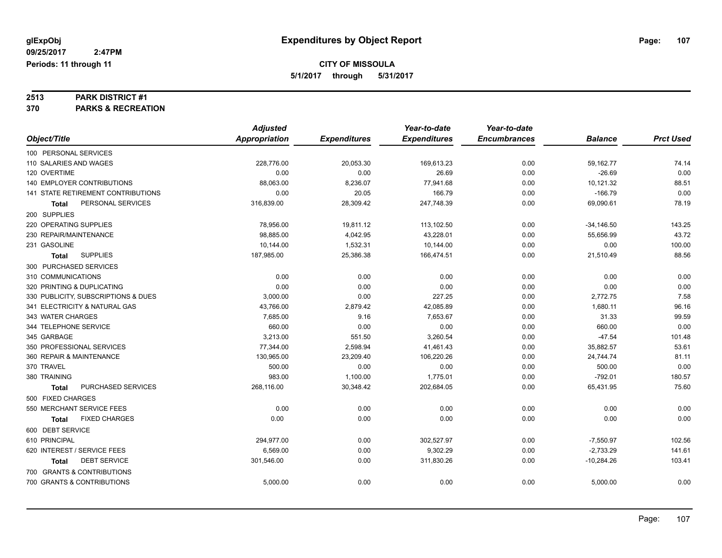# **2513 PARK DISTRICT #1**

**370 PARKS & RECREATION**

|                                      | <b>Adjusted</b> |                     | Year-to-date        | Year-to-date        |                |                  |
|--------------------------------------|-----------------|---------------------|---------------------|---------------------|----------------|------------------|
| Object/Title                         | Appropriation   | <b>Expenditures</b> | <b>Expenditures</b> | <b>Encumbrances</b> | <b>Balance</b> | <b>Prct Used</b> |
| 100 PERSONAL SERVICES                |                 |                     |                     |                     |                |                  |
| 110 SALARIES AND WAGES               | 228,776.00      | 20,053.30           | 169,613.23          | 0.00                | 59,162.77      | 74.14            |
| 120 OVERTIME                         | 0.00            | 0.00                | 26.69               | 0.00                | $-26.69$       | 0.00             |
| 140 EMPLOYER CONTRIBUTIONS           | 88,063.00       | 8,236.07            | 77,941.68           | 0.00                | 10,121.32      | 88.51            |
| 141 STATE RETIREMENT CONTRIBUTIONS   | 0.00            | 20.05               | 166.79              | 0.00                | $-166.79$      | 0.00             |
| PERSONAL SERVICES<br><b>Total</b>    | 316,839.00      | 28,309.42           | 247,748.39          | 0.00                | 69,090.61      | 78.19            |
| 200 SUPPLIES                         |                 |                     |                     |                     |                |                  |
| 220 OPERATING SUPPLIES               | 78,956.00       | 19,811.12           | 113,102.50          | 0.00                | $-34,146.50$   | 143.25           |
| 230 REPAIR/MAINTENANCE               | 98,885.00       | 4,042.95            | 43,228.01           | 0.00                | 55,656.99      | 43.72            |
| 231 GASOLINE                         | 10,144.00       | 1,532.31            | 10,144.00           | 0.00                | 0.00           | 100.00           |
| <b>SUPPLIES</b><br>Total             | 187,985.00      | 25,386.38           | 166,474.51          | 0.00                | 21,510.49      | 88.56            |
| 300 PURCHASED SERVICES               |                 |                     |                     |                     |                |                  |
| 310 COMMUNICATIONS                   | 0.00            | 0.00                | 0.00                | 0.00                | 0.00           | 0.00             |
| 320 PRINTING & DUPLICATING           | 0.00            | 0.00                | 0.00                | 0.00                | 0.00           | 0.00             |
| 330 PUBLICITY, SUBSCRIPTIONS & DUES  | 3,000.00        | 0.00                | 227.25              | 0.00                | 2,772.75       | 7.58             |
| 341 ELECTRICITY & NATURAL GAS        | 43,766.00       | 2,879.42            | 42,085.89           | 0.00                | 1,680.11       | 96.16            |
| 343 WATER CHARGES                    | 7,685.00        | 9.16                | 7,653.67            | 0.00                | 31.33          | 99.59            |
| 344 TELEPHONE SERVICE                | 660.00          | 0.00                | 0.00                | 0.00                | 660.00         | 0.00             |
| 345 GARBAGE                          | 3,213.00        | 551.50              | 3,260.54            | 0.00                | $-47.54$       | 101.48           |
| 350 PROFESSIONAL SERVICES            | 77,344.00       | 2,598.94            | 41,461.43           | 0.00                | 35,882.57      | 53.61            |
| 360 REPAIR & MAINTENANCE             | 130.965.00      | 23,209.40           | 106.220.26          | 0.00                | 24,744.74      | 81.11            |
| 370 TRAVEL                           | 500.00          | 0.00                | 0.00                | 0.00                | 500.00         | 0.00             |
| 380 TRAINING                         | 983.00          | 1,100.00            | 1,775.01            | 0.00                | $-792.01$      | 180.57           |
| PURCHASED SERVICES<br>Total          | 268,116.00      | 30,348.42           | 202,684.05          | 0.00                | 65,431.95      | 75.60            |
| 500 FIXED CHARGES                    |                 |                     |                     |                     |                |                  |
| 550 MERCHANT SERVICE FEES            | 0.00            | 0.00                | 0.00                | 0.00                | 0.00           | 0.00             |
| <b>FIXED CHARGES</b><br><b>Total</b> | 0.00            | 0.00                | 0.00                | 0.00                | 0.00           | 0.00             |
| 600 DEBT SERVICE                     |                 |                     |                     |                     |                |                  |
| 610 PRINCIPAL                        | 294,977.00      | 0.00                | 302,527.97          | 0.00                | $-7,550.97$    | 102.56           |
| 620 INTEREST / SERVICE FEES          | 6,569.00        | 0.00                | 9,302.29            | 0.00                | $-2,733.29$    | 141.61           |
| <b>DEBT SERVICE</b><br><b>Total</b>  | 301,546.00      | 0.00                | 311,830.26          | 0.00                | $-10,284.26$   | 103.41           |
| 700 GRANTS & CONTRIBUTIONS           |                 |                     |                     |                     |                |                  |
| 700 GRANTS & CONTRIBUTIONS           | 5,000.00        | 0.00                | 0.00                | 0.00                | 5,000.00       | 0.00             |
|                                      |                 |                     |                     |                     |                |                  |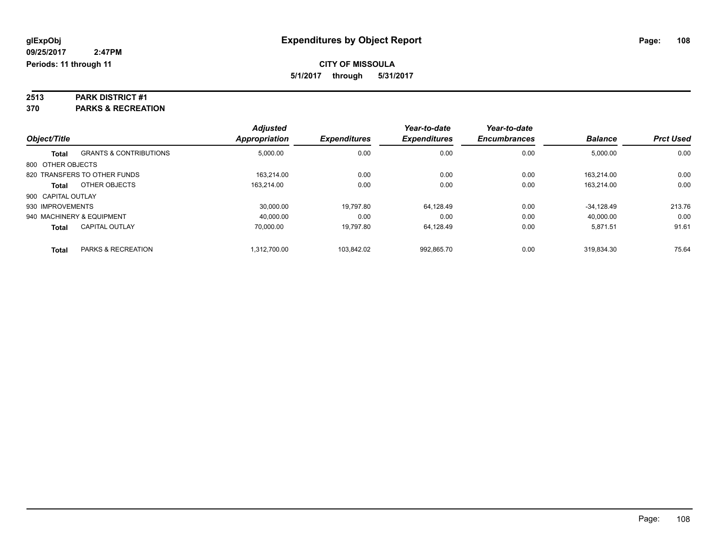# **2513 PARK DISTRICT #1**

**370 PARKS & RECREATION**

| Object/Title              |                                   | <b>Adjusted</b><br><b>Appropriation</b> | <b>Expenditures</b> | Year-to-date<br><b>Expenditures</b> | Year-to-date<br><b>Encumbrances</b> | <b>Balance</b> | <b>Prct Used</b> |
|---------------------------|-----------------------------------|-----------------------------------------|---------------------|-------------------------------------|-------------------------------------|----------------|------------------|
|                           |                                   |                                         |                     |                                     |                                     |                |                  |
| <b>Total</b>              | <b>GRANTS &amp; CONTRIBUTIONS</b> | 5,000.00                                | 0.00                | 0.00                                | 0.00                                | 5,000.00       | 0.00             |
| 800 OTHER OBJECTS         |                                   |                                         |                     |                                     |                                     |                |                  |
|                           | 820 TRANSFERS TO OTHER FUNDS      | 163.214.00                              | 0.00                | 0.00                                | 0.00                                | 163.214.00     | 0.00             |
| <b>Total</b>              | OTHER OBJECTS                     | 163.214.00                              | 0.00                | 0.00                                | 0.00                                | 163.214.00     | 0.00             |
| 900 CAPITAL OUTLAY        |                                   |                                         |                     |                                     |                                     |                |                  |
| 930 IMPROVEMENTS          |                                   | 30.000.00                               | 19,797.80           | 64.128.49                           | 0.00                                | $-34.128.49$   | 213.76           |
| 940 MACHINERY & EQUIPMENT |                                   | 40,000.00                               | 0.00                | 0.00                                | 0.00                                | 40,000.00      | 0.00             |
| <b>Total</b>              | <b>CAPITAL OUTLAY</b>             | 70.000.00                               | 19.797.80           | 64.128.49                           | 0.00                                | 5.871.51       | 91.61            |
| <b>Total</b>              | <b>PARKS &amp; RECREATION</b>     | 1.312.700.00                            | 103.842.02          | 992.865.70                          | 0.00                                | 319.834.30     | 75.64            |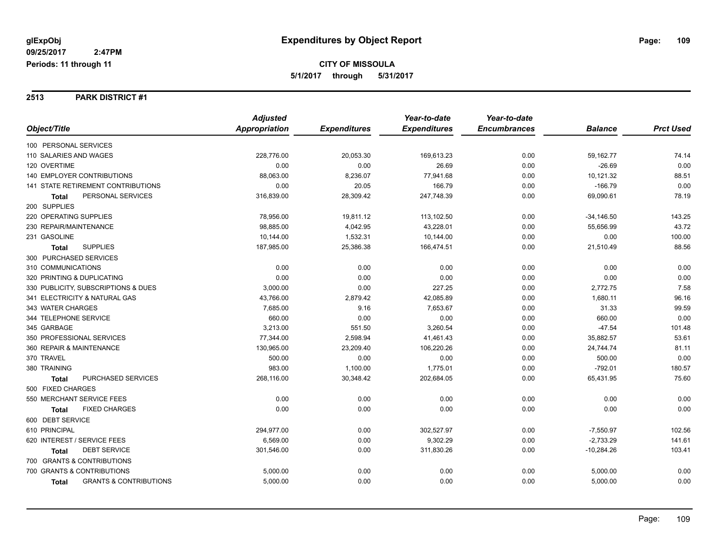#### **2513 PARK DISTRICT #1**

|                                            | <b>Adjusted</b> |                     | Year-to-date        | Year-to-date        |                |                  |
|--------------------------------------------|-----------------|---------------------|---------------------|---------------------|----------------|------------------|
| Object/Title                               | Appropriation   | <b>Expenditures</b> | <b>Expenditures</b> | <b>Encumbrances</b> | <b>Balance</b> | <b>Prct Used</b> |
| 100 PERSONAL SERVICES                      |                 |                     |                     |                     |                |                  |
| 110 SALARIES AND WAGES                     | 228,776.00      | 20,053.30           | 169,613.23          | 0.00                | 59,162.77      | 74.14            |
| 120 OVERTIME                               | 0.00            | 0.00                | 26.69               | 0.00                | $-26.69$       | 0.00             |
| <b>140 EMPLOYER CONTRIBUTIONS</b>          | 88,063.00       | 8,236.07            | 77,941.68           | 0.00                | 10,121.32      | 88.51            |
| 141 STATE RETIREMENT CONTRIBUTIONS         | 0.00            | 20.05               | 166.79              | 0.00                | $-166.79$      | 0.00             |
| PERSONAL SERVICES<br><b>Total</b>          | 316,839.00      | 28,309.42           | 247,748.39          | 0.00                | 69,090.61      | 78.19            |
| 200 SUPPLIES                               |                 |                     |                     |                     |                |                  |
| 220 OPERATING SUPPLIES                     | 78,956.00       | 19,811.12           | 113,102.50          | 0.00                | $-34,146.50$   | 143.25           |
| 230 REPAIR/MAINTENANCE                     | 98,885.00       | 4,042.95            | 43,228.01           | 0.00                | 55,656.99      | 43.72            |
| 231 GASOLINE                               | 10,144.00       | 1,532.31            | 10,144.00           | 0.00                | 0.00           | 100.00           |
| <b>SUPPLIES</b><br><b>Total</b>            | 187,985.00      | 25,386.38           | 166,474.51          | 0.00                | 21,510.49      | 88.56            |
| 300 PURCHASED SERVICES                     |                 |                     |                     |                     |                |                  |
| 310 COMMUNICATIONS                         | 0.00            | 0.00                | 0.00                | 0.00                | 0.00           | 0.00             |
| 320 PRINTING & DUPLICATING                 | 0.00            | 0.00                | 0.00                | 0.00                | 0.00           | 0.00             |
| 330 PUBLICITY, SUBSCRIPTIONS & DUES        | 3,000.00        | 0.00                | 227.25              | 0.00                | 2,772.75       | 7.58             |
| 341 ELECTRICITY & NATURAL GAS              | 43,766.00       | 2,879.42            | 42,085.89           | 0.00                | 1,680.11       | 96.16            |
| 343 WATER CHARGES                          | 7,685.00        | 9.16                | 7,653.67            | 0.00                | 31.33          | 99.59            |
| 344 TELEPHONE SERVICE                      | 660.00          | 0.00                | 0.00                | 0.00                | 660.00         | 0.00             |
| 345 GARBAGE                                | 3,213.00        | 551.50              | 3,260.54            | 0.00                | $-47.54$       | 101.48           |
| 350 PROFESSIONAL SERVICES                  | 77,344.00       | 2,598.94            | 41,461.43           | 0.00                | 35,882.57      | 53.61            |
| 360 REPAIR & MAINTENANCE                   | 130,965.00      | 23,209.40           | 106,220.26          | 0.00                | 24,744.74      | 81.11            |
| 370 TRAVEL                                 | 500.00          | 0.00                | 0.00                | 0.00                | 500.00         | 0.00             |
| 380 TRAINING                               | 983.00          | 1,100.00            | 1,775.01            | 0.00                | $-792.01$      | 180.57           |
| PURCHASED SERVICES<br><b>Total</b>         | 268,116.00      | 30,348.42           | 202,684.05          | 0.00                | 65,431.95      | 75.60            |
| 500 FIXED CHARGES                          |                 |                     |                     |                     |                |                  |
| 550 MERCHANT SERVICE FEES                  | 0.00            | 0.00                | 0.00                | 0.00                | 0.00           | 0.00             |
| <b>FIXED CHARGES</b><br><b>Total</b>       | 0.00            | 0.00                | 0.00                | 0.00                | 0.00           | 0.00             |
| 600 DEBT SERVICE                           |                 |                     |                     |                     |                |                  |
| 610 PRINCIPAL                              | 294,977.00      | 0.00                | 302,527.97          | 0.00                | $-7,550.97$    | 102.56           |
| 620 INTEREST / SERVICE FEES                | 6,569.00        | 0.00                | 9,302.29            | 0.00                | $-2,733.29$    | 141.61           |
| <b>DEBT SERVICE</b><br><b>Total</b>        | 301,546.00      | 0.00                | 311,830.26          | 0.00                | $-10,284.26$   | 103.41           |
| 700 GRANTS & CONTRIBUTIONS                 |                 |                     |                     |                     |                |                  |
| 700 GRANTS & CONTRIBUTIONS                 | 5,000.00        | 0.00                | 0.00                | 0.00                | 5,000.00       | 0.00             |
| <b>GRANTS &amp; CONTRIBUTIONS</b><br>Total | 5,000.00        | 0.00                | 0.00                | 0.00                | 5,000.00       | 0.00             |
|                                            |                 |                     |                     |                     |                |                  |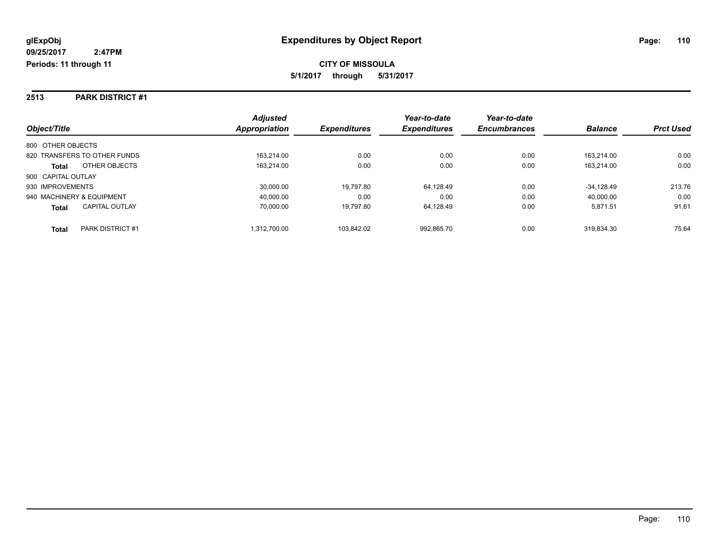#### **2513 PARK DISTRICT #1**

|                                       | <b>Adjusted</b> |                     | Year-to-date        | Year-to-date        |                |                  |
|---------------------------------------|-----------------|---------------------|---------------------|---------------------|----------------|------------------|
| Object/Title                          | Appropriation   | <b>Expenditures</b> | <b>Expenditures</b> | <b>Encumbrances</b> | <b>Balance</b> | <b>Prct Used</b> |
| 800 OTHER OBJECTS                     |                 |                     |                     |                     |                |                  |
| 820 TRANSFERS TO OTHER FUNDS          | 163.214.00      | 0.00                | 0.00                | 0.00                | 163.214.00     | 0.00             |
| OTHER OBJECTS<br><b>Total</b>         | 163,214.00      | 0.00                | 0.00                | 0.00                | 163.214.00     | 0.00             |
| 900 CAPITAL OUTLAY                    |                 |                     |                     |                     |                |                  |
| 930 IMPROVEMENTS                      | 30,000.00       | 19.797.80           | 64.128.49           | 0.00                | $-34.128.49$   | 213.76           |
| 940 MACHINERY & EQUIPMENT             | 40.000.00       | 0.00                | 0.00                | 0.00                | 40.000.00      | 0.00             |
| <b>CAPITAL OUTLAY</b><br><b>Total</b> | 70.000.00       | 19.797.80           | 64.128.49           | 0.00                | 5.871.51       | 91.61            |
| PARK DISTRICT #1<br>Total             | 1.312.700.00    | 103.842.02          | 992.865.70          | 0.00                | 319.834.30     | 75.64            |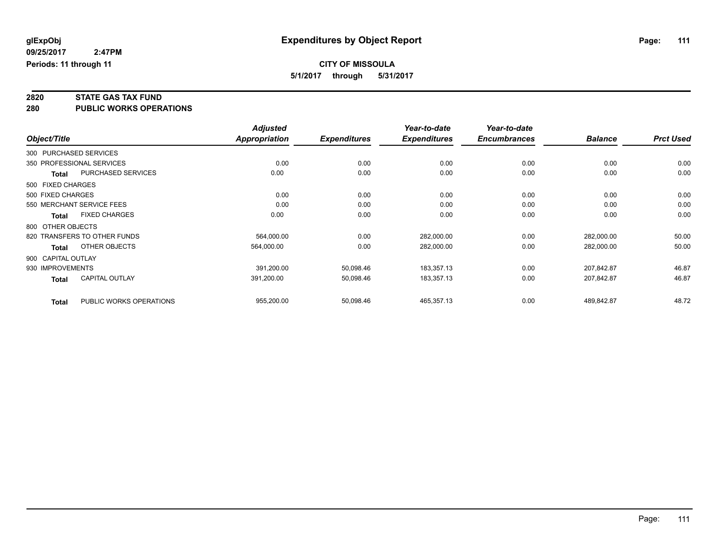# **2820 STATE GAS TAX FUND**

**280 PUBLIC WORKS OPERATIONS**

|              |                                         | <b>Adjusted</b> |                     | Year-to-date        | Year-to-date        |                |                  |
|--------------|-----------------------------------------|-----------------|---------------------|---------------------|---------------------|----------------|------------------|
| Object/Title |                                         | Appropriation   | <b>Expenditures</b> | <b>Expenditures</b> | <b>Encumbrances</b> | <b>Balance</b> | <b>Prct Used</b> |
|              | 300 PURCHASED SERVICES                  |                 |                     |                     |                     |                |                  |
|              | 350 PROFESSIONAL SERVICES               | 0.00            | 0.00                | 0.00                | 0.00                | 0.00           | 0.00             |
|              | PURCHASED SERVICES<br><b>Total</b>      | 0.00            | 0.00                | 0.00                | 0.00                | 0.00           | 0.00             |
|              | 500 FIXED CHARGES                       |                 |                     |                     |                     |                |                  |
|              | 500 FIXED CHARGES                       | 0.00            | 0.00                | 0.00                | 0.00                | 0.00           | 0.00             |
|              | 550 MERCHANT SERVICE FEES               | 0.00            | 0.00                | 0.00                | 0.00                | 0.00           | 0.00             |
|              | <b>FIXED CHARGES</b><br><b>Total</b>    | 0.00            | 0.00                | 0.00                | 0.00                | 0.00           | 0.00             |
|              | 800 OTHER OBJECTS                       |                 |                     |                     |                     |                |                  |
|              | 820 TRANSFERS TO OTHER FUNDS            | 564,000.00      | 0.00                | 282,000.00          | 0.00                | 282,000.00     | 50.00            |
|              | OTHER OBJECTS<br>Total                  | 564,000.00      | 0.00                | 282,000.00          | 0.00                | 282,000.00     | 50.00            |
|              | 900 CAPITAL OUTLAY                      |                 |                     |                     |                     |                |                  |
|              | 930 IMPROVEMENTS                        | 391,200.00      | 50,098.46           | 183,357.13          | 0.00                | 207,842.87     | 46.87            |
|              | <b>CAPITAL OUTLAY</b><br><b>Total</b>   | 391,200.00      | 50,098.46           | 183,357.13          | 0.00                | 207,842.87     | 46.87            |
|              | PUBLIC WORKS OPERATIONS<br><b>Total</b> | 955,200.00      | 50,098.46           | 465,357.13          | 0.00                | 489,842.87     | 48.72            |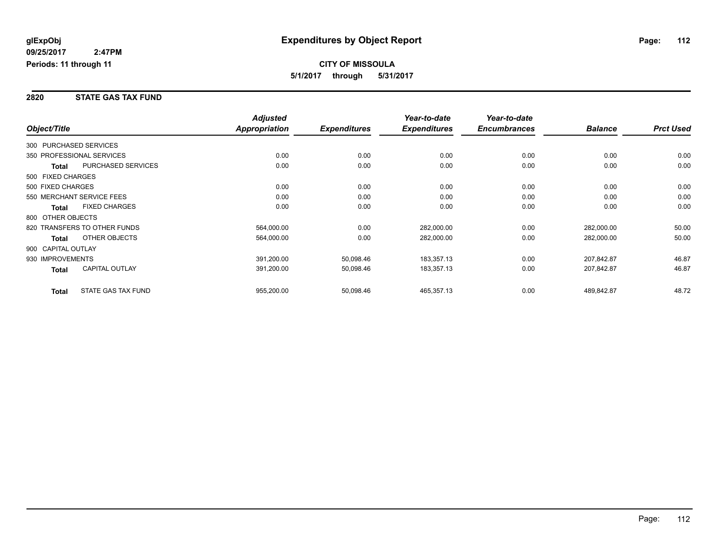#### **2820 STATE GAS TAX FUND**

|                        |                              | <b>Adjusted</b> |                     | Year-to-date        | Year-to-date        |                |                  |
|------------------------|------------------------------|-----------------|---------------------|---------------------|---------------------|----------------|------------------|
| Object/Title           |                              | Appropriation   | <b>Expenditures</b> | <b>Expenditures</b> | <b>Encumbrances</b> | <b>Balance</b> | <b>Prct Used</b> |
| 300 PURCHASED SERVICES |                              |                 |                     |                     |                     |                |                  |
|                        | 350 PROFESSIONAL SERVICES    | 0.00            | 0.00                | 0.00                | 0.00                | 0.00           | 0.00             |
| Total                  | PURCHASED SERVICES           | 0.00            | 0.00                | 0.00                | 0.00                | 0.00           | 0.00             |
| 500 FIXED CHARGES      |                              |                 |                     |                     |                     |                |                  |
| 500 FIXED CHARGES      |                              | 0.00            | 0.00                | 0.00                | 0.00                | 0.00           | 0.00             |
|                        | 550 MERCHANT SERVICE FEES    | 0.00            | 0.00                | 0.00                | 0.00                | 0.00           | 0.00             |
| <b>Total</b>           | <b>FIXED CHARGES</b>         | 0.00            | 0.00                | 0.00                | 0.00                | 0.00           | 0.00             |
| 800 OTHER OBJECTS      |                              |                 |                     |                     |                     |                |                  |
|                        | 820 TRANSFERS TO OTHER FUNDS | 564,000.00      | 0.00                | 282,000.00          | 0.00                | 282,000.00     | 50.00            |
| <b>Total</b>           | OTHER OBJECTS                | 564,000.00      | 0.00                | 282,000.00          | 0.00                | 282,000.00     | 50.00            |
| 900 CAPITAL OUTLAY     |                              |                 |                     |                     |                     |                |                  |
| 930 IMPROVEMENTS       |                              | 391,200.00      | 50,098.46           | 183,357.13          | 0.00                | 207,842.87     | 46.87            |
| Total                  | <b>CAPITAL OUTLAY</b>        | 391,200.00      | 50,098.46           | 183,357.13          | 0.00                | 207,842.87     | 46.87            |
| <b>Total</b>           | STATE GAS TAX FUND           | 955,200.00      | 50,098.46           | 465,357.13          | 0.00                | 489,842.87     | 48.72            |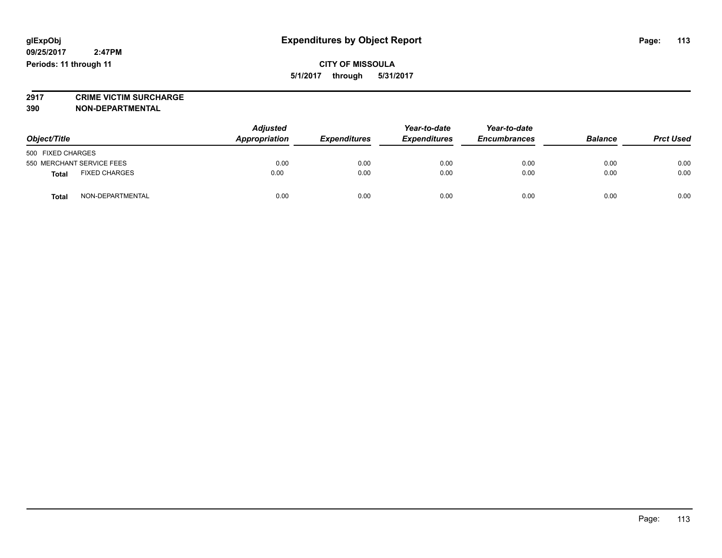# **2917 CRIME VICTIM SURCHARGE**

**390 NON-DEPARTMENTAL**

| Object/Title                         |                  | <b>Adjusted</b><br>Appropriation | <b>Expenditures</b> | Year-to-date<br><b>Expenditures</b> | Year-to-date<br><b>Encumbrances</b> | <b>Balance</b> | <b>Prct Used</b> |
|--------------------------------------|------------------|----------------------------------|---------------------|-------------------------------------|-------------------------------------|----------------|------------------|
| 500 FIXED CHARGES                    |                  |                                  |                     |                                     |                                     |                |                  |
| 550 MERCHANT SERVICE FEES            |                  | 0.00                             | 0.00                | 0.00                                | 0.00                                | 0.00           | 0.00             |
| <b>FIXED CHARGES</b><br><b>Total</b> |                  | 0.00                             | 0.00                | 0.00                                | 0.00                                | 0.00           | 0.00             |
| <b>Total</b>                         | NON-DEPARTMENTAL | 0.00                             | 0.00                | 0.00                                | 0.00                                | 0.00           | 0.00             |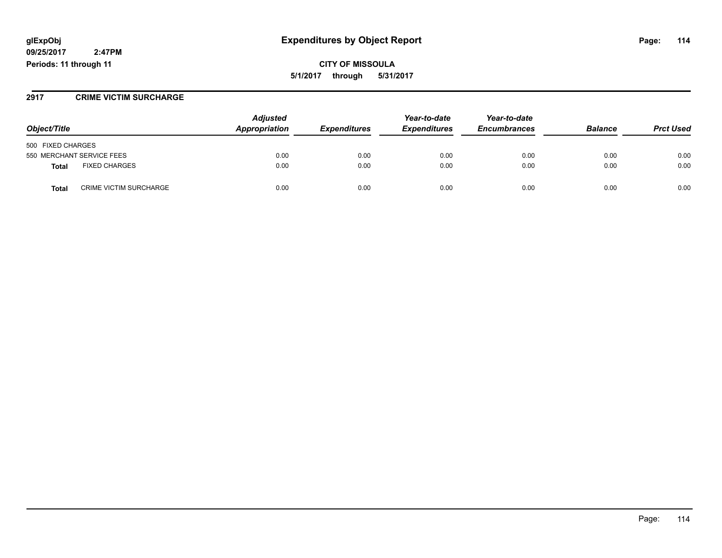### **glExpObj Expenditures by Object Report Page: 114**

**09/25/2017 2:47PM Periods: 11 through 11**

**CITY OF MISSOULA 5/1/2017 through 5/31/2017**

#### **2917 CRIME VICTIM SURCHARGE**

| Object/Title                           | <b>Adjusted</b><br>Appropriation | <b>Expenditures</b> | Year-to-date<br><b>Expenditures</b> | Year-to-date<br><b>Encumbrances</b> | <b>Balance</b> | <b>Prct Used</b> |
|----------------------------------------|----------------------------------|---------------------|-------------------------------------|-------------------------------------|----------------|------------------|
| 500 FIXED CHARGES                      |                                  |                     |                                     |                                     |                |                  |
| 550 MERCHANT SERVICE FEES              | 0.00                             | 0.00                | 0.00                                | 0.00                                | 0.00           | 0.00             |
| <b>FIXED CHARGES</b><br><b>Total</b>   | 0.00                             | 0.00                | 0.00                                | 0.00                                | 0.00           | 0.00             |
| <b>CRIME VICTIM SURCHARGE</b><br>Total | 0.00                             | 0.00                | 0.00                                | 0.00                                | 0.00           | 0.00             |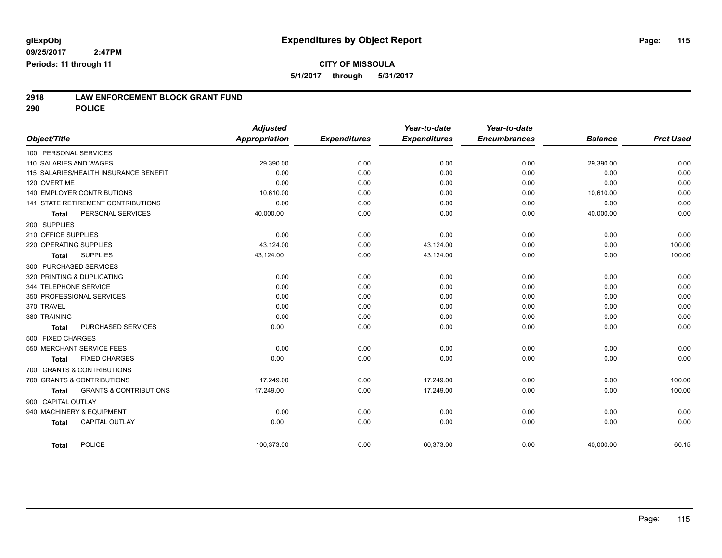**2918 LAW ENFORCEMENT BLOCK GRANT FUND**

**290 POLICE**

| Object/Title           |                                       | <b>Adjusted</b><br><b>Appropriation</b> | <b>Expenditures</b> | Year-to-date<br><b>Expenditures</b> | Year-to-date<br><b>Encumbrances</b> | <b>Balance</b> | <b>Prct Used</b> |
|------------------------|---------------------------------------|-----------------------------------------|---------------------|-------------------------------------|-------------------------------------|----------------|------------------|
| 100 PERSONAL SERVICES  |                                       |                                         |                     |                                     |                                     |                |                  |
| 110 SALARIES AND WAGES |                                       | 29,390.00                               | 0.00                | 0.00                                | 0.00                                | 29,390.00      | 0.00             |
|                        | 115 SALARIES/HEALTH INSURANCE BENEFIT | 0.00                                    | 0.00                | 0.00                                | 0.00                                | 0.00           | 0.00             |
| 120 OVERTIME           |                                       | 0.00                                    | 0.00                | 0.00                                | 0.00                                | 0.00           | 0.00             |
|                        | <b>140 EMPLOYER CONTRIBUTIONS</b>     | 10,610.00                               | 0.00                | 0.00                                | 0.00                                | 10,610.00      | 0.00             |
|                        | 141 STATE RETIREMENT CONTRIBUTIONS    | 0.00                                    | 0.00                | 0.00                                | 0.00                                | 0.00           | 0.00             |
| Total                  | PERSONAL SERVICES                     | 40,000.00                               | 0.00                | 0.00                                | 0.00                                | 40,000.00      | 0.00             |
| 200 SUPPLIES           |                                       |                                         |                     |                                     |                                     |                |                  |
| 210 OFFICE SUPPLIES    |                                       | 0.00                                    | 0.00                | 0.00                                | 0.00                                | 0.00           | 0.00             |
| 220 OPERATING SUPPLIES |                                       | 43,124.00                               | 0.00                | 43,124.00                           | 0.00                                | 0.00           | 100.00           |
| <b>Total</b>           | <b>SUPPLIES</b>                       | 43,124.00                               | 0.00                | 43,124.00                           | 0.00                                | 0.00           | 100.00           |
|                        | 300 PURCHASED SERVICES                |                                         |                     |                                     |                                     |                |                  |
|                        | 320 PRINTING & DUPLICATING            | 0.00                                    | 0.00                | 0.00                                | 0.00                                | 0.00           | 0.00             |
| 344 TELEPHONE SERVICE  |                                       | 0.00                                    | 0.00                | 0.00                                | 0.00                                | 0.00           | 0.00             |
|                        | 350 PROFESSIONAL SERVICES             | 0.00                                    | 0.00                | 0.00                                | 0.00                                | 0.00           | 0.00             |
| 370 TRAVEL             |                                       | 0.00                                    | 0.00                | 0.00                                | 0.00                                | 0.00           | 0.00             |
| 380 TRAINING           |                                       | 0.00                                    | 0.00                | 0.00                                | 0.00                                | 0.00           | 0.00             |
| <b>Total</b>           | PURCHASED SERVICES                    | 0.00                                    | 0.00                | 0.00                                | 0.00                                | 0.00           | 0.00             |
| 500 FIXED CHARGES      |                                       |                                         |                     |                                     |                                     |                |                  |
|                        | 550 MERCHANT SERVICE FEES             | 0.00                                    | 0.00                | 0.00                                | 0.00                                | 0.00           | 0.00             |
| Total                  | <b>FIXED CHARGES</b>                  | 0.00                                    | 0.00                | 0.00                                | 0.00                                | 0.00           | 0.00             |
|                        | 700 GRANTS & CONTRIBUTIONS            |                                         |                     |                                     |                                     |                |                  |
|                        | 700 GRANTS & CONTRIBUTIONS            | 17.249.00                               | 0.00                | 17,249.00                           | 0.00                                | 0.00           | 100.00           |
| <b>Total</b>           | <b>GRANTS &amp; CONTRIBUTIONS</b>     | 17,249.00                               | 0.00                | 17,249.00                           | 0.00                                | 0.00           | 100.00           |
| 900 CAPITAL OUTLAY     |                                       |                                         |                     |                                     |                                     |                |                  |
|                        | 940 MACHINERY & EQUIPMENT             | 0.00                                    | 0.00                | 0.00                                | 0.00                                | 0.00           | 0.00             |
| <b>Total</b>           | <b>CAPITAL OUTLAY</b>                 | 0.00                                    | 0.00                | 0.00                                | 0.00                                | 0.00           | 0.00             |
| Total                  | POLICE                                | 100,373.00                              | 0.00                | 60,373.00                           | 0.00                                | 40,000.00      | 60.15            |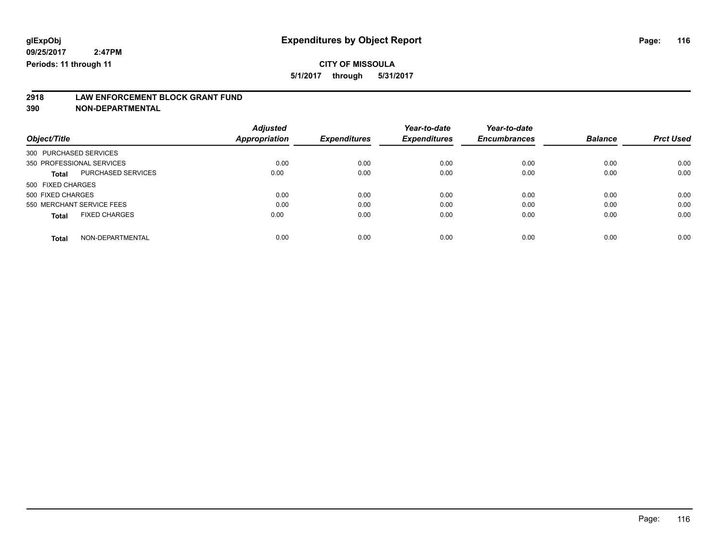## **CITY OF MISSOULA**

**5/1/2017 through 5/31/2017**

# **2918 LAW ENFORCEMENT BLOCK GRANT FUND**

**390 NON-DEPARTMENTAL**

| Object/Title                         | <b>Adjusted</b><br>Appropriation | <b>Expenditures</b> | Year-to-date<br><b>Expenditures</b> | Year-to-date<br><b>Encumbrances</b> | <b>Balance</b> | <b>Prct Used</b> |
|--------------------------------------|----------------------------------|---------------------|-------------------------------------|-------------------------------------|----------------|------------------|
| 300 PURCHASED SERVICES               |                                  |                     |                                     |                                     |                |                  |
| 350 PROFESSIONAL SERVICES            | 0.00                             | 0.00                | 0.00                                | 0.00                                | 0.00           | 0.00             |
| PURCHASED SERVICES<br><b>Total</b>   | 0.00                             | 0.00                | 0.00                                | 0.00                                | 0.00           | 0.00             |
| 500 FIXED CHARGES                    |                                  |                     |                                     |                                     |                |                  |
| 500 FIXED CHARGES                    | 0.00                             | 0.00                | 0.00                                | 0.00                                | 0.00           | 0.00             |
| 550 MERCHANT SERVICE FEES            | 0.00                             | 0.00                | 0.00                                | 0.00                                | 0.00           | 0.00             |
| <b>FIXED CHARGES</b><br><b>Total</b> | 0.00                             | 0.00                | 0.00                                | 0.00                                | 0.00           | 0.00             |
| NON-DEPARTMENTAL<br><b>Total</b>     | 0.00                             | 0.00                | 0.00                                | 0.00                                | 0.00           | 0.00             |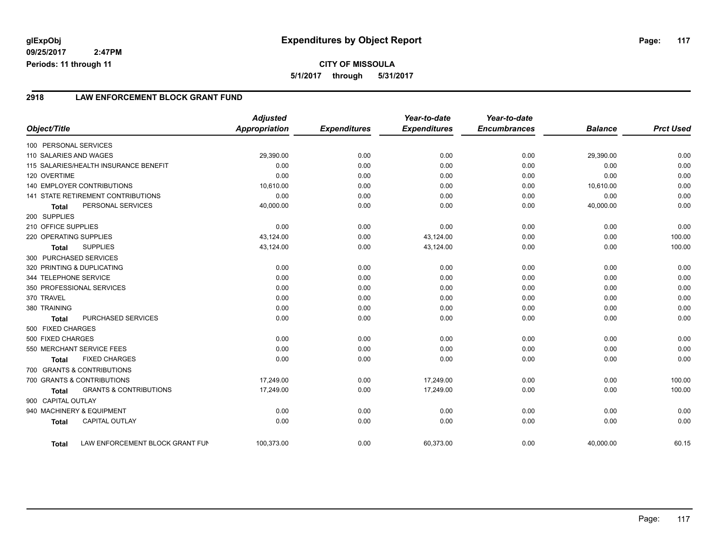#### **2918 LAW ENFORCEMENT BLOCK GRANT FUND**

|                        |                                       | <b>Adjusted</b>      |                     | Year-to-date        | Year-to-date        |                |                  |
|------------------------|---------------------------------------|----------------------|---------------------|---------------------|---------------------|----------------|------------------|
| Object/Title           |                                       | <b>Appropriation</b> | <b>Expenditures</b> | <b>Expenditures</b> | <b>Encumbrances</b> | <b>Balance</b> | <b>Prct Used</b> |
| 100 PERSONAL SERVICES  |                                       |                      |                     |                     |                     |                |                  |
| 110 SALARIES AND WAGES |                                       | 29,390.00            | 0.00                | 0.00                | 0.00                | 29,390.00      | 0.00             |
|                        | 115 SALARIES/HEALTH INSURANCE BENEFIT | 0.00                 | 0.00                | 0.00                | 0.00                | 0.00           | 0.00             |
| 120 OVERTIME           |                                       | 0.00                 | 0.00                | 0.00                | 0.00                | 0.00           | 0.00             |
|                        | <b>140 EMPLOYER CONTRIBUTIONS</b>     | 10,610.00            | 0.00                | 0.00                | 0.00                | 10,610.00      | 0.00             |
|                        | 141 STATE RETIREMENT CONTRIBUTIONS    | 0.00                 | 0.00                | 0.00                | 0.00                | 0.00           | 0.00             |
| <b>Total</b>           | PERSONAL SERVICES                     | 40,000.00            | 0.00                | 0.00                | 0.00                | 40,000.00      | 0.00             |
| 200 SUPPLIES           |                                       |                      |                     |                     |                     |                |                  |
| 210 OFFICE SUPPLIES    |                                       | 0.00                 | 0.00                | 0.00                | 0.00                | 0.00           | 0.00             |
| 220 OPERATING SUPPLIES |                                       | 43,124.00            | 0.00                | 43,124.00           | 0.00                | 0.00           | 100.00           |
| <b>Total</b>           | <b>SUPPLIES</b>                       | 43,124.00            | 0.00                | 43,124.00           | 0.00                | 0.00           | 100.00           |
| 300 PURCHASED SERVICES |                                       |                      |                     |                     |                     |                |                  |
|                        | 320 PRINTING & DUPLICATING            | 0.00                 | 0.00                | 0.00                | 0.00                | 0.00           | 0.00             |
| 344 TELEPHONE SERVICE  |                                       | 0.00                 | 0.00                | 0.00                | 0.00                | 0.00           | 0.00             |
|                        | 350 PROFESSIONAL SERVICES             | 0.00                 | 0.00                | 0.00                | 0.00                | 0.00           | 0.00             |
| 370 TRAVEL             |                                       | 0.00                 | 0.00                | 0.00                | 0.00                | 0.00           | 0.00             |
| 380 TRAINING           |                                       | 0.00                 | 0.00                | 0.00                | 0.00                | 0.00           | 0.00             |
| <b>Total</b>           | PURCHASED SERVICES                    | 0.00                 | 0.00                | 0.00                | 0.00                | 0.00           | 0.00             |
| 500 FIXED CHARGES      |                                       |                      |                     |                     |                     |                |                  |
| 500 FIXED CHARGES      |                                       | 0.00                 | 0.00                | 0.00                | 0.00                | 0.00           | 0.00             |
|                        | 550 MERCHANT SERVICE FEES             | 0.00                 | 0.00                | 0.00                | 0.00                | 0.00           | 0.00             |
| <b>Total</b>           | <b>FIXED CHARGES</b>                  | 0.00                 | 0.00                | 0.00                | 0.00                | 0.00           | 0.00             |
|                        | 700 GRANTS & CONTRIBUTIONS            |                      |                     |                     |                     |                |                  |
|                        | 700 GRANTS & CONTRIBUTIONS            | 17,249.00            | 0.00                | 17,249.00           | 0.00                | 0.00           | 100.00           |
| <b>Total</b>           | <b>GRANTS &amp; CONTRIBUTIONS</b>     | 17,249.00            | 0.00                | 17,249.00           | 0.00                | 0.00           | 100.00           |
| 900 CAPITAL OUTLAY     |                                       |                      |                     |                     |                     |                |                  |
|                        | 940 MACHINERY & EQUIPMENT             | 0.00                 | 0.00                | 0.00                | 0.00                | 0.00           | 0.00             |
| <b>Total</b>           | <b>CAPITAL OUTLAY</b>                 | 0.00                 | 0.00                | 0.00                | 0.00                | 0.00           | 0.00             |
| Total                  | LAW ENFORCEMENT BLOCK GRANT FUN       | 100,373.00           | 0.00                | 60,373.00           | 0.00                | 40,000.00      | 60.15            |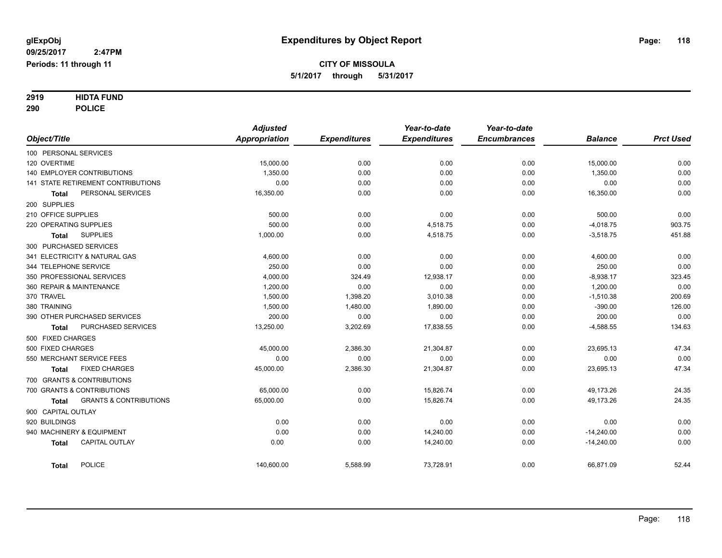# **2919 HIDTA FUND**

**290 POLICE**

|                                                   | <b>Adjusted</b> |                     | Year-to-date        | Year-to-date        |                |                  |
|---------------------------------------------------|-----------------|---------------------|---------------------|---------------------|----------------|------------------|
| Object/Title                                      | Appropriation   | <b>Expenditures</b> | <b>Expenditures</b> | <b>Encumbrances</b> | <b>Balance</b> | <b>Prct Used</b> |
| 100 PERSONAL SERVICES                             |                 |                     |                     |                     |                |                  |
| 120 OVERTIME                                      | 15,000.00       | 0.00                | 0.00                | 0.00                | 15,000.00      | 0.00             |
| <b>140 EMPLOYER CONTRIBUTIONS</b>                 | 1,350.00        | 0.00                | 0.00                | 0.00                | 1,350.00       | 0.00             |
| 141 STATE RETIREMENT CONTRIBUTIONS                | 0.00            | 0.00                | 0.00                | 0.00                | 0.00           | 0.00             |
| PERSONAL SERVICES<br><b>Total</b>                 | 16,350.00       | 0.00                | 0.00                | 0.00                | 16,350.00      | 0.00             |
| 200 SUPPLIES                                      |                 |                     |                     |                     |                |                  |
| 210 OFFICE SUPPLIES                               | 500.00          | 0.00                | 0.00                | 0.00                | 500.00         | 0.00             |
| 220 OPERATING SUPPLIES                            | 500.00          | 0.00                | 4,518.75            | 0.00                | $-4,018.75$    | 903.75           |
| <b>SUPPLIES</b><br><b>Total</b>                   | 1,000.00        | 0.00                | 4,518.75            | 0.00                | $-3,518.75$    | 451.88           |
| 300 PURCHASED SERVICES                            |                 |                     |                     |                     |                |                  |
| 341 ELECTRICITY & NATURAL GAS                     | 4,600.00        | 0.00                | 0.00                | 0.00                | 4,600.00       | 0.00             |
| 344 TELEPHONE SERVICE                             | 250.00          | 0.00                | 0.00                | 0.00                | 250.00         | 0.00             |
| 350 PROFESSIONAL SERVICES                         | 4,000.00        | 324.49              | 12,938.17           | 0.00                | $-8,938.17$    | 323.45           |
| 360 REPAIR & MAINTENANCE                          | 1,200.00        | 0.00                | 0.00                | 0.00                | 1,200.00       | 0.00             |
| 370 TRAVEL                                        | 1,500.00        | 1,398.20            | 3,010.38            | 0.00                | $-1,510.38$    | 200.69           |
| 380 TRAINING                                      | 1.500.00        | 1,480.00            | 1,890.00            | 0.00                | $-390.00$      | 126.00           |
| 390 OTHER PURCHASED SERVICES                      | 200.00          | 0.00                | 0.00                | 0.00                | 200.00         | 0.00             |
| PURCHASED SERVICES<br><b>Total</b>                | 13,250.00       | 3,202.69            | 17,838.55           | 0.00                | $-4,588.55$    | 134.63           |
| 500 FIXED CHARGES                                 |                 |                     |                     |                     |                |                  |
| 500 FIXED CHARGES                                 | 45,000.00       | 2,386.30            | 21,304.87           | 0.00                | 23,695.13      | 47.34            |
| 550 MERCHANT SERVICE FEES                         | 0.00            | 0.00                | 0.00                | 0.00                | 0.00           | 0.00             |
| <b>FIXED CHARGES</b><br>Total                     | 45,000.00       | 2,386.30            | 21,304.87           | 0.00                | 23,695.13      | 47.34            |
| 700 GRANTS & CONTRIBUTIONS                        |                 |                     |                     |                     |                |                  |
| 700 GRANTS & CONTRIBUTIONS                        | 65,000.00       | 0.00                | 15.826.74           | 0.00                | 49.173.26      | 24.35            |
| <b>GRANTS &amp; CONTRIBUTIONS</b><br><b>Total</b> | 65,000.00       | 0.00                | 15,826.74           | 0.00                | 49,173.26      | 24.35            |
| 900 CAPITAL OUTLAY                                |                 |                     |                     |                     |                |                  |
| 920 BUILDINGS                                     | 0.00            | 0.00                | 0.00                | 0.00                | 0.00           | 0.00             |
| 940 MACHINERY & EQUIPMENT                         | 0.00            | 0.00                | 14,240.00           | 0.00                | $-14,240.00$   | 0.00             |
| <b>CAPITAL OUTLAY</b><br><b>Total</b>             | 0.00            | 0.00                | 14,240.00           | 0.00                | $-14,240.00$   | 0.00             |
| <b>POLICE</b><br><b>Total</b>                     | 140.600.00      | 5,588.99            | 73,728.91           | 0.00                | 66,871.09      | 52.44            |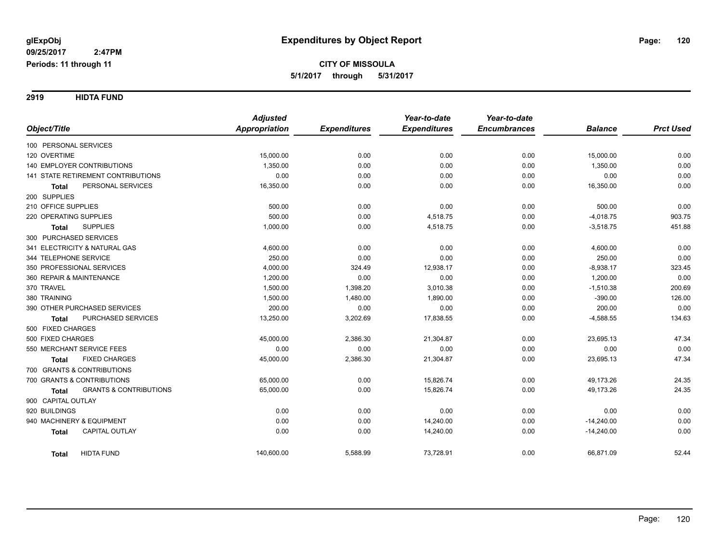**2919 HIDTA FUND**

|                                                   | <b>Adjusted</b> |                     | Year-to-date        | Year-to-date        |                |                  |
|---------------------------------------------------|-----------------|---------------------|---------------------|---------------------|----------------|------------------|
| Object/Title                                      | Appropriation   | <b>Expenditures</b> | <b>Expenditures</b> | <b>Encumbrances</b> | <b>Balance</b> | <b>Prct Used</b> |
| 100 PERSONAL SERVICES                             |                 |                     |                     |                     |                |                  |
| 120 OVERTIME                                      | 15,000.00       | 0.00                | 0.00                | 0.00                | 15,000.00      | 0.00             |
| 140 EMPLOYER CONTRIBUTIONS                        | 1,350.00        | 0.00                | 0.00                | 0.00                | 1,350.00       | 0.00             |
| <b>141 STATE RETIREMENT CONTRIBUTIONS</b>         | 0.00            | 0.00                | 0.00                | 0.00                | 0.00           | 0.00             |
| PERSONAL SERVICES<br><b>Total</b>                 | 16,350.00       | 0.00                | 0.00                | 0.00                | 16,350.00      | 0.00             |
| 200 SUPPLIES                                      |                 |                     |                     |                     |                |                  |
| 210 OFFICE SUPPLIES                               | 500.00          | 0.00                | 0.00                | 0.00                | 500.00         | 0.00             |
| 220 OPERATING SUPPLIES                            | 500.00          | 0.00                | 4,518.75            | 0.00                | $-4,018.75$    | 903.75           |
| <b>SUPPLIES</b><br><b>Total</b>                   | 1,000.00        | 0.00                | 4,518.75            | 0.00                | $-3,518.75$    | 451.88           |
| 300 PURCHASED SERVICES                            |                 |                     |                     |                     |                |                  |
| 341 ELECTRICITY & NATURAL GAS                     | 4,600.00        | 0.00                | 0.00                | 0.00                | 4,600.00       | 0.00             |
| 344 TELEPHONE SERVICE                             | 250.00          | 0.00                | 0.00                | 0.00                | 250.00         | 0.00             |
| 350 PROFESSIONAL SERVICES                         | 4,000.00        | 324.49              | 12,938.17           | 0.00                | $-8,938.17$    | 323.45           |
| 360 REPAIR & MAINTENANCE                          | 1,200.00        | 0.00                | 0.00                | 0.00                | 1,200.00       | 0.00             |
| 370 TRAVEL                                        | 1,500.00        | 1,398.20            | 3,010.38            | 0.00                | $-1,510.38$    | 200.69           |
| 380 TRAINING                                      | 1,500.00        | 1,480.00            | 1,890.00            | 0.00                | $-390.00$      | 126.00           |
| 390 OTHER PURCHASED SERVICES                      | 200.00          | 0.00                | 0.00                | 0.00                | 200.00         | 0.00             |
| PURCHASED SERVICES<br><b>Total</b>                | 13,250.00       | 3,202.69            | 17,838.55           | 0.00                | $-4,588.55$    | 134.63           |
| 500 FIXED CHARGES                                 |                 |                     |                     |                     |                |                  |
| 500 FIXED CHARGES                                 | 45,000.00       | 2,386.30            | 21,304.87           | 0.00                | 23,695.13      | 47.34            |
| 550 MERCHANT SERVICE FEES                         | 0.00            | 0.00                | 0.00                | 0.00                | 0.00           | 0.00             |
| <b>FIXED CHARGES</b><br>Total                     | 45,000.00       | 2,386.30            | 21,304.87           | 0.00                | 23,695.13      | 47.34            |
| 700 GRANTS & CONTRIBUTIONS                        |                 |                     |                     |                     |                |                  |
| 700 GRANTS & CONTRIBUTIONS                        | 65,000.00       | 0.00                | 15,826.74           | 0.00                | 49,173.26      | 24.35            |
| <b>GRANTS &amp; CONTRIBUTIONS</b><br><b>Total</b> | 65,000.00       | 0.00                | 15,826.74           | 0.00                | 49,173.26      | 24.35            |
| 900 CAPITAL OUTLAY                                |                 |                     |                     |                     |                |                  |
| 920 BUILDINGS                                     | 0.00            | 0.00                | 0.00                | 0.00                | 0.00           | 0.00             |
| 940 MACHINERY & EQUIPMENT                         | 0.00            | 0.00                | 14,240.00           | 0.00                | $-14,240.00$   | 0.00             |
| CAPITAL OUTLAY<br><b>Total</b>                    | 0.00            | 0.00                | 14,240.00           | 0.00                | $-14,240.00$   | 0.00             |
| <b>HIDTA FUND</b><br><b>Total</b>                 | 140,600.00      | 5,588.99            | 73,728.91           | 0.00                | 66,871.09      | 52.44            |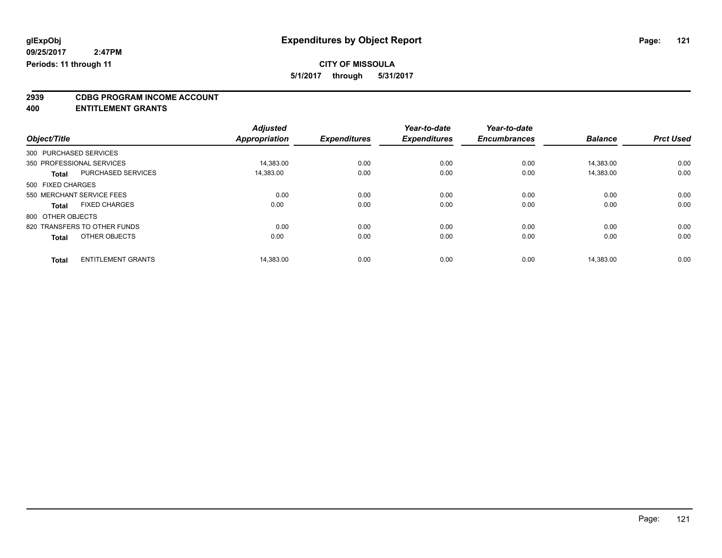## **CITY OF MISSOULA**

**5/1/2017 through 5/31/2017**

# **2939 CDBG PROGRAM INCOME ACCOUNT**

**400 ENTITLEMENT GRANTS**

|                   |                              | <b>Adjusted</b>      |                     | Year-to-date        | Year-to-date        |                |                  |
|-------------------|------------------------------|----------------------|---------------------|---------------------|---------------------|----------------|------------------|
| Object/Title      |                              | <b>Appropriation</b> | <b>Expenditures</b> | <b>Expenditures</b> | <b>Encumbrances</b> | <b>Balance</b> | <b>Prct Used</b> |
|                   | 300 PURCHASED SERVICES       |                      |                     |                     |                     |                |                  |
|                   | 350 PROFESSIONAL SERVICES    | 14,383.00            | 0.00                | 0.00                | 0.00                | 14.383.00      | 0.00             |
| <b>Total</b>      | PURCHASED SERVICES           | 14.383.00            | 0.00                | 0.00                | 0.00                | 14.383.00      | 0.00             |
| 500 FIXED CHARGES |                              |                      |                     |                     |                     |                |                  |
|                   | 550 MERCHANT SERVICE FEES    | 0.00                 | 0.00                | 0.00                | 0.00                | 0.00           | 0.00             |
| <b>Total</b>      | <b>FIXED CHARGES</b>         | 0.00                 | 0.00                | 0.00                | 0.00                | 0.00           | 0.00             |
| 800 OTHER OBJECTS |                              |                      |                     |                     |                     |                |                  |
|                   | 820 TRANSFERS TO OTHER FUNDS | 0.00                 | 0.00                | 0.00                | 0.00                | 0.00           | 0.00             |
| <b>Total</b>      | OTHER OBJECTS                | 0.00                 | 0.00                | 0.00                | 0.00                | 0.00           | 0.00             |
|                   |                              |                      |                     |                     |                     |                |                  |
| <b>Total</b>      | <b>ENTITLEMENT GRANTS</b>    | 14,383.00            | 0.00                | 0.00                | 0.00                | 14.383.00      | 0.00             |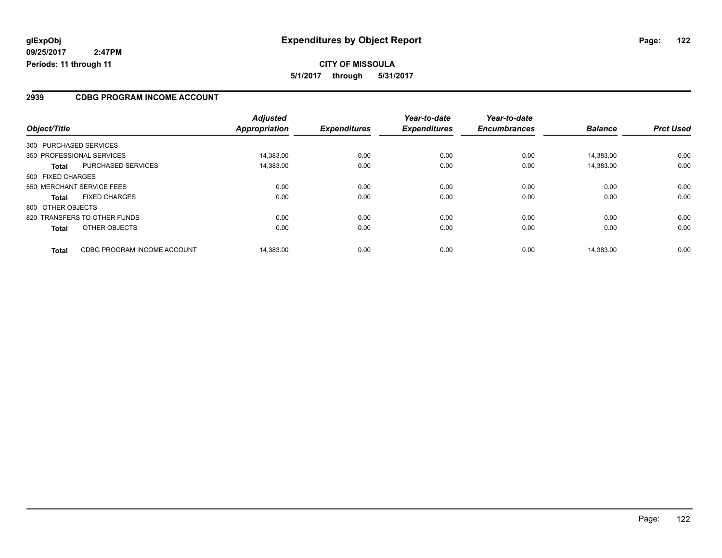#### **2939 CDBG PROGRAM INCOME ACCOUNT**

| Object/Title           |                              | <b>Adjusted</b> | <b>Expenditures</b> | Year-to-date<br><b>Expenditures</b> | Year-to-date<br><b>Encumbrances</b> | <b>Balance</b> | <b>Prct Used</b> |
|------------------------|------------------------------|-----------------|---------------------|-------------------------------------|-------------------------------------|----------------|------------------|
|                        |                              | Appropriation   |                     |                                     |                                     |                |                  |
| 300 PURCHASED SERVICES |                              |                 |                     |                                     |                                     |                |                  |
|                        | 350 PROFESSIONAL SERVICES    | 14.383.00       | 0.00                | 0.00                                | 0.00                                | 14.383.00      | 0.00             |
| <b>Total</b>           | <b>PURCHASED SERVICES</b>    | 14,383.00       | 0.00                | 0.00                                | 0.00                                | 14,383.00      | 0.00             |
| 500 FIXED CHARGES      |                              |                 |                     |                                     |                                     |                |                  |
|                        | 550 MERCHANT SERVICE FEES    | 0.00            | 0.00                | 0.00                                | 0.00                                | 0.00           | 0.00             |
| <b>Total</b>           | <b>FIXED CHARGES</b>         | 0.00            | 0.00                | 0.00                                | 0.00                                | 0.00           | 0.00             |
| 800 OTHER OBJECTS      |                              |                 |                     |                                     |                                     |                |                  |
|                        | 820 TRANSFERS TO OTHER FUNDS | 0.00            | 0.00                | 0.00                                | 0.00                                | 0.00           | 0.00             |
| <b>Total</b>           | OTHER OBJECTS                | 0.00            | 0.00                | 0.00                                | 0.00                                | 0.00           | 0.00             |
| <b>Total</b>           | CDBG PROGRAM INCOME ACCOUNT  | 14.383.00       | 0.00                | 0.00                                | 0.00                                | 14.383.00      | 0.00             |

Page: 122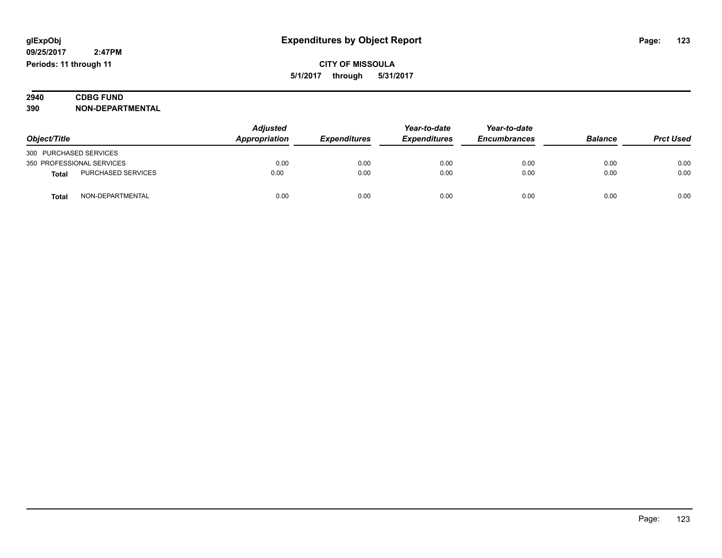| 2940 | <b>CDBG FUND</b>        |
|------|-------------------------|
| 390  | <b>NON-DEPARTMENTAL</b> |

| Object/Title           |                           | <b>Adjusted</b><br>Appropriation |                            | Year-to-date        | Year-to-date        | <b>Balance</b> | <b>Prct Used</b> |
|------------------------|---------------------------|----------------------------------|----------------------------|---------------------|---------------------|----------------|------------------|
|                        |                           |                                  | <i><b>Expenditures</b></i> | <b>Expenditures</b> | <b>Encumbrances</b> |                |                  |
| 300 PURCHASED SERVICES |                           |                                  |                            |                     |                     |                |                  |
|                        | 350 PROFESSIONAL SERVICES | 0.00                             | 0.00                       | 0.00                | 0.00                | 0.00           | 0.00             |
| <b>Total</b>           | PURCHASED SERVICES        | 0.00                             | 0.00                       | 0.00                | 0.00                | 0.00           | 0.00             |
| <b>Total</b>           | NON-DEPARTMENTAL          | 0.00                             | 0.00                       | 0.00                | 0.00                | 0.00           | 0.00             |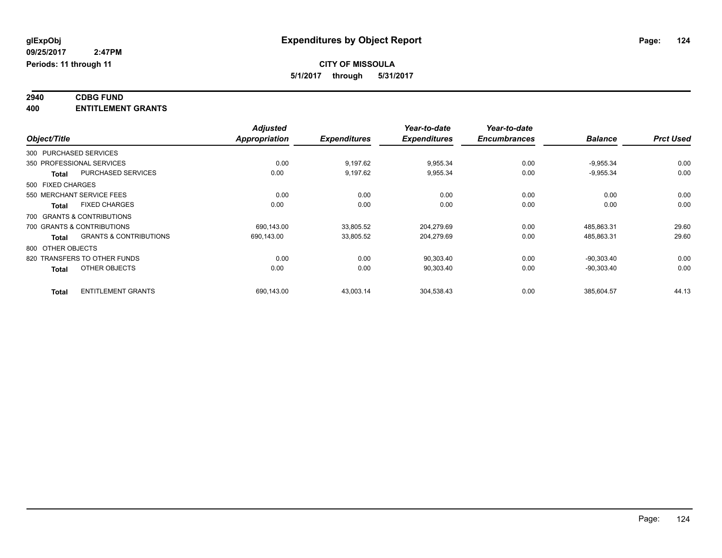#### **2940 CDBG FUND 400 ENTITLEMENT GRANTS**

| Object/Title      |                                   | <b>Adjusted</b><br><b>Appropriation</b> | <b>Expenditures</b> | Year-to-date<br><b>Expenditures</b> | Year-to-date<br><b>Encumbrances</b> | <b>Balance</b> | <b>Prct Used</b> |
|-------------------|-----------------------------------|-----------------------------------------|---------------------|-------------------------------------|-------------------------------------|----------------|------------------|
|                   |                                   |                                         |                     |                                     |                                     |                |                  |
|                   | 350 PROFESSIONAL SERVICES         | 0.00                                    | 9,197.62            | 9,955.34                            | 0.00                                | $-9,955.34$    | 0.00             |
| <b>Total</b>      | <b>PURCHASED SERVICES</b>         | 0.00                                    | 9,197.62            | 9,955.34                            | 0.00                                | $-9,955.34$    | 0.00             |
| 500 FIXED CHARGES |                                   |                                         |                     |                                     |                                     |                |                  |
|                   | 550 MERCHANT SERVICE FEES         | 0.00                                    | 0.00                | 0.00                                | 0.00                                | 0.00           | 0.00             |
| <b>Total</b>      | <b>FIXED CHARGES</b>              | 0.00                                    | 0.00                | 0.00                                | 0.00                                | 0.00           | 0.00             |
|                   | 700 GRANTS & CONTRIBUTIONS        |                                         |                     |                                     |                                     |                |                  |
|                   | 700 GRANTS & CONTRIBUTIONS        | 690.143.00                              | 33,805.52           | 204.279.69                          | 0.00                                | 485.863.31     | 29.60            |
| <b>Total</b>      | <b>GRANTS &amp; CONTRIBUTIONS</b> | 690,143.00                              | 33,805.52           | 204,279.69                          | 0.00                                | 485,863.31     | 29.60            |
| 800 OTHER OBJECTS |                                   |                                         |                     |                                     |                                     |                |                  |
|                   | 820 TRANSFERS TO OTHER FUNDS      | 0.00                                    | 0.00                | 90,303.40                           | 0.00                                | $-90.303.40$   | 0.00             |
| <b>Total</b>      | OTHER OBJECTS                     | 0.00                                    | 0.00                | 90,303.40                           | 0.00                                | $-90,303.40$   | 0.00             |
| <b>Total</b>      | <b>ENTITLEMENT GRANTS</b>         | 690,143.00                              | 43,003.14           | 304,538.43                          | 0.00                                | 385.604.57     | 44.13            |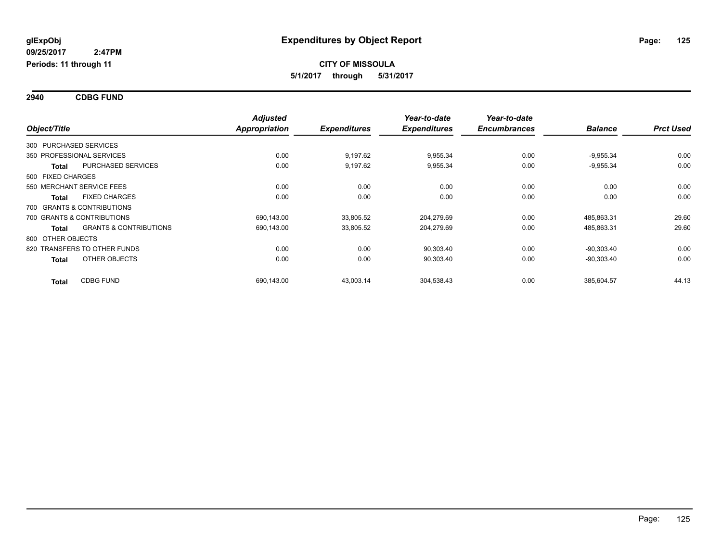**2940 CDBG FUND**

| Object/Title      |                                   | <b>Adjusted</b>      | <b>Expenditures</b> | Year-to-date<br><b>Expenditures</b> | Year-to-date<br><b>Encumbrances</b> | <b>Balance</b> | <b>Prct Used</b> |
|-------------------|-----------------------------------|----------------------|---------------------|-------------------------------------|-------------------------------------|----------------|------------------|
|                   |                                   | <b>Appropriation</b> |                     |                                     |                                     |                |                  |
|                   | 300 PURCHASED SERVICES            |                      |                     |                                     |                                     |                |                  |
|                   | 350 PROFESSIONAL SERVICES         | 0.00                 | 9,197.62            | 9,955.34                            | 0.00                                | $-9,955.34$    | 0.00             |
| <b>Total</b>      | <b>PURCHASED SERVICES</b>         | 0.00                 | 9.197.62            | 9,955.34                            | 0.00                                | $-9,955.34$    | 0.00             |
| 500 FIXED CHARGES |                                   |                      |                     |                                     |                                     |                |                  |
|                   | 550 MERCHANT SERVICE FEES         | 0.00                 | 0.00                | 0.00                                | 0.00                                | 0.00           | 0.00             |
| <b>Total</b>      | <b>FIXED CHARGES</b>              | 0.00                 | 0.00                | 0.00                                | 0.00                                | 0.00           | 0.00             |
|                   | 700 GRANTS & CONTRIBUTIONS        |                      |                     |                                     |                                     |                |                  |
|                   | 700 GRANTS & CONTRIBUTIONS        | 690,143.00           | 33,805.52           | 204,279.69                          | 0.00                                | 485,863.31     | 29.60            |
| <b>Total</b>      | <b>GRANTS &amp; CONTRIBUTIONS</b> | 690,143.00           | 33,805.52           | 204,279.69                          | 0.00                                | 485,863.31     | 29.60            |
| 800 OTHER OBJECTS |                                   |                      |                     |                                     |                                     |                |                  |
|                   | 820 TRANSFERS TO OTHER FUNDS      | 0.00                 | 0.00                | 90,303.40                           | 0.00                                | $-90,303.40$   | 0.00             |
| <b>Total</b>      | OTHER OBJECTS                     | 0.00                 | 0.00                | 90,303.40                           | 0.00                                | $-90,303.40$   | 0.00             |
| <b>Total</b>      | <b>CDBG FUND</b>                  | 690,143.00           | 43,003.14           | 304,538.43                          | 0.00                                | 385,604.57     | 44.13            |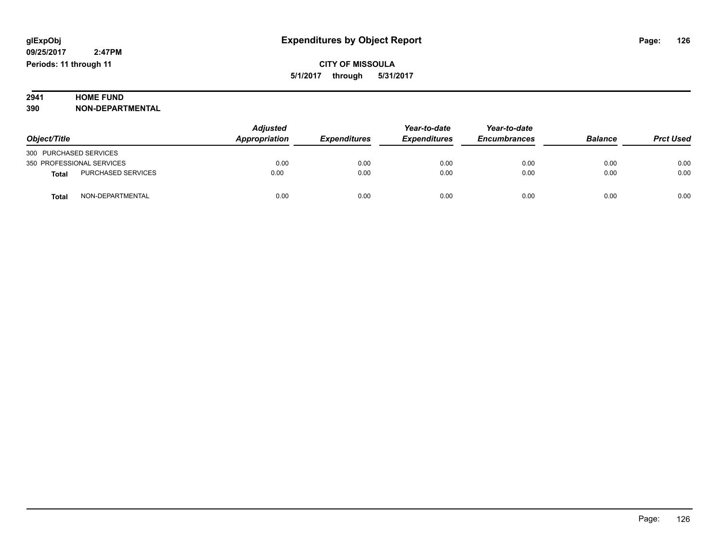# **2941 HOME FUND<br>390 NON-DEPART**

**390 NON-DEPARTMENTAL**

|                                    | Adjusted      |                     | Year-to-date        | Year-to-date<br><b>Encumbrances</b> | <b>Balance</b> | <b>Prct Used</b> |
|------------------------------------|---------------|---------------------|---------------------|-------------------------------------|----------------|------------------|
| Object/Title                       | Appropriation | <b>Expenditures</b> | <b>Expenditures</b> |                                     |                |                  |
| 300 PURCHASED SERVICES             |               |                     |                     |                                     |                |                  |
| 350 PROFESSIONAL SERVICES          | 0.00          | 0.00                | 0.00                | 0.00                                | 0.00           | 0.00             |
| PURCHASED SERVICES<br><b>Total</b> | 0.00          | 0.00                | 0.00                | 0.00                                | 0.00           | 0.00             |
| NON-DEPARTMENTAL<br><b>Total</b>   | 0.00          | 0.00                | 0.00                | 0.00                                | 0.00           | 0.00             |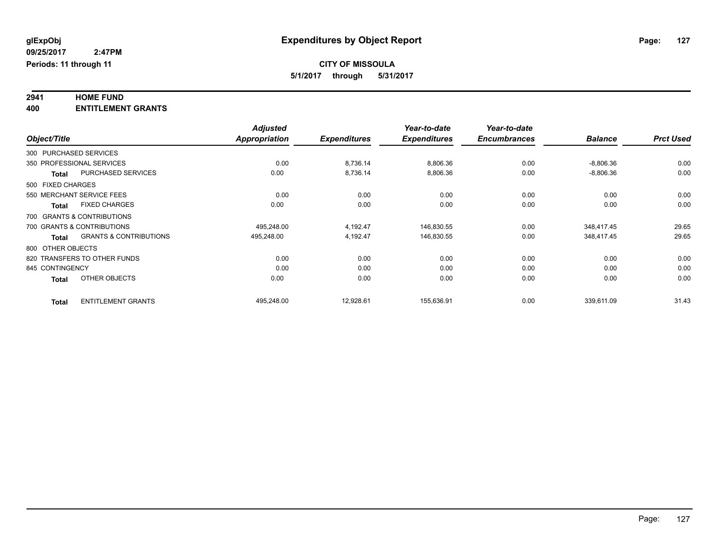# **2941 HOME FUND**

**400 ENTITLEMENT GRANTS**

|                   |                                   | <b>Adjusted</b>      |                     | Year-to-date        | Year-to-date        |                |                  |
|-------------------|-----------------------------------|----------------------|---------------------|---------------------|---------------------|----------------|------------------|
| Object/Title      |                                   | <b>Appropriation</b> | <b>Expenditures</b> | <b>Expenditures</b> | <b>Encumbrances</b> | <b>Balance</b> | <b>Prct Used</b> |
|                   | 300 PURCHASED SERVICES            |                      |                     |                     |                     |                |                  |
|                   | 350 PROFESSIONAL SERVICES         | 0.00                 | 8,736.14            | 8,806.36            | 0.00                | $-8,806.36$    | 0.00             |
| <b>Total</b>      | <b>PURCHASED SERVICES</b>         | 0.00                 | 8,736.14            | 8,806.36            | 0.00                | $-8,806.36$    | 0.00             |
| 500 FIXED CHARGES |                                   |                      |                     |                     |                     |                |                  |
|                   | 550 MERCHANT SERVICE FEES         | 0.00                 | 0.00                | 0.00                | 0.00                | 0.00           | 0.00             |
| <b>Total</b>      | <b>FIXED CHARGES</b>              | 0.00                 | 0.00                | 0.00                | 0.00                | 0.00           | 0.00             |
|                   | 700 GRANTS & CONTRIBUTIONS        |                      |                     |                     |                     |                |                  |
|                   | 700 GRANTS & CONTRIBUTIONS        | 495.248.00           | 4,192.47            | 146,830.55          | 0.00                | 348.417.45     | 29.65            |
| <b>Total</b>      | <b>GRANTS &amp; CONTRIBUTIONS</b> | 495,248.00           | 4,192.47            | 146,830.55          | 0.00                | 348,417.45     | 29.65            |
| 800 OTHER OBJECTS |                                   |                      |                     |                     |                     |                |                  |
|                   | 820 TRANSFERS TO OTHER FUNDS      | 0.00                 | 0.00                | 0.00                | 0.00                | 0.00           | 0.00             |
| 845 CONTINGENCY   |                                   | 0.00                 | 0.00                | 0.00                | 0.00                | 0.00           | 0.00             |
| <b>Total</b>      | OTHER OBJECTS                     | 0.00                 | 0.00                | 0.00                | 0.00                | 0.00           | 0.00             |
| <b>Total</b>      | <b>ENTITLEMENT GRANTS</b>         | 495.248.00           | 12,928.61           | 155.636.91          | 0.00                | 339,611.09     | 31.43            |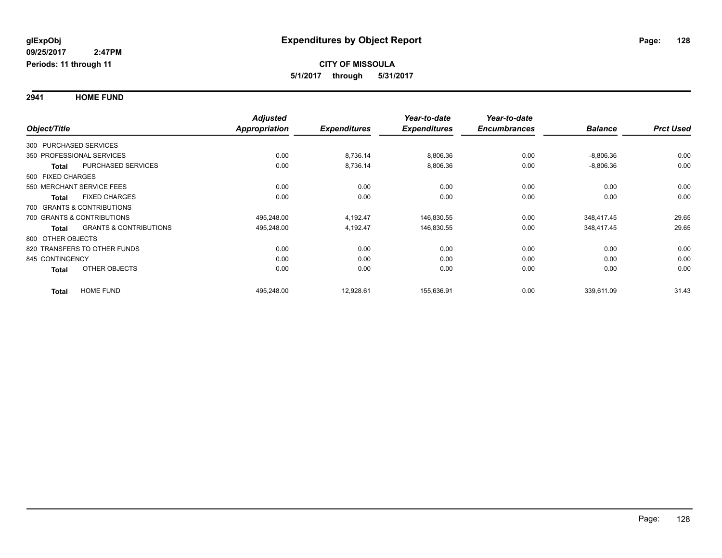**2941 HOME FUND**

|                                                   | <b>Adjusted</b> |                     | Year-to-date        | Year-to-date        |                |                  |
|---------------------------------------------------|-----------------|---------------------|---------------------|---------------------|----------------|------------------|
| Object/Title                                      | Appropriation   | <b>Expenditures</b> | <b>Expenditures</b> | <b>Encumbrances</b> | <b>Balance</b> | <b>Prct Used</b> |
| 300 PURCHASED SERVICES                            |                 |                     |                     |                     |                |                  |
| 350 PROFESSIONAL SERVICES                         | 0.00            | 8,736.14            | 8,806.36            | 0.00                | $-8,806.36$    | 0.00             |
| <b>PURCHASED SERVICES</b><br><b>Total</b>         | 0.00            | 8,736.14            | 8,806.36            | 0.00                | $-8,806.36$    | 0.00             |
| 500 FIXED CHARGES                                 |                 |                     |                     |                     |                |                  |
| 550 MERCHANT SERVICE FEES                         | 0.00            | 0.00                | 0.00                | 0.00                | 0.00           | 0.00             |
| <b>FIXED CHARGES</b><br><b>Total</b>              | 0.00            | 0.00                | 0.00                | 0.00                | 0.00           | 0.00             |
| 700 GRANTS & CONTRIBUTIONS                        |                 |                     |                     |                     |                |                  |
| 700 GRANTS & CONTRIBUTIONS                        | 495,248.00      | 4,192.47            | 146,830.55          | 0.00                | 348,417.45     | 29.65            |
| <b>GRANTS &amp; CONTRIBUTIONS</b><br><b>Total</b> | 495,248.00      | 4,192.47            | 146,830.55          | 0.00                | 348,417.45     | 29.65            |
| 800 OTHER OBJECTS                                 |                 |                     |                     |                     |                |                  |
| 820 TRANSFERS TO OTHER FUNDS                      | 0.00            | 0.00                | 0.00                | 0.00                | 0.00           | 0.00             |
| 845 CONTINGENCY                                   | 0.00            | 0.00                | 0.00                | 0.00                | 0.00           | 0.00             |
| OTHER OBJECTS<br><b>Total</b>                     | 0.00            | 0.00                | 0.00                | 0.00                | 0.00           | 0.00             |
| <b>HOME FUND</b><br><b>Total</b>                  | 495,248.00      | 12,928.61           | 155,636.91          | 0.00                | 339,611.09     | 31.43            |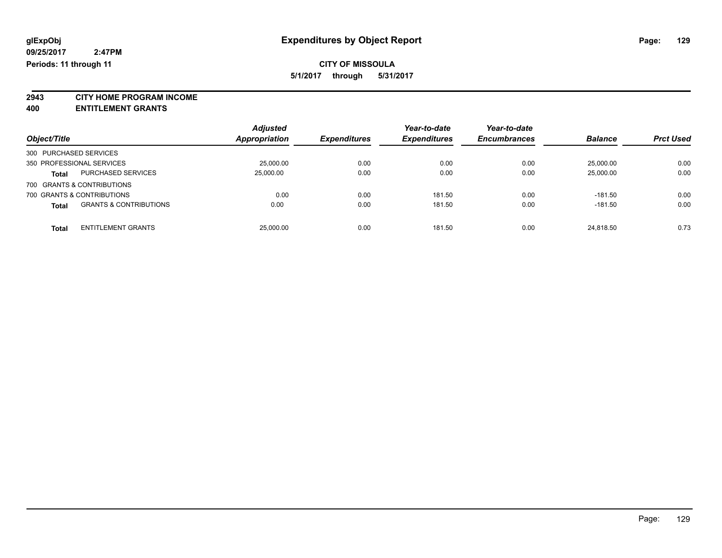## **CITY OF MISSOULA**

**5/1/2017 through 5/31/2017**

**2943 CITY HOME PROGRAM INCOME**

**400 ENTITLEMENT GRANTS**

| Object/Title                                      | <b>Adjusted</b><br>Appropriation | <b>Expenditures</b> | Year-to-date<br><b>Expenditures</b> | Year-to-date<br><b>Encumbrances</b> | <b>Balance</b> | <b>Prct Used</b> |
|---------------------------------------------------|----------------------------------|---------------------|-------------------------------------|-------------------------------------|----------------|------------------|
| 300 PURCHASED SERVICES                            |                                  |                     |                                     |                                     |                |                  |
| 350 PROFESSIONAL SERVICES                         | 25,000.00                        | 0.00                | 0.00                                | 0.00                                | 25,000.00      | 0.00             |
| PURCHASED SERVICES<br><b>Total</b>                | 25,000.00                        | 0.00                | 0.00                                | 0.00                                | 25,000.00      | 0.00             |
| 700 GRANTS & CONTRIBUTIONS                        |                                  |                     |                                     |                                     |                |                  |
| 700 GRANTS & CONTRIBUTIONS                        | 0.00                             | 0.00                | 181.50                              | 0.00                                | $-181.50$      | 0.00             |
| <b>GRANTS &amp; CONTRIBUTIONS</b><br><b>Total</b> | 0.00                             | 0.00                | 181.50                              | 0.00                                | $-181.50$      | 0.00             |
| <b>ENTITLEMENT GRANTS</b><br><b>Total</b>         | 25,000.00                        | 0.00                | 181.50                              | 0.00                                | 24.818.50      | 0.73             |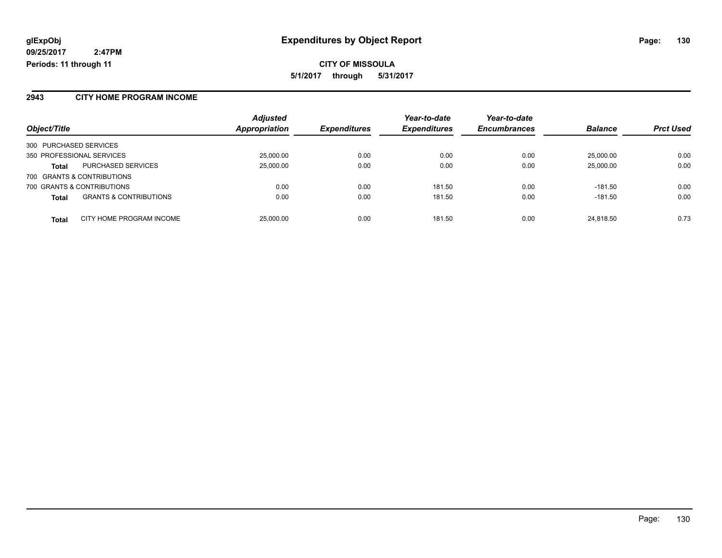#### **2943 CITY HOME PROGRAM INCOME**

|                                                   | <b>Adjusted</b><br>Appropriation | <b>Expenditures</b> | Year-to-date<br><b>Expenditures</b> | Year-to-date<br><b>Encumbrances</b> | <b>Balance</b> | <b>Prct Used</b> |
|---------------------------------------------------|----------------------------------|---------------------|-------------------------------------|-------------------------------------|----------------|------------------|
| Object/Title                                      |                                  |                     |                                     |                                     |                |                  |
| 300 PURCHASED SERVICES                            |                                  |                     |                                     |                                     |                |                  |
| 350 PROFESSIONAL SERVICES                         | 25,000.00                        | 0.00                | 0.00                                | 0.00                                | 25,000.00      | 0.00             |
| <b>PURCHASED SERVICES</b><br><b>Total</b>         | 25,000.00                        | 0.00                | 0.00                                | 0.00                                | 25,000.00      | 0.00             |
| 700 GRANTS & CONTRIBUTIONS                        |                                  |                     |                                     |                                     |                |                  |
| 700 GRANTS & CONTRIBUTIONS                        | 0.00                             | 0.00                | 181.50                              | 0.00                                | $-181.50$      | 0.00             |
| <b>GRANTS &amp; CONTRIBUTIONS</b><br><b>Total</b> | 0.00                             | 0.00                | 181.50                              | 0.00                                | $-181.50$      | 0.00             |
| CITY HOME PROGRAM INCOME<br><b>Total</b>          | 25,000.00                        | 0.00                | 181.50                              | 0.00                                | 24,818.50      | 0.73             |

Page: 130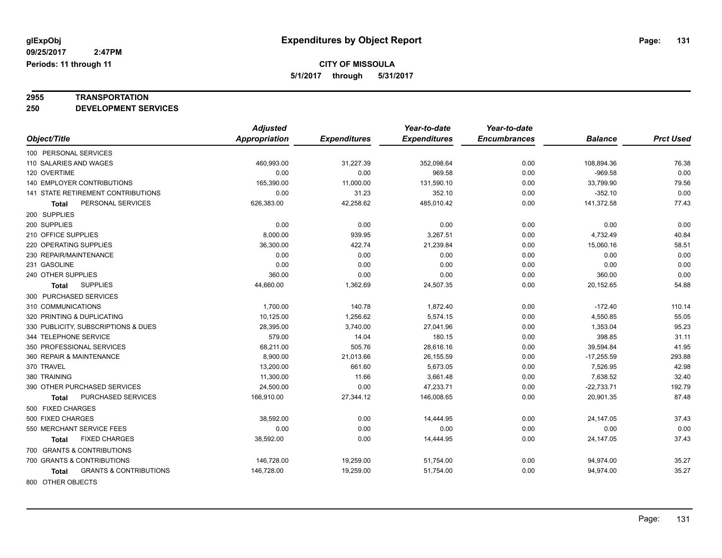# **2955 TRANSPORTATION**

**250 DEVELOPMENT SERVICES**

|                                            | <b>Adjusted</b>      |                     | Year-to-date        | Year-to-date        |                |                  |
|--------------------------------------------|----------------------|---------------------|---------------------|---------------------|----------------|------------------|
| Object/Title                               | <b>Appropriation</b> | <b>Expenditures</b> | <b>Expenditures</b> | <b>Encumbrances</b> | <b>Balance</b> | <b>Prct Used</b> |
| 100 PERSONAL SERVICES                      |                      |                     |                     |                     |                |                  |
| 110 SALARIES AND WAGES                     | 460,993.00           | 31,227.39           | 352,098.64          | 0.00                | 108,894.36     | 76.38            |
| 120 OVERTIME                               | 0.00                 | 0.00                | 969.58              | 0.00                | $-969.58$      | 0.00             |
| 140 EMPLOYER CONTRIBUTIONS                 | 165,390.00           | 11,000.00           | 131,590.10          | 0.00                | 33,799.90      | 79.56            |
| 141 STATE RETIREMENT CONTRIBUTIONS         | 0.00                 | 31.23               | 352.10              | 0.00                | $-352.10$      | 0.00             |
| PERSONAL SERVICES<br><b>Total</b>          | 626,383.00           | 42,258.62           | 485,010.42          | 0.00                | 141,372.58     | 77.43            |
| 200 SUPPLIES                               |                      |                     |                     |                     |                |                  |
| 200 SUPPLIES                               | 0.00                 | 0.00                | 0.00                | 0.00                | 0.00           | 0.00             |
| 210 OFFICE SUPPLIES                        | 8,000.00             | 939.95              | 3,267.51            | 0.00                | 4,732.49       | 40.84            |
| 220 OPERATING SUPPLIES                     | 36,300.00            | 422.74              | 21,239.84           | 0.00                | 15,060.16      | 58.51            |
| 230 REPAIR/MAINTENANCE                     | 0.00                 | 0.00                | 0.00                | 0.00                | 0.00           | 0.00             |
| 231 GASOLINE                               | 0.00                 | 0.00                | 0.00                | 0.00                | 0.00           | 0.00             |
| 240 OTHER SUPPLIES                         | 360.00               | 0.00                | 0.00                | 0.00                | 360.00         | 0.00             |
| <b>SUPPLIES</b><br><b>Total</b>            | 44,660.00            | 1,362.69            | 24,507.35           | 0.00                | 20,152.65      | 54.88            |
| 300 PURCHASED SERVICES                     |                      |                     |                     |                     |                |                  |
| 310 COMMUNICATIONS                         | 1,700.00             | 140.78              | 1,872.40            | 0.00                | $-172.40$      | 110.14           |
| 320 PRINTING & DUPLICATING                 | 10,125.00            | 1,256.62            | 5,574.15            | 0.00                | 4,550.85       | 55.05            |
| 330 PUBLICITY, SUBSCRIPTIONS & DUES        | 28,395.00            | 3,740.00            | 27,041.96           | 0.00                | 1,353.04       | 95.23            |
| 344 TELEPHONE SERVICE                      | 579.00               | 14.04               | 180.15              | 0.00                | 398.85         | 31.11            |
| 350 PROFESSIONAL SERVICES                  | 68,211.00            | 505.76              | 28,616.16           | 0.00                | 39,594.84      | 41.95            |
| 360 REPAIR & MAINTENANCE                   | 8,900.00             | 21,013.66           | 26,155.59           | 0.00                | $-17,255.59$   | 293.88           |
| 370 TRAVEL                                 | 13,200.00            | 661.60              | 5,673.05            | 0.00                | 7,526.95       | 42.98            |
| 380 TRAINING                               | 11,300.00            | 11.66               | 3,661.48            | 0.00                | 7,638.52       | 32.40            |
| 390 OTHER PURCHASED SERVICES               | 24,500.00            | 0.00                | 47,233.71           | 0.00                | $-22,733.71$   | 192.79           |
| PURCHASED SERVICES<br><b>Total</b>         | 166,910.00           | 27,344.12           | 146,008.65          | 0.00                | 20,901.35      | 87.48            |
| 500 FIXED CHARGES                          |                      |                     |                     |                     |                |                  |
| 500 FIXED CHARGES                          | 38,592.00            | 0.00                | 14,444.95           | 0.00                | 24,147.05      | 37.43            |
| 550 MERCHANT SERVICE FEES                  | 0.00                 | 0.00                | 0.00                | 0.00                | 0.00           | 0.00             |
| <b>FIXED CHARGES</b><br>Total              | 38,592.00            | 0.00                | 14,444.95           | 0.00                | 24,147.05      | 37.43            |
| 700 GRANTS & CONTRIBUTIONS                 |                      |                     |                     |                     |                |                  |
| 700 GRANTS & CONTRIBUTIONS                 | 146,728.00           | 19,259.00           | 51,754.00           | 0.00                | 94,974.00      | 35.27            |
| <b>GRANTS &amp; CONTRIBUTIONS</b><br>Total | 146,728.00           | 19,259.00           | 51,754.00           | 0.00                | 94,974.00      | 35.27            |
| 800 OTHER OBJECTS                          |                      |                     |                     |                     |                |                  |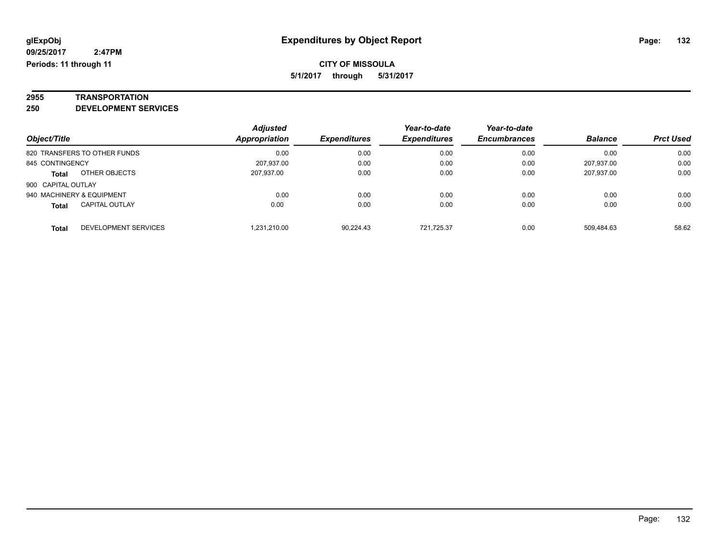# **2955 TRANSPORTATION**

**250 DEVELOPMENT SERVICES**

|                                       | <b>Adjusted</b>      |                     | Year-to-date        | Year-to-date        |                |                  |
|---------------------------------------|----------------------|---------------------|---------------------|---------------------|----------------|------------------|
| Object/Title                          | <b>Appropriation</b> | <b>Expenditures</b> | <b>Expenditures</b> | <b>Encumbrances</b> | <b>Balance</b> | <b>Prct Used</b> |
| 820 TRANSFERS TO OTHER FUNDS          | 0.00                 | 0.00                | 0.00                | 0.00                | 0.00           | 0.00             |
| 845 CONTINGENCY                       | 207,937.00           | 0.00                | 0.00                | 0.00                | 207.937.00     | 0.00             |
| OTHER OBJECTS<br><b>Total</b>         | 207,937.00           | 0.00                | 0.00                | 0.00                | 207.937.00     | 0.00             |
| 900 CAPITAL OUTLAY                    |                      |                     |                     |                     |                |                  |
| 940 MACHINERY & EQUIPMENT             | 0.00                 | 0.00                | 0.00                | 0.00                | 0.00           | 0.00             |
| <b>CAPITAL OUTLAY</b><br><b>Total</b> | 0.00                 | 0.00                | 0.00                | 0.00                | 0.00           | 0.00             |
| DEVELOPMENT SERVICES<br>Total         | .231.210.00          | 90.224.43           | 721.725.37          | 0.00                | 509.484.63     | 58.62            |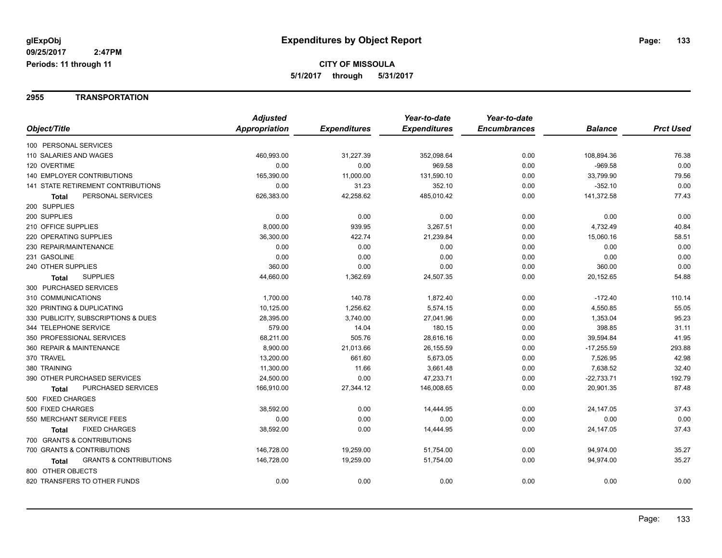#### **2955 TRANSPORTATION**

|                                            | <b>Adjusted</b> |                     | Year-to-date        | Year-to-date        |                |                  |
|--------------------------------------------|-----------------|---------------------|---------------------|---------------------|----------------|------------------|
| Object/Title                               | Appropriation   | <b>Expenditures</b> | <b>Expenditures</b> | <b>Encumbrances</b> | <b>Balance</b> | <b>Prct Used</b> |
| 100 PERSONAL SERVICES                      |                 |                     |                     |                     |                |                  |
| 110 SALARIES AND WAGES                     | 460,993.00      | 31,227.39           | 352,098.64          | 0.00                | 108,894.36     | 76.38            |
| 120 OVERTIME                               | 0.00            | 0.00                | 969.58              | 0.00                | $-969.58$      | 0.00             |
| <b>140 EMPLOYER CONTRIBUTIONS</b>          | 165,390.00      | 11,000.00           | 131,590.10          | 0.00                | 33,799.90      | 79.56            |
| 141 STATE RETIREMENT CONTRIBUTIONS         | 0.00            | 31.23               | 352.10              | 0.00                | $-352.10$      | 0.00             |
| PERSONAL SERVICES<br>Total                 | 626,383.00      | 42,258.62           | 485,010.42          | 0.00                | 141,372.58     | 77.43            |
| 200 SUPPLIES                               |                 |                     |                     |                     |                |                  |
| 200 SUPPLIES                               | 0.00            | 0.00                | 0.00                | 0.00                | 0.00           | 0.00             |
| 210 OFFICE SUPPLIES                        | 8,000.00        | 939.95              | 3,267.51            | 0.00                | 4,732.49       | 40.84            |
| 220 OPERATING SUPPLIES                     | 36,300.00       | 422.74              | 21,239.84           | 0.00                | 15,060.16      | 58.51            |
| 230 REPAIR/MAINTENANCE                     | 0.00            | 0.00                | 0.00                | 0.00                | 0.00           | 0.00             |
| 231 GASOLINE                               | 0.00            | 0.00                | 0.00                | 0.00                | 0.00           | 0.00             |
| 240 OTHER SUPPLIES                         | 360.00          | 0.00                | 0.00                | 0.00                | 360.00         | 0.00             |
| <b>SUPPLIES</b><br>Total                   | 44,660.00       | 1,362.69            | 24,507.35           | 0.00                | 20,152.65      | 54.88            |
| 300 PURCHASED SERVICES                     |                 |                     |                     |                     |                |                  |
| 310 COMMUNICATIONS                         | 1,700.00        | 140.78              | 1,872.40            | 0.00                | $-172.40$      | 110.14           |
| 320 PRINTING & DUPLICATING                 | 10,125.00       | 1,256.62            | 5,574.15            | 0.00                | 4,550.85       | 55.05            |
| 330 PUBLICITY, SUBSCRIPTIONS & DUES        | 28,395.00       | 3,740.00            | 27,041.96           | 0.00                | 1,353.04       | 95.23            |
| 344 TELEPHONE SERVICE                      | 579.00          | 14.04               | 180.15              | 0.00                | 398.85         | 31.11            |
| 350 PROFESSIONAL SERVICES                  | 68,211.00       | 505.76              | 28,616.16           | 0.00                | 39,594.84      | 41.95            |
| 360 REPAIR & MAINTENANCE                   | 8,900.00        | 21,013.66           | 26,155.59           | 0.00                | $-17,255.59$   | 293.88           |
| 370 TRAVEL                                 | 13,200.00       | 661.60              | 5,673.05            | 0.00                | 7,526.95       | 42.98            |
| 380 TRAINING                               | 11,300.00       | 11.66               | 3,661.48            | 0.00                | 7,638.52       | 32.40            |
| 390 OTHER PURCHASED SERVICES               | 24,500.00       | 0.00                | 47,233.71           | 0.00                | $-22,733.71$   | 192.79           |
| PURCHASED SERVICES<br><b>Total</b>         | 166,910.00      | 27,344.12           | 146,008.65          | 0.00                | 20,901.35      | 87.48            |
| 500 FIXED CHARGES                          |                 |                     |                     |                     |                |                  |
| 500 FIXED CHARGES                          | 38,592.00       | 0.00                | 14,444.95           | 0.00                | 24,147.05      | 37.43            |
| 550 MERCHANT SERVICE FEES                  | 0.00            | 0.00                | 0.00                | 0.00                | 0.00           | 0.00             |
| <b>FIXED CHARGES</b><br><b>Total</b>       | 38,592.00       | 0.00                | 14,444.95           | 0.00                | 24,147.05      | 37.43            |
| 700 GRANTS & CONTRIBUTIONS                 |                 |                     |                     |                     |                |                  |
| 700 GRANTS & CONTRIBUTIONS                 | 146,728.00      | 19,259.00           | 51,754.00           | 0.00                | 94,974.00      | 35.27            |
| <b>GRANTS &amp; CONTRIBUTIONS</b><br>Total | 146,728.00      | 19,259.00           | 51,754.00           | 0.00                | 94,974.00      | 35.27            |
| 800 OTHER OBJECTS                          |                 |                     |                     |                     |                |                  |
| 820 TRANSFERS TO OTHER FUNDS               | 0.00            | 0.00                | 0.00                | 0.00                | 0.00           | 0.00             |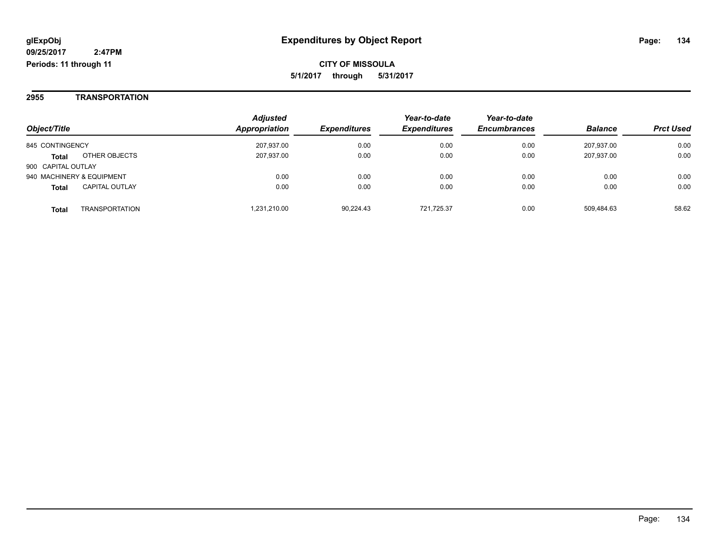**2955 TRANSPORTATION**

| Object/Title              |                       | <b>Adjusted</b><br>Appropriation | <b>Expenditures</b> | Year-to-date<br><b>Expenditures</b> | Year-to-date<br><b>Encumbrances</b> | <b>Balance</b> | <b>Prct Used</b> |
|---------------------------|-----------------------|----------------------------------|---------------------|-------------------------------------|-------------------------------------|----------------|------------------|
| 845 CONTINGENCY           |                       | 207.937.00                       | 0.00                | 0.00                                | 0.00                                | 207.937.00     | 0.00             |
| <b>Total</b>              | OTHER OBJECTS         | 207,937.00                       | 0.00                | 0.00                                | 0.00                                | 207.937.00     | 0.00             |
| 900 CAPITAL OUTLAY        |                       |                                  |                     |                                     |                                     |                |                  |
| 940 MACHINERY & EQUIPMENT |                       | 0.00                             | 0.00                | 0.00                                | 0.00                                | 0.00           | 0.00             |
| <b>Total</b>              | <b>CAPITAL OUTLAY</b> | 0.00                             | 0.00                | 0.00                                | 0.00                                | 0.00           | 0.00             |
| <b>Total</b>              | TRANSPORTATION        | 1.231.210.00                     | 90.224.43           | 721,725.37                          | 0.00                                | 509,484.63     | 58.62            |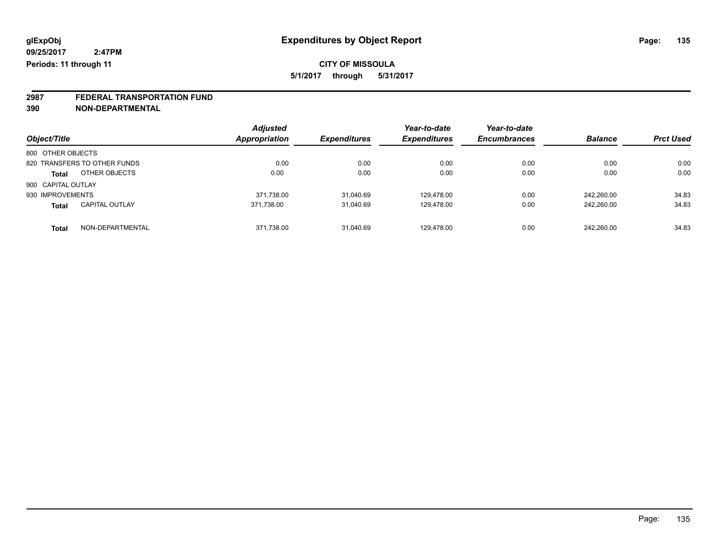# **2987 FEDERAL TRANSPORTATION FUND**

**390 NON-DEPARTMENTAL**

|                                  | <b>Adjusted</b> |                     | Year-to-date        | Year-to-date        |                |                  |
|----------------------------------|-----------------|---------------------|---------------------|---------------------|----------------|------------------|
| Object/Title                     | Appropriation   | <b>Expenditures</b> | <b>Expenditures</b> | <b>Encumbrances</b> | <b>Balance</b> | <b>Prct Used</b> |
| 800 OTHER OBJECTS                |                 |                     |                     |                     |                |                  |
| 820 TRANSFERS TO OTHER FUNDS     | 0.00            | 0.00                | 0.00                | 0.00                | 0.00           | 0.00             |
| OTHER OBJECTS<br><b>Total</b>    | 0.00            | 0.00                | 0.00                | 0.00                | 0.00           | 0.00             |
| 900 CAPITAL OUTLAY               |                 |                     |                     |                     |                |                  |
| 930 IMPROVEMENTS                 | 371,738.00      | 31,040.69           | 129.478.00          | 0.00                | 242.260.00     | 34.83            |
| <b>CAPITAL OUTLAY</b><br>Total   | 371.738.00      | 31,040.69           | 129.478.00          | 0.00                | 242,260.00     | 34.83            |
| NON-DEPARTMENTAL<br><b>Total</b> | 371,738.00      | 31,040.69           | 129.478.00          | 0.00                | 242,260.00     | 34.83            |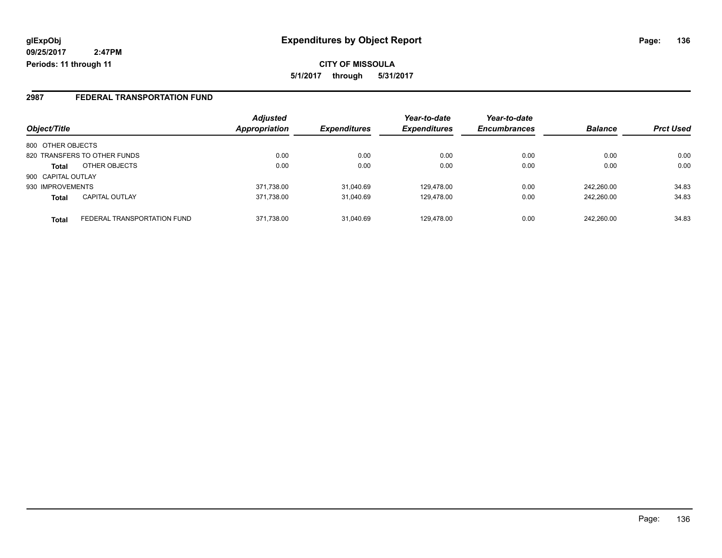**CITY OF MISSOULA 5/1/2017 through 5/31/2017**

#### **2987 FEDERAL TRANSPORTATION FUND**

|                    |                              | <b>Adjusted</b> |                     | Year-to-date        | Year-to-date        |                |                  |
|--------------------|------------------------------|-----------------|---------------------|---------------------|---------------------|----------------|------------------|
| Object/Title       |                              | Appropriation   | <b>Expenditures</b> | <b>Expenditures</b> | <b>Encumbrances</b> | <b>Balance</b> | <b>Prct Used</b> |
| 800 OTHER OBJECTS  |                              |                 |                     |                     |                     |                |                  |
|                    | 820 TRANSFERS TO OTHER FUNDS | 0.00            | 0.00                | 0.00                | 0.00                | 0.00           | 0.00             |
| <b>Total</b>       | OTHER OBJECTS                | 0.00            | 0.00                | 0.00                | 0.00                | 0.00           | 0.00             |
| 900 CAPITAL OUTLAY |                              |                 |                     |                     |                     |                |                  |
| 930 IMPROVEMENTS   |                              | 371,738.00      | 31,040.69           | 129.478.00          | 0.00                | 242.260.00     | 34.83            |
| <b>Total</b>       | CAPITAL OUTLAY               | 371.738.00      | 31.040.69           | 129.478.00          | 0.00                | 242.260.00     | 34.83            |
| <b>Total</b>       | FEDERAL TRANSPORTATION FUND  | 371,738.00      | 31,040.69           | 129.478.00          | 0.00                | 242.260.00     | 34.83            |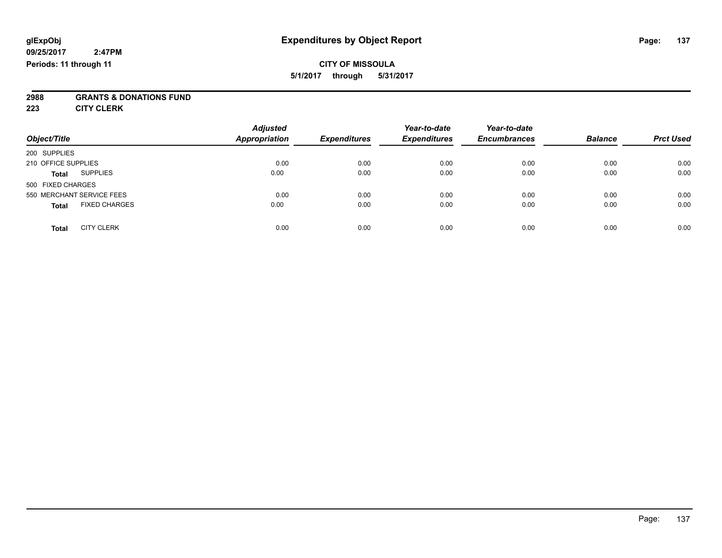### **CITY OF MISSOULA 5/1/2017 through 5/31/2017**

# **2988 GRANTS & DONATIONS FUND**

**223 CITY CLERK**

| Object/Title                         | <b>Adjusted</b><br>Appropriation | <b>Expenditures</b> | Year-to-date<br><b>Expenditures</b> | Year-to-date<br><b>Encumbrances</b> | <b>Balance</b> | <b>Prct Used</b> |
|--------------------------------------|----------------------------------|---------------------|-------------------------------------|-------------------------------------|----------------|------------------|
| 200 SUPPLIES                         |                                  |                     |                                     |                                     |                |                  |
| 210 OFFICE SUPPLIES                  | 0.00                             | 0.00                | 0.00                                | 0.00                                | 0.00           | 0.00             |
| <b>SUPPLIES</b><br><b>Total</b>      | 0.00                             | 0.00                | 0.00                                | 0.00                                | 0.00           | 0.00             |
| 500 FIXED CHARGES                    |                                  |                     |                                     |                                     |                |                  |
| 550 MERCHANT SERVICE FEES            | 0.00                             | 0.00                | 0.00                                | 0.00                                | 0.00           | 0.00             |
| <b>FIXED CHARGES</b><br><b>Total</b> | 0.00                             | 0.00                | 0.00                                | 0.00                                | 0.00           | 0.00             |
| <b>CITY CLERK</b><br>Total           | 0.00                             | 0.00                | 0.00                                | 0.00                                | 0.00           | 0.00             |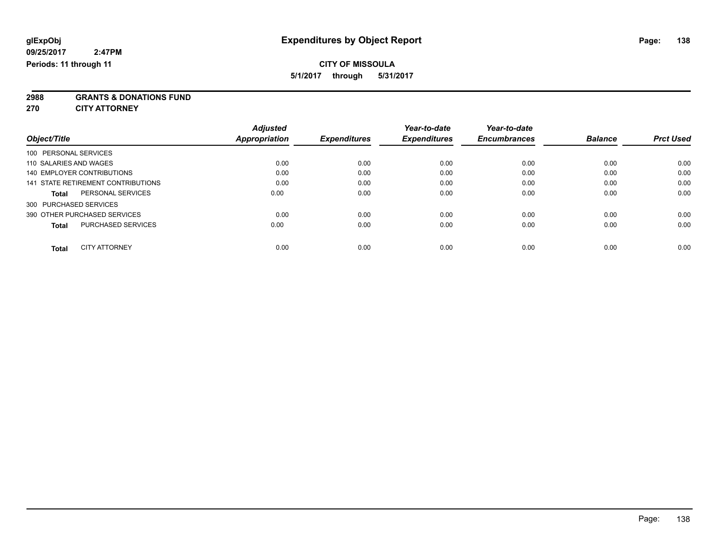### **CITY OF MISSOULA**

**5/1/2017 through 5/31/2017**

**2988 GRANTS & DONATIONS FUND**

**270 CITY ATTORNEY**

| Object/Title                       |                           | <b>Adjusted</b><br>Appropriation | <b>Expenditures</b> | Year-to-date<br><b>Expenditures</b> | Year-to-date<br><b>Encumbrances</b> | <b>Balance</b> | <b>Prct Used</b> |
|------------------------------------|---------------------------|----------------------------------|---------------------|-------------------------------------|-------------------------------------|----------------|------------------|
| 100 PERSONAL SERVICES              |                           |                                  |                     |                                     |                                     |                |                  |
| 110 SALARIES AND WAGES             |                           | 0.00                             | 0.00                | 0.00                                | 0.00                                | 0.00           | 0.00             |
| 140 EMPLOYER CONTRIBUTIONS         |                           | 0.00                             | 0.00                | 0.00                                | 0.00                                | 0.00           | 0.00             |
| 141 STATE RETIREMENT CONTRIBUTIONS |                           | 0.00                             | 0.00                | 0.00                                | 0.00                                | 0.00           | 0.00             |
| <b>Total</b>                       | PERSONAL SERVICES         | 0.00                             | 0.00                | 0.00                                | 0.00                                | 0.00           | 0.00             |
| 300 PURCHASED SERVICES             |                           |                                  |                     |                                     |                                     |                |                  |
| 390 OTHER PURCHASED SERVICES       |                           | 0.00                             | 0.00                | 0.00                                | 0.00                                | 0.00           | 0.00             |
| <b>Total</b>                       | <b>PURCHASED SERVICES</b> | 0.00                             | 0.00                | 0.00                                | 0.00                                | 0.00           | 0.00             |
| <b>Total</b>                       | <b>CITY ATTORNEY</b>      | 0.00                             | 0.00                | 0.00                                | 0.00                                | 0.00           | 0.00             |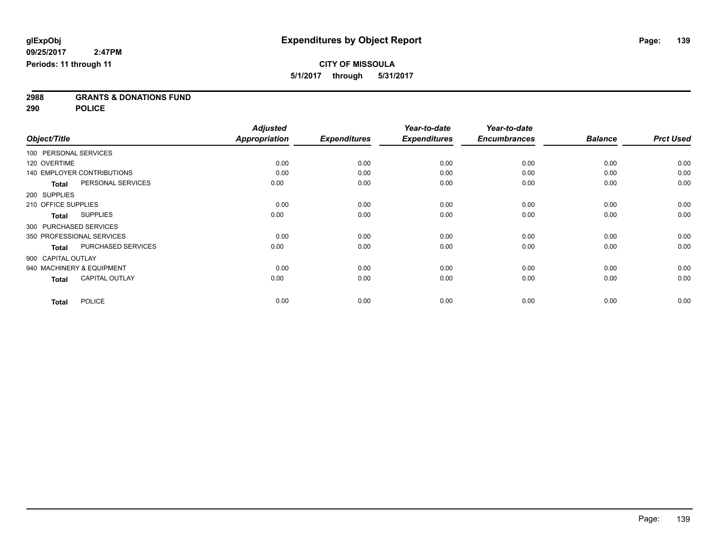**2988 GRANTS & DONATIONS FUND**

**290 POLICE**

|                                           | <b>Adjusted</b>      |                     | Year-to-date        | Year-to-date        |                |                  |
|-------------------------------------------|----------------------|---------------------|---------------------|---------------------|----------------|------------------|
| Object/Title                              | <b>Appropriation</b> | <b>Expenditures</b> | <b>Expenditures</b> | <b>Encumbrances</b> | <b>Balance</b> | <b>Prct Used</b> |
| 100 PERSONAL SERVICES                     |                      |                     |                     |                     |                |                  |
| 120 OVERTIME                              | 0.00                 | 0.00                | 0.00                | 0.00                | 0.00           | 0.00             |
| <b>140 EMPLOYER CONTRIBUTIONS</b>         | 0.00                 | 0.00                | 0.00                | 0.00                | 0.00           | 0.00             |
| PERSONAL SERVICES<br><b>Total</b>         | 0.00                 | 0.00                | 0.00                | 0.00                | 0.00           | 0.00             |
| 200 SUPPLIES                              |                      |                     |                     |                     |                |                  |
| 210 OFFICE SUPPLIES                       | 0.00                 | 0.00                | 0.00                | 0.00                | 0.00           | 0.00             |
| <b>SUPPLIES</b><br>Total                  | 0.00                 | 0.00                | 0.00                | 0.00                | 0.00           | 0.00             |
| 300 PURCHASED SERVICES                    |                      |                     |                     |                     |                |                  |
| 350 PROFESSIONAL SERVICES                 | 0.00                 | 0.00                | 0.00                | 0.00                | 0.00           | 0.00             |
| <b>PURCHASED SERVICES</b><br><b>Total</b> | 0.00                 | 0.00                | 0.00                | 0.00                | 0.00           | 0.00             |
| 900 CAPITAL OUTLAY                        |                      |                     |                     |                     |                |                  |
| 940 MACHINERY & EQUIPMENT                 | 0.00                 | 0.00                | 0.00                | 0.00                | 0.00           | 0.00             |
| <b>CAPITAL OUTLAY</b><br><b>Total</b>     | 0.00                 | 0.00                | 0.00                | 0.00                | 0.00           | 0.00             |
| <b>POLICE</b><br><b>Total</b>             | 0.00                 | 0.00                | 0.00                | 0.00                | 0.00           | 0.00             |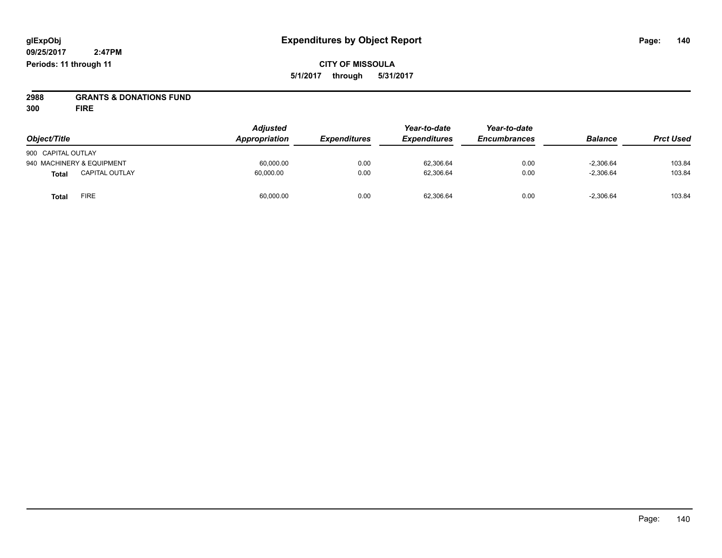**2988 GRANTS & DONATIONS FUND**

**300 FIRE**

| Object/Title                          | <b>Adjusted</b><br>Appropriation | <b>Expenditures</b> | Year-to-date<br><b>Expenditures</b> | Year-to-date<br><b>Encumbrances</b> | <b>Balance</b> | <b>Prct Used</b> |
|---------------------------------------|----------------------------------|---------------------|-------------------------------------|-------------------------------------|----------------|------------------|
| 900 CAPITAL OUTLAY                    |                                  |                     |                                     |                                     |                |                  |
| 940 MACHINERY & EQUIPMENT             | 60.000.00                        | 0.00                | 62.306.64                           | 0.00                                | $-2.306.64$    | 103.84           |
| <b>CAPITAL OUTLAY</b><br><b>Total</b> | 60.000.00                        | 0.00                | 62,306.64                           | 0.00                                | $-2,306.64$    | 103.84           |
| <b>FIRE</b><br>Total                  | 60,000.00                        | 0.00                | 62,306.64                           | 0.00                                | $-2,306.64$    | 103.84           |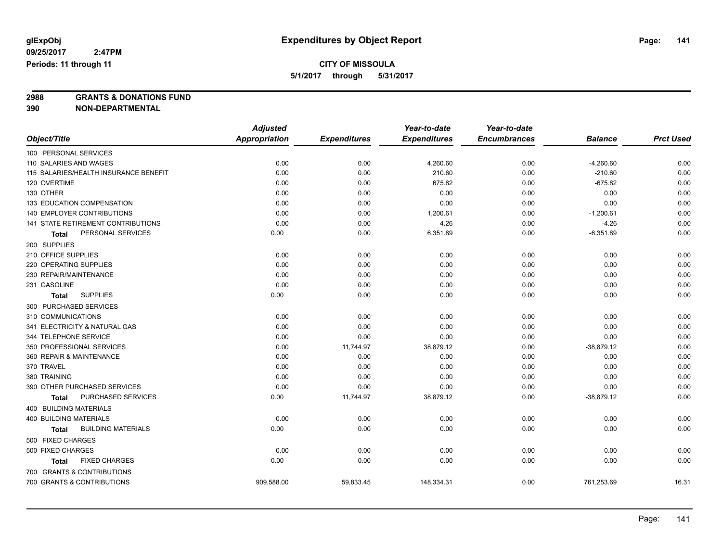## **CITY OF MISSOULA**

**5/1/2017 through 5/31/2017**

**2988 GRANTS & DONATIONS FUND**

**390 NON-DEPARTMENTAL**

|                                           | <b>Adjusted</b>      |                     | Year-to-date        | Year-to-date        |                |                  |
|-------------------------------------------|----------------------|---------------------|---------------------|---------------------|----------------|------------------|
| Object/Title                              | <b>Appropriation</b> | <b>Expenditures</b> | <b>Expenditures</b> | <b>Encumbrances</b> | <b>Balance</b> | <b>Prct Used</b> |
| 100 PERSONAL SERVICES                     |                      |                     |                     |                     |                |                  |
| 110 SALARIES AND WAGES                    | 0.00                 | 0.00                | 4,260.60            | 0.00                | $-4,260.60$    | 0.00             |
| 115 SALARIES/HEALTH INSURANCE BENEFIT     | 0.00                 | 0.00                | 210.60              | 0.00                | $-210.60$      | 0.00             |
| 120 OVERTIME                              | 0.00                 | 0.00                | 675.82              | 0.00                | $-675.82$      | 0.00             |
| 130 OTHER                                 | 0.00                 | 0.00                | 0.00                | 0.00                | 0.00           | 0.00             |
| 133 EDUCATION COMPENSATION                | 0.00                 | 0.00                | 0.00                | 0.00                | 0.00           | 0.00             |
| 140 EMPLOYER CONTRIBUTIONS                | 0.00                 | 0.00                | 1,200.61            | 0.00                | $-1,200.61$    | 0.00             |
| 141 STATE RETIREMENT CONTRIBUTIONS        | 0.00                 | 0.00                | 4.26                | 0.00                | $-4.26$        | 0.00             |
| PERSONAL SERVICES<br>Total                | 0.00                 | 0.00                | 6,351.89            | 0.00                | $-6,351.89$    | 0.00             |
| 200 SUPPLIES                              |                      |                     |                     |                     |                |                  |
| 210 OFFICE SUPPLIES                       | 0.00                 | 0.00                | 0.00                | 0.00                | 0.00           | 0.00             |
| 220 OPERATING SUPPLIES                    | 0.00                 | 0.00                | 0.00                | 0.00                | 0.00           | 0.00             |
| 230 REPAIR/MAINTENANCE                    | 0.00                 | 0.00                | 0.00                | 0.00                | 0.00           | 0.00             |
| 231 GASOLINE                              | 0.00                 | 0.00                | 0.00                | 0.00                | 0.00           | 0.00             |
| <b>SUPPLIES</b><br><b>Total</b>           | 0.00                 | 0.00                | 0.00                | 0.00                | 0.00           | 0.00             |
| 300 PURCHASED SERVICES                    |                      |                     |                     |                     |                |                  |
| 310 COMMUNICATIONS                        | 0.00                 | 0.00                | 0.00                | 0.00                | 0.00           | 0.00             |
| 341 ELECTRICITY & NATURAL GAS             | 0.00                 | 0.00                | 0.00                | 0.00                | 0.00           | 0.00             |
| 344 TELEPHONE SERVICE                     | 0.00                 | 0.00                | 0.00                | 0.00                | 0.00           | 0.00             |
| 350 PROFESSIONAL SERVICES                 | 0.00                 | 11,744.97           | 38,879.12           | 0.00                | $-38,879.12$   | 0.00             |
| 360 REPAIR & MAINTENANCE                  | 0.00                 | 0.00                | 0.00                | 0.00                | 0.00           | 0.00             |
| 370 TRAVEL                                | 0.00                 | 0.00                | 0.00                | 0.00                | 0.00           | 0.00             |
| 380 TRAINING                              | 0.00                 | 0.00                | 0.00                | 0.00                | 0.00           | 0.00             |
| 390 OTHER PURCHASED SERVICES              | 0.00                 | 0.00                | 0.00                | 0.00                | 0.00           | 0.00             |
| PURCHASED SERVICES<br><b>Total</b>        | 0.00                 | 11,744.97           | 38,879.12           | 0.00                | $-38,879.12$   | 0.00             |
| <b>400 BUILDING MATERIALS</b>             |                      |                     |                     |                     |                |                  |
| <b>400 BUILDING MATERIALS</b>             | 0.00                 | 0.00                | 0.00                | 0.00                | 0.00           | 0.00             |
| <b>BUILDING MATERIALS</b><br><b>Total</b> | 0.00                 | 0.00                | 0.00                | 0.00                | 0.00           | 0.00             |
| 500 FIXED CHARGES                         |                      |                     |                     |                     |                |                  |
| 500 FIXED CHARGES                         | 0.00                 | 0.00                | 0.00                | 0.00                | 0.00           | 0.00             |
| <b>FIXED CHARGES</b><br><b>Total</b>      | 0.00                 | 0.00                | 0.00                | 0.00                | 0.00           | 0.00             |
| 700 GRANTS & CONTRIBUTIONS                |                      |                     |                     |                     |                |                  |
| 700 GRANTS & CONTRIBUTIONS                | 909,588.00           | 59,833.45           | 148,334.31          | 0.00                | 761,253.69     | 16.31            |
|                                           |                      |                     |                     |                     |                |                  |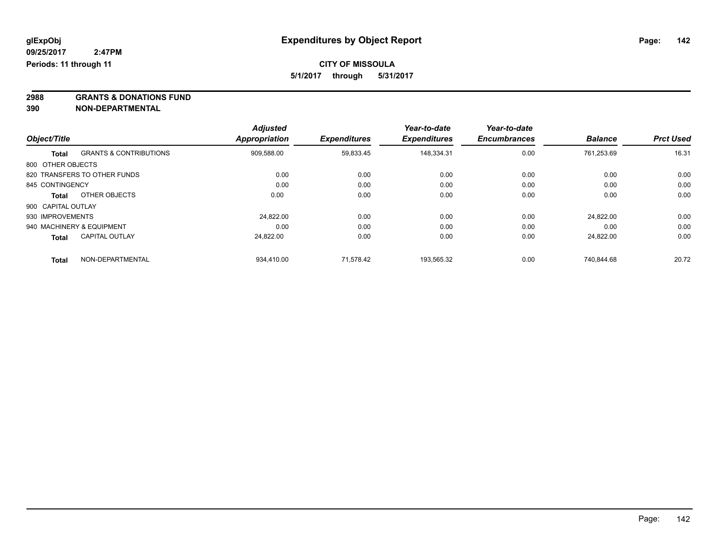**2988 GRANTS & DONATIONS FUND**

**390 NON-DEPARTMENTAL**

|                    |                                   | <b>Adjusted</b> |                     | Year-to-date        | Year-to-date        |                |                  |
|--------------------|-----------------------------------|-----------------|---------------------|---------------------|---------------------|----------------|------------------|
| Object/Title       |                                   | Appropriation   | <b>Expenditures</b> | <b>Expenditures</b> | <b>Encumbrances</b> | <b>Balance</b> | <b>Prct Used</b> |
| <b>Total</b>       | <b>GRANTS &amp; CONTRIBUTIONS</b> | 909,588.00      | 59,833.45           | 148.334.31          | 0.00                | 761.253.69     | 16.31            |
| 800 OTHER OBJECTS  |                                   |                 |                     |                     |                     |                |                  |
|                    | 820 TRANSFERS TO OTHER FUNDS      | 0.00            | 0.00                | 0.00                | 0.00                | 0.00           | 0.00             |
| 845 CONTINGENCY    |                                   | 0.00            | 0.00                | 0.00                | 0.00                | 0.00           | 0.00             |
| <b>Total</b>       | OTHER OBJECTS                     | 0.00            | 0.00                | 0.00                | 0.00                | 0.00           | 0.00             |
| 900 CAPITAL OUTLAY |                                   |                 |                     |                     |                     |                |                  |
| 930 IMPROVEMENTS   |                                   | 24.822.00       | 0.00                | 0.00                | 0.00                | 24,822.00      | 0.00             |
|                    | 940 MACHINERY & EQUIPMENT         | 0.00            | 0.00                | 0.00                | 0.00                | 0.00           | 0.00             |
| <b>Total</b>       | <b>CAPITAL OUTLAY</b>             | 24.822.00       | 0.00                | 0.00                | 0.00                | 24.822.00      | 0.00             |
| <b>Total</b>       | NON-DEPARTMENTAL                  | 934,410.00      | 71.578.42           | 193,565.32          | 0.00                | 740.844.68     | 20.72            |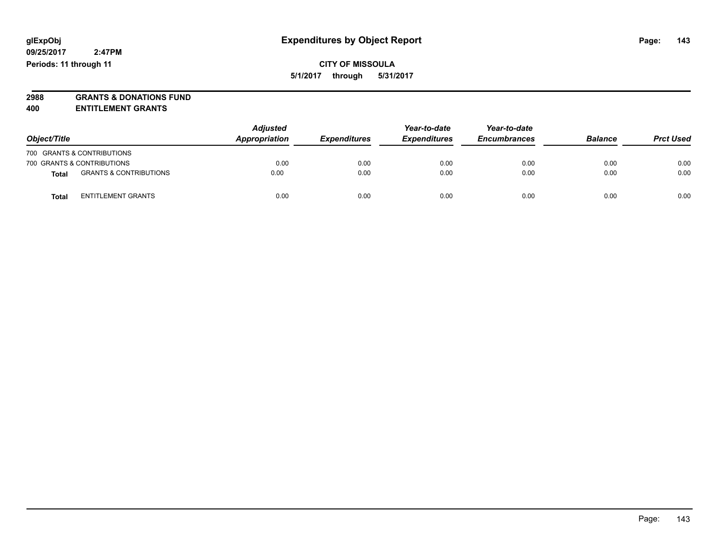**CITY OF MISSOULA 5/1/2017 through 5/31/2017**

**2988 GRANTS & DONATIONS FUND**

**400 ENTITLEMENT GRANTS**

| Object/Title |                                   | <b>Adjusted</b><br>Appropriation | <b>Expenditures</b> | Year-to-date<br><b>Expenditures</b> | Year-to-date<br><b>Encumbrances</b> | <b>Balance</b> | <b>Prct Used</b> |
|--------------|-----------------------------------|----------------------------------|---------------------|-------------------------------------|-------------------------------------|----------------|------------------|
|              | 700 GRANTS & CONTRIBUTIONS        |                                  |                     |                                     |                                     |                |                  |
|              | 700 GRANTS & CONTRIBUTIONS        | 0.00                             | 0.00                | 0.00                                | 0.00                                | 0.00           | 0.00             |
| <b>Total</b> | <b>GRANTS &amp; CONTRIBUTIONS</b> | 0.00                             | 0.00                | 0.00                                | 0.00                                | 0.00           | 0.00             |
| <b>Total</b> | <b>ENTITLEMENT GRANTS</b>         | 0.00                             | 0.00                | 0.00                                | 0.00                                | 0.00           | 0.00             |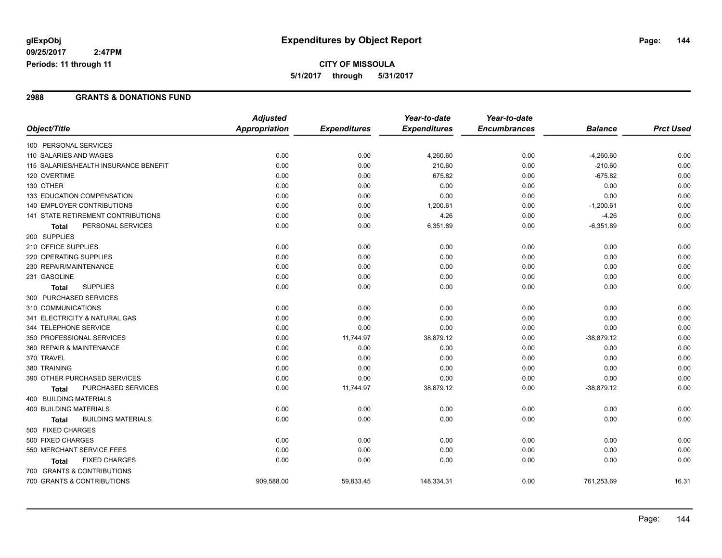### **CITY OF MISSOULA 5/1/2017 through 5/31/2017**

#### **2988 GRANTS & DONATIONS FUND**

|                                           | <b>Adjusted</b>      |                     | Year-to-date        | Year-to-date        |                |                  |
|-------------------------------------------|----------------------|---------------------|---------------------|---------------------|----------------|------------------|
| Object/Title                              | <b>Appropriation</b> | <b>Expenditures</b> | <b>Expenditures</b> | <b>Encumbrances</b> | <b>Balance</b> | <b>Prct Used</b> |
| 100 PERSONAL SERVICES                     |                      |                     |                     |                     |                |                  |
| 110 SALARIES AND WAGES                    | 0.00                 | 0.00                | 4,260.60            | 0.00                | $-4,260.60$    | 0.00             |
| 115 SALARIES/HEALTH INSURANCE BENEFIT     | 0.00                 | 0.00                | 210.60              | 0.00                | $-210.60$      | 0.00             |
| 120 OVERTIME                              | 0.00                 | 0.00                | 675.82              | 0.00                | $-675.82$      | 0.00             |
| 130 OTHER                                 | 0.00                 | 0.00                | 0.00                | 0.00                | 0.00           | 0.00             |
| 133 EDUCATION COMPENSATION                | 0.00                 | 0.00                | 0.00                | 0.00                | 0.00           | 0.00             |
| <b>140 EMPLOYER CONTRIBUTIONS</b>         | 0.00                 | 0.00                | 1,200.61            | 0.00                | $-1,200.61$    | 0.00             |
| 141 STATE RETIREMENT CONTRIBUTIONS        | 0.00                 | 0.00                | 4.26                | 0.00                | $-4.26$        | 0.00             |
| PERSONAL SERVICES<br><b>Total</b>         | 0.00                 | 0.00                | 6,351.89            | 0.00                | $-6,351.89$    | 0.00             |
| 200 SUPPLIES                              |                      |                     |                     |                     |                |                  |
| 210 OFFICE SUPPLIES                       | 0.00                 | 0.00                | 0.00                | 0.00                | 0.00           | 0.00             |
| 220 OPERATING SUPPLIES                    | 0.00                 | 0.00                | 0.00                | 0.00                | 0.00           | 0.00             |
| 230 REPAIR/MAINTENANCE                    | 0.00                 | 0.00                | 0.00                | 0.00                | 0.00           | 0.00             |
| 231 GASOLINE                              | 0.00                 | 0.00                | 0.00                | 0.00                | 0.00           | 0.00             |
| <b>SUPPLIES</b><br><b>Total</b>           | 0.00                 | 0.00                | 0.00                | 0.00                | 0.00           | 0.00             |
| 300 PURCHASED SERVICES                    |                      |                     |                     |                     |                |                  |
| 310 COMMUNICATIONS                        | 0.00                 | 0.00                | 0.00                | 0.00                | 0.00           | 0.00             |
| 341 ELECTRICITY & NATURAL GAS             | 0.00                 | 0.00                | 0.00                | 0.00                | 0.00           | 0.00             |
| 344 TELEPHONE SERVICE                     | 0.00                 | 0.00                | 0.00                | 0.00                | 0.00           | 0.00             |
| 350 PROFESSIONAL SERVICES                 | 0.00                 | 11,744.97           | 38,879.12           | 0.00                | $-38,879.12$   | 0.00             |
| 360 REPAIR & MAINTENANCE                  | 0.00                 | 0.00                | 0.00                | 0.00                | 0.00           | 0.00             |
| 370 TRAVEL                                | 0.00                 | 0.00                | 0.00                | 0.00                | 0.00           | 0.00             |
| 380 TRAINING                              | 0.00                 | 0.00                | 0.00                | 0.00                | 0.00           | 0.00             |
| 390 OTHER PURCHASED SERVICES              | 0.00                 | 0.00                | 0.00                | 0.00                | 0.00           | 0.00             |
| PURCHASED SERVICES<br><b>Total</b>        | 0.00                 | 11,744.97           | 38,879.12           | 0.00                | $-38,879.12$   | 0.00             |
| 400 BUILDING MATERIALS                    |                      |                     |                     |                     |                |                  |
| 400 BUILDING MATERIALS                    | 0.00                 | 0.00                | 0.00                | 0.00                | 0.00           | 0.00             |
| <b>BUILDING MATERIALS</b><br><b>Total</b> | 0.00                 | 0.00                | 0.00                | 0.00                | 0.00           | 0.00             |
| 500 FIXED CHARGES                         |                      |                     |                     |                     |                |                  |
| 500 FIXED CHARGES                         | 0.00                 | 0.00                | 0.00                | 0.00                | 0.00           | 0.00             |
| 550 MERCHANT SERVICE FEES                 | 0.00                 | 0.00                | 0.00                | 0.00                | 0.00           | 0.00             |
| <b>FIXED CHARGES</b><br>Total             | 0.00                 | 0.00                | 0.00                | 0.00                | 0.00           | 0.00             |
| 700 GRANTS & CONTRIBUTIONS                |                      |                     |                     |                     |                |                  |
| 700 GRANTS & CONTRIBUTIONS                | 909,588.00           | 59,833.45           | 148,334.31          | 0.00                | 761,253.69     | 16.31            |
|                                           |                      |                     |                     |                     |                |                  |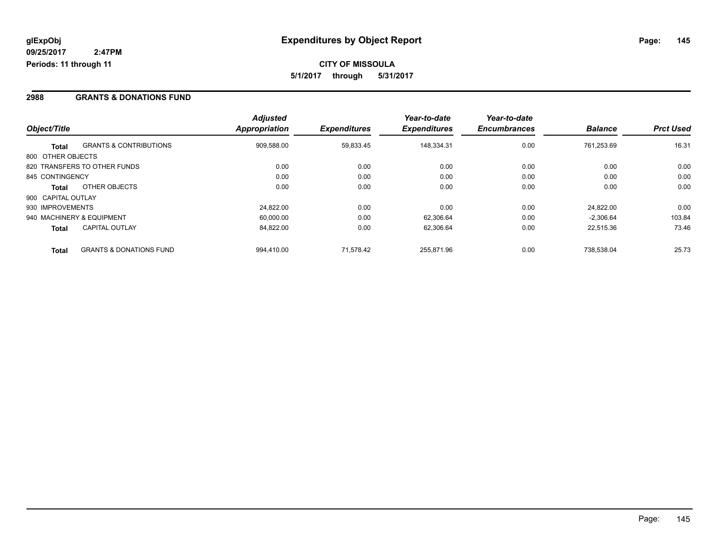#### **2988 GRANTS & DONATIONS FUND**

|                    |                                    | <b>Adjusted</b>      |                     | Year-to-date        | Year-to-date        |                |                  |
|--------------------|------------------------------------|----------------------|---------------------|---------------------|---------------------|----------------|------------------|
| Object/Title       |                                    | <b>Appropriation</b> | <b>Expenditures</b> | <b>Expenditures</b> | <b>Encumbrances</b> | <b>Balance</b> | <b>Prct Used</b> |
| <b>Total</b>       | <b>GRANTS &amp; CONTRIBUTIONS</b>  | 909.588.00           | 59,833.45           | 148.334.31          | 0.00                | 761.253.69     | 16.31            |
| 800 OTHER OBJECTS  |                                    |                      |                     |                     |                     |                |                  |
|                    | 820 TRANSFERS TO OTHER FUNDS       | 0.00                 | 0.00                | 0.00                | 0.00                | 0.00           | 0.00             |
| 845 CONTINGENCY    |                                    | 0.00                 | 0.00                | 0.00                | 0.00                | 0.00           | 0.00             |
| Total              | OTHER OBJECTS                      | 0.00                 | 0.00                | 0.00                | 0.00                | 0.00           | 0.00             |
| 900 CAPITAL OUTLAY |                                    |                      |                     |                     |                     |                |                  |
| 930 IMPROVEMENTS   |                                    | 24.822.00            | 0.00                | 0.00                | 0.00                | 24.822.00      | 0.00             |
|                    | 940 MACHINERY & EQUIPMENT          | 60,000.00            | 0.00                | 62,306.64           | 0.00                | $-2.306.64$    | 103.84           |
| <b>Total</b>       | <b>CAPITAL OUTLAY</b>              | 84.822.00            | 0.00                | 62.306.64           | 0.00                | 22.515.36      | 73.46            |
| <b>Total</b>       | <b>GRANTS &amp; DONATIONS FUND</b> | 994.410.00           | 71.578.42           | 255.871.96          | 0.00                | 738.538.04     | 25.73            |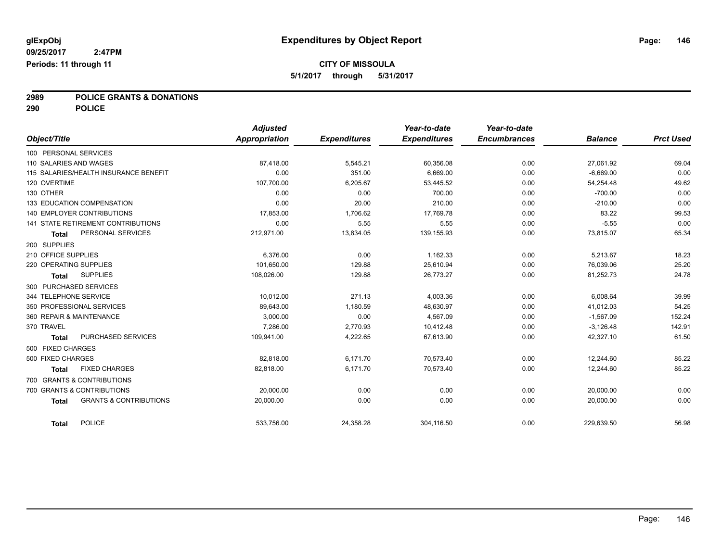# **2989 POLICE GRANTS & DONATIONS**

**290 POLICE**

| Object/Title             |                                       | <b>Adjusted</b><br>Appropriation | <b>Expenditures</b> | Year-to-date<br><b>Expenditures</b> | Year-to-date<br><b>Encumbrances</b> | <b>Balance</b> | <b>Prct Used</b> |
|--------------------------|---------------------------------------|----------------------------------|---------------------|-------------------------------------|-------------------------------------|----------------|------------------|
|                          |                                       |                                  |                     |                                     |                                     |                |                  |
| 100 PERSONAL SERVICES    |                                       |                                  |                     |                                     |                                     |                |                  |
| 110 SALARIES AND WAGES   |                                       | 87,418.00                        | 5,545.21            | 60,356.08                           | 0.00                                | 27,061.92      | 69.04            |
|                          | 115 SALARIES/HEALTH INSURANCE BENEFIT | 0.00                             | 351.00              | 6,669.00                            | 0.00                                | $-6,669.00$    | 0.00             |
| 120 OVERTIME             |                                       | 107,700.00                       | 6,205.67            | 53,445.52                           | 0.00                                | 54,254.48      | 49.62            |
| 130 OTHER                |                                       | 0.00                             | 0.00                | 700.00                              | 0.00                                | $-700.00$      | 0.00             |
|                          | 133 EDUCATION COMPENSATION            | 0.00                             | 20.00               | 210.00                              | 0.00                                | $-210.00$      | 0.00             |
|                          | <b>140 EMPLOYER CONTRIBUTIONS</b>     | 17,853.00                        | 1,706.62            | 17,769.78                           | 0.00                                | 83.22          | 99.53            |
|                          | 141 STATE RETIREMENT CONTRIBUTIONS    | 0.00                             | 5.55                | 5.55                                | 0.00                                | $-5.55$        | 0.00             |
| <b>Total</b>             | PERSONAL SERVICES                     | 212,971.00                       | 13,834.05           | 139,155.93                          | 0.00                                | 73,815.07      | 65.34            |
| 200 SUPPLIES             |                                       |                                  |                     |                                     |                                     |                |                  |
| 210 OFFICE SUPPLIES      |                                       | 6.376.00                         | 0.00                | 1,162.33                            | 0.00                                | 5,213.67       | 18.23            |
| 220 OPERATING SUPPLIES   |                                       | 101.650.00                       | 129.88              | 25,610.94                           | 0.00                                | 76.039.06      | 25.20            |
| <b>Total</b>             | <b>SUPPLIES</b>                       | 108,026.00                       | 129.88              | 26,773.27                           | 0.00                                | 81,252.73      | 24.78            |
| 300 PURCHASED SERVICES   |                                       |                                  |                     |                                     |                                     |                |                  |
| 344 TELEPHONE SERVICE    |                                       | 10,012.00                        | 271.13              | 4,003.36                            | 0.00                                | 6,008.64       | 39.99            |
|                          | 350 PROFESSIONAL SERVICES             | 89,643.00                        | 1,180.59            | 48,630.97                           | 0.00                                | 41,012.03      | 54.25            |
| 360 REPAIR & MAINTENANCE |                                       | 3,000.00                         | 0.00                | 4,567.09                            | 0.00                                | $-1,567.09$    | 152.24           |
| 370 TRAVEL               |                                       | 7.286.00                         | 2,770.93            | 10,412.48                           | 0.00                                | $-3,126.48$    | 142.91           |
| <b>Total</b>             | PURCHASED SERVICES                    | 109,941.00                       | 4,222.65            | 67,613.90                           | 0.00                                | 42,327.10      | 61.50            |
| 500 FIXED CHARGES        |                                       |                                  |                     |                                     |                                     |                |                  |
| 500 FIXED CHARGES        |                                       | 82,818.00                        | 6,171.70            | 70,573.40                           | 0.00                                | 12.244.60      | 85.22            |
| <b>Total</b>             | <b>FIXED CHARGES</b>                  | 82,818.00                        | 6,171.70            | 70,573.40                           | 0.00                                | 12,244.60      | 85.22            |
|                          | 700 GRANTS & CONTRIBUTIONS            |                                  |                     |                                     |                                     |                |                  |
|                          | 700 GRANTS & CONTRIBUTIONS            | 20,000.00                        | 0.00                | 0.00                                | 0.00                                | 20,000.00      | 0.00             |
| <b>Total</b>             | <b>GRANTS &amp; CONTRIBUTIONS</b>     | 20,000.00                        | 0.00                | 0.00                                | 0.00                                | 20,000.00      | 0.00             |
| <b>Total</b>             | <b>POLICE</b>                         | 533,756.00                       | 24,358.28           | 304,116.50                          | 0.00                                | 229,639.50     | 56.98            |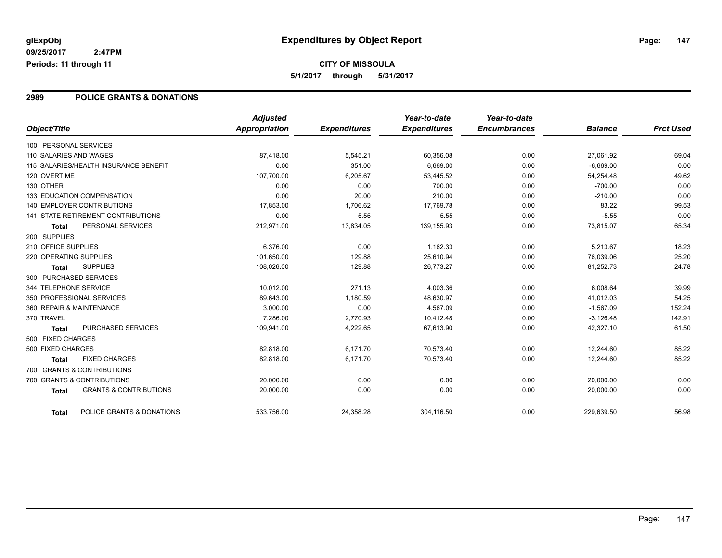#### **2989 POLICE GRANTS & DONATIONS**

|                                                   | <b>Adjusted</b>      |                     | Year-to-date        | Year-to-date        |                |                  |
|---------------------------------------------------|----------------------|---------------------|---------------------|---------------------|----------------|------------------|
| Object/Title                                      | <b>Appropriation</b> | <b>Expenditures</b> | <b>Expenditures</b> | <b>Encumbrances</b> | <b>Balance</b> | <b>Prct Used</b> |
| 100 PERSONAL SERVICES                             |                      |                     |                     |                     |                |                  |
| 110 SALARIES AND WAGES                            | 87,418.00            | 5,545.21            | 60,356.08           | 0.00                | 27,061.92      | 69.04            |
| 115 SALARIES/HEALTH INSURANCE BENEFIT             | 0.00                 | 351.00              | 6,669.00            | 0.00                | $-6,669.00$    | 0.00             |
| 120 OVERTIME                                      | 107,700.00           | 6,205.67            | 53,445.52           | 0.00                | 54,254.48      | 49.62            |
| 130 OTHER                                         | 0.00                 | 0.00                | 700.00              | 0.00                | $-700.00$      | 0.00             |
| 133 EDUCATION COMPENSATION                        | 0.00                 | 20.00               | 210.00              | 0.00                | $-210.00$      | 0.00             |
| <b>140 EMPLOYER CONTRIBUTIONS</b>                 | 17,853.00            | 1,706.62            | 17,769.78           | 0.00                | 83.22          | 99.53            |
| <b>141 STATE RETIREMENT CONTRIBUTIONS</b>         | 0.00                 | 5.55                | 5.55                | 0.00                | $-5.55$        | 0.00             |
| PERSONAL SERVICES<br>Total                        | 212,971.00           | 13,834.05           | 139,155.93          | 0.00                | 73,815.07      | 65.34            |
| 200 SUPPLIES                                      |                      |                     |                     |                     |                |                  |
| 210 OFFICE SUPPLIES                               | 6,376.00             | 0.00                | 1,162.33            | 0.00                | 5,213.67       | 18.23            |
| 220 OPERATING SUPPLIES                            | 101,650.00           | 129.88              | 25,610.94           | 0.00                | 76,039.06      | 25.20            |
| <b>SUPPLIES</b><br><b>Total</b>                   | 108,026.00           | 129.88              | 26,773.27           | 0.00                | 81,252.73      | 24.78            |
| 300 PURCHASED SERVICES                            |                      |                     |                     |                     |                |                  |
| 344 TELEPHONE SERVICE                             | 10,012.00            | 271.13              | 4,003.36            | 0.00                | 6,008.64       | 39.99            |
| 350 PROFESSIONAL SERVICES                         | 89,643.00            | 1,180.59            | 48,630.97           | 0.00                | 41,012.03      | 54.25            |
| 360 REPAIR & MAINTENANCE                          | 3,000.00             | 0.00                | 4,567.09            | 0.00                | $-1,567.09$    | 152.24           |
| 370 TRAVEL                                        | 7,286.00             | 2,770.93            | 10,412.48           | 0.00                | $-3,126.48$    | 142.91           |
| <b>PURCHASED SERVICES</b><br>Total                | 109,941.00           | 4,222.65            | 67,613.90           | 0.00                | 42,327.10      | 61.50            |
| 500 FIXED CHARGES                                 |                      |                     |                     |                     |                |                  |
| 500 FIXED CHARGES                                 | 82,818.00            | 6,171.70            | 70,573.40           | 0.00                | 12.244.60      | 85.22            |
| <b>FIXED CHARGES</b><br><b>Total</b>              | 82.818.00            | 6,171.70            | 70,573.40           | 0.00                | 12,244.60      | 85.22            |
| 700 GRANTS & CONTRIBUTIONS                        |                      |                     |                     |                     |                |                  |
| 700 GRANTS & CONTRIBUTIONS                        | 20,000.00            | 0.00                | 0.00                | 0.00                | 20,000.00      | 0.00             |
| <b>GRANTS &amp; CONTRIBUTIONS</b><br><b>Total</b> | 20,000.00            | 0.00                | 0.00                | 0.00                | 20,000.00      | 0.00             |
| POLICE GRANTS & DONATIONS<br><b>Total</b>         | 533,756.00           | 24,358.28           | 304,116.50          | 0.00                | 229,639.50     | 56.98            |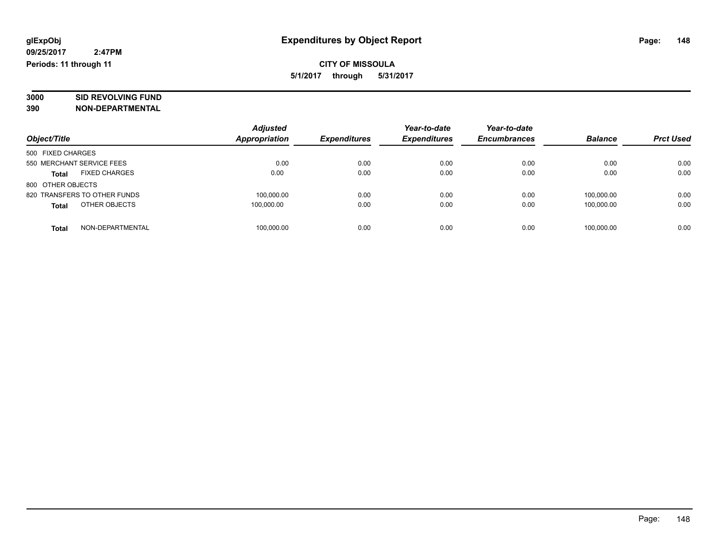# **3000 SID REVOLVING FUND**

|                                      | <b>Adjusted</b>      |                     | Year-to-date        | Year-to-date        |                |                  |
|--------------------------------------|----------------------|---------------------|---------------------|---------------------|----------------|------------------|
| Object/Title                         | <b>Appropriation</b> | <b>Expenditures</b> | <b>Expenditures</b> | <b>Encumbrances</b> | <b>Balance</b> | <b>Prct Used</b> |
| 500 FIXED CHARGES                    |                      |                     |                     |                     |                |                  |
| 550 MERCHANT SERVICE FEES            | 0.00                 | 0.00                | 0.00                | 0.00                | 0.00           | 0.00             |
| <b>FIXED CHARGES</b><br><b>Total</b> | 0.00                 | 0.00                | 0.00                | 0.00                | 0.00           | 0.00             |
| 800 OTHER OBJECTS                    |                      |                     |                     |                     |                |                  |
| 820 TRANSFERS TO OTHER FUNDS         | 100,000.00           | 0.00                | 0.00                | 0.00                | 100.000.00     | 0.00             |
| OTHER OBJECTS<br><b>Total</b>        | 100.000.00           | 0.00                | 0.00                | 0.00                | 100.000.00     | 0.00             |
| NON-DEPARTMENTAL<br>Total            | 100,000.00           | 0.00                | 0.00                | 0.00                | 100.000.00     | 0.00             |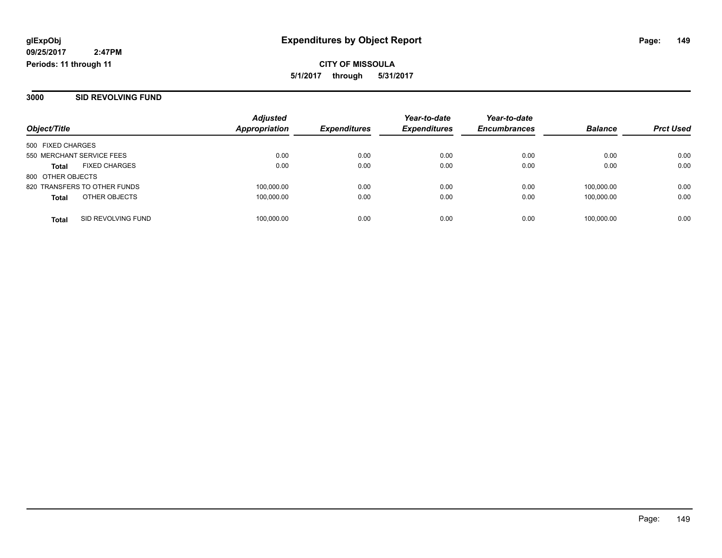**3000 SID REVOLVING FUND**

|                                      |                    | <b>Adjusted</b> |                     | Year-to-date        | Year-to-date        |                |                  |
|--------------------------------------|--------------------|-----------------|---------------------|---------------------|---------------------|----------------|------------------|
| Object/Title                         |                    | Appropriation   | <b>Expenditures</b> | <b>Expenditures</b> | <b>Encumbrances</b> | <b>Balance</b> | <b>Prct Used</b> |
| 500 FIXED CHARGES                    |                    |                 |                     |                     |                     |                |                  |
| 550 MERCHANT SERVICE FEES            |                    | 0.00            | 0.00                | 0.00                | 0.00                | 0.00           | 0.00             |
| <b>FIXED CHARGES</b><br><b>Total</b> |                    | 0.00            | 0.00                | 0.00                | 0.00                | 0.00           | 0.00             |
| 800 OTHER OBJECTS                    |                    |                 |                     |                     |                     |                |                  |
| 820 TRANSFERS TO OTHER FUNDS         |                    | 100,000.00      | 0.00                | 0.00                | 0.00                | 100.000.00     | 0.00             |
| OTHER OBJECTS<br><b>Total</b>        |                    | 100,000.00      | 0.00                | 0.00                | 0.00                | 100.000.00     | 0.00             |
| <b>Total</b>                         | SID REVOLVING FUND | 100,000.00      | 0.00                | 0.00                | 0.00                | 100,000.00     | 0.00             |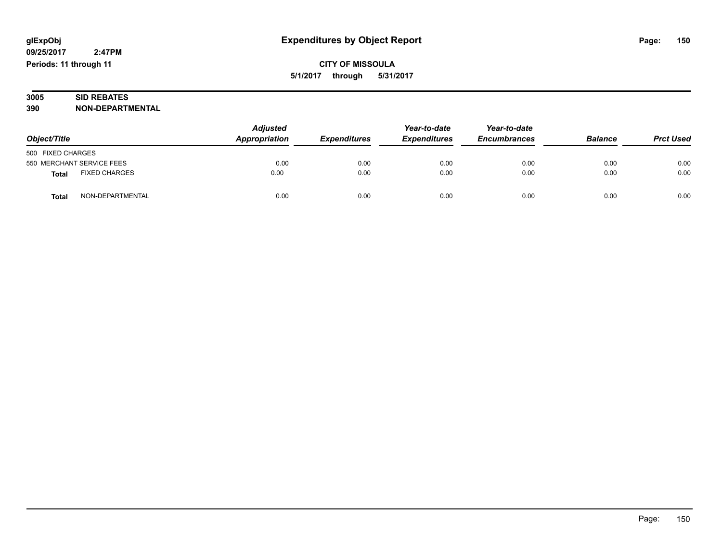#### **3005 SID REBATES 390 NON-DEPARTMENTAL**

| Object/Title                         | <b>Adjusted</b><br>Appropriation | <b>Expenditures</b> | Year-to-date<br><b>Expenditures</b> | Year-to-date<br><b>Encumbrances</b> | <b>Balance</b> | <b>Prct Used</b> |
|--------------------------------------|----------------------------------|---------------------|-------------------------------------|-------------------------------------|----------------|------------------|
| 500 FIXED CHARGES                    |                                  |                     |                                     |                                     |                |                  |
| 550 MERCHANT SERVICE FEES            | 0.00                             | 0.00                | 0.00                                | 0.00                                | 0.00           | 0.00             |
| <b>FIXED CHARGES</b><br><b>Total</b> | 0.00                             | 0.00                | 0.00                                | 0.00                                | 0.00           | 0.00             |
| NON-DEPARTMENTAL<br><b>Total</b>     | 0.00                             | 0.00                | 0.00                                | 0.00                                | 0.00           | 0.00             |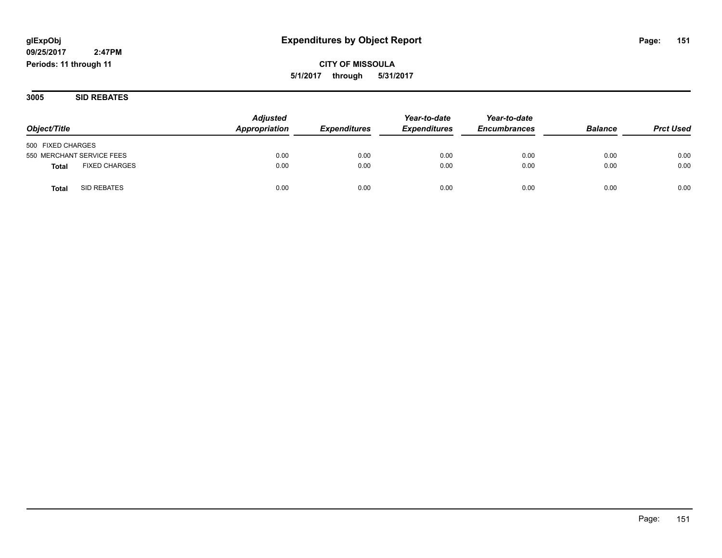#### **CITY OF MISSOULA 5/1/2017 through 5/31/2017**

**3005 SID REBATES**

| Object/Title                         | <b>Adjusted</b><br>Appropriation | <b>Expenditures</b> | Year-to-date<br><b>Expenditures</b> | Year-to-date<br><b>Encumbrances</b> | <b>Balance</b> | <b>Prct Used</b> |
|--------------------------------------|----------------------------------|---------------------|-------------------------------------|-------------------------------------|----------------|------------------|
|                                      |                                  |                     |                                     |                                     |                |                  |
| 500 FIXED CHARGES                    |                                  |                     |                                     |                                     |                |                  |
| 550 MERCHANT SERVICE FEES            | 0.00                             | 0.00                | 0.00                                | 0.00                                | 0.00           | 0.00             |
| <b>FIXED CHARGES</b><br><b>Total</b> | 0.00                             | 0.00                | 0.00                                | 0.00                                | 0.00           | 0.00             |
| SID REBATES<br>Total                 | 0.00                             | 0.00                | 0.00                                | 0.00                                | 0.00           | 0.00             |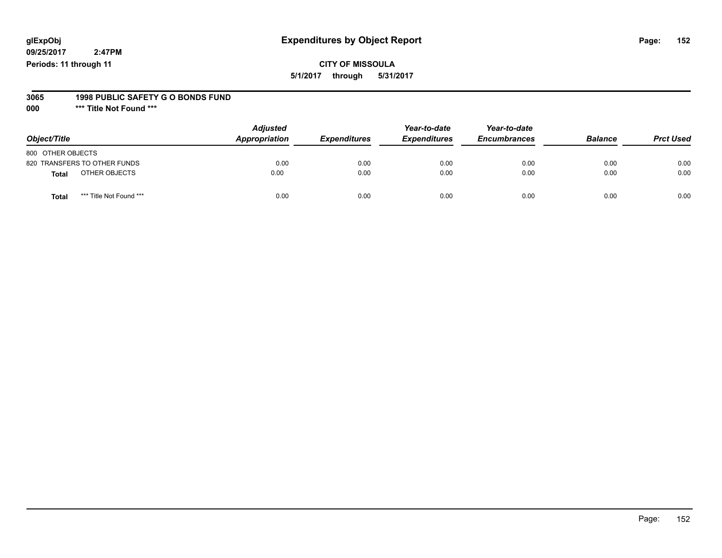#### **glExpObj Expenditures by Object Report Page: 152**

**09/25/2017 2:47PM Periods: 11 through 11**

**CITY OF MISSOULA 5/1/2017 through 5/31/2017**

#### **3065 1998 PUBLIC SAFETY G O BONDS FUND**

**000 \*\*\* Title Not Found \*\*\***

| Object/Title                            | <b>Adjusted</b><br>Appropriation | <b>Expenditures</b> | Year-to-date<br><b>Expenditures</b> | Year-to-date<br><b>Encumbrances</b> | <b>Balance</b> | <b>Prct Used</b> |
|-----------------------------------------|----------------------------------|---------------------|-------------------------------------|-------------------------------------|----------------|------------------|
| 800 OTHER OBJECTS                       |                                  |                     |                                     |                                     |                |                  |
| 820 TRANSFERS TO OTHER FUNDS            | 0.00                             | 0.00                | 0.00                                | 0.00                                | 0.00           | 0.00             |
| OTHER OBJECTS<br><b>Total</b>           | 0.00                             | 0.00                | 0.00                                | 0.00                                | 0.00           | 0.00             |
| *** Title Not Found ***<br><b>Total</b> | 0.00                             | 0.00                | 0.00                                | 0.00                                | 0.00           | 0.00             |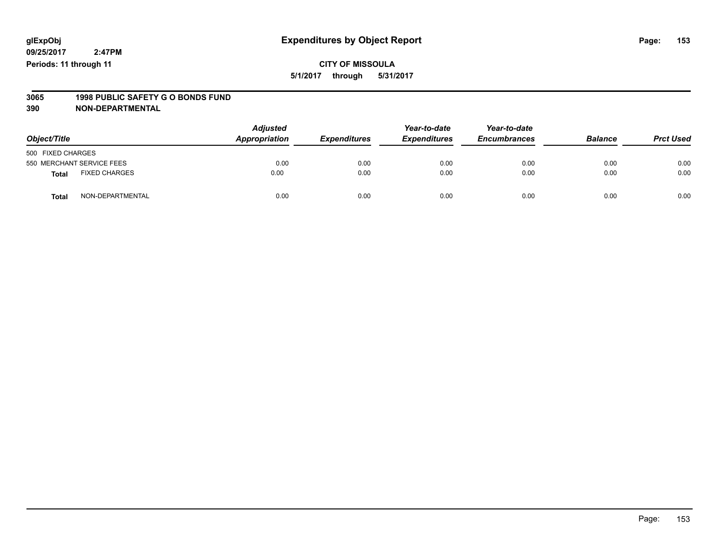#### **CITY OF MISSOULA 5/1/2017 through 5/31/2017**

# **3065 1998 PUBLIC SAFETY G O BONDS FUND**

| Object/Title      |                           | <b>Adjusted</b><br>Appropriation | <b>Expenditures</b> | Year-to-date<br><b>Expenditures</b> | Year-to-date<br><b>Encumbrances</b> | <b>Balance</b> | <b>Prct Used</b> |
|-------------------|---------------------------|----------------------------------|---------------------|-------------------------------------|-------------------------------------|----------------|------------------|
| 500 FIXED CHARGES |                           |                                  |                     |                                     |                                     |                |                  |
|                   | 550 MERCHANT SERVICE FEES | 0.00                             | 0.00                | 0.00                                | 0.00                                | 0.00           | 0.00             |
| <b>Total</b>      | <b>FIXED CHARGES</b>      | 0.00                             | 0.00                | 0.00                                | 0.00                                | 0.00           | 0.00             |
| <b>Total</b>      | NON-DEPARTMENTAL          | 0.00                             | 0.00                | 0.00                                | 0.00                                | 0.00           | 0.00             |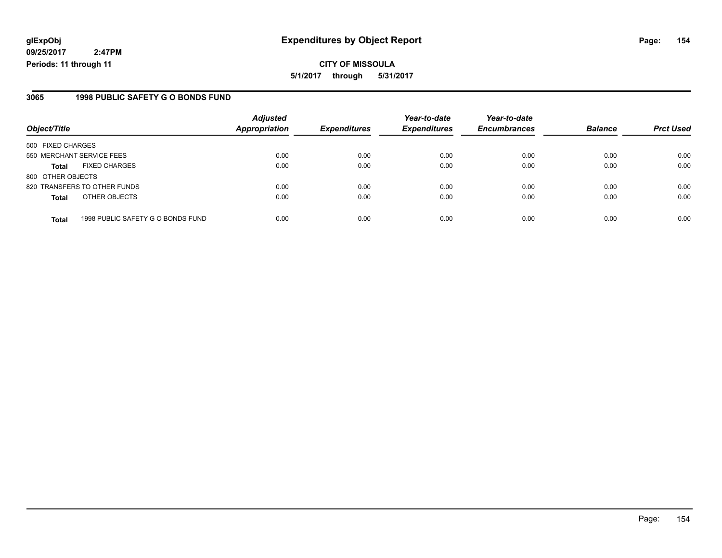**CITY OF MISSOULA 5/1/2017 through 5/31/2017**

#### **3065 1998 PUBLIC SAFETY G O BONDS FUND**

|                           |                                   | <b>Adjusted</b>      |                     | Year-to-date        | Year-to-date        |                |                  |
|---------------------------|-----------------------------------|----------------------|---------------------|---------------------|---------------------|----------------|------------------|
| Object/Title              |                                   | <b>Appropriation</b> | <b>Expenditures</b> | <b>Expenditures</b> | <b>Encumbrances</b> | <b>Balance</b> | <b>Prct Used</b> |
| 500 FIXED CHARGES         |                                   |                      |                     |                     |                     |                |                  |
| 550 MERCHANT SERVICE FEES |                                   | 0.00                 | 0.00                | 0.00                | 0.00                | 0.00           | 0.00             |
| <b>Total</b>              | <b>FIXED CHARGES</b>              | 0.00                 | 0.00                | 0.00                | 0.00                | 0.00           | 0.00             |
| 800 OTHER OBJECTS         |                                   |                      |                     |                     |                     |                |                  |
|                           | 820 TRANSFERS TO OTHER FUNDS      | 0.00                 | 0.00                | 0.00                | 0.00                | 0.00           | 0.00             |
| <b>Total</b>              | OTHER OBJECTS                     | 0.00                 | 0.00                | 0.00                | 0.00                | 0.00           | 0.00             |
| <b>Total</b>              | 1998 PUBLIC SAFETY G O BONDS FUND | 0.00                 | 0.00                | 0.00                | 0.00                | 0.00           | 0.00             |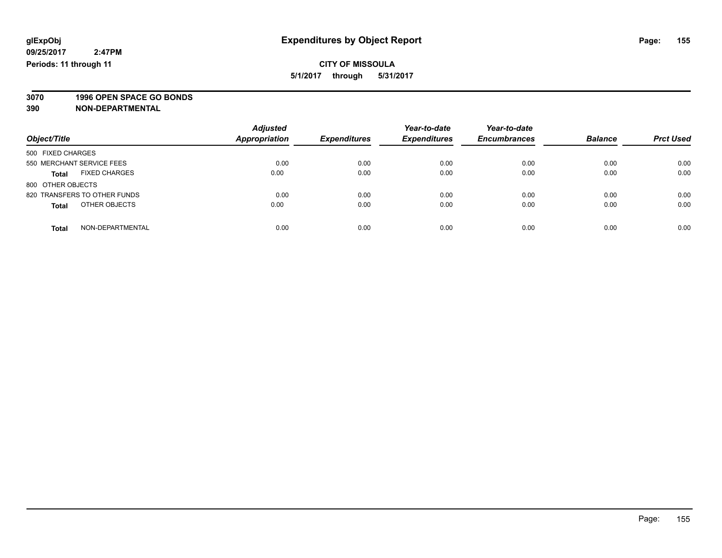**3070 1996 OPEN SPACE GO BONDS**

| Object/Title                         | <b>Adjusted</b><br><b>Appropriation</b> | <b>Expenditures</b> | Year-to-date<br><b>Expenditures</b> | Year-to-date<br><b>Encumbrances</b> | <b>Balance</b> | <b>Prct Used</b> |
|--------------------------------------|-----------------------------------------|---------------------|-------------------------------------|-------------------------------------|----------------|------------------|
| 500 FIXED CHARGES                    |                                         |                     |                                     |                                     |                |                  |
| 550 MERCHANT SERVICE FEES            | 0.00                                    | 0.00                | 0.00                                | 0.00                                | 0.00           | 0.00             |
| <b>FIXED CHARGES</b><br><b>Total</b> | 0.00                                    | 0.00                | 0.00                                | 0.00                                | 0.00           | 0.00             |
| 800 OTHER OBJECTS                    |                                         |                     |                                     |                                     |                |                  |
| 820 TRANSFERS TO OTHER FUNDS         | 0.00                                    | 0.00                | 0.00                                | 0.00                                | 0.00           | 0.00             |
| OTHER OBJECTS<br><b>Total</b>        | 0.00                                    | 0.00                | 0.00                                | 0.00                                | 0.00           | 0.00             |
| NON-DEPARTMENTAL<br>Total            | 0.00                                    | 0.00                | 0.00                                | 0.00                                | 0.00           | 0.00             |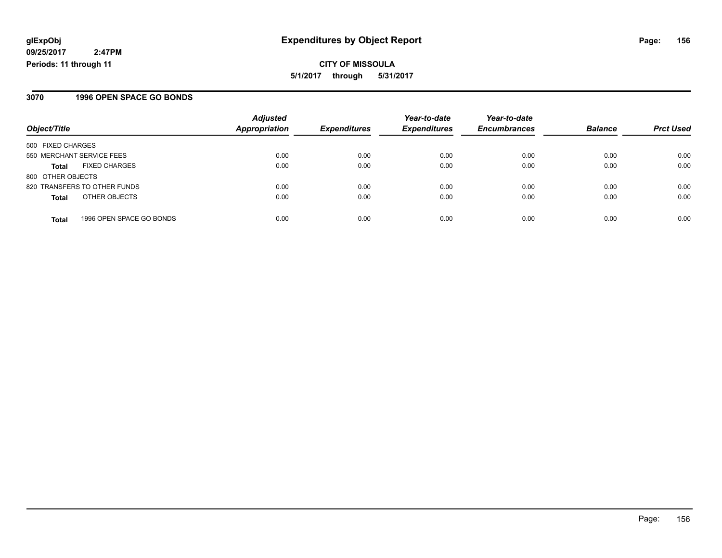#### **3070 1996 OPEN SPACE GO BONDS**

| Object/Title                 |                          | <b>Adjusted</b><br><b>Appropriation</b> | <b>Expenditures</b> | Year-to-date<br><b>Expenditures</b> | Year-to-date<br><b>Encumbrances</b> | <b>Balance</b> | <b>Prct Used</b> |
|------------------------------|--------------------------|-----------------------------------------|---------------------|-------------------------------------|-------------------------------------|----------------|------------------|
|                              |                          |                                         |                     |                                     |                                     |                |                  |
| 550 MERCHANT SERVICE FEES    |                          | 0.00                                    | 0.00                | 0.00                                | 0.00                                | 0.00           | 0.00             |
| Total                        | <b>FIXED CHARGES</b>     | 0.00                                    | 0.00                | 0.00                                | 0.00                                | 0.00           | 0.00             |
| 800 OTHER OBJECTS            |                          |                                         |                     |                                     |                                     |                |                  |
| 820 TRANSFERS TO OTHER FUNDS |                          | 0.00                                    | 0.00                | 0.00                                | 0.00                                | 0.00           | 0.00             |
| <b>Total</b>                 | OTHER OBJECTS            | 0.00                                    | 0.00                | 0.00                                | 0.00                                | 0.00           | 0.00             |
| <b>Total</b>                 | 1996 OPEN SPACE GO BONDS | 0.00                                    | 0.00                | 0.00                                | 0.00                                | 0.00           | 0.00             |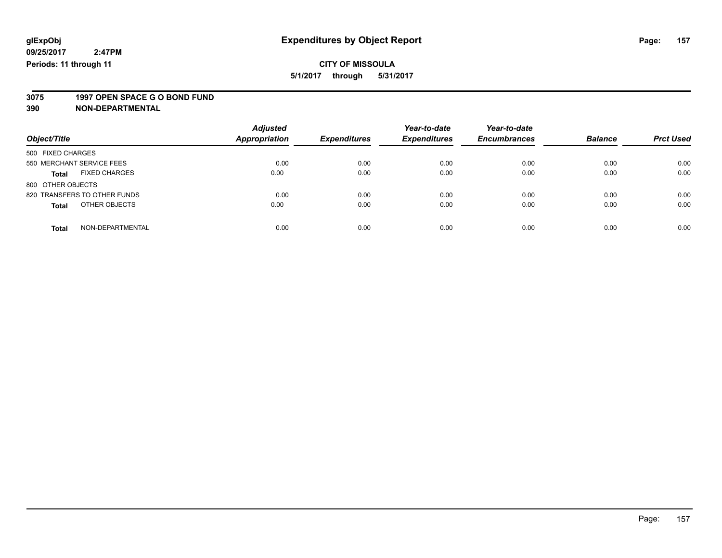**3075 1997 OPEN SPACE G O BOND FUND**

| Object/Title                         | <b>Adjusted</b><br><b>Appropriation</b> | <b>Expenditures</b> | Year-to-date<br><b>Expenditures</b> | Year-to-date<br><b>Encumbrances</b> | <b>Balance</b> | <b>Prct Used</b> |
|--------------------------------------|-----------------------------------------|---------------------|-------------------------------------|-------------------------------------|----------------|------------------|
|                                      |                                         |                     |                                     |                                     |                |                  |
| 500 FIXED CHARGES                    |                                         |                     |                                     |                                     |                |                  |
| 550 MERCHANT SERVICE FEES            | 0.00                                    | 0.00                | 0.00                                | 0.00                                | 0.00           | 0.00             |
| <b>FIXED CHARGES</b><br><b>Total</b> | 0.00                                    | 0.00                | 0.00                                | 0.00                                | 0.00           | 0.00             |
| 800 OTHER OBJECTS                    |                                         |                     |                                     |                                     |                |                  |
| 820 TRANSFERS TO OTHER FUNDS         | 0.00                                    | 0.00                | 0.00                                | 0.00                                | 0.00           | 0.00             |
| OTHER OBJECTS<br><b>Total</b>        | 0.00                                    | 0.00                | 0.00                                | 0.00                                | 0.00           | 0.00             |
| NON-DEPARTMENTAL<br><b>Total</b>     | 0.00                                    | 0.00                | 0.00                                | 0.00                                | 0.00           | 0.00             |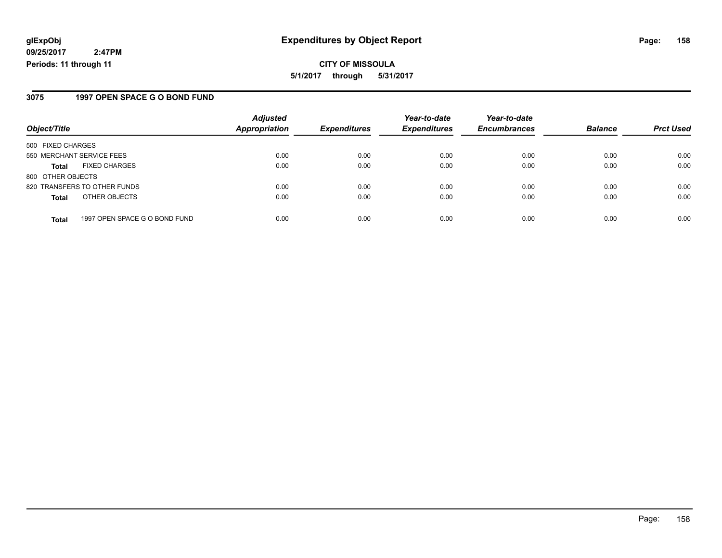**CITY OF MISSOULA 5/1/2017 through 5/31/2017**

#### **3075 1997 OPEN SPACE G O BOND FUND**

|                           |                               | <b>Adjusted</b>      |                     | Year-to-date        | Year-to-date        |                |                  |
|---------------------------|-------------------------------|----------------------|---------------------|---------------------|---------------------|----------------|------------------|
| Object/Title              |                               | <b>Appropriation</b> | <b>Expenditures</b> | <b>Expenditures</b> | <b>Encumbrances</b> | <b>Balance</b> | <b>Prct Used</b> |
| 500 FIXED CHARGES         |                               |                      |                     |                     |                     |                |                  |
| 550 MERCHANT SERVICE FEES |                               | 0.00                 | 0.00                | 0.00                | 0.00                | 0.00           | 0.00             |
| <b>Total</b>              | <b>FIXED CHARGES</b>          | 0.00                 | 0.00                | 0.00                | 0.00                | 0.00           | 0.00             |
| 800 OTHER OBJECTS         |                               |                      |                     |                     |                     |                |                  |
|                           | 820 TRANSFERS TO OTHER FUNDS  | 0.00                 | 0.00                | 0.00                | 0.00                | 0.00           | 0.00             |
| <b>Total</b>              | OTHER OBJECTS                 | 0.00                 | 0.00                | 0.00                | 0.00                | 0.00           | 0.00             |
| <b>Total</b>              | 1997 OPEN SPACE G O BOND FUND | 0.00                 | 0.00                | 0.00                | 0.00                | 0.00           | 0.00             |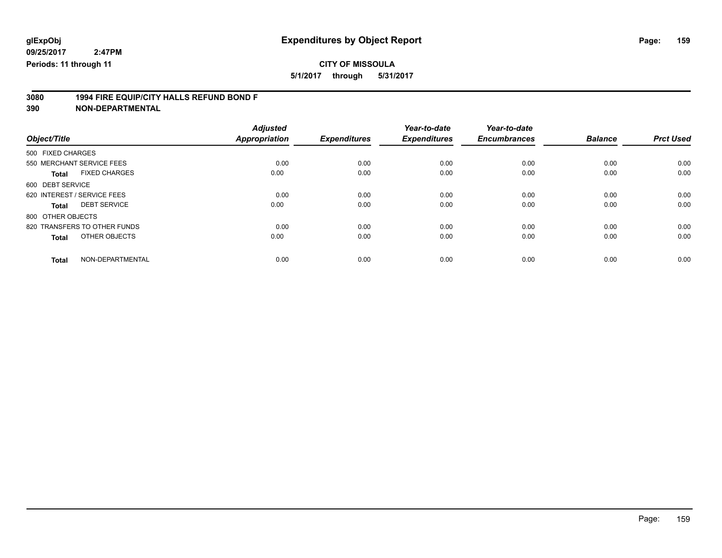**5/1/2017 through 5/31/2017**

# **3080 1994 FIRE EQUIP/CITY HALLS REFUND BOND F**

|                                      | <b>Adjusted</b>      |                     | Year-to-date        | Year-to-date        |                |                  |
|--------------------------------------|----------------------|---------------------|---------------------|---------------------|----------------|------------------|
| Object/Title                         | <b>Appropriation</b> | <b>Expenditures</b> | <b>Expenditures</b> | <b>Encumbrances</b> | <b>Balance</b> | <b>Prct Used</b> |
| 500 FIXED CHARGES                    |                      |                     |                     |                     |                |                  |
| 550 MERCHANT SERVICE FEES            | 0.00                 | 0.00                | 0.00                | 0.00                | 0.00           | 0.00             |
| <b>FIXED CHARGES</b><br><b>Total</b> | 0.00                 | 0.00                | 0.00                | 0.00                | 0.00           | 0.00             |
| 600 DEBT SERVICE                     |                      |                     |                     |                     |                |                  |
| 620 INTEREST / SERVICE FEES          | 0.00                 | 0.00                | 0.00                | 0.00                | 0.00           | 0.00             |
| <b>DEBT SERVICE</b><br><b>Total</b>  | 0.00                 | 0.00                | 0.00                | 0.00                | 0.00           | 0.00             |
| 800 OTHER OBJECTS                    |                      |                     |                     |                     |                |                  |
| 820 TRANSFERS TO OTHER FUNDS         | 0.00                 | 0.00                | 0.00                | 0.00                | 0.00           | 0.00             |
| OTHER OBJECTS<br><b>Total</b>        | 0.00                 | 0.00                | 0.00                | 0.00                | 0.00           | 0.00             |
|                                      |                      |                     |                     |                     |                |                  |
| NON-DEPARTMENTAL<br><b>Total</b>     | 0.00                 | 0.00                | 0.00                | 0.00                | 0.00           | 0.00             |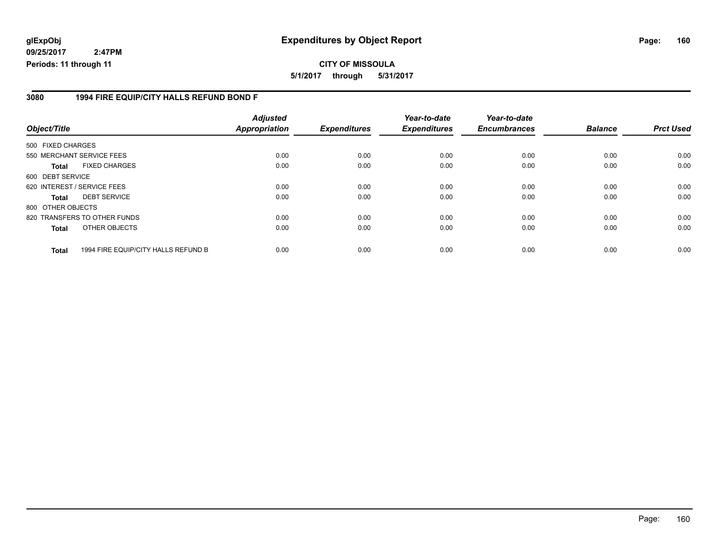#### **glExpObj Expenditures by Object Report Page: 160**

**09/25/2017 2:47PM Periods: 11 through 11**

#### **3080 1994 FIRE EQUIP/CITY HALLS REFUND BOND F**

| Object/Title      |                                     | <b>Adjusted</b><br><b>Appropriation</b> | <b>Expenditures</b> | Year-to-date<br><b>Expenditures</b> | Year-to-date<br><b>Encumbrances</b> | <b>Balance</b> | <b>Prct Used</b> |
|-------------------|-------------------------------------|-----------------------------------------|---------------------|-------------------------------------|-------------------------------------|----------------|------------------|
| 500 FIXED CHARGES |                                     |                                         |                     |                                     |                                     |                |                  |
|                   | 550 MERCHANT SERVICE FEES           | 0.00                                    | 0.00                | 0.00                                | 0.00                                | 0.00           | 0.00             |
| Total             | <b>FIXED CHARGES</b>                | 0.00                                    | 0.00                | 0.00                                | 0.00                                | 0.00           | 0.00             |
| 600 DEBT SERVICE  |                                     |                                         |                     |                                     |                                     |                |                  |
|                   | 620 INTEREST / SERVICE FEES         | 0.00                                    | 0.00                | 0.00                                | 0.00                                | 0.00           | 0.00             |
| <b>Total</b>      | <b>DEBT SERVICE</b>                 | 0.00                                    | 0.00                | 0.00                                | 0.00                                | 0.00           | 0.00             |
| 800 OTHER OBJECTS |                                     |                                         |                     |                                     |                                     |                |                  |
|                   | 820 TRANSFERS TO OTHER FUNDS        | 0.00                                    | 0.00                | 0.00                                | 0.00                                | 0.00           | 0.00             |
| <b>Total</b>      | OTHER OBJECTS                       | 0.00                                    | 0.00                | 0.00                                | 0.00                                | 0.00           | 0.00             |
| <b>Total</b>      | 1994 FIRE EQUIP/CITY HALLS REFUND B | 0.00                                    | 0.00                | 0.00                                | 0.00                                | 0.00           | 0.00             |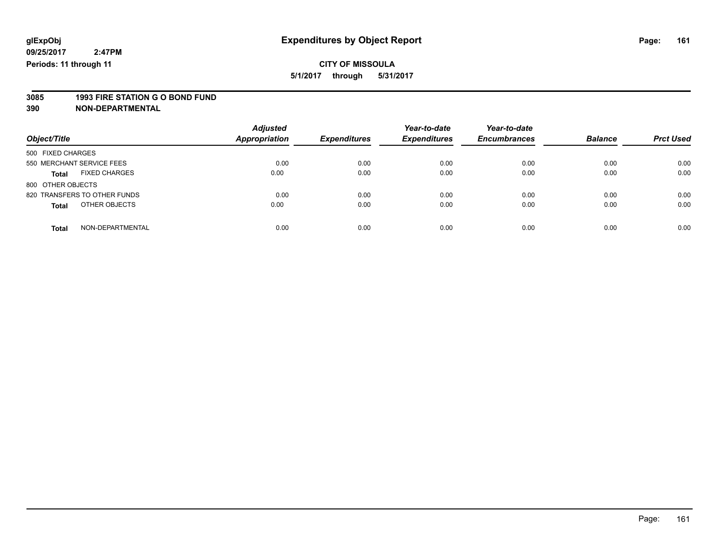### **CITY OF MISSOULA**

**5/1/2017 through 5/31/2017**

# **3085 1993 FIRE STATION G O BOND FUND**

| Object/Title                         | <b>Adjusted</b><br>Appropriation | <b>Expenditures</b> | Year-to-date<br><b>Expenditures</b> | Year-to-date<br><b>Encumbrances</b> | <b>Balance</b> | <b>Prct Used</b> |
|--------------------------------------|----------------------------------|---------------------|-------------------------------------|-------------------------------------|----------------|------------------|
| 500 FIXED CHARGES                    |                                  |                     |                                     |                                     |                |                  |
| 550 MERCHANT SERVICE FEES            | 0.00                             | 0.00                | 0.00                                | 0.00                                | 0.00           | 0.00             |
| <b>FIXED CHARGES</b><br><b>Total</b> | 0.00                             | 0.00                | 0.00                                | 0.00                                | 0.00           | 0.00             |
| 800 OTHER OBJECTS                    |                                  |                     |                                     |                                     |                |                  |
| 820 TRANSFERS TO OTHER FUNDS         | 0.00                             | 0.00                | 0.00                                | 0.00                                | 0.00           | 0.00             |
| OTHER OBJECTS<br><b>Total</b>        | 0.00                             | 0.00                | 0.00                                | 0.00                                | 0.00           | 0.00             |
| NON-DEPARTMENTAL<br><b>Total</b>     | 0.00                             | 0.00                | 0.00                                | 0.00                                | 0.00           | 0.00             |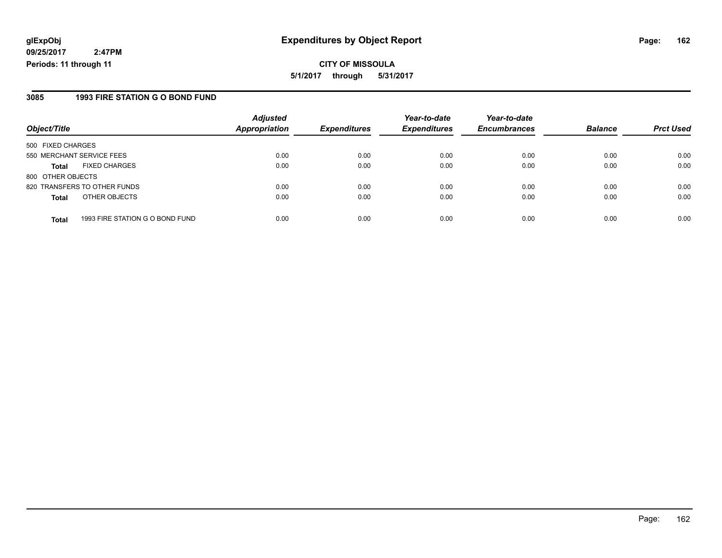**CITY OF MISSOULA 5/1/2017 through 5/31/2017**

#### **3085 1993 FIRE STATION G O BOND FUND**

| Object/Title              |                                 | <b>Adjusted</b><br><b>Appropriation</b> | <b>Expenditures</b> | Year-to-date<br><b>Expenditures</b> | Year-to-date<br><b>Encumbrances</b> | <b>Balance</b> | <b>Prct Used</b> |
|---------------------------|---------------------------------|-----------------------------------------|---------------------|-------------------------------------|-------------------------------------|----------------|------------------|
| 500 FIXED CHARGES         |                                 |                                         |                     |                                     |                                     |                |                  |
| 550 MERCHANT SERVICE FEES |                                 | 0.00                                    | 0.00                | 0.00                                | 0.00                                | 0.00           | 0.00             |
| <b>Total</b>              | <b>FIXED CHARGES</b>            | 0.00                                    | 0.00                | 0.00                                | 0.00                                | 0.00           | 0.00             |
| 800 OTHER OBJECTS         |                                 |                                         |                     |                                     |                                     |                |                  |
|                           | 820 TRANSFERS TO OTHER FUNDS    | 0.00                                    | 0.00                | 0.00                                | 0.00                                | 0.00           | 0.00             |
| <b>Total</b>              | OTHER OBJECTS                   | 0.00                                    | 0.00                | 0.00                                | 0.00                                | 0.00           | 0.00             |
|                           |                                 |                                         |                     |                                     |                                     |                |                  |
| <b>Total</b>              | 1993 FIRE STATION G O BOND FUND | 0.00                                    | 0.00                | 0.00                                | 0.00                                | 0.00           | 0.00             |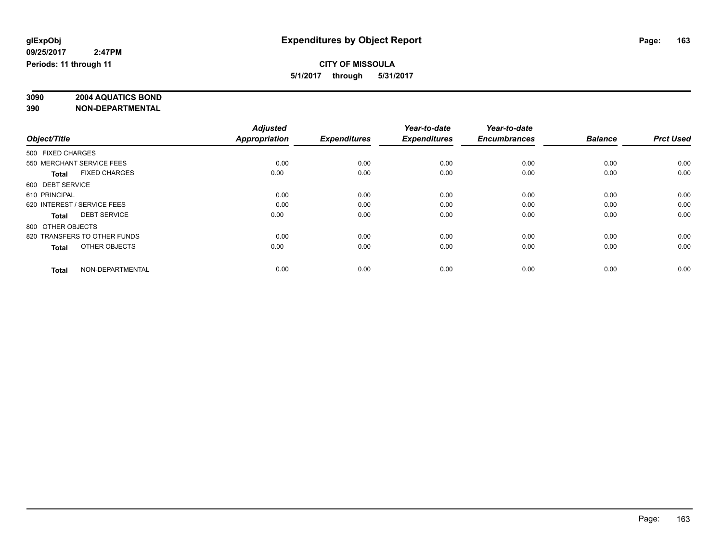# **3090 2004 AQUATICS BOND**

|                                      | <b>Adjusted</b>      |                     | Year-to-date        | Year-to-date        |                |                  |
|--------------------------------------|----------------------|---------------------|---------------------|---------------------|----------------|------------------|
| Object/Title                         | <b>Appropriation</b> | <b>Expenditures</b> | <b>Expenditures</b> | <b>Encumbrances</b> | <b>Balance</b> | <b>Prct Used</b> |
| 500 FIXED CHARGES                    |                      |                     |                     |                     |                |                  |
| 550 MERCHANT SERVICE FEES            | 0.00                 | 0.00                | 0.00                | 0.00                | 0.00           | 0.00             |
| <b>FIXED CHARGES</b><br><b>Total</b> | 0.00                 | 0.00                | 0.00                | 0.00                | 0.00           | 0.00             |
| 600 DEBT SERVICE                     |                      |                     |                     |                     |                |                  |
| 610 PRINCIPAL                        | 0.00                 | 0.00                | 0.00                | 0.00                | 0.00           | 0.00             |
| 620 INTEREST / SERVICE FEES          | 0.00                 | 0.00                | 0.00                | 0.00                | 0.00           | 0.00             |
| <b>DEBT SERVICE</b><br><b>Total</b>  | 0.00                 | 0.00                | 0.00                | 0.00                | 0.00           | 0.00             |
| 800 OTHER OBJECTS                    |                      |                     |                     |                     |                |                  |
| 820 TRANSFERS TO OTHER FUNDS         | 0.00                 | 0.00                | 0.00                | 0.00                | 0.00           | 0.00             |
| OTHER OBJECTS<br><b>Total</b>        | 0.00                 | 0.00                | 0.00                | 0.00                | 0.00           | 0.00             |
|                                      |                      |                     |                     |                     |                |                  |
| NON-DEPARTMENTAL<br><b>Total</b>     | 0.00                 | 0.00                | 0.00                | 0.00                | 0.00           | 0.00             |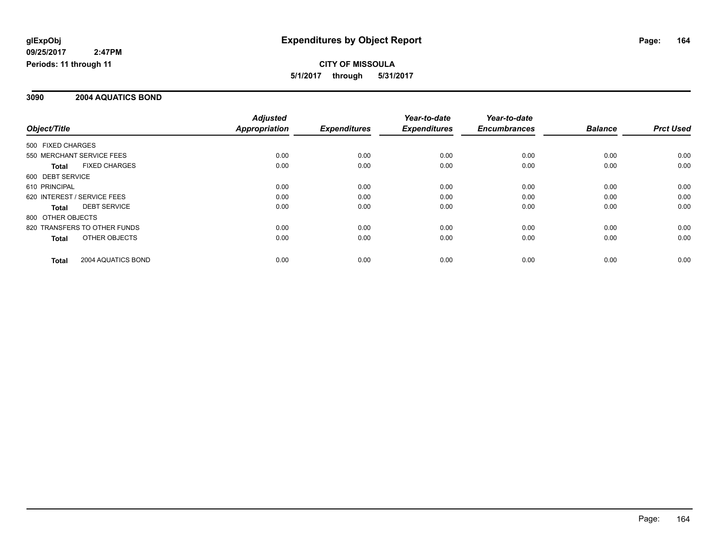#### **3090 2004 AQUATICS BOND**

|                   |                              | <b>Adjusted</b>      |                     | Year-to-date        | Year-to-date        |                |                  |
|-------------------|------------------------------|----------------------|---------------------|---------------------|---------------------|----------------|------------------|
| Object/Title      |                              | <b>Appropriation</b> | <b>Expenditures</b> | <b>Expenditures</b> | <b>Encumbrances</b> | <b>Balance</b> | <b>Prct Used</b> |
| 500 FIXED CHARGES |                              |                      |                     |                     |                     |                |                  |
|                   | 550 MERCHANT SERVICE FEES    | 0.00                 | 0.00                | 0.00                | 0.00                | 0.00           | 0.00             |
| <b>Total</b>      | <b>FIXED CHARGES</b>         | 0.00                 | 0.00                | 0.00                | 0.00                | 0.00           | 0.00             |
| 600 DEBT SERVICE  |                              |                      |                     |                     |                     |                |                  |
| 610 PRINCIPAL     |                              | 0.00                 | 0.00                | 0.00                | 0.00                | 0.00           | 0.00             |
|                   | 620 INTEREST / SERVICE FEES  | 0.00                 | 0.00                | 0.00                | 0.00                | 0.00           | 0.00             |
| <b>Total</b>      | <b>DEBT SERVICE</b>          | 0.00                 | 0.00                | 0.00                | 0.00                | 0.00           | 0.00             |
| 800 OTHER OBJECTS |                              |                      |                     |                     |                     |                |                  |
|                   | 820 TRANSFERS TO OTHER FUNDS | 0.00                 | 0.00                | 0.00                | 0.00                | 0.00           | 0.00             |
| <b>Total</b>      | OTHER OBJECTS                | 0.00                 | 0.00                | 0.00                | 0.00                | 0.00           | 0.00             |
| Total             | 2004 AQUATICS BOND           | 0.00                 | 0.00                | 0.00                | 0.00                | 0.00           | 0.00             |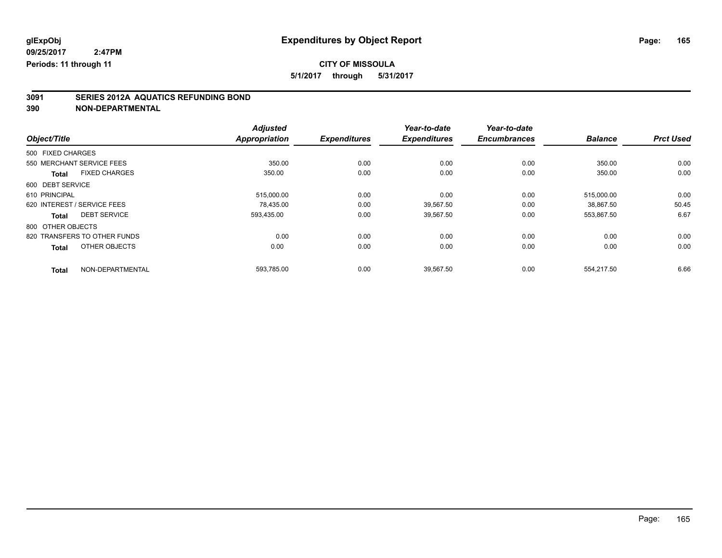### **CITY OF MISSOULA**

**5/1/2017 through 5/31/2017**

# **3091 SERIES 2012A AQUATICS REFUNDING BOND**

|                                      | <b>Adjusted</b>      |                     | Year-to-date        | Year-to-date        |                |                  |
|--------------------------------------|----------------------|---------------------|---------------------|---------------------|----------------|------------------|
| Object/Title                         | <b>Appropriation</b> | <b>Expenditures</b> | <b>Expenditures</b> | <b>Encumbrances</b> | <b>Balance</b> | <b>Prct Used</b> |
| 500 FIXED CHARGES                    |                      |                     |                     |                     |                |                  |
| 550 MERCHANT SERVICE FEES            | 350.00               | 0.00                | 0.00                | 0.00                | 350.00         | 0.00             |
| <b>FIXED CHARGES</b><br><b>Total</b> | 350.00               | 0.00                | 0.00                | 0.00                | 350.00         | 0.00             |
| 600 DEBT SERVICE                     |                      |                     |                     |                     |                |                  |
| 610 PRINCIPAL                        | 515,000.00           | 0.00                | 0.00                | 0.00                | 515,000.00     | 0.00             |
| 620 INTEREST / SERVICE FEES          | 78.435.00            | 0.00                | 39.567.50           | 0.00                | 38.867.50      | 50.45            |
| <b>DEBT SERVICE</b><br><b>Total</b>  | 593,435.00           | 0.00                | 39,567.50           | 0.00                | 553,867.50     | 6.67             |
| 800 OTHER OBJECTS                    |                      |                     |                     |                     |                |                  |
| 820 TRANSFERS TO OTHER FUNDS         | 0.00                 | 0.00                | 0.00                | 0.00                | 0.00           | 0.00             |
| OTHER OBJECTS<br><b>Total</b>        | 0.00                 | 0.00                | 0.00                | 0.00                | 0.00           | 0.00             |
| NON-DEPARTMENTAL<br><b>Total</b>     | 593,785.00           | 0.00                | 39,567.50           | 0.00                | 554,217.50     | 6.66             |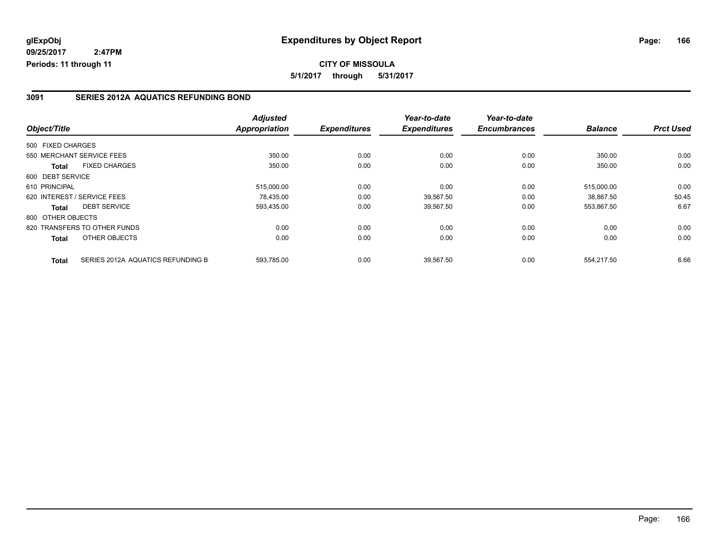#### **3091 SERIES 2012A AQUATICS REFUNDING BOND**

|                   |                                   | <b>Adjusted</b>      |                     | Year-to-date        | Year-to-date        |                |                  |
|-------------------|-----------------------------------|----------------------|---------------------|---------------------|---------------------|----------------|------------------|
| Object/Title      |                                   | <b>Appropriation</b> | <b>Expenditures</b> | <b>Expenditures</b> | <b>Encumbrances</b> | <b>Balance</b> | <b>Prct Used</b> |
| 500 FIXED CHARGES |                                   |                      |                     |                     |                     |                |                  |
|                   | 550 MERCHANT SERVICE FEES         | 350.00               | 0.00                | 0.00                | 0.00                | 350.00         | 0.00             |
| <b>Total</b>      | <b>FIXED CHARGES</b>              | 350.00               | 0.00                | 0.00                | 0.00                | 350.00         | 0.00             |
| 600 DEBT SERVICE  |                                   |                      |                     |                     |                     |                |                  |
| 610 PRINCIPAL     |                                   | 515,000.00           | 0.00                | 0.00                | 0.00                | 515,000.00     | 0.00             |
|                   | 620 INTEREST / SERVICE FEES       | 78.435.00            | 0.00                | 39,567.50           | 0.00                | 38.867.50      | 50.45            |
| <b>Total</b>      | <b>DEBT SERVICE</b>               | 593,435.00           | 0.00                | 39,567.50           | 0.00                | 553,867.50     | 6.67             |
| 800 OTHER OBJECTS |                                   |                      |                     |                     |                     |                |                  |
|                   | 820 TRANSFERS TO OTHER FUNDS      | 0.00                 | 0.00                | 0.00                | 0.00                | 0.00           | 0.00             |
| <b>Total</b>      | OTHER OBJECTS                     | 0.00                 | 0.00                | 0.00                | 0.00                | 0.00           | 0.00             |
| <b>Total</b>      | SERIES 2012A AQUATICS REFUNDING B | 593,785.00           | 0.00                | 39.567.50           | 0.00                | 554.217.50     | 6.66             |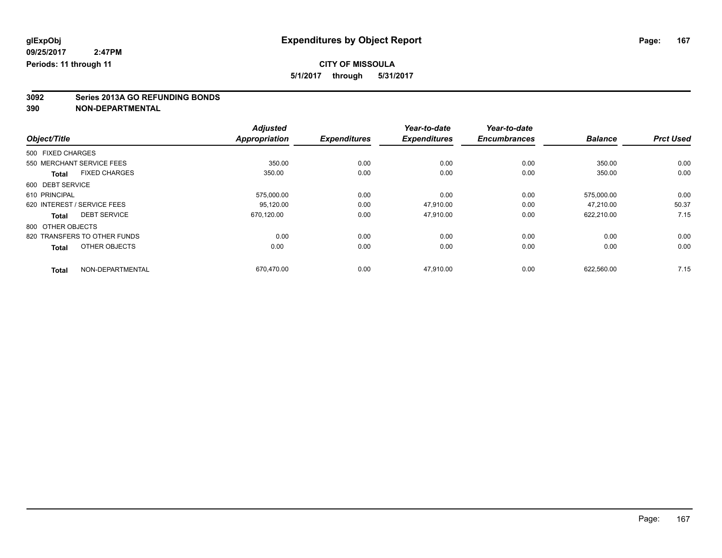### **CITY OF MISSOULA**

**5/1/2017 through 5/31/2017**

# **3092 Series 2013A GO REFUNDING BONDS**

|                                      | <b>Adjusted</b>      |                     | Year-to-date        | Year-to-date        |                |                  |
|--------------------------------------|----------------------|---------------------|---------------------|---------------------|----------------|------------------|
| Object/Title                         | <b>Appropriation</b> | <b>Expenditures</b> | <b>Expenditures</b> | <b>Encumbrances</b> | <b>Balance</b> | <b>Prct Used</b> |
| 500 FIXED CHARGES                    |                      |                     |                     |                     |                |                  |
| 550 MERCHANT SERVICE FEES            | 350.00               | 0.00                | 0.00                | 0.00                | 350.00         | 0.00             |
| <b>FIXED CHARGES</b><br><b>Total</b> | 350.00               | 0.00                | 0.00                | 0.00                | 350.00         | 0.00             |
| 600 DEBT SERVICE                     |                      |                     |                     |                     |                |                  |
| 610 PRINCIPAL                        | 575,000.00           | 0.00                | 0.00                | 0.00                | 575,000.00     | 0.00             |
| 620 INTEREST / SERVICE FEES          | 95,120.00            | 0.00                | 47,910.00           | 0.00                | 47.210.00      | 50.37            |
| <b>DEBT SERVICE</b><br><b>Total</b>  | 670,120.00           | 0.00                | 47,910.00           | 0.00                | 622,210.00     | 7.15             |
| 800 OTHER OBJECTS                    |                      |                     |                     |                     |                |                  |
| 820 TRANSFERS TO OTHER FUNDS         | 0.00                 | 0.00                | 0.00                | 0.00                | 0.00           | 0.00             |
| OTHER OBJECTS<br><b>Total</b>        | 0.00                 | 0.00                | 0.00                | 0.00                | 0.00           | 0.00             |
| NON-DEPARTMENTAL<br><b>Total</b>     | 670,470.00           | 0.00                | 47,910.00           | 0.00                | 622,560.00     | 7.15             |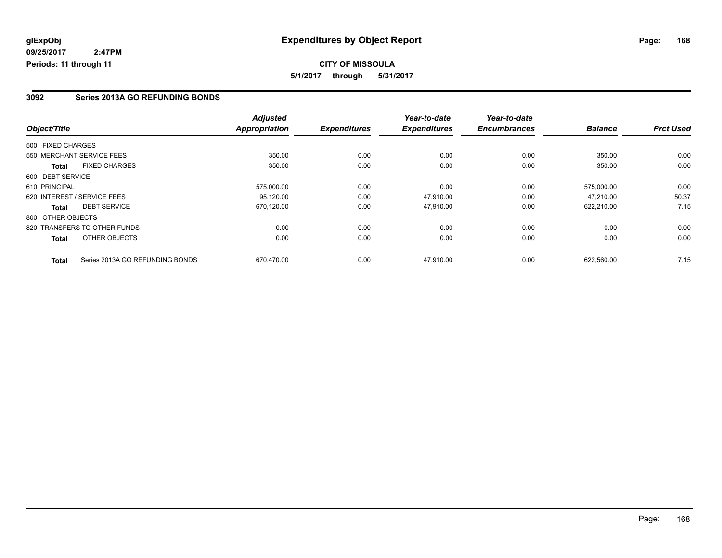#### **CITY OF MISSOULA 5/1/2017 through 5/31/2017**

#### **3092 Series 2013A GO REFUNDING BONDS**

|                   |                                 | <b>Adjusted</b>      |                     | Year-to-date        | Year-to-date        |                |                  |
|-------------------|---------------------------------|----------------------|---------------------|---------------------|---------------------|----------------|------------------|
| Object/Title      |                                 | <b>Appropriation</b> | <b>Expenditures</b> | <b>Expenditures</b> | <b>Encumbrances</b> | <b>Balance</b> | <b>Prct Used</b> |
| 500 FIXED CHARGES |                                 |                      |                     |                     |                     |                |                  |
|                   | 550 MERCHANT SERVICE FEES       | 350.00               | 0.00                | 0.00                | 0.00                | 350.00         | 0.00             |
| <b>Total</b>      | <b>FIXED CHARGES</b>            | 350.00               | 0.00                | 0.00                | 0.00                | 350.00         | 0.00             |
| 600 DEBT SERVICE  |                                 |                      |                     |                     |                     |                |                  |
| 610 PRINCIPAL     |                                 | 575,000.00           | 0.00                | 0.00                | 0.00                | 575,000.00     | 0.00             |
|                   | 620 INTEREST / SERVICE FEES     | 95.120.00            | 0.00                | 47.910.00           | 0.00                | 47.210.00      | 50.37            |
| <b>Total</b>      | <b>DEBT SERVICE</b>             | 670,120.00           | 0.00                | 47.910.00           | 0.00                | 622,210.00     | 7.15             |
| 800 OTHER OBJECTS |                                 |                      |                     |                     |                     |                |                  |
|                   | 820 TRANSFERS TO OTHER FUNDS    | 0.00                 | 0.00                | 0.00                | 0.00                | 0.00           | 0.00             |
| <b>Total</b>      | OTHER OBJECTS                   | 0.00                 | 0.00                | 0.00                | 0.00                | 0.00           | 0.00             |
| <b>Total</b>      | Series 2013A GO REFUNDING BONDS | 670.470.00           | 0.00                | 47.910.00           | 0.00                | 622.560.00     | 7.15             |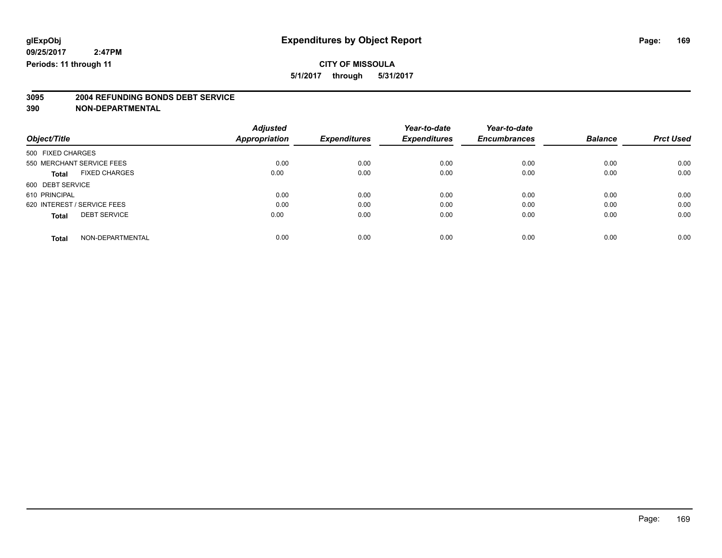### **CITY OF MISSOULA**

**5/1/2017 through 5/31/2017**

# **3095 2004 REFUNDING BONDS DEBT SERVICE**

|                             |                      | <b>Adjusted</b>      |                     | Year-to-date        | Year-to-date        |                |                  |
|-----------------------------|----------------------|----------------------|---------------------|---------------------|---------------------|----------------|------------------|
| Object/Title                |                      | <b>Appropriation</b> | <b>Expenditures</b> | <b>Expenditures</b> | <b>Encumbrances</b> | <b>Balance</b> | <b>Prct Used</b> |
| 500 FIXED CHARGES           |                      |                      |                     |                     |                     |                |                  |
| 550 MERCHANT SERVICE FEES   |                      | 0.00                 | 0.00                | 0.00                | 0.00                | 0.00           | 0.00             |
| <b>Total</b>                | <b>FIXED CHARGES</b> | 0.00                 | 0.00                | 0.00                | 0.00                | 0.00           | 0.00             |
| 600 DEBT SERVICE            |                      |                      |                     |                     |                     |                |                  |
| 610 PRINCIPAL               |                      | 0.00                 | 0.00                | 0.00                | 0.00                | 0.00           | 0.00             |
| 620 INTEREST / SERVICE FEES |                      | 0.00                 | 0.00                | 0.00                | 0.00                | 0.00           | 0.00             |
| <b>Total</b>                | <b>DEBT SERVICE</b>  | 0.00                 | 0.00                | 0.00                | 0.00                | 0.00           | 0.00             |
| <b>Total</b>                | NON-DEPARTMENTAL     | 0.00                 | 0.00                | 0.00                | 0.00                | 0.00           | 0.00             |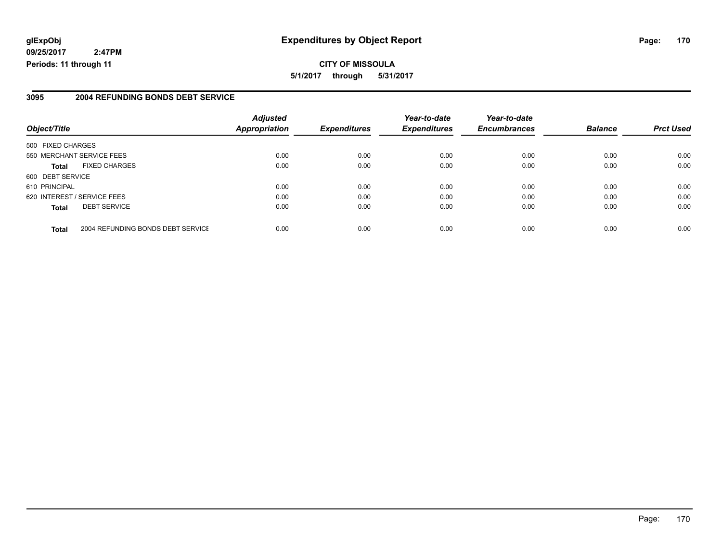#### **glExpObj Expenditures by Object Report Page: 170**

**09/25/2017 2:47PM Periods: 11 through 11**

#### **3095 2004 REFUNDING BONDS DEBT SERVICE**

| Object/Title                |                                   | <b>Adjusted</b><br><b>Appropriation</b> | <b>Expenditures</b> | Year-to-date<br><b>Expenditures</b> | Year-to-date<br><b>Encumbrances</b> | <b>Balance</b> | <b>Prct Used</b> |
|-----------------------------|-----------------------------------|-----------------------------------------|---------------------|-------------------------------------|-------------------------------------|----------------|------------------|
|                             |                                   |                                         |                     |                                     |                                     |                |                  |
| 500 FIXED CHARGES           |                                   |                                         |                     |                                     |                                     |                |                  |
| 550 MERCHANT SERVICE FEES   |                                   | 0.00                                    | 0.00                | 0.00                                | 0.00                                | 0.00           | 0.00             |
| <b>Total</b>                | <b>FIXED CHARGES</b>              | 0.00                                    | 0.00                | 0.00                                | 0.00                                | 0.00           | 0.00             |
| 600 DEBT SERVICE            |                                   |                                         |                     |                                     |                                     |                |                  |
| 610 PRINCIPAL               |                                   | 0.00                                    | 0.00                | 0.00                                | 0.00                                | 0.00           | 0.00             |
| 620 INTEREST / SERVICE FEES |                                   | 0.00                                    | 0.00                | 0.00                                | 0.00                                | 0.00           | 0.00             |
| <b>Total</b>                | <b>DEBT SERVICE</b>               | 0.00                                    | 0.00                | 0.00                                | 0.00                                | 0.00           | 0.00             |
| <b>Total</b>                | 2004 REFUNDING BONDS DEBT SERVICE | 0.00                                    | 0.00                | 0.00                                | 0.00                                | 0.00           | 0.00             |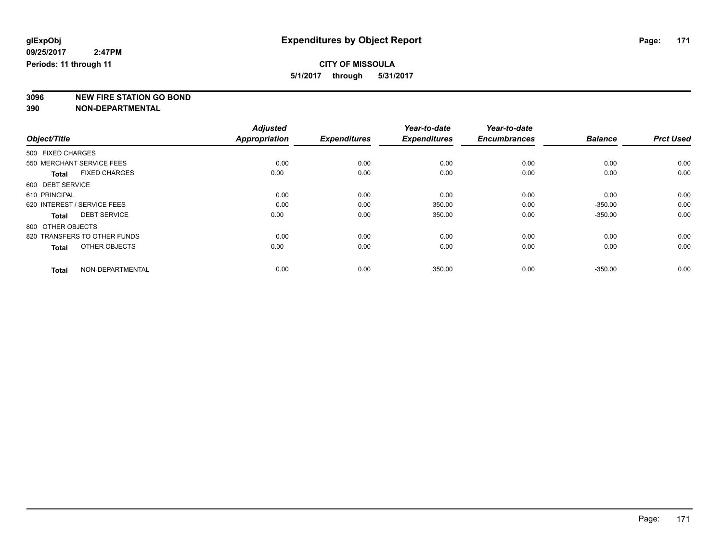**3096 NEW FIRE STATION GO BOND**

|                                      | <b>Adjusted</b>      |                     | Year-to-date        | Year-to-date        |                |                  |
|--------------------------------------|----------------------|---------------------|---------------------|---------------------|----------------|------------------|
| Object/Title                         | <b>Appropriation</b> | <b>Expenditures</b> | <b>Expenditures</b> | <b>Encumbrances</b> | <b>Balance</b> | <b>Prct Used</b> |
| 500 FIXED CHARGES                    |                      |                     |                     |                     |                |                  |
| 550 MERCHANT SERVICE FEES            | 0.00                 | 0.00                | 0.00                | 0.00                | 0.00           | 0.00             |
| <b>FIXED CHARGES</b><br><b>Total</b> | 0.00                 | 0.00                | 0.00                | 0.00                | 0.00           | 0.00             |
| 600 DEBT SERVICE                     |                      |                     |                     |                     |                |                  |
| 610 PRINCIPAL                        | 0.00                 | 0.00                | 0.00                | 0.00                | 0.00           | 0.00             |
| 620 INTEREST / SERVICE FEES          | 0.00                 | 0.00                | 350.00              | 0.00                | $-350.00$      | 0.00             |
| <b>DEBT SERVICE</b><br><b>Total</b>  | 0.00                 | 0.00                | 350.00              | 0.00                | $-350.00$      | 0.00             |
| 800 OTHER OBJECTS                    |                      |                     |                     |                     |                |                  |
| 820 TRANSFERS TO OTHER FUNDS         | 0.00                 | 0.00                | 0.00                | 0.00                | 0.00           | 0.00             |
| OTHER OBJECTS<br><b>Total</b>        | 0.00                 | 0.00                | 0.00                | 0.00                | 0.00           | 0.00             |
|                                      |                      |                     |                     |                     |                |                  |
| NON-DEPARTMENTAL<br><b>Total</b>     | 0.00                 | 0.00                | 350.00              | 0.00                | $-350.00$      | 0.00             |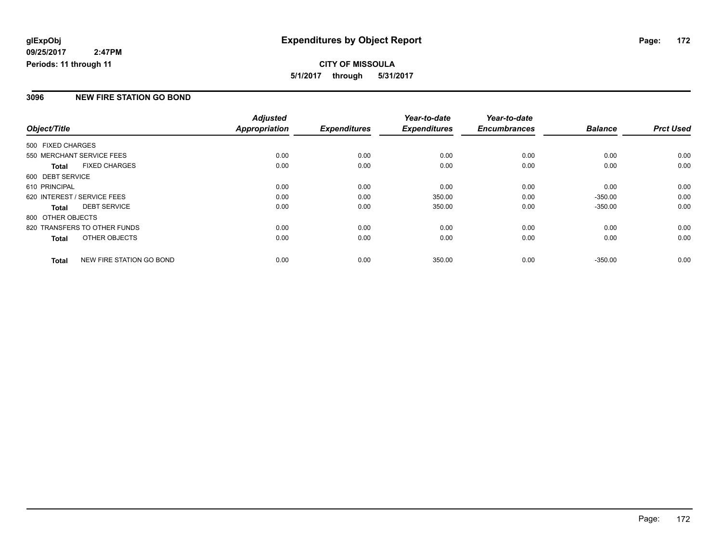#### **CITY OF MISSOULA 5/1/2017 through 5/31/2017**

#### **3096 NEW FIRE STATION GO BOND**

|                   |                              | <b>Adjusted</b> |                     | Year-to-date        | Year-to-date        |                |                  |
|-------------------|------------------------------|-----------------|---------------------|---------------------|---------------------|----------------|------------------|
| Object/Title      |                              | Appropriation   | <b>Expenditures</b> | <b>Expenditures</b> | <b>Encumbrances</b> | <b>Balance</b> | <b>Prct Used</b> |
| 500 FIXED CHARGES |                              |                 |                     |                     |                     |                |                  |
|                   | 550 MERCHANT SERVICE FEES    | 0.00            | 0.00                | 0.00                | 0.00                | 0.00           | 0.00             |
| <b>Total</b>      | <b>FIXED CHARGES</b>         | 0.00            | 0.00                | 0.00                | 0.00                | 0.00           | 0.00             |
| 600 DEBT SERVICE  |                              |                 |                     |                     |                     |                |                  |
| 610 PRINCIPAL     |                              | 0.00            | 0.00                | 0.00                | 0.00                | 0.00           | 0.00             |
|                   | 620 INTEREST / SERVICE FEES  | 0.00            | 0.00                | 350.00              | 0.00                | $-350.00$      | 0.00             |
| <b>Total</b>      | <b>DEBT SERVICE</b>          | 0.00            | 0.00                | 350.00              | 0.00                | $-350.00$      | 0.00             |
| 800 OTHER OBJECTS |                              |                 |                     |                     |                     |                |                  |
|                   | 820 TRANSFERS TO OTHER FUNDS | 0.00            | 0.00                | 0.00                | 0.00                | 0.00           | 0.00             |
| <b>Total</b>      | OTHER OBJECTS                | 0.00            | 0.00                | 0.00                | 0.00                | 0.00           | 0.00             |
| <b>Total</b>      | NEW FIRE STATION GO BOND     | 0.00            | 0.00                | 350.00              | 0.00                | $-350.00$      | 0.00             |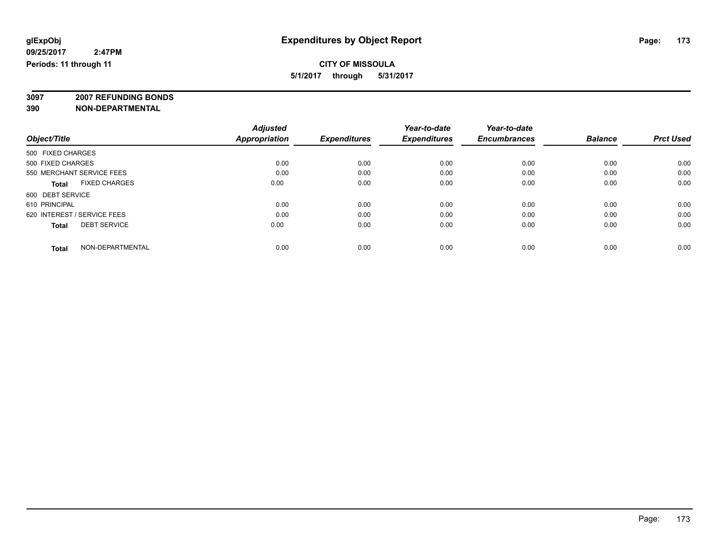**3097 2007 REFUNDING BONDS**

| Object/Title                         | <b>Adjusted</b><br><b>Appropriation</b> | <b>Expenditures</b> | Year-to-date<br><b>Expenditures</b> | Year-to-date<br><b>Encumbrances</b> | <b>Balance</b> | <b>Prct Used</b> |
|--------------------------------------|-----------------------------------------|---------------------|-------------------------------------|-------------------------------------|----------------|------------------|
| 500 FIXED CHARGES                    |                                         |                     |                                     |                                     |                |                  |
| 500 FIXED CHARGES                    | 0.00                                    | 0.00                | 0.00                                | 0.00                                | 0.00           | 0.00             |
| 550 MERCHANT SERVICE FEES            | 0.00                                    | 0.00                | 0.00                                | 0.00                                | 0.00           | 0.00             |
| <b>FIXED CHARGES</b><br><b>Total</b> | 0.00                                    | 0.00                | 0.00                                | 0.00                                | 0.00           | 0.00             |
| 600 DEBT SERVICE                     |                                         |                     |                                     |                                     |                |                  |
| 610 PRINCIPAL                        | 0.00                                    | 0.00                | 0.00                                | 0.00                                | 0.00           | 0.00             |
| 620 INTEREST / SERVICE FEES          | 0.00                                    | 0.00                | 0.00                                | 0.00                                | 0.00           | 0.00             |
| <b>DEBT SERVICE</b><br><b>Total</b>  | 0.00                                    | 0.00                | 0.00                                | 0.00                                | 0.00           | 0.00             |
| NON-DEPARTMENTAL<br><b>Total</b>     | 0.00                                    | 0.00                | 0.00                                | 0.00                                | 0.00           | 0.00             |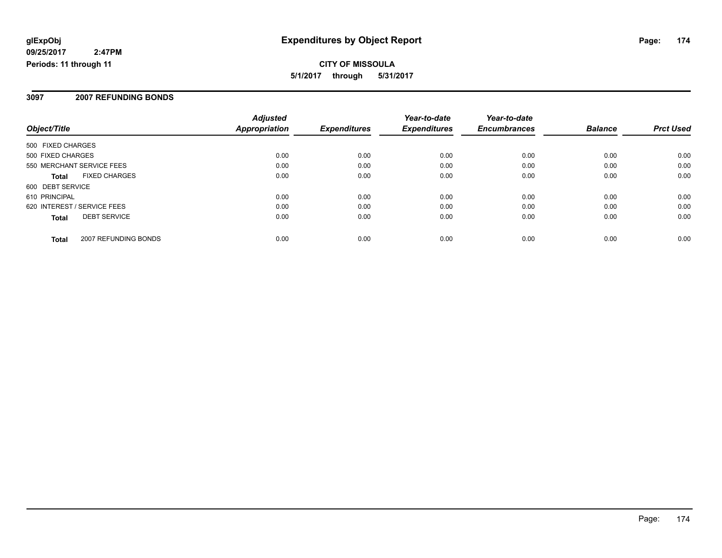#### **CITY OF MISSOULA 5/1/2017 through 5/31/2017**

#### **3097 2007 REFUNDING BONDS**

| Object/Title                         | <b>Adjusted</b><br><b>Appropriation</b> | <b>Expenditures</b> | Year-to-date<br><b>Expenditures</b> | Year-to-date<br><b>Encumbrances</b> | <b>Balance</b> | <b>Prct Used</b> |
|--------------------------------------|-----------------------------------------|---------------------|-------------------------------------|-------------------------------------|----------------|------------------|
| 500 FIXED CHARGES                    |                                         |                     |                                     |                                     |                |                  |
| 500 FIXED CHARGES                    | 0.00                                    | 0.00                | 0.00                                | 0.00                                | 0.00           | 0.00             |
| 550 MERCHANT SERVICE FEES            | 0.00                                    | 0.00                | 0.00                                | 0.00                                | 0.00           | 0.00             |
| <b>FIXED CHARGES</b><br><b>Total</b> | 0.00                                    | 0.00                | 0.00                                | 0.00                                | 0.00           | 0.00             |
| 600 DEBT SERVICE                     |                                         |                     |                                     |                                     |                |                  |
| 610 PRINCIPAL                        | 0.00                                    | 0.00                | 0.00                                | 0.00                                | 0.00           | 0.00             |
| 620 INTEREST / SERVICE FEES          | 0.00                                    | 0.00                | 0.00                                | 0.00                                | 0.00           | 0.00             |
| <b>DEBT SERVICE</b><br><b>Total</b>  | 0.00                                    | 0.00                | 0.00                                | 0.00                                | 0.00           | 0.00             |
| 2007 REFUNDING BONDS<br><b>Total</b> | 0.00                                    | 0.00                | 0.00                                | 0.00                                | 0.00           | 0.00             |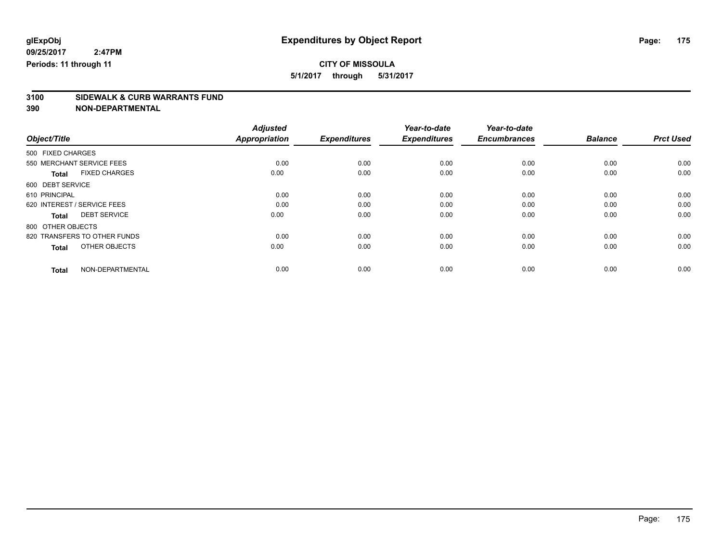### **CITY OF MISSOULA**

**5/1/2017 through 5/31/2017**

# **3100 SIDEWALK & CURB WARRANTS FUND**

|                                      | <b>Adjusted</b>      |                     | Year-to-date        | Year-to-date        |                |                  |
|--------------------------------------|----------------------|---------------------|---------------------|---------------------|----------------|------------------|
| Object/Title                         | <b>Appropriation</b> | <b>Expenditures</b> | <b>Expenditures</b> | <b>Encumbrances</b> | <b>Balance</b> | <b>Prct Used</b> |
| 500 FIXED CHARGES                    |                      |                     |                     |                     |                |                  |
| 550 MERCHANT SERVICE FEES            | 0.00                 | 0.00                | 0.00                | 0.00                | 0.00           | 0.00             |
| <b>FIXED CHARGES</b><br><b>Total</b> | 0.00                 | 0.00                | 0.00                | 0.00                | 0.00           | 0.00             |
| 600 DEBT SERVICE                     |                      |                     |                     |                     |                |                  |
| 610 PRINCIPAL                        | 0.00                 | 0.00                | 0.00                | 0.00                | 0.00           | 0.00             |
| 620 INTEREST / SERVICE FEES          | 0.00                 | 0.00                | 0.00                | 0.00                | 0.00           | 0.00             |
| <b>DEBT SERVICE</b><br><b>Total</b>  | 0.00                 | 0.00                | 0.00                | 0.00                | 0.00           | 0.00             |
| 800 OTHER OBJECTS                    |                      |                     |                     |                     |                |                  |
| 820 TRANSFERS TO OTHER FUNDS         | 0.00                 | 0.00                | 0.00                | 0.00                | 0.00           | 0.00             |
| OTHER OBJECTS<br><b>Total</b>        | 0.00                 | 0.00                | 0.00                | 0.00                | 0.00           | 0.00             |
|                                      |                      |                     |                     |                     |                |                  |
| NON-DEPARTMENTAL<br><b>Total</b>     | 0.00                 | 0.00                | 0.00                | 0.00                | 0.00           | 0.00             |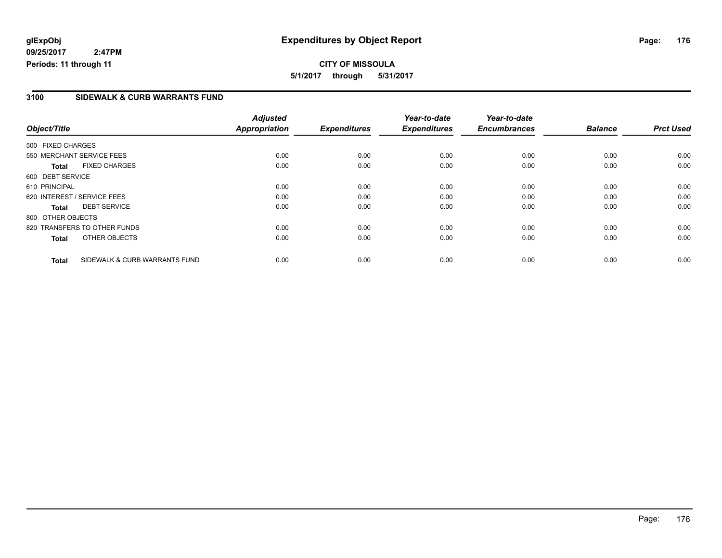**CITY OF MISSOULA 5/1/2017 through 5/31/2017**

#### **3100 SIDEWALK & CURB WARRANTS FUND**

|                   |                               | <b>Adjusted</b>      |                     | Year-to-date        | Year-to-date        |                |                  |
|-------------------|-------------------------------|----------------------|---------------------|---------------------|---------------------|----------------|------------------|
| Object/Title      |                               | <b>Appropriation</b> | <b>Expenditures</b> | <b>Expenditures</b> | <b>Encumbrances</b> | <b>Balance</b> | <b>Prct Used</b> |
| 500 FIXED CHARGES |                               |                      |                     |                     |                     |                |                  |
|                   | 550 MERCHANT SERVICE FEES     | 0.00                 | 0.00                | 0.00                | 0.00                | 0.00           | 0.00             |
| <b>Total</b>      | <b>FIXED CHARGES</b>          | 0.00                 | 0.00                | 0.00                | 0.00                | 0.00           | 0.00             |
| 600 DEBT SERVICE  |                               |                      |                     |                     |                     |                |                  |
| 610 PRINCIPAL     |                               | 0.00                 | 0.00                | 0.00                | 0.00                | 0.00           | 0.00             |
|                   | 620 INTEREST / SERVICE FEES   | 0.00                 | 0.00                | 0.00                | 0.00                | 0.00           | 0.00             |
| <b>Total</b>      | <b>DEBT SERVICE</b>           | 0.00                 | 0.00                | 0.00                | 0.00                | 0.00           | 0.00             |
| 800 OTHER OBJECTS |                               |                      |                     |                     |                     |                |                  |
|                   | 820 TRANSFERS TO OTHER FUNDS  | 0.00                 | 0.00                | 0.00                | 0.00                | 0.00           | 0.00             |
| <b>Total</b>      | OTHER OBJECTS                 | 0.00                 | 0.00                | 0.00                | 0.00                | 0.00           | 0.00             |
| <b>Total</b>      | SIDEWALK & CURB WARRANTS FUND | 0.00                 | 0.00                | 0.00                | 0.00                | 0.00           | 0.00             |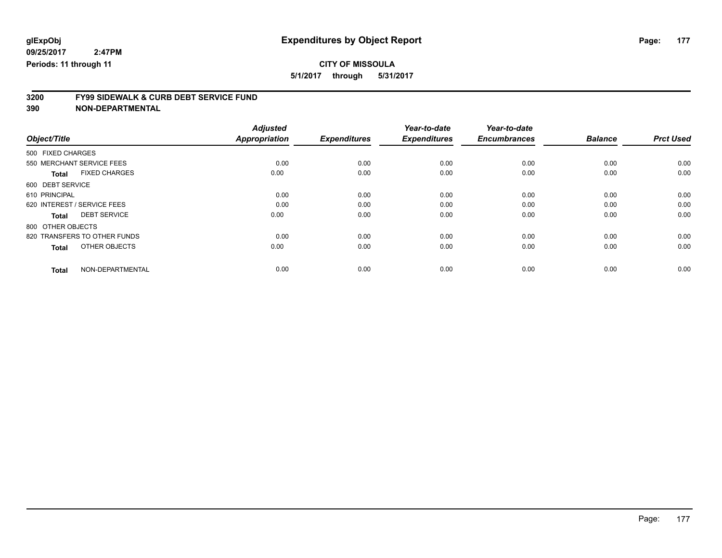#### **CITY OF MISSOULA**

**5/1/2017 through 5/31/2017**

# **3200 FY99 SIDEWALK & CURB DEBT SERVICE FUND**

|                                      | <b>Adjusted</b>      |                     | Year-to-date        | Year-to-date        |                |                  |
|--------------------------------------|----------------------|---------------------|---------------------|---------------------|----------------|------------------|
| Object/Title                         | <b>Appropriation</b> | <b>Expenditures</b> | <b>Expenditures</b> | <b>Encumbrances</b> | <b>Balance</b> | <b>Prct Used</b> |
| 500 FIXED CHARGES                    |                      |                     |                     |                     |                |                  |
| 550 MERCHANT SERVICE FEES            | 0.00                 | 0.00                | 0.00                | 0.00                | 0.00           | 0.00             |
| <b>FIXED CHARGES</b><br><b>Total</b> | 0.00                 | 0.00                | 0.00                | 0.00                | 0.00           | 0.00             |
| 600 DEBT SERVICE                     |                      |                     |                     |                     |                |                  |
| 610 PRINCIPAL                        | 0.00                 | 0.00                | 0.00                | 0.00                | 0.00           | 0.00             |
| 620 INTEREST / SERVICE FEES          | 0.00                 | 0.00                | 0.00                | 0.00                | 0.00           | 0.00             |
| <b>DEBT SERVICE</b><br><b>Total</b>  | 0.00                 | 0.00                | 0.00                | 0.00                | 0.00           | 0.00             |
| 800 OTHER OBJECTS                    |                      |                     |                     |                     |                |                  |
| 820 TRANSFERS TO OTHER FUNDS         | 0.00                 | 0.00                | 0.00                | 0.00                | 0.00           | 0.00             |
| OTHER OBJECTS<br><b>Total</b>        | 0.00                 | 0.00                | 0.00                | 0.00                | 0.00           | 0.00             |
|                                      |                      |                     |                     |                     |                |                  |
| NON-DEPARTMENTAL<br><b>Total</b>     | 0.00                 | 0.00                | 0.00                | 0.00                | 0.00           | 0.00             |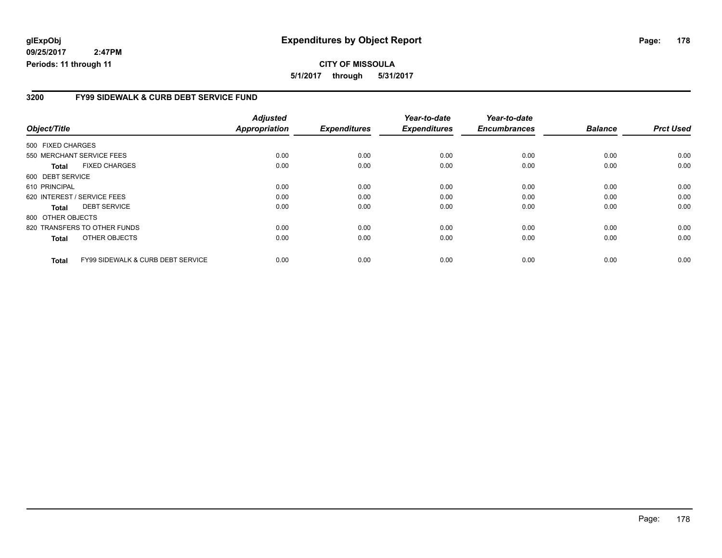#### **3200 FY99 SIDEWALK & CURB DEBT SERVICE FUND**

|                             |                                              | <b>Adjusted</b>      |                     | Year-to-date        | Year-to-date        |                |                  |
|-----------------------------|----------------------------------------------|----------------------|---------------------|---------------------|---------------------|----------------|------------------|
| Object/Title                |                                              | <b>Appropriation</b> | <b>Expenditures</b> | <b>Expenditures</b> | <b>Encumbrances</b> | <b>Balance</b> | <b>Prct Used</b> |
| 500 FIXED CHARGES           |                                              |                      |                     |                     |                     |                |                  |
| 550 MERCHANT SERVICE FEES   |                                              | 0.00                 | 0.00                | 0.00                | 0.00                | 0.00           | 0.00             |
| <b>Total</b>                | <b>FIXED CHARGES</b>                         | 0.00                 | 0.00                | 0.00                | 0.00                | 0.00           | 0.00             |
| 600 DEBT SERVICE            |                                              |                      |                     |                     |                     |                |                  |
| 610 PRINCIPAL               |                                              | 0.00                 | 0.00                | 0.00                | 0.00                | 0.00           | 0.00             |
| 620 INTEREST / SERVICE FEES |                                              | 0.00                 | 0.00                | 0.00                | 0.00                | 0.00           | 0.00             |
| <b>Total</b>                | <b>DEBT SERVICE</b>                          | 0.00                 | 0.00                | 0.00                | 0.00                | 0.00           | 0.00             |
| 800 OTHER OBJECTS           |                                              |                      |                     |                     |                     |                |                  |
|                             | 820 TRANSFERS TO OTHER FUNDS                 | 0.00                 | 0.00                | 0.00                | 0.00                | 0.00           | 0.00             |
| <b>Total</b>                | OTHER OBJECTS                                | 0.00                 | 0.00                | 0.00                | 0.00                | 0.00           | 0.00             |
| <b>Total</b>                | <b>FY99 SIDEWALK &amp; CURB DEBT SERVICE</b> | 0.00                 | 0.00                | 0.00                | 0.00                | 0.00           | 0.00             |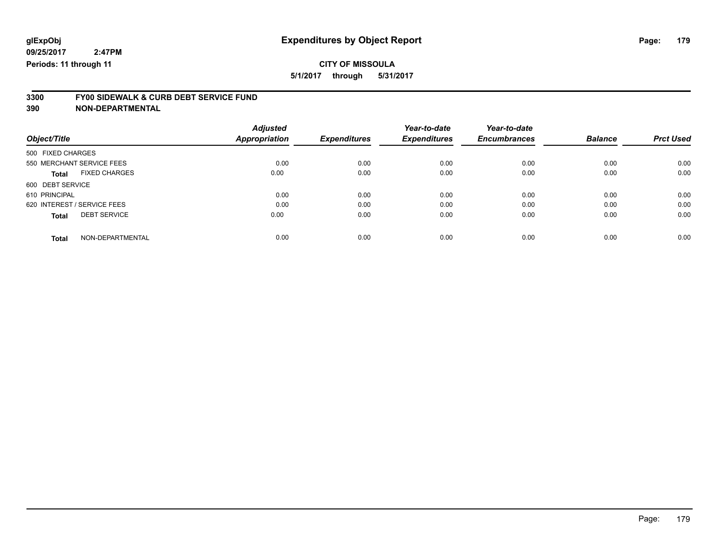### **CITY OF MISSOULA**

**5/1/2017 through 5/31/2017**

# **3300 FY00 SIDEWALK & CURB DEBT SERVICE FUND**

|                                      | <b>Adjusted</b> |                     | Year-to-date        | Year-to-date        |                |                  |
|--------------------------------------|-----------------|---------------------|---------------------|---------------------|----------------|------------------|
| Object/Title                         | Appropriation   | <b>Expenditures</b> | <b>Expenditures</b> | <b>Encumbrances</b> | <b>Balance</b> | <b>Prct Used</b> |
| 500 FIXED CHARGES                    |                 |                     |                     |                     |                |                  |
| 550 MERCHANT SERVICE FEES            | 0.00            | 0.00                | 0.00                | 0.00                | 0.00           | 0.00             |
| <b>FIXED CHARGES</b><br><b>Total</b> | 0.00            | 0.00                | 0.00                | 0.00                | 0.00           | 0.00             |
| 600 DEBT SERVICE                     |                 |                     |                     |                     |                |                  |
| 610 PRINCIPAL                        | 0.00            | 0.00                | 0.00                | 0.00                | 0.00           | 0.00             |
| 620 INTEREST / SERVICE FEES          | 0.00            | 0.00                | 0.00                | 0.00                | 0.00           | 0.00             |
| <b>DEBT SERVICE</b><br><b>Total</b>  | 0.00            | 0.00                | 0.00                | 0.00                | 0.00           | 0.00             |
| NON-DEPARTMENTAL<br><b>Total</b>     | 0.00            | 0.00                | 0.00                | 0.00                | 0.00           | 0.00             |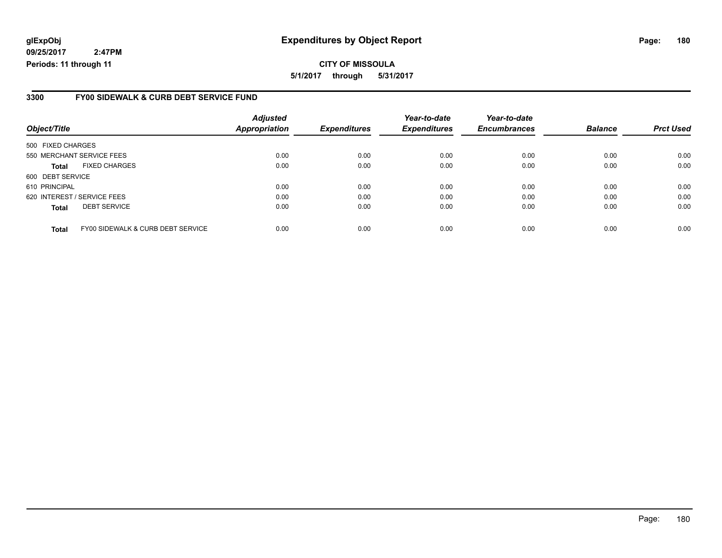#### **glExpObj Expenditures by Object Report Page: 180**

**09/25/2017 2:47PM Periods: 11 through 11**

#### **3300 FY00 SIDEWALK & CURB DEBT SERVICE FUND**

| Object/Title      |                                   | <b>Adjusted</b><br><b>Appropriation</b> | <b>Expenditures</b> | Year-to-date<br><b>Expenditures</b> | Year-to-date<br><b>Encumbrances</b> | <b>Balance</b> | <b>Prct Used</b> |
|-------------------|-----------------------------------|-----------------------------------------|---------------------|-------------------------------------|-------------------------------------|----------------|------------------|
| 500 FIXED CHARGES |                                   |                                         |                     |                                     |                                     |                |                  |
|                   | 550 MERCHANT SERVICE FEES         | 0.00                                    | 0.00                | 0.00                                | 0.00                                | 0.00           | 0.00             |
| <b>Total</b>      | <b>FIXED CHARGES</b>              | 0.00                                    | 0.00                | 0.00                                | 0.00                                | 0.00           | 0.00             |
| 600 DEBT SERVICE  |                                   |                                         |                     |                                     |                                     |                |                  |
| 610 PRINCIPAL     |                                   | 0.00                                    | 0.00                | 0.00                                | 0.00                                | 0.00           | 0.00             |
|                   | 620 INTEREST / SERVICE FEES       | 0.00                                    | 0.00                | 0.00                                | 0.00                                | 0.00           | 0.00             |
| <b>Total</b>      | <b>DEBT SERVICE</b>               | 0.00                                    | 0.00                | 0.00                                | 0.00                                | 0.00           | 0.00             |
| <b>Total</b>      | FY00 SIDEWALK & CURB DEBT SERVICE | 0.00                                    | 0.00                | 0.00                                | 0.00                                | 0.00           | 0.00             |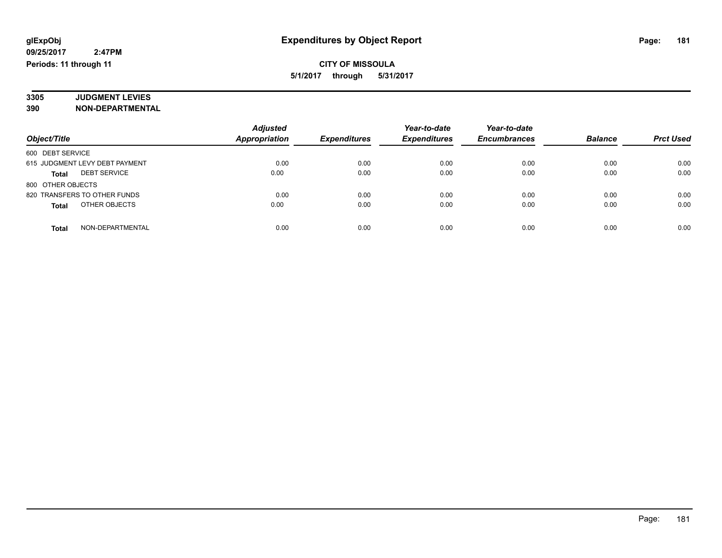#### **3305 JUDGMENT LEVIES 390 NON-DEPARTMENTAL**

|                                     | <b>Adjusted</b>      |                     | Year-to-date        | Year-to-date        |                |                  |
|-------------------------------------|----------------------|---------------------|---------------------|---------------------|----------------|------------------|
| Object/Title                        | <b>Appropriation</b> | <b>Expenditures</b> | <b>Expenditures</b> | <b>Encumbrances</b> | <b>Balance</b> | <b>Prct Used</b> |
| 600 DEBT SERVICE                    |                      |                     |                     |                     |                |                  |
| 615 JUDGMENT LEVY DEBT PAYMENT      | 0.00                 | 0.00                | 0.00                | 0.00                | 0.00           | 0.00             |
| <b>DEBT SERVICE</b><br><b>Total</b> | 0.00                 | 0.00                | 0.00                | 0.00                | 0.00           | 0.00             |
| 800 OTHER OBJECTS                   |                      |                     |                     |                     |                |                  |
| 820 TRANSFERS TO OTHER FUNDS        | 0.00                 | 0.00                | 0.00                | 0.00                | 0.00           | 0.00             |
| OTHER OBJECTS<br><b>Total</b>       | 0.00                 | 0.00                | 0.00                | 0.00                | 0.00           | 0.00             |
| NON-DEPARTMENTAL<br><b>Total</b>    | 0.00                 | 0.00                | 0.00                | 0.00                | 0.00           | 0.00             |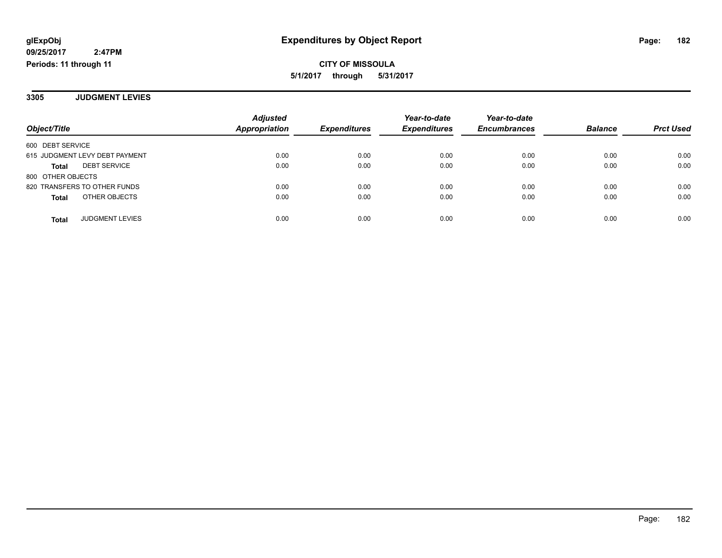**3305 JUDGMENT LEVIES**

|                                     | <b>Adjusted</b> |                     | Year-to-date        | Year-to-date        |                |                  |
|-------------------------------------|-----------------|---------------------|---------------------|---------------------|----------------|------------------|
| Object/Title                        | Appropriation   | <b>Expenditures</b> | <b>Expenditures</b> | <b>Encumbrances</b> | <b>Balance</b> | <b>Prct Used</b> |
| 600 DEBT SERVICE                    |                 |                     |                     |                     |                |                  |
| 615 JUDGMENT LEVY DEBT PAYMENT      | 0.00            | 0.00                | 0.00                | 0.00                | 0.00           | 0.00             |
| <b>DEBT SERVICE</b><br><b>Total</b> | 0.00            | 0.00                | 0.00                | 0.00                | 0.00           | 0.00             |
| 800 OTHER OBJECTS                   |                 |                     |                     |                     |                |                  |
| 820 TRANSFERS TO OTHER FUNDS        | 0.00            | 0.00                | 0.00                | 0.00                | 0.00           | 0.00             |
| OTHER OBJECTS<br><b>Total</b>       | 0.00            | 0.00                | 0.00                | 0.00                | 0.00           | 0.00             |
| <b>JUDGMENT LEVIES</b><br>Total     | 0.00            | 0.00                | 0.00                | 0.00                | 0.00           | 0.00             |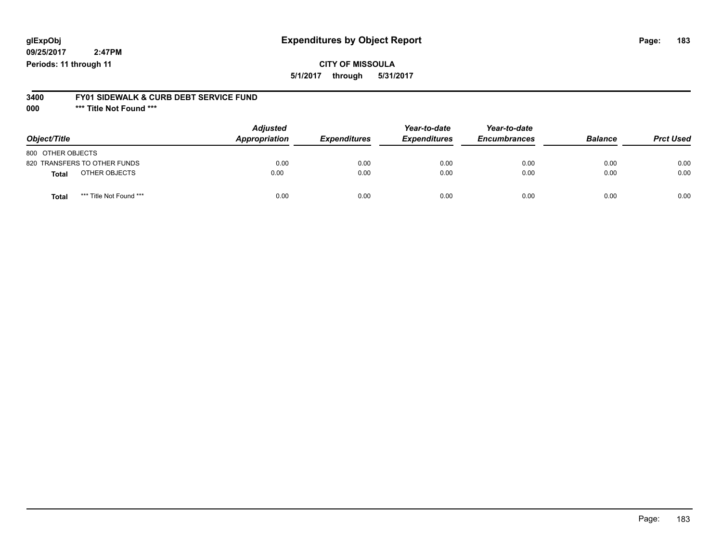## **glExpObj Expenditures by Object Report Page: 183**

**09/25/2017 2:47PM Periods: 11 through 11**

### **CITY OF MISSOULA 5/1/2017 through 5/31/2017**

#### **3400 FY01 SIDEWALK & CURB DEBT SERVICE FUND**

**000 \*\*\* Title Not Found \*\*\***

| Object/Title                     | <b>Adjusted</b><br>Appropriation | <b>Expenditures</b> | Year-to-date<br><b>Expenditures</b> | Year-to-date<br><b>Encumbrances</b> | <b>Balance</b> | <b>Prct Used</b> |
|----------------------------------|----------------------------------|---------------------|-------------------------------------|-------------------------------------|----------------|------------------|
| 800 OTHER OBJECTS                |                                  |                     |                                     |                                     |                |                  |
| 820 TRANSFERS TO OTHER FUNDS     | 0.00                             | 0.00                | 0.00                                | 0.00                                | 0.00           | 0.00             |
| OTHER OBJECTS<br><b>Total</b>    | 0.00                             | 0.00                | 0.00                                | 0.00                                | 0.00           | 0.00             |
| *** Title Not Found ***<br>Total | 0.00                             | 0.00                | 0.00                                | 0.00                                | 0.00           | 0.00             |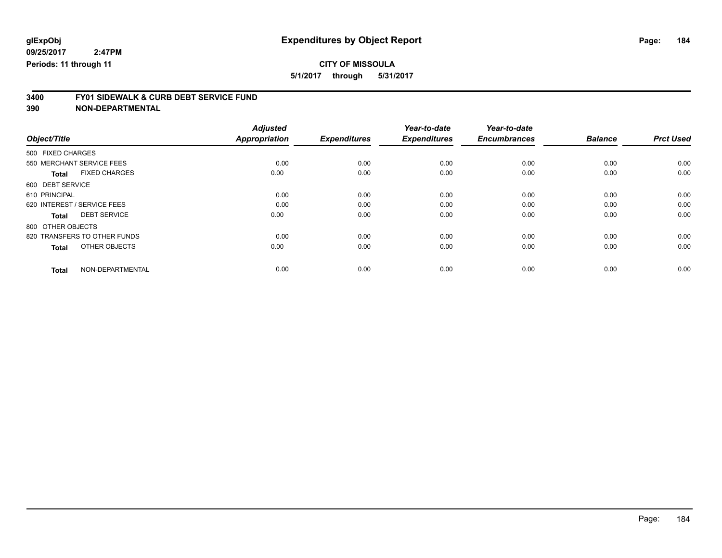## **CITY OF MISSOULA**

**5/1/2017 through 5/31/2017**

# **3400 FY01 SIDEWALK & CURB DEBT SERVICE FUND**

|                                      | <b>Adjusted</b>      | <b>Expenditures</b> | Year-to-date<br><b>Expenditures</b> | Year-to-date<br><b>Encumbrances</b> | <b>Balance</b> | <b>Prct Used</b> |
|--------------------------------------|----------------------|---------------------|-------------------------------------|-------------------------------------|----------------|------------------|
| Object/Title                         | <b>Appropriation</b> |                     |                                     |                                     |                |                  |
| 500 FIXED CHARGES                    |                      |                     |                                     |                                     |                |                  |
| 550 MERCHANT SERVICE FEES            | 0.00                 | 0.00                | 0.00                                | 0.00                                | 0.00           | 0.00             |
| <b>FIXED CHARGES</b><br><b>Total</b> | 0.00                 | 0.00                | 0.00                                | 0.00                                | 0.00           | 0.00             |
| 600 DEBT SERVICE                     |                      |                     |                                     |                                     |                |                  |
| 610 PRINCIPAL                        | 0.00                 | 0.00                | 0.00                                | 0.00                                | 0.00           | 0.00             |
| 620 INTEREST / SERVICE FEES          | 0.00                 | 0.00                | 0.00                                | 0.00                                | 0.00           | 0.00             |
| <b>DEBT SERVICE</b><br><b>Total</b>  | 0.00                 | 0.00                | 0.00                                | 0.00                                | 0.00           | 0.00             |
| 800 OTHER OBJECTS                    |                      |                     |                                     |                                     |                |                  |
| 820 TRANSFERS TO OTHER FUNDS         | 0.00                 | 0.00                | 0.00                                | 0.00                                | 0.00           | 0.00             |
| OTHER OBJECTS<br><b>Total</b>        | 0.00                 | 0.00                | 0.00                                | 0.00                                | 0.00           | 0.00             |
|                                      |                      |                     |                                     |                                     |                |                  |
| NON-DEPARTMENTAL<br><b>Total</b>     | 0.00                 | 0.00                | 0.00                                | 0.00                                | 0.00           | 0.00             |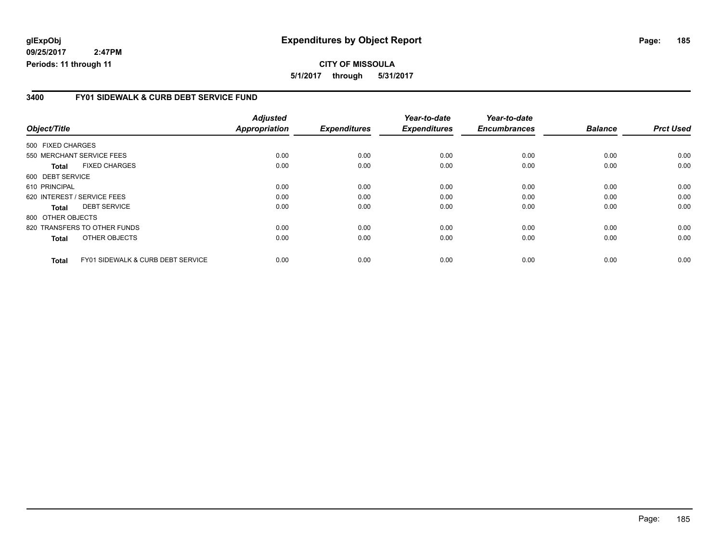## **glExpObj Expenditures by Object Report Page: 185**

**09/25/2017 2:47PM Periods: 11 through 11**

#### **3400 FY01 SIDEWALK & CURB DEBT SERVICE FUND**

| Object/Title      |                                              | <b>Adjusted</b><br><b>Appropriation</b> | <b>Expenditures</b> | Year-to-date<br><b>Expenditures</b> | Year-to-date<br><b>Encumbrances</b> | <b>Balance</b> | <b>Prct Used</b> |
|-------------------|----------------------------------------------|-----------------------------------------|---------------------|-------------------------------------|-------------------------------------|----------------|------------------|
| 500 FIXED CHARGES |                                              |                                         |                     |                                     |                                     |                |                  |
|                   | 550 MERCHANT SERVICE FEES                    | 0.00                                    | 0.00                | 0.00                                | 0.00                                | 0.00           | 0.00             |
| Total             | <b>FIXED CHARGES</b>                         | 0.00                                    | 0.00                | 0.00                                | 0.00                                | 0.00           | 0.00             |
| 600 DEBT SERVICE  |                                              |                                         |                     |                                     |                                     |                |                  |
| 610 PRINCIPAL     |                                              | 0.00                                    | 0.00                | 0.00                                | 0.00                                | 0.00           | 0.00             |
|                   | 620 INTEREST / SERVICE FEES                  | 0.00                                    | 0.00                | 0.00                                | 0.00                                | 0.00           | 0.00             |
| Total             | <b>DEBT SERVICE</b>                          | 0.00                                    | 0.00                | 0.00                                | 0.00                                | 0.00           | 0.00             |
| 800 OTHER OBJECTS |                                              |                                         |                     |                                     |                                     |                |                  |
|                   | 820 TRANSFERS TO OTHER FUNDS                 | 0.00                                    | 0.00                | 0.00                                | 0.00                                | 0.00           | 0.00             |
| <b>Total</b>      | OTHER OBJECTS                                | 0.00                                    | 0.00                | 0.00                                | 0.00                                | 0.00           | 0.00             |
| <b>Total</b>      | <b>FY01 SIDEWALK &amp; CURB DEBT SERVICE</b> | 0.00                                    | 0.00                | 0.00                                | 0.00                                | 0.00           | 0.00             |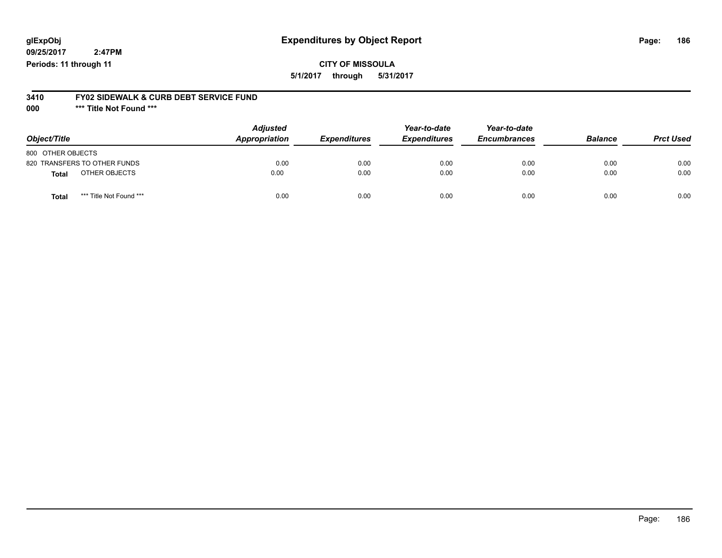## **glExpObj Expenditures by Object Report Page: 186**

**09/25/2017 2:47PM Periods: 11 through 11**

**CITY OF MISSOULA 5/1/2017 through 5/31/2017**

# **3410 FY02 SIDEWALK & CURB DEBT SERVICE FUND**

**000 \*\*\* Title Not Found \*\*\***

| Object/Title                     | <b>Adjusted</b><br>Appropriation | <b>Expenditures</b> | Year-to-date<br><b>Expenditures</b> | Year-to-date<br><b>Encumbrances</b> | <b>Balance</b> | <b>Prct Used</b> |
|----------------------------------|----------------------------------|---------------------|-------------------------------------|-------------------------------------|----------------|------------------|
| 800 OTHER OBJECTS                |                                  |                     |                                     |                                     |                |                  |
| 820 TRANSFERS TO OTHER FUNDS     | 0.00                             | 0.00                | 0.00                                | 0.00                                | 0.00           | 0.00             |
| OTHER OBJECTS<br><b>Total</b>    | 0.00                             | 0.00                | 0.00                                | 0.00                                | 0.00           | 0.00             |
| *** Title Not Found ***<br>Total | 0.00                             | 0.00                | 0.00                                | 0.00                                | 0.00           | 0.00             |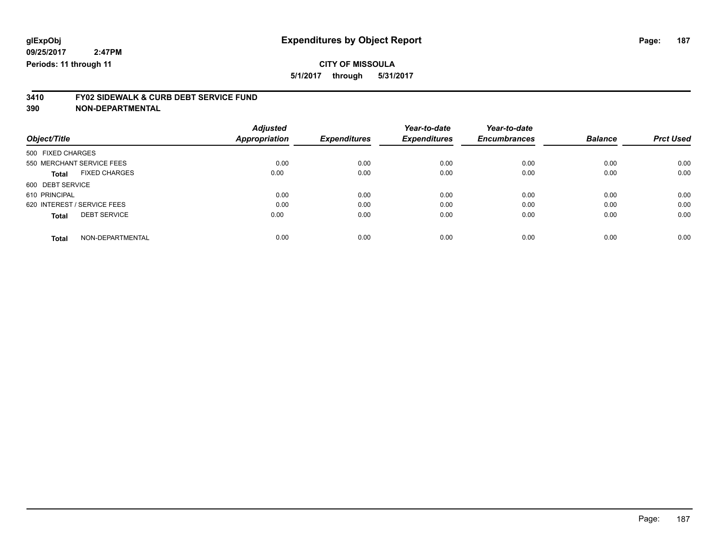# **CITY OF MISSOULA**

**5/1/2017 through 5/31/2017**

# **3410 FY02 SIDEWALK & CURB DEBT SERVICE FUND**

| Object/Title                         | <b>Adjusted</b><br>Appropriation | <b>Expenditures</b> | Year-to-date<br><b>Expenditures</b> | Year-to-date<br><b>Encumbrances</b> | <b>Balance</b> | <b>Prct Used</b> |
|--------------------------------------|----------------------------------|---------------------|-------------------------------------|-------------------------------------|----------------|------------------|
| 500 FIXED CHARGES                    |                                  |                     |                                     |                                     |                |                  |
| 550 MERCHANT SERVICE FEES            | 0.00                             | 0.00                | 0.00                                | 0.00                                | 0.00           | 0.00             |
| <b>FIXED CHARGES</b><br><b>Total</b> | 0.00                             | 0.00                | 0.00                                | 0.00                                | 0.00           | 0.00             |
| 600 DEBT SERVICE                     |                                  |                     |                                     |                                     |                |                  |
| 610 PRINCIPAL                        | 0.00                             | 0.00                | 0.00                                | 0.00                                | 0.00           | 0.00             |
| 620 INTEREST / SERVICE FEES          | 0.00                             | 0.00                | 0.00                                | 0.00                                | 0.00           | 0.00             |
| <b>DEBT SERVICE</b><br><b>Total</b>  | 0.00                             | 0.00                | 0.00                                | 0.00                                | 0.00           | 0.00             |
| NON-DEPARTMENTAL<br><b>Total</b>     | 0.00                             | 0.00                | 0.00                                | 0.00                                | 0.00           | 0.00             |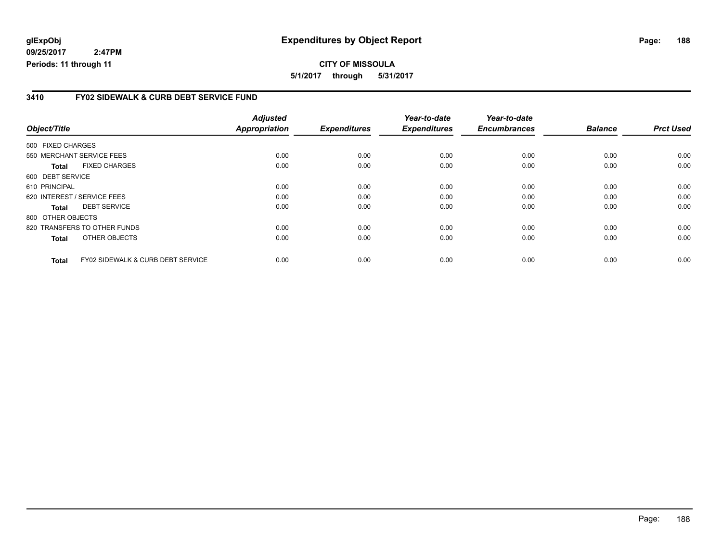**CITY OF MISSOULA 5/1/2017 through 5/31/2017**

#### **3410 FY02 SIDEWALK & CURB DEBT SERVICE FUND**

|                   |                                   | <b>Adjusted</b>      |                     | Year-to-date        | Year-to-date        |                |                  |
|-------------------|-----------------------------------|----------------------|---------------------|---------------------|---------------------|----------------|------------------|
| Object/Title      |                                   | <b>Appropriation</b> | <b>Expenditures</b> | <b>Expenditures</b> | <b>Encumbrances</b> | <b>Balance</b> | <b>Prct Used</b> |
| 500 FIXED CHARGES |                                   |                      |                     |                     |                     |                |                  |
|                   | 550 MERCHANT SERVICE FEES         | 0.00                 | 0.00                | 0.00                | 0.00                | 0.00           | 0.00             |
| <b>Total</b>      | <b>FIXED CHARGES</b>              | 0.00                 | 0.00                | 0.00                | 0.00                | 0.00           | 0.00             |
| 600 DEBT SERVICE  |                                   |                      |                     |                     |                     |                |                  |
| 610 PRINCIPAL     |                                   | 0.00                 | 0.00                | 0.00                | 0.00                | 0.00           | 0.00             |
|                   | 620 INTEREST / SERVICE FEES       | 0.00                 | 0.00                | 0.00                | 0.00                | 0.00           | 0.00             |
| <b>Total</b>      | <b>DEBT SERVICE</b>               | 0.00                 | 0.00                | 0.00                | 0.00                | 0.00           | 0.00             |
| 800 OTHER OBJECTS |                                   |                      |                     |                     |                     |                |                  |
|                   | 820 TRANSFERS TO OTHER FUNDS      | 0.00                 | 0.00                | 0.00                | 0.00                | 0.00           | 0.00             |
| <b>Total</b>      | OTHER OBJECTS                     | 0.00                 | 0.00                | 0.00                | 0.00                | 0.00           | 0.00             |
| Total             | FY02 SIDEWALK & CURB DEBT SERVICE | 0.00                 | 0.00                | 0.00                | 0.00                | 0.00           | 0.00             |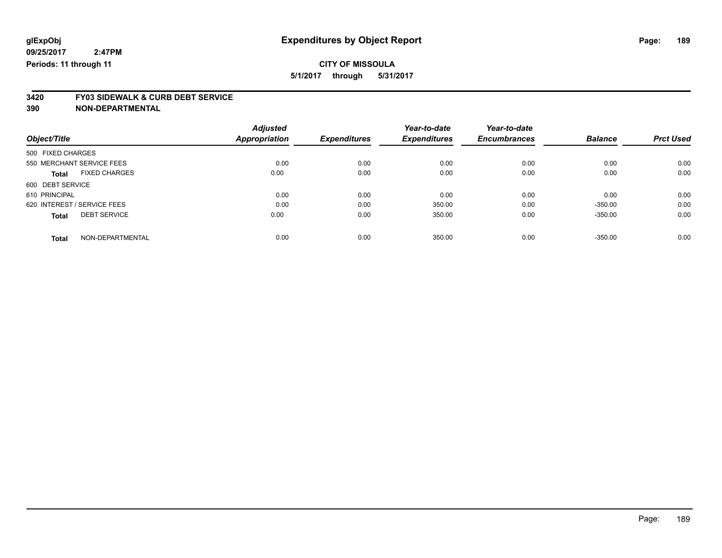## **CITY OF MISSOULA**

**5/1/2017 through 5/31/2017**

# **3420 FY03 SIDEWALK & CURB DEBT SERVICE**

|                             |                      | <b>Adjusted</b>      |                     | Year-to-date        | Year-to-date        |                |                  |
|-----------------------------|----------------------|----------------------|---------------------|---------------------|---------------------|----------------|------------------|
| Object/Title                |                      | <b>Appropriation</b> | <b>Expenditures</b> | <b>Expenditures</b> | <b>Encumbrances</b> | <b>Balance</b> | <b>Prct Used</b> |
| 500 FIXED CHARGES           |                      |                      |                     |                     |                     |                |                  |
| 550 MERCHANT SERVICE FEES   |                      | 0.00                 | 0.00                | 0.00                | 0.00                | 0.00           | 0.00             |
| <b>Total</b>                | <b>FIXED CHARGES</b> | 0.00                 | 0.00                | 0.00                | 0.00                | 0.00           | 0.00             |
| 600 DEBT SERVICE            |                      |                      |                     |                     |                     |                |                  |
| 610 PRINCIPAL               |                      | 0.00                 | 0.00                | 0.00                | 0.00                | 0.00           | 0.00             |
| 620 INTEREST / SERVICE FEES |                      | 0.00                 | 0.00                | 350.00              | 0.00                | $-350.00$      | 0.00             |
| <b>Total</b>                | <b>DEBT SERVICE</b>  | 0.00                 | 0.00                | 350.00              | 0.00                | $-350.00$      | 0.00             |
| <b>Total</b>                | NON-DEPARTMENTAL     | 0.00                 | 0.00                | 350.00              | 0.00                | $-350.00$      | 0.00             |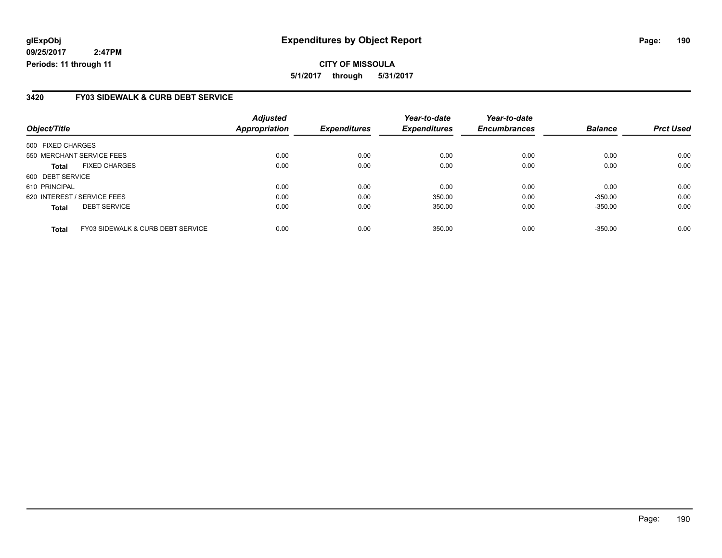**CITY OF MISSOULA 5/1/2017 through 5/31/2017**

#### **3420 FY03 SIDEWALK & CURB DEBT SERVICE**

| Object/Title                |                                   | <b>Adjusted</b><br><b>Appropriation</b> | <b>Expenditures</b> | Year-to-date<br><b>Expenditures</b> | Year-to-date<br><b>Encumbrances</b> | <b>Balance</b> | <b>Prct Used</b> |
|-----------------------------|-----------------------------------|-----------------------------------------|---------------------|-------------------------------------|-------------------------------------|----------------|------------------|
|                             |                                   |                                         |                     |                                     |                                     |                |                  |
| 500 FIXED CHARGES           |                                   |                                         |                     |                                     |                                     |                |                  |
|                             | 550 MERCHANT SERVICE FEES         | 0.00                                    | 0.00                | 0.00                                | 0.00                                | 0.00           | 0.00             |
| <b>Total</b>                | <b>FIXED CHARGES</b>              | 0.00                                    | 0.00                | 0.00                                | 0.00                                | 0.00           | 0.00             |
| 600 DEBT SERVICE            |                                   |                                         |                     |                                     |                                     |                |                  |
| 610 PRINCIPAL               |                                   | 0.00                                    | 0.00                | 0.00                                | 0.00                                | 0.00           | 0.00             |
| 620 INTEREST / SERVICE FEES |                                   | 0.00                                    | 0.00                | 350.00                              | 0.00                                | $-350.00$      | 0.00             |
| <b>Total</b>                | <b>DEBT SERVICE</b>               | 0.00                                    | 0.00                | 350.00                              | 0.00                                | $-350.00$      | 0.00             |
| <b>Total</b>                | FY03 SIDEWALK & CURB DEBT SERVICE | 0.00                                    | 0.00                | 350.00                              | 0.00                                | $-350.00$      | 0.00             |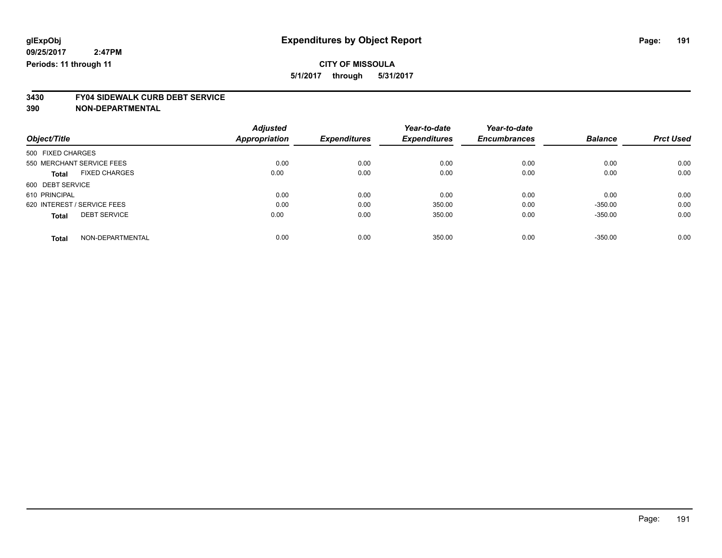# **CITY OF MISSOULA**

**5/1/2017 through 5/31/2017**

# **3430 FY04 SIDEWALK CURB DEBT SERVICE**

|                             |                      | <b>Adjusted</b>      |                     | Year-to-date        | Year-to-date        |                |                  |
|-----------------------------|----------------------|----------------------|---------------------|---------------------|---------------------|----------------|------------------|
| Object/Title                |                      | <b>Appropriation</b> | <b>Expenditures</b> | <b>Expenditures</b> | <b>Encumbrances</b> | <b>Balance</b> | <b>Prct Used</b> |
| 500 FIXED CHARGES           |                      |                      |                     |                     |                     |                |                  |
| 550 MERCHANT SERVICE FEES   |                      | 0.00                 | 0.00                | 0.00                | 0.00                | 0.00           | 0.00             |
| <b>Total</b>                | <b>FIXED CHARGES</b> | 0.00                 | 0.00                | 0.00                | 0.00                | 0.00           | 0.00             |
| 600 DEBT SERVICE            |                      |                      |                     |                     |                     |                |                  |
| 610 PRINCIPAL               |                      | 0.00                 | 0.00                | 0.00                | 0.00                | 0.00           | 0.00             |
| 620 INTEREST / SERVICE FEES |                      | 0.00                 | 0.00                | 350.00              | 0.00                | $-350.00$      | 0.00             |
| <b>Total</b>                | <b>DEBT SERVICE</b>  | 0.00                 | 0.00                | 350.00              | 0.00                | $-350.00$      | 0.00             |
| <b>Total</b>                | NON-DEPARTMENTAL     | 0.00                 | 0.00                | 350.00              | 0.00                | $-350.00$      | 0.00             |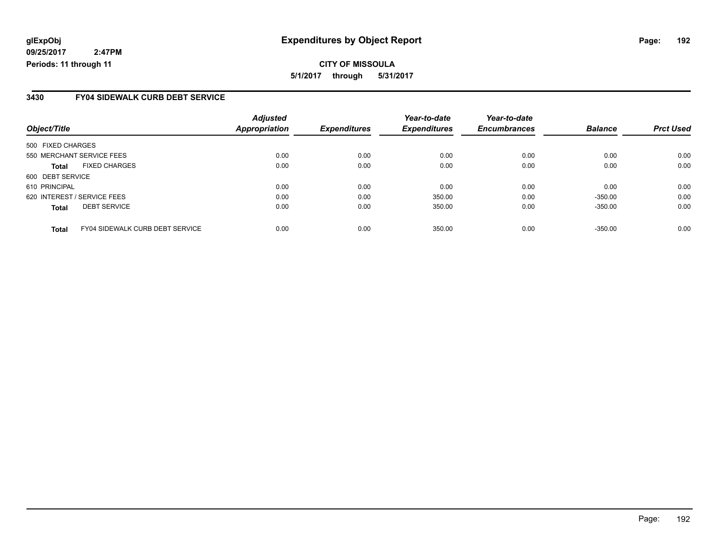**CITY OF MISSOULA 5/1/2017 through 5/31/2017**

#### **3430 FY04 SIDEWALK CURB DEBT SERVICE**

| Object/Title                |                                        | <b>Adjusted</b><br><b>Appropriation</b> | <b>Expenditures</b> | Year-to-date<br><b>Expenditures</b> | Year-to-date<br><b>Encumbrances</b> | <b>Balance</b> | <b>Prct Used</b> |
|-----------------------------|----------------------------------------|-----------------------------------------|---------------------|-------------------------------------|-------------------------------------|----------------|------------------|
|                             |                                        |                                         |                     |                                     |                                     |                |                  |
| 500 FIXED CHARGES           |                                        |                                         |                     |                                     |                                     |                |                  |
| 550 MERCHANT SERVICE FEES   |                                        | 0.00                                    | 0.00                | 0.00                                | 0.00                                | 0.00           | 0.00             |
| <b>Total</b>                | <b>FIXED CHARGES</b>                   | 0.00                                    | 0.00                | 0.00                                | 0.00                                | 0.00           | 0.00             |
| 600 DEBT SERVICE            |                                        |                                         |                     |                                     |                                     |                |                  |
| 610 PRINCIPAL               |                                        | 0.00                                    | 0.00                | 0.00                                | 0.00                                | 0.00           | 0.00             |
| 620 INTEREST / SERVICE FEES |                                        | 0.00                                    | 0.00                | 350.00                              | 0.00                                | $-350.00$      | 0.00             |
| <b>Total</b>                | <b>DEBT SERVICE</b>                    | 0.00                                    | 0.00                | 350.00                              | 0.00                                | $-350.00$      | 0.00             |
| <b>Total</b>                | <b>FY04 SIDEWALK CURB DEBT SERVICE</b> | 0.00                                    | 0.00                | 350.00                              | 0.00                                | $-350.00$      | 0.00             |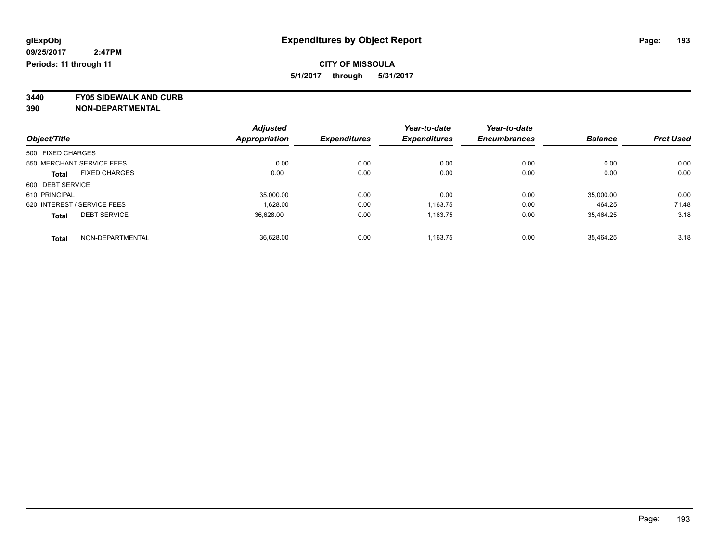**3440 FY05 SIDEWALK AND CURB**

|                             |                      | <b>Adjusted</b>      |                     | Year-to-date        | Year-to-date        |                |                  |
|-----------------------------|----------------------|----------------------|---------------------|---------------------|---------------------|----------------|------------------|
| Object/Title                |                      | <b>Appropriation</b> | <b>Expenditures</b> | <b>Expenditures</b> | <b>Encumbrances</b> | <b>Balance</b> | <b>Prct Used</b> |
| 500 FIXED CHARGES           |                      |                      |                     |                     |                     |                |                  |
| 550 MERCHANT SERVICE FEES   |                      | 0.00                 | 0.00                | 0.00                | 0.00                | 0.00           | 0.00             |
| <b>Total</b>                | <b>FIXED CHARGES</b> | 0.00                 | 0.00                | 0.00                | 0.00                | 0.00           | 0.00             |
| 600 DEBT SERVICE            |                      |                      |                     |                     |                     |                |                  |
| 610 PRINCIPAL               |                      | 35.000.00            | 0.00                | 0.00                | 0.00                | 35,000.00      | 0.00             |
| 620 INTEREST / SERVICE FEES |                      | 1.628.00             | 0.00                | 1,163.75            | 0.00                | 464.25         | 71.48            |
| <b>Total</b>                | <b>DEBT SERVICE</b>  | 36.628.00            | 0.00                | 1.163.75            | 0.00                | 35.464.25      | 3.18             |
| <b>Total</b>                | NON-DEPARTMENTAL     | 36.628.00            | 0.00                | 1.163.75            | 0.00                | 35.464.25      | 3.18             |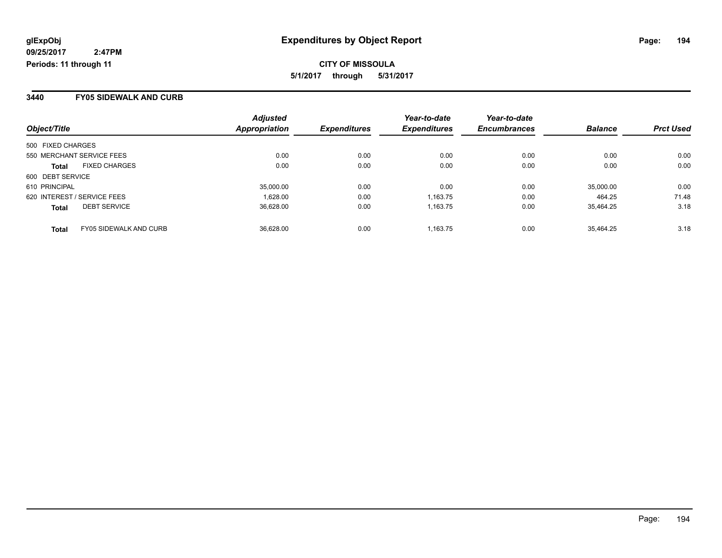#### **3440 FY05 SIDEWALK AND CURB**

|                                               | <b>Adjusted</b>      |                     | Year-to-date        | Year-to-date        |                |                  |
|-----------------------------------------------|----------------------|---------------------|---------------------|---------------------|----------------|------------------|
| Object/Title                                  | <b>Appropriation</b> | <b>Expenditures</b> | <b>Expenditures</b> | <b>Encumbrances</b> | <b>Balance</b> | <b>Prct Used</b> |
| 500 FIXED CHARGES                             |                      |                     |                     |                     |                |                  |
| 550 MERCHANT SERVICE FEES                     | 0.00                 | 0.00                | 0.00                | 0.00                | 0.00           | 0.00             |
| <b>FIXED CHARGES</b><br><b>Total</b>          | 0.00                 | 0.00                | 0.00                | 0.00                | 0.00           | 0.00             |
| 600 DEBT SERVICE                              |                      |                     |                     |                     |                |                  |
| 610 PRINCIPAL                                 | 35,000.00            | 0.00                | 0.00                | 0.00                | 35,000.00      | 0.00             |
| 620 INTEREST / SERVICE FEES                   | 1.628.00             | 0.00                | 1,163.75            | 0.00                | 464.25         | 71.48            |
| <b>DEBT SERVICE</b><br><b>Total</b>           | 36.628.00            | 0.00                | 1.163.75            | 0.00                | 35.464.25      | 3.18             |
| <b>FY05 SIDEWALK AND CURB</b><br><b>Total</b> | 36.628.00            | 0.00                | 1.163.75            | 0.00                | 35.464.25      | 3.18             |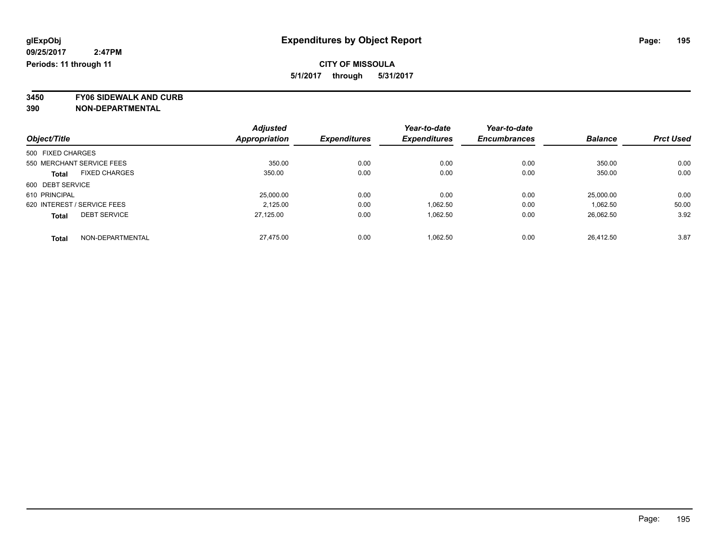**3450 FY06 SIDEWALK AND CURB**

|                   |                             | <b>Adjusted</b> |                     | Year-to-date        | Year-to-date        |                |                  |
|-------------------|-----------------------------|-----------------|---------------------|---------------------|---------------------|----------------|------------------|
| Object/Title      |                             | Appropriation   | <b>Expenditures</b> | <b>Expenditures</b> | <b>Encumbrances</b> | <b>Balance</b> | <b>Prct Used</b> |
| 500 FIXED CHARGES |                             |                 |                     |                     |                     |                |                  |
|                   | 550 MERCHANT SERVICE FEES   | 350.00          | 0.00                | 0.00                | 0.00                | 350.00         | 0.00             |
| Total             | <b>FIXED CHARGES</b>        | 350.00          | 0.00                | 0.00                | 0.00                | 350.00         | 0.00             |
| 600 DEBT SERVICE  |                             |                 |                     |                     |                     |                |                  |
| 610 PRINCIPAL     |                             | 25,000.00       | 0.00                | 0.00                | 0.00                | 25,000.00      | 0.00             |
|                   | 620 INTEREST / SERVICE FEES | 2.125.00        | 0.00                | 1.062.50            | 0.00                | 1.062.50       | 50.00            |
| <b>Total</b>      | <b>DEBT SERVICE</b>         | 27.125.00       | 0.00                | 1,062.50            | 0.00                | 26,062.50      | 3.92             |
| <b>Total</b>      | NON-DEPARTMENTAL            | 27.475.00       | 0.00                | 1.062.50            | 0.00                | 26.412.50      | 3.87             |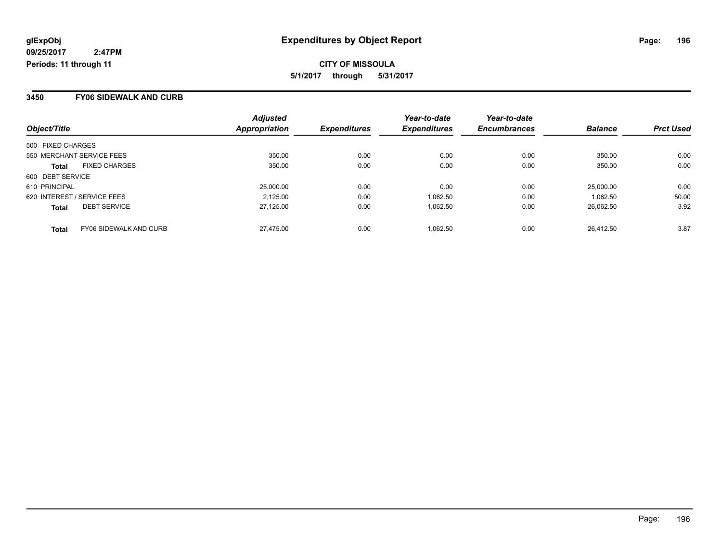#### **3450 FY06 SIDEWALK AND CURB**

| Object/Title      |                               | <b>Adjusted</b><br>Appropriation | <b>Expenditures</b> | Year-to-date<br><b>Expenditures</b> | Year-to-date<br><b>Encumbrances</b> | <b>Balance</b> | <b>Prct Used</b> |
|-------------------|-------------------------------|----------------------------------|---------------------|-------------------------------------|-------------------------------------|----------------|------------------|
| 500 FIXED CHARGES |                               |                                  |                     |                                     |                                     |                |                  |
|                   |                               |                                  |                     |                                     |                                     |                |                  |
|                   | 550 MERCHANT SERVICE FEES     | 350.00                           | 0.00                | 0.00                                | 0.00                                | 350.00         | 0.00             |
| <b>Total</b>      | <b>FIXED CHARGES</b>          | 350.00                           | 0.00                | 0.00                                | 0.00                                | 350.00         | 0.00             |
| 600 DEBT SERVICE  |                               |                                  |                     |                                     |                                     |                |                  |
| 610 PRINCIPAL     |                               | 25,000.00                        | 0.00                | 0.00                                | 0.00                                | 25,000.00      | 0.00             |
|                   | 620 INTEREST / SERVICE FEES   | 2,125.00                         | 0.00                | 1,062.50                            | 0.00                                | 1.062.50       | 50.00            |
| <b>Total</b>      | <b>DEBT SERVICE</b>           | 27,125.00                        | 0.00                | 1,062.50                            | 0.00                                | 26.062.50      | 3.92             |
| <b>Total</b>      | <b>FY06 SIDEWALK AND CURB</b> | 27.475.00                        | 0.00                | 1.062.50                            | 0.00                                | 26.412.50      | 3.87             |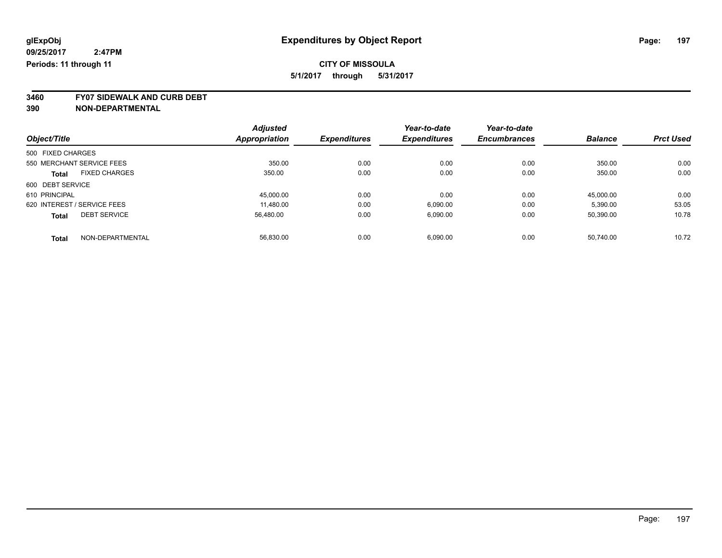**3460 FY07 SIDEWALK AND CURB DEBT**

|                             |                      | <b>Adjusted</b> |                     | Year-to-date        | Year-to-date        |                |                  |
|-----------------------------|----------------------|-----------------|---------------------|---------------------|---------------------|----------------|------------------|
| Object/Title                |                      | Appropriation   | <b>Expenditures</b> | <b>Expenditures</b> | <b>Encumbrances</b> | <b>Balance</b> | <b>Prct Used</b> |
| 500 FIXED CHARGES           |                      |                 |                     |                     |                     |                |                  |
| 550 MERCHANT SERVICE FEES   |                      | 350.00          | 0.00                | 0.00                | 0.00                | 350.00         | 0.00             |
| <b>Total</b>                | <b>FIXED CHARGES</b> | 350.00          | 0.00                | 0.00                | 0.00                | 350.00         | 0.00             |
| 600 DEBT SERVICE            |                      |                 |                     |                     |                     |                |                  |
| 610 PRINCIPAL               |                      | 45.000.00       | 0.00                | 0.00                | 0.00                | 45.000.00      | 0.00             |
| 620 INTEREST / SERVICE FEES |                      | 11,480.00       | 0.00                | 6,090.00            | 0.00                | 5,390.00       | 53.05            |
| <b>Total</b>                | <b>DEBT SERVICE</b>  | 56,480.00       | 0.00                | 6,090.00            | 0.00                | 50,390.00      | 10.78            |
| <b>Total</b>                | NON-DEPARTMENTAL     | 56.830.00       | 0.00                | 6,090.00            | 0.00                | 50.740.00      | 10.72            |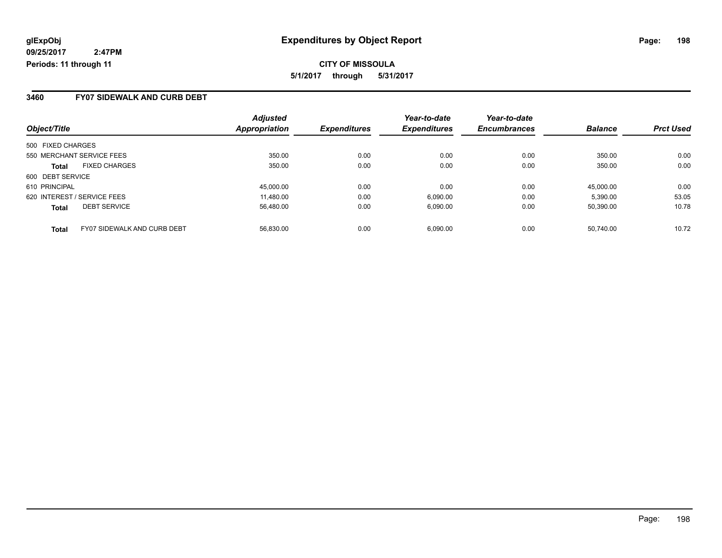**CITY OF MISSOULA 5/1/2017 through 5/31/2017**

#### **3460 FY07 SIDEWALK AND CURB DEBT**

| Object/Title                | <b>Adjusted</b><br>Appropriation                                                     | <b>Expenditures</b> | Year-to-date<br><b>Expenditures</b> | Year-to-date<br><b>Encumbrances</b> | <b>Balance</b> | <b>Prct Used</b>    |
|-----------------------------|--------------------------------------------------------------------------------------|---------------------|-------------------------------------|-------------------------------------|----------------|---------------------|
|                             |                                                                                      |                     |                                     |                                     |                |                     |
|                             |                                                                                      |                     |                                     |                                     |                |                     |
|                             |                                                                                      |                     |                                     |                                     |                | 0.00                |
| <b>FIXED CHARGES</b>        | 350.00                                                                               | 0.00                | 0.00                                | 0.00                                | 350.00         | 0.00                |
| 600 DEBT SERVICE            |                                                                                      |                     |                                     |                                     |                |                     |
| 610 PRINCIPAL               | 45,000.00                                                                            | 0.00                | 0.00                                | 0.00                                | 45.000.00      | 0.00                |
| 620 INTEREST / SERVICE FEES | 11,480.00                                                                            | 0.00                | 6,090.00                            | 0.00                                | 5,390.00       | 53.05               |
| <b>DEBT SERVICE</b>         | 56,480.00                                                                            | 0.00                | 6,090.00                            | 0.00                                | 50.390.00      | 10.78               |
|                             |                                                                                      |                     |                                     |                                     |                | 10.72               |
|                             | 500 FIXED CHARGES<br>550 MERCHANT SERVICE FEES<br><b>FY07 SIDEWALK AND CURB DEBT</b> | 350.00<br>56.830.00 | 0.00<br>0.00                        | 0.00<br>6.090.00                    | 0.00<br>0.00   | 350.00<br>50.740.00 |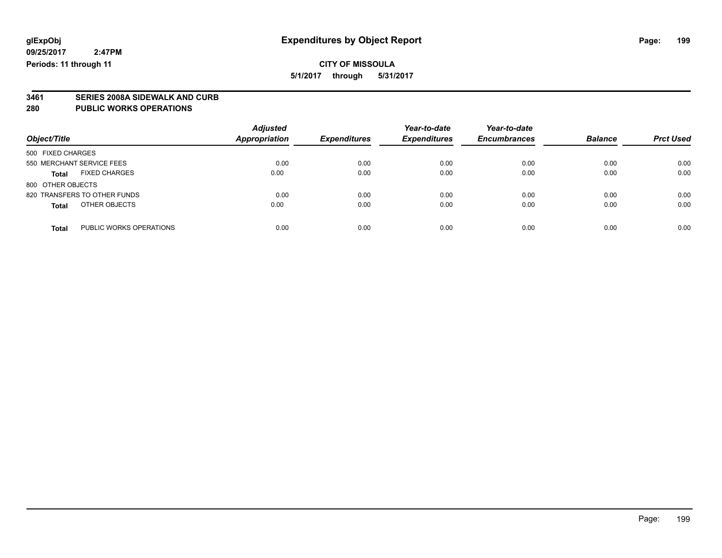### **CITY OF MISSOULA 5/1/2017 through 5/31/2017**

**3461 SERIES 2008A SIDEWALK AND CURB**

**280 PUBLIC WORKS OPERATIONS**

| Object/Title                            | <b>Adjusted</b><br><b>Appropriation</b> | <b>Expenditures</b> | Year-to-date<br><b>Expenditures</b> | Year-to-date<br><b>Encumbrances</b> | <b>Balance</b> | <b>Prct Used</b> |
|-----------------------------------------|-----------------------------------------|---------------------|-------------------------------------|-------------------------------------|----------------|------------------|
| 500 FIXED CHARGES                       |                                         |                     |                                     |                                     |                |                  |
| 550 MERCHANT SERVICE FEES               | 0.00                                    | 0.00                | 0.00                                | 0.00                                | 0.00           | 0.00             |
| <b>FIXED CHARGES</b><br><b>Total</b>    | 0.00                                    | 0.00                | 0.00                                | 0.00                                | 0.00           | 0.00             |
| 800 OTHER OBJECTS                       |                                         |                     |                                     |                                     |                |                  |
| 820 TRANSFERS TO OTHER FUNDS            | 0.00                                    | 0.00                | 0.00                                | 0.00                                | 0.00           | 0.00             |
| OTHER OBJECTS<br><b>Total</b>           | 0.00                                    | 0.00                | 0.00                                | 0.00                                | 0.00           | 0.00             |
| PUBLIC WORKS OPERATIONS<br><b>Total</b> | 0.00                                    | 0.00                | 0.00                                | 0.00                                | 0.00           | 0.00             |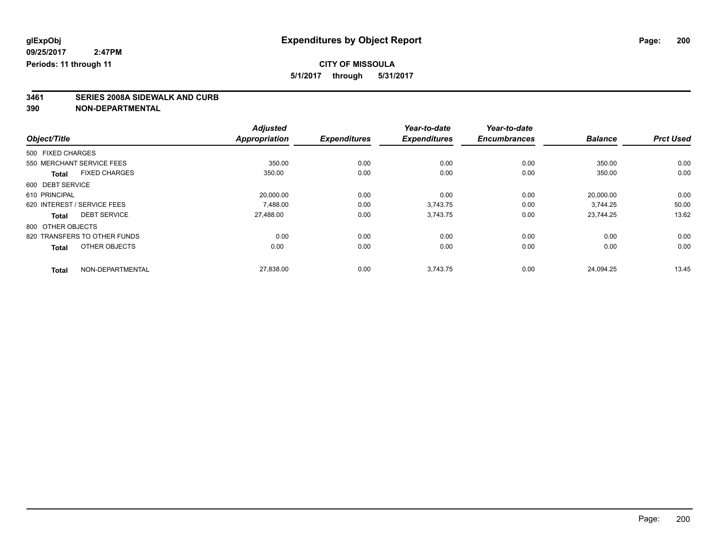## **CITY OF MISSOULA**

**5/1/2017 through 5/31/2017**

# **3461 SERIES 2008A SIDEWALK AND CURB**

|                                      | <b>Adjusted</b>      |                     | Year-to-date        | Year-to-date        |                |                  |
|--------------------------------------|----------------------|---------------------|---------------------|---------------------|----------------|------------------|
| Object/Title                         | <b>Appropriation</b> | <b>Expenditures</b> | <b>Expenditures</b> | <b>Encumbrances</b> | <b>Balance</b> | <b>Prct Used</b> |
| 500 FIXED CHARGES                    |                      |                     |                     |                     |                |                  |
| 550 MERCHANT SERVICE FEES            | 350.00               | 0.00                | 0.00                | 0.00                | 350.00         | 0.00             |
| <b>FIXED CHARGES</b><br><b>Total</b> | 350.00               | 0.00                | 0.00                | 0.00                | 350.00         | 0.00             |
| 600 DEBT SERVICE                     |                      |                     |                     |                     |                |                  |
| 610 PRINCIPAL                        | 20,000.00            | 0.00                | 0.00                | 0.00                | 20,000.00      | 0.00             |
| 620 INTEREST / SERVICE FEES          | 7.488.00             | 0.00                | 3.743.75            | 0.00                | 3.744.25       | 50.00            |
| <b>DEBT SERVICE</b><br><b>Total</b>  | 27.488.00            | 0.00                | 3,743.75            | 0.00                | 23.744.25      | 13.62            |
| 800 OTHER OBJECTS                    |                      |                     |                     |                     |                |                  |
| 820 TRANSFERS TO OTHER FUNDS         | 0.00                 | 0.00                | 0.00                | 0.00                | 0.00           | 0.00             |
| OTHER OBJECTS<br><b>Total</b>        | 0.00                 | 0.00                | 0.00                | 0.00                | 0.00           | 0.00             |
| NON-DEPARTMENTAL<br><b>Total</b>     | 27,838.00            | 0.00                | 3,743.75            | 0.00                | 24.094.25      | 13.45            |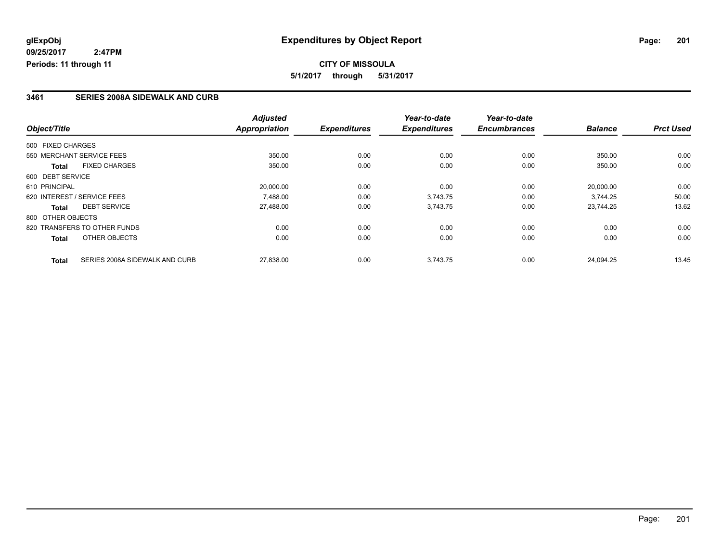## **CITY OF MISSOULA 5/1/2017 through 5/31/2017**

#### **3461 SERIES 2008A SIDEWALK AND CURB**

|                                      |                                | <b>Adjusted</b>      |                     | Year-to-date        | Year-to-date        |                |                  |
|--------------------------------------|--------------------------------|----------------------|---------------------|---------------------|---------------------|----------------|------------------|
| Object/Title                         |                                | <b>Appropriation</b> | <b>Expenditures</b> | <b>Expenditures</b> | <b>Encumbrances</b> | <b>Balance</b> | <b>Prct Used</b> |
| 500 FIXED CHARGES                    |                                |                      |                     |                     |                     |                |                  |
| 550 MERCHANT SERVICE FEES            |                                | 350.00               | 0.00                | 0.00                | 0.00                | 350.00         | 0.00             |
| <b>FIXED CHARGES</b><br><b>Total</b> |                                | 350.00               | 0.00                | 0.00                | 0.00                | 350.00         | 0.00             |
| 600 DEBT SERVICE                     |                                |                      |                     |                     |                     |                |                  |
| 610 PRINCIPAL                        |                                | 20,000.00            | 0.00                | 0.00                | 0.00                | 20,000.00      | 0.00             |
| 620 INTEREST / SERVICE FEES          |                                | 7.488.00             | 0.00                | 3,743.75            | 0.00                | 3.744.25       | 50.00            |
| <b>DEBT SERVICE</b><br>Total         |                                | 27,488.00            | 0.00                | 3,743.75            | 0.00                | 23.744.25      | 13.62            |
| 800 OTHER OBJECTS                    |                                |                      |                     |                     |                     |                |                  |
| 820 TRANSFERS TO OTHER FUNDS         |                                | 0.00                 | 0.00                | 0.00                | 0.00                | 0.00           | 0.00             |
| OTHER OBJECTS<br><b>Total</b>        |                                | 0.00                 | 0.00                | 0.00                | 0.00                | 0.00           | 0.00             |
| <b>Total</b>                         | SERIES 2008A SIDEWALK AND CURB | 27,838.00            | 0.00                | 3,743.75            | 0.00                | 24.094.25      | 13.45            |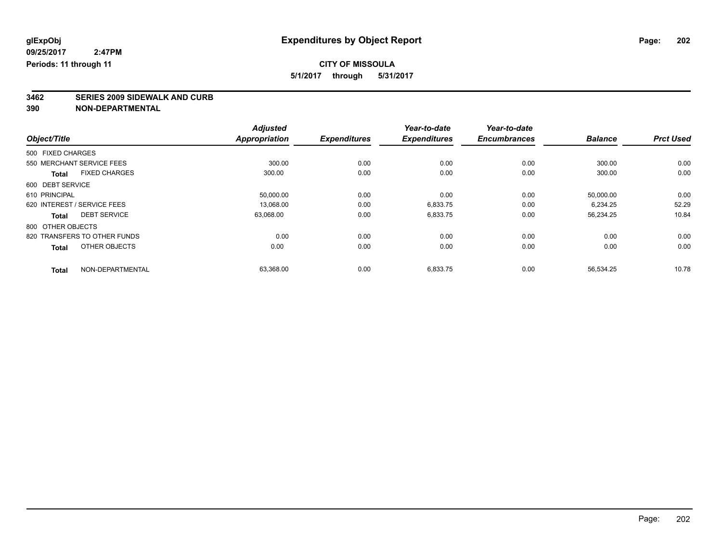# **CITY OF MISSOULA**

**5/1/2017 through 5/31/2017**

# **3462 SERIES 2009 SIDEWALK AND CURB**

|                                      | <b>Adjusted</b>      |                     | Year-to-date        | Year-to-date        |                |                  |
|--------------------------------------|----------------------|---------------------|---------------------|---------------------|----------------|------------------|
| Object/Title                         | <b>Appropriation</b> | <b>Expenditures</b> | <b>Expenditures</b> | <b>Encumbrances</b> | <b>Balance</b> | <b>Prct Used</b> |
| 500 FIXED CHARGES                    |                      |                     |                     |                     |                |                  |
| 550 MERCHANT SERVICE FEES            | 300.00               | 0.00                | 0.00                | 0.00                | 300.00         | 0.00             |
| <b>FIXED CHARGES</b><br><b>Total</b> | 300.00               | 0.00                | 0.00                | 0.00                | 300.00         | 0.00             |
| 600 DEBT SERVICE                     |                      |                     |                     |                     |                |                  |
| 610 PRINCIPAL                        | 50,000.00            | 0.00                | 0.00                | 0.00                | 50,000.00      | 0.00             |
| 620 INTEREST / SERVICE FEES          | 13,068.00            | 0.00                | 6,833.75            | 0.00                | 6.234.25       | 52.29            |
| <b>DEBT SERVICE</b><br>Total         | 63,068.00            | 0.00                | 6,833.75            | 0.00                | 56,234.25      | 10.84            |
| 800 OTHER OBJECTS                    |                      |                     |                     |                     |                |                  |
| 820 TRANSFERS TO OTHER FUNDS         | 0.00                 | 0.00                | 0.00                | 0.00                | 0.00           | 0.00             |
| OTHER OBJECTS<br><b>Total</b>        | 0.00                 | 0.00                | 0.00                | 0.00                | 0.00           | 0.00             |
| NON-DEPARTMENTAL<br><b>Total</b>     | 63,368.00            | 0.00                | 6,833.75            | 0.00                | 56,534.25      | 10.78            |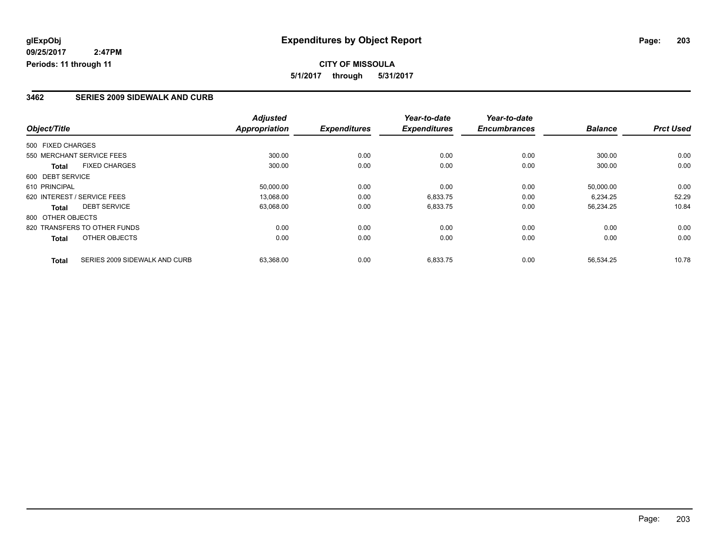## **CITY OF MISSOULA 5/1/2017 through 5/31/2017**

#### **3462 SERIES 2009 SIDEWALK AND CURB**

|                   |                               | <b>Adjusted</b>      |                     | Year-to-date        | Year-to-date        |                |                  |
|-------------------|-------------------------------|----------------------|---------------------|---------------------|---------------------|----------------|------------------|
| Object/Title      |                               | <b>Appropriation</b> | <b>Expenditures</b> | <b>Expenditures</b> | <b>Encumbrances</b> | <b>Balance</b> | <b>Prct Used</b> |
| 500 FIXED CHARGES |                               |                      |                     |                     |                     |                |                  |
|                   | 550 MERCHANT SERVICE FEES     | 300.00               | 0.00                | 0.00                | 0.00                | 300.00         | 0.00             |
| <b>Total</b>      | <b>FIXED CHARGES</b>          | 300.00               | 0.00                | 0.00                | 0.00                | 300.00         | 0.00             |
| 600 DEBT SERVICE  |                               |                      |                     |                     |                     |                |                  |
| 610 PRINCIPAL     |                               | 50,000.00            | 0.00                | 0.00                | 0.00                | 50,000.00      | 0.00             |
|                   | 620 INTEREST / SERVICE FEES   | 13.068.00            | 0.00                | 6,833.75            | 0.00                | 6.234.25       | 52.29            |
| Total             | <b>DEBT SERVICE</b>           | 63,068.00            | 0.00                | 6,833.75            | 0.00                | 56,234.25      | 10.84            |
| 800 OTHER OBJECTS |                               |                      |                     |                     |                     |                |                  |
|                   | 820 TRANSFERS TO OTHER FUNDS  | 0.00                 | 0.00                | 0.00                | 0.00                | 0.00           | 0.00             |
| <b>Total</b>      | OTHER OBJECTS                 | 0.00                 | 0.00                | 0.00                | 0.00                | 0.00           | 0.00             |
| <b>Total</b>      | SERIES 2009 SIDEWALK AND CURB | 63,368.00            | 0.00                | 6,833.75            | 0.00                | 56,534.25      | 10.78            |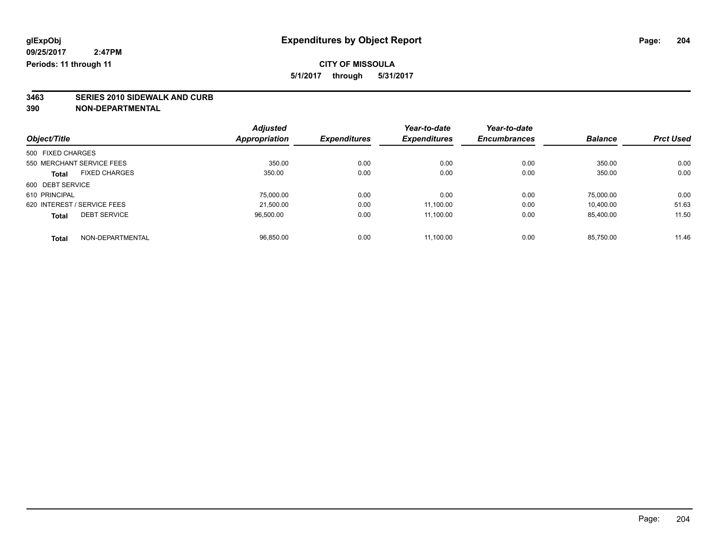# **CITY OF MISSOULA**

**5/1/2017 through 5/31/2017**

# **3463 SERIES 2010 SIDEWALK AND CURB**

|                   |                             | <b>Adjusted</b>      |                     | Year-to-date        | Year-to-date        |                |                  |
|-------------------|-----------------------------|----------------------|---------------------|---------------------|---------------------|----------------|------------------|
| Object/Title      |                             | <b>Appropriation</b> | <b>Expenditures</b> | <b>Expenditures</b> | <b>Encumbrances</b> | <b>Balance</b> | <b>Prct Used</b> |
| 500 FIXED CHARGES |                             |                      |                     |                     |                     |                |                  |
|                   | 550 MERCHANT SERVICE FEES   | 350.00               | 0.00                | 0.00                | 0.00                | 350.00         | 0.00             |
| <b>Total</b>      | <b>FIXED CHARGES</b>        | 350.00               | 0.00                | 0.00                | 0.00                | 350.00         | 0.00             |
| 600 DEBT SERVICE  |                             |                      |                     |                     |                     |                |                  |
| 610 PRINCIPAL     |                             | 75,000.00            | 0.00                | 0.00                | 0.00                | 75.000.00      | 0.00             |
|                   | 620 INTEREST / SERVICE FEES | 21.500.00            | 0.00                | 11.100.00           | 0.00                | 10.400.00      | 51.63            |
| <b>Total</b>      | <b>DEBT SERVICE</b>         | 96,500.00            | 0.00                | 11,100.00           | 0.00                | 85,400.00      | 11.50            |
| <b>Total</b>      | NON-DEPARTMENTAL            | 96.850.00            | 0.00                | 11.100.00           | 0.00                | 85.750.00      | 11.46            |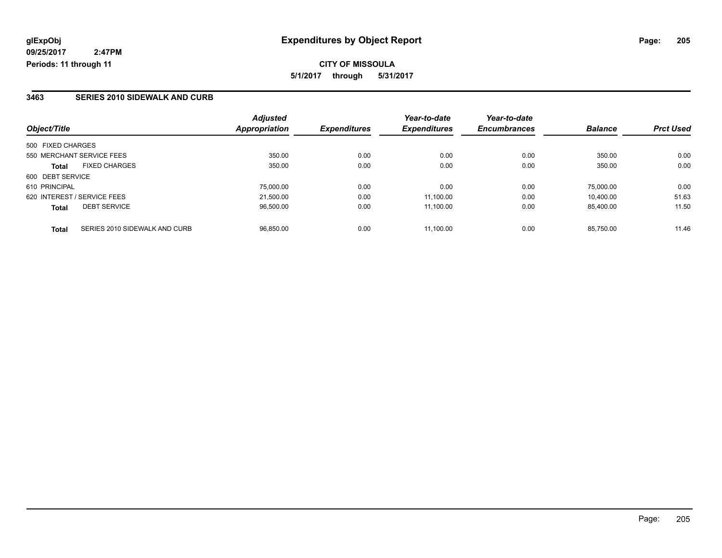**CITY OF MISSOULA 5/1/2017 through 5/31/2017**

#### **3463 SERIES 2010 SIDEWALK AND CURB**

| Object/Title                                  | <b>Adjusted</b><br>Appropriation | <b>Expenditures</b> | Year-to-date<br><b>Expenditures</b> | Year-to-date<br><b>Encumbrances</b> | <b>Balance</b> | <b>Prct Used</b> |
|-----------------------------------------------|----------------------------------|---------------------|-------------------------------------|-------------------------------------|----------------|------------------|
|                                               |                                  |                     |                                     |                                     |                |                  |
| 500 FIXED CHARGES                             |                                  |                     |                                     |                                     |                |                  |
| 550 MERCHANT SERVICE FEES                     | 350.00                           | 0.00                | 0.00                                | 0.00                                | 350.00         | 0.00             |
| <b>FIXED CHARGES</b><br>Total                 | 350.00                           | 0.00                | 0.00                                | 0.00                                | 350.00         | 0.00             |
| 600 DEBT SERVICE                              |                                  |                     |                                     |                                     |                |                  |
| 610 PRINCIPAL                                 | 75,000.00                        | 0.00                | 0.00                                | 0.00                                | 75,000.00      | 0.00             |
| 620 INTEREST / SERVICE FEES                   | 21.500.00                        | 0.00                | 11.100.00                           | 0.00                                | 10.400.00      | 51.63            |
| <b>DEBT SERVICE</b><br><b>Total</b>           | 96,500.00                        | 0.00                | 11,100.00                           | 0.00                                | 85,400.00      | 11.50            |
| SERIES 2010 SIDEWALK AND CURB<br><b>Total</b> | 96.850.00                        | 0.00                | 11.100.00                           | 0.00                                | 85.750.00      | 11.46            |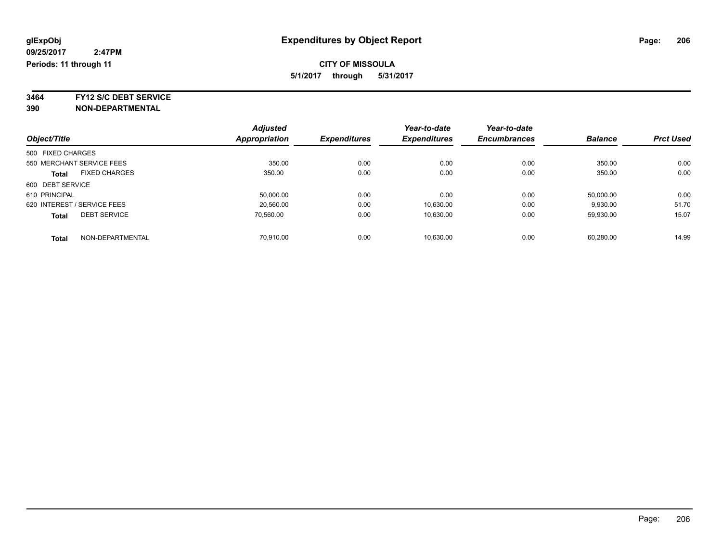**3464 FY12 S/C DEBT SERVICE**

|                                      | <b>Adjusted</b> |                     | Year-to-date        | Year-to-date        |                |                  |
|--------------------------------------|-----------------|---------------------|---------------------|---------------------|----------------|------------------|
| Object/Title                         | Appropriation   | <b>Expenditures</b> | <b>Expenditures</b> | <b>Encumbrances</b> | <b>Balance</b> | <b>Prct Used</b> |
| 500 FIXED CHARGES                    |                 |                     |                     |                     |                |                  |
| 550 MERCHANT SERVICE FEES            | 350.00          | 0.00                | 0.00                | 0.00                | 350.00         | 0.00             |
| <b>FIXED CHARGES</b><br><b>Total</b> | 350.00          | 0.00                | 0.00                | 0.00                | 350.00         | 0.00             |
| 600 DEBT SERVICE                     |                 |                     |                     |                     |                |                  |
| 610 PRINCIPAL                        | 50,000.00       | 0.00                | 0.00                | 0.00                | 50,000.00      | 0.00             |
| 620 INTEREST / SERVICE FEES          | 20.560.00       | 0.00                | 10,630.00           | 0.00                | 9,930.00       | 51.70            |
| <b>DEBT SERVICE</b><br><b>Total</b>  | 70.560.00       | 0.00                | 10.630.00           | 0.00                | 59.930.00      | 15.07            |
| NON-DEPARTMENTAL<br><b>Total</b>     | 70.910.00       | 0.00                | 10.630.00           | 0.00                | 60.280.00      | 14.99            |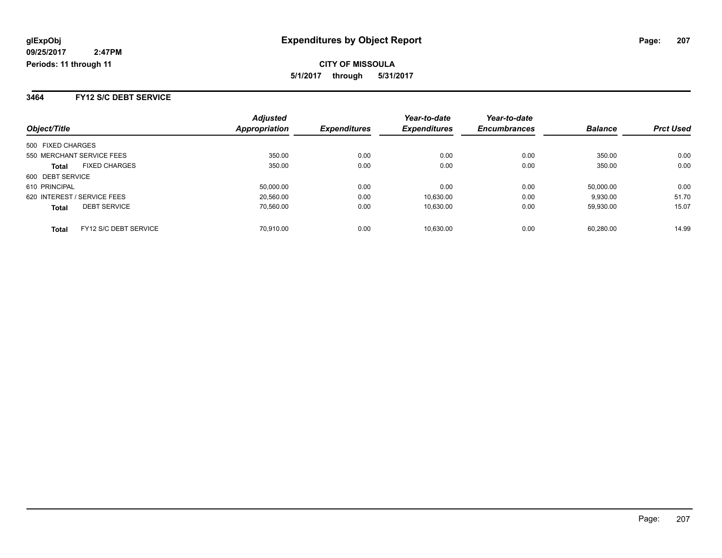**3464 FY12 S/C DEBT SERVICE**

| Object/Title                          | <b>Adjusted</b><br><b>Appropriation</b> | <b>Expenditures</b> | Year-to-date<br><b>Expenditures</b> | Year-to-date<br><b>Encumbrances</b> | <b>Balance</b> | <b>Prct Used</b> |
|---------------------------------------|-----------------------------------------|---------------------|-------------------------------------|-------------------------------------|----------------|------------------|
| 500 FIXED CHARGES                     |                                         |                     |                                     |                                     |                |                  |
| 550 MERCHANT SERVICE FEES             | 350.00                                  | 0.00                | 0.00                                | 0.00                                | 350.00         | 0.00             |
| <b>FIXED CHARGES</b><br><b>Total</b>  | 350.00                                  | 0.00                | 0.00                                | 0.00                                | 350.00         | 0.00             |
| 600 DEBT SERVICE                      |                                         |                     |                                     |                                     |                |                  |
| 610 PRINCIPAL                         | 50.000.00                               | 0.00                | 0.00                                | 0.00                                | 50,000.00      | 0.00             |
| 620 INTEREST / SERVICE FEES           | 20,560.00                               | 0.00                | 10.630.00                           | 0.00                                | 9,930.00       | 51.70            |
| <b>DEBT SERVICE</b><br><b>Total</b>   | 70.560.00                               | 0.00                | 10.630.00                           | 0.00                                | 59.930.00      | 15.07            |
| FY12 S/C DEBT SERVICE<br><b>Total</b> | 70.910.00                               | 0.00                | 10.630.00                           | 0.00                                | 60.280.00      | 14.99            |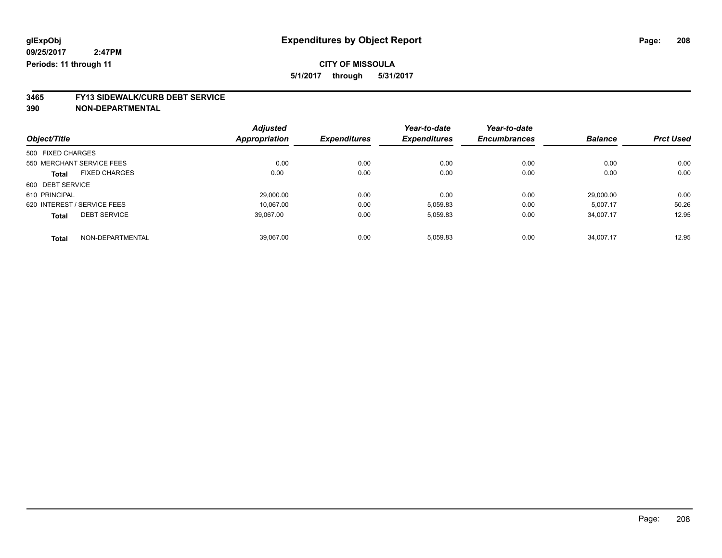**3465 FY13 SIDEWALK/CURB DEBT SERVICE**

|                   |                             | <b>Adjusted</b>      |                     | Year-to-date        | Year-to-date        |                |                  |
|-------------------|-----------------------------|----------------------|---------------------|---------------------|---------------------|----------------|------------------|
| Object/Title      |                             | <b>Appropriation</b> | <b>Expenditures</b> | <b>Expenditures</b> | <b>Encumbrances</b> | <b>Balance</b> | <b>Prct Used</b> |
| 500 FIXED CHARGES |                             |                      |                     |                     |                     |                |                  |
|                   | 550 MERCHANT SERVICE FEES   | 0.00                 | 0.00                | 0.00                | 0.00                | 0.00           | 0.00             |
| <b>Total</b>      | <b>FIXED CHARGES</b>        | 0.00                 | 0.00                | 0.00                | 0.00                | 0.00           | 0.00             |
| 600 DEBT SERVICE  |                             |                      |                     |                     |                     |                |                  |
| 610 PRINCIPAL     |                             | 29.000.00            | 0.00                | 0.00                | 0.00                | 29.000.00      | 0.00             |
|                   | 620 INTEREST / SERVICE FEES | 10.067.00            | 0.00                | 5,059.83            | 0.00                | 5,007.17       | 50.26            |
| <b>Total</b>      | <b>DEBT SERVICE</b>         | 39,067.00            | 0.00                | 5,059.83            | 0.00                | 34,007.17      | 12.95            |
| <b>Total</b>      | NON-DEPARTMENTAL            | 39.067.00            | 0.00                | 5,059.83            | 0.00                | 34.007.17      | 12.95            |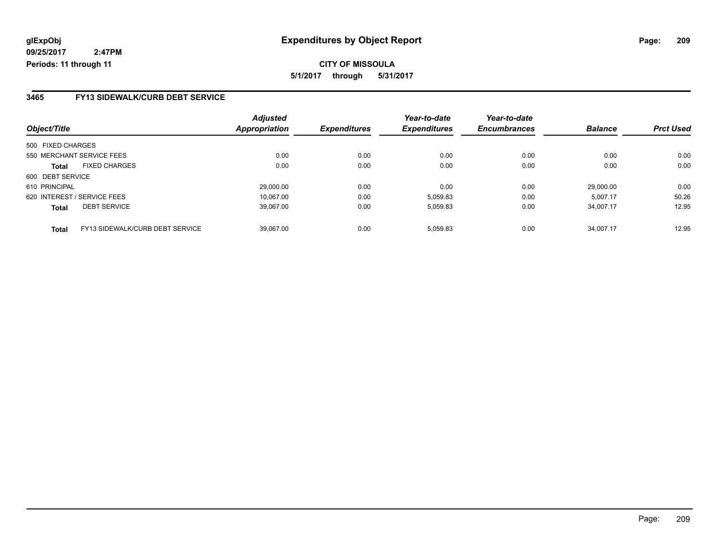**5/1/2017 through 5/31/2017**

#### **3465 FY13 SIDEWALK/CURB DEBT SERVICE**

|                   |                                 | <b>Adjusted</b>      |                     | Year-to-date        | Year-to-date        |                |                  |
|-------------------|---------------------------------|----------------------|---------------------|---------------------|---------------------|----------------|------------------|
| Object/Title      |                                 | <b>Appropriation</b> | <b>Expenditures</b> | <b>Expenditures</b> | <b>Encumbrances</b> | <b>Balance</b> | <b>Prct Used</b> |
| 500 FIXED CHARGES |                                 |                      |                     |                     |                     |                |                  |
|                   | 550 MERCHANT SERVICE FEES       | 0.00                 | 0.00                | 0.00                | 0.00                | 0.00           | 0.00             |
| <b>Total</b>      | <b>FIXED CHARGES</b>            | 0.00                 | 0.00                | 0.00                | 0.00                | 0.00           | 0.00             |
| 600 DEBT SERVICE  |                                 |                      |                     |                     |                     |                |                  |
| 610 PRINCIPAL     |                                 | 29.000.00            | 0.00                | 0.00                | 0.00                | 29.000.00      | 0.00             |
|                   | 620 INTEREST / SERVICE FEES     | 10.067.00            | 0.00                | 5,059.83            | 0.00                | 5.007.17       | 50.26            |
| <b>Total</b>      | <b>DEBT SERVICE</b>             | 39.067.00            | 0.00                | 5,059.83            | 0.00                | 34.007.17      | 12.95            |
| <b>Total</b>      | FY13 SIDEWALK/CURB DEBT SERVICE | 39.067.00            | 0.00                | 5.059.83            | 0.00                | 34.007.17      | 12.95            |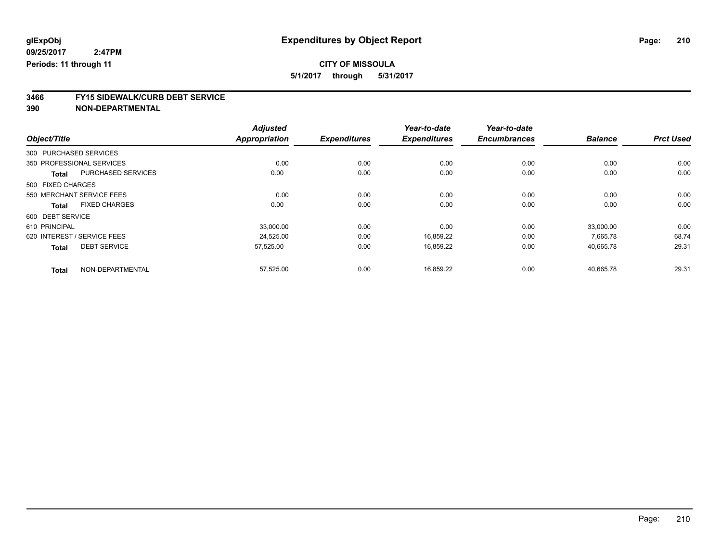## **CITY OF MISSOULA**

**5/1/2017 through 5/31/2017**

# **3466 FY15 SIDEWALK/CURB DEBT SERVICE**

|                  |                                           | <b>Adjusted</b>      |                     | Year-to-date        | Year-to-date        |                |                  |
|------------------|-------------------------------------------|----------------------|---------------------|---------------------|---------------------|----------------|------------------|
| Object/Title     |                                           | <b>Appropriation</b> | <b>Expenditures</b> | <b>Expenditures</b> | <b>Encumbrances</b> | <b>Balance</b> | <b>Prct Used</b> |
|                  | 300 PURCHASED SERVICES                    |                      |                     |                     |                     |                |                  |
|                  | 350 PROFESSIONAL SERVICES                 | 0.00                 | 0.00                | 0.00                | 0.00                | 0.00           | 0.00             |
|                  | <b>PURCHASED SERVICES</b><br><b>Total</b> | 0.00                 | 0.00                | 0.00                | 0.00                | 0.00           | 0.00             |
|                  | 500 FIXED CHARGES                         |                      |                     |                     |                     |                |                  |
|                  | 550 MERCHANT SERVICE FEES                 | 0.00                 | 0.00                | 0.00                | 0.00                | 0.00           | 0.00             |
|                  | <b>FIXED CHARGES</b><br><b>Total</b>      | 0.00                 | 0.00                | 0.00                | 0.00                | 0.00           | 0.00             |
| 600 DEBT SERVICE |                                           |                      |                     |                     |                     |                |                  |
| 610 PRINCIPAL    |                                           | 33,000.00            | 0.00                | 0.00                | 0.00                | 33,000.00      | 0.00             |
|                  | 620 INTEREST / SERVICE FEES               | 24,525.00            | 0.00                | 16,859.22           | 0.00                | 7,665.78       | 68.74            |
|                  | <b>DEBT SERVICE</b><br><b>Total</b>       | 57,525.00            | 0.00                | 16,859.22           | 0.00                | 40,665.78      | 29.31            |
|                  | NON-DEPARTMENTAL<br><b>Total</b>          | 57,525.00            | 0.00                | 16,859.22           | 0.00                | 40,665.78      | 29.31            |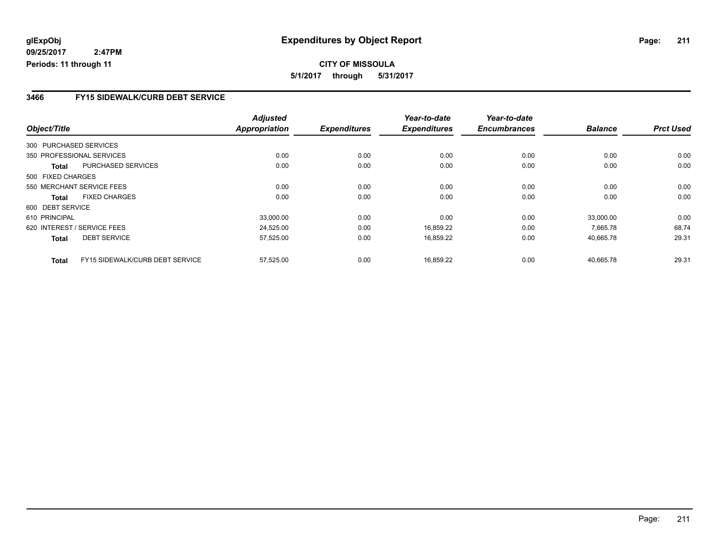#### **3466 FY15 SIDEWALK/CURB DEBT SERVICE**

|                   |                                 | <b>Adjusted</b>      |                     | Year-to-date        | Year-to-date        |                |                  |
|-------------------|---------------------------------|----------------------|---------------------|---------------------|---------------------|----------------|------------------|
| Object/Title      |                                 | <b>Appropriation</b> | <b>Expenditures</b> | <b>Expenditures</b> | <b>Encumbrances</b> | <b>Balance</b> | <b>Prct Used</b> |
|                   | 300 PURCHASED SERVICES          |                      |                     |                     |                     |                |                  |
|                   | 350 PROFESSIONAL SERVICES       | 0.00                 | 0.00                | 0.00                | 0.00                | 0.00           | 0.00             |
| Total             | PURCHASED SERVICES              | 0.00                 | 0.00                | 0.00                | 0.00                | 0.00           | 0.00             |
| 500 FIXED CHARGES |                                 |                      |                     |                     |                     |                |                  |
|                   | 550 MERCHANT SERVICE FEES       | 0.00                 | 0.00                | 0.00                | 0.00                | 0.00           | 0.00             |
| Total             | <b>FIXED CHARGES</b>            | 0.00                 | 0.00                | 0.00                | 0.00                | 0.00           | 0.00             |
| 600 DEBT SERVICE  |                                 |                      |                     |                     |                     |                |                  |
| 610 PRINCIPAL     |                                 | 33.000.00            | 0.00                | 0.00                | 0.00                | 33.000.00      | 0.00             |
|                   | 620 INTEREST / SERVICE FEES     | 24,525.00            | 0.00                | 16,859.22           | 0.00                | 7.665.78       | 68.74            |
| <b>Total</b>      | <b>DEBT SERVICE</b>             | 57,525.00            | 0.00                | 16,859.22           | 0.00                | 40,665.78      | 29.31            |
| <b>Total</b>      | FY15 SIDEWALK/CURB DEBT SERVICE | 57,525.00            | 0.00                | 16,859.22           | 0.00                | 40,665.78      | 29.31            |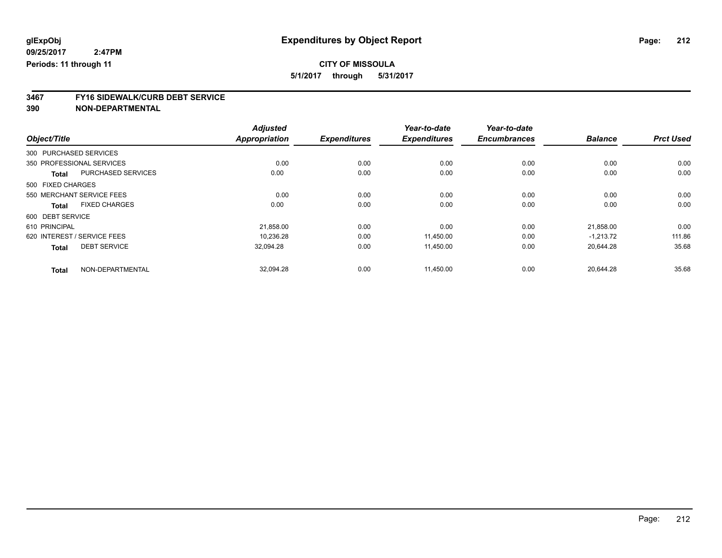# **CITY OF MISSOULA**

**5/1/2017 through 5/31/2017**

# **3467 FY16 SIDEWALK/CURB DEBT SERVICE**

|                   |                             | <b>Adjusted</b>      |                     | Year-to-date        | Year-to-date        |                |                  |
|-------------------|-----------------------------|----------------------|---------------------|---------------------|---------------------|----------------|------------------|
| Object/Title      |                             | <b>Appropriation</b> | <b>Expenditures</b> | <b>Expenditures</b> | <b>Encumbrances</b> | <b>Balance</b> | <b>Prct Used</b> |
|                   | 300 PURCHASED SERVICES      |                      |                     |                     |                     |                |                  |
|                   | 350 PROFESSIONAL SERVICES   | 0.00                 | 0.00                | 0.00                | 0.00                | 0.00           | 0.00             |
| <b>Total</b>      | <b>PURCHASED SERVICES</b>   | 0.00                 | 0.00                | 0.00                | 0.00                | 0.00           | 0.00             |
| 500 FIXED CHARGES |                             |                      |                     |                     |                     |                |                  |
|                   | 550 MERCHANT SERVICE FEES   | 0.00                 | 0.00                | 0.00                | 0.00                | 0.00           | 0.00             |
| <b>Total</b>      | <b>FIXED CHARGES</b>        | 0.00                 | 0.00                | 0.00                | 0.00                | 0.00           | 0.00             |
| 600 DEBT SERVICE  |                             |                      |                     |                     |                     |                |                  |
| 610 PRINCIPAL     |                             | 21,858.00            | 0.00                | 0.00                | 0.00                | 21,858.00      | 0.00             |
|                   | 620 INTEREST / SERVICE FEES | 10,236.28            | 0.00                | 11,450.00           | 0.00                | $-1.213.72$    | 111.86           |
| <b>Total</b>      | <b>DEBT SERVICE</b>         | 32,094.28            | 0.00                | 11,450.00           | 0.00                | 20,644.28      | 35.68            |
| <b>Total</b>      | NON-DEPARTMENTAL            | 32,094.28            | 0.00                | 11,450.00           | 0.00                | 20,644.28      | 35.68            |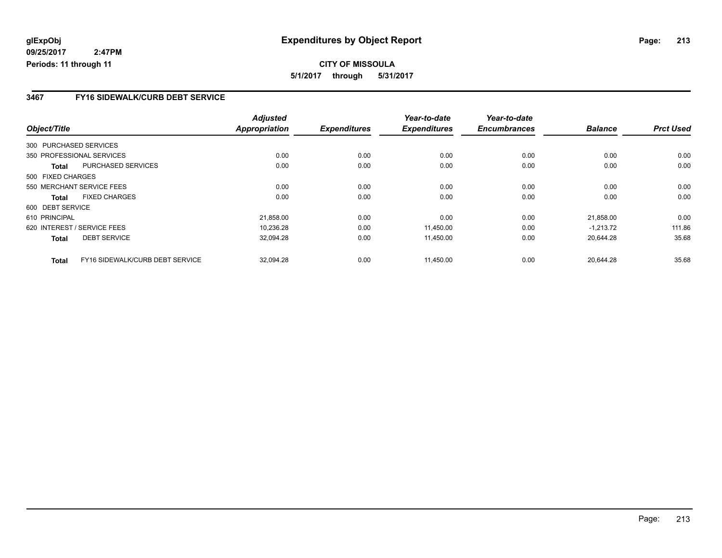#### **3467 FY16 SIDEWALK/CURB DEBT SERVICE**

|                   |                                 | <b>Adjusted</b>      |                     | Year-to-date        | Year-to-date        |                |                  |
|-------------------|---------------------------------|----------------------|---------------------|---------------------|---------------------|----------------|------------------|
| Object/Title      |                                 | <b>Appropriation</b> | <b>Expenditures</b> | <b>Expenditures</b> | <b>Encumbrances</b> | <b>Balance</b> | <b>Prct Used</b> |
|                   | 300 PURCHASED SERVICES          |                      |                     |                     |                     |                |                  |
|                   | 350 PROFESSIONAL SERVICES       | 0.00                 | 0.00                | 0.00                | 0.00                | 0.00           | 0.00             |
| Total             | PURCHASED SERVICES              | 0.00                 | 0.00                | 0.00                | 0.00                | 0.00           | 0.00             |
| 500 FIXED CHARGES |                                 |                      |                     |                     |                     |                |                  |
|                   | 550 MERCHANT SERVICE FEES       | 0.00                 | 0.00                | 0.00                | 0.00                | 0.00           | 0.00             |
| Total             | <b>FIXED CHARGES</b>            | 0.00                 | 0.00                | 0.00                | 0.00                | 0.00           | 0.00             |
| 600 DEBT SERVICE  |                                 |                      |                     |                     |                     |                |                  |
| 610 PRINCIPAL     |                                 | 21,858.00            | 0.00                | 0.00                | 0.00                | 21,858.00      | 0.00             |
|                   | 620 INTEREST / SERVICE FEES     | 10.236.28            | 0.00                | 11,450.00           | 0.00                | $-1.213.72$    | 111.86           |
| <b>Total</b>      | <b>DEBT SERVICE</b>             | 32,094.28            | 0.00                | 11,450.00           | 0.00                | 20.644.28      | 35.68            |
| <b>Total</b>      | FY16 SIDEWALK/CURB DEBT SERVICE | 32.094.28            | 0.00                | 11.450.00           | 0.00                | 20.644.28      | 35.68            |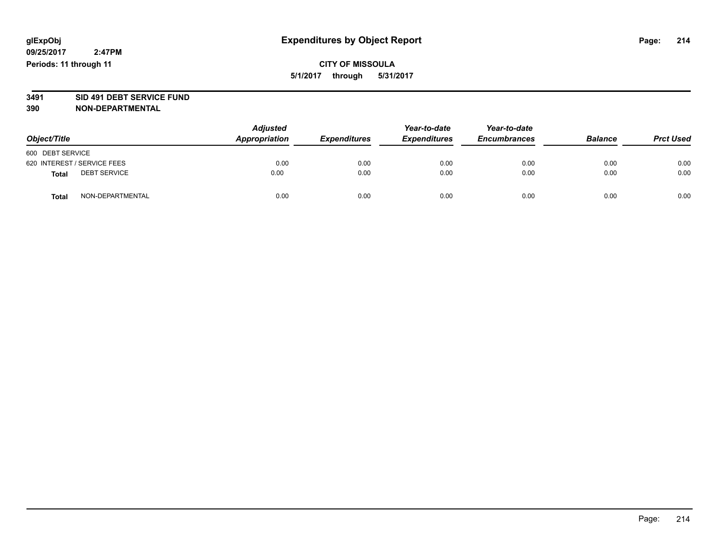## **CITY OF MISSOULA 5/1/2017 through 5/31/2017**

# **3491 SID 491 DEBT SERVICE FUND**

| Object/Title                |                     | <b>Adjusted</b><br>Appropriation | <b>Expenditures</b> | Year-to-date<br><b>Expenditures</b> | Year-to-date<br><b>Encumbrances</b> | <b>Balance</b> | <b>Prct Used</b> |
|-----------------------------|---------------------|----------------------------------|---------------------|-------------------------------------|-------------------------------------|----------------|------------------|
| 600 DEBT SERVICE            |                     |                                  |                     |                                     |                                     |                |                  |
| 620 INTEREST / SERVICE FEES |                     | 0.00                             | 0.00                | 0.00                                | 0.00                                | 0.00           | 0.00             |
| <b>Total</b>                | <b>DEBT SERVICE</b> | 0.00                             | 0.00                | 0.00                                | 0.00                                | 0.00           | 0.00             |
| <b>Total</b>                | NON-DEPARTMENTAL    | 0.00                             | 0.00                | 0.00                                | 0.00                                | 0.00           | 0.00             |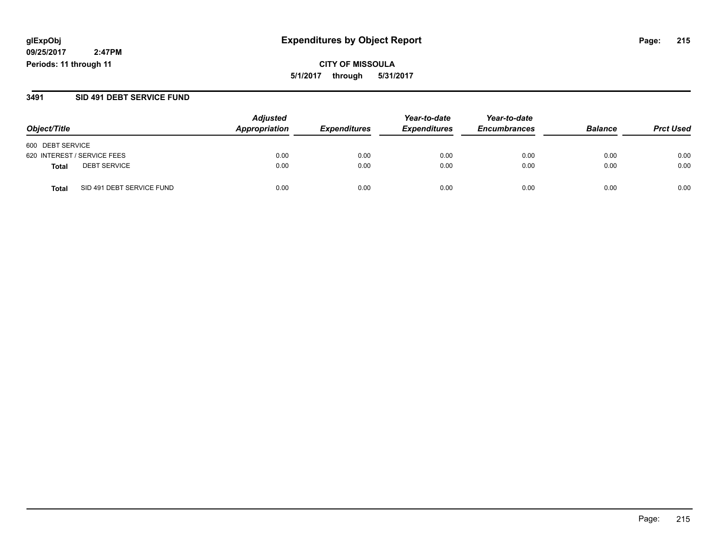**CITY OF MISSOULA 5/1/2017 through 5/31/2017**

#### **3491 SID 491 DEBT SERVICE FUND**

|                                           | <b>Adjusted</b> | Year-to-date        | Year-to-date        |                     |                |                  |
|-------------------------------------------|-----------------|---------------------|---------------------|---------------------|----------------|------------------|
| Object/Title                              | Appropriation   | <b>Expenditures</b> | <b>Expenditures</b> | <b>Encumbrances</b> | <b>Balance</b> | <b>Prct Used</b> |
| 600 DEBT SERVICE                          |                 |                     |                     |                     |                |                  |
| 620 INTEREST / SERVICE FEES               | 0.00            | 0.00                | 0.00                | 0.00                | 0.00           | 0.00             |
| <b>DEBT SERVICE</b><br><b>Total</b>       | 0.00            | 0.00                | 0.00                | 0.00                | 0.00           | 0.00             |
| SID 491 DEBT SERVICE FUND<br><b>Total</b> | 0.00            | 0.00                | 0.00                | 0.00                | 0.00           | 0.00             |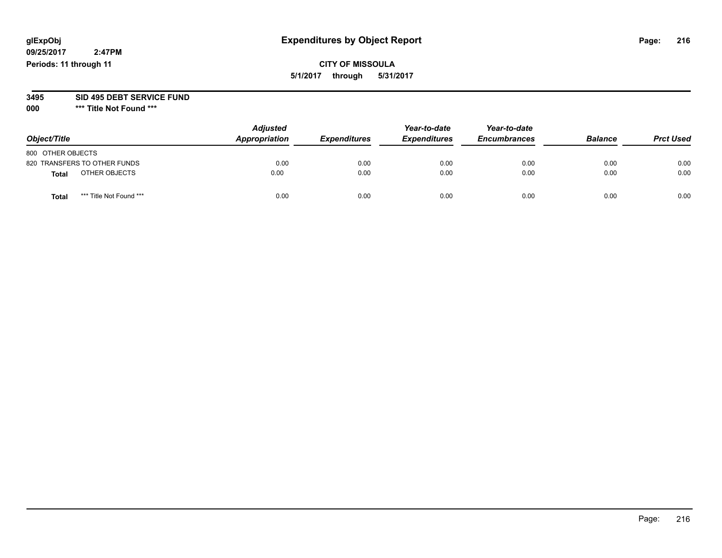## **glExpObj Expenditures by Object Report Page: 216**

**09/25/2017 2:47PM Periods: 11 through 11**

### **CITY OF MISSOULA 5/1/2017 through 5/31/2017**

# **3495 SID 495 DEBT SERVICE FUND**

**000 \*\*\* Title Not Found \*\*\***

| Object/Title      |                              | <b>Adjusted</b><br>Appropriation | <b>Expenditures</b> | Year-to-date<br><b>Expenditures</b> | Year-to-date<br><b>Encumbrances</b> | <b>Balance</b> | <b>Prct Used</b> |
|-------------------|------------------------------|----------------------------------|---------------------|-------------------------------------|-------------------------------------|----------------|------------------|
| 800 OTHER OBJECTS |                              |                                  |                     |                                     |                                     |                |                  |
|                   | 820 TRANSFERS TO OTHER FUNDS | 0.00                             | 0.00                | 0.00                                | 0.00                                | 0.00           | 0.00             |
| <b>Total</b>      | OTHER OBJECTS                | 0.00                             | 0.00                | 0.00                                | 0.00                                | 0.00           | 0.00             |
| <b>Total</b>      | *** Title Not Found ***      | 0.00                             | 0.00                | 0.00                                | 0.00                                | 0.00           | 0.00             |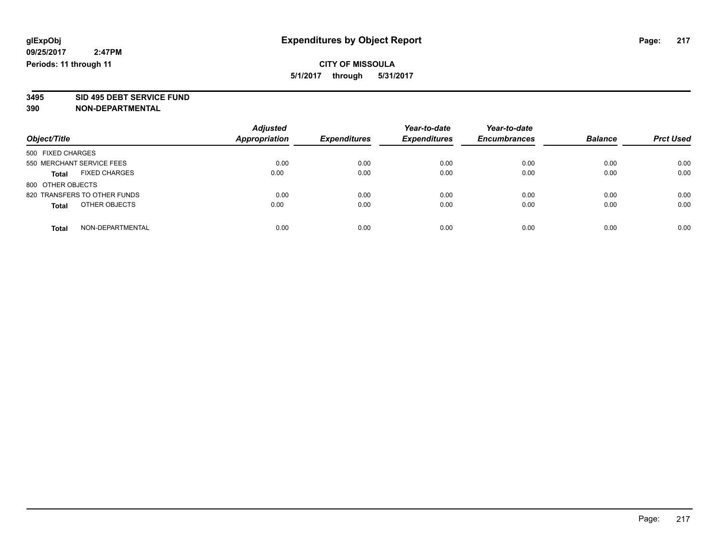**3495 SID 495 DEBT SERVICE FUND**

| Object/Title                         | <b>Adjusted</b><br>Appropriation | <b>Expenditures</b> | Year-to-date<br><b>Expenditures</b> | Year-to-date<br><b>Encumbrances</b> | <b>Balance</b> | <b>Prct Used</b> |
|--------------------------------------|----------------------------------|---------------------|-------------------------------------|-------------------------------------|----------------|------------------|
| 500 FIXED CHARGES                    |                                  |                     |                                     |                                     |                |                  |
| 550 MERCHANT SERVICE FEES            | 0.00                             | 0.00                | 0.00                                | 0.00                                | 0.00           | 0.00             |
| <b>FIXED CHARGES</b><br><b>Total</b> | 0.00                             | 0.00                | 0.00                                | 0.00                                | 0.00           | 0.00             |
| 800 OTHER OBJECTS                    |                                  |                     |                                     |                                     |                |                  |
| 820 TRANSFERS TO OTHER FUNDS         | 0.00                             | 0.00                | 0.00                                | 0.00                                | 0.00           | 0.00             |
| OTHER OBJECTS<br><b>Total</b>        | 0.00                             | 0.00                | 0.00                                | 0.00                                | 0.00           | 0.00             |
| NON-DEPARTMENTAL<br><b>Total</b>     | 0.00                             | 0.00                | 0.00                                | 0.00                                | 0.00           | 0.00             |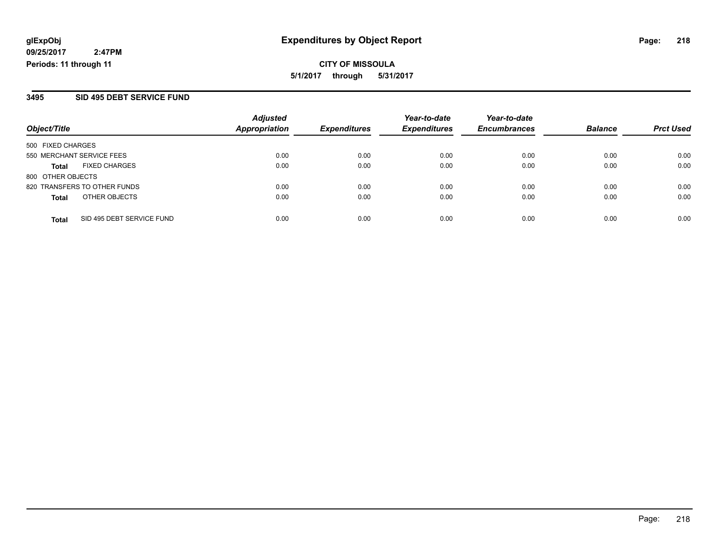### **3495 SID 495 DEBT SERVICE FUND**

| Object/Title              |                              | <b>Adjusted</b>      | <b>Expenditures</b> | Year-to-date<br><b>Expenditures</b> | Year-to-date        | <b>Balance</b> |                  |
|---------------------------|------------------------------|----------------------|---------------------|-------------------------------------|---------------------|----------------|------------------|
|                           |                              | <b>Appropriation</b> |                     |                                     | <b>Encumbrances</b> |                | <b>Prct Used</b> |
| 500 FIXED CHARGES         |                              |                      |                     |                                     |                     |                |                  |
| 550 MERCHANT SERVICE FEES |                              | 0.00                 | 0.00                | 0.00                                | 0.00                | 0.00           | 0.00             |
| Total                     | <b>FIXED CHARGES</b>         | 0.00                 | 0.00                | 0.00                                | 0.00                | 0.00           | 0.00             |
| 800 OTHER OBJECTS         |                              |                      |                     |                                     |                     |                |                  |
|                           | 820 TRANSFERS TO OTHER FUNDS | 0.00                 | 0.00                | 0.00                                | 0.00                | 0.00           | 0.00             |
| <b>Total</b>              | OTHER OBJECTS                | 0.00                 | 0.00                | 0.00                                | 0.00                | 0.00           | 0.00             |
| <b>Total</b>              | SID 495 DEBT SERVICE FUND    | 0.00                 | 0.00                | 0.00                                | 0.00                | 0.00           | 0.00             |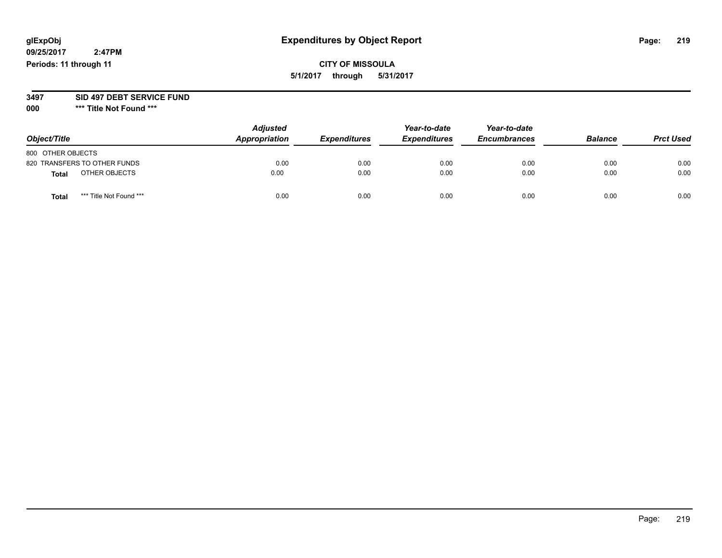**09/25/2017 2:47PM Periods: 11 through 11**

# **CITY OF MISSOULA 5/1/2017 through 5/31/2017**

### **3497 SID 497 DEBT SERVICE FUND**

| Object/Title      |                              | <b>Adjusted</b><br>Appropriation | <b>Expenditures</b> | Year-to-date<br><b>Expenditures</b> | Year-to-date<br><b>Encumbrances</b> | <b>Balance</b> | <b>Prct Used</b> |
|-------------------|------------------------------|----------------------------------|---------------------|-------------------------------------|-------------------------------------|----------------|------------------|
| 800 OTHER OBJECTS |                              |                                  |                     |                                     |                                     |                |                  |
|                   | 820 TRANSFERS TO OTHER FUNDS | 0.00                             | 0.00                | 0.00                                | 0.00                                | 0.00           | 0.00             |
| <b>Total</b>      | OTHER OBJECTS                | 0.00                             | 0.00                | 0.00                                | 0.00                                | 0.00           | 0.00             |
| <b>Total</b>      | *** Title Not Found ***      | 0.00                             | 0.00                | 0.00                                | 0.00                                | 0.00           | 0.00             |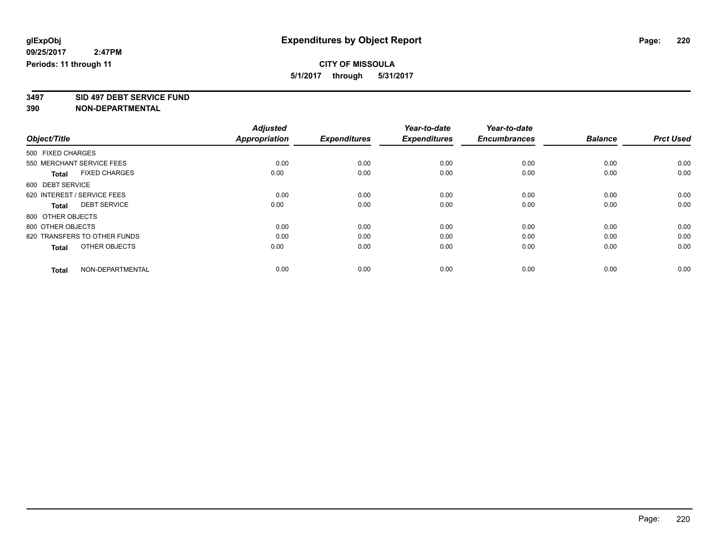**3497 SID 497 DEBT SERVICE FUND**

|                                      | <b>Adjusted</b>      |                     | Year-to-date        | Year-to-date        |                |                  |
|--------------------------------------|----------------------|---------------------|---------------------|---------------------|----------------|------------------|
| Object/Title                         | <b>Appropriation</b> | <b>Expenditures</b> | <b>Expenditures</b> | <b>Encumbrances</b> | <b>Balance</b> | <b>Prct Used</b> |
| 500 FIXED CHARGES                    |                      |                     |                     |                     |                |                  |
| 550 MERCHANT SERVICE FEES            | 0.00                 | 0.00                | 0.00                | 0.00                | 0.00           | 0.00             |
| <b>FIXED CHARGES</b><br><b>Total</b> | 0.00                 | 0.00                | 0.00                | 0.00                | 0.00           | 0.00             |
| 600 DEBT SERVICE                     |                      |                     |                     |                     |                |                  |
| 620 INTEREST / SERVICE FEES          | 0.00                 | 0.00                | 0.00                | 0.00                | 0.00           | 0.00             |
| <b>DEBT SERVICE</b><br><b>Total</b>  | 0.00                 | 0.00                | 0.00                | 0.00                | 0.00           | 0.00             |
| 800 OTHER OBJECTS                    |                      |                     |                     |                     |                |                  |
| 800 OTHER OBJECTS                    | 0.00                 | 0.00                | 0.00                | 0.00                | 0.00           | 0.00             |
| 820 TRANSFERS TO OTHER FUNDS         | 0.00                 | 0.00                | 0.00                | 0.00                | 0.00           | 0.00             |
| OTHER OBJECTS<br><b>Total</b>        | 0.00                 | 0.00                | 0.00                | 0.00                | 0.00           | 0.00             |
|                                      |                      |                     |                     |                     |                |                  |
| NON-DEPARTMENTAL<br><b>Total</b>     | 0.00                 | 0.00                | 0.00                | 0.00                | 0.00           | 0.00             |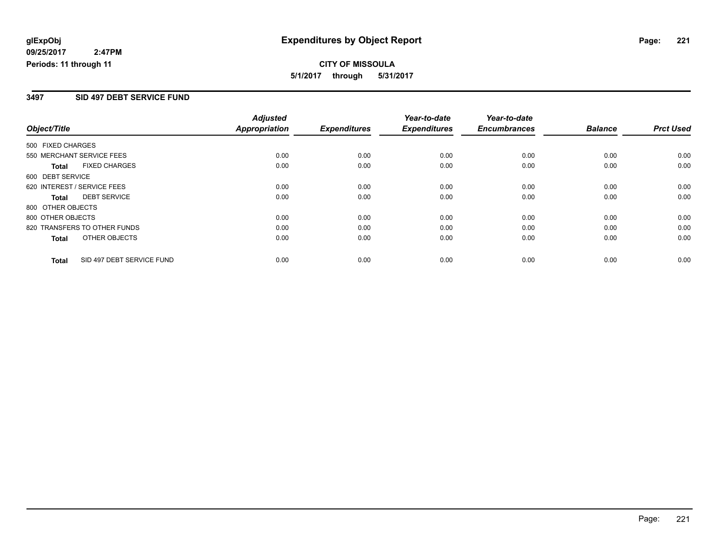**CITY OF MISSOULA 5/1/2017 through 5/31/2017**

### **3497 SID 497 DEBT SERVICE FUND**

|                                           | <b>Adjusted</b>      |                     | Year-to-date        | Year-to-date        |                |                  |
|-------------------------------------------|----------------------|---------------------|---------------------|---------------------|----------------|------------------|
| Object/Title                              | <b>Appropriation</b> | <b>Expenditures</b> | <b>Expenditures</b> | <b>Encumbrances</b> | <b>Balance</b> | <b>Prct Used</b> |
| 500 FIXED CHARGES                         |                      |                     |                     |                     |                |                  |
| 550 MERCHANT SERVICE FEES                 | 0.00                 | 0.00                | 0.00                | 0.00                | 0.00           | 0.00             |
| <b>FIXED CHARGES</b><br><b>Total</b>      | 0.00                 | 0.00                | 0.00                | 0.00                | 0.00           | 0.00             |
| 600 DEBT SERVICE                          |                      |                     |                     |                     |                |                  |
| 620 INTEREST / SERVICE FEES               | 0.00                 | 0.00                | 0.00                | 0.00                | 0.00           | 0.00             |
| <b>DEBT SERVICE</b><br><b>Total</b>       | 0.00                 | 0.00                | 0.00                | 0.00                | 0.00           | 0.00             |
| 800 OTHER OBJECTS                         |                      |                     |                     |                     |                |                  |
| 800 OTHER OBJECTS                         | 0.00                 | 0.00                | 0.00                | 0.00                | 0.00           | 0.00             |
| 820 TRANSFERS TO OTHER FUNDS              | 0.00                 | 0.00                | 0.00                | 0.00                | 0.00           | 0.00             |
| OTHER OBJECTS<br><b>Total</b>             | 0.00                 | 0.00                | 0.00                | 0.00                | 0.00           | 0.00             |
| SID 497 DEBT SERVICE FUND<br><b>Total</b> | 0.00                 | 0.00                | 0.00                | 0.00                | 0.00           | 0.00             |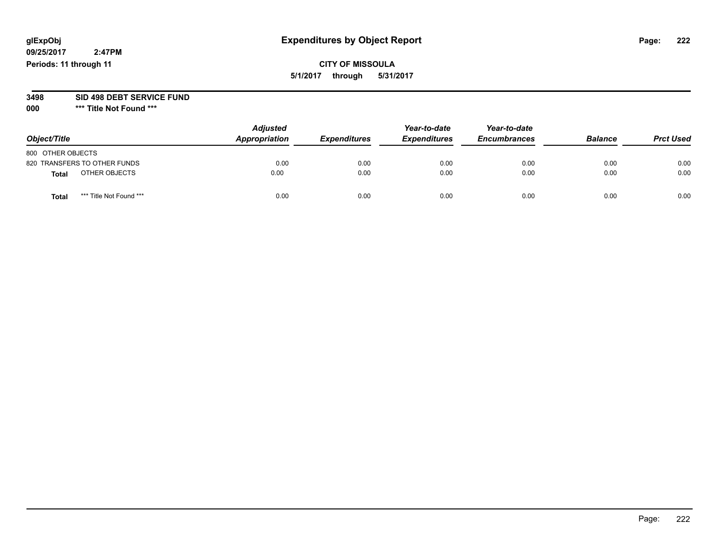**09/25/2017 2:47PM Periods: 11 through 11**

# **CITY OF MISSOULA 5/1/2017 through 5/31/2017**

# **3498 SID 498 DEBT SERVICE FUND**

| Object/Title                     | <b>Adjusted</b><br>Appropriation | <b>Expenditures</b> | Year-to-date<br><b>Expenditures</b> | Year-to-date<br><b>Encumbrances</b> | <b>Balance</b> | <b>Prct Used</b> |
|----------------------------------|----------------------------------|---------------------|-------------------------------------|-------------------------------------|----------------|------------------|
| 800 OTHER OBJECTS                |                                  |                     |                                     |                                     |                |                  |
| 820 TRANSFERS TO OTHER FUNDS     | 0.00                             | 0.00                | 0.00                                | 0.00                                | 0.00           | 0.00             |
| OTHER OBJECTS<br><b>Total</b>    | 0.00                             | 0.00                | 0.00                                | 0.00                                | 0.00           | 0.00             |
| *** Title Not Found ***<br>Total | 0.00                             | 0.00                | 0.00                                | 0.00                                | 0.00           | 0.00             |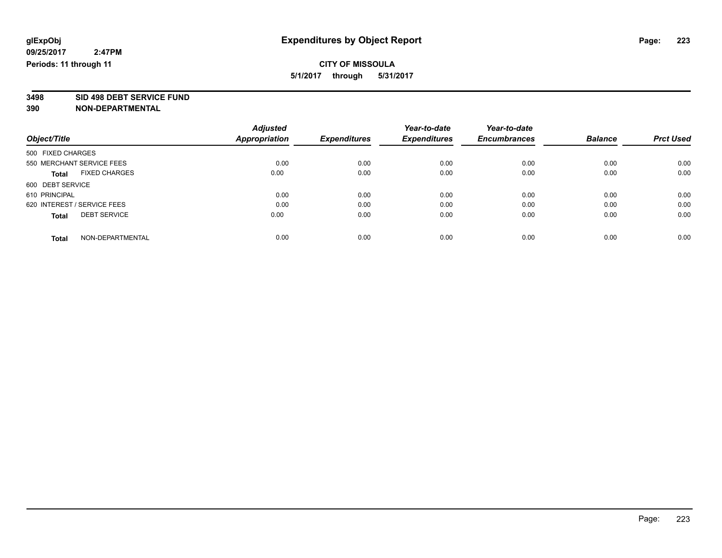**3498 SID 498 DEBT SERVICE FUND**

|                                      | <b>Adjusted</b> | <b>Expenditures</b> | Year-to-date        | Year-to-date        |                | <b>Prct Used</b> |
|--------------------------------------|-----------------|---------------------|---------------------|---------------------|----------------|------------------|
| Object/Title                         | Appropriation   |                     | <b>Expenditures</b> | <b>Encumbrances</b> | <b>Balance</b> |                  |
| 500 FIXED CHARGES                    |                 |                     |                     |                     |                |                  |
| 550 MERCHANT SERVICE FEES            | 0.00            | 0.00                | 0.00                | 0.00                | 0.00           | 0.00             |
| <b>FIXED CHARGES</b><br><b>Total</b> | 0.00            | 0.00                | 0.00                | 0.00                | 0.00           | 0.00             |
| 600 DEBT SERVICE                     |                 |                     |                     |                     |                |                  |
| 610 PRINCIPAL                        | 0.00            | 0.00                | 0.00                | 0.00                | 0.00           | 0.00             |
| 620 INTEREST / SERVICE FEES          | 0.00            | 0.00                | 0.00                | 0.00                | 0.00           | 0.00             |
| <b>DEBT SERVICE</b><br><b>Total</b>  | 0.00            | 0.00                | 0.00                | 0.00                | 0.00           | 0.00             |
| NON-DEPARTMENTAL<br><b>Total</b>     | 0.00            | 0.00                | 0.00                | 0.00                | 0.00           | 0.00             |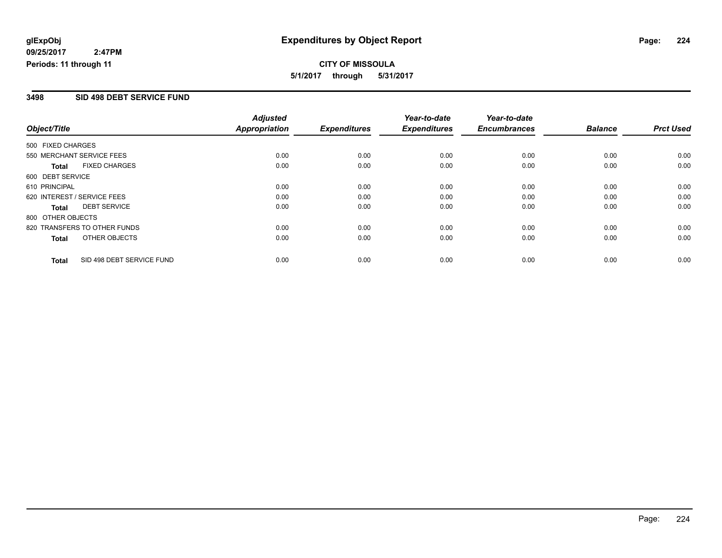**CITY OF MISSOULA 5/1/2017 through 5/31/2017**

### **3498 SID 498 DEBT SERVICE FUND**

|                             |                              | <b>Adjusted</b>      |                     | Year-to-date        | Year-to-date        |                |                  |
|-----------------------------|------------------------------|----------------------|---------------------|---------------------|---------------------|----------------|------------------|
| Object/Title                |                              | <b>Appropriation</b> | <b>Expenditures</b> | <b>Expenditures</b> | <b>Encumbrances</b> | <b>Balance</b> | <b>Prct Used</b> |
| 500 FIXED CHARGES           |                              |                      |                     |                     |                     |                |                  |
| 550 MERCHANT SERVICE FEES   |                              | 0.00                 | 0.00                | 0.00                | 0.00                | 0.00           | 0.00             |
| <b>Total</b>                | <b>FIXED CHARGES</b>         | 0.00                 | 0.00                | 0.00                | 0.00                | 0.00           | 0.00             |
| 600 DEBT SERVICE            |                              |                      |                     |                     |                     |                |                  |
| 610 PRINCIPAL               |                              | 0.00                 | 0.00                | 0.00                | 0.00                | 0.00           | 0.00             |
| 620 INTEREST / SERVICE FEES |                              | 0.00                 | 0.00                | 0.00                | 0.00                | 0.00           | 0.00             |
| Total                       | <b>DEBT SERVICE</b>          | 0.00                 | 0.00                | 0.00                | 0.00                | 0.00           | 0.00             |
| 800 OTHER OBJECTS           |                              |                      |                     |                     |                     |                |                  |
|                             | 820 TRANSFERS TO OTHER FUNDS | 0.00                 | 0.00                | 0.00                | 0.00                | 0.00           | 0.00             |
| Total                       | OTHER OBJECTS                | 0.00                 | 0.00                | 0.00                | 0.00                | 0.00           | 0.00             |
| <b>Total</b>                | SID 498 DEBT SERVICE FUND    | 0.00                 | 0.00                | 0.00                | 0.00                | 0.00           | 0.00             |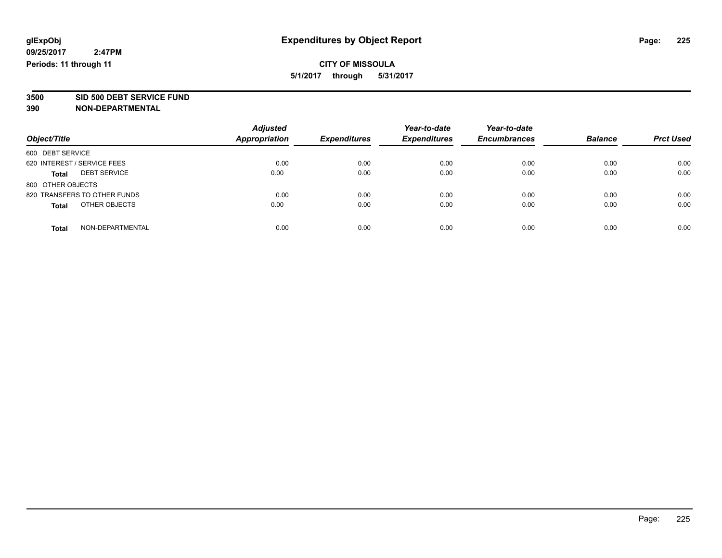**3500 SID 500 DEBT SERVICE FUND**

| Object/Title                        | <b>Adjusted</b><br><b>Appropriation</b> | <b>Expenditures</b> | Year-to-date<br><b>Expenditures</b> | Year-to-date<br><b>Encumbrances</b> | <b>Balance</b> | <b>Prct Used</b> |
|-------------------------------------|-----------------------------------------|---------------------|-------------------------------------|-------------------------------------|----------------|------------------|
| 600 DEBT SERVICE                    |                                         |                     |                                     |                                     |                |                  |
| 620 INTEREST / SERVICE FEES         | 0.00                                    | 0.00                | 0.00                                | 0.00                                | 0.00           | 0.00             |
| <b>DEBT SERVICE</b><br><b>Total</b> | 0.00                                    | 0.00                | 0.00                                | 0.00                                | 0.00           | 0.00             |
| 800 OTHER OBJECTS                   |                                         |                     |                                     |                                     |                |                  |
| 820 TRANSFERS TO OTHER FUNDS        | 0.00                                    | 0.00                | 0.00                                | 0.00                                | 0.00           | 0.00             |
| OTHER OBJECTS<br><b>Total</b>       | 0.00                                    | 0.00                | 0.00                                | 0.00                                | 0.00           | 0.00             |
| NON-DEPARTMENTAL<br>Total           | 0.00                                    | 0.00                | 0.00                                | 0.00                                | 0.00           | 0.00             |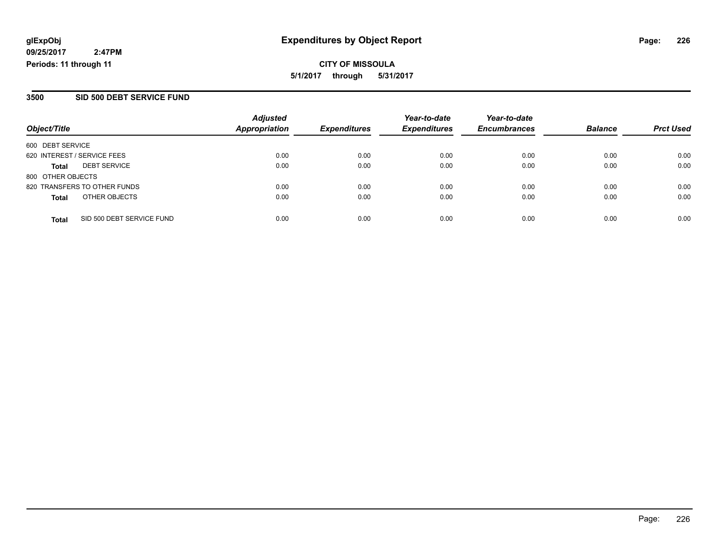### **3500 SID 500 DEBT SERVICE FUND**

| Object/Title                |                              | <b>Adjusted</b><br><b>Appropriation</b> | <b>Expenditures</b> | Year-to-date<br><b>Expenditures</b> | Year-to-date        | <b>Balance</b> |                  |
|-----------------------------|------------------------------|-----------------------------------------|---------------------|-------------------------------------|---------------------|----------------|------------------|
|                             |                              |                                         |                     |                                     | <b>Encumbrances</b> |                | <b>Prct Used</b> |
| 600 DEBT SERVICE            |                              |                                         |                     |                                     |                     |                |                  |
| 620 INTEREST / SERVICE FEES |                              | 0.00                                    | 0.00                | 0.00                                | 0.00                | 0.00           | 0.00             |
| Total                       | <b>DEBT SERVICE</b>          | 0.00                                    | 0.00                | 0.00                                | 0.00                | 0.00           | 0.00             |
| 800 OTHER OBJECTS           |                              |                                         |                     |                                     |                     |                |                  |
|                             | 820 TRANSFERS TO OTHER FUNDS | 0.00                                    | 0.00                | 0.00                                | 0.00                | 0.00           | 0.00             |
| <b>Total</b>                | OTHER OBJECTS                | 0.00                                    | 0.00                | 0.00                                | 0.00                | 0.00           | 0.00             |
| <b>Total</b>                | SID 500 DEBT SERVICE FUND    | 0.00                                    | 0.00                | 0.00                                | 0.00                | 0.00           | 0.00             |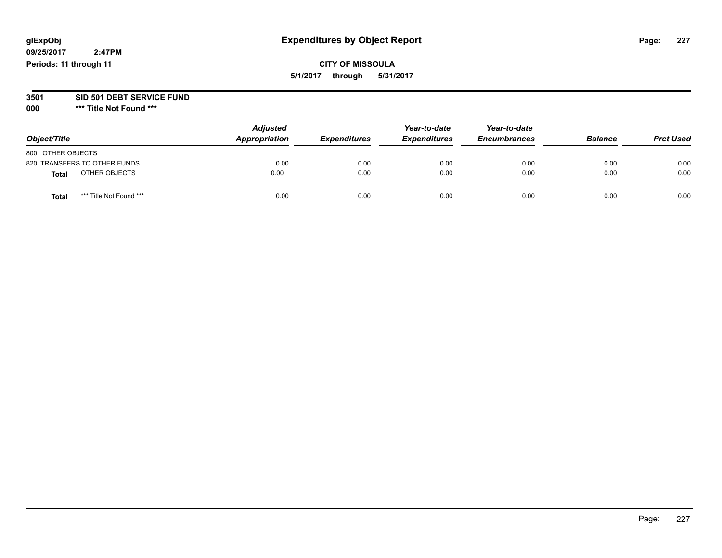**09/25/2017 2:47PM Periods: 11 through 11**

# **CITY OF MISSOULA 5/1/2017 through 5/31/2017**

### **3501 SID 501 DEBT SERVICE FUND**

| Object/Title                    | <b>Adjusted</b><br>Appropriation | <b>Expenditures</b> | Year-to-date<br><b>Expenditures</b> | Year-to-date<br><b>Encumbrances</b> | <b>Balance</b> | <b>Prct Used</b> |
|---------------------------------|----------------------------------|---------------------|-------------------------------------|-------------------------------------|----------------|------------------|
| 800 OTHER OBJECTS               |                                  |                     |                                     |                                     |                |                  |
| 820 TRANSFERS TO OTHER FUNDS    | 0.00                             | 0.00                | 0.00                                | 0.00                                | 0.00           | 0.00             |
| OTHER OBJECTS<br><b>Total</b>   | 0.00                             | 0.00                | 0.00                                | 0.00                                | 0.00           | 0.00             |
| *** Title Not Found ***<br>Tota | 0.00                             | 0.00                | 0.00                                | 0.00                                | 0.00           | 0.00             |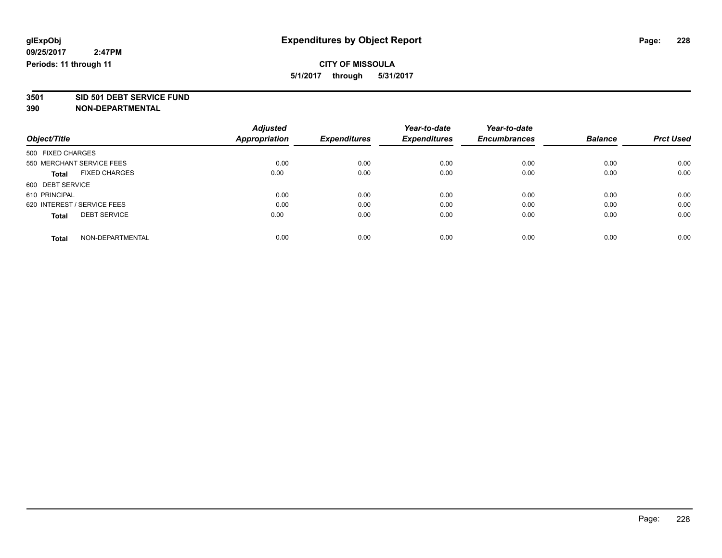**3501 SID 501 DEBT SERVICE FUND**

|                                      | <b>Adjusted</b>      |                     | Year-to-date        | Year-to-date        |                |                  |
|--------------------------------------|----------------------|---------------------|---------------------|---------------------|----------------|------------------|
| Object/Title                         | <b>Appropriation</b> | <b>Expenditures</b> | <b>Expenditures</b> | <b>Encumbrances</b> | <b>Balance</b> | <b>Prct Used</b> |
| 500 FIXED CHARGES                    |                      |                     |                     |                     |                |                  |
| 550 MERCHANT SERVICE FEES            | 0.00                 | 0.00                | 0.00                | 0.00                | 0.00           | 0.00             |
| <b>FIXED CHARGES</b><br><b>Total</b> | 0.00                 | 0.00                | 0.00                | 0.00                | 0.00           | 0.00             |
| 600 DEBT SERVICE                     |                      |                     |                     |                     |                |                  |
| 610 PRINCIPAL                        | 0.00                 | 0.00                | 0.00                | 0.00                | 0.00           | 0.00             |
| 620 INTEREST / SERVICE FEES          | 0.00                 | 0.00                | 0.00                | 0.00                | 0.00           | 0.00             |
| <b>DEBT SERVICE</b><br><b>Total</b>  | 0.00                 | 0.00                | 0.00                | 0.00                | 0.00           | 0.00             |
| NON-DEPARTMENTAL<br><b>Total</b>     | 0.00                 | 0.00                | 0.00                | 0.00                | 0.00           | 0.00             |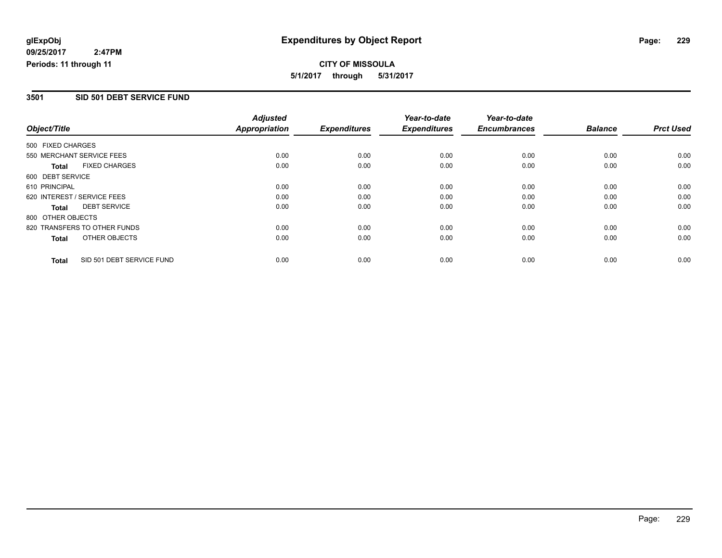**CITY OF MISSOULA 5/1/2017 through 5/31/2017**

### **3501 SID 501 DEBT SERVICE FUND**

|                   |                              | <b>Adjusted</b> |                     | Year-to-date        | Year-to-date        |                |                  |
|-------------------|------------------------------|-----------------|---------------------|---------------------|---------------------|----------------|------------------|
| Object/Title      |                              | Appropriation   | <b>Expenditures</b> | <b>Expenditures</b> | <b>Encumbrances</b> | <b>Balance</b> | <b>Prct Used</b> |
| 500 FIXED CHARGES |                              |                 |                     |                     |                     |                |                  |
|                   | 550 MERCHANT SERVICE FEES    | 0.00            | 0.00                | 0.00                | 0.00                | 0.00           | 0.00             |
| <b>Total</b>      | <b>FIXED CHARGES</b>         | 0.00            | 0.00                | 0.00                | 0.00                | 0.00           | 0.00             |
| 600 DEBT SERVICE  |                              |                 |                     |                     |                     |                |                  |
| 610 PRINCIPAL     |                              | 0.00            | 0.00                | 0.00                | 0.00                | 0.00           | 0.00             |
|                   | 620 INTEREST / SERVICE FEES  | 0.00            | 0.00                | 0.00                | 0.00                | 0.00           | 0.00             |
| Total             | <b>DEBT SERVICE</b>          | 0.00            | 0.00                | 0.00                | 0.00                | 0.00           | 0.00             |
| 800 OTHER OBJECTS |                              |                 |                     |                     |                     |                |                  |
|                   | 820 TRANSFERS TO OTHER FUNDS | 0.00            | 0.00                | 0.00                | 0.00                | 0.00           | 0.00             |
| <b>Total</b>      | OTHER OBJECTS                | 0.00            | 0.00                | 0.00                | 0.00                | 0.00           | 0.00             |
| <b>Total</b>      | SID 501 DEBT SERVICE FUND    | 0.00            | 0.00                | 0.00                | 0.00                | 0.00           | 0.00             |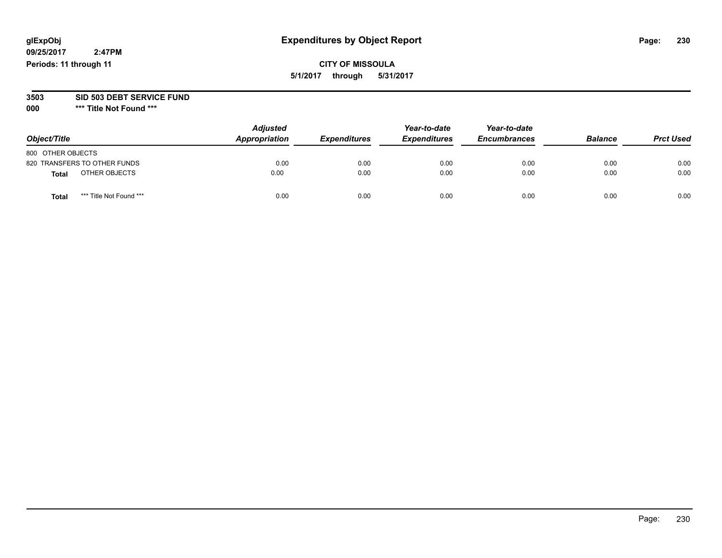# **CITY OF MISSOULA 5/1/2017 through 5/31/2017**

### **3503 SID 503 DEBT SERVICE FUND**

| Object/Title                     | <b>Adjusted</b><br>Appropriation | <b>Expenditures</b> | Year-to-date<br><b>Expenditures</b> | Year-to-date<br><b>Encumbrances</b> | <b>Balance</b> | <b>Prct Used</b> |
|----------------------------------|----------------------------------|---------------------|-------------------------------------|-------------------------------------|----------------|------------------|
| 800 OTHER OBJECTS                |                                  |                     |                                     |                                     |                |                  |
| 820 TRANSFERS TO OTHER FUNDS     | 0.00                             | 0.00                | 0.00                                | 0.00                                | 0.00           | 0.00             |
| OTHER OBJECTS<br><b>Total</b>    | 0.00                             | 0.00                | 0.00                                | 0.00                                | 0.00           | 0.00             |
| *** Title Not Found ***<br>Total | 0.00                             | 0.00                | 0.00                                | 0.00                                | 0.00           | 0.00             |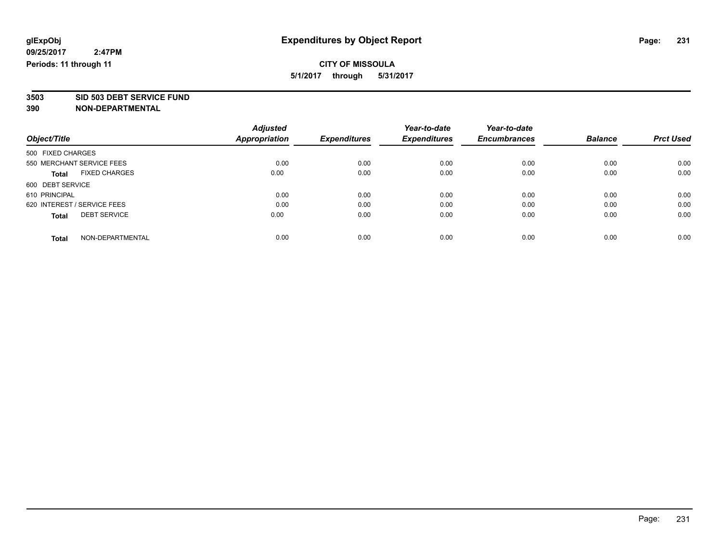**3503 SID 503 DEBT SERVICE FUND**

|                                      | <b>Adjusted</b>      |                     | Year-to-date        | Year-to-date        |                |                  |
|--------------------------------------|----------------------|---------------------|---------------------|---------------------|----------------|------------------|
| Object/Title                         | <b>Appropriation</b> | <b>Expenditures</b> | <b>Expenditures</b> | <b>Encumbrances</b> | <b>Balance</b> | <b>Prct Used</b> |
| 500 FIXED CHARGES                    |                      |                     |                     |                     |                |                  |
| 550 MERCHANT SERVICE FEES            | 0.00                 | 0.00                | 0.00                | 0.00                | 0.00           | 0.00             |
| <b>FIXED CHARGES</b><br><b>Total</b> | 0.00                 | 0.00                | 0.00                | 0.00                | 0.00           | 0.00             |
| 600 DEBT SERVICE                     |                      |                     |                     |                     |                |                  |
| 610 PRINCIPAL                        | 0.00                 | 0.00                | 0.00                | 0.00                | 0.00           | 0.00             |
| 620 INTEREST / SERVICE FEES          | 0.00                 | 0.00                | 0.00                | 0.00                | 0.00           | 0.00             |
| <b>DEBT SERVICE</b><br><b>Total</b>  | 0.00                 | 0.00                | 0.00                | 0.00                | 0.00           | 0.00             |
| NON-DEPARTMENTAL<br><b>Total</b>     | 0.00                 | 0.00                | 0.00                | 0.00                | 0.00           | 0.00             |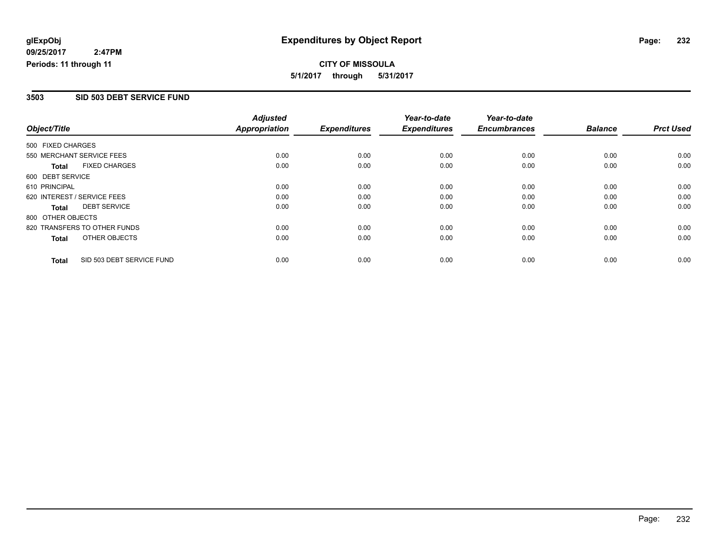**CITY OF MISSOULA 5/1/2017 through 5/31/2017**

### **3503 SID 503 DEBT SERVICE FUND**

|                   |                              | <b>Adjusted</b> |                     | Year-to-date        | Year-to-date        |                |                  |
|-------------------|------------------------------|-----------------|---------------------|---------------------|---------------------|----------------|------------------|
| Object/Title      |                              | Appropriation   | <b>Expenditures</b> | <b>Expenditures</b> | <b>Encumbrances</b> | <b>Balance</b> | <b>Prct Used</b> |
| 500 FIXED CHARGES |                              |                 |                     |                     |                     |                |                  |
|                   | 550 MERCHANT SERVICE FEES    | 0.00            | 0.00                | 0.00                | 0.00                | 0.00           | 0.00             |
| Total             | <b>FIXED CHARGES</b>         | 0.00            | 0.00                | 0.00                | 0.00                | 0.00           | 0.00             |
| 600 DEBT SERVICE  |                              |                 |                     |                     |                     |                |                  |
| 610 PRINCIPAL     |                              | 0.00            | 0.00                | 0.00                | 0.00                | 0.00           | 0.00             |
|                   | 620 INTEREST / SERVICE FEES  | 0.00            | 0.00                | 0.00                | 0.00                | 0.00           | 0.00             |
| Total             | <b>DEBT SERVICE</b>          | 0.00            | 0.00                | 0.00                | 0.00                | 0.00           | 0.00             |
| 800 OTHER OBJECTS |                              |                 |                     |                     |                     |                |                  |
|                   | 820 TRANSFERS TO OTHER FUNDS | 0.00            | 0.00                | 0.00                | 0.00                | 0.00           | 0.00             |
| Total             | OTHER OBJECTS                | 0.00            | 0.00                | 0.00                | 0.00                | 0.00           | 0.00             |
| <b>Total</b>      | SID 503 DEBT SERVICE FUND    | 0.00            | 0.00                | 0.00                | 0.00                | 0.00           | 0.00             |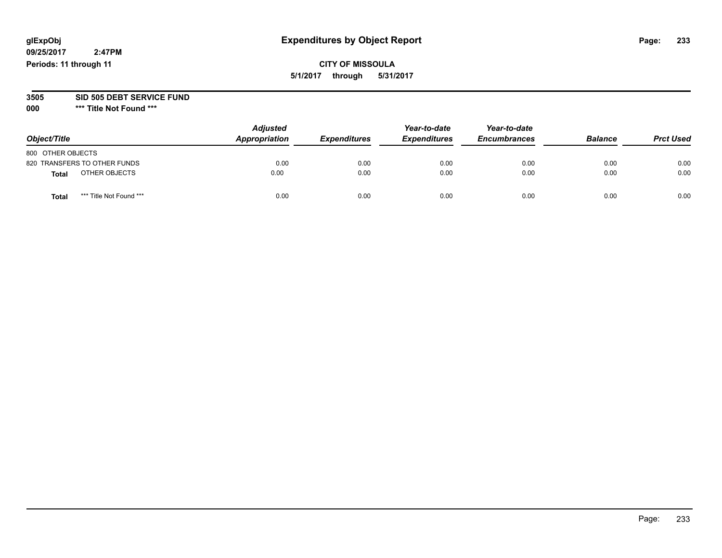# **CITY OF MISSOULA 5/1/2017 through 5/31/2017**

### **3505 SID 505 DEBT SERVICE FUND**

| Object/Title                     | <b>Adjusted</b><br>Appropriation | <b>Expenditures</b> | Year-to-date<br><b>Expenditures</b> | Year-to-date<br><b>Encumbrances</b> | <b>Balance</b> | <b>Prct Used</b> |
|----------------------------------|----------------------------------|---------------------|-------------------------------------|-------------------------------------|----------------|------------------|
| 800 OTHER OBJECTS                |                                  |                     |                                     |                                     |                |                  |
| 820 TRANSFERS TO OTHER FUNDS     | 0.00                             | 0.00                | 0.00                                | 0.00                                | 0.00           | 0.00             |
| OTHER OBJECTS<br><b>Total</b>    | 0.00                             | 0.00                | 0.00                                | 0.00                                | 0.00           | 0.00             |
| *** Title Not Found ***<br>Total | 0.00                             | 0.00                | 0.00                                | 0.00                                | 0.00           | 0.00             |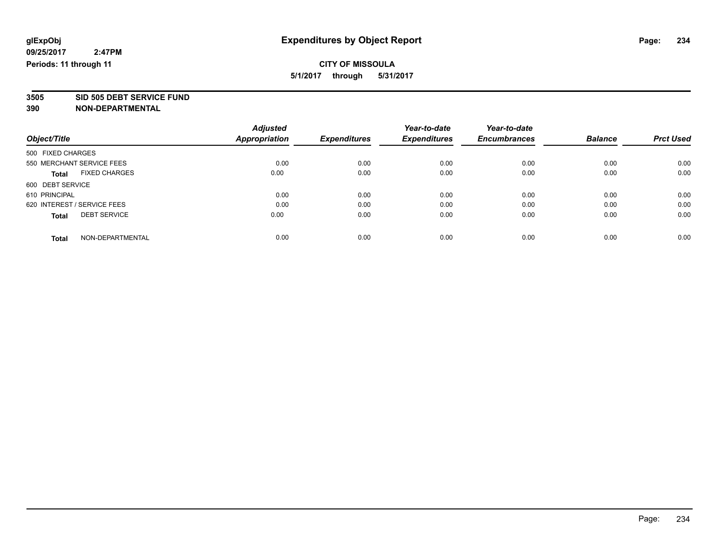**3505 SID 505 DEBT SERVICE FUND**

|                                      | <b>Adjusted</b>      |                     | Year-to-date        | Year-to-date        |                |                  |
|--------------------------------------|----------------------|---------------------|---------------------|---------------------|----------------|------------------|
| Object/Title                         | <b>Appropriation</b> | <b>Expenditures</b> | <b>Expenditures</b> | <b>Encumbrances</b> | <b>Balance</b> | <b>Prct Used</b> |
| 500 FIXED CHARGES                    |                      |                     |                     |                     |                |                  |
| 550 MERCHANT SERVICE FEES            | 0.00                 | 0.00                | 0.00                | 0.00                | 0.00           | 0.00             |
| <b>FIXED CHARGES</b><br><b>Total</b> | 0.00                 | 0.00                | 0.00                | 0.00                | 0.00           | 0.00             |
| 600 DEBT SERVICE                     |                      |                     |                     |                     |                |                  |
| 610 PRINCIPAL                        | 0.00                 | 0.00                | 0.00                | 0.00                | 0.00           | 0.00             |
| 620 INTEREST / SERVICE FEES          | 0.00                 | 0.00                | 0.00                | 0.00                | 0.00           | 0.00             |
| <b>DEBT SERVICE</b><br><b>Total</b>  | 0.00                 | 0.00                | 0.00                | 0.00                | 0.00           | 0.00             |
| NON-DEPARTMENTAL<br><b>Total</b>     | 0.00                 | 0.00                | 0.00                | 0.00                | 0.00           | 0.00             |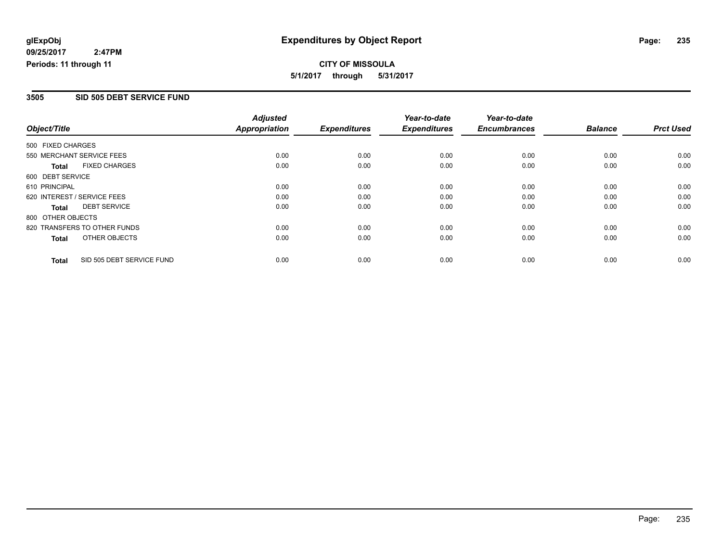**CITY OF MISSOULA 5/1/2017 through 5/31/2017**

### **3505 SID 505 DEBT SERVICE FUND**

|                                      |                           | <b>Adjusted</b>      |                     | Year-to-date        | Year-to-date        |                |                  |
|--------------------------------------|---------------------------|----------------------|---------------------|---------------------|---------------------|----------------|------------------|
| Object/Title                         |                           | <b>Appropriation</b> | <b>Expenditures</b> | <b>Expenditures</b> | <b>Encumbrances</b> | <b>Balance</b> | <b>Prct Used</b> |
| 500 FIXED CHARGES                    |                           |                      |                     |                     |                     |                |                  |
| 550 MERCHANT SERVICE FEES            |                           | 0.00                 | 0.00                | 0.00                | 0.00                | 0.00           | 0.00             |
| <b>FIXED CHARGES</b><br><b>Total</b> |                           | 0.00                 | 0.00                | 0.00                | 0.00                | 0.00           | 0.00             |
| 600 DEBT SERVICE                     |                           |                      |                     |                     |                     |                |                  |
| 610 PRINCIPAL                        |                           | 0.00                 | 0.00                | 0.00                | 0.00                | 0.00           | 0.00             |
| 620 INTEREST / SERVICE FEES          |                           | 0.00                 | 0.00                | 0.00                | 0.00                | 0.00           | 0.00             |
| <b>DEBT SERVICE</b><br>Total         |                           | 0.00                 | 0.00                | 0.00                | 0.00                | 0.00           | 0.00             |
| 800 OTHER OBJECTS                    |                           |                      |                     |                     |                     |                |                  |
| 820 TRANSFERS TO OTHER FUNDS         |                           | 0.00                 | 0.00                | 0.00                | 0.00                | 0.00           | 0.00             |
| OTHER OBJECTS<br><b>Total</b>        |                           | 0.00                 | 0.00                | 0.00                | 0.00                | 0.00           | 0.00             |
| <b>Total</b>                         | SID 505 DEBT SERVICE FUND | 0.00                 | 0.00                | 0.00                | 0.00                | 0.00           | 0.00             |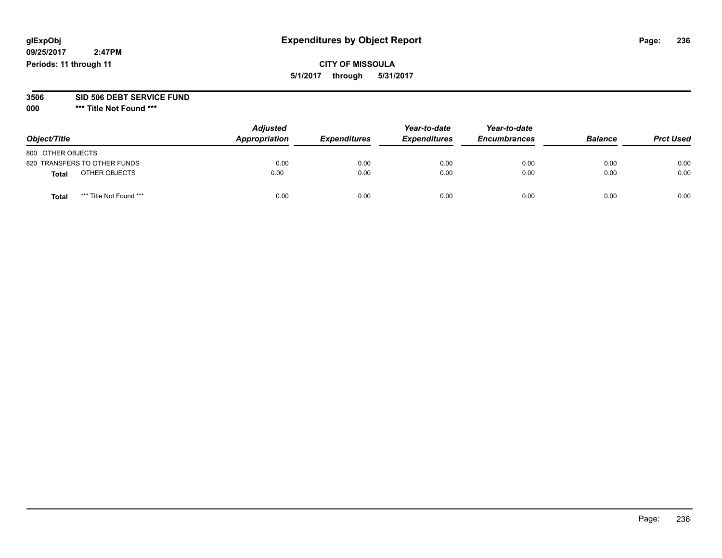**09/25/2017 2:47PM Periods: 11 through 11**

**5/1/2017 through 5/31/2017**

# **3506 SID 506 DEBT SERVICE FUND**

| Object/Title                     | <b>Adjusted</b><br>Appropriation | <b>Expenditures</b> | Year-to-date<br><b>Expenditures</b> | Year-to-date<br><b>Encumbrances</b> | <b>Balance</b> | <b>Prct Used</b> |
|----------------------------------|----------------------------------|---------------------|-------------------------------------|-------------------------------------|----------------|------------------|
| 800 OTHER OBJECTS                |                                  |                     |                                     |                                     |                |                  |
| 820 TRANSFERS TO OTHER FUNDS     | 0.00                             | 0.00                | 0.00                                | 0.00                                | 0.00           | 0.00             |
| OTHER OBJECTS<br>Total           | 0.00                             | 0.00                | 0.00                                | 0.00                                | 0.00           | 0.00             |
| *** Title Not Found ***<br>Total | 0.00                             | 0.00                | 0.00                                | 0.00                                | 0.00           | 0.00             |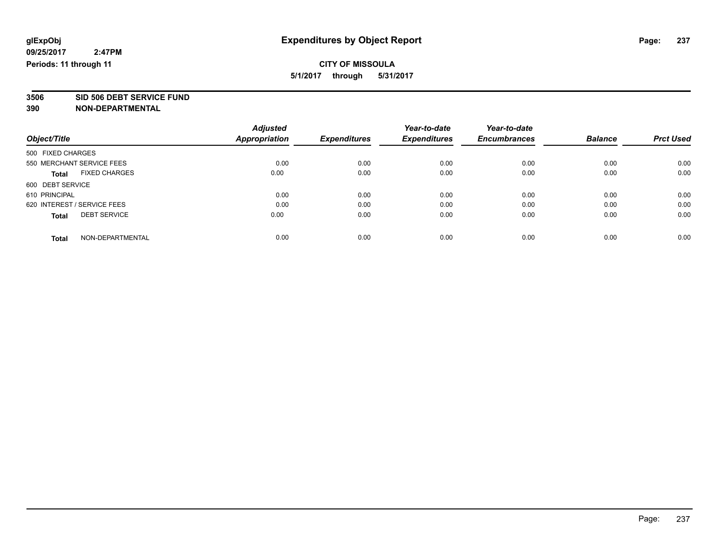**3506 SID 506 DEBT SERVICE FUND**

|                                      | <b>Adjusted</b>      |                     | Year-to-date        | Year-to-date        |                |                  |
|--------------------------------------|----------------------|---------------------|---------------------|---------------------|----------------|------------------|
| Object/Title                         | <b>Appropriation</b> | <b>Expenditures</b> | <b>Expenditures</b> | <b>Encumbrances</b> | <b>Balance</b> | <b>Prct Used</b> |
| 500 FIXED CHARGES                    |                      |                     |                     |                     |                |                  |
| 550 MERCHANT SERVICE FEES            | 0.00                 | 0.00                | 0.00                | 0.00                | 0.00           | 0.00             |
| <b>FIXED CHARGES</b><br><b>Total</b> | 0.00                 | 0.00                | 0.00                | 0.00                | 0.00           | 0.00             |
| 600 DEBT SERVICE                     |                      |                     |                     |                     |                |                  |
| 610 PRINCIPAL                        | 0.00                 | 0.00                | 0.00                | 0.00                | 0.00           | 0.00             |
| 620 INTEREST / SERVICE FEES          | 0.00                 | 0.00                | 0.00                | 0.00                | 0.00           | 0.00             |
| <b>DEBT SERVICE</b><br><b>Total</b>  | 0.00                 | 0.00                | 0.00                | 0.00                | 0.00           | 0.00             |
| NON-DEPARTMENTAL<br><b>Total</b>     | 0.00                 | 0.00                | 0.00                | 0.00                | 0.00           | 0.00             |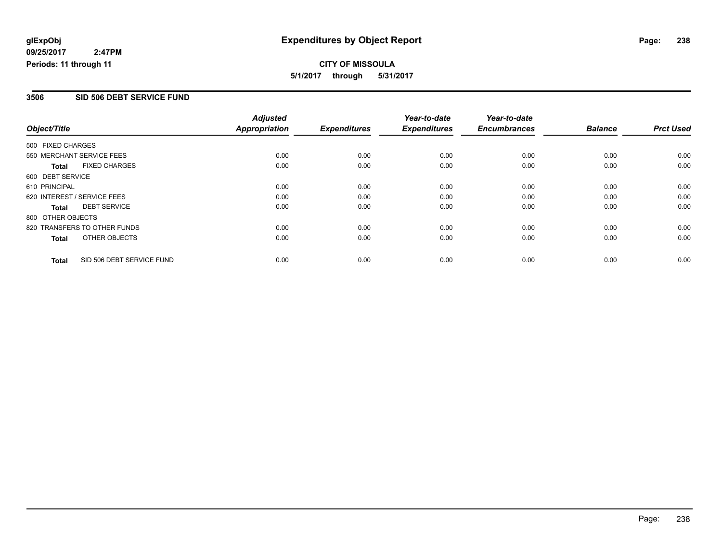**CITY OF MISSOULA 5/1/2017 through 5/31/2017**

### **3506 SID 506 DEBT SERVICE FUND**

|                   |                              | <b>Adjusted</b> |                     | Year-to-date        | Year-to-date        |                |                  |
|-------------------|------------------------------|-----------------|---------------------|---------------------|---------------------|----------------|------------------|
| Object/Title      |                              | Appropriation   | <b>Expenditures</b> | <b>Expenditures</b> | <b>Encumbrances</b> | <b>Balance</b> | <b>Prct Used</b> |
| 500 FIXED CHARGES |                              |                 |                     |                     |                     |                |                  |
|                   | 550 MERCHANT SERVICE FEES    | 0.00            | 0.00                | 0.00                | 0.00                | 0.00           | 0.00             |
| Total             | <b>FIXED CHARGES</b>         | 0.00            | 0.00                | 0.00                | 0.00                | 0.00           | 0.00             |
| 600 DEBT SERVICE  |                              |                 |                     |                     |                     |                |                  |
| 610 PRINCIPAL     |                              | 0.00            | 0.00                | 0.00                | 0.00                | 0.00           | 0.00             |
|                   | 620 INTEREST / SERVICE FEES  | 0.00            | 0.00                | 0.00                | 0.00                | 0.00           | 0.00             |
| Total             | <b>DEBT SERVICE</b>          | 0.00            | 0.00                | 0.00                | 0.00                | 0.00           | 0.00             |
| 800 OTHER OBJECTS |                              |                 |                     |                     |                     |                |                  |
|                   | 820 TRANSFERS TO OTHER FUNDS | 0.00            | 0.00                | 0.00                | 0.00                | 0.00           | 0.00             |
| Total             | OTHER OBJECTS                | 0.00            | 0.00                | 0.00                | 0.00                | 0.00           | 0.00             |
| <b>Total</b>      | SID 506 DEBT SERVICE FUND    | 0.00            | 0.00                | 0.00                | 0.00                | 0.00           | 0.00             |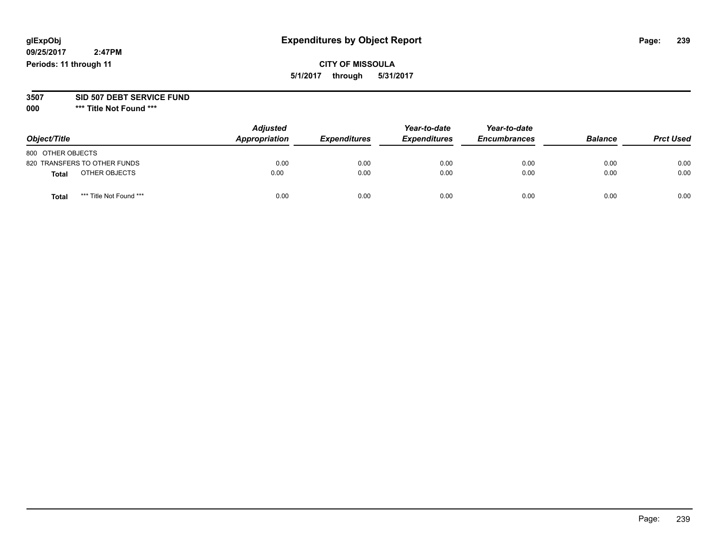**09/25/2017 2:47PM Periods: 11 through 11**

**CITY OF MISSOULA 5/1/2017 through 5/31/2017**

**3507 SID 507 DEBT SERVICE FUND**

| Object/Title                     | <b>Adjusted</b><br>Appropriation | <b>Expenditures</b> | Year-to-date<br><b>Expenditures</b> | Year-to-date<br><b>Encumbrances</b> | <b>Balance</b> | <b>Prct Used</b> |
|----------------------------------|----------------------------------|---------------------|-------------------------------------|-------------------------------------|----------------|------------------|
| 800 OTHER OBJECTS                |                                  |                     |                                     |                                     |                |                  |
| 820 TRANSFERS TO OTHER FUNDS     | 0.00                             | 0.00                | 0.00                                | 0.00                                | 0.00           | 0.00             |
| OTHER OBJECTS<br>Total           | 0.00                             | 0.00                | 0.00                                | 0.00                                | 0.00           | 0.00             |
| *** Title Not Found ***<br>Total | 0.00                             | 0.00                | 0.00                                | 0.00                                | 0.00           | 0.00             |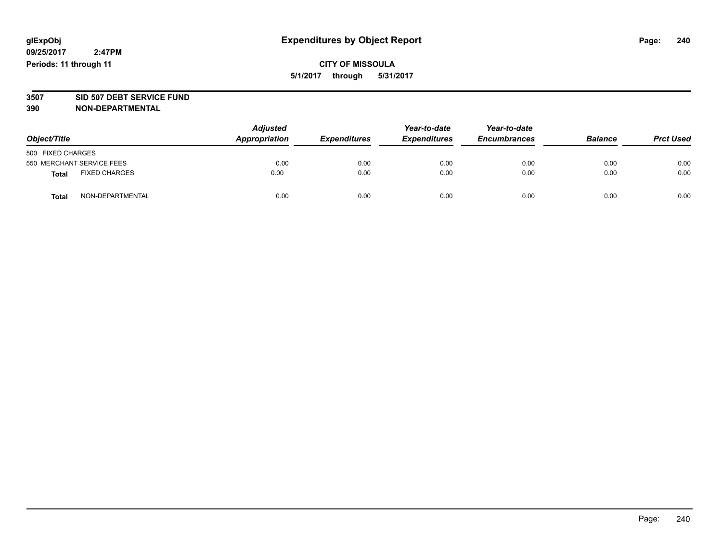# **CITY OF MISSOULA 5/1/2017 through 5/31/2017**

# **3507 SID 507 DEBT SERVICE FUND**

| Object/Title              |                      | <b>Adjusted</b><br>Appropriation<br><b>Expenditures</b> | Year-to-date<br><b>Expenditures</b> | Year-to-date<br><b>Encumbrances</b> | <b>Balance</b> | <b>Prct Used</b> |      |
|---------------------------|----------------------|---------------------------------------------------------|-------------------------------------|-------------------------------------|----------------|------------------|------|
| 500 FIXED CHARGES         |                      |                                                         |                                     |                                     |                |                  |      |
| 550 MERCHANT SERVICE FEES |                      | 0.00                                                    | 0.00                                | 0.00                                | 0.00           | 0.00             | 0.00 |
| <b>Total</b>              | <b>FIXED CHARGES</b> | 0.00                                                    | 0.00                                | 0.00                                | 0.00           | 0.00             | 0.00 |
| <b>Total</b>              | NON-DEPARTMENTAL     | 0.00                                                    | 0.00                                | 0.00                                | 0.00           | 0.00             | 0.00 |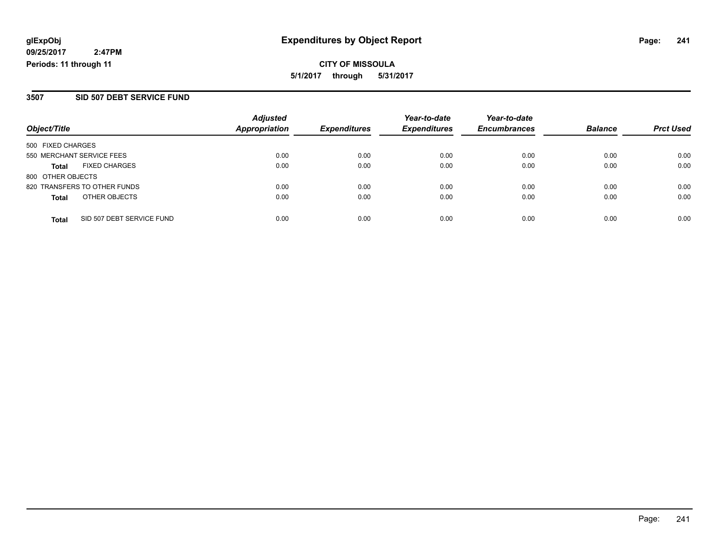### **3507 SID 507 DEBT SERVICE FUND**

| Object/Title              |                              | <b>Adjusted</b>      | <b>Expenditures</b> | Year-to-date<br><b>Expenditures</b> | Year-to-date<br><b>Encumbrances</b> | <b>Balance</b> |                  |
|---------------------------|------------------------------|----------------------|---------------------|-------------------------------------|-------------------------------------|----------------|------------------|
|                           |                              | <b>Appropriation</b> |                     |                                     |                                     |                | <b>Prct Used</b> |
| 500 FIXED CHARGES         |                              |                      |                     |                                     |                                     |                |                  |
| 550 MERCHANT SERVICE FEES |                              | 0.00                 | 0.00                | 0.00                                | 0.00                                | 0.00           | 0.00             |
| <b>Total</b>              | <b>FIXED CHARGES</b>         | 0.00                 | 0.00                | 0.00                                | 0.00                                | 0.00           | 0.00             |
| 800 OTHER OBJECTS         |                              |                      |                     |                                     |                                     |                |                  |
|                           | 820 TRANSFERS TO OTHER FUNDS | 0.00                 | 0.00                | 0.00                                | 0.00                                | 0.00           | 0.00             |
| <b>Total</b>              | OTHER OBJECTS                | 0.00                 | 0.00                | 0.00                                | 0.00                                | 0.00           | 0.00             |
| <b>Total</b>              | SID 507 DEBT SERVICE FUND    | 0.00                 | 0.00                | 0.00                                | 0.00                                | 0.00           | 0.00             |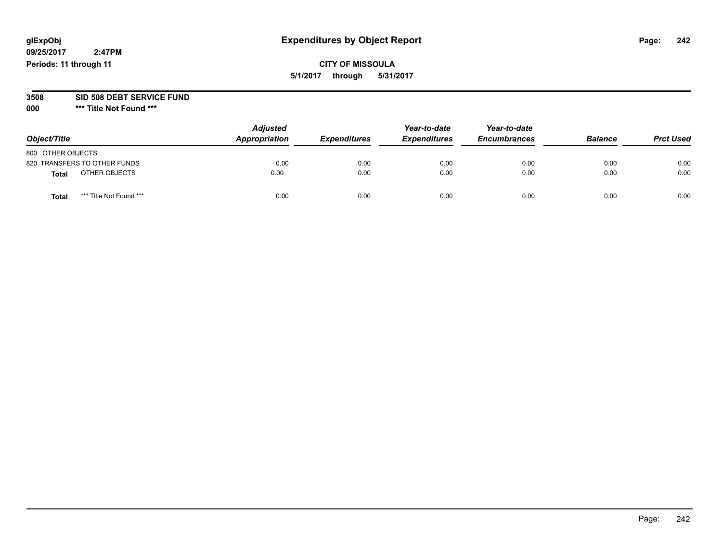**09/25/2017 2:47PM Periods: 11 through 11**

# **CITY OF MISSOULA 5/1/2017 through 5/31/2017**

### **3508 SID 508 DEBT SERVICE FUND**

| Object/Title                    | <b>Adjusted</b><br>Appropriation | <b>Expenditures</b> | Year-to-date<br><b>Expenditures</b> | Year-to-date<br><b>Encumbrances</b> | <b>Balance</b> | <b>Prct Used</b> |
|---------------------------------|----------------------------------|---------------------|-------------------------------------|-------------------------------------|----------------|------------------|
| 800 OTHER OBJECTS               |                                  |                     |                                     |                                     |                |                  |
| 820 TRANSFERS TO OTHER FUNDS    | 0.00                             | 0.00                | 0.00                                | 0.00                                | 0.00           | 0.00             |
| OTHER OBJECTS<br>Total          | 0.00                             | 0.00                | 0.00                                | 0.00                                | 0.00           | 0.00             |
| *** Title Not Found ***<br>Tota | 0.00                             | 0.00                | 0.00                                | 0.00                                | 0.00           | 0.00             |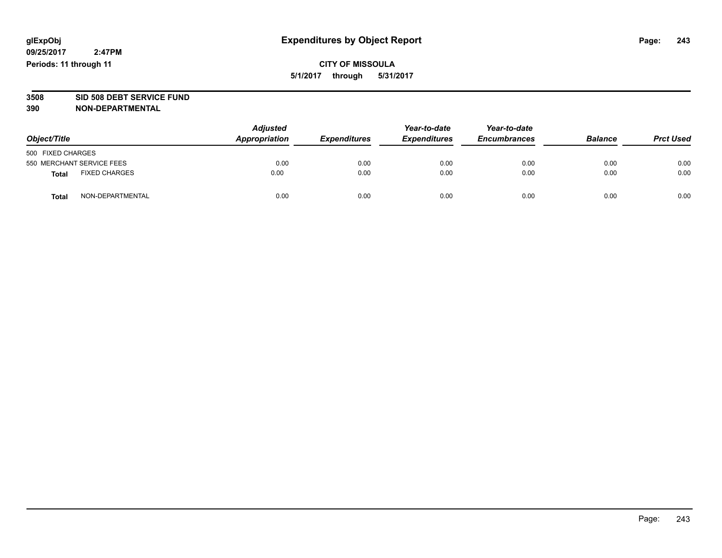**CITY OF MISSOULA 5/1/2017 through 5/31/2017**

# **3508 SID 508 DEBT SERVICE FUND**

| Object/Title                         | <b>Adjusted</b><br>Appropriation | <b>Expenditures</b> | Year-to-date<br><b>Expenditures</b> | Year-to-date<br><b>Encumbrances</b> | <b>Balance</b> | <b>Prct Used</b> |
|--------------------------------------|----------------------------------|---------------------|-------------------------------------|-------------------------------------|----------------|------------------|
| 500 FIXED CHARGES                    |                                  |                     |                                     |                                     |                |                  |
| 550 MERCHANT SERVICE FEES            | 0.00                             | 0.00                | 0.00                                | 0.00                                | 0.00           | 0.00             |
| <b>FIXED CHARGES</b><br><b>Total</b> | 0.00                             | 0.00                | 0.00                                | 0.00                                | 0.00           | 0.00             |
| NON-DEPARTMENTAL<br>Total            | 0.00                             | 0.00                | 0.00                                | 0.00                                | 0.00           | 0.00             |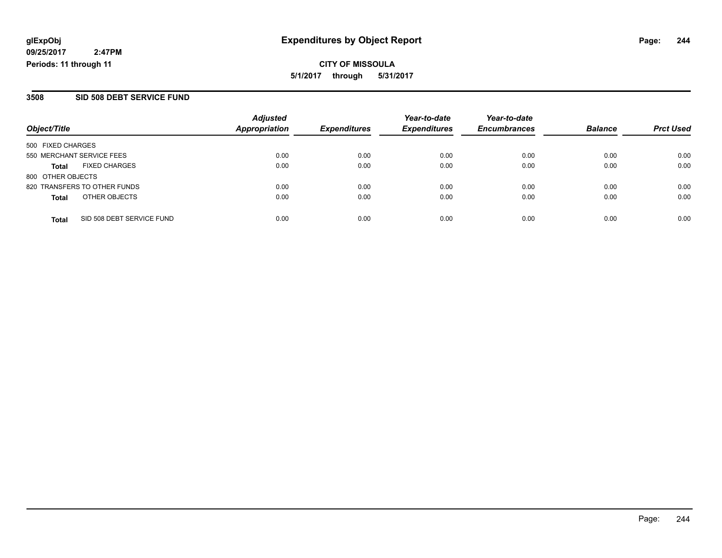### **3508 SID 508 DEBT SERVICE FUND**

|                           |                              | <b>Adjusted</b>      |                     | Year-to-date        | Year-to-date        |                |                  |
|---------------------------|------------------------------|----------------------|---------------------|---------------------|---------------------|----------------|------------------|
| Object/Title              |                              | <b>Appropriation</b> | <b>Expenditures</b> | <b>Expenditures</b> | <b>Encumbrances</b> | <b>Balance</b> | <b>Prct Used</b> |
| 500 FIXED CHARGES         |                              |                      |                     |                     |                     |                |                  |
| 550 MERCHANT SERVICE FEES |                              | 0.00                 | 0.00                | 0.00                | 0.00                | 0.00           | 0.00             |
| Total                     | <b>FIXED CHARGES</b>         | 0.00                 | 0.00                | 0.00                | 0.00                | 0.00           | 0.00             |
| 800 OTHER OBJECTS         |                              |                      |                     |                     |                     |                |                  |
|                           | 820 TRANSFERS TO OTHER FUNDS | 0.00                 | 0.00                | 0.00                | 0.00                | 0.00           | 0.00             |
| <b>Total</b>              | OTHER OBJECTS                | 0.00                 | 0.00                | 0.00                | 0.00                | 0.00           | 0.00             |
| <b>Total</b>              | SID 508 DEBT SERVICE FUND    | 0.00                 | 0.00                | 0.00                | 0.00                | 0.00           | 0.00             |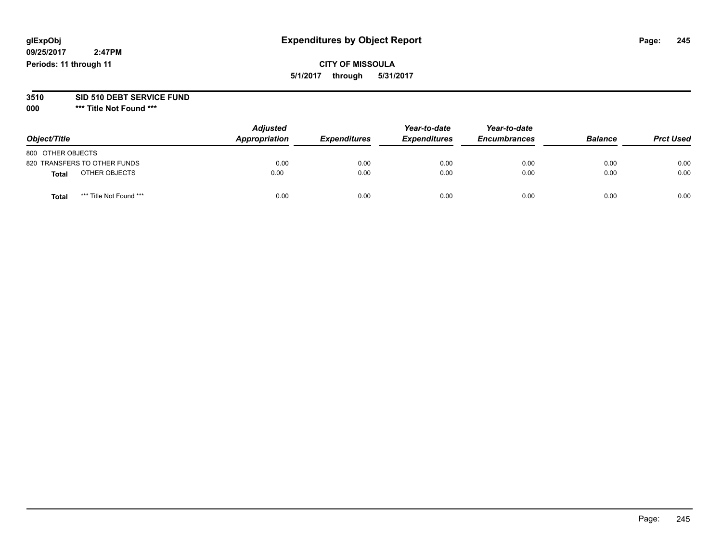**09/25/2017 2:47PM Periods: 11 through 11**

# **CITY OF MISSOULA 5/1/2017 through 5/31/2017**

# **3510 SID 510 DEBT SERVICE FUND**

| Object/Title      |                              | <b>Adjusted</b><br>Appropriation | <b>Expenditures</b> | Year-to-date<br><b>Expenditures</b> | Year-to-date<br><b>Encumbrances</b> | <b>Balance</b> | <b>Prct Used</b> |
|-------------------|------------------------------|----------------------------------|---------------------|-------------------------------------|-------------------------------------|----------------|------------------|
| 800 OTHER OBJECTS |                              |                                  |                     |                                     |                                     |                |                  |
|                   | 820 TRANSFERS TO OTHER FUNDS | 0.00                             | 0.00                | 0.00                                | 0.00                                | 0.00           | 0.00             |
| <b>Total</b>      | OTHER OBJECTS                | 0.00                             | 0.00                | 0.00                                | 0.00                                | 0.00           | 0.00             |
| <b>Total</b>      | *** Title Not Found ***      | 0.00                             | 0.00                | 0.00                                | 0.00                                | 0.00           | 0.00             |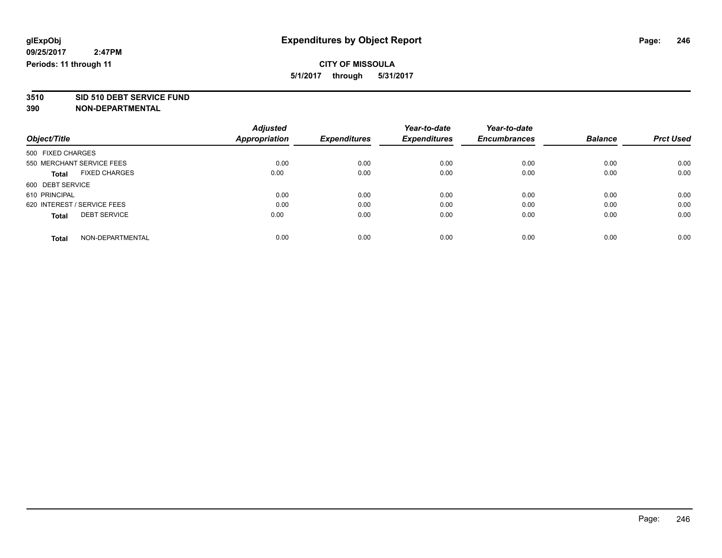**3510 SID 510 DEBT SERVICE FUND**

|                                      | <b>Adjusted</b>      |                     | Year-to-date        | Year-to-date        |                |                  |
|--------------------------------------|----------------------|---------------------|---------------------|---------------------|----------------|------------------|
| Object/Title                         | <b>Appropriation</b> | <b>Expenditures</b> | <b>Expenditures</b> | <b>Encumbrances</b> | <b>Balance</b> | <b>Prct Used</b> |
| 500 FIXED CHARGES                    |                      |                     |                     |                     |                |                  |
| 550 MERCHANT SERVICE FEES            | 0.00                 | 0.00                | 0.00                | 0.00                | 0.00           | 0.00             |
| <b>FIXED CHARGES</b><br><b>Total</b> | 0.00                 | 0.00                | 0.00                | 0.00                | 0.00           | 0.00             |
| 600 DEBT SERVICE                     |                      |                     |                     |                     |                |                  |
| 610 PRINCIPAL                        | 0.00                 | 0.00                | 0.00                | 0.00                | 0.00           | 0.00             |
| 620 INTEREST / SERVICE FEES          | 0.00                 | 0.00                | 0.00                | 0.00                | 0.00           | 0.00             |
| <b>DEBT SERVICE</b><br><b>Total</b>  | 0.00                 | 0.00                | 0.00                | 0.00                | 0.00           | 0.00             |
| NON-DEPARTMENTAL<br><b>Total</b>     | 0.00                 | 0.00                | 0.00                | 0.00                | 0.00           | 0.00             |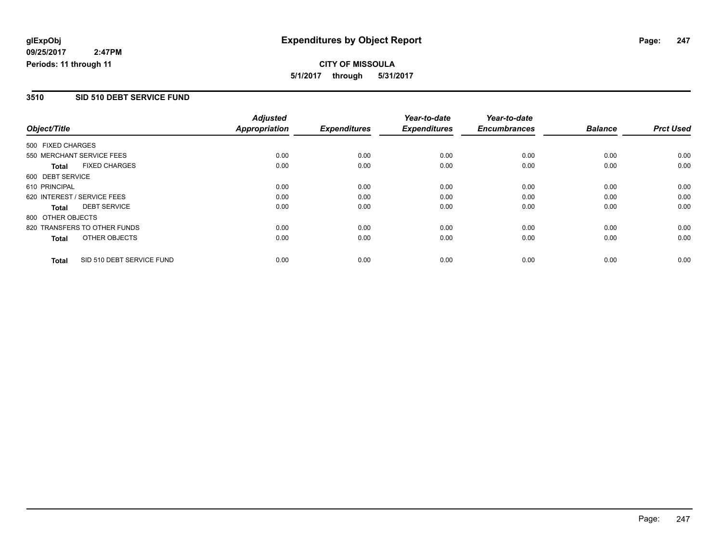**CITY OF MISSOULA 5/1/2017 through 5/31/2017**

### **3510 SID 510 DEBT SERVICE FUND**

|                   |                              | <b>Adjusted</b> |                     | Year-to-date        | Year-to-date        |                |                  |
|-------------------|------------------------------|-----------------|---------------------|---------------------|---------------------|----------------|------------------|
| Object/Title      |                              | Appropriation   | <b>Expenditures</b> | <b>Expenditures</b> | <b>Encumbrances</b> | <b>Balance</b> | <b>Prct Used</b> |
| 500 FIXED CHARGES |                              |                 |                     |                     |                     |                |                  |
|                   | 550 MERCHANT SERVICE FEES    | 0.00            | 0.00                | 0.00                | 0.00                | 0.00           | 0.00             |
| Total             | <b>FIXED CHARGES</b>         | 0.00            | 0.00                | 0.00                | 0.00                | 0.00           | 0.00             |
| 600 DEBT SERVICE  |                              |                 |                     |                     |                     |                |                  |
| 610 PRINCIPAL     |                              | 0.00            | 0.00                | 0.00                | 0.00                | 0.00           | 0.00             |
|                   | 620 INTEREST / SERVICE FEES  | 0.00            | 0.00                | 0.00                | 0.00                | 0.00           | 0.00             |
| Total             | <b>DEBT SERVICE</b>          | 0.00            | 0.00                | 0.00                | 0.00                | 0.00           | 0.00             |
| 800 OTHER OBJECTS |                              |                 |                     |                     |                     |                |                  |
|                   | 820 TRANSFERS TO OTHER FUNDS | 0.00            | 0.00                | 0.00                | 0.00                | 0.00           | 0.00             |
| Total             | OTHER OBJECTS                | 0.00            | 0.00                | 0.00                | 0.00                | 0.00           | 0.00             |
| <b>Total</b>      | SID 510 DEBT SERVICE FUND    | 0.00            | 0.00                | 0.00                | 0.00                | 0.00           | 0.00             |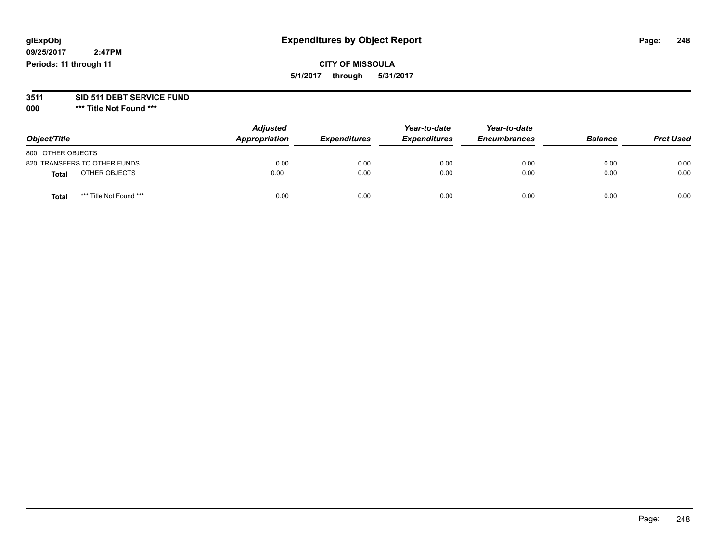**09/25/2017 2:47PM Periods: 11 through 11**

# **CITY OF MISSOULA 5/1/2017 through 5/31/2017**

# **3511 SID 511 DEBT SERVICE FUND**

| Object/Title                            | <b>Adjusted</b><br>Appropriation | <b>Expenditures</b> | Year-to-date<br><b>Expenditures</b> | Year-to-date<br><b>Encumbrances</b> | <b>Balance</b> | <b>Prct Used</b> |
|-----------------------------------------|----------------------------------|---------------------|-------------------------------------|-------------------------------------|----------------|------------------|
| 800 OTHER OBJECTS                       |                                  |                     |                                     |                                     |                |                  |
| 820 TRANSFERS TO OTHER FUNDS            | 0.00                             | 0.00                | 0.00                                | 0.00                                | 0.00           | 0.00             |
| OTHER OBJECTS<br><b>Total</b>           | 0.00                             | 0.00                | 0.00                                | 0.00                                | 0.00           | 0.00             |
| *** Title Not Found ***<br><b>Total</b> | 0.00                             | 0.00                | 0.00                                | 0.00                                | 0.00           | 0.00             |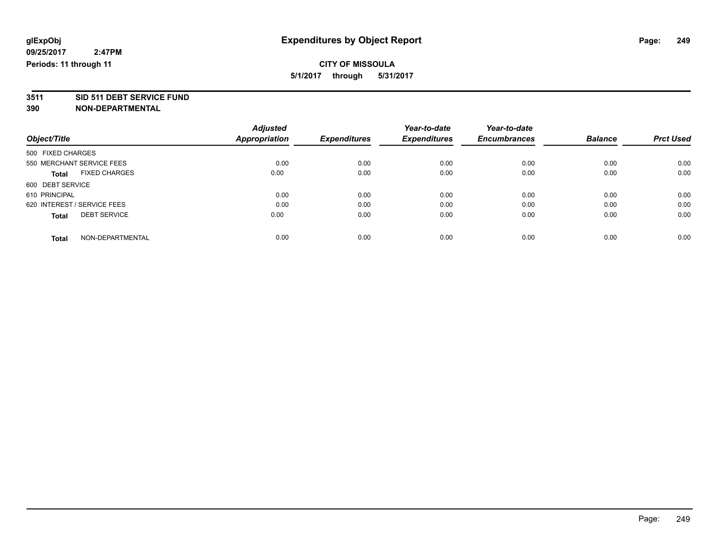**3511 SID 511 DEBT SERVICE FUND**

|                                      | <b>Adjusted</b>      |                     | Year-to-date        | Year-to-date        |                |                  |
|--------------------------------------|----------------------|---------------------|---------------------|---------------------|----------------|------------------|
| Object/Title                         | <b>Appropriation</b> | <b>Expenditures</b> | <b>Expenditures</b> | <b>Encumbrances</b> | <b>Balance</b> | <b>Prct Used</b> |
| 500 FIXED CHARGES                    |                      |                     |                     |                     |                |                  |
| 550 MERCHANT SERVICE FEES            | 0.00                 | 0.00                | 0.00                | 0.00                | 0.00           | 0.00             |
| <b>FIXED CHARGES</b><br><b>Total</b> | 0.00                 | 0.00                | 0.00                | 0.00                | 0.00           | 0.00             |
| 600 DEBT SERVICE                     |                      |                     |                     |                     |                |                  |
| 610 PRINCIPAL                        | 0.00                 | 0.00                | 0.00                | 0.00                | 0.00           | 0.00             |
| 620 INTEREST / SERVICE FEES          | 0.00                 | 0.00                | 0.00                | 0.00                | 0.00           | 0.00             |
| <b>DEBT SERVICE</b><br><b>Total</b>  | 0.00                 | 0.00                | 0.00                | 0.00                | 0.00           | 0.00             |
| NON-DEPARTMENTAL<br><b>Total</b>     | 0.00                 | 0.00                | 0.00                | 0.00                | 0.00           | 0.00             |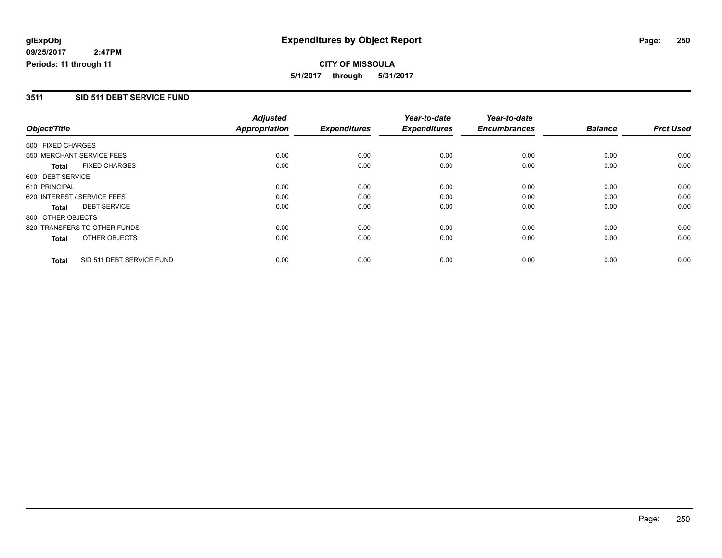**CITY OF MISSOULA 5/1/2017 through 5/31/2017**

### **3511 SID 511 DEBT SERVICE FUND**

|                             |                              | <b>Adjusted</b>      |                     | Year-to-date        | Year-to-date        |                |                  |
|-----------------------------|------------------------------|----------------------|---------------------|---------------------|---------------------|----------------|------------------|
| Object/Title                |                              | <b>Appropriation</b> | <b>Expenditures</b> | <b>Expenditures</b> | <b>Encumbrances</b> | <b>Balance</b> | <b>Prct Used</b> |
| 500 FIXED CHARGES           |                              |                      |                     |                     |                     |                |                  |
|                             | 550 MERCHANT SERVICE FEES    | 0.00                 | 0.00                | 0.00                | 0.00                | 0.00           | 0.00             |
| <b>Total</b>                | <b>FIXED CHARGES</b>         | 0.00                 | 0.00                | 0.00                | 0.00                | 0.00           | 0.00             |
| 600 DEBT SERVICE            |                              |                      |                     |                     |                     |                |                  |
| 610 PRINCIPAL               |                              | 0.00                 | 0.00                | 0.00                | 0.00                | 0.00           | 0.00             |
| 620 INTEREST / SERVICE FEES |                              | 0.00                 | 0.00                | 0.00                | 0.00                | 0.00           | 0.00             |
| Total                       | <b>DEBT SERVICE</b>          | 0.00                 | 0.00                | 0.00                | 0.00                | 0.00           | 0.00             |
| 800 OTHER OBJECTS           |                              |                      |                     |                     |                     |                |                  |
|                             | 820 TRANSFERS TO OTHER FUNDS | 0.00                 | 0.00                | 0.00                | 0.00                | 0.00           | 0.00             |
| Total                       | OTHER OBJECTS                | 0.00                 | 0.00                | 0.00                | 0.00                | 0.00           | 0.00             |
| <b>Total</b>                | SID 511 DEBT SERVICE FUND    | 0.00                 | 0.00                | 0.00                | 0.00                | 0.00           | 0.00             |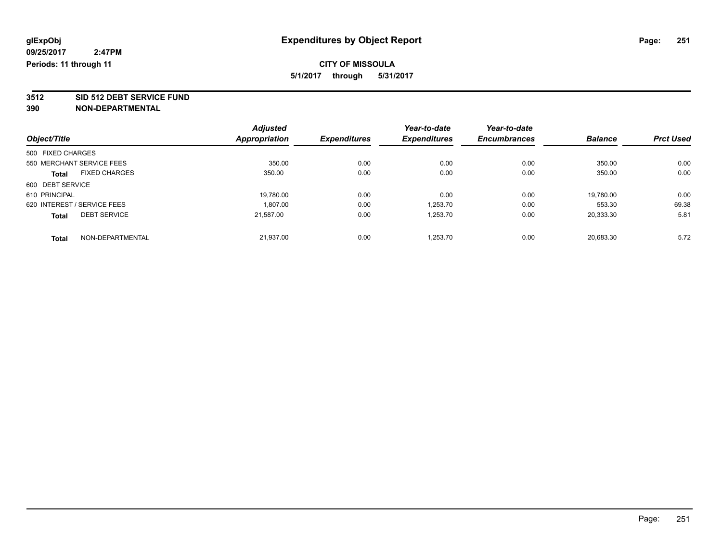**3512 SID 512 DEBT SERVICE FUND**

|                                      | <b>Adjusted</b> |                     | Year-to-date        | Year-to-date        |                |                  |
|--------------------------------------|-----------------|---------------------|---------------------|---------------------|----------------|------------------|
| Object/Title                         | Appropriation   | <b>Expenditures</b> | <b>Expenditures</b> | <b>Encumbrances</b> | <b>Balance</b> | <b>Prct Used</b> |
| 500 FIXED CHARGES                    |                 |                     |                     |                     |                |                  |
| 550 MERCHANT SERVICE FEES            | 350.00          | 0.00                | 0.00                | 0.00                | 350.00         | 0.00             |
| <b>FIXED CHARGES</b><br><b>Total</b> | 350.00          | 0.00                | 0.00                | 0.00                | 350.00         | 0.00             |
| 600 DEBT SERVICE                     |                 |                     |                     |                     |                |                  |
| 610 PRINCIPAL                        | 19,780.00       | 0.00                | 0.00                | 0.00                | 19,780.00      | 0.00             |
| 620 INTEREST / SERVICE FEES          | 1.807.00        | 0.00                | 1.253.70            | 0.00                | 553.30         | 69.38            |
| <b>DEBT SERVICE</b><br><b>Total</b>  | 21,587.00       | 0.00                | 1,253.70            | 0.00                | 20,333.30      | 5.81             |
| NON-DEPARTMENTAL<br><b>Total</b>     | 21.937.00       | 0.00                | 1.253.70            | 0.00                | 20.683.30      | 5.72             |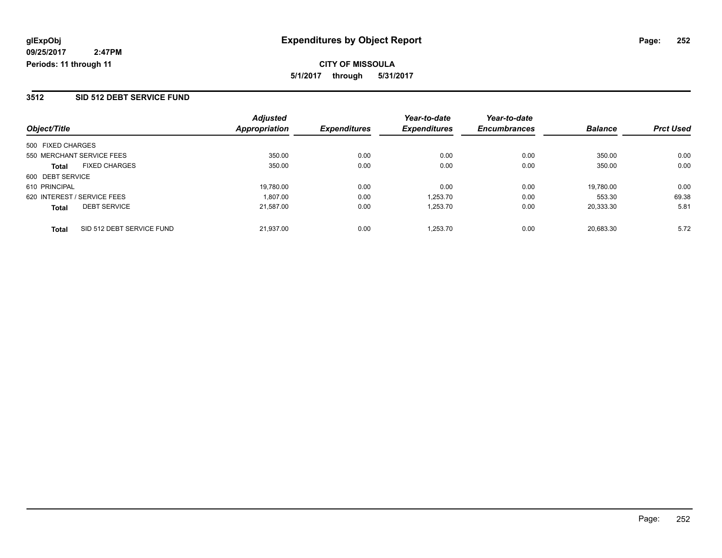### **3512 SID 512 DEBT SERVICE FUND**

| Object/Title                              | <b>Adjusted</b><br><b>Appropriation</b> | <b>Expenditures</b> | Year-to-date<br><b>Expenditures</b> | Year-to-date<br><b>Encumbrances</b> | <b>Balance</b> | <b>Prct Used</b> |
|-------------------------------------------|-----------------------------------------|---------------------|-------------------------------------|-------------------------------------|----------------|------------------|
|                                           |                                         |                     |                                     |                                     |                |                  |
| 500 FIXED CHARGES                         |                                         |                     |                                     |                                     |                |                  |
| 550 MERCHANT SERVICE FEES                 | 350.00                                  | 0.00                | 0.00                                | 0.00                                | 350.00         | 0.00             |
| <b>FIXED CHARGES</b><br><b>Total</b>      | 350.00                                  | 0.00                | 0.00                                | 0.00                                | 350.00         | 0.00             |
| 600 DEBT SERVICE                          |                                         |                     |                                     |                                     |                |                  |
| 610 PRINCIPAL                             | 19,780.00                               | 0.00                | 0.00                                | 0.00                                | 19,780.00      | 0.00             |
| 620 INTEREST / SERVICE FEES               | 1.807.00                                | 0.00                | 1,253.70                            | 0.00                                | 553.30         | 69.38            |
| <b>DEBT SERVICE</b><br><b>Total</b>       | 21.587.00                               | 0.00                | 1.253.70                            | 0.00                                | 20.333.30      | 5.81             |
| SID 512 DEBT SERVICE FUND<br><b>Total</b> | 21.937.00                               | 0.00                | 1.253.70                            | 0.00                                | 20.683.30      | 5.72             |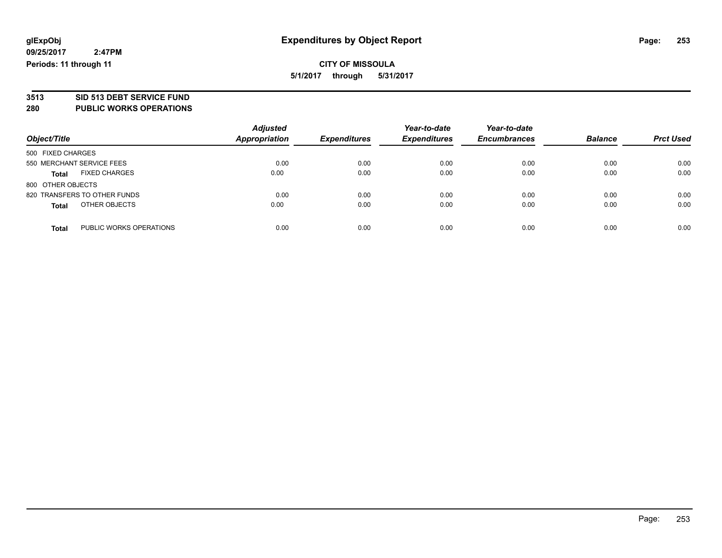# **3513 SID 513 DEBT SERVICE FUND**

### **280 PUBLIC WORKS OPERATIONS**

| Object/Title                            | <b>Adjusted</b><br><b>Appropriation</b> | <b>Expenditures</b> | Year-to-date<br><b>Expenditures</b> | Year-to-date<br><b>Encumbrances</b> | <b>Balance</b> | <b>Prct Used</b> |
|-----------------------------------------|-----------------------------------------|---------------------|-------------------------------------|-------------------------------------|----------------|------------------|
| 500 FIXED CHARGES                       |                                         |                     |                                     |                                     |                |                  |
| 550 MERCHANT SERVICE FEES               | 0.00                                    | 0.00                | 0.00                                | 0.00                                | 0.00           | 0.00             |
| <b>FIXED CHARGES</b><br><b>Total</b>    | 0.00                                    | 0.00                | 0.00                                | 0.00                                | 0.00           | 0.00             |
| 800 OTHER OBJECTS                       |                                         |                     |                                     |                                     |                |                  |
| 820 TRANSFERS TO OTHER FUNDS            | 0.00                                    | 0.00                | 0.00                                | 0.00                                | 0.00           | 0.00             |
| OTHER OBJECTS<br><b>Total</b>           | 0.00                                    | 0.00                | 0.00                                | 0.00                                | 0.00           | 0.00             |
| PUBLIC WORKS OPERATIONS<br><b>Total</b> | 0.00                                    | 0.00                | 0.00                                | 0.00                                | 0.00           | 0.00             |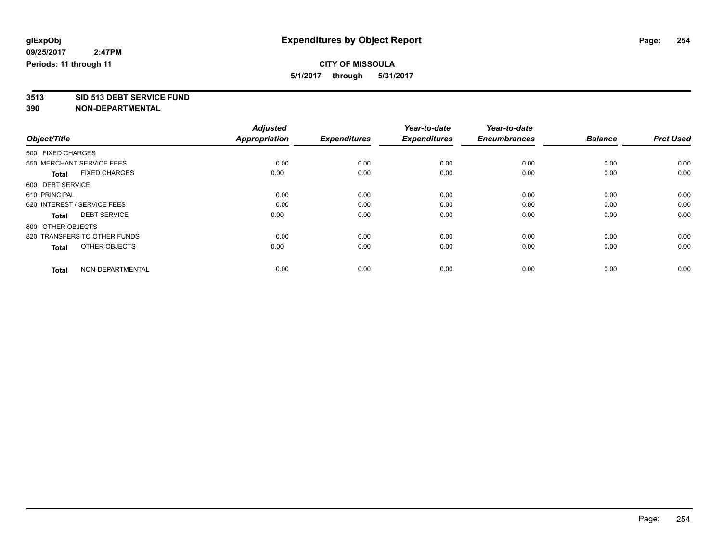**3513 SID 513 DEBT SERVICE FUND**

|                                      | <b>Adjusted</b> |                     | Year-to-date        | Year-to-date        |                |                  |
|--------------------------------------|-----------------|---------------------|---------------------|---------------------|----------------|------------------|
| Object/Title                         | Appropriation   | <b>Expenditures</b> | <b>Expenditures</b> | <b>Encumbrances</b> | <b>Balance</b> | <b>Prct Used</b> |
| 500 FIXED CHARGES                    |                 |                     |                     |                     |                |                  |
| 550 MERCHANT SERVICE FEES            | 0.00            | 0.00                | 0.00                | 0.00                | 0.00           | 0.00             |
| <b>FIXED CHARGES</b><br><b>Total</b> | 0.00            | 0.00                | 0.00                | 0.00                | 0.00           | 0.00             |
| 600 DEBT SERVICE                     |                 |                     |                     |                     |                |                  |
| 610 PRINCIPAL                        | 0.00            | 0.00                | 0.00                | 0.00                | 0.00           | 0.00             |
| 620 INTEREST / SERVICE FEES          | 0.00            | 0.00                | 0.00                | 0.00                | 0.00           | 0.00             |
| <b>DEBT SERVICE</b><br><b>Total</b>  | 0.00            | 0.00                | 0.00                | 0.00                | 0.00           | 0.00             |
| 800 OTHER OBJECTS                    |                 |                     |                     |                     |                |                  |
| 820 TRANSFERS TO OTHER FUNDS         | 0.00            | 0.00                | 0.00                | 0.00                | 0.00           | 0.00             |
| OTHER OBJECTS<br><b>Total</b>        | 0.00            | 0.00                | 0.00                | 0.00                | 0.00           | 0.00             |
|                                      |                 |                     |                     |                     |                |                  |
| NON-DEPARTMENTAL<br><b>Total</b>     | 0.00            | 0.00                | 0.00                | 0.00                | 0.00           | 0.00             |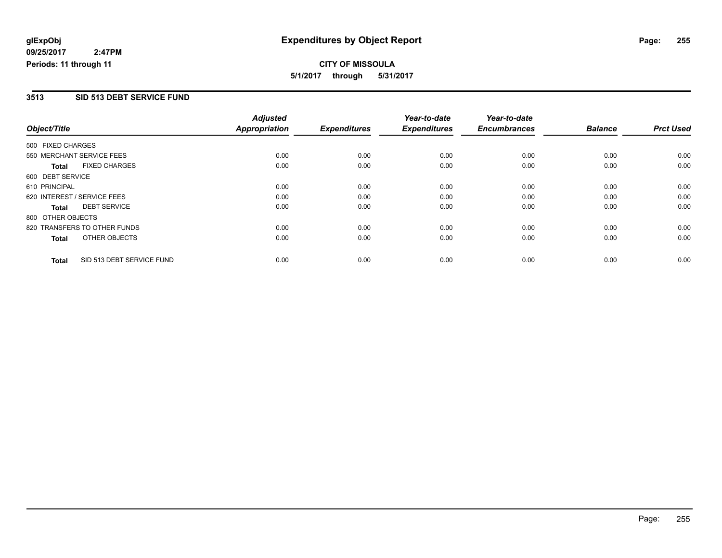**CITY OF MISSOULA 5/1/2017 through 5/31/2017**

#### **3513 SID 513 DEBT SERVICE FUND**

|                   |                              | <b>Adjusted</b>      |                     | Year-to-date        | Year-to-date        |                |                  |
|-------------------|------------------------------|----------------------|---------------------|---------------------|---------------------|----------------|------------------|
| Object/Title      |                              | <b>Appropriation</b> | <b>Expenditures</b> | <b>Expenditures</b> | <b>Encumbrances</b> | <b>Balance</b> | <b>Prct Used</b> |
| 500 FIXED CHARGES |                              |                      |                     |                     |                     |                |                  |
|                   | 550 MERCHANT SERVICE FEES    | 0.00                 | 0.00                | 0.00                | 0.00                | 0.00           | 0.00             |
| <b>Total</b>      | <b>FIXED CHARGES</b>         | 0.00                 | 0.00                | 0.00                | 0.00                | 0.00           | 0.00             |
| 600 DEBT SERVICE  |                              |                      |                     |                     |                     |                |                  |
| 610 PRINCIPAL     |                              | 0.00                 | 0.00                | 0.00                | 0.00                | 0.00           | 0.00             |
|                   | 620 INTEREST / SERVICE FEES  | 0.00                 | 0.00                | 0.00                | 0.00                | 0.00           | 0.00             |
| <b>Total</b>      | <b>DEBT SERVICE</b>          | 0.00                 | 0.00                | 0.00                | 0.00                | 0.00           | 0.00             |
| 800 OTHER OBJECTS |                              |                      |                     |                     |                     |                |                  |
|                   | 820 TRANSFERS TO OTHER FUNDS | 0.00                 | 0.00                | 0.00                | 0.00                | 0.00           | 0.00             |
| <b>Total</b>      | OTHER OBJECTS                | 0.00                 | 0.00                | 0.00                | 0.00                | 0.00           | 0.00             |
| <b>Total</b>      | SID 513 DEBT SERVICE FUND    | 0.00                 | 0.00                | 0.00                | 0.00                | 0.00           | 0.00             |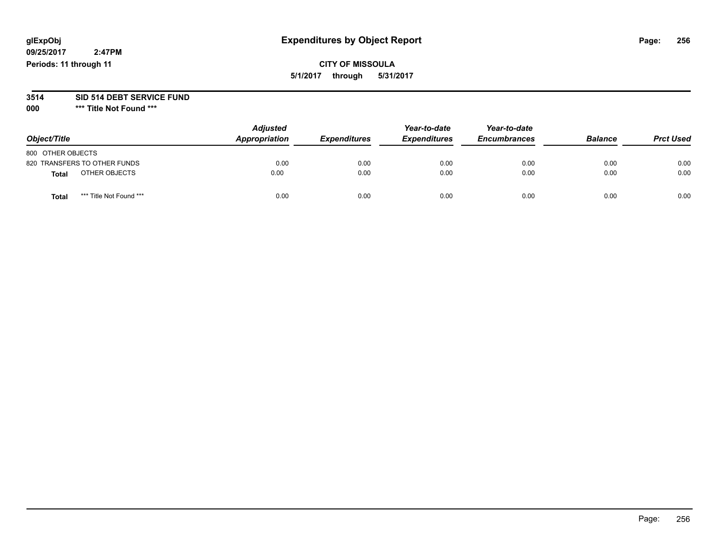# **glExpObj Expenditures by Object Report Page: 256**

**09/25/2017 2:47PM Periods: 11 through 11**

**CITY OF MISSOULA 5/1/2017 through 5/31/2017**

# **3514 SID 514 DEBT SERVICE FUND**

**000 \*\*\* Title Not Found \*\*\***

| Object/Title                    | <b>Adjusted</b><br>Appropriation | <b>Expenditures</b> | Year-to-date<br><b>Expenditures</b> | Year-to-date<br><b>Encumbrances</b> | <b>Balance</b> | <b>Prct Used</b> |
|---------------------------------|----------------------------------|---------------------|-------------------------------------|-------------------------------------|----------------|------------------|
| 800 OTHER OBJECTS               |                                  |                     |                                     |                                     |                |                  |
| 820 TRANSFERS TO OTHER FUNDS    | 0.00                             | 0.00                | 0.00                                | 0.00                                | 0.00           | 0.00             |
| OTHER OBJECTS<br><b>Total</b>   | 0.00                             | 0.00                | 0.00                                | 0.00                                | 0.00           | 0.00             |
| *** Title Not Found ***<br>Tota | 0.00                             | 0.00                | 0.00                                | 0.00                                | 0.00           | 0.00             |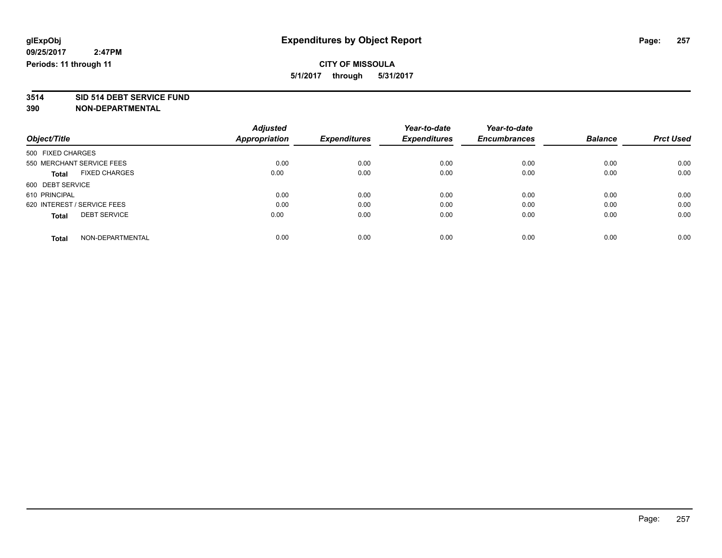**3514 SID 514 DEBT SERVICE FUND**

|                                      | <b>Adjusted</b> |                     | Year-to-date        | Year-to-date        |                |                  |
|--------------------------------------|-----------------|---------------------|---------------------|---------------------|----------------|------------------|
| Object/Title                         | Appropriation   | <b>Expenditures</b> | <b>Expenditures</b> | <b>Encumbrances</b> | <b>Balance</b> | <b>Prct Used</b> |
| 500 FIXED CHARGES                    |                 |                     |                     |                     |                |                  |
| 550 MERCHANT SERVICE FEES            | 0.00            | 0.00                | 0.00                | 0.00                | 0.00           | 0.00             |
| <b>FIXED CHARGES</b><br><b>Total</b> | 0.00            | 0.00                | 0.00                | 0.00                | 0.00           | 0.00             |
| 600 DEBT SERVICE                     |                 |                     |                     |                     |                |                  |
| 610 PRINCIPAL                        | 0.00            | 0.00                | 0.00                | 0.00                | 0.00           | 0.00             |
| 620 INTEREST / SERVICE FEES          | 0.00            | 0.00                | 0.00                | 0.00                | 0.00           | 0.00             |
| <b>DEBT SERVICE</b><br><b>Total</b>  | 0.00            | 0.00                | 0.00                | 0.00                | 0.00           | 0.00             |
| NON-DEPARTMENTAL<br><b>Total</b>     | 0.00            | 0.00                | 0.00                | 0.00                | 0.00           | 0.00             |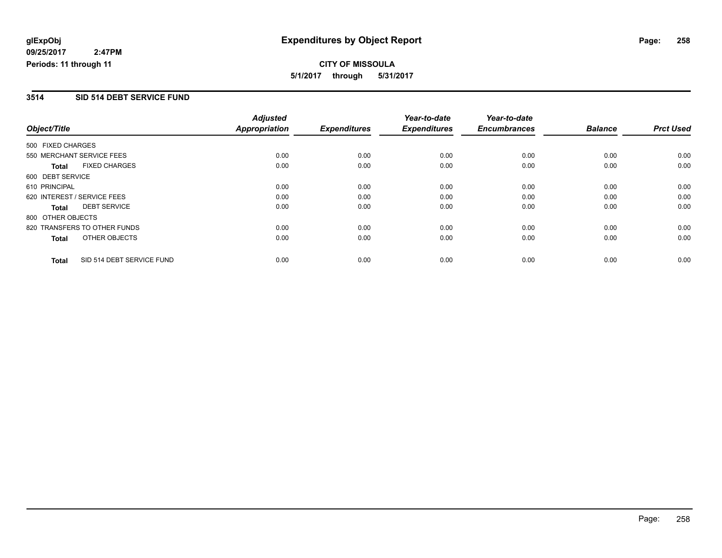**CITY OF MISSOULA 5/1/2017 through 5/31/2017**

### **3514 SID 514 DEBT SERVICE FUND**

|                   |                              | <b>Adjusted</b>      |                     | Year-to-date        | Year-to-date        |                |                  |
|-------------------|------------------------------|----------------------|---------------------|---------------------|---------------------|----------------|------------------|
| Object/Title      |                              | <b>Appropriation</b> | <b>Expenditures</b> | <b>Expenditures</b> | <b>Encumbrances</b> | <b>Balance</b> | <b>Prct Used</b> |
| 500 FIXED CHARGES |                              |                      |                     |                     |                     |                |                  |
|                   | 550 MERCHANT SERVICE FEES    | 0.00                 | 0.00                | 0.00                | 0.00                | 0.00           | 0.00             |
| <b>Total</b>      | <b>FIXED CHARGES</b>         | 0.00                 | 0.00                | 0.00                | 0.00                | 0.00           | 0.00             |
| 600 DEBT SERVICE  |                              |                      |                     |                     |                     |                |                  |
| 610 PRINCIPAL     |                              | 0.00                 | 0.00                | 0.00                | 0.00                | 0.00           | 0.00             |
|                   | 620 INTEREST / SERVICE FEES  | 0.00                 | 0.00                | 0.00                | 0.00                | 0.00           | 0.00             |
| <b>Total</b>      | <b>DEBT SERVICE</b>          | 0.00                 | 0.00                | 0.00                | 0.00                | 0.00           | 0.00             |
| 800 OTHER OBJECTS |                              |                      |                     |                     |                     |                |                  |
|                   | 820 TRANSFERS TO OTHER FUNDS | 0.00                 | 0.00                | 0.00                | 0.00                | 0.00           | 0.00             |
| <b>Total</b>      | OTHER OBJECTS                | 0.00                 | 0.00                | 0.00                | 0.00                | 0.00           | 0.00             |
| <b>Total</b>      | SID 514 DEBT SERVICE FUND    | 0.00                 | 0.00                | 0.00                | 0.00                | 0.00           | 0.00             |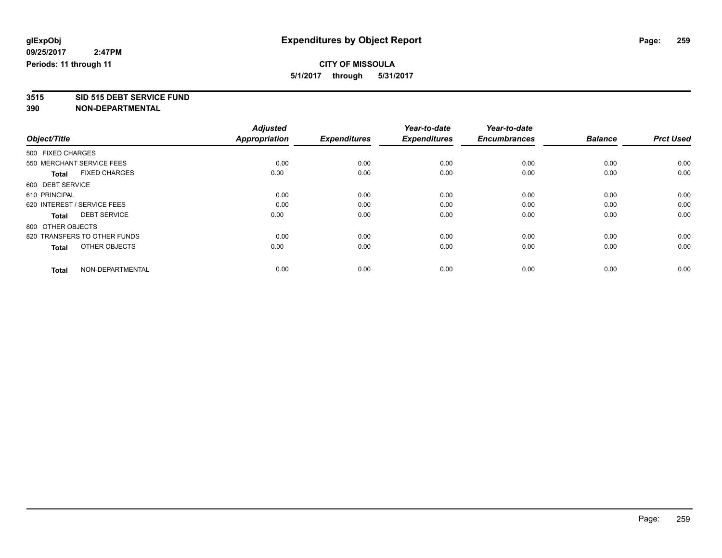# **3515 SID 515 DEBT SERVICE FUND**

|                                      | <b>Adjusted</b>      |                     | Year-to-date        | Year-to-date        |                |                  |
|--------------------------------------|----------------------|---------------------|---------------------|---------------------|----------------|------------------|
| Object/Title                         | <b>Appropriation</b> | <b>Expenditures</b> | <b>Expenditures</b> | <b>Encumbrances</b> | <b>Balance</b> | <b>Prct Used</b> |
| 500 FIXED CHARGES                    |                      |                     |                     |                     |                |                  |
| 550 MERCHANT SERVICE FEES            | 0.00                 | 0.00                | 0.00                | 0.00                | 0.00           | 0.00             |
| <b>FIXED CHARGES</b><br><b>Total</b> | 0.00                 | 0.00                | 0.00                | 0.00                | 0.00           | 0.00             |
| 600 DEBT SERVICE                     |                      |                     |                     |                     |                |                  |
| 610 PRINCIPAL                        | 0.00                 | 0.00                | 0.00                | 0.00                | 0.00           | 0.00             |
| 620 INTEREST / SERVICE FEES          | 0.00                 | 0.00                | 0.00                | 0.00                | 0.00           | 0.00             |
| <b>DEBT SERVICE</b><br><b>Total</b>  | 0.00                 | 0.00                | 0.00                | 0.00                | 0.00           | 0.00             |
| 800 OTHER OBJECTS                    |                      |                     |                     |                     |                |                  |
| 820 TRANSFERS TO OTHER FUNDS         | 0.00                 | 0.00                | 0.00                | 0.00                | 0.00           | 0.00             |
| OTHER OBJECTS<br><b>Total</b>        | 0.00                 | 0.00                | 0.00                | 0.00                | 0.00           | 0.00             |
|                                      |                      |                     |                     |                     |                |                  |
| NON-DEPARTMENTAL<br><b>Total</b>     | 0.00                 | 0.00                | 0.00                | 0.00                | 0.00           | 0.00             |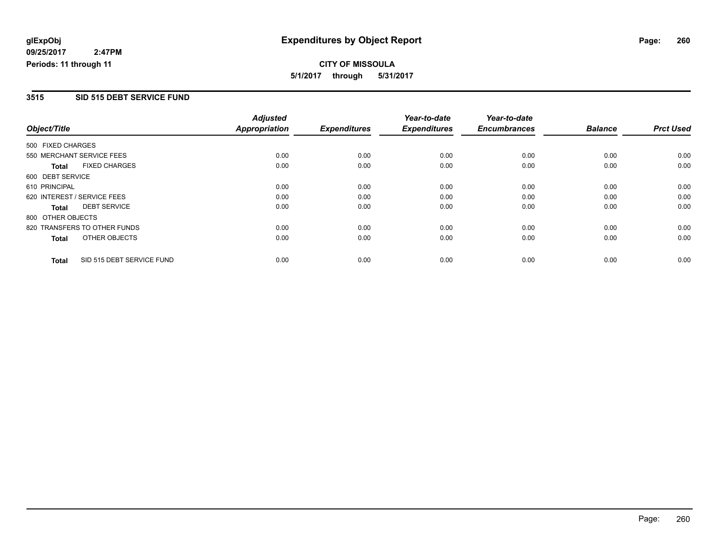**CITY OF MISSOULA 5/1/2017 through 5/31/2017**

#### **3515 SID 515 DEBT SERVICE FUND**

|                              |                           | <b>Adjusted</b>      |                     | Year-to-date        | Year-to-date        |                |                  |
|------------------------------|---------------------------|----------------------|---------------------|---------------------|---------------------|----------------|------------------|
| Object/Title                 |                           | <b>Appropriation</b> | <b>Expenditures</b> | <b>Expenditures</b> | <b>Encumbrances</b> | <b>Balance</b> | <b>Prct Used</b> |
| 500 FIXED CHARGES            |                           |                      |                     |                     |                     |                |                  |
| 550 MERCHANT SERVICE FEES    |                           | 0.00                 | 0.00                | 0.00                | 0.00                | 0.00           | 0.00             |
| <b>Total</b>                 | <b>FIXED CHARGES</b>      | 0.00                 | 0.00                | 0.00                | 0.00                | 0.00           | 0.00             |
| 600 DEBT SERVICE             |                           |                      |                     |                     |                     |                |                  |
| 610 PRINCIPAL                |                           | 0.00                 | 0.00                | 0.00                | 0.00                | 0.00           | 0.00             |
| 620 INTEREST / SERVICE FEES  |                           | 0.00                 | 0.00                | 0.00                | 0.00                | 0.00           | 0.00             |
| <b>DEBT SERVICE</b><br>Total |                           | 0.00                 | 0.00                | 0.00                | 0.00                | 0.00           | 0.00             |
| 800 OTHER OBJECTS            |                           |                      |                     |                     |                     |                |                  |
| 820 TRANSFERS TO OTHER FUNDS |                           | 0.00                 | 0.00                | 0.00                | 0.00                | 0.00           | 0.00             |
| <b>Total</b>                 | OTHER OBJECTS             | 0.00                 | 0.00                | 0.00                | 0.00                | 0.00           | 0.00             |
| <b>Total</b>                 | SID 515 DEBT SERVICE FUND | 0.00                 | 0.00                | 0.00                | 0.00                | 0.00           | 0.00             |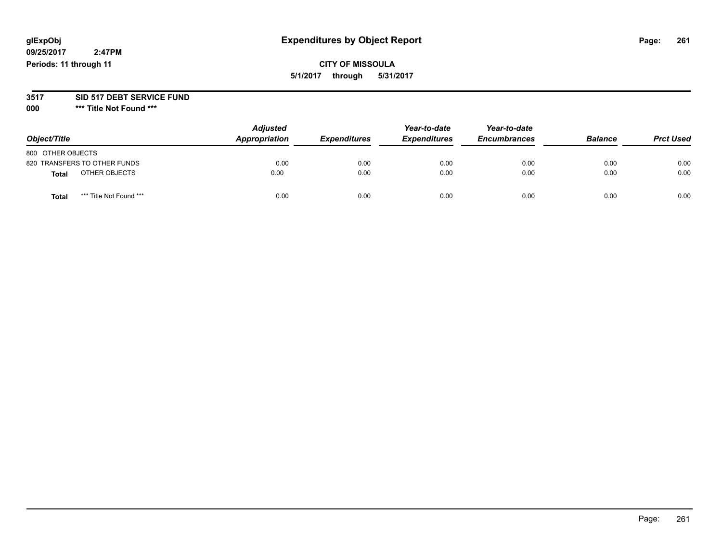# **glExpObj Expenditures by Object Report Page: 261**

**09/25/2017 2:47PM Periods: 11 through 11**

# **CITY OF MISSOULA 5/1/2017 through 5/31/2017**

#### **3517 SID 517 DEBT SERVICE FUND**

**000 \*\*\* Title Not Found \*\*\***

| Object/Title                            | <b>Adjusted</b><br>Appropriation | <b>Expenditures</b> | Year-to-date<br><b>Expenditures</b> | Year-to-date<br><b>Encumbrances</b> | <b>Balance</b> | <b>Prct Used</b> |
|-----------------------------------------|----------------------------------|---------------------|-------------------------------------|-------------------------------------|----------------|------------------|
| 800 OTHER OBJECTS                       |                                  |                     |                                     |                                     |                |                  |
| 820 TRANSFERS TO OTHER FUNDS            | 0.00                             | 0.00                | 0.00                                | 0.00                                | 0.00           | 0.00             |
| OTHER OBJECTS<br><b>Total</b>           | 0.00                             | 0.00                | 0.00                                | 0.00                                | 0.00           | 0.00             |
| *** Title Not Found ***<br><b>Total</b> | 0.00                             | 0.00                | 0.00                                | 0.00                                | 0.00           | 0.00             |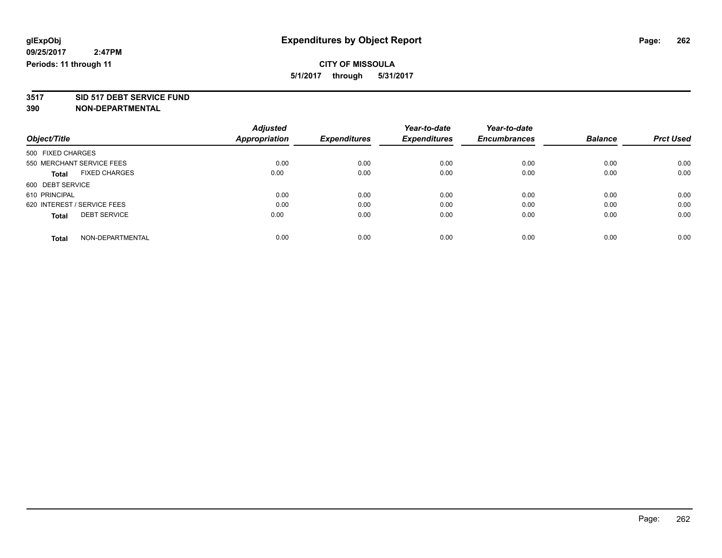**3517 SID 517 DEBT SERVICE FUND**

|                                      | <b>Adjusted</b>      |                     | Year-to-date        | Year-to-date        |                |                  |
|--------------------------------------|----------------------|---------------------|---------------------|---------------------|----------------|------------------|
| Object/Title                         | <b>Appropriation</b> | <b>Expenditures</b> | <b>Expenditures</b> | <b>Encumbrances</b> | <b>Balance</b> | <b>Prct Used</b> |
| 500 FIXED CHARGES                    |                      |                     |                     |                     |                |                  |
| 550 MERCHANT SERVICE FEES            | 0.00                 | 0.00                | 0.00                | 0.00                | 0.00           | 0.00             |
| <b>FIXED CHARGES</b><br><b>Total</b> | 0.00                 | 0.00                | 0.00                | 0.00                | 0.00           | 0.00             |
| 600 DEBT SERVICE                     |                      |                     |                     |                     |                |                  |
| 610 PRINCIPAL                        | 0.00                 | 0.00                | 0.00                | 0.00                | 0.00           | 0.00             |
| 620 INTEREST / SERVICE FEES          | 0.00                 | 0.00                | 0.00                | 0.00                | 0.00           | 0.00             |
| <b>DEBT SERVICE</b><br><b>Total</b>  | 0.00                 | 0.00                | 0.00                | 0.00                | 0.00           | 0.00             |
| NON-DEPARTMENTAL<br><b>Total</b>     | 0.00                 | 0.00                | 0.00                | 0.00                | 0.00           | 0.00             |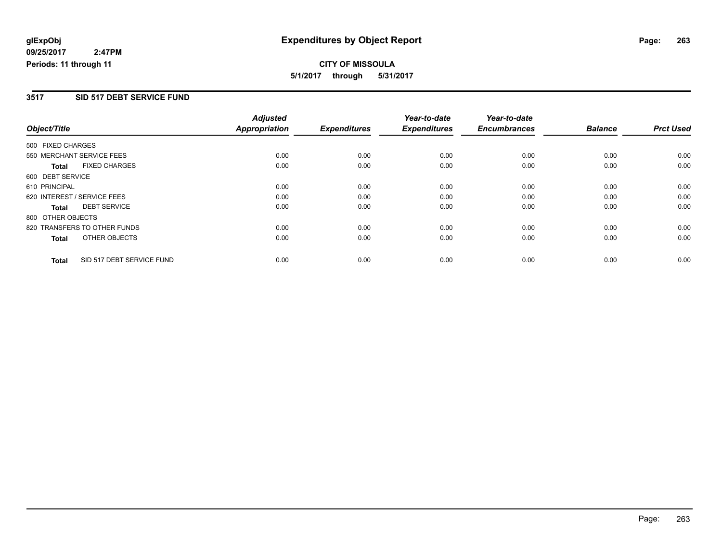**CITY OF MISSOULA 5/1/2017 through 5/31/2017**

#### **3517 SID 517 DEBT SERVICE FUND**

|                   |                              | <b>Adjusted</b>      |                     | Year-to-date        | Year-to-date        |                |                  |
|-------------------|------------------------------|----------------------|---------------------|---------------------|---------------------|----------------|------------------|
| Object/Title      |                              | <b>Appropriation</b> | <b>Expenditures</b> | <b>Expenditures</b> | <b>Encumbrances</b> | <b>Balance</b> | <b>Prct Used</b> |
| 500 FIXED CHARGES |                              |                      |                     |                     |                     |                |                  |
|                   | 550 MERCHANT SERVICE FEES    | 0.00                 | 0.00                | 0.00                | 0.00                | 0.00           | 0.00             |
| <b>Total</b>      | <b>FIXED CHARGES</b>         | 0.00                 | 0.00                | 0.00                | 0.00                | 0.00           | 0.00             |
| 600 DEBT SERVICE  |                              |                      |                     |                     |                     |                |                  |
| 610 PRINCIPAL     |                              | 0.00                 | 0.00                | 0.00                | 0.00                | 0.00           | 0.00             |
|                   | 620 INTEREST / SERVICE FEES  | 0.00                 | 0.00                | 0.00                | 0.00                | 0.00           | 0.00             |
| <b>Total</b>      | <b>DEBT SERVICE</b>          | 0.00                 | 0.00                | 0.00                | 0.00                | 0.00           | 0.00             |
| 800 OTHER OBJECTS |                              |                      |                     |                     |                     |                |                  |
|                   | 820 TRANSFERS TO OTHER FUNDS | 0.00                 | 0.00                | 0.00                | 0.00                | 0.00           | 0.00             |
| <b>Total</b>      | OTHER OBJECTS                | 0.00                 | 0.00                | 0.00                | 0.00                | 0.00           | 0.00             |
| <b>Total</b>      | SID 517 DEBT SERVICE FUND    | 0.00                 | 0.00                | 0.00                | 0.00                | 0.00           | 0.00             |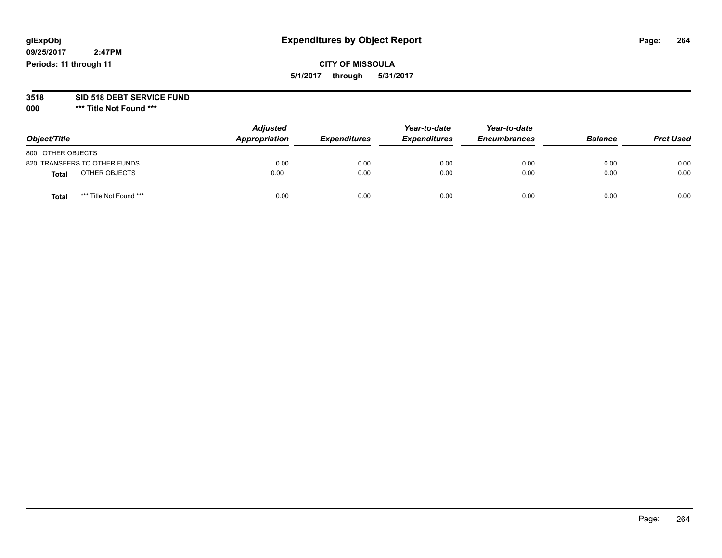# **glExpObj Expenditures by Object Report Page: 264**

# **CITY OF MISSOULA 5/1/2017 through 5/31/2017**

# **3518 SID 518 DEBT SERVICE FUND**

**000 \*\*\* Title Not Found \*\*\***

| Object/Title                            | <b>Adjusted</b><br>Appropriation | <b>Expenditures</b> | Year-to-date<br><b>Expenditures</b> | Year-to-date<br><b>Encumbrances</b> | <b>Balance</b> | <b>Prct Used</b> |
|-----------------------------------------|----------------------------------|---------------------|-------------------------------------|-------------------------------------|----------------|------------------|
| 800 OTHER OBJECTS                       |                                  |                     |                                     |                                     |                |                  |
| 820 TRANSFERS TO OTHER FUNDS            | 0.00                             | 0.00                | 0.00                                | 0.00                                | 0.00           | 0.00             |
| OTHER OBJECTS<br><b>Total</b>           | 0.00                             | 0.00                | 0.00                                | 0.00                                | 0.00           | 0.00             |
| *** Title Not Found ***<br><b>Total</b> | 0.00                             | 0.00                | 0.00                                | 0.00                                | 0.00           | 0.00             |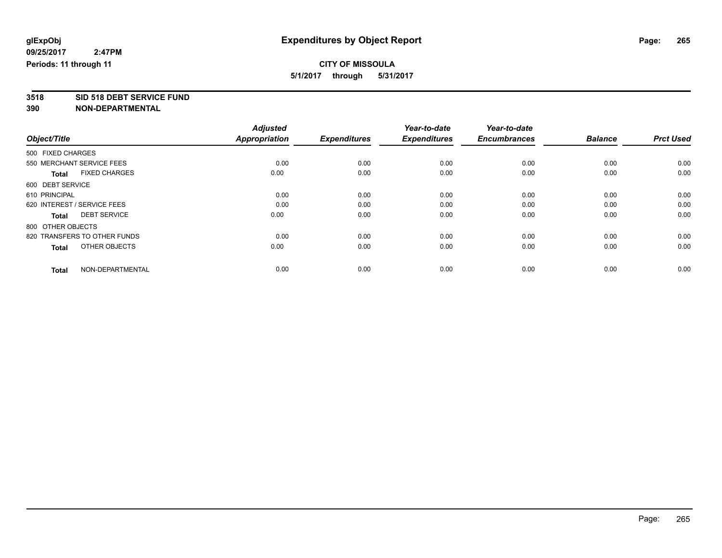# **3518 SID 518 DEBT SERVICE FUND**

|                                      | <b>Adjusted</b>      |                     | Year-to-date        | Year-to-date        |                |                  |
|--------------------------------------|----------------------|---------------------|---------------------|---------------------|----------------|------------------|
| Object/Title                         | <b>Appropriation</b> | <b>Expenditures</b> | <b>Expenditures</b> | <b>Encumbrances</b> | <b>Balance</b> | <b>Prct Used</b> |
| 500 FIXED CHARGES                    |                      |                     |                     |                     |                |                  |
| 550 MERCHANT SERVICE FEES            | 0.00                 | 0.00                | 0.00                | 0.00                | 0.00           | 0.00             |
| <b>FIXED CHARGES</b><br><b>Total</b> | 0.00                 | 0.00                | 0.00                | 0.00                | 0.00           | 0.00             |
| 600 DEBT SERVICE                     |                      |                     |                     |                     |                |                  |
| 610 PRINCIPAL                        | 0.00                 | 0.00                | 0.00                | 0.00                | 0.00           | 0.00             |
| 620 INTEREST / SERVICE FEES          | 0.00                 | 0.00                | 0.00                | 0.00                | 0.00           | 0.00             |
| <b>DEBT SERVICE</b><br><b>Total</b>  | 0.00                 | 0.00                | 0.00                | 0.00                | 0.00           | 0.00             |
| 800 OTHER OBJECTS                    |                      |                     |                     |                     |                |                  |
| 820 TRANSFERS TO OTHER FUNDS         | 0.00                 | 0.00                | 0.00                | 0.00                | 0.00           | 0.00             |
| OTHER OBJECTS<br><b>Total</b>        | 0.00                 | 0.00                | 0.00                | 0.00                | 0.00           | 0.00             |
|                                      |                      |                     |                     |                     |                |                  |
| NON-DEPARTMENTAL<br><b>Total</b>     | 0.00                 | 0.00                | 0.00                | 0.00                | 0.00           | 0.00             |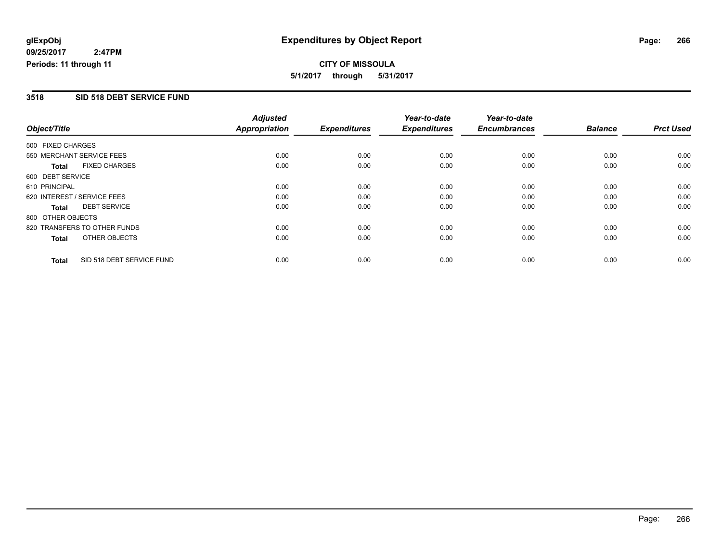**CITY OF MISSOULA 5/1/2017 through 5/31/2017**

#### **3518 SID 518 DEBT SERVICE FUND**

|                              |                           | <b>Adjusted</b>      |                     | Year-to-date        | Year-to-date        |                |                  |
|------------------------------|---------------------------|----------------------|---------------------|---------------------|---------------------|----------------|------------------|
| Object/Title                 |                           | <b>Appropriation</b> | <b>Expenditures</b> | <b>Expenditures</b> | <b>Encumbrances</b> | <b>Balance</b> | <b>Prct Used</b> |
| 500 FIXED CHARGES            |                           |                      |                     |                     |                     |                |                  |
| 550 MERCHANT SERVICE FEES    |                           | 0.00                 | 0.00                | 0.00                | 0.00                | 0.00           | 0.00             |
| <b>Total</b>                 | <b>FIXED CHARGES</b>      | 0.00                 | 0.00                | 0.00                | 0.00                | 0.00           | 0.00             |
| 600 DEBT SERVICE             |                           |                      |                     |                     |                     |                |                  |
| 610 PRINCIPAL                |                           | 0.00                 | 0.00                | 0.00                | 0.00                | 0.00           | 0.00             |
| 620 INTEREST / SERVICE FEES  |                           | 0.00                 | 0.00                | 0.00                | 0.00                | 0.00           | 0.00             |
| Total                        | <b>DEBT SERVICE</b>       | 0.00                 | 0.00                | 0.00                | 0.00                | 0.00           | 0.00             |
| 800 OTHER OBJECTS            |                           |                      |                     |                     |                     |                |                  |
| 820 TRANSFERS TO OTHER FUNDS |                           | 0.00                 | 0.00                | 0.00                | 0.00                | 0.00           | 0.00             |
| <b>Total</b>                 | OTHER OBJECTS             | 0.00                 | 0.00                | 0.00                | 0.00                | 0.00           | 0.00             |
| <b>Total</b>                 | SID 518 DEBT SERVICE FUND | 0.00                 | 0.00                | 0.00                | 0.00                | 0.00           | 0.00             |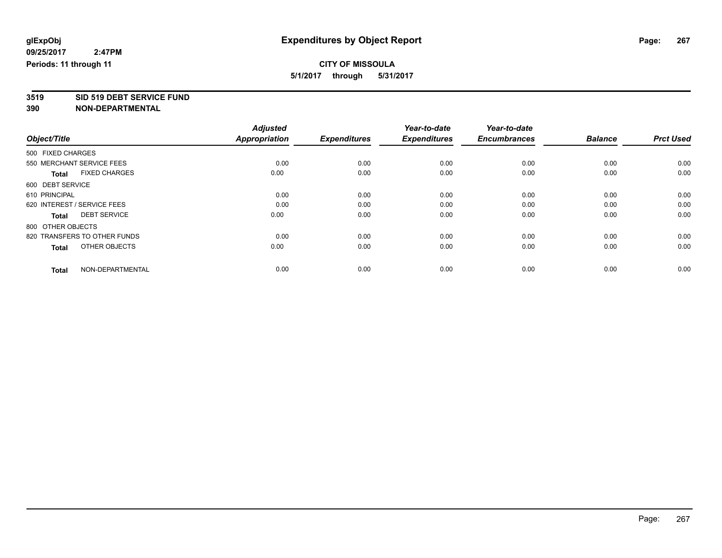# **3519 SID 519 DEBT SERVICE FUND**

|                                      | <b>Adjusted</b>      |                     | Year-to-date        | Year-to-date        |                |                  |
|--------------------------------------|----------------------|---------------------|---------------------|---------------------|----------------|------------------|
| Object/Title                         | <b>Appropriation</b> | <b>Expenditures</b> | <b>Expenditures</b> | <b>Encumbrances</b> | <b>Balance</b> | <b>Prct Used</b> |
| 500 FIXED CHARGES                    |                      |                     |                     |                     |                |                  |
| 550 MERCHANT SERVICE FEES            | 0.00                 | 0.00                | 0.00                | 0.00                | 0.00           | 0.00             |
| <b>FIXED CHARGES</b><br><b>Total</b> | 0.00                 | 0.00                | 0.00                | 0.00                | 0.00           | 0.00             |
| 600 DEBT SERVICE                     |                      |                     |                     |                     |                |                  |
| 610 PRINCIPAL                        | 0.00                 | 0.00                | 0.00                | 0.00                | 0.00           | 0.00             |
| 620 INTEREST / SERVICE FEES          | 0.00                 | 0.00                | 0.00                | 0.00                | 0.00           | 0.00             |
| <b>DEBT SERVICE</b><br><b>Total</b>  | 0.00                 | 0.00                | 0.00                | 0.00                | 0.00           | 0.00             |
| 800 OTHER OBJECTS                    |                      |                     |                     |                     |                |                  |
| 820 TRANSFERS TO OTHER FUNDS         | 0.00                 | 0.00                | 0.00                | 0.00                | 0.00           | 0.00             |
| OTHER OBJECTS<br><b>Total</b>        | 0.00                 | 0.00                | 0.00                | 0.00                | 0.00           | 0.00             |
|                                      |                      |                     |                     |                     |                |                  |
| NON-DEPARTMENTAL<br><b>Total</b>     | 0.00                 | 0.00                | 0.00                | 0.00                | 0.00           | 0.00             |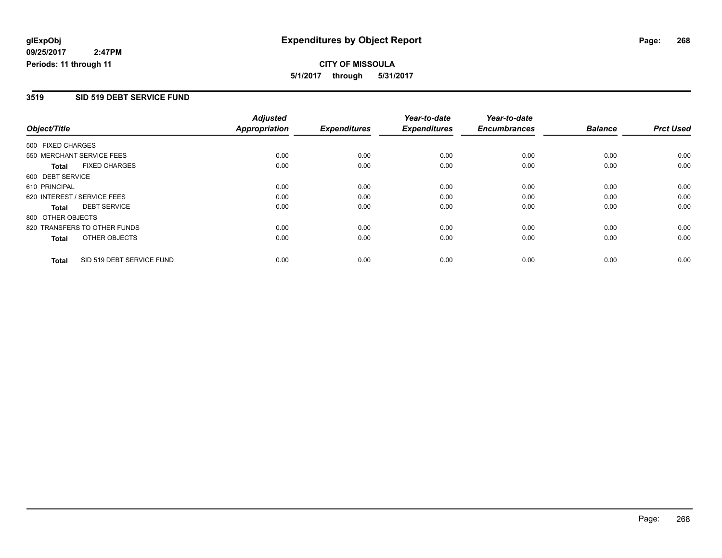**CITY OF MISSOULA 5/1/2017 through 5/31/2017**

#### **3519 SID 519 DEBT SERVICE FUND**

|                   |                              | <b>Adjusted</b>      |                     | Year-to-date        | Year-to-date        |                |                  |
|-------------------|------------------------------|----------------------|---------------------|---------------------|---------------------|----------------|------------------|
| Object/Title      |                              | <b>Appropriation</b> | <b>Expenditures</b> | <b>Expenditures</b> | <b>Encumbrances</b> | <b>Balance</b> | <b>Prct Used</b> |
| 500 FIXED CHARGES |                              |                      |                     |                     |                     |                |                  |
|                   | 550 MERCHANT SERVICE FEES    | 0.00                 | 0.00                | 0.00                | 0.00                | 0.00           | 0.00             |
| <b>Total</b>      | <b>FIXED CHARGES</b>         | 0.00                 | 0.00                | 0.00                | 0.00                | 0.00           | 0.00             |
| 600 DEBT SERVICE  |                              |                      |                     |                     |                     |                |                  |
| 610 PRINCIPAL     |                              | 0.00                 | 0.00                | 0.00                | 0.00                | 0.00           | 0.00             |
|                   | 620 INTEREST / SERVICE FEES  | 0.00                 | 0.00                | 0.00                | 0.00                | 0.00           | 0.00             |
| Total             | <b>DEBT SERVICE</b>          | 0.00                 | 0.00                | 0.00                | 0.00                | 0.00           | 0.00             |
| 800 OTHER OBJECTS |                              |                      |                     |                     |                     |                |                  |
|                   | 820 TRANSFERS TO OTHER FUNDS | 0.00                 | 0.00                | 0.00                | 0.00                | 0.00           | 0.00             |
| Total             | OTHER OBJECTS                | 0.00                 | 0.00                | 0.00                | 0.00                | 0.00           | 0.00             |
| <b>Total</b>      | SID 519 DEBT SERVICE FUND    | 0.00                 | 0.00                | 0.00                | 0.00                | 0.00           | 0.00             |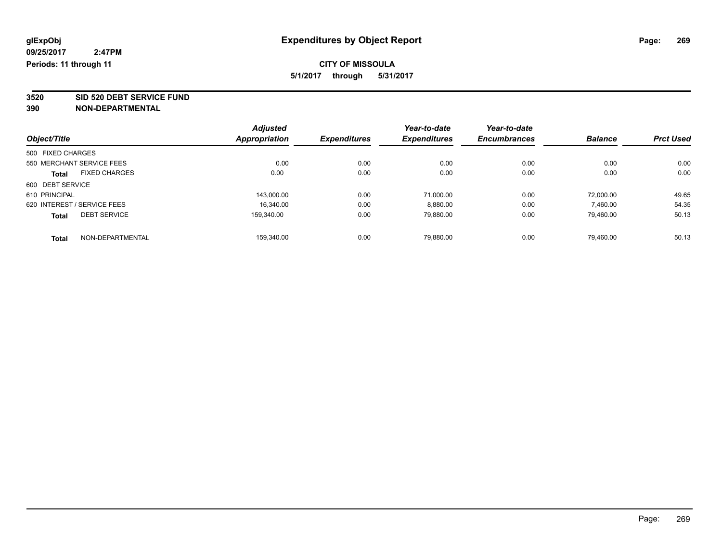**3520 SID 520 DEBT SERVICE FUND**

| Object/Title                |                      | <b>Adjusted</b><br>Appropriation | <b>Expenditures</b> | Year-to-date<br><b>Expenditures</b> | Year-to-date        | <b>Balance</b> | <b>Prct Used</b> |
|-----------------------------|----------------------|----------------------------------|---------------------|-------------------------------------|---------------------|----------------|------------------|
|                             |                      |                                  |                     |                                     | <b>Encumbrances</b> |                |                  |
| 500 FIXED CHARGES           |                      |                                  |                     |                                     |                     |                |                  |
| 550 MERCHANT SERVICE FEES   |                      | 0.00                             | 0.00                | 0.00                                | 0.00                | 0.00           | 0.00             |
| <b>Total</b>                | <b>FIXED CHARGES</b> | 0.00                             | 0.00                | 0.00                                | 0.00                | 0.00           | 0.00             |
| 600 DEBT SERVICE            |                      |                                  |                     |                                     |                     |                |                  |
| 610 PRINCIPAL               |                      | 143,000.00                       | 0.00                | 71,000.00                           | 0.00                | 72.000.00      | 49.65            |
| 620 INTEREST / SERVICE FEES |                      | 16.340.00                        | 0.00                | 8,880.00                            | 0.00                | 7,460.00       | 54.35            |
| <b>Total</b>                | <b>DEBT SERVICE</b>  | 159.340.00                       | 0.00                | 79.880.00                           | 0.00                | 79.460.00      | 50.13            |
| <b>Total</b>                | NON-DEPARTMENTAL     | 159.340.00                       | 0.00                | 79.880.00                           | 0.00                | 79.460.00      | 50.13            |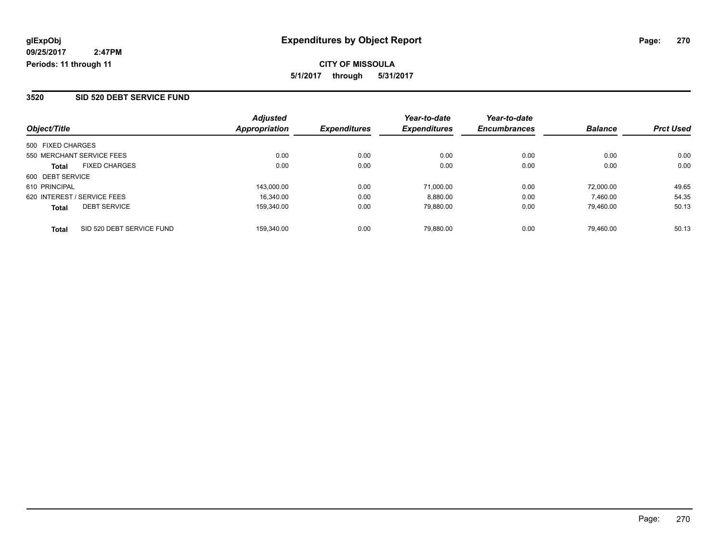#### **3520 SID 520 DEBT SERVICE FUND**

| Object/Title                              | <b>Adjusted</b><br>Appropriation | <b>Expenditures</b> | Year-to-date<br><b>Expenditures</b> | Year-to-date<br><b>Encumbrances</b> | <b>Balance</b> | <b>Prct Used</b> |
|-------------------------------------------|----------------------------------|---------------------|-------------------------------------|-------------------------------------|----------------|------------------|
|                                           |                                  |                     |                                     |                                     |                |                  |
| 500 FIXED CHARGES                         |                                  |                     |                                     |                                     |                |                  |
| 550 MERCHANT SERVICE FEES                 | 0.00                             | 0.00                | 0.00                                | 0.00                                | 0.00           | 0.00             |
| <b>FIXED CHARGES</b><br><b>Total</b>      | 0.00                             | 0.00                | 0.00                                | 0.00                                | 0.00           | 0.00             |
| 600 DEBT SERVICE                          |                                  |                     |                                     |                                     |                |                  |
| 610 PRINCIPAL                             | 143.000.00                       | 0.00                | 71.000.00                           | 0.00                                | 72.000.00      | 49.65            |
| 620 INTEREST / SERVICE FEES               | 16.340.00                        | 0.00                | 8,880.00                            | 0.00                                | 7.460.00       | 54.35            |
| <b>DEBT SERVICE</b><br><b>Total</b>       | 159.340.00                       | 0.00                | 79.880.00                           | 0.00                                | 79.460.00      | 50.13            |
| SID 520 DEBT SERVICE FUND<br><b>Total</b> | 159.340.00                       | 0.00                | 79.880.00                           | 0.00                                | 79.460.00      | 50.13            |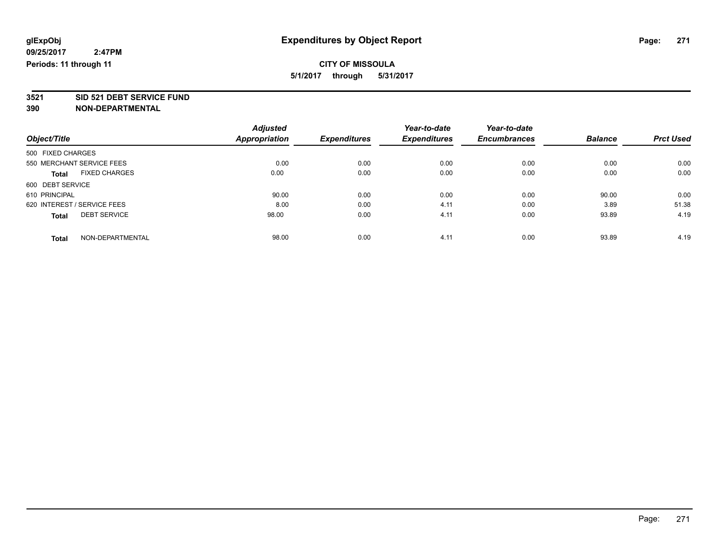**3521 SID 521 DEBT SERVICE FUND**

|                                      | <b>Adjusted</b>      | <b>Expenditures</b> | Year-to-date        | Year-to-date        | <b>Balance</b> | <b>Prct Used</b> |
|--------------------------------------|----------------------|---------------------|---------------------|---------------------|----------------|------------------|
| Object/Title                         | <b>Appropriation</b> |                     | <b>Expenditures</b> | <b>Encumbrances</b> |                |                  |
| 500 FIXED CHARGES                    |                      |                     |                     |                     |                |                  |
| 550 MERCHANT SERVICE FEES            | 0.00                 | 0.00                | 0.00                | 0.00                | 0.00           | 0.00             |
| <b>FIXED CHARGES</b><br><b>Total</b> | 0.00                 | 0.00                | 0.00                | 0.00                | 0.00           | 0.00             |
| 600 DEBT SERVICE                     |                      |                     |                     |                     |                |                  |
| 610 PRINCIPAL                        | 90.00                | 0.00                | 0.00                | 0.00                | 90.00          | 0.00             |
| 620 INTEREST / SERVICE FEES          | 8.00                 | 0.00                | 4.11                | 0.00                | 3.89           | 51.38            |
| <b>DEBT SERVICE</b><br><b>Total</b>  | 98.00                | 0.00                | 4.11                | 0.00                | 93.89          | 4.19             |
| NON-DEPARTMENTAL<br><b>Total</b>     | 98.00                | 0.00                | 4.11                | 0.00                | 93.89          | 4.19             |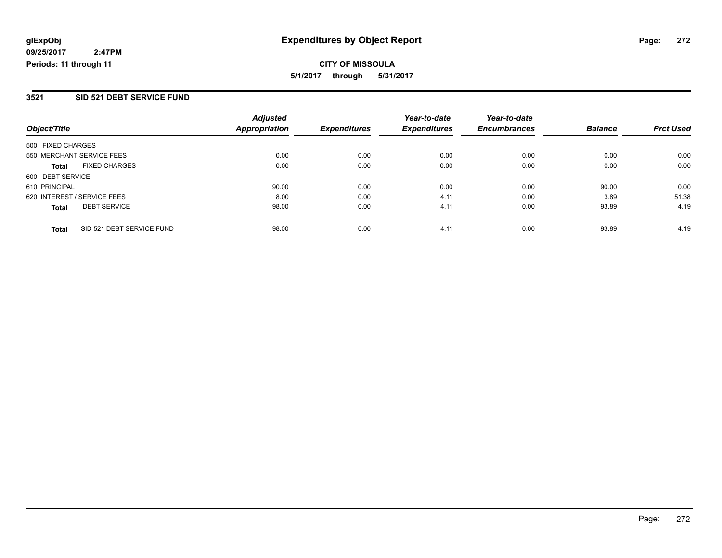**CITY OF MISSOULA 5/1/2017 through 5/31/2017**

#### **3521 SID 521 DEBT SERVICE FUND**

|                                           | <b>Adjusted</b>      |                     | Year-to-date        | Year-to-date        |                |                  |
|-------------------------------------------|----------------------|---------------------|---------------------|---------------------|----------------|------------------|
| Object/Title                              | <b>Appropriation</b> | <b>Expenditures</b> | <b>Expenditures</b> | <b>Encumbrances</b> | <b>Balance</b> | <b>Prct Used</b> |
| 500 FIXED CHARGES                         |                      |                     |                     |                     |                |                  |
| 550 MERCHANT SERVICE FEES                 | 0.00                 | 0.00                | 0.00                | 0.00                | 0.00           | 0.00             |
| <b>FIXED CHARGES</b><br><b>Total</b>      | 0.00                 | 0.00                | 0.00                | 0.00                | 0.00           | 0.00             |
| 600 DEBT SERVICE                          |                      |                     |                     |                     |                |                  |
| 610 PRINCIPAL                             | 90.00                | 0.00                | 0.00                | 0.00                | 90.00          | 0.00             |
| 620 INTEREST / SERVICE FEES               | 8.00                 | 0.00                | 4.11                | 0.00                | 3.89           | 51.38            |
| <b>DEBT SERVICE</b><br><b>Total</b>       | 98.00                | 0.00                | 4.11                | 0.00                | 93.89          | 4.19             |
| SID 521 DEBT SERVICE FUND<br><b>Total</b> | 98.00                | 0.00                | 4.11                | 0.00                | 93.89          | 4.19             |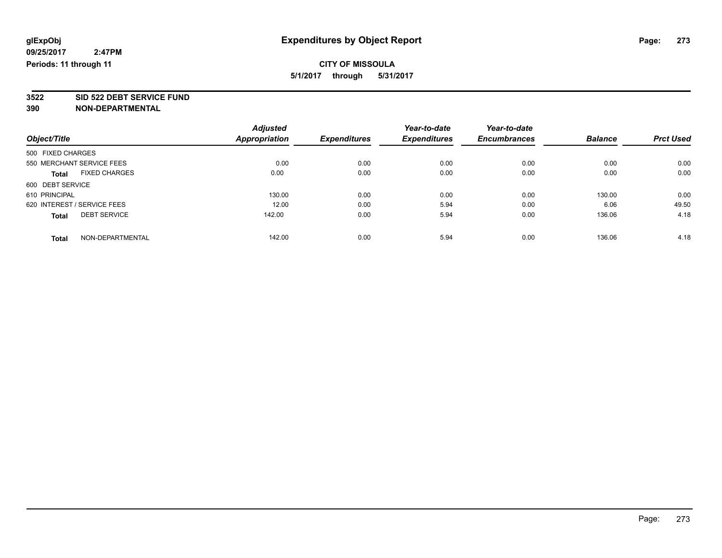**3522 SID 522 DEBT SERVICE FUND**

|                                      | <b>Adjusted</b>      | <b>Expenditures</b> | Year-to-date<br><b>Expenditures</b> | Year-to-date        | <b>Balance</b> | <b>Prct Used</b> |
|--------------------------------------|----------------------|---------------------|-------------------------------------|---------------------|----------------|------------------|
| Object/Title                         | <b>Appropriation</b> |                     |                                     | <b>Encumbrances</b> |                |                  |
| 500 FIXED CHARGES                    |                      |                     |                                     |                     |                |                  |
| 550 MERCHANT SERVICE FEES            | 0.00                 | 0.00                | 0.00                                | 0.00                | 0.00           | 0.00             |
| <b>FIXED CHARGES</b><br><b>Total</b> | 0.00                 | 0.00                | 0.00                                | 0.00                | 0.00           | 0.00             |
| 600 DEBT SERVICE                     |                      |                     |                                     |                     |                |                  |
| 610 PRINCIPAL                        | 130.00               | 0.00                | 0.00                                | 0.00                | 130.00         | 0.00             |
| 620 INTEREST / SERVICE FEES          | 12.00                | 0.00                | 5.94                                | 0.00                | 6.06           | 49.50            |
| <b>DEBT SERVICE</b><br><b>Total</b>  | 142.00               | 0.00                | 5.94                                | 0.00                | 136.06         | 4.18             |
| NON-DEPARTMENTAL<br><b>Total</b>     | 142.00               | 0.00                | 5.94                                | 0.00                | 136.06         | 4.18             |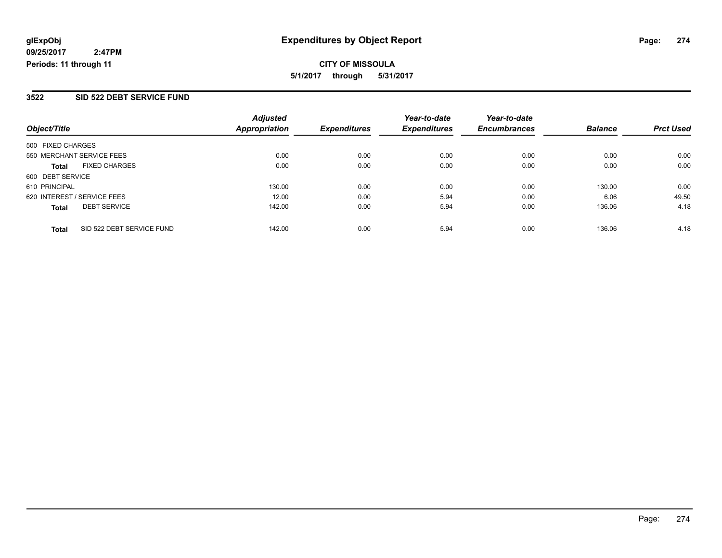**CITY OF MISSOULA 5/1/2017 through 5/31/2017**

#### **3522 SID 522 DEBT SERVICE FUND**

| Object/Title                              | <b>Adjusted</b><br>Appropriation | <b>Expenditures</b> | Year-to-date<br><b>Expenditures</b> | Year-to-date<br><b>Encumbrances</b> | <b>Balance</b> | <b>Prct Used</b> |
|-------------------------------------------|----------------------------------|---------------------|-------------------------------------|-------------------------------------|----------------|------------------|
|                                           |                                  |                     |                                     |                                     |                |                  |
| 500 FIXED CHARGES                         |                                  |                     |                                     |                                     |                |                  |
| 550 MERCHANT SERVICE FEES                 | 0.00                             | 0.00                | 0.00                                | 0.00                                | 0.00           | 0.00             |
| <b>FIXED CHARGES</b><br><b>Total</b>      | 0.00                             | 0.00                | 0.00                                | 0.00                                | 0.00           | 0.00             |
| 600 DEBT SERVICE                          |                                  |                     |                                     |                                     |                |                  |
| 610 PRINCIPAL                             | 130.00                           | 0.00                | 0.00                                | 0.00                                | 130.00         | 0.00             |
| 620 INTEREST / SERVICE FEES               | 12.00                            | 0.00                | 5.94                                | 0.00                                | 6.06           | 49.50            |
| <b>DEBT SERVICE</b><br><b>Total</b>       | 142.00                           | 0.00                | 5.94                                | 0.00                                | 136.06         | 4.18             |
| SID 522 DEBT SERVICE FUND<br><b>Total</b> | 142.00                           | 0.00                | 5.94                                | 0.00                                | 136.06         | 4.18             |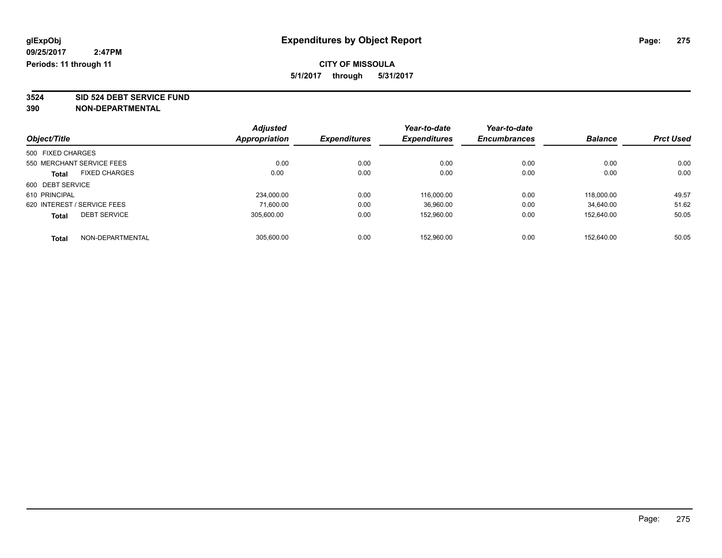**3524 SID 524 DEBT SERVICE FUND**

| Object/Title                |                      | <b>Adjusted</b> | <b>Expenditures</b> | Year-to-date<br><b>Expenditures</b> | Year-to-date        | <b>Balance</b> | <b>Prct Used</b> |
|-----------------------------|----------------------|-----------------|---------------------|-------------------------------------|---------------------|----------------|------------------|
|                             |                      | Appropriation   |                     |                                     | <b>Encumbrances</b> |                |                  |
| 500 FIXED CHARGES           |                      |                 |                     |                                     |                     |                |                  |
| 550 MERCHANT SERVICE FEES   |                      | 0.00            | 0.00                | 0.00                                | 0.00                | 0.00           | 0.00             |
| <b>Total</b>                | <b>FIXED CHARGES</b> | 0.00            | 0.00                | 0.00                                | 0.00                | 0.00           | 0.00             |
| 600 DEBT SERVICE            |                      |                 |                     |                                     |                     |                |                  |
| 610 PRINCIPAL               |                      | 234,000.00      | 0.00                | 116.000.00                          | 0.00                | 118,000.00     | 49.57            |
| 620 INTEREST / SERVICE FEES |                      | 71.600.00       | 0.00                | 36,960.00                           | 0.00                | 34.640.00      | 51.62            |
| <b>Total</b>                | <b>DEBT SERVICE</b>  | 305.600.00      | 0.00                | 152.960.00                          | 0.00                | 152.640.00     | 50.05            |
| <b>Total</b>                | NON-DEPARTMENTAL     | 305.600.00      | 0.00                | 152.960.00                          | 0.00                | 152.640.00     | 50.05            |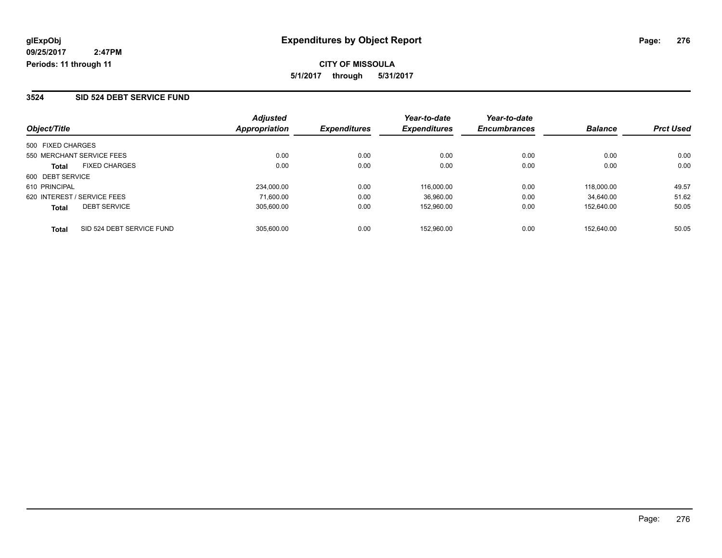#### **3524 SID 524 DEBT SERVICE FUND**

| Object/Title                              | <b>Adjusted</b><br><b>Appropriation</b> | <b>Expenditures</b> | Year-to-date<br><b>Expenditures</b> | Year-to-date<br><b>Encumbrances</b> | <b>Balance</b> | <b>Prct Used</b> |
|-------------------------------------------|-----------------------------------------|---------------------|-------------------------------------|-------------------------------------|----------------|------------------|
|                                           |                                         |                     |                                     |                                     |                |                  |
| 500 FIXED CHARGES                         |                                         |                     |                                     |                                     |                |                  |
| 550 MERCHANT SERVICE FEES                 | 0.00                                    | 0.00                | 0.00                                | 0.00                                | 0.00           | 0.00             |
| <b>FIXED CHARGES</b><br><b>Total</b>      | 0.00                                    | 0.00                | 0.00                                | 0.00                                | 0.00           | 0.00             |
| 600 DEBT SERVICE                          |                                         |                     |                                     |                                     |                |                  |
| 610 PRINCIPAL                             | 234,000.00                              | 0.00                | 116.000.00                          | 0.00                                | 118,000.00     | 49.57            |
| 620 INTEREST / SERVICE FEES               | 71.600.00                               | 0.00                | 36,960.00                           | 0.00                                | 34.640.00      | 51.62            |
| <b>DEBT SERVICE</b><br><b>Total</b>       | 305.600.00                              | 0.00                | 152.960.00                          | 0.00                                | 152.640.00     | 50.05            |
| SID 524 DEBT SERVICE FUND<br><b>Total</b> | 305.600.00                              | 0.00                | 152.960.00                          | 0.00                                | 152.640.00     | 50.05            |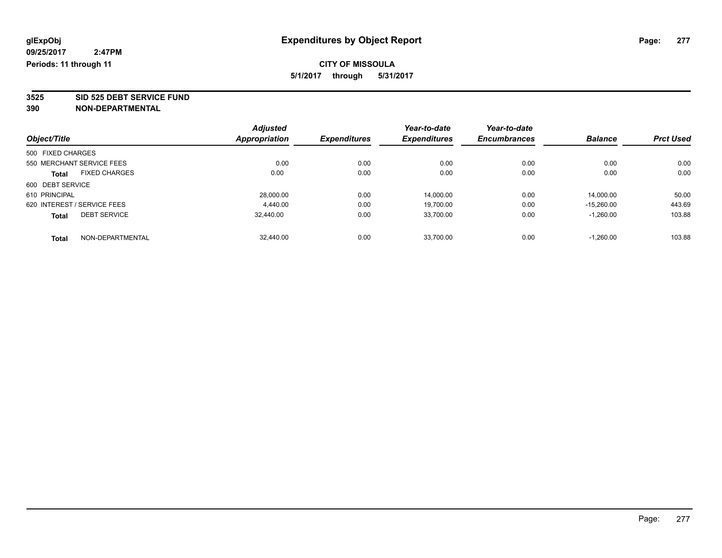**3525 SID 525 DEBT SERVICE FUND**

|                             |                           | <b>Adjusted</b>      |                     | Year-to-date        | Year-to-date        |                |                  |
|-----------------------------|---------------------------|----------------------|---------------------|---------------------|---------------------|----------------|------------------|
| Object/Title                |                           | <b>Appropriation</b> | <b>Expenditures</b> | <b>Expenditures</b> | <b>Encumbrances</b> | <b>Balance</b> | <b>Prct Used</b> |
| 500 FIXED CHARGES           |                           |                      |                     |                     |                     |                |                  |
|                             | 550 MERCHANT SERVICE FEES | 0.00                 | 0.00                | 0.00                | 0.00                | 0.00           | 0.00             |
| <b>Total</b>                | <b>FIXED CHARGES</b>      | 0.00                 | 0.00                | 0.00                | 0.00                | 0.00           | 0.00             |
| 600 DEBT SERVICE            |                           |                      |                     |                     |                     |                |                  |
| 610 PRINCIPAL               |                           | 28.000.00            | 0.00                | 14.000.00           | 0.00                | 14.000.00      | 50.00            |
| 620 INTEREST / SERVICE FEES |                           | 4,440.00             | 0.00                | 19.700.00           | 0.00                | $-15.260.00$   | 443.69           |
| <b>Total</b>                | <b>DEBT SERVICE</b>       | 32.440.00            | 0.00                | 33,700.00           | 0.00                | $-1,260.00$    | 103.88           |
| <b>Total</b>                | NON-DEPARTMENTAL          | 32.440.00            | 0.00                | 33.700.00           | 0.00                | $-1.260.00$    | 103.88           |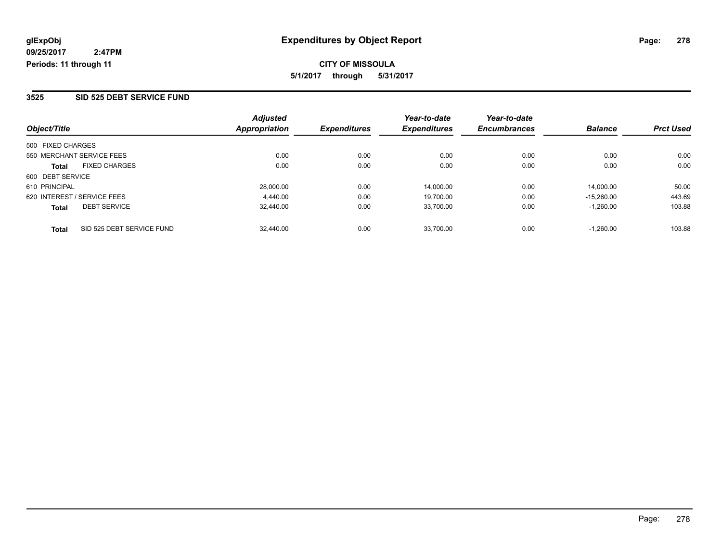**CITY OF MISSOULA 5/1/2017 through 5/31/2017**

#### **3525 SID 525 DEBT SERVICE FUND**

| Object/Title                              | <b>Adjusted</b><br>Appropriation | <b>Expenditures</b> | Year-to-date<br><b>Expenditures</b> | Year-to-date<br><b>Encumbrances</b> | <b>Balance</b> | <b>Prct Used</b> |
|-------------------------------------------|----------------------------------|---------------------|-------------------------------------|-------------------------------------|----------------|------------------|
| 500 FIXED CHARGES                         |                                  |                     |                                     |                                     |                |                  |
| 550 MERCHANT SERVICE FEES                 | 0.00                             | 0.00                | 0.00                                | 0.00                                | 0.00           | 0.00             |
| <b>FIXED CHARGES</b><br><b>Total</b>      | 0.00                             | 0.00                | 0.00                                | 0.00                                | 0.00           | 0.00             |
| 600 DEBT SERVICE                          |                                  |                     |                                     |                                     |                |                  |
| 610 PRINCIPAL                             | 28.000.00                        | 0.00                | 14.000.00                           | 0.00                                | 14.000.00      | 50.00            |
| 620 INTEREST / SERVICE FEES               | 4.440.00                         | 0.00                | 19,700.00                           | 0.00                                | $-15.260.00$   | 443.69           |
| <b>DEBT SERVICE</b><br><b>Total</b>       | 32,440.00                        | 0.00                | 33,700.00                           | 0.00                                | $-1.260.00$    | 103.88           |
| SID 525 DEBT SERVICE FUND<br><b>Total</b> | 32.440.00                        | 0.00                | 33,700.00                           | 0.00                                | $-1.260.00$    | 103.88           |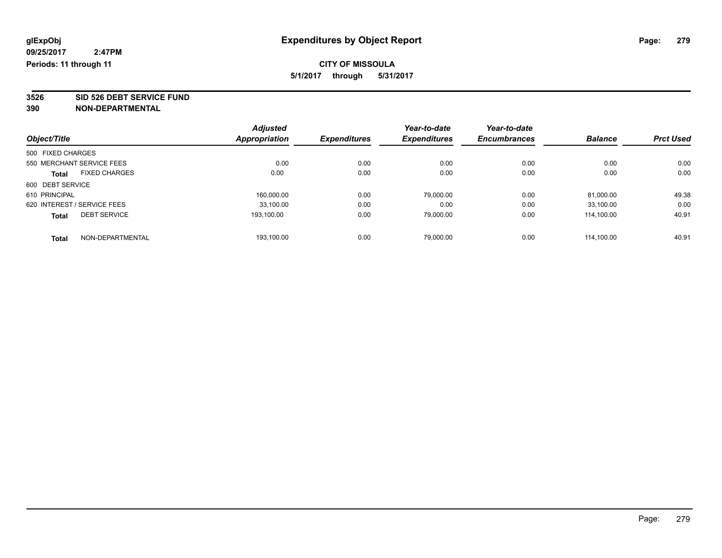**3526 SID 526 DEBT SERVICE FUND**

|                             |                      | <b>Adjusted</b> |                     | Year-to-date        | Year-to-date        |                |                  |
|-----------------------------|----------------------|-----------------|---------------------|---------------------|---------------------|----------------|------------------|
| Object/Title                |                      | Appropriation   | <b>Expenditures</b> | <b>Expenditures</b> | <b>Encumbrances</b> | <b>Balance</b> | <b>Prct Used</b> |
| 500 FIXED CHARGES           |                      |                 |                     |                     |                     |                |                  |
| 550 MERCHANT SERVICE FEES   |                      | 0.00            | 0.00                | 0.00                | 0.00                | 0.00           | 0.00             |
| <b>Total</b>                | <b>FIXED CHARGES</b> | 0.00            | 0.00                | 0.00                | 0.00                | 0.00           | 0.00             |
| 600 DEBT SERVICE            |                      |                 |                     |                     |                     |                |                  |
| 610 PRINCIPAL               |                      | 160,000.00      | 0.00                | 79,000.00           | 0.00                | 81,000.00      | 49.38            |
| 620 INTEREST / SERVICE FEES |                      | 33.100.00       | 0.00                | 0.00                | 0.00                | 33.100.00      | 0.00             |
| <b>Total</b>                | <b>DEBT SERVICE</b>  | 193,100.00      | 0.00                | 79.000.00           | 0.00                | 114.100.00     | 40.91            |
| <b>Total</b>                | NON-DEPARTMENTAL     | 193.100.00      | 0.00                | 79.000.00           | 0.00                | 114.100.00     | 40.91            |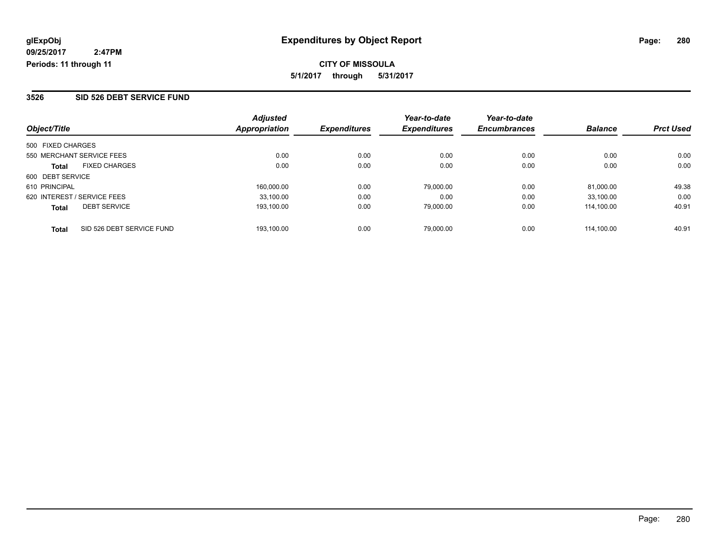#### **3526 SID 526 DEBT SERVICE FUND**

| Object/Title                              | <b>Adjusted</b><br>Appropriation | <b>Expenditures</b> | Year-to-date<br><b>Expenditures</b> | Year-to-date<br><b>Encumbrances</b> | <b>Balance</b> | <b>Prct Used</b> |
|-------------------------------------------|----------------------------------|---------------------|-------------------------------------|-------------------------------------|----------------|------------------|
| 500 FIXED CHARGES                         |                                  |                     |                                     |                                     |                |                  |
| 550 MERCHANT SERVICE FEES                 | 0.00                             | 0.00                | 0.00                                | 0.00                                | 0.00           | 0.00             |
| <b>FIXED CHARGES</b><br><b>Total</b>      | 0.00                             | 0.00                | 0.00                                | 0.00                                | 0.00           | 0.00             |
| 600 DEBT SERVICE                          |                                  |                     |                                     |                                     |                |                  |
| 610 PRINCIPAL                             | 160.000.00                       | 0.00                | 79,000.00                           | 0.00                                | 81.000.00      | 49.38            |
| 620 INTEREST / SERVICE FEES               | 33,100.00                        | 0.00                | 0.00                                | 0.00                                | 33.100.00      | 0.00             |
| <b>DEBT SERVICE</b><br><b>Total</b>       | 193.100.00                       | 0.00                | 79,000.00                           | 0.00                                | 114.100.00     | 40.91            |
| SID 526 DEBT SERVICE FUND<br><b>Total</b> | 193.100.00                       | 0.00                | 79,000.00                           | 0.00                                | 114.100.00     | 40.91            |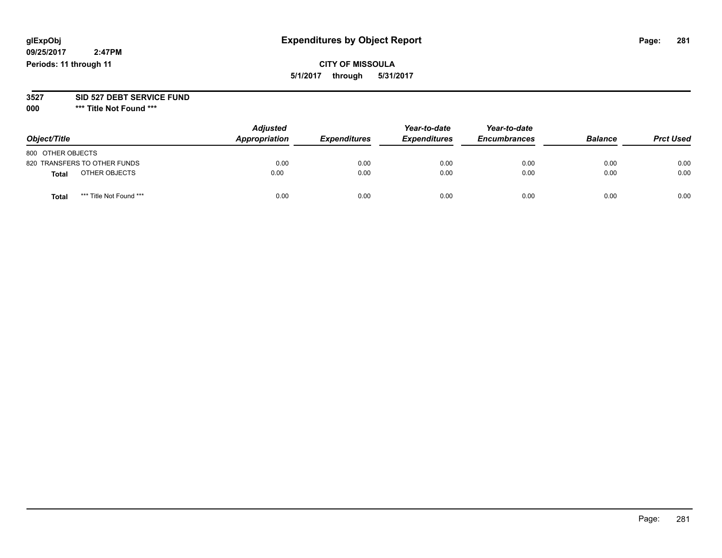# **glExpObj Expenditures by Object Report Page: 281**

**09/25/2017 2:47PM Periods: 11 through 11**

# **CITY OF MISSOULA 5/1/2017 through 5/31/2017**

#### **3527 SID 527 DEBT SERVICE FUND**

**000 \*\*\* Title Not Found \*\*\***

| Object/Title                    | <b>Adjusted</b><br>Appropriation | <b>Expenditures</b> | Year-to-date<br><b>Expenditures</b> | Year-to-date<br><b>Encumbrances</b> | <b>Balance</b> | <b>Prct Used</b> |
|---------------------------------|----------------------------------|---------------------|-------------------------------------|-------------------------------------|----------------|------------------|
| 800 OTHER OBJECTS               |                                  |                     |                                     |                                     |                |                  |
| 820 TRANSFERS TO OTHER FUNDS    | 0.00                             | 0.00                | 0.00                                | 0.00                                | 0.00           | 0.00             |
| OTHER OBJECTS<br><b>Total</b>   | 0.00                             | 0.00                | 0.00                                | 0.00                                | 0.00           | 0.00             |
| *** Title Not Found ***<br>Tota | 0.00                             | 0.00                | 0.00                                | 0.00                                | 0.00           | 0.00             |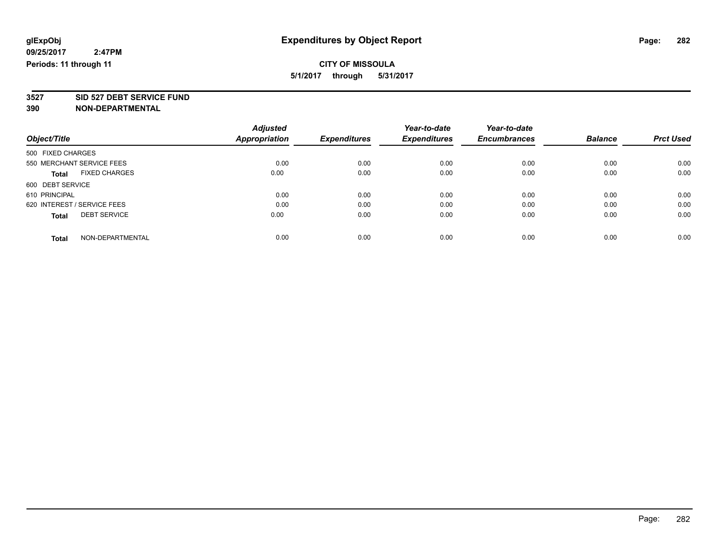**3527 SID 527 DEBT SERVICE FUND**

|                                      | <b>Adjusted</b>      |                     | Year-to-date        | Year-to-date        |                |                  |
|--------------------------------------|----------------------|---------------------|---------------------|---------------------|----------------|------------------|
| Object/Title                         | <b>Appropriation</b> | <b>Expenditures</b> | <b>Expenditures</b> | <b>Encumbrances</b> | <b>Balance</b> | <b>Prct Used</b> |
| 500 FIXED CHARGES                    |                      |                     |                     |                     |                |                  |
| 550 MERCHANT SERVICE FEES            | 0.00                 | 0.00                | 0.00                | 0.00                | 0.00           | 0.00             |
| <b>FIXED CHARGES</b><br><b>Total</b> | 0.00                 | 0.00                | 0.00                | 0.00                | 0.00           | 0.00             |
| 600 DEBT SERVICE                     |                      |                     |                     |                     |                |                  |
| 610 PRINCIPAL                        | 0.00                 | 0.00                | 0.00                | 0.00                | 0.00           | 0.00             |
| 620 INTEREST / SERVICE FEES          | 0.00                 | 0.00                | 0.00                | 0.00                | 0.00           | 0.00             |
| <b>DEBT SERVICE</b><br><b>Total</b>  | 0.00                 | 0.00                | 0.00                | 0.00                | 0.00           | 0.00             |
| NON-DEPARTMENTAL<br><b>Total</b>     | 0.00                 | 0.00                | 0.00                | 0.00                | 0.00           | 0.00             |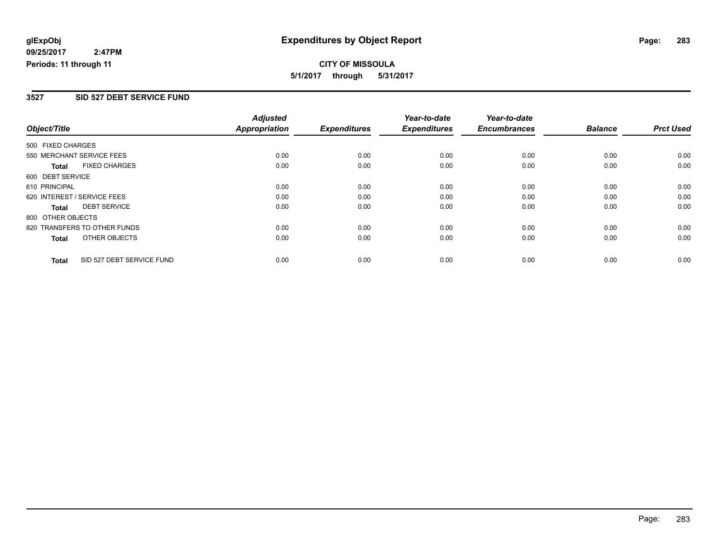**CITY OF MISSOULA 5/1/2017 through 5/31/2017**

#### **3527 SID 527 DEBT SERVICE FUND**

|                             |                              | <b>Adjusted</b>      |                     | Year-to-date        | Year-to-date        |                |                  |
|-----------------------------|------------------------------|----------------------|---------------------|---------------------|---------------------|----------------|------------------|
| Object/Title                |                              | <b>Appropriation</b> | <b>Expenditures</b> | <b>Expenditures</b> | <b>Encumbrances</b> | <b>Balance</b> | <b>Prct Used</b> |
| 500 FIXED CHARGES           |                              |                      |                     |                     |                     |                |                  |
|                             | 550 MERCHANT SERVICE FEES    | 0.00                 | 0.00                | 0.00                | 0.00                | 0.00           | 0.00             |
| <b>Total</b>                | <b>FIXED CHARGES</b>         | 0.00                 | 0.00                | 0.00                | 0.00                | 0.00           | 0.00             |
| 600 DEBT SERVICE            |                              |                      |                     |                     |                     |                |                  |
| 610 PRINCIPAL               |                              | 0.00                 | 0.00                | 0.00                | 0.00                | 0.00           | 0.00             |
| 620 INTEREST / SERVICE FEES |                              | 0.00                 | 0.00                | 0.00                | 0.00                | 0.00           | 0.00             |
| Total                       | <b>DEBT SERVICE</b>          | 0.00                 | 0.00                | 0.00                | 0.00                | 0.00           | 0.00             |
| 800 OTHER OBJECTS           |                              |                      |                     |                     |                     |                |                  |
|                             | 820 TRANSFERS TO OTHER FUNDS | 0.00                 | 0.00                | 0.00                | 0.00                | 0.00           | 0.00             |
| Total                       | OTHER OBJECTS                | 0.00                 | 0.00                | 0.00                | 0.00                | 0.00           | 0.00             |
| <b>Total</b>                | SID 527 DEBT SERVICE FUND    | 0.00                 | 0.00                | 0.00                | 0.00                | 0.00           | 0.00             |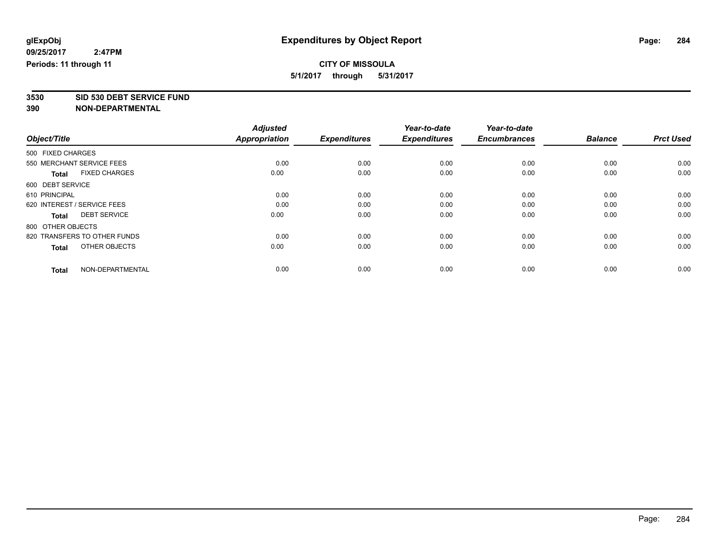**3530 SID 530 DEBT SERVICE FUND**

|                                      | <b>Adjusted</b> |                     | Year-to-date        | Year-to-date        |                |                  |
|--------------------------------------|-----------------|---------------------|---------------------|---------------------|----------------|------------------|
| Object/Title                         | Appropriation   | <b>Expenditures</b> | <b>Expenditures</b> | <b>Encumbrances</b> | <b>Balance</b> | <b>Prct Used</b> |
| 500 FIXED CHARGES                    |                 |                     |                     |                     |                |                  |
| 550 MERCHANT SERVICE FEES            | 0.00            | 0.00                | 0.00                | 0.00                | 0.00           | 0.00             |
| <b>FIXED CHARGES</b><br><b>Total</b> | 0.00            | 0.00                | 0.00                | 0.00                | 0.00           | 0.00             |
| 600 DEBT SERVICE                     |                 |                     |                     |                     |                |                  |
| 610 PRINCIPAL                        | 0.00            | 0.00                | 0.00                | 0.00                | 0.00           | 0.00             |
| 620 INTEREST / SERVICE FEES          | 0.00            | 0.00                | 0.00                | 0.00                | 0.00           | 0.00             |
| <b>DEBT SERVICE</b><br><b>Total</b>  | 0.00            | 0.00                | 0.00                | 0.00                | 0.00           | 0.00             |
| 800 OTHER OBJECTS                    |                 |                     |                     |                     |                |                  |
| 820 TRANSFERS TO OTHER FUNDS         | 0.00            | 0.00                | 0.00                | 0.00                | 0.00           | 0.00             |
| OTHER OBJECTS<br>Total               | 0.00            | 0.00                | 0.00                | 0.00                | 0.00           | 0.00             |
|                                      |                 |                     |                     |                     |                |                  |
| NON-DEPARTMENTAL<br><b>Total</b>     | 0.00            | 0.00                | 0.00                | 0.00                | 0.00           | 0.00             |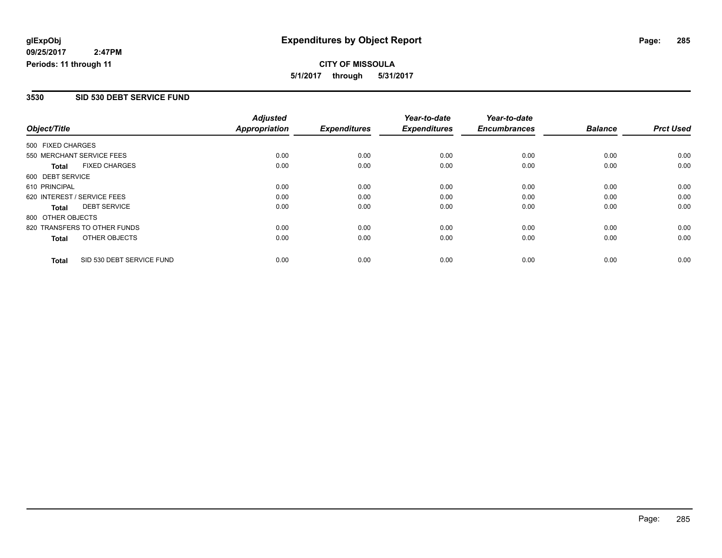**CITY OF MISSOULA 5/1/2017 through 5/31/2017**

#### **3530 SID 530 DEBT SERVICE FUND**

|                   |                              | <b>Adjusted</b>      |                     | Year-to-date        | Year-to-date        |                |                  |
|-------------------|------------------------------|----------------------|---------------------|---------------------|---------------------|----------------|------------------|
| Object/Title      |                              | <b>Appropriation</b> | <b>Expenditures</b> | <b>Expenditures</b> | <b>Encumbrances</b> | <b>Balance</b> | <b>Prct Used</b> |
| 500 FIXED CHARGES |                              |                      |                     |                     |                     |                |                  |
|                   | 550 MERCHANT SERVICE FEES    | 0.00                 | 0.00                | 0.00                | 0.00                | 0.00           | 0.00             |
| <b>Total</b>      | <b>FIXED CHARGES</b>         | 0.00                 | 0.00                | 0.00                | 0.00                | 0.00           | 0.00             |
| 600 DEBT SERVICE  |                              |                      |                     |                     |                     |                |                  |
| 610 PRINCIPAL     |                              | 0.00                 | 0.00                | 0.00                | 0.00                | 0.00           | 0.00             |
|                   | 620 INTEREST / SERVICE FEES  | 0.00                 | 0.00                | 0.00                | 0.00                | 0.00           | 0.00             |
| Total             | <b>DEBT SERVICE</b>          | 0.00                 | 0.00                | 0.00                | 0.00                | 0.00           | 0.00             |
| 800 OTHER OBJECTS |                              |                      |                     |                     |                     |                |                  |
|                   | 820 TRANSFERS TO OTHER FUNDS | 0.00                 | 0.00                | 0.00                | 0.00                | 0.00           | 0.00             |
| Total             | OTHER OBJECTS                | 0.00                 | 0.00                | 0.00                | 0.00                | 0.00           | 0.00             |
| <b>Total</b>      | SID 530 DEBT SERVICE FUND    | 0.00                 | 0.00                | 0.00                | 0.00                | 0.00           | 0.00             |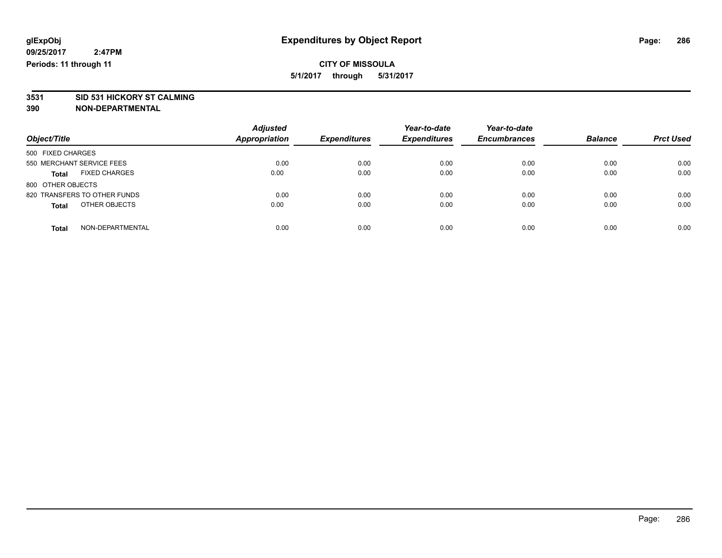**3531 SID 531 HICKORY ST CALMING**

| Object/Title                         | <b>Adjusted</b>      | <b>Expenditures</b> | Year-to-date<br><b>Expenditures</b> | Year-to-date<br><b>Encumbrances</b> | <b>Balance</b> | <b>Prct Used</b> |
|--------------------------------------|----------------------|---------------------|-------------------------------------|-------------------------------------|----------------|------------------|
|                                      | <b>Appropriation</b> |                     |                                     |                                     |                |                  |
| 500 FIXED CHARGES                    |                      |                     |                                     |                                     |                |                  |
| 550 MERCHANT SERVICE FEES            | 0.00                 | 0.00                | 0.00                                | 0.00                                | 0.00           | 0.00             |
| <b>FIXED CHARGES</b><br><b>Total</b> | 0.00                 | 0.00                | 0.00                                | 0.00                                | 0.00           | 0.00             |
| 800 OTHER OBJECTS                    |                      |                     |                                     |                                     |                |                  |
| 820 TRANSFERS TO OTHER FUNDS         | 0.00                 | 0.00                | 0.00                                | 0.00                                | 0.00           | 0.00             |
| OTHER OBJECTS<br><b>Total</b>        | 0.00                 | 0.00                | 0.00                                | 0.00                                | 0.00           | 0.00             |
| NON-DEPARTMENTAL<br><b>Total</b>     | 0.00                 | 0.00                | 0.00                                | 0.00                                | 0.00           | 0.00             |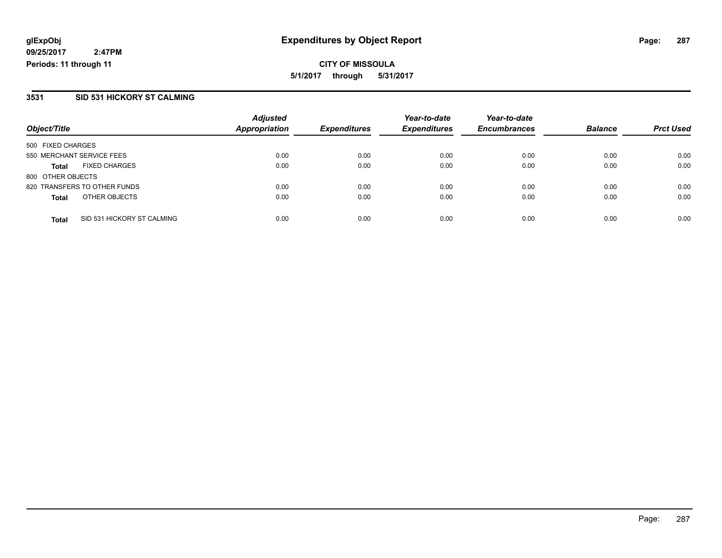**CITY OF MISSOULA 5/1/2017 through 5/31/2017**

### **3531 SID 531 HICKORY ST CALMING**

|                                            | <b>Adjusted</b>      |                     | Year-to-date        | Year-to-date        |                |                  |
|--------------------------------------------|----------------------|---------------------|---------------------|---------------------|----------------|------------------|
| Object/Title                               | <b>Appropriation</b> | <b>Expenditures</b> | <b>Expenditures</b> | <b>Encumbrances</b> | <b>Balance</b> | <b>Prct Used</b> |
| 500 FIXED CHARGES                          |                      |                     |                     |                     |                |                  |
| 550 MERCHANT SERVICE FEES                  | 0.00                 | 0.00                | 0.00                | 0.00                | 0.00           | 0.00             |
| <b>FIXED CHARGES</b><br><b>Total</b>       | 0.00                 | 0.00                | 0.00                | 0.00                | 0.00           | 0.00             |
| 800 OTHER OBJECTS                          |                      |                     |                     |                     |                |                  |
| 820 TRANSFERS TO OTHER FUNDS               | 0.00                 | 0.00                | 0.00                | 0.00                | 0.00           | 0.00             |
| OTHER OBJECTS<br><b>Total</b>              | 0.00                 | 0.00                | 0.00                | 0.00                | 0.00           | 0.00             |
| SID 531 HICKORY ST CALMING<br><b>Total</b> | 0.00                 | 0.00                | 0.00                | 0.00                | 0.00           | 0.00             |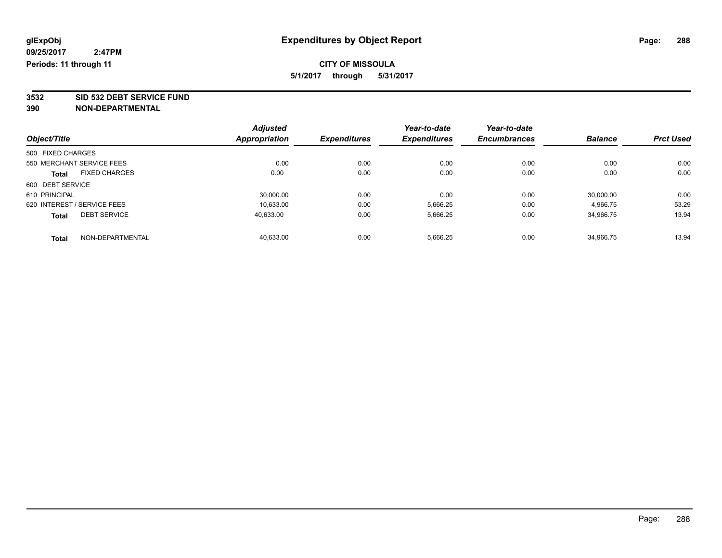**3532 SID 532 DEBT SERVICE FUND**

|                             |                      | <b>Adjusted</b> |                     | Year-to-date        | Year-to-date        |                |                  |
|-----------------------------|----------------------|-----------------|---------------------|---------------------|---------------------|----------------|------------------|
| Object/Title                |                      | Appropriation   | <b>Expenditures</b> | <b>Expenditures</b> | <b>Encumbrances</b> | <b>Balance</b> | <b>Prct Used</b> |
| 500 FIXED CHARGES           |                      |                 |                     |                     |                     |                |                  |
| 550 MERCHANT SERVICE FEES   |                      | 0.00            | 0.00                | 0.00                | 0.00                | 0.00           | 0.00             |
| Total                       | <b>FIXED CHARGES</b> | 0.00            | 0.00                | 0.00                | 0.00                | 0.00           | 0.00             |
| 600 DEBT SERVICE            |                      |                 |                     |                     |                     |                |                  |
| 610 PRINCIPAL               |                      | 30,000.00       | 0.00                | 0.00                | 0.00                | 30,000.00      | 0.00             |
| 620 INTEREST / SERVICE FEES |                      | 10.633.00       | 0.00                | 5,666.25            | 0.00                | 4.966.75       | 53.29            |
| <b>Total</b>                | <b>DEBT SERVICE</b>  | 40,633.00       | 0.00                | 5,666.25            | 0.00                | 34,966.75      | 13.94            |
| <b>Total</b>                | NON-DEPARTMENTAL     | 40.633.00       | 0.00                | 5.666.25            | 0.00                | 34.966.75      | 13.94            |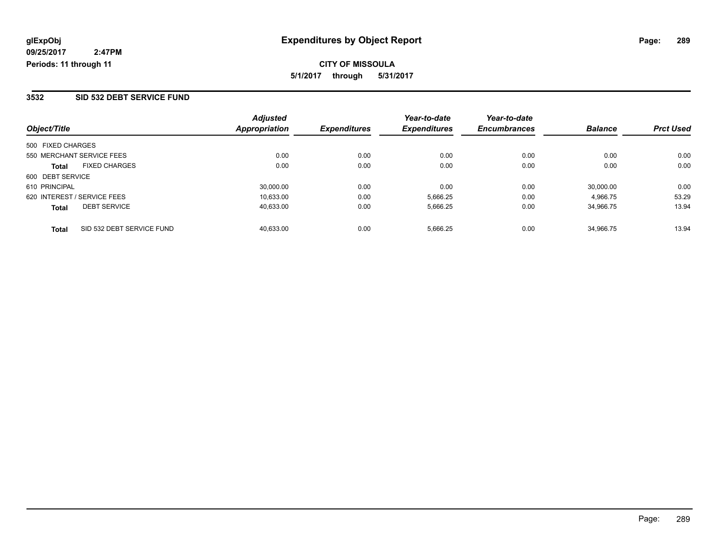### **3532 SID 532 DEBT SERVICE FUND**

|                                           | <b>Adjusted</b> |                     | Year-to-date        | Year-to-date        |                |                  |
|-------------------------------------------|-----------------|---------------------|---------------------|---------------------|----------------|------------------|
| Object/Title                              | Appropriation   | <b>Expenditures</b> | <b>Expenditures</b> | <b>Encumbrances</b> | <b>Balance</b> | <b>Prct Used</b> |
| 500 FIXED CHARGES                         |                 |                     |                     |                     |                |                  |
| 550 MERCHANT SERVICE FEES                 | 0.00            | 0.00                | 0.00                | 0.00                | 0.00           | 0.00             |
| <b>FIXED CHARGES</b><br><b>Total</b>      | 0.00            | 0.00                | 0.00                | 0.00                | 0.00           | 0.00             |
| 600 DEBT SERVICE                          |                 |                     |                     |                     |                |                  |
| 610 PRINCIPAL                             | 30,000.00       | 0.00                | 0.00                | 0.00                | 30.000.00      | 0.00             |
| 620 INTEREST / SERVICE FEES               | 10,633.00       | 0.00                | 5,666.25            | 0.00                | 4.966.75       | 53.29            |
| <b>DEBT SERVICE</b><br><b>Total</b>       | 40,633.00       | 0.00                | 5,666.25            | 0.00                | 34.966.75      | 13.94            |
| SID 532 DEBT SERVICE FUND<br><b>Total</b> | 40.633.00       | 0.00                | 5.666.25            | 0.00                | 34.966.75      | 13.94            |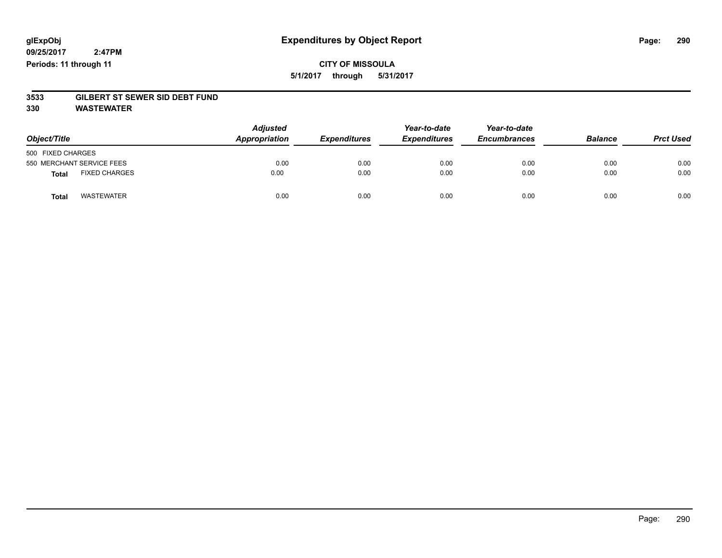# **CITY OF MISSOULA 5/1/2017 through 5/31/2017**

# **3533 GILBERT ST SEWER SID DEBT FUND**

**330 WASTEWATER**

| Object/Title                         | <b>Adjusted</b><br>Appropriation | <b>Expenditures</b> | Year-to-date<br><b>Expenditures</b> | Year-to-date<br><b>Encumbrances</b> | <b>Balance</b> | <b>Prct Used</b> |
|--------------------------------------|----------------------------------|---------------------|-------------------------------------|-------------------------------------|----------------|------------------|
| 500 FIXED CHARGES                    |                                  |                     |                                     |                                     |                |                  |
| 550 MERCHANT SERVICE FEES            | 0.00                             | 0.00                | 0.00                                | 0.00                                | 0.00           | 0.00             |
| <b>FIXED CHARGES</b><br><b>Total</b> | 0.00                             | 0.00                | 0.00                                | 0.00                                | 0.00           | 0.00             |
| <b>WASTEWATER</b><br><b>Total</b>    | 0.00                             | 0.00                | 0.00                                | 0.00                                | 0.00           | 0.00             |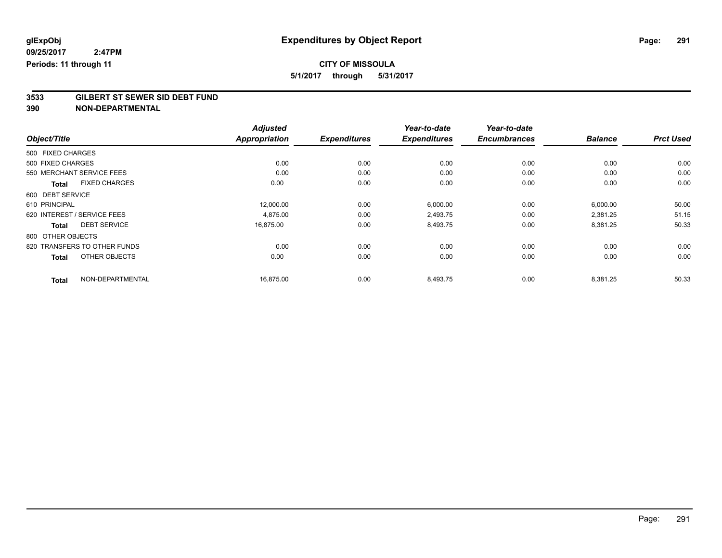# **CITY OF MISSOULA**

**5/1/2017 through 5/31/2017**

# **3533 GILBERT ST SEWER SID DEBT FUND**

|                                      | <b>Adjusted</b><br><b>Appropriation</b> |                     | Year-to-date<br><b>Expenditures</b> | Year-to-date        | <b>Balance</b> |                  |
|--------------------------------------|-----------------------------------------|---------------------|-------------------------------------|---------------------|----------------|------------------|
| Object/Title                         |                                         | <b>Expenditures</b> |                                     | <b>Encumbrances</b> |                | <b>Prct Used</b> |
| 500 FIXED CHARGES                    |                                         |                     |                                     |                     |                |                  |
| 500 FIXED CHARGES                    | 0.00                                    | 0.00                | 0.00                                | 0.00                | 0.00           | 0.00             |
| 550 MERCHANT SERVICE FEES            | 0.00                                    | 0.00                | 0.00                                | 0.00                | 0.00           | 0.00             |
| <b>FIXED CHARGES</b><br><b>Total</b> | 0.00                                    | 0.00                | 0.00                                | 0.00                | 0.00           | 0.00             |
| 600 DEBT SERVICE                     |                                         |                     |                                     |                     |                |                  |
| 610 PRINCIPAL                        | 12,000.00                               | 0.00                | 6,000.00                            | 0.00                | 6,000.00       | 50.00            |
| 620 INTEREST / SERVICE FEES          | 4,875.00                                | 0.00                | 2,493.75                            | 0.00                | 2,381.25       | 51.15            |
| <b>DEBT SERVICE</b><br><b>Total</b>  | 16,875.00                               | 0.00                | 8,493.75                            | 0.00                | 8,381.25       | 50.33            |
| 800 OTHER OBJECTS                    |                                         |                     |                                     |                     |                |                  |
| 820 TRANSFERS TO OTHER FUNDS         | 0.00                                    | 0.00                | 0.00                                | 0.00                | 0.00           | 0.00             |
| OTHER OBJECTS<br><b>Total</b>        | 0.00                                    | 0.00                | 0.00                                | 0.00                | 0.00           | 0.00             |
| NON-DEPARTMENTAL<br><b>Total</b>     | 16,875.00                               | 0.00                | 8,493.75                            | 0.00                | 8,381.25       | 50.33            |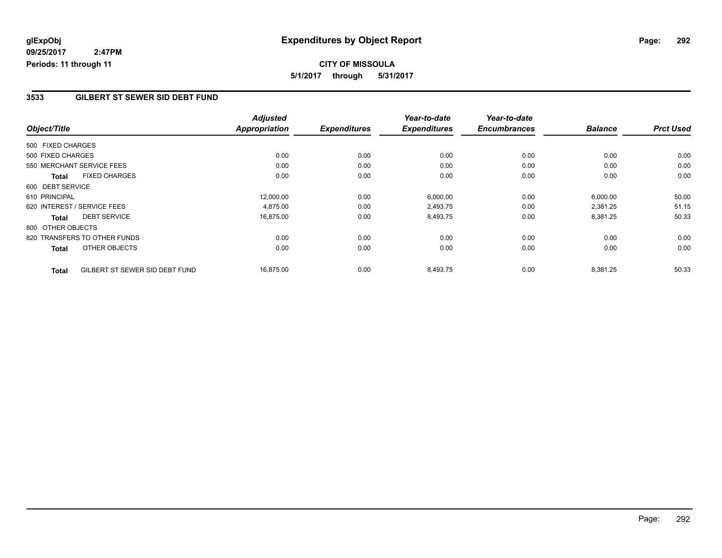# **CITY OF MISSOULA 5/1/2017 through 5/31/2017**

#### **3533 GILBERT ST SEWER SID DEBT FUND**

| Object/Title      |                                | <b>Adjusted</b><br><b>Appropriation</b> | <b>Expenditures</b> | Year-to-date<br><b>Expenditures</b> | Year-to-date<br><b>Encumbrances</b> | <b>Balance</b> | <b>Prct Used</b> |
|-------------------|--------------------------------|-----------------------------------------|---------------------|-------------------------------------|-------------------------------------|----------------|------------------|
| 500 FIXED CHARGES |                                |                                         |                     |                                     |                                     |                |                  |
| 500 FIXED CHARGES |                                | 0.00                                    | 0.00                | 0.00                                | 0.00                                | 0.00           | 0.00             |
|                   |                                |                                         |                     |                                     |                                     |                |                  |
|                   | 550 MERCHANT SERVICE FEES      | 0.00                                    | 0.00                | 0.00                                | 0.00                                | 0.00           | 0.00             |
| <b>Total</b>      | <b>FIXED CHARGES</b>           | 0.00                                    | 0.00                | 0.00                                | 0.00                                | 0.00           | 0.00             |
| 600 DEBT SERVICE  |                                |                                         |                     |                                     |                                     |                |                  |
| 610 PRINCIPAL     |                                | 12,000.00                               | 0.00                | 6,000.00                            | 0.00                                | 6,000.00       | 50.00            |
|                   | 620 INTEREST / SERVICE FEES    | 4,875.00                                | 0.00                | 2,493.75                            | 0.00                                | 2,381.25       | 51.15            |
| Total             | <b>DEBT SERVICE</b>            | 16,875.00                               | 0.00                | 8,493.75                            | 0.00                                | 8,381.25       | 50.33            |
| 800 OTHER OBJECTS |                                |                                         |                     |                                     |                                     |                |                  |
|                   | 820 TRANSFERS TO OTHER FUNDS   | 0.00                                    | 0.00                | 0.00                                | 0.00                                | 0.00           | 0.00             |
| <b>Total</b>      | <b>OTHER OBJECTS</b>           | 0.00                                    | 0.00                | 0.00                                | 0.00                                | 0.00           | 0.00             |
| <b>Total</b>      | GILBERT ST SEWER SID DEBT FUND | 16,875.00                               | 0.00                | 8,493.75                            | 0.00                                | 8,381.25       | 50.33            |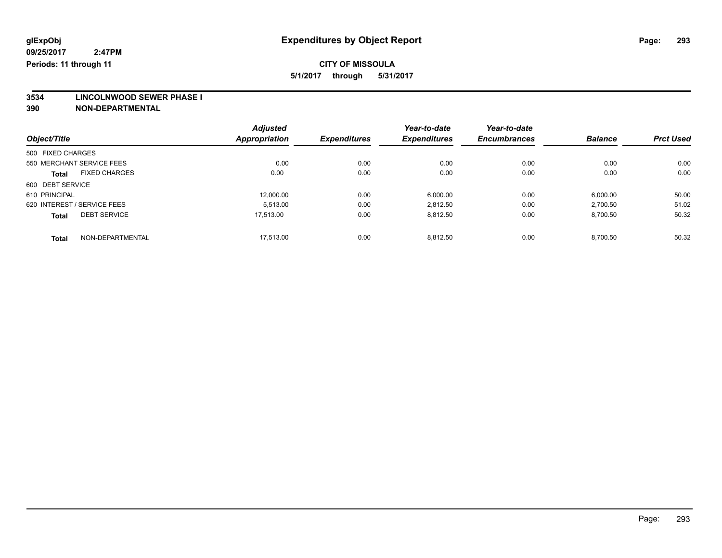**3534 LINCOLNWOOD SEWER PHASE I**

|                                      | <b>Adjusted</b>      |                     | Year-to-date        | Year-to-date        |                |                  |
|--------------------------------------|----------------------|---------------------|---------------------|---------------------|----------------|------------------|
| Object/Title                         | <b>Appropriation</b> | <b>Expenditures</b> | <b>Expenditures</b> | <b>Encumbrances</b> | <b>Balance</b> | <b>Prct Used</b> |
| 500 FIXED CHARGES                    |                      |                     |                     |                     |                |                  |
| 550 MERCHANT SERVICE FEES            | 0.00                 | 0.00                | 0.00                | 0.00                | 0.00           | 0.00             |
| <b>FIXED CHARGES</b><br><b>Total</b> | 0.00                 | 0.00                | 0.00                | 0.00                | 0.00           | 0.00             |
| 600 DEBT SERVICE                     |                      |                     |                     |                     |                |                  |
| 610 PRINCIPAL                        | 12.000.00            | 0.00                | 6,000.00            | 0.00                | 6,000.00       | 50.00            |
| 620 INTEREST / SERVICE FEES          | 5.513.00             | 0.00                | 2,812.50            | 0.00                | 2,700.50       | 51.02            |
| <b>DEBT SERVICE</b><br><b>Total</b>  | 17.513.00            | 0.00                | 8,812.50            | 0.00                | 8,700.50       | 50.32            |
| NON-DEPARTMENTAL<br><b>Total</b>     | 17.513.00            | 0.00                | 8.812.50            | 0.00                | 8.700.50       | 50.32            |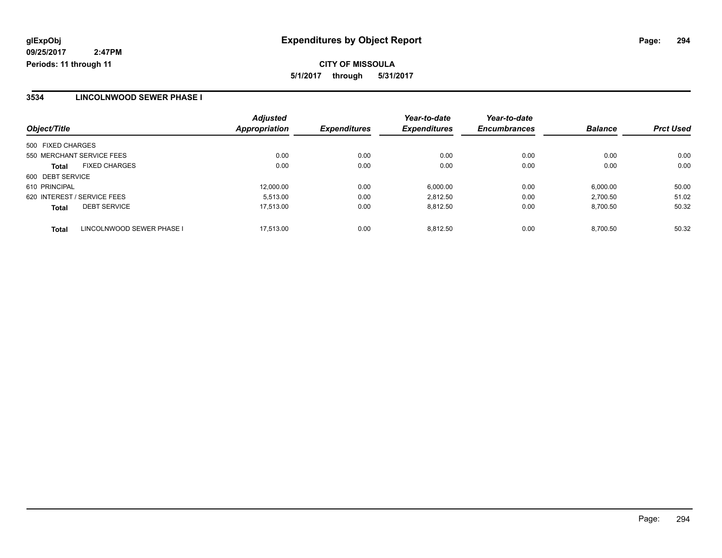**CITY OF MISSOULA 5/1/2017 through 5/31/2017**

#### **3534 LINCOLNWOOD SEWER PHASE I**

| Object/Title                              | <b>Adjusted</b><br>Appropriation | <b>Expenditures</b> | Year-to-date<br><b>Expenditures</b> | Year-to-date<br><b>Encumbrances</b> | <b>Balance</b> | <b>Prct Used</b> |
|-------------------------------------------|----------------------------------|---------------------|-------------------------------------|-------------------------------------|----------------|------------------|
|                                           |                                  |                     |                                     |                                     |                |                  |
| 500 FIXED CHARGES                         |                                  |                     |                                     |                                     |                |                  |
| 550 MERCHANT SERVICE FEES                 | 0.00                             | 0.00                | 0.00                                | 0.00                                | 0.00           | 0.00             |
| <b>FIXED CHARGES</b><br><b>Total</b>      | 0.00                             | 0.00                | 0.00                                | 0.00                                | 0.00           | 0.00             |
| 600 DEBT SERVICE                          |                                  |                     |                                     |                                     |                |                  |
| 610 PRINCIPAL                             | 12,000.00                        | 0.00                | 6,000.00                            | 0.00                                | 6,000.00       | 50.00            |
| 620 INTEREST / SERVICE FEES               | 5.513.00                         | 0.00                | 2.812.50                            | 0.00                                | 2.700.50       | 51.02            |
| <b>DEBT SERVICE</b><br><b>Total</b>       | 17,513.00                        | 0.00                | 8,812.50                            | 0.00                                | 8,700.50       | 50.32            |
| LINCOLNWOOD SEWER PHASE I<br><b>Total</b> | 17.513.00                        | 0.00                | 8.812.50                            | 0.00                                | 8.700.50       | 50.32            |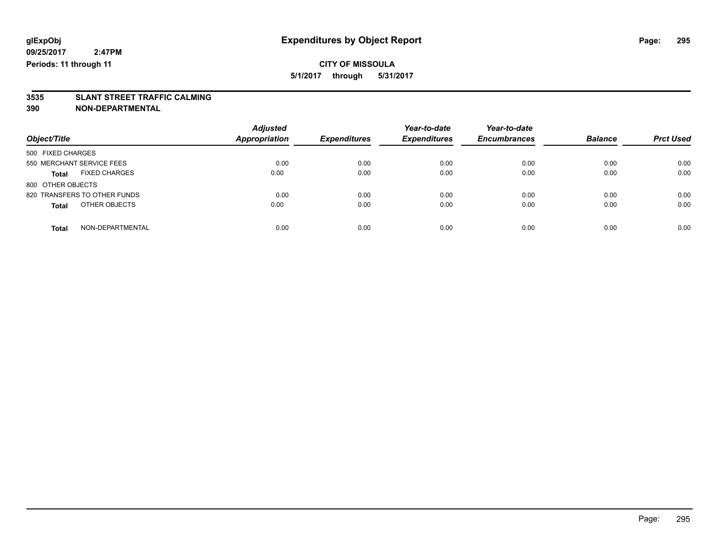# **3535 SLANT STREET TRAFFIC CALMING**

| Object/Title                         | <b>Adjusted</b><br><b>Appropriation</b> | <b>Expenditures</b> | Year-to-date<br><b>Expenditures</b> | Year-to-date<br><b>Encumbrances</b> | <b>Balance</b> | <b>Prct Used</b> |
|--------------------------------------|-----------------------------------------|---------------------|-------------------------------------|-------------------------------------|----------------|------------------|
| 500 FIXED CHARGES                    |                                         |                     |                                     |                                     |                |                  |
| 550 MERCHANT SERVICE FEES            | 0.00                                    | 0.00                | 0.00                                | 0.00                                | 0.00           | 0.00             |
| <b>FIXED CHARGES</b><br><b>Total</b> | 0.00                                    | 0.00                | 0.00                                | 0.00                                | 0.00           | 0.00             |
| 800 OTHER OBJECTS                    |                                         |                     |                                     |                                     |                |                  |
| 820 TRANSFERS TO OTHER FUNDS         | 0.00                                    | 0.00                | 0.00                                | 0.00                                | 0.00           | 0.00             |
| OTHER OBJECTS<br><b>Total</b>        | 0.00                                    | 0.00                | 0.00                                | 0.00                                | 0.00           | 0.00             |
| NON-DEPARTMENTAL<br>Total            | 0.00                                    | 0.00                | 0.00                                | 0.00                                | 0.00           | 0.00             |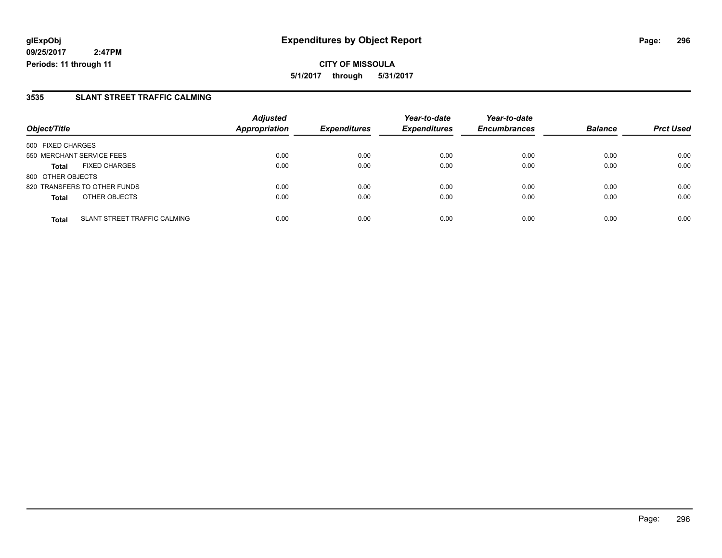**CITY OF MISSOULA 5/1/2017 through 5/31/2017**

### **3535 SLANT STREET TRAFFIC CALMING**

|                              |                                     | <b>Adjusted</b>      |                     | Year-to-date        | Year-to-date        |                |                  |
|------------------------------|-------------------------------------|----------------------|---------------------|---------------------|---------------------|----------------|------------------|
| Object/Title                 |                                     | <b>Appropriation</b> | <b>Expenditures</b> | <b>Expenditures</b> | <b>Encumbrances</b> | <b>Balance</b> | <b>Prct Used</b> |
| 500 FIXED CHARGES            |                                     |                      |                     |                     |                     |                |                  |
| 550 MERCHANT SERVICE FEES    |                                     | 0.00                 | 0.00                | 0.00                | 0.00                | 0.00           | 0.00             |
| <b>Total</b>                 | <b>FIXED CHARGES</b>                | 0.00                 | 0.00                | 0.00                | 0.00                | 0.00           | 0.00             |
| 800 OTHER OBJECTS            |                                     |                      |                     |                     |                     |                |                  |
| 820 TRANSFERS TO OTHER FUNDS |                                     | 0.00                 | 0.00                | 0.00                | 0.00                | 0.00           | 0.00             |
| <b>Total</b>                 | OTHER OBJECTS                       | 0.00                 | 0.00                | 0.00                | 0.00                | 0.00           | 0.00             |
| <b>Total</b>                 | <b>SLANT STREET TRAFFIC CALMING</b> | 0.00                 | 0.00                | 0.00                | 0.00                | 0.00           | 0.00             |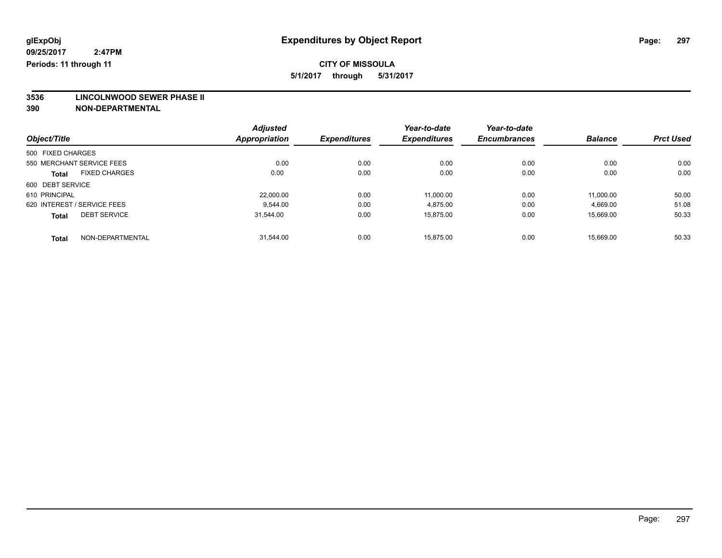**3536 LINCOLNWOOD SEWER PHASE II**

|                                      | <b>Adjusted</b>      | <b>Expenditures</b> | Year-to-date<br><b>Expenditures</b> | Year-to-date        | <b>Balance</b> |                  |
|--------------------------------------|----------------------|---------------------|-------------------------------------|---------------------|----------------|------------------|
| Object/Title                         | <b>Appropriation</b> |                     |                                     | <b>Encumbrances</b> |                | <b>Prct Used</b> |
| 500 FIXED CHARGES                    |                      |                     |                                     |                     |                |                  |
| 550 MERCHANT SERVICE FEES            | 0.00                 | 0.00                | 0.00                                | 0.00                | 0.00           | 0.00             |
| <b>FIXED CHARGES</b><br><b>Total</b> | 0.00                 | 0.00                | 0.00                                | 0.00                | 0.00           | 0.00             |
| 600 DEBT SERVICE                     |                      |                     |                                     |                     |                |                  |
| 610 PRINCIPAL                        | 22,000.00            | 0.00                | 11.000.00                           | 0.00                | 11.000.00      | 50.00            |
| 620 INTEREST / SERVICE FEES          | 9.544.00             | 0.00                | 4.875.00                            | 0.00                | 4.669.00       | 51.08            |
| <b>DEBT SERVICE</b><br><b>Total</b>  | 31.544.00            | 0.00                | 15.875.00                           | 0.00                | 15.669.00      | 50.33            |
| NON-DEPARTMENTAL<br><b>Total</b>     | 31.544.00            | 0.00                | 15.875.00                           | 0.00                | 15.669.00      | 50.33            |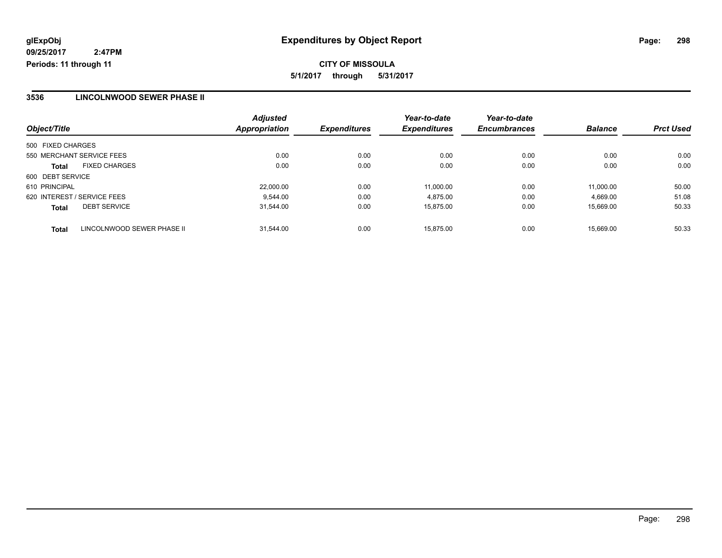**CITY OF MISSOULA 5/1/2017 through 5/31/2017**

### **3536 LINCOLNWOOD SEWER PHASE II**

| Object/Title                               | <b>Adjusted</b><br>Appropriation | <b>Expenditures</b> | Year-to-date<br><b>Expenditures</b> | Year-to-date<br><b>Encumbrances</b> | <b>Balance</b> | <b>Prct Used</b> |
|--------------------------------------------|----------------------------------|---------------------|-------------------------------------|-------------------------------------|----------------|------------------|
|                                            |                                  |                     |                                     |                                     |                |                  |
| 500 FIXED CHARGES                          |                                  |                     |                                     |                                     |                |                  |
| 550 MERCHANT SERVICE FEES                  | 0.00                             | 0.00                | 0.00                                | 0.00                                | 0.00           | 0.00             |
| <b>FIXED CHARGES</b><br><b>Total</b>       | 0.00                             | 0.00                | 0.00                                | 0.00                                | 0.00           | 0.00             |
| 600 DEBT SERVICE                           |                                  |                     |                                     |                                     |                |                  |
| 610 PRINCIPAL                              | 22,000.00                        | 0.00                | 11.000.00                           | 0.00                                | 11.000.00      | 50.00            |
| 620 INTEREST / SERVICE FEES                | 9.544.00                         | 0.00                | 4.875.00                            | 0.00                                | 4.669.00       | 51.08            |
| <b>DEBT SERVICE</b><br><b>Total</b>        | 31,544.00                        | 0.00                | 15,875.00                           | 0.00                                | 15,669.00      | 50.33            |
| LINCOLNWOOD SEWER PHASE II<br><b>Total</b> | 31.544.00                        | 0.00                | 15.875.00                           | 0.00                                | 15.669.00      | 50.33            |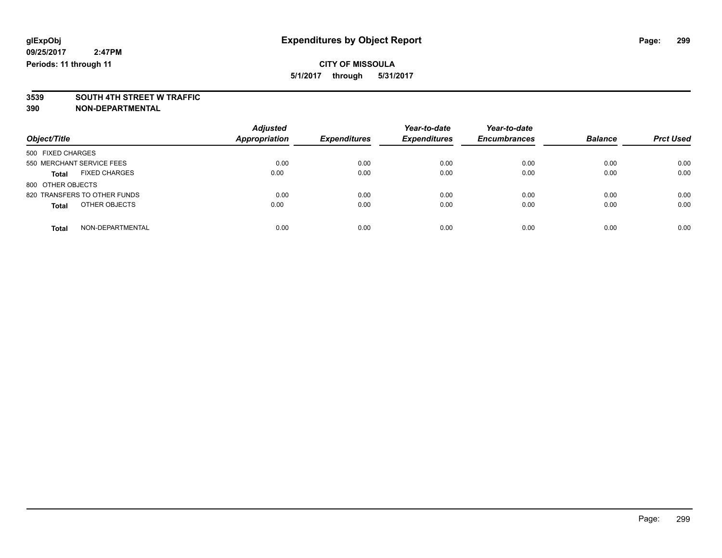# **3539 SOUTH 4TH STREET W TRAFFIC**

| Object/Title                         | <b>Adjusted</b><br><b>Appropriation</b> | <b>Expenditures</b> | Year-to-date<br><b>Expenditures</b> | Year-to-date<br><b>Encumbrances</b> | <b>Balance</b> | <b>Prct Used</b> |
|--------------------------------------|-----------------------------------------|---------------------|-------------------------------------|-------------------------------------|----------------|------------------|
| 500 FIXED CHARGES                    |                                         |                     |                                     |                                     |                |                  |
| 550 MERCHANT SERVICE FEES            | 0.00                                    | 0.00                | 0.00                                | 0.00                                | 0.00           | 0.00             |
| <b>FIXED CHARGES</b><br><b>Total</b> | 0.00                                    | 0.00                | 0.00                                | 0.00                                | 0.00           | 0.00             |
| 800 OTHER OBJECTS                    |                                         |                     |                                     |                                     |                |                  |
| 820 TRANSFERS TO OTHER FUNDS         | 0.00                                    | 0.00                | 0.00                                | 0.00                                | 0.00           | 0.00             |
| OTHER OBJECTS<br><b>Total</b>        | 0.00                                    | 0.00                | 0.00                                | 0.00                                | 0.00           | 0.00             |
|                                      |                                         |                     |                                     |                                     |                |                  |
| NON-DEPARTMENTAL<br>Total            | 0.00                                    | 0.00                | 0.00                                | 0.00                                | 0.00           | 0.00             |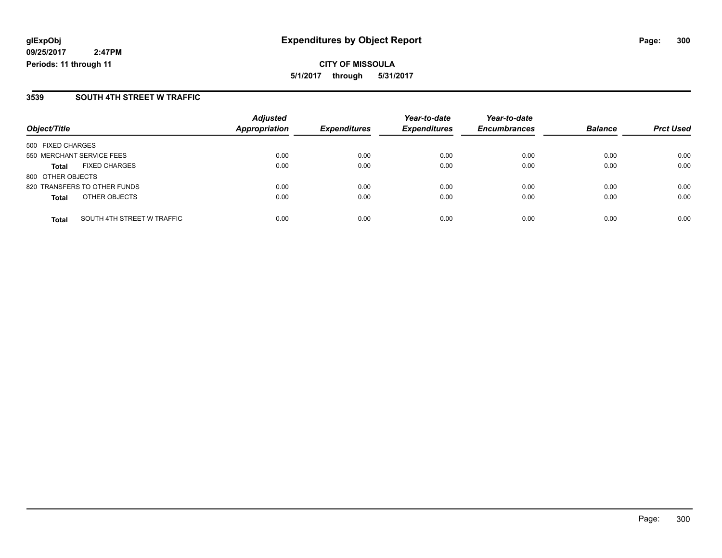**CITY OF MISSOULA 5/1/2017 through 5/31/2017**

#### **3539 SOUTH 4TH STREET W TRAFFIC**

|                           |                              | <b>Adjusted</b>      |                     | Year-to-date        | Year-to-date        | <b>Balance</b> | <b>Prct Used</b> |
|---------------------------|------------------------------|----------------------|---------------------|---------------------|---------------------|----------------|------------------|
| Object/Title              |                              | <b>Appropriation</b> | <b>Expenditures</b> | <b>Expenditures</b> | <b>Encumbrances</b> |                |                  |
| 500 FIXED CHARGES         |                              |                      |                     |                     |                     |                |                  |
| 550 MERCHANT SERVICE FEES |                              | 0.00                 | 0.00                | 0.00                | 0.00                | 0.00           | 0.00             |
| <b>Total</b>              | <b>FIXED CHARGES</b>         | 0.00                 | 0.00                | 0.00                | 0.00                | 0.00           | 0.00             |
| 800 OTHER OBJECTS         |                              |                      |                     |                     |                     |                |                  |
|                           | 820 TRANSFERS TO OTHER FUNDS | 0.00                 | 0.00                | 0.00                | 0.00                | 0.00           | 0.00             |
| <b>Total</b>              | OTHER OBJECTS                | 0.00                 | 0.00                | 0.00                | 0.00                | 0.00           | 0.00             |
| <b>Total</b>              | SOUTH 4TH STREET W TRAFFIC   | 0.00                 | 0.00                | 0.00                | 0.00                | 0.00           | 0.00             |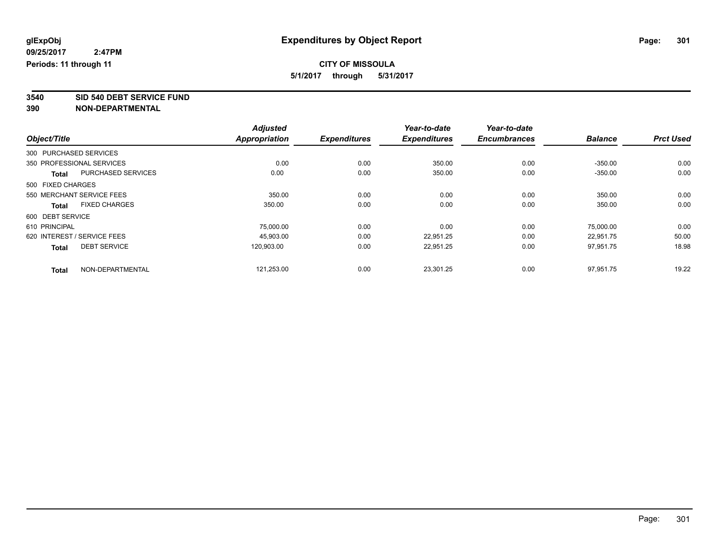**3540 SID 540 DEBT SERVICE FUND**

|                                           | <b>Adjusted</b><br><b>Appropriation</b> |                     | Year-to-date<br><b>Expenditures</b> | Year-to-date        | <b>Balance</b> | <b>Prct Used</b> |
|-------------------------------------------|-----------------------------------------|---------------------|-------------------------------------|---------------------|----------------|------------------|
| Object/Title                              |                                         | <b>Expenditures</b> |                                     | <b>Encumbrances</b> |                |                  |
| 300 PURCHASED SERVICES                    |                                         |                     |                                     |                     |                |                  |
| 350 PROFESSIONAL SERVICES                 | 0.00                                    | 0.00                | 350.00                              | 0.00                | $-350.00$      | 0.00             |
| <b>PURCHASED SERVICES</b><br><b>Total</b> | 0.00                                    | 0.00                | 350.00                              | 0.00                | $-350.00$      | 0.00             |
| 500 FIXED CHARGES                         |                                         |                     |                                     |                     |                |                  |
| 550 MERCHANT SERVICE FEES                 | 350.00                                  | 0.00                | 0.00                                | 0.00                | 350.00         | 0.00             |
| <b>FIXED CHARGES</b><br><b>Total</b>      | 350.00                                  | 0.00                | 0.00                                | 0.00                | 350.00         | 0.00             |
| 600 DEBT SERVICE                          |                                         |                     |                                     |                     |                |                  |
| 610 PRINCIPAL                             | 75,000.00                               | 0.00                | 0.00                                | 0.00                | 75.000.00      | 0.00             |
| 620 INTEREST / SERVICE FEES               | 45.903.00                               | 0.00                | 22,951.25                           | 0.00                | 22,951.75      | 50.00            |
| <b>DEBT SERVICE</b><br><b>Total</b>       | 120.903.00                              | 0.00                | 22,951.25                           | 0.00                | 97,951.75      | 18.98            |
| NON-DEPARTMENTAL<br><b>Total</b>          | 121,253.00                              | 0.00                | 23,301.25                           | 0.00                | 97,951.75      | 19.22            |
|                                           |                                         |                     |                                     |                     |                |                  |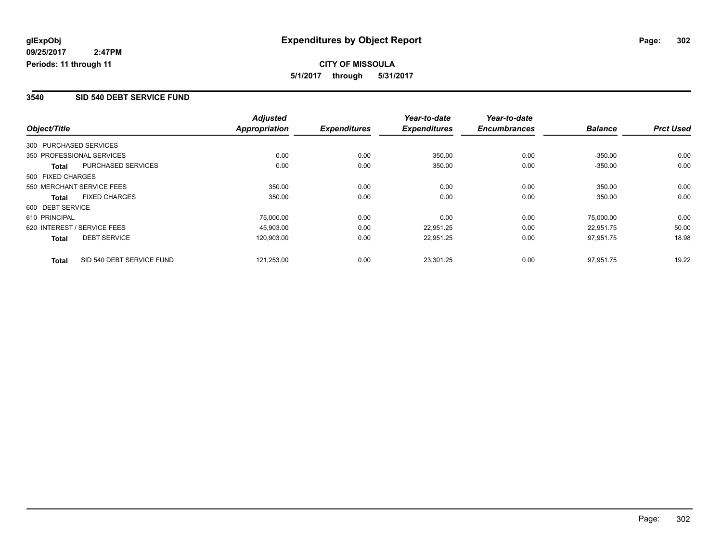#### **3540 SID 540 DEBT SERVICE FUND**

|                                     |                           | <b>Adjusted</b>      |                     | Year-to-date        | Year-to-date        |                |                  |
|-------------------------------------|---------------------------|----------------------|---------------------|---------------------|---------------------|----------------|------------------|
| Object/Title                        |                           | <b>Appropriation</b> | <b>Expenditures</b> | <b>Expenditures</b> | <b>Encumbrances</b> | <b>Balance</b> | <b>Prct Used</b> |
| 300 PURCHASED SERVICES              |                           |                      |                     |                     |                     |                |                  |
| 350 PROFESSIONAL SERVICES           |                           | 0.00                 | 0.00                | 350.00              | 0.00                | $-350.00$      | 0.00             |
| Total                               | <b>PURCHASED SERVICES</b> | 0.00                 | 0.00                | 350.00              | 0.00                | $-350.00$      | 0.00             |
| 500 FIXED CHARGES                   |                           |                      |                     |                     |                     |                |                  |
| 550 MERCHANT SERVICE FEES           |                           | 350.00               | 0.00                | 0.00                | 0.00                | 350.00         | 0.00             |
| <b>FIXED CHARGES</b><br>Total       |                           | 350.00               | 0.00                | 0.00                | 0.00                | 350.00         | 0.00             |
| 600 DEBT SERVICE                    |                           |                      |                     |                     |                     |                |                  |
| 610 PRINCIPAL                       |                           | 75,000.00            | 0.00                | 0.00                | 0.00                | 75,000.00      | 0.00             |
| 620 INTEREST / SERVICE FEES         |                           | 45,903.00            | 0.00                | 22,951.25           | 0.00                | 22.951.75      | 50.00            |
| <b>DEBT SERVICE</b><br><b>Total</b> |                           | 120,903.00           | 0.00                | 22,951.25           | 0.00                | 97,951.75      | 18.98            |
| <b>Total</b>                        | SID 540 DEBT SERVICE FUND | 121,253.00           | 0.00                | 23,301.25           | 0.00                | 97.951.75      | 19.22            |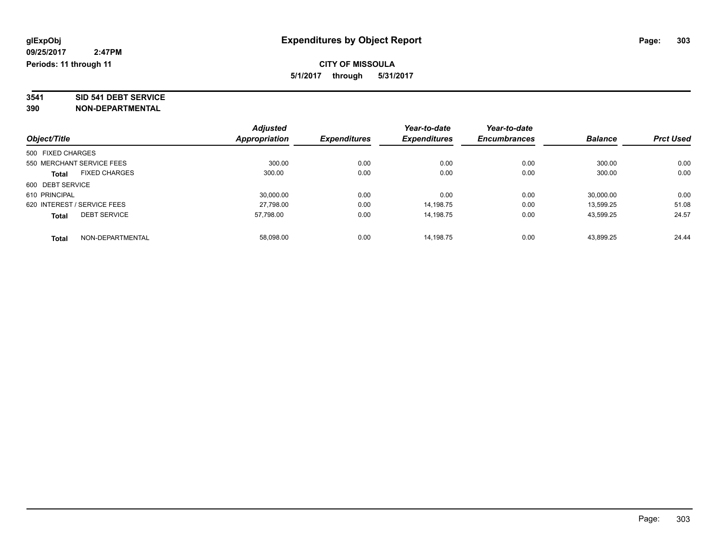# **3541 SID 541 DEBT SERVICE**

|                                      | <b>Adjusted</b>      | <b>Expenditures</b> | Year-to-date<br><b>Expenditures</b> | Year-to-date        | <b>Balance</b> | <b>Prct Used</b> |
|--------------------------------------|----------------------|---------------------|-------------------------------------|---------------------|----------------|------------------|
| Object/Title                         | <b>Appropriation</b> |                     |                                     | <b>Encumbrances</b> |                |                  |
| 500 FIXED CHARGES                    |                      |                     |                                     |                     |                |                  |
| 550 MERCHANT SERVICE FEES            | 300.00               | 0.00                | 0.00                                | 0.00                | 300.00         | 0.00             |
| <b>FIXED CHARGES</b><br><b>Total</b> | 300.00               | 0.00                | 0.00                                | 0.00                | 300.00         | 0.00             |
| 600 DEBT SERVICE                     |                      |                     |                                     |                     |                |                  |
| 610 PRINCIPAL                        | 30,000.00            | 0.00                | 0.00                                | 0.00                | 30.000.00      | 0.00             |
| 620 INTEREST / SERVICE FEES          | 27,798.00            | 0.00                | 14.198.75                           | 0.00                | 13.599.25      | 51.08            |
| <b>DEBT SERVICE</b><br><b>Total</b>  | 57.798.00            | 0.00                | 14.198.75                           | 0.00                | 43.599.25      | 24.57            |
| NON-DEPARTMENTAL<br><b>Total</b>     | 58.098.00            | 0.00                | 14.198.75                           | 0.00                | 43.899.25      | 24.44            |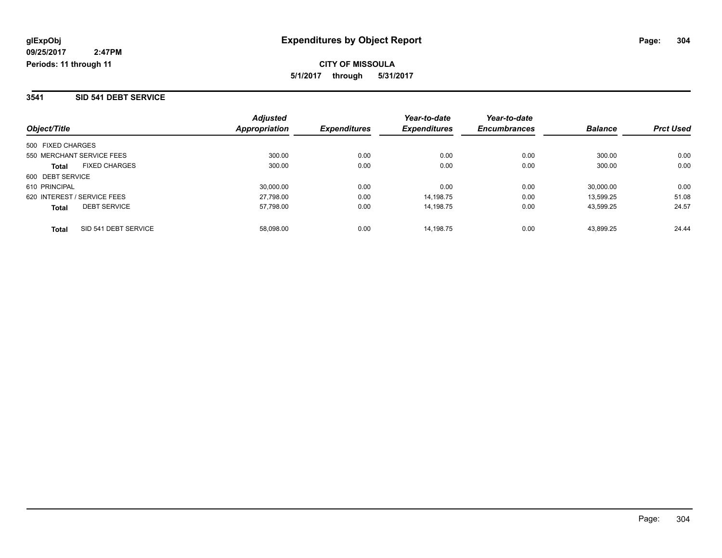#### **3541 SID 541 DEBT SERVICE**

| Object/Title                         | <b>Adjusted</b><br>Appropriation | <b>Expenditures</b> | Year-to-date<br><b>Expenditures</b> | Year-to-date<br><b>Encumbrances</b> | <b>Balance</b> | <b>Prct Used</b> |
|--------------------------------------|----------------------------------|---------------------|-------------------------------------|-------------------------------------|----------------|------------------|
| 500 FIXED CHARGES                    |                                  |                     |                                     |                                     |                |                  |
| 550 MERCHANT SERVICE FEES            | 300.00                           | 0.00                | 0.00                                | 0.00                                | 300.00         | 0.00             |
| <b>FIXED CHARGES</b><br><b>Total</b> | 300.00                           | 0.00                | 0.00                                | 0.00                                | 300.00         | 0.00             |
| 600 DEBT SERVICE                     |                                  |                     |                                     |                                     |                |                  |
| 610 PRINCIPAL                        | 30.000.00                        | 0.00                | 0.00                                | 0.00                                | 30,000.00      | 0.00             |
| 620 INTEREST / SERVICE FEES          | 27,798.00                        | 0.00                | 14.198.75                           | 0.00                                | 13.599.25      | 51.08            |
| <b>DEBT SERVICE</b><br><b>Total</b>  | 57,798.00                        | 0.00                | 14.198.75                           | 0.00                                | 43.599.25      | 24.57            |
| SID 541 DEBT SERVICE<br><b>Total</b> | 58.098.00                        | 0.00                | 14.198.75                           | 0.00                                | 43.899.25      | 24.44            |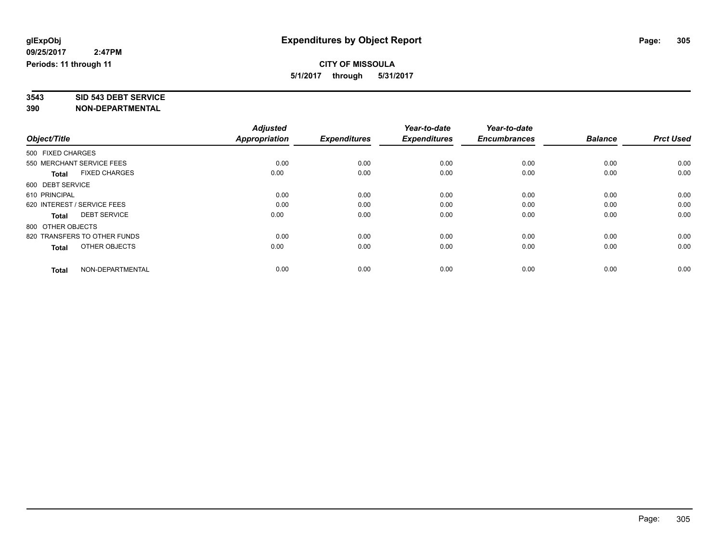# **3543 SID 543 DEBT SERVICE**

|                                      | <b>Adjusted</b><br>Appropriation |                     | Year-to-date<br><b>Expenditures</b> | Year-to-date<br><b>Encumbrances</b> | <b>Balance</b> | <b>Prct Used</b> |
|--------------------------------------|----------------------------------|---------------------|-------------------------------------|-------------------------------------|----------------|------------------|
| Object/Title                         |                                  | <b>Expenditures</b> |                                     |                                     |                |                  |
| 500 FIXED CHARGES                    |                                  |                     |                                     |                                     |                |                  |
| 550 MERCHANT SERVICE FEES            | 0.00                             | 0.00                | 0.00                                | 0.00                                | 0.00           | 0.00             |
| <b>FIXED CHARGES</b><br><b>Total</b> | 0.00                             | 0.00                | 0.00                                | 0.00                                | 0.00           | 0.00             |
| 600 DEBT SERVICE                     |                                  |                     |                                     |                                     |                |                  |
| 610 PRINCIPAL                        | 0.00                             | 0.00                | 0.00                                | 0.00                                | 0.00           | 0.00             |
| 620 INTEREST / SERVICE FEES          | 0.00                             | 0.00                | 0.00                                | 0.00                                | 0.00           | 0.00             |
| <b>DEBT SERVICE</b><br><b>Total</b>  | 0.00                             | 0.00                | 0.00                                | 0.00                                | 0.00           | 0.00             |
| 800 OTHER OBJECTS                    |                                  |                     |                                     |                                     |                |                  |
| 820 TRANSFERS TO OTHER FUNDS         | 0.00                             | 0.00                | 0.00                                | 0.00                                | 0.00           | 0.00             |
| OTHER OBJECTS<br><b>Total</b>        | 0.00                             | 0.00                | 0.00                                | 0.00                                | 0.00           | 0.00             |
|                                      |                                  |                     |                                     |                                     |                |                  |
| NON-DEPARTMENTAL<br><b>Total</b>     | 0.00                             | 0.00                | 0.00                                | 0.00                                | 0.00           | 0.00             |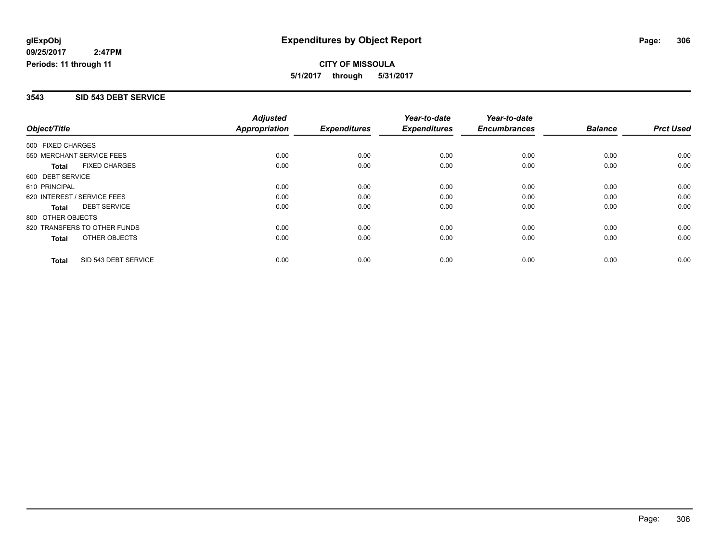#### **3543 SID 543 DEBT SERVICE**

|                              |                      | <b>Adjusted</b>      |                     | Year-to-date        | Year-to-date        |                |                  |
|------------------------------|----------------------|----------------------|---------------------|---------------------|---------------------|----------------|------------------|
| Object/Title                 |                      | <b>Appropriation</b> | <b>Expenditures</b> | <b>Expenditures</b> | <b>Encumbrances</b> | <b>Balance</b> | <b>Prct Used</b> |
| 500 FIXED CHARGES            |                      |                      |                     |                     |                     |                |                  |
| 550 MERCHANT SERVICE FEES    |                      | 0.00                 | 0.00                | 0.00                | 0.00                | 0.00           | 0.00             |
| <b>Total</b>                 | <b>FIXED CHARGES</b> | 0.00                 | 0.00                | 0.00                | 0.00                | 0.00           | 0.00             |
| 600 DEBT SERVICE             |                      |                      |                     |                     |                     |                |                  |
| 610 PRINCIPAL                |                      | 0.00                 | 0.00                | 0.00                | 0.00                | 0.00           | 0.00             |
| 620 INTEREST / SERVICE FEES  |                      | 0.00                 | 0.00                | 0.00                | 0.00                | 0.00           | 0.00             |
| Total                        | <b>DEBT SERVICE</b>  | 0.00                 | 0.00                | 0.00                | 0.00                | 0.00           | 0.00             |
| 800 OTHER OBJECTS            |                      |                      |                     |                     |                     |                |                  |
| 820 TRANSFERS TO OTHER FUNDS |                      | 0.00                 | 0.00                | 0.00                | 0.00                | 0.00           | 0.00             |
| Total                        | OTHER OBJECTS        | 0.00                 | 0.00                | 0.00                | 0.00                | 0.00           | 0.00             |
| <b>Total</b>                 | SID 543 DEBT SERVICE | 0.00                 | 0.00                | 0.00                | 0.00                | 0.00           | 0.00             |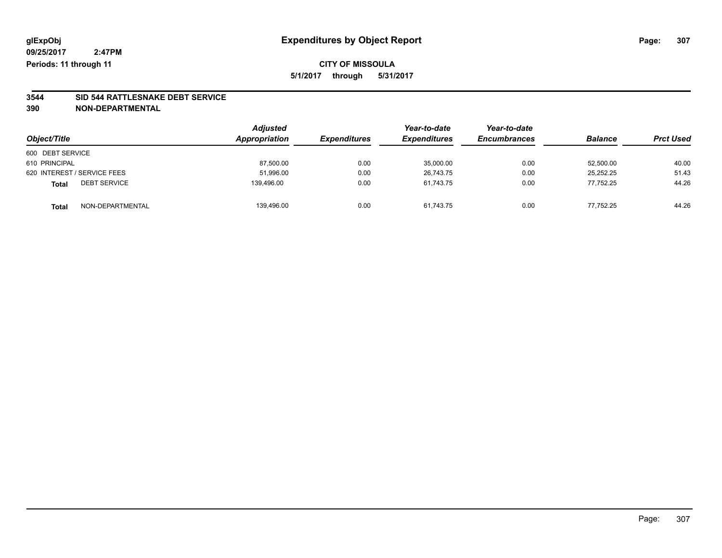# **3544 SID 544 RATTLESNAKE DEBT SERVICE**

|                                     | <b>Adjusted</b><br>Appropriation | <b>Expenditures</b> | Year-to-date        | Year-to-date        | <b>Balance</b> |                  |
|-------------------------------------|----------------------------------|---------------------|---------------------|---------------------|----------------|------------------|
| Object/Title                        |                                  |                     | <b>Expenditures</b> | <b>Encumbrances</b> |                | <b>Prct Used</b> |
| 600 DEBT SERVICE                    |                                  |                     |                     |                     |                |                  |
| 610 PRINCIPAL                       | 87,500.00                        | 0.00                | 35,000.00           | 0.00                | 52,500.00      | 40.00            |
| 620 INTEREST / SERVICE FEES         | 51,996.00                        | 0.00                | 26.743.75           | 0.00                | 25.252.25      | 51.43            |
| <b>DEBT SERVICE</b><br><b>Total</b> | 139.496.00                       | 0.00                | 61.743.75           | 0.00                | 77.752.25      | 44.26            |
| NON-DEPARTMENTAL<br><b>Total</b>    | 139,496.00                       | 0.00                | 61,743.75           | 0.00                | 77.752.25      | 44.26            |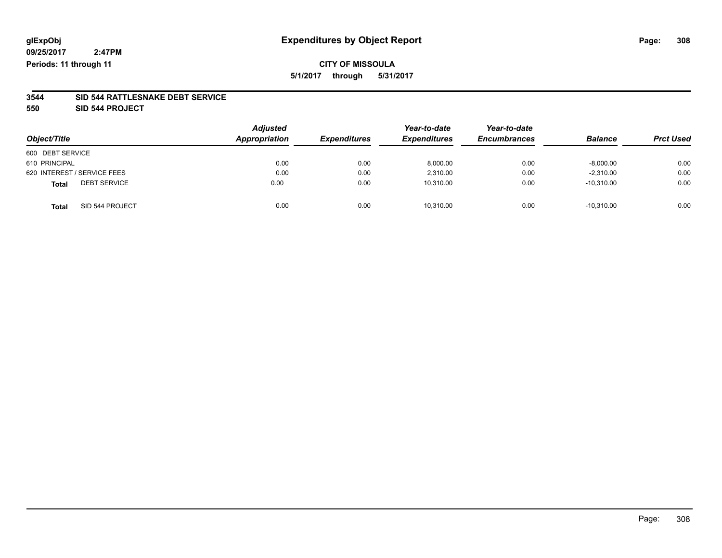# **CITY OF MISSOULA 5/1/2017 through 5/31/2017**

#### **3544 SID 544 RATTLESNAKE DEBT SERVICE**

**550 SID 544 PROJECT**

| Object/Title                        | <b>Adjusted</b><br>Appropriation | <b>Expenditures</b> | Year-to-date<br><b>Expenditures</b> | Year-to-date<br><b>Encumbrances</b> | <b>Balance</b> | <b>Prct Used</b> |
|-------------------------------------|----------------------------------|---------------------|-------------------------------------|-------------------------------------|----------------|------------------|
| 600 DEBT SERVICE                    |                                  |                     |                                     |                                     |                |                  |
| 610 PRINCIPAL                       | 0.00                             | 0.00                | 8,000.00                            | 0.00                                | $-8,000.00$    | 0.00             |
| 620 INTEREST / SERVICE FEES         | 0.00                             | 0.00                | 2,310.00                            | 0.00                                | $-2,310.00$    | 0.00             |
| <b>DEBT SERVICE</b><br><b>Total</b> | 0.00                             | 0.00                | 10,310.00                           | 0.00                                | $-10,310.00$   | 0.00             |
| SID 544 PROJECT<br><b>Total</b>     | 0.00                             | 0.00                | 10,310.00                           | 0.00                                | $-10.310.00$   | 0.00             |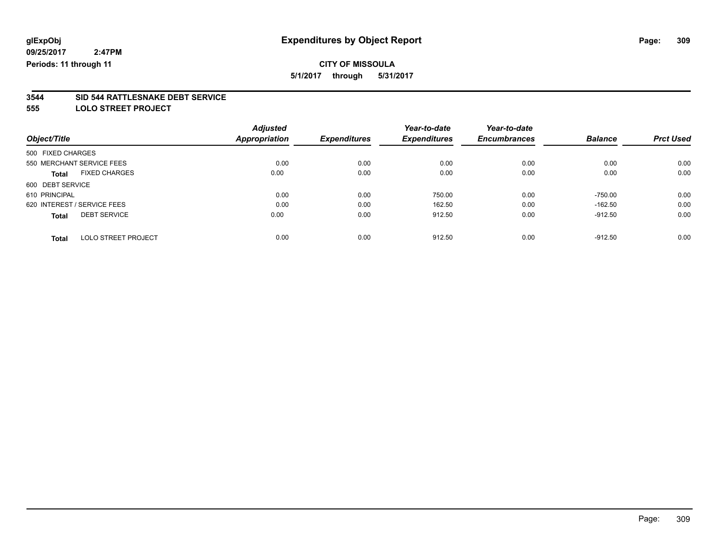# **CITY OF MISSOULA**

**5/1/2017 through 5/31/2017**

# **3544 SID 544 RATTLESNAKE DEBT SERVICE**

**555 LOLO STREET PROJECT**

|                                      | <b>Adjusted</b> |                     | Year-to-date        | Year-to-date        |                |                  |
|--------------------------------------|-----------------|---------------------|---------------------|---------------------|----------------|------------------|
| Object/Title                         | Appropriation   | <b>Expenditures</b> | <b>Expenditures</b> | <b>Encumbrances</b> | <b>Balance</b> | <b>Prct Used</b> |
| 500 FIXED CHARGES                    |                 |                     |                     |                     |                |                  |
| 550 MERCHANT SERVICE FEES            | 0.00            | 0.00                | 0.00                | 0.00                | 0.00           | 0.00             |
| <b>FIXED CHARGES</b><br><b>Total</b> | 0.00            | 0.00                | 0.00                | 0.00                | 0.00           | 0.00             |
| 600 DEBT SERVICE                     |                 |                     |                     |                     |                |                  |
| 610 PRINCIPAL                        | 0.00            | 0.00                | 750.00              | 0.00                | $-750.00$      | 0.00             |
| 620 INTEREST / SERVICE FEES          | 0.00            | 0.00                | 162.50              | 0.00                | $-162.50$      | 0.00             |
| <b>DEBT SERVICE</b><br><b>Total</b>  | 0.00            | 0.00                | 912.50              | 0.00                | $-912.50$      | 0.00             |
|                                      |                 |                     |                     |                     |                |                  |
| <b>LOLO STREET PROJECT</b><br>Total  | 0.00            | 0.00                | 912.50              | 0.00                | $-912.50$      | 0.00             |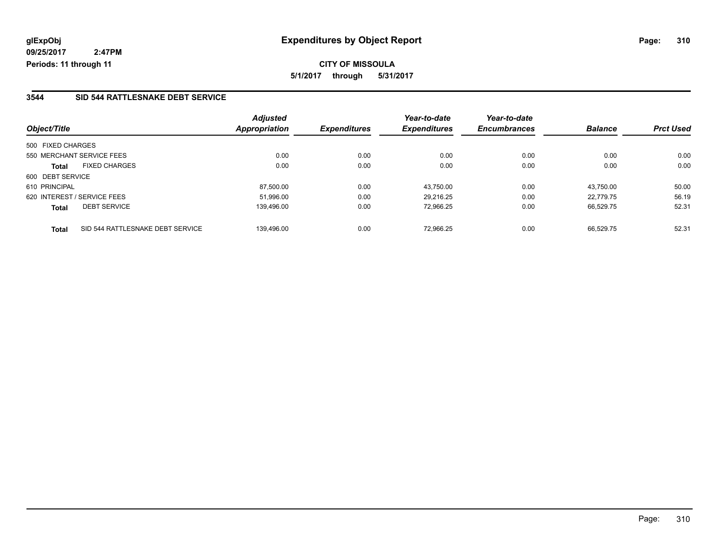### **3544 SID 544 RATTLESNAKE DEBT SERVICE**

| Object/Title                              | <b>Adjusted</b><br><b>Appropriation</b> | <b>Expenditures</b> | Year-to-date<br><b>Expenditures</b> | Year-to-date<br><b>Encumbrances</b> | <b>Balance</b> | <b>Prct Used</b> |
|-------------------------------------------|-----------------------------------------|---------------------|-------------------------------------|-------------------------------------|----------------|------------------|
|                                           |                                         |                     |                                     |                                     |                |                  |
| 500 FIXED CHARGES                         |                                         |                     |                                     |                                     |                |                  |
| 550 MERCHANT SERVICE FEES                 | 0.00                                    | 0.00                | 0.00                                | 0.00                                | 0.00           | 0.00             |
| <b>FIXED CHARGES</b><br>Total             | 0.00                                    | 0.00                | 0.00                                | 0.00                                | 0.00           | 0.00             |
| 600 DEBT SERVICE                          |                                         |                     |                                     |                                     |                |                  |
| 610 PRINCIPAL                             | 87,500.00                               | 0.00                | 43.750.00                           | 0.00                                | 43.750.00      | 50.00            |
| 620 INTEREST / SERVICE FEES               | 51.996.00                               | 0.00                | 29.216.25                           | 0.00                                | 22.779.75      | 56.19            |
| <b>DEBT SERVICE</b><br><b>Total</b>       | 139.496.00                              | 0.00                | 72.966.25                           | 0.00                                | 66.529.75      | 52.31            |
| SID 544 RATTLESNAKE DEBT SERVICE<br>Total | 139.496.00                              | 0.00                | 72.966.25                           | 0.00                                | 66.529.75      | 52.31            |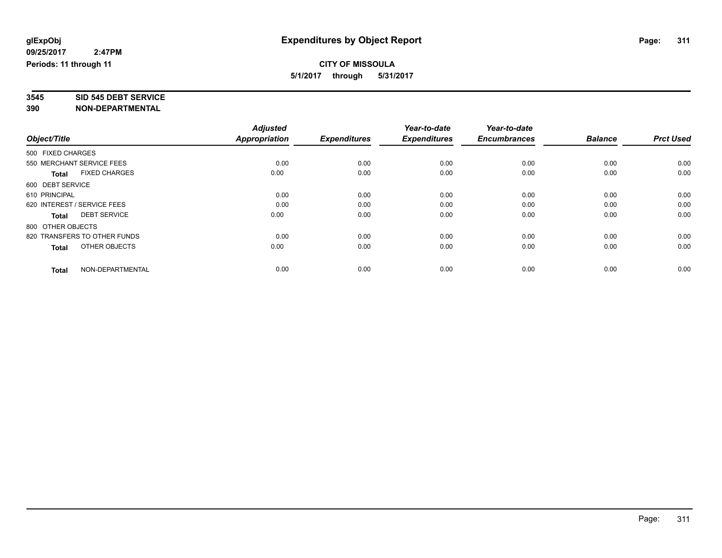# **3545 SID 545 DEBT SERVICE**

|                                      | <b>Adjusted</b><br>Appropriation |                     | Year-to-date<br><b>Expenditures</b> | Year-to-date<br><b>Encumbrances</b> | <b>Balance</b> | <b>Prct Used</b> |
|--------------------------------------|----------------------------------|---------------------|-------------------------------------|-------------------------------------|----------------|------------------|
| Object/Title                         |                                  | <b>Expenditures</b> |                                     |                                     |                |                  |
| 500 FIXED CHARGES                    |                                  |                     |                                     |                                     |                |                  |
| 550 MERCHANT SERVICE FEES            | 0.00                             | 0.00                | 0.00                                | 0.00                                | 0.00           | 0.00             |
| <b>FIXED CHARGES</b><br><b>Total</b> | 0.00                             | 0.00                | 0.00                                | 0.00                                | 0.00           | 0.00             |
| 600 DEBT SERVICE                     |                                  |                     |                                     |                                     |                |                  |
| 610 PRINCIPAL                        | 0.00                             | 0.00                | 0.00                                | 0.00                                | 0.00           | 0.00             |
| 620 INTEREST / SERVICE FEES          | 0.00                             | 0.00                | 0.00                                | 0.00                                | 0.00           | 0.00             |
| <b>DEBT SERVICE</b><br><b>Total</b>  | 0.00                             | 0.00                | 0.00                                | 0.00                                | 0.00           | 0.00             |
| 800 OTHER OBJECTS                    |                                  |                     |                                     |                                     |                |                  |
| 820 TRANSFERS TO OTHER FUNDS         | 0.00                             | 0.00                | 0.00                                | 0.00                                | 0.00           | 0.00             |
| OTHER OBJECTS<br>Total               | 0.00                             | 0.00                | 0.00                                | 0.00                                | 0.00           | 0.00             |
|                                      |                                  |                     |                                     |                                     |                |                  |
| NON-DEPARTMENTAL<br><b>Total</b>     | 0.00                             | 0.00                | 0.00                                | 0.00                                | 0.00           | 0.00             |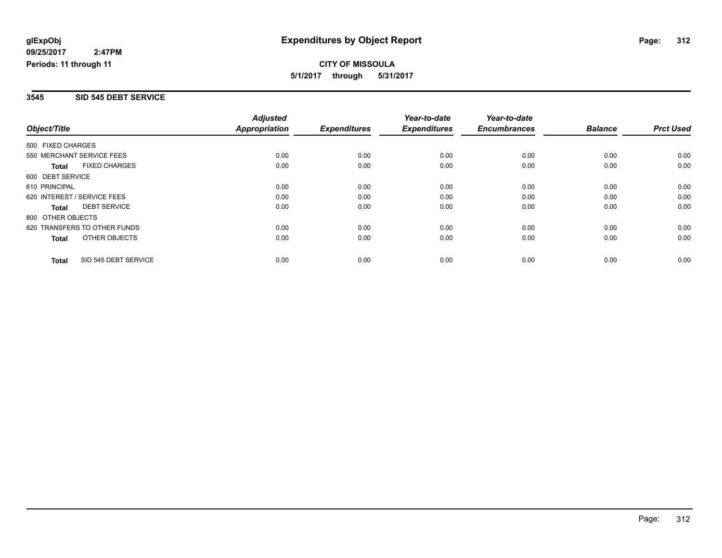#### **3545 SID 545 DEBT SERVICE**

|                              |                      | <b>Adjusted</b>      |                     | Year-to-date        | Year-to-date        |                |                  |
|------------------------------|----------------------|----------------------|---------------------|---------------------|---------------------|----------------|------------------|
| Object/Title                 |                      | <b>Appropriation</b> | <b>Expenditures</b> | <b>Expenditures</b> | <b>Encumbrances</b> | <b>Balance</b> | <b>Prct Used</b> |
| 500 FIXED CHARGES            |                      |                      |                     |                     |                     |                |                  |
| 550 MERCHANT SERVICE FEES    |                      | 0.00                 | 0.00                | 0.00                | 0.00                | 0.00           | 0.00             |
| <b>Total</b>                 | <b>FIXED CHARGES</b> | 0.00                 | 0.00                | 0.00                | 0.00                | 0.00           | 0.00             |
| 600 DEBT SERVICE             |                      |                      |                     |                     |                     |                |                  |
| 610 PRINCIPAL                |                      | 0.00                 | 0.00                | 0.00                | 0.00                | 0.00           | 0.00             |
| 620 INTEREST / SERVICE FEES  |                      | 0.00                 | 0.00                | 0.00                | 0.00                | 0.00           | 0.00             |
| Total                        | <b>DEBT SERVICE</b>  | 0.00                 | 0.00                | 0.00                | 0.00                | 0.00           | 0.00             |
| 800 OTHER OBJECTS            |                      |                      |                     |                     |                     |                |                  |
| 820 TRANSFERS TO OTHER FUNDS |                      | 0.00                 | 0.00                | 0.00                | 0.00                | 0.00           | 0.00             |
| Total                        | OTHER OBJECTS        | 0.00                 | 0.00                | 0.00                | 0.00                | 0.00           | 0.00             |
| <b>Total</b>                 | SID 545 DEBT SERVICE | 0.00                 | 0.00                | 0.00                | 0.00                | 0.00           | 0.00             |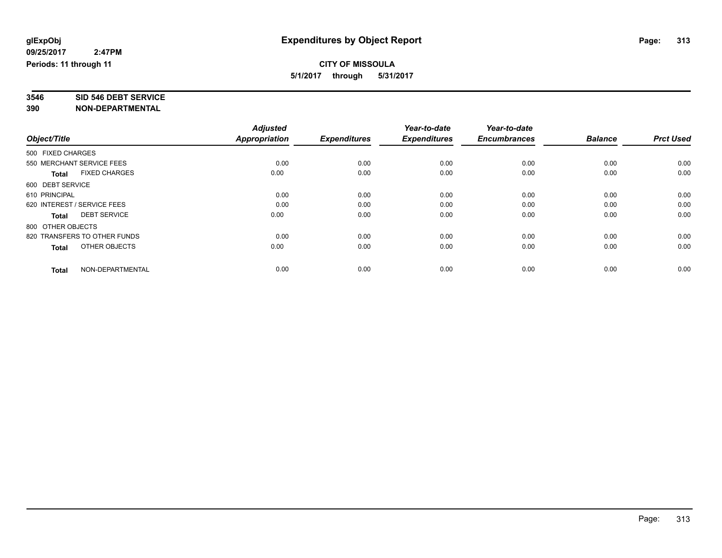# **3546 SID 546 DEBT SERVICE**

|                                      | <b>Adjusted</b> |                     | Year-to-date        | Year-to-date        |                |                  |
|--------------------------------------|-----------------|---------------------|---------------------|---------------------|----------------|------------------|
| Object/Title                         | Appropriation   | <b>Expenditures</b> | <b>Expenditures</b> | <b>Encumbrances</b> | <b>Balance</b> | <b>Prct Used</b> |
| 500 FIXED CHARGES                    |                 |                     |                     |                     |                |                  |
| 550 MERCHANT SERVICE FEES            | 0.00            | 0.00                | 0.00                | 0.00                | 0.00           | 0.00             |
| <b>FIXED CHARGES</b><br><b>Total</b> | 0.00            | 0.00                | 0.00                | 0.00                | 0.00           | 0.00             |
| 600 DEBT SERVICE                     |                 |                     |                     |                     |                |                  |
| 610 PRINCIPAL                        | 0.00            | 0.00                | 0.00                | 0.00                | 0.00           | 0.00             |
| 620 INTEREST / SERVICE FEES          | 0.00            | 0.00                | 0.00                | 0.00                | 0.00           | 0.00             |
| <b>DEBT SERVICE</b><br><b>Total</b>  | 0.00            | 0.00                | 0.00                | 0.00                | 0.00           | 0.00             |
| 800 OTHER OBJECTS                    |                 |                     |                     |                     |                |                  |
| 820 TRANSFERS TO OTHER FUNDS         | 0.00            | 0.00                | 0.00                | 0.00                | 0.00           | 0.00             |
| OTHER OBJECTS<br><b>Total</b>        | 0.00            | 0.00                | 0.00                | 0.00                | 0.00           | 0.00             |
|                                      |                 |                     |                     |                     |                |                  |
| NON-DEPARTMENTAL<br><b>Total</b>     | 0.00            | 0.00                | 0.00                | 0.00                | 0.00           | 0.00             |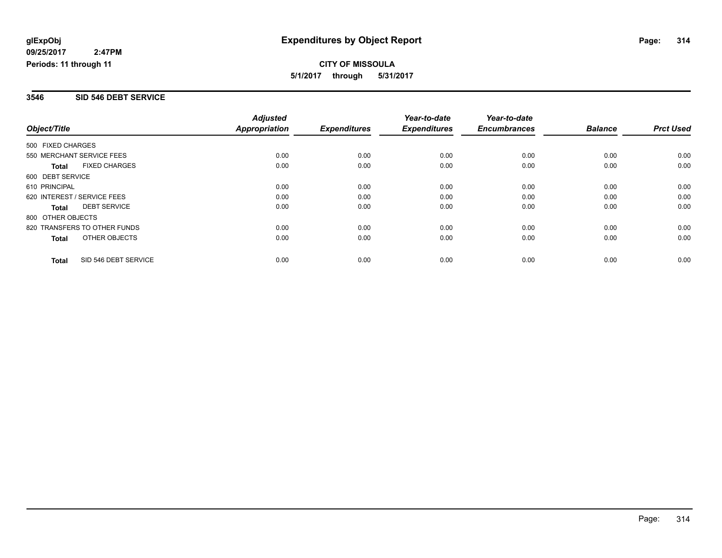#### **3546 SID 546 DEBT SERVICE**

|                              |                      | <b>Adjusted</b>      |                     | Year-to-date        | Year-to-date        |                |                  |
|------------------------------|----------------------|----------------------|---------------------|---------------------|---------------------|----------------|------------------|
| Object/Title                 |                      | <b>Appropriation</b> | <b>Expenditures</b> | <b>Expenditures</b> | <b>Encumbrances</b> | <b>Balance</b> | <b>Prct Used</b> |
| 500 FIXED CHARGES            |                      |                      |                     |                     |                     |                |                  |
| 550 MERCHANT SERVICE FEES    |                      | 0.00                 | 0.00                | 0.00                | 0.00                | 0.00           | 0.00             |
| <b>Total</b>                 | <b>FIXED CHARGES</b> | 0.00                 | 0.00                | 0.00                | 0.00                | 0.00           | 0.00             |
| 600 DEBT SERVICE             |                      |                      |                     |                     |                     |                |                  |
| 610 PRINCIPAL                |                      | 0.00                 | 0.00                | 0.00                | 0.00                | 0.00           | 0.00             |
| 620 INTEREST / SERVICE FEES  |                      | 0.00                 | 0.00                | 0.00                | 0.00                | 0.00           | 0.00             |
| Total                        | <b>DEBT SERVICE</b>  | 0.00                 | 0.00                | 0.00                | 0.00                | 0.00           | 0.00             |
| 800 OTHER OBJECTS            |                      |                      |                     |                     |                     |                |                  |
| 820 TRANSFERS TO OTHER FUNDS |                      | 0.00                 | 0.00                | 0.00                | 0.00                | 0.00           | 0.00             |
| Total                        | OTHER OBJECTS        | 0.00                 | 0.00                | 0.00                | 0.00                | 0.00           | 0.00             |
| <b>Total</b>                 | SID 546 DEBT SERVICE | 0.00                 | 0.00                | 0.00                | 0.00                | 0.00           | 0.00             |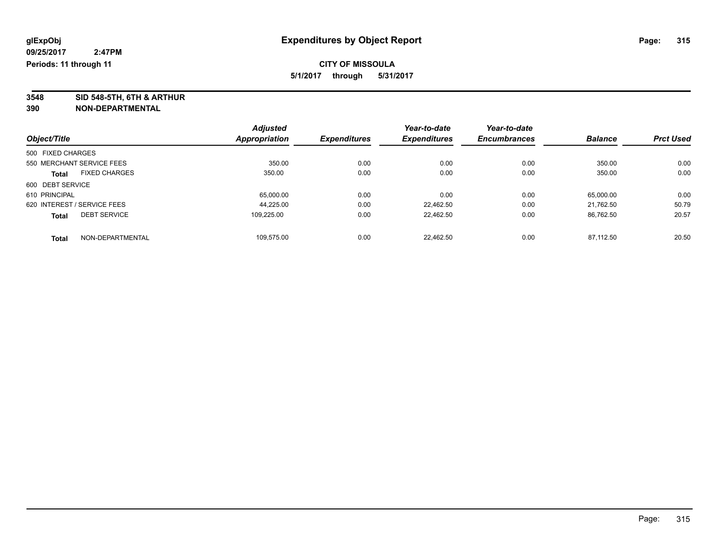**3548 SID 548-5TH, 6TH & ARTHUR**

|                                      |                  | <b>Adjusted</b> |                     | Year-to-date        | Year-to-date        |                |                  |
|--------------------------------------|------------------|-----------------|---------------------|---------------------|---------------------|----------------|------------------|
| Object/Title                         |                  | Appropriation   | <b>Expenditures</b> | <b>Expenditures</b> | <b>Encumbrances</b> | <b>Balance</b> | <b>Prct Used</b> |
| 500 FIXED CHARGES                    |                  |                 |                     |                     |                     |                |                  |
| 550 MERCHANT SERVICE FEES            |                  | 350.00          | 0.00                | 0.00                | 0.00                | 350.00         | 0.00             |
| <b>FIXED CHARGES</b><br><b>Total</b> |                  | 350.00          | 0.00                | 0.00                | 0.00                | 350.00         | 0.00             |
| 600 DEBT SERVICE                     |                  |                 |                     |                     |                     |                |                  |
| 610 PRINCIPAL                        |                  | 65,000.00       | 0.00                | 0.00                | 0.00                | 65,000.00      | 0.00             |
| 620 INTEREST / SERVICE FEES          |                  | 44.225.00       | 0.00                | 22.462.50           | 0.00                | 21.762.50      | 50.79            |
| <b>DEBT SERVICE</b><br><b>Total</b>  |                  | 109.225.00      | 0.00                | 22.462.50           | 0.00                | 86.762.50      | 20.57            |
| <b>Total</b>                         | NON-DEPARTMENTAL | 109.575.00      | 0.00                | 22.462.50           | 0.00                | 87.112.50      | 20.50            |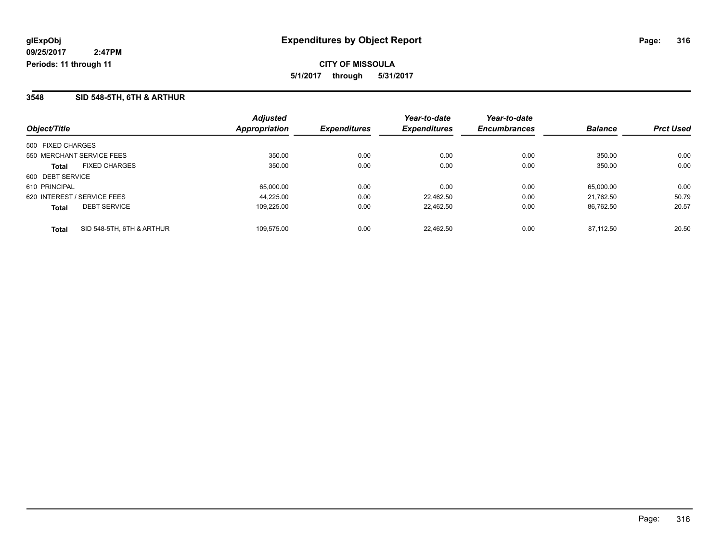#### **3548 SID 548-5TH, 6TH & ARTHUR**

| Object/Title                              | <b>Adjusted</b><br><b>Appropriation</b> | <b>Expenditures</b> | Year-to-date<br><b>Expenditures</b> | Year-to-date<br><b>Encumbrances</b> | <b>Balance</b> | <b>Prct Used</b> |
|-------------------------------------------|-----------------------------------------|---------------------|-------------------------------------|-------------------------------------|----------------|------------------|
|                                           |                                         |                     |                                     |                                     |                |                  |
| 500 FIXED CHARGES                         |                                         |                     |                                     |                                     |                |                  |
| 550 MERCHANT SERVICE FEES                 | 350.00                                  | 0.00                | 0.00                                | 0.00                                | 350.00         | 0.00             |
| <b>FIXED CHARGES</b><br>Total             | 350.00                                  | 0.00                | 0.00                                | 0.00                                | 350.00         | 0.00             |
| 600 DEBT SERVICE                          |                                         |                     |                                     |                                     |                |                  |
| 610 PRINCIPAL                             | 65,000.00                               | 0.00                | 0.00                                | 0.00                                | 65.000.00      | 0.00             |
| 620 INTEREST / SERVICE FEES               | 44.225.00                               | 0.00                | 22.462.50                           | 0.00                                | 21.762.50      | 50.79            |
| <b>DEBT SERVICE</b><br><b>Total</b>       | 109.225.00                              | 0.00                | 22.462.50                           | 0.00                                | 86.762.50      | 20.57            |
| SID 548-5TH, 6TH & ARTHUR<br><b>Total</b> | 109.575.00                              | 0.00                | 22.462.50                           | 0.00                                | 87.112.50      | 20.50            |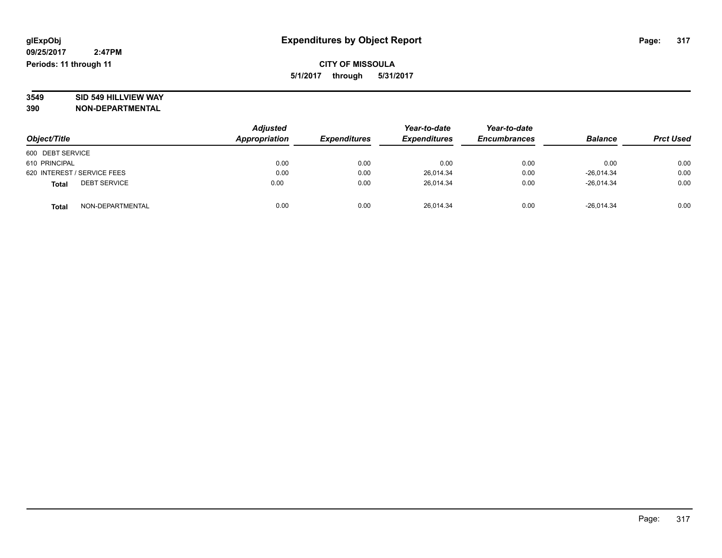**3549 SID 549 HILLVIEW WAY**

|                                     | <b>Adjusted</b> |                     | Year-to-date        | Year-to-date        | <b>Balance</b> |                  |
|-------------------------------------|-----------------|---------------------|---------------------|---------------------|----------------|------------------|
| Object/Title                        | Appropriation   | <b>Expenditures</b> | <b>Expenditures</b> | <b>Encumbrances</b> |                | <b>Prct Used</b> |
| 600 DEBT SERVICE                    |                 |                     |                     |                     |                |                  |
| 610 PRINCIPAL                       | 0.00            | 0.00                | 0.00                | 0.00                | 0.00           | 0.00             |
| 620 INTEREST / SERVICE FEES         | 0.00            | 0.00                | 26,014.34           | 0.00                | $-26.014.34$   | 0.00             |
| <b>DEBT SERVICE</b><br><b>Total</b> | 0.00            | 0.00                | 26.014.34           | 0.00                | $-26.014.34$   | 0.00             |
| NON-DEPARTMENTAL<br><b>Total</b>    | 0.00            | 0.00                | 26,014.34           | 0.00                | $-26,014.34$   | 0.00             |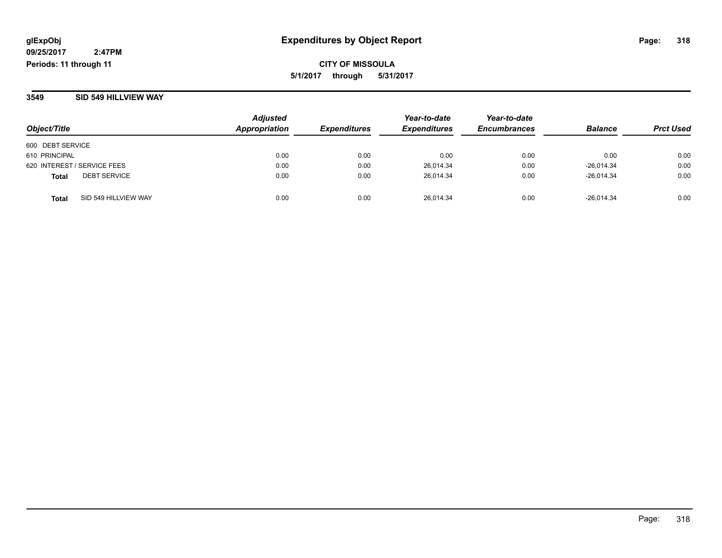**CITY OF MISSOULA 5/1/2017 through 5/31/2017**

#### **3549 SID 549 HILLVIEW WAY**

| Object/Title                  | <b>Adjusted</b><br>Appropriation | <i><b>Expenditures</b></i> | Year-to-date<br><b>Expenditures</b> | Year-to-date<br><b>Encumbrances</b> | <b>Balance</b> | <b>Prct Used</b> |
|-------------------------------|----------------------------------|----------------------------|-------------------------------------|-------------------------------------|----------------|------------------|
| 600 DEBT SERVICE              |                                  |                            |                                     |                                     |                |                  |
| 610 PRINCIPAL                 | 0.00                             | 0.00                       | 0.00                                | 0.00                                | 0.00           | 0.00             |
| 620 INTEREST / SERVICE FEES   | 0.00                             | 0.00                       | 26,014.34                           | 0.00                                | $-26,014.34$   | 0.00             |
| <b>DEBT SERVICE</b><br>Total  | 0.00                             | 0.00                       | 26.014.34                           | 0.00                                | $-26.014.34$   | 0.00             |
| SID 549 HILLVIEW WAY<br>Total | 0.00                             | 0.00                       | 26.014.34                           | 0.00                                | $-26.014.34$   | 0.00             |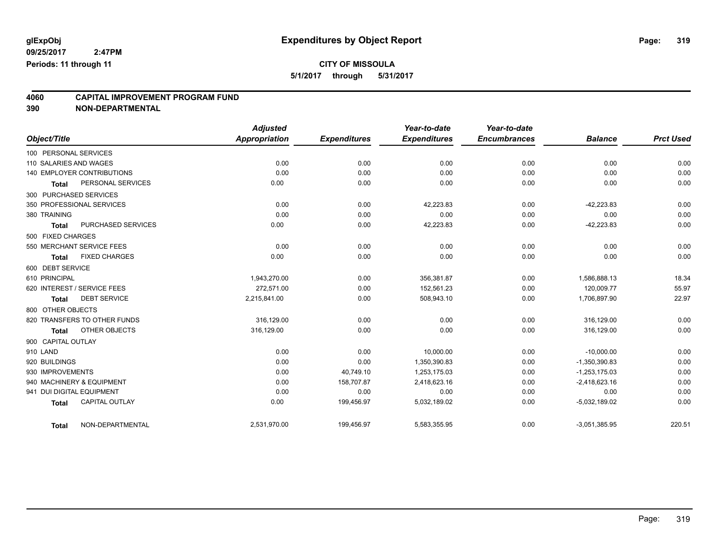# **CITY OF MISSOULA**

**5/1/2017 through 5/31/2017**

# **4060 CAPITAL IMPROVEMENT PROGRAM FUND**

|                           |                                   | <b>Adjusted</b> |                     | Year-to-date        | Year-to-date        |                 |                  |
|---------------------------|-----------------------------------|-----------------|---------------------|---------------------|---------------------|-----------------|------------------|
| Object/Title              |                                   | Appropriation   | <b>Expenditures</b> | <b>Expenditures</b> | <b>Encumbrances</b> | <b>Balance</b>  | <b>Prct Used</b> |
| 100 PERSONAL SERVICES     |                                   |                 |                     |                     |                     |                 |                  |
| 110 SALARIES AND WAGES    |                                   | 0.00            | 0.00                | 0.00                | 0.00                | 0.00            | 0.00             |
|                           | <b>140 EMPLOYER CONTRIBUTIONS</b> | 0.00            | 0.00                | 0.00                | 0.00                | 0.00            | 0.00             |
| <b>Total</b>              | PERSONAL SERVICES                 | 0.00            | 0.00                | 0.00                | 0.00                | 0.00            | 0.00             |
| 300 PURCHASED SERVICES    |                                   |                 |                     |                     |                     |                 |                  |
|                           | 350 PROFESSIONAL SERVICES         | 0.00            | 0.00                | 42,223.83           | 0.00                | $-42,223.83$    | 0.00             |
| 380 TRAINING              |                                   | 0.00            | 0.00                | 0.00                | 0.00                | 0.00            | 0.00             |
| <b>Total</b>              | PURCHASED SERVICES                | 0.00            | 0.00                | 42,223.83           | 0.00                | $-42,223.83$    | 0.00             |
| 500 FIXED CHARGES         |                                   |                 |                     |                     |                     |                 |                  |
|                           | 550 MERCHANT SERVICE FEES         | 0.00            | 0.00                | 0.00                | 0.00                | 0.00            | 0.00             |
| <b>Total</b>              | <b>FIXED CHARGES</b>              | 0.00            | 0.00                | 0.00                | 0.00                | 0.00            | 0.00             |
| 600 DEBT SERVICE          |                                   |                 |                     |                     |                     |                 |                  |
| 610 PRINCIPAL             |                                   | 1,943,270.00    | 0.00                | 356,381.87          | 0.00                | 1,586,888.13    | 18.34            |
|                           | 620 INTEREST / SERVICE FEES       | 272.571.00      | 0.00                | 152,561.23          | 0.00                | 120,009.77      | 55.97            |
| <b>Total</b>              | <b>DEBT SERVICE</b>               | 2,215,841.00    | 0.00                | 508,943.10          | 0.00                | 1,706,897.90    | 22.97            |
| 800 OTHER OBJECTS         |                                   |                 |                     |                     |                     |                 |                  |
|                           | 820 TRANSFERS TO OTHER FUNDS      | 316,129.00      | 0.00                | 0.00                | 0.00                | 316,129.00      | 0.00             |
| <b>Total</b>              | OTHER OBJECTS                     | 316,129.00      | 0.00                | 0.00                | 0.00                | 316,129.00      | 0.00             |
| 900 CAPITAL OUTLAY        |                                   |                 |                     |                     |                     |                 |                  |
| 910 LAND                  |                                   | 0.00            | 0.00                | 10,000.00           | 0.00                | $-10,000.00$    | 0.00             |
| 920 BUILDINGS             |                                   | 0.00            | 0.00                | 1,350,390.83        | 0.00                | $-1,350,390.83$ | 0.00             |
| 930 IMPROVEMENTS          |                                   | 0.00            | 40,749.10           | 1,253,175.03        | 0.00                | $-1,253,175.03$ | 0.00             |
|                           | 940 MACHINERY & EQUIPMENT         | 0.00            | 158,707.87          | 2,418,623.16        | 0.00                | $-2,418,623.16$ | 0.00             |
| 941 DUI DIGITAL EQUIPMENT |                                   | 0.00            | 0.00                | 0.00                | 0.00                | 0.00            | 0.00             |
| <b>Total</b>              | <b>CAPITAL OUTLAY</b>             | 0.00            | 199,456.97          | 5,032,189.02        | 0.00                | $-5,032,189.02$ | 0.00             |
| <b>Total</b>              | NON-DEPARTMENTAL                  | 2,531,970.00    | 199,456.97          | 5,583,355.95        | 0.00                | $-3,051,385.95$ | 220.51           |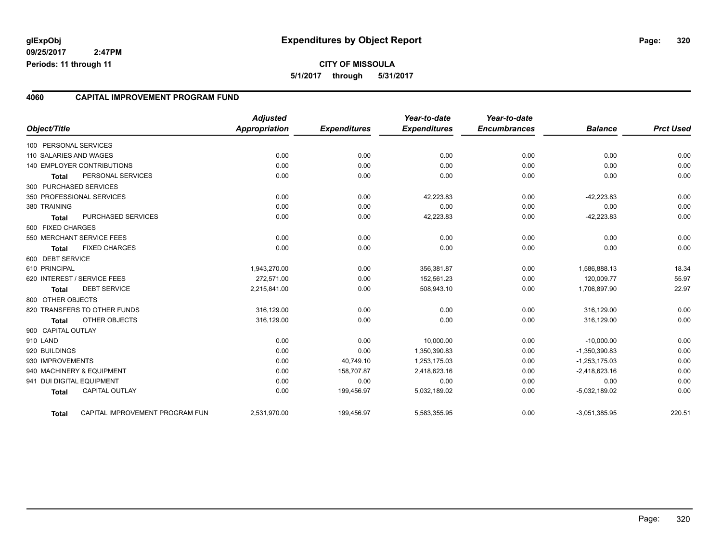#### **4060 CAPITAL IMPROVEMENT PROGRAM FUND**

| Object/Title           |                                 | <b>Adjusted</b><br><b>Appropriation</b> | <b>Expenditures</b> | Year-to-date<br><b>Expenditures</b> | Year-to-date<br><b>Encumbrances</b> | <b>Balance</b>  | <b>Prct Used</b> |
|------------------------|---------------------------------|-----------------------------------------|---------------------|-------------------------------------|-------------------------------------|-----------------|------------------|
| 100 PERSONAL SERVICES  |                                 |                                         |                     |                                     |                                     |                 |                  |
| 110 SALARIES AND WAGES |                                 | 0.00                                    | 0.00                | 0.00                                | 0.00                                | 0.00            | 0.00             |
|                        | 140 EMPLOYER CONTRIBUTIONS      | 0.00                                    | 0.00                | 0.00                                | 0.00                                | 0.00            | 0.00             |
| <b>Total</b>           | PERSONAL SERVICES               | 0.00                                    | 0.00                | 0.00                                | 0.00                                | 0.00            | 0.00             |
| 300 PURCHASED SERVICES |                                 |                                         |                     |                                     |                                     |                 |                  |
|                        | 350 PROFESSIONAL SERVICES       | 0.00                                    | 0.00                | 42,223.83                           | 0.00                                | $-42,223.83$    | 0.00             |
| 380 TRAINING           |                                 | 0.00                                    | 0.00                | 0.00                                | 0.00                                | 0.00            | 0.00             |
| <b>Total</b>           | PURCHASED SERVICES              | 0.00                                    | 0.00                | 42,223.83                           | 0.00                                | $-42,223.83$    | 0.00             |
| 500 FIXED CHARGES      |                                 |                                         |                     |                                     |                                     |                 |                  |
|                        | 550 MERCHANT SERVICE FEES       | 0.00                                    | 0.00                | 0.00                                | 0.00                                | 0.00            | 0.00             |
| <b>Total</b>           | <b>FIXED CHARGES</b>            | 0.00                                    | 0.00                | 0.00                                | 0.00                                | 0.00            | 0.00             |
| 600 DEBT SERVICE       |                                 |                                         |                     |                                     |                                     |                 |                  |
| 610 PRINCIPAL          |                                 | 1,943,270.00                            | 0.00                | 356,381.87                          | 0.00                                | 1,586,888.13    | 18.34            |
|                        | 620 INTEREST / SERVICE FEES     | 272.571.00                              | 0.00                | 152,561.23                          | 0.00                                | 120.009.77      | 55.97            |
| <b>Total</b>           | <b>DEBT SERVICE</b>             | 2,215,841.00                            | 0.00                | 508,943.10                          | 0.00                                | 1,706,897.90    | 22.97            |
| 800 OTHER OBJECTS      |                                 |                                         |                     |                                     |                                     |                 |                  |
|                        | 820 TRANSFERS TO OTHER FUNDS    | 316,129.00                              | 0.00                | 0.00                                | 0.00                                | 316,129.00      | 0.00             |
| <b>Total</b>           | <b>OTHER OBJECTS</b>            | 316,129.00                              | 0.00                | 0.00                                | 0.00                                | 316,129.00      | 0.00             |
| 900 CAPITAL OUTLAY     |                                 |                                         |                     |                                     |                                     |                 |                  |
| 910 LAND               |                                 | 0.00                                    | 0.00                | 10.000.00                           | 0.00                                | $-10,000.00$    | 0.00             |
| 920 BUILDINGS          |                                 | 0.00                                    | 0.00                | 1,350,390.83                        | 0.00                                | $-1,350,390.83$ | 0.00             |
| 930 IMPROVEMENTS       |                                 | 0.00                                    | 40,749.10           | 1,253,175.03                        | 0.00                                | $-1,253,175.03$ | 0.00             |
|                        | 940 MACHINERY & EQUIPMENT       | 0.00                                    | 158,707.87          | 2,418,623.16                        | 0.00                                | $-2,418,623.16$ | 0.00             |
|                        | 941 DUI DIGITAL EQUIPMENT       | 0.00                                    | 0.00                | 0.00                                | 0.00                                | 0.00            | 0.00             |
| <b>Total</b>           | <b>CAPITAL OUTLAY</b>           | 0.00                                    | 199,456.97          | 5,032,189.02                        | 0.00                                | $-5,032,189.02$ | 0.00             |
| <b>Total</b>           | CAPITAL IMPROVEMENT PROGRAM FUN | 2,531,970.00                            | 199,456.97          | 5,583,355.95                        | 0.00                                | $-3,051,385.95$ | 220.51           |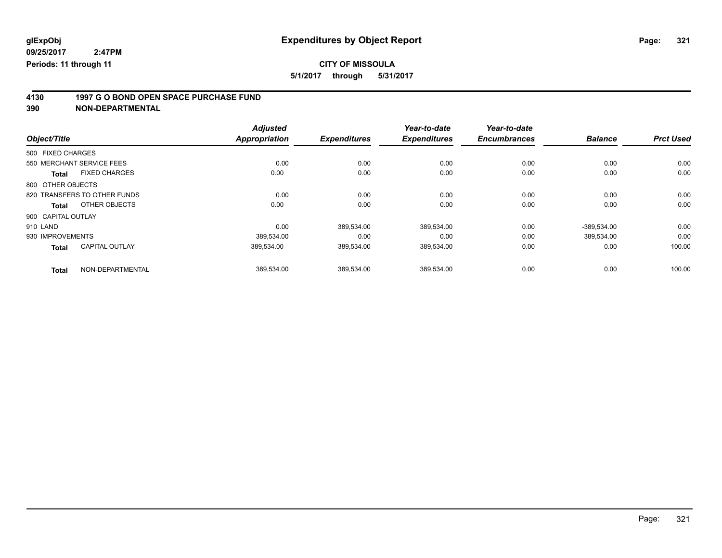# **CITY OF MISSOULA**

**5/1/2017 through 5/31/2017**

# **4130 1997 G O BOND OPEN SPACE PURCHASE FUND**

|                    |                              | <b>Adjusted</b>      |                     | Year-to-date        | Year-to-date        |                |                  |
|--------------------|------------------------------|----------------------|---------------------|---------------------|---------------------|----------------|------------------|
| Object/Title       |                              | <b>Appropriation</b> | <b>Expenditures</b> | <b>Expenditures</b> | <b>Encumbrances</b> | <b>Balance</b> | <b>Prct Used</b> |
| 500 FIXED CHARGES  |                              |                      |                     |                     |                     |                |                  |
|                    | 550 MERCHANT SERVICE FEES    | 0.00                 | 0.00                | 0.00                | 0.00                | 0.00           | 0.00             |
| <b>Total</b>       | <b>FIXED CHARGES</b>         | 0.00                 | 0.00                | 0.00                | 0.00                | 0.00           | 0.00             |
| 800 OTHER OBJECTS  |                              |                      |                     |                     |                     |                |                  |
|                    | 820 TRANSFERS TO OTHER FUNDS | 0.00                 | 0.00                | 0.00                | 0.00                | 0.00           | 0.00             |
| <b>Total</b>       | OTHER OBJECTS                | 0.00                 | 0.00                | 0.00                | 0.00                | 0.00           | 0.00             |
| 900 CAPITAL OUTLAY |                              |                      |                     |                     |                     |                |                  |
| 910 LAND           |                              | 0.00                 | 389,534.00          | 389,534.00          | 0.00                | $-389,534.00$  | 0.00             |
| 930 IMPROVEMENTS   |                              | 389,534.00           | 0.00                | 0.00                | 0.00                | 389.534.00     | 0.00             |
| <b>Total</b>       | <b>CAPITAL OUTLAY</b>        | 389.534.00           | 389,534.00          | 389,534.00          | 0.00                | 0.00           | 100.00           |
| <b>Total</b>       | NON-DEPARTMENTAL             | 389,534.00           | 389,534.00          | 389,534.00          | 0.00                | 0.00           | 100.00           |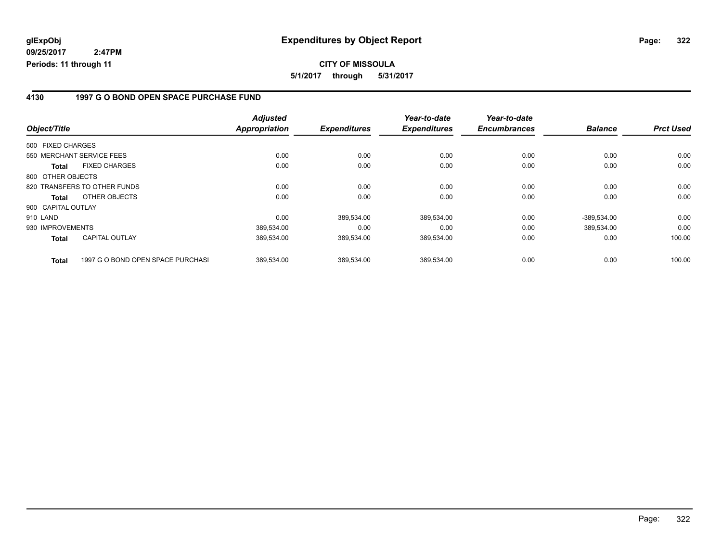**CITY OF MISSOULA 5/1/2017 through 5/31/2017**

#### **4130 1997 G O BOND OPEN SPACE PURCHASE FUND**

|                    |                                   | <b>Adjusted</b>      |                     | Year-to-date        | Year-to-date        |                |                  |
|--------------------|-----------------------------------|----------------------|---------------------|---------------------|---------------------|----------------|------------------|
| Object/Title       |                                   | <b>Appropriation</b> | <b>Expenditures</b> | <b>Expenditures</b> | <b>Encumbrances</b> | <b>Balance</b> | <b>Prct Used</b> |
| 500 FIXED CHARGES  |                                   |                      |                     |                     |                     |                |                  |
|                    | 550 MERCHANT SERVICE FEES         | 0.00                 | 0.00                | 0.00                | 0.00                | 0.00           | 0.00             |
| Total              | <b>FIXED CHARGES</b>              | 0.00                 | 0.00                | 0.00                | 0.00                | 0.00           | 0.00             |
| 800 OTHER OBJECTS  |                                   |                      |                     |                     |                     |                |                  |
|                    | 820 TRANSFERS TO OTHER FUNDS      | 0.00                 | 0.00                | 0.00                | 0.00                | 0.00           | 0.00             |
| Total              | OTHER OBJECTS                     | 0.00                 | 0.00                | 0.00                | 0.00                | 0.00           | 0.00             |
| 900 CAPITAL OUTLAY |                                   |                      |                     |                     |                     |                |                  |
| 910 LAND           |                                   | 0.00                 | 389.534.00          | 389,534.00          | 0.00                | $-389.534.00$  | 0.00             |
| 930 IMPROVEMENTS   |                                   | 389.534.00           | 0.00                | 0.00                | 0.00                | 389.534.00     | 0.00             |
| Total              | <b>CAPITAL OUTLAY</b>             | 389,534.00           | 389,534.00          | 389,534.00          | 0.00                | 0.00           | 100.00           |
| <b>Total</b>       | 1997 G O BOND OPEN SPACE PURCHASI | 389,534.00           | 389,534.00          | 389.534.00          | 0.00                | 0.00           | 100.00           |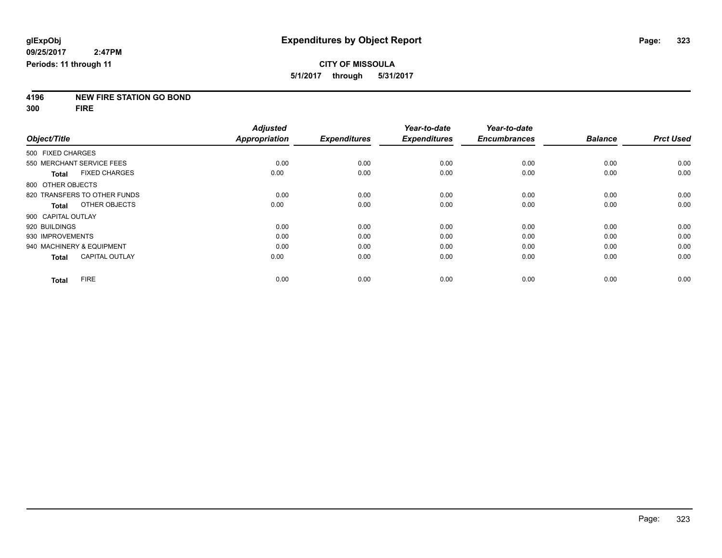**4196 NEW FIRE STATION GO BOND**

**300 FIRE**

|                                      | <b>Adjusted</b> |                     | Year-to-date        | Year-to-date        |                |                  |
|--------------------------------------|-----------------|---------------------|---------------------|---------------------|----------------|------------------|
| Object/Title                         | Appropriation   | <b>Expenditures</b> | <b>Expenditures</b> | <b>Encumbrances</b> | <b>Balance</b> | <b>Prct Used</b> |
| 500 FIXED CHARGES                    |                 |                     |                     |                     |                |                  |
| 550 MERCHANT SERVICE FEES            | 0.00            | 0.00                | 0.00                | 0.00                | 0.00           | 0.00             |
| <b>FIXED CHARGES</b><br><b>Total</b> | 0.00            | 0.00                | 0.00                | 0.00                | 0.00           | 0.00             |
| 800 OTHER OBJECTS                    |                 |                     |                     |                     |                |                  |
| 820 TRANSFERS TO OTHER FUNDS         | 0.00            | 0.00                | 0.00                | 0.00                | 0.00           | 0.00             |
| OTHER OBJECTS<br><b>Total</b>        | 0.00            | 0.00                | 0.00                | 0.00                | 0.00           | 0.00             |
| 900 CAPITAL OUTLAY                   |                 |                     |                     |                     |                |                  |
| 920 BUILDINGS                        | 0.00            | 0.00                | 0.00                | 0.00                | 0.00           | 0.00             |
| 930 IMPROVEMENTS                     | 0.00            | 0.00                | 0.00                | 0.00                | 0.00           | 0.00             |
| 940 MACHINERY & EQUIPMENT            | 0.00            | 0.00                | 0.00                | 0.00                | 0.00           | 0.00             |
| <b>CAPITAL OUTLAY</b><br>Total       | 0.00            | 0.00                | 0.00                | 0.00                | 0.00           | 0.00             |
| <b>FIRE</b><br><b>Total</b>          | 0.00            | 0.00                | 0.00                | 0.00                | 0.00           | 0.00             |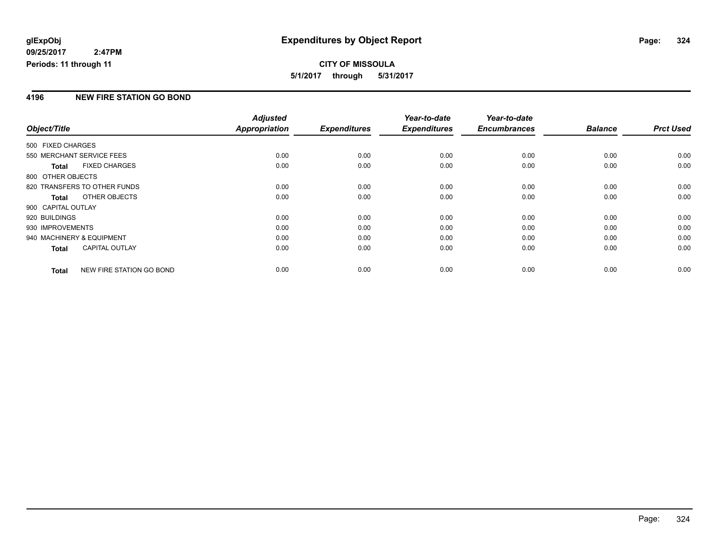# **CITY OF MISSOULA 5/1/2017 through 5/31/2017**

### **4196 NEW FIRE STATION GO BOND**

|                    |                              | <b>Adjusted</b> |                     | Year-to-date        | Year-to-date        |                |                  |
|--------------------|------------------------------|-----------------|---------------------|---------------------|---------------------|----------------|------------------|
| Object/Title       |                              | Appropriation   | <b>Expenditures</b> | <b>Expenditures</b> | <b>Encumbrances</b> | <b>Balance</b> | <b>Prct Used</b> |
| 500 FIXED CHARGES  |                              |                 |                     |                     |                     |                |                  |
|                    | 550 MERCHANT SERVICE FEES    | 0.00            | 0.00                | 0.00                | 0.00                | 0.00           | 0.00             |
| <b>Total</b>       | <b>FIXED CHARGES</b>         | 0.00            | 0.00                | 0.00                | 0.00                | 0.00           | 0.00             |
| 800 OTHER OBJECTS  |                              |                 |                     |                     |                     |                |                  |
|                    | 820 TRANSFERS TO OTHER FUNDS | 0.00            | 0.00                | 0.00                | 0.00                | 0.00           | 0.00             |
| <b>Total</b>       | OTHER OBJECTS                | 0.00            | 0.00                | 0.00                | 0.00                | 0.00           | 0.00             |
| 900 CAPITAL OUTLAY |                              |                 |                     |                     |                     |                |                  |
| 920 BUILDINGS      |                              | 0.00            | 0.00                | 0.00                | 0.00                | 0.00           | 0.00             |
| 930 IMPROVEMENTS   |                              | 0.00            | 0.00                | 0.00                | 0.00                | 0.00           | 0.00             |
|                    | 940 MACHINERY & EQUIPMENT    | 0.00            | 0.00                | 0.00                | 0.00                | 0.00           | 0.00             |
| Total              | <b>CAPITAL OUTLAY</b>        | 0.00            | 0.00                | 0.00                | 0.00                | 0.00           | 0.00             |
| Total              | NEW FIRE STATION GO BOND     | 0.00            | 0.00                | 0.00                | 0.00                | 0.00           | 0.00             |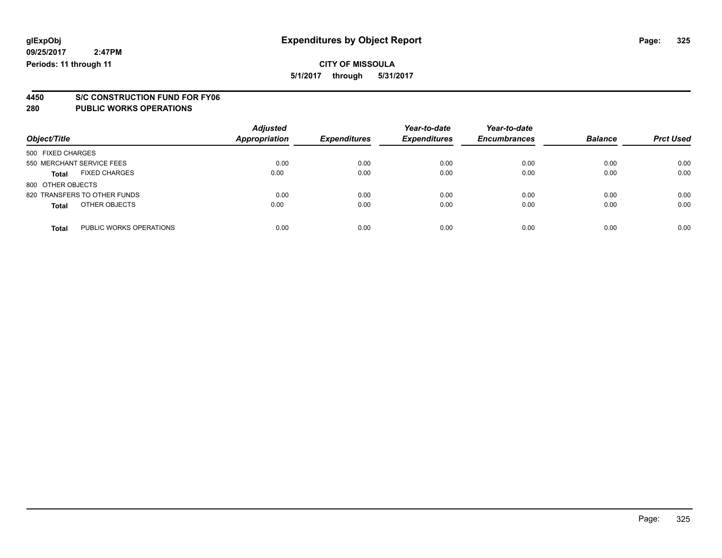### **CITY OF MISSOULA**

**5/1/2017 through 5/31/2017**

# **4450 S/C CONSTRUCTION FUND FOR FY06**

| Object/Title                            | <b>Adjusted</b><br><b>Appropriation</b> | <b>Expenditures</b> | Year-to-date<br><b>Expenditures</b> | Year-to-date<br><b>Encumbrances</b> | <b>Balance</b> | <b>Prct Used</b> |
|-----------------------------------------|-----------------------------------------|---------------------|-------------------------------------|-------------------------------------|----------------|------------------|
| 500 FIXED CHARGES                       |                                         |                     |                                     |                                     |                |                  |
| 550 MERCHANT SERVICE FEES               | 0.00                                    | 0.00                | 0.00                                | 0.00                                | 0.00           | 0.00             |
| <b>FIXED CHARGES</b><br><b>Total</b>    | 0.00                                    | 0.00                | 0.00                                | 0.00                                | 0.00           | 0.00             |
| 800 OTHER OBJECTS                       |                                         |                     |                                     |                                     |                |                  |
| 820 TRANSFERS TO OTHER FUNDS            | 0.00                                    | 0.00                | 0.00                                | 0.00                                | 0.00           | 0.00             |
| OTHER OBJECTS<br><b>Total</b>           | 0.00                                    | 0.00                | 0.00                                | 0.00                                | 0.00           | 0.00             |
| PUBLIC WORKS OPERATIONS<br><b>Total</b> | 0.00                                    | 0.00                | 0.00                                | 0.00                                | 0.00           | 0.00             |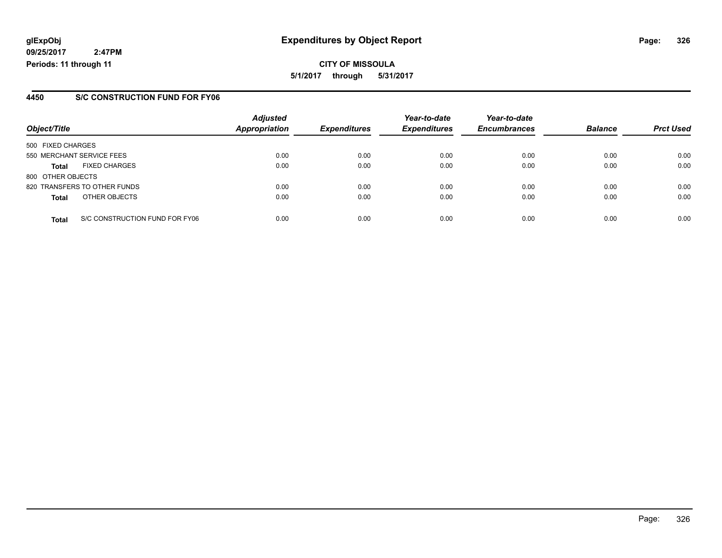**CITY OF MISSOULA 5/1/2017 through 5/31/2017**

### **4450 S/C CONSTRUCTION FUND FOR FY06**

|                   |                                | <b>Adjusted</b> |                     | Year-to-date        | Year-to-date        |                |                  |
|-------------------|--------------------------------|-----------------|---------------------|---------------------|---------------------|----------------|------------------|
| Object/Title      |                                | Appropriation   | <b>Expenditures</b> | <b>Expenditures</b> | <b>Encumbrances</b> | <b>Balance</b> | <b>Prct Used</b> |
| 500 FIXED CHARGES |                                |                 |                     |                     |                     |                |                  |
|                   | 550 MERCHANT SERVICE FEES      | 0.00            | 0.00                | 0.00                | 0.00                | 0.00           | 0.00             |
| <b>Total</b>      | <b>FIXED CHARGES</b>           | 0.00            | 0.00                | 0.00                | 0.00                | 0.00           | 0.00             |
| 800 OTHER OBJECTS |                                |                 |                     |                     |                     |                |                  |
|                   | 820 TRANSFERS TO OTHER FUNDS   | 0.00            | 0.00                | 0.00                | 0.00                | 0.00           | 0.00             |
| <b>Total</b>      | OTHER OBJECTS                  | 0.00            | 0.00                | 0.00                | 0.00                | 0.00           | 0.00             |
| <b>Total</b>      | S/C CONSTRUCTION FUND FOR FY06 | 0.00            | 0.00                | 0.00                | 0.00                | 0.00           | 0.00             |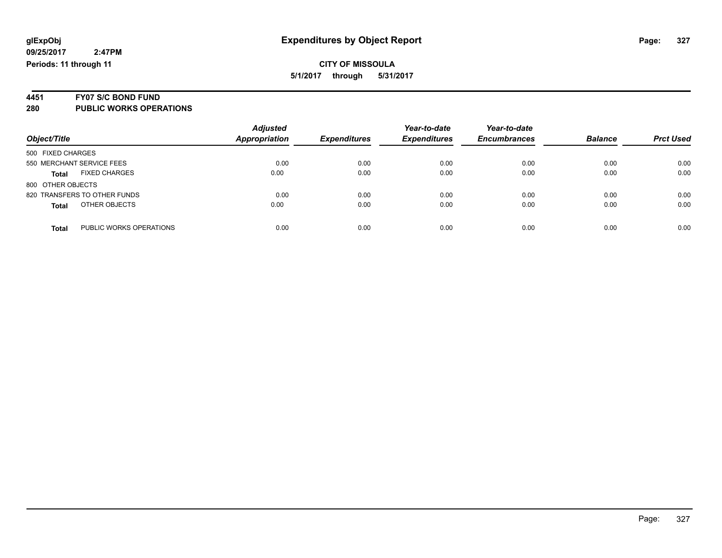### **CITY OF MISSOULA 5/1/2017 through 5/31/2017**

# **4451 FY07 S/C BOND FUND**

| Object/Title                            | <b>Adjusted</b><br><b>Appropriation</b> | <b>Expenditures</b> | Year-to-date<br><b>Expenditures</b> | Year-to-date<br><b>Encumbrances</b> | <b>Balance</b> | <b>Prct Used</b> |
|-----------------------------------------|-----------------------------------------|---------------------|-------------------------------------|-------------------------------------|----------------|------------------|
|                                         |                                         |                     |                                     |                                     |                |                  |
| 500 FIXED CHARGES                       |                                         |                     |                                     |                                     |                |                  |
| 550 MERCHANT SERVICE FEES               | 0.00                                    | 0.00                | 0.00                                | 0.00                                | 0.00           | 0.00             |
| <b>FIXED CHARGES</b><br><b>Total</b>    | 0.00                                    | 0.00                | 0.00                                | 0.00                                | 0.00           | 0.00             |
| 800 OTHER OBJECTS                       |                                         |                     |                                     |                                     |                |                  |
| 820 TRANSFERS TO OTHER FUNDS            | 0.00                                    | 0.00                | 0.00                                | 0.00                                | 0.00           | 0.00             |
| OTHER OBJECTS<br><b>Total</b>           | 0.00                                    | 0.00                | 0.00                                | 0.00                                | 0.00           | 0.00             |
| PUBLIC WORKS OPERATIONS<br><b>Total</b> | 0.00                                    | 0.00                | 0.00                                | 0.00                                | 0.00           | 0.00             |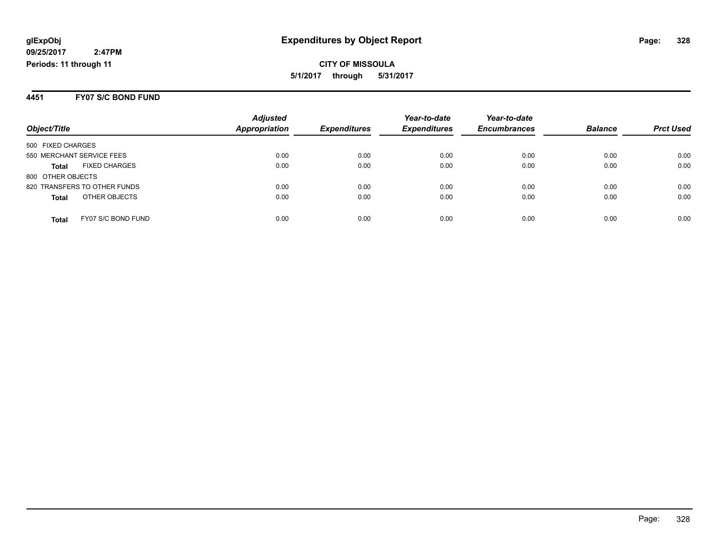#### **4451 FY07 S/C BOND FUND**

|                                      | <b>Adjusted</b>      |                     | Year-to-date        | Year-to-date        |                |                  |
|--------------------------------------|----------------------|---------------------|---------------------|---------------------|----------------|------------------|
| Object/Title                         | <b>Appropriation</b> | <b>Expenditures</b> | <b>Expenditures</b> | <b>Encumbrances</b> | <b>Balance</b> | <b>Prct Used</b> |
| 500 FIXED CHARGES                    |                      |                     |                     |                     |                |                  |
| 550 MERCHANT SERVICE FEES            | 0.00                 | 0.00                | 0.00                | 0.00                | 0.00           | 0.00             |
| <b>FIXED CHARGES</b><br><b>Total</b> | 0.00                 | 0.00                | 0.00                | 0.00                | 0.00           | 0.00             |
| 800 OTHER OBJECTS                    |                      |                     |                     |                     |                |                  |
| 820 TRANSFERS TO OTHER FUNDS         | 0.00                 | 0.00                | 0.00                | 0.00                | 0.00           | 0.00             |
| OTHER OBJECTS<br><b>Total</b>        | 0.00                 | 0.00                | 0.00                | 0.00                | 0.00           | 0.00             |
| FY07 S/C BOND FUND<br><b>Total</b>   | 0.00                 | 0.00                | 0.00                | 0.00                | 0.00           | 0.00             |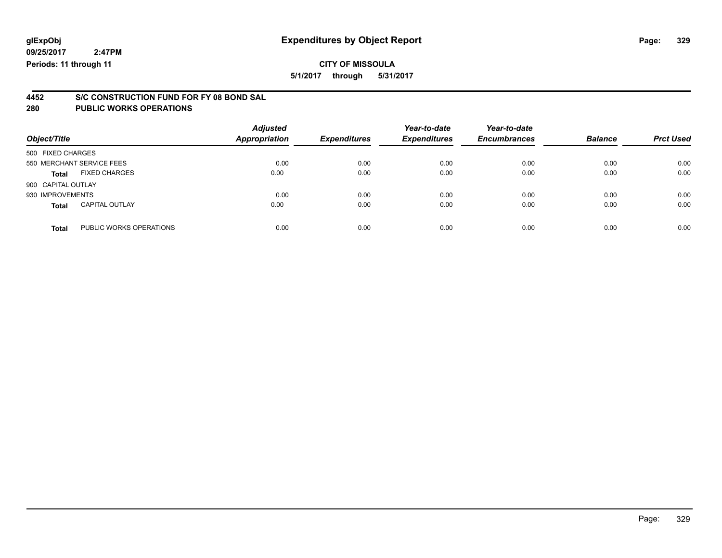### **CITY OF MISSOULA**

**5/1/2017 through 5/31/2017**

# **4452 S/C CONSTRUCTION FUND FOR FY 08 BOND SAL**

| Object/Title              |                         | <b>Adjusted</b><br><b>Appropriation</b> | <b>Expenditures</b> | Year-to-date<br><b>Expenditures</b> | Year-to-date<br><b>Encumbrances</b> | <b>Balance</b> | <b>Prct Used</b> |
|---------------------------|-------------------------|-----------------------------------------|---------------------|-------------------------------------|-------------------------------------|----------------|------------------|
|                           |                         |                                         |                     |                                     |                                     |                |                  |
| 500 FIXED CHARGES         |                         |                                         |                     |                                     |                                     |                |                  |
| 550 MERCHANT SERVICE FEES |                         | 0.00                                    | 0.00                | 0.00                                | 0.00                                | 0.00           | 0.00             |
| <b>Total</b>              | <b>FIXED CHARGES</b>    | 0.00                                    | 0.00                | 0.00                                | 0.00                                | 0.00           | 0.00             |
| 900 CAPITAL OUTLAY        |                         |                                         |                     |                                     |                                     |                |                  |
| 930 IMPROVEMENTS          |                         | 0.00                                    | 0.00                | 0.00                                | 0.00                                | 0.00           | 0.00             |
| <b>Total</b>              | <b>CAPITAL OUTLAY</b>   | 0.00                                    | 0.00                | 0.00                                | 0.00                                | 0.00           | 0.00             |
| <b>Total</b>              | PUBLIC WORKS OPERATIONS | 0.00                                    | 0.00                | 0.00                                | 0.00                                | 0.00           | 0.00             |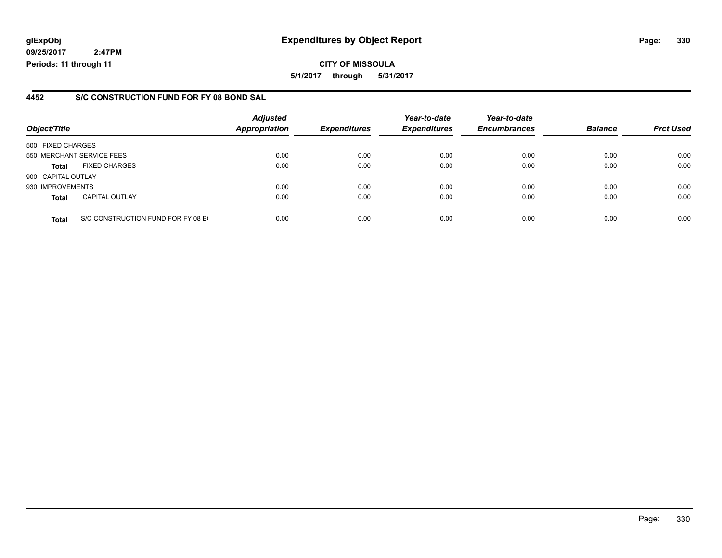### **glExpObj Expenditures by Object Report Page: 330**

**09/25/2017 2:47PM Periods: 11 through 11**

### **4452 S/C CONSTRUCTION FUND FOR FY 08 BOND SAL**

| Object/Title       |                                    | <b>Adjusted</b><br><b>Appropriation</b> | <b>Expenditures</b> | Year-to-date<br><b>Expenditures</b> | Year-to-date<br><b>Encumbrances</b> | <b>Balance</b> | <b>Prct Used</b> |
|--------------------|------------------------------------|-----------------------------------------|---------------------|-------------------------------------|-------------------------------------|----------------|------------------|
| 500 FIXED CHARGES  |                                    |                                         |                     |                                     |                                     |                |                  |
|                    | 550 MERCHANT SERVICE FEES          | 0.00                                    | 0.00                | 0.00                                | 0.00                                | 0.00           | 0.00             |
| <b>Total</b>       | <b>FIXED CHARGES</b>               | 0.00                                    | 0.00                | 0.00                                | 0.00                                | 0.00           | 0.00             |
| 900 CAPITAL OUTLAY |                                    |                                         |                     |                                     |                                     |                |                  |
| 930 IMPROVEMENTS   |                                    | 0.00                                    | 0.00                | 0.00                                | 0.00                                | 0.00           | 0.00             |
| <b>Total</b>       | <b>CAPITAL OUTLAY</b>              | 0.00                                    | 0.00                | 0.00                                | 0.00                                | 0.00           | 0.00             |
| <b>Total</b>       | S/C CONSTRUCTION FUND FOR FY 08 BO | 0.00                                    | 0.00                | 0.00                                | 0.00                                | 0.00           | 0.00             |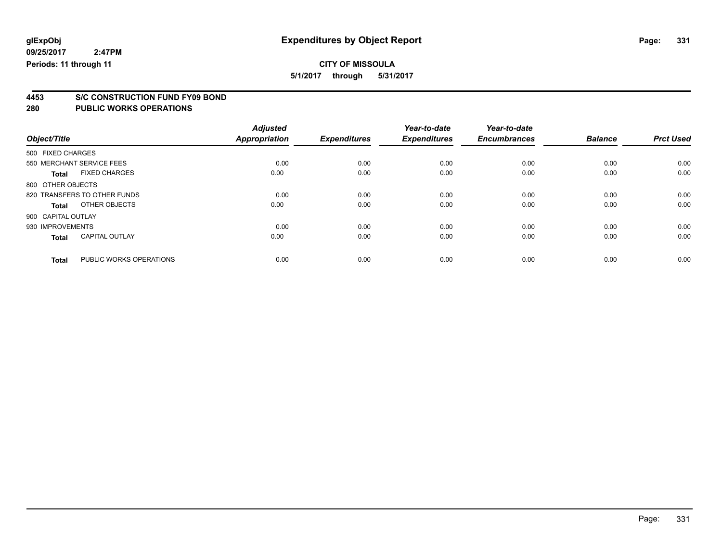**5/1/2017 through 5/31/2017**

# **4453 S/C CONSTRUCTION FUND FY09 BOND**

| Object/Title       |                              | <b>Adjusted</b><br><b>Appropriation</b> | <b>Expenditures</b> | Year-to-date<br><b>Expenditures</b> | Year-to-date<br><b>Encumbrances</b> | <b>Balance</b> | <b>Prct Used</b> |
|--------------------|------------------------------|-----------------------------------------|---------------------|-------------------------------------|-------------------------------------|----------------|------------------|
| 500 FIXED CHARGES  |                              |                                         |                     |                                     |                                     |                |                  |
|                    | 550 MERCHANT SERVICE FEES    | 0.00                                    | 0.00                | 0.00                                | 0.00                                | 0.00           | 0.00             |
| <b>Total</b>       | <b>FIXED CHARGES</b>         | 0.00                                    | 0.00                | 0.00                                | 0.00                                | 0.00           | 0.00             |
| 800 OTHER OBJECTS  |                              |                                         |                     |                                     |                                     |                |                  |
|                    | 820 TRANSFERS TO OTHER FUNDS | 0.00                                    | 0.00                | 0.00                                | 0.00                                | 0.00           | 0.00             |
| Total              | OTHER OBJECTS                | 0.00                                    | 0.00                | 0.00                                | 0.00                                | 0.00           | 0.00             |
| 900 CAPITAL OUTLAY |                              |                                         |                     |                                     |                                     |                |                  |
| 930 IMPROVEMENTS   |                              | 0.00                                    | 0.00                | 0.00                                | 0.00                                | 0.00           | 0.00             |
| <b>Total</b>       | <b>CAPITAL OUTLAY</b>        | 0.00                                    | 0.00                | 0.00                                | 0.00                                | 0.00           | 0.00             |
|                    |                              |                                         |                     |                                     |                                     |                |                  |
| <b>Total</b>       | PUBLIC WORKS OPERATIONS      | 0.00                                    | 0.00                | 0.00                                | 0.00                                | 0.00           | 0.00             |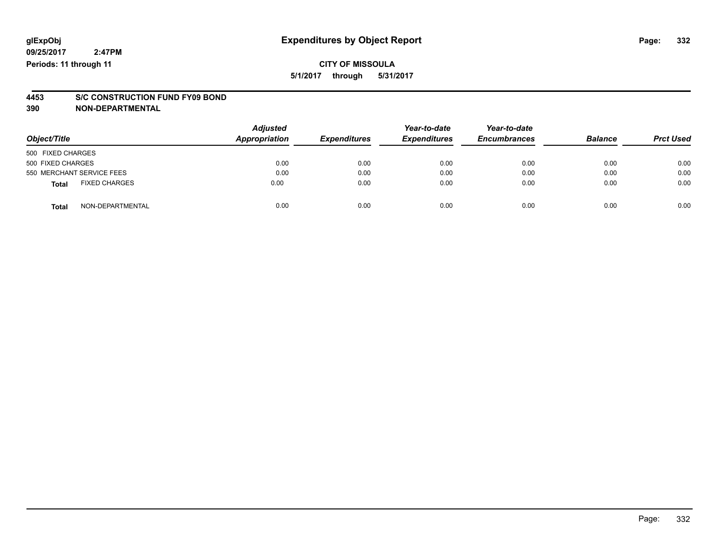# **4453 S/C CONSTRUCTION FUND FY09 BOND**

**390 NON-DEPARTMENTAL**

| Object/Title              |                      | <b>Adjusted</b><br><b>Appropriation</b> | <b>Expenditures</b> | Year-to-date<br><b>Expenditures</b> | Year-to-date<br><b>Encumbrances</b> | <b>Balance</b> | <b>Prct Used</b> |
|---------------------------|----------------------|-----------------------------------------|---------------------|-------------------------------------|-------------------------------------|----------------|------------------|
| 500 FIXED CHARGES         |                      |                                         |                     |                                     |                                     |                |                  |
| 500 FIXED CHARGES         |                      | 0.00                                    | 0.00                | 0.00                                | 0.00                                | 0.00           | 0.00             |
| 550 MERCHANT SERVICE FEES |                      | 0.00                                    | 0.00                | 0.00                                | 0.00                                | 0.00           | 0.00             |
| <b>Total</b>              | <b>FIXED CHARGES</b> | 0.00                                    | 0.00                | 0.00                                | 0.00                                | 0.00           | 0.00             |
| <b>Total</b>              | NON-DEPARTMENTAL     | 0.00                                    | 0.00                | 0.00                                | 0.00                                | 0.00           | 0.00             |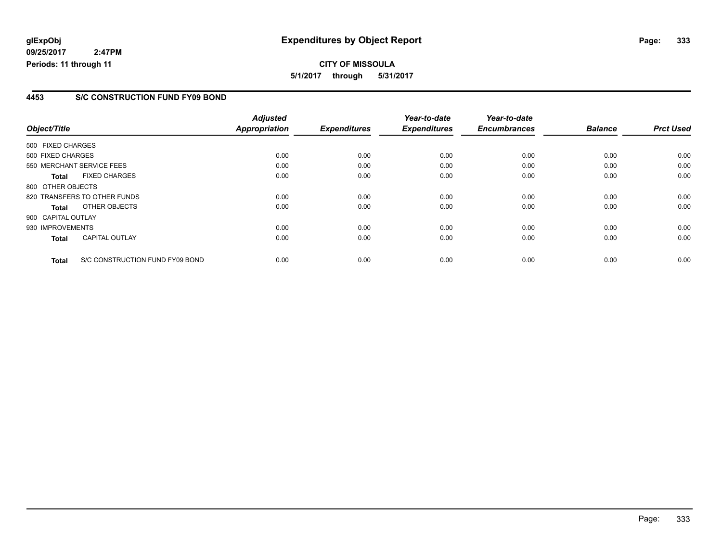**CITY OF MISSOULA 5/1/2017 through 5/31/2017**

### **4453 S/C CONSTRUCTION FUND FY09 BOND**

|                    |                                 | <b>Adjusted</b> |                     | Year-to-date        | Year-to-date        |                |                  |
|--------------------|---------------------------------|-----------------|---------------------|---------------------|---------------------|----------------|------------------|
| Object/Title       |                                 | Appropriation   | <b>Expenditures</b> | <b>Expenditures</b> | <b>Encumbrances</b> | <b>Balance</b> | <b>Prct Used</b> |
| 500 FIXED CHARGES  |                                 |                 |                     |                     |                     |                |                  |
| 500 FIXED CHARGES  |                                 | 0.00            | 0.00                | 0.00                | 0.00                | 0.00           | 0.00             |
|                    | 550 MERCHANT SERVICE FEES       | 0.00            | 0.00                | 0.00                | 0.00                | 0.00           | 0.00             |
| <b>Total</b>       | <b>FIXED CHARGES</b>            | 0.00            | 0.00                | 0.00                | 0.00                | 0.00           | 0.00             |
| 800 OTHER OBJECTS  |                                 |                 |                     |                     |                     |                |                  |
|                    | 820 TRANSFERS TO OTHER FUNDS    | 0.00            | 0.00                | 0.00                | 0.00                | 0.00           | 0.00             |
| <b>Total</b>       | OTHER OBJECTS                   | 0.00            | 0.00                | 0.00                | 0.00                | 0.00           | 0.00             |
| 900 CAPITAL OUTLAY |                                 |                 |                     |                     |                     |                |                  |
| 930 IMPROVEMENTS   |                                 | 0.00            | 0.00                | 0.00                | 0.00                | 0.00           | 0.00             |
| <b>Total</b>       | <b>CAPITAL OUTLAY</b>           | 0.00            | 0.00                | 0.00                | 0.00                | 0.00           | 0.00             |
| <b>Total</b>       | S/C CONSTRUCTION FUND FY09 BOND | 0.00            | 0.00                | 0.00                | 0.00                | 0.00           | 0.00             |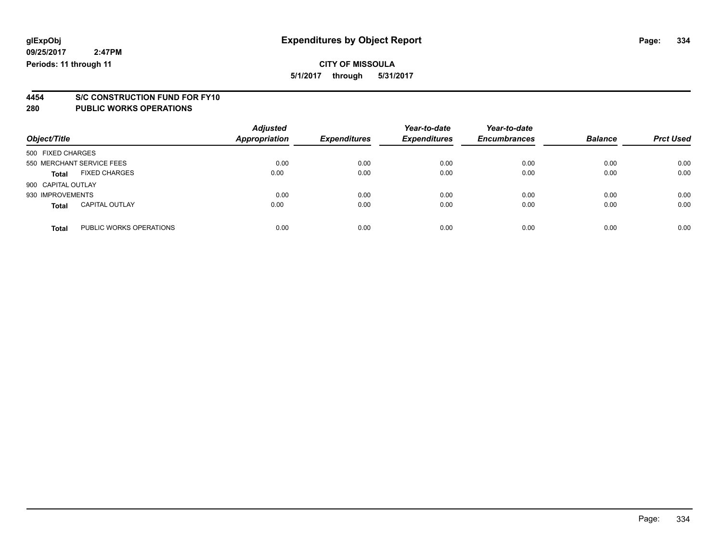### **CITY OF MISSOULA 5/1/2017 through 5/31/2017**

#### **4454 S/C CONSTRUCTION FUND FOR FY10 280 PUBLIC WORKS OPERATIONS**

| Object/Title              |                         | <b>Adjusted</b><br><b>Appropriation</b> | <b>Expenditures</b> | Year-to-date<br><b>Expenditures</b> | Year-to-date<br><b>Encumbrances</b> | <b>Balance</b> | <b>Prct Used</b> |
|---------------------------|-------------------------|-----------------------------------------|---------------------|-------------------------------------|-------------------------------------|----------------|------------------|
| 500 FIXED CHARGES         |                         |                                         |                     |                                     |                                     |                |                  |
| 550 MERCHANT SERVICE FEES |                         | 0.00                                    | 0.00                | 0.00                                | 0.00                                | 0.00           | 0.00             |
| <b>Total</b>              | <b>FIXED CHARGES</b>    | 0.00                                    | 0.00                | 0.00                                | 0.00                                | 0.00           | 0.00             |
| 900 CAPITAL OUTLAY        |                         |                                         |                     |                                     |                                     |                |                  |
| 930 IMPROVEMENTS          |                         | 0.00                                    | 0.00                | 0.00                                | 0.00                                | 0.00           | 0.00             |
| <b>Total</b>              | <b>CAPITAL OUTLAY</b>   | 0.00                                    | 0.00                | 0.00                                | 0.00                                | 0.00           | 0.00             |
| <b>Total</b>              | PUBLIC WORKS OPERATIONS | 0.00                                    | 0.00                | 0.00                                | 0.00                                | 0.00           | 0.00             |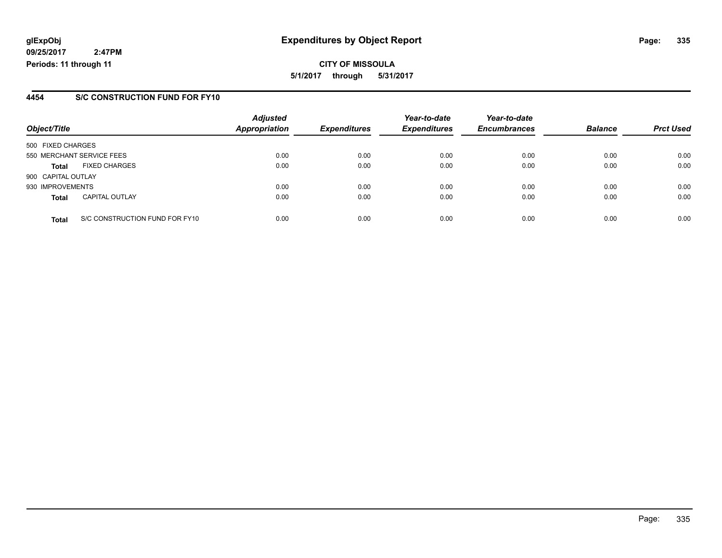### **glExpObj Expenditures by Object Report Page: 335**

**09/25/2017 2:47PM Periods: 11 through 11**

### **4454 S/C CONSTRUCTION FUND FOR FY10**

| Object/Title       |                                | <b>Adjusted</b><br><b>Appropriation</b> | <b>Expenditures</b> | Year-to-date<br><b>Expenditures</b> | Year-to-date<br><b>Encumbrances</b> | <b>Balance</b> | <b>Prct Used</b> |
|--------------------|--------------------------------|-----------------------------------------|---------------------|-------------------------------------|-------------------------------------|----------------|------------------|
| 500 FIXED CHARGES  |                                |                                         |                     |                                     |                                     |                |                  |
|                    | 550 MERCHANT SERVICE FEES      | 0.00                                    | 0.00                | 0.00                                | 0.00                                | 0.00           | 0.00             |
| <b>Total</b>       | <b>FIXED CHARGES</b>           | 0.00                                    | 0.00                | 0.00                                | 0.00                                | 0.00           | 0.00             |
| 900 CAPITAL OUTLAY |                                |                                         |                     |                                     |                                     |                |                  |
| 930 IMPROVEMENTS   |                                | 0.00                                    | 0.00                | 0.00                                | 0.00                                | 0.00           | 0.00             |
| <b>Total</b>       | <b>CAPITAL OUTLAY</b>          | 0.00                                    | 0.00                | 0.00                                | 0.00                                | 0.00           | 0.00             |
| <b>Total</b>       | S/C CONSTRUCTION FUND FOR FY10 | 0.00                                    | 0.00                | 0.00                                | 0.00                                | 0.00           | 0.00             |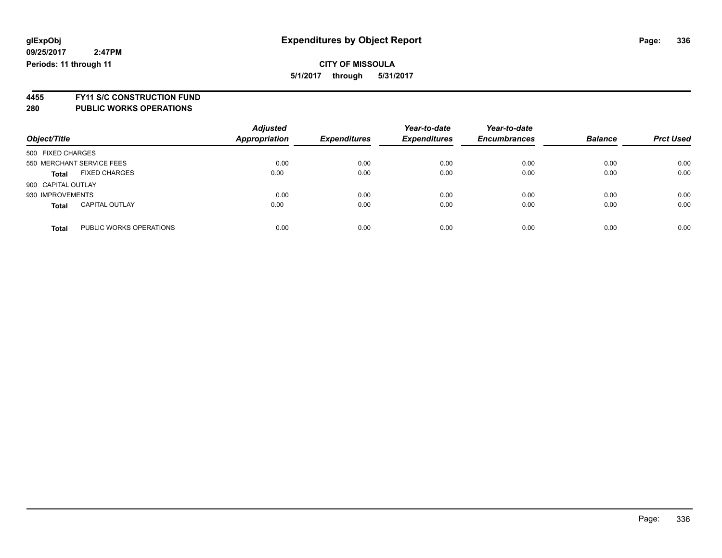### **CITY OF MISSOULA 5/1/2017 through 5/31/2017**

**4455 FY11 S/C CONSTRUCTION FUND**

| Object/Title                            | <b>Adjusted</b><br><b>Appropriation</b> | <b>Expenditures</b> | Year-to-date<br><b>Expenditures</b> | Year-to-date<br><b>Encumbrances</b> | <b>Balance</b> | <b>Prct Used</b> |
|-----------------------------------------|-----------------------------------------|---------------------|-------------------------------------|-------------------------------------|----------------|------------------|
| 500 FIXED CHARGES                       |                                         |                     |                                     |                                     |                |                  |
| 550 MERCHANT SERVICE FEES               | 0.00                                    | 0.00                | 0.00                                | 0.00                                | 0.00           | 0.00             |
| <b>FIXED CHARGES</b><br><b>Total</b>    | 0.00                                    | 0.00                | 0.00                                | 0.00                                | 0.00           | 0.00             |
| 900 CAPITAL OUTLAY                      |                                         |                     |                                     |                                     |                |                  |
| 930 IMPROVEMENTS                        | 0.00                                    | 0.00                | 0.00                                | 0.00                                | 0.00           | 0.00             |
| <b>CAPITAL OUTLAY</b><br><b>Total</b>   | 0.00                                    | 0.00                | 0.00                                | 0.00                                | 0.00           | 0.00             |
| PUBLIC WORKS OPERATIONS<br><b>Total</b> | 0.00                                    | 0.00                | 0.00                                | 0.00                                | 0.00           | 0.00             |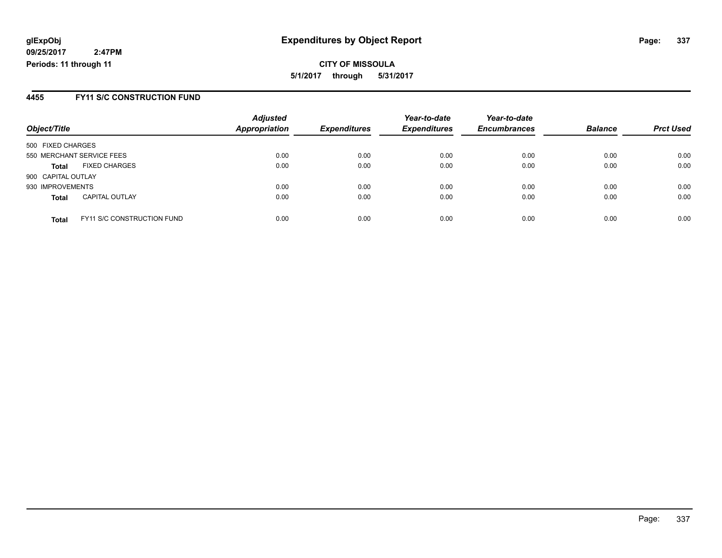**CITY OF MISSOULA 5/1/2017 through 5/31/2017**

### **4455 FY11 S/C CONSTRUCTION FUND**

| Object/Title                                      | <b>Adjusted</b><br><b>Appropriation</b> | <b>Expenditures</b> | Year-to-date<br><b>Expenditures</b> | Year-to-date<br><b>Encumbrances</b> | <b>Balance</b> | <b>Prct Used</b> |
|---------------------------------------------------|-----------------------------------------|---------------------|-------------------------------------|-------------------------------------|----------------|------------------|
| 500 FIXED CHARGES                                 |                                         |                     |                                     |                                     |                |                  |
| 550 MERCHANT SERVICE FEES                         | 0.00                                    | 0.00                | 0.00                                | 0.00                                | 0.00           | 0.00             |
| <b>FIXED CHARGES</b><br><b>Total</b>              | 0.00                                    | 0.00                | 0.00                                | 0.00                                | 0.00           | 0.00             |
| 900 CAPITAL OUTLAY                                |                                         |                     |                                     |                                     |                |                  |
| 930 IMPROVEMENTS                                  | 0.00                                    | 0.00                | 0.00                                | 0.00                                | 0.00           | 0.00             |
| <b>CAPITAL OUTLAY</b><br><b>Total</b>             | 0.00                                    | 0.00                | 0.00                                | 0.00                                | 0.00           | 0.00             |
| <b>FY11 S/C CONSTRUCTION FUND</b><br><b>Total</b> | 0.00                                    | 0.00                | 0.00                                | 0.00                                | 0.00           | 0.00             |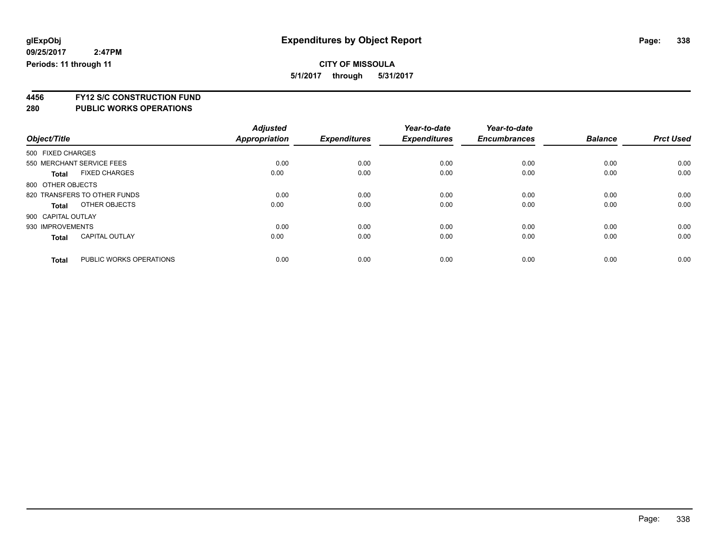**5/1/2017 through 5/31/2017**

**4456 FY12 S/C CONSTRUCTION FUND**

| Object/Title                            | <b>Adjusted</b><br><b>Appropriation</b> | <b>Expenditures</b> | Year-to-date<br><b>Expenditures</b> | Year-to-date<br><b>Encumbrances</b> | <b>Balance</b> | <b>Prct Used</b> |
|-----------------------------------------|-----------------------------------------|---------------------|-------------------------------------|-------------------------------------|----------------|------------------|
|                                         |                                         |                     |                                     |                                     |                |                  |
| 500 FIXED CHARGES                       |                                         |                     |                                     |                                     |                |                  |
| 550 MERCHANT SERVICE FEES               | 0.00                                    | 0.00                | 0.00                                | 0.00                                | 0.00           | 0.00             |
| <b>FIXED CHARGES</b><br><b>Total</b>    | 0.00                                    | 0.00                | 0.00                                | 0.00                                | 0.00           | 0.00             |
| 800 OTHER OBJECTS                       |                                         |                     |                                     |                                     |                |                  |
| 820 TRANSFERS TO OTHER FUNDS            | 0.00                                    | 0.00                | 0.00                                | 0.00                                | 0.00           | 0.00             |
| OTHER OBJECTS<br>Total                  | 0.00                                    | 0.00                | 0.00                                | 0.00                                | 0.00           | 0.00             |
| 900 CAPITAL OUTLAY                      |                                         |                     |                                     |                                     |                |                  |
| 930 IMPROVEMENTS                        | 0.00                                    | 0.00                | 0.00                                | 0.00                                | 0.00           | 0.00             |
| <b>CAPITAL OUTLAY</b><br><b>Total</b>   | 0.00                                    | 0.00                | 0.00                                | 0.00                                | 0.00           | 0.00             |
|                                         |                                         |                     |                                     |                                     |                |                  |
| PUBLIC WORKS OPERATIONS<br><b>Total</b> | 0.00                                    | 0.00                | 0.00                                | 0.00                                | 0.00           | 0.00             |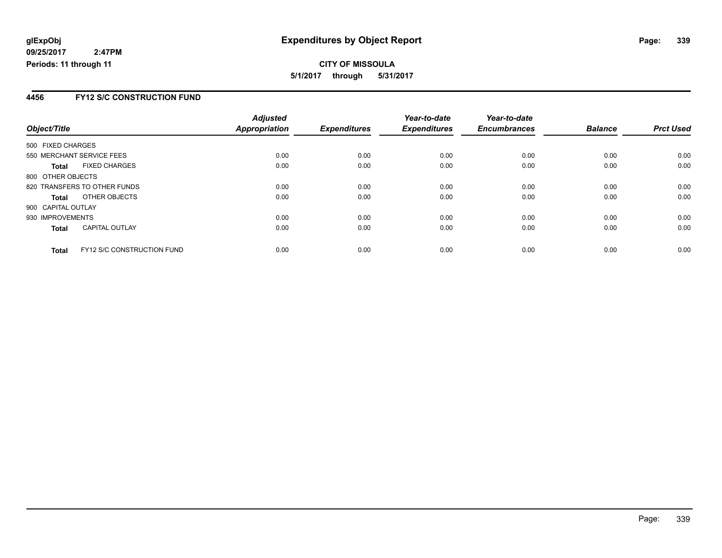**CITY OF MISSOULA 5/1/2017 through 5/31/2017**

### **4456 FY12 S/C CONSTRUCTION FUND**

|                    |                                   | <b>Adjusted</b> |                     | Year-to-date        | Year-to-date        |                |                  |
|--------------------|-----------------------------------|-----------------|---------------------|---------------------|---------------------|----------------|------------------|
| Object/Title       |                                   | Appropriation   | <b>Expenditures</b> | <b>Expenditures</b> | <b>Encumbrances</b> | <b>Balance</b> | <b>Prct Used</b> |
| 500 FIXED CHARGES  |                                   |                 |                     |                     |                     |                |                  |
|                    | 550 MERCHANT SERVICE FEES         | 0.00            | 0.00                | 0.00                | 0.00                | 0.00           | 0.00             |
| <b>Total</b>       | <b>FIXED CHARGES</b>              | 0.00            | 0.00                | 0.00                | 0.00                | 0.00           | 0.00             |
| 800 OTHER OBJECTS  |                                   |                 |                     |                     |                     |                |                  |
|                    | 820 TRANSFERS TO OTHER FUNDS      | 0.00            | 0.00                | 0.00                | 0.00                | 0.00           | 0.00             |
| <b>Total</b>       | OTHER OBJECTS                     | 0.00            | 0.00                | 0.00                | 0.00                | 0.00           | 0.00             |
| 900 CAPITAL OUTLAY |                                   |                 |                     |                     |                     |                |                  |
| 930 IMPROVEMENTS   |                                   | 0.00            | 0.00                | 0.00                | 0.00                | 0.00           | 0.00             |
| <b>Total</b>       | <b>CAPITAL OUTLAY</b>             | 0.00            | 0.00                | 0.00                | 0.00                | 0.00           | 0.00             |
| <b>Total</b>       | <b>FY12 S/C CONSTRUCTION FUND</b> | 0.00            | 0.00                | 0.00                | 0.00                | 0.00           | 0.00             |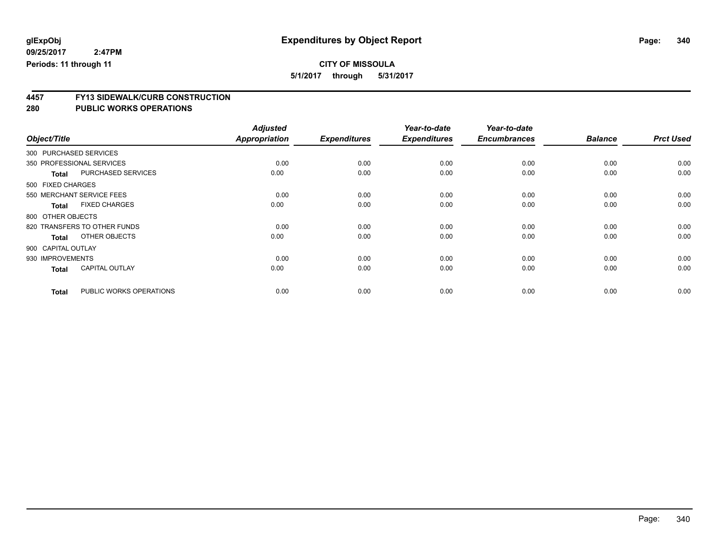**5/1/2017 through 5/31/2017**

# **4457 FY13 SIDEWALK/CURB CONSTRUCTION**

| Object/Title              |                              | <b>Adjusted</b><br><b>Appropriation</b> | <b>Expenditures</b> | Year-to-date<br><b>Expenditures</b> | Year-to-date<br><b>Encumbrances</b> | <b>Balance</b> | <b>Prct Used</b> |
|---------------------------|------------------------------|-----------------------------------------|---------------------|-------------------------------------|-------------------------------------|----------------|------------------|
| 300 PURCHASED SERVICES    |                              |                                         |                     |                                     |                                     |                |                  |
| 350 PROFESSIONAL SERVICES |                              | 0.00                                    | 0.00                | 0.00                                | 0.00                                | 0.00           | 0.00             |
| <b>Total</b>              | PURCHASED SERVICES           | 0.00                                    | 0.00                | 0.00                                | 0.00                                | 0.00           | 0.00             |
| 500 FIXED CHARGES         |                              |                                         |                     |                                     |                                     |                |                  |
|                           | 550 MERCHANT SERVICE FEES    | 0.00                                    | 0.00                | 0.00                                | 0.00                                | 0.00           | 0.00             |
| <b>Total</b>              | <b>FIXED CHARGES</b>         | 0.00                                    | 0.00                | 0.00                                | 0.00                                | 0.00           | 0.00             |
| 800 OTHER OBJECTS         |                              |                                         |                     |                                     |                                     |                |                  |
|                           | 820 TRANSFERS TO OTHER FUNDS | 0.00                                    | 0.00                | 0.00                                | 0.00                                | 0.00           | 0.00             |
| <b>Total</b>              | OTHER OBJECTS                | 0.00                                    | 0.00                | 0.00                                | 0.00                                | 0.00           | 0.00             |
| 900 CAPITAL OUTLAY        |                              |                                         |                     |                                     |                                     |                |                  |
| 930 IMPROVEMENTS          |                              | 0.00                                    | 0.00                | 0.00                                | 0.00                                | 0.00           | 0.00             |
| <b>Total</b>              | <b>CAPITAL OUTLAY</b>        | 0.00                                    | 0.00                | 0.00                                | 0.00                                | 0.00           | 0.00             |
| <b>Total</b>              | PUBLIC WORKS OPERATIONS      | 0.00                                    | 0.00                | 0.00                                | 0.00                                | 0.00           | 0.00             |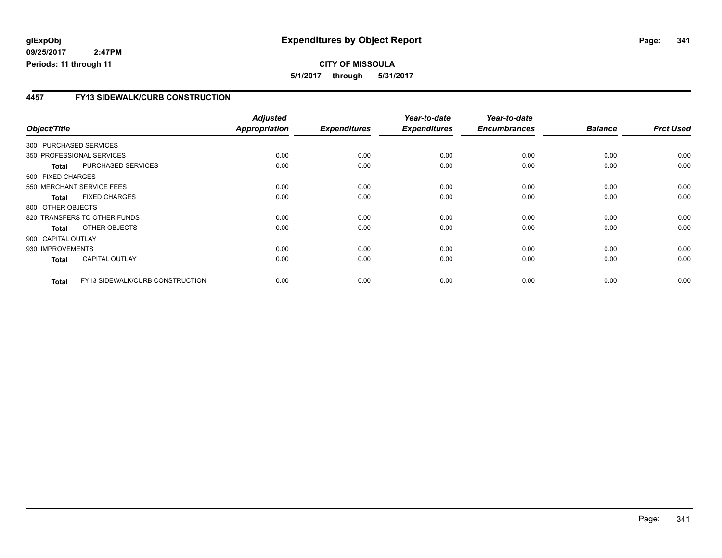#### **4457 FY13 SIDEWALK/CURB CONSTRUCTION**

| Object/Title           |                                 | <b>Adjusted</b><br><b>Appropriation</b> | <b>Expenditures</b> | Year-to-date<br><b>Expenditures</b> | Year-to-date<br><b>Encumbrances</b> | <b>Balance</b> | <b>Prct Used</b> |
|------------------------|---------------------------------|-----------------------------------------|---------------------|-------------------------------------|-------------------------------------|----------------|------------------|
| 300 PURCHASED SERVICES |                                 |                                         |                     |                                     |                                     |                |                  |
|                        | 350 PROFESSIONAL SERVICES       | 0.00                                    | 0.00                | 0.00                                | 0.00                                | 0.00           | 0.00             |
| <b>Total</b>           | PURCHASED SERVICES              | 0.00                                    | 0.00                | 0.00                                | 0.00                                | 0.00           | 0.00             |
| 500 FIXED CHARGES      |                                 |                                         |                     |                                     |                                     |                |                  |
|                        | 550 MERCHANT SERVICE FEES       | 0.00                                    | 0.00                | 0.00                                | 0.00                                | 0.00           | 0.00             |
| <b>Total</b>           | <b>FIXED CHARGES</b>            | 0.00                                    | 0.00                | 0.00                                | 0.00                                | 0.00           | 0.00             |
| 800 OTHER OBJECTS      |                                 |                                         |                     |                                     |                                     |                |                  |
|                        | 820 TRANSFERS TO OTHER FUNDS    | 0.00                                    | 0.00                | 0.00                                | 0.00                                | 0.00           | 0.00             |
| Total                  | OTHER OBJECTS                   | 0.00                                    | 0.00                | 0.00                                | 0.00                                | 0.00           | 0.00             |
| 900 CAPITAL OUTLAY     |                                 |                                         |                     |                                     |                                     |                |                  |
| 930 IMPROVEMENTS       |                                 | 0.00                                    | 0.00                | 0.00                                | 0.00                                | 0.00           | 0.00             |
| <b>Total</b>           | <b>CAPITAL OUTLAY</b>           | 0.00                                    | 0.00                | 0.00                                | 0.00                                | 0.00           | 0.00             |
| <b>Total</b>           | FY13 SIDEWALK/CURB CONSTRUCTION | 0.00                                    | 0.00                | 0.00                                | 0.00                                | 0.00           | 0.00             |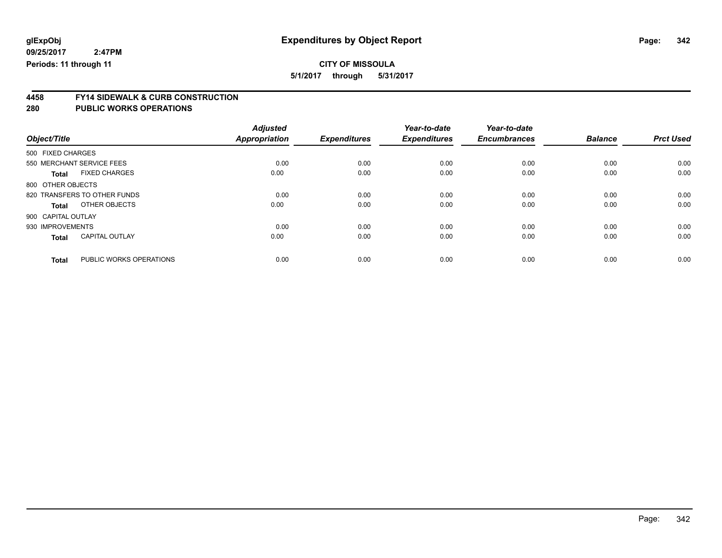**5/1/2017 through 5/31/2017**

# **4458 FY14 SIDEWALK & CURB CONSTRUCTION**

| Object/Title       |                              | <b>Adjusted</b><br><b>Appropriation</b> | <b>Expenditures</b> | Year-to-date<br><b>Expenditures</b> | Year-to-date<br><b>Encumbrances</b> | <b>Balance</b> | <b>Prct Used</b> |
|--------------------|------------------------------|-----------------------------------------|---------------------|-------------------------------------|-------------------------------------|----------------|------------------|
| 500 FIXED CHARGES  |                              |                                         |                     |                                     |                                     |                |                  |
|                    | 550 MERCHANT SERVICE FEES    | 0.00                                    | 0.00                | 0.00                                | 0.00                                | 0.00           | 0.00             |
| <b>Total</b>       | <b>FIXED CHARGES</b>         | 0.00                                    | 0.00                | 0.00                                | 0.00                                | 0.00           | 0.00             |
| 800 OTHER OBJECTS  |                              |                                         |                     |                                     |                                     |                |                  |
|                    | 820 TRANSFERS TO OTHER FUNDS | 0.00                                    | 0.00                | 0.00                                | 0.00                                | 0.00           | 0.00             |
| <b>Total</b>       | OTHER OBJECTS                | 0.00                                    | 0.00                | 0.00                                | 0.00                                | 0.00           | 0.00             |
| 900 CAPITAL OUTLAY |                              |                                         |                     |                                     |                                     |                |                  |
| 930 IMPROVEMENTS   |                              | 0.00                                    | 0.00                | 0.00                                | 0.00                                | 0.00           | 0.00             |
| <b>Total</b>       | <b>CAPITAL OUTLAY</b>        | 0.00                                    | 0.00                | 0.00                                | 0.00                                | 0.00           | 0.00             |
| <b>Total</b>       | PUBLIC WORKS OPERATIONS      | 0.00                                    | 0.00                | 0.00                                | 0.00                                | 0.00           | 0.00             |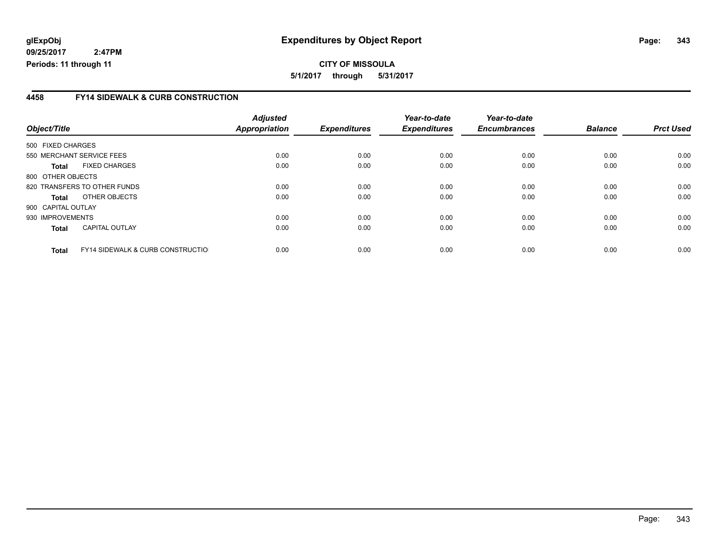**CITY OF MISSOULA 5/1/2017 through 5/31/2017**

### **4458 FY14 SIDEWALK & CURB CONSTRUCTION**

|                                                              | <b>Adjusted</b> |                     | Year-to-date        | Year-to-date        |                |                  |
|--------------------------------------------------------------|-----------------|---------------------|---------------------|---------------------|----------------|------------------|
| Object/Title                                                 | Appropriation   | <b>Expenditures</b> | <b>Expenditures</b> | <b>Encumbrances</b> | <b>Balance</b> | <b>Prct Used</b> |
| 500 FIXED CHARGES                                            |                 |                     |                     |                     |                |                  |
| 550 MERCHANT SERVICE FEES                                    | 0.00            | 0.00                | 0.00                | 0.00                | 0.00           | 0.00             |
| <b>FIXED CHARGES</b><br><b>Total</b>                         | 0.00            | 0.00                | 0.00                | 0.00                | 0.00           | 0.00             |
| 800 OTHER OBJECTS                                            |                 |                     |                     |                     |                |                  |
| 820 TRANSFERS TO OTHER FUNDS                                 | 0.00            | 0.00                | 0.00                | 0.00                | 0.00           | 0.00             |
| OTHER OBJECTS<br><b>Total</b>                                | 0.00            | 0.00                | 0.00                | 0.00                | 0.00           | 0.00             |
| 900 CAPITAL OUTLAY                                           |                 |                     |                     |                     |                |                  |
| 930 IMPROVEMENTS                                             | 0.00            | 0.00                | 0.00                | 0.00                | 0.00           | 0.00             |
| <b>CAPITAL OUTLAY</b><br><b>Total</b>                        | 0.00            | 0.00                | 0.00                | 0.00                | 0.00           | 0.00             |
| <b>FY14 SIDEWALK &amp; CURB CONSTRUCTIOL</b><br><b>Total</b> | 0.00            | 0.00                | 0.00                | 0.00                | 0.00           | 0.00             |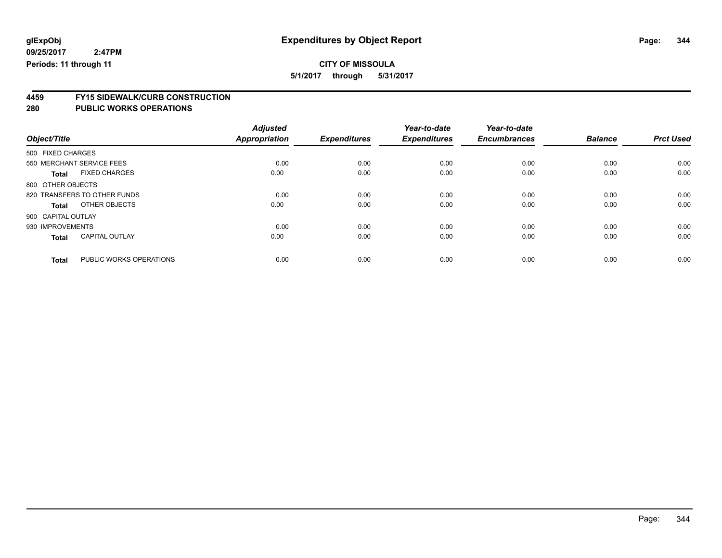**5/1/2017 through 5/31/2017**

# **4459 FY15 SIDEWALK/CURB CONSTRUCTION**

| Object/Title                            | <b>Adjusted</b><br><b>Appropriation</b> | <b>Expenditures</b> | Year-to-date<br><b>Expenditures</b> | Year-to-date<br><b>Encumbrances</b> | <b>Balance</b> | <b>Prct Used</b> |
|-----------------------------------------|-----------------------------------------|---------------------|-------------------------------------|-------------------------------------|----------------|------------------|
| 500 FIXED CHARGES                       |                                         |                     |                                     |                                     |                |                  |
| 550 MERCHANT SERVICE FEES               | 0.00                                    | 0.00                | 0.00                                | 0.00                                | 0.00           | 0.00             |
| <b>FIXED CHARGES</b><br><b>Total</b>    | 0.00                                    | 0.00                | 0.00                                | 0.00                                | 0.00           | 0.00             |
| 800 OTHER OBJECTS                       |                                         |                     |                                     |                                     |                |                  |
| 820 TRANSFERS TO OTHER FUNDS            | 0.00                                    | 0.00                | 0.00                                | 0.00                                | 0.00           | 0.00             |
| OTHER OBJECTS<br>Total                  | 0.00                                    | 0.00                | 0.00                                | 0.00                                | 0.00           | 0.00             |
| 900 CAPITAL OUTLAY                      |                                         |                     |                                     |                                     |                |                  |
| 930 IMPROVEMENTS                        | 0.00                                    | 0.00                | 0.00                                | 0.00                                | 0.00           | 0.00             |
| <b>CAPITAL OUTLAY</b><br><b>Total</b>   | 0.00                                    | 0.00                | 0.00                                | 0.00                                | 0.00           | 0.00             |
|                                         |                                         |                     |                                     |                                     |                |                  |
| PUBLIC WORKS OPERATIONS<br><b>Total</b> | 0.00                                    | 0.00                | 0.00                                | 0.00                                | 0.00           | 0.00             |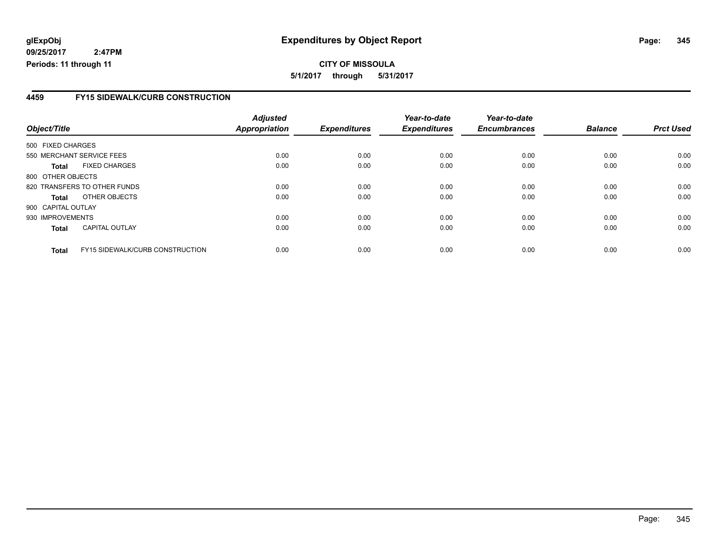**5/1/2017 through 5/31/2017**

### **4459 FY15 SIDEWALK/CURB CONSTRUCTION**

| Object/Title       |                                        | <b>Adjusted</b><br><b>Appropriation</b> | <b>Expenditures</b> | Year-to-date<br><b>Expenditures</b> | Year-to-date<br><b>Encumbrances</b> | <b>Balance</b> | <b>Prct Used</b> |
|--------------------|----------------------------------------|-----------------------------------------|---------------------|-------------------------------------|-------------------------------------|----------------|------------------|
| 500 FIXED CHARGES  |                                        |                                         |                     |                                     |                                     |                |                  |
|                    | 550 MERCHANT SERVICE FEES              | 0.00                                    | 0.00                | 0.00                                | 0.00                                | 0.00           | 0.00             |
| <b>Total</b>       | <b>FIXED CHARGES</b>                   | 0.00                                    | 0.00                | 0.00                                | 0.00                                | 0.00           | 0.00             |
| 800 OTHER OBJECTS  |                                        |                                         |                     |                                     |                                     |                |                  |
|                    | 820 TRANSFERS TO OTHER FUNDS           | 0.00                                    | 0.00                | 0.00                                | 0.00                                | 0.00           | 0.00             |
| <b>Total</b>       | OTHER OBJECTS                          | 0.00                                    | 0.00                | 0.00                                | 0.00                                | 0.00           | 0.00             |
| 900 CAPITAL OUTLAY |                                        |                                         |                     |                                     |                                     |                |                  |
| 930 IMPROVEMENTS   |                                        | 0.00                                    | 0.00                | 0.00                                | 0.00                                | 0.00           | 0.00             |
| <b>Total</b>       | <b>CAPITAL OUTLAY</b>                  | 0.00                                    | 0.00                | 0.00                                | 0.00                                | 0.00           | 0.00             |
| <b>Total</b>       | <b>FY15 SIDEWALK/CURB CONSTRUCTION</b> | 0.00                                    | 0.00                | 0.00                                | 0.00                                | 0.00           | 0.00             |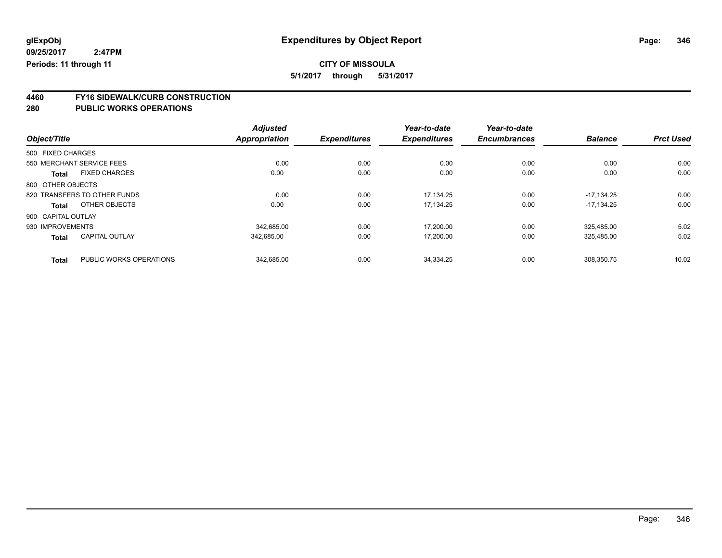**5/1/2017 through 5/31/2017**

# **4460 FY16 SIDEWALK/CURB CONSTRUCTION**

|                                         | <b>Adjusted</b>      |                     | Year-to-date        | Year-to-date        |                |                  |
|-----------------------------------------|----------------------|---------------------|---------------------|---------------------|----------------|------------------|
| Object/Title                            | <b>Appropriation</b> | <b>Expenditures</b> | <b>Expenditures</b> | <b>Encumbrances</b> | <b>Balance</b> | <b>Prct Used</b> |
| 500 FIXED CHARGES                       |                      |                     |                     |                     |                |                  |
| 550 MERCHANT SERVICE FEES               | 0.00                 | 0.00                | 0.00                | 0.00                | 0.00           | 0.00             |
| <b>FIXED CHARGES</b><br><b>Total</b>    | 0.00                 | 0.00                | 0.00                | 0.00                | 0.00           | 0.00             |
| 800 OTHER OBJECTS                       |                      |                     |                     |                     |                |                  |
| 820 TRANSFERS TO OTHER FUNDS            | 0.00                 | 0.00                | 17.134.25           | 0.00                | $-17.134.25$   | 0.00             |
| OTHER OBJECTS<br>Total                  | 0.00                 | 0.00                | 17,134.25           | 0.00                | $-17.134.25$   | 0.00             |
| 900 CAPITAL OUTLAY                      |                      |                     |                     |                     |                |                  |
| 930 IMPROVEMENTS                        | 342.685.00           | 0.00                | 17.200.00           | 0.00                | 325.485.00     | 5.02             |
| <b>CAPITAL OUTLAY</b><br><b>Total</b>   | 342.685.00           | 0.00                | 17.200.00           | 0.00                | 325.485.00     | 5.02             |
| PUBLIC WORKS OPERATIONS<br><b>Total</b> | 342.685.00           | 0.00                | 34.334.25           | 0.00                | 308.350.75     | 10.02            |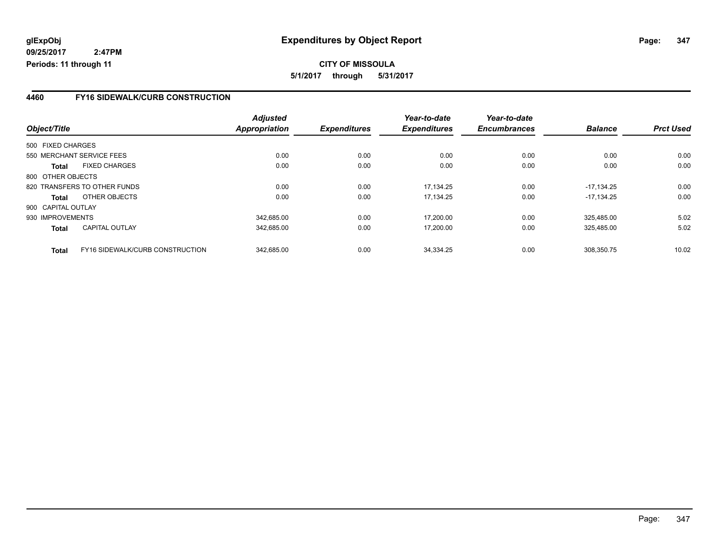### **4460 FY16 SIDEWALK/CURB CONSTRUCTION**

|                    |                                 | <b>Adjusted</b> |                     | Year-to-date        | Year-to-date        |                |                  |
|--------------------|---------------------------------|-----------------|---------------------|---------------------|---------------------|----------------|------------------|
| Object/Title       |                                 | Appropriation   | <b>Expenditures</b> | <b>Expenditures</b> | <b>Encumbrances</b> | <b>Balance</b> | <b>Prct Used</b> |
| 500 FIXED CHARGES  |                                 |                 |                     |                     |                     |                |                  |
|                    | 550 MERCHANT SERVICE FEES       | 0.00            | 0.00                | 0.00                | 0.00                | 0.00           | 0.00             |
| <b>Total</b>       | <b>FIXED CHARGES</b>            | 0.00            | 0.00                | 0.00                | 0.00                | 0.00           | 0.00             |
| 800 OTHER OBJECTS  |                                 |                 |                     |                     |                     |                |                  |
|                    | 820 TRANSFERS TO OTHER FUNDS    | 0.00            | 0.00                | 17.134.25           | 0.00                | $-17.134.25$   | 0.00             |
| <b>Total</b>       | OTHER OBJECTS                   | 0.00            | 0.00                | 17.134.25           | 0.00                | $-17.134.25$   | 0.00             |
| 900 CAPITAL OUTLAY |                                 |                 |                     |                     |                     |                |                  |
| 930 IMPROVEMENTS   |                                 | 342.685.00      | 0.00                | 17.200.00           | 0.00                | 325.485.00     | 5.02             |
| <b>Total</b>       | <b>CAPITAL OUTLAY</b>           | 342.685.00      | 0.00                | 17.200.00           | 0.00                | 325.485.00     | 5.02             |
| <b>Total</b>       | FY16 SIDEWALK/CURB CONSTRUCTION | 342.685.00      | 0.00                | 34.334.25           | 0.00                | 308.350.75     | 10.02            |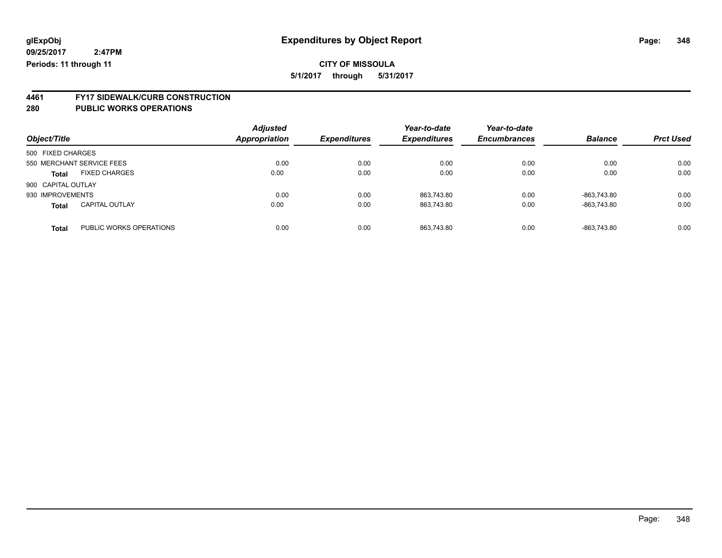# **4461 FY17 SIDEWALK/CURB CONSTRUCTION**

| Object/Title       |                           | <b>Adjusted</b><br>Appropriation | <b>Expenditures</b> | Year-to-date<br><b>Expenditures</b> | Year-to-date<br><b>Encumbrances</b> | <b>Balance</b> | <b>Prct Used</b> |
|--------------------|---------------------------|----------------------------------|---------------------|-------------------------------------|-------------------------------------|----------------|------------------|
| 500 FIXED CHARGES  |                           |                                  |                     |                                     |                                     |                |                  |
|                    | 550 MERCHANT SERVICE FEES | 0.00                             | 0.00                | 0.00                                | 0.00                                | 0.00           | 0.00             |
| <b>Total</b>       | <b>FIXED CHARGES</b>      | 0.00                             | 0.00                | 0.00                                | 0.00                                | 0.00           | 0.00             |
| 900 CAPITAL OUTLAY |                           |                                  |                     |                                     |                                     |                |                  |
| 930 IMPROVEMENTS   |                           | 0.00                             | 0.00                | 863.743.80                          | 0.00                                | -863.743.80    | 0.00             |
| <b>Total</b>       | <b>CAPITAL OUTLAY</b>     | 0.00                             | 0.00                | 863.743.80                          | 0.00                                | -863.743.80    | 0.00             |
| <b>Total</b>       | PUBLIC WORKS OPERATIONS   | 0.00                             | 0.00                | 863.743.80                          | 0.00                                | -863.743.80    | 0.00             |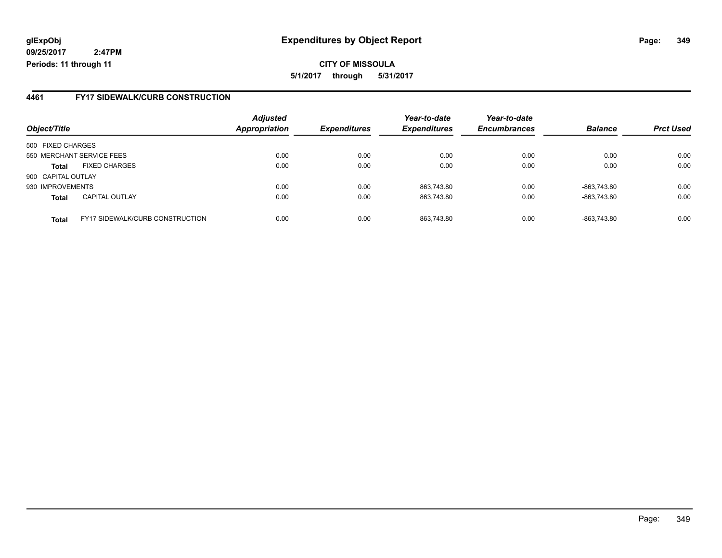### **glExpObj Expenditures by Object Report Page: 349**

**09/25/2017 2:47PM Periods: 11 through 11**

### **4461 FY17 SIDEWALK/CURB CONSTRUCTION**

|                    |                                        | <b>Adjusted</b>      |                     | Year-to-date        | Year-to-date        |                |                  |
|--------------------|----------------------------------------|----------------------|---------------------|---------------------|---------------------|----------------|------------------|
| Object/Title       |                                        | <b>Appropriation</b> | <b>Expenditures</b> | <b>Expenditures</b> | <b>Encumbrances</b> | <b>Balance</b> | <b>Prct Used</b> |
| 500 FIXED CHARGES  |                                        |                      |                     |                     |                     |                |                  |
|                    | 550 MERCHANT SERVICE FEES              | 0.00                 | 0.00                | 0.00                | 0.00                | 0.00           | 0.00             |
| <b>Total</b>       | <b>FIXED CHARGES</b>                   | 0.00                 | 0.00                | 0.00                | 0.00                | 0.00           | 0.00             |
| 900 CAPITAL OUTLAY |                                        |                      |                     |                     |                     |                |                  |
| 930 IMPROVEMENTS   |                                        | 0.00                 | 0.00                | 863,743.80          | 0.00                | -863,743.80    | 0.00             |
| <b>Total</b>       | <b>CAPITAL OUTLAY</b>                  | 0.00                 | 0.00                | 863.743.80          | 0.00                | -863.743.80    | 0.00             |
| <b>Total</b>       | <b>FY17 SIDEWALK/CURB CONSTRUCTION</b> | 0.00                 | 0.00                | 863.743.80          | 0.00                | -863.743.80    | 0.00             |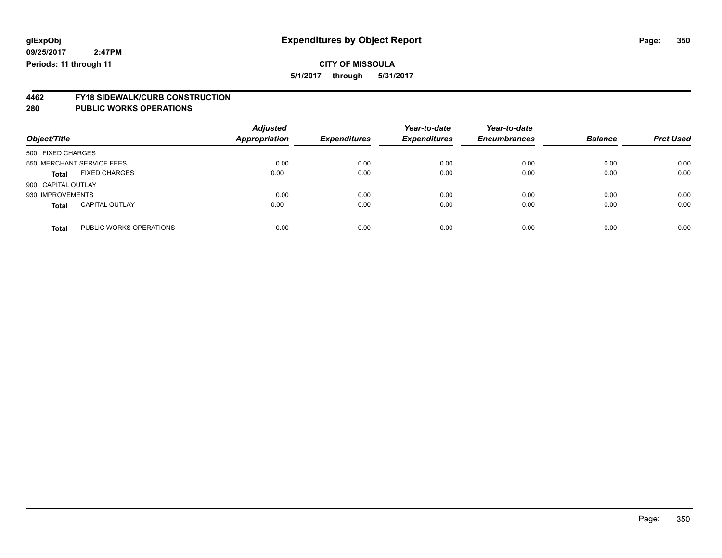# **4462 FY18 SIDEWALK/CURB CONSTRUCTION**

| Object/Title       |                           | <b>Adjusted</b><br><b>Appropriation</b> | <b>Expenditures</b> | Year-to-date<br><b>Expenditures</b> | Year-to-date<br><b>Encumbrances</b> | <b>Balance</b> | <b>Prct Used</b> |
|--------------------|---------------------------|-----------------------------------------|---------------------|-------------------------------------|-------------------------------------|----------------|------------------|
| 500 FIXED CHARGES  |                           |                                         |                     |                                     |                                     |                |                  |
|                    | 550 MERCHANT SERVICE FEES | 0.00                                    | 0.00                | 0.00                                | 0.00                                | 0.00           | 0.00             |
| <b>Total</b>       | <b>FIXED CHARGES</b>      | 0.00                                    | 0.00                | 0.00                                | 0.00                                | 0.00           | 0.00             |
| 900 CAPITAL OUTLAY |                           |                                         |                     |                                     |                                     |                |                  |
| 930 IMPROVEMENTS   |                           | 0.00                                    | 0.00                | 0.00                                | 0.00                                | 0.00           | 0.00             |
| <b>Total</b>       | <b>CAPITAL OUTLAY</b>     | 0.00                                    | 0.00                | 0.00                                | 0.00                                | 0.00           | 0.00             |
| <b>Total</b>       | PUBLIC WORKS OPERATIONS   | 0.00                                    | 0.00                | 0.00                                | 0.00                                | 0.00           | 0.00             |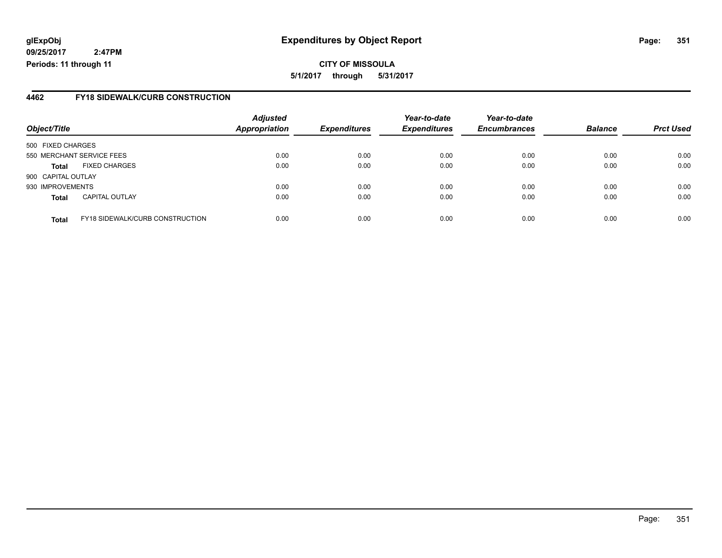### **glExpObj Expenditures by Object Report Page: 351**

**09/25/2017 2:47PM Periods: 11 through 11**

### **4462 FY18 SIDEWALK/CURB CONSTRUCTION**

| Object/Title              |                                        | <b>Adjusted</b><br>Appropriation | <b>Expenditures</b> | Year-to-date<br><b>Expenditures</b> | Year-to-date<br><b>Encumbrances</b> | <b>Balance</b> | <b>Prct Used</b> |
|---------------------------|----------------------------------------|----------------------------------|---------------------|-------------------------------------|-------------------------------------|----------------|------------------|
| 500 FIXED CHARGES         |                                        |                                  |                     |                                     |                                     |                |                  |
| 550 MERCHANT SERVICE FEES |                                        | 0.00                             | 0.00                | 0.00                                | 0.00                                | 0.00           | 0.00             |
| <b>Total</b>              | <b>FIXED CHARGES</b>                   | 0.00                             | 0.00                | 0.00                                | 0.00                                | 0.00           | 0.00             |
| 900 CAPITAL OUTLAY        |                                        |                                  |                     |                                     |                                     |                |                  |
| 930 IMPROVEMENTS          |                                        | 0.00                             | 0.00                | 0.00                                | 0.00                                | 0.00           | 0.00             |
| <b>Total</b>              | <b>CAPITAL OUTLAY</b>                  | 0.00                             | 0.00                | 0.00                                | 0.00                                | 0.00           | 0.00             |
| <b>Total</b>              | <b>FY18 SIDEWALK/CURB CONSTRUCTION</b> | 0.00                             | 0.00                | 0.00                                | 0.00                                | 0.00           | 0.00             |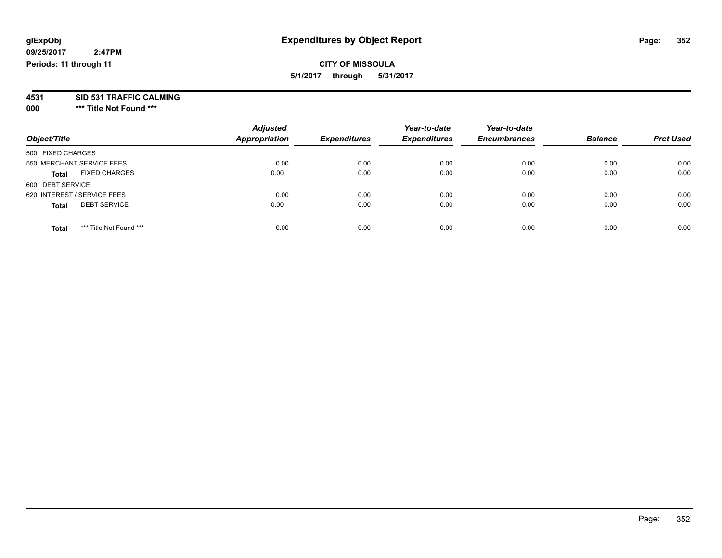### **CITY OF MISSOULA 5/1/2017 through 5/31/2017**

**4531 SID 531 TRAFFIC CALMING**

**000 \*\*\* Title Not Found \*\*\***

| Object/Title                            | <b>Adjusted</b><br><b>Appropriation</b> | <b>Expenditures</b> | Year-to-date<br><b>Expenditures</b> | Year-to-date<br><b>Encumbrances</b> | <b>Balance</b> | <b>Prct Used</b> |
|-----------------------------------------|-----------------------------------------|---------------------|-------------------------------------|-------------------------------------|----------------|------------------|
| 500 FIXED CHARGES                       |                                         |                     |                                     |                                     |                |                  |
| 550 MERCHANT SERVICE FEES               | 0.00                                    | 0.00                | 0.00                                | 0.00                                | 0.00           | 0.00             |
| <b>FIXED CHARGES</b><br><b>Total</b>    | 0.00                                    | 0.00                | 0.00                                | 0.00                                | 0.00           | 0.00             |
| 600 DEBT SERVICE                        |                                         |                     |                                     |                                     |                |                  |
| 620 INTEREST / SERVICE FEES             | 0.00                                    | 0.00                | 0.00                                | 0.00                                | 0.00           | 0.00             |
| <b>DEBT SERVICE</b><br><b>Total</b>     | 0.00                                    | 0.00                | 0.00                                | 0.00                                | 0.00           | 0.00             |
| *** Title Not Found ***<br><b>Total</b> | 0.00                                    | 0.00                | 0.00                                | 0.00                                | 0.00           | 0.00             |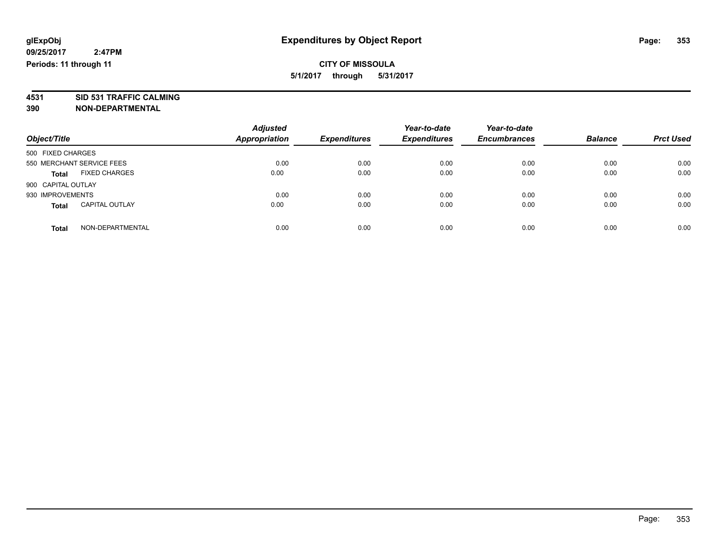**4531 SID 531 TRAFFIC CALMING 390 NON-DEPARTMENTAL**

| Object/Title                          | <b>Adjusted</b><br><b>Appropriation</b> | <b>Expenditures</b> | Year-to-date<br><b>Expenditures</b> | Year-to-date<br><b>Encumbrances</b> | <b>Balance</b> | <b>Prct Used</b> |
|---------------------------------------|-----------------------------------------|---------------------|-------------------------------------|-------------------------------------|----------------|------------------|
| 500 FIXED CHARGES                     |                                         |                     |                                     |                                     |                |                  |
| 550 MERCHANT SERVICE FEES             | 0.00                                    | 0.00                | 0.00                                | 0.00                                | 0.00           | 0.00             |
| <b>FIXED CHARGES</b><br><b>Total</b>  | 0.00                                    | 0.00                | 0.00                                | 0.00                                | 0.00           | 0.00             |
| 900 CAPITAL OUTLAY                    |                                         |                     |                                     |                                     |                |                  |
| 930 IMPROVEMENTS                      | 0.00                                    | 0.00                | 0.00                                | 0.00                                | 0.00           | 0.00             |
| <b>CAPITAL OUTLAY</b><br><b>Total</b> | 0.00                                    | 0.00                | 0.00                                | 0.00                                | 0.00           | 0.00             |
| NON-DEPARTMENTAL<br>Total             | 0.00                                    | 0.00                | 0.00                                | 0.00                                | 0.00           | 0.00             |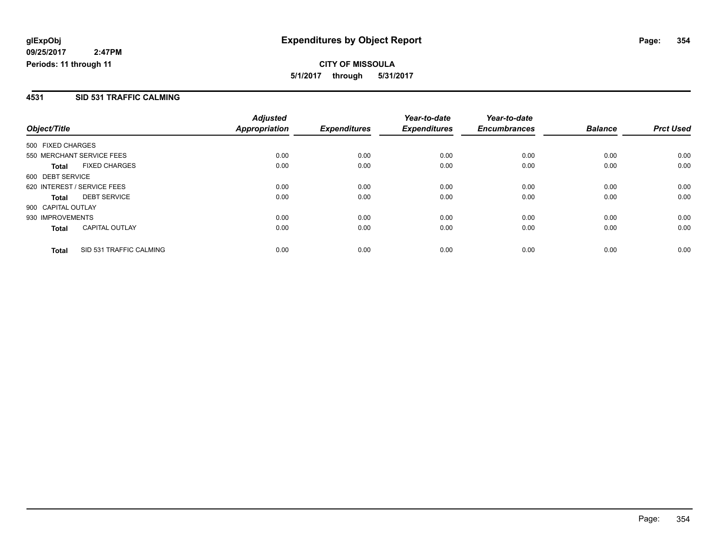### **4531 SID 531 TRAFFIC CALMING**

|                                         | <b>Adjusted</b>      |                     | Year-to-date        | Year-to-date        |                |                  |
|-----------------------------------------|----------------------|---------------------|---------------------|---------------------|----------------|------------------|
| Object/Title                            | <b>Appropriation</b> | <b>Expenditures</b> | <b>Expenditures</b> | <b>Encumbrances</b> | <b>Balance</b> | <b>Prct Used</b> |
| 500 FIXED CHARGES                       |                      |                     |                     |                     |                |                  |
| 550 MERCHANT SERVICE FEES               | 0.00                 | 0.00                | 0.00                | 0.00                | 0.00           | 0.00             |
| <b>FIXED CHARGES</b><br><b>Total</b>    | 0.00                 | 0.00                | 0.00                | 0.00                | 0.00           | 0.00             |
| 600 DEBT SERVICE                        |                      |                     |                     |                     |                |                  |
| 620 INTEREST / SERVICE FEES             | 0.00                 | 0.00                | 0.00                | 0.00                | 0.00           | 0.00             |
| <b>DEBT SERVICE</b><br><b>Total</b>     | 0.00                 | 0.00                | 0.00                | 0.00                | 0.00           | 0.00             |
| 900 CAPITAL OUTLAY                      |                      |                     |                     |                     |                |                  |
| 930 IMPROVEMENTS                        | 0.00                 | 0.00                | 0.00                | 0.00                | 0.00           | 0.00             |
| <b>CAPITAL OUTLAY</b><br><b>Total</b>   | 0.00                 | 0.00                | 0.00                | 0.00                | 0.00           | 0.00             |
| SID 531 TRAFFIC CALMING<br><b>Total</b> | 0.00                 | 0.00                | 0.00                | 0.00                | 0.00           | 0.00             |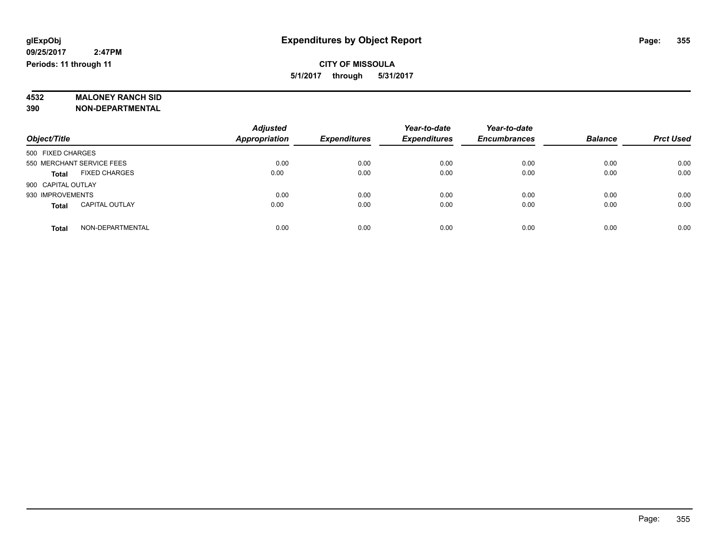# **4532 MALONEY RANCH SID**

**390 NON-DEPARTMENTAL**

| Object/Title                          | <b>Adjusted</b><br><b>Appropriation</b> | <b>Expenditures</b> | Year-to-date<br><b>Expenditures</b> | Year-to-date<br><b>Encumbrances</b> | <b>Balance</b> | <b>Prct Used</b> |
|---------------------------------------|-----------------------------------------|---------------------|-------------------------------------|-------------------------------------|----------------|------------------|
| 500 FIXED CHARGES                     |                                         |                     |                                     |                                     |                |                  |
| 550 MERCHANT SERVICE FEES             | 0.00                                    | 0.00                | 0.00                                | 0.00                                | 0.00           | 0.00             |
| <b>FIXED CHARGES</b><br><b>Total</b>  | 0.00                                    | 0.00                | 0.00                                | 0.00                                | 0.00           | 0.00             |
| 900 CAPITAL OUTLAY                    |                                         |                     |                                     |                                     |                |                  |
| 930 IMPROVEMENTS                      | 0.00                                    | 0.00                | 0.00                                | 0.00                                | 0.00           | 0.00             |
| <b>CAPITAL OUTLAY</b><br><b>Total</b> | 0.00                                    | 0.00                | 0.00                                | 0.00                                | 0.00           | 0.00             |
| NON-DEPARTMENTAL<br><b>Total</b>      | 0.00                                    | 0.00                | 0.00                                | 0.00                                | 0.00           | 0.00             |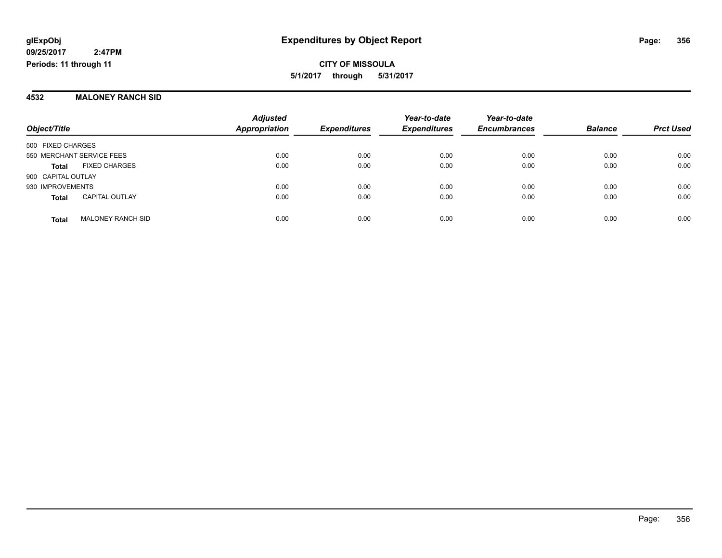#### **4532 MALONEY RANCH SID**

|                           |                          | <b>Adjusted</b><br><b>Appropriation</b> | <b>Expenditures</b> | Year-to-date<br><b>Expenditures</b> | Year-to-date<br><b>Encumbrances</b> | <b>Balance</b> | <b>Prct Used</b> |
|---------------------------|--------------------------|-----------------------------------------|---------------------|-------------------------------------|-------------------------------------|----------------|------------------|
| Object/Title              |                          |                                         |                     |                                     |                                     |                |                  |
| 500 FIXED CHARGES         |                          |                                         |                     |                                     |                                     |                |                  |
| 550 MERCHANT SERVICE FEES |                          | 0.00                                    | 0.00                | 0.00                                | 0.00                                | 0.00           | 0.00             |
| <b>Total</b>              | <b>FIXED CHARGES</b>     | 0.00                                    | 0.00                | 0.00                                | 0.00                                | 0.00           | 0.00             |
| 900 CAPITAL OUTLAY        |                          |                                         |                     |                                     |                                     |                |                  |
| 930 IMPROVEMENTS          |                          | 0.00                                    | 0.00                | 0.00                                | 0.00                                | 0.00           | 0.00             |
| <b>Total</b>              | <b>CAPITAL OUTLAY</b>    | 0.00                                    | 0.00                | 0.00                                | 0.00                                | 0.00           | 0.00             |
| <b>Total</b>              | <b>MALONEY RANCH SID</b> | 0.00                                    | 0.00                | 0.00                                | 0.00                                | 0.00           | 0.00             |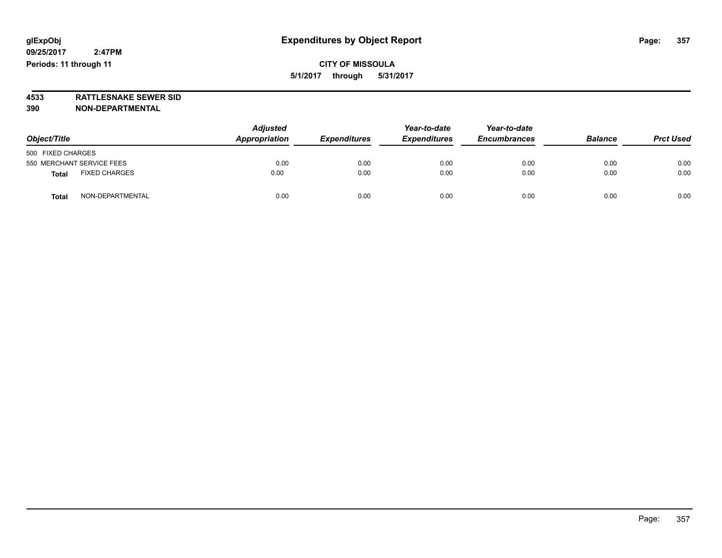**4533 RATTLESNAKE SEWER SID 390 NON-DEPARTMENTAL**

| Object/Title                 | <b>Adjusted</b><br>Appropriation | <b>Expenditures</b> | Year-to-date<br><b>Expenditures</b> | Year-to-date<br><b>Encumbrances</b> | <b>Balance</b> | <b>Prct Used</b> |
|------------------------------|----------------------------------|---------------------|-------------------------------------|-------------------------------------|----------------|------------------|
| 500 FIXED CHARGES            |                                  |                     |                                     |                                     |                |                  |
| 550 MERCHANT SERVICE FEES    | 0.00                             | 0.00                | 0.00                                | 0.00                                | 0.00           | 0.00             |
| <b>FIXED CHARGES</b><br>Tota | 0.00                             | 0.00                | 0.00                                | 0.00                                | 0.00           | 0.00             |
| NON-DEPARTMENTAL<br>Tota     | 0.00                             | 0.00                | 0.00                                | 0.00                                | 0.00           | 0.00             |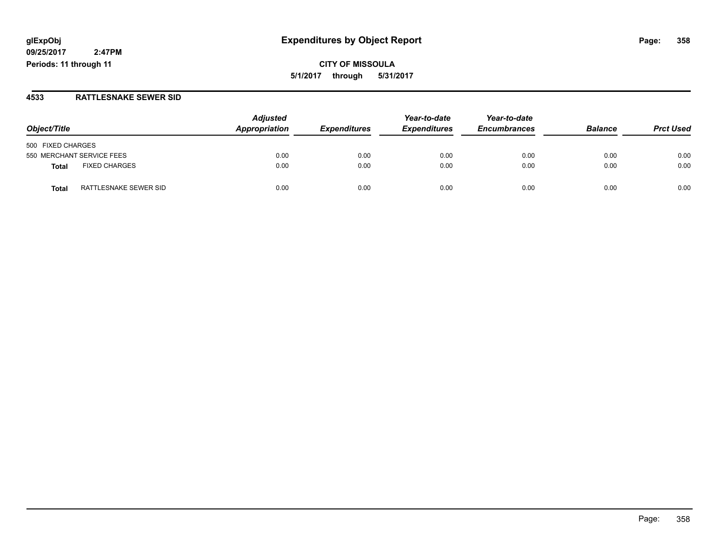### **glExpObj Expenditures by Object Report Page: 358**

**09/25/2017 2:47PM Periods: 11 through 11**

#### **4533 RATTLESNAKE SEWER SID**

| Object/Title                         | <b>Adjusted</b><br>Appropriation | <b>Expenditures</b> | Year-to-date<br><b>Expenditures</b> | Year-to-date<br><b>Encumbrances</b> | <b>Balance</b> | <b>Prct Used</b> |
|--------------------------------------|----------------------------------|---------------------|-------------------------------------|-------------------------------------|----------------|------------------|
| 500 FIXED CHARGES                    |                                  |                     |                                     |                                     |                |                  |
| 550 MERCHANT SERVICE FEES            | 0.00                             | 0.00                | 0.00                                | 0.00                                | 0.00           | 0.00             |
| <b>FIXED CHARGES</b><br><b>Total</b> | 0.00                             | 0.00                | 0.00                                | 0.00                                | 0.00           | 0.00             |
| RATTLESNAKE SEWER SID<br>Total       | 0.00                             | 0.00                | 0.00                                | 0.00                                | 0.00           | 0.00             |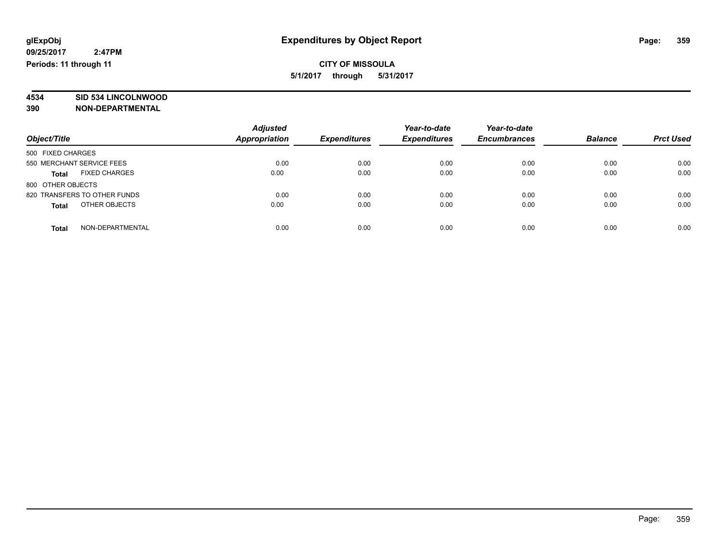# **4534 SID 534 LINCOLNWOOD**

**390 NON-DEPARTMENTAL**

|                                      | <b>Adjusted</b>      |                     | Year-to-date        | Year-to-date        |                |                  |
|--------------------------------------|----------------------|---------------------|---------------------|---------------------|----------------|------------------|
| Object/Title                         | <b>Appropriation</b> | <b>Expenditures</b> | <b>Expenditures</b> | <b>Encumbrances</b> | <b>Balance</b> | <b>Prct Used</b> |
| 500 FIXED CHARGES                    |                      |                     |                     |                     |                |                  |
| 550 MERCHANT SERVICE FEES            | 0.00                 | 0.00                | 0.00                | 0.00                | 0.00           | 0.00             |
| <b>FIXED CHARGES</b><br><b>Total</b> | 0.00                 | 0.00                | 0.00                | 0.00                | 0.00           | 0.00             |
| 800 OTHER OBJECTS                    |                      |                     |                     |                     |                |                  |
| 820 TRANSFERS TO OTHER FUNDS         | 0.00                 | 0.00                | 0.00                | 0.00                | 0.00           | 0.00             |
| OTHER OBJECTS<br><b>Total</b>        | 0.00                 | 0.00                | 0.00                | 0.00                | 0.00           | 0.00             |
| NON-DEPARTMENTAL<br><b>Total</b>     | 0.00                 | 0.00                | 0.00                | 0.00                | 0.00           | 0.00             |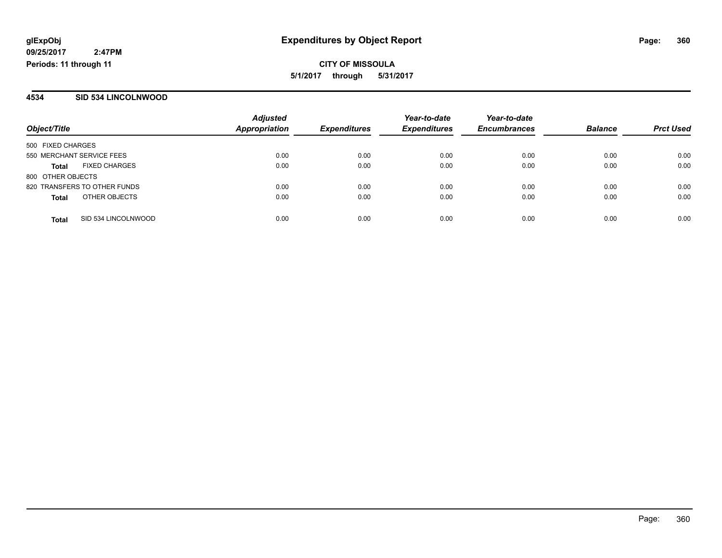#### **4534 SID 534 LINCOLNWOOD**

|                              |                      | <b>Adjusted</b> |                     | Year-to-date        | Year-to-date        |                |                  |
|------------------------------|----------------------|-----------------|---------------------|---------------------|---------------------|----------------|------------------|
| Object/Title                 |                      | Appropriation   | <b>Expenditures</b> | <b>Expenditures</b> | <b>Encumbrances</b> | <b>Balance</b> | <b>Prct Used</b> |
| 500 FIXED CHARGES            |                      |                 |                     |                     |                     |                |                  |
| 550 MERCHANT SERVICE FEES    |                      | 0.00            | 0.00                | 0.00                | 0.00                | 0.00           | 0.00             |
| <b>Total</b>                 | <b>FIXED CHARGES</b> | 0.00            | 0.00                | 0.00                | 0.00                | 0.00           | 0.00             |
| 800 OTHER OBJECTS            |                      |                 |                     |                     |                     |                |                  |
| 820 TRANSFERS TO OTHER FUNDS |                      | 0.00            | 0.00                | 0.00                | 0.00                | 0.00           | 0.00             |
| <b>Total</b>                 | OTHER OBJECTS        | 0.00            | 0.00                | 0.00                | 0.00                | 0.00           | 0.00             |
| <b>Total</b>                 | SID 534 LINCOLNWOOD  | 0.00            | 0.00                | 0.00                | 0.00                | 0.00           | 0.00             |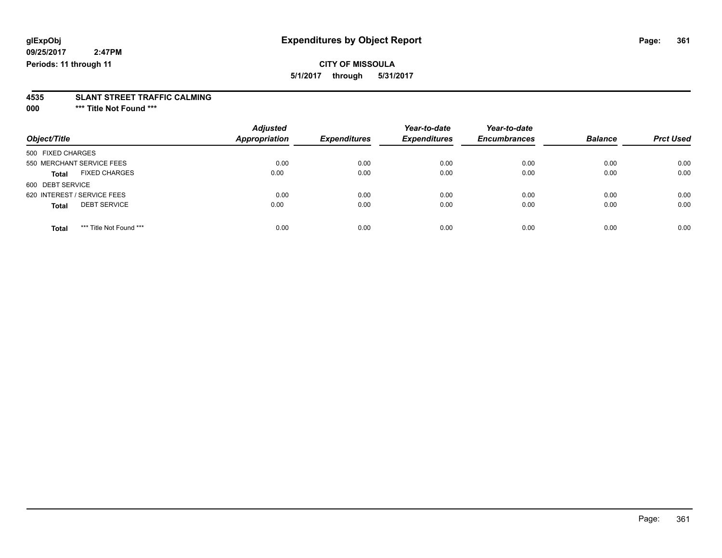## **CITY OF MISSOULA**

**5/1/2017 through 5/31/2017**

# **4535 SLANT STREET TRAFFIC CALMING**

**000 \*\*\* Title Not Found \*\*\***

| Object/Title                            | <b>Adjusted</b><br>Appropriation | <b>Expenditures</b> | Year-to-date<br><b>Expenditures</b> | Year-to-date<br><b>Encumbrances</b> | <b>Balance</b> | <b>Prct Used</b> |
|-----------------------------------------|----------------------------------|---------------------|-------------------------------------|-------------------------------------|----------------|------------------|
|                                         |                                  |                     |                                     |                                     |                |                  |
| 500 FIXED CHARGES                       |                                  |                     |                                     |                                     |                |                  |
| 550 MERCHANT SERVICE FEES               | 0.00                             | 0.00                | 0.00                                | 0.00                                | 0.00           | 0.00             |
| <b>FIXED CHARGES</b><br><b>Total</b>    | 0.00                             | 0.00                | 0.00                                | 0.00                                | 0.00           | 0.00             |
| 600 DEBT SERVICE                        |                                  |                     |                                     |                                     |                |                  |
| 620 INTEREST / SERVICE FEES             | 0.00                             | 0.00                | 0.00                                | 0.00                                | 0.00           | 0.00             |
| <b>DEBT SERVICE</b><br><b>Total</b>     | 0.00                             | 0.00                | 0.00                                | 0.00                                | 0.00           | 0.00             |
| *** Title Not Found ***<br><b>Total</b> | 0.00                             | 0.00                | 0.00                                | 0.00                                | 0.00           | 0.00             |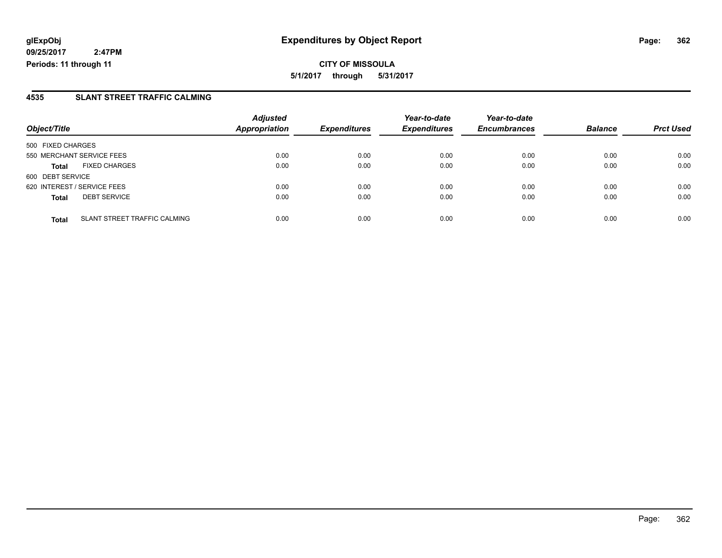**CITY OF MISSOULA 5/1/2017 through 5/31/2017**

### **4535 SLANT STREET TRAFFIC CALMING**

|                                              | <b>Adjusted</b>      |                     | Year-to-date<br><b>Expenditures</b> | Year-to-date        | <b>Balance</b> |                  |
|----------------------------------------------|----------------------|---------------------|-------------------------------------|---------------------|----------------|------------------|
| Object/Title                                 | <b>Appropriation</b> | <b>Expenditures</b> |                                     | <b>Encumbrances</b> |                | <b>Prct Used</b> |
| 500 FIXED CHARGES                            |                      |                     |                                     |                     |                |                  |
| 550 MERCHANT SERVICE FEES                    | 0.00                 | 0.00                | 0.00                                | 0.00                | 0.00           | 0.00             |
| <b>FIXED CHARGES</b><br><b>Total</b>         | 0.00                 | 0.00                | 0.00                                | 0.00                | 0.00           | 0.00             |
| 600 DEBT SERVICE                             |                      |                     |                                     |                     |                |                  |
| 620 INTEREST / SERVICE FEES                  | 0.00                 | 0.00                | 0.00                                | 0.00                | 0.00           | 0.00             |
| <b>DEBT SERVICE</b><br><b>Total</b>          | 0.00                 | 0.00                | 0.00                                | 0.00                | 0.00           | 0.00             |
| SLANT STREET TRAFFIC CALMING<br><b>Total</b> | 0.00                 | 0.00                | 0.00                                | 0.00                | 0.00           | 0.00             |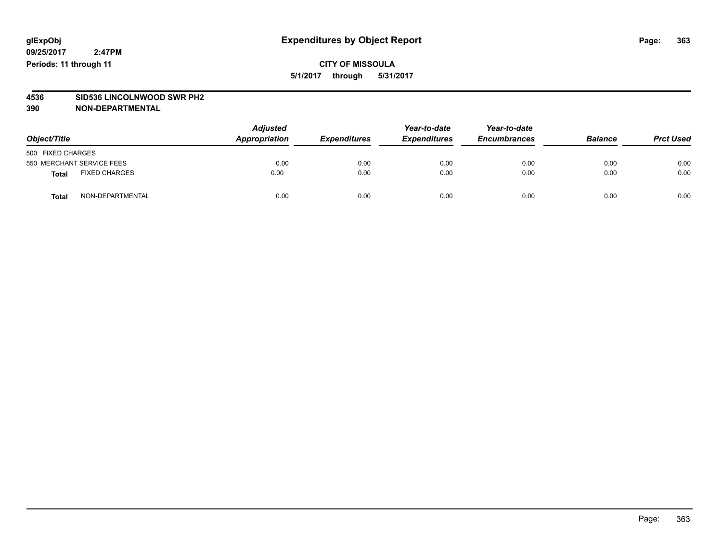**CITY OF MISSOULA 5/1/2017 through 5/31/2017**

# **4536 SID536 LINCOLNWOOD SWR PH2**

| Object/Title      |                           | <b>Adjusted</b><br>Appropriation | <b>Expenditures</b> | Year-to-date<br><b>Expenditures</b> | Year-to-date<br><b>Encumbrances</b> | <b>Balance</b> | <b>Prct Used</b> |
|-------------------|---------------------------|----------------------------------|---------------------|-------------------------------------|-------------------------------------|----------------|------------------|
| 500 FIXED CHARGES |                           |                                  |                     |                                     |                                     |                |                  |
|                   | 550 MERCHANT SERVICE FEES | 0.00                             | 0.00                | 0.00                                | 0.00                                | 0.00           | 0.00             |
| <b>Total</b>      | <b>FIXED CHARGES</b>      | 0.00                             | 0.00                | 0.00                                | 0.00                                | 0.00           | 0.00             |
| <b>Total</b>      | NON-DEPARTMENTAL          | 0.00                             | 0.00                | 0.00                                | 0.00                                | 0.00           | 0.00             |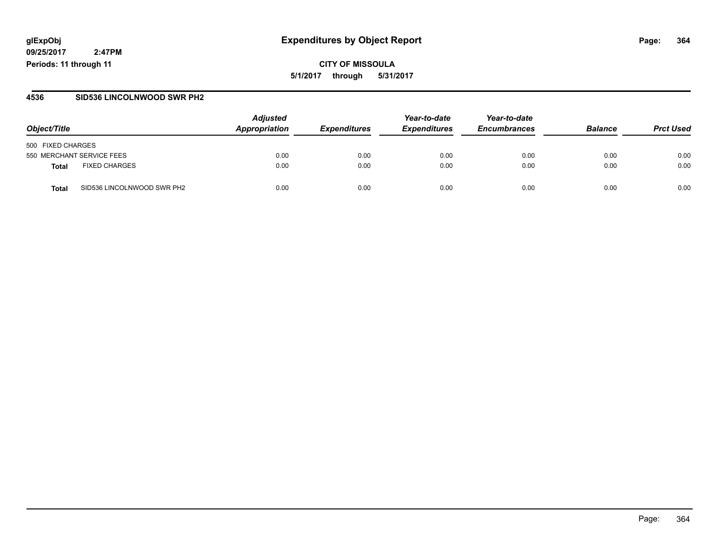### **glExpObj Expenditures by Object Report Page: 364**

**09/25/2017 2:47PM Periods: 11 through 11**

### **4536 SID536 LINCOLNWOOD SWR PH2**

| Object/Title                               | <b>Adjusted</b><br>Appropriation | <b>Expenditures</b> | Year-to-date<br><b>Expenditures</b> | Year-to-date<br><b>Encumbrances</b> | <b>Balance</b> | <b>Prct Used</b> |
|--------------------------------------------|----------------------------------|---------------------|-------------------------------------|-------------------------------------|----------------|------------------|
| 500 FIXED CHARGES                          |                                  |                     |                                     |                                     |                |                  |
| 550 MERCHANT SERVICE FEES                  | 0.00                             | 0.00                | 0.00                                | 0.00                                | 0.00           | 0.00             |
| <b>FIXED CHARGES</b><br><b>Total</b>       | 0.00                             | 0.00                | 0.00                                | 0.00                                | 0.00           | 0.00             |
| SID536 LINCOLNWOOD SWR PH2<br><b>Total</b> | 0.00                             | 0.00                | 0.00                                | 0.00                                | 0.00           | 0.00             |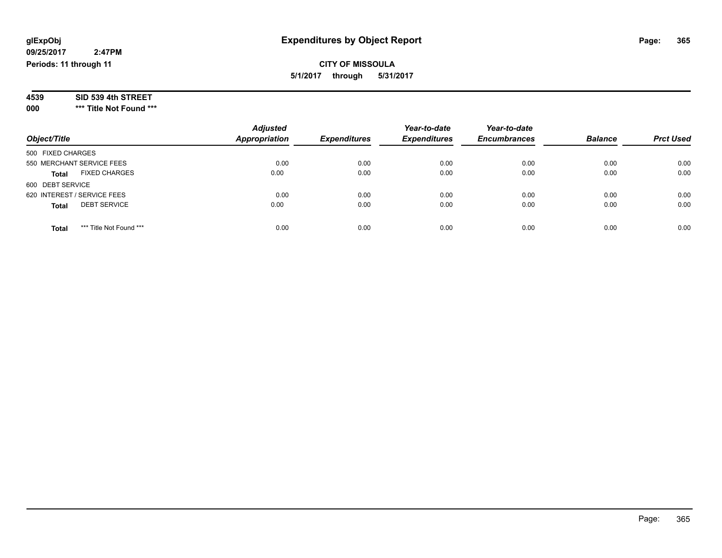| 4539 | SID 539 4th STREET |  |
|------|--------------------|--|
|------|--------------------|--|

**000 \*\*\* Title Not Found \*\*\***

| Object/Title                            | <b>Adjusted</b><br><b>Appropriation</b> | <b>Expenditures</b> | Year-to-date<br><b>Expenditures</b> | Year-to-date<br><b>Encumbrances</b> | <b>Balance</b> | <b>Prct Used</b> |
|-----------------------------------------|-----------------------------------------|---------------------|-------------------------------------|-------------------------------------|----------------|------------------|
| 500 FIXED CHARGES                       |                                         |                     |                                     |                                     |                |                  |
| 550 MERCHANT SERVICE FEES               | 0.00                                    | 0.00                | 0.00                                | 0.00                                | 0.00           | 0.00             |
| <b>FIXED CHARGES</b><br><b>Total</b>    | 0.00                                    | 0.00                | 0.00                                | 0.00                                | 0.00           | 0.00             |
| 600 DEBT SERVICE                        |                                         |                     |                                     |                                     |                |                  |
| 620 INTEREST / SERVICE FEES             | 0.00                                    | 0.00                | 0.00                                | 0.00                                | 0.00           | 0.00             |
| <b>DEBT SERVICE</b><br><b>Total</b>     | 0.00                                    | 0.00                | 0.00                                | 0.00                                | 0.00           | 0.00             |
| *** Title Not Found ***<br><b>Total</b> | 0.00                                    | 0.00                | 0.00                                | 0.00                                | 0.00           | 0.00             |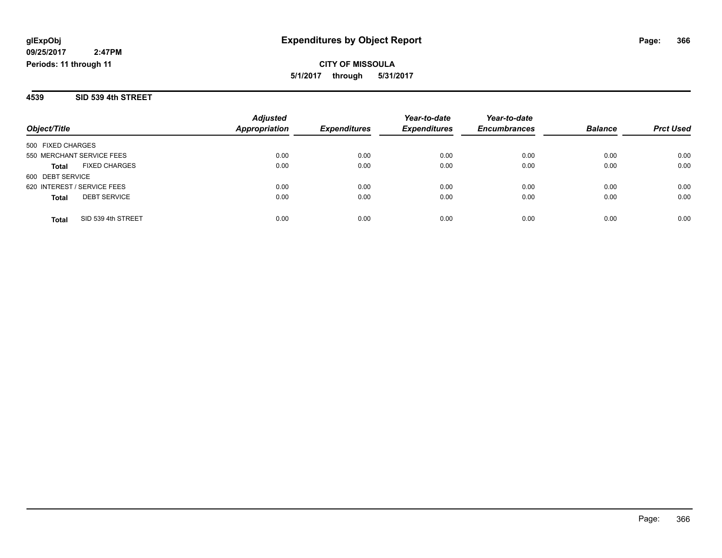**4539 SID 539 4th STREET**

| Object/Title                         | <b>Adjusted</b><br>Appropriation | <b>Expenditures</b> | Year-to-date<br><b>Expenditures</b> | Year-to-date<br><b>Encumbrances</b> | <b>Balance</b> | <b>Prct Used</b> |
|--------------------------------------|----------------------------------|---------------------|-------------------------------------|-------------------------------------|----------------|------------------|
|                                      |                                  |                     |                                     |                                     |                |                  |
| 500 FIXED CHARGES                    |                                  |                     |                                     |                                     |                |                  |
| 550 MERCHANT SERVICE FEES            | 0.00                             | 0.00                | 0.00                                | 0.00                                | 0.00           | 0.00             |
| <b>FIXED CHARGES</b><br><b>Total</b> | 0.00                             | 0.00                | 0.00                                | 0.00                                | 0.00           | 0.00             |
| 600 DEBT SERVICE                     |                                  |                     |                                     |                                     |                |                  |
| 620 INTEREST / SERVICE FEES          | 0.00                             | 0.00                | 0.00                                | 0.00                                | 0.00           | 0.00             |
| <b>DEBT SERVICE</b><br><b>Total</b>  | 0.00                             | 0.00                | 0.00                                | 0.00                                | 0.00           | 0.00             |
|                                      |                                  |                     |                                     |                                     |                |                  |
| SID 539 4th STREET<br>Total          | 0.00                             | 0.00                | 0.00                                | 0.00                                | 0.00           | 0.00             |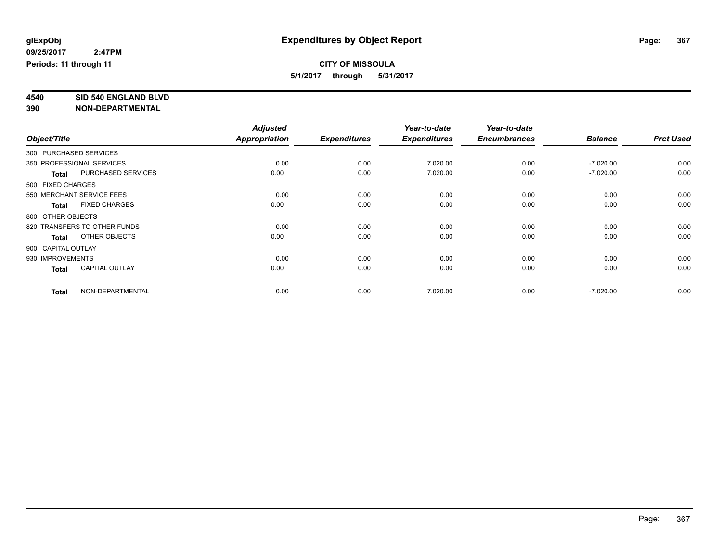## **CITY OF MISSOULA**

**5/1/2017 through 5/31/2017**

**4540 SID 540 ENGLAND BLVD**

|                    |                              | <b>Adjusted</b>      |                     | Year-to-date        | Year-to-date        |                |                  |
|--------------------|------------------------------|----------------------|---------------------|---------------------|---------------------|----------------|------------------|
| Object/Title       |                              | <b>Appropriation</b> | <b>Expenditures</b> | <b>Expenditures</b> | <b>Encumbrances</b> | <b>Balance</b> | <b>Prct Used</b> |
|                    | 300 PURCHASED SERVICES       |                      |                     |                     |                     |                |                  |
|                    | 350 PROFESSIONAL SERVICES    | 0.00                 | 0.00                | 7,020.00            | 0.00                | $-7,020.00$    | 0.00             |
| <b>Total</b>       | PURCHASED SERVICES           | 0.00                 | 0.00                | 7,020.00            | 0.00                | $-7,020.00$    | 0.00             |
| 500 FIXED CHARGES  |                              |                      |                     |                     |                     |                |                  |
|                    | 550 MERCHANT SERVICE FEES    | 0.00                 | 0.00                | 0.00                | 0.00                | 0.00           | 0.00             |
| <b>Total</b>       | <b>FIXED CHARGES</b>         | 0.00                 | 0.00                | 0.00                | 0.00                | 0.00           | 0.00             |
| 800 OTHER OBJECTS  |                              |                      |                     |                     |                     |                |                  |
|                    | 820 TRANSFERS TO OTHER FUNDS | 0.00                 | 0.00                | 0.00                | 0.00                | 0.00           | 0.00             |
| <b>Total</b>       | OTHER OBJECTS                | 0.00                 | 0.00                | 0.00                | 0.00                | 0.00           | 0.00             |
| 900 CAPITAL OUTLAY |                              |                      |                     |                     |                     |                |                  |
| 930 IMPROVEMENTS   |                              | 0.00                 | 0.00                | 0.00                | 0.00                | 0.00           | 0.00             |
| <b>Total</b>       | <b>CAPITAL OUTLAY</b>        | 0.00                 | 0.00                | 0.00                | 0.00                | 0.00           | 0.00             |
| <b>Total</b>       | NON-DEPARTMENTAL             | 0.00                 | 0.00                | 7,020.00            | 0.00                | $-7,020.00$    | 0.00             |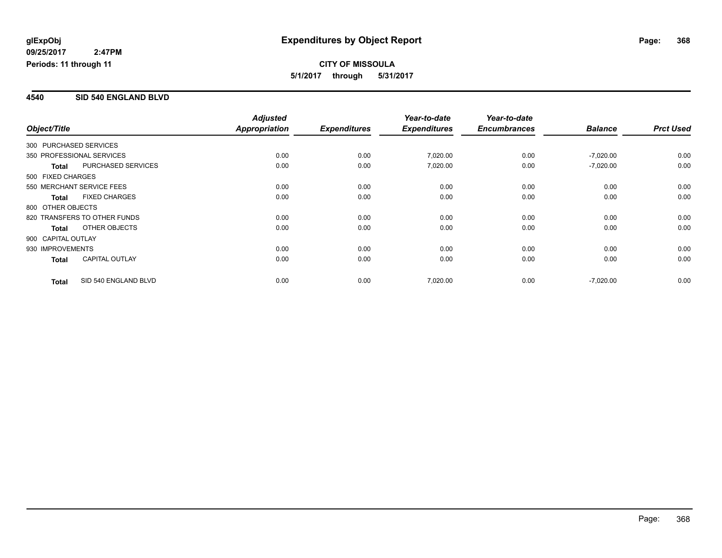### **4540 SID 540 ENGLAND BLVD**

|                        |                              | <b>Adjusted</b> |                     | Year-to-date        | Year-to-date        |                |                  |
|------------------------|------------------------------|-----------------|---------------------|---------------------|---------------------|----------------|------------------|
| Object/Title           |                              | Appropriation   | <b>Expenditures</b> | <b>Expenditures</b> | <b>Encumbrances</b> | <b>Balance</b> | <b>Prct Used</b> |
| 300 PURCHASED SERVICES |                              |                 |                     |                     |                     |                |                  |
|                        | 350 PROFESSIONAL SERVICES    | 0.00            | 0.00                | 7,020.00            | 0.00                | $-7,020.00$    | 0.00             |
| <b>Total</b>           | PURCHASED SERVICES           | 0.00            | 0.00                | 7,020.00            | 0.00                | $-7,020.00$    | 0.00             |
| 500 FIXED CHARGES      |                              |                 |                     |                     |                     |                |                  |
|                        | 550 MERCHANT SERVICE FEES    | 0.00            | 0.00                | 0.00                | 0.00                | 0.00           | 0.00             |
| <b>Total</b>           | <b>FIXED CHARGES</b>         | 0.00            | 0.00                | 0.00                | 0.00                | 0.00           | 0.00             |
| 800 OTHER OBJECTS      |                              |                 |                     |                     |                     |                |                  |
|                        | 820 TRANSFERS TO OTHER FUNDS | 0.00            | 0.00                | 0.00                | 0.00                | 0.00           | 0.00             |
| <b>Total</b>           | OTHER OBJECTS                | 0.00            | 0.00                | 0.00                | 0.00                | 0.00           | 0.00             |
| 900 CAPITAL OUTLAY     |                              |                 |                     |                     |                     |                |                  |
| 930 IMPROVEMENTS       |                              | 0.00            | 0.00                | 0.00                | 0.00                | 0.00           | 0.00             |
| <b>Total</b>           | <b>CAPITAL OUTLAY</b>        | 0.00            | 0.00                | 0.00                | 0.00                | 0.00           | 0.00             |
| <b>Total</b>           | SID 540 ENGLAND BLVD         | 0.00            | 0.00                | 7,020.00            | 0.00                | $-7,020.00$    | 0.00             |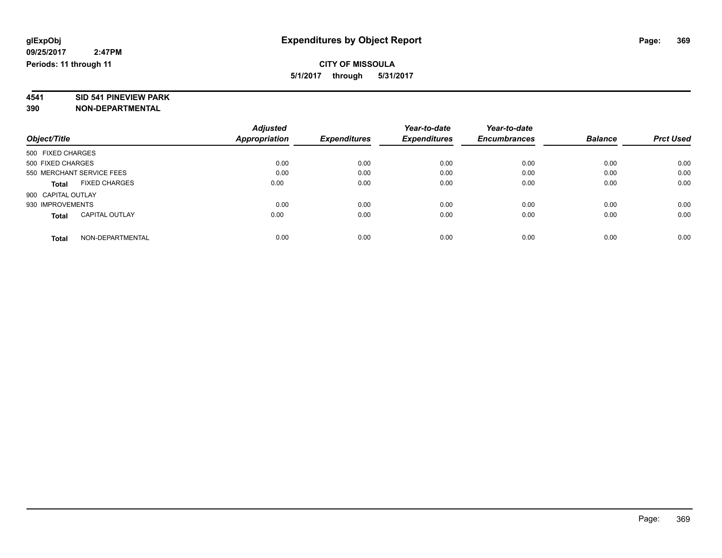**4541 SID 541 PINEVIEW PARK**

|                                       | <b>Adjusted</b>      | <b>Expenditures</b> | Year-to-date<br><b>Expenditures</b> | Year-to-date        | <b>Balance</b> | <b>Prct Used</b> |
|---------------------------------------|----------------------|---------------------|-------------------------------------|---------------------|----------------|------------------|
| Object/Title                          | <b>Appropriation</b> |                     |                                     | <b>Encumbrances</b> |                |                  |
| 500 FIXED CHARGES                     |                      |                     |                                     |                     |                |                  |
| 500 FIXED CHARGES                     | 0.00                 | 0.00                | 0.00                                | 0.00                | 0.00           | 0.00             |
| 550 MERCHANT SERVICE FEES             | 0.00                 | 0.00                | 0.00                                | 0.00                | 0.00           | 0.00             |
| <b>FIXED CHARGES</b><br><b>Total</b>  | 0.00                 | 0.00                | 0.00                                | 0.00                | 0.00           | 0.00             |
| 900 CAPITAL OUTLAY                    |                      |                     |                                     |                     |                |                  |
| 930 IMPROVEMENTS                      | 0.00                 | 0.00                | 0.00                                | 0.00                | 0.00           | 0.00             |
| <b>CAPITAL OUTLAY</b><br><b>Total</b> | 0.00                 | 0.00                | 0.00                                | 0.00                | 0.00           | 0.00             |
| NON-DEPARTMENTAL<br><b>Total</b>      | 0.00                 | 0.00                | 0.00                                | 0.00                | 0.00           | 0.00             |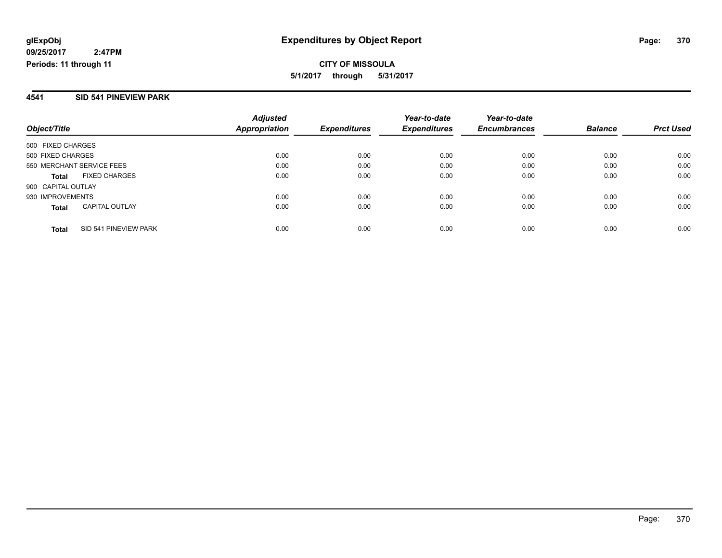### **4541 SID 541 PINEVIEW PARK**

| Object/Title                          | <b>Adjusted</b><br>Appropriation | <b>Expenditures</b> | Year-to-date<br><b>Expenditures</b> | Year-to-date<br><b>Encumbrances</b> | <b>Balance</b> | <b>Prct Used</b> |
|---------------------------------------|----------------------------------|---------------------|-------------------------------------|-------------------------------------|----------------|------------------|
| 500 FIXED CHARGES                     |                                  |                     |                                     |                                     |                |                  |
| 500 FIXED CHARGES                     | 0.00                             | 0.00                | 0.00                                | 0.00                                | 0.00           | 0.00             |
| 550 MERCHANT SERVICE FEES             | 0.00                             | 0.00                | 0.00                                | 0.00                                | 0.00           | 0.00             |
| <b>FIXED CHARGES</b><br><b>Total</b>  | 0.00                             | 0.00                | 0.00                                | 0.00                                | 0.00           | 0.00             |
| 900 CAPITAL OUTLAY                    |                                  |                     |                                     |                                     |                |                  |
| 930 IMPROVEMENTS                      | 0.00                             | 0.00                | 0.00                                | 0.00                                | 0.00           | 0.00             |
| <b>CAPITAL OUTLAY</b><br><b>Total</b> | 0.00                             | 0.00                | 0.00                                | 0.00                                | 0.00           | 0.00             |
| SID 541 PINEVIEW PARK<br><b>Total</b> | 0.00                             | 0.00                | 0.00                                | 0.00                                | 0.00           | 0.00             |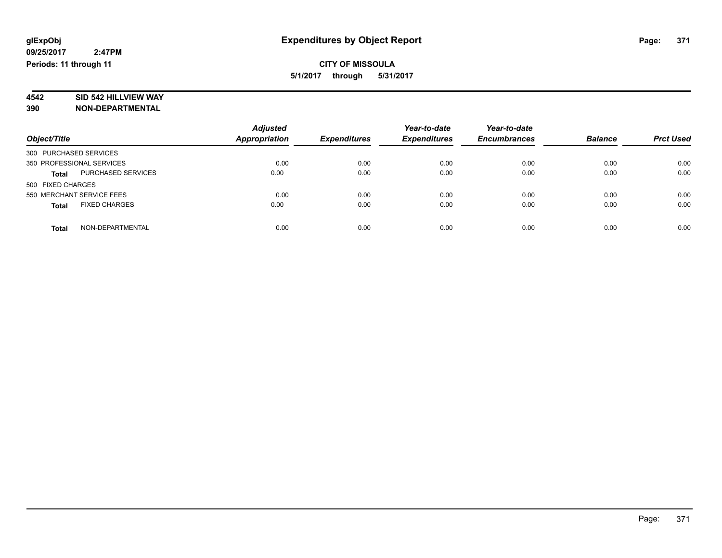# **4542 SID 542 HILLVIEW WAY**

|                                      | <b>Adjusted</b>      |                     | Year-to-date        | Year-to-date        |                |                  |
|--------------------------------------|----------------------|---------------------|---------------------|---------------------|----------------|------------------|
| Object/Title                         | <b>Appropriation</b> | <b>Expenditures</b> | <b>Expenditures</b> | <b>Encumbrances</b> | <b>Balance</b> | <b>Prct Used</b> |
| 300 PURCHASED SERVICES               |                      |                     |                     |                     |                |                  |
| 350 PROFESSIONAL SERVICES            | 0.00                 | 0.00                | 0.00                | 0.00                | 0.00           | 0.00             |
| PURCHASED SERVICES<br><b>Total</b>   | 0.00                 | 0.00                | 0.00                | 0.00                | 0.00           | 0.00             |
| 500 FIXED CHARGES                    |                      |                     |                     |                     |                |                  |
| 550 MERCHANT SERVICE FEES            | 0.00                 | 0.00                | 0.00                | 0.00                | 0.00           | 0.00             |
| <b>FIXED CHARGES</b><br><b>Total</b> | 0.00                 | 0.00                | 0.00                | 0.00                | 0.00           | 0.00             |
| NON-DEPARTMENTAL<br><b>Total</b>     | 0.00                 | 0.00                | 0.00                | 0.00                | 0.00           | 0.00             |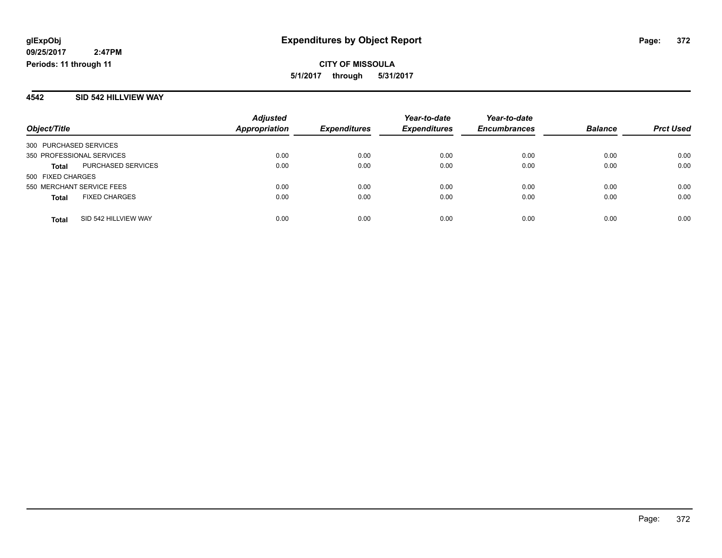### **4542 SID 542 HILLVIEW WAY**

|                           |                      | <b>Adjusted</b> |                     | Year-to-date        | Year-to-date        |                |                  |
|---------------------------|----------------------|-----------------|---------------------|---------------------|---------------------|----------------|------------------|
| Object/Title              |                      | Appropriation   | <b>Expenditures</b> | <b>Expenditures</b> | <b>Encumbrances</b> | <b>Balance</b> | <b>Prct Used</b> |
| 300 PURCHASED SERVICES    |                      |                 |                     |                     |                     |                |                  |
| 350 PROFESSIONAL SERVICES |                      | 0.00            | 0.00                | 0.00                | 0.00                | 0.00           | 0.00             |
| <b>Total</b>              | PURCHASED SERVICES   | 0.00            | 0.00                | 0.00                | 0.00                | 0.00           | 0.00             |
| 500 FIXED CHARGES         |                      |                 |                     |                     |                     |                |                  |
| 550 MERCHANT SERVICE FEES |                      | 0.00            | 0.00                | 0.00                | 0.00                | 0.00           | 0.00             |
| <b>Total</b>              | <b>FIXED CHARGES</b> | 0.00            | 0.00                | 0.00                | 0.00                | 0.00           | 0.00             |
| <b>Total</b>              | SID 542 HILLVIEW WAY | 0.00            | 0.00                | 0.00                | 0.00                | 0.00           | 0.00             |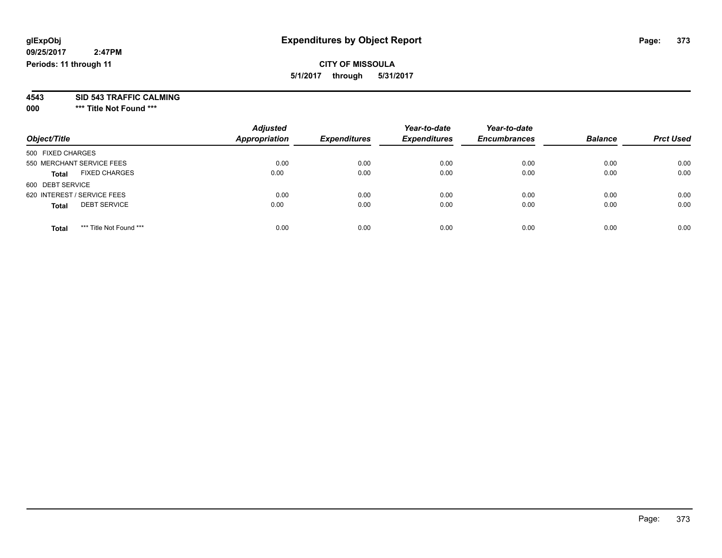### **CITY OF MISSOULA 5/1/2017 through 5/31/2017**

**4543 SID 543 TRAFFIC CALMING**

**000 \*\*\* Title Not Found \*\*\***

| Object/Title                            | <b>Adjusted</b><br><b>Appropriation</b> | <b>Expenditures</b> | Year-to-date<br><b>Expenditures</b> | Year-to-date<br><b>Encumbrances</b> | <b>Balance</b> | <b>Prct Used</b> |
|-----------------------------------------|-----------------------------------------|---------------------|-------------------------------------|-------------------------------------|----------------|------------------|
| 500 FIXED CHARGES                       |                                         |                     |                                     |                                     |                |                  |
| 550 MERCHANT SERVICE FEES               | 0.00                                    | 0.00                | 0.00                                | 0.00                                | 0.00           | 0.00             |
| <b>FIXED CHARGES</b><br><b>Total</b>    | 0.00                                    | 0.00                | 0.00                                | 0.00                                | 0.00           | 0.00             |
| 600 DEBT SERVICE                        |                                         |                     |                                     |                                     |                |                  |
| 620 INTEREST / SERVICE FEES             | 0.00                                    | 0.00                | 0.00                                | 0.00                                | 0.00           | 0.00             |
| <b>DEBT SERVICE</b><br><b>Total</b>     | 0.00                                    | 0.00                | 0.00                                | 0.00                                | 0.00           | 0.00             |
| *** Title Not Found ***<br><b>Total</b> | 0.00                                    | 0.00                | 0.00                                | 0.00                                | 0.00           | 0.00             |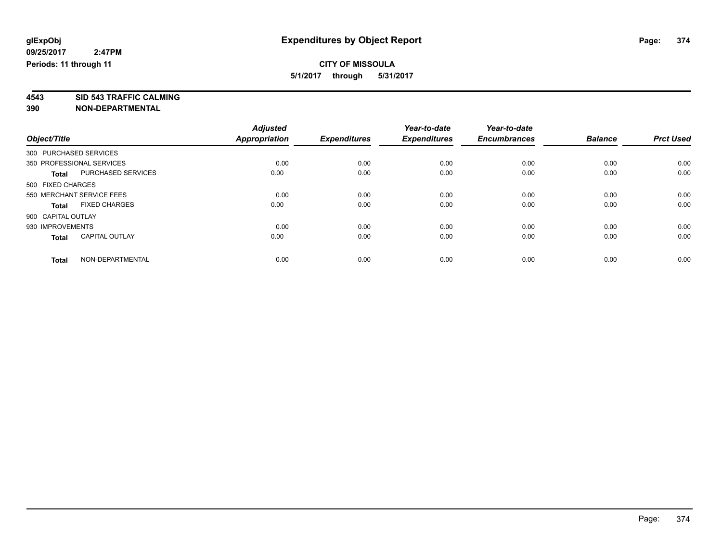# **4543 SID 543 TRAFFIC CALMING**

|                                       | <b>Adjusted</b> |                     | Year-to-date        | Year-to-date        |                |                  |
|---------------------------------------|-----------------|---------------------|---------------------|---------------------|----------------|------------------|
| Object/Title                          | Appropriation   | <b>Expenditures</b> | <b>Expenditures</b> | <b>Encumbrances</b> | <b>Balance</b> | <b>Prct Used</b> |
| 300 PURCHASED SERVICES                |                 |                     |                     |                     |                |                  |
| 350 PROFESSIONAL SERVICES             | 0.00            | 0.00                | 0.00                | 0.00                | 0.00           | 0.00             |
| PURCHASED SERVICES<br><b>Total</b>    | 0.00            | 0.00                | 0.00                | 0.00                | 0.00           | 0.00             |
| 500 FIXED CHARGES                     |                 |                     |                     |                     |                |                  |
| 550 MERCHANT SERVICE FEES             | 0.00            | 0.00                | 0.00                | 0.00                | 0.00           | 0.00             |
| <b>FIXED CHARGES</b><br><b>Total</b>  | 0.00            | 0.00                | 0.00                | 0.00                | 0.00           | 0.00             |
| 900 CAPITAL OUTLAY                    |                 |                     |                     |                     |                |                  |
| 930 IMPROVEMENTS                      | 0.00            | 0.00                | 0.00                | 0.00                | 0.00           | 0.00             |
| <b>CAPITAL OUTLAY</b><br><b>Total</b> | 0.00            | 0.00                | 0.00                | 0.00                | 0.00           | 0.00             |
|                                       |                 |                     |                     |                     |                |                  |
| NON-DEPARTMENTAL<br><b>Total</b>      | 0.00            | 0.00                | 0.00                | 0.00                | 0.00           | 0.00             |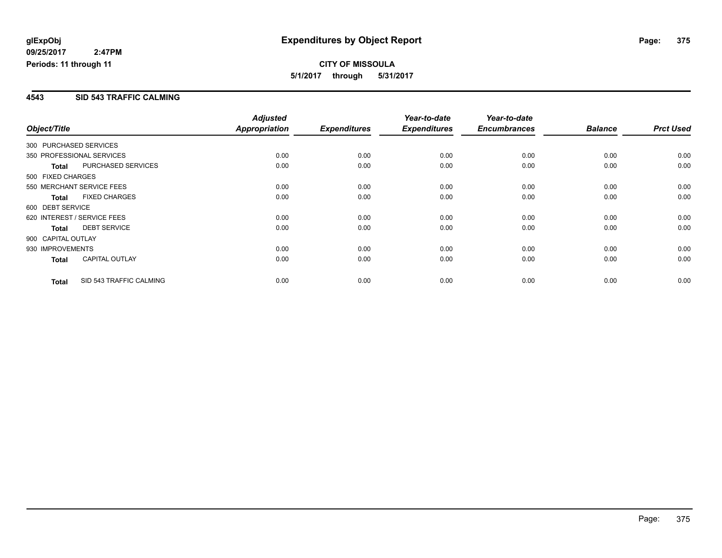### **4543 SID 543 TRAFFIC CALMING**

|                        |                             | <b>Adjusted</b> |                     | Year-to-date        | Year-to-date        |                |                  |
|------------------------|-----------------------------|-----------------|---------------------|---------------------|---------------------|----------------|------------------|
| Object/Title           |                             | Appropriation   | <b>Expenditures</b> | <b>Expenditures</b> | <b>Encumbrances</b> | <b>Balance</b> | <b>Prct Used</b> |
| 300 PURCHASED SERVICES |                             |                 |                     |                     |                     |                |                  |
|                        | 350 PROFESSIONAL SERVICES   | 0.00            | 0.00                | 0.00                | 0.00                | 0.00           | 0.00             |
| <b>Total</b>           | PURCHASED SERVICES          | 0.00            | 0.00                | 0.00                | 0.00                | 0.00           | 0.00             |
| 500 FIXED CHARGES      |                             |                 |                     |                     |                     |                |                  |
|                        | 550 MERCHANT SERVICE FEES   | 0.00            | 0.00                | 0.00                | 0.00                | 0.00           | 0.00             |
| <b>Total</b>           | <b>FIXED CHARGES</b>        | 0.00            | 0.00                | 0.00                | 0.00                | 0.00           | 0.00             |
| 600 DEBT SERVICE       |                             |                 |                     |                     |                     |                |                  |
|                        | 620 INTEREST / SERVICE FEES | 0.00            | 0.00                | 0.00                | 0.00                | 0.00           | 0.00             |
| <b>Total</b>           | <b>DEBT SERVICE</b>         | 0.00            | 0.00                | 0.00                | 0.00                | 0.00           | 0.00             |
| 900 CAPITAL OUTLAY     |                             |                 |                     |                     |                     |                |                  |
| 930 IMPROVEMENTS       |                             | 0.00            | 0.00                | 0.00                | 0.00                | 0.00           | 0.00             |
| <b>Total</b>           | <b>CAPITAL OUTLAY</b>       | 0.00            | 0.00                | 0.00                | 0.00                | 0.00           | 0.00             |
| <b>Total</b>           | SID 543 TRAFFIC CALMING     | 0.00            | 0.00                | 0.00                | 0.00                | 0.00           | 0.00             |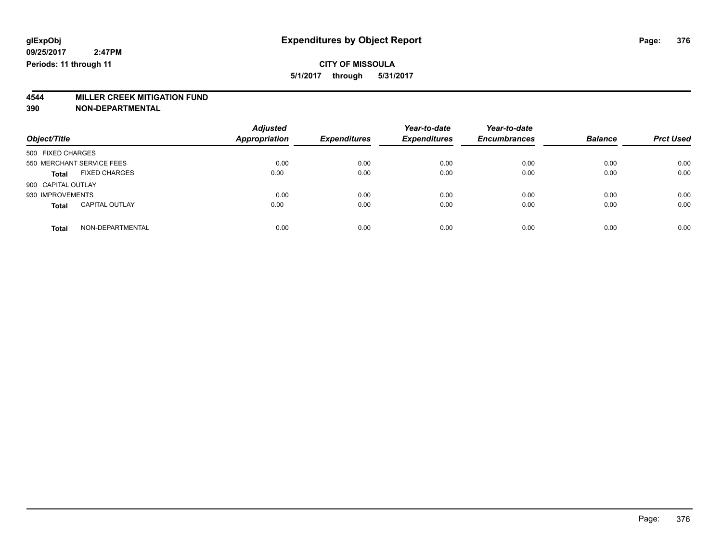# **4544 MILLER CREEK MITIGATION FUND**

| Object/Title                          | <b>Adjusted</b><br><b>Appropriation</b> | <b>Expenditures</b> | Year-to-date<br><b>Expenditures</b> | Year-to-date<br><b>Encumbrances</b> | <b>Balance</b> | <b>Prct Used</b> |
|---------------------------------------|-----------------------------------------|---------------------|-------------------------------------|-------------------------------------|----------------|------------------|
| 500 FIXED CHARGES                     |                                         |                     |                                     |                                     |                |                  |
| 550 MERCHANT SERVICE FEES             | 0.00                                    | 0.00                | 0.00                                | 0.00                                | 0.00           | 0.00             |
| <b>FIXED CHARGES</b><br><b>Total</b>  | 0.00                                    | 0.00                | 0.00                                | 0.00                                | 0.00           | 0.00             |
| 900 CAPITAL OUTLAY                    |                                         |                     |                                     |                                     |                |                  |
| 930 IMPROVEMENTS                      | 0.00                                    | 0.00                | 0.00                                | 0.00                                | 0.00           | 0.00             |
| <b>CAPITAL OUTLAY</b><br><b>Total</b> | 0.00                                    | 0.00                | 0.00                                | 0.00                                | 0.00           | 0.00             |
| NON-DEPARTMENTAL<br><b>Total</b>      | 0.00                                    | 0.00                | 0.00                                | 0.00                                | 0.00           | 0.00             |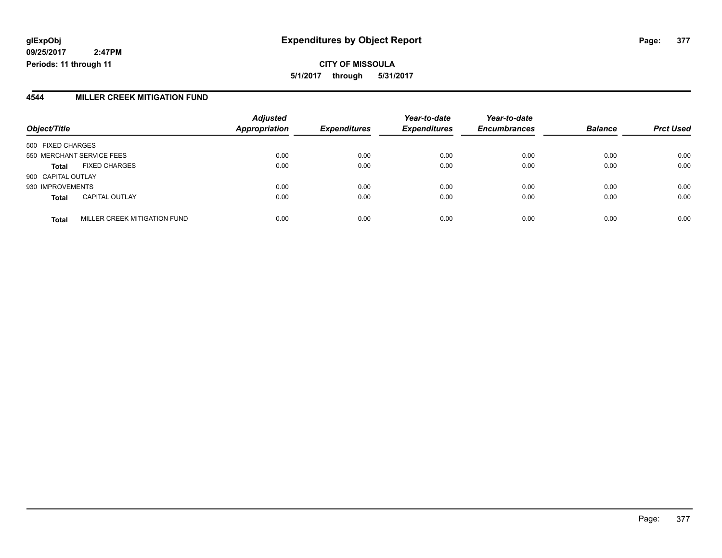### **4544 MILLER CREEK MITIGATION FUND**

| Object/Title       |                              | <b>Adjusted</b><br><b>Appropriation</b> | <b>Expenditures</b> | Year-to-date<br><b>Expenditures</b> | Year-to-date<br><b>Encumbrances</b> | <b>Balance</b> | <b>Prct Used</b> |
|--------------------|------------------------------|-----------------------------------------|---------------------|-------------------------------------|-------------------------------------|----------------|------------------|
| 500 FIXED CHARGES  |                              |                                         |                     |                                     |                                     |                |                  |
|                    | 550 MERCHANT SERVICE FEES    | 0.00                                    | 0.00                | 0.00                                | 0.00                                | 0.00           | 0.00             |
| <b>Total</b>       | <b>FIXED CHARGES</b>         | 0.00                                    | 0.00                | 0.00                                | 0.00                                | 0.00           | 0.00             |
| 900 CAPITAL OUTLAY |                              |                                         |                     |                                     |                                     |                |                  |
| 930 IMPROVEMENTS   |                              | 0.00                                    | 0.00                | 0.00                                | 0.00                                | 0.00           | 0.00             |
| <b>Total</b>       | <b>CAPITAL OUTLAY</b>        | 0.00                                    | 0.00                | 0.00                                | 0.00                                | 0.00           | 0.00             |
| <b>Total</b>       | MILLER CREEK MITIGATION FUND | 0.00                                    | 0.00                | 0.00                                | 0.00                                | 0.00           | 0.00             |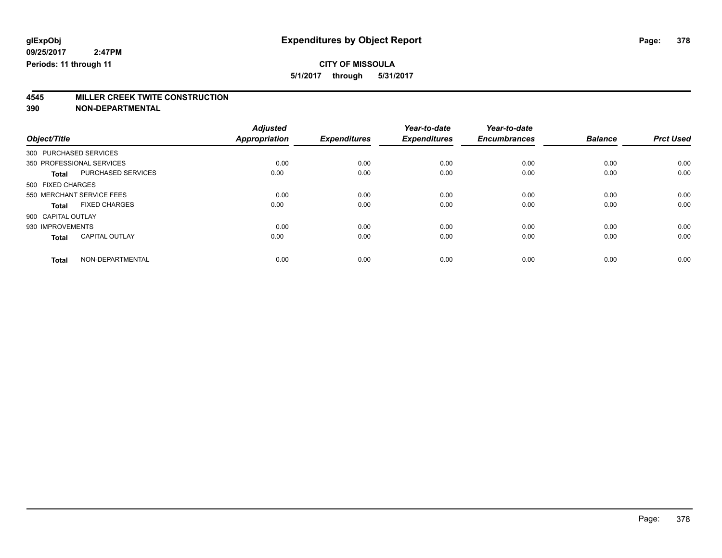## **CITY OF MISSOULA**

**5/1/2017 through 5/31/2017**

# **4545 MILLER CREEK TWITE CONSTRUCTION**

|                        |                           | <b>Adjusted</b>      |                     | Year-to-date        | Year-to-date        |                |                  |
|------------------------|---------------------------|----------------------|---------------------|---------------------|---------------------|----------------|------------------|
| Object/Title           |                           | <b>Appropriation</b> | <b>Expenditures</b> | <b>Expenditures</b> | <b>Encumbrances</b> | <b>Balance</b> | <b>Prct Used</b> |
| 300 PURCHASED SERVICES |                           |                      |                     |                     |                     |                |                  |
|                        | 350 PROFESSIONAL SERVICES | 0.00                 | 0.00                | 0.00                | 0.00                | 0.00           | 0.00             |
| <b>Total</b>           | <b>PURCHASED SERVICES</b> | 0.00                 | 0.00                | 0.00                | 0.00                | 0.00           | 0.00             |
| 500 FIXED CHARGES      |                           |                      |                     |                     |                     |                |                  |
|                        | 550 MERCHANT SERVICE FEES | 0.00                 | 0.00                | 0.00                | 0.00                | 0.00           | 0.00             |
| <b>Total</b>           | <b>FIXED CHARGES</b>      | 0.00                 | 0.00                | 0.00                | 0.00                | 0.00           | 0.00             |
| 900 CAPITAL OUTLAY     |                           |                      |                     |                     |                     |                |                  |
| 930 IMPROVEMENTS       |                           | 0.00                 | 0.00                | 0.00                | 0.00                | 0.00           | 0.00             |
| <b>Total</b>           | <b>CAPITAL OUTLAY</b>     | 0.00                 | 0.00                | 0.00                | 0.00                | 0.00           | 0.00             |
| <b>Total</b>           | NON-DEPARTMENTAL          | 0.00                 | 0.00                | 0.00                | 0.00                | 0.00           | 0.00             |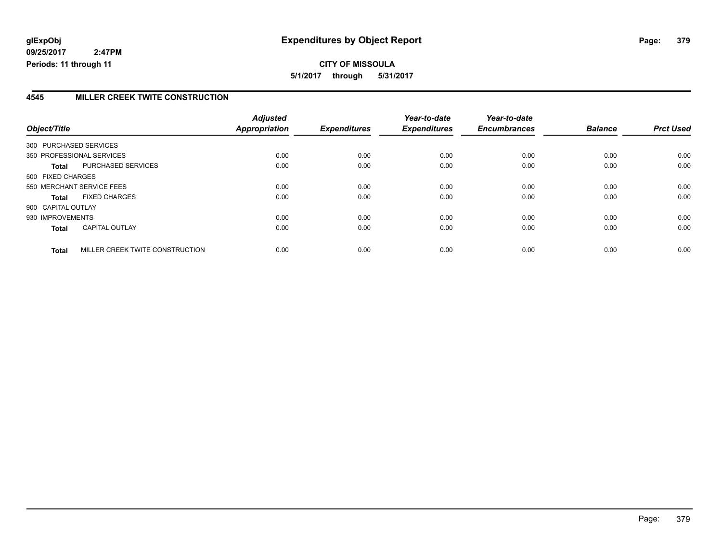### **4545 MILLER CREEK TWITE CONSTRUCTION**

| Object/Title           |                                 | <b>Adjusted</b><br>Appropriation | <b>Expenditures</b> | Year-to-date<br><b>Expenditures</b> | Year-to-date<br><b>Encumbrances</b> | <b>Balance</b> | <b>Prct Used</b> |
|------------------------|---------------------------------|----------------------------------|---------------------|-------------------------------------|-------------------------------------|----------------|------------------|
| 300 PURCHASED SERVICES |                                 |                                  |                     |                                     |                                     |                |                  |
|                        |                                 |                                  |                     |                                     |                                     |                |                  |
|                        | 350 PROFESSIONAL SERVICES       | 0.00                             | 0.00                | 0.00                                | 0.00                                | 0.00           | 0.00             |
| Total                  | PURCHASED SERVICES              | 0.00                             | 0.00                | 0.00                                | 0.00                                | 0.00           | 0.00             |
| 500 FIXED CHARGES      |                                 |                                  |                     |                                     |                                     |                |                  |
|                        | 550 MERCHANT SERVICE FEES       | 0.00                             | 0.00                | 0.00                                | 0.00                                | 0.00           | 0.00             |
| <b>Total</b>           | <b>FIXED CHARGES</b>            | 0.00                             | 0.00                | 0.00                                | 0.00                                | 0.00           | 0.00             |
| 900 CAPITAL OUTLAY     |                                 |                                  |                     |                                     |                                     |                |                  |
| 930 IMPROVEMENTS       |                                 | 0.00                             | 0.00                | 0.00                                | 0.00                                | 0.00           | 0.00             |
| <b>Total</b>           | <b>CAPITAL OUTLAY</b>           | 0.00                             | 0.00                | 0.00                                | 0.00                                | 0.00           | 0.00             |
| <b>Total</b>           | MILLER CREEK TWITE CONSTRUCTION | 0.00                             | 0.00                | 0.00                                | 0.00                                | 0.00           | 0.00             |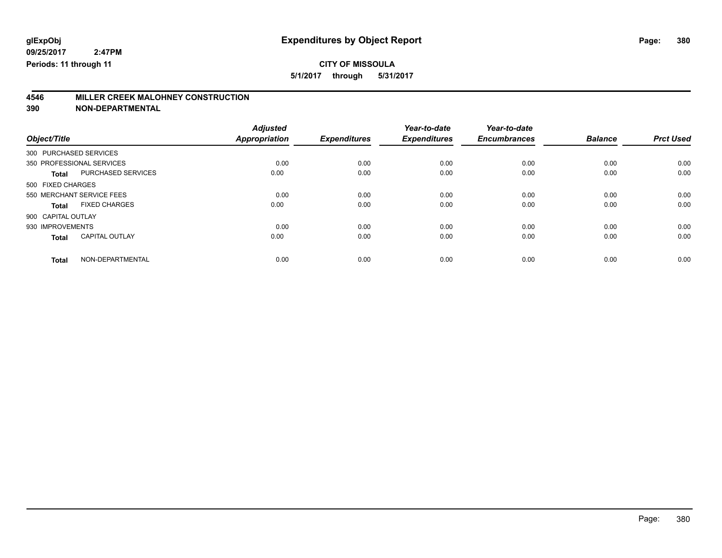### **CITY OF MISSOULA**

**5/1/2017 through 5/31/2017**

# **4546 MILLER CREEK MALOHNEY CONSTRUCTION**

|                           |                       | <b>Adjusted</b> |                     | Year-to-date        | Year-to-date        |                |                  |
|---------------------------|-----------------------|-----------------|---------------------|---------------------|---------------------|----------------|------------------|
| Object/Title              |                       | Appropriation   | <b>Expenditures</b> | <b>Expenditures</b> | <b>Encumbrances</b> | <b>Balance</b> | <b>Prct Used</b> |
| 300 PURCHASED SERVICES    |                       |                 |                     |                     |                     |                |                  |
| 350 PROFESSIONAL SERVICES |                       | 0.00            | 0.00                | 0.00                | 0.00                | 0.00           | 0.00             |
| <b>Total</b>              | PURCHASED SERVICES    | 0.00            | 0.00                | 0.00                | 0.00                | 0.00           | 0.00             |
| 500 FIXED CHARGES         |                       |                 |                     |                     |                     |                |                  |
| 550 MERCHANT SERVICE FEES |                       | 0.00            | 0.00                | 0.00                | 0.00                | 0.00           | 0.00             |
| Total                     | <b>FIXED CHARGES</b>  | 0.00            | 0.00                | 0.00                | 0.00                | 0.00           | 0.00             |
| 900 CAPITAL OUTLAY        |                       |                 |                     |                     |                     |                |                  |
| 930 IMPROVEMENTS          |                       | 0.00            | 0.00                | 0.00                | 0.00                | 0.00           | 0.00             |
| <b>Total</b>              | <b>CAPITAL OUTLAY</b> | 0.00            | 0.00                | 0.00                | 0.00                | 0.00           | 0.00             |
| <b>Total</b>              | NON-DEPARTMENTAL      | 0.00            | 0.00                | 0.00                | 0.00                | 0.00           | 0.00             |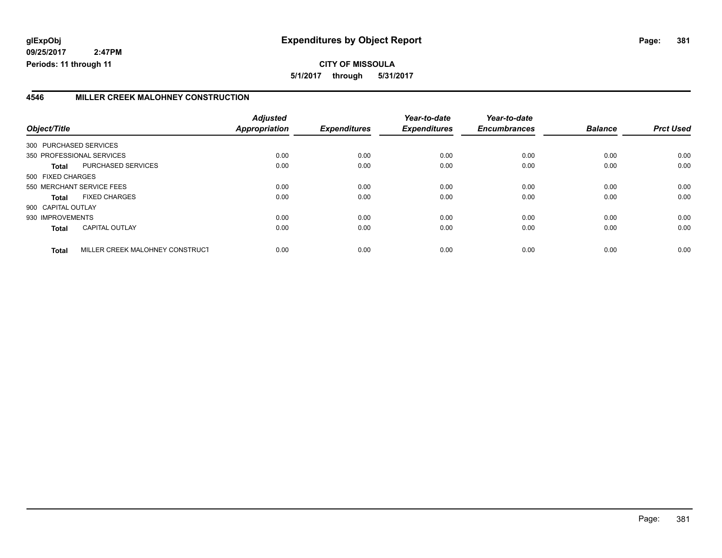### **4546 MILLER CREEK MALOHNEY CONSTRUCTION**

|                        |                                 | <b>Adjusted</b>      |                     | Year-to-date        | Year-to-date        |                |                  |
|------------------------|---------------------------------|----------------------|---------------------|---------------------|---------------------|----------------|------------------|
| Object/Title           |                                 | <b>Appropriation</b> | <b>Expenditures</b> | <b>Expenditures</b> | <b>Encumbrances</b> | <b>Balance</b> | <b>Prct Used</b> |
| 300 PURCHASED SERVICES |                                 |                      |                     |                     |                     |                |                  |
|                        | 350 PROFESSIONAL SERVICES       | 0.00                 | 0.00                | 0.00                | 0.00                | 0.00           | 0.00             |
| Total                  | PURCHASED SERVICES              | 0.00                 | 0.00                | 0.00                | 0.00                | 0.00           | 0.00             |
| 500 FIXED CHARGES      |                                 |                      |                     |                     |                     |                |                  |
|                        | 550 MERCHANT SERVICE FEES       | 0.00                 | 0.00                | 0.00                | 0.00                | 0.00           | 0.00             |
| Total                  | <b>FIXED CHARGES</b>            | 0.00                 | 0.00                | 0.00                | 0.00                | 0.00           | 0.00             |
| 900 CAPITAL OUTLAY     |                                 |                      |                     |                     |                     |                |                  |
| 930 IMPROVEMENTS       |                                 | 0.00                 | 0.00                | 0.00                | 0.00                | 0.00           | 0.00             |
| <b>Total</b>           | <b>CAPITAL OUTLAY</b>           | 0.00                 | 0.00                | 0.00                | 0.00                | 0.00           | 0.00             |
| <b>Total</b>           | MILLER CREEK MALOHNEY CONSTRUCT | 0.00                 | 0.00                | 0.00                | 0.00                | 0.00           | 0.00             |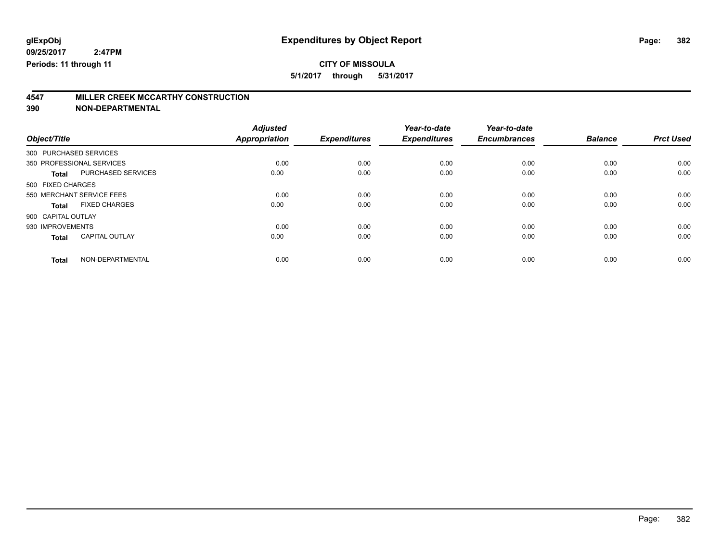### **CITY OF MISSOULA**

**5/1/2017 through 5/31/2017**

# **4547 MILLER CREEK MCCARTHY CONSTRUCTION**

|                           |                       | <b>Adjusted</b>      |                     | Year-to-date        | Year-to-date        |                |                  |
|---------------------------|-----------------------|----------------------|---------------------|---------------------|---------------------|----------------|------------------|
| Object/Title              |                       | <b>Appropriation</b> | <b>Expenditures</b> | <b>Expenditures</b> | <b>Encumbrances</b> | <b>Balance</b> | <b>Prct Used</b> |
| 300 PURCHASED SERVICES    |                       |                      |                     |                     |                     |                |                  |
| 350 PROFESSIONAL SERVICES |                       | 0.00                 | 0.00                | 0.00                | 0.00                | 0.00           | 0.00             |
| <b>Total</b>              | PURCHASED SERVICES    | 0.00                 | 0.00                | 0.00                | 0.00                | 0.00           | 0.00             |
| 500 FIXED CHARGES         |                       |                      |                     |                     |                     |                |                  |
| 550 MERCHANT SERVICE FEES |                       | 0.00                 | 0.00                | 0.00                | 0.00                | 0.00           | 0.00             |
| Total                     | <b>FIXED CHARGES</b>  | 0.00                 | 0.00                | 0.00                | 0.00                | 0.00           | 0.00             |
| 900 CAPITAL OUTLAY        |                       |                      |                     |                     |                     |                |                  |
| 930 IMPROVEMENTS          |                       | 0.00                 | 0.00                | 0.00                | 0.00                | 0.00           | 0.00             |
| <b>Total</b>              | <b>CAPITAL OUTLAY</b> | 0.00                 | 0.00                | 0.00                | 0.00                | 0.00           | 0.00             |
| <b>Total</b>              | NON-DEPARTMENTAL      | 0.00                 | 0.00                | 0.00                | 0.00                | 0.00           | 0.00             |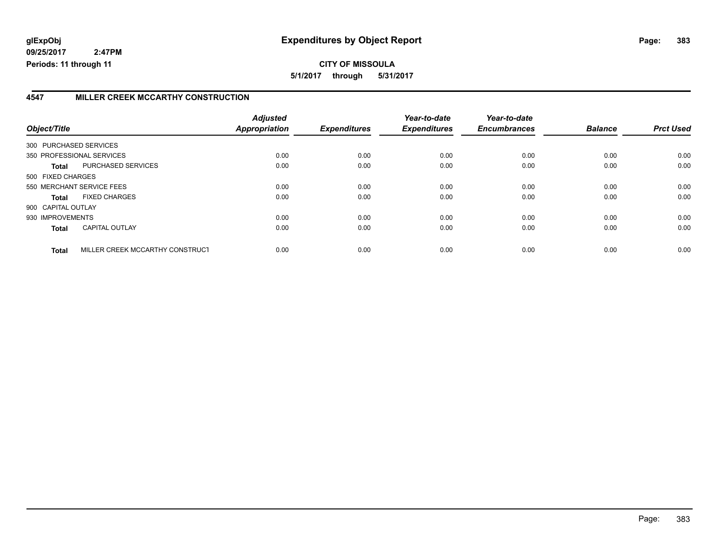**5/1/2017 through 5/31/2017**

### **4547 MILLER CREEK MCCARTHY CONSTRUCTION**

| Object/Title           |                                 | <b>Adjusted</b><br><b>Appropriation</b> | <b>Expenditures</b> | Year-to-date<br><b>Expenditures</b> | Year-to-date<br><b>Encumbrances</b> | <b>Balance</b> | <b>Prct Used</b> |
|------------------------|---------------------------------|-----------------------------------------|---------------------|-------------------------------------|-------------------------------------|----------------|------------------|
| 300 PURCHASED SERVICES |                                 |                                         |                     |                                     |                                     |                |                  |
|                        |                                 |                                         |                     |                                     |                                     |                |                  |
|                        | 350 PROFESSIONAL SERVICES       | 0.00                                    | 0.00                | 0.00                                | 0.00                                | 0.00           | 0.00             |
| Total                  | PURCHASED SERVICES              | 0.00                                    | 0.00                | 0.00                                | 0.00                                | 0.00           | 0.00             |
| 500 FIXED CHARGES      |                                 |                                         |                     |                                     |                                     |                |                  |
|                        | 550 MERCHANT SERVICE FEES       | 0.00                                    | 0.00                | 0.00                                | 0.00                                | 0.00           | 0.00             |
| Total                  | <b>FIXED CHARGES</b>            | 0.00                                    | 0.00                | 0.00                                | 0.00                                | 0.00           | 0.00             |
| 900 CAPITAL OUTLAY     |                                 |                                         |                     |                                     |                                     |                |                  |
| 930 IMPROVEMENTS       |                                 | 0.00                                    | 0.00                | 0.00                                | 0.00                                | 0.00           | 0.00             |
| <b>Total</b>           | <b>CAPITAL OUTLAY</b>           | 0.00                                    | 0.00                | 0.00                                | 0.00                                | 0.00           | 0.00             |
| <b>Total</b>           | MILLER CREEK MCCARTHY CONSTRUCT | 0.00                                    | 0.00                | 0.00                                | 0.00                                | 0.00           | 0.00             |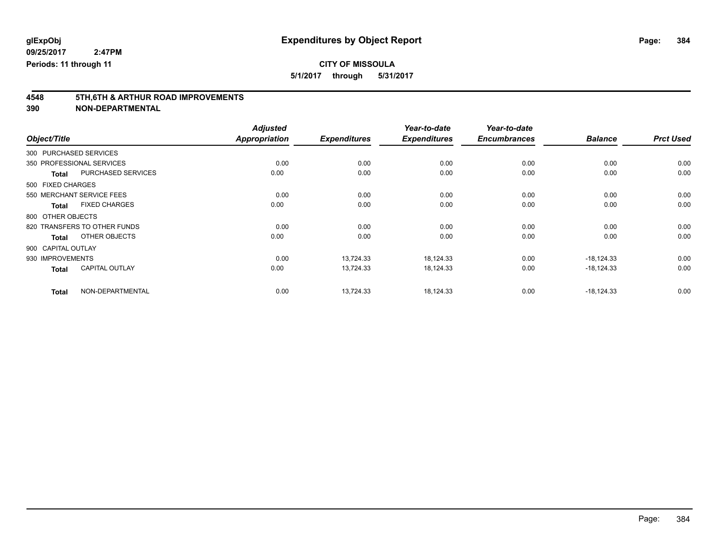## **CITY OF MISSOULA**

**5/1/2017 through 5/31/2017**

# **4548 5TH,6TH & ARTHUR ROAD IMPROVEMENTS**

|                        |                              | <b>Adjusted</b>      |                     | Year-to-date        | Year-to-date        |                |                  |
|------------------------|------------------------------|----------------------|---------------------|---------------------|---------------------|----------------|------------------|
| Object/Title           |                              | <b>Appropriation</b> | <b>Expenditures</b> | <b>Expenditures</b> | <b>Encumbrances</b> | <b>Balance</b> | <b>Prct Used</b> |
| 300 PURCHASED SERVICES |                              |                      |                     |                     |                     |                |                  |
|                        | 350 PROFESSIONAL SERVICES    | 0.00                 | 0.00                | 0.00                | 0.00                | 0.00           | 0.00             |
| <b>Total</b>           | <b>PURCHASED SERVICES</b>    | 0.00                 | 0.00                | 0.00                | 0.00                | 0.00           | 0.00             |
| 500 FIXED CHARGES      |                              |                      |                     |                     |                     |                |                  |
|                        | 550 MERCHANT SERVICE FEES    | 0.00                 | 0.00                | 0.00                | 0.00                | 0.00           | 0.00             |
| <b>Total</b>           | <b>FIXED CHARGES</b>         | 0.00                 | 0.00                | 0.00                | 0.00                | 0.00           | 0.00             |
| 800 OTHER OBJECTS      |                              |                      |                     |                     |                     |                |                  |
|                        | 820 TRANSFERS TO OTHER FUNDS | 0.00                 | 0.00                | 0.00                | 0.00                | 0.00           | 0.00             |
| <b>Total</b>           | OTHER OBJECTS                | 0.00                 | 0.00                | 0.00                | 0.00                | 0.00           | 0.00             |
| 900 CAPITAL OUTLAY     |                              |                      |                     |                     |                     |                |                  |
| 930 IMPROVEMENTS       |                              | 0.00                 | 13,724.33           | 18,124.33           | 0.00                | $-18,124.33$   | 0.00             |
| <b>Total</b>           | <b>CAPITAL OUTLAY</b>        | 0.00                 | 13,724.33           | 18,124.33           | 0.00                | $-18,124.33$   | 0.00             |
| <b>Total</b>           | NON-DEPARTMENTAL             | 0.00                 | 13,724.33           | 18,124.33           | 0.00                | $-18.124.33$   | 0.00             |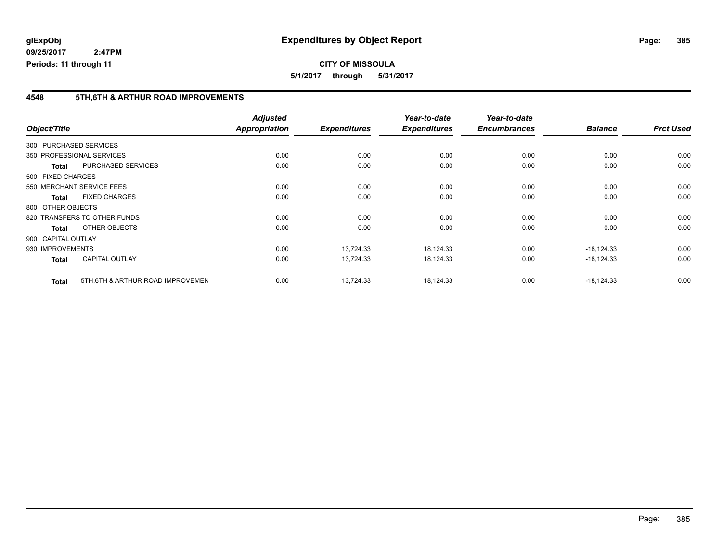### **4548 5TH,6TH & ARTHUR ROAD IMPROVEMENTS**

|                    |                                   | <b>Adjusted</b>      |                     | Year-to-date        | Year-to-date        |                |                  |
|--------------------|-----------------------------------|----------------------|---------------------|---------------------|---------------------|----------------|------------------|
| Object/Title       |                                   | <b>Appropriation</b> | <b>Expenditures</b> | <b>Expenditures</b> | <b>Encumbrances</b> | <b>Balance</b> | <b>Prct Used</b> |
|                    | 300 PURCHASED SERVICES            |                      |                     |                     |                     |                |                  |
|                    | 350 PROFESSIONAL SERVICES         | 0.00                 | 0.00                | 0.00                | 0.00                | 0.00           | 0.00             |
| <b>Total</b>       | <b>PURCHASED SERVICES</b>         | 0.00                 | 0.00                | 0.00                | 0.00                | 0.00           | 0.00             |
| 500 FIXED CHARGES  |                                   |                      |                     |                     |                     |                |                  |
|                    | 550 MERCHANT SERVICE FEES         | 0.00                 | 0.00                | 0.00                | 0.00                | 0.00           | 0.00             |
| Total              | <b>FIXED CHARGES</b>              | 0.00                 | 0.00                | 0.00                | 0.00                | 0.00           | 0.00             |
| 800 OTHER OBJECTS  |                                   |                      |                     |                     |                     |                |                  |
|                    | 820 TRANSFERS TO OTHER FUNDS      | 0.00                 | 0.00                | 0.00                | 0.00                | 0.00           | 0.00             |
| Total              | OTHER OBJECTS                     | 0.00                 | 0.00                | 0.00                | 0.00                | 0.00           | 0.00             |
| 900 CAPITAL OUTLAY |                                   |                      |                     |                     |                     |                |                  |
| 930 IMPROVEMENTS   |                                   | 0.00                 | 13,724.33           | 18,124.33           | 0.00                | $-18,124.33$   | 0.00             |
| <b>Total</b>       | <b>CAPITAL OUTLAY</b>             | 0.00                 | 13,724.33           | 18,124.33           | 0.00                | $-18,124.33$   | 0.00             |
| <b>Total</b>       | 5TH, 6TH & ARTHUR ROAD IMPROVEMEN | 0.00                 | 13,724.33           | 18,124.33           | 0.00                | $-18,124.33$   | 0.00             |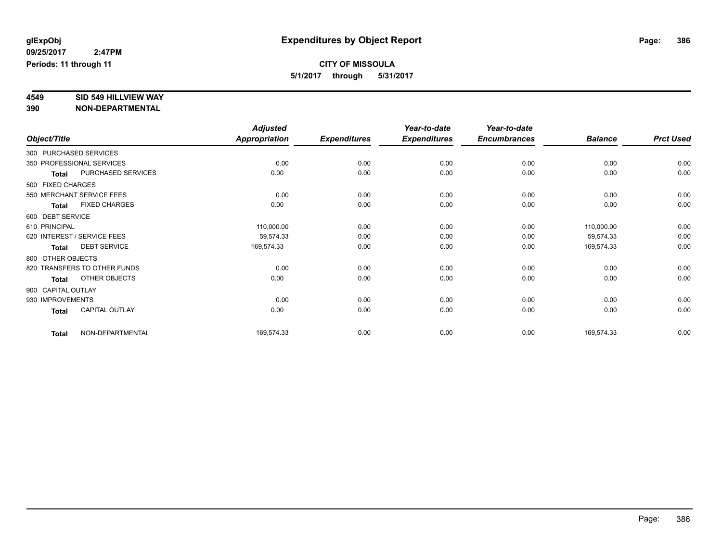# **4549 SID 549 HILLVIEW WAY**

|                    |                              | <b>Adjusted</b> |                     | Year-to-date        | Year-to-date        |                |                  |
|--------------------|------------------------------|-----------------|---------------------|---------------------|---------------------|----------------|------------------|
| Object/Title       |                              | Appropriation   | <b>Expenditures</b> | <b>Expenditures</b> | <b>Encumbrances</b> | <b>Balance</b> | <b>Prct Used</b> |
|                    | 300 PURCHASED SERVICES       |                 |                     |                     |                     |                |                  |
|                    | 350 PROFESSIONAL SERVICES    | 0.00            | 0.00                | 0.00                | 0.00                | 0.00           | 0.00             |
| <b>Total</b>       | PURCHASED SERVICES           | 0.00            | 0.00                | 0.00                | 0.00                | 0.00           | 0.00             |
| 500 FIXED CHARGES  |                              |                 |                     |                     |                     |                |                  |
|                    | 550 MERCHANT SERVICE FEES    | 0.00            | 0.00                | 0.00                | 0.00                | 0.00           | 0.00             |
| <b>Total</b>       | <b>FIXED CHARGES</b>         | 0.00            | 0.00                | 0.00                | 0.00                | 0.00           | 0.00             |
| 600 DEBT SERVICE   |                              |                 |                     |                     |                     |                |                  |
| 610 PRINCIPAL      |                              | 110,000.00      | 0.00                | 0.00                | 0.00                | 110,000.00     | 0.00             |
|                    | 620 INTEREST / SERVICE FEES  | 59,574.33       | 0.00                | 0.00                | 0.00                | 59,574.33      | 0.00             |
| <b>Total</b>       | <b>DEBT SERVICE</b>          | 169,574.33      | 0.00                | 0.00                | 0.00                | 169,574.33     | 0.00             |
| 800 OTHER OBJECTS  |                              |                 |                     |                     |                     |                |                  |
|                    | 820 TRANSFERS TO OTHER FUNDS | 0.00            | 0.00                | 0.00                | 0.00                | 0.00           | 0.00             |
| <b>Total</b>       | OTHER OBJECTS                | 0.00            | 0.00                | 0.00                | 0.00                | 0.00           | 0.00             |
| 900 CAPITAL OUTLAY |                              |                 |                     |                     |                     |                |                  |
| 930 IMPROVEMENTS   |                              | 0.00            | 0.00                | 0.00                | 0.00                | 0.00           | 0.00             |
| <b>Total</b>       | <b>CAPITAL OUTLAY</b>        | 0.00            | 0.00                | 0.00                | 0.00                | 0.00           | 0.00             |
| <b>Total</b>       | NON-DEPARTMENTAL             | 169,574.33      | 0.00                | 0.00                | 0.00                | 169,574.33     | 0.00             |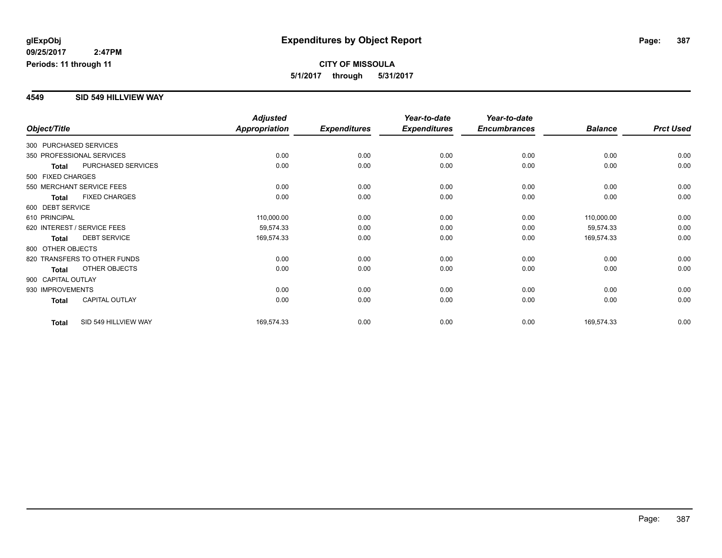#### **4549 SID 549 HILLVIEW WAY**

|                        |                              | <b>Adjusted</b>      |                     | Year-to-date        | Year-to-date        |                |                  |
|------------------------|------------------------------|----------------------|---------------------|---------------------|---------------------|----------------|------------------|
| Object/Title           |                              | <b>Appropriation</b> | <b>Expenditures</b> | <b>Expenditures</b> | <b>Encumbrances</b> | <b>Balance</b> | <b>Prct Used</b> |
| 300 PURCHASED SERVICES |                              |                      |                     |                     |                     |                |                  |
|                        | 350 PROFESSIONAL SERVICES    | 0.00                 | 0.00                | 0.00                | 0.00                | 0.00           | 0.00             |
| <b>Total</b>           | PURCHASED SERVICES           | 0.00                 | 0.00                | 0.00                | 0.00                | 0.00           | 0.00             |
| 500 FIXED CHARGES      |                              |                      |                     |                     |                     |                |                  |
|                        | 550 MERCHANT SERVICE FEES    | 0.00                 | 0.00                | 0.00                | 0.00                | 0.00           | 0.00             |
| <b>Total</b>           | <b>FIXED CHARGES</b>         | 0.00                 | 0.00                | 0.00                | 0.00                | 0.00           | 0.00             |
| 600 DEBT SERVICE       |                              |                      |                     |                     |                     |                |                  |
| 610 PRINCIPAL          |                              | 110,000.00           | 0.00                | 0.00                | 0.00                | 110,000.00     | 0.00             |
|                        | 620 INTEREST / SERVICE FEES  | 59,574.33            | 0.00                | 0.00                | 0.00                | 59,574.33      | 0.00             |
| <b>Total</b>           | <b>DEBT SERVICE</b>          | 169,574.33           | 0.00                | 0.00                | 0.00                | 169,574.33     | 0.00             |
| 800 OTHER OBJECTS      |                              |                      |                     |                     |                     |                |                  |
|                        | 820 TRANSFERS TO OTHER FUNDS | 0.00                 | 0.00                | 0.00                | 0.00                | 0.00           | 0.00             |
| Total                  | OTHER OBJECTS                | 0.00                 | 0.00                | 0.00                | 0.00                | 0.00           | 0.00             |
| 900 CAPITAL OUTLAY     |                              |                      |                     |                     |                     |                |                  |
| 930 IMPROVEMENTS       |                              | 0.00                 | 0.00                | 0.00                | 0.00                | 0.00           | 0.00             |
| Total                  | <b>CAPITAL OUTLAY</b>        | 0.00                 | 0.00                | 0.00                | 0.00                | 0.00           | 0.00             |
| <b>Total</b>           | SID 549 HILLVIEW WAY         | 169,574.33           | 0.00                | 0.00                | 0.00                | 169,574.33     | 0.00             |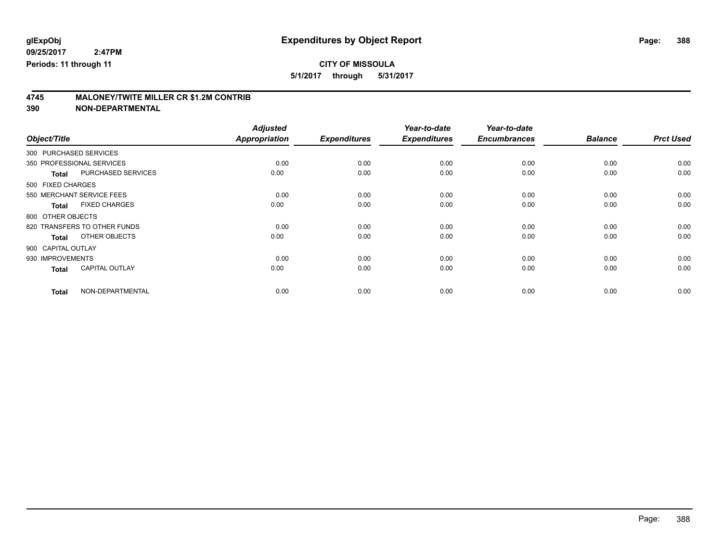### **CITY OF MISSOULA**

**5/1/2017 through 5/31/2017**

# **4745 MALONEY/TWITE MILLER CR \$1.2M CONTRIB**

|                        |                              | <b>Adjusted</b> |                     | Year-to-date        | Year-to-date        |                |                  |
|------------------------|------------------------------|-----------------|---------------------|---------------------|---------------------|----------------|------------------|
| Object/Title           |                              | Appropriation   | <b>Expenditures</b> | <b>Expenditures</b> | <b>Encumbrances</b> | <b>Balance</b> | <b>Prct Used</b> |
| 300 PURCHASED SERVICES |                              |                 |                     |                     |                     |                |                  |
|                        | 350 PROFESSIONAL SERVICES    | 0.00            | 0.00                | 0.00                | 0.00                | 0.00           | 0.00             |
| <b>Total</b>           | PURCHASED SERVICES           | 0.00            | 0.00                | 0.00                | 0.00                | 0.00           | 0.00             |
| 500 FIXED CHARGES      |                              |                 |                     |                     |                     |                |                  |
|                        | 550 MERCHANT SERVICE FEES    | 0.00            | 0.00                | 0.00                | 0.00                | 0.00           | 0.00             |
| <b>Total</b>           | <b>FIXED CHARGES</b>         | 0.00            | 0.00                | 0.00                | 0.00                | 0.00           | 0.00             |
| 800 OTHER OBJECTS      |                              |                 |                     |                     |                     |                |                  |
|                        | 820 TRANSFERS TO OTHER FUNDS | 0.00            | 0.00                | 0.00                | 0.00                | 0.00           | 0.00             |
| <b>Total</b>           | OTHER OBJECTS                | 0.00            | 0.00                | 0.00                | 0.00                | 0.00           | 0.00             |
| 900 CAPITAL OUTLAY     |                              |                 |                     |                     |                     |                |                  |
| 930 IMPROVEMENTS       |                              | 0.00            | 0.00                | 0.00                | 0.00                | 0.00           | 0.00             |
| <b>Total</b>           | <b>CAPITAL OUTLAY</b>        | 0.00            | 0.00                | 0.00                | 0.00                | 0.00           | 0.00             |
| <b>Total</b>           | NON-DEPARTMENTAL             | 0.00            | 0.00                | 0.00                | 0.00                | 0.00           | 0.00             |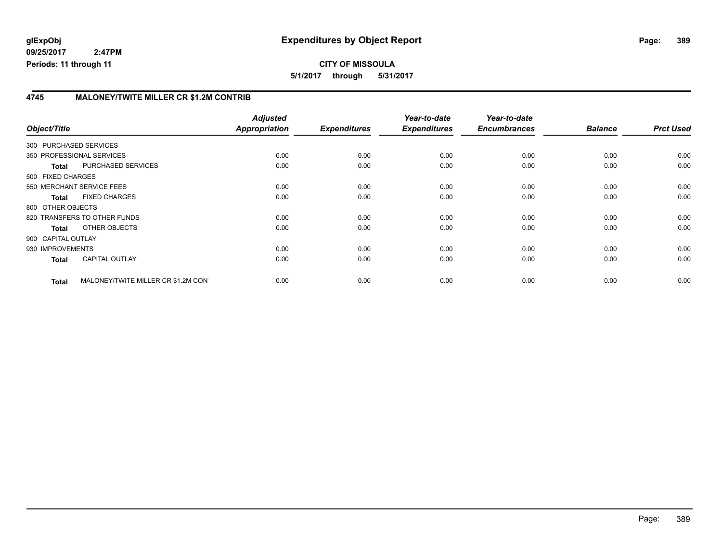**CITY OF MISSOULA 5/1/2017 through 5/31/2017**

### **4745 MALONEY/TWITE MILLER CR \$1.2M CONTRIB**

|                    |              |                                     | <b>Adjusted</b> |                     | Year-to-date        | Year-to-date        |                |                  |
|--------------------|--------------|-------------------------------------|-----------------|---------------------|---------------------|---------------------|----------------|------------------|
| Object/Title       |              |                                     | Appropriation   | <b>Expenditures</b> | <b>Expenditures</b> | <b>Encumbrances</b> | <b>Balance</b> | <b>Prct Used</b> |
|                    |              | 300 PURCHASED SERVICES              |                 |                     |                     |                     |                |                  |
|                    |              | 350 PROFESSIONAL SERVICES           | 0.00            | 0.00                | 0.00                | 0.00                | 0.00           | 0.00             |
|                    | <b>Total</b> | PURCHASED SERVICES                  | 0.00            | 0.00                | 0.00                | 0.00                | 0.00           | 0.00             |
| 500 FIXED CHARGES  |              |                                     |                 |                     |                     |                     |                |                  |
|                    |              | 550 MERCHANT SERVICE FEES           | 0.00            | 0.00                | 0.00                | 0.00                | 0.00           | 0.00             |
|                    | <b>Total</b> | <b>FIXED CHARGES</b>                | 0.00            | 0.00                | 0.00                | 0.00                | 0.00           | 0.00             |
| 800 OTHER OBJECTS  |              |                                     |                 |                     |                     |                     |                |                  |
|                    |              | 820 TRANSFERS TO OTHER FUNDS        | 0.00            | 0.00                | 0.00                | 0.00                | 0.00           | 0.00             |
|                    | <b>Total</b> | OTHER OBJECTS                       | 0.00            | 0.00                | 0.00                | 0.00                | 0.00           | 0.00             |
| 900 CAPITAL OUTLAY |              |                                     |                 |                     |                     |                     |                |                  |
| 930 IMPROVEMENTS   |              |                                     | 0.00            | 0.00                | 0.00                | 0.00                | 0.00           | 0.00             |
|                    | <b>Total</b> | <b>CAPITAL OUTLAY</b>               | 0.00            | 0.00                | 0.00                | 0.00                | 0.00           | 0.00             |
|                    | <b>Total</b> | MALONEY/TWITE MILLER CR \$1.2M CONT | 0.00            | 0.00                | 0.00                | 0.00                | 0.00           | 0.00             |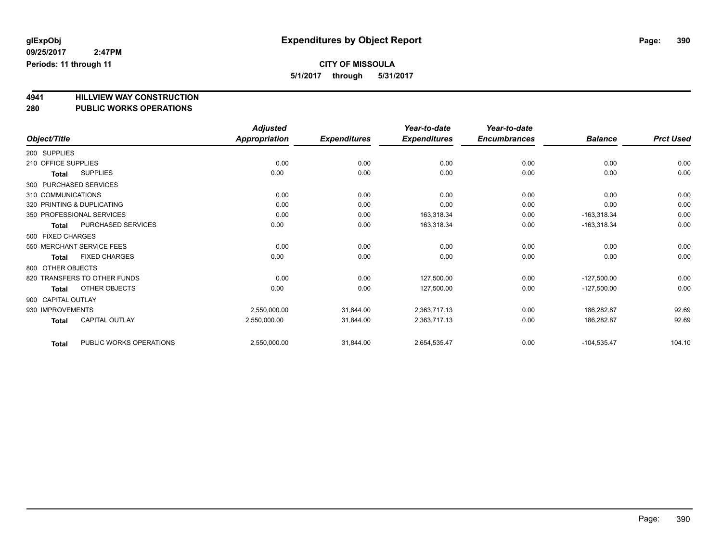## **CITY OF MISSOULA**

**5/1/2017 through 5/31/2017**

# **4941 HILLVIEW WAY CONSTRUCTION**

### **280 PUBLIC WORKS OPERATIONS**

|                              |                         | <b>Adjusted</b>      |                     | Year-to-date        | Year-to-date        |                |                  |
|------------------------------|-------------------------|----------------------|---------------------|---------------------|---------------------|----------------|------------------|
| Object/Title                 |                         | <b>Appropriation</b> | <b>Expenditures</b> | <b>Expenditures</b> | <b>Encumbrances</b> | <b>Balance</b> | <b>Prct Used</b> |
| 200 SUPPLIES                 |                         |                      |                     |                     |                     |                |                  |
| 210 OFFICE SUPPLIES          |                         | 0.00                 | 0.00                | 0.00                | 0.00                | 0.00           | 0.00             |
| <b>SUPPLIES</b><br>Total     |                         | 0.00                 | 0.00                | 0.00                | 0.00                | 0.00           | 0.00             |
| 300 PURCHASED SERVICES       |                         |                      |                     |                     |                     |                |                  |
| 310 COMMUNICATIONS           |                         | 0.00                 | 0.00                | 0.00                | 0.00                | 0.00           | 0.00             |
| 320 PRINTING & DUPLICATING   |                         | 0.00                 | 0.00                | 0.00                | 0.00                | 0.00           | 0.00             |
| 350 PROFESSIONAL SERVICES    |                         | 0.00                 | 0.00                | 163,318.34          | 0.00                | $-163,318.34$  | 0.00             |
| <b>Total</b>                 | PURCHASED SERVICES      | 0.00                 | 0.00                | 163,318.34          | 0.00                | $-163,318.34$  | 0.00             |
| 500 FIXED CHARGES            |                         |                      |                     |                     |                     |                |                  |
| 550 MERCHANT SERVICE FEES    |                         | 0.00                 | 0.00                | 0.00                | 0.00                | 0.00           | 0.00             |
| <b>Total</b>                 | <b>FIXED CHARGES</b>    | 0.00                 | 0.00                | 0.00                | 0.00                | 0.00           | 0.00             |
| 800 OTHER OBJECTS            |                         |                      |                     |                     |                     |                |                  |
| 820 TRANSFERS TO OTHER FUNDS |                         | 0.00                 | 0.00                | 127,500.00          | 0.00                | $-127,500.00$  | 0.00             |
| Total                        | OTHER OBJECTS           | 0.00                 | 0.00                | 127,500.00          | 0.00                | $-127,500.00$  | 0.00             |
| 900 CAPITAL OUTLAY           |                         |                      |                     |                     |                     |                |                  |
| 930 IMPROVEMENTS             |                         | 2,550,000.00         | 31,844.00           | 2,363,717.13        | 0.00                | 186,282.87     | 92.69            |
| <b>Total</b>                 | CAPITAL OUTLAY          | 2,550,000.00         | 31,844.00           | 2,363,717.13        | 0.00                | 186,282.87     | 92.69            |
| <b>Total</b>                 | PUBLIC WORKS OPERATIONS | 2,550,000.00         | 31,844.00           | 2,654,535.47        | 0.00                | $-104,535.47$  | 104.10           |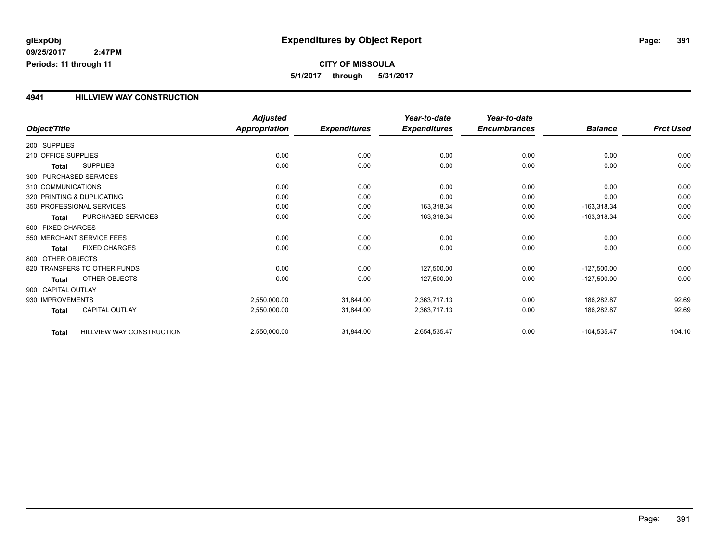**5/1/2017 through 5/31/2017**

### **4941 HILLVIEW WAY CONSTRUCTION**

|                     |                              | <b>Adjusted</b>      |                     | Year-to-date        | Year-to-date        |                |                  |
|---------------------|------------------------------|----------------------|---------------------|---------------------|---------------------|----------------|------------------|
| Object/Title        |                              | <b>Appropriation</b> | <b>Expenditures</b> | <b>Expenditures</b> | <b>Encumbrances</b> | <b>Balance</b> | <b>Prct Used</b> |
| 200 SUPPLIES        |                              |                      |                     |                     |                     |                |                  |
| 210 OFFICE SUPPLIES |                              | 0.00                 | 0.00                | 0.00                | 0.00                | 0.00           | 0.00             |
| Total               | <b>SUPPLIES</b>              | 0.00                 | 0.00                | 0.00                | 0.00                | 0.00           | 0.00             |
|                     | 300 PURCHASED SERVICES       |                      |                     |                     |                     |                |                  |
| 310 COMMUNICATIONS  |                              | 0.00                 | 0.00                | 0.00                | 0.00                | 0.00           | 0.00             |
|                     | 320 PRINTING & DUPLICATING   | 0.00                 | 0.00                | 0.00                | 0.00                | 0.00           | 0.00             |
|                     | 350 PROFESSIONAL SERVICES    | 0.00                 | 0.00                | 163,318.34          | 0.00                | $-163,318.34$  | 0.00             |
| Total               | PURCHASED SERVICES           | 0.00                 | 0.00                | 163,318.34          | 0.00                | $-163,318.34$  | 0.00             |
| 500 FIXED CHARGES   |                              |                      |                     |                     |                     |                |                  |
|                     | 550 MERCHANT SERVICE FEES    | 0.00                 | 0.00                | 0.00                | 0.00                | 0.00           | 0.00             |
| <b>Total</b>        | <b>FIXED CHARGES</b>         | 0.00                 | 0.00                | 0.00                | 0.00                | 0.00           | 0.00             |
| 800 OTHER OBJECTS   |                              |                      |                     |                     |                     |                |                  |
|                     | 820 TRANSFERS TO OTHER FUNDS | 0.00                 | 0.00                | 127,500.00          | 0.00                | $-127,500.00$  | 0.00             |
| <b>Total</b>        | OTHER OBJECTS                | 0.00                 | 0.00                | 127,500.00          | 0.00                | $-127,500.00$  | 0.00             |
| 900 CAPITAL OUTLAY  |                              |                      |                     |                     |                     |                |                  |
| 930 IMPROVEMENTS    |                              | 2,550,000.00         | 31,844.00           | 2,363,717.13        | 0.00                | 186,282.87     | 92.69            |
| <b>Total</b>        | <b>CAPITAL OUTLAY</b>        | 2,550,000.00         | 31,844.00           | 2,363,717.13        | 0.00                | 186,282.87     | 92.69            |
| <b>Total</b>        | HILLVIEW WAY CONSTRUCTION    | 2,550,000.00         | 31,844.00           | 2,654,535.47        | 0.00                | $-104,535.47$  | 104.10           |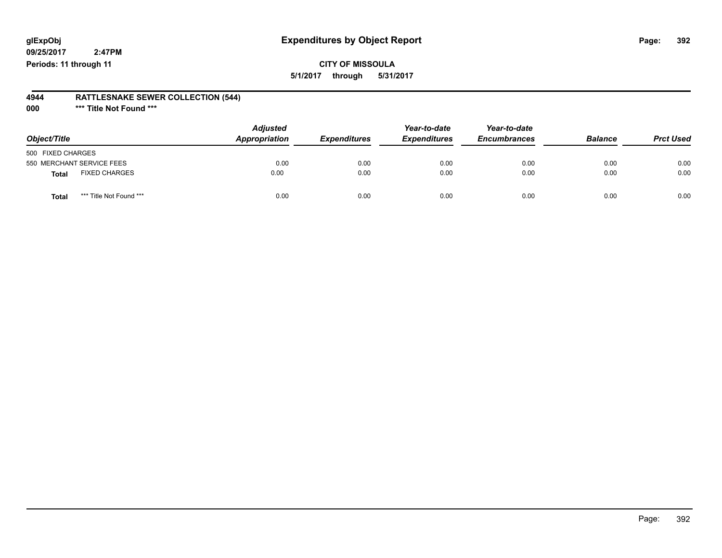### **glExpObj Expenditures by Object Report Page: 392**

**09/25/2017 2:47PM Periods: 11 through 11**

### **CITY OF MISSOULA 5/1/2017 through 5/31/2017**

### **4944 RATTLESNAKE SEWER COLLECTION (544)**

**000 \*\*\* Title Not Found \*\*\***

| Object/Title                            | <b>Adjusted</b><br>Appropriation | <b>Expenditures</b> | Year-to-date<br><b>Expenditures</b> | Year-to-date<br><b>Encumbrances</b> | <b>Balance</b> | <b>Prct Used</b> |
|-----------------------------------------|----------------------------------|---------------------|-------------------------------------|-------------------------------------|----------------|------------------|
| 500 FIXED CHARGES                       |                                  |                     |                                     |                                     |                |                  |
| 550 MERCHANT SERVICE FEES               | 0.00                             | 0.00                | 0.00                                | 0.00                                | 0.00           | 0.00             |
| <b>FIXED CHARGES</b><br>Total           | 0.00                             | 0.00                | 0.00                                | 0.00                                | 0.00           | 0.00             |
| *** Title Not Found ***<br><b>Total</b> | 0.00                             | 0.00                | 0.00                                | 0.00                                | 0.00           | 0.00             |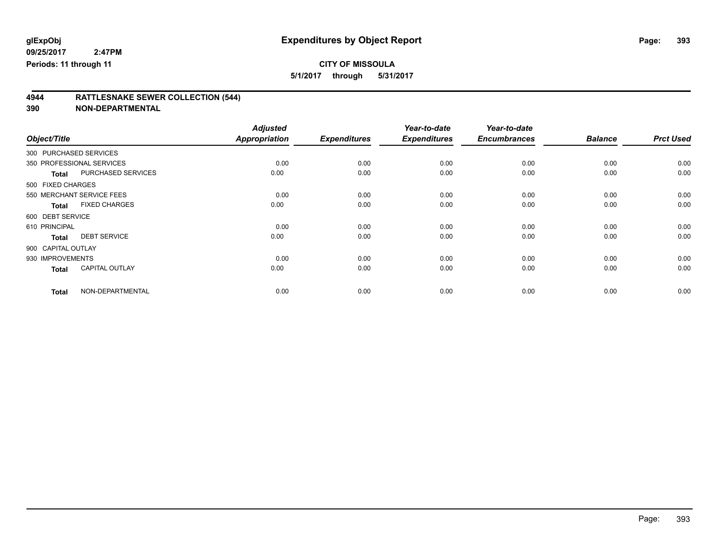### **CITY OF MISSOULA**

**5/1/2017 through 5/31/2017**

## **4944 RATTLESNAKE SEWER COLLECTION (544)**

| Object/Title           |                           | <b>Adjusted</b><br><b>Appropriation</b> | <b>Expenditures</b> | Year-to-date<br><b>Expenditures</b> | Year-to-date<br><b>Encumbrances</b> | <b>Balance</b> | <b>Prct Used</b> |
|------------------------|---------------------------|-----------------------------------------|---------------------|-------------------------------------|-------------------------------------|----------------|------------------|
| 300 PURCHASED SERVICES |                           |                                         |                     |                                     |                                     |                |                  |
|                        | 350 PROFESSIONAL SERVICES | 0.00                                    | 0.00                | 0.00                                | 0.00                                | 0.00           | 0.00             |
| <b>Total</b>           | <b>PURCHASED SERVICES</b> | 0.00                                    | 0.00                | 0.00                                | 0.00                                | 0.00           | 0.00             |
| 500 FIXED CHARGES      |                           |                                         |                     |                                     |                                     |                |                  |
|                        | 550 MERCHANT SERVICE FEES | 0.00                                    | 0.00                | 0.00                                | 0.00                                | 0.00           | 0.00             |
| <b>Total</b>           | <b>FIXED CHARGES</b>      | 0.00                                    | 0.00                | 0.00                                | 0.00                                | 0.00           | 0.00             |
| 600 DEBT SERVICE       |                           |                                         |                     |                                     |                                     |                |                  |
| 610 PRINCIPAL          |                           | 0.00                                    | 0.00                | 0.00                                | 0.00                                | 0.00           | 0.00             |
| <b>Total</b>           | <b>DEBT SERVICE</b>       | 0.00                                    | 0.00                | 0.00                                | 0.00                                | 0.00           | 0.00             |
| 900 CAPITAL OUTLAY     |                           |                                         |                     |                                     |                                     |                |                  |
| 930 IMPROVEMENTS       |                           | 0.00                                    | 0.00                | 0.00                                | 0.00                                | 0.00           | 0.00             |
| <b>Total</b>           | <b>CAPITAL OUTLAY</b>     | 0.00                                    | 0.00                | 0.00                                | 0.00                                | 0.00           | 0.00             |
| <b>Total</b>           | NON-DEPARTMENTAL          | 0.00                                    | 0.00                | 0.00                                | 0.00                                | 0.00           | 0.00             |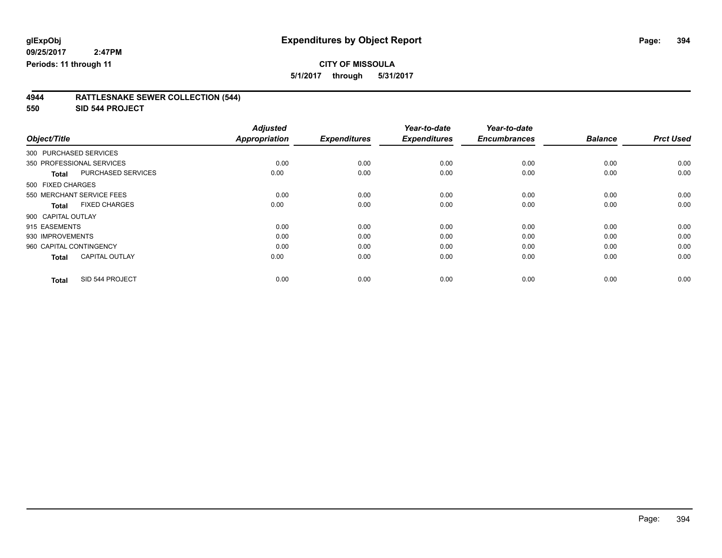### **CITY OF MISSOULA**

**5/1/2017 through 5/31/2017**

### **4944 RATTLESNAKE SEWER COLLECTION (544)**

**550 SID 544 PROJECT**

|                         |                           | <b>Adjusted</b>      |                     | Year-to-date        | Year-to-date        |                |                  |
|-------------------------|---------------------------|----------------------|---------------------|---------------------|---------------------|----------------|------------------|
| Object/Title            |                           | <b>Appropriation</b> | <b>Expenditures</b> | <b>Expenditures</b> | <b>Encumbrances</b> | <b>Balance</b> | <b>Prct Used</b> |
| 300 PURCHASED SERVICES  |                           |                      |                     |                     |                     |                |                  |
|                         | 350 PROFESSIONAL SERVICES | 0.00                 | 0.00                | 0.00                | 0.00                | 0.00           | 0.00             |
| <b>Total</b>            | PURCHASED SERVICES        | 0.00                 | 0.00                | 0.00                | 0.00                | 0.00           | 0.00             |
| 500 FIXED CHARGES       |                           |                      |                     |                     |                     |                |                  |
|                         | 550 MERCHANT SERVICE FEES | 0.00                 | 0.00                | 0.00                | 0.00                | 0.00           | 0.00             |
| <b>Total</b>            | <b>FIXED CHARGES</b>      | 0.00                 | 0.00                | 0.00                | 0.00                | 0.00           | 0.00             |
| 900 CAPITAL OUTLAY      |                           |                      |                     |                     |                     |                |                  |
| 915 EASEMENTS           |                           | 0.00                 | 0.00                | 0.00                | 0.00                | 0.00           | 0.00             |
| 930 IMPROVEMENTS        |                           | 0.00                 | 0.00                | 0.00                | 0.00                | 0.00           | 0.00             |
| 960 CAPITAL CONTINGENCY |                           | 0.00                 | 0.00                | 0.00                | 0.00                | 0.00           | 0.00             |
| <b>Total</b>            | <b>CAPITAL OUTLAY</b>     | 0.00                 | 0.00                | 0.00                | 0.00                | 0.00           | 0.00             |
| <b>Total</b>            | SID 544 PROJECT           | 0.00                 | 0.00                | 0.00                | 0.00                | 0.00           | 0.00             |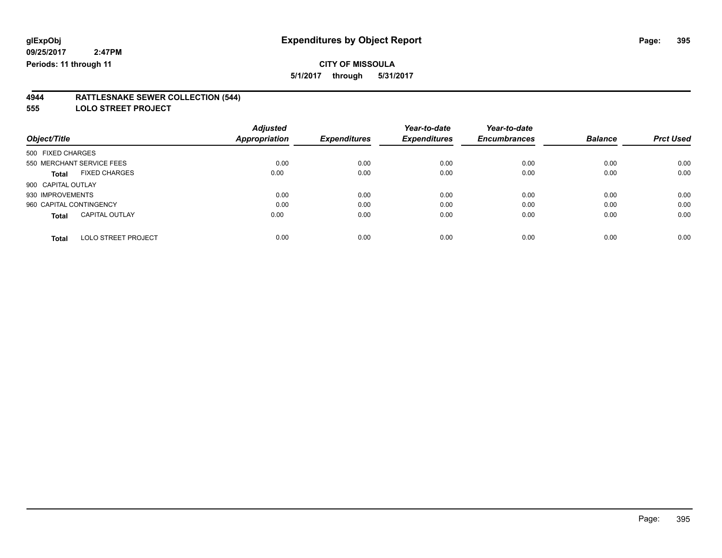## **CITY OF MISSOULA**

**5/1/2017 through 5/31/2017**

#### **4944 RATTLESNAKE SEWER COLLECTION (544)**

**555 LOLO STREET PROJECT**

|                                            | <b>Adjusted</b>      |                     | Year-to-date        | Year-to-date        |                |                  |
|--------------------------------------------|----------------------|---------------------|---------------------|---------------------|----------------|------------------|
| Object/Title                               | <b>Appropriation</b> | <b>Expenditures</b> | <b>Expenditures</b> | <b>Encumbrances</b> | <b>Balance</b> | <b>Prct Used</b> |
| 500 FIXED CHARGES                          |                      |                     |                     |                     |                |                  |
| 550 MERCHANT SERVICE FEES                  | 0.00                 | 0.00                | 0.00                | 0.00                | 0.00           | 0.00             |
| <b>FIXED CHARGES</b><br><b>Total</b>       | 0.00                 | 0.00                | 0.00                | 0.00                | 0.00           | 0.00             |
| 900 CAPITAL OUTLAY                         |                      |                     |                     |                     |                |                  |
| 930 IMPROVEMENTS                           | 0.00                 | 0.00                | 0.00                | 0.00                | 0.00           | 0.00             |
| 960 CAPITAL CONTINGENCY                    | 0.00                 | 0.00                | 0.00                | 0.00                | 0.00           | 0.00             |
| <b>CAPITAL OUTLAY</b><br><b>Total</b>      | 0.00                 | 0.00                | 0.00                | 0.00                | 0.00           | 0.00             |
| <b>LOLO STREET PROJECT</b><br><b>Total</b> | 0.00                 | 0.00                | 0.00                | 0.00                | 0.00           | 0.00             |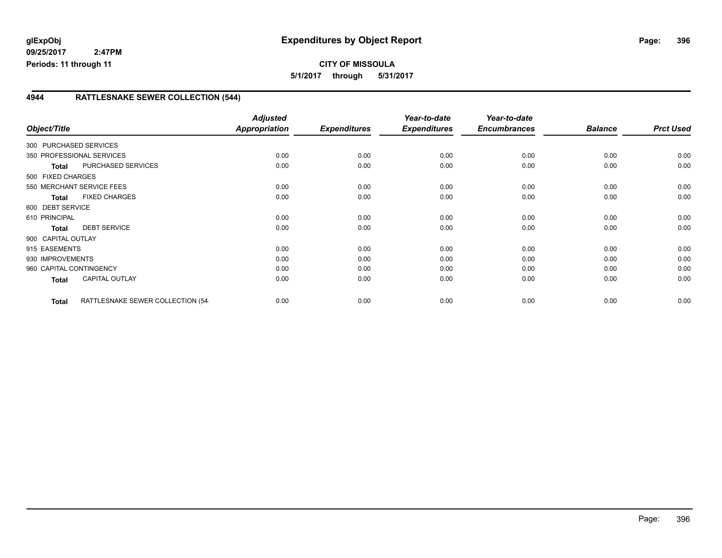### **4944 RATTLESNAKE SEWER COLLECTION (544)**

| Object/Title              |                                   | <b>Adjusted</b><br>Appropriation | <b>Expenditures</b> | Year-to-date<br><b>Expenditures</b> | Year-to-date<br><b>Encumbrances</b> | <b>Balance</b> | <b>Prct Used</b> |
|---------------------------|-----------------------------------|----------------------------------|---------------------|-------------------------------------|-------------------------------------|----------------|------------------|
| 300 PURCHASED SERVICES    |                                   |                                  |                     |                                     |                                     |                |                  |
| 350 PROFESSIONAL SERVICES |                                   | 0.00                             | 0.00                | 0.00                                | 0.00                                | 0.00           | 0.00             |
| Total                     | PURCHASED SERVICES                | 0.00                             | 0.00                | 0.00                                | 0.00                                | 0.00           | 0.00             |
| 500 FIXED CHARGES         |                                   |                                  |                     |                                     |                                     |                |                  |
| 550 MERCHANT SERVICE FEES |                                   | 0.00                             | 0.00                | 0.00                                | 0.00                                | 0.00           | 0.00             |
| <b>Total</b>              | <b>FIXED CHARGES</b>              | 0.00                             | 0.00                | 0.00                                | 0.00                                | 0.00           | 0.00             |
| 600 DEBT SERVICE          |                                   |                                  |                     |                                     |                                     |                |                  |
| 610 PRINCIPAL             |                                   | 0.00                             | 0.00                | 0.00                                | 0.00                                | 0.00           | 0.00             |
| <b>Total</b>              | <b>DEBT SERVICE</b>               | 0.00                             | 0.00                | 0.00                                | 0.00                                | 0.00           | 0.00             |
| 900 CAPITAL OUTLAY        |                                   |                                  |                     |                                     |                                     |                |                  |
| 915 EASEMENTS             |                                   | 0.00                             | 0.00                | 0.00                                | 0.00                                | 0.00           | 0.00             |
| 930 IMPROVEMENTS          |                                   | 0.00                             | 0.00                | 0.00                                | 0.00                                | 0.00           | 0.00             |
| 960 CAPITAL CONTINGENCY   |                                   | 0.00                             | 0.00                | 0.00                                | 0.00                                | 0.00           | 0.00             |
| Total                     | <b>CAPITAL OUTLAY</b>             | 0.00                             | 0.00                | 0.00                                | 0.00                                | 0.00           | 0.00             |
|                           |                                   |                                  |                     |                                     |                                     |                |                  |
| <b>Total</b>              | RATTLESNAKE SEWER COLLECTION (54- | 0.00                             | 0.00                | 0.00                                | 0.00                                | 0.00           | 0.00             |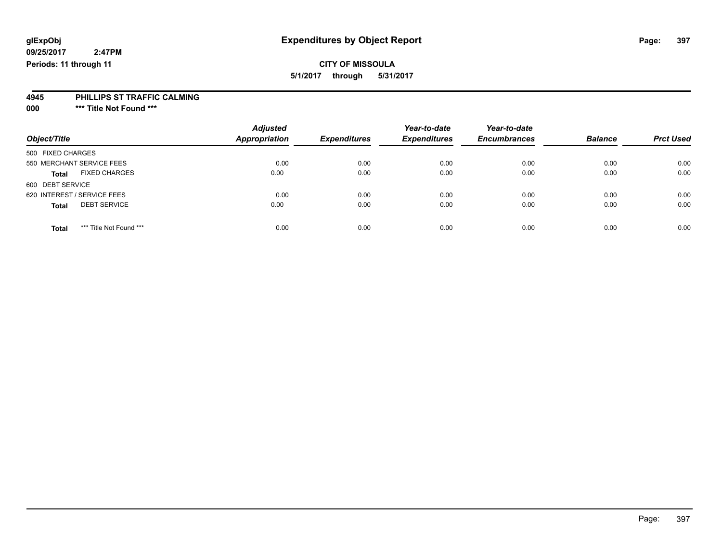## **CITY OF MISSOULA**

**5/1/2017 through 5/31/2017**

#### **4945 PHILLIPS ST TRAFFIC CALMING**

**000 \*\*\* Title Not Found \*\*\***

| Object/Title                            | <b>Adjusted</b><br><b>Appropriation</b> | <b>Expenditures</b> | Year-to-date<br><b>Expenditures</b> | Year-to-date<br><b>Encumbrances</b> | <b>Balance</b> | <b>Prct Used</b> |
|-----------------------------------------|-----------------------------------------|---------------------|-------------------------------------|-------------------------------------|----------------|------------------|
| 500 FIXED CHARGES                       |                                         |                     |                                     |                                     |                |                  |
| 550 MERCHANT SERVICE FEES               | 0.00                                    | 0.00                | 0.00                                | 0.00                                | 0.00           | 0.00             |
| <b>FIXED CHARGES</b><br><b>Total</b>    | 0.00                                    | 0.00                | 0.00                                | 0.00                                | 0.00           | 0.00             |
| 600 DEBT SERVICE                        |                                         |                     |                                     |                                     |                |                  |
| 620 INTEREST / SERVICE FEES             | 0.00                                    | 0.00                | 0.00                                | 0.00                                | 0.00           | 0.00             |
| <b>DEBT SERVICE</b><br><b>Total</b>     | 0.00                                    | 0.00                | 0.00                                | 0.00                                | 0.00           | 0.00             |
| *** Title Not Found ***<br><b>Total</b> | 0.00                                    | 0.00                | 0.00                                | 0.00                                | 0.00           | 0.00             |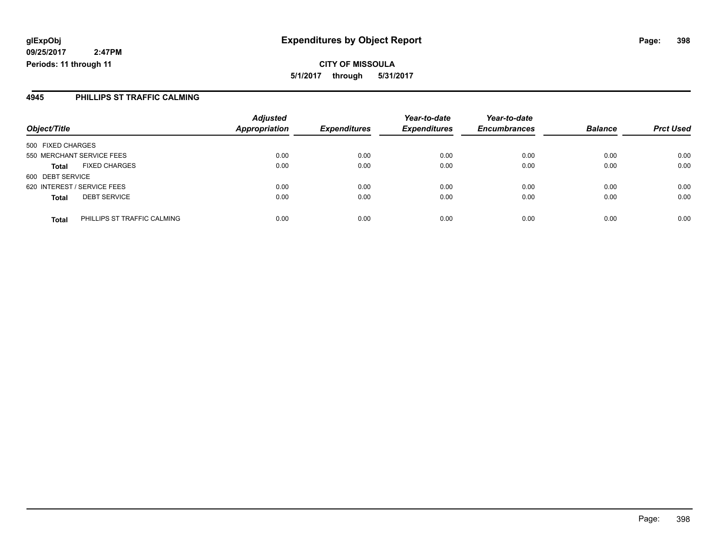#### **4945 PHILLIPS ST TRAFFIC CALMING**

|                                             | <b>Adjusted</b>      |                     | Year-to-date        | Year-to-date        |                |                  |
|---------------------------------------------|----------------------|---------------------|---------------------|---------------------|----------------|------------------|
| Object/Title                                | <b>Appropriation</b> | <b>Expenditures</b> | <b>Expenditures</b> | <b>Encumbrances</b> | <b>Balance</b> | <b>Prct Used</b> |
| 500 FIXED CHARGES                           |                      |                     |                     |                     |                |                  |
| 550 MERCHANT SERVICE FEES                   | 0.00                 | 0.00                | 0.00                | 0.00                | 0.00           | 0.00             |
| <b>FIXED CHARGES</b><br><b>Total</b>        | 0.00                 | 0.00                | 0.00                | 0.00                | 0.00           | 0.00             |
| 600 DEBT SERVICE                            |                      |                     |                     |                     |                |                  |
| 620 INTEREST / SERVICE FEES                 | 0.00                 | 0.00                | 0.00                | 0.00                | 0.00           | 0.00             |
| <b>DEBT SERVICE</b><br><b>Total</b>         | 0.00                 | 0.00                | 0.00                | 0.00                | 0.00           | 0.00             |
| PHILLIPS ST TRAFFIC CALMING<br><b>Total</b> | 0.00                 | 0.00                | 0.00                | 0.00                | 0.00           | 0.00             |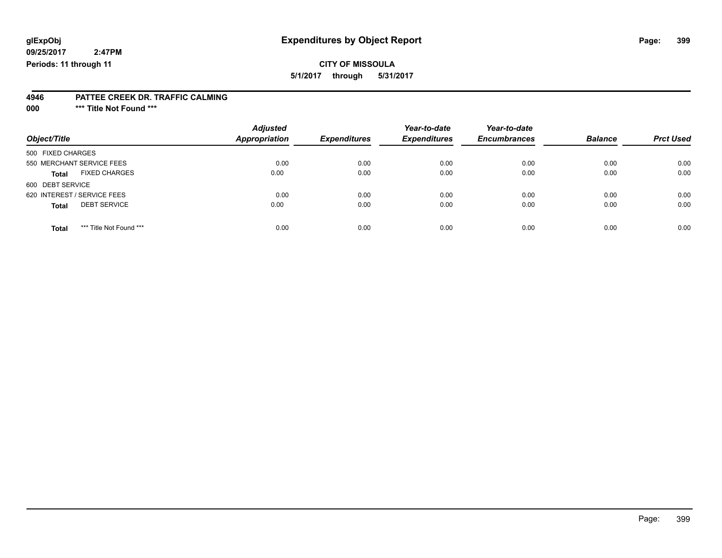## **CITY OF MISSOULA**

**5/1/2017 through 5/31/2017**

#### **4946 PATTEE CREEK DR. TRAFFIC CALMING**

**000 \*\*\* Title Not Found \*\*\***

|                                         | <b>Adjusted</b>      |                     | Year-to-date        | Year-to-date        |                |                  |
|-----------------------------------------|----------------------|---------------------|---------------------|---------------------|----------------|------------------|
| Object/Title                            | <b>Appropriation</b> | <b>Expenditures</b> | <b>Expenditures</b> | <b>Encumbrances</b> | <b>Balance</b> | <b>Prct Used</b> |
| 500 FIXED CHARGES                       |                      |                     |                     |                     |                |                  |
| 550 MERCHANT SERVICE FEES               | 0.00                 | 0.00                | 0.00                | 0.00                | 0.00           | 0.00             |
| <b>FIXED CHARGES</b><br><b>Total</b>    | 0.00                 | 0.00                | 0.00                | 0.00                | 0.00           | 0.00             |
| 600 DEBT SERVICE                        |                      |                     |                     |                     |                |                  |
| 620 INTEREST / SERVICE FEES             | 0.00                 | 0.00                | 0.00                | 0.00                | 0.00           | 0.00             |
| <b>DEBT SERVICE</b><br><b>Total</b>     | 0.00                 | 0.00                | 0.00                | 0.00                | 0.00           | 0.00             |
| *** Title Not Found ***<br><b>Total</b> | 0.00                 | 0.00                | 0.00                | 0.00                | 0.00           | 0.00             |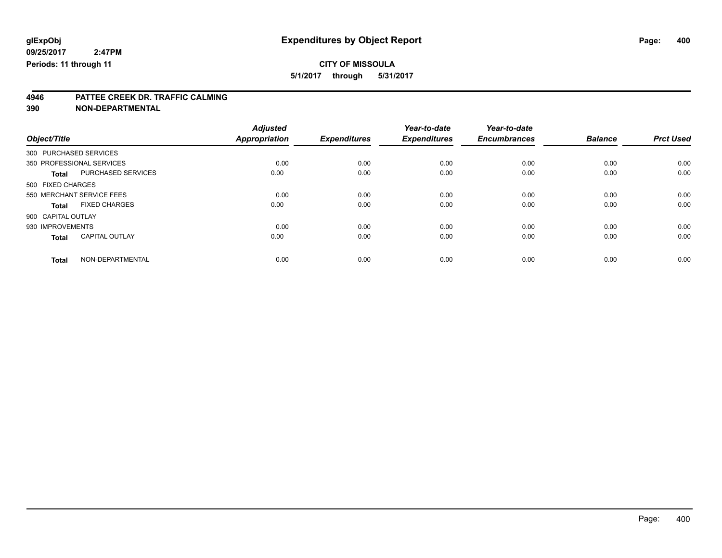## **CITY OF MISSOULA**

**5/1/2017 through 5/31/2017**

# **4946 PATTEE CREEK DR. TRAFFIC CALMING**

**390 NON-DEPARTMENTAL**

|                           |                       | <b>Adjusted</b>      |                     | Year-to-date        | Year-to-date        |                |                  |
|---------------------------|-----------------------|----------------------|---------------------|---------------------|---------------------|----------------|------------------|
| Object/Title              |                       | <b>Appropriation</b> | <b>Expenditures</b> | <b>Expenditures</b> | <b>Encumbrances</b> | <b>Balance</b> | <b>Prct Used</b> |
| 300 PURCHASED SERVICES    |                       |                      |                     |                     |                     |                |                  |
| 350 PROFESSIONAL SERVICES |                       | 0.00                 | 0.00                | 0.00                | 0.00                | 0.00           | 0.00             |
| <b>Total</b>              | PURCHASED SERVICES    | 0.00                 | 0.00                | 0.00                | 0.00                | 0.00           | 0.00             |
| 500 FIXED CHARGES         |                       |                      |                     |                     |                     |                |                  |
| 550 MERCHANT SERVICE FEES |                       | 0.00                 | 0.00                | 0.00                | 0.00                | 0.00           | 0.00             |
| Total                     | <b>FIXED CHARGES</b>  | 0.00                 | 0.00                | 0.00                | 0.00                | 0.00           | 0.00             |
| 900 CAPITAL OUTLAY        |                       |                      |                     |                     |                     |                |                  |
| 930 IMPROVEMENTS          |                       | 0.00                 | 0.00                | 0.00                | 0.00                | 0.00           | 0.00             |
| <b>Total</b>              | <b>CAPITAL OUTLAY</b> | 0.00                 | 0.00                | 0.00                | 0.00                | 0.00           | 0.00             |
| <b>Total</b>              | NON-DEPARTMENTAL      | 0.00                 | 0.00                | 0.00                | 0.00                | 0.00           | 0.00             |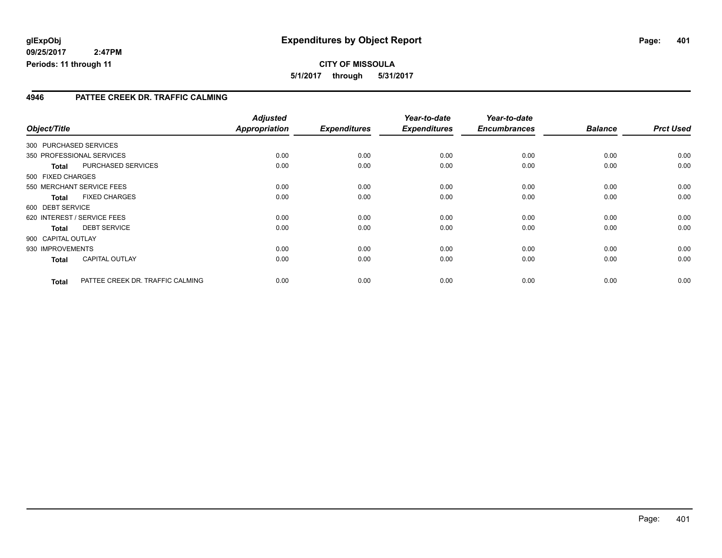**5/1/2017 through 5/31/2017**

#### **4946 PATTEE CREEK DR. TRAFFIC CALMING**

| Object/Title                |                                  | <b>Adjusted</b><br><b>Appropriation</b> | <b>Expenditures</b> | Year-to-date<br><b>Expenditures</b> | Year-to-date<br><b>Encumbrances</b> | <b>Balance</b> | <b>Prct Used</b> |
|-----------------------------|----------------------------------|-----------------------------------------|---------------------|-------------------------------------|-------------------------------------|----------------|------------------|
|                             |                                  |                                         |                     |                                     |                                     |                |                  |
| 300 PURCHASED SERVICES      |                                  |                                         |                     |                                     |                                     |                |                  |
| 350 PROFESSIONAL SERVICES   |                                  | 0.00                                    | 0.00                | 0.00                                | 0.00                                | 0.00           | 0.00             |
| <b>Total</b>                | PURCHASED SERVICES               | 0.00                                    | 0.00                | 0.00                                | 0.00                                | 0.00           | 0.00             |
| 500 FIXED CHARGES           |                                  |                                         |                     |                                     |                                     |                |                  |
| 550 MERCHANT SERVICE FEES   |                                  | 0.00                                    | 0.00                | 0.00                                | 0.00                                | 0.00           | 0.00             |
| <b>Total</b>                | <b>FIXED CHARGES</b>             | 0.00                                    | 0.00                | 0.00                                | 0.00                                | 0.00           | 0.00             |
| 600 DEBT SERVICE            |                                  |                                         |                     |                                     |                                     |                |                  |
| 620 INTEREST / SERVICE FEES |                                  | 0.00                                    | 0.00                | 0.00                                | 0.00                                | 0.00           | 0.00             |
| <b>Total</b>                | <b>DEBT SERVICE</b>              | 0.00                                    | 0.00                | 0.00                                | 0.00                                | 0.00           | 0.00             |
| 900 CAPITAL OUTLAY          |                                  |                                         |                     |                                     |                                     |                |                  |
| 930 IMPROVEMENTS            |                                  | 0.00                                    | 0.00                | 0.00                                | 0.00                                | 0.00           | 0.00             |
| <b>Total</b>                | <b>CAPITAL OUTLAY</b>            | 0.00                                    | 0.00                | 0.00                                | 0.00                                | 0.00           | 0.00             |
| <b>Total</b>                | PATTEE CREEK DR. TRAFFIC CALMING | 0.00                                    | 0.00                | 0.00                                | 0.00                                | 0.00           | 0.00             |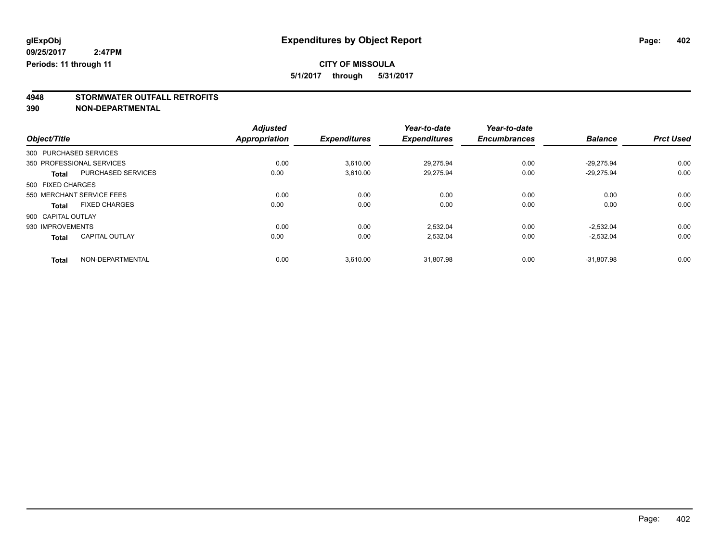## **CITY OF MISSOULA**

**5/1/2017 through 5/31/2017**

# **4948 STORMWATER OUTFALL RETROFITS**

**390 NON-DEPARTMENTAL**

|                    |                           | <b>Adjusted</b> |                     | Year-to-date        | Year-to-date        |                |                  |
|--------------------|---------------------------|-----------------|---------------------|---------------------|---------------------|----------------|------------------|
| Object/Title       |                           | Appropriation   | <b>Expenditures</b> | <b>Expenditures</b> | <b>Encumbrances</b> | <b>Balance</b> | <b>Prct Used</b> |
|                    | 300 PURCHASED SERVICES    |                 |                     |                     |                     |                |                  |
|                    | 350 PROFESSIONAL SERVICES | 0.00            | 3,610.00            | 29,275.94           | 0.00                | $-29.275.94$   | 0.00             |
| <b>Total</b>       | <b>PURCHASED SERVICES</b> | 0.00            | 3.610.00            | 29.275.94           | 0.00                | $-29.275.94$   | 0.00             |
| 500 FIXED CHARGES  |                           |                 |                     |                     |                     |                |                  |
|                    | 550 MERCHANT SERVICE FEES | 0.00            | 0.00                | 0.00                | 0.00                | 0.00           | 0.00             |
| <b>Total</b>       | <b>FIXED CHARGES</b>      | 0.00            | 0.00                | 0.00                | 0.00                | 0.00           | 0.00             |
| 900 CAPITAL OUTLAY |                           |                 |                     |                     |                     |                |                  |
| 930 IMPROVEMENTS   |                           | 0.00            | 0.00                | 2.532.04            | 0.00                | $-2.532.04$    | 0.00             |
| <b>Total</b>       | <b>CAPITAL OUTLAY</b>     | 0.00            | 0.00                | 2,532.04            | 0.00                | $-2,532.04$    | 0.00             |
| <b>Total</b>       | NON-DEPARTMENTAL          | 0.00            | 3,610.00            | 31.807.98           | 0.00                | $-31.807.98$   | 0.00             |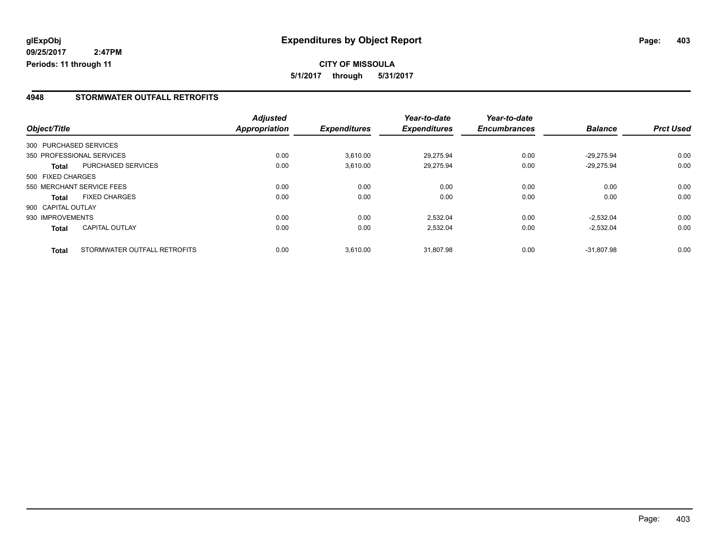#### **4948 STORMWATER OUTFALL RETROFITS**

|                    |                              | <b>Adjusted</b> |                     | Year-to-date        | Year-to-date        |                |                  |
|--------------------|------------------------------|-----------------|---------------------|---------------------|---------------------|----------------|------------------|
| Object/Title       |                              | Appropriation   | <b>Expenditures</b> | <b>Expenditures</b> | <b>Encumbrances</b> | <b>Balance</b> | <b>Prct Used</b> |
|                    | 300 PURCHASED SERVICES       |                 |                     |                     |                     |                |                  |
|                    | 350 PROFESSIONAL SERVICES    | 0.00            | 3.610.00            | 29.275.94           | 0.00                | $-29.275.94$   | 0.00             |
| Total              | <b>PURCHASED SERVICES</b>    | 0.00            | 3,610.00            | 29.275.94           | 0.00                | $-29.275.94$   | 0.00             |
| 500 FIXED CHARGES  |                              |                 |                     |                     |                     |                |                  |
|                    | 550 MERCHANT SERVICE FEES    | 0.00            | 0.00                | 0.00                | 0.00                | 0.00           | 0.00             |
| <b>Total</b>       | <b>FIXED CHARGES</b>         | 0.00            | 0.00                | 0.00                | 0.00                | 0.00           | 0.00             |
| 900 CAPITAL OUTLAY |                              |                 |                     |                     |                     |                |                  |
| 930 IMPROVEMENTS   |                              | 0.00            | 0.00                | 2,532.04            | 0.00                | $-2.532.04$    | 0.00             |
| <b>Total</b>       | <b>CAPITAL OUTLAY</b>        | 0.00            | 0.00                | 2,532.04            | 0.00                | $-2,532.04$    | 0.00             |
| <b>Total</b>       | STORMWATER OUTFALL RETROFITS | 0.00            | 3.610.00            | 31.807.98           | 0.00                | $-31.807.98$   | 0.00             |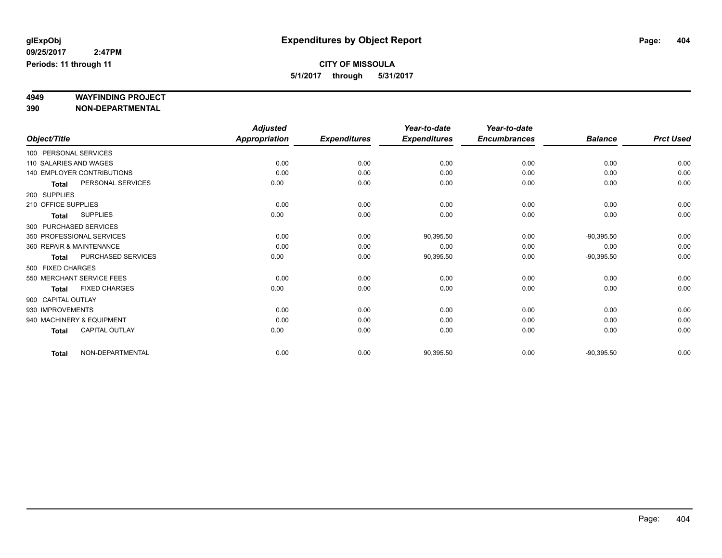# **4949 WAYFINDING PROJECT**

**390 NON-DEPARTMENTAL**

|                     |                            | <b>Adjusted</b>      |                     | Year-to-date        | Year-to-date        |                |                  |
|---------------------|----------------------------|----------------------|---------------------|---------------------|---------------------|----------------|------------------|
| Object/Title        |                            | <b>Appropriation</b> | <b>Expenditures</b> | <b>Expenditures</b> | <b>Encumbrances</b> | <b>Balance</b> | <b>Prct Used</b> |
|                     | 100 PERSONAL SERVICES      |                      |                     |                     |                     |                |                  |
|                     | 110 SALARIES AND WAGES     | 0.00                 | 0.00                | 0.00                | 0.00                | 0.00           | 0.00             |
|                     | 140 EMPLOYER CONTRIBUTIONS | 0.00                 | 0.00                | 0.00                | 0.00                | 0.00           | 0.00             |
| <b>Total</b>        | PERSONAL SERVICES          | 0.00                 | 0.00                | 0.00                | 0.00                | 0.00           | 0.00             |
| 200 SUPPLIES        |                            |                      |                     |                     |                     |                |                  |
| 210 OFFICE SUPPLIES |                            | 0.00                 | 0.00                | 0.00                | 0.00                | 0.00           | 0.00             |
| <b>Total</b>        | <b>SUPPLIES</b>            | 0.00                 | 0.00                | 0.00                | 0.00                | 0.00           | 0.00             |
|                     | 300 PURCHASED SERVICES     |                      |                     |                     |                     |                |                  |
|                     | 350 PROFESSIONAL SERVICES  | 0.00                 | 0.00                | 90,395.50           | 0.00                | $-90,395.50$   | 0.00             |
|                     | 360 REPAIR & MAINTENANCE   | 0.00                 | 0.00                | 0.00                | 0.00                | 0.00           | 0.00             |
| <b>Total</b>        | PURCHASED SERVICES         | 0.00                 | 0.00                | 90,395.50           | 0.00                | $-90,395.50$   | 0.00             |
| 500 FIXED CHARGES   |                            |                      |                     |                     |                     |                |                  |
|                     | 550 MERCHANT SERVICE FEES  | 0.00                 | 0.00                | 0.00                | 0.00                | 0.00           | 0.00             |
| <b>Total</b>        | <b>FIXED CHARGES</b>       | 0.00                 | 0.00                | 0.00                | 0.00                | 0.00           | 0.00             |
| 900 CAPITAL OUTLAY  |                            |                      |                     |                     |                     |                |                  |
| 930 IMPROVEMENTS    |                            | 0.00                 | 0.00                | 0.00                | 0.00                | 0.00           | 0.00             |
|                     | 940 MACHINERY & EQUIPMENT  | 0.00                 | 0.00                | 0.00                | 0.00                | 0.00           | 0.00             |
| <b>Total</b>        | <b>CAPITAL OUTLAY</b>      | 0.00                 | 0.00                | 0.00                | 0.00                | 0.00           | 0.00             |
| <b>Total</b>        | NON-DEPARTMENTAL           | 0.00                 | 0.00                | 90,395.50           | 0.00                | $-90,395.50$   | 0.00             |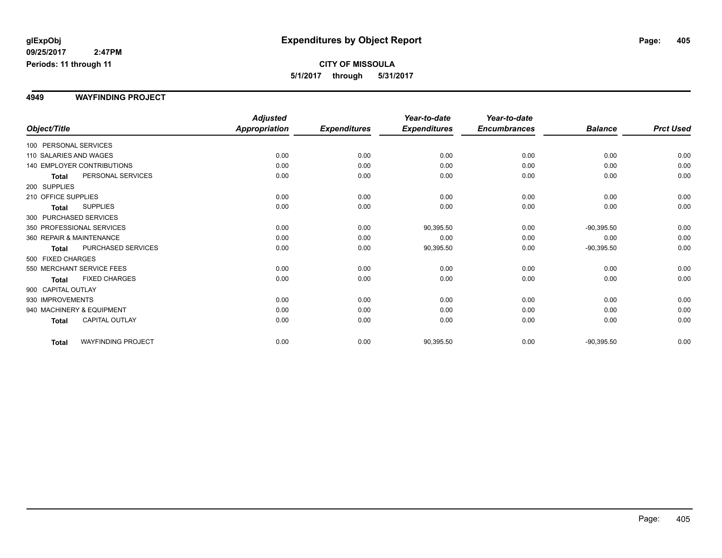#### **4949 WAYFINDING PROJECT**

|                          |                                   | <b>Adjusted</b>      |                     | Year-to-date        | Year-to-date        |                |                  |
|--------------------------|-----------------------------------|----------------------|---------------------|---------------------|---------------------|----------------|------------------|
| Object/Title             |                                   | <b>Appropriation</b> | <b>Expenditures</b> | <b>Expenditures</b> | <b>Encumbrances</b> | <b>Balance</b> | <b>Prct Used</b> |
| 100 PERSONAL SERVICES    |                                   |                      |                     |                     |                     |                |                  |
| 110 SALARIES AND WAGES   |                                   | 0.00                 | 0.00                | 0.00                | 0.00                | 0.00           | 0.00             |
|                          | <b>140 EMPLOYER CONTRIBUTIONS</b> | 0.00                 | 0.00                | 0.00                | 0.00                | 0.00           | 0.00             |
| <b>Total</b>             | PERSONAL SERVICES                 | 0.00                 | 0.00                | 0.00                | 0.00                | 0.00           | 0.00             |
| 200 SUPPLIES             |                                   |                      |                     |                     |                     |                |                  |
| 210 OFFICE SUPPLIES      |                                   | 0.00                 | 0.00                | 0.00                | 0.00                | 0.00           | 0.00             |
| <b>Total</b>             | <b>SUPPLIES</b>                   | 0.00                 | 0.00                | 0.00                | 0.00                | 0.00           | 0.00             |
| 300 PURCHASED SERVICES   |                                   |                      |                     |                     |                     |                |                  |
|                          | 350 PROFESSIONAL SERVICES         | 0.00                 | 0.00                | 90,395.50           | 0.00                | $-90,395.50$   | 0.00             |
| 360 REPAIR & MAINTENANCE |                                   | 0.00                 | 0.00                | 0.00                | 0.00                | 0.00           | 0.00             |
| <b>Total</b>             | PURCHASED SERVICES                | 0.00                 | 0.00                | 90,395.50           | 0.00                | $-90,395.50$   | 0.00             |
| 500 FIXED CHARGES        |                                   |                      |                     |                     |                     |                |                  |
|                          | 550 MERCHANT SERVICE FEES         | 0.00                 | 0.00                | 0.00                | 0.00                | 0.00           | 0.00             |
| <b>Total</b>             | <b>FIXED CHARGES</b>              | 0.00                 | 0.00                | 0.00                | 0.00                | 0.00           | 0.00             |
| 900 CAPITAL OUTLAY       |                                   |                      |                     |                     |                     |                |                  |
| 930 IMPROVEMENTS         |                                   | 0.00                 | 0.00                | 0.00                | 0.00                | 0.00           | 0.00             |
|                          | 940 MACHINERY & EQUIPMENT         | 0.00                 | 0.00                | 0.00                | 0.00                | 0.00           | 0.00             |
| <b>Total</b>             | <b>CAPITAL OUTLAY</b>             | 0.00                 | 0.00                | 0.00                | 0.00                | 0.00           | 0.00             |
| <b>Total</b>             | <b>WAYFINDING PROJECT</b>         | 0.00                 | 0.00                | 90,395.50           | 0.00                | $-90,395.50$   | 0.00             |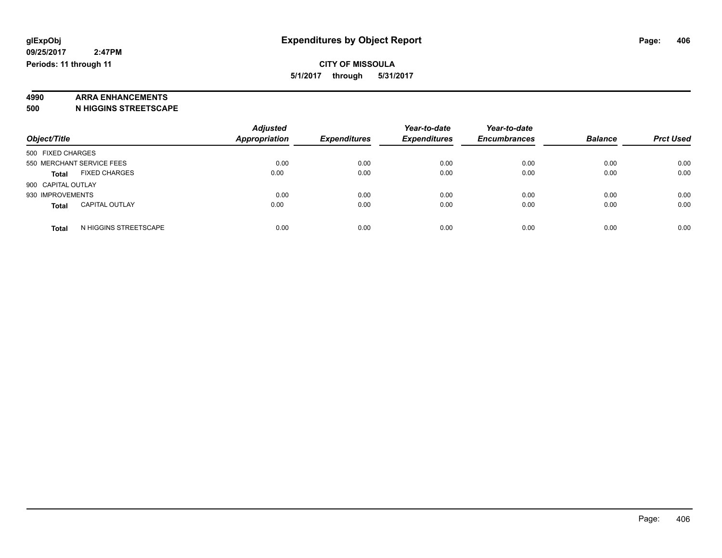# **4990 ARRA ENHANCEMENTS**

**500 N HIGGINS STREETSCAPE**

| Object/Title                          | <b>Adjusted</b><br><b>Appropriation</b> | <b>Expenditures</b> | Year-to-date<br><b>Expenditures</b> | Year-to-date<br><b>Encumbrances</b> | <b>Balance</b> | <b>Prct Used</b> |
|---------------------------------------|-----------------------------------------|---------------------|-------------------------------------|-------------------------------------|----------------|------------------|
| 500 FIXED CHARGES                     |                                         |                     |                                     |                                     |                |                  |
| 550 MERCHANT SERVICE FEES             | 0.00                                    | 0.00                | 0.00                                | 0.00                                | 0.00           | 0.00             |
| <b>FIXED CHARGES</b><br><b>Total</b>  | 0.00                                    | 0.00                | 0.00                                | 0.00                                | 0.00           | 0.00             |
| 900 CAPITAL OUTLAY                    |                                         |                     |                                     |                                     |                |                  |
| 930 IMPROVEMENTS                      | 0.00                                    | 0.00                | 0.00                                | 0.00                                | 0.00           | 0.00             |
| <b>CAPITAL OUTLAY</b><br><b>Total</b> | 0.00                                    | 0.00                | 0.00                                | 0.00                                | 0.00           | 0.00             |
| N HIGGINS STREETSCAPE<br><b>Total</b> | 0.00                                    | 0.00                | 0.00                                | 0.00                                | 0.00           | 0.00             |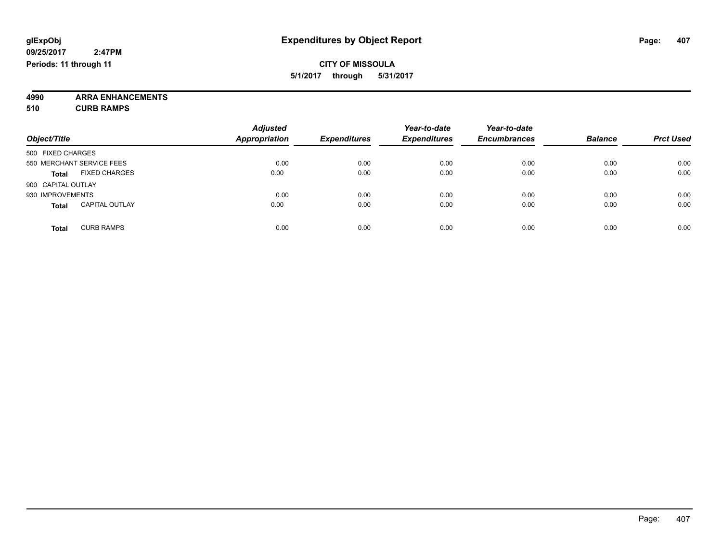**4990 ARRA ENHANCEMENTS 510 CURB RAMPS**

| Object/Title                          | <b>Adjusted</b><br><b>Appropriation</b> | <b>Expenditures</b> | Year-to-date<br><b>Expenditures</b> | Year-to-date<br><b>Encumbrances</b> | <b>Balance</b> | <b>Prct Used</b> |
|---------------------------------------|-----------------------------------------|---------------------|-------------------------------------|-------------------------------------|----------------|------------------|
| 500 FIXED CHARGES                     |                                         |                     |                                     |                                     |                |                  |
| 550 MERCHANT SERVICE FEES             | 0.00                                    | 0.00                | 0.00                                | 0.00                                | 0.00           | 0.00             |
| <b>FIXED CHARGES</b><br><b>Total</b>  | 0.00                                    | 0.00                | 0.00                                | 0.00                                | 0.00           | 0.00             |
| 900 CAPITAL OUTLAY                    |                                         |                     |                                     |                                     |                |                  |
| 930 IMPROVEMENTS                      | 0.00                                    | 0.00                | 0.00                                | 0.00                                | 0.00           | 0.00             |
| <b>CAPITAL OUTLAY</b><br><b>Total</b> | 0.00                                    | 0.00                | 0.00                                | 0.00                                | 0.00           | 0.00             |
| <b>CURB RAMPS</b><br><b>Total</b>     | 0.00                                    | 0.00                | 0.00                                | 0.00                                | 0.00           | 0.00             |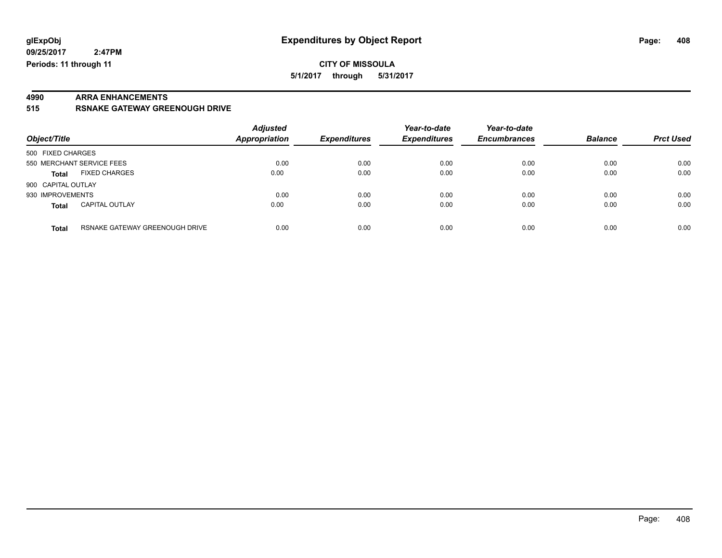#### **CITY OF MISSOULA 5/1/2017 through 5/31/2017**

# **4990 ARRA ENHANCEMENTS**

**515 RSNAKE GATEWAY GREENOUGH DRIVE**

| Object/Title                                   | <b>Adjusted</b><br><b>Appropriation</b> | <b>Expenditures</b> | Year-to-date<br><b>Expenditures</b> | Year-to-date<br><b>Encumbrances</b> | <b>Balance</b> | <b>Prct Used</b> |
|------------------------------------------------|-----------------------------------------|---------------------|-------------------------------------|-------------------------------------|----------------|------------------|
| 500 FIXED CHARGES                              |                                         |                     |                                     |                                     |                |                  |
| 550 MERCHANT SERVICE FEES                      | 0.00                                    | 0.00                | 0.00                                | 0.00                                | 0.00           | 0.00             |
| <b>FIXED CHARGES</b><br><b>Total</b>           | 0.00                                    | 0.00                | 0.00                                | 0.00                                | 0.00           | 0.00             |
| 900 CAPITAL OUTLAY                             |                                         |                     |                                     |                                     |                |                  |
| 930 IMPROVEMENTS                               | 0.00                                    | 0.00                | 0.00                                | 0.00                                | 0.00           | 0.00             |
| <b>CAPITAL OUTLAY</b><br><b>Total</b>          | 0.00                                    | 0.00                | 0.00                                | 0.00                                | 0.00           | 0.00             |
| RSNAKE GATEWAY GREENOUGH DRIVE<br><b>Total</b> | 0.00                                    | 0.00                | 0.00                                | 0.00                                | 0.00           | 0.00             |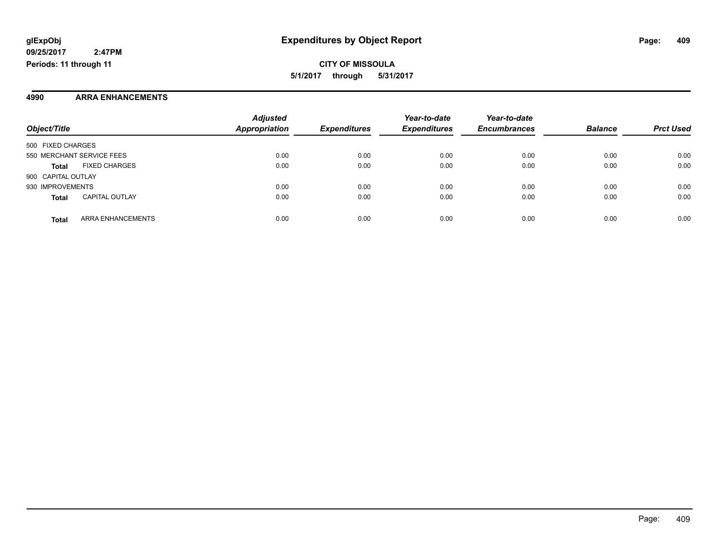#### **4990 ARRA ENHANCEMENTS**

|                           |                          | <b>Adjusted</b>      |                     | Year-to-date        | Year-to-date        |                |                  |
|---------------------------|--------------------------|----------------------|---------------------|---------------------|---------------------|----------------|------------------|
| Object/Title              |                          | <b>Appropriation</b> | <b>Expenditures</b> | <b>Expenditures</b> | <b>Encumbrances</b> | <b>Balance</b> | <b>Prct Used</b> |
| 500 FIXED CHARGES         |                          |                      |                     |                     |                     |                |                  |
| 550 MERCHANT SERVICE FEES |                          | 0.00                 | 0.00                | 0.00                | 0.00                | 0.00           | 0.00             |
| <b>Total</b>              | <b>FIXED CHARGES</b>     | 0.00                 | 0.00                | 0.00                | 0.00                | 0.00           | 0.00             |
| 900 CAPITAL OUTLAY        |                          |                      |                     |                     |                     |                |                  |
| 930 IMPROVEMENTS          |                          | 0.00                 | 0.00                | 0.00                | 0.00                | 0.00           | 0.00             |
| <b>Total</b>              | <b>CAPITAL OUTLAY</b>    | 0.00                 | 0.00                | 0.00                | 0.00                | 0.00           | 0.00             |
| <b>Total</b>              | <b>ARRA ENHANCEMENTS</b> | 0.00                 | 0.00                | 0.00                | 0.00                | 0.00           | 0.00             |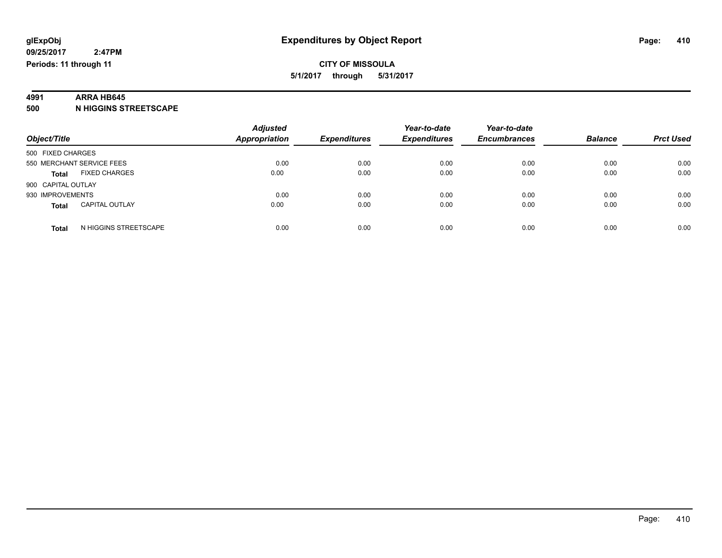### **4991 ARRA HB645**

**500 N HIGGINS STREETSCAPE**

| Object/Title                          | <b>Adjusted</b><br><b>Appropriation</b> | <b>Expenditures</b> | Year-to-date<br><b>Expenditures</b> | Year-to-date<br><b>Encumbrances</b> | <b>Balance</b> | <b>Prct Used</b> |
|---------------------------------------|-----------------------------------------|---------------------|-------------------------------------|-------------------------------------|----------------|------------------|
| 500 FIXED CHARGES                     |                                         |                     |                                     |                                     |                |                  |
| 550 MERCHANT SERVICE FEES             | 0.00                                    | 0.00                | 0.00                                | 0.00                                | 0.00           | 0.00             |
| <b>FIXED CHARGES</b><br><b>Total</b>  | 0.00                                    | 0.00                | 0.00                                | 0.00                                | 0.00           | 0.00             |
| 900 CAPITAL OUTLAY                    |                                         |                     |                                     |                                     |                |                  |
| 930 IMPROVEMENTS                      | 0.00                                    | 0.00                | 0.00                                | 0.00                                | 0.00           | 0.00             |
| <b>CAPITAL OUTLAY</b><br><b>Total</b> | 0.00                                    | 0.00                | 0.00                                | 0.00                                | 0.00           | 0.00             |
| N HIGGINS STREETSCAPE<br>Total        | 0.00                                    | 0.00                | 0.00                                | 0.00                                | 0.00           | 0.00             |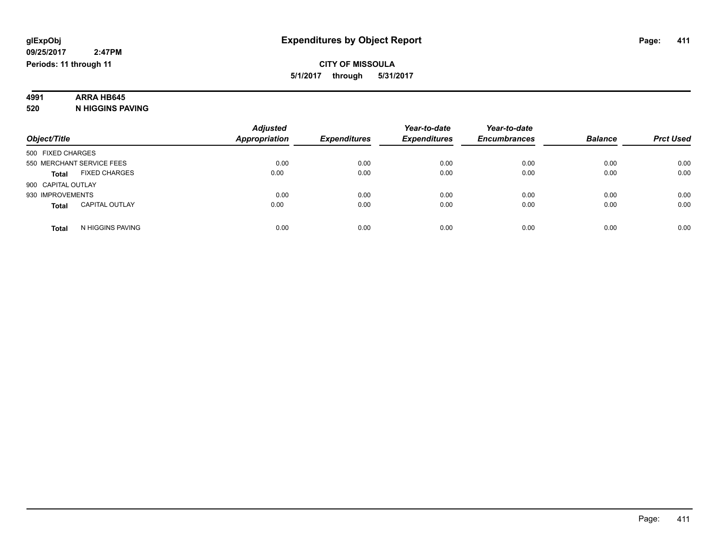# **4991 ARRA HB645**

**520 N HIGGINS PAVING**

|                                       | <b>Adjusted</b>      |                     | Year-to-date        | Year-to-date        |                |                  |
|---------------------------------------|----------------------|---------------------|---------------------|---------------------|----------------|------------------|
| Object/Title                          | <b>Appropriation</b> | <b>Expenditures</b> | <b>Expenditures</b> | <b>Encumbrances</b> | <b>Balance</b> | <b>Prct Used</b> |
| 500 FIXED CHARGES                     |                      |                     |                     |                     |                |                  |
| 550 MERCHANT SERVICE FEES             | 0.00                 | 0.00                | 0.00                | 0.00                | 0.00           | 0.00             |
| <b>FIXED CHARGES</b><br><b>Total</b>  | 0.00                 | 0.00                | 0.00                | 0.00                | 0.00           | 0.00             |
| 900 CAPITAL OUTLAY                    |                      |                     |                     |                     |                |                  |
| 930 IMPROVEMENTS                      | 0.00                 | 0.00                | 0.00                | 0.00                | 0.00           | 0.00             |
| <b>CAPITAL OUTLAY</b><br><b>Total</b> | 0.00                 | 0.00                | 0.00                | 0.00                | 0.00           | 0.00             |
| N HIGGINS PAVING<br><b>Total</b>      | 0.00                 | 0.00                | 0.00                | 0.00                | 0.00           | 0.00             |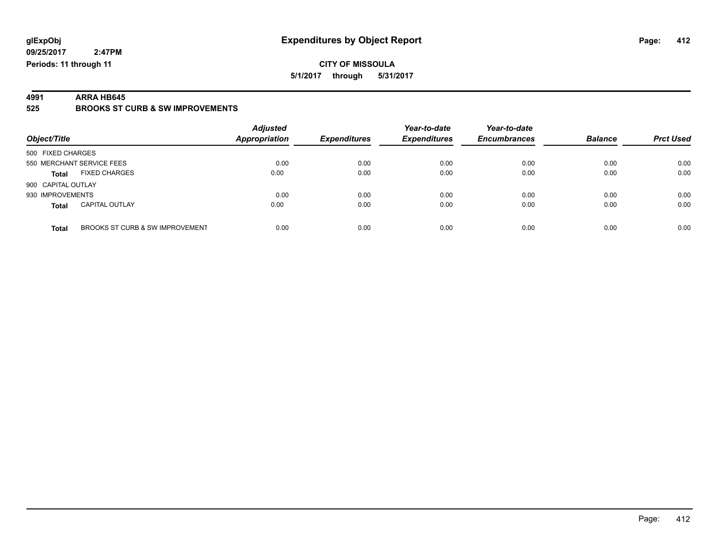#### **CITY OF MISSOULA 5/1/2017 through 5/31/2017**

**4991 ARRA HB645 525 BROOKS ST CURB & SW IMPROVEMENTS**

| Object/Title              |                                 | <b>Adjusted</b><br><b>Appropriation</b> | <b>Expenditures</b> | Year-to-date<br><b>Expenditures</b> | Year-to-date<br><b>Encumbrances</b> | <b>Balance</b> | <b>Prct Used</b> |
|---------------------------|---------------------------------|-----------------------------------------|---------------------|-------------------------------------|-------------------------------------|----------------|------------------|
| 500 FIXED CHARGES         |                                 |                                         |                     |                                     |                                     |                |                  |
| 550 MERCHANT SERVICE FEES |                                 | 0.00                                    | 0.00                | 0.00                                | 0.00                                | 0.00           | 0.00             |
| <b>Total</b>              | <b>FIXED CHARGES</b>            | 0.00                                    | 0.00                | 0.00                                | 0.00                                | 0.00           | 0.00             |
| 900 CAPITAL OUTLAY        |                                 |                                         |                     |                                     |                                     |                |                  |
| 930 IMPROVEMENTS          |                                 | 0.00                                    | 0.00                | 0.00                                | 0.00                                | 0.00           | 0.00             |
| <b>Total</b>              | <b>CAPITAL OUTLAY</b>           | 0.00                                    | 0.00                | 0.00                                | 0.00                                | 0.00           | 0.00             |
| <b>Total</b>              | BROOKS ST CURB & SW IMPROVEMENT | 0.00                                    | 0.00                | 0.00                                | 0.00                                | 0.00           | 0.00             |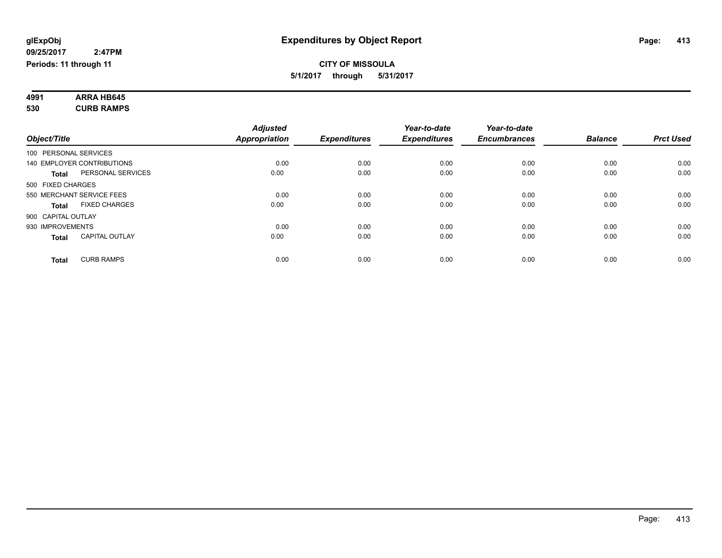#### **4991 ARRA HB645 530 CURB RAMPS**

| Object/Title |                                       | <b>Adjusted</b><br><b>Appropriation</b> | <b>Expenditures</b> | Year-to-date<br><b>Expenditures</b> | Year-to-date<br><b>Encumbrances</b> | <b>Balance</b> | <b>Prct Used</b> |
|--------------|---------------------------------------|-----------------------------------------|---------------------|-------------------------------------|-------------------------------------|----------------|------------------|
|              | 100 PERSONAL SERVICES                 |                                         |                     |                                     |                                     |                |                  |
|              | <b>140 EMPLOYER CONTRIBUTIONS</b>     | 0.00                                    | 0.00                | 0.00                                | 0.00                                | 0.00           | 0.00             |
|              | PERSONAL SERVICES<br><b>Total</b>     | 0.00                                    | 0.00                | 0.00                                | 0.00                                | 0.00           | 0.00             |
|              | 500 FIXED CHARGES                     |                                         |                     |                                     |                                     |                |                  |
|              | 550 MERCHANT SERVICE FEES             | 0.00                                    | 0.00                | 0.00                                | 0.00                                | 0.00           | 0.00             |
|              | <b>FIXED CHARGES</b><br><b>Total</b>  | 0.00                                    | 0.00                | 0.00                                | 0.00                                | 0.00           | 0.00             |
|              | 900 CAPITAL OUTLAY                    |                                         |                     |                                     |                                     |                |                  |
|              | 930 IMPROVEMENTS                      | 0.00                                    | 0.00                | 0.00                                | 0.00                                | 0.00           | 0.00             |
|              | <b>CAPITAL OUTLAY</b><br><b>Total</b> | 0.00                                    | 0.00                | 0.00                                | 0.00                                | 0.00           | 0.00             |
|              |                                       |                                         |                     |                                     |                                     |                |                  |
|              | <b>CURB RAMPS</b><br><b>Total</b>     | 0.00                                    | 0.00                | 0.00                                | 0.00                                | 0.00           | 0.00             |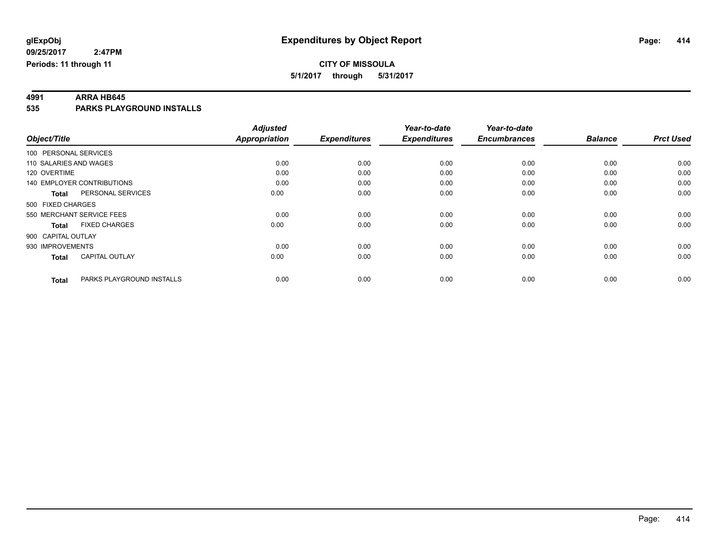**4991 ARRA HB645 535 PARKS PLAYGROUND INSTALLS**

|                        |                                   | <b>Adjusted</b> |                     | Year-to-date        | Year-to-date        |                |                  |
|------------------------|-----------------------------------|-----------------|---------------------|---------------------|---------------------|----------------|------------------|
| Object/Title           |                                   | Appropriation   | <b>Expenditures</b> | <b>Expenditures</b> | <b>Encumbrances</b> | <b>Balance</b> | <b>Prct Used</b> |
| 100 PERSONAL SERVICES  |                                   |                 |                     |                     |                     |                |                  |
| 110 SALARIES AND WAGES |                                   | 0.00            | 0.00                | 0.00                | 0.00                | 0.00           | 0.00             |
| 120 OVERTIME           |                                   | 0.00            | 0.00                | 0.00                | 0.00                | 0.00           | 0.00             |
|                        | <b>140 EMPLOYER CONTRIBUTIONS</b> | 0.00            | 0.00                | 0.00                | 0.00                | 0.00           | 0.00             |
| <b>Total</b>           | PERSONAL SERVICES                 | 0.00            | 0.00                | 0.00                | 0.00                | 0.00           | 0.00             |
| 500 FIXED CHARGES      |                                   |                 |                     |                     |                     |                |                  |
|                        | 550 MERCHANT SERVICE FEES         | 0.00            | 0.00                | 0.00                | 0.00                | 0.00           | 0.00             |
| <b>Total</b>           | <b>FIXED CHARGES</b>              | 0.00            | 0.00                | 0.00                | 0.00                | 0.00           | 0.00             |
| 900 CAPITAL OUTLAY     |                                   |                 |                     |                     |                     |                |                  |
| 930 IMPROVEMENTS       |                                   | 0.00            | 0.00                | 0.00                | 0.00                | 0.00           | 0.00             |
| <b>Total</b>           | <b>CAPITAL OUTLAY</b>             | 0.00            | 0.00                | 0.00                | 0.00                | 0.00           | 0.00             |
| <b>Total</b>           | PARKS PLAYGROUND INSTALLS         | 0.00            | 0.00                | 0.00                | 0.00                | 0.00           | 0.00             |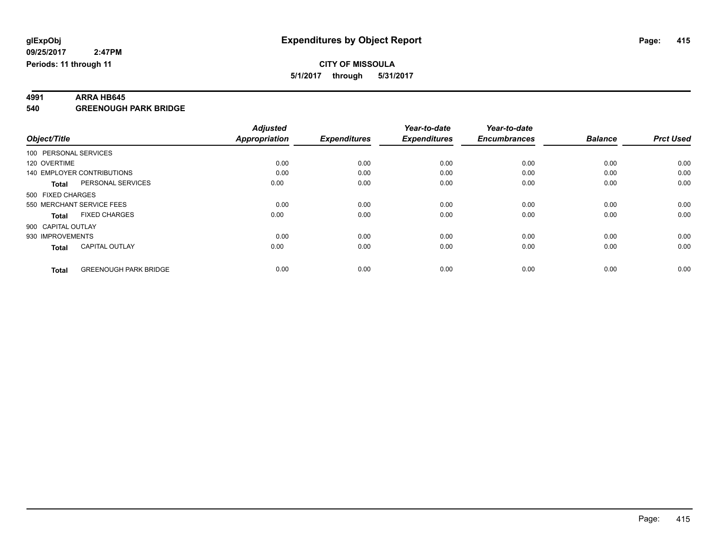**4991 ARRA HB645 540 GREENOUGH PARK BRIDGE**

|                       |                                   | <b>Adjusted</b>      |                     | Year-to-date        | Year-to-date        |                |                  |
|-----------------------|-----------------------------------|----------------------|---------------------|---------------------|---------------------|----------------|------------------|
| Object/Title          |                                   | <b>Appropriation</b> | <b>Expenditures</b> | <b>Expenditures</b> | <b>Encumbrances</b> | <b>Balance</b> | <b>Prct Used</b> |
| 100 PERSONAL SERVICES |                                   |                      |                     |                     |                     |                |                  |
| 120 OVERTIME          |                                   | 0.00                 | 0.00                | 0.00                | 0.00                | 0.00           | 0.00             |
|                       | <b>140 EMPLOYER CONTRIBUTIONS</b> | 0.00                 | 0.00                | 0.00                | 0.00                | 0.00           | 0.00             |
| <b>Total</b>          | PERSONAL SERVICES                 | 0.00                 | 0.00                | 0.00                | 0.00                | 0.00           | 0.00             |
| 500 FIXED CHARGES     |                                   |                      |                     |                     |                     |                |                  |
|                       | 550 MERCHANT SERVICE FEES         | 0.00                 | 0.00                | 0.00                | 0.00                | 0.00           | 0.00             |
| <b>Total</b>          | <b>FIXED CHARGES</b>              | 0.00                 | 0.00                | 0.00                | 0.00                | 0.00           | 0.00             |
| 900 CAPITAL OUTLAY    |                                   |                      |                     |                     |                     |                |                  |
| 930 IMPROVEMENTS      |                                   | 0.00                 | 0.00                | 0.00                | 0.00                | 0.00           | 0.00             |
| <b>Total</b>          | <b>CAPITAL OUTLAY</b>             | 0.00                 | 0.00                | 0.00                | 0.00                | 0.00           | 0.00             |
|                       |                                   |                      |                     |                     |                     |                |                  |
| <b>Total</b>          | <b>GREENOUGH PARK BRIDGE</b>      | 0.00                 | 0.00                | 0.00                | 0.00                | 0.00           | 0.00             |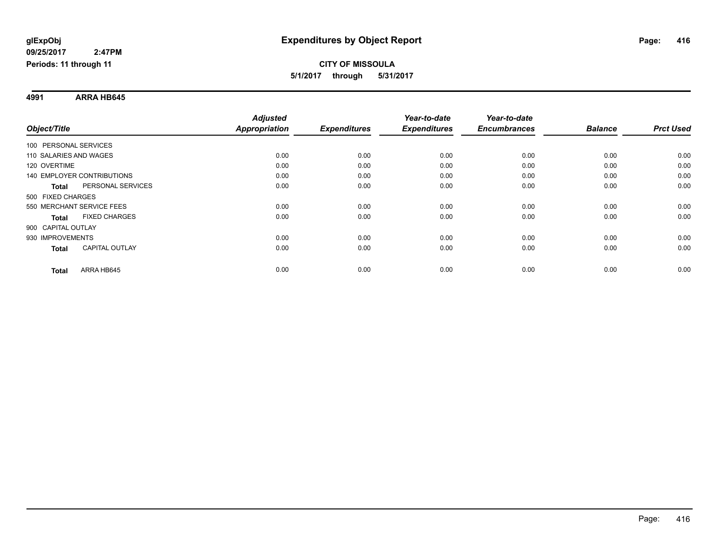**4991 ARRA HB645**

|                                       | <b>Adjusted</b>      |                     | Year-to-date        | Year-to-date        |                |                  |
|---------------------------------------|----------------------|---------------------|---------------------|---------------------|----------------|------------------|
| Object/Title                          | <b>Appropriation</b> | <b>Expenditures</b> | <b>Expenditures</b> | <b>Encumbrances</b> | <b>Balance</b> | <b>Prct Used</b> |
| 100 PERSONAL SERVICES                 |                      |                     |                     |                     |                |                  |
| 110 SALARIES AND WAGES                | 0.00                 | 0.00                | 0.00                | 0.00                | 0.00           | 0.00             |
| 120 OVERTIME                          | 0.00                 | 0.00                | 0.00                | 0.00                | 0.00           | 0.00             |
| <b>140 EMPLOYER CONTRIBUTIONS</b>     | 0.00                 | 0.00                | 0.00                | 0.00                | 0.00           | 0.00             |
| PERSONAL SERVICES<br><b>Total</b>     | 0.00                 | 0.00                | 0.00                | 0.00                | 0.00           | 0.00             |
| 500 FIXED CHARGES                     |                      |                     |                     |                     |                |                  |
| 550 MERCHANT SERVICE FEES             | 0.00                 | 0.00                | 0.00                | 0.00                | 0.00           | 0.00             |
| <b>FIXED CHARGES</b><br><b>Total</b>  | 0.00                 | 0.00                | 0.00                | 0.00                | 0.00           | 0.00             |
| 900 CAPITAL OUTLAY                    |                      |                     |                     |                     |                |                  |
| 930 IMPROVEMENTS                      | 0.00                 | 0.00                | 0.00                | 0.00                | 0.00           | 0.00             |
| <b>CAPITAL OUTLAY</b><br><b>Total</b> | 0.00                 | 0.00                | 0.00                | 0.00                | 0.00           | 0.00             |
| ARRA HB645<br><b>Total</b>            | 0.00                 | 0.00                | 0.00                | 0.00                | 0.00           | 0.00             |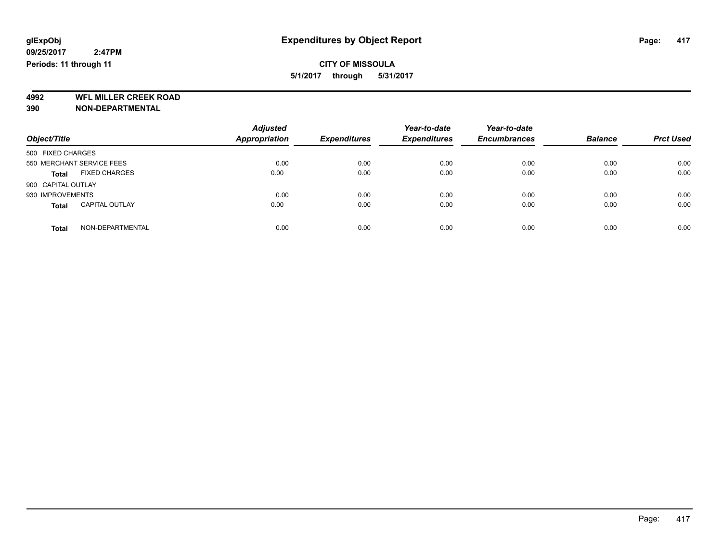**4992 WFL MILLER CREEK ROAD 390 NON-DEPARTMENTAL**

| Object/Title                          | <b>Adjusted</b><br><b>Appropriation</b> | <b>Expenditures</b> | Year-to-date<br><b>Expenditures</b> | Year-to-date<br><b>Encumbrances</b> | <b>Balance</b> | <b>Prct Used</b> |
|---------------------------------------|-----------------------------------------|---------------------|-------------------------------------|-------------------------------------|----------------|------------------|
| 500 FIXED CHARGES                     |                                         |                     |                                     |                                     |                |                  |
| 550 MERCHANT SERVICE FEES             | 0.00                                    | 0.00                | 0.00                                | 0.00                                | 0.00           | 0.00             |
| <b>FIXED CHARGES</b><br><b>Total</b>  | 0.00                                    | 0.00                | 0.00                                | 0.00                                | 0.00           | 0.00             |
| 900 CAPITAL OUTLAY                    |                                         |                     |                                     |                                     |                |                  |
| 930 IMPROVEMENTS                      | 0.00                                    | 0.00                | 0.00                                | 0.00                                | 0.00           | 0.00             |
| <b>CAPITAL OUTLAY</b><br><b>Total</b> | 0.00                                    | 0.00                | 0.00                                | 0.00                                | 0.00           | 0.00             |
| NON-DEPARTMENTAL<br>Total             | 0.00                                    | 0.00                | 0.00                                | 0.00                                | 0.00           | 0.00             |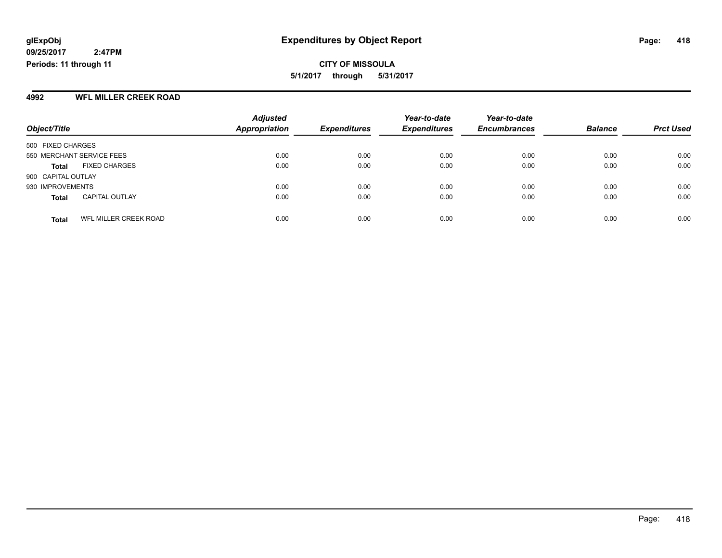**CITY OF MISSOULA 5/1/2017 through 5/31/2017**

#### **4992 WFL MILLER CREEK ROAD**

|                                       | <b>Adjusted</b>      |                     | Year-to-date        | Year-to-date        |                |                  |
|---------------------------------------|----------------------|---------------------|---------------------|---------------------|----------------|------------------|
| Object/Title                          | <b>Appropriation</b> | <b>Expenditures</b> | <b>Expenditures</b> | <b>Encumbrances</b> | <b>Balance</b> | <b>Prct Used</b> |
| 500 FIXED CHARGES                     |                      |                     |                     |                     |                |                  |
| 550 MERCHANT SERVICE FEES             | 0.00                 | 0.00                | 0.00                | 0.00                | 0.00           | 0.00             |
| <b>FIXED CHARGES</b><br>Total         | 0.00                 | 0.00                | 0.00                | 0.00                | 0.00           | 0.00             |
| 900 CAPITAL OUTLAY                    |                      |                     |                     |                     |                |                  |
| 930 IMPROVEMENTS                      | 0.00                 | 0.00                | 0.00                | 0.00                | 0.00           | 0.00             |
| <b>CAPITAL OUTLAY</b><br><b>Total</b> | 0.00                 | 0.00                | 0.00                | 0.00                | 0.00           | 0.00             |
| WFL MILLER CREEK ROAD<br><b>Total</b> | 0.00                 | 0.00                | 0.00                | 0.00                | 0.00           | 0.00             |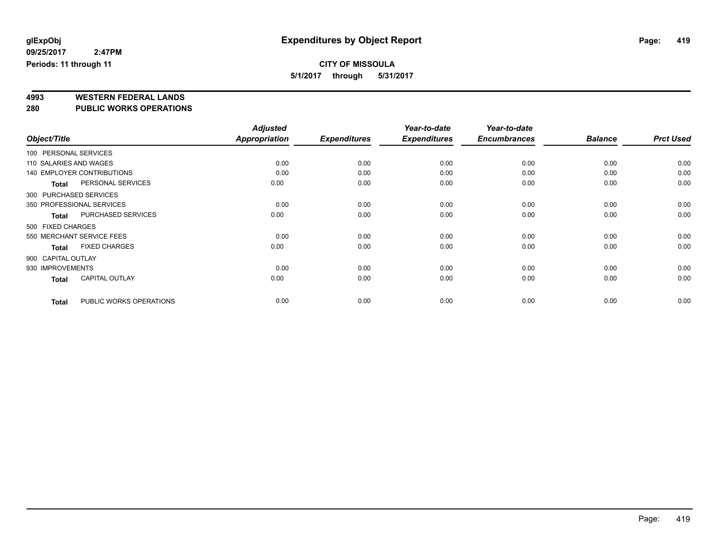## **CITY OF MISSOULA**

**5/1/2017 through 5/31/2017**

# **4993 WESTERN FEDERAL LANDS**

**280 PUBLIC WORKS OPERATIONS**

|                        |                                   | <b>Adjusted</b>      |                     | Year-to-date        | Year-to-date        |                |                  |
|------------------------|-----------------------------------|----------------------|---------------------|---------------------|---------------------|----------------|------------------|
| Object/Title           |                                   | <b>Appropriation</b> | <b>Expenditures</b> | <b>Expenditures</b> | <b>Encumbrances</b> | <b>Balance</b> | <b>Prct Used</b> |
| 100 PERSONAL SERVICES  |                                   |                      |                     |                     |                     |                |                  |
| 110 SALARIES AND WAGES |                                   | 0.00                 | 0.00                | 0.00                | 0.00                | 0.00           | 0.00             |
|                        | <b>140 EMPLOYER CONTRIBUTIONS</b> | 0.00                 | 0.00                | 0.00                | 0.00                | 0.00           | 0.00             |
| <b>Total</b>           | PERSONAL SERVICES                 | 0.00                 | 0.00                | 0.00                | 0.00                | 0.00           | 0.00             |
| 300 PURCHASED SERVICES |                                   |                      |                     |                     |                     |                |                  |
|                        | 350 PROFESSIONAL SERVICES         | 0.00                 | 0.00                | 0.00                | 0.00                | 0.00           | 0.00             |
| Total                  | PURCHASED SERVICES                | 0.00                 | 0.00                | 0.00                | 0.00                | 0.00           | 0.00             |
| 500 FIXED CHARGES      |                                   |                      |                     |                     |                     |                |                  |
|                        | 550 MERCHANT SERVICE FEES         | 0.00                 | 0.00                | 0.00                | 0.00                | 0.00           | 0.00             |
| <b>Total</b>           | <b>FIXED CHARGES</b>              | 0.00                 | 0.00                | 0.00                | 0.00                | 0.00           | 0.00             |
| 900 CAPITAL OUTLAY     |                                   |                      |                     |                     |                     |                |                  |
| 930 IMPROVEMENTS       |                                   | 0.00                 | 0.00                | 0.00                | 0.00                | 0.00           | 0.00             |
| <b>Total</b>           | <b>CAPITAL OUTLAY</b>             | 0.00                 | 0.00                | 0.00                | 0.00                | 0.00           | 0.00             |
| <b>Total</b>           | PUBLIC WORKS OPERATIONS           | 0.00                 | 0.00                | 0.00                | 0.00                | 0.00           | 0.00             |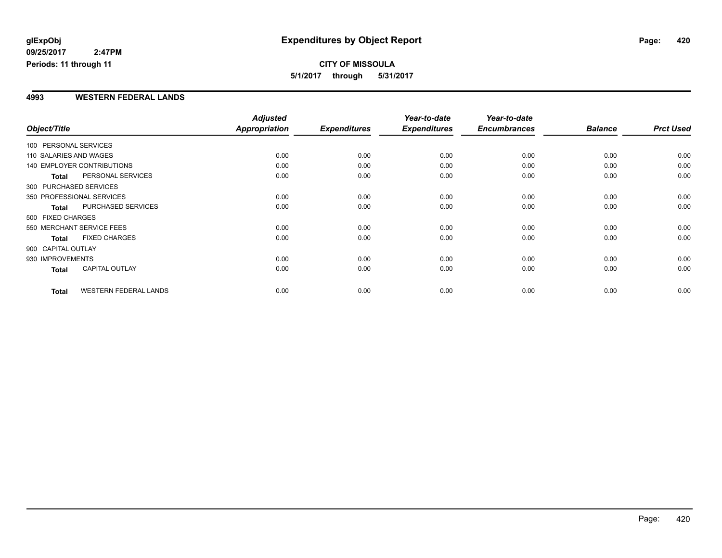**CITY OF MISSOULA 5/1/2017 through 5/31/2017**

#### **4993 WESTERN FEDERAL LANDS**

|                        |                              | <b>Adjusted</b>      |                     | Year-to-date        | Year-to-date        |                |                  |
|------------------------|------------------------------|----------------------|---------------------|---------------------|---------------------|----------------|------------------|
| Object/Title           |                              | <b>Appropriation</b> | <b>Expenditures</b> | <b>Expenditures</b> | <b>Encumbrances</b> | <b>Balance</b> | <b>Prct Used</b> |
| 100 PERSONAL SERVICES  |                              |                      |                     |                     |                     |                |                  |
| 110 SALARIES AND WAGES |                              | 0.00                 | 0.00                | 0.00                | 0.00                | 0.00           | 0.00             |
|                        | 140 EMPLOYER CONTRIBUTIONS   | 0.00                 | 0.00                | 0.00                | 0.00                | 0.00           | 0.00             |
| <b>Total</b>           | PERSONAL SERVICES            | 0.00                 | 0.00                | 0.00                | 0.00                | 0.00           | 0.00             |
| 300 PURCHASED SERVICES |                              |                      |                     |                     |                     |                |                  |
|                        | 350 PROFESSIONAL SERVICES    | 0.00                 | 0.00                | 0.00                | 0.00                | 0.00           | 0.00             |
| <b>Total</b>           | PURCHASED SERVICES           | 0.00                 | 0.00                | 0.00                | 0.00                | 0.00           | 0.00             |
| 500 FIXED CHARGES      |                              |                      |                     |                     |                     |                |                  |
|                        | 550 MERCHANT SERVICE FEES    | 0.00                 | 0.00                | 0.00                | 0.00                | 0.00           | 0.00             |
| <b>Total</b>           | <b>FIXED CHARGES</b>         | 0.00                 | 0.00                | 0.00                | 0.00                | 0.00           | 0.00             |
| 900 CAPITAL OUTLAY     |                              |                      |                     |                     |                     |                |                  |
| 930 IMPROVEMENTS       |                              | 0.00                 | 0.00                | 0.00                | 0.00                | 0.00           | 0.00             |
| Total                  | <b>CAPITAL OUTLAY</b>        | 0.00                 | 0.00                | 0.00                | 0.00                | 0.00           | 0.00             |
| <b>Total</b>           | <b>WESTERN FEDERAL LANDS</b> | 0.00                 | 0.00                | 0.00                | 0.00                | 0.00           | 0.00             |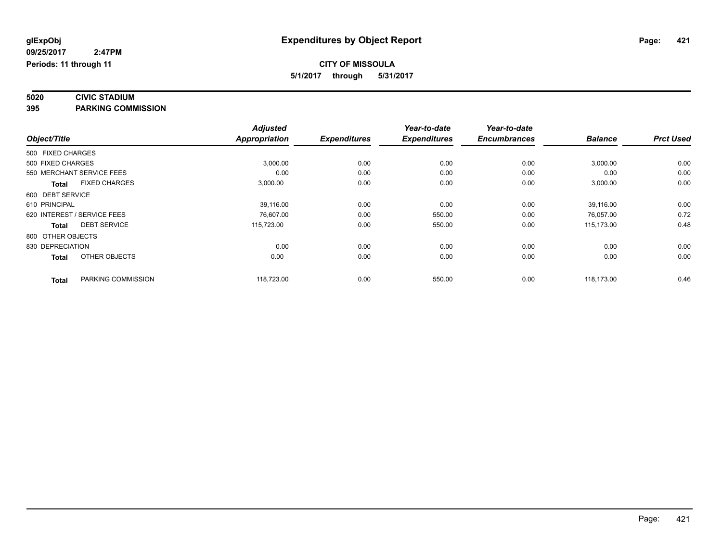# **5020 CIVIC STADIUM**

**395 PARKING COMMISSION**

|                   |                             | <b>Adjusted</b> |                     | Year-to-date        | Year-to-date        |                |                  |
|-------------------|-----------------------------|-----------------|---------------------|---------------------|---------------------|----------------|------------------|
| Object/Title      |                             | Appropriation   | <b>Expenditures</b> | <b>Expenditures</b> | <b>Encumbrances</b> | <b>Balance</b> | <b>Prct Used</b> |
| 500 FIXED CHARGES |                             |                 |                     |                     |                     |                |                  |
| 500 FIXED CHARGES |                             | 3,000.00        | 0.00                | 0.00                | 0.00                | 3,000.00       | 0.00             |
|                   | 550 MERCHANT SERVICE FEES   | 0.00            | 0.00                | 0.00                | 0.00                | 0.00           | 0.00             |
| <b>Total</b>      | <b>FIXED CHARGES</b>        | 3,000.00        | 0.00                | 0.00                | 0.00                | 3,000.00       | 0.00             |
| 600 DEBT SERVICE  |                             |                 |                     |                     |                     |                |                  |
| 610 PRINCIPAL     |                             | 39,116.00       | 0.00                | 0.00                | 0.00                | 39,116.00      | 0.00             |
|                   | 620 INTEREST / SERVICE FEES | 76,607.00       | 0.00                | 550.00              | 0.00                | 76,057.00      | 0.72             |
| <b>Total</b>      | <b>DEBT SERVICE</b>         | 115,723.00      | 0.00                | 550.00              | 0.00                | 115.173.00     | 0.48             |
| 800 OTHER OBJECTS |                             |                 |                     |                     |                     |                |                  |
| 830 DEPRECIATION  |                             | 0.00            | 0.00                | 0.00                | 0.00                | 0.00           | 0.00             |
| <b>Total</b>      | OTHER OBJECTS               | 0.00            | 0.00                | 0.00                | 0.00                | 0.00           | 0.00             |
| <b>Total</b>      | PARKING COMMISSION          | 118,723.00      | 0.00                | 550.00              | 0.00                | 118,173.00     | 0.46             |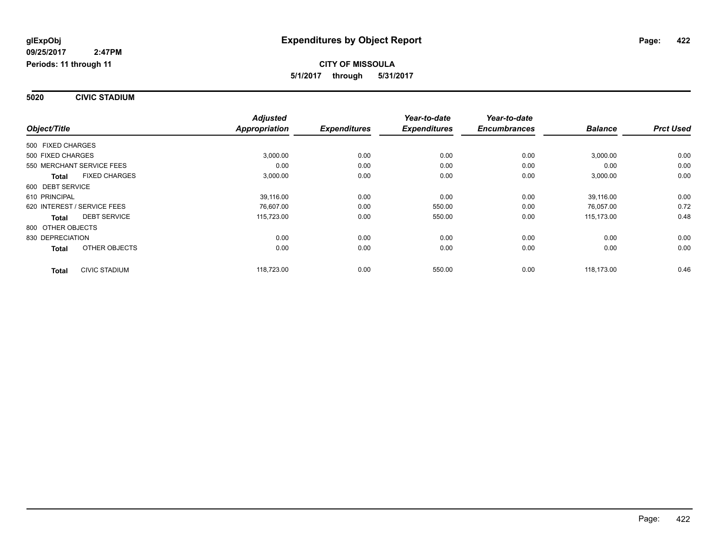**5020 CIVIC STADIUM**

|                                      | <b>Adjusted</b>      |                     | Year-to-date        | Year-to-date        |                |                  |
|--------------------------------------|----------------------|---------------------|---------------------|---------------------|----------------|------------------|
| Object/Title                         | <b>Appropriation</b> | <b>Expenditures</b> | <b>Expenditures</b> | <b>Encumbrances</b> | <b>Balance</b> | <b>Prct Used</b> |
| 500 FIXED CHARGES                    |                      |                     |                     |                     |                |                  |
| 500 FIXED CHARGES                    | 3,000.00             | 0.00                | 0.00                | 0.00                | 3,000.00       | 0.00             |
| 550 MERCHANT SERVICE FEES            | 0.00                 | 0.00                | 0.00                | 0.00                | 0.00           | 0.00             |
| <b>FIXED CHARGES</b><br><b>Total</b> | 3,000.00             | 0.00                | 0.00                | 0.00                | 3,000.00       | 0.00             |
| 600 DEBT SERVICE                     |                      |                     |                     |                     |                |                  |
| 610 PRINCIPAL                        | 39,116.00            | 0.00                | 0.00                | 0.00                | 39,116.00      | 0.00             |
| 620 INTEREST / SERVICE FEES          | 76.607.00            | 0.00                | 550.00              | 0.00                | 76.057.00      | 0.72             |
| <b>DEBT SERVICE</b><br>Total         | 115,723.00           | 0.00                | 550.00              | 0.00                | 115,173.00     | 0.48             |
| 800 OTHER OBJECTS                    |                      |                     |                     |                     |                |                  |
| 830 DEPRECIATION                     | 0.00                 | 0.00                | 0.00                | 0.00                | 0.00           | 0.00             |
| OTHER OBJECTS<br><b>Total</b>        | 0.00                 | 0.00                | 0.00                | 0.00                | 0.00           | 0.00             |
| <b>CIVIC STADIUM</b><br><b>Total</b> | 118,723.00           | 0.00                | 550.00              | 0.00                | 118,173.00     | 0.46             |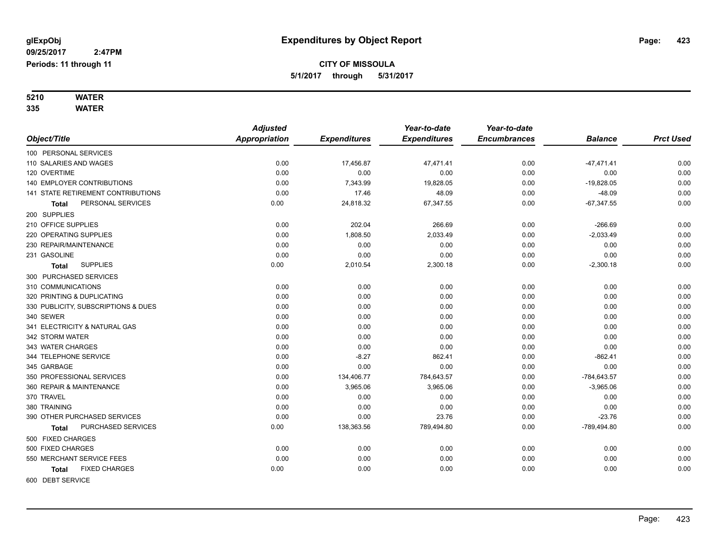# **5210 WATER**

**335 WATER**

|                                      | <b>Adjusted</b>      |                     | Year-to-date        | Year-to-date        |                |                  |
|--------------------------------------|----------------------|---------------------|---------------------|---------------------|----------------|------------------|
| Object/Title                         | <b>Appropriation</b> | <b>Expenditures</b> | <b>Expenditures</b> | <b>Encumbrances</b> | <b>Balance</b> | <b>Prct Used</b> |
| 100 PERSONAL SERVICES                |                      |                     |                     |                     |                |                  |
| 110 SALARIES AND WAGES               | 0.00                 | 17,456.87           | 47,471.41           | 0.00                | $-47,471.41$   | 0.00             |
| 120 OVERTIME                         | 0.00                 | 0.00                | 0.00                | 0.00                | 0.00           | 0.00             |
| 140 EMPLOYER CONTRIBUTIONS           | 0.00                 | 7,343.99            | 19,828.05           | 0.00                | $-19,828.05$   | 0.00             |
| 141 STATE RETIREMENT CONTRIBUTIONS   | 0.00                 | 17.46               | 48.09               | 0.00                | $-48.09$       | 0.00             |
| PERSONAL SERVICES<br><b>Total</b>    | 0.00                 | 24,818.32           | 67,347.55           | 0.00                | $-67,347.55$   | 0.00             |
| 200 SUPPLIES                         |                      |                     |                     |                     |                |                  |
| 210 OFFICE SUPPLIES                  | 0.00                 | 202.04              | 266.69              | 0.00                | $-266.69$      | 0.00             |
| 220 OPERATING SUPPLIES               | 0.00                 | 1,808.50            | 2,033.49            | 0.00                | $-2,033.49$    | 0.00             |
| 230 REPAIR/MAINTENANCE               | 0.00                 | 0.00                | 0.00                | 0.00                | 0.00           | 0.00             |
| 231 GASOLINE                         | 0.00                 | 0.00                | 0.00                | 0.00                | 0.00           | 0.00             |
| <b>SUPPLIES</b><br><b>Total</b>      | 0.00                 | 2,010.54            | 2,300.18            | 0.00                | $-2,300.18$    | 0.00             |
| 300 PURCHASED SERVICES               |                      |                     |                     |                     |                |                  |
| 310 COMMUNICATIONS                   | 0.00                 | 0.00                | 0.00                | 0.00                | 0.00           | 0.00             |
| 320 PRINTING & DUPLICATING           | 0.00                 | 0.00                | 0.00                | 0.00                | 0.00           | 0.00             |
| 330 PUBLICITY, SUBSCRIPTIONS & DUES  | 0.00                 | 0.00                | 0.00                | 0.00                | 0.00           | 0.00             |
| 340 SEWER                            | 0.00                 | 0.00                | 0.00                | 0.00                | 0.00           | 0.00             |
| 341 ELECTRICITY & NATURAL GAS        | 0.00                 | 0.00                | 0.00                | 0.00                | 0.00           | 0.00             |
| 342 STORM WATER                      | 0.00                 | 0.00                | 0.00                | 0.00                | 0.00           | 0.00             |
| 343 WATER CHARGES                    | 0.00                 | 0.00                | 0.00                | 0.00                | 0.00           | 0.00             |
| 344 TELEPHONE SERVICE                | 0.00                 | $-8.27$             | 862.41              | 0.00                | $-862.41$      | 0.00             |
| 345 GARBAGE                          | 0.00                 | 0.00                | 0.00                | 0.00                | 0.00           | 0.00             |
| 350 PROFESSIONAL SERVICES            | 0.00                 | 134,406.77          | 784,643.57          | 0.00                | -784,643.57    | 0.00             |
| 360 REPAIR & MAINTENANCE             | 0.00                 | 3,965.06            | 3,965.06            | 0.00                | $-3,965.06$    | 0.00             |
| 370 TRAVEL                           | 0.00                 | 0.00                | 0.00                | 0.00                | 0.00           | 0.00             |
| 380 TRAINING                         | 0.00                 | 0.00                | 0.00                | 0.00                | 0.00           | 0.00             |
| 390 OTHER PURCHASED SERVICES         | 0.00                 | 0.00                | 23.76               | 0.00                | $-23.76$       | 0.00             |
| PURCHASED SERVICES<br>Total          | 0.00                 | 138,363.56          | 789,494.80          | 0.00                | -789,494.80    | 0.00             |
| 500 FIXED CHARGES                    |                      |                     |                     |                     |                |                  |
| 500 FIXED CHARGES                    | 0.00                 | 0.00                | 0.00                | 0.00                | 0.00           | 0.00             |
| 550 MERCHANT SERVICE FEES            | 0.00                 | 0.00                | 0.00                | 0.00                | 0.00           | 0.00             |
| <b>FIXED CHARGES</b><br><b>Total</b> | 0.00                 | 0.00                | 0.00                | 0.00                | 0.00           | 0.00             |
| 600 DEBT SERVICE                     |                      |                     |                     |                     |                |                  |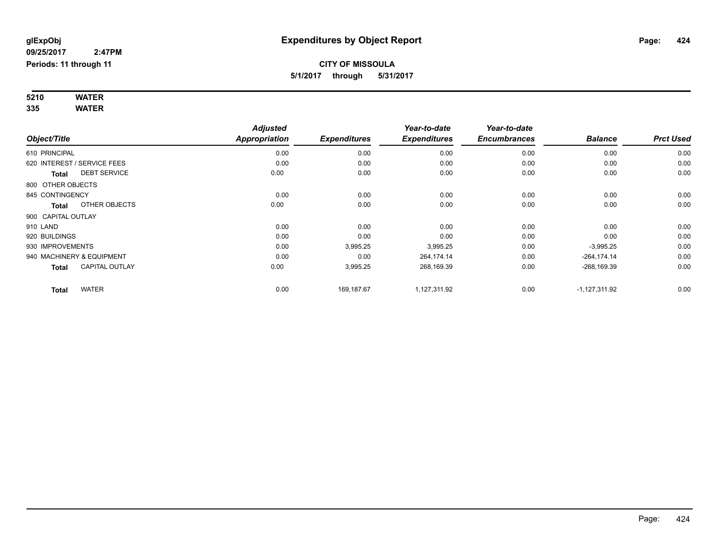#### **5210 WATER 335 WATER**

| Object/Title       |                             | <b>Adjusted</b><br><b>Appropriation</b> | <b>Expenditures</b> | Year-to-date<br><b>Expenditures</b> | Year-to-date<br><b>Encumbrances</b> | <b>Balance</b>  | <b>Prct Used</b> |
|--------------------|-----------------------------|-----------------------------------------|---------------------|-------------------------------------|-------------------------------------|-----------------|------------------|
| 610 PRINCIPAL      |                             | 0.00                                    | 0.00                | 0.00                                | 0.00                                | 0.00            | 0.00             |
|                    | 620 INTEREST / SERVICE FEES | 0.00                                    | 0.00                | 0.00                                | 0.00                                | 0.00            | 0.00             |
| Total              | <b>DEBT SERVICE</b>         | 0.00                                    | 0.00                | 0.00                                | 0.00                                | 0.00            | 0.00             |
| 800 OTHER OBJECTS  |                             |                                         |                     |                                     |                                     |                 |                  |
| 845 CONTINGENCY    |                             | 0.00                                    | 0.00                | 0.00                                | 0.00                                | 0.00            | 0.00             |
| Total              | OTHER OBJECTS               | 0.00                                    | 0.00                | 0.00                                | 0.00                                | 0.00            | 0.00             |
| 900 CAPITAL OUTLAY |                             |                                         |                     |                                     |                                     |                 |                  |
| 910 LAND           |                             | 0.00                                    | 0.00                | 0.00                                | 0.00                                | 0.00            | 0.00             |
| 920 BUILDINGS      |                             | 0.00                                    | 0.00                | 0.00                                | 0.00                                | 0.00            | 0.00             |
| 930 IMPROVEMENTS   |                             | 0.00                                    | 3,995.25            | 3,995.25                            | 0.00                                | $-3,995.25$     | 0.00             |
|                    | 940 MACHINERY & EQUIPMENT   | 0.00                                    | 0.00                | 264,174.14                          | 0.00                                | $-264, 174.14$  | 0.00             |
| Total              | <b>CAPITAL OUTLAY</b>       | 0.00                                    | 3,995.25            | 268,169.39                          | 0.00                                | $-268,169.39$   | 0.00             |
| <b>Total</b>       | <b>WATER</b>                | 0.00                                    | 169,187.67          | 1,127,311.92                        | 0.00                                | $-1,127,311.92$ | 0.00             |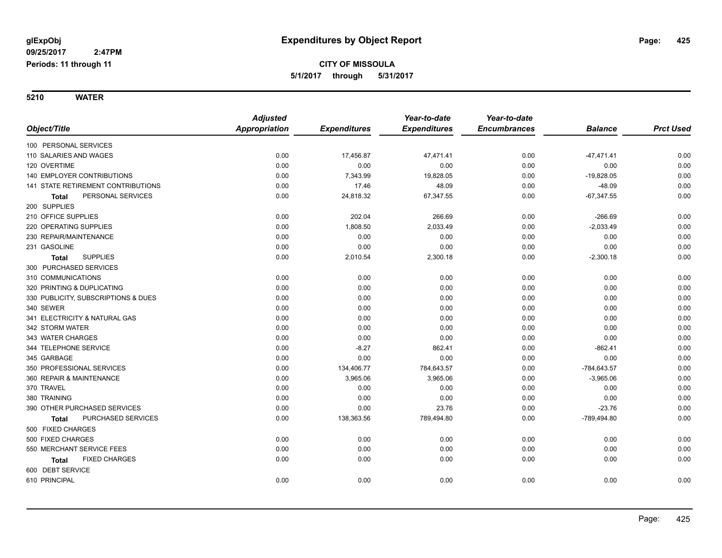**5210 WATER**

|                                     | <b>Adjusted</b>      |                     | Year-to-date        | Year-to-date        |                |                  |
|-------------------------------------|----------------------|---------------------|---------------------|---------------------|----------------|------------------|
| Object/Title                        | <b>Appropriation</b> | <b>Expenditures</b> | <b>Expenditures</b> | <b>Encumbrances</b> | <b>Balance</b> | <b>Prct Used</b> |
| 100 PERSONAL SERVICES               |                      |                     |                     |                     |                |                  |
| 110 SALARIES AND WAGES              | 0.00                 | 17,456.87           | 47,471.41           | 0.00                | $-47,471.41$   | 0.00             |
| 120 OVERTIME                        | 0.00                 | 0.00                | 0.00                | 0.00                | 0.00           | 0.00             |
| 140 EMPLOYER CONTRIBUTIONS          | 0.00                 | 7,343.99            | 19,828.05           | 0.00                | $-19,828.05$   | 0.00             |
| 141 STATE RETIREMENT CONTRIBUTIONS  | 0.00                 | 17.46               | 48.09               | 0.00                | $-48.09$       | 0.00             |
| PERSONAL SERVICES<br>Total          | 0.00                 | 24,818.32           | 67,347.55           | 0.00                | $-67,347.55$   | 0.00             |
| 200 SUPPLIES                        |                      |                     |                     |                     |                |                  |
| 210 OFFICE SUPPLIES                 | 0.00                 | 202.04              | 266.69              | 0.00                | $-266.69$      | 0.00             |
| 220 OPERATING SUPPLIES              | 0.00                 | 1,808.50            | 2,033.49            | 0.00                | $-2,033.49$    | 0.00             |
| 230 REPAIR/MAINTENANCE              | 0.00                 | 0.00                | 0.00                | 0.00                | 0.00           | 0.00             |
| 231 GASOLINE                        | 0.00                 | 0.00                | 0.00                | 0.00                | 0.00           | 0.00             |
| <b>SUPPLIES</b><br>Total            | 0.00                 | 2,010.54            | 2,300.18            | 0.00                | $-2,300.18$    | 0.00             |
| 300 PURCHASED SERVICES              |                      |                     |                     |                     |                |                  |
| 310 COMMUNICATIONS                  | 0.00                 | 0.00                | 0.00                | 0.00                | 0.00           | 0.00             |
| 320 PRINTING & DUPLICATING          | 0.00                 | 0.00                | 0.00                | 0.00                | 0.00           | 0.00             |
| 330 PUBLICITY, SUBSCRIPTIONS & DUES | 0.00                 | 0.00                | 0.00                | 0.00                | 0.00           | 0.00             |
| 340 SEWER                           | 0.00                 | 0.00                | 0.00                | 0.00                | 0.00           | 0.00             |
| 341 ELECTRICITY & NATURAL GAS       | 0.00                 | 0.00                | 0.00                | 0.00                | 0.00           | 0.00             |
| 342 STORM WATER                     | 0.00                 | 0.00                | 0.00                | 0.00                | 0.00           | 0.00             |
| 343 WATER CHARGES                   | 0.00                 | 0.00                | 0.00                | 0.00                | 0.00           | 0.00             |
| 344 TELEPHONE SERVICE               | 0.00                 | $-8.27$             | 862.41              | 0.00                | $-862.41$      | 0.00             |
| 345 GARBAGE                         | 0.00                 | 0.00                | 0.00                | 0.00                | 0.00           | 0.00             |
| 350 PROFESSIONAL SERVICES           | 0.00                 | 134,406.77          | 784,643.57          | 0.00                | $-784,643.57$  | 0.00             |
| 360 REPAIR & MAINTENANCE            | 0.00                 | 3,965.06            | 3,965.06            | 0.00                | $-3,965.06$    | 0.00             |
| 370 TRAVEL                          | 0.00                 | 0.00                | 0.00                | 0.00                | 0.00           | 0.00             |
| 380 TRAINING                        | 0.00                 | 0.00                | 0.00                | 0.00                | 0.00           | 0.00             |
| 390 OTHER PURCHASED SERVICES        | 0.00                 | 0.00                | 23.76               | 0.00                | $-23.76$       | 0.00             |
| PURCHASED SERVICES<br><b>Total</b>  | 0.00                 | 138,363.56          | 789,494.80          | 0.00                | -789,494.80    | 0.00             |
| 500 FIXED CHARGES                   |                      |                     |                     |                     |                |                  |
| 500 FIXED CHARGES                   | 0.00                 | 0.00                | 0.00                | 0.00                | 0.00           | 0.00             |
| 550 MERCHANT SERVICE FEES           | 0.00                 | 0.00                | 0.00                | 0.00                | 0.00           | 0.00             |
| <b>FIXED CHARGES</b><br>Total       | 0.00                 | 0.00                | 0.00                | 0.00                | 0.00           | 0.00             |
| 600 DEBT SERVICE                    |                      |                     |                     |                     |                |                  |
| 610 PRINCIPAL                       | 0.00                 | 0.00                | 0.00                | 0.00                | 0.00           | 0.00             |
|                                     |                      |                     |                     |                     |                |                  |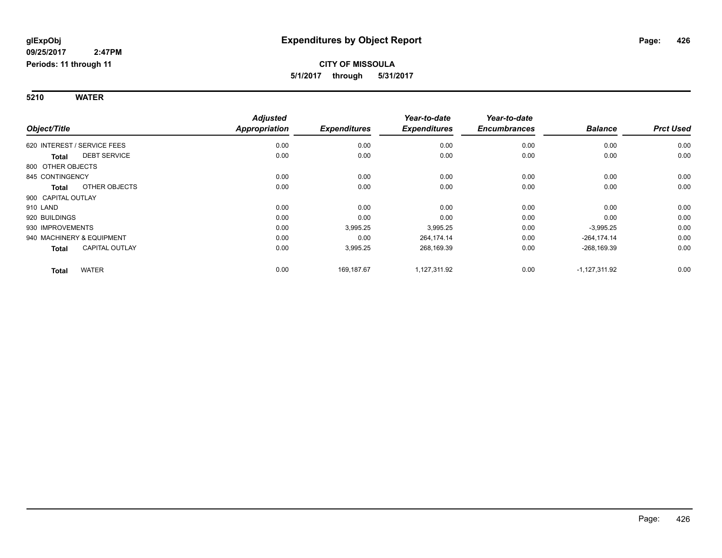#### **5210 WATER**

|                                       | <b>Adjusted</b>      |                     | Year-to-date        | Year-to-date        |                 |                  |
|---------------------------------------|----------------------|---------------------|---------------------|---------------------|-----------------|------------------|
| Object/Title                          | <b>Appropriation</b> | <b>Expenditures</b> | <b>Expenditures</b> | <b>Encumbrances</b> | <b>Balance</b>  | <b>Prct Used</b> |
| 620 INTEREST / SERVICE FEES           | 0.00                 | 0.00                | 0.00                | 0.00                | 0.00            | 0.00             |
| <b>DEBT SERVICE</b><br><b>Total</b>   | 0.00                 | 0.00                | 0.00                | 0.00                | 0.00            | 0.00             |
| 800 OTHER OBJECTS                     |                      |                     |                     |                     |                 |                  |
| 845 CONTINGENCY                       | 0.00                 | 0.00                | 0.00                | 0.00                | 0.00            | 0.00             |
| OTHER OBJECTS<br>Total                | 0.00                 | 0.00                | 0.00                | 0.00                | 0.00            | 0.00             |
| 900 CAPITAL OUTLAY                    |                      |                     |                     |                     |                 |                  |
| 910 LAND                              | 0.00                 | 0.00                | 0.00                | 0.00                | 0.00            | 0.00             |
| 920 BUILDINGS                         | 0.00                 | 0.00                | 0.00                | 0.00                | 0.00            | 0.00             |
| 930 IMPROVEMENTS                      | 0.00                 | 3,995.25            | 3,995.25            | 0.00                | $-3,995.25$     | 0.00             |
| 940 MACHINERY & EQUIPMENT             | 0.00                 | 0.00                | 264,174.14          | 0.00                | $-264, 174.14$  | 0.00             |
| <b>CAPITAL OUTLAY</b><br><b>Total</b> | 0.00                 | 3,995.25            | 268,169.39          | 0.00                | $-268,169.39$   | 0.00             |
| <b>WATER</b><br><b>Total</b>          | 0.00                 | 169,187.67          | 1,127,311.92        | 0.00                | $-1,127,311.92$ | 0.00             |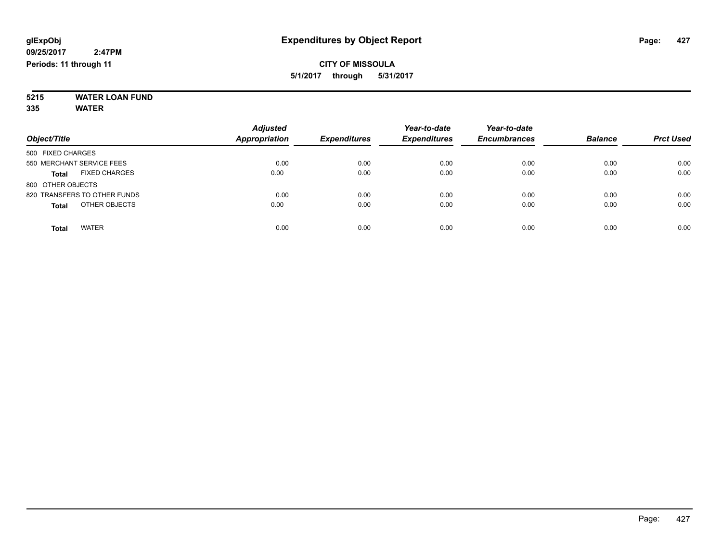#### **5215 WATER LOAN FUND 335 WATER**

| Object/Title                         | <b>Adjusted</b><br><b>Appropriation</b> | <b>Expenditures</b> | Year-to-date<br><b>Expenditures</b> | Year-to-date<br><b>Encumbrances</b> | <b>Balance</b> | <b>Prct Used</b> |
|--------------------------------------|-----------------------------------------|---------------------|-------------------------------------|-------------------------------------|----------------|------------------|
| 500 FIXED CHARGES                    |                                         |                     |                                     |                                     |                |                  |
| 550 MERCHANT SERVICE FEES            | 0.00                                    | 0.00                | 0.00                                | 0.00                                | 0.00           | 0.00             |
| <b>FIXED CHARGES</b><br><b>Total</b> | 0.00                                    | 0.00                | 0.00                                | 0.00                                | 0.00           | 0.00             |
| 800 OTHER OBJECTS                    |                                         |                     |                                     |                                     |                |                  |
| 820 TRANSFERS TO OTHER FUNDS         | 0.00                                    | 0.00                | 0.00                                | 0.00                                | 0.00           | 0.00             |
| OTHER OBJECTS<br><b>Total</b>        | 0.00                                    | 0.00                | 0.00                                | 0.00                                | 0.00           | 0.00             |
| <b>WATER</b><br>Total                | 0.00                                    | 0.00                | 0.00                                | 0.00                                | 0.00           | 0.00             |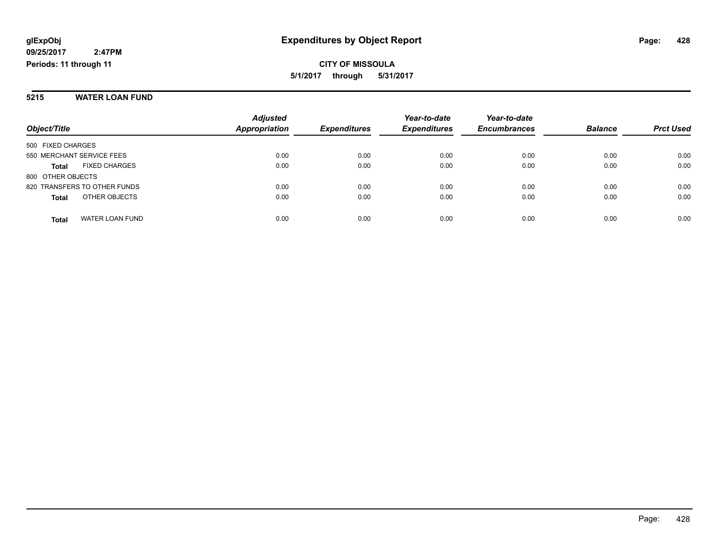#### **5215 WATER LOAN FUND**

|                                        | <b>Adjusted</b>      |                     | Year-to-date        | Year-to-date        |                |                  |
|----------------------------------------|----------------------|---------------------|---------------------|---------------------|----------------|------------------|
| Object/Title                           | <b>Appropriation</b> | <b>Expenditures</b> | <b>Expenditures</b> | <b>Encumbrances</b> | <b>Balance</b> | <b>Prct Used</b> |
| 500 FIXED CHARGES                      |                      |                     |                     |                     |                |                  |
| 550 MERCHANT SERVICE FEES              | 0.00                 | 0.00                | 0.00                | 0.00                | 0.00           | 0.00             |
| <b>FIXED CHARGES</b><br><b>Total</b>   | 0.00                 | 0.00                | 0.00                | 0.00                | 0.00           | 0.00             |
| 800 OTHER OBJECTS                      |                      |                     |                     |                     |                |                  |
| 820 TRANSFERS TO OTHER FUNDS           | 0.00                 | 0.00                | 0.00                | 0.00                | 0.00           | 0.00             |
| OTHER OBJECTS<br><b>Total</b>          | 0.00                 | 0.00                | 0.00                | 0.00                | 0.00           | 0.00             |
| <b>WATER LOAN FUND</b><br><b>Total</b> | 0.00                 | 0.00                | 0.00                | 0.00                | 0.00           | 0.00             |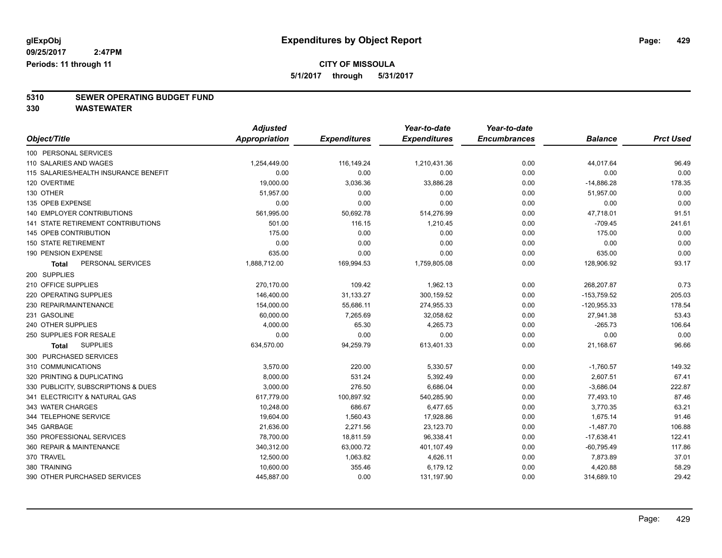## **CITY OF MISSOULA**

**5/1/2017 through 5/31/2017**

# **5310 SEWER OPERATING BUDGET FUND**

**330 WASTEWATER**

|                                           | <b>Adjusted</b> |                     | Year-to-date        | Year-to-date        |                |                  |
|-------------------------------------------|-----------------|---------------------|---------------------|---------------------|----------------|------------------|
| Object/Title                              | Appropriation   | <b>Expenditures</b> | <b>Expenditures</b> | <b>Encumbrances</b> | <b>Balance</b> | <b>Prct Used</b> |
| 100 PERSONAL SERVICES                     |                 |                     |                     |                     |                |                  |
| 110 SALARIES AND WAGES                    | 1,254,449.00    | 116,149.24          | 1,210,431.36        | 0.00                | 44,017.64      | 96.49            |
| 115 SALARIES/HEALTH INSURANCE BENEFIT     | 0.00            | 0.00                | 0.00                | 0.00                | 0.00           | 0.00             |
| 120 OVERTIME                              | 19,000.00       | 3,036.36            | 33,886.28           | 0.00                | $-14,886.28$   | 178.35           |
| 130 OTHER                                 | 51,957.00       | 0.00                | 0.00                | 0.00                | 51,957.00      | 0.00             |
| 135 OPEB EXPENSE                          | 0.00            | 0.00                | 0.00                | 0.00                | 0.00           | 0.00             |
| 140 EMPLOYER CONTRIBUTIONS                | 561,995.00      | 50,692.78           | 514,276.99          | 0.00                | 47,718.01      | 91.51            |
| <b>141 STATE RETIREMENT CONTRIBUTIONS</b> | 501.00          | 116.15              | 1,210.45            | 0.00                | $-709.45$      | 241.61           |
| 145 OPEB CONTRIBUTION                     | 175.00          | 0.00                | 0.00                | 0.00                | 175.00         | 0.00             |
| <b>150 STATE RETIREMENT</b>               | 0.00            | 0.00                | 0.00                | 0.00                | 0.00           | 0.00             |
| 190 PENSION EXPENSE                       | 635.00          | 0.00                | 0.00                | 0.00                | 635.00         | 0.00             |
| PERSONAL SERVICES<br><b>Total</b>         | 1,888,712.00    | 169,994.53          | 1,759,805.08        | 0.00                | 128,906.92     | 93.17            |
| 200 SUPPLIES                              |                 |                     |                     |                     |                |                  |
| 210 OFFICE SUPPLIES                       | 270,170.00      | 109.42              | 1,962.13            | 0.00                | 268,207.87     | 0.73             |
| 220 OPERATING SUPPLIES                    | 146,400.00      | 31,133.27           | 300,159.52          | 0.00                | $-153,759.52$  | 205.03           |
| 230 REPAIR/MAINTENANCE                    | 154,000.00      | 55,686.11           | 274,955.33          | 0.00                | $-120,955.33$  | 178.54           |
| 231 GASOLINE                              | 60,000.00       | 7,265.69            | 32,058.62           | 0.00                | 27,941.38      | 53.43            |
| 240 OTHER SUPPLIES                        | 4,000.00        | 65.30               | 4,265.73            | 0.00                | $-265.73$      | 106.64           |
| 250 SUPPLIES FOR RESALE                   | 0.00            | 0.00                | 0.00                | 0.00                | 0.00           | 0.00             |
| <b>SUPPLIES</b><br><b>Total</b>           | 634,570.00      | 94,259.79           | 613,401.33          | 0.00                | 21,168.67      | 96.66            |
| 300 PURCHASED SERVICES                    |                 |                     |                     |                     |                |                  |
| 310 COMMUNICATIONS                        | 3,570.00        | 220.00              | 5,330.57            | 0.00                | $-1,760.57$    | 149.32           |
| 320 PRINTING & DUPLICATING                | 8,000.00        | 531.24              | 5,392.49            | 0.00                | 2,607.51       | 67.41            |
| 330 PUBLICITY, SUBSCRIPTIONS & DUES       | 3,000.00        | 276.50              | 6,686.04            | 0.00                | $-3,686.04$    | 222.87           |
| 341 ELECTRICITY & NATURAL GAS             | 617,779.00      | 100,897.92          | 540,285.90          | 0.00                | 77,493.10      | 87.46            |
| 343 WATER CHARGES                         | 10,248.00       | 686.67              | 6,477.65            | 0.00                | 3,770.35       | 63.21            |
| 344 TELEPHONE SERVICE                     | 19,604.00       | 1,560.43            | 17,928.86           | 0.00                | 1,675.14       | 91.46            |
| 345 GARBAGE                               | 21,636.00       | 2,271.56            | 23,123.70           | 0.00                | $-1,487.70$    | 106.88           |
| 350 PROFESSIONAL SERVICES                 | 78,700.00       | 18,811.59           | 96,338.41           | 0.00                | $-17,638.41$   | 122.41           |
| 360 REPAIR & MAINTENANCE                  | 340,312.00      | 63,000.72           | 401,107.49          | 0.00                | $-60,795.49$   | 117.86           |
| 370 TRAVEL                                | 12,500.00       | 1,063.82            | 4,626.11            | 0.00                | 7,873.89       | 37.01            |
| 380 TRAINING                              | 10,600.00       | 355.46              | 6,179.12            | 0.00                | 4,420.88       | 58.29            |
| 390 OTHER PURCHASED SERVICES              | 445,887.00      | 0.00                | 131,197.90          | 0.00                | 314,689.10     | 29.42            |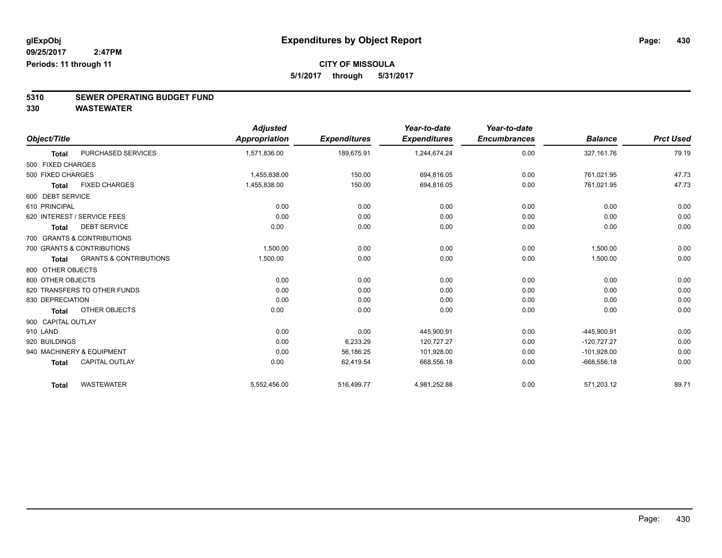## **CITY OF MISSOULA**

**5/1/2017 through 5/31/2017**

# **5310 SEWER OPERATING BUDGET FUND**

**330 WASTEWATER**

|                    |                                   | <b>Adjusted</b>      |                     | Year-to-date        | Year-to-date        |                |                  |
|--------------------|-----------------------------------|----------------------|---------------------|---------------------|---------------------|----------------|------------------|
| Object/Title       |                                   | <b>Appropriation</b> | <b>Expenditures</b> | <b>Expenditures</b> | <b>Encumbrances</b> | <b>Balance</b> | <b>Prct Used</b> |
| <b>Total</b>       | PURCHASED SERVICES                | 1,571,836.00         | 189,675.91          | 1,244,674.24        | 0.00                | 327, 161.76    | 79.19            |
| 500 FIXED CHARGES  |                                   |                      |                     |                     |                     |                |                  |
| 500 FIXED CHARGES  |                                   | 1,455,838.00         | 150.00              | 694,816.05          | 0.00                | 761,021.95     | 47.73            |
| <b>Total</b>       | <b>FIXED CHARGES</b>              | 1,455,838.00         | 150.00              | 694,816.05          | 0.00                | 761,021.95     | 47.73            |
| 600 DEBT SERVICE   |                                   |                      |                     |                     |                     |                |                  |
| 610 PRINCIPAL      |                                   | 0.00                 | 0.00                | 0.00                | 0.00                | 0.00           | 0.00             |
|                    | 620 INTEREST / SERVICE FEES       | 0.00                 | 0.00                | 0.00                | 0.00                | 0.00           | 0.00             |
| <b>Total</b>       | <b>DEBT SERVICE</b>               | 0.00                 | 0.00                | 0.00                | 0.00                | 0.00           | 0.00             |
|                    | 700 GRANTS & CONTRIBUTIONS        |                      |                     |                     |                     |                |                  |
|                    | 700 GRANTS & CONTRIBUTIONS        | 1,500.00             | 0.00                | 0.00                | 0.00                | 1,500.00       | 0.00             |
| <b>Total</b>       | <b>GRANTS &amp; CONTRIBUTIONS</b> | 1,500.00             | 0.00                | 0.00                | 0.00                | 1,500.00       | 0.00             |
| 800 OTHER OBJECTS  |                                   |                      |                     |                     |                     |                |                  |
| 800 OTHER OBJECTS  |                                   | 0.00                 | 0.00                | 0.00                | 0.00                | 0.00           | 0.00             |
|                    | 820 TRANSFERS TO OTHER FUNDS      | 0.00                 | 0.00                | 0.00                | 0.00                | 0.00           | 0.00             |
| 830 DEPRECIATION   |                                   | 0.00                 | 0.00                | 0.00                | 0.00                | 0.00           | 0.00             |
| <b>Total</b>       | OTHER OBJECTS                     | 0.00                 | 0.00                | 0.00                | 0.00                | 0.00           | 0.00             |
| 900 CAPITAL OUTLAY |                                   |                      |                     |                     |                     |                |                  |
| 910 LAND           |                                   | 0.00                 | 0.00                | 445,900.91          | 0.00                | -445,900.91    | 0.00             |
| 920 BUILDINGS      |                                   | 0.00                 | 6,233.29            | 120,727.27          | 0.00                | $-120,727.27$  | 0.00             |
|                    | 940 MACHINERY & EQUIPMENT         | 0.00                 | 56,186.25           | 101,928.00          | 0.00                | $-101,928.00$  | 0.00             |
| <b>Total</b>       | <b>CAPITAL OUTLAY</b>             | 0.00                 | 62,419.54           | 668,556.18          | 0.00                | $-668,556.18$  | 0.00             |
| <b>Total</b>       | <b>WASTEWATER</b>                 | 5,552,456.00         | 516,499.77          | 4,981,252.88        | 0.00                | 571,203.12     | 89.71            |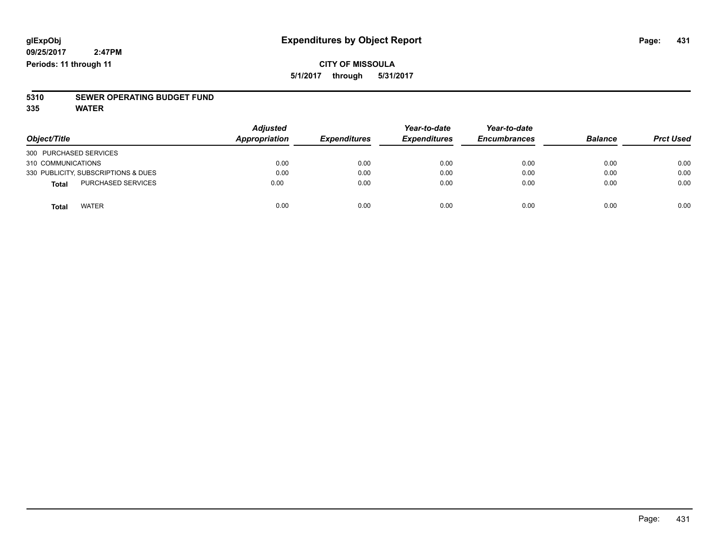#### **CITY OF MISSOULA 5/1/2017 through 5/31/2017**

# **5310 SEWER OPERATING BUDGET FUND**

**335 WATER**

| Object/Title                        | <b>Adjusted</b><br>Appropriation | <b>Expenditures</b> | Year-to-date<br><b>Expenditures</b> | Year-to-date<br><b>Encumbrances</b> | <b>Balance</b> | <b>Prct Used</b> |
|-------------------------------------|----------------------------------|---------------------|-------------------------------------|-------------------------------------|----------------|------------------|
| 300 PURCHASED SERVICES              |                                  |                     |                                     |                                     |                |                  |
| 310 COMMUNICATIONS                  | 0.00                             | 0.00                | 0.00                                | 0.00                                | 0.00           | 0.00             |
| 330 PUBLICITY, SUBSCRIPTIONS & DUES | 0.00                             | 0.00                | 0.00                                | 0.00                                | 0.00           | 0.00             |
| <b>PURCHASED SERVICES</b><br>Total  | 0.00                             | 0.00                | 0.00                                | 0.00                                | 0.00           | 0.00             |
| <b>WATER</b><br>Total               | 0.00                             | 0.00                | 0.00                                | 0.00                                | 0.00           | 0.00             |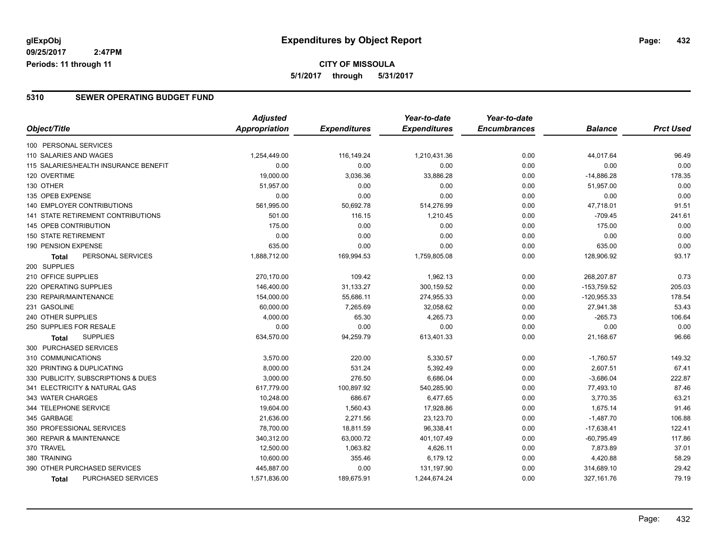### **CITY OF MISSOULA 5/1/2017 through 5/31/2017**

#### **5310 SEWER OPERATING BUDGET FUND**

|                                       | <b>Adjusted</b>      |                     | Year-to-date        | Year-to-date        |                |                  |
|---------------------------------------|----------------------|---------------------|---------------------|---------------------|----------------|------------------|
| Object/Title                          | <b>Appropriation</b> | <b>Expenditures</b> | <b>Expenditures</b> | <b>Encumbrances</b> | <b>Balance</b> | <b>Prct Used</b> |
| 100 PERSONAL SERVICES                 |                      |                     |                     |                     |                |                  |
| 110 SALARIES AND WAGES                | 1,254,449.00         | 116,149.24          | 1,210,431.36        | 0.00                | 44,017.64      | 96.49            |
| 115 SALARIES/HEALTH INSURANCE BENEFIT | 0.00                 | 0.00                | 0.00                | 0.00                | 0.00           | 0.00             |
| 120 OVERTIME                          | 19,000.00            | 3,036.36            | 33,886.28           | 0.00                | $-14,886.28$   | 178.35           |
| 130 OTHER                             | 51,957.00            | 0.00                | 0.00                | 0.00                | 51,957.00      | 0.00             |
| 135 OPEB EXPENSE                      | 0.00                 | 0.00                | 0.00                | 0.00                | 0.00           | 0.00             |
| 140 EMPLOYER CONTRIBUTIONS            | 561,995.00           | 50,692.78           | 514,276.99          | 0.00                | 47,718.01      | 91.51            |
| 141 STATE RETIREMENT CONTRIBUTIONS    | 501.00               | 116.15              | 1,210.45            | 0.00                | $-709.45$      | 241.61           |
| <b>145 OPEB CONTRIBUTION</b>          | 175.00               | 0.00                | 0.00                | 0.00                | 175.00         | 0.00             |
| <b>150 STATE RETIREMENT</b>           | 0.00                 | 0.00                | 0.00                | 0.00                | 0.00           | 0.00             |
| 190 PENSION EXPENSE                   | 635.00               | 0.00                | 0.00                | 0.00                | 635.00         | 0.00             |
| PERSONAL SERVICES<br>Total            | 1,888,712.00         | 169,994.53          | 1,759,805.08        | 0.00                | 128,906.92     | 93.17            |
| 200 SUPPLIES                          |                      |                     |                     |                     |                |                  |
| 210 OFFICE SUPPLIES                   | 270,170.00           | 109.42              | 1,962.13            | 0.00                | 268,207.87     | 0.73             |
| 220 OPERATING SUPPLIES                | 146,400.00           | 31,133.27           | 300,159.52          | 0.00                | $-153,759.52$  | 205.03           |
| 230 REPAIR/MAINTENANCE                | 154,000.00           | 55,686.11           | 274,955.33          | 0.00                | $-120,955.33$  | 178.54           |
| 231 GASOLINE                          | 60,000.00            | 7,265.69            | 32,058.62           | 0.00                | 27,941.38      | 53.43            |
| 240 OTHER SUPPLIES                    | 4,000.00             | 65.30               | 4,265.73            | 0.00                | $-265.73$      | 106.64           |
| 250 SUPPLIES FOR RESALE               | 0.00                 | 0.00                | 0.00                | 0.00                | 0.00           | 0.00             |
| <b>SUPPLIES</b><br><b>Total</b>       | 634,570.00           | 94,259.79           | 613,401.33          | 0.00                | 21,168.67      | 96.66            |
| 300 PURCHASED SERVICES                |                      |                     |                     |                     |                |                  |
| 310 COMMUNICATIONS                    | 3,570.00             | 220.00              | 5,330.57            | 0.00                | $-1,760.57$    | 149.32           |
| 320 PRINTING & DUPLICATING            | 8,000.00             | 531.24              | 5,392.49            | 0.00                | 2,607.51       | 67.41            |
| 330 PUBLICITY, SUBSCRIPTIONS & DUES   | 3,000.00             | 276.50              | 6,686.04            | 0.00                | $-3,686.04$    | 222.87           |
| 341 ELECTRICITY & NATURAL GAS         | 617,779.00           | 100,897.92          | 540,285.90          | 0.00                | 77,493.10      | 87.46            |
| 343 WATER CHARGES                     | 10,248.00            | 686.67              | 6,477.65            | 0.00                | 3,770.35       | 63.21            |
| 344 TELEPHONE SERVICE                 | 19,604.00            | 1,560.43            | 17,928.86           | 0.00                | 1,675.14       | 91.46            |
| 345 GARBAGE                           | 21,636.00            | 2,271.56            | 23,123.70           | 0.00                | $-1,487.70$    | 106.88           |
| 350 PROFESSIONAL SERVICES             | 78,700.00            | 18,811.59           | 96,338.41           | 0.00                | $-17,638.41$   | 122.41           |
| 360 REPAIR & MAINTENANCE              | 340,312.00           | 63,000.72           | 401,107.49          | 0.00                | $-60,795.49$   | 117.86           |
| 370 TRAVEL                            | 12,500.00            | 1,063.82            | 4,626.11            | 0.00                | 7,873.89       | 37.01            |
| 380 TRAINING                          | 10,600.00            | 355.46              | 6,179.12            | 0.00                | 4,420.88       | 58.29            |
| 390 OTHER PURCHASED SERVICES          | 445,887.00           | 0.00                | 131,197.90          | 0.00                | 314,689.10     | 29.42            |
| PURCHASED SERVICES<br>Total           | 1,571,836.00         | 189,675.91          | 1,244,674.24        | 0.00                | 327, 161.76    | 79.19            |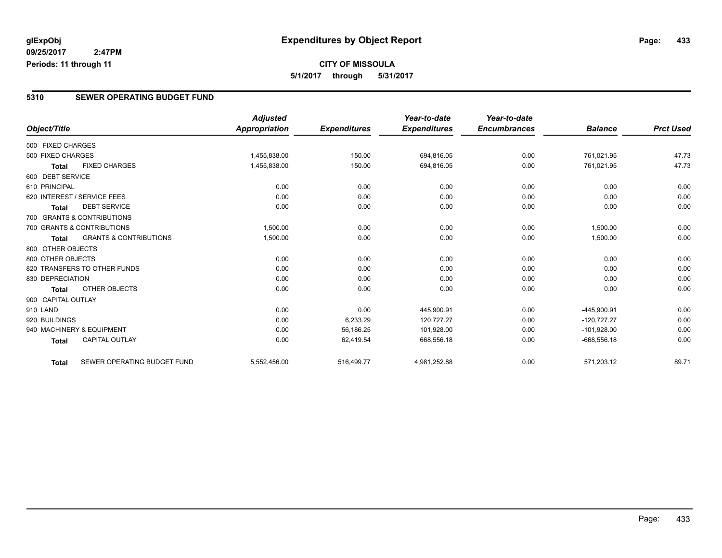### **CITY OF MISSOULA 5/1/2017 through 5/31/2017**

#### **5310 SEWER OPERATING BUDGET FUND**

|                    |                                   | <b>Adjusted</b> |                     | Year-to-date        | Year-to-date        |                |                  |
|--------------------|-----------------------------------|-----------------|---------------------|---------------------|---------------------|----------------|------------------|
| Object/Title       |                                   | Appropriation   | <b>Expenditures</b> | <b>Expenditures</b> | <b>Encumbrances</b> | <b>Balance</b> | <b>Prct Used</b> |
| 500 FIXED CHARGES  |                                   |                 |                     |                     |                     |                |                  |
| 500 FIXED CHARGES  |                                   | 1,455,838.00    | 150.00              | 694,816.05          | 0.00                | 761,021.95     | 47.73            |
| <b>Total</b>       | <b>FIXED CHARGES</b>              | 1,455,838.00    | 150.00              | 694,816.05          | 0.00                | 761,021.95     | 47.73            |
| 600 DEBT SERVICE   |                                   |                 |                     |                     |                     |                |                  |
| 610 PRINCIPAL      |                                   | 0.00            | 0.00                | 0.00                | 0.00                | 0.00           | 0.00             |
|                    | 620 INTEREST / SERVICE FEES       | 0.00            | 0.00                | 0.00                | 0.00                | 0.00           | 0.00             |
| <b>Total</b>       | <b>DEBT SERVICE</b>               | 0.00            | 0.00                | 0.00                | 0.00                | 0.00           | 0.00             |
|                    | 700 GRANTS & CONTRIBUTIONS        |                 |                     |                     |                     |                |                  |
|                    | 700 GRANTS & CONTRIBUTIONS        | 1,500.00        | 0.00                | 0.00                | 0.00                | 1,500.00       | 0.00             |
| Total              | <b>GRANTS &amp; CONTRIBUTIONS</b> | 1,500.00        | 0.00                | 0.00                | 0.00                | 1,500.00       | 0.00             |
| 800 OTHER OBJECTS  |                                   |                 |                     |                     |                     |                |                  |
| 800 OTHER OBJECTS  |                                   | 0.00            | 0.00                | 0.00                | 0.00                | 0.00           | 0.00             |
|                    | 820 TRANSFERS TO OTHER FUNDS      | 0.00            | 0.00                | 0.00                | 0.00                | 0.00           | 0.00             |
| 830 DEPRECIATION   |                                   | 0.00            | 0.00                | 0.00                | 0.00                | 0.00           | 0.00             |
| Total              | OTHER OBJECTS                     | 0.00            | 0.00                | 0.00                | 0.00                | 0.00           | 0.00             |
| 900 CAPITAL OUTLAY |                                   |                 |                     |                     |                     |                |                  |
| 910 LAND           |                                   | 0.00            | 0.00                | 445,900.91          | 0.00                | -445,900.91    | 0.00             |
| 920 BUILDINGS      |                                   | 0.00            | 6,233.29            | 120,727.27          | 0.00                | $-120,727.27$  | 0.00             |
|                    | 940 MACHINERY & EQUIPMENT         | 0.00            | 56,186.25           | 101,928.00          | 0.00                | $-101,928.00$  | 0.00             |
| <b>Total</b>       | <b>CAPITAL OUTLAY</b>             | 0.00            | 62,419.54           | 668,556.18          | 0.00                | $-668,556.18$  | 0.00             |
| Total              | SEWER OPERATING BUDGET FUND       | 5,552,456.00    | 516,499.77          | 4,981,252.88        | 0.00                | 571,203.12     | 89.71            |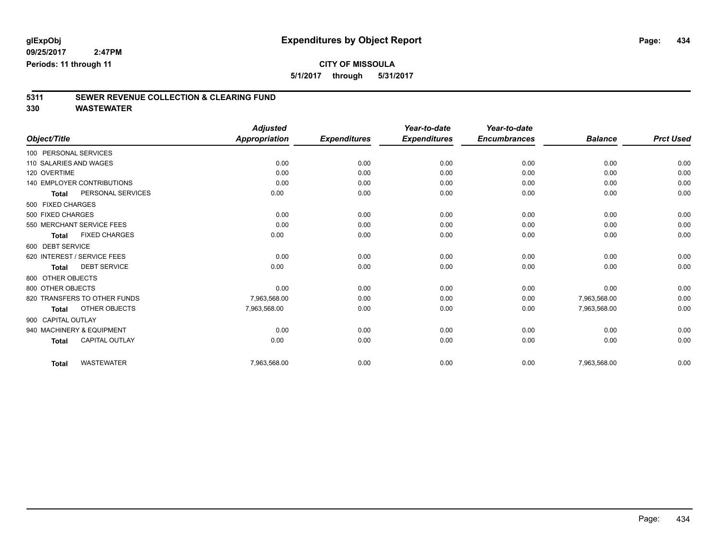**5/1/2017 through 5/31/2017**

# **5311 SEWER REVENUE COLLECTION & CLEARING FUND**

|                             |                              | <b>Adjusted</b>      |                     | Year-to-date        | Year-to-date        |                |                  |
|-----------------------------|------------------------------|----------------------|---------------------|---------------------|---------------------|----------------|------------------|
| Object/Title                |                              | <b>Appropriation</b> | <b>Expenditures</b> | <b>Expenditures</b> | <b>Encumbrances</b> | <b>Balance</b> | <b>Prct Used</b> |
| 100 PERSONAL SERVICES       |                              |                      |                     |                     |                     |                |                  |
| 110 SALARIES AND WAGES      |                              | 0.00                 | 0.00                | 0.00                | 0.00                | 0.00           | 0.00             |
| 120 OVERTIME                |                              | 0.00                 | 0.00                | 0.00                | 0.00                | 0.00           | 0.00             |
|                             | 140 EMPLOYER CONTRIBUTIONS   | 0.00                 | 0.00                | 0.00                | 0.00                | 0.00           | 0.00             |
| <b>Total</b>                | PERSONAL SERVICES            | 0.00                 | 0.00                | 0.00                | 0.00                | 0.00           | 0.00             |
| 500 FIXED CHARGES           |                              |                      |                     |                     |                     |                |                  |
| 500 FIXED CHARGES           |                              | 0.00                 | 0.00                | 0.00                | 0.00                | 0.00           | 0.00             |
|                             | 550 MERCHANT SERVICE FEES    | 0.00                 | 0.00                | 0.00                | 0.00                | 0.00           | 0.00             |
| <b>Total</b>                | <b>FIXED CHARGES</b>         | 0.00                 | 0.00                | 0.00                | 0.00                | 0.00           | 0.00             |
| 600 DEBT SERVICE            |                              |                      |                     |                     |                     |                |                  |
| 620 INTEREST / SERVICE FEES |                              | 0.00                 | 0.00                | 0.00                | 0.00                | 0.00           | 0.00             |
| <b>Total</b>                | <b>DEBT SERVICE</b>          | 0.00                 | 0.00                | 0.00                | 0.00                | 0.00           | 0.00             |
| 800 OTHER OBJECTS           |                              |                      |                     |                     |                     |                |                  |
| 800 OTHER OBJECTS           |                              | 0.00                 | 0.00                | 0.00                | 0.00                | 0.00           | 0.00             |
|                             | 820 TRANSFERS TO OTHER FUNDS | 7,963,568.00         | 0.00                | 0.00                | 0.00                | 7,963,568.00   | 0.00             |
| <b>Total</b>                | OTHER OBJECTS                | 7,963,568.00         | 0.00                | 0.00                | 0.00                | 7,963,568.00   | 0.00             |
| 900 CAPITAL OUTLAY          |                              |                      |                     |                     |                     |                |                  |
| 940 MACHINERY & EQUIPMENT   |                              | 0.00                 | 0.00                | 0.00                | 0.00                | 0.00           | 0.00             |
| <b>Total</b>                | <b>CAPITAL OUTLAY</b>        | 0.00                 | 0.00                | 0.00                | 0.00                | 0.00           | 0.00             |
| <b>Total</b>                | <b>WASTEWATER</b>            | 7,963,568.00         | 0.00                | 0.00                | 0.00                | 7,963,568.00   | 0.00             |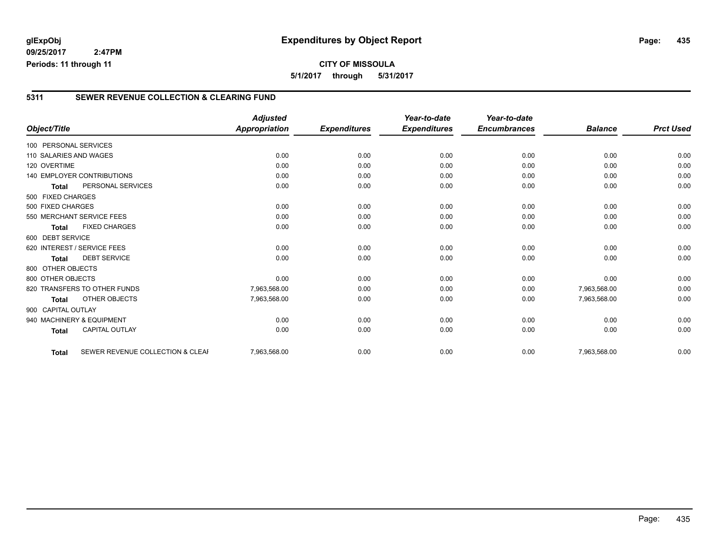### **glExpObj Expenditures by Object Report Page: 435**

**09/25/2017 2:47PM Periods: 11 through 11**

#### **5311 SEWER REVENUE COLLECTION & CLEARING FUND**

|                                                  | <b>Adjusted</b>      |                     | Year-to-date        | Year-to-date        |                |                  |
|--------------------------------------------------|----------------------|---------------------|---------------------|---------------------|----------------|------------------|
| Object/Title                                     | <b>Appropriation</b> | <b>Expenditures</b> | <b>Expenditures</b> | <b>Encumbrances</b> | <b>Balance</b> | <b>Prct Used</b> |
| 100 PERSONAL SERVICES                            |                      |                     |                     |                     |                |                  |
| 110 SALARIES AND WAGES                           | 0.00                 | 0.00                | 0.00                | 0.00                | 0.00           | 0.00             |
| 120 OVERTIME                                     | 0.00                 | 0.00                | 0.00                | 0.00                | 0.00           | 0.00             |
| <b>140 EMPLOYER CONTRIBUTIONS</b>                | 0.00                 | 0.00                | 0.00                | 0.00                | 0.00           | 0.00             |
| PERSONAL SERVICES<br><b>Total</b>                | 0.00                 | 0.00                | 0.00                | 0.00                | 0.00           | 0.00             |
| 500 FIXED CHARGES                                |                      |                     |                     |                     |                |                  |
| 500 FIXED CHARGES                                | 0.00                 | 0.00                | 0.00                | 0.00                | 0.00           | 0.00             |
| 550 MERCHANT SERVICE FEES                        | 0.00                 | 0.00                | 0.00                | 0.00                | 0.00           | 0.00             |
| <b>FIXED CHARGES</b><br><b>Total</b>             | 0.00                 | 0.00                | 0.00                | 0.00                | 0.00           | 0.00             |
| 600 DEBT SERVICE                                 |                      |                     |                     |                     |                |                  |
| 620 INTEREST / SERVICE FEES                      | 0.00                 | 0.00                | 0.00                | 0.00                | 0.00           | 0.00             |
| <b>DEBT SERVICE</b><br><b>Total</b>              | 0.00                 | 0.00                | 0.00                | 0.00                | 0.00           | 0.00             |
| 800 OTHER OBJECTS                                |                      |                     |                     |                     |                |                  |
| 800 OTHER OBJECTS                                | 0.00                 | 0.00                | 0.00                | 0.00                | 0.00           | 0.00             |
| 820 TRANSFERS TO OTHER FUNDS                     | 7,963,568.00         | 0.00                | 0.00                | 0.00                | 7,963,568.00   | 0.00             |
| <b>OTHER OBJECTS</b><br><b>Total</b>             | 7,963,568.00         | 0.00                | 0.00                | 0.00                | 7,963,568.00   | 0.00             |
| 900 CAPITAL OUTLAY                               |                      |                     |                     |                     |                |                  |
| 940 MACHINERY & EQUIPMENT                        | 0.00                 | 0.00                | 0.00                | 0.00                | 0.00           | 0.00             |
| <b>CAPITAL OUTLAY</b><br><b>Total</b>            | 0.00                 | 0.00                | 0.00                | 0.00                | 0.00           | 0.00             |
|                                                  |                      |                     |                     |                     |                |                  |
| SEWER REVENUE COLLECTION & CLEAF<br><b>Total</b> | 7,963,568.00         | 0.00                | 0.00                | 0.00                | 7,963,568.00   | 0.00             |
|                                                  |                      |                     |                     |                     |                |                  |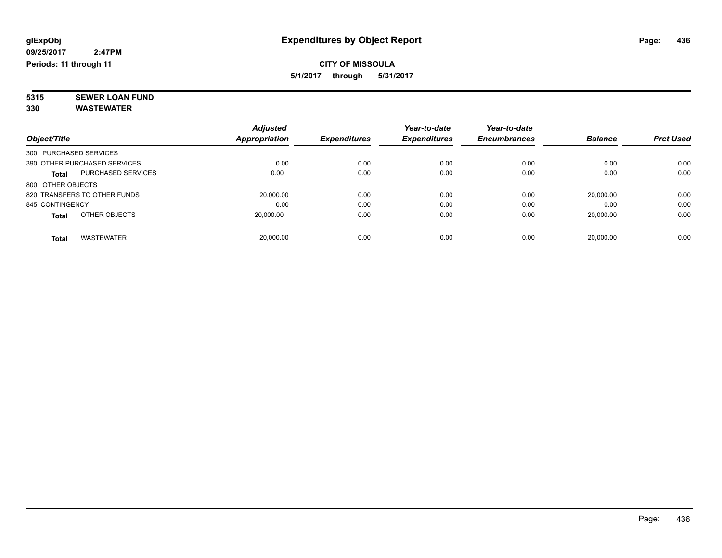### **CITY OF MISSOULA 5/1/2017 through 5/31/2017**

**5315 SEWER LOAN FUND 330 WASTEWATER**

|                        |                              | <b>Adjusted</b> |                     | Year-to-date        | Year-to-date        |                |                  |
|------------------------|------------------------------|-----------------|---------------------|---------------------|---------------------|----------------|------------------|
| Object/Title           |                              | Appropriation   | <b>Expenditures</b> | <b>Expenditures</b> | <b>Encumbrances</b> | <b>Balance</b> | <b>Prct Used</b> |
| 300 PURCHASED SERVICES |                              |                 |                     |                     |                     |                |                  |
|                        | 390 OTHER PURCHASED SERVICES | 0.00            | 0.00                | 0.00                | 0.00                | 0.00           | 0.00             |
| <b>Total</b>           | <b>PURCHASED SERVICES</b>    | 0.00            | 0.00                | 0.00                | 0.00                | 0.00           | 0.00             |
| 800 OTHER OBJECTS      |                              |                 |                     |                     |                     |                |                  |
|                        | 820 TRANSFERS TO OTHER FUNDS | 20,000.00       | 0.00                | 0.00                | 0.00                | 20.000.00      | 0.00             |
| 845 CONTINGENCY        |                              | 0.00            | 0.00                | 0.00                | 0.00                | 0.00           | 0.00             |
| <b>Total</b>           | OTHER OBJECTS                | 20,000.00       | 0.00                | 0.00                | 0.00                | 20,000.00      | 0.00             |
| Total                  | <b>WASTEWATER</b>            | 20.000.00       | 0.00                | 0.00                | 0.00                | 20.000.00      | 0.00             |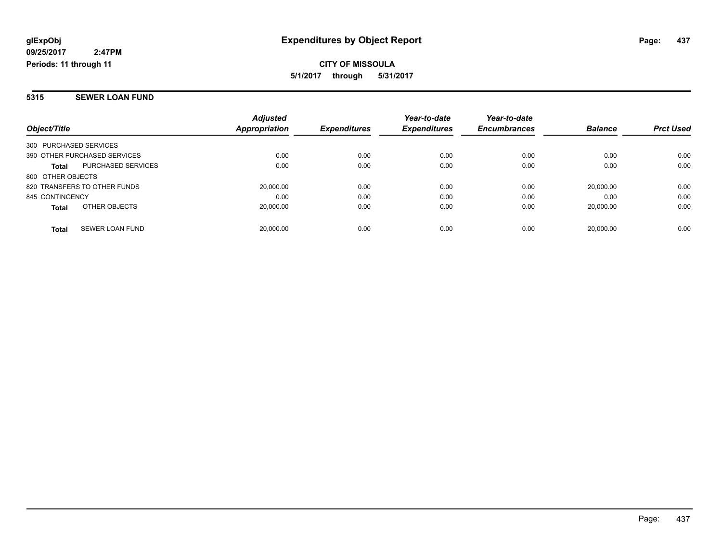**CITY OF MISSOULA 5/1/2017 through 5/31/2017**

#### **5315 SEWER LOAN FUND**

| Object/Title                              | <b>Adjusted</b><br><b>Appropriation</b> | <b>Expenditures</b> | Year-to-date<br><b>Expenditures</b> | Year-to-date<br><b>Encumbrances</b> | <b>Balance</b> | <b>Prct Used</b> |
|-------------------------------------------|-----------------------------------------|---------------------|-------------------------------------|-------------------------------------|----------------|------------------|
| 300 PURCHASED SERVICES                    |                                         |                     |                                     |                                     |                |                  |
| 390 OTHER PURCHASED SERVICES              | 0.00                                    | 0.00                | 0.00                                | 0.00                                | 0.00           | 0.00             |
| <b>PURCHASED SERVICES</b><br><b>Total</b> | 0.00                                    | 0.00                | 0.00                                | 0.00                                | 0.00           | 0.00             |
| 800 OTHER OBJECTS                         |                                         |                     |                                     |                                     |                |                  |
| 820 TRANSFERS TO OTHER FUNDS              | 20,000.00                               | 0.00                | 0.00                                | 0.00                                | 20.000.00      | 0.00             |
| 845 CONTINGENCY                           | 0.00                                    | 0.00                | 0.00                                | 0.00                                | 0.00           | 0.00             |
| OTHER OBJECTS<br><b>Total</b>             | 20.000.00                               | 0.00                | 0.00                                | 0.00                                | 20.000.00      | 0.00             |
| SEWER LOAN FUND<br><b>Total</b>           | 20.000.00                               | 0.00                | 0.00                                | 0.00                                | 20.000.00      | 0.00             |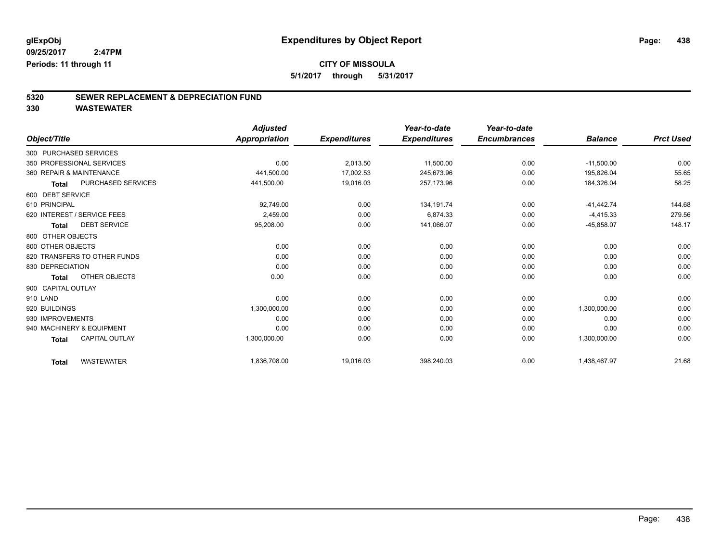**5/1/2017 through 5/31/2017**

# **5320 SEWER REPLACEMENT & DEPRECIATION FUND**

|                                           | <b>Adjusted</b>      |                     | Year-to-date        | Year-to-date        |                |                  |
|-------------------------------------------|----------------------|---------------------|---------------------|---------------------|----------------|------------------|
| Object/Title                              | <b>Appropriation</b> | <b>Expenditures</b> | <b>Expenditures</b> | <b>Encumbrances</b> | <b>Balance</b> | <b>Prct Used</b> |
| 300 PURCHASED SERVICES                    |                      |                     |                     |                     |                |                  |
| 350 PROFESSIONAL SERVICES                 | 0.00                 | 2,013.50            | 11,500.00           | 0.00                | $-11,500.00$   | 0.00             |
| 360 REPAIR & MAINTENANCE                  | 441,500.00           | 17,002.53           | 245,673.96          | 0.00                | 195,826.04     | 55.65            |
| <b>PURCHASED SERVICES</b><br><b>Total</b> | 441,500.00           | 19,016.03           | 257,173.96          | 0.00                | 184,326.04     | 58.25            |
| 600 DEBT SERVICE                          |                      |                     |                     |                     |                |                  |
| 610 PRINCIPAL                             | 92,749.00            | 0.00                | 134, 191. 74        | 0.00                | $-41,442.74$   | 144.68           |
| 620 INTEREST / SERVICE FEES               | 2.459.00             | 0.00                | 6.874.33            | 0.00                | $-4,415.33$    | 279.56           |
| <b>DEBT SERVICE</b><br><b>Total</b>       | 95,208.00            | 0.00                | 141,066.07          | 0.00                | $-45,858.07$   | 148.17           |
| 800 OTHER OBJECTS                         |                      |                     |                     |                     |                |                  |
| 800 OTHER OBJECTS                         | 0.00                 | 0.00                | 0.00                | 0.00                | 0.00           | 0.00             |
| 820 TRANSFERS TO OTHER FUNDS              | 0.00                 | 0.00                | 0.00                | 0.00                | 0.00           | 0.00             |
| 830 DEPRECIATION                          | 0.00                 | 0.00                | 0.00                | 0.00                | 0.00           | 0.00             |
| OTHER OBJECTS<br><b>Total</b>             | 0.00                 | 0.00                | 0.00                | 0.00                | 0.00           | 0.00             |
| 900 CAPITAL OUTLAY                        |                      |                     |                     |                     |                |                  |
| 910 LAND                                  | 0.00                 | 0.00                | 0.00                | 0.00                | 0.00           | 0.00             |
| 920 BUILDINGS                             | 1,300,000.00         | 0.00                | 0.00                | 0.00                | 1,300,000.00   | 0.00             |
| 930 IMPROVEMENTS                          | 0.00                 | 0.00                | 0.00                | 0.00                | 0.00           | 0.00             |
| 940 MACHINERY & EQUIPMENT                 | 0.00                 | 0.00                | 0.00                | 0.00                | 0.00           | 0.00             |
| <b>CAPITAL OUTLAY</b><br>Total            | 1,300,000.00         | 0.00                | 0.00                | 0.00                | 1,300,000.00   | 0.00             |
| <b>WASTEWATER</b><br><b>Total</b>         | 1,836,708.00         | 19,016.03           | 398,240.03          | 0.00                | 1,438,467.97   | 21.68            |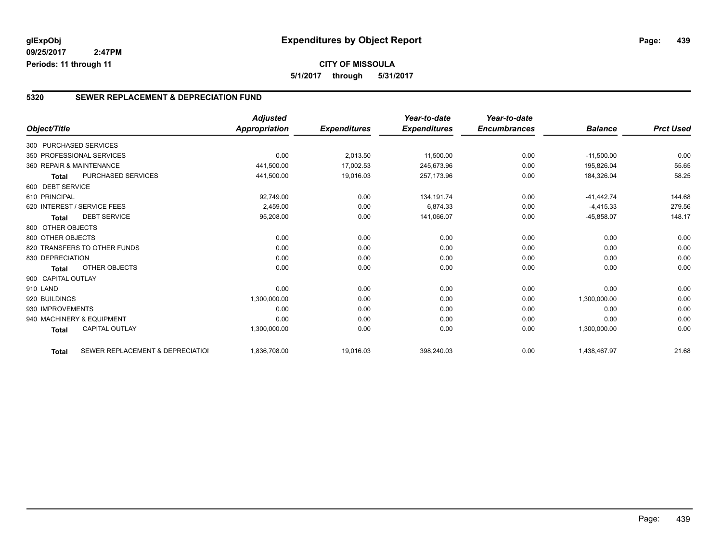**CITY OF MISSOULA 5/1/2017 through 5/31/2017**

#### **5320 SEWER REPLACEMENT & DEPRECIATION FUND**

|                          |                                  | <b>Adjusted</b>      |                     | Year-to-date        | Year-to-date        |                |                  |
|--------------------------|----------------------------------|----------------------|---------------------|---------------------|---------------------|----------------|------------------|
| Object/Title             |                                  | <b>Appropriation</b> | <b>Expenditures</b> | <b>Expenditures</b> | <b>Encumbrances</b> | <b>Balance</b> | <b>Prct Used</b> |
| 300 PURCHASED SERVICES   |                                  |                      |                     |                     |                     |                |                  |
|                          | 350 PROFESSIONAL SERVICES        | 0.00                 | 2,013.50            | 11,500.00           | 0.00                | $-11,500.00$   | 0.00             |
| 360 REPAIR & MAINTENANCE |                                  | 441,500.00           | 17,002.53           | 245,673.96          | 0.00                | 195,826.04     | 55.65            |
| <b>Total</b>             | <b>PURCHASED SERVICES</b>        | 441,500.00           | 19,016.03           | 257,173.96          | 0.00                | 184,326.04     | 58.25            |
| 600 DEBT SERVICE         |                                  |                      |                     |                     |                     |                |                  |
| 610 PRINCIPAL            |                                  | 92,749.00            | 0.00                | 134, 191.74         | 0.00                | $-41.442.74$   | 144.68           |
|                          | 620 INTEREST / SERVICE FEES      | 2,459.00             | 0.00                | 6,874.33            | 0.00                | $-4,415.33$    | 279.56           |
| <b>Total</b>             | <b>DEBT SERVICE</b>              | 95,208.00            | 0.00                | 141,066.07          | 0.00                | $-45,858.07$   | 148.17           |
| 800 OTHER OBJECTS        |                                  |                      |                     |                     |                     |                |                  |
| 800 OTHER OBJECTS        |                                  | 0.00                 | 0.00                | 0.00                | 0.00                | 0.00           | 0.00             |
|                          | 820 TRANSFERS TO OTHER FUNDS     | 0.00                 | 0.00                | 0.00                | 0.00                | 0.00           | 0.00             |
| 830 DEPRECIATION         |                                  | 0.00                 | 0.00                | 0.00                | 0.00                | 0.00           | 0.00             |
| <b>Total</b>             | <b>OTHER OBJECTS</b>             | 0.00                 | 0.00                | 0.00                | 0.00                | 0.00           | 0.00             |
| 900 CAPITAL OUTLAY       |                                  |                      |                     |                     |                     |                |                  |
| 910 LAND                 |                                  | 0.00                 | 0.00                | 0.00                | 0.00                | 0.00           | 0.00             |
| 920 BUILDINGS            |                                  | 1,300,000.00         | 0.00                | 0.00                | 0.00                | 1,300,000.00   | 0.00             |
| 930 IMPROVEMENTS         |                                  | 0.00                 | 0.00                | 0.00                | 0.00                | 0.00           | 0.00             |
|                          | 940 MACHINERY & EQUIPMENT        | 0.00                 | 0.00                | 0.00                | 0.00                | 0.00           | 0.00             |
| <b>Total</b>             | <b>CAPITAL OUTLAY</b>            | 1,300,000.00         | 0.00                | 0.00                | 0.00                | 1,300,000.00   | 0.00             |
| <b>Total</b>             | SEWER REPLACEMENT & DEPRECIATION | 1,836,708.00         | 19,016.03           | 398,240.03          | 0.00                | 1,438,467.97   | 21.68            |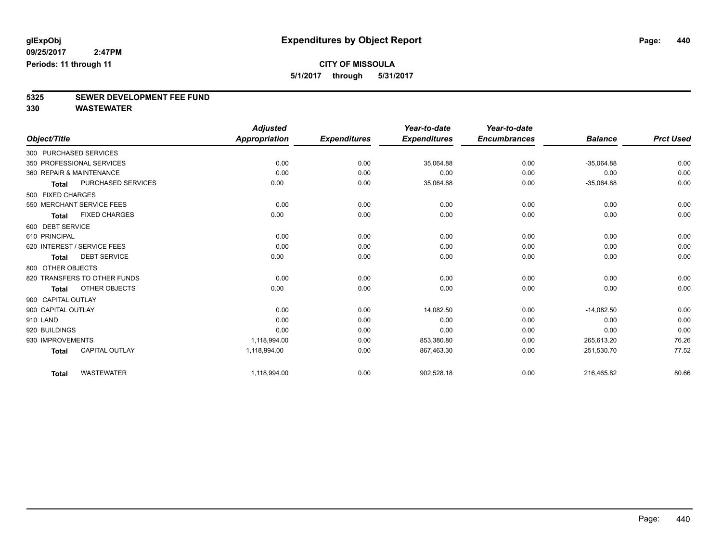**5/1/2017 through 5/31/2017**

# **5325 SEWER DEVELOPMENT FEE FUND**

|                    |                              | <b>Adjusted</b>      |                     | Year-to-date        | Year-to-date        |                |                  |
|--------------------|------------------------------|----------------------|---------------------|---------------------|---------------------|----------------|------------------|
| Object/Title       |                              | <b>Appropriation</b> | <b>Expenditures</b> | <b>Expenditures</b> | <b>Encumbrances</b> | <b>Balance</b> | <b>Prct Used</b> |
|                    | 300 PURCHASED SERVICES       |                      |                     |                     |                     |                |                  |
|                    | 350 PROFESSIONAL SERVICES    | 0.00                 | 0.00                | 35,064.88           | 0.00                | $-35,064.88$   | 0.00             |
|                    | 360 REPAIR & MAINTENANCE     | 0.00                 | 0.00                | 0.00                | 0.00                | 0.00           | 0.00             |
| <b>Total</b>       | <b>PURCHASED SERVICES</b>    | 0.00                 | 0.00                | 35,064.88           | 0.00                | $-35,064.88$   | 0.00             |
| 500 FIXED CHARGES  |                              |                      |                     |                     |                     |                |                  |
|                    | 550 MERCHANT SERVICE FEES    | 0.00                 | 0.00                | 0.00                | 0.00                | 0.00           | 0.00             |
| <b>Total</b>       | <b>FIXED CHARGES</b>         | 0.00                 | 0.00                | 0.00                | 0.00                | 0.00           | 0.00             |
| 600 DEBT SERVICE   |                              |                      |                     |                     |                     |                |                  |
| 610 PRINCIPAL      |                              | 0.00                 | 0.00                | 0.00                | 0.00                | 0.00           | 0.00             |
|                    | 620 INTEREST / SERVICE FEES  | 0.00                 | 0.00                | 0.00                | 0.00                | 0.00           | 0.00             |
| <b>Total</b>       | <b>DEBT SERVICE</b>          | 0.00                 | 0.00                | 0.00                | 0.00                | 0.00           | 0.00             |
| 800 OTHER OBJECTS  |                              |                      |                     |                     |                     |                |                  |
|                    | 820 TRANSFERS TO OTHER FUNDS | 0.00                 | 0.00                | 0.00                | 0.00                | 0.00           | 0.00             |
| <b>Total</b>       | <b>OTHER OBJECTS</b>         | 0.00                 | 0.00                | 0.00                | 0.00                | 0.00           | 0.00             |
| 900 CAPITAL OUTLAY |                              |                      |                     |                     |                     |                |                  |
| 900 CAPITAL OUTLAY |                              | 0.00                 | 0.00                | 14,082.50           | 0.00                | $-14,082.50$   | 0.00             |
| 910 LAND           |                              | 0.00                 | 0.00                | 0.00                | 0.00                | 0.00           | 0.00             |
| 920 BUILDINGS      |                              | 0.00                 | 0.00                | 0.00                | 0.00                | 0.00           | 0.00             |
| 930 IMPROVEMENTS   |                              | 1,118,994.00         | 0.00                | 853,380.80          | 0.00                | 265,613.20     | 76.26            |
| <b>Total</b>       | <b>CAPITAL OUTLAY</b>        | 1,118,994.00         | 0.00                | 867,463.30          | 0.00                | 251,530.70     | 77.52            |
| <b>Total</b>       | <b>WASTEWATER</b>            | 1,118,994.00         | 0.00                | 902,528.18          | 0.00                | 216,465.82     | 80.66            |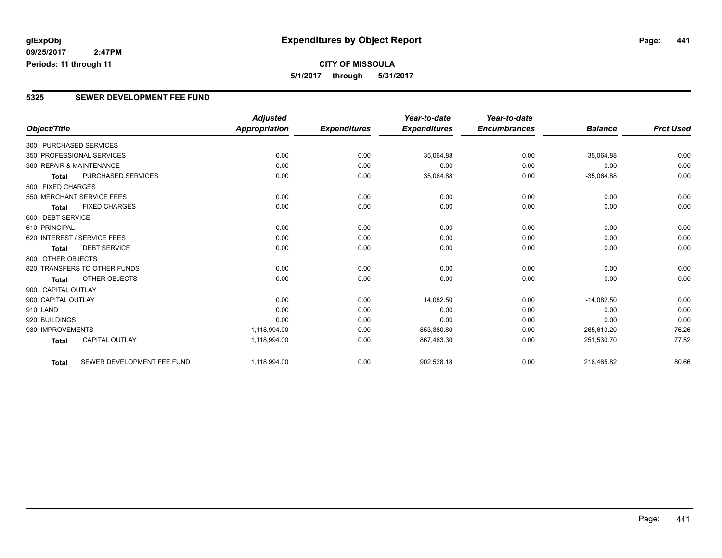### **CITY OF MISSOULA 5/1/2017 through 5/31/2017**

#### **5325 SEWER DEVELOPMENT FEE FUND**

|                        |                              | <b>Adjusted</b> |                     | Year-to-date        | Year-to-date        |                |                  |
|------------------------|------------------------------|-----------------|---------------------|---------------------|---------------------|----------------|------------------|
| Object/Title           |                              | Appropriation   | <b>Expenditures</b> | <b>Expenditures</b> | <b>Encumbrances</b> | <b>Balance</b> | <b>Prct Used</b> |
| 300 PURCHASED SERVICES |                              |                 |                     |                     |                     |                |                  |
|                        | 350 PROFESSIONAL SERVICES    | 0.00            | 0.00                | 35,064.88           | 0.00                | $-35,064.88$   | 0.00             |
|                        | 360 REPAIR & MAINTENANCE     | 0.00            | 0.00                | 0.00                | 0.00                | 0.00           | 0.00             |
| <b>Total</b>           | <b>PURCHASED SERVICES</b>    | 0.00            | 0.00                | 35,064.88           | 0.00                | $-35,064.88$   | 0.00             |
| 500 FIXED CHARGES      |                              |                 |                     |                     |                     |                |                  |
|                        | 550 MERCHANT SERVICE FEES    | 0.00            | 0.00                | 0.00                | 0.00                | 0.00           | 0.00             |
| <b>Total</b>           | <b>FIXED CHARGES</b>         | 0.00            | 0.00                | 0.00                | 0.00                | 0.00           | 0.00             |
| 600 DEBT SERVICE       |                              |                 |                     |                     |                     |                |                  |
| 610 PRINCIPAL          |                              | 0.00            | 0.00                | 0.00                | 0.00                | 0.00           | 0.00             |
|                        | 620 INTEREST / SERVICE FEES  | 0.00            | 0.00                | 0.00                | 0.00                | 0.00           | 0.00             |
| <b>Total</b>           | <b>DEBT SERVICE</b>          | 0.00            | 0.00                | 0.00                | 0.00                | 0.00           | 0.00             |
| 800 OTHER OBJECTS      |                              |                 |                     |                     |                     |                |                  |
|                        | 820 TRANSFERS TO OTHER FUNDS | 0.00            | 0.00                | 0.00                | 0.00                | 0.00           | 0.00             |
| <b>Total</b>           | <b>OTHER OBJECTS</b>         | 0.00            | 0.00                | 0.00                | 0.00                | 0.00           | 0.00             |
| 900 CAPITAL OUTLAY     |                              |                 |                     |                     |                     |                |                  |
| 900 CAPITAL OUTLAY     |                              | 0.00            | 0.00                | 14,082.50           | 0.00                | $-14,082.50$   | 0.00             |
| 910 LAND               |                              | 0.00            | 0.00                | 0.00                | 0.00                | 0.00           | 0.00             |
| 920 BUILDINGS          |                              | 0.00            | 0.00                | 0.00                | 0.00                | 0.00           | 0.00             |
| 930 IMPROVEMENTS       |                              | 1,118,994.00    | 0.00                | 853,380.80          | 0.00                | 265,613.20     | 76.26            |
| <b>Total</b>           | <b>CAPITAL OUTLAY</b>        | 1,118,994.00    | 0.00                | 867,463.30          | 0.00                | 251,530.70     | 77.52            |
| <b>Total</b>           | SEWER DEVELOPMENT FEE FUND   | 1,118,994.00    | 0.00                | 902,528.18          | 0.00                | 216,465.82     | 80.66            |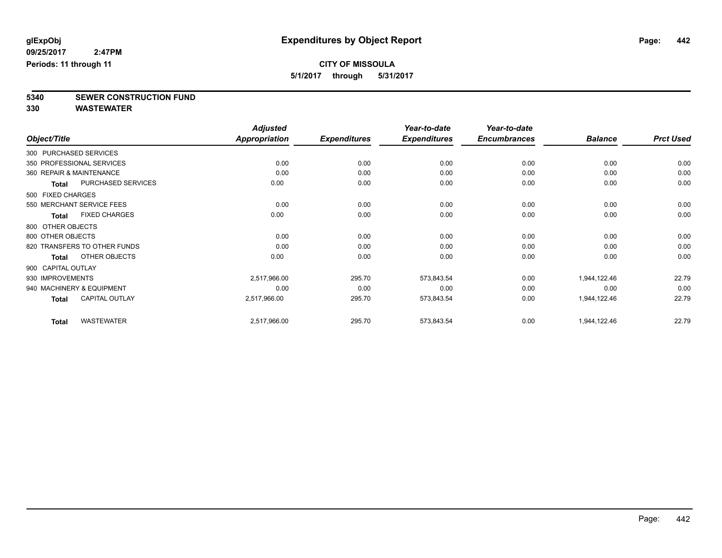**5/1/2017 through 5/31/2017**

**5340 SEWER CONSTRUCTION FUND**

|                  |                              | <b>Adjusted</b> |                     | Year-to-date        | Year-to-date        |                |                  |
|------------------|------------------------------|-----------------|---------------------|---------------------|---------------------|----------------|------------------|
| Object/Title     |                              | Appropriation   | <b>Expenditures</b> | <b>Expenditures</b> | <b>Encumbrances</b> | <b>Balance</b> | <b>Prct Used</b> |
|                  | 300 PURCHASED SERVICES       |                 |                     |                     |                     |                |                  |
|                  | 350 PROFESSIONAL SERVICES    | 0.00            | 0.00                | 0.00                | 0.00                | 0.00           | 0.00             |
|                  | 360 REPAIR & MAINTENANCE     | 0.00            | 0.00                | 0.00                | 0.00                | 0.00           | 0.00             |
| Total            | PURCHASED SERVICES           | 0.00            | 0.00                | 0.00                | 0.00                | 0.00           | 0.00             |
|                  | 500 FIXED CHARGES            |                 |                     |                     |                     |                |                  |
|                  | 550 MERCHANT SERVICE FEES    | 0.00            | 0.00                | 0.00                | 0.00                | 0.00           | 0.00             |
| <b>Total</b>     | <b>FIXED CHARGES</b>         | 0.00            | 0.00                | 0.00                | 0.00                | 0.00           | 0.00             |
|                  | 800 OTHER OBJECTS            |                 |                     |                     |                     |                |                  |
|                  | 800 OTHER OBJECTS            | 0.00            | 0.00                | 0.00                | 0.00                | 0.00           | 0.00             |
|                  | 820 TRANSFERS TO OTHER FUNDS | 0.00            | 0.00                | 0.00                | 0.00                | 0.00           | 0.00             |
| <b>Total</b>     | OTHER OBJECTS                | 0.00            | 0.00                | 0.00                | 0.00                | 0.00           | 0.00             |
|                  | 900 CAPITAL OUTLAY           |                 |                     |                     |                     |                |                  |
| 930 IMPROVEMENTS |                              | 2,517,966.00    | 295.70              | 573,843.54          | 0.00                | 1,944,122.46   | 22.79            |
|                  | 940 MACHINERY & EQUIPMENT    | 0.00            | 0.00                | 0.00                | 0.00                | 0.00           | 0.00             |
| <b>Total</b>     | <b>CAPITAL OUTLAY</b>        | 2,517,966.00    | 295.70              | 573,843.54          | 0.00                | 1,944,122.46   | 22.79            |
| <b>Total</b>     | <b>WASTEWATER</b>            | 2,517,966.00    | 295.70              | 573,843.54          | 0.00                | 1,944,122.46   | 22.79            |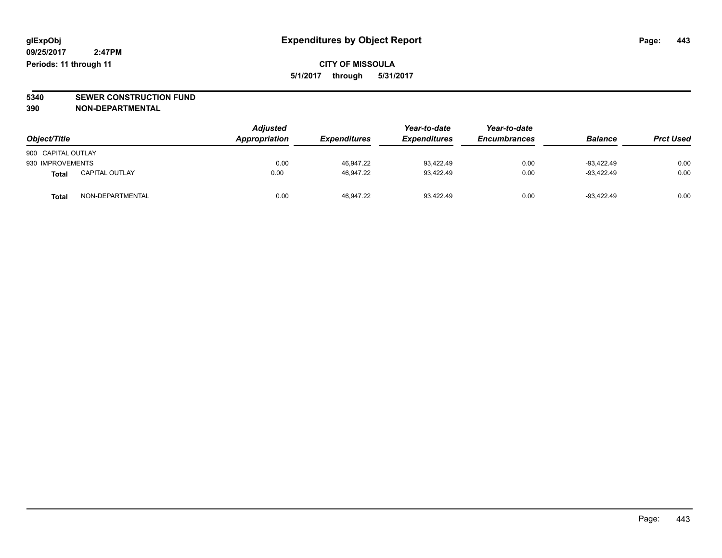**CITY OF MISSOULA 5/1/2017 through 5/31/2017**

**5340 SEWER CONSTRUCTION FUND**

**390 NON-DEPARTMENTAL**

| Object/Title       |                       | <b>Adjusted</b><br>Appropriation | <b>Expenditures</b> | Year-to-date<br><b>Expenditures</b> | Year-to-date<br><b>Encumbrances</b> | <b>Balance</b> | <b>Prct Used</b> |
|--------------------|-----------------------|----------------------------------|---------------------|-------------------------------------|-------------------------------------|----------------|------------------|
| 900 CAPITAL OUTLAY |                       |                                  |                     |                                     |                                     |                |                  |
| 930 IMPROVEMENTS   |                       | 0.00                             | 46,947.22           | 93,422.49                           | 0.00                                | $-93.422.49$   | 0.00             |
| <b>Total</b>       | <b>CAPITAL OUTLAY</b> | 0.00                             | 46,947.22           | 93.422.49                           | 0.00                                | -93.422.49     | 0.00             |
| Tota               | NON-DEPARTMENTAL      | 0.00                             | 46.947.22           | 93.422.49                           | 0.00                                | $-93.422.49$   | 0.00             |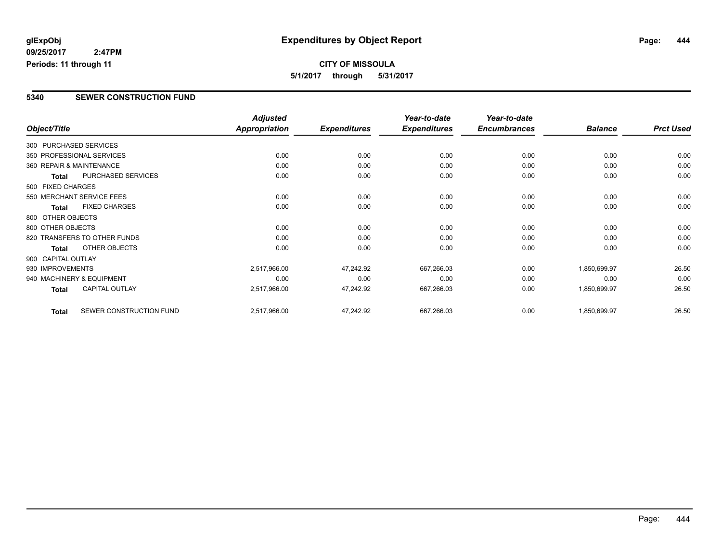**CITY OF MISSOULA 5/1/2017 through 5/31/2017**

#### **5340 SEWER CONSTRUCTION FUND**

|                                         | <b>Adjusted</b> |                     | Year-to-date        | Year-to-date        |                |                  |
|-----------------------------------------|-----------------|---------------------|---------------------|---------------------|----------------|------------------|
| Object/Title                            | Appropriation   | <b>Expenditures</b> | <b>Expenditures</b> | <b>Encumbrances</b> | <b>Balance</b> | <b>Prct Used</b> |
| 300 PURCHASED SERVICES                  |                 |                     |                     |                     |                |                  |
| 350 PROFESSIONAL SERVICES               | 0.00            | 0.00                | 0.00                | 0.00                | 0.00           | 0.00             |
| 360 REPAIR & MAINTENANCE                | 0.00            | 0.00                | 0.00                | 0.00                | 0.00           | 0.00             |
| PURCHASED SERVICES<br><b>Total</b>      | 0.00            | 0.00                | 0.00                | 0.00                | 0.00           | 0.00             |
| 500 FIXED CHARGES                       |                 |                     |                     |                     |                |                  |
| 550 MERCHANT SERVICE FEES               | 0.00            | 0.00                | 0.00                | 0.00                | 0.00           | 0.00             |
| <b>FIXED CHARGES</b><br><b>Total</b>    | 0.00            | 0.00                | 0.00                | 0.00                | 0.00           | 0.00             |
| 800 OTHER OBJECTS                       |                 |                     |                     |                     |                |                  |
| 800 OTHER OBJECTS                       | 0.00            | 0.00                | 0.00                | 0.00                | 0.00           | 0.00             |
| 820 TRANSFERS TO OTHER FUNDS            | 0.00            | 0.00                | 0.00                | 0.00                | 0.00           | 0.00             |
| OTHER OBJECTS<br><b>Total</b>           | 0.00            | 0.00                | 0.00                | 0.00                | 0.00           | 0.00             |
| 900 CAPITAL OUTLAY                      |                 |                     |                     |                     |                |                  |
| 930 IMPROVEMENTS                        | 2,517,966.00    | 47,242.92           | 667,266.03          | 0.00                | 1,850,699.97   | 26.50            |
| 940 MACHINERY & EQUIPMENT               | 0.00            | 0.00                | 0.00                | 0.00                | 0.00           | 0.00             |
| <b>CAPITAL OUTLAY</b><br><b>Total</b>   | 2,517,966.00    | 47,242.92           | 667,266.03          | 0.00                | 1,850,699.97   | 26.50            |
| SEWER CONSTRUCTION FUND<br><b>Total</b> | 2,517,966.00    | 47,242.92           | 667,266.03          | 0.00                | 1,850,699.97   | 26.50            |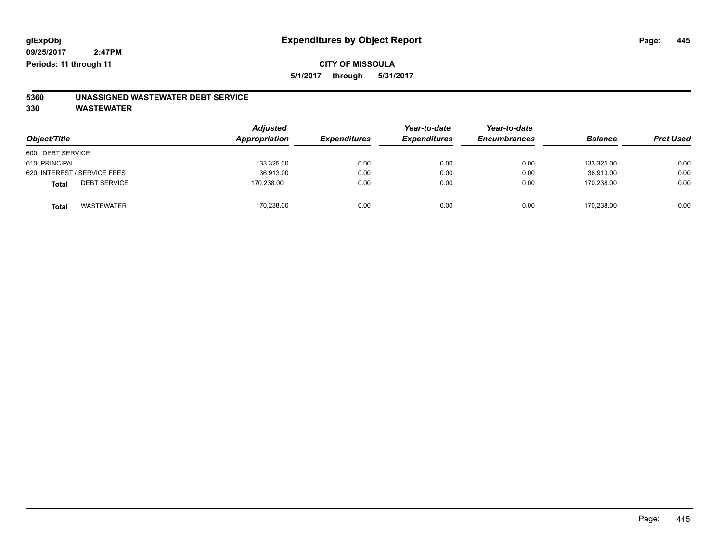**5/1/2017 through 5/31/2017**

# **5360 UNASSIGNED WASTEWATER DEBT SERVICE**

| Object/Title                 | <b>Adjusted</b><br>Appropriation | <b>Expenditures</b> | Year-to-date<br><b>Expenditures</b> | Year-to-date<br><b>Encumbrances</b> | <b>Balance</b> | <b>Prct Used</b> |
|------------------------------|----------------------------------|---------------------|-------------------------------------|-------------------------------------|----------------|------------------|
| 600 DEBT SERVICE             |                                  |                     |                                     |                                     |                |                  |
| 610 PRINCIPAL                | 133,325.00                       | 0.00                | 0.00                                | 0.00                                | 133.325.00     | 0.00             |
| 620 INTEREST / SERVICE FEES  | 36,913.00                        | 0.00                | 0.00                                | 0.00                                | 36.913.00      | 0.00             |
| <b>DEBT SERVICE</b><br>Total | 170,238.00                       | 0.00                | 0.00                                | 0.00                                | 170.238.00     | 0.00             |
| <b>WASTEWATER</b><br>Total   | 170,238.00                       | 0.00                | 0.00                                | 0.00                                | 170.238.00     | 0.00             |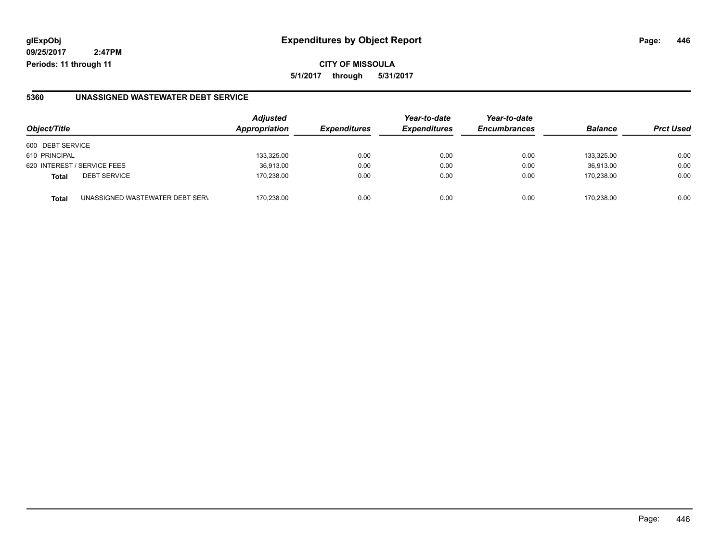### **glExpObj Expenditures by Object Report Page: 446**

**09/25/2017 2:47PM Periods: 11 through 11**

**CITY OF MISSOULA 5/1/2017 through 5/31/2017**

#### **5360 UNASSIGNED WASTEWATER DEBT SERVICE**

| Object/Title                                    | <b>Adjusted</b><br>Appropriation | <b>Expenditures</b> | Year-to-date<br><b>Expenditures</b> | Year-to-date<br><b>Encumbrances</b> | <b>Balance</b> | <b>Prct Used</b> |
|-------------------------------------------------|----------------------------------|---------------------|-------------------------------------|-------------------------------------|----------------|------------------|
| 600 DEBT SERVICE                                |                                  |                     |                                     |                                     |                |                  |
| 610 PRINCIPAL                                   | 133,325.00                       | 0.00                | 0.00                                | 0.00                                | 133.325.00     | 0.00             |
| 620 INTEREST / SERVICE FEES                     | 36,913.00                        | 0.00                | 0.00                                | 0.00                                | 36.913.00      | 0.00             |
| <b>DEBT SERVICE</b><br><b>Total</b>             | 170.238.00                       | 0.00                | 0.00                                | 0.00                                | 170.238.00     | 0.00             |
| UNASSIGNED WASTEWATER DEBT SERV<br><b>Total</b> | 170.238.00                       | 0.00                | 0.00                                | 0.00                                | 170.238.00     | 0.00             |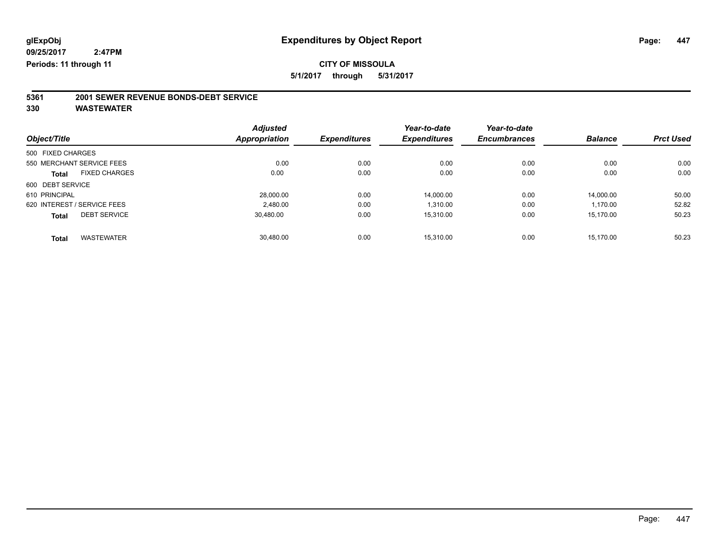**5/1/2017 through 5/31/2017**

# **5361 2001 SEWER REVENUE BONDS-DEBT SERVICE**

| Object/Title      |                             | <b>Adjusted</b><br>Appropriation | <b>Expenditures</b> | Year-to-date<br><b>Expenditures</b> | Year-to-date<br><b>Encumbrances</b> | <b>Balance</b> | <b>Prct Used</b> |
|-------------------|-----------------------------|----------------------------------|---------------------|-------------------------------------|-------------------------------------|----------------|------------------|
|                   |                             |                                  |                     |                                     |                                     |                |                  |
| 500 FIXED CHARGES |                             |                                  |                     |                                     |                                     |                |                  |
|                   | 550 MERCHANT SERVICE FEES   | 0.00                             | 0.00                | 0.00                                | 0.00                                | 0.00           | 0.00             |
| <b>Total</b>      | <b>FIXED CHARGES</b>        | 0.00                             | 0.00                | 0.00                                | 0.00                                | 0.00           | 0.00             |
| 600 DEBT SERVICE  |                             |                                  |                     |                                     |                                     |                |                  |
| 610 PRINCIPAL     |                             | 28,000.00                        | 0.00                | 14.000.00                           | 0.00                                | 14.000.00      | 50.00            |
|                   | 620 INTEREST / SERVICE FEES | 2.480.00                         | 0.00                | 1.310.00                            | 0.00                                | 1.170.00       | 52.82            |
| <b>Total</b>      | <b>DEBT SERVICE</b>         | 30,480.00                        | 0.00                | 15,310.00                           | 0.00                                | 15,170.00      | 50.23            |
| <b>Total</b>      | <b>WASTEWATER</b>           | 30.480.00                        | 0.00                | 15.310.00                           | 0.00                                | 15.170.00      | 50.23            |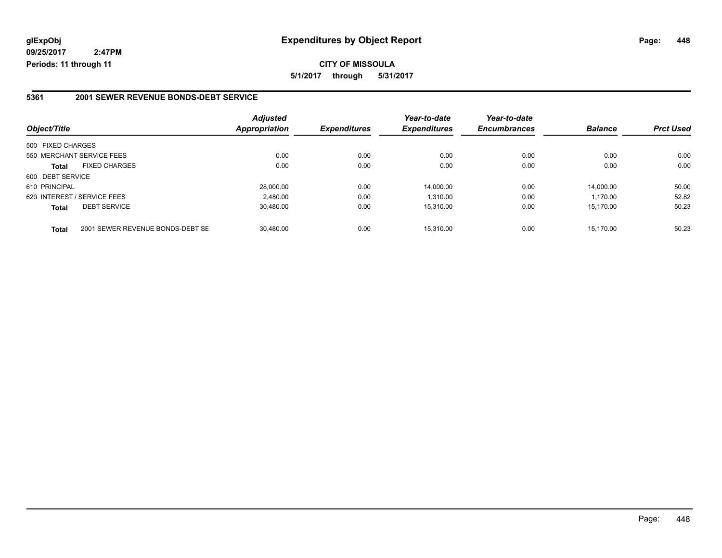**CITY OF MISSOULA 5/1/2017 through 5/31/2017**

#### **5361 2001 SEWER REVENUE BONDS-DEBT SERVICE**

|                             |                                  | <b>Adjusted</b> |                     | Year-to-date        | Year-to-date        | <b>Balance</b> | <b>Prct Used</b> |
|-----------------------------|----------------------------------|-----------------|---------------------|---------------------|---------------------|----------------|------------------|
| Object/Title                |                                  | Appropriation   | <b>Expenditures</b> | <b>Expenditures</b> | <b>Encumbrances</b> |                |                  |
| 500 FIXED CHARGES           |                                  |                 |                     |                     |                     |                |                  |
| 550 MERCHANT SERVICE FEES   |                                  | 0.00            | 0.00                | 0.00                | 0.00                | 0.00           | 0.00             |
| <b>Total</b>                | <b>FIXED CHARGES</b>             | 0.00            | 0.00                | 0.00                | 0.00                | 0.00           | 0.00             |
| 600 DEBT SERVICE            |                                  |                 |                     |                     |                     |                |                  |
| 610 PRINCIPAL               |                                  | 28,000.00       | 0.00                | 14.000.00           | 0.00                | 14.000.00      | 50.00            |
| 620 INTEREST / SERVICE FEES |                                  | 2,480.00        | 0.00                | 1,310.00            | 0.00                | 1.170.00       | 52.82            |
| <b>Total</b>                | <b>DEBT SERVICE</b>              | 30,480.00       | 0.00                | 15.310.00           | 0.00                | 15.170.00      | 50.23            |
| <b>Total</b>                | 2001 SEWER REVENUE BONDS-DEBT SE | 30.480.00       | 0.00                | 15.310.00           | 0.00                | 15.170.00      | 50.23            |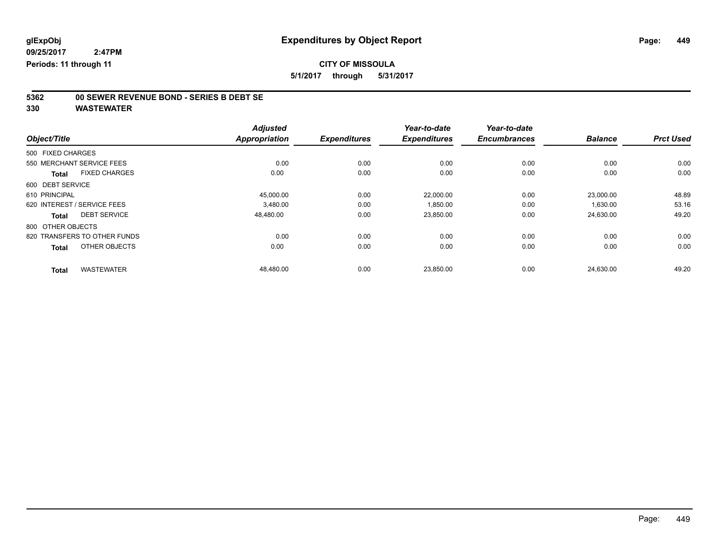**5/1/2017 through 5/31/2017**

# **5362 00 SEWER REVENUE BOND - SERIES B DEBT SE**

|                              |                      | <b>Adjusted</b> | <b>Expenditures</b> | Year-to-date<br><b>Expenditures</b> | Year-to-date<br><b>Encumbrances</b> | <b>Balance</b> | <b>Prct Used</b> |
|------------------------------|----------------------|-----------------|---------------------|-------------------------------------|-------------------------------------|----------------|------------------|
| Object/Title                 |                      | Appropriation   |                     |                                     |                                     |                |                  |
| 500 FIXED CHARGES            |                      |                 |                     |                                     |                                     |                |                  |
| 550 MERCHANT SERVICE FEES    |                      | 0.00            | 0.00                | 0.00                                | 0.00                                | 0.00           | 0.00             |
| <b>Total</b>                 | <b>FIXED CHARGES</b> | 0.00            | 0.00                | 0.00                                | 0.00                                | 0.00           | 0.00             |
| 600 DEBT SERVICE             |                      |                 |                     |                                     |                                     |                |                  |
| 610 PRINCIPAL                |                      | 45,000.00       | 0.00                | 22,000.00                           | 0.00                                | 23,000.00      | 48.89            |
| 620 INTEREST / SERVICE FEES  |                      | 3.480.00        | 0.00                | 1.850.00                            | 0.00                                | 1,630.00       | 53.16            |
| Total                        | <b>DEBT SERVICE</b>  | 48,480.00       | 0.00                | 23,850.00                           | 0.00                                | 24,630.00      | 49.20            |
| 800 OTHER OBJECTS            |                      |                 |                     |                                     |                                     |                |                  |
| 820 TRANSFERS TO OTHER FUNDS |                      | 0.00            | 0.00                | 0.00                                | 0.00                                | 0.00           | 0.00             |
| <b>Total</b>                 | OTHER OBJECTS        | 0.00            | 0.00                | 0.00                                | 0.00                                | 0.00           | 0.00             |
| <b>Total</b>                 | <b>WASTEWATER</b>    | 48,480.00       | 0.00                | 23,850.00                           | 0.00                                | 24,630.00      | 49.20            |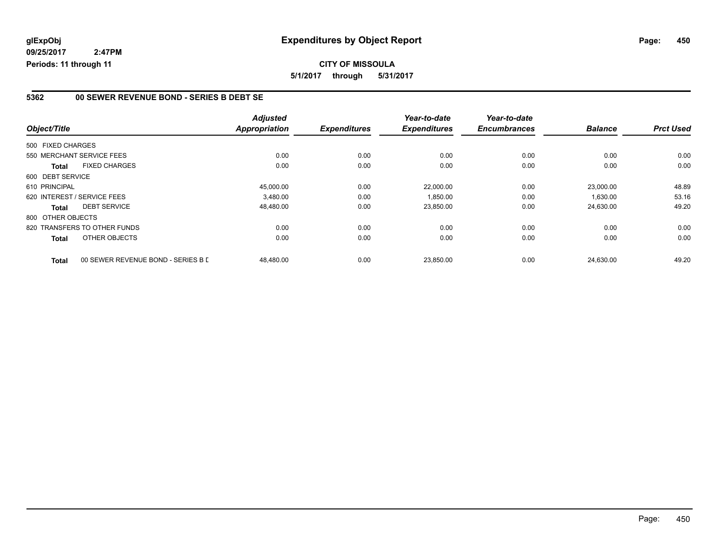#### **5362 00 SEWER REVENUE BOND - SERIES B DEBT SE**

| Object/Title      |                                    | <b>Adjusted</b><br>Appropriation | <b>Expenditures</b> | Year-to-date<br><b>Expenditures</b> | Year-to-date<br><b>Encumbrances</b> | <b>Balance</b> | <b>Prct Used</b> |
|-------------------|------------------------------------|----------------------------------|---------------------|-------------------------------------|-------------------------------------|----------------|------------------|
|                   |                                    |                                  |                     |                                     |                                     |                |                  |
| 500 FIXED CHARGES |                                    |                                  |                     |                                     |                                     |                |                  |
|                   | 550 MERCHANT SERVICE FEES          | 0.00                             | 0.00                | 0.00                                | 0.00                                | 0.00           | 0.00             |
| <b>Total</b>      | <b>FIXED CHARGES</b>               | 0.00                             | 0.00                | 0.00                                | 0.00                                | 0.00           | 0.00             |
| 600 DEBT SERVICE  |                                    |                                  |                     |                                     |                                     |                |                  |
| 610 PRINCIPAL     |                                    | 45,000.00                        | 0.00                | 22.000.00                           | 0.00                                | 23.000.00      | 48.89            |
|                   | 620 INTEREST / SERVICE FEES        | 3,480.00                         | 0.00                | 1,850.00                            | 0.00                                | 1,630.00       | 53.16            |
| <b>Total</b>      | <b>DEBT SERVICE</b>                | 48,480.00                        | 0.00                | 23,850.00                           | 0.00                                | 24,630.00      | 49.20            |
| 800 OTHER OBJECTS |                                    |                                  |                     |                                     |                                     |                |                  |
|                   | 820 TRANSFERS TO OTHER FUNDS       | 0.00                             | 0.00                | 0.00                                | 0.00                                | 0.00           | 0.00             |
| Total             | OTHER OBJECTS                      | 0.00                             | 0.00                | 0.00                                | 0.00                                | 0.00           | 0.00             |
| <b>Total</b>      | 00 SEWER REVENUE BOND - SERIES B L | 48.480.00                        | 0.00                | 23,850.00                           | 0.00                                | 24.630.00      | 49.20            |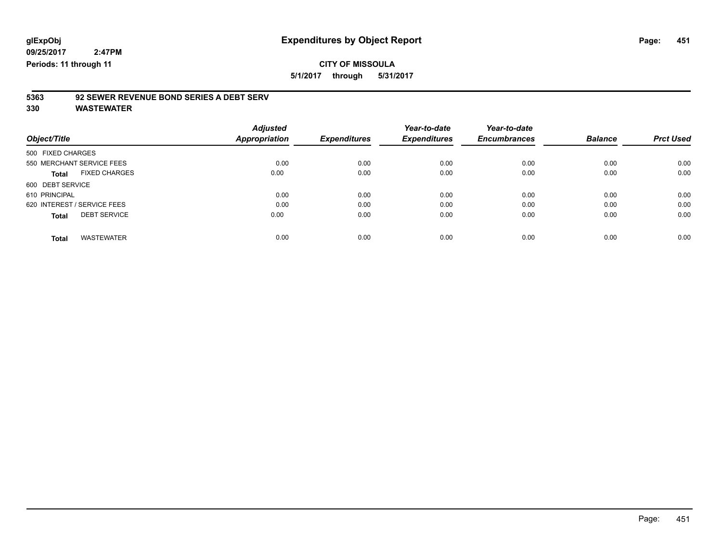**5/1/2017 through 5/31/2017**

# **5363 92 SEWER REVENUE BOND SERIES A DEBT SERV**

| Object/Title                         | <b>Adjusted</b><br>Appropriation | <b>Expenditures</b> | Year-to-date<br><b>Expenditures</b> | Year-to-date<br><b>Encumbrances</b> | <b>Balance</b> | <b>Prct Used</b> |
|--------------------------------------|----------------------------------|---------------------|-------------------------------------|-------------------------------------|----------------|------------------|
| 500 FIXED CHARGES                    |                                  |                     |                                     |                                     |                |                  |
| 550 MERCHANT SERVICE FEES            | 0.00                             | 0.00                | 0.00                                | 0.00                                | 0.00           | 0.00             |
| <b>FIXED CHARGES</b><br><b>Total</b> | 0.00                             | 0.00                | 0.00                                | 0.00                                | 0.00           | 0.00             |
| 600 DEBT SERVICE                     |                                  |                     |                                     |                                     |                |                  |
| 610 PRINCIPAL                        | 0.00                             | 0.00                | 0.00                                | 0.00                                | 0.00           | 0.00             |
| 620 INTEREST / SERVICE FEES          | 0.00                             | 0.00                | 0.00                                | 0.00                                | 0.00           | 0.00             |
| <b>DEBT SERVICE</b><br><b>Total</b>  | 0.00                             | 0.00                | 0.00                                | 0.00                                | 0.00           | 0.00             |
| <b>WASTEWATER</b><br><b>Total</b>    | 0.00                             | 0.00                | 0.00                                | 0.00                                | 0.00           | 0.00             |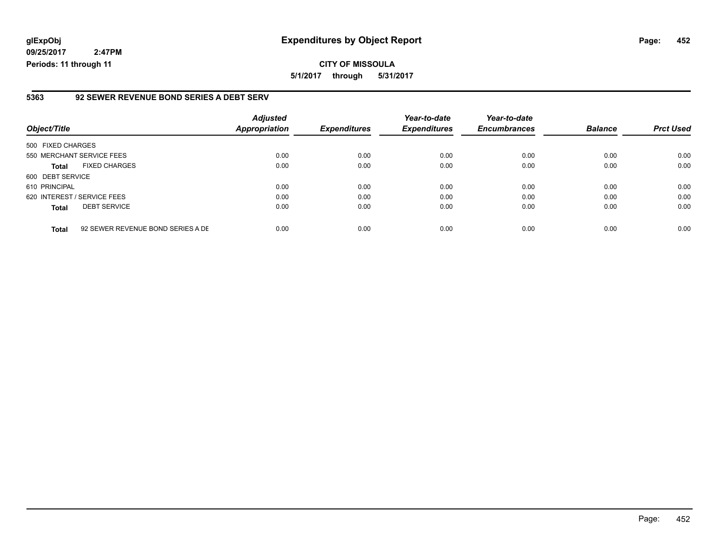### **glExpObj Expenditures by Object Report Page: 452**

**09/25/2017 2:47PM Periods: 11 through 11**

#### **5363 92 SEWER REVENUE BOND SERIES A DEBT SERV**

| Object/Title                |                                   | <b>Adjusted</b><br><b>Appropriation</b> | <b>Expenditures</b> | Year-to-date<br><b>Expenditures</b> | Year-to-date<br><b>Encumbrances</b> | <b>Balance</b> | <b>Prct Used</b> |
|-----------------------------|-----------------------------------|-----------------------------------------|---------------------|-------------------------------------|-------------------------------------|----------------|------------------|
| 500 FIXED CHARGES           |                                   |                                         |                     |                                     |                                     |                |                  |
| 550 MERCHANT SERVICE FEES   |                                   | 0.00                                    | 0.00                | 0.00                                | 0.00                                | 0.00           | 0.00             |
| <b>Total</b>                | <b>FIXED CHARGES</b>              | 0.00                                    | 0.00                | 0.00                                | 0.00                                | 0.00           | 0.00             |
| 600 DEBT SERVICE            |                                   |                                         |                     |                                     |                                     |                |                  |
| 610 PRINCIPAL               |                                   | 0.00                                    | 0.00                | 0.00                                | 0.00                                | 0.00           | 0.00             |
| 620 INTEREST / SERVICE FEES |                                   | 0.00                                    | 0.00                | 0.00                                | 0.00                                | 0.00           | 0.00             |
| <b>Total</b>                | <b>DEBT SERVICE</b>               | 0.00                                    | 0.00                | 0.00                                | 0.00                                | 0.00           | 0.00             |
| <b>Total</b>                | 92 SEWER REVENUE BOND SERIES A DE | 0.00                                    | 0.00                | 0.00                                | 0.00                                | 0.00           | 0.00             |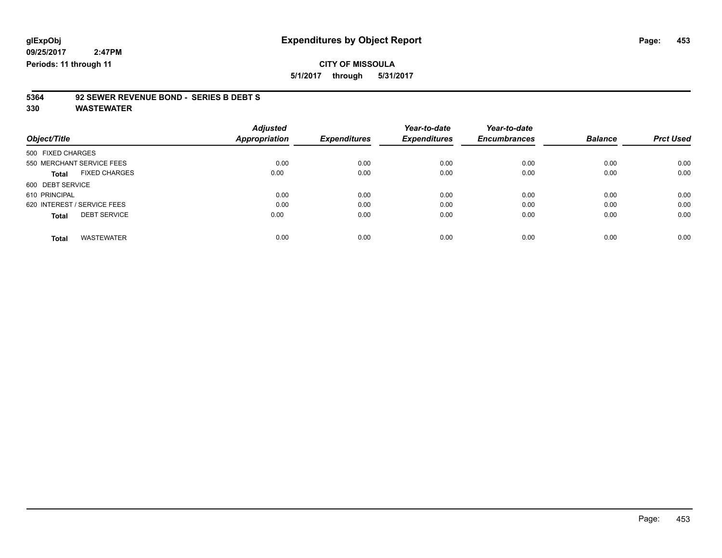**5/1/2017 through 5/31/2017**

# **5364 92 SEWER REVENUE BOND - SERIES B DEBT S**

|                             |                      | <b>Adjusted</b> |                     | Year-to-date        | Year-to-date        |                |                  |
|-----------------------------|----------------------|-----------------|---------------------|---------------------|---------------------|----------------|------------------|
| Object/Title                |                      | Appropriation   | <b>Expenditures</b> | <b>Expenditures</b> | <b>Encumbrances</b> | <b>Balance</b> | <b>Prct Used</b> |
| 500 FIXED CHARGES           |                      |                 |                     |                     |                     |                |                  |
| 550 MERCHANT SERVICE FEES   |                      | 0.00            | 0.00                | 0.00                | 0.00                | 0.00           | 0.00             |
| <b>Total</b>                | <b>FIXED CHARGES</b> | 0.00            | 0.00                | 0.00                | 0.00                | 0.00           | 0.00             |
| 600 DEBT SERVICE            |                      |                 |                     |                     |                     |                |                  |
| 610 PRINCIPAL               |                      | 0.00            | 0.00                | 0.00                | 0.00                | 0.00           | 0.00             |
| 620 INTEREST / SERVICE FEES |                      | 0.00            | 0.00                | 0.00                | 0.00                | 0.00           | 0.00             |
| <b>Total</b>                | <b>DEBT SERVICE</b>  | 0.00            | 0.00                | 0.00                | 0.00                | 0.00           | 0.00             |
|                             |                      |                 |                     |                     |                     |                |                  |
| <b>Total</b>                | <b>WASTEWATER</b>    | 0.00            | 0.00                | 0.00                | 0.00                | 0.00           | 0.00             |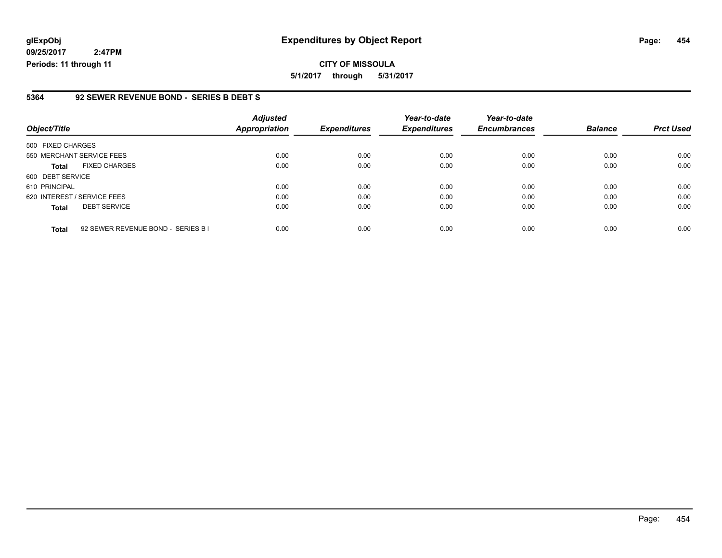### **glExpObj Expenditures by Object Report Page: 454**

**09/25/2017 2:47PM Periods: 11 through 11**

#### **5364 92 SEWER REVENUE BOND - SERIES B DEBT S**

| Object/Title                                       | <b>Adjusted</b><br>Appropriation | <b>Expenditures</b> | Year-to-date<br><b>Expenditures</b> | Year-to-date<br><b>Encumbrances</b> | <b>Balance</b> | <b>Prct Used</b> |
|----------------------------------------------------|----------------------------------|---------------------|-------------------------------------|-------------------------------------|----------------|------------------|
| 500 FIXED CHARGES                                  |                                  |                     |                                     |                                     |                |                  |
| 550 MERCHANT SERVICE FEES                          | 0.00                             | 0.00                | 0.00                                | 0.00                                | 0.00           | 0.00             |
| <b>FIXED CHARGES</b><br><b>Total</b>               | 0.00                             | 0.00                | 0.00                                | 0.00                                | 0.00           | 0.00             |
| 600 DEBT SERVICE                                   |                                  |                     |                                     |                                     |                |                  |
| 610 PRINCIPAL                                      | 0.00                             | 0.00                | 0.00                                | 0.00                                | 0.00           | 0.00             |
| 620 INTEREST / SERVICE FEES                        | 0.00                             | 0.00                | 0.00                                | 0.00                                | 0.00           | 0.00             |
| <b>DEBT SERVICE</b><br><b>Total</b>                | 0.00                             | 0.00                | 0.00                                | 0.00                                | 0.00           | 0.00             |
| 92 SEWER REVENUE BOND - SERIES B I<br><b>Total</b> | 0.00                             | 0.00                | 0.00                                | 0.00                                | 0.00           | 0.00             |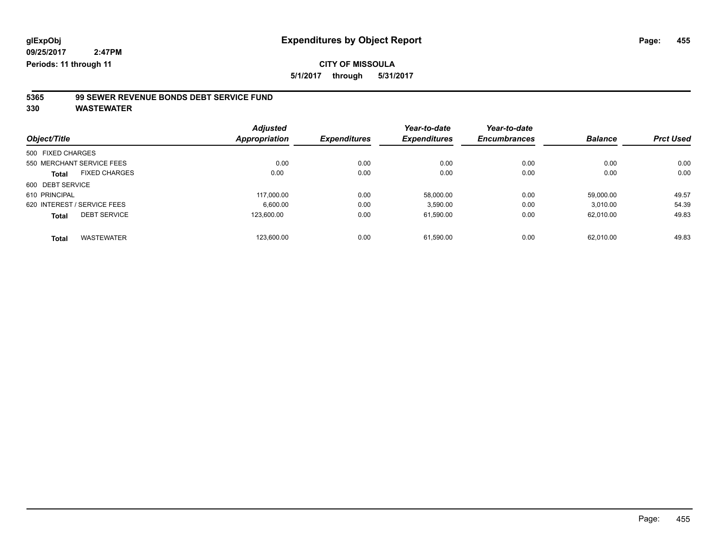**5/1/2017 through 5/31/2017**

# **5365 99 SEWER REVENUE BONDS DEBT SERVICE FUND**

|                   |                             | <b>Adjusted</b>      |                     | Year-to-date        | Year-to-date        |                |                  |
|-------------------|-----------------------------|----------------------|---------------------|---------------------|---------------------|----------------|------------------|
| Object/Title      |                             | <b>Appropriation</b> | <b>Expenditures</b> | <b>Expenditures</b> | <b>Encumbrances</b> | <b>Balance</b> | <b>Prct Used</b> |
| 500 FIXED CHARGES |                             |                      |                     |                     |                     |                |                  |
|                   | 550 MERCHANT SERVICE FEES   | 0.00                 | 0.00                | 0.00                | 0.00                | 0.00           | 0.00             |
| <b>Total</b>      | <b>FIXED CHARGES</b>        | 0.00                 | 0.00                | 0.00                | 0.00                | 0.00           | 0.00             |
| 600 DEBT SERVICE  |                             |                      |                     |                     |                     |                |                  |
| 610 PRINCIPAL     |                             | 117.000.00           | 0.00                | 58.000.00           | 0.00                | 59.000.00      | 49.57            |
|                   | 620 INTEREST / SERVICE FEES | 6.600.00             | 0.00                | 3,590.00            | 0.00                | 3,010.00       | 54.39            |
| <b>Total</b>      | <b>DEBT SERVICE</b>         | 123,600.00           | 0.00                | 61,590.00           | 0.00                | 62,010.00      | 49.83            |
| <b>Total</b>      | <b>WASTEWATER</b>           | 123.600.00           | 0.00                | 61.590.00           | 0.00                | 62.010.00      | 49.83            |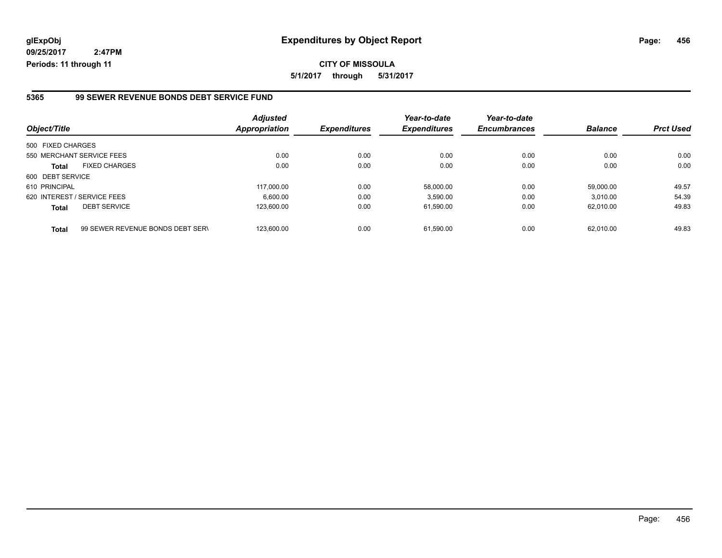#### **5365 99 SEWER REVENUE BONDS DEBT SERVICE FUND**

| Object/Title      |                                  | <b>Adjusted</b><br><b>Appropriation</b> | <b>Expenditures</b> | Year-to-date<br><b>Expenditures</b> | Year-to-date<br><b>Encumbrances</b> | <b>Balance</b> | <b>Prct Used</b> |
|-------------------|----------------------------------|-----------------------------------------|---------------------|-------------------------------------|-------------------------------------|----------------|------------------|
| 500 FIXED CHARGES |                                  |                                         |                     |                                     |                                     |                |                  |
|                   | 550 MERCHANT SERVICE FEES        | 0.00                                    | 0.00                | 0.00                                | 0.00                                | 0.00           | 0.00             |
| <b>Total</b>      | <b>FIXED CHARGES</b>             | 0.00                                    | 0.00                | 0.00                                | 0.00                                | 0.00           | 0.00             |
| 600 DEBT SERVICE  |                                  |                                         |                     |                                     |                                     |                |                  |
| 610 PRINCIPAL     |                                  | 117.000.00                              | 0.00                | 58.000.00                           | 0.00                                | 59.000.00      | 49.57            |
|                   | 620 INTEREST / SERVICE FEES      | 6.600.00                                | 0.00                | 3.590.00                            | 0.00                                | 3.010.00       | 54.39            |
| <b>Total</b>      | <b>DEBT SERVICE</b>              | 123.600.00                              | 0.00                | 61,590.00                           | 0.00                                | 62.010.00      | 49.83            |
| <b>Total</b>      | 99 SEWER REVENUE BONDS DEBT SERV | 123.600.00                              | 0.00                | 61.590.00                           | 0.00                                | 62.010.00      | 49.83            |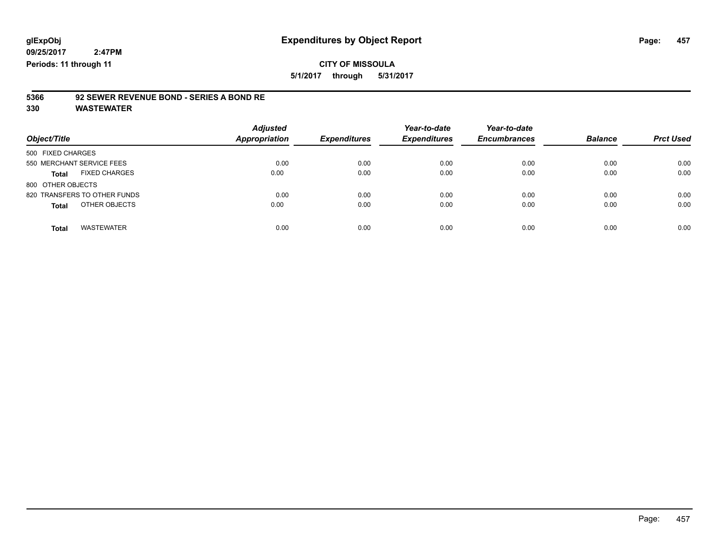**5/1/2017 through 5/31/2017**

# **5366 92 SEWER REVENUE BOND - SERIES A BOND RE**

| Object/Title                         | <b>Adjusted</b><br><b>Appropriation</b> | <b>Expenditures</b> | Year-to-date<br><b>Expenditures</b> | Year-to-date<br><b>Encumbrances</b> | <b>Balance</b> | <b>Prct Used</b> |
|--------------------------------------|-----------------------------------------|---------------------|-------------------------------------|-------------------------------------|----------------|------------------|
| 500 FIXED CHARGES                    |                                         |                     |                                     |                                     |                |                  |
| 550 MERCHANT SERVICE FEES            | 0.00                                    | 0.00                | 0.00                                | 0.00                                | 0.00           | 0.00             |
| <b>FIXED CHARGES</b><br><b>Total</b> | 0.00                                    | 0.00                | 0.00                                | 0.00                                | 0.00           | 0.00             |
| 800 OTHER OBJECTS                    |                                         |                     |                                     |                                     |                |                  |
| 820 TRANSFERS TO OTHER FUNDS         | 0.00                                    | 0.00                | 0.00                                | 0.00                                | 0.00           | 0.00             |
| OTHER OBJECTS<br><b>Total</b>        | 0.00                                    | 0.00                | 0.00                                | 0.00                                | 0.00           | 0.00             |
| <b>WASTEWATER</b><br><b>Total</b>    | 0.00                                    | 0.00                | 0.00                                | 0.00                                | 0.00           | 0.00             |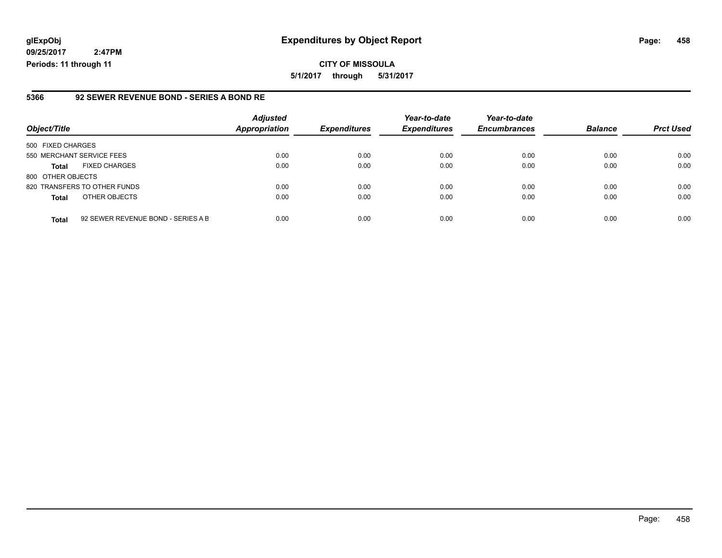### **glExpObj Expenditures by Object Report Page: 458**

**09/25/2017 2:47PM Periods: 11 through 11**

#### **5366 92 SEWER REVENUE BOND - SERIES A BOND RE**

| Object/Title              |                                    | <b>Adjusted</b><br><b>Appropriation</b> | <b>Expenditures</b> | Year-to-date<br><b>Expenditures</b> | Year-to-date<br><b>Encumbrances</b> | <b>Balance</b> | <b>Prct Used</b> |
|---------------------------|------------------------------------|-----------------------------------------|---------------------|-------------------------------------|-------------------------------------|----------------|------------------|
| 500 FIXED CHARGES         |                                    |                                         |                     |                                     |                                     |                |                  |
| 550 MERCHANT SERVICE FEES |                                    | 0.00                                    | 0.00                | 0.00                                | 0.00                                | 0.00           | 0.00             |
| <b>Total</b>              | <b>FIXED CHARGES</b>               | 0.00                                    | 0.00                | 0.00                                | 0.00                                | 0.00           | 0.00             |
| 800 OTHER OBJECTS         |                                    |                                         |                     |                                     |                                     |                |                  |
|                           | 820 TRANSFERS TO OTHER FUNDS       | 0.00                                    | 0.00                | 0.00                                | 0.00                                | 0.00           | 0.00             |
| <b>Total</b>              | OTHER OBJECTS                      | 0.00                                    | 0.00                | 0.00                                | 0.00                                | 0.00           | 0.00             |
| <b>Total</b>              | 92 SEWER REVENUE BOND - SERIES A B | 0.00                                    | 0.00                | 0.00                                | 0.00                                | 0.00           | 0.00             |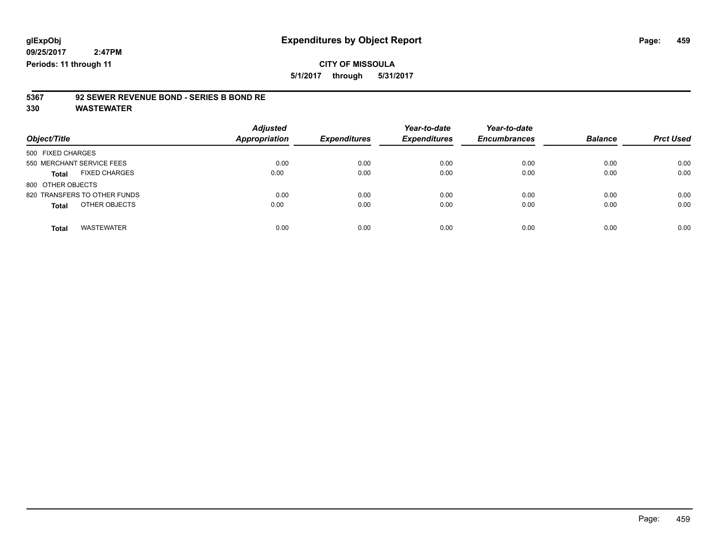**5/1/2017 through 5/31/2017**

# **5367 92 SEWER REVENUE BOND - SERIES B BOND RE**

| Object/Title                      | <b>Adjusted</b><br><b>Appropriation</b> | <b>Expenditures</b> | Year-to-date<br><b>Expenditures</b> | Year-to-date<br><b>Encumbrances</b> | <b>Balance</b> | <b>Prct Used</b> |
|-----------------------------------|-----------------------------------------|---------------------|-------------------------------------|-------------------------------------|----------------|------------------|
| 500 FIXED CHARGES                 |                                         |                     |                                     |                                     |                |                  |
| 550 MERCHANT SERVICE FEES         | 0.00                                    | 0.00                | 0.00                                | 0.00                                | 0.00           | 0.00             |
| <b>FIXED CHARGES</b><br>Total     | 0.00                                    | 0.00                | 0.00                                | 0.00                                | 0.00           | 0.00             |
| 800 OTHER OBJECTS                 |                                         |                     |                                     |                                     |                |                  |
| 820 TRANSFERS TO OTHER FUNDS      | 0.00                                    | 0.00                | 0.00                                | 0.00                                | 0.00           | 0.00             |
| OTHER OBJECTS<br><b>Total</b>     | 0.00                                    | 0.00                | 0.00                                | 0.00                                | 0.00           | 0.00             |
| <b>WASTEWATER</b><br><b>Total</b> | 0.00                                    | 0.00                | 0.00                                | 0.00                                | 0.00           | 0.00             |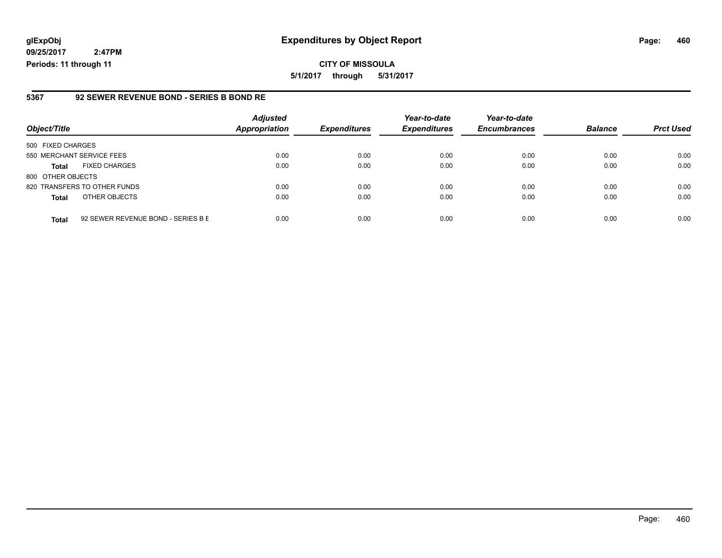### **glExpObj Expenditures by Object Report Page: 460**

**09/25/2017 2:47PM Periods: 11 through 11**

#### **5367 92 SEWER REVENUE BOND - SERIES B BOND RE**

| Object/Title              |                                    | <b>Adjusted</b><br><b>Appropriation</b> | <b>Expenditures</b> | Year-to-date<br><b>Expenditures</b> | Year-to-date<br><b>Encumbrances</b> | <b>Balance</b> | <b>Prct Used</b> |
|---------------------------|------------------------------------|-----------------------------------------|---------------------|-------------------------------------|-------------------------------------|----------------|------------------|
| 500 FIXED CHARGES         |                                    |                                         |                     |                                     |                                     |                |                  |
| 550 MERCHANT SERVICE FEES |                                    | 0.00                                    | 0.00                | 0.00                                | 0.00                                | 0.00           | 0.00             |
| <b>Total</b>              | <b>FIXED CHARGES</b>               | 0.00                                    | 0.00                | 0.00                                | 0.00                                | 0.00           | 0.00             |
| 800 OTHER OBJECTS         |                                    |                                         |                     |                                     |                                     |                |                  |
|                           | 820 TRANSFERS TO OTHER FUNDS       | 0.00                                    | 0.00                | 0.00                                | 0.00                                | 0.00           | 0.00             |
| <b>Total</b>              | OTHER OBJECTS                      | 0.00                                    | 0.00                | 0.00                                | 0.00                                | 0.00           | 0.00             |
| <b>Total</b>              | 92 SEWER REVENUE BOND - SERIES B E | 0.00                                    | 0.00                | 0.00                                | 0.00                                | 0.00           | 0.00             |

Page: 460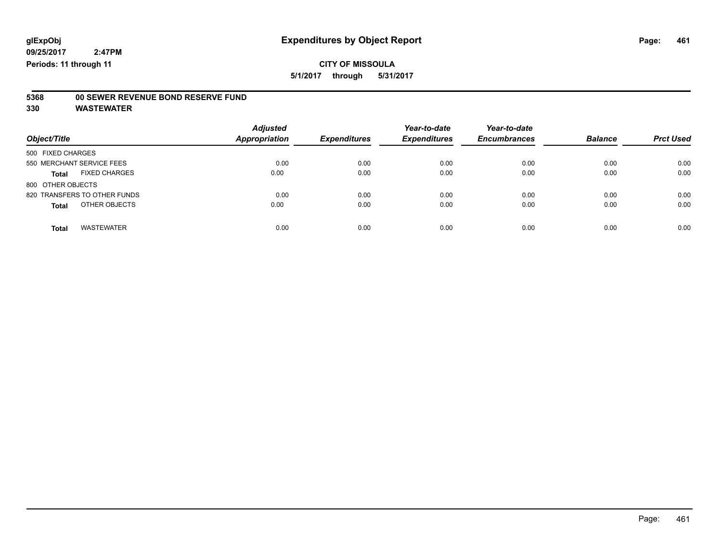**5/1/2017 through 5/31/2017**

# **5368 00 SEWER REVENUE BOND RESERVE FUND**

| Object/Title                         | <b>Adjusted</b><br><b>Appropriation</b> | <b>Expenditures</b> | Year-to-date<br><b>Expenditures</b> | Year-to-date<br><b>Encumbrances</b> | <b>Balance</b> | <b>Prct Used</b> |
|--------------------------------------|-----------------------------------------|---------------------|-------------------------------------|-------------------------------------|----------------|------------------|
| 500 FIXED CHARGES                    |                                         |                     |                                     |                                     |                |                  |
| 550 MERCHANT SERVICE FEES            | 0.00                                    | 0.00                | 0.00                                | 0.00                                | 0.00           | 0.00             |
| <b>FIXED CHARGES</b><br><b>Total</b> | 0.00                                    | 0.00                | 0.00                                | 0.00                                | 0.00           | 0.00             |
| 800 OTHER OBJECTS                    |                                         |                     |                                     |                                     |                |                  |
| 820 TRANSFERS TO OTHER FUNDS         | 0.00                                    | 0.00                | 0.00                                | 0.00                                | 0.00           | 0.00             |
| OTHER OBJECTS<br><b>Total</b>        | 0.00                                    | 0.00                | 0.00                                | 0.00                                | 0.00           | 0.00             |
| <b>WASTEWATER</b><br><b>Total</b>    | 0.00                                    | 0.00                | 0.00                                | 0.00                                | 0.00           | 0.00             |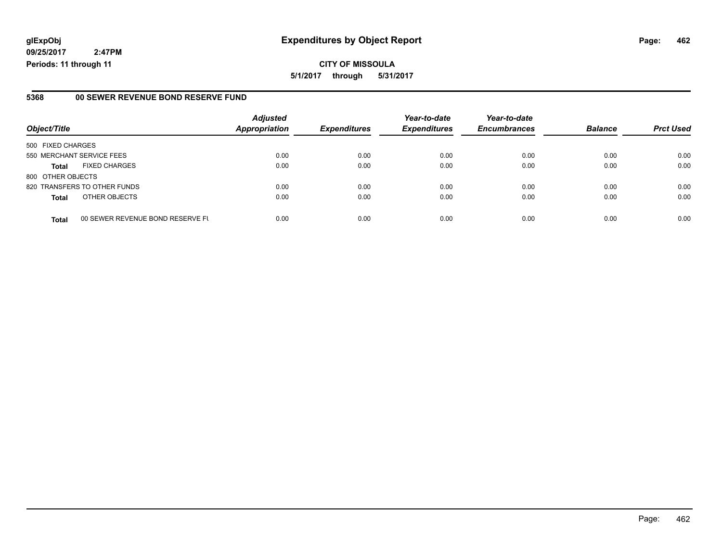**CITY OF MISSOULA 5/1/2017 through 5/31/2017**

#### **5368 00 SEWER REVENUE BOND RESERVE FUND**

|                              |                                  | <b>Adjusted</b>      |                     | Year-to-date        | Year-to-date        |                |                  |
|------------------------------|----------------------------------|----------------------|---------------------|---------------------|---------------------|----------------|------------------|
| Object/Title                 |                                  | <b>Appropriation</b> | <b>Expenditures</b> | <b>Expenditures</b> | <b>Encumbrances</b> | <b>Balance</b> | <b>Prct Used</b> |
| 500 FIXED CHARGES            |                                  |                      |                     |                     |                     |                |                  |
| 550 MERCHANT SERVICE FEES    |                                  | 0.00                 | 0.00                | 0.00                | 0.00                | 0.00           | 0.00             |
| <b>Total</b>                 | <b>FIXED CHARGES</b>             | 0.00                 | 0.00                | 0.00                | 0.00                | 0.00           | 0.00             |
| 800 OTHER OBJECTS            |                                  |                      |                     |                     |                     |                |                  |
| 820 TRANSFERS TO OTHER FUNDS |                                  | 0.00                 | 0.00                | 0.00                | 0.00                | 0.00           | 0.00             |
| <b>Total</b>                 | OTHER OBJECTS                    | 0.00                 | 0.00                | 0.00                | 0.00                | 0.00           | 0.00             |
| <b>Total</b>                 | 00 SEWER REVENUE BOND RESERVE FL | 0.00                 | 0.00                | 0.00                | 0.00                | 0.00           | 0.00             |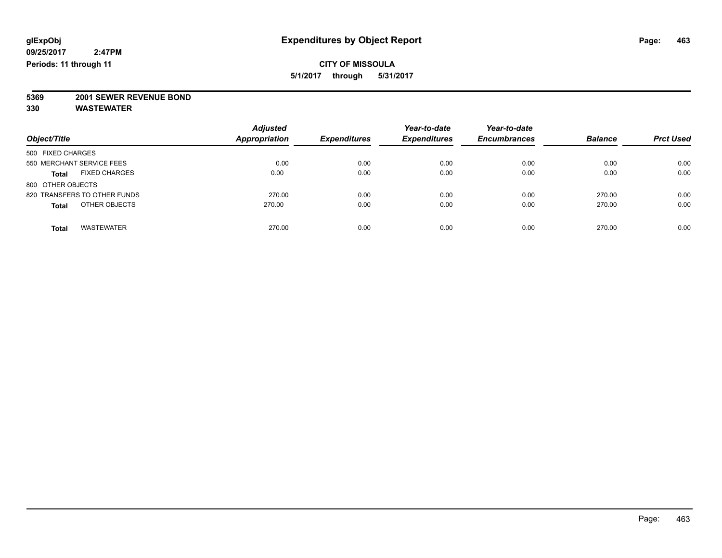### **CITY OF MISSOULA 5/1/2017 through 5/31/2017**

**5369 2001 SEWER REVENUE BOND**

|                                      | <b>Adjusted</b>      |                     | Year-to-date        | Year-to-date        |                |                  |
|--------------------------------------|----------------------|---------------------|---------------------|---------------------|----------------|------------------|
| Object/Title                         | <b>Appropriation</b> | <b>Expenditures</b> | <b>Expenditures</b> | <b>Encumbrances</b> | <b>Balance</b> | <b>Prct Used</b> |
| 500 FIXED CHARGES                    |                      |                     |                     |                     |                |                  |
| 550 MERCHANT SERVICE FEES            | 0.00                 | 0.00                | 0.00                | 0.00                | 0.00           | 0.00             |
| <b>FIXED CHARGES</b><br><b>Total</b> | 0.00                 | 0.00                | 0.00                | 0.00                | 0.00           | 0.00             |
| 800 OTHER OBJECTS                    |                      |                     |                     |                     |                |                  |
| 820 TRANSFERS TO OTHER FUNDS         | 270.00               | 0.00                | 0.00                | 0.00                | 270.00         | 0.00             |
| OTHER OBJECTS<br><b>Total</b>        | 270.00               | 0.00                | 0.00                | 0.00                | 270.00         | 0.00             |
| <b>WASTEWATER</b><br><b>Total</b>    | 270.00               | 0.00                | 0.00                | 0.00                | 270.00         | 0.00             |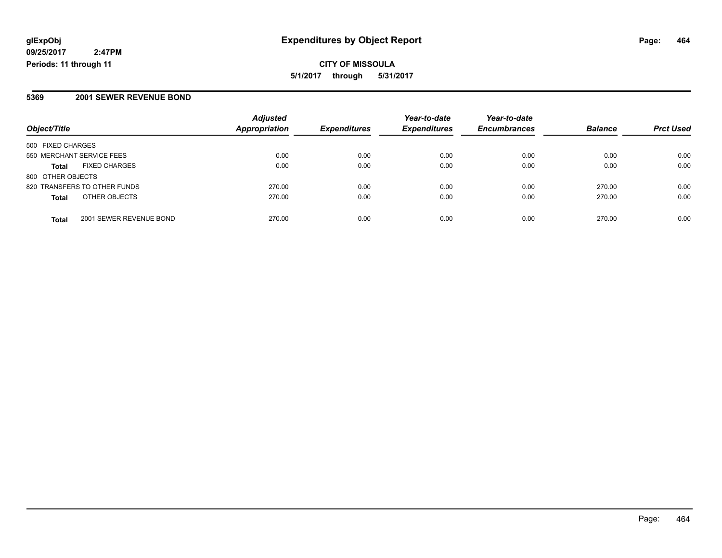#### **5369 2001 SEWER REVENUE BOND**

|                                         | <b>Adjusted</b><br>Appropriation | <b>Expenditures</b> | Year-to-date<br><b>Expenditures</b> | Year-to-date        | <b>Balance</b> | <b>Prct Used</b> |
|-----------------------------------------|----------------------------------|---------------------|-------------------------------------|---------------------|----------------|------------------|
| Object/Title                            |                                  |                     |                                     | <b>Encumbrances</b> |                |                  |
| 500 FIXED CHARGES                       |                                  |                     |                                     |                     |                |                  |
| 550 MERCHANT SERVICE FEES               | 0.00                             | 0.00                | 0.00                                | 0.00                | 0.00           | 0.00             |
| <b>FIXED CHARGES</b><br><b>Total</b>    | 0.00                             | 0.00                | 0.00                                | 0.00                | 0.00           | 0.00             |
| 800 OTHER OBJECTS                       |                                  |                     |                                     |                     |                |                  |
| 820 TRANSFERS TO OTHER FUNDS            | 270.00                           | 0.00                | 0.00                                | 0.00                | 270.00         | 0.00             |
| OTHER OBJECTS<br><b>Total</b>           | 270.00                           | 0.00                | 0.00                                | 0.00                | 270.00         | 0.00             |
| 2001 SEWER REVENUE BOND<br><b>Total</b> | 270.00                           | 0.00                | 0.00                                | 0.00                | 270.00         | 0.00             |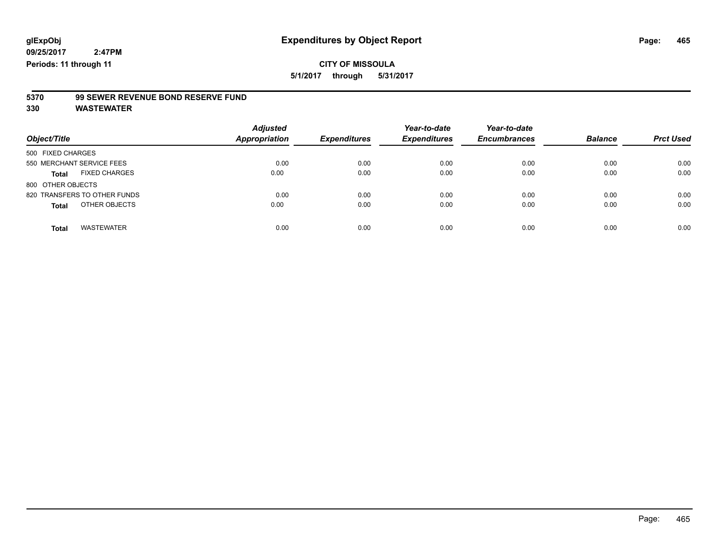**5/1/2017 through 5/31/2017**

# **5370 99 SEWER REVENUE BOND RESERVE FUND**

| Object/Title                         | <b>Adjusted</b><br>Appropriation | <b>Expenditures</b> | Year-to-date<br><b>Expenditures</b> | Year-to-date<br><b>Encumbrances</b> | <b>Balance</b> | <b>Prct Used</b> |
|--------------------------------------|----------------------------------|---------------------|-------------------------------------|-------------------------------------|----------------|------------------|
| 500 FIXED CHARGES                    |                                  |                     |                                     |                                     |                |                  |
| 550 MERCHANT SERVICE FEES            | 0.00                             | 0.00                | 0.00                                | 0.00                                | 0.00           | 0.00             |
| <b>FIXED CHARGES</b><br><b>Total</b> | 0.00                             | 0.00                | 0.00                                | 0.00                                | 0.00           | 0.00             |
| 800 OTHER OBJECTS                    |                                  |                     |                                     |                                     |                |                  |
| 820 TRANSFERS TO OTHER FUNDS         | 0.00                             | 0.00                | 0.00                                | 0.00                                | 0.00           | 0.00             |
| OTHER OBJECTS<br><b>Total</b>        | 0.00                             | 0.00                | 0.00                                | 0.00                                | 0.00           | 0.00             |
| <b>WASTEWATER</b><br><b>Total</b>    | 0.00                             | 0.00                | 0.00                                | 0.00                                | 0.00           | 0.00             |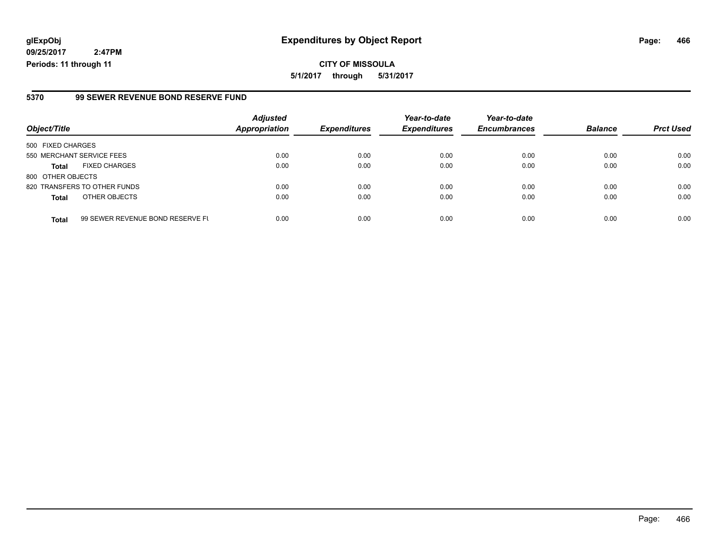**CITY OF MISSOULA 5/1/2017 through 5/31/2017**

#### **5370 99 SEWER REVENUE BOND RESERVE FUND**

|                           |                                  | <b>Adjusted</b>      |                     | Year-to-date        | Year-to-date        |                |                  |
|---------------------------|----------------------------------|----------------------|---------------------|---------------------|---------------------|----------------|------------------|
| Object/Title              |                                  | <b>Appropriation</b> | <b>Expenditures</b> | <b>Expenditures</b> | <b>Encumbrances</b> | <b>Balance</b> | <b>Prct Used</b> |
| 500 FIXED CHARGES         |                                  |                      |                     |                     |                     |                |                  |
| 550 MERCHANT SERVICE FEES |                                  | 0.00                 | 0.00                | 0.00                | 0.00                | 0.00           | 0.00             |
| <b>Total</b>              | <b>FIXED CHARGES</b>             | 0.00                 | 0.00                | 0.00                | 0.00                | 0.00           | 0.00             |
| 800 OTHER OBJECTS         |                                  |                      |                     |                     |                     |                |                  |
|                           | 820 TRANSFERS TO OTHER FUNDS     | 0.00                 | 0.00                | 0.00                | 0.00                | 0.00           | 0.00             |
| <b>Total</b>              | OTHER OBJECTS                    | 0.00                 | 0.00                | 0.00                | 0.00                | 0.00           | 0.00             |
| <b>Total</b>              | 99 SEWER REVENUE BOND RESERVE FL | 0.00                 | 0.00                | 0.00                | 0.00                | 0.00           | 0.00             |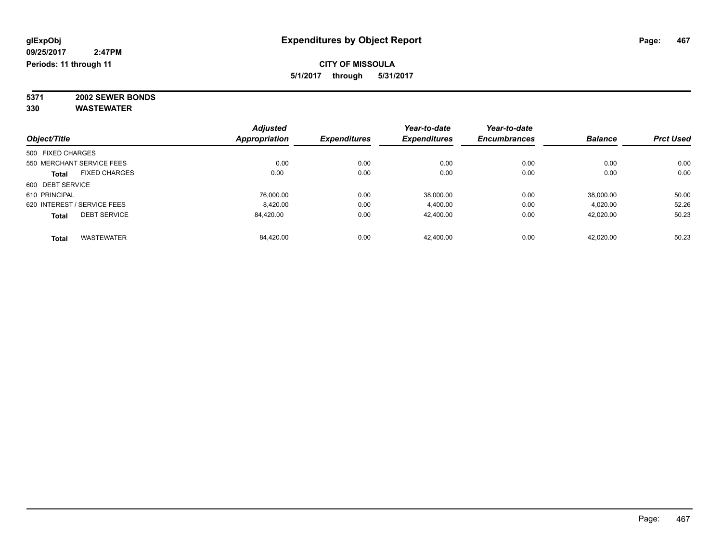### **CITY OF MISSOULA 5/1/2017 through 5/31/2017**

**5371 2002 SEWER BONDS 330 WASTEWATER**

|                             |                      | <b>Adjusted</b> |                     | Year-to-date        | Year-to-date        |                |                  |
|-----------------------------|----------------------|-----------------|---------------------|---------------------|---------------------|----------------|------------------|
| Object/Title                |                      | Appropriation   | <b>Expenditures</b> | <b>Expenditures</b> | <b>Encumbrances</b> | <b>Balance</b> | <b>Prct Used</b> |
| 500 FIXED CHARGES           |                      |                 |                     |                     |                     |                |                  |
| 550 MERCHANT SERVICE FEES   |                      | 0.00            | 0.00                | 0.00                | 0.00                | 0.00           | 0.00             |
| <b>Total</b>                | <b>FIXED CHARGES</b> | 0.00            | 0.00                | 0.00                | 0.00                | 0.00           | 0.00             |
| 600 DEBT SERVICE            |                      |                 |                     |                     |                     |                |                  |
| 610 PRINCIPAL               |                      | 76.000.00       | 0.00                | 38.000.00           | 0.00                | 38,000.00      | 50.00            |
| 620 INTEREST / SERVICE FEES |                      | 8,420.00        | 0.00                | 4,400.00            | 0.00                | 4,020.00       | 52.26            |
| <b>Total</b>                | <b>DEBT SERVICE</b>  | 84.420.00       | 0.00                | 42.400.00           | 0.00                | 42,020.00      | 50.23            |
| <b>Total</b>                | <b>WASTEWATER</b>    | 84,420.00       | 0.00                | 42.400.00           | 0.00                | 42,020.00      | 50.23            |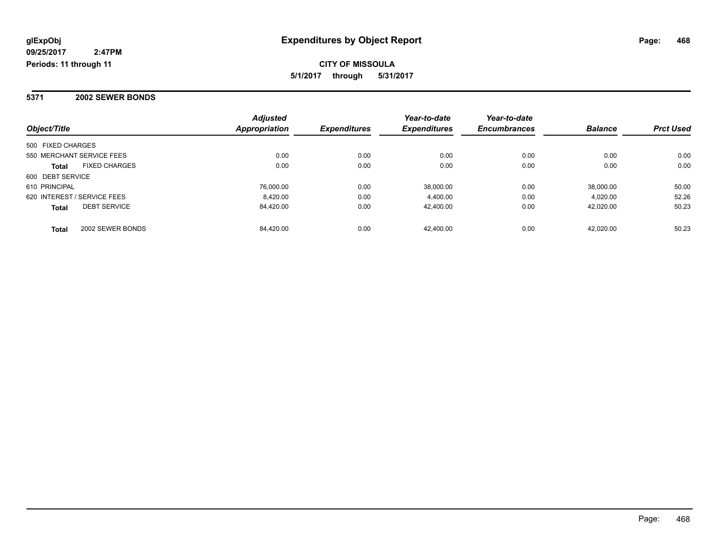**CITY OF MISSOULA 5/1/2017 through 5/31/2017**

#### **5371 2002 SEWER BONDS**

| Object/Title                         | <b>Adjusted</b><br><b>Appropriation</b> | <b>Expenditures</b> | Year-to-date<br><b>Expenditures</b> | Year-to-date<br><b>Encumbrances</b> | <b>Balance</b> | <b>Prct Used</b> |
|--------------------------------------|-----------------------------------------|---------------------|-------------------------------------|-------------------------------------|----------------|------------------|
|                                      |                                         |                     |                                     |                                     |                |                  |
| 500 FIXED CHARGES                    |                                         |                     |                                     |                                     |                |                  |
| 550 MERCHANT SERVICE FEES            | 0.00                                    | 0.00                | 0.00                                | 0.00                                | 0.00           | 0.00             |
| <b>FIXED CHARGES</b><br><b>Total</b> | 0.00                                    | 0.00                | 0.00                                | 0.00                                | 0.00           | 0.00             |
| 600 DEBT SERVICE                     |                                         |                     |                                     |                                     |                |                  |
| 610 PRINCIPAL                        | 76.000.00                               | 0.00                | 38,000.00                           | 0.00                                | 38,000.00      | 50.00            |
| 620 INTEREST / SERVICE FEES          | 8.420.00                                | 0.00                | 4,400.00                            | 0.00                                | 4.020.00       | 52.26            |
| <b>DEBT SERVICE</b><br><b>Total</b>  | 84.420.00                               | 0.00                | 42.400.00                           | 0.00                                | 42.020.00      | 50.23            |
| 2002 SEWER BONDS<br><b>Total</b>     | 84.420.00                               | 0.00                | 42.400.00                           | 0.00                                | 42.020.00      | 50.23            |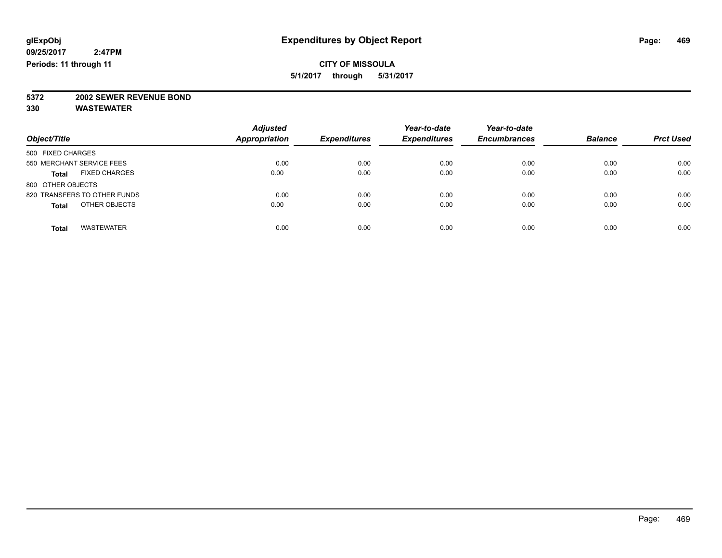**5/1/2017 through 5/31/2017**

# **5372 2002 SEWER REVENUE BOND**

| Object/Title                         | <b>Adjusted</b><br><b>Appropriation</b> | <b>Expenditures</b> | Year-to-date<br><b>Expenditures</b> | Year-to-date<br><b>Encumbrances</b> | <b>Balance</b> | <b>Prct Used</b> |
|--------------------------------------|-----------------------------------------|---------------------|-------------------------------------|-------------------------------------|----------------|------------------|
|                                      |                                         |                     |                                     |                                     |                |                  |
| 500 FIXED CHARGES                    |                                         |                     |                                     |                                     |                |                  |
| 550 MERCHANT SERVICE FEES            | 0.00                                    | 0.00                | 0.00                                | 0.00                                | 0.00           | 0.00             |
| <b>FIXED CHARGES</b><br><b>Total</b> | 0.00                                    | 0.00                | 0.00                                | 0.00                                | 0.00           | 0.00             |
| 800 OTHER OBJECTS                    |                                         |                     |                                     |                                     |                |                  |
| 820 TRANSFERS TO OTHER FUNDS         | 0.00                                    | 0.00                | 0.00                                | 0.00                                | 0.00           | 0.00             |
| OTHER OBJECTS<br><b>Total</b>        | 0.00                                    | 0.00                | 0.00                                | 0.00                                | 0.00           | 0.00             |
| <b>WASTEWATER</b><br><b>Total</b>    | 0.00                                    | 0.00                | 0.00                                | 0.00                                | 0.00           | 0.00             |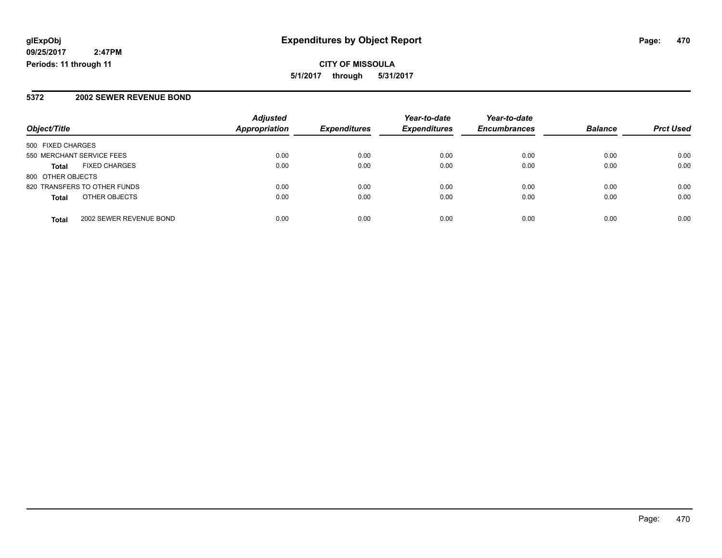### **5372 2002 SEWER REVENUE BOND**

|                           |                              | <b>Adjusted</b>      |                     | Year-to-date        | Year-to-date        |                |                  |
|---------------------------|------------------------------|----------------------|---------------------|---------------------|---------------------|----------------|------------------|
| Object/Title              |                              | <b>Appropriation</b> | <b>Expenditures</b> | <b>Expenditures</b> | <b>Encumbrances</b> | <b>Balance</b> | <b>Prct Used</b> |
| 500 FIXED CHARGES         |                              |                      |                     |                     |                     |                |                  |
| 550 MERCHANT SERVICE FEES |                              | 0.00                 | 0.00                | 0.00                | 0.00                | 0.00           | 0.00             |
| <b>Total</b>              | <b>FIXED CHARGES</b>         | 0.00                 | 0.00                | 0.00                | 0.00                | 0.00           | 0.00             |
| 800 OTHER OBJECTS         |                              |                      |                     |                     |                     |                |                  |
|                           | 820 TRANSFERS TO OTHER FUNDS | 0.00                 | 0.00                | 0.00                | 0.00                | 0.00           | 0.00             |
| <b>Total</b>              | OTHER OBJECTS                | 0.00                 | 0.00                | 0.00                | 0.00                | 0.00           | 0.00             |
| <b>Total</b>              | 2002 SEWER REVENUE BOND      | 0.00                 | 0.00                | 0.00                | 0.00                | 0.00           | 0.00             |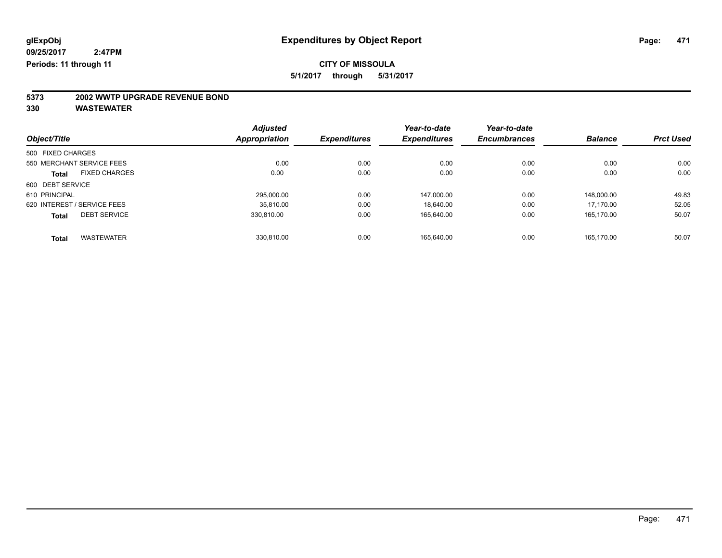**5/1/2017 through 5/31/2017**

# **5373 2002 WWTP UPGRADE REVENUE BOND**

|                             |                      | <b>Adjusted</b>      |                     | Year-to-date        | Year-to-date        |                |                  |
|-----------------------------|----------------------|----------------------|---------------------|---------------------|---------------------|----------------|------------------|
| Object/Title                |                      | <b>Appropriation</b> | <b>Expenditures</b> | <b>Expenditures</b> | <b>Encumbrances</b> | <b>Balance</b> | <b>Prct Used</b> |
| 500 FIXED CHARGES           |                      |                      |                     |                     |                     |                |                  |
| 550 MERCHANT SERVICE FEES   |                      | 0.00                 | 0.00                | 0.00                | 0.00                | 0.00           | 0.00             |
| <b>Total</b>                | <b>FIXED CHARGES</b> | 0.00                 | 0.00                | 0.00                | 0.00                | 0.00           | 0.00             |
| 600 DEBT SERVICE            |                      |                      |                     |                     |                     |                |                  |
| 610 PRINCIPAL               |                      | 295.000.00           | 0.00                | 147.000.00          | 0.00                | 148,000.00     | 49.83            |
| 620 INTEREST / SERVICE FEES |                      | 35,810.00            | 0.00                | 18.640.00           | 0.00                | 17.170.00      | 52.05            |
| <b>Total</b>                | <b>DEBT SERVICE</b>  | 330.810.00           | 0.00                | 165.640.00          | 0.00                | 165.170.00     | 50.07            |
| <b>Total</b>                | <b>WASTEWATER</b>    | 330.810.00           | 0.00                | 165.640.00          | 0.00                | 165.170.00     | 50.07            |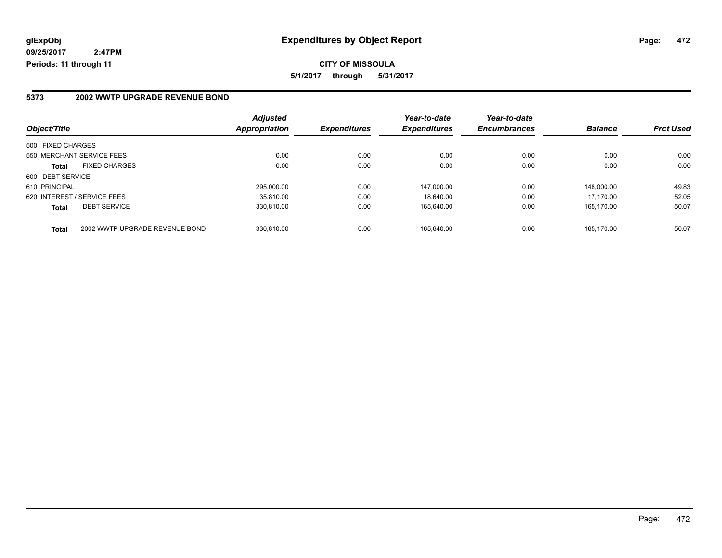### **5373 2002 WWTP UPGRADE REVENUE BOND**

|                                                | <b>Adjusted</b> |                     | Year-to-date        | Year-to-date        |                |                  |
|------------------------------------------------|-----------------|---------------------|---------------------|---------------------|----------------|------------------|
| Object/Title                                   | Appropriation   | <b>Expenditures</b> | <b>Expenditures</b> | <b>Encumbrances</b> | <b>Balance</b> | <b>Prct Used</b> |
| 500 FIXED CHARGES                              |                 |                     |                     |                     |                |                  |
| 550 MERCHANT SERVICE FEES                      |                 | 0.00                | 0.00                | 0.00<br>0.00        | 0.00           | 0.00             |
| <b>FIXED CHARGES</b><br><b>Total</b>           |                 | 0.00                | 0.00                | 0.00<br>0.00        | 0.00           | 0.00             |
| 600 DEBT SERVICE                               |                 |                     |                     |                     |                |                  |
| 610 PRINCIPAL                                  | 295.000.00      |                     | 0.00<br>147.000.00  | 0.00                | 148.000.00     | 49.83            |
| 620 INTEREST / SERVICE FEES                    | 35.810.00       |                     | 0.00<br>18.640.00   | 0.00                | 17.170.00      | 52.05            |
| <b>DEBT SERVICE</b><br><b>Total</b>            | 330.810.00      |                     | 0.00<br>165.640.00  | 0.00                | 165.170.00     | 50.07            |
| 2002 WWTP UPGRADE REVENUE BOND<br><b>Total</b> | 330.810.00      |                     | 0.00<br>165.640.00  | 0.00                | 165.170.00     | 50.07            |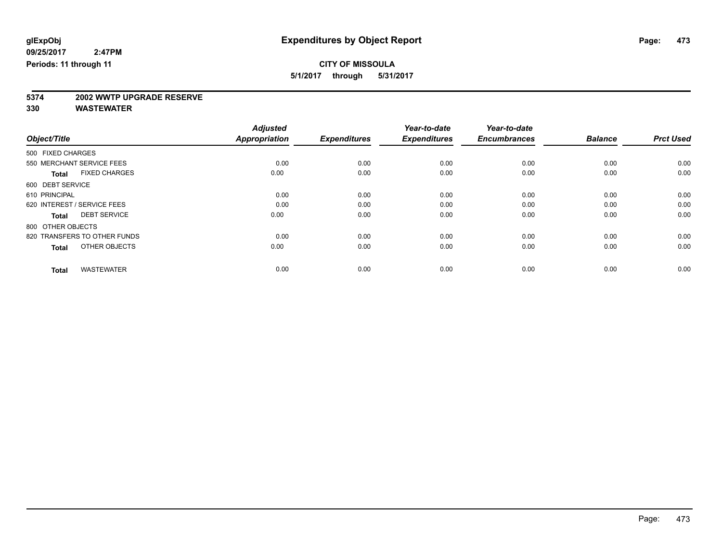**5/1/2017 through 5/31/2017**

# **5374 2002 WWTP UPGRADE RESERVE**

|                                      | <b>Adjusted</b>      |                     | Year-to-date        | Year-to-date        |                |                  |
|--------------------------------------|----------------------|---------------------|---------------------|---------------------|----------------|------------------|
| Object/Title                         | <b>Appropriation</b> | <b>Expenditures</b> | <b>Expenditures</b> | <b>Encumbrances</b> | <b>Balance</b> | <b>Prct Used</b> |
| 500 FIXED CHARGES                    |                      |                     |                     |                     |                |                  |
| 550 MERCHANT SERVICE FEES            | 0.00                 | 0.00                | 0.00                | 0.00                | 0.00           | 0.00             |
| <b>FIXED CHARGES</b><br><b>Total</b> | 0.00                 | 0.00                | 0.00                | 0.00                | 0.00           | 0.00             |
| 600 DEBT SERVICE                     |                      |                     |                     |                     |                |                  |
| 610 PRINCIPAL                        | 0.00                 | 0.00                | 0.00                | 0.00                | 0.00           | 0.00             |
| 620 INTEREST / SERVICE FEES          | 0.00                 | 0.00                | 0.00                | 0.00                | 0.00           | 0.00             |
| <b>DEBT SERVICE</b><br><b>Total</b>  | 0.00                 | 0.00                | 0.00                | 0.00                | 0.00           | 0.00             |
| 800 OTHER OBJECTS                    |                      |                     |                     |                     |                |                  |
| 820 TRANSFERS TO OTHER FUNDS         | 0.00                 | 0.00                | 0.00                | 0.00                | 0.00           | 0.00             |
| OTHER OBJECTS<br><b>Total</b>        | 0.00                 | 0.00                | 0.00                | 0.00                | 0.00           | 0.00             |
|                                      |                      |                     |                     |                     |                |                  |
| <b>WASTEWATER</b><br><b>Total</b>    | 0.00                 | 0.00                | 0.00                | 0.00                | 0.00           | 0.00             |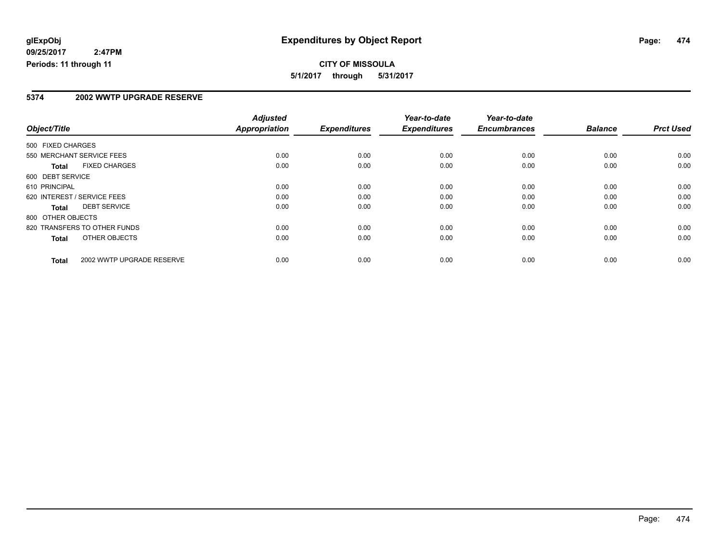**CITY OF MISSOULA 5/1/2017 through 5/31/2017**

#### **5374 2002 WWTP UPGRADE RESERVE**

|                   |                              | <b>Adjusted</b>      |                     | Year-to-date        | Year-to-date        |                |                  |
|-------------------|------------------------------|----------------------|---------------------|---------------------|---------------------|----------------|------------------|
| Object/Title      |                              | <b>Appropriation</b> | <b>Expenditures</b> | <b>Expenditures</b> | <b>Encumbrances</b> | <b>Balance</b> | <b>Prct Used</b> |
| 500 FIXED CHARGES |                              |                      |                     |                     |                     |                |                  |
|                   | 550 MERCHANT SERVICE FEES    | 0.00                 | 0.00                | 0.00                | 0.00                | 0.00           | 0.00             |
| <b>Total</b>      | <b>FIXED CHARGES</b>         | 0.00                 | 0.00                | 0.00                | 0.00                | 0.00           | 0.00             |
| 600 DEBT SERVICE  |                              |                      |                     |                     |                     |                |                  |
| 610 PRINCIPAL     |                              | 0.00                 | 0.00                | 0.00                | 0.00                | 0.00           | 0.00             |
|                   | 620 INTEREST / SERVICE FEES  | 0.00                 | 0.00                | 0.00                | 0.00                | 0.00           | 0.00             |
| Total             | <b>DEBT SERVICE</b>          | 0.00                 | 0.00                | 0.00                | 0.00                | 0.00           | 0.00             |
| 800 OTHER OBJECTS |                              |                      |                     |                     |                     |                |                  |
|                   | 820 TRANSFERS TO OTHER FUNDS | 0.00                 | 0.00                | 0.00                | 0.00                | 0.00           | 0.00             |
| Total             | OTHER OBJECTS                | 0.00                 | 0.00                | 0.00                | 0.00                | 0.00           | 0.00             |
| <b>Total</b>      | 2002 WWTP UPGRADE RESERVE    | 0.00                 | 0.00                | 0.00                | 0.00                | 0.00           | 0.00             |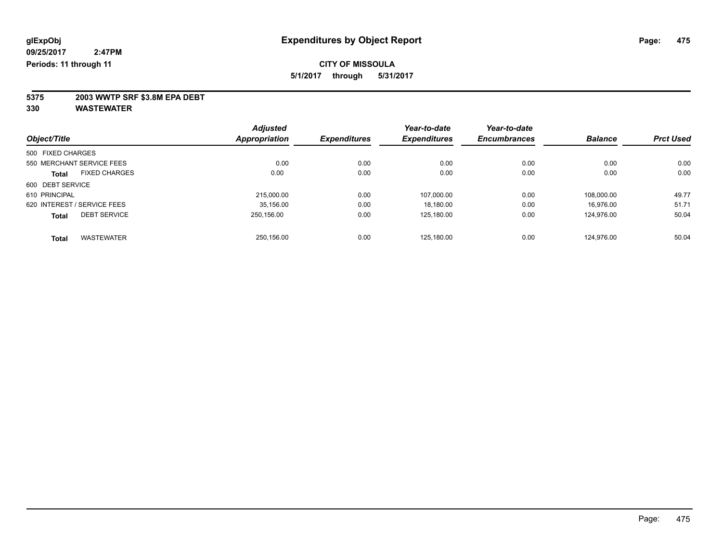**5/1/2017 through 5/31/2017**

**5375 2003 WWTP SRF \$3.8M EPA DEBT**

|                   |                             | <b>Adjusted</b>      |                     | Year-to-date        | Year-to-date        |                |                  |
|-------------------|-----------------------------|----------------------|---------------------|---------------------|---------------------|----------------|------------------|
| Object/Title      |                             | <b>Appropriation</b> | <b>Expenditures</b> | <b>Expenditures</b> | <b>Encumbrances</b> | <b>Balance</b> | <b>Prct Used</b> |
| 500 FIXED CHARGES |                             |                      |                     |                     |                     |                |                  |
|                   | 550 MERCHANT SERVICE FEES   | 0.00                 | 0.00                | 0.00                | 0.00                | 0.00           | 0.00             |
| <b>Total</b>      | <b>FIXED CHARGES</b>        | 0.00                 | 0.00                | 0.00                | 0.00                | 0.00           | 0.00             |
| 600 DEBT SERVICE  |                             |                      |                     |                     |                     |                |                  |
| 610 PRINCIPAL     |                             | 215.000.00           | 0.00                | 107.000.00          | 0.00                | 108.000.00     | 49.77            |
|                   | 620 INTEREST / SERVICE FEES | 35,156.00            | 0.00                | 18,180.00           | 0.00                | 16.976.00      | 51.71            |
| <b>Total</b>      | <b>DEBT SERVICE</b>         | 250.156.00           | 0.00                | 125,180.00          | 0.00                | 124.976.00     | 50.04            |
| <b>Total</b>      | <b>WASTEWATER</b>           | 250,156.00           | 0.00                | 125.180.00          | 0.00                | 124.976.00     | 50.04            |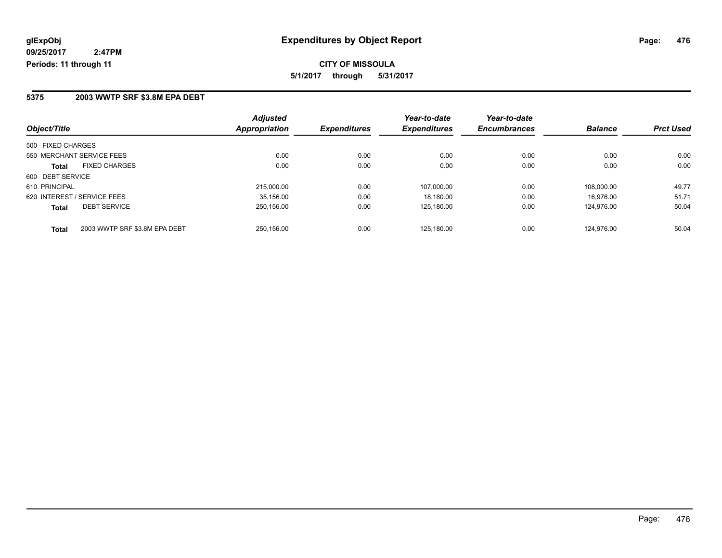### **5375 2003 WWTP SRF \$3.8M EPA DEBT**

| Object/Title                                  | <b>Adjusted</b><br>Appropriation | <b>Expenditures</b> | Year-to-date<br><b>Expenditures</b> | Year-to-date<br><b>Encumbrances</b> | <b>Balance</b> | <b>Prct Used</b> |
|-----------------------------------------------|----------------------------------|---------------------|-------------------------------------|-------------------------------------|----------------|------------------|
| 500 FIXED CHARGES                             |                                  |                     |                                     |                                     |                |                  |
| 550 MERCHANT SERVICE FEES                     | 0.00                             | 0.00                | 0.00                                | 0.00                                | 0.00           | 0.00             |
|                                               |                                  |                     |                                     |                                     |                |                  |
| <b>FIXED CHARGES</b><br><b>Total</b>          | 0.00                             | 0.00                | 0.00                                | 0.00                                | 0.00           | 0.00             |
| 600 DEBT SERVICE                              |                                  |                     |                                     |                                     |                |                  |
| 610 PRINCIPAL                                 | 215,000.00                       | 0.00                | 107.000.00                          | 0.00                                | 108.000.00     | 49.77            |
| 620 INTEREST / SERVICE FEES                   | 35.156.00                        | 0.00                | 18.180.00                           | 0.00                                | 16.976.00      | 51.71            |
| <b>DEBT SERVICE</b><br><b>Total</b>           | 250.156.00                       | 0.00                | 125.180.00                          | 0.00                                | 124.976.00     | 50.04            |
| 2003 WWTP SRF \$3.8M EPA DEBT<br><b>Total</b> | 250.156.00                       | 0.00                | 125.180.00                          | 0.00                                | 124.976.00     | 50.04            |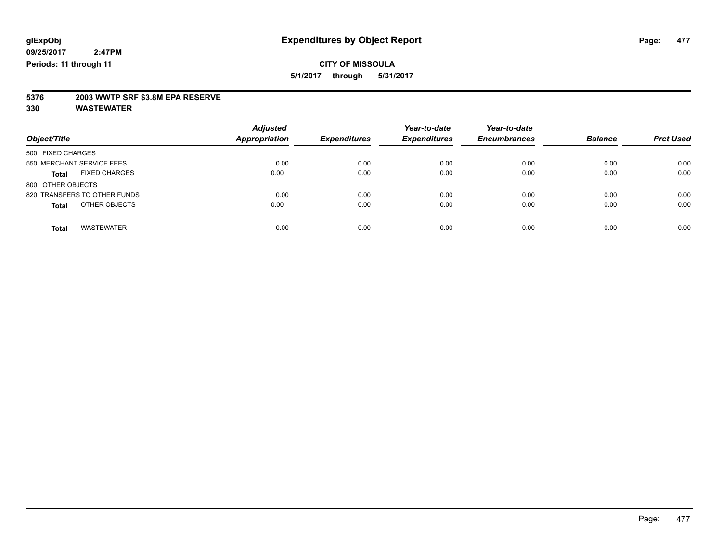**5/1/2017 through 5/31/2017**

# **5376 2003 WWTP SRF \$3.8M EPA RESERVE**

| Object/Title                         | <b>Adjusted</b><br><b>Appropriation</b> | <b>Expenditures</b> | Year-to-date<br><b>Expenditures</b> | Year-to-date<br><b>Encumbrances</b> | <b>Balance</b> | <b>Prct Used</b> |
|--------------------------------------|-----------------------------------------|---------------------|-------------------------------------|-------------------------------------|----------------|------------------|
| 500 FIXED CHARGES                    |                                         |                     |                                     |                                     |                |                  |
| 550 MERCHANT SERVICE FEES            | 0.00                                    | 0.00                | 0.00                                | 0.00                                | 0.00           | 0.00             |
| <b>FIXED CHARGES</b><br><b>Total</b> | 0.00                                    | 0.00                | 0.00                                | 0.00                                | 0.00           | 0.00             |
| 800 OTHER OBJECTS                    |                                         |                     |                                     |                                     |                |                  |
| 820 TRANSFERS TO OTHER FUNDS         | 0.00                                    | 0.00                | 0.00                                | 0.00                                | 0.00           | 0.00             |
| OTHER OBJECTS<br><b>Total</b>        | 0.00                                    | 0.00                | 0.00                                | 0.00                                | 0.00           | 0.00             |
| <b>WASTEWATER</b><br><b>Total</b>    | 0.00                                    | 0.00                | 0.00                                | 0.00                                | 0.00           | 0.00             |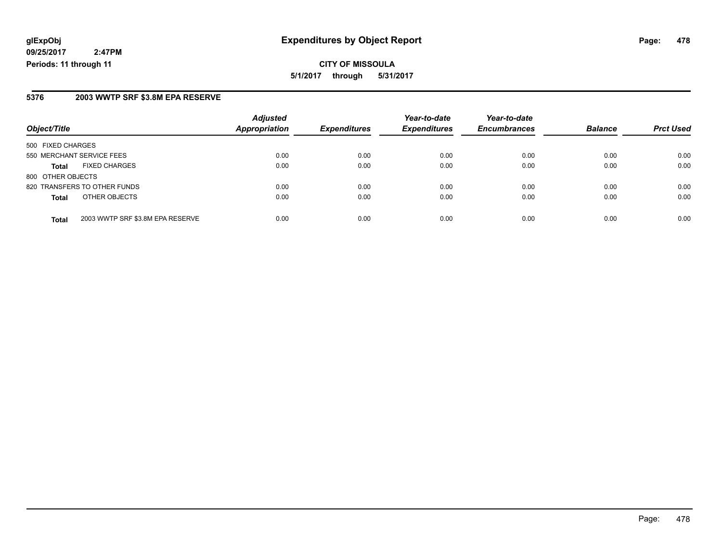**CITY OF MISSOULA 5/1/2017 through 5/31/2017**

### **5376 2003 WWTP SRF \$3.8M EPA RESERVE**

|                           |                                  | <b>Adjusted</b>      |                     | Year-to-date        | Year-to-date        |                |                  |
|---------------------------|----------------------------------|----------------------|---------------------|---------------------|---------------------|----------------|------------------|
| Object/Title              |                                  | <b>Appropriation</b> | <b>Expenditures</b> | <b>Expenditures</b> | <b>Encumbrances</b> | <b>Balance</b> | <b>Prct Used</b> |
| 500 FIXED CHARGES         |                                  |                      |                     |                     |                     |                |                  |
| 550 MERCHANT SERVICE FEES |                                  | 0.00                 | 0.00                | 0.00                | 0.00                | 0.00           | 0.00             |
| <b>Total</b>              | <b>FIXED CHARGES</b>             | 0.00                 | 0.00                | 0.00                | 0.00                | 0.00           | 0.00             |
| 800 OTHER OBJECTS         |                                  |                      |                     |                     |                     |                |                  |
|                           | 820 TRANSFERS TO OTHER FUNDS     | 0.00                 | 0.00                | 0.00                | 0.00                | 0.00           | 0.00             |
| <b>Total</b>              | OTHER OBJECTS                    | 0.00                 | 0.00                | 0.00                | 0.00                | 0.00           | 0.00             |
| <b>Total</b>              | 2003 WWTP SRF \$3.8M EPA RESERVE | 0.00                 | 0.00                | 0.00                | 0.00                | 0.00           | 0.00             |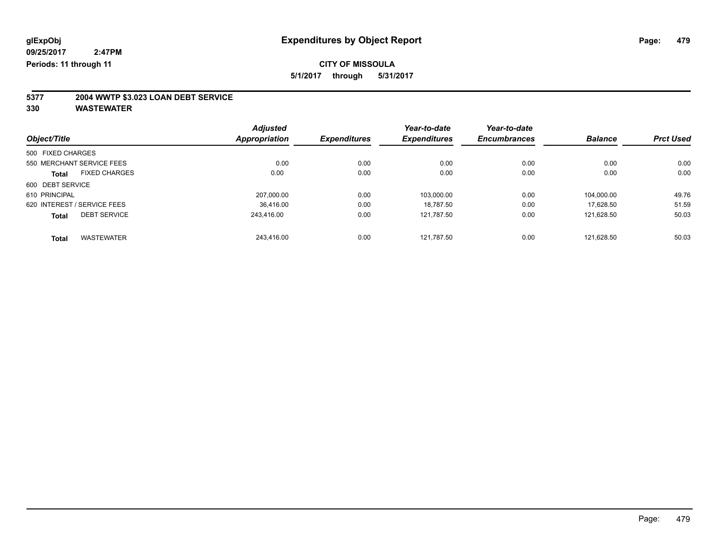**5/1/2017 through 5/31/2017**

# **5377 2004 WWTP \$3.023 LOAN DEBT SERVICE**

|                   |                             | <b>Adjusted</b> |                     | Year-to-date        | Year-to-date        |                |                  |
|-------------------|-----------------------------|-----------------|---------------------|---------------------|---------------------|----------------|------------------|
| Object/Title      |                             | Appropriation   | <b>Expenditures</b> | <b>Expenditures</b> | <b>Encumbrances</b> | <b>Balance</b> | <b>Prct Used</b> |
| 500 FIXED CHARGES |                             |                 |                     |                     |                     |                |                  |
|                   | 550 MERCHANT SERVICE FEES   | 0.00            | 0.00                | 0.00                | 0.00                | 0.00           | 0.00             |
| <b>Total</b>      | <b>FIXED CHARGES</b>        | 0.00            | 0.00                | 0.00                | 0.00                | 0.00           | 0.00             |
| 600 DEBT SERVICE  |                             |                 |                     |                     |                     |                |                  |
| 610 PRINCIPAL     |                             | 207.000.00      | 0.00                | 103.000.00          | 0.00                | 104.000.00     | 49.76            |
|                   | 620 INTEREST / SERVICE FEES | 36.416.00       | 0.00                | 18.787.50           | 0.00                | 17.628.50      | 51.59            |
| <b>Total</b>      | <b>DEBT SERVICE</b>         | 243.416.00      | 0.00                | 121.787.50          | 0.00                | 121.628.50     | 50.03            |
| <b>Total</b>      | <b>WASTEWATER</b>           | 243.416.00      | 0.00                | 121.787.50          | 0.00                | 121.628.50     | 50.03            |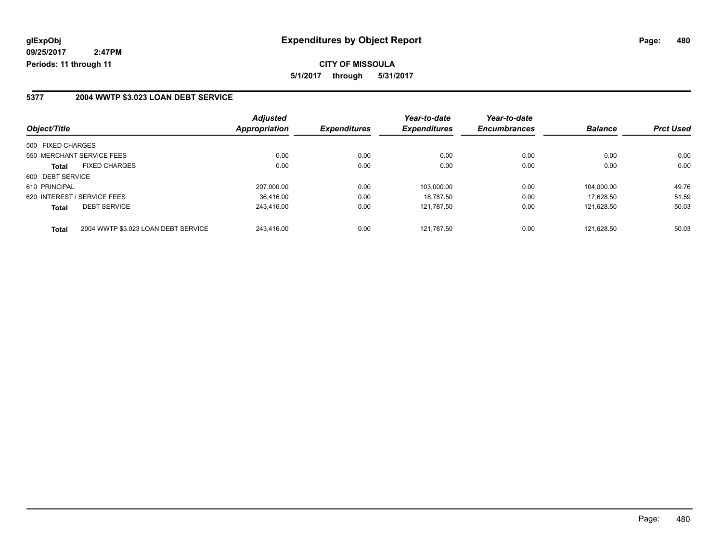**CITY OF MISSOULA 5/1/2017 through 5/31/2017**

### **5377 2004 WWTP \$3.023 LOAN DEBT SERVICE**

| Object/Title                                        | <b>Adjusted</b><br><b>Appropriation</b> | <b>Expenditures</b> | Year-to-date<br><b>Expenditures</b> | Year-to-date<br><b>Encumbrances</b> | <b>Balance</b> | <b>Prct Used</b> |
|-----------------------------------------------------|-----------------------------------------|---------------------|-------------------------------------|-------------------------------------|----------------|------------------|
|                                                     |                                         |                     |                                     |                                     |                |                  |
| 500 FIXED CHARGES                                   |                                         |                     |                                     |                                     |                |                  |
| 550 MERCHANT SERVICE FEES                           | 0.00                                    | 0.00                | 0.00                                | 0.00                                | 0.00           | 0.00             |
| <b>FIXED CHARGES</b><br><b>Total</b>                | 0.00                                    | 0.00                | 0.00                                | 0.00                                | 0.00           | 0.00             |
| 600 DEBT SERVICE                                    |                                         |                     |                                     |                                     |                |                  |
| 610 PRINCIPAL                                       | 207.000.00                              | 0.00                | 103.000.00                          | 0.00                                | 104.000.00     | 49.76            |
| 620 INTEREST / SERVICE FEES                         | 36.416.00                               | 0.00                | 18.787.50                           | 0.00                                | 17.628.50      | 51.59            |
| <b>DEBT SERVICE</b><br><b>Total</b>                 | 243.416.00                              | 0.00                | 121,787.50                          | 0.00                                | 121.628.50     | 50.03            |
| 2004 WWTP \$3.023 LOAN DEBT SERVICE<br><b>Total</b> | 243.416.00                              | 0.00                | 121.787.50                          | 0.00                                | 121.628.50     | 50.03            |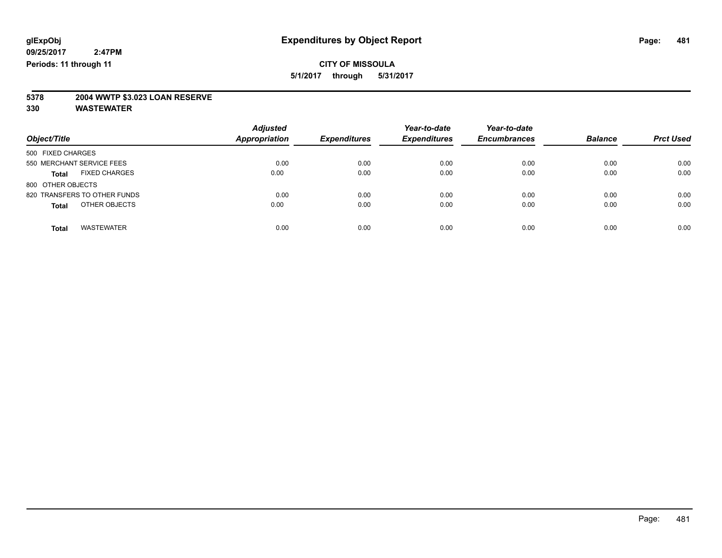### **CITY OF MISSOULA 5/1/2017 through 5/31/2017**

# **5378 2004 WWTP \$3.023 LOAN RESERVE**

| Object/Title                         | <b>Adjusted</b><br><b>Appropriation</b> | <b>Expenditures</b> | Year-to-date<br><b>Expenditures</b> | Year-to-date<br><b>Encumbrances</b> | <b>Balance</b> | <b>Prct Used</b> |
|--------------------------------------|-----------------------------------------|---------------------|-------------------------------------|-------------------------------------|----------------|------------------|
| 500 FIXED CHARGES                    |                                         |                     |                                     |                                     |                |                  |
| 550 MERCHANT SERVICE FEES            | 0.00                                    | 0.00                | 0.00                                | 0.00                                | 0.00           | 0.00             |
| <b>FIXED CHARGES</b><br><b>Total</b> | 0.00                                    | 0.00                | 0.00                                | 0.00                                | 0.00           | 0.00             |
| 800 OTHER OBJECTS                    |                                         |                     |                                     |                                     |                |                  |
| 820 TRANSFERS TO OTHER FUNDS         | 0.00                                    | 0.00                | 0.00                                | 0.00                                | 0.00           | 0.00             |
| OTHER OBJECTS<br><b>Total</b>        | 0.00                                    | 0.00                | 0.00                                | 0.00                                | 0.00           | 0.00             |
| <b>WASTEWATER</b><br><b>Total</b>    | 0.00                                    | 0.00                | 0.00                                | 0.00                                | 0.00           | 0.00             |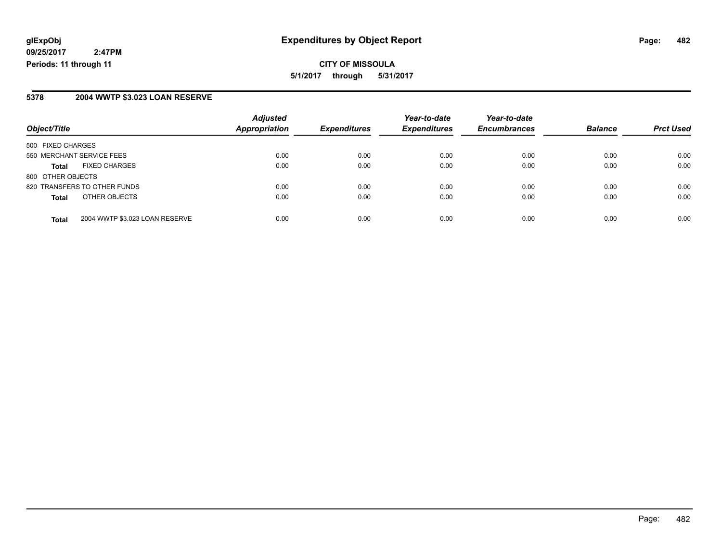**CITY OF MISSOULA 5/1/2017 through 5/31/2017**

#### **5378 2004 WWTP \$3.023 LOAN RESERVE**

| Object/Title                                   | <b>Adjusted</b><br><b>Appropriation</b> | <b>Expenditures</b> | Year-to-date<br><b>Expenditures</b> | Year-to-date<br><b>Encumbrances</b> | <b>Balance</b> | <b>Prct Used</b> |
|------------------------------------------------|-----------------------------------------|---------------------|-------------------------------------|-------------------------------------|----------------|------------------|
| 500 FIXED CHARGES                              |                                         |                     |                                     |                                     |                |                  |
| 550 MERCHANT SERVICE FEES                      | 0.00                                    | 0.00                | 0.00                                | 0.00                                | 0.00           | 0.00             |
| <b>FIXED CHARGES</b><br><b>Total</b>           | 0.00                                    | 0.00                | 0.00                                | 0.00                                | 0.00           | 0.00             |
| 800 OTHER OBJECTS                              |                                         |                     |                                     |                                     |                |                  |
| 820 TRANSFERS TO OTHER FUNDS                   | 0.00                                    | 0.00                | 0.00                                | 0.00                                | 0.00           | 0.00             |
| OTHER OBJECTS<br><b>Total</b>                  | 0.00                                    | 0.00                | 0.00                                | 0.00                                | 0.00           | 0.00             |
| 2004 WWTP \$3.023 LOAN RESERVE<br><b>Total</b> | 0.00                                    | 0.00                | 0.00                                | 0.00                                | 0.00           | 0.00             |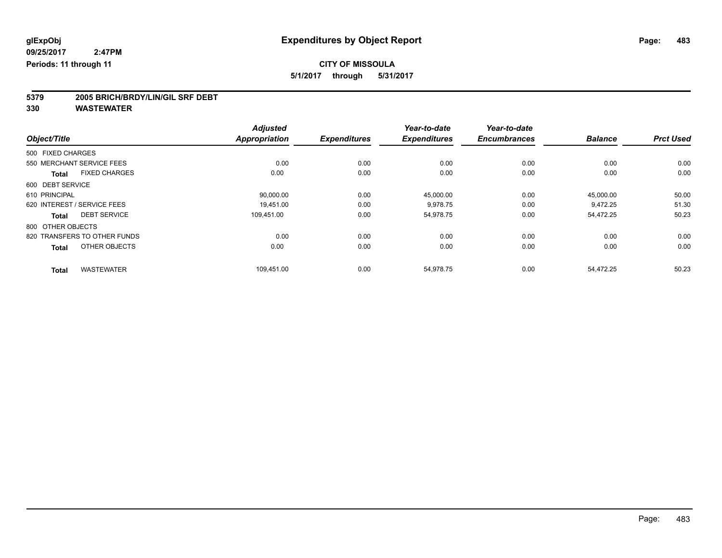**5/1/2017 through 5/31/2017**

# **5379 2005 BRICH/BRDY/LIN/GIL SRF DEBT**

|                                      | <b>Adjusted</b>      |                     | Year-to-date        | Year-to-date        |                |                  |
|--------------------------------------|----------------------|---------------------|---------------------|---------------------|----------------|------------------|
| Object/Title                         | <b>Appropriation</b> | <b>Expenditures</b> | <b>Expenditures</b> | <b>Encumbrances</b> | <b>Balance</b> | <b>Prct Used</b> |
| 500 FIXED CHARGES                    |                      |                     |                     |                     |                |                  |
| 550 MERCHANT SERVICE FEES            | 0.00                 | 0.00                | 0.00                | 0.00                | 0.00           | 0.00             |
| <b>FIXED CHARGES</b><br><b>Total</b> | 0.00                 | 0.00                | 0.00                | 0.00                | 0.00           | 0.00             |
| 600 DEBT SERVICE                     |                      |                     |                     |                     |                |                  |
| 610 PRINCIPAL                        | 90,000.00            | 0.00                | 45,000.00           | 0.00                | 45,000.00      | 50.00            |
| 620 INTEREST / SERVICE FEES          | 19.451.00            | 0.00                | 9,978.75            | 0.00                | 9,472.25       | 51.30            |
| <b>DEBT SERVICE</b><br><b>Total</b>  | 109.451.00           | 0.00                | 54.978.75           | 0.00                | 54.472.25      | 50.23            |
| 800 OTHER OBJECTS                    |                      |                     |                     |                     |                |                  |
| 820 TRANSFERS TO OTHER FUNDS         | 0.00                 | 0.00                | 0.00                | 0.00                | 0.00           | 0.00             |
| OTHER OBJECTS<br><b>Total</b>        | 0.00                 | 0.00                | 0.00                | 0.00                | 0.00           | 0.00             |
| <b>WASTEWATER</b><br><b>Total</b>    | 109,451.00           | 0.00                | 54,978.75           | 0.00                | 54,472.25      | 50.23            |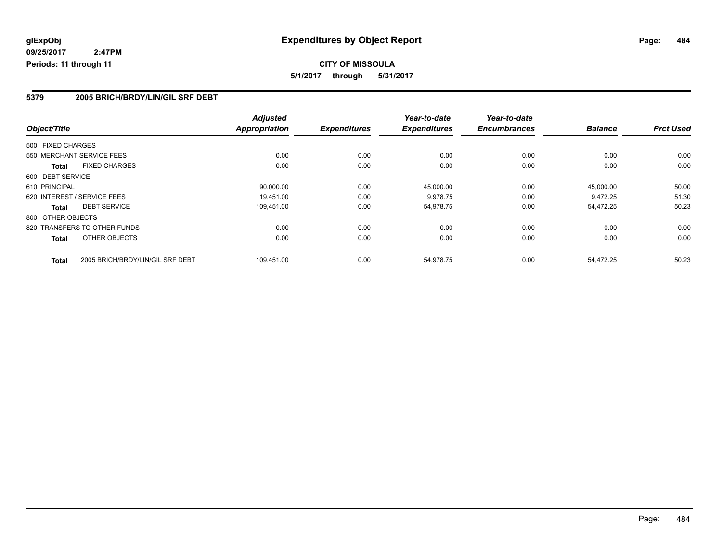**CITY OF MISSOULA 5/1/2017 through 5/31/2017**

### **5379 2005 BRICH/BRDY/LIN/GIL SRF DEBT**

|                                                  |  | <b>Adjusted</b>      |                     | Year-to-date        | Year-to-date        |                |                  |
|--------------------------------------------------|--|----------------------|---------------------|---------------------|---------------------|----------------|------------------|
| Object/Title                                     |  | <b>Appropriation</b> | <b>Expenditures</b> | <b>Expenditures</b> | <b>Encumbrances</b> | <b>Balance</b> | <b>Prct Used</b> |
| 500 FIXED CHARGES                                |  |                      |                     |                     |                     |                |                  |
| 550 MERCHANT SERVICE FEES                        |  | 0.00                 | 0.00                | 0.00                | 0.00                | 0.00           | 0.00             |
| <b>FIXED CHARGES</b><br>Total                    |  | 0.00                 | 0.00                | 0.00                | 0.00                | 0.00           | 0.00             |
| 600 DEBT SERVICE                                 |  |                      |                     |                     |                     |                |                  |
| 610 PRINCIPAL                                    |  | 90,000.00            | 0.00                | 45,000.00           | 0.00                | 45,000.00      | 50.00            |
| 620 INTEREST / SERVICE FEES                      |  | 19,451.00            | 0.00                | 9,978.75            | 0.00                | 9,472.25       | 51.30            |
| <b>DEBT SERVICE</b><br>Total                     |  | 109,451.00           | 0.00                | 54,978.75           | 0.00                | 54,472.25      | 50.23            |
| 800 OTHER OBJECTS                                |  |                      |                     |                     |                     |                |                  |
| 820 TRANSFERS TO OTHER FUNDS                     |  | 0.00                 | 0.00                | 0.00                | 0.00                | 0.00           | 0.00             |
| OTHER OBJECTS<br>Total                           |  | 0.00                 | 0.00                | 0.00                | 0.00                | 0.00           | 0.00             |
| 2005 BRICH/BRDY/LIN/GIL SRF DEBT<br><b>Total</b> |  | 109.451.00           | 0.00                | 54,978.75           | 0.00                | 54.472.25      | 50.23            |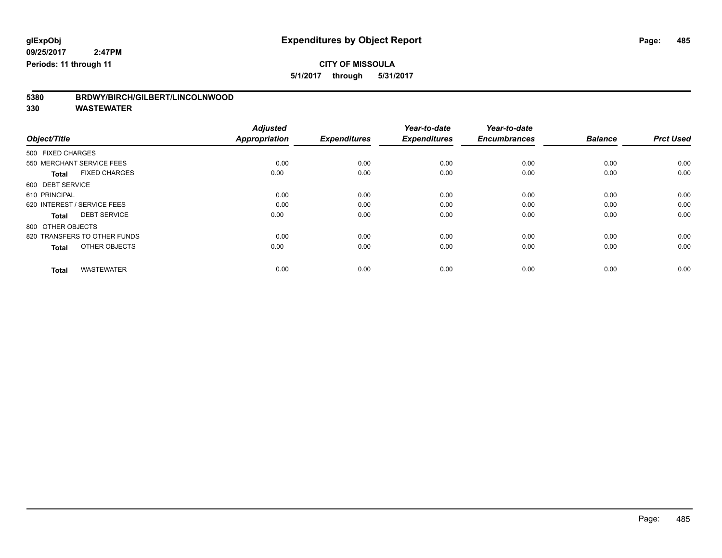**5/1/2017 through 5/31/2017**

| 5380 | BRDWY/BIRCH/GILBERT/LINCOLNWOOD |
|------|---------------------------------|
|      |                                 |

|                                      | <b>Adjusted</b> |                     | Year-to-date        | Year-to-date        |                |                  |
|--------------------------------------|-----------------|---------------------|---------------------|---------------------|----------------|------------------|
| Object/Title                         | Appropriation   | <b>Expenditures</b> | <b>Expenditures</b> | <b>Encumbrances</b> | <b>Balance</b> | <b>Prct Used</b> |
| 500 FIXED CHARGES                    |                 |                     |                     |                     |                |                  |
| 550 MERCHANT SERVICE FEES            | 0.00            | 0.00                | 0.00                | 0.00                | 0.00           | 0.00             |
| <b>FIXED CHARGES</b><br><b>Total</b> | 0.00            | 0.00                | 0.00                | 0.00                | 0.00           | 0.00             |
| 600 DEBT SERVICE                     |                 |                     |                     |                     |                |                  |
| 610 PRINCIPAL                        | 0.00            | 0.00                | 0.00                | 0.00                | 0.00           | 0.00             |
| 620 INTEREST / SERVICE FEES          | 0.00            | 0.00                | 0.00                | 0.00                | 0.00           | 0.00             |
| <b>DEBT SERVICE</b><br><b>Total</b>  | 0.00            | 0.00                | 0.00                | 0.00                | 0.00           | 0.00             |
| 800 OTHER OBJECTS                    |                 |                     |                     |                     |                |                  |
| 820 TRANSFERS TO OTHER FUNDS         | 0.00            | 0.00                | 0.00                | 0.00                | 0.00           | 0.00             |
| OTHER OBJECTS<br><b>Total</b>        | 0.00            | 0.00                | 0.00                | 0.00                | 0.00           | 0.00             |
|                                      |                 |                     |                     |                     |                |                  |
| <b>WASTEWATER</b><br><b>Total</b>    | 0.00            | 0.00                | 0.00                | 0.00                | 0.00           | 0.00             |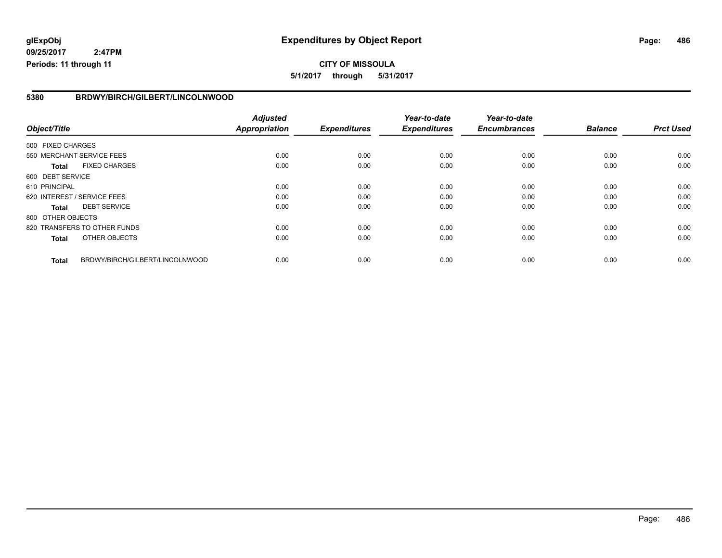**CITY OF MISSOULA 5/1/2017 through 5/31/2017**

### **5380 BRDWY/BIRCH/GILBERT/LINCOLNWOOD**

|                   |                                 | <b>Adjusted</b>      |                     | Year-to-date        | Year-to-date        |                |                  |
|-------------------|---------------------------------|----------------------|---------------------|---------------------|---------------------|----------------|------------------|
| Object/Title      |                                 | <b>Appropriation</b> | <b>Expenditures</b> | <b>Expenditures</b> | <b>Encumbrances</b> | <b>Balance</b> | <b>Prct Used</b> |
| 500 FIXED CHARGES |                                 |                      |                     |                     |                     |                |                  |
|                   | 550 MERCHANT SERVICE FEES       | 0.00                 | 0.00                | 0.00                | 0.00                | 0.00           | 0.00             |
| <b>Total</b>      | <b>FIXED CHARGES</b>            | 0.00                 | 0.00                | 0.00                | 0.00                | 0.00           | 0.00             |
| 600 DEBT SERVICE  |                                 |                      |                     |                     |                     |                |                  |
| 610 PRINCIPAL     |                                 | 0.00                 | 0.00                | 0.00                | 0.00                | 0.00           | 0.00             |
|                   | 620 INTEREST / SERVICE FEES     | 0.00                 | 0.00                | 0.00                | 0.00                | 0.00           | 0.00             |
| Total             | <b>DEBT SERVICE</b>             | 0.00                 | 0.00                | 0.00                | 0.00                | 0.00           | 0.00             |
| 800 OTHER OBJECTS |                                 |                      |                     |                     |                     |                |                  |
|                   | 820 TRANSFERS TO OTHER FUNDS    | 0.00                 | 0.00                | 0.00                | 0.00                | 0.00           | 0.00             |
| <b>Total</b>      | OTHER OBJECTS                   | 0.00                 | 0.00                | 0.00                | 0.00                | 0.00           | 0.00             |
| <b>Total</b>      | BRDWY/BIRCH/GILBERT/LINCOLNWOOD | 0.00                 | 0.00                | 0.00                | 0.00                | 0.00           | 0.00             |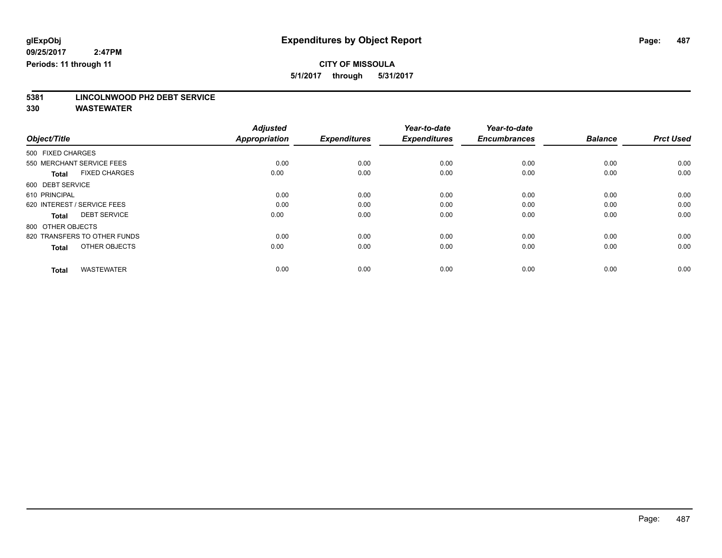**5/1/2017 through 5/31/2017**

# **5381 LINCOLNWOOD PH2 DEBT SERVICE**

|                                      | <b>Adjusted</b>      |                     | Year-to-date        | Year-to-date        |                |                  |
|--------------------------------------|----------------------|---------------------|---------------------|---------------------|----------------|------------------|
| Object/Title                         | <b>Appropriation</b> | <b>Expenditures</b> | <b>Expenditures</b> | <b>Encumbrances</b> | <b>Balance</b> | <b>Prct Used</b> |
| 500 FIXED CHARGES                    |                      |                     |                     |                     |                |                  |
| 550 MERCHANT SERVICE FEES            | 0.00                 | 0.00                | 0.00                | 0.00                | 0.00           | 0.00             |
| <b>FIXED CHARGES</b><br><b>Total</b> | 0.00                 | 0.00                | 0.00                | 0.00                | 0.00           | 0.00             |
| 600 DEBT SERVICE                     |                      |                     |                     |                     |                |                  |
| 610 PRINCIPAL                        | 0.00                 | 0.00                | 0.00                | 0.00                | 0.00           | 0.00             |
| 620 INTEREST / SERVICE FEES          | 0.00                 | 0.00                | 0.00                | 0.00                | 0.00           | 0.00             |
| <b>DEBT SERVICE</b><br><b>Total</b>  | 0.00                 | 0.00                | 0.00                | 0.00                | 0.00           | 0.00             |
| 800 OTHER OBJECTS                    |                      |                     |                     |                     |                |                  |
| 820 TRANSFERS TO OTHER FUNDS         | 0.00                 | 0.00                | 0.00                | 0.00                | 0.00           | 0.00             |
| OTHER OBJECTS<br><b>Total</b>        | 0.00                 | 0.00                | 0.00                | 0.00                | 0.00           | 0.00             |
|                                      |                      |                     |                     |                     |                |                  |
| <b>WASTEWATER</b><br><b>Total</b>    | 0.00                 | 0.00                | 0.00                | 0.00                | 0.00           | 0.00             |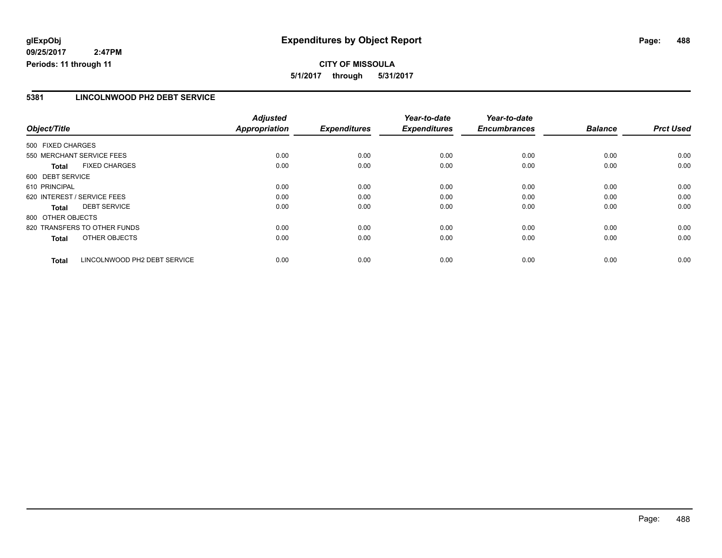**CITY OF MISSOULA 5/1/2017 through 5/31/2017**

### **5381 LINCOLNWOOD PH2 DEBT SERVICE**

|                   |                              | <b>Adjusted</b>      |                     | Year-to-date        | Year-to-date        |                |                  |
|-------------------|------------------------------|----------------------|---------------------|---------------------|---------------------|----------------|------------------|
| Object/Title      |                              | <b>Appropriation</b> | <b>Expenditures</b> | <b>Expenditures</b> | <b>Encumbrances</b> | <b>Balance</b> | <b>Prct Used</b> |
| 500 FIXED CHARGES |                              |                      |                     |                     |                     |                |                  |
|                   | 550 MERCHANT SERVICE FEES    | 0.00                 | 0.00                | 0.00                | 0.00                | 0.00           | 0.00             |
| Total             | <b>FIXED CHARGES</b>         | 0.00                 | 0.00                | 0.00                | 0.00                | 0.00           | 0.00             |
| 600 DEBT SERVICE  |                              |                      |                     |                     |                     |                |                  |
| 610 PRINCIPAL     |                              | 0.00                 | 0.00                | 0.00                | 0.00                | 0.00           | 0.00             |
|                   | 620 INTEREST / SERVICE FEES  | 0.00                 | 0.00                | 0.00                | 0.00                | 0.00           | 0.00             |
| Total             | <b>DEBT SERVICE</b>          | 0.00                 | 0.00                | 0.00                | 0.00                | 0.00           | 0.00             |
| 800 OTHER OBJECTS |                              |                      |                     |                     |                     |                |                  |
|                   | 820 TRANSFERS TO OTHER FUNDS | 0.00                 | 0.00                | 0.00                | 0.00                | 0.00           | 0.00             |
| <b>Total</b>      | OTHER OBJECTS                | 0.00                 | 0.00                | 0.00                | 0.00                | 0.00           | 0.00             |
| <b>Total</b>      | LINCOLNWOOD PH2 DEBT SERVICE | 0.00                 | 0.00                | 0.00                | 0.00                | 0.00           | 0.00             |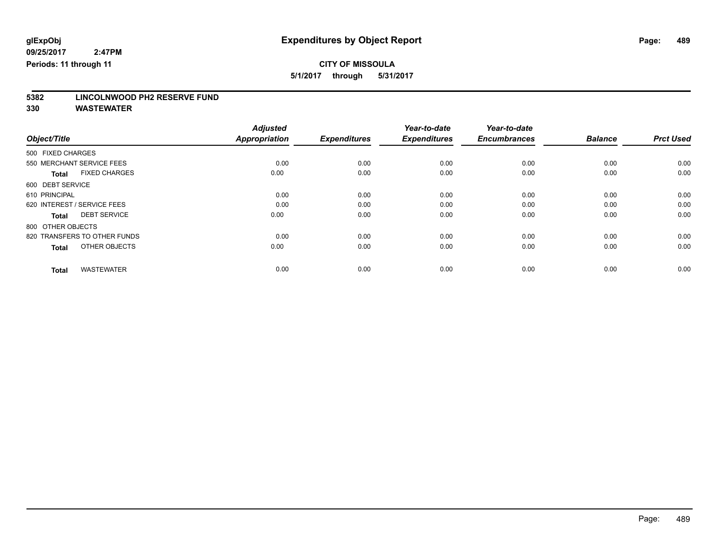**5/1/2017 through 5/31/2017**

# **5382 LINCOLNWOOD PH2 RESERVE FUND**

| Object/Title                         | <b>Adjusted</b><br><b>Appropriation</b> | <b>Expenditures</b> | Year-to-date<br><b>Expenditures</b> | Year-to-date<br><b>Encumbrances</b> | <b>Balance</b> | <b>Prct Used</b> |
|--------------------------------------|-----------------------------------------|---------------------|-------------------------------------|-------------------------------------|----------------|------------------|
| 500 FIXED CHARGES                    |                                         |                     |                                     |                                     |                |                  |
| 550 MERCHANT SERVICE FEES            | 0.00                                    | 0.00                | 0.00                                | 0.00                                | 0.00           | 0.00             |
| <b>FIXED CHARGES</b><br><b>Total</b> | 0.00                                    | 0.00                | 0.00                                | 0.00                                | 0.00           | 0.00             |
| 600 DEBT SERVICE                     |                                         |                     |                                     |                                     |                |                  |
| 610 PRINCIPAL                        | 0.00                                    | 0.00                | 0.00                                | 0.00                                | 0.00           | 0.00             |
| 620 INTEREST / SERVICE FEES          | 0.00                                    | 0.00                | 0.00                                | 0.00                                | 0.00           | 0.00             |
| <b>DEBT SERVICE</b><br><b>Total</b>  | 0.00                                    | 0.00                | 0.00                                | 0.00                                | 0.00           | 0.00             |
| 800 OTHER OBJECTS                    |                                         |                     |                                     |                                     |                |                  |
| 820 TRANSFERS TO OTHER FUNDS         | 0.00                                    | 0.00                | 0.00                                | 0.00                                | 0.00           | 0.00             |
| OTHER OBJECTS<br><b>Total</b>        | 0.00                                    | 0.00                | 0.00                                | 0.00                                | 0.00           | 0.00             |
|                                      |                                         |                     |                                     |                                     |                |                  |
| <b>WASTEWATER</b><br><b>Total</b>    | 0.00                                    | 0.00                | 0.00                                | 0.00                                | 0.00           | 0.00             |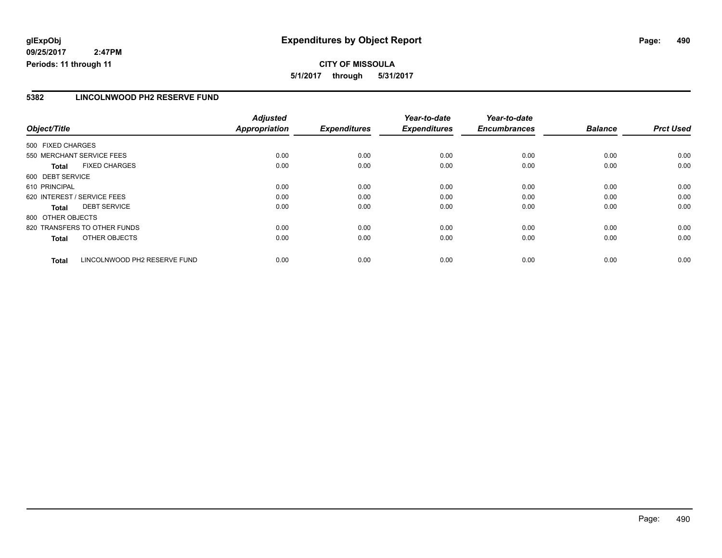**CITY OF MISSOULA 5/1/2017 through 5/31/2017**

#### **5382 LINCOLNWOOD PH2 RESERVE FUND**

|                   |                              | <b>Adjusted</b> |                     | Year-to-date        | Year-to-date        |                |                  |
|-------------------|------------------------------|-----------------|---------------------|---------------------|---------------------|----------------|------------------|
| Object/Title      |                              | Appropriation   | <b>Expenditures</b> | <b>Expenditures</b> | <b>Encumbrances</b> | <b>Balance</b> | <b>Prct Used</b> |
| 500 FIXED CHARGES |                              |                 |                     |                     |                     |                |                  |
|                   | 550 MERCHANT SERVICE FEES    | 0.00            | 0.00                | 0.00                | 0.00                | 0.00           | 0.00             |
| Total             | <b>FIXED CHARGES</b>         | 0.00            | 0.00                | 0.00                | 0.00                | 0.00           | 0.00             |
| 600 DEBT SERVICE  |                              |                 |                     |                     |                     |                |                  |
| 610 PRINCIPAL     |                              | 0.00            | 0.00                | 0.00                | 0.00                | 0.00           | 0.00             |
|                   | 620 INTEREST / SERVICE FEES  | 0.00            | 0.00                | 0.00                | 0.00                | 0.00           | 0.00             |
| <b>Total</b>      | <b>DEBT SERVICE</b>          | 0.00            | 0.00                | 0.00                | 0.00                | 0.00           | 0.00             |
| 800 OTHER OBJECTS |                              |                 |                     |                     |                     |                |                  |
|                   | 820 TRANSFERS TO OTHER FUNDS | 0.00            | 0.00                | 0.00                | 0.00                | 0.00           | 0.00             |
| <b>Total</b>      | OTHER OBJECTS                | 0.00            | 0.00                | 0.00                | 0.00                | 0.00           | 0.00             |
| <b>Total</b>      | LINCOLNWOOD PH2 RESERVE FUND | 0.00            | 0.00                | 0.00                | 0.00                | 0.00           | 0.00             |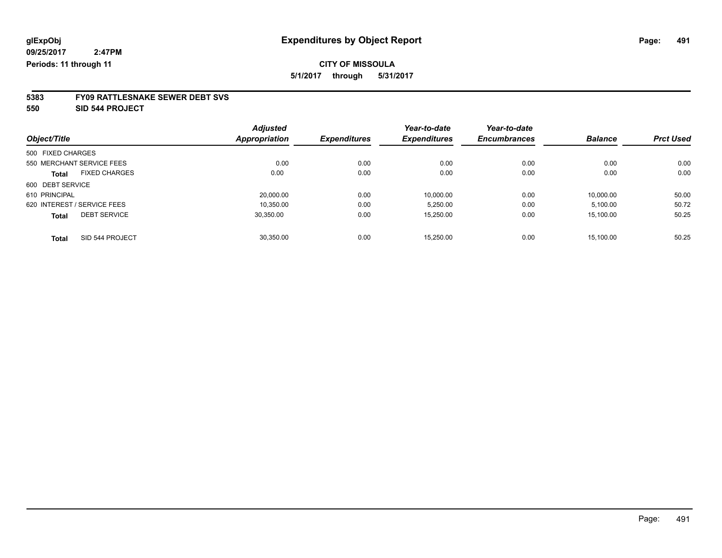**5/1/2017 through 5/31/2017**

# **5383 FY09 RATTLESNAKE SEWER DEBT SVS**

**550 SID 544 PROJECT**

|                                      | <b>Adjusted</b> |                     | Year-to-date        | Year-to-date        |                |                  |
|--------------------------------------|-----------------|---------------------|---------------------|---------------------|----------------|------------------|
| Object/Title                         | Appropriation   | <b>Expenditures</b> | <b>Expenditures</b> | <b>Encumbrances</b> | <b>Balance</b> | <b>Prct Used</b> |
| 500 FIXED CHARGES                    |                 |                     |                     |                     |                |                  |
| 550 MERCHANT SERVICE FEES            | 0.00            | 0.00                | 0.00                | 0.00                | 0.00           | 0.00             |
| <b>FIXED CHARGES</b><br><b>Total</b> | 0.00            | 0.00                | 0.00                | 0.00                | 0.00           | 0.00             |
| 600 DEBT SERVICE                     |                 |                     |                     |                     |                |                  |
| 610 PRINCIPAL                        | 20.000.00       | 0.00                | 10.000.00           | 0.00                | 10.000.00      | 50.00            |
| 620 INTEREST / SERVICE FEES          | 10.350.00       | 0.00                | 5,250.00            | 0.00                | 5,100.00       | 50.72            |
| <b>DEBT SERVICE</b><br><b>Total</b>  | 30.350.00       | 0.00                | 15,250.00           | 0.00                | 15,100.00      | 50.25            |
| SID 544 PROJECT<br><b>Total</b>      | 30.350.00       | 0.00                | 15.250.00           | 0.00                | 15.100.00      | 50.25            |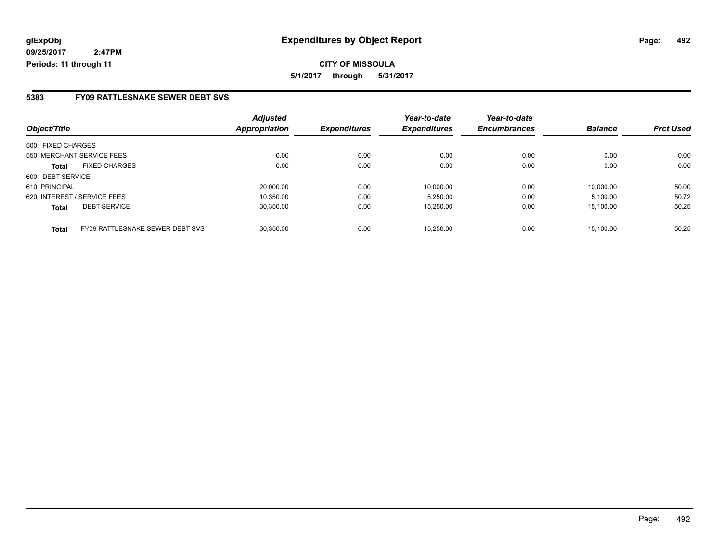### **5383 FY09 RATTLESNAKE SEWER DEBT SVS**

|                                                 | <b>Adjusted</b>      |                     | Year-to-date        | Year-to-date        |                |                  |
|-------------------------------------------------|----------------------|---------------------|---------------------|---------------------|----------------|------------------|
| Object/Title                                    | <b>Appropriation</b> | <b>Expenditures</b> | <b>Expenditures</b> | <b>Encumbrances</b> | <b>Balance</b> | <b>Prct Used</b> |
| 500 FIXED CHARGES                               |                      |                     |                     |                     |                |                  |
| 550 MERCHANT SERVICE FEES                       | 0.00                 | 0.00                | 0.00                | 0.00                | 0.00           | 0.00             |
| <b>FIXED CHARGES</b><br>Total                   | 0.00                 | 0.00                | 0.00                | 0.00                | 0.00           | 0.00             |
| 600 DEBT SERVICE                                |                      |                     |                     |                     |                |                  |
| 610 PRINCIPAL                                   | 20,000.00            | 0.00                | 10.000.00           | 0.00                | 10.000.00      | 50.00            |
| 620 INTEREST / SERVICE FEES                     | 10.350.00            | 0.00                | 5.250.00            | 0.00                | 5.100.00       | 50.72            |
| <b>DEBT SERVICE</b><br><b>Total</b>             | 30.350.00            | 0.00                | 15,250.00           | 0.00                | 15.100.00      | 50.25            |
| FY09 RATTLESNAKE SEWER DEBT SVS<br><b>Total</b> | 30.350.00            | 0.00                | 15.250.00           | 0.00                | 15.100.00      | 50.25            |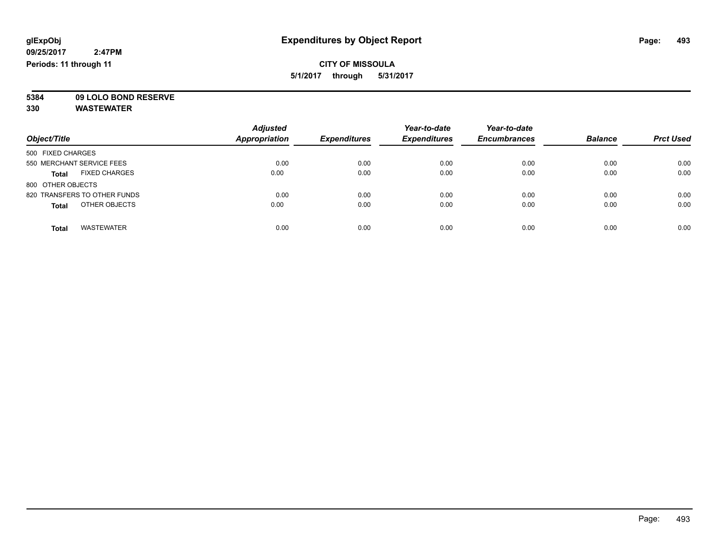### **CITY OF MISSOULA 5/1/2017 through 5/31/2017**

**5384 09 LOLO BOND RESERVE**

| Object/Title                         | <b>Adjusted</b><br><b>Appropriation</b> | <b>Expenditures</b> | Year-to-date<br><b>Expenditures</b> | Year-to-date<br><b>Encumbrances</b> | <b>Balance</b> | <b>Prct Used</b> |
|--------------------------------------|-----------------------------------------|---------------------|-------------------------------------|-------------------------------------|----------------|------------------|
| 500 FIXED CHARGES                    |                                         |                     |                                     |                                     |                |                  |
| 550 MERCHANT SERVICE FEES            | 0.00                                    | 0.00                | 0.00                                | 0.00                                | 0.00           | 0.00             |
| <b>FIXED CHARGES</b><br><b>Total</b> | 0.00                                    | 0.00                | 0.00                                | 0.00                                | 0.00           | 0.00             |
| 800 OTHER OBJECTS                    |                                         |                     |                                     |                                     |                |                  |
| 820 TRANSFERS TO OTHER FUNDS         | 0.00                                    | 0.00                | 0.00                                | 0.00                                | 0.00           | 0.00             |
| OTHER OBJECTS<br><b>Total</b>        | 0.00                                    | 0.00                | 0.00                                | 0.00                                | 0.00           | 0.00             |
| <b>WASTEWATER</b><br>Total           | 0.00                                    | 0.00                | 0.00                                | 0.00                                | 0.00           | 0.00             |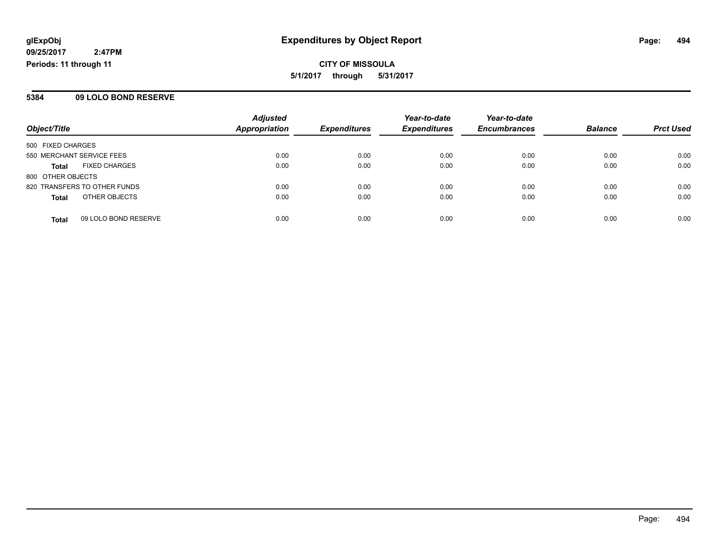**CITY OF MISSOULA 5/1/2017 through 5/31/2017**

### **5384 09 LOLO BOND RESERVE**

| Object/Title                 |                      | <b>Adjusted</b>      |                     | Year-to-date        | Year-to-date        | <b>Balance</b> | <b>Prct Used</b> |
|------------------------------|----------------------|----------------------|---------------------|---------------------|---------------------|----------------|------------------|
|                              |                      | <b>Appropriation</b> | <b>Expenditures</b> | <b>Expenditures</b> | <b>Encumbrances</b> |                |                  |
| 500 FIXED CHARGES            |                      |                      |                     |                     |                     |                |                  |
| 550 MERCHANT SERVICE FEES    |                      | 0.00                 | 0.00                | 0.00                | 0.00                | 0.00           | 0.00             |
| <b>Total</b>                 | <b>FIXED CHARGES</b> | 0.00                 | 0.00                | 0.00                | 0.00                | 0.00           | 0.00             |
| 800 OTHER OBJECTS            |                      |                      |                     |                     |                     |                |                  |
| 820 TRANSFERS TO OTHER FUNDS |                      | 0.00                 | 0.00                | 0.00                | 0.00                | 0.00           | 0.00             |
| <b>Total</b>                 | OTHER OBJECTS        | 0.00                 | 0.00                | 0.00                | 0.00                | 0.00           | 0.00             |
| <b>Total</b>                 | 09 LOLO BOND RESERVE | 0.00                 | 0.00                | 0.00                | 0.00                | 0.00           | 0.00             |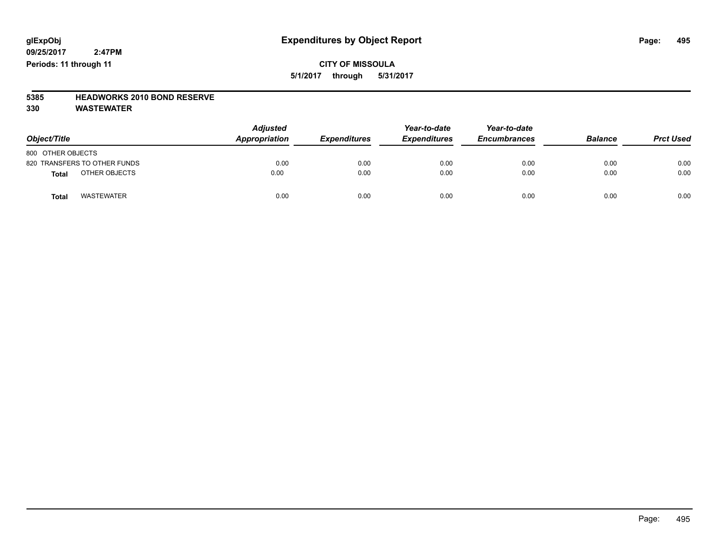### **CITY OF MISSOULA 5/1/2017 through 5/31/2017**

## **5385 HEADWORKS 2010 BOND RESERVE**

| Object/Title                      | <b>Adjusted</b><br>Appropriation | <b>Expenditures</b> | Year-to-date<br><b>Expenditures</b> | Year-to-date<br><b>Encumbrances</b> | <b>Balance</b> | <b>Prct Used</b> |
|-----------------------------------|----------------------------------|---------------------|-------------------------------------|-------------------------------------|----------------|------------------|
| 800 OTHER OBJECTS                 |                                  |                     |                                     |                                     |                |                  |
| 820 TRANSFERS TO OTHER FUNDS      | 0.00                             | 0.00                | 0.00                                | 0.00                                | 0.00           | 0.00             |
| OTHER OBJECTS<br><b>Total</b>     | 0.00                             | 0.00                | 0.00                                | 0.00                                | 0.00           | 0.00             |
| <b>WASTEWATER</b><br><b>Total</b> | 0.00                             | 0.00                | 0.00                                | 0.00                                | 0.00           | 0.00             |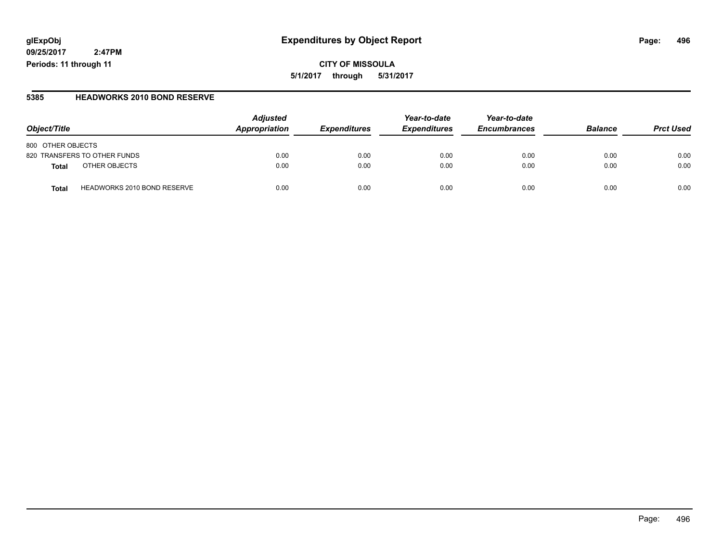### **glExpObj Expenditures by Object Report Page: 496**

**09/25/2017 2:47PM Periods: 11 through 11**

#### **5385 HEADWORKS 2010 BOND RESERVE**

| Object/Title                                | <b>Adjusted</b><br>Appropriation | <b>Expenditures</b> | Year-to-date<br><b>Expenditures</b> | Year-to-date<br><b>Encumbrances</b> | <b>Balance</b> | <b>Prct Used</b> |
|---------------------------------------------|----------------------------------|---------------------|-------------------------------------|-------------------------------------|----------------|------------------|
| 800 OTHER OBJECTS                           |                                  |                     |                                     |                                     |                |                  |
| 820 TRANSFERS TO OTHER FUNDS                | 0.00                             | 0.00                | 0.00                                | 0.00                                | 0.00           | 0.00             |
| OTHER OBJECTS<br><b>Total</b>               | 0.00                             | 0.00                | 0.00                                | 0.00                                | 0.00           | 0.00             |
| <b>HEADWORKS 2010 BOND RESERVE</b><br>Total | 0.00                             | 0.00                | 0.00                                | 0.00                                | 0.00           | 0.00             |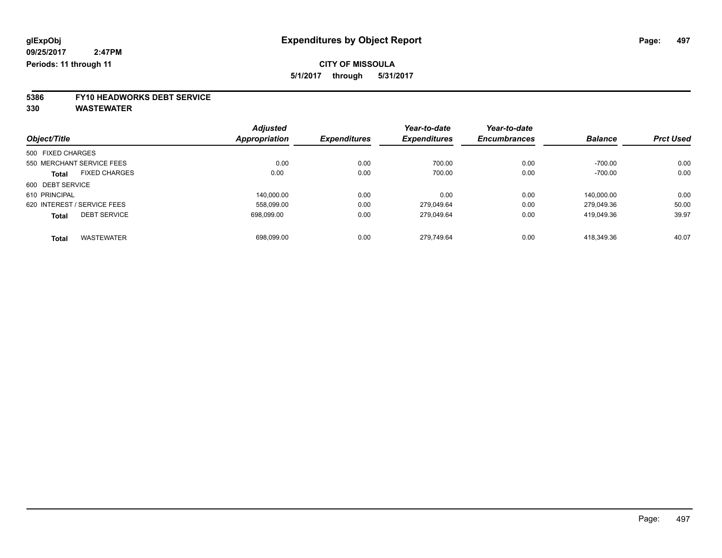**5/1/2017 through 5/31/2017**

# **5386 FY10 HEADWORKS DEBT SERVICE**

| Object/Title      |                             | <b>Adjusted</b> | <b>Expenditures</b> | Year-to-date        | Year-to-date        | <b>Balance</b> | <b>Prct Used</b> |
|-------------------|-----------------------------|-----------------|---------------------|---------------------|---------------------|----------------|------------------|
|                   |                             | Appropriation   |                     | <b>Expenditures</b> | <b>Encumbrances</b> |                |                  |
| 500 FIXED CHARGES |                             |                 |                     |                     |                     |                |                  |
|                   | 550 MERCHANT SERVICE FEES   | 0.00            | 0.00                | 700.00              | 0.00                | $-700.00$      | 0.00             |
| <b>Total</b>      | <b>FIXED CHARGES</b>        | 0.00            | 0.00                | 700.00              | 0.00                | $-700.00$      | 0.00             |
| 600 DEBT SERVICE  |                             |                 |                     |                     |                     |                |                  |
| 610 PRINCIPAL     |                             | 140.000.00      | 0.00                | 0.00                | 0.00                | 140.000.00     | 0.00             |
|                   | 620 INTEREST / SERVICE FEES | 558.099.00      | 0.00                | 279.049.64          | 0.00                | 279.049.36     | 50.00            |
| <b>Total</b>      | <b>DEBT SERVICE</b>         | 698.099.00      | 0.00                | 279,049.64          | 0.00                | 419.049.36     | 39.97            |
| <b>Total</b>      | <b>WASTEWATER</b>           | 698.099.00      | 0.00                | 279.749.64          | 0.00                | 418.349.36     | 40.07            |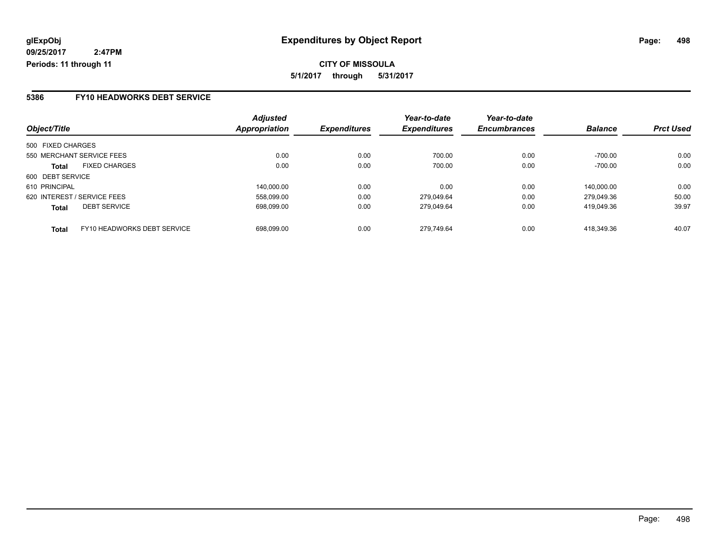### **5386 FY10 HEADWORKS DEBT SERVICE**

| Object/Title                                | <b>Adjusted</b><br>Appropriation | <b>Expenditures</b> | Year-to-date<br><b>Expenditures</b> | Year-to-date<br><b>Encumbrances</b> | <b>Balance</b> | <b>Prct Used</b> |
|---------------------------------------------|----------------------------------|---------------------|-------------------------------------|-------------------------------------|----------------|------------------|
|                                             |                                  |                     |                                     |                                     |                |                  |
| 500 FIXED CHARGES                           |                                  |                     |                                     |                                     |                |                  |
| 550 MERCHANT SERVICE FEES                   | 0.00                             | 0.00                | 700.00                              | 0.00                                | $-700.00$      | 0.00             |
| <b>FIXED CHARGES</b><br><b>Total</b>        | 0.00                             | 0.00                | 700.00                              | 0.00                                | $-700.00$      | 0.00             |
| 600 DEBT SERVICE                            |                                  |                     |                                     |                                     |                |                  |
| 610 PRINCIPAL                               | 140.000.00                       | 0.00                | 0.00                                | 0.00                                | 140,000.00     | 0.00             |
| 620 INTEREST / SERVICE FEES                 | 558.099.00                       | 0.00                | 279.049.64                          | 0.00                                | 279.049.36     | 50.00            |
| <b>DEBT SERVICE</b><br><b>Total</b>         | 698.099.00                       | 0.00                | 279.049.64                          | 0.00                                | 419.049.36     | 39.97            |
| FY10 HEADWORKS DEBT SERVICE<br><b>Total</b> | 698.099.00                       | 0.00                | 279.749.64                          | 0.00                                | 418.349.36     | 40.07            |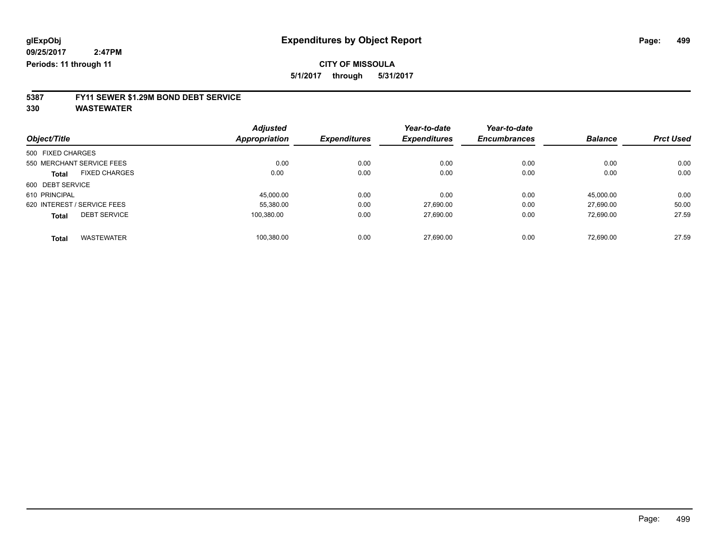**5/1/2017 through 5/31/2017**

# **5387 FY11 SEWER \$1.29M BOND DEBT SERVICE**

| Object/Title                |                      | <b>Adjusted</b> |                     | Year-to-date        | Year-to-date        |                |                  |
|-----------------------------|----------------------|-----------------|---------------------|---------------------|---------------------|----------------|------------------|
|                             |                      | Appropriation   | <b>Expenditures</b> | <b>Expenditures</b> | <b>Encumbrances</b> | <b>Balance</b> | <b>Prct Used</b> |
| 500 FIXED CHARGES           |                      |                 |                     |                     |                     |                |                  |
| 550 MERCHANT SERVICE FEES   |                      | 0.00            | 0.00                | 0.00                | 0.00                | 0.00           | 0.00             |
| <b>Total</b>                | <b>FIXED CHARGES</b> | 0.00            | 0.00                | 0.00                | 0.00                | 0.00           | 0.00             |
| 600 DEBT SERVICE            |                      |                 |                     |                     |                     |                |                  |
| 610 PRINCIPAL               |                      | 45,000.00       | 0.00                | 0.00                | 0.00                | 45,000.00      | 0.00             |
| 620 INTEREST / SERVICE FEES |                      | 55,380.00       | 0.00                | 27.690.00           | 0.00                | 27.690.00      | 50.00            |
| <b>Total</b>                | <b>DEBT SERVICE</b>  | 100.380.00      | 0.00                | 27.690.00           | 0.00                | 72.690.00      | 27.59            |
| <b>Total</b>                | <b>WASTEWATER</b>    | 100,380.00      | 0.00                | 27.690.00           | 0.00                | 72.690.00      | 27.59            |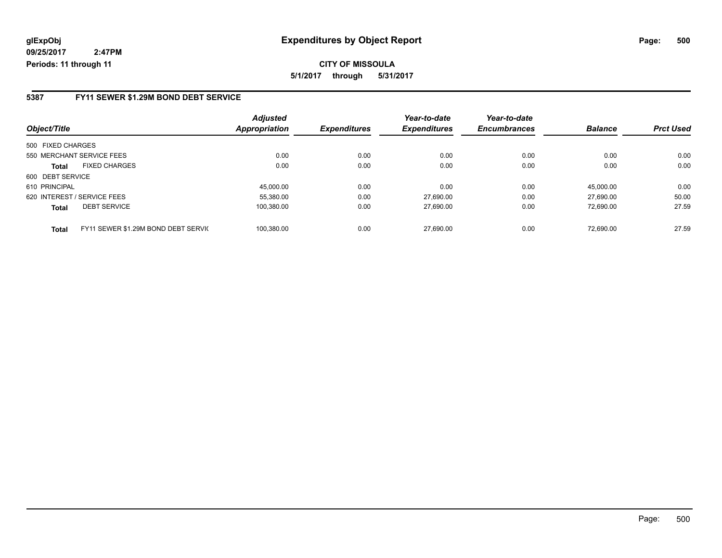**CITY OF MISSOULA 5/1/2017 through 5/31/2017**

### **5387 FY11 SEWER \$1.29M BOND DEBT SERVICE**

| Object/Title                                        | <b>Adjusted</b><br><b>Appropriation</b> | <b>Expenditures</b> | Year-to-date<br><b>Expenditures</b> | Year-to-date<br><b>Encumbrances</b> | <b>Balance</b> | <b>Prct Used</b> |
|-----------------------------------------------------|-----------------------------------------|---------------------|-------------------------------------|-------------------------------------|----------------|------------------|
|                                                     |                                         |                     |                                     |                                     |                |                  |
| 500 FIXED CHARGES                                   |                                         |                     |                                     |                                     |                |                  |
| 550 MERCHANT SERVICE FEES                           | 0.00                                    | 0.00                | 0.00                                | 0.00                                | 0.00           | 0.00             |
| <b>FIXED CHARGES</b><br><b>Total</b>                | 0.00                                    | 0.00                | 0.00                                | 0.00                                | 0.00           | 0.00             |
| 600 DEBT SERVICE                                    |                                         |                     |                                     |                                     |                |                  |
| 610 PRINCIPAL                                       | 45.000.00                               | 0.00                | 0.00                                | 0.00                                | 45.000.00      | 0.00             |
| 620 INTEREST / SERVICE FEES                         | 55.380.00                               | 0.00                | 27.690.00                           | 0.00                                | 27.690.00      | 50.00            |
| <b>DEBT SERVICE</b><br><b>Total</b>                 | 100,380.00                              | 0.00                | 27,690.00                           | 0.00                                | 72.690.00      | 27.59            |
| FY11 SEWER \$1.29M BOND DEBT SERVIC<br><b>Total</b> | 100.380.00                              | 0.00                | 27.690.00                           | 0.00                                | 72.690.00      | 27.59            |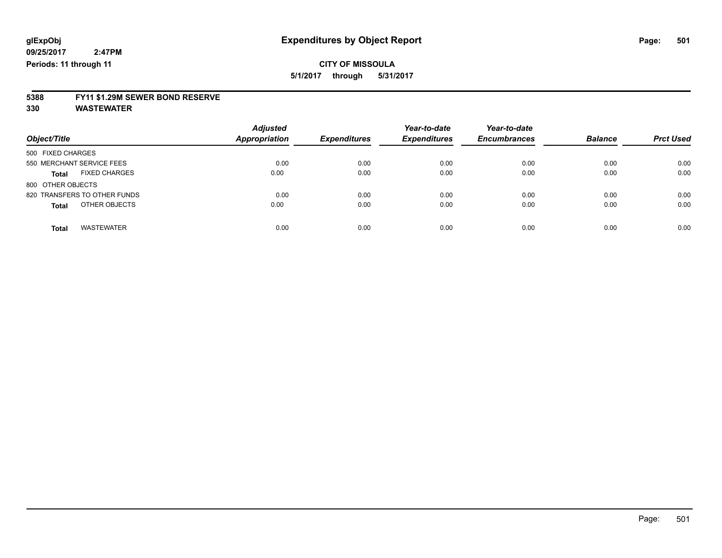### **CITY OF MISSOULA 5/1/2017 through 5/31/2017**

**5388 FY11 \$1.29M SEWER BOND RESERVE**

| Object/Title                         | <b>Adjusted</b><br><b>Appropriation</b> | <b>Expenditures</b> | Year-to-date<br><b>Expenditures</b> | Year-to-date<br><b>Encumbrances</b> | <b>Balance</b> | <b>Prct Used</b> |
|--------------------------------------|-----------------------------------------|---------------------|-------------------------------------|-------------------------------------|----------------|------------------|
| 500 FIXED CHARGES                    |                                         |                     |                                     |                                     |                |                  |
| 550 MERCHANT SERVICE FEES            | 0.00                                    | 0.00                | 0.00                                | 0.00                                | 0.00           | 0.00             |
| <b>FIXED CHARGES</b><br><b>Total</b> | 0.00                                    | 0.00                | 0.00                                | 0.00                                | 0.00           | 0.00             |
| 800 OTHER OBJECTS                    |                                         |                     |                                     |                                     |                |                  |
| 820 TRANSFERS TO OTHER FUNDS         | 0.00                                    | 0.00                | 0.00                                | 0.00                                | 0.00           | 0.00             |
| OTHER OBJECTS<br><b>Total</b>        | 0.00                                    | 0.00                | 0.00                                | 0.00                                | 0.00           | 0.00             |
| <b>WASTEWATER</b><br><b>Total</b>    | 0.00                                    | 0.00                | 0.00                                | 0.00                                | 0.00           | 0.00             |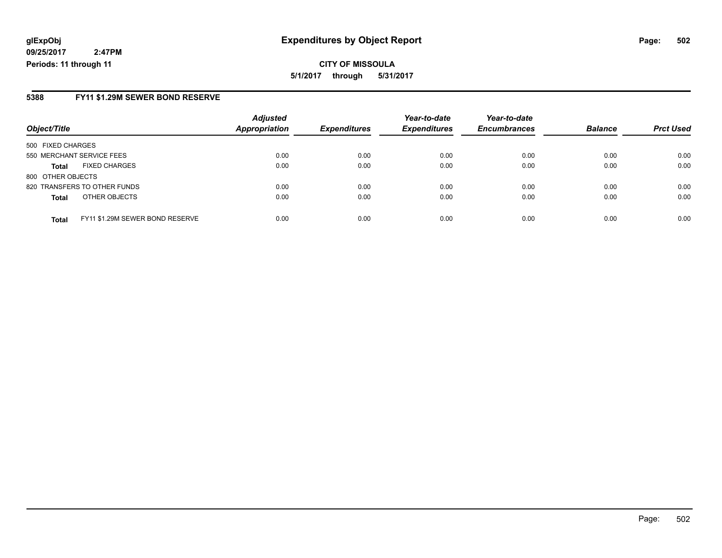**CITY OF MISSOULA 5/1/2017 through 5/31/2017**

### **5388 FY11 \$1.29M SEWER BOND RESERVE**

|                           |                                 | <b>Adjusted</b> |                     | Year-to-date        | Year-to-date        |                |                  |
|---------------------------|---------------------------------|-----------------|---------------------|---------------------|---------------------|----------------|------------------|
| Object/Title              |                                 | Appropriation   | <b>Expenditures</b> | <b>Expenditures</b> | <b>Encumbrances</b> | <b>Balance</b> | <b>Prct Used</b> |
| 500 FIXED CHARGES         |                                 |                 |                     |                     |                     |                |                  |
| 550 MERCHANT SERVICE FEES |                                 | 0.00            | 0.00                | 0.00                | 0.00                | 0.00           | 0.00             |
| Total                     | <b>FIXED CHARGES</b>            | 0.00            | 0.00                | 0.00                | 0.00                | 0.00           | 0.00             |
| 800 OTHER OBJECTS         |                                 |                 |                     |                     |                     |                |                  |
|                           | 820 TRANSFERS TO OTHER FUNDS    | 0.00            | 0.00                | 0.00                | 0.00                | 0.00           | 0.00             |
| Total                     | OTHER OBJECTS                   | 0.00            | 0.00                | 0.00                | 0.00                | 0.00           | 0.00             |
| <b>Total</b>              | FY11 \$1.29M SEWER BOND RESERVE | 0.00            | 0.00                | 0.00                | 0.00                | 0.00           | 0.00             |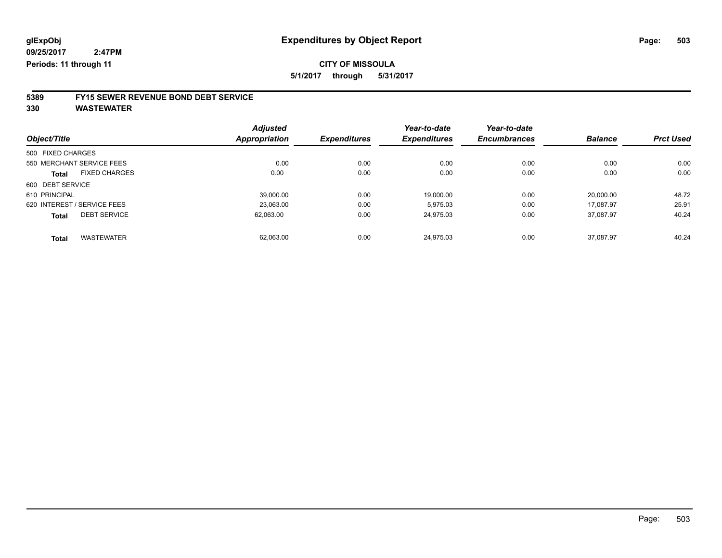**5/1/2017 through 5/31/2017**

# **5389 FY15 SEWER REVENUE BOND DEBT SERVICE**

|                   |                             | <b>Adjusted</b> |                     | Year-to-date        | Year-to-date        |                |                  |
|-------------------|-----------------------------|-----------------|---------------------|---------------------|---------------------|----------------|------------------|
| Object/Title      |                             | Appropriation   | <b>Expenditures</b> | <b>Expenditures</b> | <b>Encumbrances</b> | <b>Balance</b> | <b>Prct Used</b> |
| 500 FIXED CHARGES |                             |                 |                     |                     |                     |                |                  |
|                   | 550 MERCHANT SERVICE FEES   | 0.00            | 0.00                | 0.00                | 0.00                | 0.00           | 0.00             |
| <b>Total</b>      | <b>FIXED CHARGES</b>        | 0.00            | 0.00                | 0.00                | 0.00                | 0.00           | 0.00             |
| 600 DEBT SERVICE  |                             |                 |                     |                     |                     |                |                  |
| 610 PRINCIPAL     |                             | 39.000.00       | 0.00                | 19,000.00           | 0.00                | 20.000.00      | 48.72            |
|                   | 620 INTEREST / SERVICE FEES | 23,063.00       | 0.00                | 5,975.03            | 0.00                | 17.087.97      | 25.91            |
| <b>Total</b>      | <b>DEBT SERVICE</b>         | 62,063.00       | 0.00                | 24.975.03           | 0.00                | 37.087.97      | 40.24            |
| <b>Total</b>      | <b>WASTEWATER</b>           | 62,063.00       | 0.00                | 24.975.03           | 0.00                | 37.087.97      | 40.24            |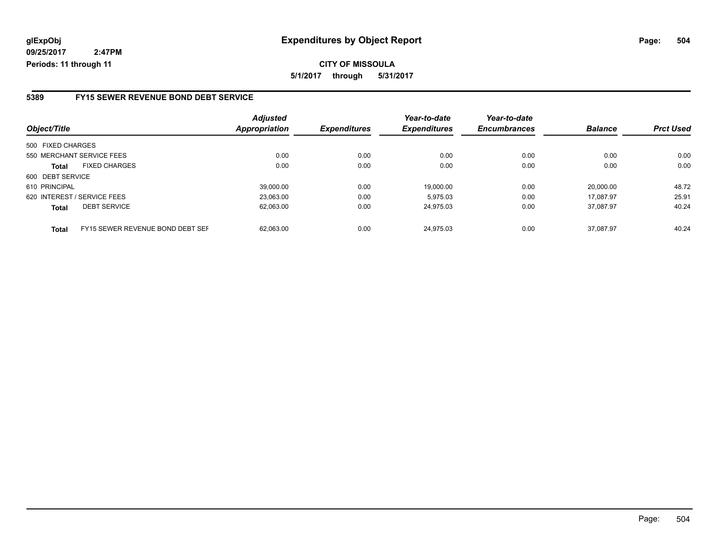**CITY OF MISSOULA 5/1/2017 through 5/31/2017**

### **5389 FY15 SEWER REVENUE BOND DEBT SERVICE**

| Object/Title                         |                                  | <b>Adjusted</b><br><b>Appropriation</b> | <b>Expenditures</b> | Year-to-date<br><b>Expenditures</b> | Year-to-date<br><b>Encumbrances</b> | <b>Balance</b> | <b>Prct Used</b> |
|--------------------------------------|----------------------------------|-----------------------------------------|---------------------|-------------------------------------|-------------------------------------|----------------|------------------|
| 500 FIXED CHARGES                    |                                  |                                         |                     |                                     |                                     |                |                  |
| 550 MERCHANT SERVICE FEES            |                                  | 0.00                                    | 0.00                | 0.00                                | 0.00                                | 0.00           | 0.00             |
| <b>FIXED CHARGES</b><br><b>Total</b> |                                  | 0.00                                    | 0.00                | 0.00                                | 0.00                                | 0.00           | 0.00             |
| 600 DEBT SERVICE                     |                                  |                                         |                     |                                     |                                     |                |                  |
| 610 PRINCIPAL                        |                                  | 39.000.00                               | 0.00                | 19.000.00                           | 0.00                                | 20.000.00      | 48.72            |
| 620 INTEREST / SERVICE FEES          |                                  | 23,063.00                               | 0.00                | 5.975.03                            | 0.00                                | 17.087.97      | 25.91            |
| <b>DEBT SERVICE</b><br><b>Total</b>  |                                  | 62,063.00                               | 0.00                | 24.975.03                           | 0.00                                | 37.087.97      | 40.24            |
| <b>Total</b>                         | FY15 SEWER REVENUE BOND DEBT SEF | 62.063.00                               | 0.00                | 24.975.03                           | 0.00                                | 37.087.97      | 40.24            |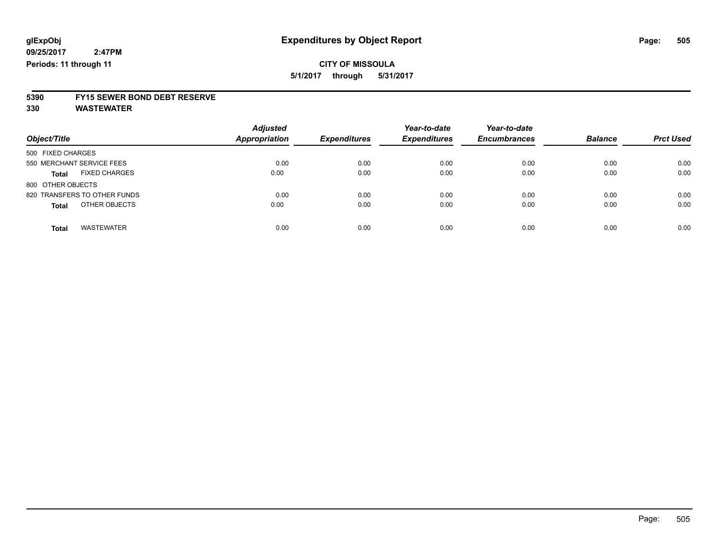**5/1/2017 through 5/31/2017**

# **5390 FY15 SEWER BOND DEBT RESERVE**

**330 WASTEWATER**

| Object/Title                         | <b>Adjusted</b><br>Appropriation | <b>Expenditures</b> | Year-to-date<br><b>Expenditures</b> | Year-to-date<br><b>Encumbrances</b> | <b>Balance</b> | <b>Prct Used</b> |
|--------------------------------------|----------------------------------|---------------------|-------------------------------------|-------------------------------------|----------------|------------------|
| 500 FIXED CHARGES                    |                                  |                     |                                     |                                     |                |                  |
| 550 MERCHANT SERVICE FEES            | 0.00                             | 0.00                | 0.00                                | 0.00                                | 0.00           | 0.00             |
| <b>FIXED CHARGES</b><br><b>Total</b> | 0.00                             | 0.00                | 0.00                                | 0.00                                | 0.00           | 0.00             |
| 800 OTHER OBJECTS                    |                                  |                     |                                     |                                     |                |                  |
| 820 TRANSFERS TO OTHER FUNDS         | 0.00                             | 0.00                | 0.00                                | 0.00                                | 0.00           | 0.00             |
| OTHER OBJECTS<br><b>Total</b>        | 0.00                             | 0.00                | 0.00                                | 0.00                                | 0.00           | 0.00             |
| <b>WASTEWATER</b><br><b>Total</b>    | 0.00                             | 0.00                | 0.00                                | 0.00                                | 0.00           | 0.00             |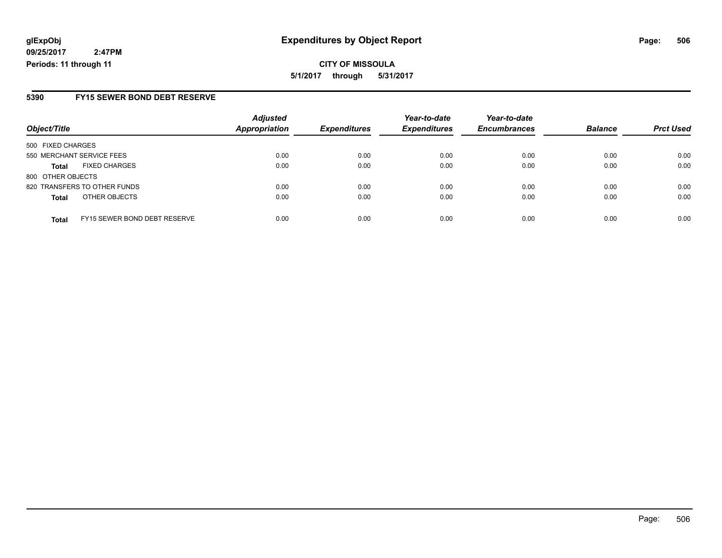**CITY OF MISSOULA 5/1/2017 through 5/31/2017**

### **5390 FY15 SEWER BOND DEBT RESERVE**

| Object/Title              |                                     | <b>Adjusted</b> | <b>Expenditures</b> | Year-to-date        | Year-to-date        | <b>Balance</b> | <b>Prct Used</b> |
|---------------------------|-------------------------------------|-----------------|---------------------|---------------------|---------------------|----------------|------------------|
|                           |                                     | Appropriation   |                     | <b>Expenditures</b> | <b>Encumbrances</b> |                |                  |
| 500 FIXED CHARGES         |                                     |                 |                     |                     |                     |                |                  |
| 550 MERCHANT SERVICE FEES |                                     | 0.00            | 0.00                | 0.00                | 0.00                | 0.00           | 0.00             |
| <b>Total</b>              | <b>FIXED CHARGES</b>                | 0.00            | 0.00                | 0.00                | 0.00                | 0.00           | 0.00             |
| 800 OTHER OBJECTS         |                                     |                 |                     |                     |                     |                |                  |
|                           | 820 TRANSFERS TO OTHER FUNDS        | 0.00            | 0.00                | 0.00                | 0.00                | 0.00           | 0.00             |
| <b>Total</b>              | OTHER OBJECTS                       | 0.00            | 0.00                | 0.00                | 0.00                | 0.00           | 0.00             |
| <b>Total</b>              | <b>FY15 SEWER BOND DEBT RESERVE</b> | 0.00            | 0.00                | 0.00                | 0.00                | 0.00           | 0.00             |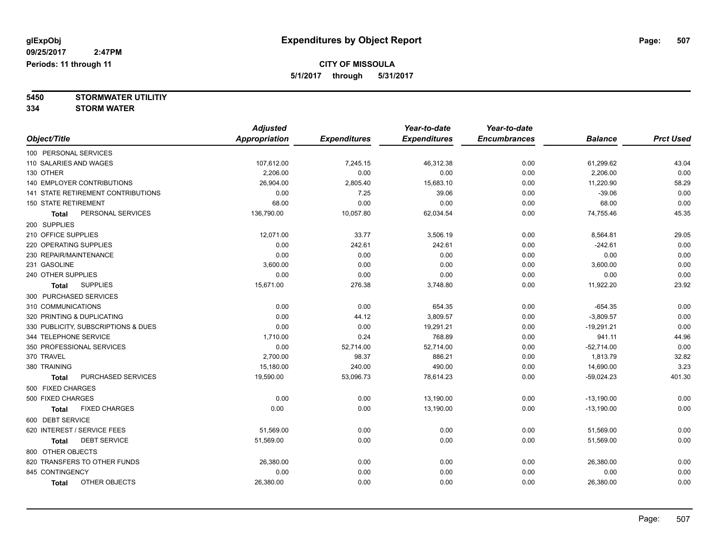**5/1/2017 through 5/31/2017**

**5450 STORMWATER UTILITIY 334 STORM WATER**

|                                      | <b>Adjusted</b>      |                     | Year-to-date        | Year-to-date        |                |                  |
|--------------------------------------|----------------------|---------------------|---------------------|---------------------|----------------|------------------|
| Object/Title                         | <b>Appropriation</b> | <b>Expenditures</b> | <b>Expenditures</b> | <b>Encumbrances</b> | <b>Balance</b> | <b>Prct Used</b> |
| 100 PERSONAL SERVICES                |                      |                     |                     |                     |                |                  |
| 110 SALARIES AND WAGES               | 107,612.00           | 7,245.15            | 46,312.38           | 0.00                | 61,299.62      | 43.04            |
| 130 OTHER                            | 2,206.00             | 0.00                | 0.00                | 0.00                | 2,206.00       | 0.00             |
| 140 EMPLOYER CONTRIBUTIONS           | 26,904.00            | 2,805.40            | 15,683.10           | 0.00                | 11,220.90      | 58.29            |
| 141 STATE RETIREMENT CONTRIBUTIONS   | 0.00                 | 7.25                | 39.06               | 0.00                | $-39.06$       | 0.00             |
| <b>150 STATE RETIREMENT</b>          | 68.00                | 0.00                | 0.00                | 0.00                | 68.00          | 0.00             |
| PERSONAL SERVICES<br>Total           | 136,790.00           | 10,057.80           | 62,034.54           | 0.00                | 74,755.46      | 45.35            |
| 200 SUPPLIES                         |                      |                     |                     |                     |                |                  |
| 210 OFFICE SUPPLIES                  | 12,071.00            | 33.77               | 3,506.19            | 0.00                | 8,564.81       | 29.05            |
| 220 OPERATING SUPPLIES               | 0.00                 | 242.61              | 242.61              | 0.00                | $-242.61$      | 0.00             |
| 230 REPAIR/MAINTENANCE               | 0.00                 | 0.00                | 0.00                | 0.00                | 0.00           | 0.00             |
| 231 GASOLINE                         | 3,600.00             | 0.00                | 0.00                | 0.00                | 3,600.00       | 0.00             |
| 240 OTHER SUPPLIES                   | 0.00                 | 0.00                | 0.00                | 0.00                | 0.00           | 0.00             |
| <b>SUPPLIES</b><br><b>Total</b>      | 15,671.00            | 276.38              | 3,748.80            | 0.00                | 11,922.20      | 23.92            |
| 300 PURCHASED SERVICES               |                      |                     |                     |                     |                |                  |
| 310 COMMUNICATIONS                   | 0.00                 | 0.00                | 654.35              | 0.00                | $-654.35$      | 0.00             |
| 320 PRINTING & DUPLICATING           | 0.00                 | 44.12               | 3,809.57            | 0.00                | $-3,809.57$    | 0.00             |
| 330 PUBLICITY, SUBSCRIPTIONS & DUES  | 0.00                 | 0.00                | 19,291.21           | 0.00                | $-19,291.21$   | 0.00             |
| 344 TELEPHONE SERVICE                | 1,710.00             | 0.24                | 768.89              | 0.00                | 941.11         | 44.96            |
| 350 PROFESSIONAL SERVICES            | 0.00                 | 52,714.00           | 52,714.00           | 0.00                | $-52,714.00$   | 0.00             |
| 370 TRAVEL                           | 2,700.00             | 98.37               | 886.21              | 0.00                | 1,813.79       | 32.82            |
| 380 TRAINING                         | 15,180.00            | 240.00              | 490.00              | 0.00                | 14,690.00      | 3.23             |
| PURCHASED SERVICES<br><b>Total</b>   | 19,590.00            | 53,096.73           | 78,614.23           | 0.00                | $-59,024.23$   | 401.30           |
| 500 FIXED CHARGES                    |                      |                     |                     |                     |                |                  |
| 500 FIXED CHARGES                    | 0.00                 | 0.00                | 13,190.00           | 0.00                | $-13,190.00$   | 0.00             |
| <b>FIXED CHARGES</b><br><b>Total</b> | 0.00                 | 0.00                | 13,190.00           | 0.00                | $-13,190.00$   | 0.00             |
| 600 DEBT SERVICE                     |                      |                     |                     |                     |                |                  |
| 620 INTEREST / SERVICE FEES          | 51,569.00            | 0.00                | 0.00                | 0.00                | 51,569.00      | 0.00             |
| <b>DEBT SERVICE</b><br><b>Total</b>  | 51,569.00            | 0.00                | 0.00                | 0.00                | 51,569.00      | 0.00             |
| 800 OTHER OBJECTS                    |                      |                     |                     |                     |                |                  |
| 820 TRANSFERS TO OTHER FUNDS         | 26,380.00            | 0.00                | 0.00                | 0.00                | 26,380.00      | 0.00             |
| 845 CONTINGENCY                      | 0.00                 | 0.00                | 0.00                | 0.00                | 0.00           | 0.00             |
| OTHER OBJECTS<br><b>Total</b>        | 26,380.00            | 0.00                | 0.00                | 0.00                | 26,380.00      | 0.00             |
|                                      |                      |                     |                     |                     |                |                  |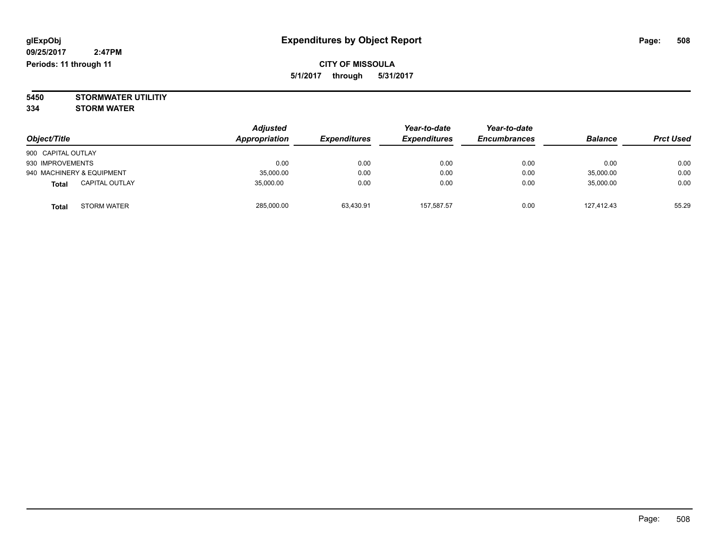**5450 STORMWATER UTILITIY 334 STORM WATER**

| Object/Title              |                       | <b>Adjusted</b><br>Appropriation | <b>Expenditures</b> | Year-to-date<br><b>Expenditures</b> | Year-to-date<br><b>Encumbrances</b> | <b>Balance</b> | <b>Prct Used</b> |
|---------------------------|-----------------------|----------------------------------|---------------------|-------------------------------------|-------------------------------------|----------------|------------------|
| 900 CAPITAL OUTLAY        |                       |                                  |                     |                                     |                                     |                |                  |
| 930 IMPROVEMENTS          |                       | 0.00                             | 0.00                | 0.00                                | 0.00                                | 0.00           | 0.00             |
| 940 MACHINERY & EQUIPMENT |                       | 35,000.00                        | 0.00                | 0.00                                | 0.00                                | 35,000.00      | 0.00             |
| <b>Total</b>              | <b>CAPITAL OUTLAY</b> | 35.000.00                        | 0.00                | 0.00                                | 0.00                                | 35,000.00      | 0.00             |
| <b>Total</b>              | <b>STORM WATER</b>    | 285,000.00                       | 63,430.91           | 157,587.57                          | 0.00                                | 127,412.43     | 55.29            |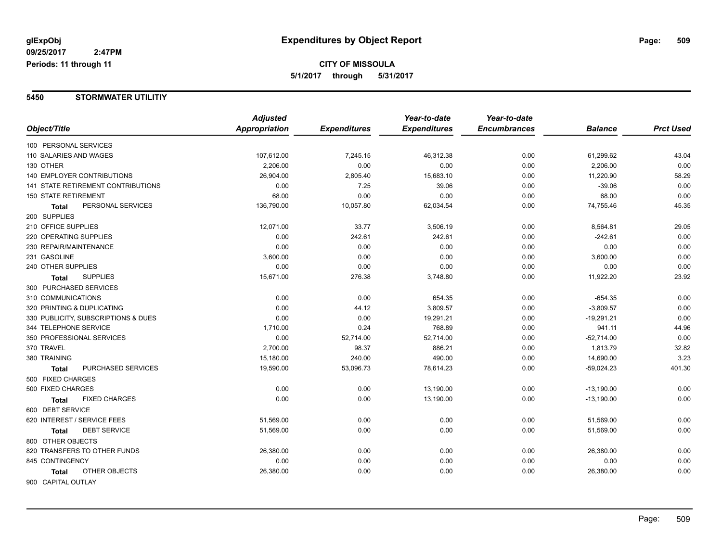#### **5450 STORMWATER UTILITIY**

|                                     | <b>Adjusted</b> |                     | Year-to-date        | Year-to-date        |                |                  |
|-------------------------------------|-----------------|---------------------|---------------------|---------------------|----------------|------------------|
| Object/Title                        | Appropriation   | <b>Expenditures</b> | <b>Expenditures</b> | <b>Encumbrances</b> | <b>Balance</b> | <b>Prct Used</b> |
| 100 PERSONAL SERVICES               |                 |                     |                     |                     |                |                  |
| 110 SALARIES AND WAGES              | 107,612.00      | 7,245.15            | 46,312.38           | 0.00                | 61,299.62      | 43.04            |
| 130 OTHER                           | 2,206.00        | 0.00                | 0.00                | 0.00                | 2,206.00       | 0.00             |
| <b>140 EMPLOYER CONTRIBUTIONS</b>   | 26,904.00       | 2,805.40            | 15,683.10           | 0.00                | 11,220.90      | 58.29            |
| 141 STATE RETIREMENT CONTRIBUTIONS  | 0.00            | 7.25                | 39.06               | 0.00                | $-39.06$       | 0.00             |
| <b>150 STATE RETIREMENT</b>         | 68.00           | 0.00                | 0.00                | 0.00                | 68.00          | 0.00             |
| PERSONAL SERVICES<br><b>Total</b>   | 136,790.00      | 10,057.80           | 62,034.54           | 0.00                | 74,755.46      | 45.35            |
| 200 SUPPLIES                        |                 |                     |                     |                     |                |                  |
| 210 OFFICE SUPPLIES                 | 12,071.00       | 33.77               | 3,506.19            | 0.00                | 8,564.81       | 29.05            |
| 220 OPERATING SUPPLIES              | 0.00            | 242.61              | 242.61              | 0.00                | $-242.61$      | 0.00             |
| 230 REPAIR/MAINTENANCE              | 0.00            | 0.00                | 0.00                | 0.00                | 0.00           | 0.00             |
| 231 GASOLINE                        | 3,600.00        | 0.00                | 0.00                | 0.00                | 3,600.00       | 0.00             |
| 240 OTHER SUPPLIES                  | 0.00            | 0.00                | 0.00                | 0.00                | 0.00           | 0.00             |
| <b>SUPPLIES</b><br>Total            | 15,671.00       | 276.38              | 3,748.80            | 0.00                | 11,922.20      | 23.92            |
| 300 PURCHASED SERVICES              |                 |                     |                     |                     |                |                  |
| 310 COMMUNICATIONS                  | 0.00            | 0.00                | 654.35              | 0.00                | $-654.35$      | 0.00             |
| 320 PRINTING & DUPLICATING          | 0.00            | 44.12               | 3,809.57            | 0.00                | $-3,809.57$    | 0.00             |
| 330 PUBLICITY, SUBSCRIPTIONS & DUES | 0.00            | 0.00                | 19,291.21           | 0.00                | $-19,291.21$   | 0.00             |
| 344 TELEPHONE SERVICE               | 1,710.00        | 0.24                | 768.89              | 0.00                | 941.11         | 44.96            |
| 350 PROFESSIONAL SERVICES           | 0.00            | 52,714.00           | 52,714.00           | 0.00                | $-52,714.00$   | 0.00             |
| 370 TRAVEL                          | 2,700.00        | 98.37               | 886.21              | 0.00                | 1,813.79       | 32.82            |
| 380 TRAINING                        | 15,180.00       | 240.00              | 490.00              | 0.00                | 14,690.00      | 3.23             |
| PURCHASED SERVICES<br><b>Total</b>  | 19,590.00       | 53,096.73           | 78,614.23           | 0.00                | $-59,024.23$   | 401.30           |
| 500 FIXED CHARGES                   |                 |                     |                     |                     |                |                  |
| 500 FIXED CHARGES                   | 0.00            | 0.00                | 13,190.00           | 0.00                | $-13,190.00$   | 0.00             |
| <b>FIXED CHARGES</b><br>Total       | 0.00            | 0.00                | 13,190.00           | 0.00                | $-13,190.00$   | 0.00             |
| 600 DEBT SERVICE                    |                 |                     |                     |                     |                |                  |
| 620 INTEREST / SERVICE FEES         | 51,569.00       | 0.00                | 0.00                | 0.00                | 51,569.00      | 0.00             |
| <b>DEBT SERVICE</b><br>Total        | 51,569.00       | 0.00                | 0.00                | 0.00                | 51,569.00      | 0.00             |
| 800 OTHER OBJECTS                   |                 |                     |                     |                     |                |                  |
| 820 TRANSFERS TO OTHER FUNDS        | 26,380.00       | 0.00                | 0.00                | 0.00                | 26,380.00      | 0.00             |
| 845 CONTINGENCY                     | 0.00            | 0.00                | 0.00                | 0.00                | 0.00           | 0.00             |
| OTHER OBJECTS<br><b>Total</b>       | 26,380.00       | 0.00                | 0.00                | 0.00                | 26,380.00      | 0.00             |
| 900 CAPITAL OUTLAY                  |                 |                     |                     |                     |                |                  |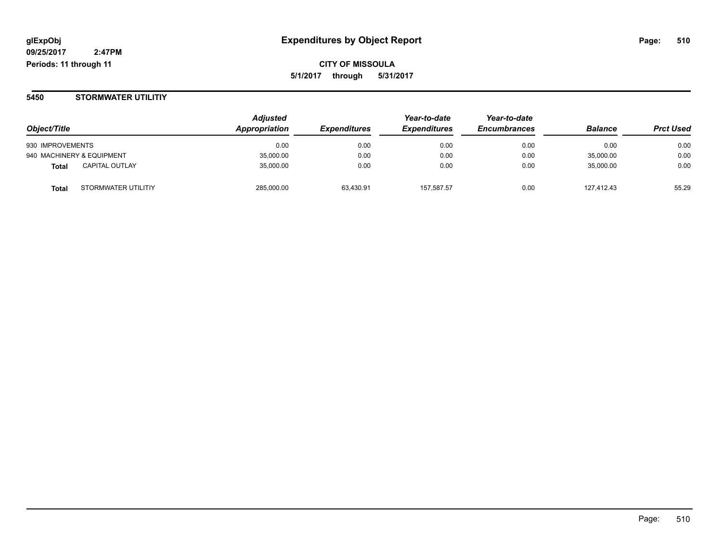#### **5450 STORMWATER UTILITIY**

|                                       | <b>Adjusted</b>      |                            | Year-to-date        | Year-to-date        | <b>Balance</b> | <b>Prct Used</b> |
|---------------------------------------|----------------------|----------------------------|---------------------|---------------------|----------------|------------------|
| Object/Title                          | <b>Appropriation</b> | <i><b>Expenditures</b></i> | <b>Expenditures</b> | <b>Encumbrances</b> |                |                  |
| 930 IMPROVEMENTS                      | 0.00                 | 0.00                       | 0.00                | 0.00                | 0.00           | 0.00             |
| 940 MACHINERY & EQUIPMENT             | 35,000.00            | 0.00                       | 0.00                | 0.00                | 35.000.00      | 0.00             |
| <b>CAPITAL OUTLAY</b><br><b>Total</b> | 35,000.00            | 0.00                       | 0.00                | 0.00                | 35,000.00      | 0.00             |
| STORMWATER UTILITIY<br><b>Total</b>   | 285,000.00           | 63,430.91                  | 157,587.57          | 0.00                | 127.412.43     | 55.29            |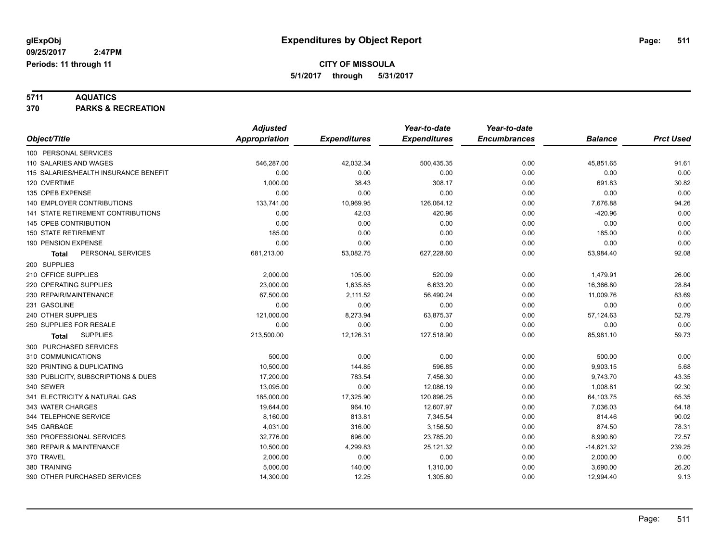**5711 AQUATICS 370 PARKS & RECREATION**

|                                           | <b>Adjusted</b>      |                     | Year-to-date        | Year-to-date        |                |                  |
|-------------------------------------------|----------------------|---------------------|---------------------|---------------------|----------------|------------------|
| Object/Title                              | <b>Appropriation</b> | <b>Expenditures</b> | <b>Expenditures</b> | <b>Encumbrances</b> | <b>Balance</b> | <b>Prct Used</b> |
| 100 PERSONAL SERVICES                     |                      |                     |                     |                     |                |                  |
| 110 SALARIES AND WAGES                    | 546,287.00           | 42,032.34           | 500,435.35          | 0.00                | 45,851.65      | 91.61            |
| 115 SALARIES/HEALTH INSURANCE BENEFIT     | 0.00                 | 0.00                | 0.00                | 0.00                | 0.00           | 0.00             |
| 120 OVERTIME                              | 1,000.00             | 38.43               | 308.17              | 0.00                | 691.83         | 30.82            |
| 135 OPEB EXPENSE                          | 0.00                 | 0.00                | 0.00                | 0.00                | 0.00           | 0.00             |
| <b>140 EMPLOYER CONTRIBUTIONS</b>         | 133,741.00           | 10,969.95           | 126,064.12          | 0.00                | 7,676.88       | 94.26            |
| <b>141 STATE RETIREMENT CONTRIBUTIONS</b> | 0.00                 | 42.03               | 420.96              | 0.00                | $-420.96$      | 0.00             |
| 145 OPEB CONTRIBUTION                     | 0.00                 | 0.00                | 0.00                | 0.00                | 0.00           | 0.00             |
| <b>150 STATE RETIREMENT</b>               | 185.00               | 0.00                | 0.00                | 0.00                | 185.00         | 0.00             |
| 190 PENSION EXPENSE                       | 0.00                 | 0.00                | 0.00                | 0.00                | 0.00           | 0.00             |
| PERSONAL SERVICES<br>Total                | 681,213.00           | 53,082.75           | 627,228.60          | 0.00                | 53,984.40      | 92.08            |
| 200 SUPPLIES                              |                      |                     |                     |                     |                |                  |
| 210 OFFICE SUPPLIES                       | 2,000.00             | 105.00              | 520.09              | 0.00                | 1,479.91       | 26.00            |
| 220 OPERATING SUPPLIES                    | 23,000.00            | 1,635.85            | 6,633.20            | 0.00                | 16,366.80      | 28.84            |
| 230 REPAIR/MAINTENANCE                    | 67,500.00            | 2,111.52            | 56,490.24           | 0.00                | 11,009.76      | 83.69            |
| 231 GASOLINE                              | 0.00                 | 0.00                | 0.00                | 0.00                | 0.00           | 0.00             |
| 240 OTHER SUPPLIES                        | 121,000.00           | 8,273.94            | 63,875.37           | 0.00                | 57,124.63      | 52.79            |
| 250 SUPPLIES FOR RESALE                   | 0.00                 | 0.00                | 0.00                | 0.00                | 0.00           | 0.00             |
| <b>SUPPLIES</b><br>Total                  | 213,500.00           | 12,126.31           | 127,518.90          | 0.00                | 85,981.10      | 59.73            |
| 300 PURCHASED SERVICES                    |                      |                     |                     |                     |                |                  |
| 310 COMMUNICATIONS                        | 500.00               | 0.00                | 0.00                | 0.00                | 500.00         | 0.00             |
| 320 PRINTING & DUPLICATING                | 10,500.00            | 144.85              | 596.85              | 0.00                | 9,903.15       | 5.68             |
| 330 PUBLICITY, SUBSCRIPTIONS & DUES       | 17,200.00            | 783.54              | 7,456.30            | 0.00                | 9,743.70       | 43.35            |
| 340 SEWER                                 | 13,095.00            | 0.00                | 12,086.19           | 0.00                | 1,008.81       | 92.30            |
| 341 ELECTRICITY & NATURAL GAS             | 185,000.00           | 17,325.90           | 120,896.25          | 0.00                | 64,103.75      | 65.35            |
| 343 WATER CHARGES                         | 19,644.00            | 964.10              | 12,607.97           | 0.00                | 7,036.03       | 64.18            |
| 344 TELEPHONE SERVICE                     | 8,160.00             | 813.81              | 7,345.54            | 0.00                | 814.46         | 90.02            |
| 345 GARBAGE                               | 4,031.00             | 316.00              | 3,156.50            | 0.00                | 874.50         | 78.31            |
| 350 PROFESSIONAL SERVICES                 | 32,776.00            | 696.00              | 23,785.20           | 0.00                | 8,990.80       | 72.57            |
| 360 REPAIR & MAINTENANCE                  | 10,500.00            | 4,299.83            | 25,121.32           | 0.00                | $-14,621.32$   | 239.25           |
| 370 TRAVEL                                | 2,000.00             | 0.00                | 0.00                | 0.00                | 2,000.00       | 0.00             |
| 380 TRAINING                              | 5,000.00             | 140.00              | 1,310.00            | 0.00                | 3,690.00       | 26.20            |
| 390 OTHER PURCHASED SERVICES              | 14,300.00            | 12.25               | 1,305.60            | 0.00                | 12,994.40      | 9.13             |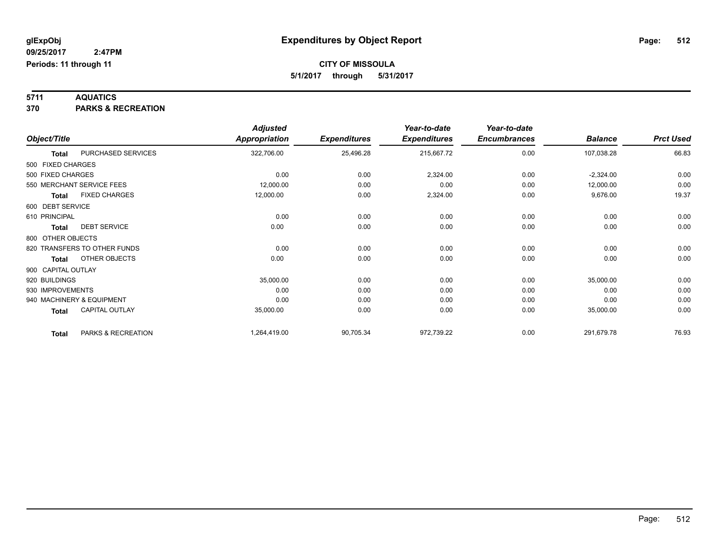**5711 AQUATICS 370 PARKS & RECREATION**

|                    |                              | <b>Adjusted</b>      |                     | Year-to-date        | Year-to-date        |                |                  |
|--------------------|------------------------------|----------------------|---------------------|---------------------|---------------------|----------------|------------------|
| Object/Title       |                              | <b>Appropriation</b> | <b>Expenditures</b> | <b>Expenditures</b> | <b>Encumbrances</b> | <b>Balance</b> | <b>Prct Used</b> |
| <b>Total</b>       | PURCHASED SERVICES           | 322,706.00           | 25,496.28           | 215,667.72          | 0.00                | 107,038.28     | 66.83            |
| 500 FIXED CHARGES  |                              |                      |                     |                     |                     |                |                  |
| 500 FIXED CHARGES  |                              | 0.00                 | 0.00                | 2,324.00            | 0.00                | $-2,324.00$    | 0.00             |
|                    | 550 MERCHANT SERVICE FEES    | 12,000.00            | 0.00                | 0.00                | 0.00                | 12,000.00      | 0.00             |
| <b>Total</b>       | <b>FIXED CHARGES</b>         | 12,000.00            | 0.00                | 2,324.00            | 0.00                | 9,676.00       | 19.37            |
| 600 DEBT SERVICE   |                              |                      |                     |                     |                     |                |                  |
| 610 PRINCIPAL      |                              | 0.00                 | 0.00                | 0.00                | 0.00                | 0.00           | 0.00             |
| <b>Total</b>       | <b>DEBT SERVICE</b>          | 0.00                 | 0.00                | 0.00                | 0.00                | 0.00           | 0.00             |
| 800 OTHER OBJECTS  |                              |                      |                     |                     |                     |                |                  |
|                    | 820 TRANSFERS TO OTHER FUNDS | 0.00                 | 0.00                | 0.00                | 0.00                | 0.00           | 0.00             |
| <b>Total</b>       | OTHER OBJECTS                | 0.00                 | 0.00                | 0.00                | 0.00                | 0.00           | 0.00             |
| 900 CAPITAL OUTLAY |                              |                      |                     |                     |                     |                |                  |
| 920 BUILDINGS      |                              | 35,000.00            | 0.00                | 0.00                | 0.00                | 35,000.00      | 0.00             |
| 930 IMPROVEMENTS   |                              | 0.00                 | 0.00                | 0.00                | 0.00                | 0.00           | 0.00             |
|                    | 940 MACHINERY & EQUIPMENT    | 0.00                 | 0.00                | 0.00                | 0.00                | 0.00           | 0.00             |
| <b>Total</b>       | CAPITAL OUTLAY               | 35,000.00            | 0.00                | 0.00                | 0.00                | 35,000.00      | 0.00             |
| <b>Total</b>       | PARKS & RECREATION           | 1,264,419.00         | 90,705.34           | 972,739.22          | 0.00                | 291,679.78     | 76.93            |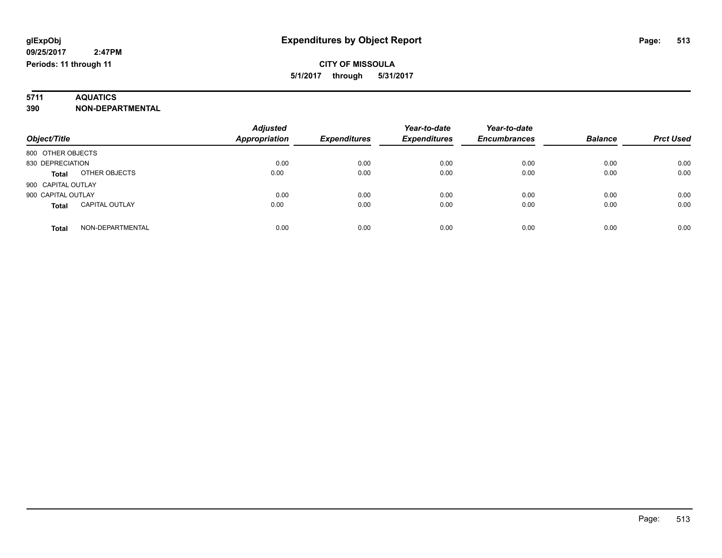# **5711 AQUATICS**

**390 NON-DEPARTMENTAL**

| Object/Title                          | <b>Adjusted</b><br><b>Appropriation</b> | <b>Expenditures</b> | Year-to-date<br><b>Expenditures</b> | Year-to-date<br><b>Encumbrances</b> | <b>Balance</b> | <b>Prct Used</b> |
|---------------------------------------|-----------------------------------------|---------------------|-------------------------------------|-------------------------------------|----------------|------------------|
| 800 OTHER OBJECTS                     |                                         |                     |                                     |                                     |                |                  |
| 830 DEPRECIATION                      | 0.00                                    | 0.00                | 0.00                                | 0.00                                | 0.00           | 0.00             |
| OTHER OBJECTS<br><b>Total</b>         | 0.00                                    | 0.00                | 0.00                                | 0.00                                | 0.00           | 0.00             |
| 900 CAPITAL OUTLAY                    |                                         |                     |                                     |                                     |                |                  |
| 900 CAPITAL OUTLAY                    | 0.00                                    | 0.00                | 0.00                                | 0.00                                | 0.00           | 0.00             |
| <b>CAPITAL OUTLAY</b><br><b>Total</b> | 0.00                                    | 0.00                | 0.00                                | 0.00                                | 0.00           | 0.00             |
| NON-DEPARTMENTAL<br><b>Total</b>      | 0.00                                    | 0.00                | 0.00                                | 0.00                                | 0.00           | 0.00             |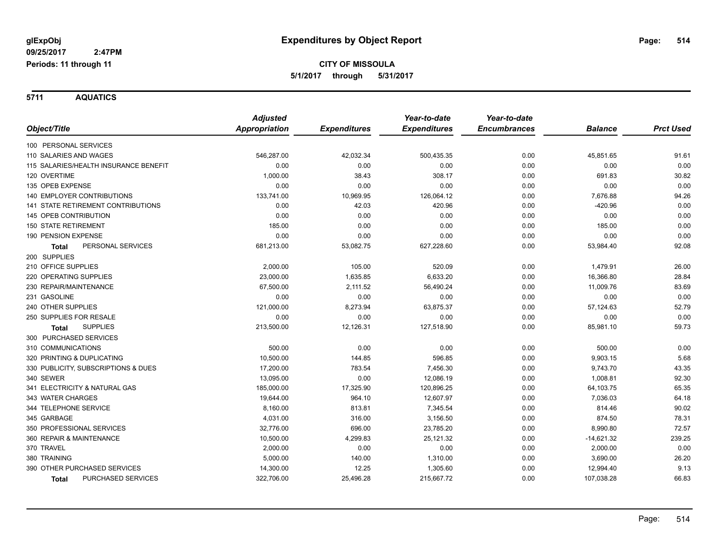**5711 AQUATICS**

|                                       | <b>Adjusted</b>      |                     | Year-to-date        | Year-to-date        |                |                  |
|---------------------------------------|----------------------|---------------------|---------------------|---------------------|----------------|------------------|
| Object/Title                          | <b>Appropriation</b> | <b>Expenditures</b> | <b>Expenditures</b> | <b>Encumbrances</b> | <b>Balance</b> | <b>Prct Used</b> |
| 100 PERSONAL SERVICES                 |                      |                     |                     |                     |                |                  |
| 110 SALARIES AND WAGES                | 546,287.00           | 42,032.34           | 500,435.35          | 0.00                | 45,851.65      | 91.61            |
| 115 SALARIES/HEALTH INSURANCE BENEFIT | 0.00                 | 0.00                | 0.00                | 0.00                | 0.00           | 0.00             |
| 120 OVERTIME                          | 1,000.00             | 38.43               | 308.17              | 0.00                | 691.83         | 30.82            |
| 135 OPEB EXPENSE                      | 0.00                 | 0.00                | 0.00                | 0.00                | 0.00           | 0.00             |
| <b>140 EMPLOYER CONTRIBUTIONS</b>     | 133,741.00           | 10,969.95           | 126,064.12          | 0.00                | 7,676.88       | 94.26            |
| 141 STATE RETIREMENT CONTRIBUTIONS    | 0.00                 | 42.03               | 420.96              | 0.00                | $-420.96$      | 0.00             |
| <b>145 OPEB CONTRIBUTION</b>          | 0.00                 | 0.00                | 0.00                | 0.00                | 0.00           | 0.00             |
| <b>150 STATE RETIREMENT</b>           | 185.00               | 0.00                | 0.00                | 0.00                | 185.00         | 0.00             |
| 190 PENSION EXPENSE                   | 0.00                 | 0.00                | 0.00                | 0.00                | 0.00           | 0.00             |
| PERSONAL SERVICES<br><b>Total</b>     | 681,213.00           | 53,082.75           | 627,228.60          | 0.00                | 53,984.40      | 92.08            |
| 200 SUPPLIES                          |                      |                     |                     |                     |                |                  |
| 210 OFFICE SUPPLIES                   | 2,000.00             | 105.00              | 520.09              | 0.00                | 1,479.91       | 26.00            |
| 220 OPERATING SUPPLIES                | 23,000.00            | 1,635.85            | 6,633.20            | 0.00                | 16,366.80      | 28.84            |
| 230 REPAIR/MAINTENANCE                | 67,500.00            | 2,111.52            | 56,490.24           | 0.00                | 11,009.76      | 83.69            |
| 231 GASOLINE                          | 0.00                 | 0.00                | 0.00                | 0.00                | 0.00           | 0.00             |
| 240 OTHER SUPPLIES                    | 121,000.00           | 8,273.94            | 63,875.37           | 0.00                | 57,124.63      | 52.79            |
| 250 SUPPLIES FOR RESALE               | 0.00                 | 0.00                | 0.00                | 0.00                | 0.00           | 0.00             |
| <b>SUPPLIES</b><br><b>Total</b>       | 213,500.00           | 12,126.31           | 127,518.90          | 0.00                | 85,981.10      | 59.73            |
| 300 PURCHASED SERVICES                |                      |                     |                     |                     |                |                  |
| 310 COMMUNICATIONS                    | 500.00               | 0.00                | 0.00                | 0.00                | 500.00         | 0.00             |
| 320 PRINTING & DUPLICATING            | 10,500.00            | 144.85              | 596.85              | 0.00                | 9,903.15       | 5.68             |
| 330 PUBLICITY, SUBSCRIPTIONS & DUES   | 17,200.00            | 783.54              | 7,456.30            | 0.00                | 9,743.70       | 43.35            |
| 340 SEWER                             | 13,095.00            | 0.00                | 12,086.19           | 0.00                | 1,008.81       | 92.30            |
| 341 ELECTRICITY & NATURAL GAS         | 185,000.00           | 17,325.90           | 120,896.25          | 0.00                | 64,103.75      | 65.35            |
| 343 WATER CHARGES                     | 19,644.00            | 964.10              | 12.607.97           | 0.00                | 7,036.03       | 64.18            |
| 344 TELEPHONE SERVICE                 | 8,160.00             | 813.81              | 7,345.54            | 0.00                | 814.46         | 90.02            |
| 345 GARBAGE                           | 4,031.00             | 316.00              | 3,156.50            | 0.00                | 874.50         | 78.31            |
| 350 PROFESSIONAL SERVICES             | 32,776.00            | 696.00              | 23,785.20           | 0.00                | 8,990.80       | 72.57            |
| 360 REPAIR & MAINTENANCE              | 10,500.00            | 4,299.83            | 25,121.32           | 0.00                | $-14,621.32$   | 239.25           |
| 370 TRAVEL                            | 2,000.00             | 0.00                | 0.00                | 0.00                | 2,000.00       | 0.00             |
| 380 TRAINING                          | 5,000.00             | 140.00              | 1,310.00            | 0.00                | 3,690.00       | 26.20            |
| 390 OTHER PURCHASED SERVICES          | 14,300.00            | 12.25               | 1,305.60            | 0.00                | 12,994.40      | 9.13             |
| PURCHASED SERVICES<br><b>Total</b>    | 322,706.00           | 25,496.28           | 215,667.72          | 0.00                | 107,038.28     | 66.83            |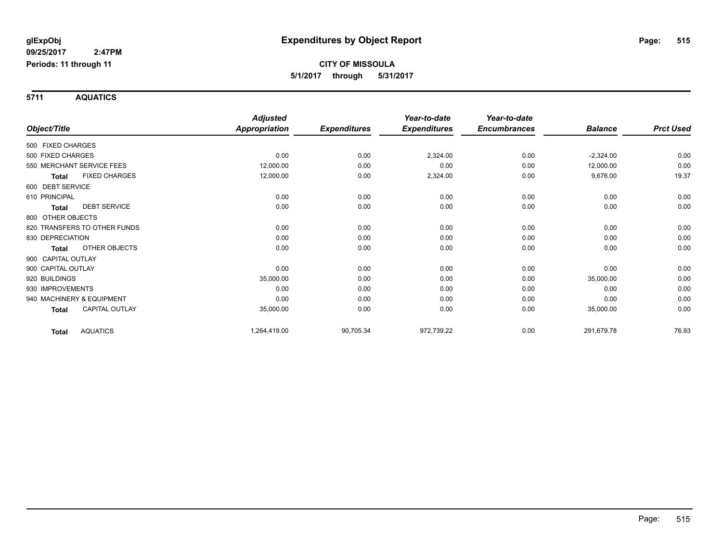**5711 AQUATICS**

|                    |                              | <b>Adjusted</b>      |                     | Year-to-date        | Year-to-date        |                |                  |
|--------------------|------------------------------|----------------------|---------------------|---------------------|---------------------|----------------|------------------|
| Object/Title       |                              | <b>Appropriation</b> | <b>Expenditures</b> | <b>Expenditures</b> | <b>Encumbrances</b> | <b>Balance</b> | <b>Prct Used</b> |
| 500 FIXED CHARGES  |                              |                      |                     |                     |                     |                |                  |
| 500 FIXED CHARGES  |                              | 0.00                 | 0.00                | 2,324.00            | 0.00                | $-2,324.00$    | 0.00             |
|                    | 550 MERCHANT SERVICE FEES    | 12,000.00            | 0.00                | 0.00                | 0.00                | 12,000.00      | 0.00             |
| <b>Total</b>       | <b>FIXED CHARGES</b>         | 12,000.00            | 0.00                | 2,324.00            | 0.00                | 9,676.00       | 19.37            |
| 600 DEBT SERVICE   |                              |                      |                     |                     |                     |                |                  |
| 610 PRINCIPAL      |                              | 0.00                 | 0.00                | 0.00                | 0.00                | 0.00           | 0.00             |
| <b>Total</b>       | <b>DEBT SERVICE</b>          | 0.00                 | 0.00                | 0.00                | 0.00                | 0.00           | 0.00             |
| 800 OTHER OBJECTS  |                              |                      |                     |                     |                     |                |                  |
|                    | 820 TRANSFERS TO OTHER FUNDS | 0.00                 | 0.00                | 0.00                | 0.00                | 0.00           | 0.00             |
| 830 DEPRECIATION   |                              | 0.00                 | 0.00                | 0.00                | 0.00                | 0.00           | 0.00             |
| <b>Total</b>       | <b>OTHER OBJECTS</b>         | 0.00                 | 0.00                | 0.00                | 0.00                | 0.00           | 0.00             |
| 900 CAPITAL OUTLAY |                              |                      |                     |                     |                     |                |                  |
| 900 CAPITAL OUTLAY |                              | 0.00                 | 0.00                | 0.00                | 0.00                | 0.00           | 0.00             |
| 920 BUILDINGS      |                              | 35,000.00            | 0.00                | 0.00                | 0.00                | 35,000.00      | 0.00             |
| 930 IMPROVEMENTS   |                              | 0.00                 | 0.00                | 0.00                | 0.00                | 0.00           | 0.00             |
|                    | 940 MACHINERY & EQUIPMENT    | 0.00                 | 0.00                | 0.00                | 0.00                | 0.00           | 0.00             |
| Total              | <b>CAPITAL OUTLAY</b>        | 35,000.00            | 0.00                | 0.00                | 0.00                | 35,000.00      | 0.00             |
| <b>Total</b>       | <b>AQUATICS</b>              | 1,264,419.00         | 90,705.34           | 972,739.22          | 0.00                | 291,679.78     | 76.93            |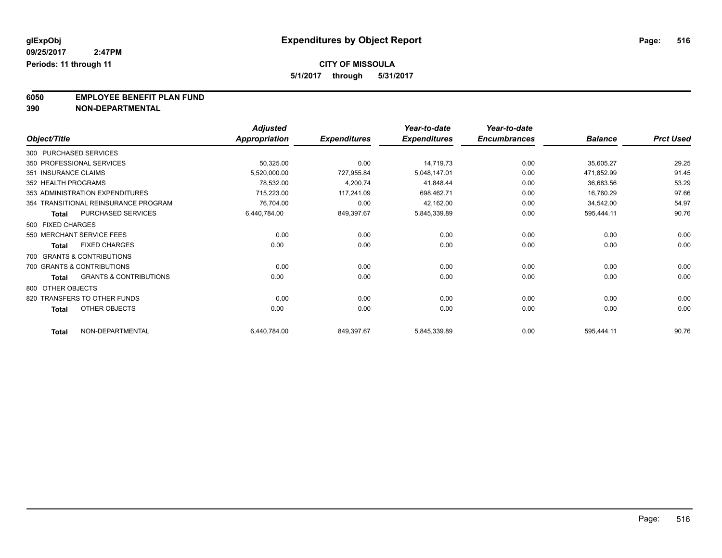**5/1/2017 through 5/31/2017**

**6050 EMPLOYEE BENEFIT PLAN FUND**<br>390 NON-DEPARTMENTAL

**390 NON-DEPARTMENTAL**

|                        |                                      | <b>Adjusted</b>      |                     | Year-to-date        | Year-to-date        |                |                  |
|------------------------|--------------------------------------|----------------------|---------------------|---------------------|---------------------|----------------|------------------|
| Object/Title           |                                      | <b>Appropriation</b> | <b>Expenditures</b> | <b>Expenditures</b> | <b>Encumbrances</b> | <b>Balance</b> | <b>Prct Used</b> |
| 300 PURCHASED SERVICES |                                      |                      |                     |                     |                     |                |                  |
|                        | 350 PROFESSIONAL SERVICES            | 50,325.00            | 0.00                | 14,719.73           | 0.00                | 35,605.27      | 29.25            |
| 351 INSURANCE CLAIMS   |                                      | 5,520,000.00         | 727,955.84          | 5,048,147.01        | 0.00                | 471,852.99     | 91.45            |
| 352 HEALTH PROGRAMS    |                                      | 78,532.00            | 4,200.74            | 41,848.44           | 0.00                | 36,683.56      | 53.29            |
|                        | 353 ADMINISTRATION EXPENDITURES      | 715,223.00           | 117,241.09          | 698,462.71          | 0.00                | 16,760.29      | 97.66            |
|                        | 354 TRANSITIONAL REINSURANCE PROGRAM | 76,704.00            | 0.00                | 42,162.00           | 0.00                | 34,542.00      | 54.97            |
| <b>Total</b>           | PURCHASED SERVICES                   | 6,440,784.00         | 849,397.67          | 5,845,339.89        | 0.00                | 595,444.11     | 90.76            |
| 500 FIXED CHARGES      |                                      |                      |                     |                     |                     |                |                  |
|                        | 550 MERCHANT SERVICE FEES            | 0.00                 | 0.00                | 0.00                | 0.00                | 0.00           | 0.00             |
| <b>Total</b>           | <b>FIXED CHARGES</b>                 | 0.00                 | 0.00                | 0.00                | 0.00                | 0.00           | 0.00             |
|                        | 700 GRANTS & CONTRIBUTIONS           |                      |                     |                     |                     |                |                  |
|                        | 700 GRANTS & CONTRIBUTIONS           | 0.00                 | 0.00                | 0.00                | 0.00                | 0.00           | 0.00             |
| <b>Total</b>           | <b>GRANTS &amp; CONTRIBUTIONS</b>    | 0.00                 | 0.00                | 0.00                | 0.00                | 0.00           | 0.00             |
| 800 OTHER OBJECTS      |                                      |                      |                     |                     |                     |                |                  |
|                        | 820 TRANSFERS TO OTHER FUNDS         | 0.00                 | 0.00                | 0.00                | 0.00                | 0.00           | 0.00             |
| <b>Total</b>           | OTHER OBJECTS                        | 0.00                 | 0.00                | 0.00                | 0.00                | 0.00           | 0.00             |
| <b>Total</b>           | NON-DEPARTMENTAL                     | 6,440,784.00         | 849,397.67          | 5,845,339.89        | 0.00                | 595,444.11     | 90.76            |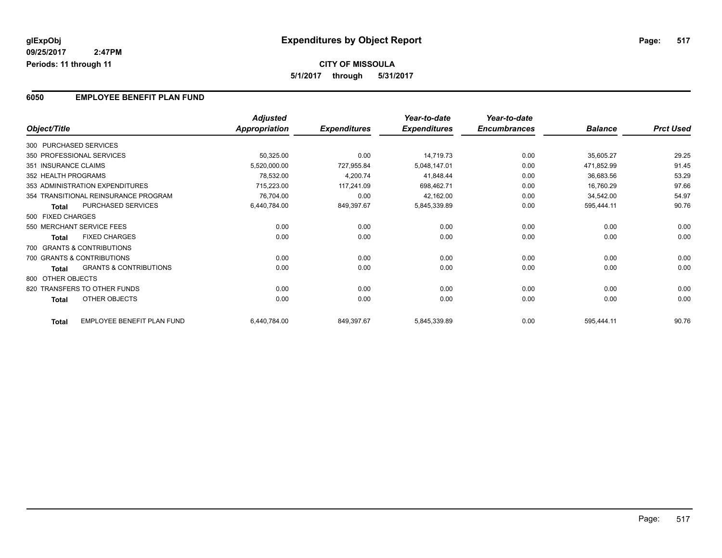#### **6050 EMPLOYEE BENEFIT PLAN FUND**

|                      |                                      | <b>Adjusted</b> |                     | Year-to-date        | Year-to-date        |                |                  |
|----------------------|--------------------------------------|-----------------|---------------------|---------------------|---------------------|----------------|------------------|
| Object/Title         |                                      | Appropriation   | <b>Expenditures</b> | <b>Expenditures</b> | <b>Encumbrances</b> | <b>Balance</b> | <b>Prct Used</b> |
|                      | 300 PURCHASED SERVICES               |                 |                     |                     |                     |                |                  |
|                      | 350 PROFESSIONAL SERVICES            | 50,325.00       | 0.00                | 14,719.73           | 0.00                | 35,605.27      | 29.25            |
| 351 INSURANCE CLAIMS |                                      | 5,520,000.00    | 727,955.84          | 5,048,147.01        | 0.00                | 471,852.99     | 91.45            |
| 352 HEALTH PROGRAMS  |                                      | 78,532.00       | 4,200.74            | 41,848.44           | 0.00                | 36,683.56      | 53.29            |
|                      | 353 ADMINISTRATION EXPENDITURES      | 715,223.00      | 117,241.09          | 698,462.71          | 0.00                | 16,760.29      | 97.66            |
|                      | 354 TRANSITIONAL REINSURANCE PROGRAM | 76,704.00       | 0.00                | 42,162.00           | 0.00                | 34,542.00      | 54.97            |
| <b>Total</b>         | PURCHASED SERVICES                   | 6,440,784.00    | 849,397.67          | 5,845,339.89        | 0.00                | 595,444.11     | 90.76            |
| 500 FIXED CHARGES    |                                      |                 |                     |                     |                     |                |                  |
|                      | 550 MERCHANT SERVICE FEES            | 0.00            | 0.00                | 0.00                | 0.00                | 0.00           | 0.00             |
| <b>Total</b>         | <b>FIXED CHARGES</b>                 | 0.00            | 0.00                | 0.00                | 0.00                | 0.00           | 0.00             |
|                      | 700 GRANTS & CONTRIBUTIONS           |                 |                     |                     |                     |                |                  |
|                      | 700 GRANTS & CONTRIBUTIONS           | 0.00            | 0.00                | 0.00                | 0.00                | 0.00           | 0.00             |
| <b>Total</b>         | <b>GRANTS &amp; CONTRIBUTIONS</b>    | 0.00            | 0.00                | 0.00                | 0.00                | 0.00           | 0.00             |
| 800 OTHER OBJECTS    |                                      |                 |                     |                     |                     |                |                  |
|                      | 820 TRANSFERS TO OTHER FUNDS         | 0.00            | 0.00                | 0.00                | 0.00                | 0.00           | 0.00             |
| Total                | OTHER OBJECTS                        | 0.00            | 0.00                | 0.00                | 0.00                | 0.00           | 0.00             |
| <b>Total</b>         | <b>EMPLOYEE BENEFIT PLAN FUND</b>    | 6,440,784.00    | 849,397.67          | 5,845,339.89        | 0.00                | 595,444.11     | 90.76            |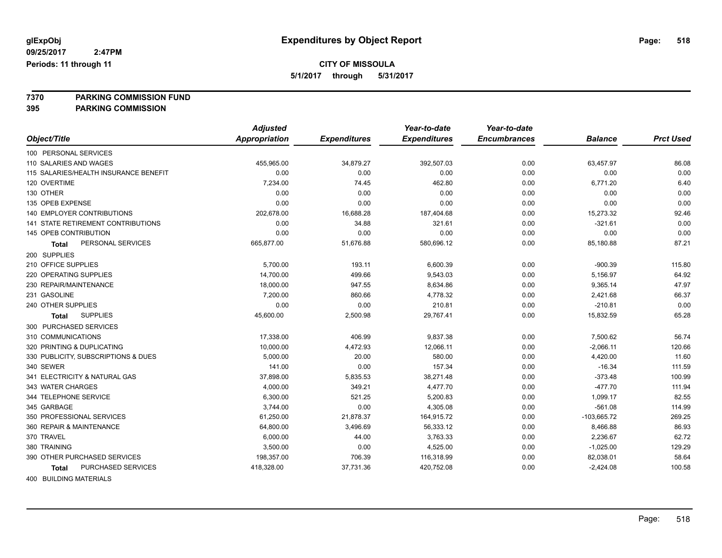**5/1/2017 through 5/31/2017**

**7370 PARKING COMMISSION FUND**

**395 PARKING COMMISSION**

|                                           | <b>Adjusted</b>      |                     | Year-to-date        | Year-to-date        |                |                  |
|-------------------------------------------|----------------------|---------------------|---------------------|---------------------|----------------|------------------|
| Object/Title                              | <b>Appropriation</b> | <b>Expenditures</b> | <b>Expenditures</b> | <b>Encumbrances</b> | <b>Balance</b> | <b>Prct Used</b> |
| 100 PERSONAL SERVICES                     |                      |                     |                     |                     |                |                  |
| 110 SALARIES AND WAGES                    | 455,965.00           | 34,879.27           | 392,507.03          | 0.00                | 63,457.97      | 86.08            |
| 115 SALARIES/HEALTH INSURANCE BENEFIT     | 0.00                 | 0.00                | 0.00                | 0.00                | 0.00           | 0.00             |
| 120 OVERTIME                              | 7,234.00             | 74.45               | 462.80              | 0.00                | 6,771.20       | 6.40             |
| 130 OTHER                                 | 0.00                 | 0.00                | 0.00                | 0.00                | 0.00           | 0.00             |
| 135 OPEB EXPENSE                          | 0.00                 | 0.00                | 0.00                | 0.00                | 0.00           | 0.00             |
| 140 EMPLOYER CONTRIBUTIONS                | 202,678.00           | 16,688.28           | 187,404.68          | 0.00                | 15,273.32      | 92.46            |
| <b>141 STATE RETIREMENT CONTRIBUTIONS</b> | 0.00                 | 34.88               | 321.61              | 0.00                | $-321.61$      | 0.00             |
| 145 OPEB CONTRIBUTION                     | 0.00                 | 0.00                | 0.00                | 0.00                | 0.00           | 0.00             |
| PERSONAL SERVICES<br>Total                | 665,877.00           | 51,676.88           | 580,696.12          | 0.00                | 85,180.88      | 87.21            |
| 200 SUPPLIES                              |                      |                     |                     |                     |                |                  |
| 210 OFFICE SUPPLIES                       | 5,700.00             | 193.11              | 6,600.39            | 0.00                | $-900.39$      | 115.80           |
| 220 OPERATING SUPPLIES                    | 14,700.00            | 499.66              | 9,543.03            | 0.00                | 5,156.97       | 64.92            |
| 230 REPAIR/MAINTENANCE                    | 18,000.00            | 947.55              | 8,634.86            | 0.00                | 9,365.14       | 47.97            |
| 231 GASOLINE                              | 7,200.00             | 860.66              | 4,778.32            | 0.00                | 2,421.68       | 66.37            |
| 240 OTHER SUPPLIES                        | 0.00                 | 0.00                | 210.81              | 0.00                | $-210.81$      | 0.00             |
| <b>SUPPLIES</b><br><b>Total</b>           | 45,600.00            | 2,500.98            | 29,767.41           | 0.00                | 15,832.59      | 65.28            |
| 300 PURCHASED SERVICES                    |                      |                     |                     |                     |                |                  |
| 310 COMMUNICATIONS                        | 17,338.00            | 406.99              | 9,837.38            | 0.00                | 7,500.62       | 56.74            |
| 320 PRINTING & DUPLICATING                | 10,000.00            | 4,472.93            | 12,066.11           | 0.00                | $-2,066.11$    | 120.66           |
| 330 PUBLICITY, SUBSCRIPTIONS & DUES       | 5,000.00             | 20.00               | 580.00              | 0.00                | 4,420.00       | 11.60            |
| 340 SEWER                                 | 141.00               | 0.00                | 157.34              | 0.00                | $-16.34$       | 111.59           |
| 341 ELECTRICITY & NATURAL GAS             | 37,898.00            | 5,835.53            | 38,271.48           | 0.00                | $-373.48$      | 100.99           |
| 343 WATER CHARGES                         | 4,000.00             | 349.21              | 4,477.70            | 0.00                | $-477.70$      | 111.94           |
| 344 TELEPHONE SERVICE                     | 6,300.00             | 521.25              | 5,200.83            | 0.00                | 1,099.17       | 82.55            |
| 345 GARBAGE                               | 3,744.00             | 0.00                | 4,305.08            | 0.00                | $-561.08$      | 114.99           |
| 350 PROFESSIONAL SERVICES                 | 61,250.00            | 21,878.37           | 164,915.72          | 0.00                | $-103,665.72$  | 269.25           |
| 360 REPAIR & MAINTENANCE                  | 64,800.00            | 3,496.69            | 56,333.12           | 0.00                | 8,466.88       | 86.93            |
| 370 TRAVEL                                | 6,000.00             | 44.00               | 3,763.33            | 0.00                | 2,236.67       | 62.72            |
| 380 TRAINING                              | 3,500.00             | 0.00                | 4,525.00            | 0.00                | $-1,025.00$    | 129.29           |
| 390 OTHER PURCHASED SERVICES              | 198,357.00           | 706.39              | 116,318.99          | 0.00                | 82,038.01      | 58.64            |
| <b>PURCHASED SERVICES</b><br>Total        | 418,328.00           | 37,731.36           | 420,752.08          | 0.00                | $-2,424.08$    | 100.58           |
|                                           |                      |                     |                     |                     |                |                  |

400 BUILDING MATERIALS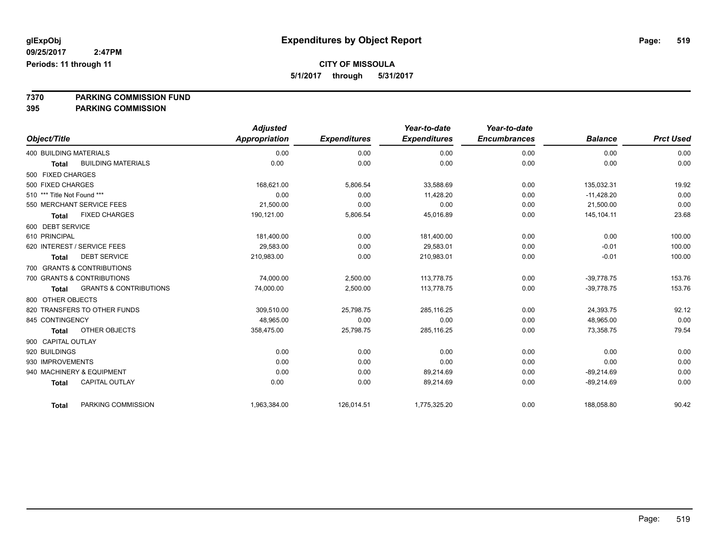**5/1/2017 through 5/31/2017**

**7370 PARKING COMMISSION FUND**

|                               |                                   | <b>Adjusted</b> |                     | Year-to-date        | Year-to-date        |                |                  |
|-------------------------------|-----------------------------------|-----------------|---------------------|---------------------|---------------------|----------------|------------------|
| Object/Title                  |                                   | Appropriation   | <b>Expenditures</b> | <b>Expenditures</b> | <b>Encumbrances</b> | <b>Balance</b> | <b>Prct Used</b> |
| <b>400 BUILDING MATERIALS</b> |                                   | 0.00            | 0.00                | 0.00                | 0.00                | 0.00           | 0.00             |
| <b>Total</b>                  | <b>BUILDING MATERIALS</b>         | 0.00            | 0.00                | 0.00                | 0.00                | 0.00           | 0.00             |
| 500 FIXED CHARGES             |                                   |                 |                     |                     |                     |                |                  |
| 500 FIXED CHARGES             |                                   | 168,621.00      | 5,806.54            | 33,588.69           | 0.00                | 135,032.31     | 19.92            |
| 510 *** Title Not Found ***   |                                   | 0.00            | 0.00                | 11,428.20           | 0.00                | $-11,428.20$   | 0.00             |
|                               | 550 MERCHANT SERVICE FEES         | 21,500.00       | 0.00                | 0.00                | 0.00                | 21,500.00      | 0.00             |
| <b>Total</b>                  | <b>FIXED CHARGES</b>              | 190,121.00      | 5,806.54            | 45,016.89           | 0.00                | 145,104.11     | 23.68            |
| 600 DEBT SERVICE              |                                   |                 |                     |                     |                     |                |                  |
| 610 PRINCIPAL                 |                                   | 181,400.00      | 0.00                | 181,400.00          | 0.00                | 0.00           | 100.00           |
|                               | 620 INTEREST / SERVICE FEES       | 29,583.00       | 0.00                | 29,583.01           | 0.00                | $-0.01$        | 100.00           |
| <b>Total</b>                  | <b>DEBT SERVICE</b>               | 210,983.00      | 0.00                | 210,983.01          | 0.00                | $-0.01$        | 100.00           |
|                               | 700 GRANTS & CONTRIBUTIONS        |                 |                     |                     |                     |                |                  |
|                               | 700 GRANTS & CONTRIBUTIONS        | 74,000.00       | 2,500.00            | 113,778.75          | 0.00                | $-39,778.75$   | 153.76           |
| <b>Total</b>                  | <b>GRANTS &amp; CONTRIBUTIONS</b> | 74,000.00       | 2,500.00            | 113,778.75          | 0.00                | $-39,778.75$   | 153.76           |
| 800 OTHER OBJECTS             |                                   |                 |                     |                     |                     |                |                  |
|                               | 820 TRANSFERS TO OTHER FUNDS      | 309,510.00      | 25,798.75           | 285,116.25          | 0.00                | 24,393.75      | 92.12            |
| 845 CONTINGENCY               |                                   | 48,965.00       | 0.00                | 0.00                | 0.00                | 48,965.00      | 0.00             |
| <b>Total</b>                  | OTHER OBJECTS                     | 358,475.00      | 25,798.75           | 285,116.25          | 0.00                | 73,358.75      | 79.54            |
| 900 CAPITAL OUTLAY            |                                   |                 |                     |                     |                     |                |                  |
| 920 BUILDINGS                 |                                   | 0.00            | 0.00                | 0.00                | 0.00                | 0.00           | 0.00             |
| 930 IMPROVEMENTS              |                                   | 0.00            | 0.00                | 0.00                | 0.00                | 0.00           | 0.00             |
|                               | 940 MACHINERY & EQUIPMENT         | 0.00            | 0.00                | 89,214.69           | 0.00                | $-89,214.69$   | 0.00             |
| <b>Total</b>                  | <b>CAPITAL OUTLAY</b>             | 0.00            | 0.00                | 89,214.69           | 0.00                | $-89,214.69$   | 0.00             |
| <b>Total</b>                  | PARKING COMMISSION                | 1,963,384.00    | 126,014.51          | 1,775,325.20        | 0.00                | 188,058.80     | 90.42            |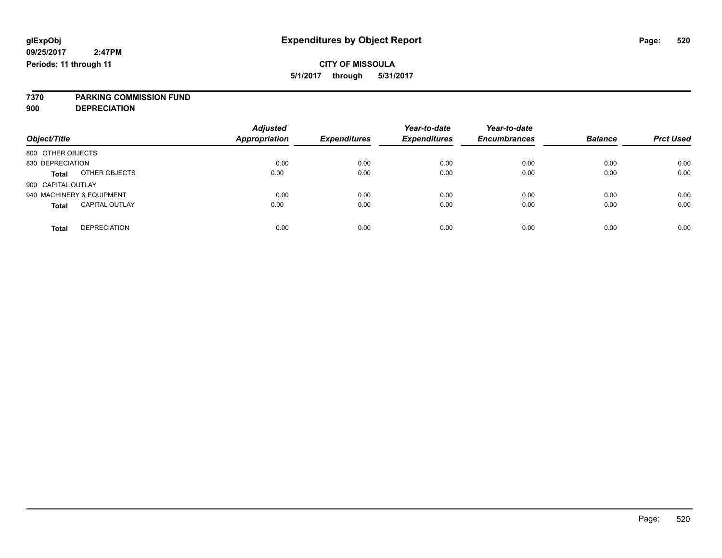# **7370 PARKING COMMISSION FUND**

**900 DEPRECIATION**

| Object/Title                          | <b>Adjusted</b><br><b>Appropriation</b> | <b>Expenditures</b> | Year-to-date<br><b>Expenditures</b> | Year-to-date<br><b>Encumbrances</b> | <b>Balance</b> | <b>Prct Used</b> |
|---------------------------------------|-----------------------------------------|---------------------|-------------------------------------|-------------------------------------|----------------|------------------|
| 800 OTHER OBJECTS                     |                                         |                     |                                     |                                     |                |                  |
| 830 DEPRECIATION                      | 0.00                                    | 0.00                | 0.00                                | 0.00                                | 0.00           | 0.00             |
| OTHER OBJECTS<br><b>Total</b>         | 0.00                                    | 0.00                | 0.00                                | 0.00                                | 0.00           | 0.00             |
| 900 CAPITAL OUTLAY                    |                                         |                     |                                     |                                     |                |                  |
| 940 MACHINERY & EQUIPMENT             | 0.00                                    | 0.00                | 0.00                                | 0.00                                | 0.00           | 0.00             |
| <b>CAPITAL OUTLAY</b><br><b>Total</b> | 0.00                                    | 0.00                | 0.00                                | 0.00                                | 0.00           | 0.00             |
|                                       |                                         |                     |                                     |                                     |                |                  |
| <b>DEPRECIATION</b><br>Total          | 0.00                                    | 0.00                | 0.00                                | 0.00                                | 0.00           | 0.00             |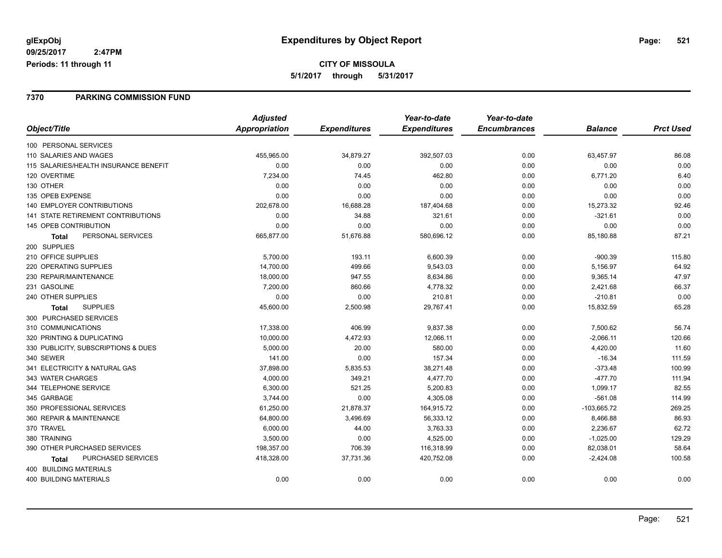#### **7370 PARKING COMMISSION FUND**

|                                       | <b>Adjusted</b> |                     | Year-to-date        | Year-to-date        |                |                  |
|---------------------------------------|-----------------|---------------------|---------------------|---------------------|----------------|------------------|
| Object/Title                          | Appropriation   | <b>Expenditures</b> | <b>Expenditures</b> | <b>Encumbrances</b> | <b>Balance</b> | <b>Prct Used</b> |
| 100 PERSONAL SERVICES                 |                 |                     |                     |                     |                |                  |
| 110 SALARIES AND WAGES                | 455,965.00      | 34,879.27           | 392,507.03          | 0.00                | 63,457.97      | 86.08            |
| 115 SALARIES/HEALTH INSURANCE BENEFIT | 0.00            | 0.00                | 0.00                | 0.00                | 0.00           | 0.00             |
| 120 OVERTIME                          | 7,234.00        | 74.45               | 462.80              | 0.00                | 6,771.20       | 6.40             |
| 130 OTHER                             | 0.00            | 0.00                | 0.00                | 0.00                | 0.00           | 0.00             |
| 135 OPEB EXPENSE                      | 0.00            | 0.00                | 0.00                | 0.00                | 0.00           | 0.00             |
| <b>140 EMPLOYER CONTRIBUTIONS</b>     | 202,678.00      | 16,688.28           | 187,404.68          | 0.00                | 15,273.32      | 92.46            |
| 141 STATE RETIREMENT CONTRIBUTIONS    | 0.00            | 34.88               | 321.61              | 0.00                | $-321.61$      | 0.00             |
| 145 OPEB CONTRIBUTION                 | 0.00            | 0.00                | 0.00                | 0.00                | 0.00           | 0.00             |
| PERSONAL SERVICES<br><b>Total</b>     | 665,877.00      | 51,676.88           | 580,696.12          | 0.00                | 85,180.88      | 87.21            |
| 200 SUPPLIES                          |                 |                     |                     |                     |                |                  |
| 210 OFFICE SUPPLIES                   | 5,700.00        | 193.11              | 6,600.39            | 0.00                | $-900.39$      | 115.80           |
| 220 OPERATING SUPPLIES                | 14,700.00       | 499.66              | 9,543.03            | 0.00                | 5,156.97       | 64.92            |
| 230 REPAIR/MAINTENANCE                | 18,000.00       | 947.55              | 8,634.86            | 0.00                | 9,365.14       | 47.97            |
| 231 GASOLINE                          | 7,200.00        | 860.66              | 4,778.32            | 0.00                | 2,421.68       | 66.37            |
| 240 OTHER SUPPLIES                    | 0.00            | 0.00                | 210.81              | 0.00                | $-210.81$      | 0.00             |
| <b>SUPPLIES</b><br>Total              | 45,600.00       | 2,500.98            | 29,767.41           | 0.00                | 15,832.59      | 65.28            |
| 300 PURCHASED SERVICES                |                 |                     |                     |                     |                |                  |
| 310 COMMUNICATIONS                    | 17,338.00       | 406.99              | 9,837.38            | 0.00                | 7,500.62       | 56.74            |
| 320 PRINTING & DUPLICATING            | 10,000.00       | 4,472.93            | 12,066.11           | 0.00                | $-2,066.11$    | 120.66           |
| 330 PUBLICITY, SUBSCRIPTIONS & DUES   | 5,000.00        | 20.00               | 580.00              | 0.00                | 4,420.00       | 11.60            |
| 340 SEWER                             | 141.00          | 0.00                | 157.34              | 0.00                | $-16.34$       | 111.59           |
| 341 ELECTRICITY & NATURAL GAS         | 37,898.00       | 5,835.53            | 38,271.48           | 0.00                | $-373.48$      | 100.99           |
| 343 WATER CHARGES                     | 4,000.00        | 349.21              | 4,477.70            | 0.00                | $-477.70$      | 111.94           |
| 344 TELEPHONE SERVICE                 | 6,300.00        | 521.25              | 5,200.83            | 0.00                | 1,099.17       | 82.55            |
| 345 GARBAGE                           | 3,744.00        | 0.00                | 4,305.08            | 0.00                | $-561.08$      | 114.99           |
| 350 PROFESSIONAL SERVICES             | 61,250.00       | 21,878.37           | 164,915.72          | 0.00                | $-103,665.72$  | 269.25           |
| 360 REPAIR & MAINTENANCE              | 64,800.00       | 3,496.69            | 56,333.12           | 0.00                | 8,466.88       | 86.93            |
| 370 TRAVEL                            | 6,000.00        | 44.00               | 3,763.33            | 0.00                | 2,236.67       | 62.72            |
| 380 TRAINING                          | 3,500.00        | 0.00                | 4,525.00            | 0.00                | $-1,025.00$    | 129.29           |
| 390 OTHER PURCHASED SERVICES          | 198,357.00      | 706.39              | 116,318.99          | 0.00                | 82,038.01      | 58.64            |
| PURCHASED SERVICES<br>Total           | 418,328.00      | 37,731.36           | 420,752.08          | 0.00                | $-2,424.08$    | 100.58           |
| 400 BUILDING MATERIALS                |                 |                     |                     |                     |                |                  |
| <b>400 BUILDING MATERIALS</b>         | 0.00            | 0.00                | 0.00                | 0.00                | 0.00           | 0.00             |
|                                       |                 |                     |                     |                     |                |                  |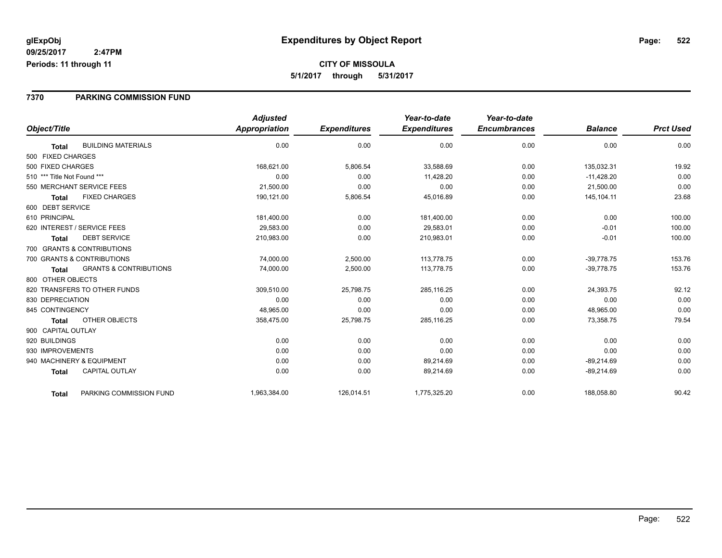### **7370 PARKING COMMISSION FUND**

|                                           |                                   | <b>Adjusted</b>      |                     | Year-to-date        | Year-to-date        |                |                  |
|-------------------------------------------|-----------------------------------|----------------------|---------------------|---------------------|---------------------|----------------|------------------|
| Object/Title                              |                                   | <b>Appropriation</b> | <b>Expenditures</b> | <b>Expenditures</b> | <b>Encumbrances</b> | <b>Balance</b> | <b>Prct Used</b> |
| <b>BUILDING MATERIALS</b><br><b>Total</b> |                                   | 0.00                 | 0.00                | 0.00                | 0.00                | 0.00           | 0.00             |
| 500 FIXED CHARGES                         |                                   |                      |                     |                     |                     |                |                  |
| 500 FIXED CHARGES                         |                                   | 168,621.00           | 5,806.54            | 33,588.69           | 0.00                | 135,032.31     | 19.92            |
| 510 *** Title Not Found ***               |                                   | 0.00                 | 0.00                | 11,428.20           | 0.00                | $-11,428.20$   | 0.00             |
| 550 MERCHANT SERVICE FEES                 |                                   | 21,500.00            | 0.00                | 0.00                | 0.00                | 21,500.00      | 0.00             |
| <b>FIXED CHARGES</b><br><b>Total</b>      |                                   | 190,121.00           | 5,806.54            | 45,016.89           | 0.00                | 145, 104.11    | 23.68            |
| 600 DEBT SERVICE                          |                                   |                      |                     |                     |                     |                |                  |
| 610 PRINCIPAL                             |                                   | 181,400.00           | 0.00                | 181,400.00          | 0.00                | 0.00           | 100.00           |
| 620 INTEREST / SERVICE FEES               |                                   | 29.583.00            | 0.00                | 29.583.01           | 0.00                | $-0.01$        | 100.00           |
| <b>DEBT SERVICE</b><br>Total              |                                   | 210,983.00           | 0.00                | 210,983.01          | 0.00                | $-0.01$        | 100.00           |
| 700 GRANTS & CONTRIBUTIONS                |                                   |                      |                     |                     |                     |                |                  |
| 700 GRANTS & CONTRIBUTIONS                |                                   | 74,000.00            | 2,500.00            | 113,778.75          | 0.00                | $-39,778.75$   | 153.76           |
| <b>Total</b>                              | <b>GRANTS &amp; CONTRIBUTIONS</b> | 74,000.00            | 2,500.00            | 113.778.75          | 0.00                | $-39.778.75$   | 153.76           |
| 800 OTHER OBJECTS                         |                                   |                      |                     |                     |                     |                |                  |
| 820 TRANSFERS TO OTHER FUNDS              |                                   | 309,510.00           | 25,798.75           | 285,116.25          | 0.00                | 24,393.75      | 92.12            |
| 830 DEPRECIATION                          |                                   | 0.00                 | 0.00                | 0.00                | 0.00                | 0.00           | 0.00             |
| 845 CONTINGENCY                           |                                   | 48,965.00            | 0.00                | 0.00                | 0.00                | 48,965.00      | 0.00             |
| <b>OTHER OBJECTS</b><br><b>Total</b>      |                                   | 358,475.00           | 25,798.75           | 285,116.25          | 0.00                | 73,358.75      | 79.54            |
| 900 CAPITAL OUTLAY                        |                                   |                      |                     |                     |                     |                |                  |
| 920 BUILDINGS                             |                                   | 0.00                 | 0.00                | 0.00                | 0.00                | 0.00           | 0.00             |
| 930 IMPROVEMENTS                          |                                   | 0.00                 | 0.00                | 0.00                | 0.00                | 0.00           | 0.00             |
| 940 MACHINERY & EQUIPMENT                 |                                   | 0.00                 | 0.00                | 89,214.69           | 0.00                | $-89,214.69$   | 0.00             |
| <b>CAPITAL OUTLAY</b><br><b>Total</b>     |                                   | 0.00                 | 0.00                | 89,214.69           | 0.00                | $-89,214.69$   | 0.00             |
| <b>Total</b>                              | PARKING COMMISSION FUND           | 1,963,384.00         | 126,014.51          | 1,775,325.20        | 0.00                | 188,058.80     | 90.42            |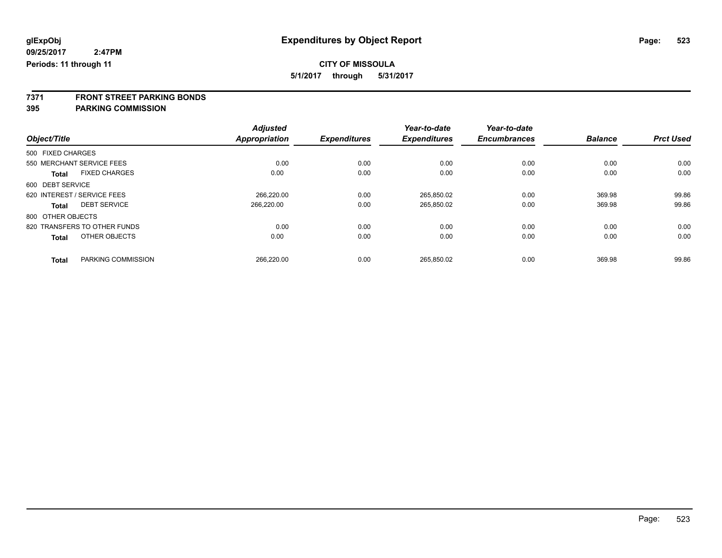**5/1/2017 through 5/31/2017**

**7371 FRONT STREET PARKING BONDS**

|                             |                              | <b>Adjusted</b> |                     | Year-to-date        | Year-to-date        |                |                  |
|-----------------------------|------------------------------|-----------------|---------------------|---------------------|---------------------|----------------|------------------|
| Object/Title                |                              | Appropriation   | <b>Expenditures</b> | <b>Expenditures</b> | <b>Encumbrances</b> | <b>Balance</b> | <b>Prct Used</b> |
| 500 FIXED CHARGES           |                              |                 |                     |                     |                     |                |                  |
| 550 MERCHANT SERVICE FEES   |                              | 0.00            | 0.00                | 0.00                | 0.00                | 0.00           | 0.00             |
| <b>Total</b>                | <b>FIXED CHARGES</b>         | 0.00            | 0.00                | 0.00                | 0.00                | 0.00           | 0.00             |
| 600 DEBT SERVICE            |                              |                 |                     |                     |                     |                |                  |
| 620 INTEREST / SERVICE FEES |                              | 266.220.00      | 0.00                | 265.850.02          | 0.00                | 369.98         | 99.86            |
| <b>Total</b>                | <b>DEBT SERVICE</b>          | 266.220.00      | 0.00                | 265,850.02          | 0.00                | 369.98         | 99.86            |
| 800 OTHER OBJECTS           |                              |                 |                     |                     |                     |                |                  |
|                             | 820 TRANSFERS TO OTHER FUNDS | 0.00            | 0.00                | 0.00                | 0.00                | 0.00           | 0.00             |
| <b>Total</b>                | OTHER OBJECTS                | 0.00            | 0.00                | 0.00                | 0.00                | 0.00           | 0.00             |
| <b>Total</b>                | PARKING COMMISSION           | 266.220.00      | 0.00                | 265.850.02          | 0.00                | 369.98         | 99.86            |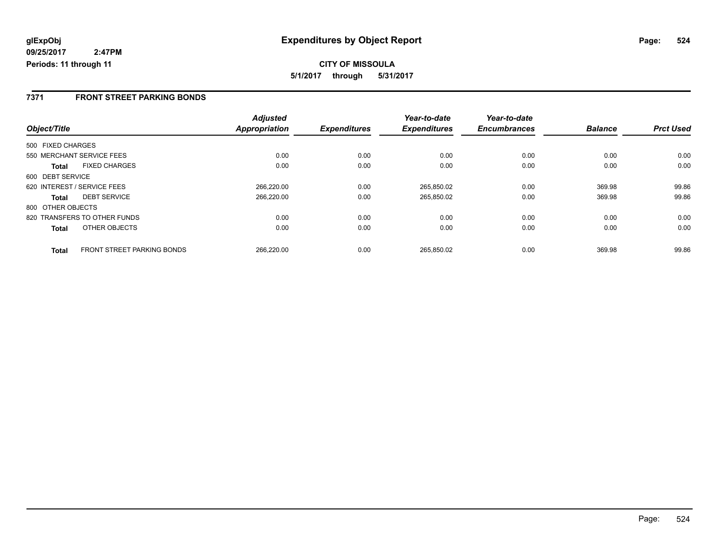### **7371 FRONT STREET PARKING BONDS**

|                   |                              | <b>Adjusted</b> |                     | Year-to-date        | Year-to-date        |                |                  |
|-------------------|------------------------------|-----------------|---------------------|---------------------|---------------------|----------------|------------------|
| Object/Title      |                              | Appropriation   | <b>Expenditures</b> | <b>Expenditures</b> | <b>Encumbrances</b> | <b>Balance</b> | <b>Prct Used</b> |
| 500 FIXED CHARGES |                              |                 |                     |                     |                     |                |                  |
|                   | 550 MERCHANT SERVICE FEES    | 0.00            | 0.00                | 0.00                | 0.00                | 0.00           | 0.00             |
| Total             | <b>FIXED CHARGES</b>         | 0.00            | 0.00                | 0.00                | 0.00                | 0.00           | 0.00             |
| 600 DEBT SERVICE  |                              |                 |                     |                     |                     |                |                  |
|                   | 620 INTEREST / SERVICE FEES  | 266,220.00      | 0.00                | 265,850.02          | 0.00                | 369.98         | 99.86            |
| <b>Total</b>      | <b>DEBT SERVICE</b>          | 266,220.00      | 0.00                | 265,850.02          | 0.00                | 369.98         | 99.86            |
| 800 OTHER OBJECTS |                              |                 |                     |                     |                     |                |                  |
|                   | 820 TRANSFERS TO OTHER FUNDS | 0.00            | 0.00                | 0.00                | 0.00                | 0.00           | 0.00             |
| <b>Total</b>      | OTHER OBJECTS                | 0.00            | 0.00                | 0.00                | 0.00                | 0.00           | 0.00             |
| <b>Total</b>      | FRONT STREET PARKING BONDS   | 266,220.00      | 0.00                | 265.850.02          | 0.00                | 369.98         | 99.86            |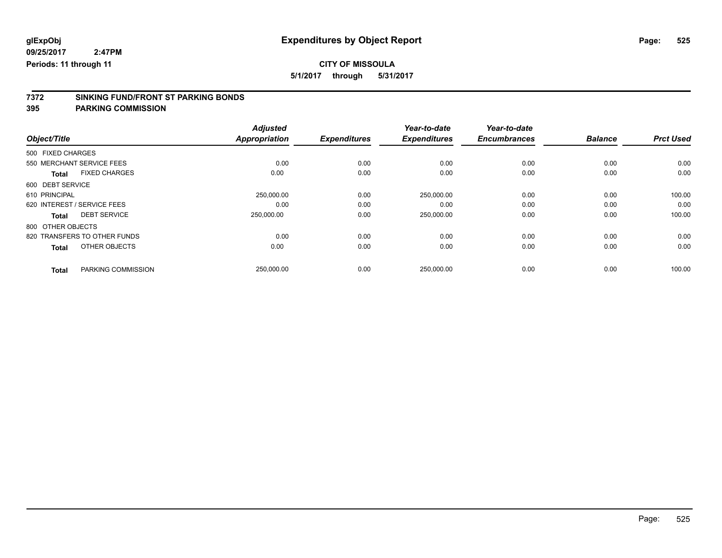**5/1/2017 through 5/31/2017**

# **7372 SINKING FUND/FRONT ST PARKING BONDS**

|                                      | <b>Adjusted</b>      |                     | Year-to-date        | Year-to-date        |                |                  |
|--------------------------------------|----------------------|---------------------|---------------------|---------------------|----------------|------------------|
| Object/Title                         | <b>Appropriation</b> | <b>Expenditures</b> | <b>Expenditures</b> | <b>Encumbrances</b> | <b>Balance</b> | <b>Prct Used</b> |
| 500 FIXED CHARGES                    |                      |                     |                     |                     |                |                  |
| 550 MERCHANT SERVICE FEES            | 0.00                 | 0.00                | 0.00                | 0.00                | 0.00           | 0.00             |
| <b>FIXED CHARGES</b><br><b>Total</b> | 0.00                 | 0.00                | 0.00                | 0.00                | 0.00           | 0.00             |
| 600 DEBT SERVICE                     |                      |                     |                     |                     |                |                  |
| 610 PRINCIPAL                        | 250,000.00           | 0.00                | 250,000.00          | 0.00                | 0.00           | 100.00           |
| 620 INTEREST / SERVICE FEES          | 0.00                 | 0.00                | 0.00                | 0.00                | 0.00           | 0.00             |
| <b>DEBT SERVICE</b><br>Total         | 250,000.00           | 0.00                | 250,000.00          | 0.00                | 0.00           | 100.00           |
| 800 OTHER OBJECTS                    |                      |                     |                     |                     |                |                  |
| 820 TRANSFERS TO OTHER FUNDS         | 0.00                 | 0.00                | 0.00                | 0.00                | 0.00           | 0.00             |
| OTHER OBJECTS<br><b>Total</b>        | 0.00                 | 0.00                | 0.00                | 0.00                | 0.00           | 0.00             |
|                                      |                      |                     |                     |                     |                |                  |
| PARKING COMMISSION<br><b>Total</b>   | 250,000.00           | 0.00                | 250,000.00          | 0.00                | 0.00           | 100.00           |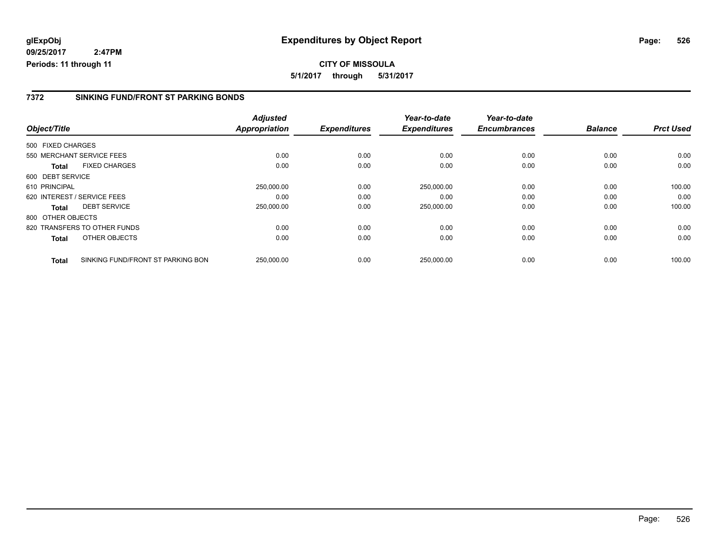### **7372 SINKING FUND/FRONT ST PARKING BONDS**

|                   |                                   | <b>Adjusted</b>      |                     | Year-to-date        | Year-to-date        |                |                  |
|-------------------|-----------------------------------|----------------------|---------------------|---------------------|---------------------|----------------|------------------|
| Object/Title      |                                   | <b>Appropriation</b> | <b>Expenditures</b> | <b>Expenditures</b> | <b>Encumbrances</b> | <b>Balance</b> | <b>Prct Used</b> |
| 500 FIXED CHARGES |                                   |                      |                     |                     |                     |                |                  |
|                   | 550 MERCHANT SERVICE FEES         | 0.00                 | 0.00                | 0.00                | 0.00                | 0.00           | 0.00             |
| <b>Total</b>      | <b>FIXED CHARGES</b>              | 0.00                 | 0.00                | 0.00                | 0.00                | 0.00           | 0.00             |
| 600 DEBT SERVICE  |                                   |                      |                     |                     |                     |                |                  |
| 610 PRINCIPAL     |                                   | 250,000.00           | 0.00                | 250,000.00          | 0.00                | 0.00           | 100.00           |
|                   | 620 INTEREST / SERVICE FEES       | 0.00                 | 0.00                | 0.00                | 0.00                | 0.00           | 0.00             |
| <b>Total</b>      | <b>DEBT SERVICE</b>               | 250,000.00           | 0.00                | 250,000.00          | 0.00                | 0.00           | 100.00           |
| 800 OTHER OBJECTS |                                   |                      |                     |                     |                     |                |                  |
|                   | 820 TRANSFERS TO OTHER FUNDS      | 0.00                 | 0.00                | 0.00                | 0.00                | 0.00           | 0.00             |
| <b>Total</b>      | OTHER OBJECTS                     | 0.00                 | 0.00                | 0.00                | 0.00                | 0.00           | 0.00             |
| <b>Total</b>      | SINKING FUND/FRONT ST PARKING BON | 250,000.00           | 0.00                | 250.000.00          | 0.00                | 0.00           | 100.00           |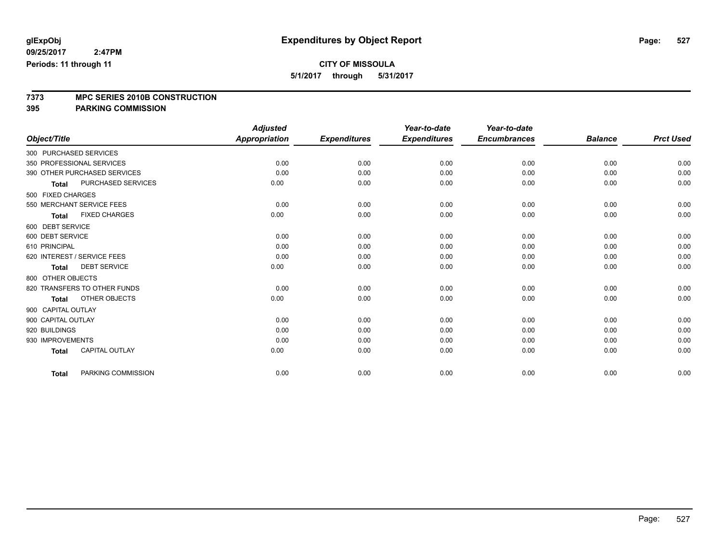**5/1/2017 through 5/31/2017**

# **7373 MPC SERIES 2010B CONSTRUCTION**

|                        |                              | <b>Adjusted</b>      |                     | Year-to-date        | Year-to-date        |                |                  |
|------------------------|------------------------------|----------------------|---------------------|---------------------|---------------------|----------------|------------------|
| Object/Title           |                              | <b>Appropriation</b> | <b>Expenditures</b> | <b>Expenditures</b> | <b>Encumbrances</b> | <b>Balance</b> | <b>Prct Used</b> |
| 300 PURCHASED SERVICES |                              |                      |                     |                     |                     |                |                  |
|                        | 350 PROFESSIONAL SERVICES    | 0.00                 | 0.00                | 0.00                | 0.00                | 0.00           | 0.00             |
|                        | 390 OTHER PURCHASED SERVICES | 0.00                 | 0.00                | 0.00                | 0.00                | 0.00           | 0.00             |
| <b>Total</b>           | <b>PURCHASED SERVICES</b>    | 0.00                 | 0.00                | 0.00                | 0.00                | 0.00           | 0.00             |
| 500 FIXED CHARGES      |                              |                      |                     |                     |                     |                |                  |
|                        | 550 MERCHANT SERVICE FEES    | 0.00                 | 0.00                | 0.00                | 0.00                | 0.00           | 0.00             |
| <b>Total</b>           | <b>FIXED CHARGES</b>         | 0.00                 | 0.00                | 0.00                | 0.00                | 0.00           | 0.00             |
| 600 DEBT SERVICE       |                              |                      |                     |                     |                     |                |                  |
| 600 DEBT SERVICE       |                              | 0.00                 | 0.00                | 0.00                | 0.00                | 0.00           | 0.00             |
| 610 PRINCIPAL          |                              | 0.00                 | 0.00                | 0.00                | 0.00                | 0.00           | 0.00             |
|                        | 620 INTEREST / SERVICE FEES  | 0.00                 | 0.00                | 0.00                | 0.00                | 0.00           | 0.00             |
| <b>Total</b>           | <b>DEBT SERVICE</b>          | 0.00                 | 0.00                | 0.00                | 0.00                | 0.00           | 0.00             |
| 800 OTHER OBJECTS      |                              |                      |                     |                     |                     |                |                  |
|                        | 820 TRANSFERS TO OTHER FUNDS | 0.00                 | 0.00                | 0.00                | 0.00                | 0.00           | 0.00             |
| <b>Total</b>           | OTHER OBJECTS                | 0.00                 | 0.00                | 0.00                | 0.00                | 0.00           | 0.00             |
| 900 CAPITAL OUTLAY     |                              |                      |                     |                     |                     |                |                  |
| 900 CAPITAL OUTLAY     |                              | 0.00                 | 0.00                | 0.00                | 0.00                | 0.00           | 0.00             |
| 920 BUILDINGS          |                              | 0.00                 | 0.00                | 0.00                | 0.00                | 0.00           | 0.00             |
| 930 IMPROVEMENTS       |                              | 0.00                 | 0.00                | 0.00                | 0.00                | 0.00           | 0.00             |
| <b>Total</b>           | CAPITAL OUTLAY               | 0.00                 | 0.00                | 0.00                | 0.00                | 0.00           | 0.00             |
| <b>Total</b>           | PARKING COMMISSION           | 0.00                 | 0.00                | 0.00                | 0.00                | 0.00           | 0.00             |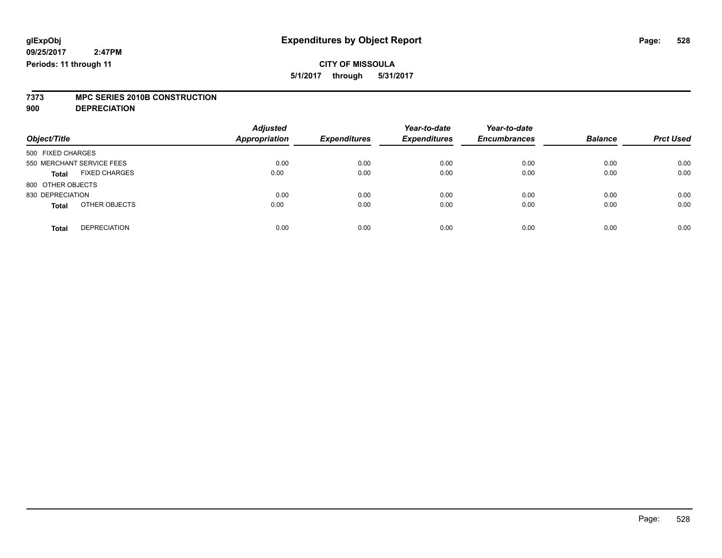# **7373 MPC SERIES 2010B CONSTRUCTION**

**900 DEPRECIATION**

| Object/Title                         | <b>Adjusted</b><br><b>Appropriation</b> | <b>Expenditures</b> | Year-to-date<br><b>Expenditures</b> | Year-to-date<br><b>Encumbrances</b> | <b>Balance</b> | <b>Prct Used</b> |
|--------------------------------------|-----------------------------------------|---------------------|-------------------------------------|-------------------------------------|----------------|------------------|
| 500 FIXED CHARGES                    |                                         |                     |                                     |                                     |                |                  |
| 550 MERCHANT SERVICE FEES            | 0.00                                    | 0.00                | 0.00                                | 0.00                                | 0.00           | 0.00             |
| <b>FIXED CHARGES</b><br><b>Total</b> | 0.00                                    | 0.00                | 0.00                                | 0.00                                | 0.00           | 0.00             |
| 800 OTHER OBJECTS                    |                                         |                     |                                     |                                     |                |                  |
| 830 DEPRECIATION                     | 0.00                                    | 0.00                | 0.00                                | 0.00                                | 0.00           | 0.00             |
| OTHER OBJECTS<br><b>Total</b>        | 0.00                                    | 0.00                | 0.00                                | 0.00                                | 0.00           | 0.00             |
| <b>DEPRECIATION</b><br><b>Total</b>  | 0.00                                    | 0.00                | 0.00                                | 0.00                                | 0.00           | 0.00             |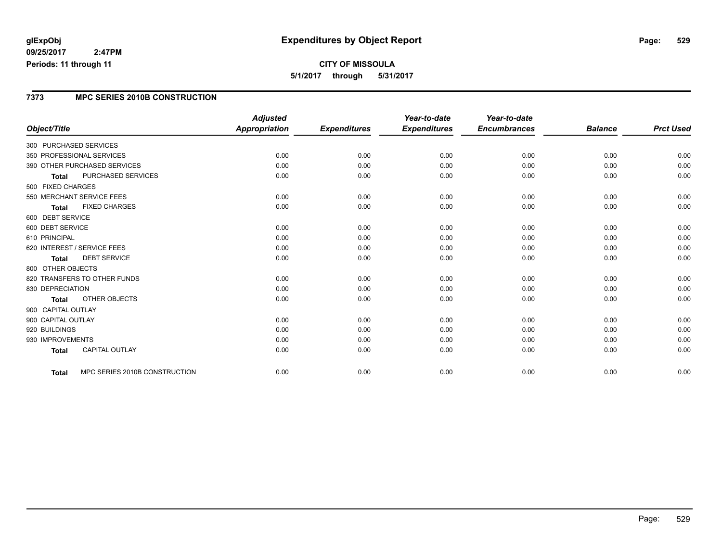### **CITY OF MISSOULA 5/1/2017 through 5/31/2017**

### **7373 MPC SERIES 2010B CONSTRUCTION**

|                             |                               | <b>Adjusted</b>      |                     | Year-to-date        | Year-to-date        |                |                  |
|-----------------------------|-------------------------------|----------------------|---------------------|---------------------|---------------------|----------------|------------------|
| Object/Title                |                               | <b>Appropriation</b> | <b>Expenditures</b> | <b>Expenditures</b> | <b>Encumbrances</b> | <b>Balance</b> | <b>Prct Used</b> |
| 300 PURCHASED SERVICES      |                               |                      |                     |                     |                     |                |                  |
| 350 PROFESSIONAL SERVICES   |                               | 0.00                 | 0.00                | 0.00                | 0.00                | 0.00           | 0.00             |
|                             | 390 OTHER PURCHASED SERVICES  | 0.00                 | 0.00                | 0.00                | 0.00                | 0.00           | 0.00             |
| <b>Total</b>                | PURCHASED SERVICES            | 0.00                 | 0.00                | 0.00                | 0.00                | 0.00           | 0.00             |
| 500 FIXED CHARGES           |                               |                      |                     |                     |                     |                |                  |
| 550 MERCHANT SERVICE FEES   |                               | 0.00                 | 0.00                | 0.00                | 0.00                | 0.00           | 0.00             |
| <b>Total</b>                | <b>FIXED CHARGES</b>          | 0.00                 | 0.00                | 0.00                | 0.00                | 0.00           | 0.00             |
| 600 DEBT SERVICE            |                               |                      |                     |                     |                     |                |                  |
| 600 DEBT SERVICE            |                               | 0.00                 | 0.00                | 0.00                | 0.00                | 0.00           | 0.00             |
| 610 PRINCIPAL               |                               | 0.00                 | 0.00                | 0.00                | 0.00                | 0.00           | 0.00             |
| 620 INTEREST / SERVICE FEES |                               | 0.00                 | 0.00                | 0.00                | 0.00                | 0.00           | 0.00             |
| <b>Total</b>                | <b>DEBT SERVICE</b>           | 0.00                 | 0.00                | 0.00                | 0.00                | 0.00           | 0.00             |
| 800 OTHER OBJECTS           |                               |                      |                     |                     |                     |                |                  |
|                             | 820 TRANSFERS TO OTHER FUNDS  | 0.00                 | 0.00                | 0.00                | 0.00                | 0.00           | 0.00             |
| 830 DEPRECIATION            |                               | 0.00                 | 0.00                | 0.00                | 0.00                | 0.00           | 0.00             |
| <b>Total</b>                | OTHER OBJECTS                 | 0.00                 | 0.00                | 0.00                | 0.00                | 0.00           | 0.00             |
| 900 CAPITAL OUTLAY          |                               |                      |                     |                     |                     |                |                  |
| 900 CAPITAL OUTLAY          |                               | 0.00                 | 0.00                | 0.00                | 0.00                | 0.00           | 0.00             |
| 920 BUILDINGS               |                               | 0.00                 | 0.00                | 0.00                | 0.00                | 0.00           | 0.00             |
| 930 IMPROVEMENTS            |                               | 0.00                 | 0.00                | 0.00                | 0.00                | 0.00           | 0.00             |
| <b>Total</b>                | <b>CAPITAL OUTLAY</b>         | 0.00                 | 0.00                | 0.00                | 0.00                | 0.00           | 0.00             |
| <b>Total</b>                | MPC SERIES 2010B CONSTRUCTION | 0.00                 | 0.00                | 0.00                | 0.00                | 0.00           | 0.00             |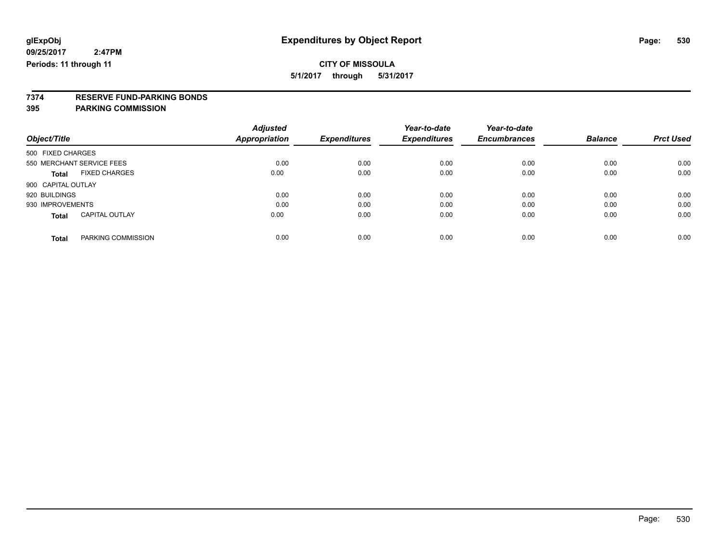**5/1/2017 through 5/31/2017**

# **7374 RESERVE FUND-PARKING BONDS**

| Object/Title              |                       | <b>Adjusted</b><br>Appropriation | <b>Expenditures</b> | Year-to-date<br><b>Expenditures</b> | Year-to-date<br><b>Encumbrances</b> | <b>Balance</b> | <b>Prct Used</b> |
|---------------------------|-----------------------|----------------------------------|---------------------|-------------------------------------|-------------------------------------|----------------|------------------|
| 500 FIXED CHARGES         |                       |                                  |                     |                                     |                                     |                |                  |
| 550 MERCHANT SERVICE FEES |                       | 0.00                             | 0.00                | 0.00                                | 0.00                                | 0.00           | 0.00             |
| <b>Total</b>              | <b>FIXED CHARGES</b>  | 0.00                             | 0.00                | 0.00                                | 0.00                                | 0.00           | 0.00             |
| 900 CAPITAL OUTLAY        |                       |                                  |                     |                                     |                                     |                |                  |
| 920 BUILDINGS             |                       | 0.00                             | 0.00                | 0.00                                | 0.00                                | 0.00           | 0.00             |
| 930 IMPROVEMENTS          |                       | 0.00                             | 0.00                | 0.00                                | 0.00                                | 0.00           | 0.00             |
| <b>Total</b>              | <b>CAPITAL OUTLAY</b> | 0.00                             | 0.00                | 0.00                                | 0.00                                | 0.00           | 0.00             |
| <b>Total</b>              | PARKING COMMISSION    | 0.00                             | 0.00                | 0.00                                | 0.00                                | 0.00           | 0.00             |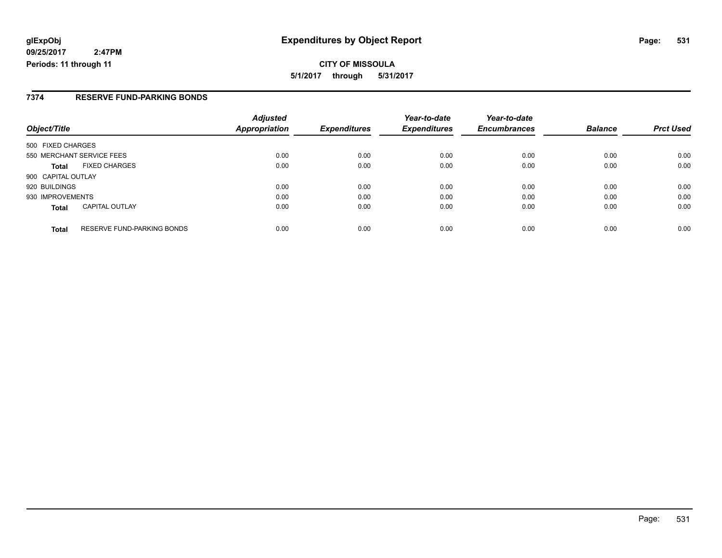**CITY OF MISSOULA 5/1/2017 through 5/31/2017**

#### **7374 RESERVE FUND-PARKING BONDS**

| Object/Title                                      | <b>Adjusted</b><br><b>Appropriation</b> | <b>Expenditures</b> | Year-to-date<br><b>Expenditures</b> | Year-to-date<br><b>Encumbrances</b> | <b>Balance</b> | <b>Prct Used</b> |
|---------------------------------------------------|-----------------------------------------|---------------------|-------------------------------------|-------------------------------------|----------------|------------------|
| 500 FIXED CHARGES                                 |                                         |                     |                                     |                                     |                |                  |
| 550 MERCHANT SERVICE FEES                         | 0.00                                    | 0.00                | 0.00                                | 0.00                                | 0.00           | 0.00             |
| <b>FIXED CHARGES</b><br><b>Total</b>              | 0.00                                    | 0.00                | 0.00                                | 0.00                                | 0.00           | 0.00             |
| 900 CAPITAL OUTLAY                                |                                         |                     |                                     |                                     |                |                  |
| 920 BUILDINGS                                     | 0.00                                    | 0.00                | 0.00                                | 0.00                                | 0.00           | 0.00             |
| 930 IMPROVEMENTS                                  | 0.00                                    | 0.00                | 0.00                                | 0.00                                | 0.00           | 0.00             |
| <b>CAPITAL OUTLAY</b><br><b>Total</b>             | 0.00                                    | 0.00                | 0.00                                | 0.00                                | 0.00           | 0.00             |
| <b>RESERVE FUND-PARKING BONDS</b><br><b>Total</b> | 0.00                                    | 0.00                | 0.00                                | 0.00                                | 0.00           | 0.00             |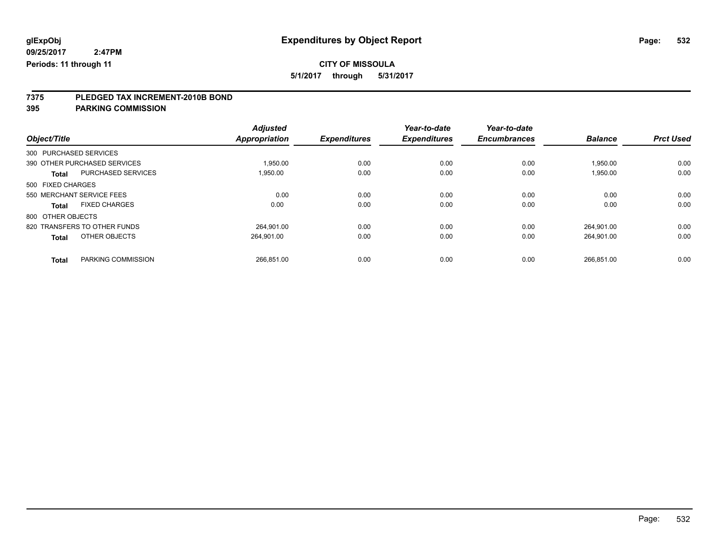**5/1/2017 through 5/31/2017**

# **7375 PLEDGED TAX INCREMENT-2010B BOND**

|                           |                              | <b>Adjusted</b>      |                     | Year-to-date        | Year-to-date        |                |                  |
|---------------------------|------------------------------|----------------------|---------------------|---------------------|---------------------|----------------|------------------|
| Object/Title              |                              | <b>Appropriation</b> | <b>Expenditures</b> | <b>Expenditures</b> | <b>Encumbrances</b> | <b>Balance</b> | <b>Prct Used</b> |
| 300 PURCHASED SERVICES    |                              |                      |                     |                     |                     |                |                  |
|                           | 390 OTHER PURCHASED SERVICES | 1,950.00             | 0.00                | 0.00                | 0.00                | 1,950.00       | 0.00             |
| <b>Total</b>              | <b>PURCHASED SERVICES</b>    | 1.950.00             | 0.00                | 0.00                | 0.00                | 1,950.00       | 0.00             |
| 500 FIXED CHARGES         |                              |                      |                     |                     |                     |                |                  |
| 550 MERCHANT SERVICE FEES |                              | 0.00                 | 0.00                | 0.00                | 0.00                | 0.00           | 0.00             |
| <b>Total</b>              | <b>FIXED CHARGES</b>         | 0.00                 | 0.00                | 0.00                | 0.00                | 0.00           | 0.00             |
| 800 OTHER OBJECTS         |                              |                      |                     |                     |                     |                |                  |
|                           | 820 TRANSFERS TO OTHER FUNDS | 264.901.00           | 0.00                | 0.00                | 0.00                | 264.901.00     | 0.00             |
| <b>Total</b>              | OTHER OBJECTS                | 264,901.00           | 0.00                | 0.00                | 0.00                | 264,901.00     | 0.00             |
| <b>Total</b>              | PARKING COMMISSION           | 266.851.00           | 0.00                | 0.00                | 0.00                | 266.851.00     | 0.00             |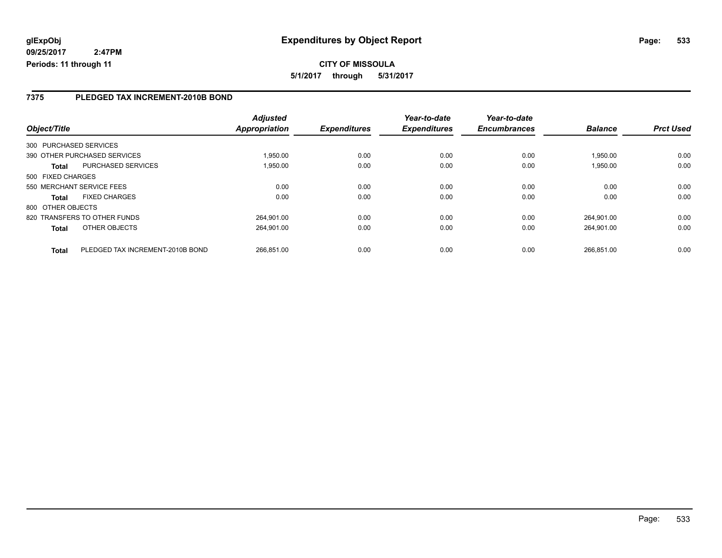### **7375 PLEDGED TAX INCREMENT-2010B BOND**

|                   |                                  | <b>Adjusted</b> |                     | Year-to-date        | Year-to-date        |                |                  |
|-------------------|----------------------------------|-----------------|---------------------|---------------------|---------------------|----------------|------------------|
| Object/Title      |                                  | Appropriation   | <b>Expenditures</b> | <b>Expenditures</b> | <b>Encumbrances</b> | <b>Balance</b> | <b>Prct Used</b> |
|                   | 300 PURCHASED SERVICES           |                 |                     |                     |                     |                |                  |
|                   | 390 OTHER PURCHASED SERVICES     | 1.950.00        | 0.00                | 0.00                | 0.00                | 1,950.00       | 0.00             |
| <b>Total</b>      | <b>PURCHASED SERVICES</b>        | 1,950.00        | 0.00                | 0.00                | 0.00                | 1,950.00       | 0.00             |
| 500 FIXED CHARGES |                                  |                 |                     |                     |                     |                |                  |
|                   | 550 MERCHANT SERVICE FEES        | 0.00            | 0.00                | 0.00                | 0.00                | 0.00           | 0.00             |
| <b>Total</b>      | <b>FIXED CHARGES</b>             | 0.00            | 0.00                | 0.00                | 0.00                | 0.00           | 0.00             |
| 800 OTHER OBJECTS |                                  |                 |                     |                     |                     |                |                  |
|                   | 820 TRANSFERS TO OTHER FUNDS     | 264.901.00      | 0.00                | 0.00                | 0.00                | 264.901.00     | 0.00             |
| <b>Total</b>      | OTHER OBJECTS                    | 264.901.00      | 0.00                | 0.00                | 0.00                | 264.901.00     | 0.00             |
| <b>Total</b>      | PLEDGED TAX INCREMENT-2010B BOND | 266.851.00      | 0.00                | 0.00                | 0.00                | 266.851.00     | 0.00             |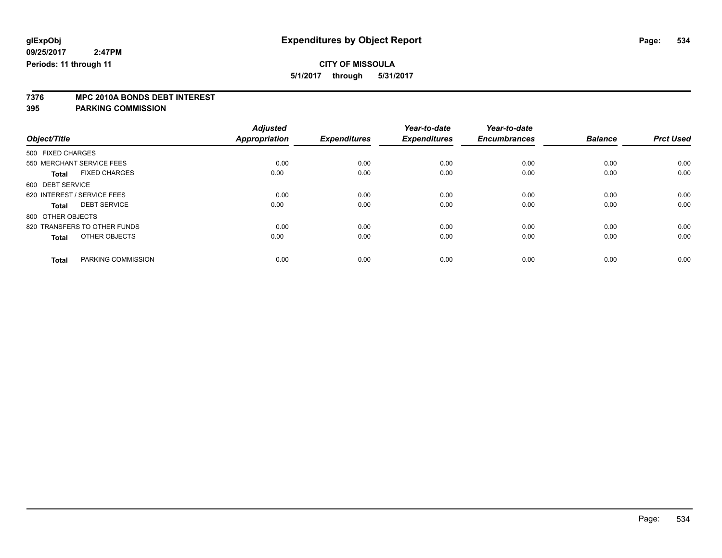**5/1/2017 through 5/31/2017**

# **7376 MPC 2010A BONDS DEBT INTEREST**

| Object/Title                         | <b>Adjusted</b><br><b>Appropriation</b> | <b>Expenditures</b> | Year-to-date<br><b>Expenditures</b> | Year-to-date<br><b>Encumbrances</b> | <b>Balance</b> | <b>Prct Used</b> |
|--------------------------------------|-----------------------------------------|---------------------|-------------------------------------|-------------------------------------|----------------|------------------|
| 500 FIXED CHARGES                    |                                         |                     |                                     |                                     |                |                  |
| 550 MERCHANT SERVICE FEES            | 0.00                                    | 0.00                | 0.00                                | 0.00                                | 0.00           | 0.00             |
| <b>FIXED CHARGES</b><br><b>Total</b> | 0.00                                    | 0.00                | 0.00                                | 0.00                                | 0.00           | 0.00             |
| 600 DEBT SERVICE                     |                                         |                     |                                     |                                     |                |                  |
| 620 INTEREST / SERVICE FEES          | 0.00                                    | 0.00                | 0.00                                | 0.00                                | 0.00           | 0.00             |
| <b>DEBT SERVICE</b><br><b>Total</b>  | 0.00                                    | 0.00                | 0.00                                | 0.00                                | 0.00           | 0.00             |
| 800 OTHER OBJECTS                    |                                         |                     |                                     |                                     |                |                  |
| 820 TRANSFERS TO OTHER FUNDS         | 0.00                                    | 0.00                | 0.00                                | 0.00                                | 0.00           | 0.00             |
| OTHER OBJECTS<br><b>Total</b>        | 0.00                                    | 0.00                | 0.00                                | 0.00                                | 0.00           | 0.00             |
|                                      |                                         |                     |                                     |                                     |                |                  |
| PARKING COMMISSION<br><b>Total</b>   | 0.00                                    | 0.00                | 0.00                                | 0.00                                | 0.00           | 0.00             |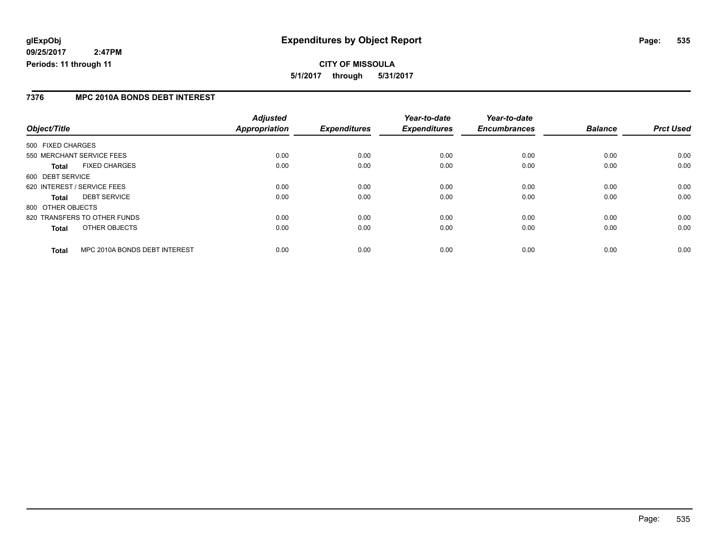**CITY OF MISSOULA 5/1/2017 through 5/31/2017**

### **7376 MPC 2010A BONDS DEBT INTEREST**

|                   |                               | <b>Adjusted</b> |                     | Year-to-date        | Year-to-date        |                |                  |
|-------------------|-------------------------------|-----------------|---------------------|---------------------|---------------------|----------------|------------------|
| Object/Title      |                               | Appropriation   | <b>Expenditures</b> | <b>Expenditures</b> | <b>Encumbrances</b> | <b>Balance</b> | <b>Prct Used</b> |
| 500 FIXED CHARGES |                               |                 |                     |                     |                     |                |                  |
|                   | 550 MERCHANT SERVICE FEES     | 0.00            | 0.00                | 0.00                | 0.00                | 0.00           | 0.00             |
| Total             | <b>FIXED CHARGES</b>          | 0.00            | 0.00                | 0.00                | 0.00                | 0.00           | 0.00             |
| 600 DEBT SERVICE  |                               |                 |                     |                     |                     |                |                  |
|                   | 620 INTEREST / SERVICE FEES   | 0.00            | 0.00                | 0.00                | 0.00                | 0.00           | 0.00             |
| <b>Total</b>      | <b>DEBT SERVICE</b>           | 0.00            | 0.00                | 0.00                | 0.00                | 0.00           | 0.00             |
| 800 OTHER OBJECTS |                               |                 |                     |                     |                     |                |                  |
|                   | 820 TRANSFERS TO OTHER FUNDS  | 0.00            | 0.00                | 0.00                | 0.00                | 0.00           | 0.00             |
| <b>Total</b>      | OTHER OBJECTS                 | 0.00            | 0.00                | 0.00                | 0.00                | 0.00           | 0.00             |
| <b>Total</b>      | MPC 2010A BONDS DEBT INTEREST | 0.00            | 0.00                | 0.00                | 0.00                | 0.00           | 0.00             |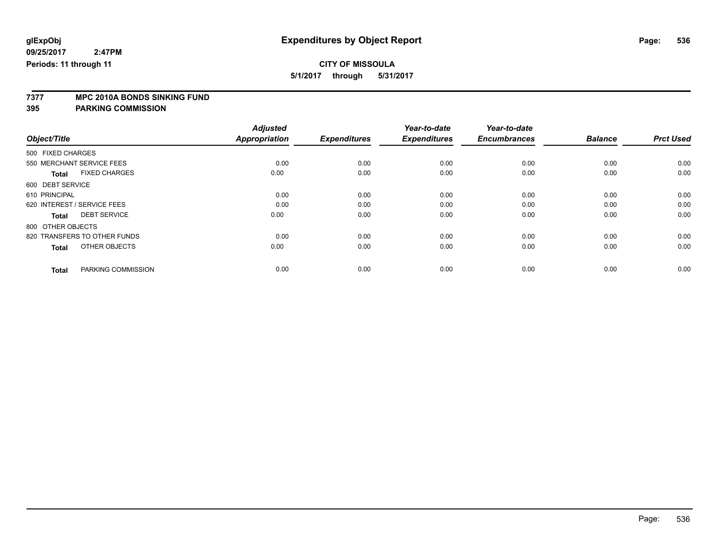**5/1/2017 through 5/31/2017**

# **7377 MPC 2010A BONDS SINKING FUND**

|                                      | <b>Adjusted</b>      | <b>Expenditures</b> | Year-to-date<br><b>Expenditures</b> | Year-to-date<br><b>Encumbrances</b> | <b>Balance</b> | <b>Prct Used</b> |
|--------------------------------------|----------------------|---------------------|-------------------------------------|-------------------------------------|----------------|------------------|
| Object/Title                         | <b>Appropriation</b> |                     |                                     |                                     |                |                  |
| 500 FIXED CHARGES                    |                      |                     |                                     |                                     |                |                  |
| 550 MERCHANT SERVICE FEES            | 0.00                 | 0.00                | 0.00                                | 0.00                                | 0.00           | 0.00             |
| <b>FIXED CHARGES</b><br><b>Total</b> | 0.00                 | 0.00                | 0.00                                | 0.00                                | 0.00           | 0.00             |
| 600 DEBT SERVICE                     |                      |                     |                                     |                                     |                |                  |
| 610 PRINCIPAL                        | 0.00                 | 0.00                | 0.00                                | 0.00                                | 0.00           | 0.00             |
| 620 INTEREST / SERVICE FEES          | 0.00                 | 0.00                | 0.00                                | 0.00                                | 0.00           | 0.00             |
| <b>DEBT SERVICE</b><br><b>Total</b>  | 0.00                 | 0.00                | 0.00                                | 0.00                                | 0.00           | 0.00             |
| 800 OTHER OBJECTS                    |                      |                     |                                     |                                     |                |                  |
| 820 TRANSFERS TO OTHER FUNDS         | 0.00                 | 0.00                | 0.00                                | 0.00                                | 0.00           | 0.00             |
| OTHER OBJECTS<br><b>Total</b>        | 0.00                 | 0.00                | 0.00                                | 0.00                                | 0.00           | 0.00             |
|                                      |                      |                     |                                     |                                     |                |                  |
| PARKING COMMISSION<br><b>Total</b>   | 0.00                 | 0.00                | 0.00                                | 0.00                                | 0.00           | 0.00             |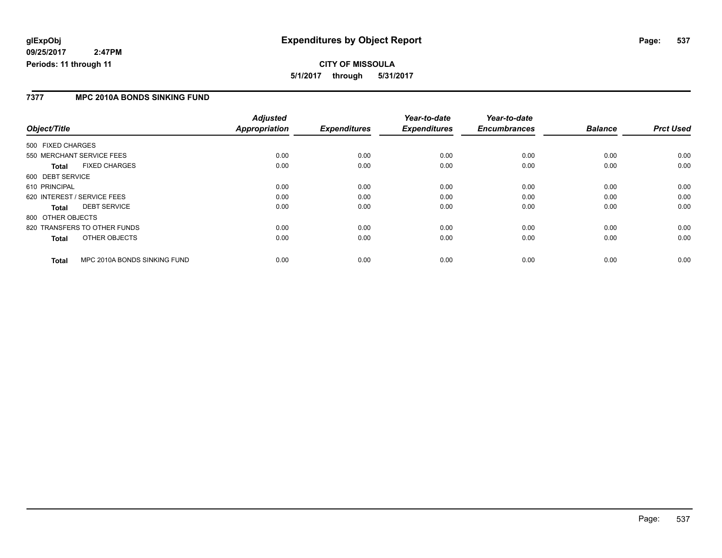### **CITY OF MISSOULA 5/1/2017 through 5/31/2017**

### **7377 MPC 2010A BONDS SINKING FUND**

|                             |                              | <b>Adjusted</b>      |                     | Year-to-date        | Year-to-date        |                |                  |
|-----------------------------|------------------------------|----------------------|---------------------|---------------------|---------------------|----------------|------------------|
| Object/Title                |                              | <b>Appropriation</b> | <b>Expenditures</b> | <b>Expenditures</b> | <b>Encumbrances</b> | <b>Balance</b> | <b>Prct Used</b> |
| 500 FIXED CHARGES           |                              |                      |                     |                     |                     |                |                  |
|                             | 550 MERCHANT SERVICE FEES    | 0.00                 | 0.00                | 0.00                | 0.00                | 0.00           | 0.00             |
| <b>Total</b>                | <b>FIXED CHARGES</b>         | 0.00                 | 0.00                | 0.00                | 0.00                | 0.00           | 0.00             |
| 600 DEBT SERVICE            |                              |                      |                     |                     |                     |                |                  |
| 610 PRINCIPAL               |                              | 0.00                 | 0.00                | 0.00                | 0.00                | 0.00           | 0.00             |
| 620 INTEREST / SERVICE FEES |                              | 0.00                 | 0.00                | 0.00                | 0.00                | 0.00           | 0.00             |
| <b>Total</b>                | <b>DEBT SERVICE</b>          | 0.00                 | 0.00                | 0.00                | 0.00                | 0.00           | 0.00             |
| 800 OTHER OBJECTS           |                              |                      |                     |                     |                     |                |                  |
|                             | 820 TRANSFERS TO OTHER FUNDS | 0.00                 | 0.00                | 0.00                | 0.00                | 0.00           | 0.00             |
| <b>Total</b>                | OTHER OBJECTS                | 0.00                 | 0.00                | 0.00                | 0.00                | 0.00           | 0.00             |
| <b>Total</b>                | MPC 2010A BONDS SINKING FUND | 0.00                 | 0.00                | 0.00                | 0.00                | 0.00           | 0.00             |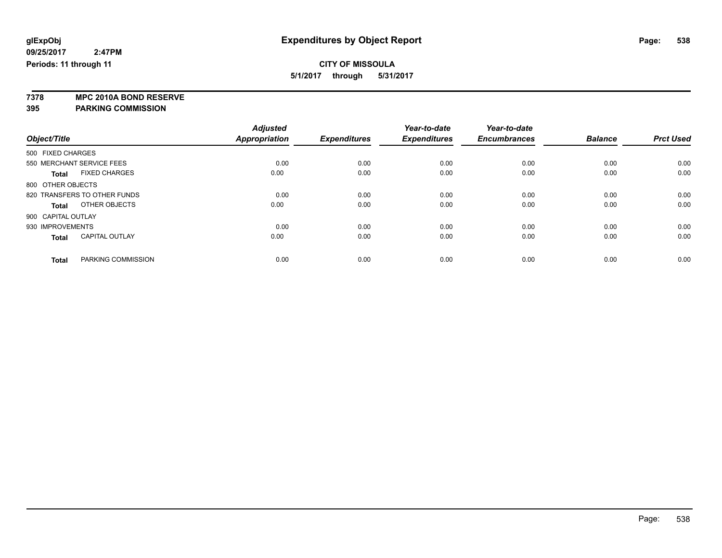**5/1/2017 through 5/31/2017**

**7378 MPC 2010A BOND RESERVE**

|                                       | <b>Adjusted</b> |                     | Year-to-date        | Year-to-date        |                |                  |
|---------------------------------------|-----------------|---------------------|---------------------|---------------------|----------------|------------------|
| Object/Title                          | Appropriation   | <b>Expenditures</b> | <b>Expenditures</b> | <b>Encumbrances</b> | <b>Balance</b> | <b>Prct Used</b> |
| 500 FIXED CHARGES                     |                 |                     |                     |                     |                |                  |
| 550 MERCHANT SERVICE FEES             | 0.00            | 0.00                | 0.00                | 0.00                | 0.00           | 0.00             |
| <b>FIXED CHARGES</b><br><b>Total</b>  | 0.00            | 0.00                | 0.00                | 0.00                | 0.00           | 0.00             |
| 800 OTHER OBJECTS                     |                 |                     |                     |                     |                |                  |
| 820 TRANSFERS TO OTHER FUNDS          | 0.00            | 0.00                | 0.00                | 0.00                | 0.00           | 0.00             |
| OTHER OBJECTS<br>Total                | 0.00            | 0.00                | 0.00                | 0.00                | 0.00           | 0.00             |
| 900 CAPITAL OUTLAY                    |                 |                     |                     |                     |                |                  |
| 930 IMPROVEMENTS                      | 0.00            | 0.00                | 0.00                | 0.00                | 0.00           | 0.00             |
| <b>CAPITAL OUTLAY</b><br><b>Total</b> | 0.00            | 0.00                | 0.00                | 0.00                | 0.00           | 0.00             |
|                                       |                 |                     |                     |                     |                |                  |
| PARKING COMMISSION<br><b>Total</b>    | 0.00            | 0.00                | 0.00                | 0.00                | 0.00           | 0.00             |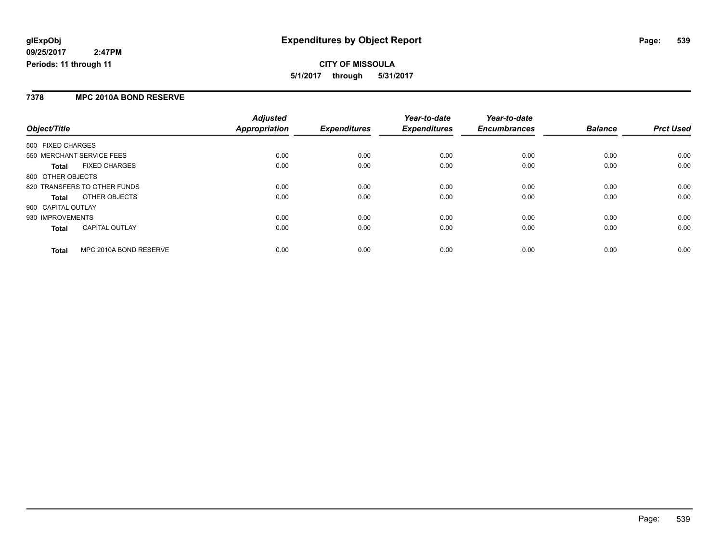### **7378 MPC 2010A BOND RESERVE**

|                                        | <b>Adjusted</b>      |                     | Year-to-date        | Year-to-date        |                |                  |
|----------------------------------------|----------------------|---------------------|---------------------|---------------------|----------------|------------------|
| Object/Title                           | <b>Appropriation</b> | <b>Expenditures</b> | <b>Expenditures</b> | <b>Encumbrances</b> | <b>Balance</b> | <b>Prct Used</b> |
| 500 FIXED CHARGES                      |                      |                     |                     |                     |                |                  |
| 550 MERCHANT SERVICE FEES              | 0.00                 | 0.00                | 0.00                | 0.00                | 0.00           | 0.00             |
| <b>FIXED CHARGES</b><br><b>Total</b>   | 0.00                 | 0.00                | 0.00                | 0.00                | 0.00           | 0.00             |
| 800 OTHER OBJECTS                      |                      |                     |                     |                     |                |                  |
| 820 TRANSFERS TO OTHER FUNDS           | 0.00                 | 0.00                | 0.00                | 0.00                | 0.00           | 0.00             |
| OTHER OBJECTS<br>Total                 | 0.00                 | 0.00                | 0.00                | 0.00                | 0.00           | 0.00             |
| 900 CAPITAL OUTLAY                     |                      |                     |                     |                     |                |                  |
| 930 IMPROVEMENTS                       | 0.00                 | 0.00                | 0.00                | 0.00                | 0.00           | 0.00             |
| <b>CAPITAL OUTLAY</b><br><b>Total</b>  | 0.00                 | 0.00                | 0.00                | 0.00                | 0.00           | 0.00             |
| MPC 2010A BOND RESERVE<br><b>Total</b> | 0.00                 | 0.00                | 0.00                | 0.00                | 0.00           | 0.00             |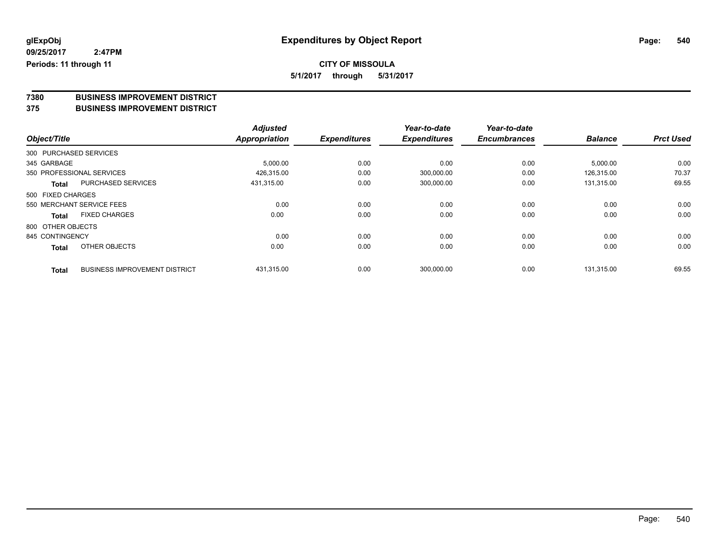**5/1/2017 through 5/31/2017**

# **7380 BUSINESS IMPROVEMENT DISTRICT**

#### **375 BUSINESS IMPROVEMENT DISTRICT**

|                        |                                      | <b>Adjusted</b>      |                     | Year-to-date        | Year-to-date        |                |                  |
|------------------------|--------------------------------------|----------------------|---------------------|---------------------|---------------------|----------------|------------------|
| Object/Title           |                                      | <b>Appropriation</b> | <b>Expenditures</b> | <b>Expenditures</b> | <b>Encumbrances</b> | <b>Balance</b> | <b>Prct Used</b> |
| 300 PURCHASED SERVICES |                                      |                      |                     |                     |                     |                |                  |
| 345 GARBAGE            |                                      | 5,000.00             | 0.00                | 0.00                | 0.00                | 5,000.00       | 0.00             |
|                        | 350 PROFESSIONAL SERVICES            | 426,315.00           | 0.00                | 300,000.00          | 0.00                | 126.315.00     | 70.37            |
| Total                  | <b>PURCHASED SERVICES</b>            | 431.315.00           | 0.00                | 300,000.00          | 0.00                | 131,315.00     | 69.55            |
| 500 FIXED CHARGES      |                                      |                      |                     |                     |                     |                |                  |
|                        | 550 MERCHANT SERVICE FEES            | 0.00                 | 0.00                | 0.00                | 0.00                | 0.00           | 0.00             |
| <b>Total</b>           | <b>FIXED CHARGES</b>                 | 0.00                 | 0.00                | 0.00                | 0.00                | 0.00           | 0.00             |
| 800 OTHER OBJECTS      |                                      |                      |                     |                     |                     |                |                  |
| 845 CONTINGENCY        |                                      | 0.00                 | 0.00                | 0.00                | 0.00                | 0.00           | 0.00             |
| <b>Total</b>           | OTHER OBJECTS                        | 0.00                 | 0.00                | 0.00                | 0.00                | 0.00           | 0.00             |
| <b>Total</b>           | <b>BUSINESS IMPROVEMENT DISTRICT</b> | 431,315.00           | 0.00                | 300,000.00          | 0.00                | 131.315.00     | 69.55            |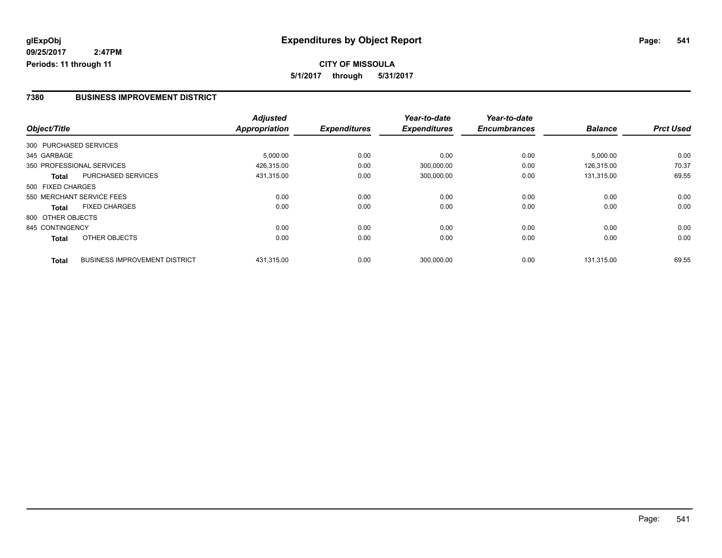### **7380 BUSINESS IMPROVEMENT DISTRICT**

|                   |                                      | <b>Adjusted</b>      |                     | Year-to-date        | Year-to-date        |                |                  |
|-------------------|--------------------------------------|----------------------|---------------------|---------------------|---------------------|----------------|------------------|
| Object/Title      |                                      | <b>Appropriation</b> | <b>Expenditures</b> | <b>Expenditures</b> | <b>Encumbrances</b> | <b>Balance</b> | <b>Prct Used</b> |
|                   | 300 PURCHASED SERVICES               |                      |                     |                     |                     |                |                  |
| 345 GARBAGE       |                                      | 5,000.00             | 0.00                | 0.00                | 0.00                | 5,000.00       | 0.00             |
|                   | 350 PROFESSIONAL SERVICES            | 426,315.00           | 0.00                | 300,000.00          | 0.00                | 126.315.00     | 70.37            |
| <b>Total</b>      | <b>PURCHASED SERVICES</b>            | 431,315.00           | 0.00                | 300,000.00          | 0.00                | 131,315.00     | 69.55            |
| 500 FIXED CHARGES |                                      |                      |                     |                     |                     |                |                  |
|                   | 550 MERCHANT SERVICE FEES            | 0.00                 | 0.00                | 0.00                | 0.00                | 0.00           | 0.00             |
| <b>Total</b>      | <b>FIXED CHARGES</b>                 | 0.00                 | 0.00                | 0.00                | 0.00                | 0.00           | 0.00             |
| 800 OTHER OBJECTS |                                      |                      |                     |                     |                     |                |                  |
| 845 CONTINGENCY   |                                      | 0.00                 | 0.00                | 0.00                | 0.00                | 0.00           | 0.00             |
| <b>Total</b>      | OTHER OBJECTS                        | 0.00                 | 0.00                | 0.00                | 0.00                | 0.00           | 0.00             |
| <b>Total</b>      | <b>BUSINESS IMPROVEMENT DISTRICT</b> | 431,315.00           | 0.00                | 300.000.00          | 0.00                | 131.315.00     | 69.55            |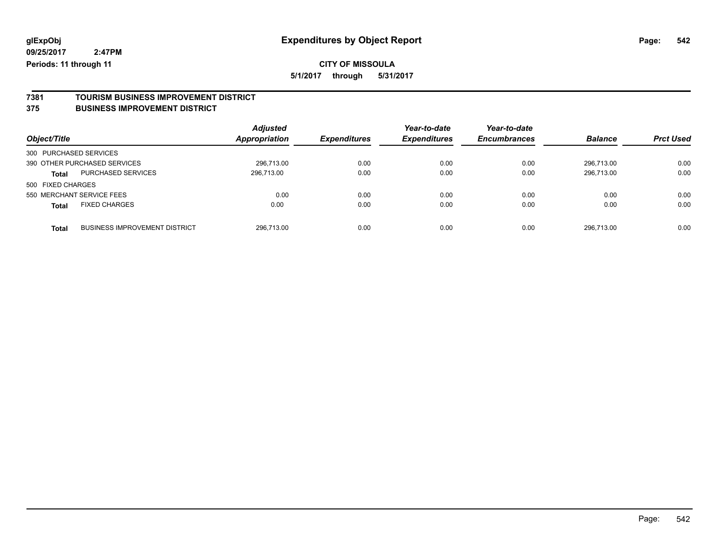### **CITY OF MISSOULA**

**5/1/2017 through 5/31/2017**

# **7381 TOURISM BUSINESS IMPROVEMENT DISTRICT**

### **375 BUSINESS IMPROVEMENT DISTRICT**

| Object/Title              |                                      | <b>Adjusted</b><br><b>Appropriation</b> | <b>Expenditures</b> | Year-to-date<br><b>Expenditures</b> | Year-to-date<br><b>Encumbrances</b> | <b>Balance</b> | <b>Prct Used</b> |
|---------------------------|--------------------------------------|-----------------------------------------|---------------------|-------------------------------------|-------------------------------------|----------------|------------------|
| 300 PURCHASED SERVICES    |                                      |                                         |                     |                                     |                                     |                |                  |
|                           | 390 OTHER PURCHASED SERVICES         | 296.713.00                              | 0.00                | 0.00                                | 0.00                                | 296.713.00     | 0.00             |
| <b>Total</b>              | PURCHASED SERVICES                   | 296,713.00                              | 0.00                | 0.00                                | 0.00                                | 296,713.00     | 0.00             |
| 500 FIXED CHARGES         |                                      |                                         |                     |                                     |                                     |                |                  |
| 550 MERCHANT SERVICE FEES |                                      | 0.00                                    | 0.00                | 0.00                                | 0.00                                | 0.00           | 0.00             |
| <b>Total</b>              | <b>FIXED CHARGES</b>                 | 0.00                                    | 0.00                | 0.00                                | 0.00                                | 0.00           | 0.00             |
| <b>Total</b>              | <b>BUSINESS IMPROVEMENT DISTRICT</b> | 296,713.00                              | 0.00                | 0.00                                | 0.00                                | 296,713.00     | 0.00             |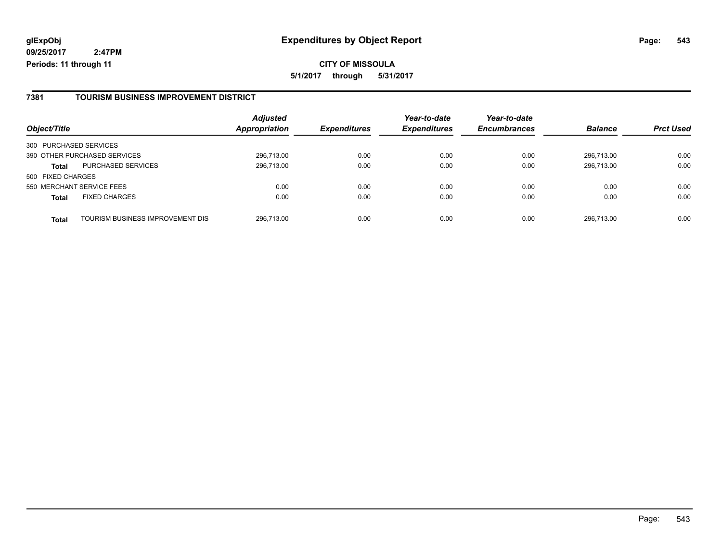**CITY OF MISSOULA 5/1/2017 through 5/31/2017**

### **7381 TOURISM BUSINESS IMPROVEMENT DISTRICT**

| Object/Title           |                                  | <b>Adjusted</b><br><b>Appropriation</b> | <b>Expenditures</b> | Year-to-date<br><b>Expenditures</b> | Year-to-date<br><b>Encumbrances</b> | <b>Balance</b> | <b>Prct Used</b> |
|------------------------|----------------------------------|-----------------------------------------|---------------------|-------------------------------------|-------------------------------------|----------------|------------------|
|                        |                                  |                                         |                     |                                     |                                     |                |                  |
| 300 PURCHASED SERVICES |                                  |                                         |                     |                                     |                                     |                |                  |
|                        | 390 OTHER PURCHASED SERVICES     | 296,713.00                              | 0.00                | 0.00                                | 0.00                                | 296.713.00     | 0.00             |
| <b>Total</b>           | <b>PURCHASED SERVICES</b>        | 296,713.00                              | 0.00                | 0.00                                | 0.00                                | 296.713.00     | 0.00             |
| 500 FIXED CHARGES      |                                  |                                         |                     |                                     |                                     |                |                  |
|                        | 550 MERCHANT SERVICE FEES        | 0.00                                    | 0.00                | 0.00                                | 0.00                                | 0.00           | 0.00             |
| <b>Total</b>           | <b>FIXED CHARGES</b>             | 0.00                                    | 0.00                | 0.00                                | 0.00                                | 0.00           | 0.00             |
| <b>Total</b>           | TOURISM BUSINESS IMPROVEMENT DIS | 296,713.00                              | 0.00                | 0.00                                | 0.00                                | 296.713.00     | 0.00             |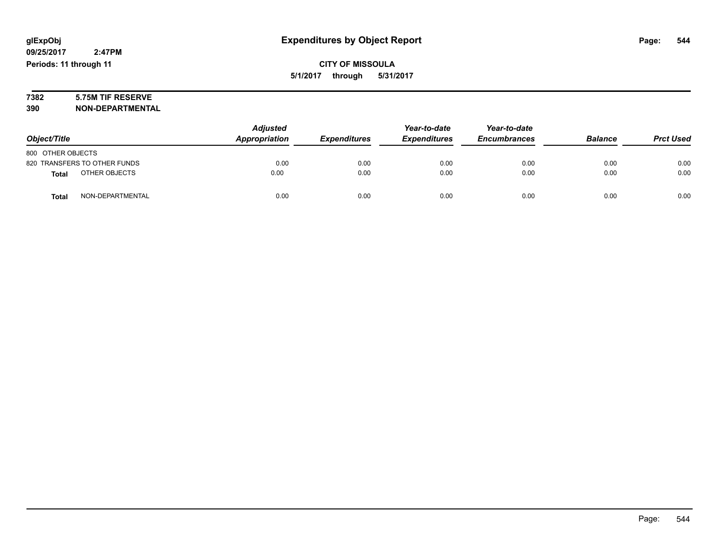# **7382 5.75M TIF RESERVE**

**390 NON-DEPARTMENTAL**

|                               | <b>Adjusted</b><br>Appropriation<br><b>Expenditures</b> | Year-to-date | Year-to-date        |                     |                |                  |
|-------------------------------|---------------------------------------------------------|--------------|---------------------|---------------------|----------------|------------------|
| Object/Title                  |                                                         |              | <b>Expenditures</b> | <b>Encumbrances</b> | <b>Balance</b> | <b>Prct Used</b> |
| 800 OTHER OBJECTS             |                                                         |              |                     |                     |                |                  |
| 820 TRANSFERS TO OTHER FUNDS  | 0.00                                                    | 0.00         | 0.00                | 0.00                | 0.00           | 0.00             |
| OTHER OBJECTS<br><b>Total</b> | 0.00                                                    | 0.00         | 0.00                | 0.00                | 0.00           | 0.00             |
| NON-DEPARTMENTAL<br>Total     | 0.00                                                    | 0.00         | 0.00                | 0.00                | 0.00           | 0.00             |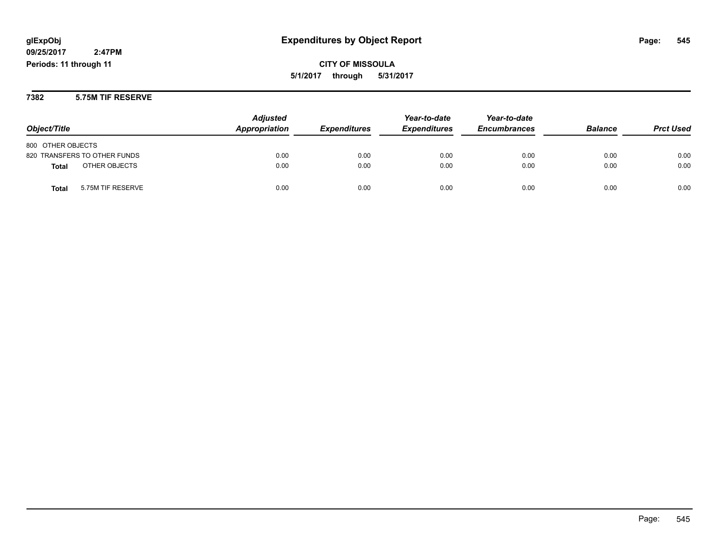**CITY OF MISSOULA 5/1/2017 through 5/31/2017**

**7382 5.75M TIF RESERVE**

|                               | <b>Adjusted</b> |                            | Year-to-date        | Year-to-date        |                |                  |
|-------------------------------|-----------------|----------------------------|---------------------|---------------------|----------------|------------------|
| Object/Title                  | Appropriation   | <i><b>Expenditures</b></i> | <b>Expenditures</b> | <b>Encumbrances</b> | <b>Balance</b> | <b>Prct Used</b> |
| 800 OTHER OBJECTS             |                 |                            |                     |                     |                |                  |
| 820 TRANSFERS TO OTHER FUNDS  | 0.00            | 0.00                       | 0.00                | 0.00                | 0.00           | 0.00             |
| OTHER OBJECTS<br><b>Total</b> | 0.00            | 0.00                       | 0.00                | 0.00                | 0.00           | 0.00             |
| 5.75M TIF RESERVE<br>Total    | 0.00            | 0.00                       | 0.00                | 0.00                | 0.00           | 0.00             |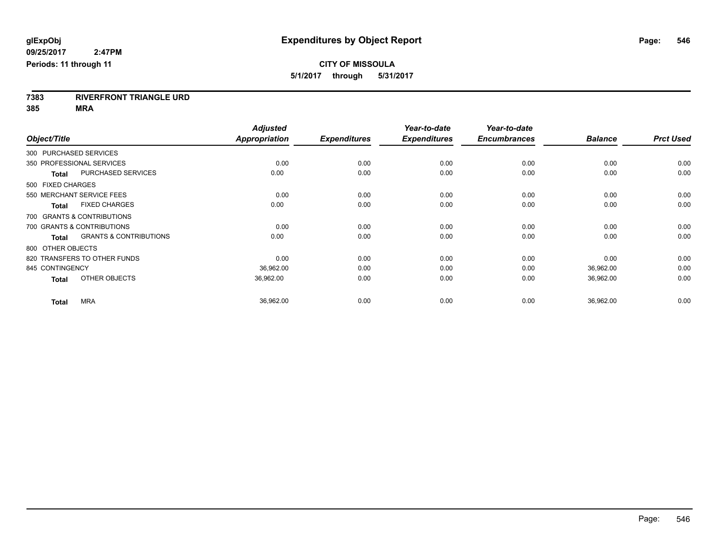**7383 RIVERFRONT TRIANGLE URD**

**385 MRA**

|                        |                                   | <b>Adjusted</b>      |                     | Year-to-date        | Year-to-date        |                |                  |
|------------------------|-----------------------------------|----------------------|---------------------|---------------------|---------------------|----------------|------------------|
| Object/Title           |                                   | <b>Appropriation</b> | <b>Expenditures</b> | <b>Expenditures</b> | <b>Encumbrances</b> | <b>Balance</b> | <b>Prct Used</b> |
| 300 PURCHASED SERVICES |                                   |                      |                     |                     |                     |                |                  |
|                        | 350 PROFESSIONAL SERVICES         | 0.00                 | 0.00                | 0.00                | 0.00                | 0.00           | 0.00             |
| <b>Total</b>           | <b>PURCHASED SERVICES</b>         | 0.00                 | 0.00                | 0.00                | 0.00                | 0.00           | 0.00             |
| 500 FIXED CHARGES      |                                   |                      |                     |                     |                     |                |                  |
|                        | 550 MERCHANT SERVICE FEES         | 0.00                 | 0.00                | 0.00                | 0.00                | 0.00           | 0.00             |
| <b>Total</b>           | <b>FIXED CHARGES</b>              | 0.00                 | 0.00                | 0.00                | 0.00                | 0.00           | 0.00             |
|                        | 700 GRANTS & CONTRIBUTIONS        |                      |                     |                     |                     |                |                  |
|                        | 700 GRANTS & CONTRIBUTIONS        | 0.00                 | 0.00                | 0.00                | 0.00                | 0.00           | 0.00             |
| Total                  | <b>GRANTS &amp; CONTRIBUTIONS</b> | 0.00                 | 0.00                | 0.00                | 0.00                | 0.00           | 0.00             |
| 800 OTHER OBJECTS      |                                   |                      |                     |                     |                     |                |                  |
|                        | 820 TRANSFERS TO OTHER FUNDS      | 0.00                 | 0.00                | 0.00                | 0.00                | 0.00           | 0.00             |
| 845 CONTINGENCY        |                                   | 36,962.00            | 0.00                | 0.00                | 0.00                | 36,962.00      | 0.00             |
| <b>Total</b>           | OTHER OBJECTS                     | 36,962.00            | 0.00                | 0.00                | 0.00                | 36,962.00      | 0.00             |
| <b>Total</b>           | <b>MRA</b>                        | 36,962.00            | 0.00                | 0.00                | 0.00                | 36,962.00      | 0.00             |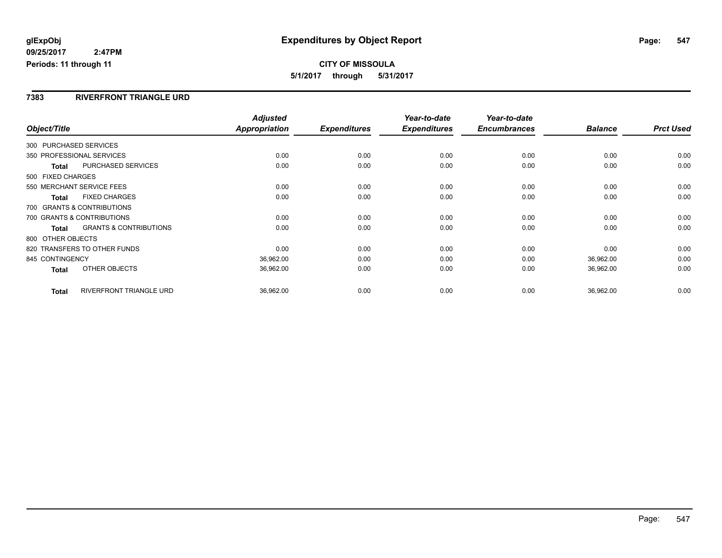**CITY OF MISSOULA 5/1/2017 through 5/31/2017**

### **7383 RIVERFRONT TRIANGLE URD**

|                           |                                   | <b>Adjusted</b>      |                     | Year-to-date        | Year-to-date        |                |                  |
|---------------------------|-----------------------------------|----------------------|---------------------|---------------------|---------------------|----------------|------------------|
| Object/Title              |                                   | <b>Appropriation</b> | <b>Expenditures</b> | <b>Expenditures</b> | <b>Encumbrances</b> | <b>Balance</b> | <b>Prct Used</b> |
| 300 PURCHASED SERVICES    |                                   |                      |                     |                     |                     |                |                  |
| 350 PROFESSIONAL SERVICES |                                   | 0.00                 | 0.00                | 0.00                | 0.00                | 0.00           | 0.00             |
| <b>Total</b>              | <b>PURCHASED SERVICES</b>         | 0.00                 | 0.00                | 0.00                | 0.00                | 0.00           | 0.00             |
| 500 FIXED CHARGES         |                                   |                      |                     |                     |                     |                |                  |
|                           | 550 MERCHANT SERVICE FEES         | 0.00                 | 0.00                | 0.00                | 0.00                | 0.00           | 0.00             |
| <b>Total</b>              | <b>FIXED CHARGES</b>              | 0.00                 | 0.00                | 0.00                | 0.00                | 0.00           | 0.00             |
|                           | 700 GRANTS & CONTRIBUTIONS        |                      |                     |                     |                     |                |                  |
|                           | 700 GRANTS & CONTRIBUTIONS        | 0.00                 | 0.00                | 0.00                | 0.00                | 0.00           | 0.00             |
| Total                     | <b>GRANTS &amp; CONTRIBUTIONS</b> | 0.00                 | 0.00                | 0.00                | 0.00                | 0.00           | 0.00             |
| 800 OTHER OBJECTS         |                                   |                      |                     |                     |                     |                |                  |
|                           | 820 TRANSFERS TO OTHER FUNDS      | 0.00                 | 0.00                | 0.00                | 0.00                | 0.00           | 0.00             |
| 845 CONTINGENCY           |                                   | 36,962.00            | 0.00                | 0.00                | 0.00                | 36,962.00      | 0.00             |
| <b>Total</b>              | OTHER OBJECTS                     | 36,962.00            | 0.00                | 0.00                | 0.00                | 36,962.00      | 0.00             |
| <b>Total</b>              | RIVERFRONT TRIANGLE URD           | 36,962.00            | 0.00                | 0.00                | 0.00                | 36,962.00      | 0.00             |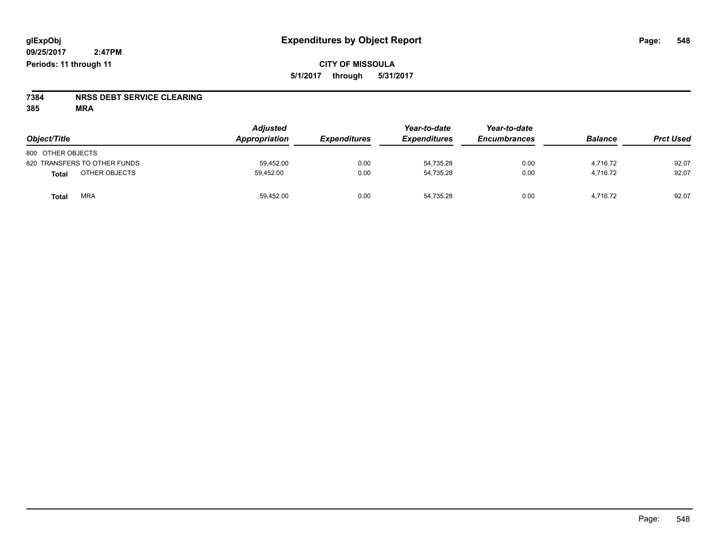# **7384 NRSS DEBT SERVICE CLEARING**

**385 MRA**

| Object/Title                 | <b>Adjusted</b><br>Appropriation | <b>Expenditures</b> | Year-to-date<br><b>Expenditures</b> | Year-to-date<br><b>Encumbrances</b> | <b>Balance</b> | <b>Prct Used</b> |
|------------------------------|----------------------------------|---------------------|-------------------------------------|-------------------------------------|----------------|------------------|
| 800 OTHER OBJECTS            |                                  |                     |                                     |                                     |                |                  |
| 820 TRANSFERS TO OTHER FUNDS | 59.452.00                        | 0.00                | 54.735.28                           | 0.00                                | 4.716.72       | 92.07            |
| OTHER OBJECTS<br>Total       | 59.452.00                        | 0.00                | 54.735.28                           | 0.00                                | 4.716.72       | 92.07            |
| <b>MRA</b><br>Total          | 59,452.00                        | 0.00                | 54,735.28                           | 0.00                                | 4.716.72       | 92.07            |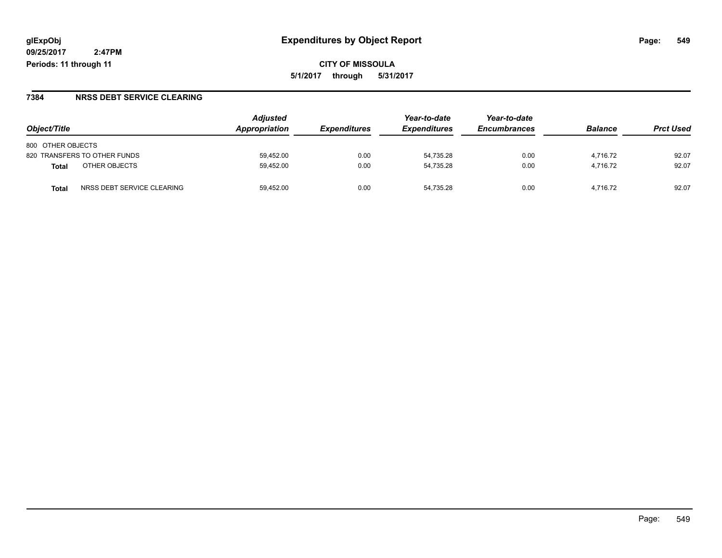**CITY OF MISSOULA 5/1/2017 through 5/31/2017**

### **7384 NRSS DEBT SERVICE CLEARING**

|                                            | <b>Adjusted</b> |                     | Year-to-date        | Year-to-date        |                |                  |
|--------------------------------------------|-----------------|---------------------|---------------------|---------------------|----------------|------------------|
| Object/Title                               | Appropriation   | <b>Expenditures</b> | <b>Expenditures</b> | <b>Encumbrances</b> | <b>Balance</b> | <b>Prct Used</b> |
| 800 OTHER OBJECTS                          |                 |                     |                     |                     |                |                  |
| 820 TRANSFERS TO OTHER FUNDS               | 59.452.00       | 0.00                | 54.735.28           | 0.00                | 4.716.72       | 92.07            |
| OTHER OBJECTS<br>Total                     | 59.452.00       | 0.00                | 54,735.28           | 0.00                | 4.716.72       | 92.07            |
| NRSS DEBT SERVICE CLEARING<br><b>Total</b> | 59.452.00       | 0.00                | 54.735.28           | 0.00                | 4.716.72       | 92.07            |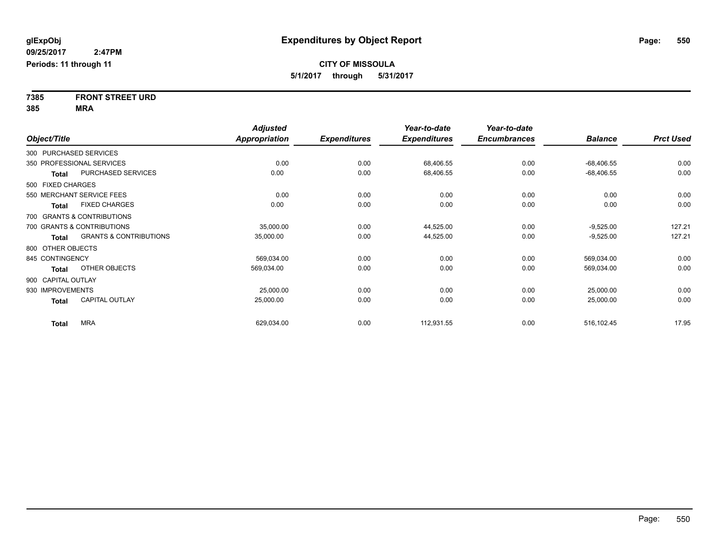**7385 FRONT STREET URD 385 MRA**

|                    |                                   | <b>Adjusted</b> |                     | Year-to-date        | Year-to-date        |                |                  |
|--------------------|-----------------------------------|-----------------|---------------------|---------------------|---------------------|----------------|------------------|
| Object/Title       |                                   | Appropriation   | <b>Expenditures</b> | <b>Expenditures</b> | <b>Encumbrances</b> | <b>Balance</b> | <b>Prct Used</b> |
|                    | 300 PURCHASED SERVICES            |                 |                     |                     |                     |                |                  |
|                    | 350 PROFESSIONAL SERVICES         | 0.00            | 0.00                | 68,406.55           | 0.00                | $-68,406.55$   | 0.00             |
| <b>Total</b>       | PURCHASED SERVICES                | 0.00            | 0.00                | 68,406.55           | 0.00                | $-68,406.55$   | 0.00             |
| 500 FIXED CHARGES  |                                   |                 |                     |                     |                     |                |                  |
|                    | 550 MERCHANT SERVICE FEES         | 0.00            | 0.00                | 0.00                | 0.00                | 0.00           | 0.00             |
| <b>Total</b>       | <b>FIXED CHARGES</b>              | 0.00            | 0.00                | 0.00                | 0.00                | 0.00           | 0.00             |
|                    | 700 GRANTS & CONTRIBUTIONS        |                 |                     |                     |                     |                |                  |
|                    | 700 GRANTS & CONTRIBUTIONS        | 35,000.00       | 0.00                | 44,525.00           | 0.00                | $-9,525.00$    | 127.21           |
| <b>Total</b>       | <b>GRANTS &amp; CONTRIBUTIONS</b> | 35,000.00       | 0.00                | 44,525.00           | 0.00                | $-9,525.00$    | 127.21           |
| 800 OTHER OBJECTS  |                                   |                 |                     |                     |                     |                |                  |
| 845 CONTINGENCY    |                                   | 569,034.00      | 0.00                | 0.00                | 0.00                | 569,034.00     | 0.00             |
| <b>Total</b>       | OTHER OBJECTS                     | 569,034.00      | 0.00                | 0.00                | 0.00                | 569,034.00     | 0.00             |
| 900 CAPITAL OUTLAY |                                   |                 |                     |                     |                     |                |                  |
| 930 IMPROVEMENTS   |                                   | 25,000.00       | 0.00                | 0.00                | 0.00                | 25,000.00      | 0.00             |
| <b>Total</b>       | <b>CAPITAL OUTLAY</b>             | 25,000.00       | 0.00                | 0.00                | 0.00                | 25,000.00      | 0.00             |
| <b>Total</b>       | <b>MRA</b>                        | 629,034.00      | 0.00                | 112,931.55          | 0.00                | 516,102.45     | 17.95            |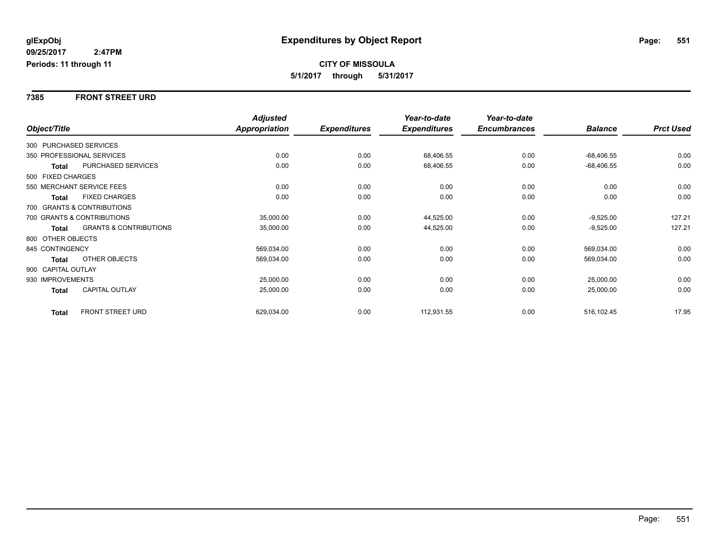#### **7385 FRONT STREET URD**

|              |                    |                                   | <b>Adjusted</b> |                     | Year-to-date        | Year-to-date        |                |                  |
|--------------|--------------------|-----------------------------------|-----------------|---------------------|---------------------|---------------------|----------------|------------------|
| Object/Title |                    |                                   | Appropriation   | <b>Expenditures</b> | <b>Expenditures</b> | <b>Encumbrances</b> | <b>Balance</b> | <b>Prct Used</b> |
|              |                    | 300 PURCHASED SERVICES            |                 |                     |                     |                     |                |                  |
|              |                    | 350 PROFESSIONAL SERVICES         | 0.00            | 0.00                | 68,406.55           | 0.00                | $-68,406.55$   | 0.00             |
|              | Total              | PURCHASED SERVICES                | 0.00            | 0.00                | 68,406.55           | 0.00                | $-68,406.55$   | 0.00             |
|              | 500 FIXED CHARGES  |                                   |                 |                     |                     |                     |                |                  |
|              |                    | 550 MERCHANT SERVICE FEES         | 0.00            | 0.00                | 0.00                | 0.00                | 0.00           | 0.00             |
|              | Total              | <b>FIXED CHARGES</b>              | 0.00            | 0.00                | 0.00                | 0.00                | 0.00           | 0.00             |
|              |                    | 700 GRANTS & CONTRIBUTIONS        |                 |                     |                     |                     |                |                  |
|              |                    | 700 GRANTS & CONTRIBUTIONS        | 35,000.00       | 0.00                | 44,525.00           | 0.00                | $-9,525.00$    | 127.21           |
|              | Total              | <b>GRANTS &amp; CONTRIBUTIONS</b> | 35,000.00       | 0.00                | 44,525.00           | 0.00                | $-9,525.00$    | 127.21           |
|              | 800 OTHER OBJECTS  |                                   |                 |                     |                     |                     |                |                  |
|              | 845 CONTINGENCY    |                                   | 569,034.00      | 0.00                | 0.00                | 0.00                | 569,034.00     | 0.00             |
|              | <b>Total</b>       | <b>OTHER OBJECTS</b>              | 569,034.00      | 0.00                | 0.00                | 0.00                | 569,034.00     | 0.00             |
|              | 900 CAPITAL OUTLAY |                                   |                 |                     |                     |                     |                |                  |
|              | 930 IMPROVEMENTS   |                                   | 25,000.00       | 0.00                | 0.00                | 0.00                | 25,000.00      | 0.00             |
|              | <b>Total</b>       | CAPITAL OUTLAY                    | 25,000.00       | 0.00                | 0.00                | 0.00                | 25,000.00      | 0.00             |
|              | <b>Total</b>       | FRONT STREET URD                  | 629,034.00      | 0.00                | 112,931.55          | 0.00                | 516,102.45     | 17.95            |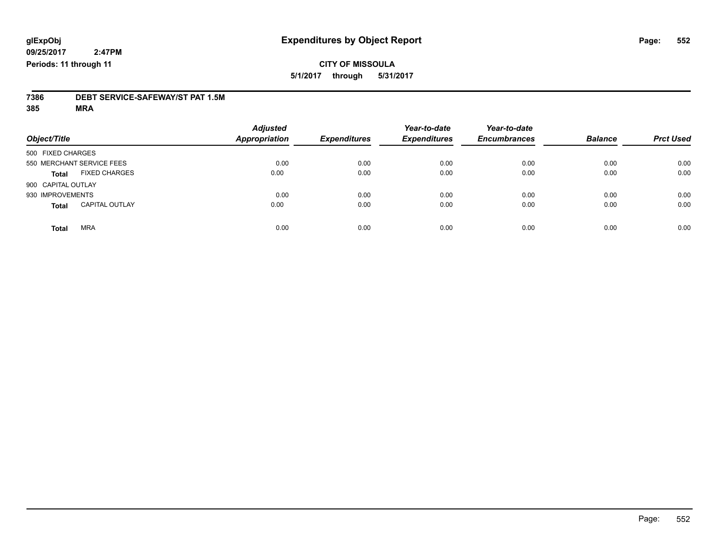### **CITY OF MISSOULA 5/1/2017 through 5/31/2017**

# **7386 DEBT SERVICE-SAFEWAY/ST PAT 1.5M**

**385 MRA**

| Object/Title       |                           | <b>Adjusted</b><br>Appropriation | <b>Expenditures</b> | Year-to-date<br><b>Expenditures</b> | Year-to-date<br><b>Encumbrances</b> | <b>Balance</b> | <b>Prct Used</b> |
|--------------------|---------------------------|----------------------------------|---------------------|-------------------------------------|-------------------------------------|----------------|------------------|
| 500 FIXED CHARGES  |                           |                                  |                     |                                     |                                     |                |                  |
|                    | 550 MERCHANT SERVICE FEES | 0.00                             | 0.00                | 0.00                                | 0.00                                | 0.00           | 0.00             |
| <b>Total</b>       | <b>FIXED CHARGES</b>      | 0.00                             | 0.00                | 0.00                                | 0.00                                | 0.00           | 0.00             |
| 900 CAPITAL OUTLAY |                           |                                  |                     |                                     |                                     |                |                  |
| 930 IMPROVEMENTS   |                           | 0.00                             | 0.00                | 0.00                                | 0.00                                | 0.00           | 0.00             |
| <b>Total</b>       | <b>CAPITAL OUTLAY</b>     | 0.00                             | 0.00                | 0.00                                | 0.00                                | 0.00           | 0.00             |
| <b>Total</b>       | <b>MRA</b>                | 0.00                             | 0.00                | 0.00                                | 0.00                                | 0.00           | 0.00             |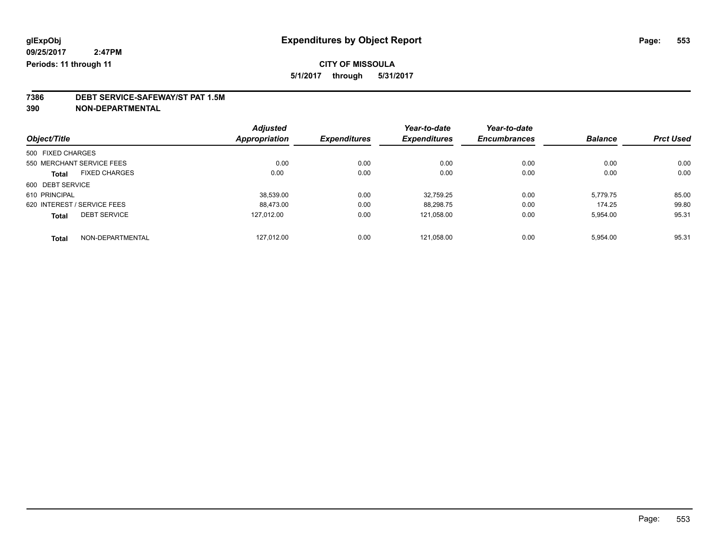### **CITY OF MISSOULA**

**5/1/2017 through 5/31/2017**

# **7386 DEBT SERVICE-SAFEWAY/ST PAT 1.5M**

**390 NON-DEPARTMENTAL**

|                   |                             | <b>Adjusted</b>      |                     | Year-to-date        | Year-to-date        |                |                  |
|-------------------|-----------------------------|----------------------|---------------------|---------------------|---------------------|----------------|------------------|
| Object/Title      |                             | <b>Appropriation</b> | <b>Expenditures</b> | <b>Expenditures</b> | <b>Encumbrances</b> | <b>Balance</b> | <b>Prct Used</b> |
| 500 FIXED CHARGES |                             |                      |                     |                     |                     |                |                  |
|                   | 550 MERCHANT SERVICE FEES   | 0.00                 | 0.00                | 0.00                | 0.00                | 0.00           | 0.00             |
| Total             | <b>FIXED CHARGES</b>        | 0.00                 | 0.00                | 0.00                | 0.00                | 0.00           | 0.00             |
| 600 DEBT SERVICE  |                             |                      |                     |                     |                     |                |                  |
| 610 PRINCIPAL     |                             | 38.539.00            | 0.00                | 32.759.25           | 0.00                | 5,779.75       | 85.00            |
|                   | 620 INTEREST / SERVICE FEES | 88.473.00            | 0.00                | 88.298.75           | 0.00                | 174.25         | 99.80            |
| <b>Total</b>      | <b>DEBT SERVICE</b>         | 127.012.00           | 0.00                | 121,058.00          | 0.00                | 5,954.00       | 95.31            |
| <b>Total</b>      | NON-DEPARTMENTAL            | 127.012.00           | 0.00                | 121.058.00          | 0.00                | 5.954.00       | 95.31            |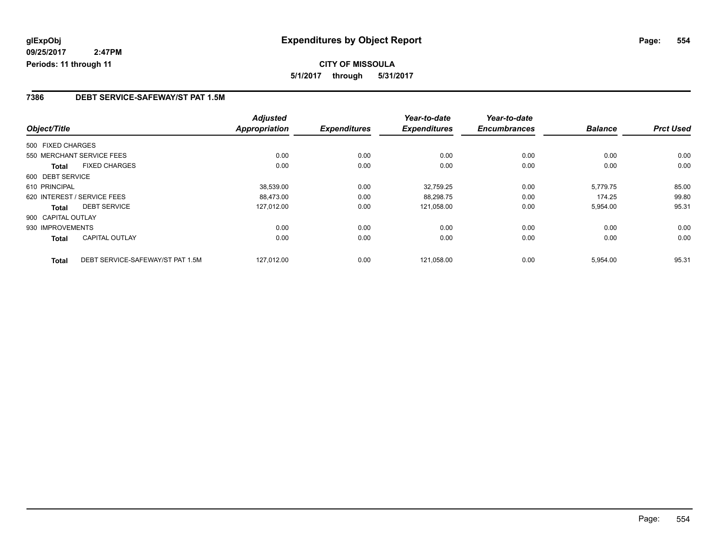### **7386 DEBT SERVICE-SAFEWAY/ST PAT 1.5M**

|                    |                                  | <b>Adjusted</b>      |                     | Year-to-date        | Year-to-date        |                |                  |
|--------------------|----------------------------------|----------------------|---------------------|---------------------|---------------------|----------------|------------------|
| Object/Title       |                                  | <b>Appropriation</b> | <b>Expenditures</b> | <b>Expenditures</b> | <b>Encumbrances</b> | <b>Balance</b> | <b>Prct Used</b> |
| 500 FIXED CHARGES  |                                  |                      |                     |                     |                     |                |                  |
|                    | 550 MERCHANT SERVICE FEES        | 0.00                 | 0.00                | 0.00                | 0.00                | 0.00           | 0.00             |
| Total              | <b>FIXED CHARGES</b>             | 0.00                 | 0.00                | 0.00                | 0.00                | 0.00           | 0.00             |
| 600 DEBT SERVICE   |                                  |                      |                     |                     |                     |                |                  |
| 610 PRINCIPAL      |                                  | 38,539.00            | 0.00                | 32,759.25           | 0.00                | 5,779.75       | 85.00            |
|                    | 620 INTEREST / SERVICE FEES      | 88,473.00            | 0.00                | 88,298.75           | 0.00                | 174.25         | 99.80            |
| <b>Total</b>       | <b>DEBT SERVICE</b>              | 127,012.00           | 0.00                | 121,058.00          | 0.00                | 5,954.00       | 95.31            |
| 900 CAPITAL OUTLAY |                                  |                      |                     |                     |                     |                |                  |
| 930 IMPROVEMENTS   |                                  | 0.00                 | 0.00                | 0.00                | 0.00                | 0.00           | 0.00             |
| Total              | <b>CAPITAL OUTLAY</b>            | 0.00                 | 0.00                | 0.00                | 0.00                | 0.00           | 0.00             |
| <b>Total</b>       | DEBT SERVICE-SAFEWAY/ST PAT 1.5M | 127.012.00           | 0.00                | 121,058.00          | 0.00                | 5,954.00       | 95.31            |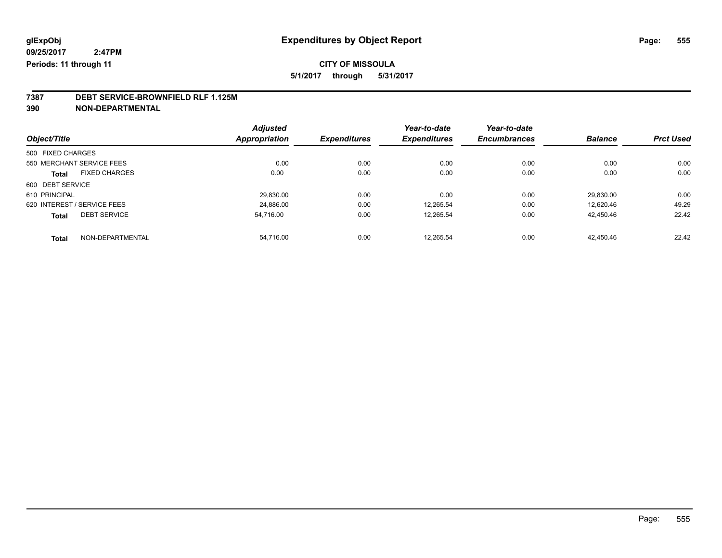### **CITY OF MISSOULA**

**5/1/2017 through 5/31/2017**

### **7387 DEBT SERVICE-BROWNFIELD RLF 1.125M**

**390 NON-DEPARTMENTAL**

| Object/Title      |                             | <b>Adjusted</b><br>Appropriation | <b>Expenditures</b> | Year-to-date<br><b>Expenditures</b> | Year-to-date<br><b>Encumbrances</b> | <b>Balance</b> | <b>Prct Used</b> |
|-------------------|-----------------------------|----------------------------------|---------------------|-------------------------------------|-------------------------------------|----------------|------------------|
|                   |                             |                                  |                     |                                     |                                     |                |                  |
| 500 FIXED CHARGES |                             |                                  |                     |                                     |                                     |                |                  |
|                   | 550 MERCHANT SERVICE FEES   | 0.00                             | 0.00                | 0.00                                | 0.00                                | 0.00           | 0.00             |
| <b>Total</b>      | <b>FIXED CHARGES</b>        | 0.00                             | 0.00                | 0.00                                | 0.00                                | 0.00           | 0.00             |
| 600 DEBT SERVICE  |                             |                                  |                     |                                     |                                     |                |                  |
| 610 PRINCIPAL     |                             | 29,830.00                        | 0.00                | 0.00                                | 0.00                                | 29.830.00      | 0.00             |
|                   | 620 INTEREST / SERVICE FEES | 24.886.00                        | 0.00                | 12.265.54                           | 0.00                                | 12.620.46      | 49.29            |
| <b>Total</b>      | <b>DEBT SERVICE</b>         | 54.716.00                        | 0.00                | 12,265.54                           | 0.00                                | 42,450.46      | 22.42            |
| <b>Total</b>      | NON-DEPARTMENTAL            | 54.716.00                        | 0.00                | 12.265.54                           | 0.00                                | 42.450.46      | 22.42            |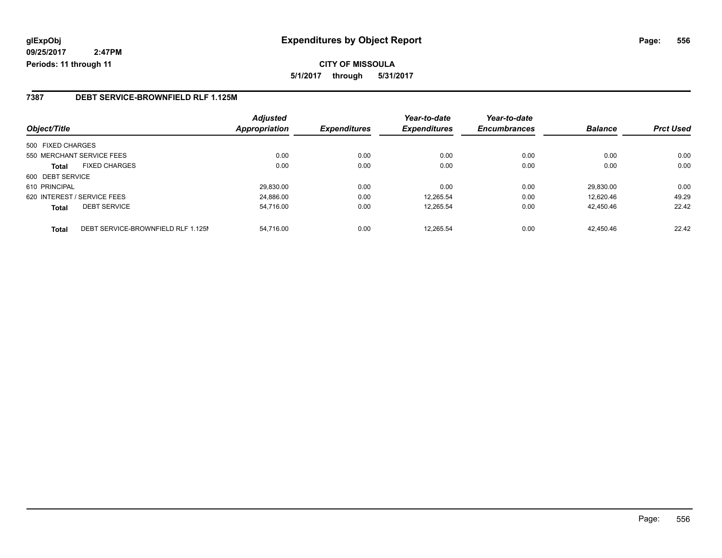**CITY OF MISSOULA 5/1/2017 through 5/31/2017**

### **7387 DEBT SERVICE-BROWNFIELD RLF 1.125M**

| Object/Title                                       | <b>Adjusted</b><br><b>Appropriation</b> | <b>Expenditures</b> | Year-to-date<br><b>Expenditures</b> | Year-to-date<br><b>Encumbrances</b> | <b>Balance</b> | <b>Prct Used</b> |
|----------------------------------------------------|-----------------------------------------|---------------------|-------------------------------------|-------------------------------------|----------------|------------------|
|                                                    |                                         |                     |                                     |                                     |                |                  |
| 500 FIXED CHARGES                                  |                                         |                     |                                     |                                     |                |                  |
| 550 MERCHANT SERVICE FEES                          | 0.00                                    | 0.00                | 0.00                                | 0.00                                | 0.00           | 0.00             |
| <b>FIXED CHARGES</b><br><b>Total</b>               | 0.00                                    | 0.00                | 0.00                                | 0.00                                | 0.00           | 0.00             |
| 600 DEBT SERVICE                                   |                                         |                     |                                     |                                     |                |                  |
| 610 PRINCIPAL                                      | 29.830.00                               | 0.00                | 0.00                                | 0.00                                | 29,830.00      | 0.00             |
| 620 INTEREST / SERVICE FEES                        | 24.886.00                               | 0.00                | 12.265.54                           | 0.00                                | 12.620.46      | 49.29            |
| <b>DEBT SERVICE</b><br><b>Total</b>                | 54,716.00                               | 0.00                | 12,265.54                           | 0.00                                | 42.450.46      | 22.42            |
| DEBT SERVICE-BROWNFIELD RLF 1.125M<br><b>Total</b> | 54.716.00                               | 0.00                | 12.265.54                           | 0.00                                | 42.450.46      | 22.42            |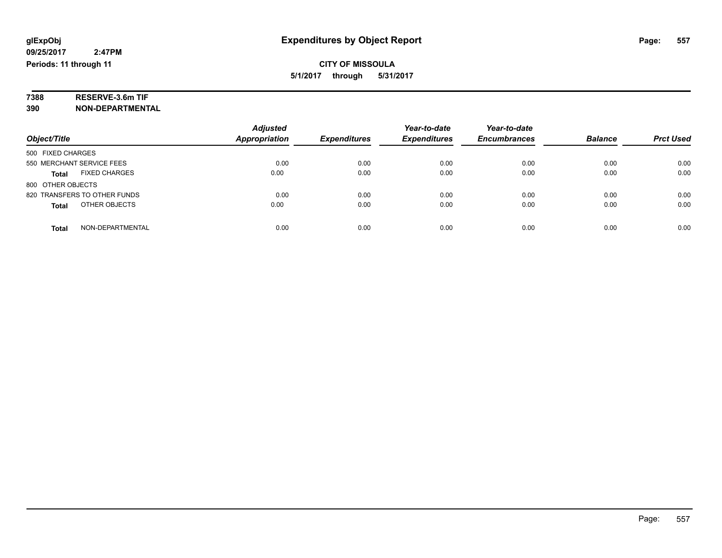# **7388 RESERVE-3.6m TIF**

**390 NON-DEPARTMENTAL**

|                                      | <b>Adjusted</b>      |                     | Year-to-date        | Year-to-date        |                |                  |
|--------------------------------------|----------------------|---------------------|---------------------|---------------------|----------------|------------------|
| Object/Title                         | <b>Appropriation</b> | <b>Expenditures</b> | <b>Expenditures</b> | <b>Encumbrances</b> | <b>Balance</b> | <b>Prct Used</b> |
| 500 FIXED CHARGES                    |                      |                     |                     |                     |                |                  |
| 550 MERCHANT SERVICE FEES            | 0.00                 | 0.00                | 0.00                | 0.00                | 0.00           | 0.00             |
| <b>FIXED CHARGES</b><br><b>Total</b> | 0.00                 | 0.00                | 0.00                | 0.00                | 0.00           | 0.00             |
| 800 OTHER OBJECTS                    |                      |                     |                     |                     |                |                  |
| 820 TRANSFERS TO OTHER FUNDS         | 0.00                 | 0.00                | 0.00                | 0.00                | 0.00           | 0.00             |
| OTHER OBJECTS<br><b>Total</b>        | 0.00                 | 0.00                | 0.00                | 0.00                | 0.00           | 0.00             |
| NON-DEPARTMENTAL<br>Total            | 0.00                 | 0.00                | 0.00                | 0.00                | 0.00           | 0.00             |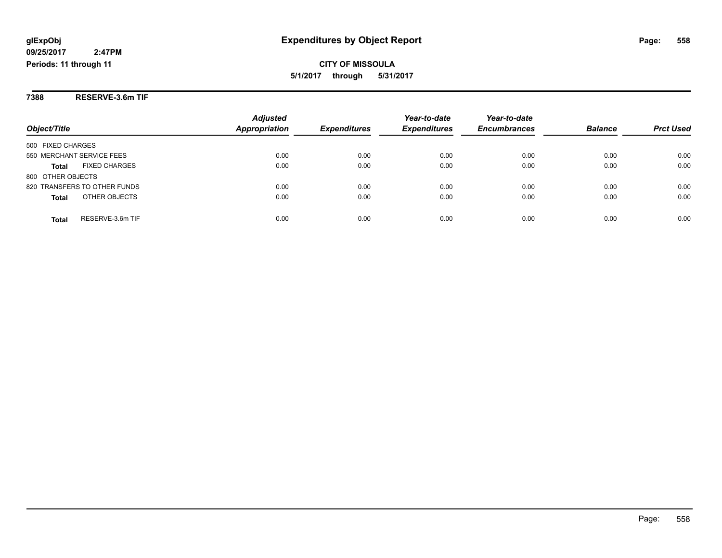**7388 RESERVE-3.6m TIF**

|                                      | <b>Adjusted</b>      |                     | Year-to-date        | Year-to-date        |                |                  |
|--------------------------------------|----------------------|---------------------|---------------------|---------------------|----------------|------------------|
| Object/Title                         | <b>Appropriation</b> | <b>Expenditures</b> | <b>Expenditures</b> | <b>Encumbrances</b> | <b>Balance</b> | <b>Prct Used</b> |
| 500 FIXED CHARGES                    |                      |                     |                     |                     |                |                  |
| 550 MERCHANT SERVICE FEES            | 0.00                 | 0.00                | 0.00                | 0.00                | 0.00           | 0.00             |
| <b>FIXED CHARGES</b><br><b>Total</b> | 0.00                 | 0.00                | 0.00                | 0.00                | 0.00           | 0.00             |
| 800 OTHER OBJECTS                    |                      |                     |                     |                     |                |                  |
| 820 TRANSFERS TO OTHER FUNDS         | 0.00                 | 0.00                | 0.00                | 0.00                | 0.00           | 0.00             |
| OTHER OBJECTS<br><b>Total</b>        | 0.00                 | 0.00                | 0.00                | 0.00                | 0.00           | 0.00             |
| RESERVE-3.6m TIF<br><b>Total</b>     | 0.00                 | 0.00                | 0.00                | 0.00                | 0.00           | 0.00             |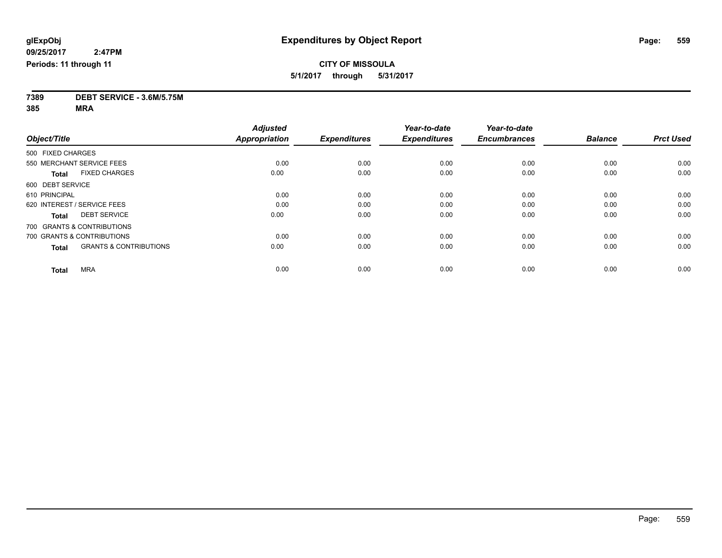**7389 DEBT SERVICE - 3.6M/5.75M**

**385 MRA**

|                                                   | <b>Adjusted</b>      |                     | Year-to-date        | Year-to-date        |                |                  |
|---------------------------------------------------|----------------------|---------------------|---------------------|---------------------|----------------|------------------|
| Object/Title                                      | <b>Appropriation</b> | <b>Expenditures</b> | <b>Expenditures</b> | <b>Encumbrances</b> | <b>Balance</b> | <b>Prct Used</b> |
| 500 FIXED CHARGES                                 |                      |                     |                     |                     |                |                  |
| 550 MERCHANT SERVICE FEES                         | 0.00                 | 0.00                | 0.00                | 0.00                | 0.00           | 0.00             |
| <b>FIXED CHARGES</b><br><b>Total</b>              | 0.00                 | 0.00                | 0.00                | 0.00                | 0.00           | 0.00             |
| 600 DEBT SERVICE                                  |                      |                     |                     |                     |                |                  |
| 610 PRINCIPAL                                     | 0.00                 | 0.00                | 0.00                | 0.00                | 0.00           | 0.00             |
| 620 INTEREST / SERVICE FEES                       | 0.00                 | 0.00                | 0.00                | 0.00                | 0.00           | 0.00             |
| <b>DEBT SERVICE</b><br><b>Total</b>               | 0.00                 | 0.00                | 0.00                | 0.00                | 0.00           | 0.00             |
| 700 GRANTS & CONTRIBUTIONS                        |                      |                     |                     |                     |                |                  |
| 700 GRANTS & CONTRIBUTIONS                        | 0.00                 | 0.00                | 0.00                | 0.00                | 0.00           | 0.00             |
| <b>GRANTS &amp; CONTRIBUTIONS</b><br><b>Total</b> | 0.00                 | 0.00                | 0.00                | 0.00                | 0.00           | 0.00             |
|                                                   |                      |                     |                     |                     |                |                  |
| <b>MRA</b><br><b>Total</b>                        | 0.00                 | 0.00                | 0.00                | 0.00                | 0.00           | 0.00             |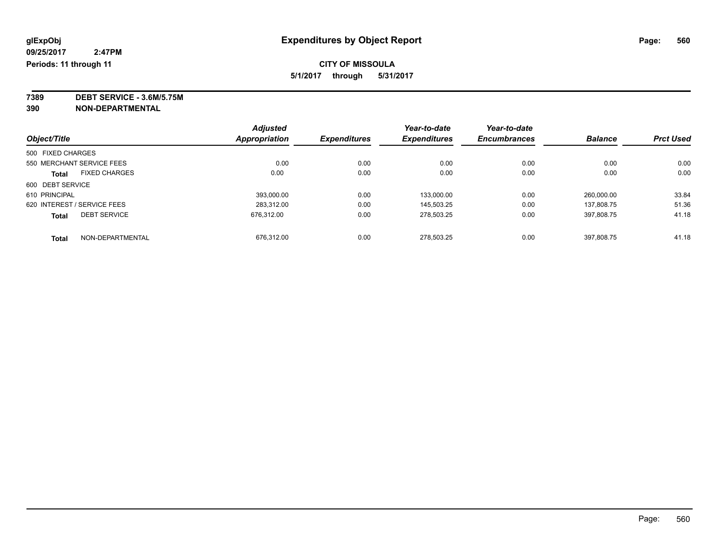### **CITY OF MISSOULA**

**5/1/2017 through 5/31/2017**

**7389 DEBT SERVICE - 3.6M/5.75M**

**390 NON-DEPARTMENTAL**

|                   |                             | <b>Adjusted</b>      |                     | Year-to-date        | Year-to-date        |                |                  |
|-------------------|-----------------------------|----------------------|---------------------|---------------------|---------------------|----------------|------------------|
| Object/Title      |                             | <b>Appropriation</b> | <b>Expenditures</b> | <b>Expenditures</b> | <b>Encumbrances</b> | <b>Balance</b> | <b>Prct Used</b> |
| 500 FIXED CHARGES |                             |                      |                     |                     |                     |                |                  |
|                   | 550 MERCHANT SERVICE FEES   | 0.00                 | 0.00                | 0.00                | 0.00                | 0.00           | 0.00             |
| <b>Total</b>      | <b>FIXED CHARGES</b>        | 0.00                 | 0.00                | 0.00                | 0.00                | 0.00           | 0.00             |
| 600 DEBT SERVICE  |                             |                      |                     |                     |                     |                |                  |
| 610 PRINCIPAL     |                             | 393,000.00           | 0.00                | 133,000.00          | 0.00                | 260.000.00     | 33.84            |
|                   | 620 INTEREST / SERVICE FEES | 283.312.00           | 0.00                | 145.503.25          | 0.00                | 137.808.75     | 51.36            |
| <b>Total</b>      | <b>DEBT SERVICE</b>         | 676.312.00           | 0.00                | 278.503.25          | 0.00                | 397.808.75     | 41.18            |
| <b>Total</b>      | NON-DEPARTMENTAL            | 676.312.00           | 0.00                | 278.503.25          | 0.00                | 397.808.75     | 41.18            |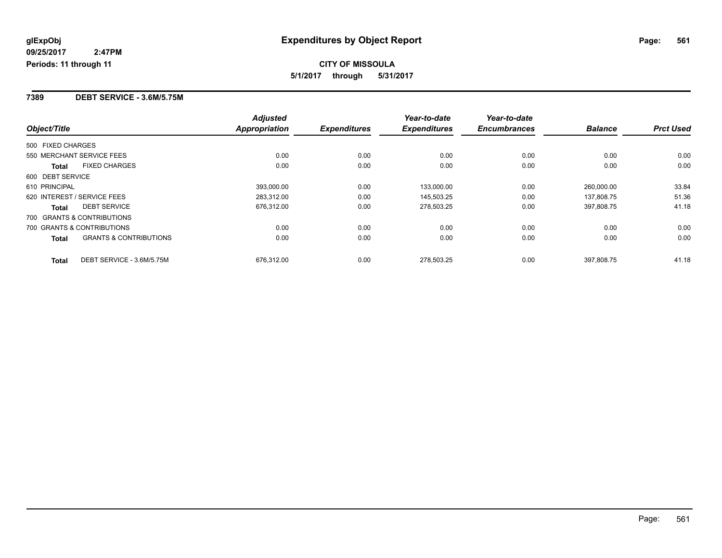**7389 DEBT SERVICE - 3.6M/5.75M**

|                                            | <b>Adjusted</b>      |                     | Year-to-date        | Year-to-date        |                |                  |
|--------------------------------------------|----------------------|---------------------|---------------------|---------------------|----------------|------------------|
| Object/Title                               | <b>Appropriation</b> | <b>Expenditures</b> | <b>Expenditures</b> | <b>Encumbrances</b> | <b>Balance</b> | <b>Prct Used</b> |
| 500 FIXED CHARGES                          |                      |                     |                     |                     |                |                  |
| 550 MERCHANT SERVICE FEES                  | 0.00                 | 0.00                | 0.00                | 0.00                | 0.00           | 0.00             |
| <b>FIXED CHARGES</b><br>Total              | 0.00                 | 0.00                | 0.00                | 0.00                | 0.00           | 0.00             |
| 600 DEBT SERVICE                           |                      |                     |                     |                     |                |                  |
| 610 PRINCIPAL                              | 393,000.00           | 0.00                | 133,000.00          | 0.00                | 260,000.00     | 33.84            |
| 620 INTEREST / SERVICE FEES                | 283,312.00           | 0.00                | 145,503.25          | 0.00                | 137,808.75     | 51.36            |
| <b>DEBT SERVICE</b><br><b>Total</b>        | 676,312.00           | 0.00                | 278,503.25          | 0.00                | 397,808.75     | 41.18            |
| 700 GRANTS & CONTRIBUTIONS                 |                      |                     |                     |                     |                |                  |
| 700 GRANTS & CONTRIBUTIONS                 | 0.00                 | 0.00                | 0.00                | 0.00                | 0.00           | 0.00             |
| <b>GRANTS &amp; CONTRIBUTIONS</b><br>Total | 0.00                 | 0.00                | 0.00                | 0.00                | 0.00           | 0.00             |
| DEBT SERVICE - 3.6M/5.75M<br><b>Total</b>  | 676,312.00           | 0.00                | 278.503.25          | 0.00                | 397.808.75     | 41.18            |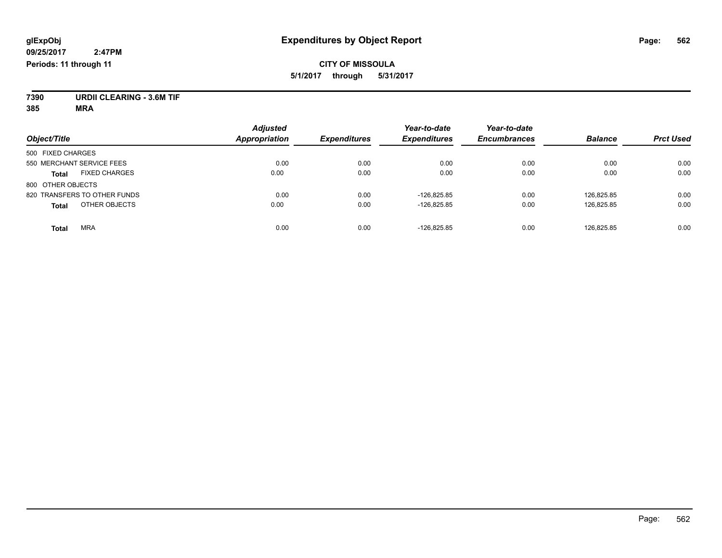### **CITY OF MISSOULA 5/1/2017 through 5/31/2017**

**7390 URDII CLEARING - 3.6M TIF**

**385 MRA**

| Object/Title                         | <b>Adjusted</b><br><b>Appropriation</b> | <b>Expenditures</b> | Year-to-date<br><b>Expenditures</b> | Year-to-date<br><b>Encumbrances</b> | <b>Balance</b> | <b>Prct Used</b> |
|--------------------------------------|-----------------------------------------|---------------------|-------------------------------------|-------------------------------------|----------------|------------------|
| 500 FIXED CHARGES                    |                                         |                     |                                     |                                     |                |                  |
| 550 MERCHANT SERVICE FEES            | 0.00                                    | 0.00                | 0.00                                | 0.00                                | 0.00           | 0.00             |
| <b>FIXED CHARGES</b><br><b>Total</b> | 0.00                                    | 0.00                | 0.00                                | 0.00                                | 0.00           | 0.00             |
| 800 OTHER OBJECTS                    |                                         |                     |                                     |                                     |                |                  |
| 820 TRANSFERS TO OTHER FUNDS         | 0.00                                    | 0.00                | $-126.825.85$                       | 0.00                                | 126.825.85     | 0.00             |
| OTHER OBJECTS<br><b>Total</b>        | 0.00                                    | 0.00                | $-126,825.85$                       | 0.00                                | 126,825.85     | 0.00             |
| <b>MRA</b><br>Total                  | 0.00                                    | 0.00                | $-126.825.85$                       | 0.00                                | 126.825.85     | 0.00             |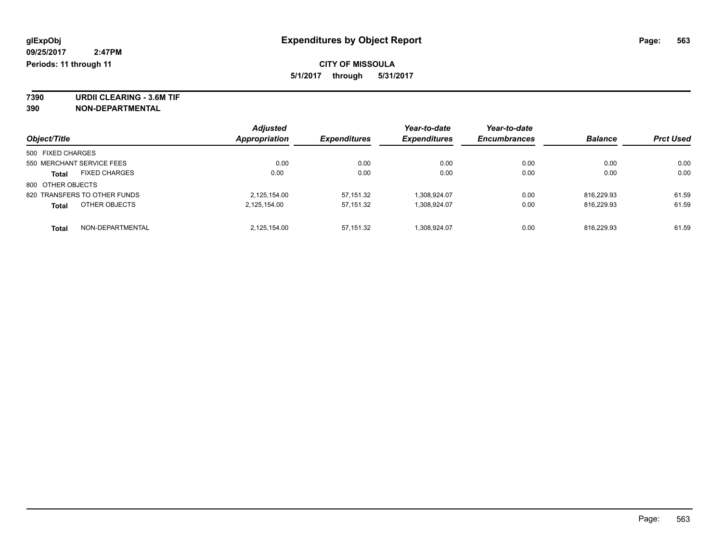**7390 URDII CLEARING - 3.6M TIF 390 NON-DEPARTMENTAL**

|                                      |  | <b>Adjusted</b>      |                            | Year-to-date        | Year-to-date        |                |                  |
|--------------------------------------|--|----------------------|----------------------------|---------------------|---------------------|----------------|------------------|
| Object/Title                         |  | <b>Appropriation</b> | <i><b>Expenditures</b></i> | <b>Expenditures</b> | <b>Encumbrances</b> | <b>Balance</b> | <b>Prct Used</b> |
| 500 FIXED CHARGES                    |  |                      |                            |                     |                     |                |                  |
| 550 MERCHANT SERVICE FEES            |  | 0.00                 | 0.00                       | 0.00                | 0.00                | 0.00           | 0.00             |
| <b>FIXED CHARGES</b><br><b>Total</b> |  | 0.00                 | 0.00                       | 0.00                | 0.00                | 0.00           | 0.00             |
| 800 OTHER OBJECTS                    |  |                      |                            |                     |                     |                |                  |
| 820 TRANSFERS TO OTHER FUNDS         |  | 2,125,154.00         | 57,151.32                  | 1,308,924.07        | 0.00                | 816.229.93     | 61.59            |
| OTHER OBJECTS<br><b>Total</b>        |  | 2,125,154.00         | 57,151.32                  | 1,308,924.07        | 0.00                | 816.229.93     | 61.59            |
| NON-DEPARTMENTAL<br><b>Total</b>     |  | 2.125.154.00         | 57,151.32                  | 1.308.924.07        | 0.00                | 816.229.93     | 61.59            |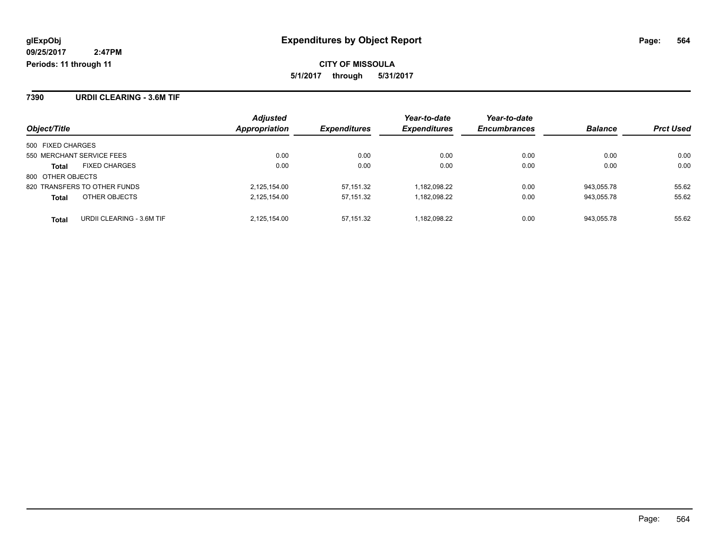**7390 URDII CLEARING - 3.6M TIF**

|                                           | <b>Adjusted</b>      |                     | Year-to-date        | Year-to-date        |                |                  |
|-------------------------------------------|----------------------|---------------------|---------------------|---------------------|----------------|------------------|
| Object/Title                              | <b>Appropriation</b> | <b>Expenditures</b> | <b>Expenditures</b> | <b>Encumbrances</b> | <b>Balance</b> | <b>Prct Used</b> |
| 500 FIXED CHARGES                         |                      |                     |                     |                     |                |                  |
| 550 MERCHANT SERVICE FEES                 | 0.00                 | 0.00                | 0.00                | 0.00                | 0.00           | 0.00             |
| <b>FIXED CHARGES</b><br>Total             | 0.00                 | 0.00                | 0.00                | 0.00                | 0.00           | 0.00             |
| 800 OTHER OBJECTS                         |                      |                     |                     |                     |                |                  |
| 820 TRANSFERS TO OTHER FUNDS              | 2,125,154.00         | 57.151.32           | 1.182.098.22        | 0.00                | 943.055.78     | 55.62            |
| OTHER OBJECTS<br><b>Total</b>             | 2,125,154.00         | 57,151.32           | 1,182,098.22        | 0.00                | 943,055.78     | 55.62            |
| URDII CLEARING - 3.6M TIF<br><b>Total</b> | 2.125.154.00         | 57.151.32           | 1.182.098.22        | 0.00                | 943.055.78     | 55.62            |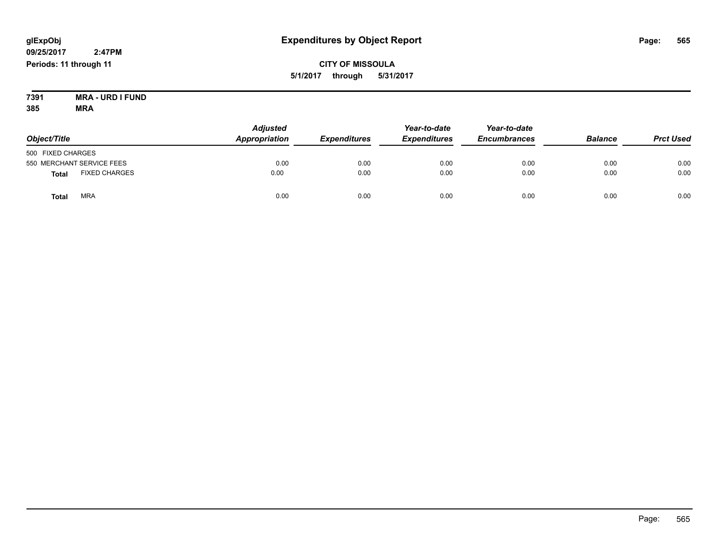**CITY OF MISSOULA 5/1/2017 through 5/31/2017**

**7391 MRA - URD I FUND 385 MRA**

| Object/Title                         | <b>Adjusted</b><br>Appropriation | <b>Expenditures</b> | Year-to-date<br><b>Expenditures</b> | Year-to-date<br><b>Encumbrances</b> | <b>Balance</b> | <b>Prct Used</b> |
|--------------------------------------|----------------------------------|---------------------|-------------------------------------|-------------------------------------|----------------|------------------|
| 500 FIXED CHARGES                    |                                  |                     |                                     |                                     |                |                  |
| 550 MERCHANT SERVICE FEES            | 0.00                             | 0.00                | 0.00                                | 0.00                                | 0.00           | 0.00             |
| <b>FIXED CHARGES</b><br><b>Total</b> | 0.00                             | 0.00                | 0.00                                | 0.00                                | 0.00           | 0.00             |
| <b>MRA</b><br><b>Total</b>           | 0.00                             | 0.00                | 0.00                                | 0.00                                | 0.00           | 0.00             |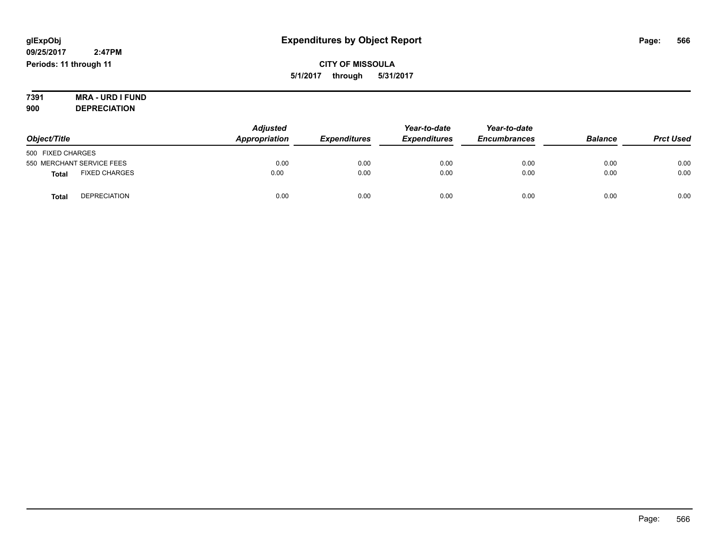**7391 MRA - URD I FUND 900 DEPRECIATION**

| Object/Title                         | <b>Adjusted</b><br><b>Appropriation</b> | <b>Expenditures</b> | Year-to-date<br><b>Expenditures</b> | Year-to-date<br><b>Encumbrances</b> | <b>Balance</b> | <b>Prct Used</b> |
|--------------------------------------|-----------------------------------------|---------------------|-------------------------------------|-------------------------------------|----------------|------------------|
| 500 FIXED CHARGES                    |                                         |                     |                                     |                                     |                |                  |
| 550 MERCHANT SERVICE FEES            | 0.00                                    | 0.00                | 0.00                                | 0.00                                | 0.00           | 0.00             |
| <b>FIXED CHARGES</b><br><b>Total</b> | 0.00                                    | 0.00                | 0.00                                | 0.00                                | 0.00           | 0.00             |
| <b>DEPRECIATION</b><br><b>Total</b>  | 0.00                                    | 0.00                | 0.00                                | 0.00                                | 0.00           | 0.00             |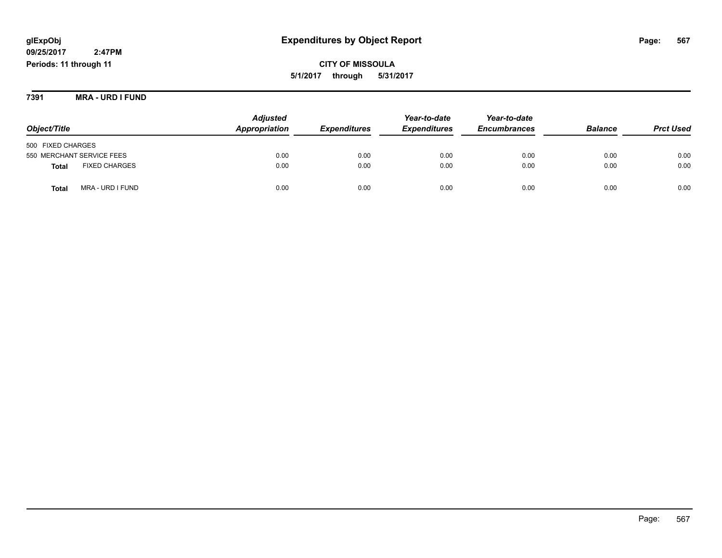**CITY OF MISSOULA 5/1/2017 through 5/31/2017**

**7391 MRA - URD I FUND**

|                                      | <b>Adjusted</b> |                            | Year-to-date        | Year-to-date        |                |                  |
|--------------------------------------|-----------------|----------------------------|---------------------|---------------------|----------------|------------------|
| Object/Title                         | Appropriation   | <i><b>Expenditures</b></i> | <b>Expenditures</b> | <b>Encumbrances</b> | <b>Balance</b> | <b>Prct Used</b> |
| 500 FIXED CHARGES                    |                 |                            |                     |                     |                |                  |
| 550 MERCHANT SERVICE FEES            | 0.00            | 0.00                       | 0.00                | 0.00                | 0.00           | 0.00             |
| <b>FIXED CHARGES</b><br><b>Total</b> | 0.00            | 0.00                       | 0.00                | 0.00                | 0.00           | 0.00             |
| MRA - URD I FUND<br>Total            | 0.00            | 0.00                       | 0.00                | 0.00                | 0.00           | 0.00             |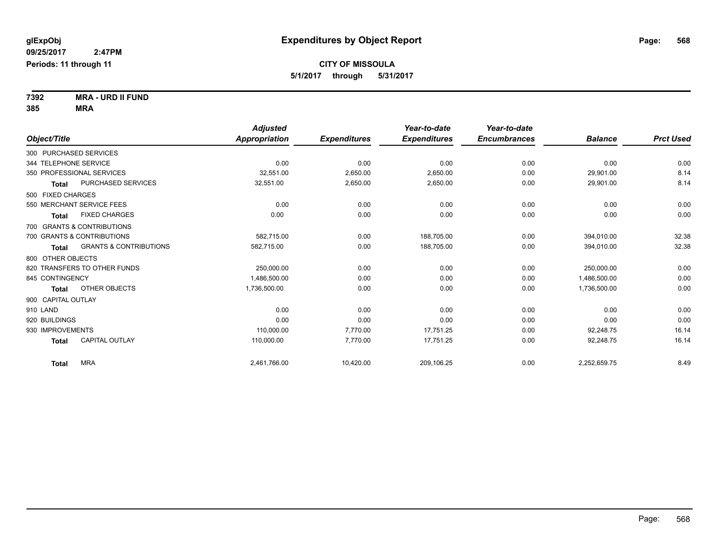**7392 MRA - URD II FUND 385 MRA**

|                        |                                   | <b>Adjusted</b> |                     | Year-to-date        | Year-to-date        |                |                  |
|------------------------|-----------------------------------|-----------------|---------------------|---------------------|---------------------|----------------|------------------|
| Object/Title           |                                   | Appropriation   | <b>Expenditures</b> | <b>Expenditures</b> | <b>Encumbrances</b> | <b>Balance</b> | <b>Prct Used</b> |
| 300 PURCHASED SERVICES |                                   |                 |                     |                     |                     |                |                  |
| 344 TELEPHONE SERVICE  |                                   | 0.00            | 0.00                | 0.00                | 0.00                | 0.00           | 0.00             |
|                        | 350 PROFESSIONAL SERVICES         | 32,551.00       | 2,650.00            | 2,650.00            | 0.00                | 29,901.00      | 8.14             |
| <b>Total</b>           | PURCHASED SERVICES                | 32,551.00       | 2,650.00            | 2,650.00            | 0.00                | 29,901.00      | 8.14             |
| 500 FIXED CHARGES      |                                   |                 |                     |                     |                     |                |                  |
|                        | 550 MERCHANT SERVICE FEES         | 0.00            | 0.00                | 0.00                | 0.00                | 0.00           | 0.00             |
| <b>Total</b>           | <b>FIXED CHARGES</b>              | 0.00            | 0.00                | 0.00                | 0.00                | 0.00           | 0.00             |
|                        | 700 GRANTS & CONTRIBUTIONS        |                 |                     |                     |                     |                |                  |
|                        | 700 GRANTS & CONTRIBUTIONS        | 582.715.00      | 0.00                | 188,705.00          | 0.00                | 394,010.00     | 32.38            |
| <b>Total</b>           | <b>GRANTS &amp; CONTRIBUTIONS</b> | 582,715.00      | 0.00                | 188,705.00          | 0.00                | 394,010.00     | 32.38            |
| 800 OTHER OBJECTS      |                                   |                 |                     |                     |                     |                |                  |
|                        | 820 TRANSFERS TO OTHER FUNDS      | 250,000.00      | 0.00                | 0.00                | 0.00                | 250.000.00     | 0.00             |
| 845 CONTINGENCY        |                                   | 1,486,500.00    | 0.00                | 0.00                | 0.00                | 1,486,500.00   | 0.00             |
| <b>Total</b>           | OTHER OBJECTS                     | 1,736,500.00    | 0.00                | 0.00                | 0.00                | 1,736,500.00   | 0.00             |
| 900 CAPITAL OUTLAY     |                                   |                 |                     |                     |                     |                |                  |
| 910 LAND               |                                   | 0.00            | 0.00                | 0.00                | 0.00                | 0.00           | 0.00             |
| 920 BUILDINGS          |                                   | 0.00            | 0.00                | 0.00                | 0.00                | 0.00           | 0.00             |
| 930 IMPROVEMENTS       |                                   | 110,000.00      | 7,770.00            | 17.751.25           | 0.00                | 92,248.75      | 16.14            |
| <b>Total</b>           | <b>CAPITAL OUTLAY</b>             | 110,000.00      | 7,770.00            | 17,751.25           | 0.00                | 92,248.75      | 16.14            |
| <b>Total</b>           | <b>MRA</b>                        | 2,461,766.00    | 10,420.00           | 209,106.25          | 0.00                | 2,252,659.75   | 8.49             |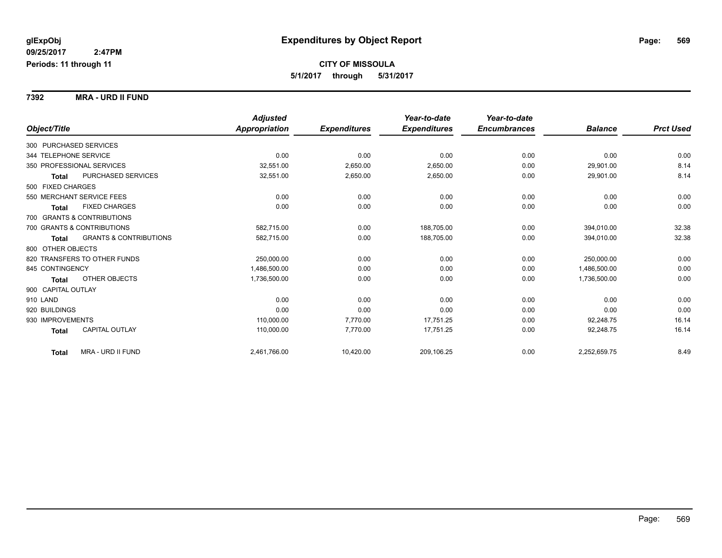**7392 MRA - URD II FUND**

|                        |                                   | <b>Adjusted</b>      |                     | Year-to-date        | Year-to-date        |                |                  |
|------------------------|-----------------------------------|----------------------|---------------------|---------------------|---------------------|----------------|------------------|
| Object/Title           |                                   | <b>Appropriation</b> | <b>Expenditures</b> | <b>Expenditures</b> | <b>Encumbrances</b> | <b>Balance</b> | <b>Prct Used</b> |
| 300 PURCHASED SERVICES |                                   |                      |                     |                     |                     |                |                  |
| 344 TELEPHONE SERVICE  |                                   | 0.00                 | 0.00                | 0.00                | 0.00                | 0.00           | 0.00             |
|                        | 350 PROFESSIONAL SERVICES         | 32,551.00            | 2,650.00            | 2,650.00            | 0.00                | 29,901.00      | 8.14             |
| <b>Total</b>           | PURCHASED SERVICES                | 32,551.00            | 2,650.00            | 2,650.00            | 0.00                | 29,901.00      | 8.14             |
| 500 FIXED CHARGES      |                                   |                      |                     |                     |                     |                |                  |
|                        | 550 MERCHANT SERVICE FEES         | 0.00                 | 0.00                | 0.00                | 0.00                | 0.00           | 0.00             |
| Total                  | <b>FIXED CHARGES</b>              | 0.00                 | 0.00                | 0.00                | 0.00                | 0.00           | 0.00             |
|                        | 700 GRANTS & CONTRIBUTIONS        |                      |                     |                     |                     |                |                  |
|                        | 700 GRANTS & CONTRIBUTIONS        | 582,715.00           | 0.00                | 188,705.00          | 0.00                | 394,010.00     | 32.38            |
| Total                  | <b>GRANTS &amp; CONTRIBUTIONS</b> | 582,715.00           | 0.00                | 188,705.00          | 0.00                | 394,010.00     | 32.38            |
| 800 OTHER OBJECTS      |                                   |                      |                     |                     |                     |                |                  |
|                        | 820 TRANSFERS TO OTHER FUNDS      | 250,000.00           | 0.00                | 0.00                | 0.00                | 250,000.00     | 0.00             |
| 845 CONTINGENCY        |                                   | 1,486,500.00         | 0.00                | 0.00                | 0.00                | 1,486,500.00   | 0.00             |
| <b>Total</b>           | OTHER OBJECTS                     | 1,736,500.00         | 0.00                | 0.00                | 0.00                | 1,736,500.00   | 0.00             |
| 900 CAPITAL OUTLAY     |                                   |                      |                     |                     |                     |                |                  |
| 910 LAND               |                                   | 0.00                 | 0.00                | 0.00                | 0.00                | 0.00           | 0.00             |
| 920 BUILDINGS          |                                   | 0.00                 | 0.00                | 0.00                | 0.00                | 0.00           | 0.00             |
| 930 IMPROVEMENTS       |                                   | 110,000.00           | 7,770.00            | 17,751.25           | 0.00                | 92,248.75      | 16.14            |
| <b>Total</b>           | CAPITAL OUTLAY                    | 110,000.00           | 7,770.00            | 17,751.25           | 0.00                | 92,248.75      | 16.14            |
| Total                  | MRA - URD II FUND                 | 2,461,766.00         | 10,420.00           | 209,106.25          | 0.00                | 2,252,659.75   | 8.49             |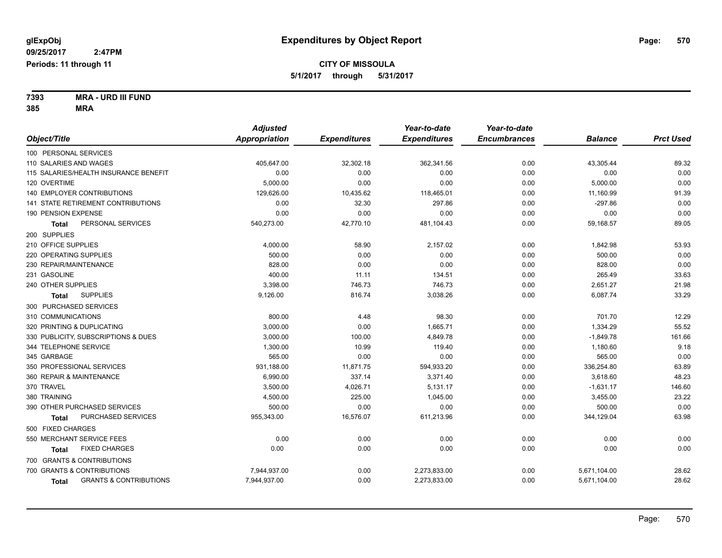**7393 MRA - URD III FUND 385 MRA**

|                                            | <b>Adjusted</b>      |                     | Year-to-date        | Year-to-date        |                |                  |
|--------------------------------------------|----------------------|---------------------|---------------------|---------------------|----------------|------------------|
| Object/Title                               | <b>Appropriation</b> | <b>Expenditures</b> | <b>Expenditures</b> | <b>Encumbrances</b> | <b>Balance</b> | <b>Prct Used</b> |
| 100 PERSONAL SERVICES                      |                      |                     |                     |                     |                |                  |
| 110 SALARIES AND WAGES                     | 405,647.00           | 32,302.18           | 362,341.56          | 0.00                | 43,305.44      | 89.32            |
| 115 SALARIES/HEALTH INSURANCE BENEFIT      | 0.00                 | 0.00                | 0.00                | 0.00                | 0.00           | 0.00             |
| 120 OVERTIME                               | 5,000.00             | 0.00                | 0.00                | 0.00                | 5,000.00       | 0.00             |
| <b>140 EMPLOYER CONTRIBUTIONS</b>          | 129,626.00           | 10,435.62           | 118,465.01          | 0.00                | 11,160.99      | 91.39            |
| 141 STATE RETIREMENT CONTRIBUTIONS         | 0.00                 | 32.30               | 297.86              | 0.00                | $-297.86$      | 0.00             |
| 190 PENSION EXPENSE                        | 0.00                 | 0.00                | 0.00                | 0.00                | 0.00           | 0.00             |
| PERSONAL SERVICES<br>Total                 | 540,273.00           | 42,770.10           | 481,104.43          | 0.00                | 59,168.57      | 89.05            |
| 200 SUPPLIES                               |                      |                     |                     |                     |                |                  |
| 210 OFFICE SUPPLIES                        | 4,000.00             | 58.90               | 2,157.02            | 0.00                | 1,842.98       | 53.93            |
| 220 OPERATING SUPPLIES                     | 500.00               | 0.00                | 0.00                | 0.00                | 500.00         | 0.00             |
| 230 REPAIR/MAINTENANCE                     | 828.00               | 0.00                | 0.00                | 0.00                | 828.00         | 0.00             |
| 231 GASOLINE                               | 400.00               | 11.11               | 134.51              | 0.00                | 265.49         | 33.63            |
| 240 OTHER SUPPLIES                         | 3,398.00             | 746.73              | 746.73              | 0.00                | 2,651.27       | 21.98            |
| <b>SUPPLIES</b><br><b>Total</b>            | 9,126.00             | 816.74              | 3,038.26            | 0.00                | 6,087.74       | 33.29            |
| 300 PURCHASED SERVICES                     |                      |                     |                     |                     |                |                  |
| 310 COMMUNICATIONS                         | 800.00               | 4.48                | 98.30               | 0.00                | 701.70         | 12.29            |
| 320 PRINTING & DUPLICATING                 | 3,000.00             | 0.00                | 1,665.71            | 0.00                | 1,334.29       | 55.52            |
| 330 PUBLICITY, SUBSCRIPTIONS & DUES        | 3,000.00             | 100.00              | 4,849.78            | 0.00                | $-1,849.78$    | 161.66           |
| 344 TELEPHONE SERVICE                      | 1,300.00             | 10.99               | 119.40              | 0.00                | 1,180.60       | 9.18             |
| 345 GARBAGE                                | 565.00               | 0.00                | 0.00                | 0.00                | 565.00         | 0.00             |
| 350 PROFESSIONAL SERVICES                  | 931,188.00           | 11,871.75           | 594,933.20          | 0.00                | 336,254.80     | 63.89            |
| 360 REPAIR & MAINTENANCE                   | 6,990.00             | 337.14              | 3,371.40            | 0.00                | 3,618.60       | 48.23            |
| 370 TRAVEL                                 | 3,500.00             | 4,026.71            | 5,131.17            | 0.00                | $-1,631.17$    | 146.60           |
| 380 TRAINING                               | 4,500.00             | 225.00              | 1,045.00            | 0.00                | 3,455.00       | 23.22            |
| 390 OTHER PURCHASED SERVICES               | 500.00               | 0.00                | 0.00                | 0.00                | 500.00         | 0.00             |
| PURCHASED SERVICES<br><b>Total</b>         | 955,343.00           | 16,576.07           | 611,213.96          | 0.00                | 344,129.04     | 63.98            |
| 500 FIXED CHARGES                          |                      |                     |                     |                     |                |                  |
| 550 MERCHANT SERVICE FEES                  | 0.00                 | 0.00                | 0.00                | 0.00                | 0.00           | 0.00             |
| <b>FIXED CHARGES</b><br>Total              | 0.00                 | 0.00                | 0.00                | 0.00                | 0.00           | 0.00             |
| 700 GRANTS & CONTRIBUTIONS                 |                      |                     |                     |                     |                |                  |
| 700 GRANTS & CONTRIBUTIONS                 | 7,944,937.00         | 0.00                | 2,273,833.00        | 0.00                | 5,671,104.00   | 28.62            |
| <b>GRANTS &amp; CONTRIBUTIONS</b><br>Total | 7,944,937.00         | 0.00                | 2,273,833.00        | 0.00                | 5,671,104.00   | 28.62            |
|                                            |                      |                     |                     |                     |                |                  |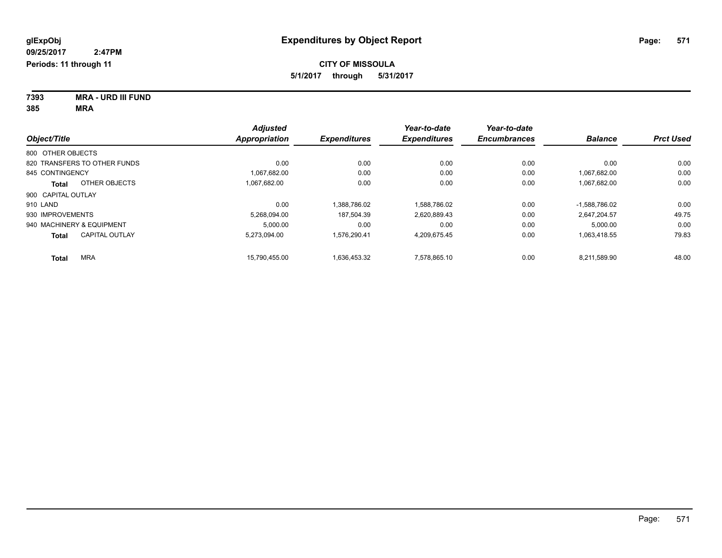| 7393 | <b>MRA - URD III FUND</b> |
|------|---------------------------|
| 385  | MRA                       |

|                                       | <b>Adjusted</b>      |                     | Year-to-date        | Year-to-date        |                |                  |
|---------------------------------------|----------------------|---------------------|---------------------|---------------------|----------------|------------------|
| Object/Title                          | <b>Appropriation</b> | <b>Expenditures</b> | <b>Expenditures</b> | <b>Encumbrances</b> | <b>Balance</b> | <b>Prct Used</b> |
| 800 OTHER OBJECTS                     |                      |                     |                     |                     |                |                  |
| 820 TRANSFERS TO OTHER FUNDS          | 0.00                 | 0.00                | 0.00                | 0.00                | 0.00           | 0.00             |
| 845 CONTINGENCY                       | 1,067,682.00         | 0.00                | 0.00                | 0.00                | 1,067,682.00   | 0.00             |
| OTHER OBJECTS<br>Total                | 1.067.682.00         | 0.00                | 0.00                | 0.00                | 1,067,682.00   | 0.00             |
| 900 CAPITAL OUTLAY                    |                      |                     |                     |                     |                |                  |
| 910 LAND                              | 0.00                 | 1.388.786.02        | 1.588.786.02        | 0.00                | -1.588.786.02  | 0.00             |
| 930 IMPROVEMENTS                      | 5.268.094.00         | 187.504.39          | 2,620,889.43        | 0.00                | 2.647.204.57   | 49.75            |
| 940 MACHINERY & EQUIPMENT             | 5.000.00             | 0.00                | 0.00                | 0.00                | 5.000.00       | 0.00             |
| <b>CAPITAL OUTLAY</b><br><b>Total</b> | 5.273.094.00         | 1.576.290.41        | 4,209,675.45        | 0.00                | 1,063,418.55   | 79.83            |
| <b>MRA</b><br><b>Total</b>            | 15.790.455.00        | 1.636.453.32        | 7.578.865.10        | 0.00                | 8.211.589.90   | 48.00            |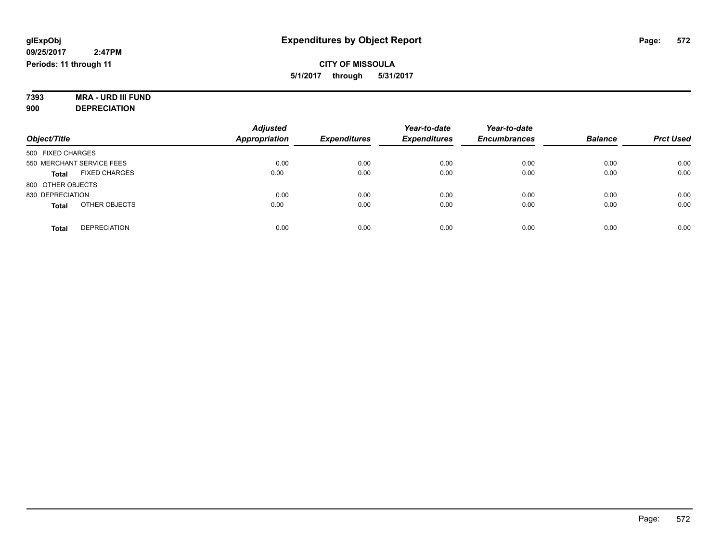#### **7393 MRA - URD III FUND 900 DEPRECIATION**

|                                      | <b>Adjusted</b>      |                     |                     | Year-to-date        |                |                  |
|--------------------------------------|----------------------|---------------------|---------------------|---------------------|----------------|------------------|
| Object/Title                         | <b>Appropriation</b> | <b>Expenditures</b> | <b>Expenditures</b> | <b>Encumbrances</b> | <b>Balance</b> | <b>Prct Used</b> |
| 500 FIXED CHARGES                    |                      |                     |                     |                     |                |                  |
| 550 MERCHANT SERVICE FEES            | 0.00                 | 0.00                | 0.00                | 0.00                | 0.00           | 0.00             |
| <b>FIXED CHARGES</b><br><b>Total</b> | 0.00                 | 0.00                | 0.00                | 0.00                | 0.00           | 0.00             |
| 800 OTHER OBJECTS                    |                      |                     |                     |                     |                |                  |
| 830 DEPRECIATION                     | 0.00                 | 0.00                | 0.00                | 0.00                | 0.00           | 0.00             |
| OTHER OBJECTS<br><b>Total</b>        | 0.00                 | 0.00                | 0.00                | 0.00                | 0.00           | 0.00             |
| <b>DEPRECIATION</b><br><b>Total</b>  | 0.00                 | 0.00                | 0.00                | 0.00                | 0.00           | 0.00             |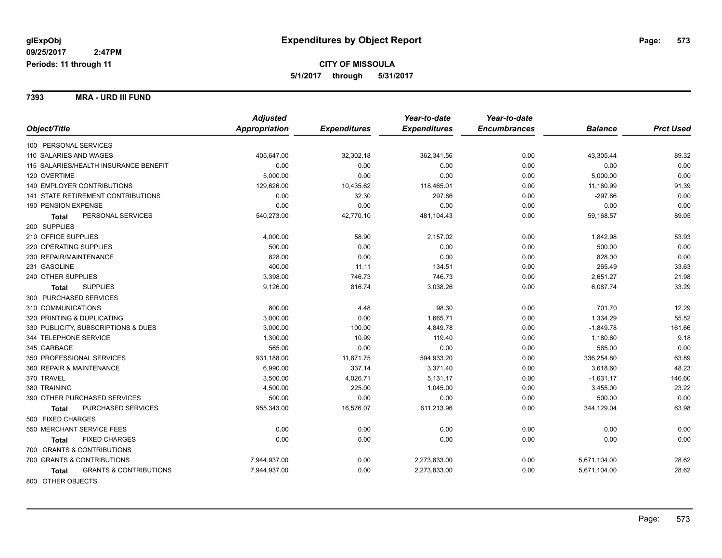**7393 MRA - URD III FUND**

|                                                   | <b>Adjusted</b> |                     | Year-to-date        | Year-to-date        |                |                  |
|---------------------------------------------------|-----------------|---------------------|---------------------|---------------------|----------------|------------------|
| Object/Title                                      | Appropriation   | <b>Expenditures</b> | <b>Expenditures</b> | <b>Encumbrances</b> | <b>Balance</b> | <b>Prct Used</b> |
| 100 PERSONAL SERVICES                             |                 |                     |                     |                     |                |                  |
| 110 SALARIES AND WAGES                            | 405,647.00      | 32,302.18           | 362,341.56          | 0.00                | 43,305.44      | 89.32            |
| 115 SALARIES/HEALTH INSURANCE BENEFIT             | 0.00            | 0.00                | 0.00                | 0.00                | 0.00           | 0.00             |
| 120 OVERTIME                                      | 5,000.00        | 0.00                | 0.00                | 0.00                | 5,000.00       | 0.00             |
| 140 EMPLOYER CONTRIBUTIONS                        | 129,626.00      | 10,435.62           | 118,465.01          | 0.00                | 11,160.99      | 91.39            |
| 141 STATE RETIREMENT CONTRIBUTIONS                | 0.00            | 32.30               | 297.86              | 0.00                | $-297.86$      | 0.00             |
| 190 PENSION EXPENSE                               | 0.00            | 0.00                | 0.00                | 0.00                | 0.00           | 0.00             |
| PERSONAL SERVICES<br><b>Total</b>                 | 540,273.00      | 42,770.10           | 481,104.43          | 0.00                | 59,168.57      | 89.05            |
| 200 SUPPLIES                                      |                 |                     |                     |                     |                |                  |
| 210 OFFICE SUPPLIES                               | 4,000.00        | 58.90               | 2,157.02            | 0.00                | 1,842.98       | 53.93            |
| 220 OPERATING SUPPLIES                            | 500.00          | 0.00                | 0.00                | 0.00                | 500.00         | 0.00             |
| 230 REPAIR/MAINTENANCE                            | 828.00          | 0.00                | 0.00                | 0.00                | 828.00         | 0.00             |
| 231 GASOLINE                                      | 400.00          | 11.11               | 134.51              | 0.00                | 265.49         | 33.63            |
| 240 OTHER SUPPLIES                                | 3,398.00        | 746.73              | 746.73              | 0.00                | 2,651.27       | 21.98            |
| <b>SUPPLIES</b><br><b>Total</b>                   | 9,126.00        | 816.74              | 3,038.26            | 0.00                | 6,087.74       | 33.29            |
| 300 PURCHASED SERVICES                            |                 |                     |                     |                     |                |                  |
| 310 COMMUNICATIONS                                | 800.00          | 4.48                | 98.30               | 0.00                | 701.70         | 12.29            |
| 320 PRINTING & DUPLICATING                        | 3,000.00        | 0.00                | 1,665.71            | 0.00                | 1,334.29       | 55.52            |
| 330 PUBLICITY, SUBSCRIPTIONS & DUES               | 3,000.00        | 100.00              | 4,849.78            | 0.00                | $-1,849.78$    | 161.66           |
| 344 TELEPHONE SERVICE                             | 1,300.00        | 10.99               | 119.40              | 0.00                | 1,180.60       | 9.18             |
| 345 GARBAGE                                       | 565.00          | 0.00                | 0.00                | 0.00                | 565.00         | 0.00             |
| 350 PROFESSIONAL SERVICES                         | 931,188.00      | 11,871.75           | 594,933.20          | 0.00                | 336,254.80     | 63.89            |
| 360 REPAIR & MAINTENANCE                          | 6,990.00        | 337.14              | 3,371.40            | 0.00                | 3,618.60       | 48.23            |
| 370 TRAVEL                                        | 3,500.00        | 4,026.71            | 5,131.17            | 0.00                | $-1,631.17$    | 146.60           |
| 380 TRAINING                                      | 4,500.00        | 225.00              | 1,045.00            | 0.00                | 3,455.00       | 23.22            |
| 390 OTHER PURCHASED SERVICES                      | 500.00          | 0.00                | 0.00                | 0.00                | 500.00         | 0.00             |
| PURCHASED SERVICES<br><b>Total</b>                | 955,343.00      | 16,576.07           | 611,213.96          | 0.00                | 344,129.04     | 63.98            |
| 500 FIXED CHARGES                                 |                 |                     |                     |                     |                |                  |
| 550 MERCHANT SERVICE FEES                         | 0.00            | 0.00                | 0.00                | 0.00                | 0.00           | 0.00             |
| <b>FIXED CHARGES</b><br>Total                     | 0.00            | 0.00                | 0.00                | 0.00                | 0.00           | 0.00             |
| 700 GRANTS & CONTRIBUTIONS                        |                 |                     |                     |                     |                |                  |
| 700 GRANTS & CONTRIBUTIONS                        | 7,944,937.00    | 0.00                | 2,273,833.00        | 0.00                | 5,671,104.00   | 28.62            |
| <b>GRANTS &amp; CONTRIBUTIONS</b><br><b>Total</b> | 7,944,937.00    | 0.00                | 2,273,833.00        | 0.00                | 5,671,104.00   | 28.62            |
| 800 OTHER OBJECTS                                 |                 |                     |                     |                     |                |                  |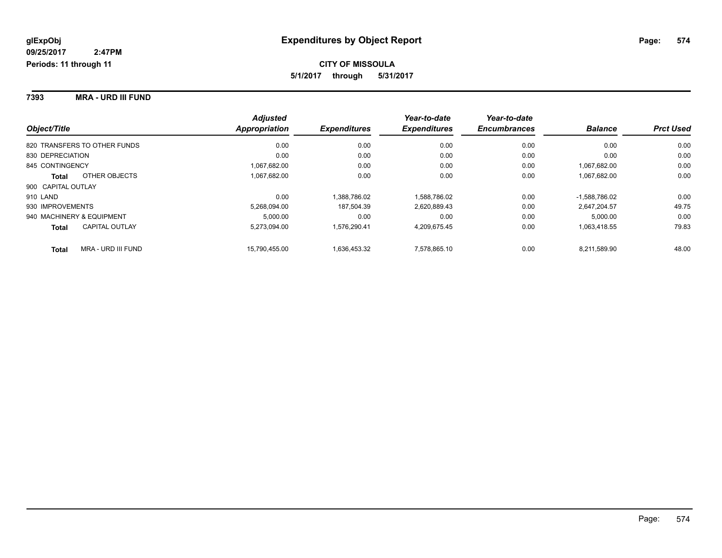**7393 MRA - URD III FUND**

|                              |                       | <b>Adjusted</b> |                     | Year-to-date        | Year-to-date        |                 |                  |
|------------------------------|-----------------------|-----------------|---------------------|---------------------|---------------------|-----------------|------------------|
| Object/Title                 |                       | Appropriation   | <b>Expenditures</b> | <b>Expenditures</b> | <b>Encumbrances</b> | <b>Balance</b>  | <b>Prct Used</b> |
| 820 TRANSFERS TO OTHER FUNDS |                       | 0.00            | 0.00                | 0.00                | 0.00                | 0.00            | 0.00             |
| 830 DEPRECIATION             |                       | 0.00            | 0.00                | 0.00                | 0.00                | 0.00            | 0.00             |
| 845 CONTINGENCY              |                       | 1,067,682.00    | 0.00                | 0.00                | 0.00                | 1.067.682.00    | 0.00             |
| <b>Total</b>                 | OTHER OBJECTS         | 1,067,682.00    | 0.00                | 0.00                | 0.00                | 1,067,682.00    | 0.00             |
| 900 CAPITAL OUTLAY           |                       |                 |                     |                     |                     |                 |                  |
| 910 LAND                     |                       | 0.00            | 1.388.786.02        | 1.588.786.02        | 0.00                | $-1.588.786.02$ | 0.00             |
| 930 IMPROVEMENTS             |                       | 5,268,094.00    | 187,504.39          | 2,620,889.43        | 0.00                | 2.647.204.57    | 49.75            |
| 940 MACHINERY & EQUIPMENT    |                       | 5.000.00        | 0.00                | 0.00                | 0.00                | 5,000.00        | 0.00             |
| <b>Total</b>                 | <b>CAPITAL OUTLAY</b> | 5,273,094.00    | 1.576.290.41        | 4,209,675.45        | 0.00                | 1,063,418.55    | 79.83            |
| <b>Total</b>                 | MRA - URD III FUND    | 15.790.455.00   | 1,636,453.32        | 7,578,865.10        | 0.00                | 8.211.589.90    | 48.00            |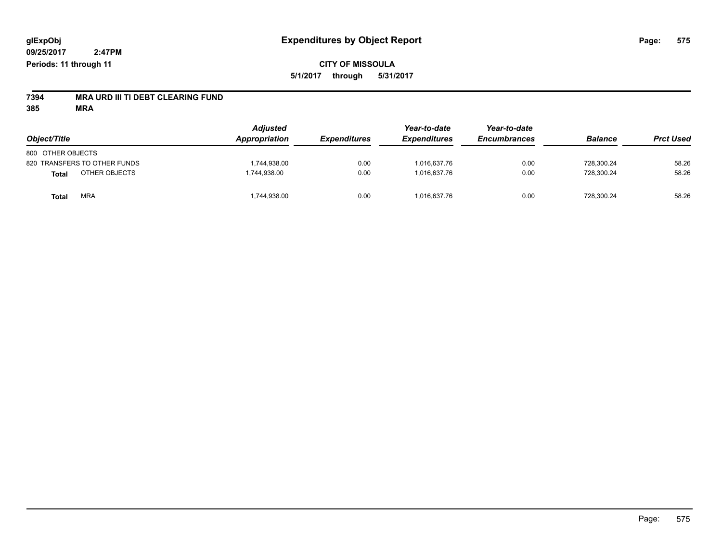# **7394 MRA URD III TI DEBT CLEARING FUND**

**385 MRA**

| Object/Title                  | <b>Adjusted</b><br>Appropriation | <b>Expenditures</b> | Year-to-date<br><b>Expenditures</b> | Year-to-date<br><b>Encumbrances</b> | <b>Balance</b> | <b>Prct Used</b> |
|-------------------------------|----------------------------------|---------------------|-------------------------------------|-------------------------------------|----------------|------------------|
| 800 OTHER OBJECTS             |                                  |                     |                                     |                                     |                |                  |
| 820 TRANSFERS TO OTHER FUNDS  | 1,744,938.00                     | 0.00                | 1.016.637.76                        | 0.00                                | 728,300.24     | 58.26            |
| OTHER OBJECTS<br><b>Total</b> | 1,744,938.00                     | 0.00                | 1.016.637.76                        | 0.00                                | 728,300.24     | 58.26            |
| <b>MRA</b><br><b>Total</b>    | 1,744,938.00                     | 0.00                | 1,016,637.76                        | 0.00                                | 728,300.24     | 58.26            |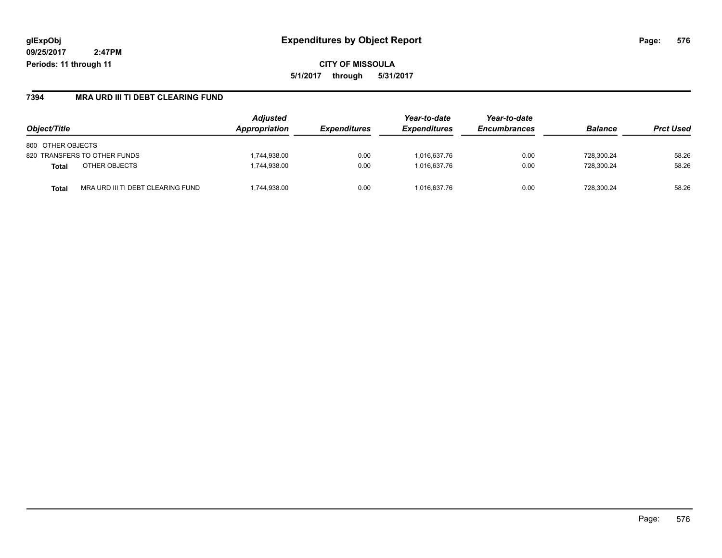**CITY OF MISSOULA 5/1/2017 through 5/31/2017**

### **7394 MRA URD III TI DEBT CLEARING FUND**

| Object/Title                               | <b>Adjusted</b><br>Appropriation | <i><b>Expenditures</b></i> | Year-to-date<br><b>Expenditures</b> | Year-to-date<br><b>Encumbrances</b> | <b>Balance</b> | <b>Prct Used</b> |
|--------------------------------------------|----------------------------------|----------------------------|-------------------------------------|-------------------------------------|----------------|------------------|
|                                            |                                  |                            |                                     |                                     |                |                  |
| 820 TRANSFERS TO OTHER FUNDS               | .744.938.00                      | 0.00                       | 1.016.637.76                        | 0.00                                | 728.300.24     | 58.26            |
| OTHER OBJECTS<br><b>Total</b>              | 1,744,938.00                     | 0.00                       | 1.016.637.76                        | 0.00                                | 728.300.24     | 58.26            |
| MRA URD III TI DEBT CLEARING FUND<br>Total | ,744,938.00                      | 0.00                       | 1.016.637.76                        | 0.00                                | 728.300.24     | 58.26            |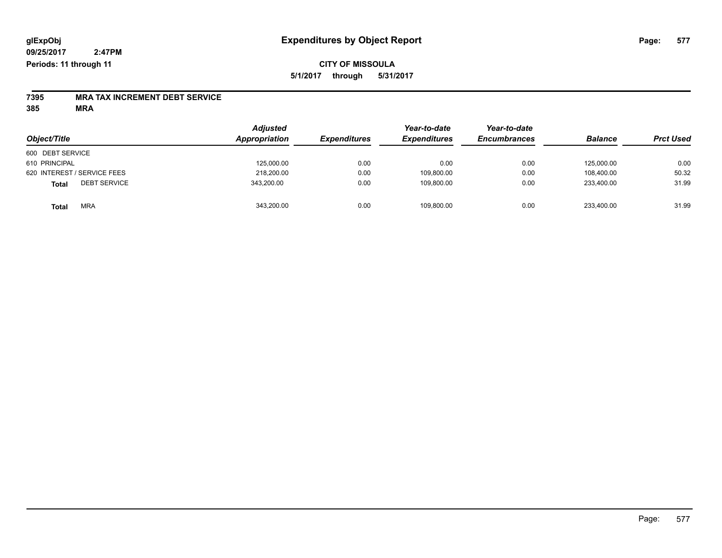### **CITY OF MISSOULA 5/1/2017 through 5/31/2017**

# **7395 MRA TAX INCREMENT DEBT SERVICE**

**385 MRA**

| Object/Title                 | <b>Adjusted</b><br>Appropriation | <b>Expenditures</b> | Year-to-date<br><b>Expenditures</b> | Year-to-date<br><b>Encumbrances</b> | <b>Balance</b> | <b>Prct Used</b> |
|------------------------------|----------------------------------|---------------------|-------------------------------------|-------------------------------------|----------------|------------------|
| 600 DEBT SERVICE             |                                  |                     |                                     |                                     |                |                  |
| 610 PRINCIPAL                | 125,000.00                       | 0.00                | 0.00                                | 0.00                                | 125.000.00     | 0.00             |
| 620 INTEREST / SERVICE FEES  | 218,200.00                       | 0.00                | 109,800.00                          | 0.00                                | 108.400.00     | 50.32            |
| <b>DEBT SERVICE</b><br>Total | 343,200.00                       | 0.00                | 109,800.00                          | 0.00                                | 233.400.00     | 31.99            |
| <b>MRA</b><br><b>Total</b>   | 343,200.00                       | 0.00                | 109,800.00                          | 0.00                                | 233,400.00     | 31.99            |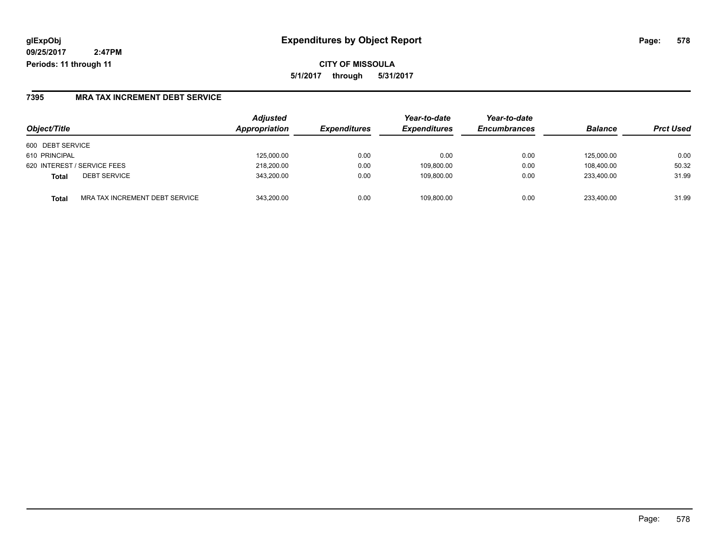**CITY OF MISSOULA 5/1/2017 through 5/31/2017**

### **7395 MRA TAX INCREMENT DEBT SERVICE**

| Object/Title                            | <b>Adjusted</b><br>Appropriation | <b>Expenditures</b> | Year-to-date<br><b>Expenditures</b> | Year-to-date<br><b>Encumbrances</b> | <b>Balance</b> | <b>Prct Used</b> |
|-----------------------------------------|----------------------------------|---------------------|-------------------------------------|-------------------------------------|----------------|------------------|
| 600 DEBT SERVICE                        |                                  |                     |                                     |                                     |                |                  |
| 610 PRINCIPAL                           | 125,000.00                       | 0.00                | 0.00                                | 0.00                                | 125.000.00     | 0.00             |
| 620 INTEREST / SERVICE FEES             | 218,200.00                       | 0.00                | 109,800.00                          | 0.00                                | 108.400.00     | 50.32            |
| <b>DEBT SERVICE</b><br>Total            | 343,200.00                       | 0.00                | 109,800.00                          | 0.00                                | 233.400.00     | 31.99            |
| MRA TAX INCREMENT DEBT SERVICE<br>Total | 343.200.00                       | 0.00                | 109.800.00                          | 0.00                                | 233.400.00     | 31.99            |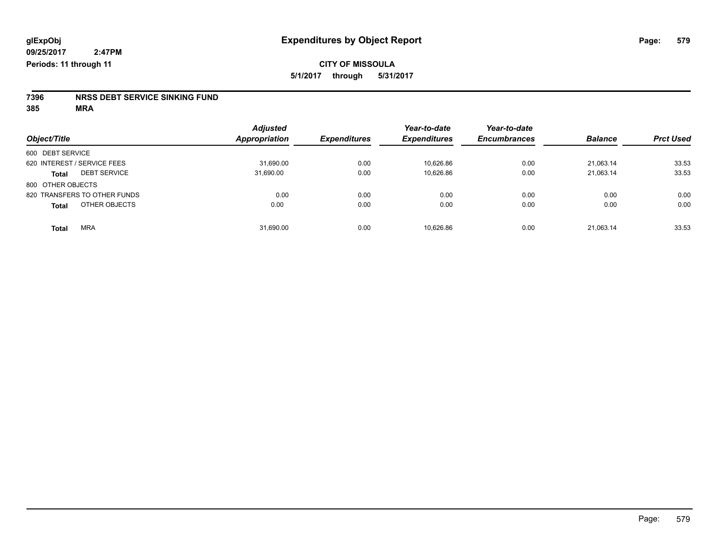# **7396 NRSS DEBT SERVICE SINKING FUND**

**385 MRA**

| Object/Title                        | <b>Adjusted</b><br><b>Appropriation</b> | <b>Expenditures</b> | Year-to-date<br><b>Expenditures</b> | Year-to-date<br><b>Encumbrances</b> | <b>Balance</b> | <b>Prct Used</b> |
|-------------------------------------|-----------------------------------------|---------------------|-------------------------------------|-------------------------------------|----------------|------------------|
| 600 DEBT SERVICE                    |                                         |                     |                                     |                                     |                |                  |
| 620 INTEREST / SERVICE FEES         | 31,690.00                               | 0.00                | 10,626.86                           | 0.00                                | 21.063.14      | 33.53            |
| <b>DEBT SERVICE</b><br><b>Total</b> | 31,690.00                               | 0.00                | 10,626.86                           | 0.00                                | 21,063.14      | 33.53            |
| 800 OTHER OBJECTS                   |                                         |                     |                                     |                                     |                |                  |
| 820 TRANSFERS TO OTHER FUNDS        | 0.00                                    | 0.00                | 0.00                                | 0.00                                | 0.00           | 0.00             |
| OTHER OBJECTS<br><b>Total</b>       | 0.00                                    | 0.00                | 0.00                                | 0.00                                | 0.00           | 0.00             |
| <b>MRA</b><br><b>Total</b>          | 31,690.00                               | 0.00                | 10,626.86                           | 0.00                                | 21,063.14      | 33.53            |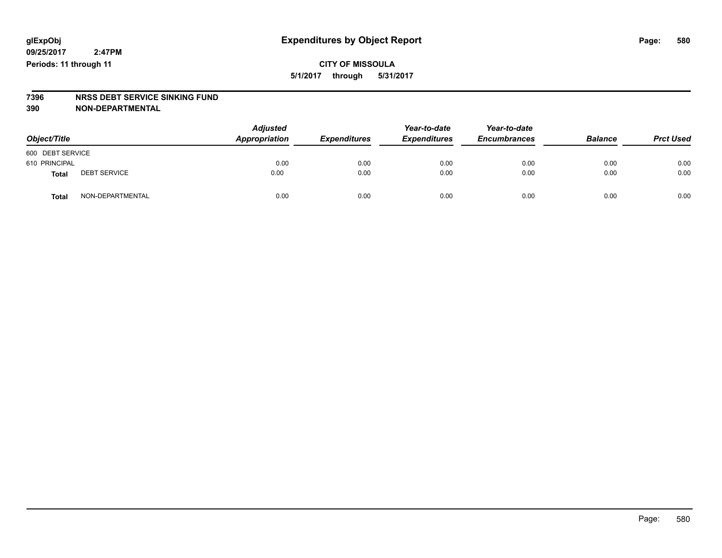## **CITY OF MISSOULA 5/1/2017 through 5/31/2017**

# **7396 NRSS DEBT SERVICE SINKING FUND**

**390 NON-DEPARTMENTAL**

| Object/Title     |                     | <b>Adjusted</b><br>Appropriation | <b>Expenditures</b> | Year-to-date<br><b>Expenditures</b> | Year-to-date<br><b>Encumbrances</b> | <b>Balance</b> | <b>Prct Used</b> |
|------------------|---------------------|----------------------------------|---------------------|-------------------------------------|-------------------------------------|----------------|------------------|
| 600 DEBT SERVICE |                     |                                  |                     |                                     |                                     |                |                  |
| 610 PRINCIPAL    |                     | 0.00                             | 0.00                | 0.00                                | 0.00                                | 0.00           | 0.00             |
| Total            | <b>DEBT SERVICE</b> | 0.00                             | 0.00                | 0.00                                | 0.00                                | 0.00           | 0.00             |
| Total            | NON-DEPARTMENTAL    | 0.00                             | 0.00                | 0.00                                | 0.00                                | 0.00           | 0.00             |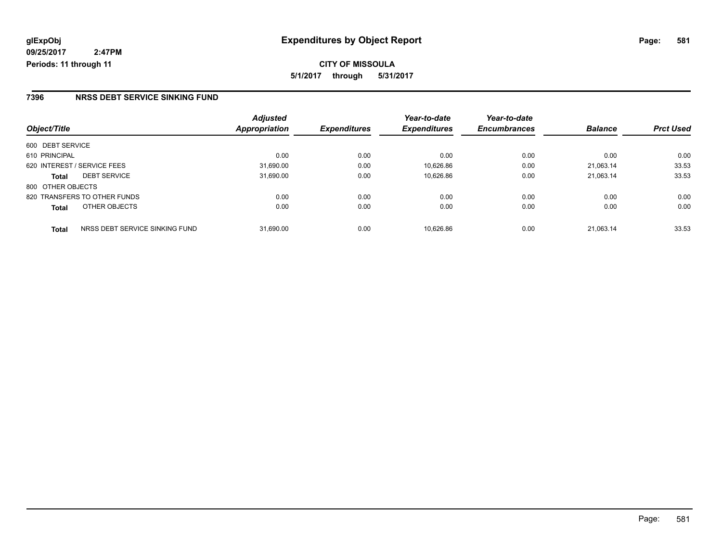#### **7396 NRSS DEBT SERVICE SINKING FUND**

|                   |                                | <b>Adjusted</b> |                     | Year-to-date        | Year-to-date        |                |                  |
|-------------------|--------------------------------|-----------------|---------------------|---------------------|---------------------|----------------|------------------|
| Object/Title      |                                | Appropriation   | <b>Expenditures</b> | <b>Expenditures</b> | <b>Encumbrances</b> | <b>Balance</b> | <b>Prct Used</b> |
| 600 DEBT SERVICE  |                                |                 |                     |                     |                     |                |                  |
| 610 PRINCIPAL     |                                | 0.00            | 0.00                | 0.00                | 0.00                | 0.00           | 0.00             |
|                   | 620 INTEREST / SERVICE FEES    | 31,690.00       | 0.00                | 10,626.86           | 0.00                | 21.063.14      | 33.53            |
| <b>Total</b>      | <b>DEBT SERVICE</b>            | 31,690.00       | 0.00                | 10,626.86           | 0.00                | 21.063.14      | 33.53            |
| 800 OTHER OBJECTS |                                |                 |                     |                     |                     |                |                  |
|                   | 820 TRANSFERS TO OTHER FUNDS   | 0.00            | 0.00                | 0.00                | 0.00                | 0.00           | 0.00             |
| <b>Total</b>      | OTHER OBJECTS                  | 0.00            | 0.00                | 0.00                | 0.00                | 0.00           | 0.00             |
| <b>Total</b>      | NRSS DEBT SERVICE SINKING FUND | 31.690.00       | 0.00                | 10.626.86           | 0.00                | 21.063.14      | 33.53            |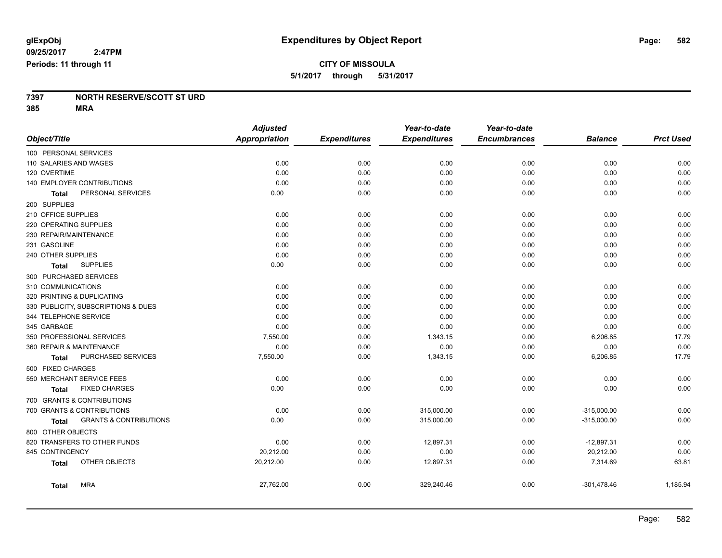#### **7397 NORTH RESERVE/SCOTT ST URD 385 MRA**

|                                                   | <b>Adjusted</b>      |                     | Year-to-date        | Year-to-date        |                |                  |
|---------------------------------------------------|----------------------|---------------------|---------------------|---------------------|----------------|------------------|
| Object/Title                                      | <b>Appropriation</b> | <b>Expenditures</b> | <b>Expenditures</b> | <b>Encumbrances</b> | <b>Balance</b> | <b>Prct Used</b> |
| 100 PERSONAL SERVICES                             |                      |                     |                     |                     |                |                  |
| 110 SALARIES AND WAGES                            | 0.00                 | 0.00                | 0.00                | 0.00                | 0.00           | 0.00             |
| 120 OVERTIME                                      | 0.00                 | 0.00                | 0.00                | 0.00                | 0.00           | 0.00             |
| 140 EMPLOYER CONTRIBUTIONS                        | 0.00                 | 0.00                | 0.00                | 0.00                | 0.00           | 0.00             |
| PERSONAL SERVICES<br><b>Total</b>                 | 0.00                 | 0.00                | 0.00                | 0.00                | 0.00           | 0.00             |
| 200 SUPPLIES                                      |                      |                     |                     |                     |                |                  |
| 210 OFFICE SUPPLIES                               | 0.00                 | 0.00                | 0.00                | 0.00                | 0.00           | 0.00             |
| 220 OPERATING SUPPLIES                            | 0.00                 | 0.00                | 0.00                | 0.00                | 0.00           | 0.00             |
| 230 REPAIR/MAINTENANCE                            | 0.00                 | 0.00                | 0.00                | 0.00                | 0.00           | 0.00             |
| 231 GASOLINE                                      | 0.00                 | 0.00                | 0.00                | 0.00                | 0.00           | 0.00             |
| 240 OTHER SUPPLIES                                | 0.00                 | 0.00                | 0.00                | 0.00                | 0.00           | 0.00             |
| <b>SUPPLIES</b><br>Total                          | 0.00                 | 0.00                | 0.00                | 0.00                | 0.00           | 0.00             |
| 300 PURCHASED SERVICES                            |                      |                     |                     |                     |                |                  |
| 310 COMMUNICATIONS                                | 0.00                 | 0.00                | 0.00                | 0.00                | 0.00           | 0.00             |
| 320 PRINTING & DUPLICATING                        | 0.00                 | 0.00                | 0.00                | 0.00                | 0.00           | 0.00             |
| 330 PUBLICITY, SUBSCRIPTIONS & DUES               | 0.00                 | 0.00                | 0.00                | 0.00                | 0.00           | 0.00             |
| 344 TELEPHONE SERVICE                             | 0.00                 | 0.00                | 0.00                | 0.00                | 0.00           | 0.00             |
| 345 GARBAGE                                       | 0.00                 | 0.00                | 0.00                | 0.00                | 0.00           | 0.00             |
| 350 PROFESSIONAL SERVICES                         | 7,550.00             | 0.00                | 1,343.15            | 0.00                | 6,206.85       | 17.79            |
| 360 REPAIR & MAINTENANCE                          | 0.00                 | 0.00                | 0.00                | 0.00                | 0.00           | 0.00             |
| PURCHASED SERVICES<br>Total                       | 7,550.00             | 0.00                | 1,343.15            | 0.00                | 6,206.85       | 17.79            |
| 500 FIXED CHARGES                                 |                      |                     |                     |                     |                |                  |
| 550 MERCHANT SERVICE FEES                         | 0.00                 | 0.00                | 0.00                | 0.00                | 0.00           | 0.00             |
| <b>FIXED CHARGES</b><br><b>Total</b>              | 0.00                 | 0.00                | 0.00                | 0.00                | 0.00           | 0.00             |
| 700 GRANTS & CONTRIBUTIONS                        |                      |                     |                     |                     |                |                  |
| 700 GRANTS & CONTRIBUTIONS                        | 0.00                 | 0.00                | 315,000.00          | 0.00                | $-315,000.00$  | 0.00             |
| <b>GRANTS &amp; CONTRIBUTIONS</b><br><b>Total</b> | 0.00                 | 0.00                | 315,000.00          | 0.00                | $-315,000.00$  | 0.00             |
| 800 OTHER OBJECTS                                 |                      |                     |                     |                     |                |                  |
| 820 TRANSFERS TO OTHER FUNDS                      | 0.00                 | 0.00                | 12,897.31           | 0.00                | $-12,897.31$   | 0.00             |
| 845 CONTINGENCY                                   | 20,212.00            | 0.00                | 0.00                | 0.00                | 20,212.00      | 0.00             |
| OTHER OBJECTS<br><b>Total</b>                     | 20,212.00            | 0.00                | 12,897.31           | 0.00                | 7,314.69       | 63.81            |
| <b>MRA</b><br>Total                               | 27,762.00            | 0.00                | 329,240.46          | 0.00                | $-301,478.46$  | 1,185.94         |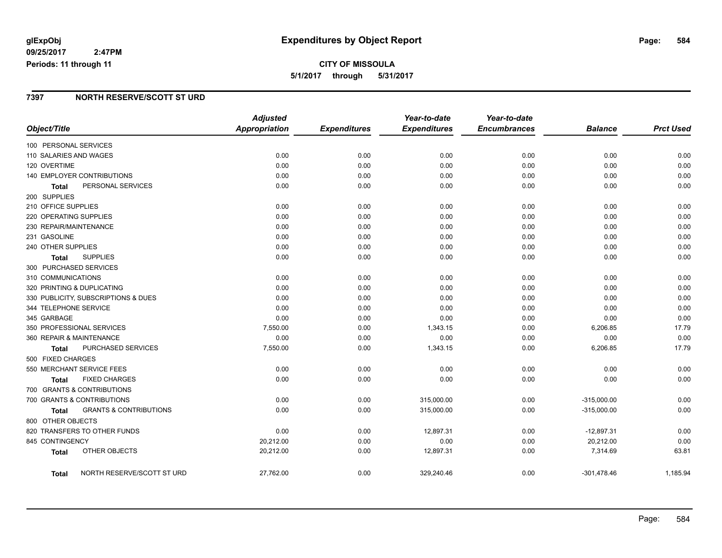# **CITY OF MISSOULA 5/1/2017 through 5/31/2017**

### **7397 NORTH RESERVE/SCOTT ST URD**

|                          |                                     | <b>Adjusted</b>      |                     | Year-to-date        | Year-to-date        |                |                  |
|--------------------------|-------------------------------------|----------------------|---------------------|---------------------|---------------------|----------------|------------------|
| Object/Title             |                                     | <b>Appropriation</b> | <b>Expenditures</b> | <b>Expenditures</b> | <b>Encumbrances</b> | <b>Balance</b> | <b>Prct Used</b> |
| 100 PERSONAL SERVICES    |                                     |                      |                     |                     |                     |                |                  |
| 110 SALARIES AND WAGES   |                                     | 0.00                 | 0.00                | 0.00                | 0.00                | 0.00           | 0.00             |
| 120 OVERTIME             |                                     | 0.00                 | 0.00                | 0.00                | 0.00                | 0.00           | 0.00             |
|                          | 140 EMPLOYER CONTRIBUTIONS          | 0.00                 | 0.00                | 0.00                | 0.00                | 0.00           | 0.00             |
| Total                    | PERSONAL SERVICES                   | 0.00                 | 0.00                | 0.00                | 0.00                | 0.00           | 0.00             |
| 200 SUPPLIES             |                                     |                      |                     |                     |                     |                |                  |
| 210 OFFICE SUPPLIES      |                                     | 0.00                 | 0.00                | 0.00                | 0.00                | 0.00           | 0.00             |
| 220 OPERATING SUPPLIES   |                                     | 0.00                 | 0.00                | 0.00                | 0.00                | 0.00           | 0.00             |
| 230 REPAIR/MAINTENANCE   |                                     | 0.00                 | 0.00                | 0.00                | 0.00                | 0.00           | 0.00             |
| 231 GASOLINE             |                                     | 0.00                 | 0.00                | 0.00                | 0.00                | 0.00           | 0.00             |
| 240 OTHER SUPPLIES       |                                     | 0.00                 | 0.00                | 0.00                | 0.00                | 0.00           | 0.00             |
| Total                    | <b>SUPPLIES</b>                     | 0.00                 | 0.00                | 0.00                | 0.00                | 0.00           | 0.00             |
| 300 PURCHASED SERVICES   |                                     |                      |                     |                     |                     |                |                  |
| 310 COMMUNICATIONS       |                                     | 0.00                 | 0.00                | 0.00                | 0.00                | 0.00           | 0.00             |
|                          | 320 PRINTING & DUPLICATING          | 0.00                 | 0.00                | 0.00                | 0.00                | 0.00           | 0.00             |
|                          | 330 PUBLICITY, SUBSCRIPTIONS & DUES | 0.00                 | 0.00                | 0.00                | 0.00                | 0.00           | 0.00             |
| 344 TELEPHONE SERVICE    |                                     | 0.00                 | 0.00                | 0.00                | 0.00                | 0.00           | 0.00             |
| 345 GARBAGE              |                                     | 0.00                 | 0.00                | 0.00                | 0.00                | 0.00           | 0.00             |
|                          | 350 PROFESSIONAL SERVICES           | 7,550.00             | 0.00                | 1,343.15            | 0.00                | 6,206.85       | 17.79            |
| 360 REPAIR & MAINTENANCE |                                     | 0.00                 | 0.00                | 0.00                | 0.00                | 0.00           | 0.00             |
| Total                    | PURCHASED SERVICES                  | 7,550.00             | 0.00                | 1,343.15            | 0.00                | 6,206.85       | 17.79            |
| 500 FIXED CHARGES        |                                     |                      |                     |                     |                     |                |                  |
|                          | 550 MERCHANT SERVICE FEES           | 0.00                 | 0.00                | 0.00                | 0.00                | 0.00           | 0.00             |
| Total                    | <b>FIXED CHARGES</b>                | 0.00                 | 0.00                | 0.00                | 0.00                | 0.00           | 0.00             |
|                          | 700 GRANTS & CONTRIBUTIONS          |                      |                     |                     |                     |                |                  |
|                          | 700 GRANTS & CONTRIBUTIONS          | 0.00                 | 0.00                | 315,000.00          | 0.00                | $-315,000.00$  | 0.00             |
| <b>Total</b>             | <b>GRANTS &amp; CONTRIBUTIONS</b>   | 0.00                 | 0.00                | 315,000.00          | 0.00                | $-315,000.00$  | 0.00             |
| 800 OTHER OBJECTS        |                                     |                      |                     |                     |                     |                |                  |
|                          | 820 TRANSFERS TO OTHER FUNDS        | 0.00                 | 0.00                | 12,897.31           | 0.00                | $-12,897.31$   | 0.00             |
| 845 CONTINGENCY          |                                     | 20,212.00            | 0.00                | 0.00                | 0.00                | 20,212.00      | 0.00             |
| <b>Total</b>             | OTHER OBJECTS                       | 20,212.00            | 0.00                | 12,897.31           | 0.00                | 7,314.69       | 63.81            |
| Total                    | NORTH RESERVE/SCOTT ST URD          | 27,762.00            | 0.00                | 329,240.46          | 0.00                | $-301,478.46$  | 1,185.94         |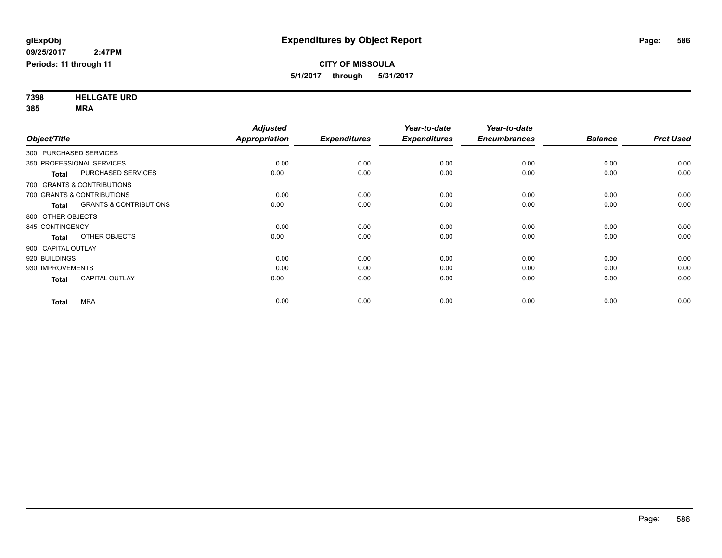**7398 HELLGATE URD 385 MRA**

|                        |                                   | <b>Adjusted</b>      |                     | Year-to-date        | Year-to-date        |                |                  |
|------------------------|-----------------------------------|----------------------|---------------------|---------------------|---------------------|----------------|------------------|
| Object/Title           |                                   | <b>Appropriation</b> | <b>Expenditures</b> | <b>Expenditures</b> | <b>Encumbrances</b> | <b>Balance</b> | <b>Prct Used</b> |
| 300 PURCHASED SERVICES |                                   |                      |                     |                     |                     |                |                  |
|                        | 350 PROFESSIONAL SERVICES         | 0.00                 | 0.00                | 0.00                | 0.00                | 0.00           | 0.00             |
| <b>Total</b>           | <b>PURCHASED SERVICES</b>         | 0.00                 | 0.00                | 0.00                | 0.00                | 0.00           | 0.00             |
|                        | 700 GRANTS & CONTRIBUTIONS        |                      |                     |                     |                     |                |                  |
|                        | 700 GRANTS & CONTRIBUTIONS        | 0.00                 | 0.00                | 0.00                | 0.00                | 0.00           | 0.00             |
| <b>Total</b>           | <b>GRANTS &amp; CONTRIBUTIONS</b> | 0.00                 | 0.00                | 0.00                | 0.00                | 0.00           | 0.00             |
| 800 OTHER OBJECTS      |                                   |                      |                     |                     |                     |                |                  |
| 845 CONTINGENCY        |                                   | 0.00                 | 0.00                | 0.00                | 0.00                | 0.00           | 0.00             |
| <b>Total</b>           | OTHER OBJECTS                     | 0.00                 | 0.00                | 0.00                | 0.00                | 0.00           | 0.00             |
| 900 CAPITAL OUTLAY     |                                   |                      |                     |                     |                     |                |                  |
| 920 BUILDINGS          |                                   | 0.00                 | 0.00                | 0.00                | 0.00                | 0.00           | 0.00             |
| 930 IMPROVEMENTS       |                                   | 0.00                 | 0.00                | 0.00                | 0.00                | 0.00           | 0.00             |
| <b>Total</b>           | <b>CAPITAL OUTLAY</b>             | 0.00                 | 0.00                | 0.00                | 0.00                | 0.00           | 0.00             |
| <b>Total</b>           | <b>MRA</b>                        | 0.00                 | 0.00                | 0.00                | 0.00                | 0.00           | 0.00             |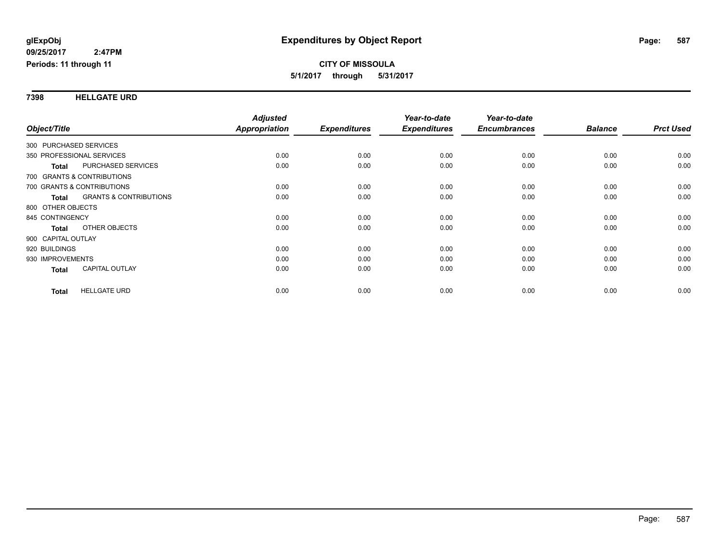#### **7398 HELLGATE URD**

|                                            | <b>Adjusted</b> |                     | Year-to-date        | Year-to-date        |                |                  |
|--------------------------------------------|-----------------|---------------------|---------------------|---------------------|----------------|------------------|
| Object/Title                               | Appropriation   | <b>Expenditures</b> | <b>Expenditures</b> | <b>Encumbrances</b> | <b>Balance</b> | <b>Prct Used</b> |
| 300 PURCHASED SERVICES                     |                 |                     |                     |                     |                |                  |
| 350 PROFESSIONAL SERVICES                  | 0.00            | 0.00                | 0.00                | 0.00                | 0.00           | 0.00             |
| PURCHASED SERVICES<br><b>Total</b>         | 0.00            | 0.00                | 0.00                | 0.00                | 0.00           | 0.00             |
| 700 GRANTS & CONTRIBUTIONS                 |                 |                     |                     |                     |                |                  |
| 700 GRANTS & CONTRIBUTIONS                 | 0.00            | 0.00                | 0.00                | 0.00                | 0.00           | 0.00             |
| <b>GRANTS &amp; CONTRIBUTIONS</b><br>Total | 0.00            | 0.00                | 0.00                | 0.00                | 0.00           | 0.00             |
| 800 OTHER OBJECTS                          |                 |                     |                     |                     |                |                  |
| 845 CONTINGENCY                            | 0.00            | 0.00                | 0.00                | 0.00                | 0.00           | 0.00             |
| OTHER OBJECTS<br><b>Total</b>              | 0.00            | 0.00                | 0.00                | 0.00                | 0.00           | 0.00             |
| 900 CAPITAL OUTLAY                         |                 |                     |                     |                     |                |                  |
| 920 BUILDINGS                              | 0.00            | 0.00                | 0.00                | 0.00                | 0.00           | 0.00             |
| 930 IMPROVEMENTS                           | 0.00            | 0.00                | 0.00                | 0.00                | 0.00           | 0.00             |
| <b>CAPITAL OUTLAY</b><br>Total             | 0.00            | 0.00                | 0.00                | 0.00                | 0.00           | 0.00             |
| <b>HELLGATE URD</b>                        | 0.00            | 0.00                | 0.00                | 0.00                | 0.00           | 0.00             |
| <b>Total</b>                               |                 |                     |                     |                     |                |                  |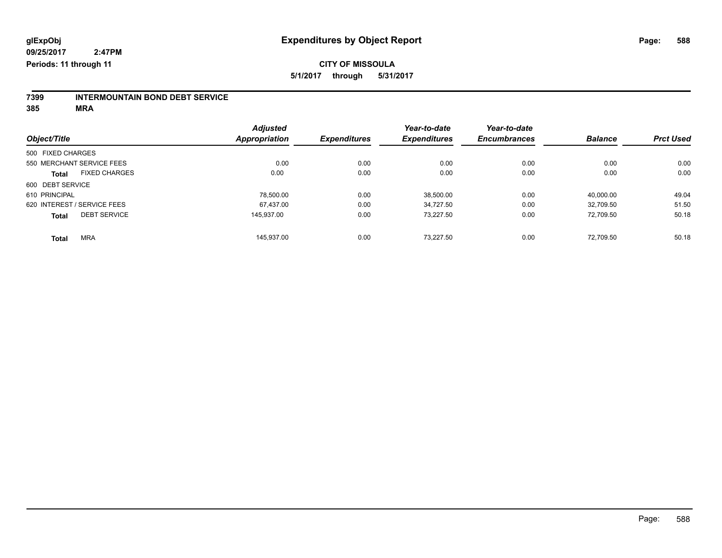# **7399 INTERMOUNTAIN BOND DEBT SERVICE**

**385 MRA**

|                                      | <b>Adjusted</b> | <b>Expenditures</b> | Year-to-date<br><b>Expenditures</b> | Year-to-date<br><b>Encumbrances</b> | <b>Balance</b> | <b>Prct Used</b> |
|--------------------------------------|-----------------|---------------------|-------------------------------------|-------------------------------------|----------------|------------------|
| Object/Title                         | Appropriation   |                     |                                     |                                     |                |                  |
| 500 FIXED CHARGES                    |                 |                     |                                     |                                     |                |                  |
| 550 MERCHANT SERVICE FEES            | 0.00            | 0.00                | 0.00                                | 0.00                                | 0.00           | 0.00             |
| <b>FIXED CHARGES</b><br><b>Total</b> | 0.00            | 0.00                | 0.00                                | 0.00                                | 0.00           | 0.00             |
| 600 DEBT SERVICE                     |                 |                     |                                     |                                     |                |                  |
| 610 PRINCIPAL                        | 78.500.00       | 0.00                | 38,500.00                           | 0.00                                | 40.000.00      | 49.04            |
| 620 INTEREST / SERVICE FEES          | 67.437.00       | 0.00                | 34.727.50                           | 0.00                                | 32,709.50      | 51.50            |
| <b>DEBT SERVICE</b><br><b>Total</b>  | 145.937.00      | 0.00                | 73.227.50                           | 0.00                                | 72.709.50      | 50.18            |
| <b>MRA</b><br><b>Total</b>           | 145.937.00      | 0.00                | 73.227.50                           | 0.00                                | 72.709.50      | 50.18            |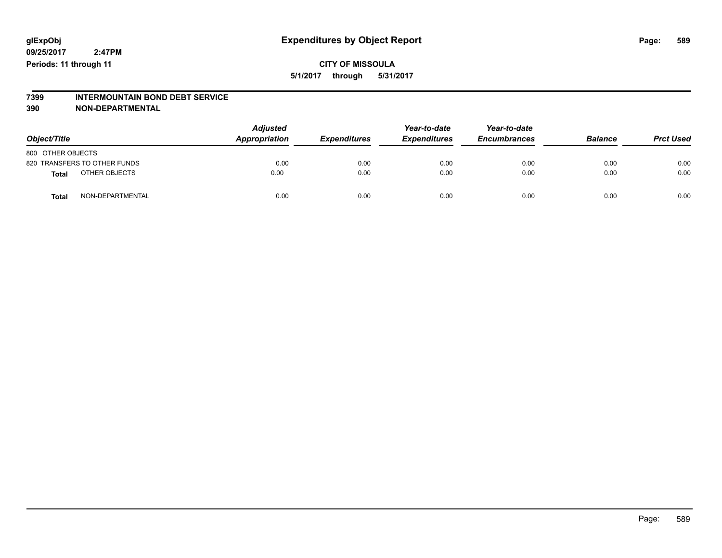### **CITY OF MISSOULA 5/1/2017 through 5/31/2017**

# **7399 INTERMOUNTAIN BOND DEBT SERVICE**

#### **390 NON-DEPARTMENTAL**

| Object/Title                     | <b>Adjusted</b><br>Appropriation | <b>Expenditures</b> | Year-to-date<br><b>Expenditures</b> | Year-to-date<br><b>Encumbrances</b> | <b>Balance</b> | <b>Prct Used</b> |
|----------------------------------|----------------------------------|---------------------|-------------------------------------|-------------------------------------|----------------|------------------|
| 800 OTHER OBJECTS                |                                  |                     |                                     |                                     |                |                  |
| 820 TRANSFERS TO OTHER FUNDS     | 0.00                             | 0.00                | 0.00                                | 0.00                                | 0.00           | 0.00             |
| OTHER OBJECTS<br>Total           | 0.00                             | 0.00                | 0.00                                | 0.00                                | 0.00           | 0.00             |
| NON-DEPARTMENTAL<br><b>Total</b> | 0.00                             | 0.00                | 0.00                                | 0.00                                | 0.00           | 0.00             |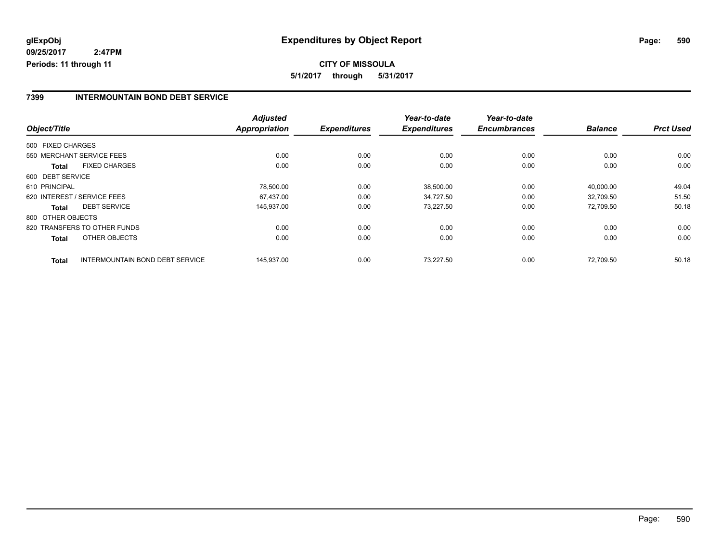# **CITY OF MISSOULA 5/1/2017 through 5/31/2017**

### **7399 INTERMOUNTAIN BOND DEBT SERVICE**

|                   |                                 | <b>Adjusted</b> |                     | Year-to-date        | Year-to-date        |                |                  |
|-------------------|---------------------------------|-----------------|---------------------|---------------------|---------------------|----------------|------------------|
| Object/Title      |                                 | Appropriation   | <b>Expenditures</b> | <b>Expenditures</b> | <b>Encumbrances</b> | <b>Balance</b> | <b>Prct Used</b> |
| 500 FIXED CHARGES |                                 |                 |                     |                     |                     |                |                  |
|                   | 550 MERCHANT SERVICE FEES       | 0.00            | 0.00                | 0.00                | 0.00                | 0.00           | 0.00             |
| <b>Total</b>      | <b>FIXED CHARGES</b>            | 0.00            | 0.00                | 0.00                | 0.00                | 0.00           | 0.00             |
| 600 DEBT SERVICE  |                                 |                 |                     |                     |                     |                |                  |
| 610 PRINCIPAL     |                                 | 78,500.00       | 0.00                | 38,500.00           | 0.00                | 40,000.00      | 49.04            |
|                   | 620 INTEREST / SERVICE FEES     | 67.437.00       | 0.00                | 34.727.50           | 0.00                | 32.709.50      | 51.50            |
| <b>Total</b>      | <b>DEBT SERVICE</b>             | 145,937.00      | 0.00                | 73,227.50           | 0.00                | 72.709.50      | 50.18            |
| 800 OTHER OBJECTS |                                 |                 |                     |                     |                     |                |                  |
|                   | 820 TRANSFERS TO OTHER FUNDS    | 0.00            | 0.00                | 0.00                | 0.00                | 0.00           | 0.00             |
| Total             | OTHER OBJECTS                   | 0.00            | 0.00                | 0.00                | 0.00                | 0.00           | 0.00             |
| <b>Total</b>      | INTERMOUNTAIN BOND DEBT SERVICE | 145,937.00      | 0.00                | 73.227.50           | 0.00                | 72.709.50      | 50.18            |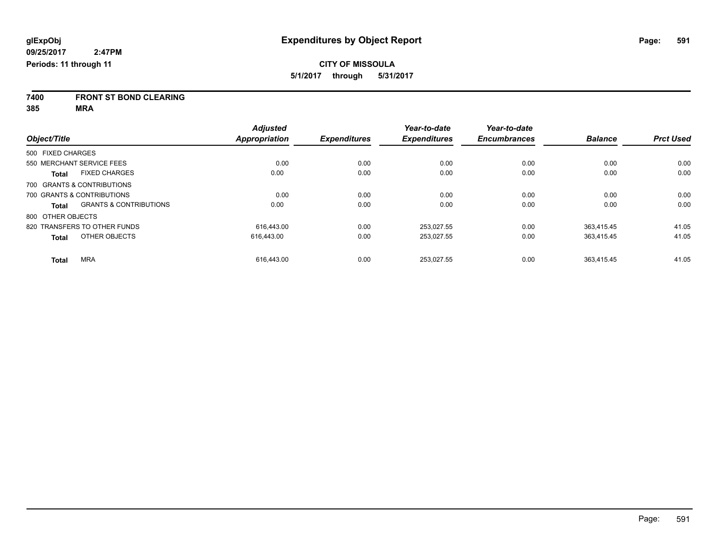**7400 FRONT ST BOND CLEARING**

**385 MRA**

|                                            | <b>Adjusted</b>      |                     | Year-to-date        | Year-to-date        |                |                  |
|--------------------------------------------|----------------------|---------------------|---------------------|---------------------|----------------|------------------|
| Object/Title                               | <b>Appropriation</b> | <b>Expenditures</b> | <b>Expenditures</b> | <b>Encumbrances</b> | <b>Balance</b> | <b>Prct Used</b> |
| 500 FIXED CHARGES                          |                      |                     |                     |                     |                |                  |
| 550 MERCHANT SERVICE FEES                  | 0.00                 | 0.00                | 0.00                | 0.00                | 0.00           | 0.00             |
| <b>FIXED CHARGES</b><br><b>Total</b>       | 0.00                 | 0.00                | 0.00                | 0.00                | 0.00           | 0.00             |
| 700 GRANTS & CONTRIBUTIONS                 |                      |                     |                     |                     |                |                  |
| 700 GRANTS & CONTRIBUTIONS                 | 0.00                 | 0.00                | 0.00                | 0.00                | 0.00           | 0.00             |
| <b>GRANTS &amp; CONTRIBUTIONS</b><br>Total | 0.00                 | 0.00                | 0.00                | 0.00                | 0.00           | 0.00             |
| 800 OTHER OBJECTS                          |                      |                     |                     |                     |                |                  |
| 820 TRANSFERS TO OTHER FUNDS               | 616.443.00           | 0.00                | 253.027.55          | 0.00                | 363.415.45     | 41.05            |
| OTHER OBJECTS<br><b>Total</b>              | 616,443.00           | 0.00                | 253,027.55          | 0.00                | 363,415.45     | 41.05            |
| <b>MRA</b><br><b>Total</b>                 | 616.443.00           | 0.00                | 253.027.55          | 0.00                | 363.415.45     | 41.05            |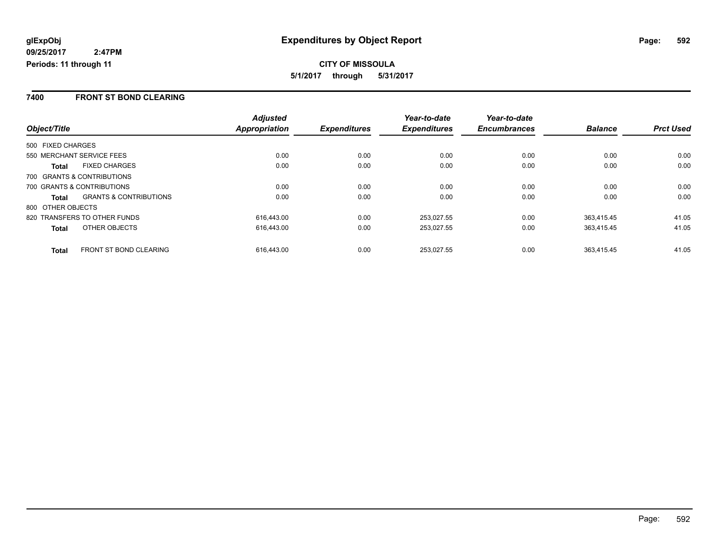#### **7400 FRONT ST BOND CLEARING**

|                                                   | <b>Adjusted</b> |                     | Year-to-date        | Year-to-date        |                |                  |
|---------------------------------------------------|-----------------|---------------------|---------------------|---------------------|----------------|------------------|
| Object/Title                                      | Appropriation   | <b>Expenditures</b> | <b>Expenditures</b> | <b>Encumbrances</b> | <b>Balance</b> | <b>Prct Used</b> |
| 500 FIXED CHARGES                                 |                 |                     |                     |                     |                |                  |
| 550 MERCHANT SERVICE FEES                         | 0.00            | 0.00                | 0.00                | 0.00                | 0.00           | 0.00             |
| <b>FIXED CHARGES</b><br>Total                     | 0.00            | 0.00                | 0.00                | 0.00                | 0.00           | 0.00             |
| 700 GRANTS & CONTRIBUTIONS                        |                 |                     |                     |                     |                |                  |
| 700 GRANTS & CONTRIBUTIONS                        | 0.00            | 0.00                | 0.00                | 0.00                | 0.00           | 0.00             |
| <b>GRANTS &amp; CONTRIBUTIONS</b><br><b>Total</b> | 0.00            | 0.00                | 0.00                | 0.00                | 0.00           | 0.00             |
| 800 OTHER OBJECTS                                 |                 |                     |                     |                     |                |                  |
| 820 TRANSFERS TO OTHER FUNDS                      | 616.443.00      | 0.00                | 253,027.55          | 0.00                | 363.415.45     | 41.05            |
| OTHER OBJECTS<br><b>Total</b>                     | 616.443.00      | 0.00                | 253,027.55          | 0.00                | 363,415.45     | 41.05            |
| <b>FRONT ST BOND CLEARING</b><br><b>Total</b>     | 616.443.00      | 0.00                | 253.027.55          | 0.00                | 363.415.45     | 41.05            |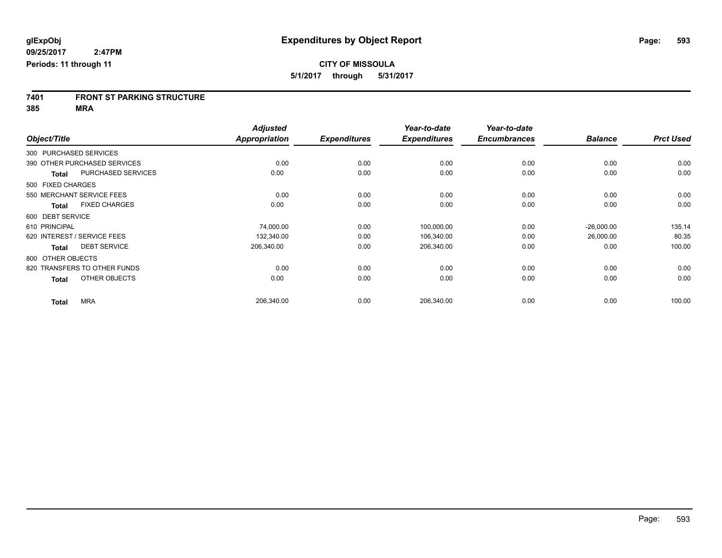# **7401 FRONT ST PARKING STRUCTURE**

**385 MRA**

|                        |                              | <b>Adjusted</b>      |                     | Year-to-date        | Year-to-date        |                |                  |
|------------------------|------------------------------|----------------------|---------------------|---------------------|---------------------|----------------|------------------|
| Object/Title           |                              | <b>Appropriation</b> | <b>Expenditures</b> | <b>Expenditures</b> | <b>Encumbrances</b> | <b>Balance</b> | <b>Prct Used</b> |
| 300 PURCHASED SERVICES |                              |                      |                     |                     |                     |                |                  |
|                        | 390 OTHER PURCHASED SERVICES | 0.00                 | 0.00                | 0.00                | 0.00                | 0.00           | 0.00             |
| <b>Total</b>           | PURCHASED SERVICES           | 0.00                 | 0.00                | 0.00                | 0.00                | 0.00           | 0.00             |
| 500 FIXED CHARGES      |                              |                      |                     |                     |                     |                |                  |
|                        | 550 MERCHANT SERVICE FEES    | 0.00                 | 0.00                | 0.00                | 0.00                | 0.00           | 0.00             |
| <b>Total</b>           | <b>FIXED CHARGES</b>         | 0.00                 | 0.00                | 0.00                | 0.00                | 0.00           | 0.00             |
| 600 DEBT SERVICE       |                              |                      |                     |                     |                     |                |                  |
| 610 PRINCIPAL          |                              | 74,000.00            | 0.00                | 100,000.00          | 0.00                | $-26,000.00$   | 135.14           |
|                        | 620 INTEREST / SERVICE FEES  | 132,340.00           | 0.00                | 106,340.00          | 0.00                | 26,000.00      | 80.35            |
| <b>Total</b>           | <b>DEBT SERVICE</b>          | 206,340.00           | 0.00                | 206,340.00          | 0.00                | 0.00           | 100.00           |
| 800 OTHER OBJECTS      |                              |                      |                     |                     |                     |                |                  |
|                        | 820 TRANSFERS TO OTHER FUNDS | 0.00                 | 0.00                | 0.00                | 0.00                | 0.00           | 0.00             |
| <b>Total</b>           | OTHER OBJECTS                | 0.00                 | 0.00                | 0.00                | 0.00                | 0.00           | 0.00             |
| <b>Total</b>           | <b>MRA</b>                   | 206,340.00           | 0.00                | 206,340.00          | 0.00                | 0.00           | 100.00           |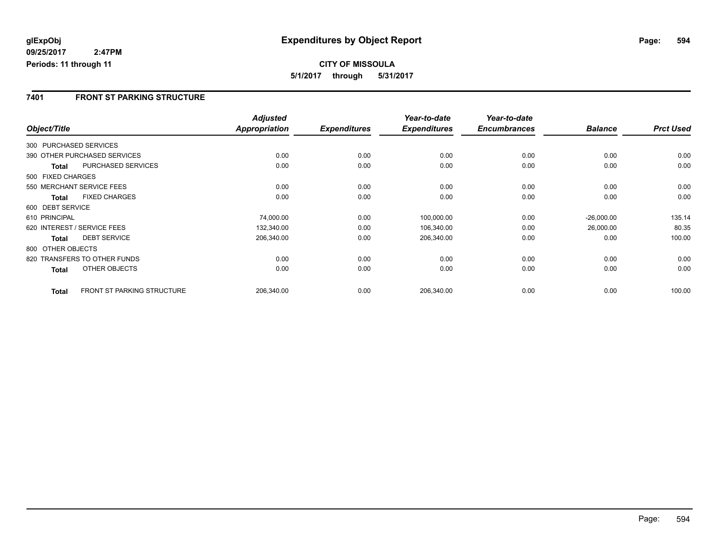### **7401 FRONT ST PARKING STRUCTURE**

|                   |                                   | <b>Adjusted</b>      |                     | Year-to-date        | Year-to-date        |                |                  |
|-------------------|-----------------------------------|----------------------|---------------------|---------------------|---------------------|----------------|------------------|
| Object/Title      |                                   | <b>Appropriation</b> | <b>Expenditures</b> | <b>Expenditures</b> | <b>Encumbrances</b> | <b>Balance</b> | <b>Prct Used</b> |
|                   | 300 PURCHASED SERVICES            |                      |                     |                     |                     |                |                  |
|                   | 390 OTHER PURCHASED SERVICES      | 0.00                 | 0.00                | 0.00                | 0.00                | 0.00           | 0.00             |
| Total             | <b>PURCHASED SERVICES</b>         | 0.00                 | 0.00                | 0.00                | 0.00                | 0.00           | 0.00             |
| 500 FIXED CHARGES |                                   |                      |                     |                     |                     |                |                  |
|                   | 550 MERCHANT SERVICE FEES         | 0.00                 | 0.00                | 0.00                | 0.00                | 0.00           | 0.00             |
| <b>Total</b>      | <b>FIXED CHARGES</b>              | 0.00                 | 0.00                | 0.00                | 0.00                | 0.00           | 0.00             |
| 600 DEBT SERVICE  |                                   |                      |                     |                     |                     |                |                  |
| 610 PRINCIPAL     |                                   | 74,000.00            | 0.00                | 100,000.00          | 0.00                | $-26,000.00$   | 135.14           |
|                   | 620 INTEREST / SERVICE FEES       | 132,340.00           | 0.00                | 106,340.00          | 0.00                | 26,000.00      | 80.35            |
| <b>Total</b>      | <b>DEBT SERVICE</b>               | 206,340.00           | 0.00                | 206,340.00          | 0.00                | 0.00           | 100.00           |
| 800 OTHER OBJECTS |                                   |                      |                     |                     |                     |                |                  |
|                   | 820 TRANSFERS TO OTHER FUNDS      | 0.00                 | 0.00                | 0.00                | 0.00                | 0.00           | 0.00             |
| <b>Total</b>      | OTHER OBJECTS                     | 0.00                 | 0.00                | 0.00                | 0.00                | 0.00           | 0.00             |
| <b>Total</b>      | <b>FRONT ST PARKING STRUCTURE</b> | 206,340.00           | 0.00                | 206,340.00          | 0.00                | 0.00           | 100.00           |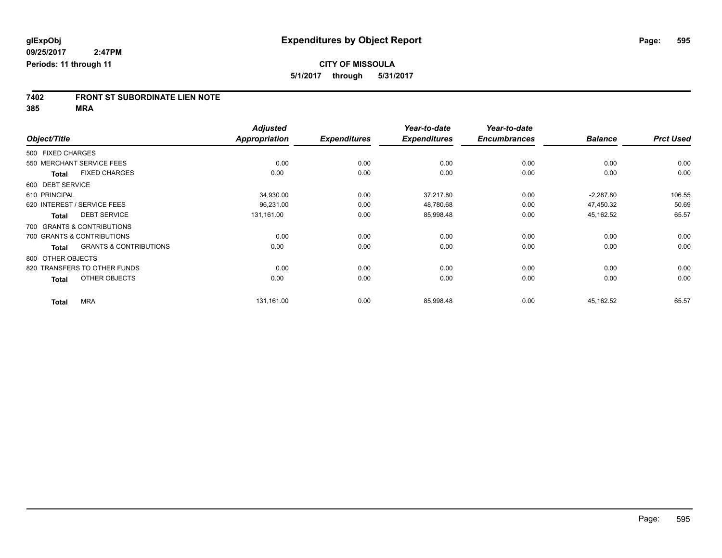# **7402 FRONT ST SUBORDINATE LIEN NOTE**

**385 MRA**

|                   |                                   | <b>Adjusted</b>      |                     | Year-to-date        | Year-to-date        |                |                  |
|-------------------|-----------------------------------|----------------------|---------------------|---------------------|---------------------|----------------|------------------|
| Object/Title      |                                   | <b>Appropriation</b> | <b>Expenditures</b> | <b>Expenditures</b> | <b>Encumbrances</b> | <b>Balance</b> | <b>Prct Used</b> |
| 500 FIXED CHARGES |                                   |                      |                     |                     |                     |                |                  |
|                   | 550 MERCHANT SERVICE FEES         | 0.00                 | 0.00                | 0.00                | 0.00                | 0.00           | 0.00             |
| <b>Total</b>      | <b>FIXED CHARGES</b>              | 0.00                 | 0.00                | 0.00                | 0.00                | 0.00           | 0.00             |
| 600 DEBT SERVICE  |                                   |                      |                     |                     |                     |                |                  |
| 610 PRINCIPAL     |                                   | 34,930.00            | 0.00                | 37,217.80           | 0.00                | $-2,287.80$    | 106.55           |
|                   | 620 INTEREST / SERVICE FEES       | 96,231.00            | 0.00                | 48,780.68           | 0.00                | 47,450.32      | 50.69            |
| <b>Total</b>      | <b>DEBT SERVICE</b>               | 131,161.00           | 0.00                | 85,998.48           | 0.00                | 45,162.52      | 65.57            |
|                   | 700 GRANTS & CONTRIBUTIONS        |                      |                     |                     |                     |                |                  |
|                   | 700 GRANTS & CONTRIBUTIONS        | 0.00                 | 0.00                | 0.00                | 0.00                | 0.00           | 0.00             |
| <b>Total</b>      | <b>GRANTS &amp; CONTRIBUTIONS</b> | 0.00                 | 0.00                | 0.00                | 0.00                | 0.00           | 0.00             |
| 800 OTHER OBJECTS |                                   |                      |                     |                     |                     |                |                  |
|                   | 820 TRANSFERS TO OTHER FUNDS      | 0.00                 | 0.00                | 0.00                | 0.00                | 0.00           | 0.00             |
| <b>Total</b>      | OTHER OBJECTS                     | 0.00                 | 0.00                | 0.00                | 0.00                | 0.00           | 0.00             |
| <b>Total</b>      | <b>MRA</b>                        | 131,161.00           | 0.00                | 85,998.48           | 0.00                | 45,162.52      | 65.57            |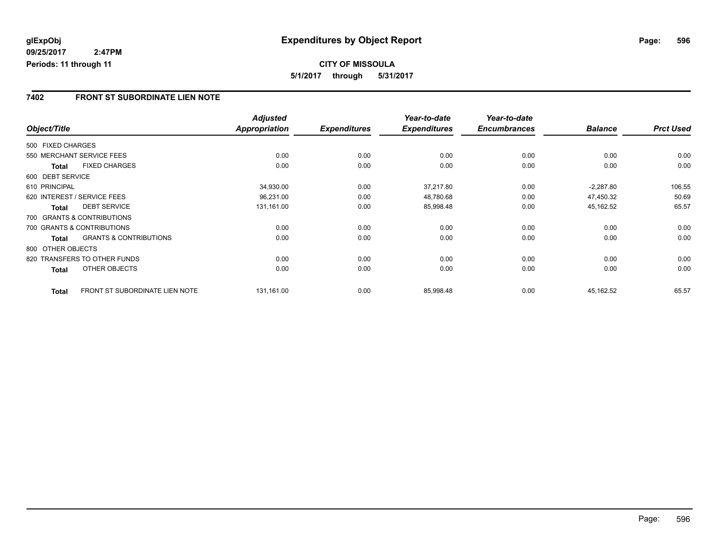**5/1/2017 through 5/31/2017**

### **7402 FRONT ST SUBORDINATE LIEN NOTE**

|                   |                                   | <b>Adjusted</b> |                     | Year-to-date        | Year-to-date        |                |                  |
|-------------------|-----------------------------------|-----------------|---------------------|---------------------|---------------------|----------------|------------------|
| Object/Title      |                                   | Appropriation   | <b>Expenditures</b> | <b>Expenditures</b> | <b>Encumbrances</b> | <b>Balance</b> | <b>Prct Used</b> |
| 500 FIXED CHARGES |                                   |                 |                     |                     |                     |                |                  |
|                   | 550 MERCHANT SERVICE FEES         | 0.00            | 0.00                | 0.00                | 0.00                | 0.00           | 0.00             |
| <b>Total</b>      | <b>FIXED CHARGES</b>              | 0.00            | 0.00                | 0.00                | 0.00                | 0.00           | 0.00             |
| 600 DEBT SERVICE  |                                   |                 |                     |                     |                     |                |                  |
| 610 PRINCIPAL     |                                   | 34,930.00       | 0.00                | 37,217.80           | 0.00                | $-2,287.80$    | 106.55           |
|                   | 620 INTEREST / SERVICE FEES       | 96,231.00       | 0.00                | 48,780.68           | 0.00                | 47,450.32      | 50.69            |
| <b>Total</b>      | <b>DEBT SERVICE</b>               | 131,161.00      | 0.00                | 85,998.48           | 0.00                | 45,162.52      | 65.57            |
|                   | 700 GRANTS & CONTRIBUTIONS        |                 |                     |                     |                     |                |                  |
|                   | 700 GRANTS & CONTRIBUTIONS        | 0.00            | 0.00                | 0.00                | 0.00                | 0.00           | 0.00             |
| Total             | <b>GRANTS &amp; CONTRIBUTIONS</b> | 0.00            | 0.00                | 0.00                | 0.00                | 0.00           | 0.00             |
| 800 OTHER OBJECTS |                                   |                 |                     |                     |                     |                |                  |
|                   | 820 TRANSFERS TO OTHER FUNDS      | 0.00            | 0.00                | 0.00                | 0.00                | 0.00           | 0.00             |
| Total             | OTHER OBJECTS                     | 0.00            | 0.00                | 0.00                | 0.00                | 0.00           | 0.00             |
| <b>Total</b>      | FRONT ST SUBORDINATE LIEN NOTE    | 131,161.00      | 0.00                | 85,998.48           | 0.00                | 45,162.52      | 65.57            |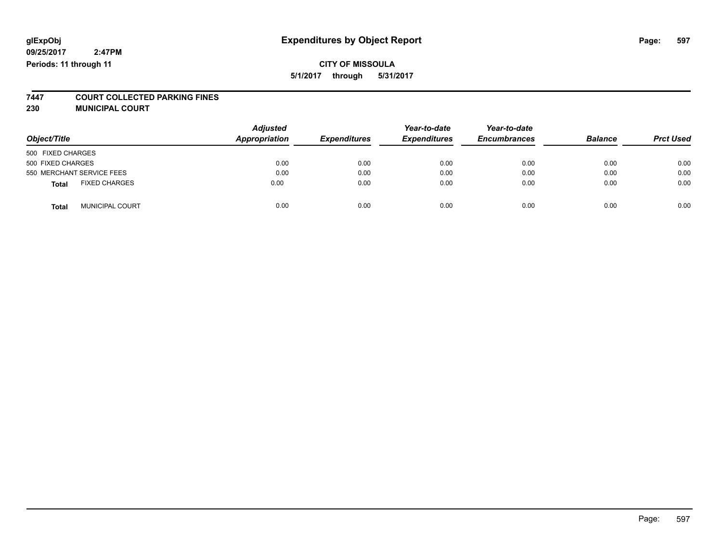### **CITY OF MISSOULA 5/1/2017 through 5/31/2017**

# **7447 COURT COLLECTED PARKING FINES**

**230 MUNICIPAL COURT**

| Object/Title                           | <b>Adjusted</b><br>Appropriation | <b>Expenditures</b> | Year-to-date<br><b>Expenditures</b> | Year-to-date<br><b>Encumbrances</b> | <b>Balance</b> | <b>Prct Used</b> |
|----------------------------------------|----------------------------------|---------------------|-------------------------------------|-------------------------------------|----------------|------------------|
| 500 FIXED CHARGES                      |                                  |                     |                                     |                                     |                |                  |
| 500 FIXED CHARGES                      | 0.00                             | 0.00                | 0.00                                | 0.00                                | 0.00           | 0.00             |
| 550 MERCHANT SERVICE FEES              | 0.00                             | 0.00                | 0.00                                | 0.00                                | 0.00           | 0.00             |
| <b>FIXED CHARGES</b><br><b>Total</b>   | 0.00                             | 0.00                | 0.00                                | 0.00                                | 0.00           | 0.00             |
| <b>MUNICIPAL COURT</b><br><b>Total</b> | 0.00                             | 0.00                | 0.00                                | 0.00                                | 0.00           | 0.00             |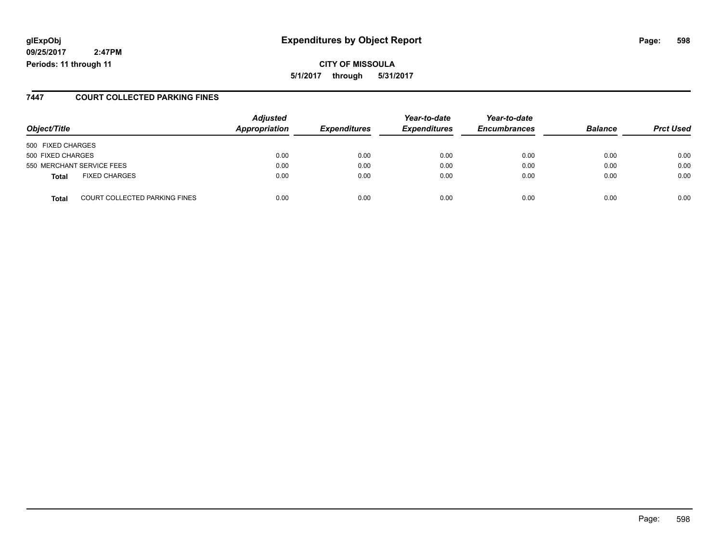# **glExpObj Expenditures by Object Report Page: 598**

**09/25/2017 2:47PM Periods: 11 through 11**

**CITY OF MISSOULA 5/1/2017 through 5/31/2017**

#### **7447 COURT COLLECTED PARKING FINES**

| Object/Title      |                               | <b>Adjusted</b><br>Appropriation | <b>Expenditures</b> | Year-to-date<br><b>Expenditures</b> | Year-to-date<br><b>Encumbrances</b> | <b>Balance</b> | <b>Prct Used</b> |
|-------------------|-------------------------------|----------------------------------|---------------------|-------------------------------------|-------------------------------------|----------------|------------------|
| 500 FIXED CHARGES |                               |                                  |                     |                                     |                                     |                |                  |
| 500 FIXED CHARGES |                               | 0.00                             | 0.00                | 0.00                                | 0.00                                | 0.00           | 0.00             |
|                   | 550 MERCHANT SERVICE FEES     | 0.00                             | 0.00                | 0.00                                | 0.00                                | 0.00           | 0.00             |
| <b>Total</b>      | <b>FIXED CHARGES</b>          | 0.00                             | 0.00                | 0.00                                | 0.00                                | 0.00           | 0.00             |
| <b>Total</b>      | COURT COLLECTED PARKING FINES | 0.00                             | 0.00                | 0.00                                | 0.00                                | 0.00           | 0.00             |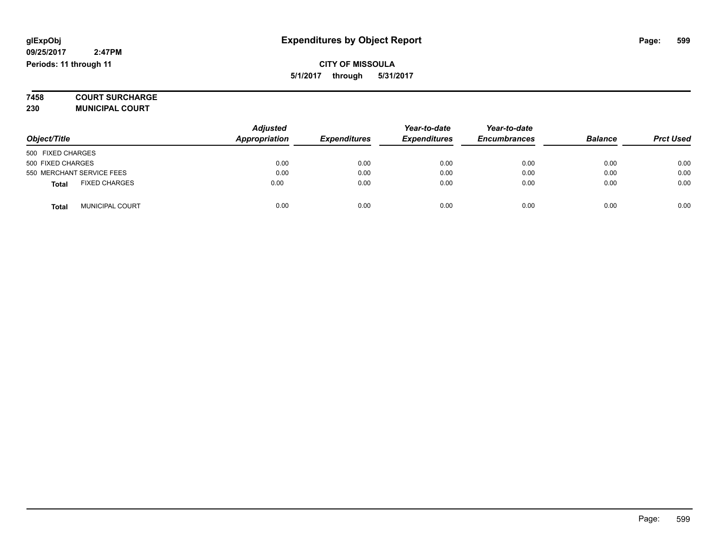**7458 COURT SURCHARGE**

**230 MUNICIPAL COURT**

|                                        | <b>Adjusted</b><br>Appropriation |                     | Year-to-date        | Year-to-date        | <b>Balance</b> |                  |
|----------------------------------------|----------------------------------|---------------------|---------------------|---------------------|----------------|------------------|
| Object/Title                           |                                  | <b>Expenditures</b> | <b>Expenditures</b> | <b>Encumbrances</b> |                | <b>Prct Used</b> |
| 500 FIXED CHARGES                      |                                  |                     |                     |                     |                |                  |
| 500 FIXED CHARGES                      | 0.00                             | 0.00                | 0.00                | 0.00                | 0.00           | 0.00             |
| 550 MERCHANT SERVICE FEES              | 0.00                             | 0.00                | 0.00                | 0.00                | 0.00           | 0.00             |
| <b>FIXED CHARGES</b><br><b>Total</b>   | 0.00                             | 0.00                | 0.00                | 0.00                | 0.00           | 0.00             |
| <b>MUNICIPAL COURT</b><br><b>Total</b> | 0.00                             | 0.00                | 0.00                | 0.00                | 0.00           | 0.00             |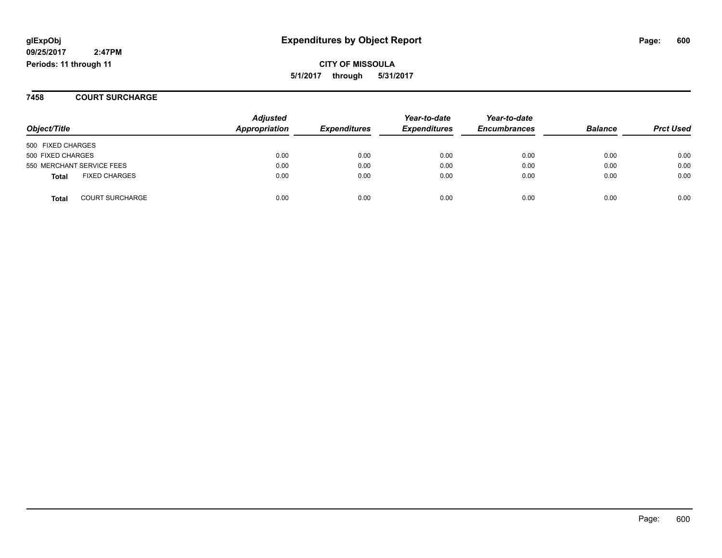# **glExpObj Expenditures by Object Report Page: 600**

**09/25/2017 2:47PM Periods: 11 through 11**

**CITY OF MISSOULA 5/1/2017 through 5/31/2017**

**7458 COURT SURCHARGE**

| Object/Title                           | <b>Adjusted</b><br>Appropriation | <b>Expenditures</b> | Year-to-date<br><b>Expenditures</b> | Year-to-date<br><b>Encumbrances</b> | <b>Balance</b> | <b>Prct Used</b> |
|----------------------------------------|----------------------------------|---------------------|-------------------------------------|-------------------------------------|----------------|------------------|
| 500 FIXED CHARGES                      |                                  |                     |                                     |                                     |                |                  |
| 500 FIXED CHARGES                      | 0.00                             | 0.00                | 0.00                                | 0.00                                | 0.00           | 0.00             |
| 550 MERCHANT SERVICE FEES              | 0.00                             | 0.00                | 0.00                                | 0.00                                | 0.00           | 0.00             |
| <b>FIXED CHARGES</b><br>Total          | 0.00                             | 0.00                | 0.00                                | 0.00                                | 0.00           | 0.00             |
| <b>COURT SURCHARGE</b><br><b>Total</b> | 0.00                             | 0.00                | 0.00                                | 0.00                                | 0.00           | 0.00             |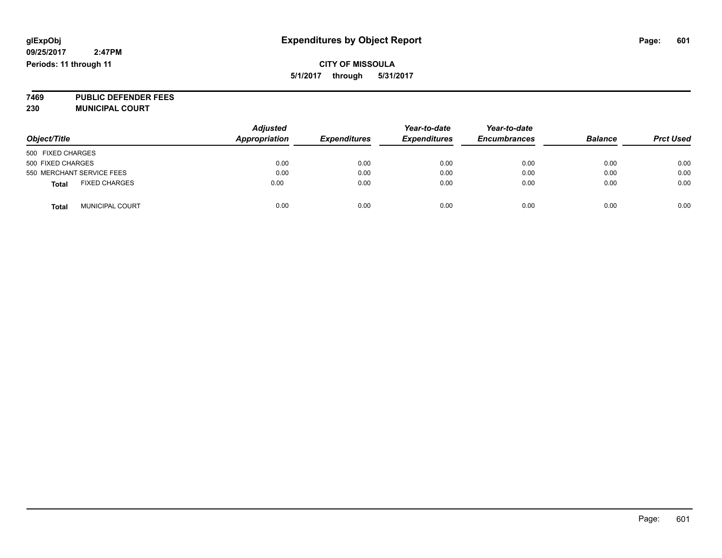### **CITY OF MISSOULA 5/1/2017 through 5/31/2017**

**7469 PUBLIC DEFENDER FEES 230 MUNICIPAL COURT**

| Object/Title                           | <b>Adjusted</b><br><b>Appropriation</b> | <b>Expenditures</b> | Year-to-date<br><b>Expenditures</b> | Year-to-date<br><b>Encumbrances</b> | <b>Balance</b> | <b>Prct Used</b> |
|----------------------------------------|-----------------------------------------|---------------------|-------------------------------------|-------------------------------------|----------------|------------------|
| 500 FIXED CHARGES                      |                                         |                     |                                     |                                     |                |                  |
| 500 FIXED CHARGES                      | 0.00                                    | 0.00                | 0.00                                | 0.00                                | 0.00           | 0.00             |
| 550 MERCHANT SERVICE FEES              | 0.00                                    | 0.00                | 0.00                                | 0.00                                | 0.00           | 0.00             |
| <b>FIXED CHARGES</b><br><b>Total</b>   | 0.00                                    | 0.00                | 0.00                                | 0.00                                | 0.00           | 0.00             |
| <b>MUNICIPAL COURT</b><br><b>Total</b> | 0.00                                    | 0.00                | 0.00                                | 0.00                                | 0.00           | 0.00             |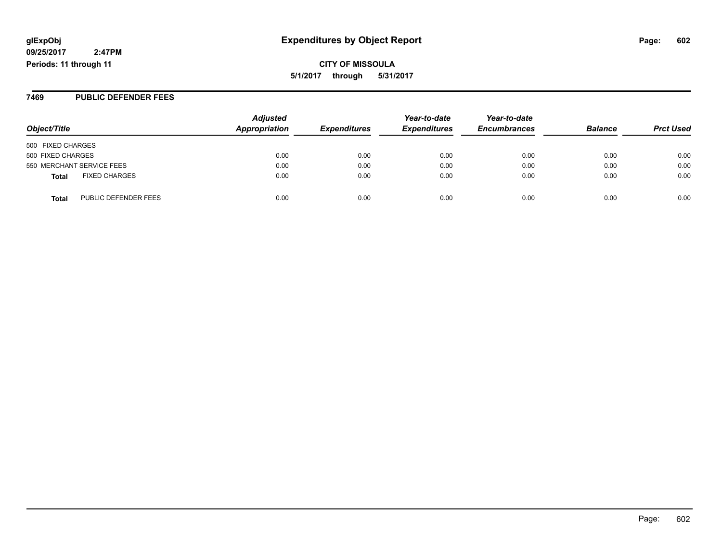**CITY OF MISSOULA 5/1/2017 through 5/31/2017**

#### **7469 PUBLIC DEFENDER FEES**

| Object/Title                         | <b>Adjusted</b><br>Appropriation | <b>Expenditures</b> | Year-to-date<br><b>Expenditures</b> | Year-to-date<br><b>Encumbrances</b> | <b>Balance</b> | <b>Prct Used</b> |
|--------------------------------------|----------------------------------|---------------------|-------------------------------------|-------------------------------------|----------------|------------------|
| 500 FIXED CHARGES                    |                                  |                     |                                     |                                     |                |                  |
| 500 FIXED CHARGES                    | 0.00                             | 0.00                | 0.00                                | 0.00                                | 0.00           | 0.00             |
| 550 MERCHANT SERVICE FEES            | 0.00                             | 0.00                | 0.00                                | 0.00                                | 0.00           | 0.00             |
| <b>FIXED CHARGES</b><br><b>Total</b> | 0.00                             | 0.00                | 0.00                                | 0.00                                | 0.00           | 0.00             |
| PUBLIC DEFENDER FEES<br><b>Total</b> | 0.00                             | 0.00                | 0.00                                | 0.00                                | 0.00           | 0.00             |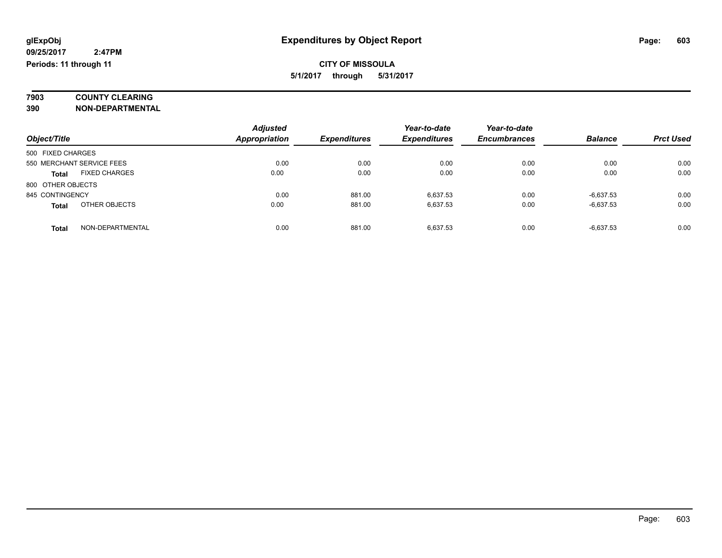# **7903 COUNTY CLEARING**

**390 NON-DEPARTMENTAL**

|                                      | <b>Adjusted</b>      |                     | Year-to-date        | Year-to-date        |                |                  |
|--------------------------------------|----------------------|---------------------|---------------------|---------------------|----------------|------------------|
| Object/Title                         | <b>Appropriation</b> | <b>Expenditures</b> | <b>Expenditures</b> | <b>Encumbrances</b> | <b>Balance</b> | <b>Prct Used</b> |
| 500 FIXED CHARGES                    |                      |                     |                     |                     |                |                  |
| 550 MERCHANT SERVICE FEES            | 0.00                 | 0.00                | 0.00                | 0.00                | 0.00           | 0.00             |
| <b>FIXED CHARGES</b><br><b>Total</b> | 0.00                 | 0.00                | 0.00                | 0.00                | 0.00           | 0.00             |
| 800 OTHER OBJECTS                    |                      |                     |                     |                     |                |                  |
| 845 CONTINGENCY                      | 0.00                 | 881.00              | 6.637.53            | 0.00                | $-6,637.53$    | 0.00             |
| OTHER OBJECTS<br><b>Total</b>        | 0.00                 | 881.00              | 6.637.53            | 0.00                | $-6,637.53$    | 0.00             |
| NON-DEPARTMENTAL<br><b>Total</b>     | 0.00                 | 881.00              | 6.637.53            | 0.00                | $-6,637.53$    | 0.00             |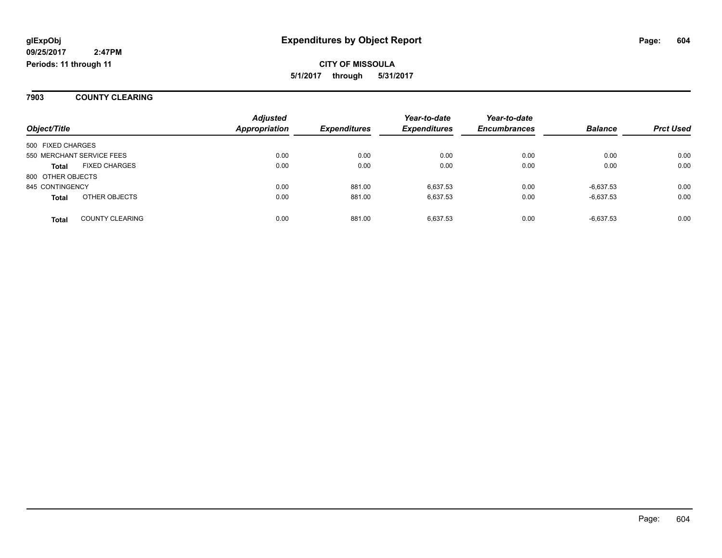#### **7903 COUNTY CLEARING**

|                   |                           | <b>Adjusted</b> |                     | Year-to-date        | Year-to-date        |                |                  |
|-------------------|---------------------------|-----------------|---------------------|---------------------|---------------------|----------------|------------------|
| Object/Title      |                           | Appropriation   | <b>Expenditures</b> | <b>Expenditures</b> | <b>Encumbrances</b> | <b>Balance</b> | <b>Prct Used</b> |
| 500 FIXED CHARGES |                           |                 |                     |                     |                     |                |                  |
|                   | 550 MERCHANT SERVICE FEES | 0.00            | 0.00                | 0.00                | 0.00                | 0.00           | 0.00             |
| <b>Total</b>      | <b>FIXED CHARGES</b>      | 0.00            | 0.00                | 0.00                | 0.00                | 0.00           | 0.00             |
| 800 OTHER OBJECTS |                           |                 |                     |                     |                     |                |                  |
| 845 CONTINGENCY   |                           | 0.00            | 881.00              | 6.637.53            | 0.00                | $-6,637.53$    | 0.00             |
| <b>Total</b>      | OTHER OBJECTS             | 0.00            | 881.00              | 6.637.53            | 0.00                | $-6,637.53$    | 0.00             |
| <b>Total</b>      | <b>COUNTY CLEARING</b>    | 0.00            | 881.00              | 6.637.53            | 0.00                | $-6,637.53$    | 0.00             |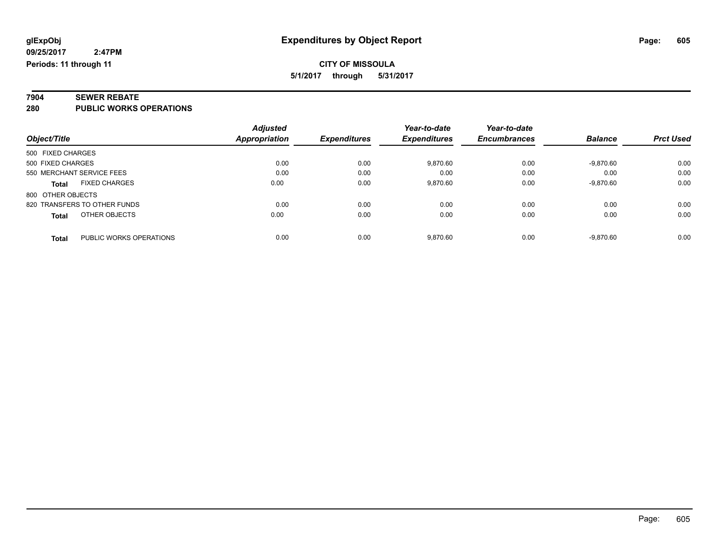# **7904 SEWER REBATE**

**280 PUBLIC WORKS OPERATIONS**

|                                         | <b>Adjusted</b> |                     | Year-to-date        | Year-to-date        |                |                  |
|-----------------------------------------|-----------------|---------------------|---------------------|---------------------|----------------|------------------|
| Object/Title                            | Appropriation   | <b>Expenditures</b> | <b>Expenditures</b> | <b>Encumbrances</b> | <b>Balance</b> | <b>Prct Used</b> |
| 500 FIXED CHARGES                       |                 |                     |                     |                     |                |                  |
| 500 FIXED CHARGES                       | 0.00            | 0.00                | 9,870.60            | 0.00                | $-9.870.60$    | 0.00             |
| 550 MERCHANT SERVICE FEES               | 0.00            | 0.00                | 0.00                | 0.00                | 0.00           | 0.00             |
| <b>FIXED CHARGES</b><br><b>Total</b>    | 0.00            | 0.00                | 9.870.60            | 0.00                | $-9,870.60$    | 0.00             |
| 800 OTHER OBJECTS                       |                 |                     |                     |                     |                |                  |
| 820 TRANSFERS TO OTHER FUNDS            | 0.00            | 0.00                | 0.00                | 0.00                | 0.00           | 0.00             |
| OTHER OBJECTS<br><b>Total</b>           | 0.00            | 0.00                | 0.00                | 0.00                | 0.00           | 0.00             |
| PUBLIC WORKS OPERATIONS<br><b>Total</b> | 0.00            | 0.00                | 9.870.60            | 0.00                | $-9.870.60$    | 0.00             |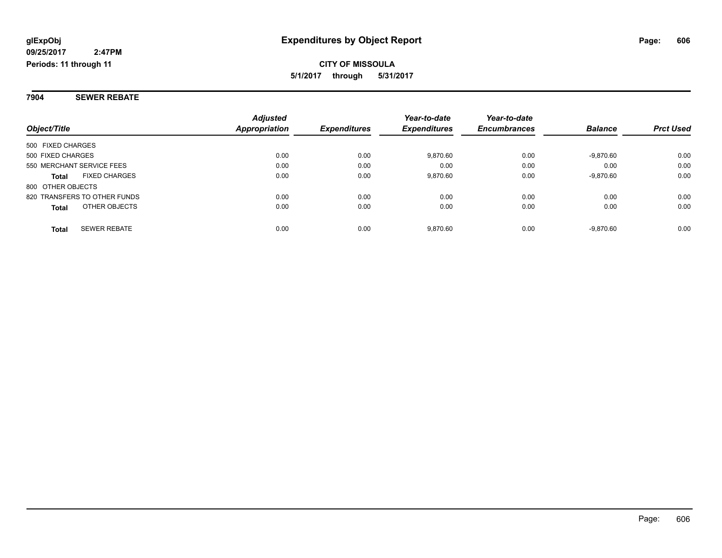**7904 SEWER REBATE**

|                                      | <b>Adjusted</b>      |                     | Year-to-date        | Year-to-date        |                |                  |
|--------------------------------------|----------------------|---------------------|---------------------|---------------------|----------------|------------------|
| Object/Title                         | <b>Appropriation</b> | <b>Expenditures</b> | <b>Expenditures</b> | <b>Encumbrances</b> | <b>Balance</b> | <b>Prct Used</b> |
| 500 FIXED CHARGES                    |                      |                     |                     |                     |                |                  |
| 500 FIXED CHARGES                    | 0.00                 | 0.00                | 9,870.60            | 0.00                | -9.870.60      | 0.00             |
| 550 MERCHANT SERVICE FEES            | 0.00                 | 0.00                | 0.00                | 0.00                | 0.00           | 0.00             |
| <b>FIXED CHARGES</b><br><b>Total</b> | 0.00                 | 0.00                | 9,870.60            | 0.00                | -9,870.60      | 0.00             |
| 800 OTHER OBJECTS                    |                      |                     |                     |                     |                |                  |
| 820 TRANSFERS TO OTHER FUNDS         | 0.00                 | 0.00                | 0.00                | 0.00                | 0.00           | 0.00             |
| OTHER OBJECTS<br><b>Total</b>        | 0.00                 | 0.00                | 0.00                | 0.00                | 0.00           | 0.00             |
| <b>SEWER REBATE</b><br><b>Total</b>  | 0.00                 | 0.00                | 9.870.60            | 0.00                | -9.870.60      | 0.00             |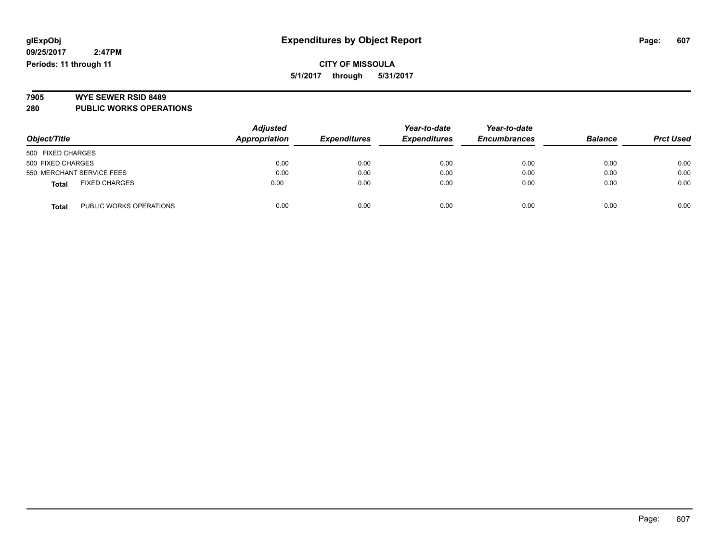**CITY OF MISSOULA 5/1/2017 through 5/31/2017**

# **7905 WYE SEWER RSID 8489**

**280 PUBLIC WORKS OPERATIONS**

| Object/Title                            | <b>Adjusted</b><br>Appropriation | <b>Expenditures</b> | Year-to-date<br><b>Expenditures</b> | Year-to-date<br><b>Encumbrances</b> | <b>Balance</b> | <b>Prct Used</b> |
|-----------------------------------------|----------------------------------|---------------------|-------------------------------------|-------------------------------------|----------------|------------------|
| 500 FIXED CHARGES                       |                                  |                     |                                     |                                     |                |                  |
| 500 FIXED CHARGES                       | 0.00                             | 0.00                | 0.00                                | 0.00                                | 0.00           | 0.00             |
| 550 MERCHANT SERVICE FEES               | 0.00                             | 0.00                | 0.00                                | 0.00                                | 0.00           | 0.00             |
| <b>FIXED CHARGES</b><br><b>Total</b>    | 0.00                             | 0.00                | 0.00                                | 0.00                                | 0.00           | 0.00             |
| PUBLIC WORKS OPERATIONS<br><b>Total</b> | 0.00                             | 0.00                | 0.00                                | 0.00                                | 0.00           | 0.00             |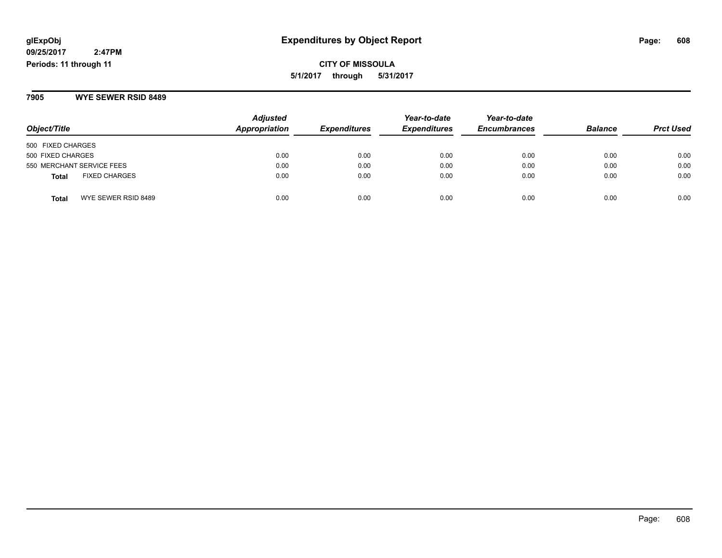**CITY OF MISSOULA 5/1/2017 through 5/31/2017**

**7905 WYE SEWER RSID 8489**

| Object/Title                         | <b>Adjusted</b><br><b>Appropriation</b> | <b>Expenditures</b> | Year-to-date<br><b>Expenditures</b> | Year-to-date<br><b>Encumbrances</b> | <b>Balance</b> | <b>Prct Used</b> |
|--------------------------------------|-----------------------------------------|---------------------|-------------------------------------|-------------------------------------|----------------|------------------|
| 500 FIXED CHARGES                    |                                         |                     |                                     |                                     |                |                  |
| 500 FIXED CHARGES                    | 0.00                                    | 0.00                | 0.00                                | 0.00                                | 0.00           | 0.00             |
| 550 MERCHANT SERVICE FEES            | 0.00                                    | 0.00                | 0.00                                | 0.00                                | 0.00           | 0.00             |
| <b>FIXED CHARGES</b><br><b>Total</b> | 0.00                                    | 0.00                | 0.00                                | 0.00                                | 0.00           | 0.00             |
| WYE SEWER RSID 8489<br><b>Total</b>  | 0.00                                    | 0.00                | 0.00                                | 0.00                                | 0.00           | 0.00             |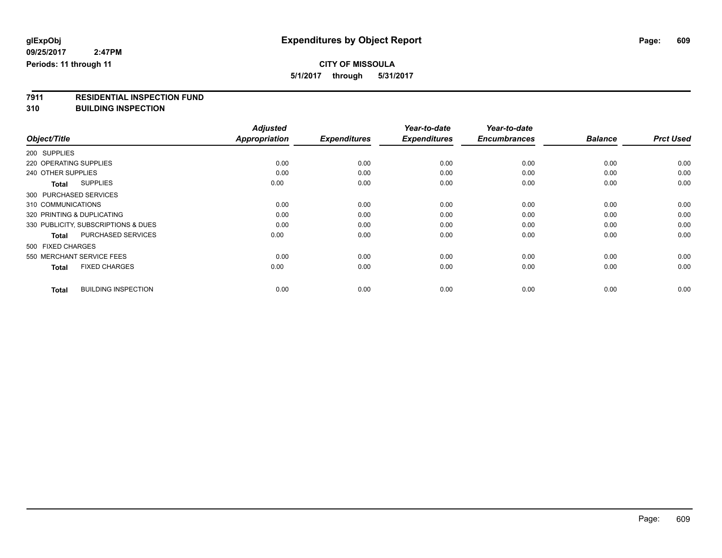# **CITY OF MISSOULA**

**5/1/2017 through 5/31/2017**

# **7911 RESIDENTIAL INSPECTION FUND**

**310 BUILDING INSPECTION**

|                                            | <b>Adjusted</b>      |                     | Year-to-date        | Year-to-date        |                |                  |
|--------------------------------------------|----------------------|---------------------|---------------------|---------------------|----------------|------------------|
| Object/Title                               | <b>Appropriation</b> | <b>Expenditures</b> | <b>Expenditures</b> | <b>Encumbrances</b> | <b>Balance</b> | <b>Prct Used</b> |
| 200 SUPPLIES                               |                      |                     |                     |                     |                |                  |
| 220 OPERATING SUPPLIES                     | 0.00                 | 0.00                | 0.00                | 0.00                | 0.00           | 0.00             |
| 240 OTHER SUPPLIES                         | 0.00                 | 0.00                | 0.00                | 0.00                | 0.00           | 0.00             |
| <b>SUPPLIES</b><br><b>Total</b>            | 0.00                 | 0.00                | 0.00                | 0.00                | 0.00           | 0.00             |
| 300 PURCHASED SERVICES                     |                      |                     |                     |                     |                |                  |
| 310 COMMUNICATIONS                         | 0.00                 | 0.00                | 0.00                | 0.00                | 0.00           | 0.00             |
| 320 PRINTING & DUPLICATING                 | 0.00                 | 0.00                | 0.00                | 0.00                | 0.00           | 0.00             |
| 330 PUBLICITY, SUBSCRIPTIONS & DUES        | 0.00                 | 0.00                | 0.00                | 0.00                | 0.00           | 0.00             |
| PURCHASED SERVICES<br><b>Total</b>         | 0.00                 | 0.00                | 0.00                | 0.00                | 0.00           | 0.00             |
| 500 FIXED CHARGES                          |                      |                     |                     |                     |                |                  |
| 550 MERCHANT SERVICE FEES                  | 0.00                 | 0.00                | 0.00                | 0.00                | 0.00           | 0.00             |
| <b>FIXED CHARGES</b><br><b>Total</b>       | 0.00                 | 0.00                | 0.00                | 0.00                | 0.00           | 0.00             |
| <b>BUILDING INSPECTION</b><br><b>Total</b> | 0.00                 | 0.00                | 0.00                | 0.00                | 0.00           | 0.00             |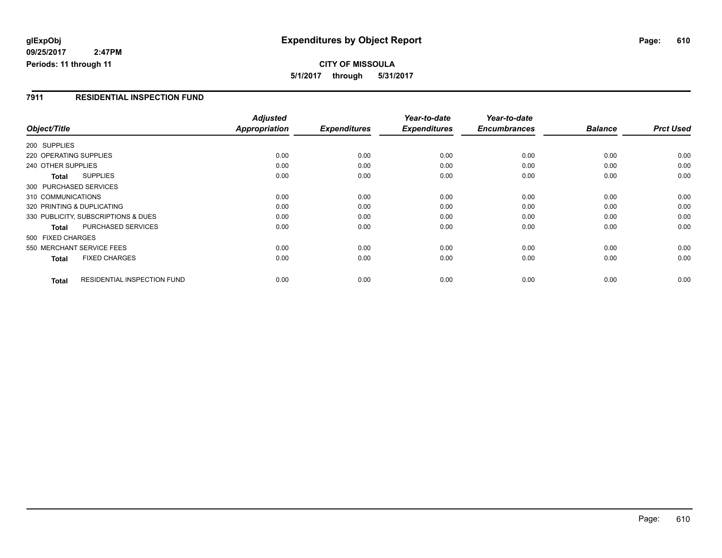**CITY OF MISSOULA 5/1/2017 through 5/31/2017**

#### **7911 RESIDENTIAL INSPECTION FUND**

|                        |                                     | <b>Adjusted</b> |                     | Year-to-date        | Year-to-date        |                |                  |
|------------------------|-------------------------------------|-----------------|---------------------|---------------------|---------------------|----------------|------------------|
| Object/Title           |                                     | Appropriation   | <b>Expenditures</b> | <b>Expenditures</b> | <b>Encumbrances</b> | <b>Balance</b> | <b>Prct Used</b> |
| 200 SUPPLIES           |                                     |                 |                     |                     |                     |                |                  |
| 220 OPERATING SUPPLIES |                                     | 0.00            | 0.00                | 0.00                | 0.00                | 0.00           | 0.00             |
| 240 OTHER SUPPLIES     |                                     | 0.00            | 0.00                | 0.00                | 0.00                | 0.00           | 0.00             |
| <b>Total</b>           | <b>SUPPLIES</b>                     | 0.00            | 0.00                | 0.00                | 0.00                | 0.00           | 0.00             |
|                        | 300 PURCHASED SERVICES              |                 |                     |                     |                     |                |                  |
| 310 COMMUNICATIONS     |                                     | 0.00            | 0.00                | 0.00                | 0.00                | 0.00           | 0.00             |
|                        | 320 PRINTING & DUPLICATING          | 0.00            | 0.00                | 0.00                | 0.00                | 0.00           | 0.00             |
|                        | 330 PUBLICITY, SUBSCRIPTIONS & DUES | 0.00            | 0.00                | 0.00                | 0.00                | 0.00           | 0.00             |
| Total                  | <b>PURCHASED SERVICES</b>           | 0.00            | 0.00                | 0.00                | 0.00                | 0.00           | 0.00             |
| 500 FIXED CHARGES      |                                     |                 |                     |                     |                     |                |                  |
|                        | 550 MERCHANT SERVICE FEES           | 0.00            | 0.00                | 0.00                | 0.00                | 0.00           | 0.00             |
| <b>Total</b>           | <b>FIXED CHARGES</b>                | 0.00            | 0.00                | 0.00                | 0.00                | 0.00           | 0.00             |
| <b>Total</b>           | <b>RESIDENTIAL INSPECTION FUND</b>  | 0.00            | 0.00                | 0.00                | 0.00                | 0.00           | 0.00             |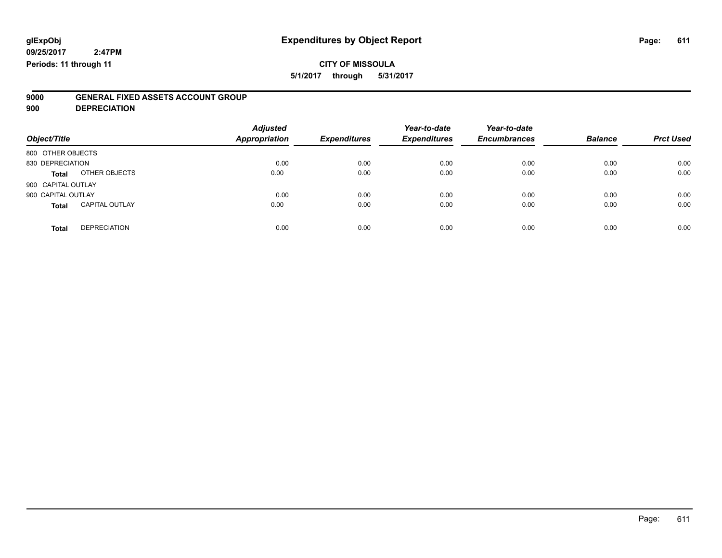# **CITY OF MISSOULA**

**5/1/2017 through 5/31/2017**

# **9000 GENERAL FIXED ASSETS ACCOUNT GROUP**

**900 DEPRECIATION**

| Object/Title                          | <b>Adjusted</b><br><b>Appropriation</b> | <b>Expenditures</b> | Year-to-date<br><b>Expenditures</b> | Year-to-date<br><b>Encumbrances</b> | <b>Balance</b> | <b>Prct Used</b> |
|---------------------------------------|-----------------------------------------|---------------------|-------------------------------------|-------------------------------------|----------------|------------------|
| 800 OTHER OBJECTS                     |                                         |                     |                                     |                                     |                |                  |
| 830 DEPRECIATION                      | 0.00                                    | 0.00                | 0.00                                | 0.00                                | 0.00           | 0.00             |
| OTHER OBJECTS<br><b>Total</b>         | 0.00                                    | 0.00                | 0.00                                | 0.00                                | 0.00           | 0.00             |
| 900 CAPITAL OUTLAY                    |                                         |                     |                                     |                                     |                |                  |
| 900 CAPITAL OUTLAY                    | 0.00                                    | 0.00                | 0.00                                | 0.00                                | 0.00           | 0.00             |
| <b>CAPITAL OUTLAY</b><br><b>Total</b> | 0.00                                    | 0.00                | 0.00                                | 0.00                                | 0.00           | 0.00             |
| <b>DEPRECIATION</b><br><b>Total</b>   | 0.00                                    | 0.00                | 0.00                                | 0.00                                | 0.00           | 0.00             |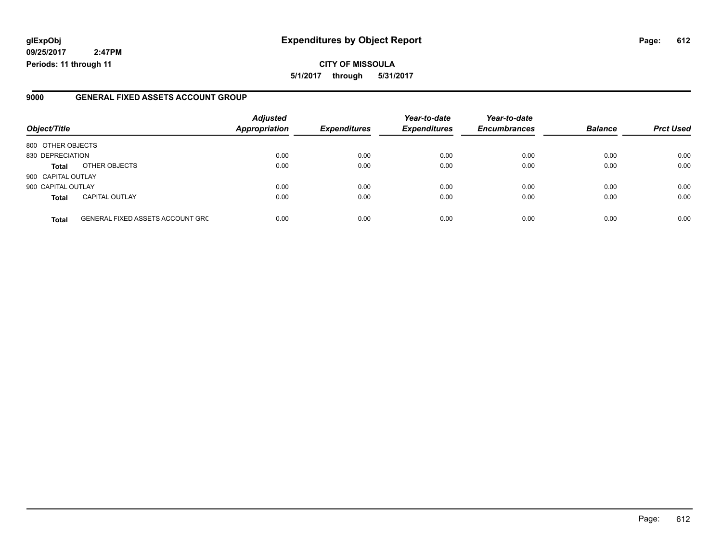### **glExpObj Expenditures by Object Report Page: 612**

**09/25/2017 2:47PM Periods: 11 through 11**

#### **9000 GENERAL FIXED ASSETS ACCOUNT GROUP**

| Object/Title       |                                         | <b>Adjusted</b><br>Appropriation | <b>Expenditures</b> | Year-to-date<br><b>Expenditures</b> | Year-to-date<br><b>Encumbrances</b> | <b>Balance</b> | <b>Prct Used</b> |
|--------------------|-----------------------------------------|----------------------------------|---------------------|-------------------------------------|-------------------------------------|----------------|------------------|
| 800 OTHER OBJECTS  |                                         |                                  |                     |                                     |                                     |                |                  |
| 830 DEPRECIATION   |                                         | 0.00                             | 0.00                | 0.00                                | 0.00                                | 0.00           | 0.00             |
| <b>Total</b>       | OTHER OBJECTS                           | 0.00                             | 0.00                | 0.00                                | 0.00                                | 0.00           | 0.00             |
| 900 CAPITAL OUTLAY |                                         |                                  |                     |                                     |                                     |                |                  |
| 900 CAPITAL OUTLAY |                                         | 0.00                             | 0.00                | 0.00                                | 0.00                                | 0.00           | 0.00             |
| <b>Total</b>       | <b>CAPITAL OUTLAY</b>                   | 0.00                             | 0.00                | 0.00                                | 0.00                                | 0.00           | 0.00             |
| <b>Total</b>       | <b>GENERAL FIXED ASSETS ACCOUNT GRC</b> | 0.00                             | 0.00                | 0.00                                | 0.00                                | 0.00           | 0.00             |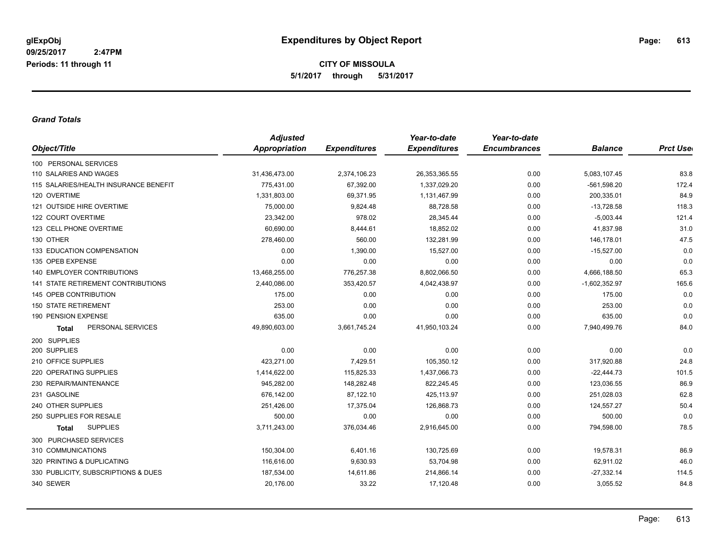**CITY OF MISSOULA 5/1/2017 through 5/31/2017**

## *Grand Totals*

| Object/Title                          | <b>Adjusted</b>      |                     | Year-to-date        | Year-to-date        |                 |                 |
|---------------------------------------|----------------------|---------------------|---------------------|---------------------|-----------------|-----------------|
|                                       | <b>Appropriation</b> | <b>Expenditures</b> | <b>Expenditures</b> | <b>Encumbrances</b> | <b>Balance</b>  | <b>Prct Use</b> |
| 100 PERSONAL SERVICES                 |                      |                     |                     |                     |                 |                 |
| 110 SALARIES AND WAGES                | 31,436,473.00        | 2,374,106.23        | 26, 353, 365.55     | 0.00                | 5,083,107.45    | 83.8            |
| 115 SALARIES/HEALTH INSURANCE BENEFIT | 775.431.00           | 67,392.00           | 1.337.029.20        | 0.00                | $-561.598.20$   | 172.4           |
| 120 OVERTIME                          | 1,331,803.00         | 69,371.95           | 1,131,467.99        | 0.00                | 200,335.01      | 84.9            |
| 121 OUTSIDE HIRE OVERTIME             | 75,000.00            | 9,824.48            | 88,728.58           | 0.00                | $-13,728.58$    | 118.3           |
| 122 COURT OVERTIME                    | 23,342.00            | 978.02              | 28,345.44           | 0.00                | $-5,003.44$     | 121.4           |
| 123 CELL PHONE OVERTIME               | 60,690.00            | 8,444.61            | 18,852.02           | 0.00                | 41,837.98       | 31.0            |
| 130 OTHER                             | 278,460.00           | 560.00              | 132,281.99          | 0.00                | 146,178.01      | 47.5            |
| <b>133 EDUCATION COMPENSATION</b>     | 0.00                 | 1,390.00            | 15,527.00           | 0.00                | $-15,527.00$    | 0.0             |
| 135 OPEB EXPENSE                      | 0.00                 | 0.00                | 0.00                | 0.00                | 0.00            | 0.0             |
| <b>140 EMPLOYER CONTRIBUTIONS</b>     | 13,468,255.00        | 776,257.38          | 8,802,066.50        | 0.00                | 4,666,188.50    | 65.3            |
| 141 STATE RETIREMENT CONTRIBUTIONS    | 2,440,086.00         | 353,420.57          | 4,042,438.97        | 0.00                | $-1,602,352.97$ | 165.6           |
| 145 OPEB CONTRIBUTION                 | 175.00               | 0.00                | 0.00                | 0.00                | 175.00          | 0.0             |
| <b>150 STATE RETIREMENT</b>           | 253.00               | 0.00                | 0.00                | 0.00                | 253.00          | 0.0             |
| 190 PENSION EXPENSE                   | 635.00               | 0.00                | 0.00                | 0.00                | 635.00          | 0.0             |
| PERSONAL SERVICES<br><b>Total</b>     | 49,890,603.00        | 3,661,745.24        | 41,950,103.24       | 0.00                | 7,940,499.76    | 84.0            |
| 200 SUPPLIES                          |                      |                     |                     |                     |                 |                 |
| 200 SUPPLIES                          | 0.00                 | 0.00                | 0.00                | 0.00                | 0.00            | 0.0             |
| 210 OFFICE SUPPLIES                   | 423,271.00           | 7,429.51            | 105,350.12          | 0.00                | 317,920.88      | 24.8            |
| 220 OPERATING SUPPLIES                | 1,414,622.00         | 115,825.33          | 1,437,066.73        | 0.00                | $-22,444.73$    | 101.5           |
| 230 REPAIR/MAINTENANCE                | 945,282.00           | 148,282.48          | 822,245.45          | 0.00                | 123,036.55      | 86.9            |
| 231 GASOLINE                          | 676,142.00           | 87,122.10           | 425,113.97          | 0.00                | 251,028.03      | 62.8            |
| 240 OTHER SUPPLIES                    | 251,426.00           | 17,375.04           | 126,868.73          | 0.00                | 124,557.27      | 50.4            |
| 250 SUPPLIES FOR RESALE               | 500.00               | 0.00                | 0.00                | 0.00                | 500.00          | 0.0             |
| <b>SUPPLIES</b><br><b>Total</b>       | 3,711,243.00         | 376,034.46          | 2,916,645.00        | 0.00                | 794,598.00      | 78.5            |
| 300 PURCHASED SERVICES                |                      |                     |                     |                     |                 |                 |
| 310 COMMUNICATIONS                    | 150,304.00           | 6,401.16            | 130,725.69          | 0.00                | 19,578.31       | 86.9            |
| 320 PRINTING & DUPLICATING            | 116,616.00           | 9,630.93            | 53,704.98           | 0.00                | 62,911.02       | 46.0            |
| 330 PUBLICITY, SUBSCRIPTIONS & DUES   | 187,534.00           | 14,611.86           | 214,866.14          | 0.00                | $-27,332.14$    | 114.5           |
| 340 SEWER                             | 20,176.00            | 33.22               | 17,120.48           | 0.00                | 3,055.52        | 84.8            |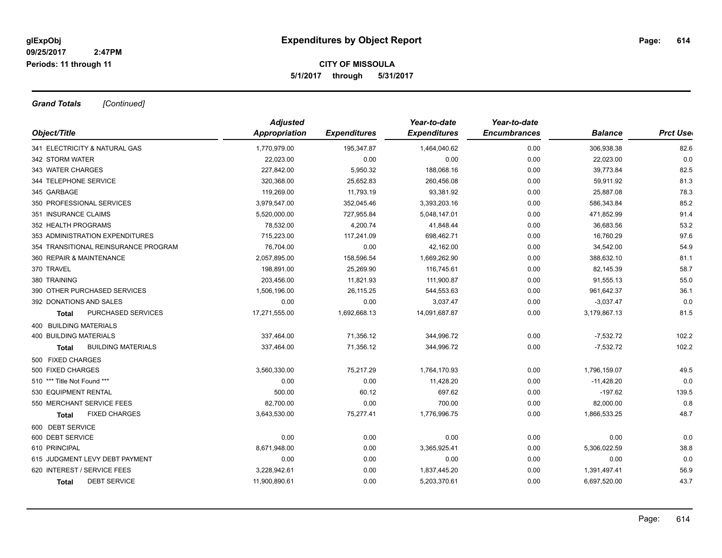## **CITY OF MISSOULA 5/1/2017 through 5/31/2017**

*Grand Totals [Continued]*

|                                      | <b>Adjusted</b> |                     | Year-to-date        | Year-to-date        |                |                  |
|--------------------------------------|-----------------|---------------------|---------------------|---------------------|----------------|------------------|
| Object/Title                         | Appropriation   | <b>Expenditures</b> | <b>Expenditures</b> | <b>Encumbrances</b> | <b>Balance</b> | <b>Prct Uset</b> |
| 341 ELECTRICITY & NATURAL GAS        | 1,770,979.00    | 195,347.87          | 1,464,040.62        | 0.00                | 306,938.38     | 82.6             |
| 342 STORM WATER                      | 22,023.00       | 0.00                | 0.00                | 0.00                | 22,023.00      | 0.0              |
| 343 WATER CHARGES                    | 227,842.00      | 5,950.32            | 188,068.16          | 0.00                | 39,773.84      | 82.5             |
| 344 TELEPHONE SERVICE                | 320,368.00      | 25,652.83           | 260,456.08          | 0.00                | 59,911.92      | 81.3             |
| 345 GARBAGE                          | 119,269.00      | 11,793.19           | 93,381.92           | 0.00                | 25,887.08      | 78.3             |
| 350 PROFESSIONAL SERVICES            | 3,979,547.00    | 352,045.46          | 3,393,203.16        | 0.00                | 586,343.84     | 85.2             |
| 351 INSURANCE CLAIMS                 | 5,520,000.00    | 727,955.84          | 5,048,147.01        | 0.00                | 471,852.99     | 91.4             |
| 352 HEALTH PROGRAMS                  | 78,532.00       | 4,200.74            | 41,848.44           | 0.00                | 36,683.56      | 53.2             |
| 353 ADMINISTRATION EXPENDITURES      | 715,223.00      | 117,241.09          | 698,462.71          | 0.00                | 16,760.29      | 97.6             |
| 354 TRANSITIONAL REINSURANCE PROGRAM | 76,704.00       | 0.00                | 42,162.00           | 0.00                | 34,542.00      | 54.9             |
| 360 REPAIR & MAINTENANCE             | 2,057,895.00    | 158,596.54          | 1,669,262.90        | 0.00                | 388,632.10     | 81.1             |
| 370 TRAVEL                           | 198,891.00      | 25,269.90           | 116,745.61          | 0.00                | 82,145.39      | 58.7             |
| 380 TRAINING                         | 203,456.00      | 11,821.93           | 111,900.87          | 0.00                | 91,555.13      | 55.0             |
| 390 OTHER PURCHASED SERVICES         | 1,506,196.00    | 26,115.25           | 544,553.63          | 0.00                | 961,642.37     | 36.1             |
| 392 DONATIONS AND SALES              | 0.00            | 0.00                | 3,037.47            | 0.00                | $-3,037.47$    | 0.0              |
| PURCHASED SERVICES<br>Total          | 17,271,555.00   | 1,692,668.13        | 14,091,687.87       | 0.00                | 3,179,867.13   | 81.5             |
| 400 BUILDING MATERIALS               |                 |                     |                     |                     |                |                  |
| <b>400 BUILDING MATERIALS</b>        | 337,464.00      | 71,356.12           | 344,996.72          | 0.00                | $-7,532.72$    | 102.2            |
| <b>BUILDING MATERIALS</b><br>Total   | 337,464.00      | 71,356.12           | 344,996.72          | 0.00                | $-7,532.72$    | 102.2            |
| 500 FIXED CHARGES                    |                 |                     |                     |                     |                |                  |
| 500 FIXED CHARGES                    | 3,560,330.00    | 75,217.29           | 1,764,170.93        | 0.00                | 1,796,159.07   | 49.5             |
| 510 *** Title Not Found ***          | 0.00            | 0.00                | 11,428.20           | 0.00                | $-11,428.20$   | 0.0              |
| 530 EQUIPMENT RENTAL                 | 500.00          | 60.12               | 697.62              | 0.00                | $-197.62$      | 139.5            |
| 550 MERCHANT SERVICE FEES            | 82,700.00       | 0.00                | 700.00              | 0.00                | 82,000.00      | 0.8              |
| <b>FIXED CHARGES</b><br>Total        | 3,643,530.00    | 75,277.41           | 1,776,996.75        | 0.00                | 1,866,533.25   | 48.7             |
| 600 DEBT SERVICE                     |                 |                     |                     |                     |                |                  |
| 600 DEBT SERVICE                     | 0.00            | 0.00                | 0.00                | 0.00                | 0.00           | 0.0              |
| 610 PRINCIPAL                        | 8,671,948.00    | 0.00                | 3,365,925.41        | 0.00                | 5,306,022.59   | 38.8             |
| 615 JUDGMENT LEVY DEBT PAYMENT       | 0.00            | 0.00                | 0.00                | 0.00                | 0.00           | 0.0              |
| 620 INTEREST / SERVICE FEES          | 3,228,942.61    | 0.00                | 1,837,445.20        | 0.00                | 1,391,497.41   | 56.9             |
| <b>DEBT SERVICE</b><br><b>Total</b>  | 11,900,890.61   | 0.00                | 5,203,370.61        | 0.00                | 6,697,520.00   | 43.7             |